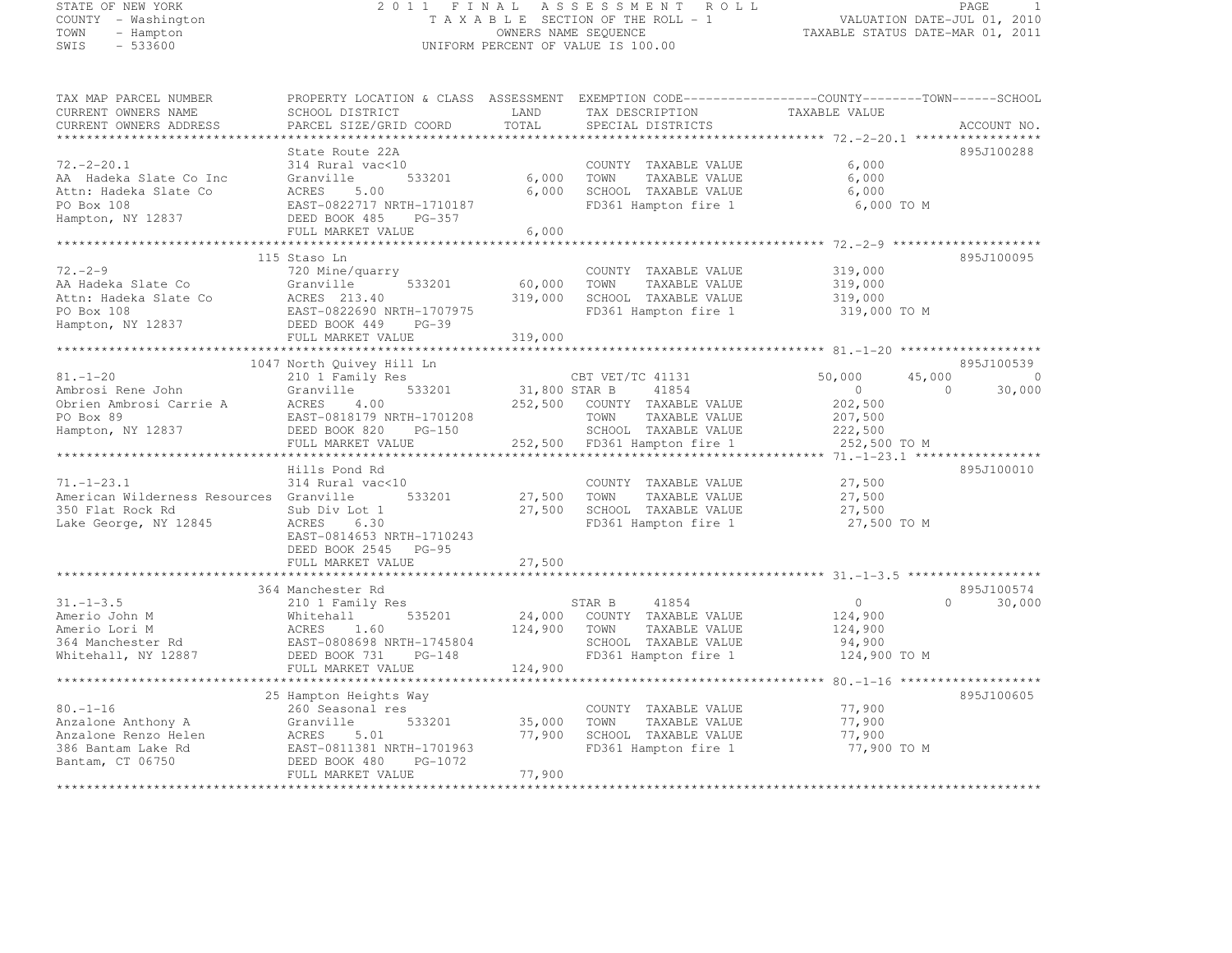## STATE OF NEW YORK 2 0 1 1 F I N A L A S S E S S M E N T R O L L PAGE <sup>1</sup> COUNTY - Washington T A X A B L E SECTION OF THE ROLL - 1 VALUATION DATE-JUL 01, 2010 TOWN - Hampton OWNERS NAME SEQUENCE TAXABLE STATUS DATE-MAR 01, 2011 SWIS - 533600 UNIFORM PERCENT OF VALUE IS 100.00

| TAX MAP PARCEL NUMBER<br>CURRENT OWNERS NAME<br>CURRENT OWNERS ADDRESS                                   | PROPERTY LOCATION & CLASS ASSESSMENT<br>SCHOOL DISTRICT<br>PARCEL SIZE/GRID COORD                                                                        | LAND<br>TOTAL              | EXEMPTION CODE-----------------COUNTY-------TOWN------SCHOOL<br>TAX DESCRIPTION<br>SPECIAL DISTRICTS             | TAXABLE VALUE                                                | ACCOUNT NO.                                        |
|----------------------------------------------------------------------------------------------------------|----------------------------------------------------------------------------------------------------------------------------------------------------------|----------------------------|------------------------------------------------------------------------------------------------------------------|--------------------------------------------------------------|----------------------------------------------------|
|                                                                                                          |                                                                                                                                                          | ********                   |                                                                                                                  | ************** 72. -2-20.1 *****                             |                                                    |
| $72. - 2 - 20.1$<br>AA Hadeka Slate Co Inc<br>Attn: Hadeka Slate Co<br>PO Box 108<br>Hampton, NY 12837   | State Route 22A<br>314 Rural vac<10<br>Granville<br>533201<br>ACRES<br>5.00<br>EAST-0822717 NRTH-1710187<br>DEED BOOK 485<br>PG-357<br>FULL MARKET VALUE | 6,000<br>6,000<br>6,000    | COUNTY TAXABLE VALUE<br>TAXABLE VALUE<br>TOWN<br>SCHOOL TAXABLE VALUE<br>FD361 Hampton fire 1                    | 6,000<br>6,000<br>6,000<br>6,000 TO M                        | 895J100288                                         |
|                                                                                                          |                                                                                                                                                          |                            |                                                                                                                  |                                                              |                                                    |
| $72. - 2 - 9$<br>AA Hadeka Slate Co<br>Attn: Hadeka Slate Co<br>PO Box 108<br>Hampton, NY 12837          | 115 Staso Ln<br>720 Mine/quarry<br>533201<br>Granville<br>ACRES 213.40<br>EAST-0822690 NRTH-1707975<br>DEED BOOK 449<br>$PG-39$                          | 60,000<br>319,000          | COUNTY TAXABLE VALUE<br>TAXABLE VALUE<br>TOWN<br>SCHOOL TAXABLE VALUE<br>FD361 Hampton fire 1                    | 319,000<br>319,000<br>319,000<br>319,000 TO M                | 895J100095                                         |
|                                                                                                          | FULL MARKET VALUE<br>**********************                                                                                                              | 319,000                    |                                                                                                                  |                                                              |                                                    |
|                                                                                                          | 1047 North Quivey Hill Ln                                                                                                                                |                            |                                                                                                                  |                                                              | 895J100539                                         |
| $81. - 1 - 20$<br>Ambrosi Rene John<br>Obrien Ambrosi Carrie A<br>PO Box 89<br>Hampton, NY 12837         | 210 1 Family Res<br>533201<br>Granville<br>4.00<br>ACRES<br>EAST-0818179 NRTH-1701208<br>DEED BOOK 820<br>$PG-150$                                       | 31,800 STAR B<br>252,500   | CBT VET/TC 41131<br>41854<br>COUNTY TAXABLE VALUE<br>TOWN<br>TAXABLE VALUE<br>SCHOOL TAXABLE VALUE               | 50,000<br>45,000<br>$\circ$<br>202,500<br>207,500<br>222,500 | $\circ$<br>$\Omega$<br>30,000                      |
|                                                                                                          | FULL MARKET VALUE                                                                                                                                        | 252,500                    | FD361 Hampton fire 1                                                                                             | 252,500 TO M                                                 |                                                    |
|                                                                                                          |                                                                                                                                                          |                            |                                                                                                                  | $71, -1 - 23, 1$ *****                                       |                                                    |
| $71. - 1 - 23.1$<br>American Wilderness Resources Granville<br>350 Flat Rock Rd<br>Lake George, NY 12845 | Hills Pond Rd<br>314 Rural vac<10<br>533201<br>Sub Div Lot 1<br>ACRES<br>6.30<br>EAST-0814653 NRTH-1710243<br>DEED BOOK 2545 PG-95<br>FULL MARKET VALUE  | 27,500<br>27,500<br>27,500 | COUNTY TAXABLE VALUE<br>TOWN<br>TAXABLE VALUE<br>SCHOOL TAXABLE VALUE<br>FD361 Hampton fire 1                    | 27,500<br>27,500<br>27,500<br>27,500 TO M                    | 895J100010                                         |
|                                                                                                          |                                                                                                                                                          |                            |                                                                                                                  |                                                              |                                                    |
| $31. - 1 - 3.5$<br>Amerio John M<br>Amerio Lori M<br>364 Manchester Rd<br>Whitehall, NY 12887            | 364 Manchester Rd<br>210 1 Family Res<br>535201<br>Whitehall<br>1.60<br>ACRES<br>EAST-0808698 NRTH-1745804<br>DEED BOOK 731<br>$PG-148$                  | 24,000<br>124,900          | STAR B<br>41854<br>COUNTY TAXABLE VALUE<br>TOWN<br>TAXABLE VALUE<br>SCHOOL TAXABLE VALUE<br>FD361 Hampton fire 1 | $\circ$<br>124,900<br>124,900<br>94,900<br>124,900 TO M      | 895J100574<br>30,000<br>$\cap$                     |
|                                                                                                          | FULL MARKET VALUE<br>*****************                                                                                                                   | 124,900                    |                                                                                                                  |                                                              |                                                    |
| $80. - 1 - 16$<br>Anzalone Anthony A<br>Anzalone Renzo Helen<br>386 Bantam Lake Rd<br>Bantam, CT 06750   | 25 Hampton Heights Way<br>260 Seasonal res<br>533201<br>Granville<br>ACRES<br>5.01<br>EAST-0811381 NRTH-1701963<br>DEED BOOK 480<br>PG-1072              | 35,000<br>77,900           | COUNTY TAXABLE VALUE<br>TOWN<br>TAXABLE VALUE<br>SCHOOL TAXABLE VALUE<br>FD361 Hampton fire 1                    | 77,900<br>77,900<br>77,900<br>77,900 TO M                    | $80. - 1 - 16$ *********************<br>895J100605 |
|                                                                                                          | FULL MARKET VALUE                                                                                                                                        | 77,900                     |                                                                                                                  |                                                              |                                                    |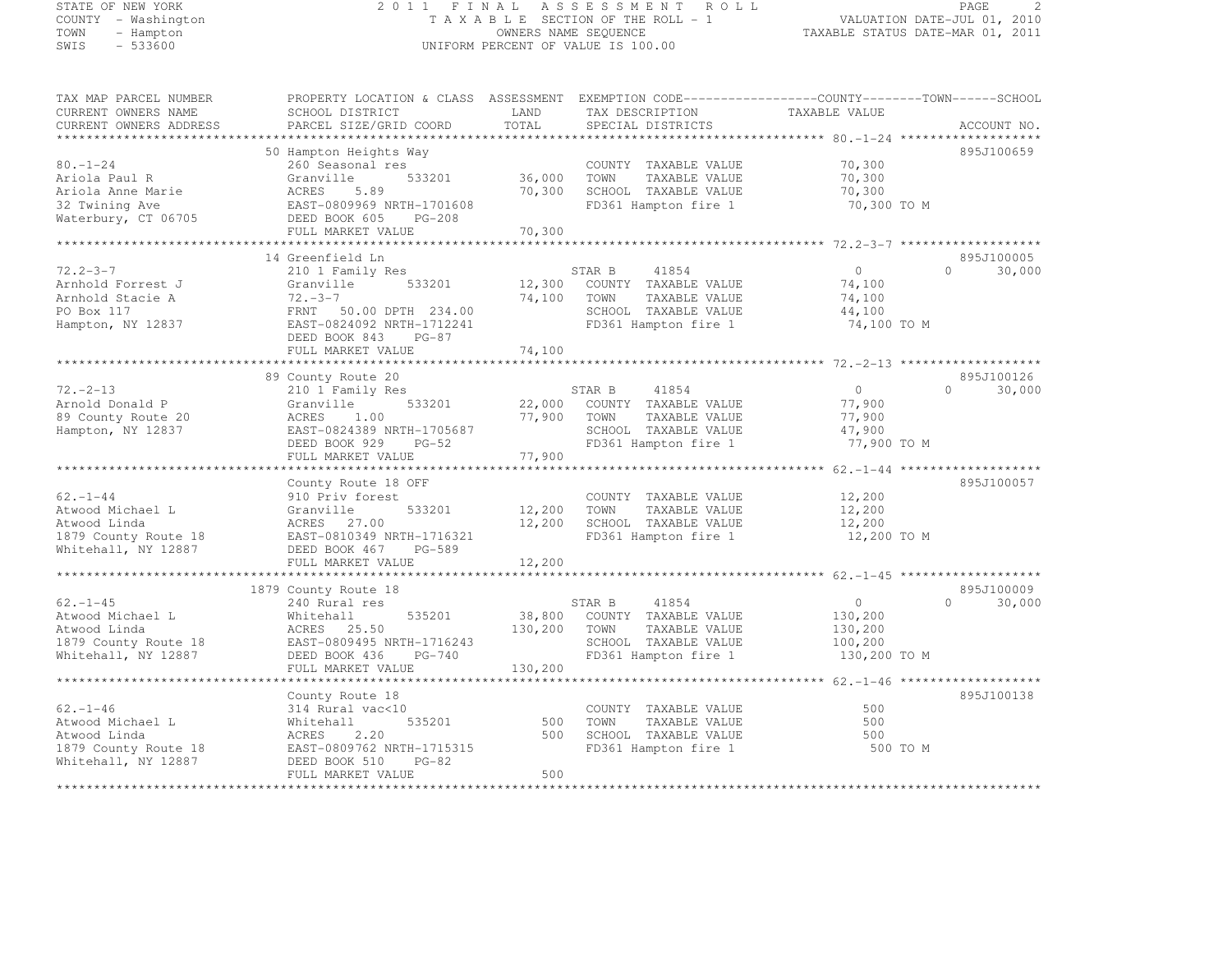## STATE OF NEW YORK 2 0 1 1 F I N A L A S S E S S M E N T R O L L PAGE <sup>2</sup> COUNTY - Washington T A X A B L E SECTION OF THE ROLL - 1 VALUATION DATE-JUL 01, 2010 TOWN - Hampton OWNERS NAME SEQUENCE TAXABLE STATUS DATE-MAR 01, 2011 SWIS - 533600 UNIFORM PERCENT OF VALUE IS 100.00

| TAX MAP PARCEL NUMBER               | PROPERTY LOCATION & CLASS ASSESSMENT EXEMPTION CODE----------------COUNTY-------TOWN------SCHOOL |                  |                                               |                       |                     |
|-------------------------------------|--------------------------------------------------------------------------------------------------|------------------|-----------------------------------------------|-----------------------|---------------------|
| CURRENT OWNERS NAME                 | SCHOOL DISTRICT                                                                                  | LAND             | TAX DESCRIPTION                               | TAXABLE VALUE         |                     |
| CURRENT OWNERS ADDRESS              | PARCEL SIZE/GRID COORD                                                                           | TOTAL            | SPECIAL DISTRICTS                             |                       | ACCOUNT NO.         |
| *************************           |                                                                                                  |                  |                                               |                       |                     |
|                                     | 50 Hampton Heights Way                                                                           |                  |                                               |                       | 895J100659          |
| $80. - 1 - 24$                      | 260 Seasonal res                                                                                 |                  | COUNTY TAXABLE VALUE                          | 70,300                |                     |
| Ariola Paul R                       | Granville<br>533201<br>ACRES<br>5.89                                                             | 36,000<br>70,300 | TAXABLE VALUE<br>TOWN                         | 70,300                |                     |
| Ariola Anne Marie<br>32 Twining Ave | EAST-0809969 NRTH-1701608                                                                        |                  | SCHOOL TAXABLE VALUE<br>FD361 Hampton fire 1  | 70,300<br>70,300 TO M |                     |
| Waterbury, CT 06705                 | DEED BOOK 605<br>PG-208                                                                          |                  |                                               |                       |                     |
|                                     | FULL MARKET VALUE                                                                                | 70,300           |                                               |                       |                     |
|                                     |                                                                                                  |                  |                                               |                       |                     |
|                                     | 14 Greenfield Ln                                                                                 |                  |                                               |                       | 895J100005          |
| $72.2 - 3 - 7$                      | 210 1 Family Res                                                                                 |                  | 41854<br>STAR B                               | $\Omega$              | $\bigcap$<br>30,000 |
| Arnhold Forrest J                   | 533201<br>Granville                                                                              | 12,300           | COUNTY TAXABLE VALUE                          | 74,100                |                     |
| Arnhold Stacie A                    | $72. - 3 - 7$                                                                                    | 74,100           | TOWN<br>TAXABLE VALUE                         | 74,100                |                     |
| PO Box 117                          | FRNT 50.00 DPTH 234.00                                                                           |                  | SCHOOL TAXABLE VALUE                          | 44,100                |                     |
| Hampton, NY 12837                   | EAST-0824092 NRTH-1712241                                                                        |                  | FD361 Hampton fire 1                          | 74,100 TO M           |                     |
|                                     | DEED BOOK 843<br>$PG-87$                                                                         |                  |                                               |                       |                     |
|                                     | FULL MARKET VALUE                                                                                | 74,100           |                                               |                       |                     |
|                                     | ************************                                                                         | ************     |                                               |                       |                     |
|                                     | 89 County Route 20                                                                               |                  |                                               |                       | 895J100126          |
| $72. - 2 - 13$                      | 210 1 Family Res                                                                                 |                  | STAR B<br>41854                               | $\circ$               | $\Omega$<br>30,000  |
| Arnold Donald P                     | Granville<br>533201                                                                              | 22,000           | COUNTY TAXABLE VALUE                          | 77,900                |                     |
| 89 County Route 20                  | ACRES<br>1.00                                                                                    | 77,900           | TAXABLE VALUE<br>TOWN                         | 77,900                |                     |
| Hampton, NY 12837                   | EAST-0824389 NRTH-1705687                                                                        |                  | SCHOOL TAXABLE VALUE                          | 47,900                |                     |
|                                     | DEED BOOK 929<br>$PG-52$<br>FULL MARKET VALUE                                                    | 77,900           | FD361 Hampton fire 1                          | 77,900 TO M           |                     |
|                                     |                                                                                                  |                  |                                               |                       |                     |
|                                     | County Route 18 OFF                                                                              |                  |                                               |                       | 895J100057          |
| $62 - 1 - 44$                       | 910 Priv forest                                                                                  |                  | COUNTY TAXABLE VALUE                          | 12,200                |                     |
| Atwood Michael L                    | 533201<br>Granville                                                                              | 12,200           | TAXABLE VALUE<br>TOWN                         | 12,200                |                     |
| Atwood Linda                        | ACRES 27.00                                                                                      | 12,200           | SCHOOL TAXABLE VALUE                          | 12,200                |                     |
| 1879 County Route 18                | EAST-0810349 NRTH-1716321                                                                        |                  | FD361 Hampton fire 1                          | 12,200 TO M           |                     |
| Whitehall, NY 12887                 | PG-589<br>DEED BOOK 467                                                                          |                  |                                               |                       |                     |
|                                     | FULL MARKET VALUE                                                                                | 12,200           |                                               |                       |                     |
| *********************               |                                                                                                  |                  |                                               |                       |                     |
|                                     | 1879 County Route 18                                                                             |                  |                                               |                       | 895J100009          |
| $62. - 1 - 45$                      | 240 Rural res                                                                                    |                  | 41854<br>STAR B                               | $\circ$               | $\Omega$<br>30,000  |
| Atwood Michael L                    | 535201<br>Whitehall                                                                              | 38,800           | COUNTY TAXABLE VALUE                          | 130,200               |                     |
| Atwood Linda                        | ACRES 25.50                                                                                      | 130,200          | TOWN<br>TAXABLE VALUE                         | 130,200               |                     |
| 1879 County Route 18                | EAST-0809495 NRTH-1716243                                                                        |                  | SCHOOL TAXABLE VALUE                          | 100,200               |                     |
| Whitehall, NY 12887                 | DEED BOOK 436<br>$PG-740$                                                                        |                  | FD361 Hampton fire 1                          | 130,200 TO M          |                     |
|                                     | FULL MARKET VALUE                                                                                | 130,200          |                                               |                       |                     |
|                                     |                                                                                                  |                  |                                               |                       |                     |
|                                     | County Route 18                                                                                  |                  |                                               |                       | 895J100138          |
| $62 - 1 - 46$                       | 314 Rural vac<10                                                                                 |                  | COUNTY TAXABLE VALUE                          | 500<br>500            |                     |
| Atwood Michael L<br>Atwood Linda    | 535201<br>Whitehall<br>2.20<br>ACRES                                                             | 500<br>500       | TOWN<br>TAXABLE VALUE<br>SCHOOL TAXABLE VALUE | 500                   |                     |
| 1879 County Route 18                | EAST-0809762 NRTH-1715315                                                                        |                  | FD361 Hampton fire 1                          | 500 TO M              |                     |
| Whitehall, NY 12887                 | DEED BOOK 510<br>$PG-82$                                                                         |                  |                                               |                       |                     |
|                                     | FULL MARKET VALUE                                                                                | 500              |                                               |                       |                     |
|                                     |                                                                                                  |                  |                                               |                       |                     |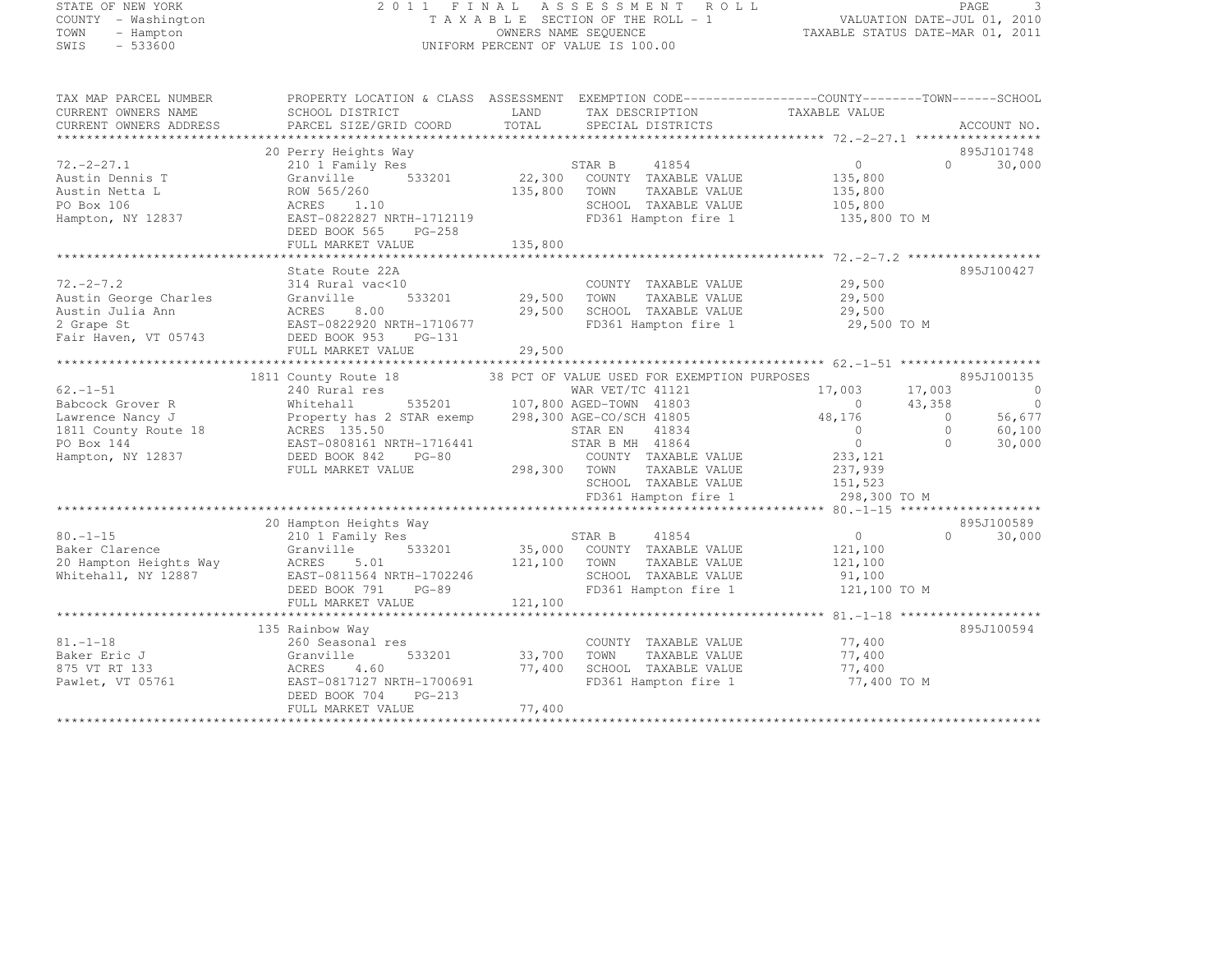#### STATE OF NEW YORK 2 0 1 1 F I N A L A S S E S S M E N T R O L L PAGE <sup>3</sup> COUNTY - Washington T A X A B L E SECTION OF THE ROLL - 1 VALUATION DATE-JUL 01, 2010 TOWN - Hampton OWNERS NAME SEQUENCE TAXABLE STATUS DATE-MAR 01, 2011 SWIS - 533600 UNIFORM PERCENT OF VALUE IS 100.00

TAX MAP PARCEL NUMBER PROPERTY LOCATION & CLASS ASSESSMENT EXEMPTION CODE------------------COUNTY--------TOWN------SCHOOL

| CURRENT OWNERS NAME<br>CURRENT OWNERS ADDRESS                                                      | SCHOOL DISTRICT<br>PARCEL SIZE/GRID COORD                                                                                           | LAND<br>TOTAL    | TAX DESCRIPTION<br>SPECIAL DISTRICTS                                                            | TAXABLE VALUE                                   | ACCOUNT NO.                      |
|----------------------------------------------------------------------------------------------------|-------------------------------------------------------------------------------------------------------------------------------------|------------------|-------------------------------------------------------------------------------------------------|-------------------------------------------------|----------------------------------|
| ********************                                                                               |                                                                                                                                     |                  |                                                                                                 |                                                 |                                  |
| $72. - 2 - 27.1$<br>Austin Dennis T<br>Austin Netta L<br>PO Box 106                                | 20 Perry Heights Way<br>210 1 Family Res<br>533201<br>Granville<br>ROW 565/260<br>1.10<br>ACRES                                     | 135,800          | 41854<br>STAR B<br>22,300 COUNTY TAXABLE VALUE<br>TOWN<br>TAXABLE VALUE<br>SCHOOL TAXABLE VALUE | $\overline{0}$<br>135,800<br>135,800<br>105,800 | 895J101748<br>$\Omega$<br>30,000 |
| Hampton, NY 12837                                                                                  | EAST-0822827 NRTH-1712119<br>DEED BOOK 565<br>PG-258<br>FULL MARKET VALUE                                                           | 135,800          | FD361 Hampton fire 1                                                                            | 135,800 TO M                                    |                                  |
|                                                                                                    |                                                                                                                                     |                  |                                                                                                 |                                                 |                                  |
| $72. - 2 - 7.2$<br>Austin George Charles<br>Austin Julia Ann<br>2 Grape St<br>Fair Haven, VT 05743 | State Route 22A<br>314 Rural vac<10<br>533201<br>Granville<br>ACRES<br>8.00<br>EAST-0822920 NRTH-1710677<br>DEED BOOK 953<br>PG-131 | 29,500<br>29,500 | COUNTY TAXABLE VALUE<br>TAXABLE VALUE<br>TOWN<br>SCHOOL TAXABLE VALUE<br>FD361 Hampton fire 1   | 29,500<br>29,500<br>29,500<br>29,500 TO M       | 895J100427                       |
|                                                                                                    |                                                                                                                                     |                  |                                                                                                 |                                                 |                                  |
|                                                                                                    |                                                                                                                                     |                  |                                                                                                 |                                                 |                                  |
|                                                                                                    | 1811 County Route 18                                                                                                                |                  | 38 PCT OF VALUE USED FOR EXEMPTION PURPOSES                                                     |                                                 | 895J100135                       |
| $62. - 1 - 51$                                                                                     | 240 Rural res                                                                                                                       |                  | WAR VET/TC 41121                                                                                | 17,003                                          | 17,003<br>$\circ$                |
| Babcock Grover R                                                                                   | Whitehall                                                                                                                           |                  | 535201 107,800 AGED-TOWN 41803                                                                  | $\bigcirc$                                      | 43,358<br>$\bigcirc$             |
| Lawrence Nancy J                                                                                   | Property has 2 STAR exemp                                                                                                           |                  | 298,300 AGE-CO/SCH 41805                                                                        | 48,176                                          | 56,677<br>$\overline{0}$         |
| 1811 County Route 18                                                                               | ACRES 135.50                                                                                                                        |                  | STAR EN<br>41834                                                                                | $\overline{0}$                                  | $\Omega$<br>60,100<br>$\Omega$   |
| PO Box 144<br>Hampton, NY 12837                                                                    | EAST-0808161 NRTH-1716441<br>DEED BOOK 842<br>$PG-80$                                                                               |                  | STAR B MH 41864<br>COUNTY TAXABLE VALUE                                                         | $\overline{0}$<br>233, 121                      | 30,000                           |
|                                                                                                    | FULL MARKET VALUE                                                                                                                   | 298,300 TOWN     | TAXABLE VALUE                                                                                   | 237,939                                         |                                  |
|                                                                                                    |                                                                                                                                     |                  | SCHOOL TAXABLE VALUE                                                                            | 151,523                                         |                                  |
|                                                                                                    |                                                                                                                                     |                  | FD361 Hampton fire 1                                                                            | 298,300 TO M                                    |                                  |
|                                                                                                    |                                                                                                                                     |                  |                                                                                                 |                                                 |                                  |
|                                                                                                    | 20 Hampton Heights Way                                                                                                              |                  |                                                                                                 |                                                 | 895J100589                       |
| $80. - 1 - 15$                                                                                     | 210 1 Family Res                                                                                                                    |                  | 41854<br>STAR B                                                                                 | $\circ$                                         | $\Omega$<br>30,000               |
| Baker Clarence                                                                                     | 533201<br>Granville                                                                                                                 |                  | 35,000 COUNTY TAXABLE VALUE                                                                     | 121,100                                         |                                  |
| 20 Hampton Heights Way                                                                             | 5.01<br>ACRES                                                                                                                       | 121,100          | TAXABLE VALUE<br>TOWN                                                                           | 121,100                                         |                                  |
| Whitehall, NY 12887                                                                                | EAST-0811564 NRTH-1702246                                                                                                           |                  | SCHOOL TAXABLE VALUE                                                                            | 91,100                                          |                                  |
|                                                                                                    | DEED BOOK 791<br>PG-89                                                                                                              |                  | FD361 Hampton fire 1                                                                            | 121,100 TO M                                    |                                  |
|                                                                                                    | FULL MARKET VALUE                                                                                                                   | 121,100          |                                                                                                 |                                                 |                                  |
|                                                                                                    |                                                                                                                                     |                  |                                                                                                 |                                                 |                                  |
|                                                                                                    | 135 Rainbow Way                                                                                                                     |                  |                                                                                                 |                                                 | 895J100594                       |
| $81. - 1 - 18$                                                                                     | 260 Seasonal res                                                                                                                    |                  | COUNTY TAXABLE VALUE                                                                            | 77,400                                          |                                  |
| Baker Eric J                                                                                       | 533201<br>Granville                                                                                                                 | 33,700<br>77,400 | TOWN<br>TAXABLE VALUE                                                                           | 77,400<br>77,400                                |                                  |
| 875 VT RT 133<br>Pawlet, VT 05761                                                                  | ACRES<br>4.60<br>EAST-0817127 NRTH-1700691                                                                                          |                  | SCHOOL TAXABLE VALUE<br>FD361 Hampton fire 1                                                    | 77,400 TO M                                     |                                  |
|                                                                                                    | DEED BOOK 704<br>$PG-213$                                                                                                           | 77,400           |                                                                                                 |                                                 |                                  |
|                                                                                                    | FULL MARKET VALUE                                                                                                                   |                  |                                                                                                 |                                                 |                                  |
|                                                                                                    |                                                                                                                                     |                  |                                                                                                 |                                                 |                                  |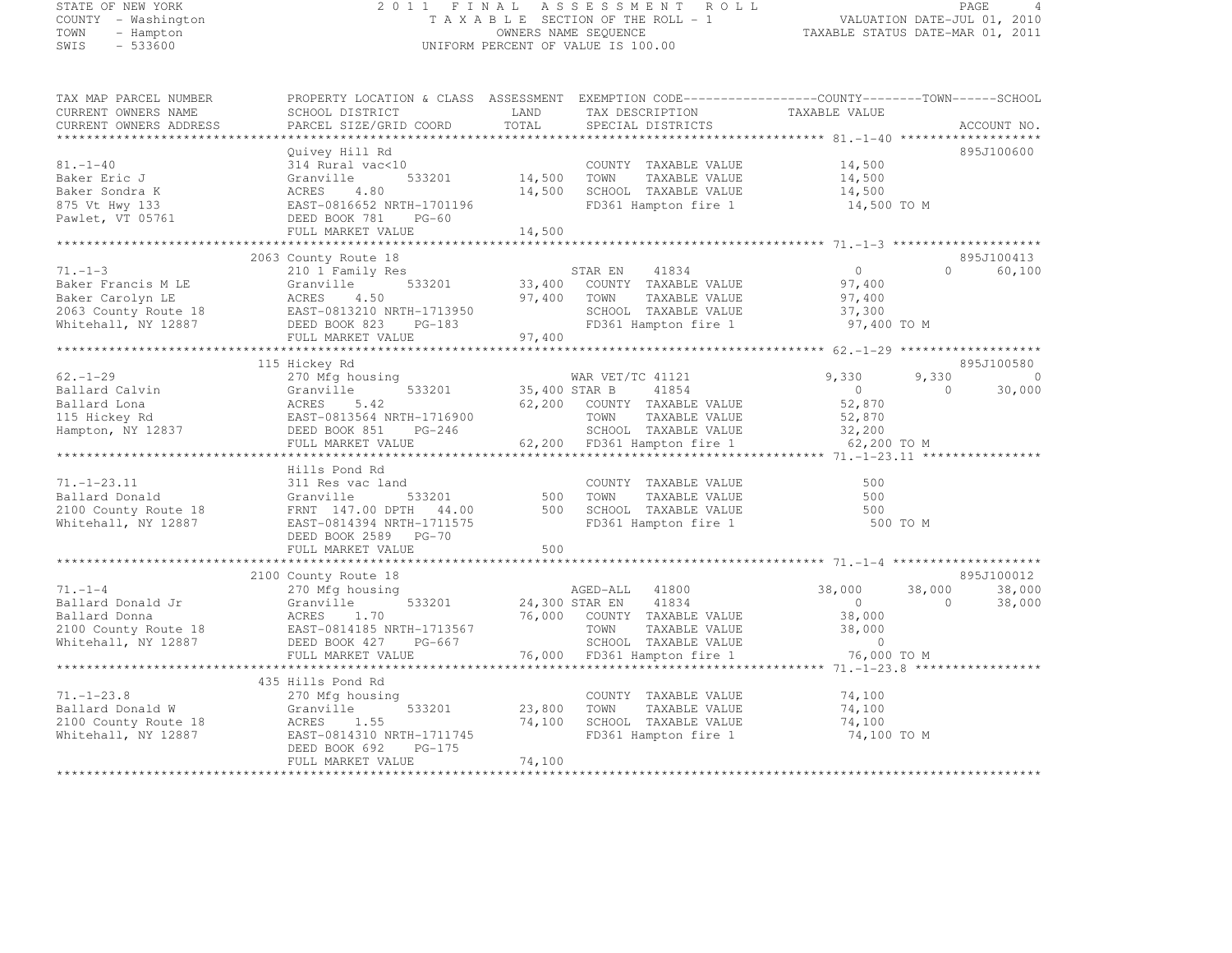# STATE OF NEW YORK 2 0 1 1 F I N A L A S S E S S M E N T R O L L PAGE <sup>4</sup> COUNTY - Washington T A X A B L E SECTION OF THE ROLL - 1 VALUATION DATE-JUL 01, 2010 TOWN - Hampton OWNERS NAME SEQUENCE TAXABLE STATUS DATE-MAR 01, 2011 SWIS - 533600 UNIFORM PERCENT OF VALUE IS 100.00

| TAX MAP PARCEL NUMBER<br>CURRENT OWNERS NAME<br>CURRENT OWNERS ADDRESS                                              | PROPERTY LOCATION & CLASS ASSESSMENT EXEMPTION CODE----------------COUNTY-------TOWN-----SCHOOL<br>SCHOOL DISTRICT<br>PARCEL SIZE/GRID COORD                 | LAND<br>TOTAL              | TAX DESCRIPTION TAXABLE VALUE SPECIAL DISTRICTS<br>SPECIAL DISTRICTS                                                                                          |                                                             | ACCOUNT NO.                                             |
|---------------------------------------------------------------------------------------------------------------------|--------------------------------------------------------------------------------------------------------------------------------------------------------------|----------------------------|---------------------------------------------------------------------------------------------------------------------------------------------------------------|-------------------------------------------------------------|---------------------------------------------------------|
|                                                                                                                     |                                                                                                                                                              |                            |                                                                                                                                                               |                                                             |                                                         |
| $81. - 1 - 40$<br>Baker Eric J<br>Baker Sondra K<br>875 Vt Hwy 133<br>Pawlet, VT 05761                              | Quivey Hill Rd<br>314 Rural vac<10<br>533201<br>Granville<br>ACRES<br>4.80<br>EAST-0816652 NRTH-1701196<br>DEED BOOK 781<br>$PG-60$                          | 14,500 TOWN                | COUNTY TAXABLE VALUE<br>TAXABLE VALUE<br>14,500 SCHOOL TAXABLE VALUE<br>FD361 Hampton fire 1                                                                  | 14,500<br>14,500<br>14,500<br>14,500 TO M                   | 895J100600                                              |
|                                                                                                                     | FULL MARKET VALUE                                                                                                                                            | 14,500                     |                                                                                                                                                               |                                                             |                                                         |
|                                                                                                                     |                                                                                                                                                              |                            |                                                                                                                                                               |                                                             |                                                         |
| $71. - 1 - 3$<br>Baker Francis M LE<br>Baker Carolyn LE<br>$2063$ County Route 18<br>Whitehall, NY 12887            | 2063 County Route 18<br>210 1 Family Res<br>533201<br>Granville<br>ACRES<br>4.50<br>EAST-0813210 NRTH-1713950<br>DEED BOOK 823 PG-183<br>FULL MARKET VALUE   | 97,400<br>97,400           | STAR EN<br>41834<br>33,400 COUNTY TAXABLE VALUE<br>TOWN<br>TAXABLE VALUE<br>SCHOOL TAXABLE VALUE<br>FD361 Hampton fire 1                                      | $\overline{0}$<br>97,400<br>97,400<br>37,300<br>97,400 TO M | 895J100413<br>$\Omega$<br>60,100                        |
|                                                                                                                     |                                                                                                                                                              |                            |                                                                                                                                                               |                                                             |                                                         |
| $62 - 1 - 29$<br>Ballard Calvin<br>Ballard Lona<br>115 Hickey Rd<br>Hampton, NY 12837<br>************************** | 115 Hickey Rd<br>270 Mfg housing<br>533201<br>Granville<br>ACRES<br>5.42<br>EAST-0813564 NRTH-1716900<br>DEED BOOK 851<br>$PG-246$<br>FULL MARKET VALUE      | 35,400 STAR B              | WAR VET/TC 41121<br>62,200 COUNTY TAXABLE VALUE<br>TOWN TAXABLE VALUE<br>SCHOOL TAXABLE VALUE $32,200$<br>FR261 Haupter fire 1<br>62,200 FD361 Hampton fire 1 | 9,330<br>$\overline{0}$<br>52,870<br>52,870<br>62,200 TO M  | 895J100580<br>9,330<br>$\bigcirc$<br>30,000<br>$\Omega$ |
|                                                                                                                     |                                                                                                                                                              |                            |                                                                                                                                                               |                                                             | *************** 71.-1-23.11 *****************           |
| $71. - 1 - 23.11$<br>Ballard Donald<br>2100 County Route 18<br>Whitehall, NY 12887                                  | Hills Pond Rd<br>311 Res vac land<br>533201<br>Granville<br>FRNT 147.00 DPTH 44.00<br>EAST-0814394 NRTH-1711575<br>DEED BOOK 2589 PG-70<br>FULL MARKET VALUE | 500<br>500<br>500          | COUNTY TAXABLE VALUE<br>TOWN TAXABLE VALUE<br>TOWN TAXABLE VALUE<br>SCHOOL TAXABLE VALUE<br>FD361 Hampton fire 1                                              | 500<br>500<br>500<br>500 TO M                               |                                                         |
|                                                                                                                     |                                                                                                                                                              |                            |                                                                                                                                                               |                                                             |                                                         |
| $71. - 1 - 4$<br>Ballard Donald Jr<br>Ballard Donna<br>2100 County Route 18<br>Whitehall, NY 12887                  | 2100 County Route 18<br>270 Mfg housing<br>533201<br>Granville<br>ACRES<br>1.70<br>EAST-0814185 NRTH-1713567<br>DEED BOOK 427<br>PG-667                      |                            | AGED-ALL 41800<br>24,300 STAR EN 41834<br>76,000 COUNTY TAXABLE VALUE<br>TAXABLE VALUE<br>TOWN<br>SCHOOL TAXABLE VALUE                                        | 38,000<br>$\overline{0}$<br>38,000<br>38,000<br>$\sim$ 0    | 895J100012<br>38,000<br>38,000<br>$\bigcirc$<br>38,000  |
|                                                                                                                     | FULL MARKET VALUE                                                                                                                                            |                            | 76,000 FD361 Hampton fire 1                                                                                                                                   | 76,000 TO M                                                 |                                                         |
|                                                                                                                     |                                                                                                                                                              |                            |                                                                                                                                                               |                                                             |                                                         |
| $71, -1 - 23.8$<br>Ballard Donald W<br>2100 County Route 18<br>Whitehall, NY 12887                                  | 435 Hills Pond Rd<br>270 Mfg housing<br>533201<br>Granville<br>ACRES<br>1.55<br>EAST-0814310 NRTH-1711745<br>DEED BOOK 692<br>$PG-175$<br>FULL MARKET VALUE  | 23,800<br>74,100<br>74,100 | COUNTY TAXABLE VALUE<br>TOWN<br>TAXABLE VALUE<br>SCHOOL TAXABLE VALUE<br>FD361 Hampton fire 1                                                                 | 74,100<br>74,100<br>74,100<br>74,100 TO M                   |                                                         |
|                                                                                                                     |                                                                                                                                                              |                            |                                                                                                                                                               |                                                             |                                                         |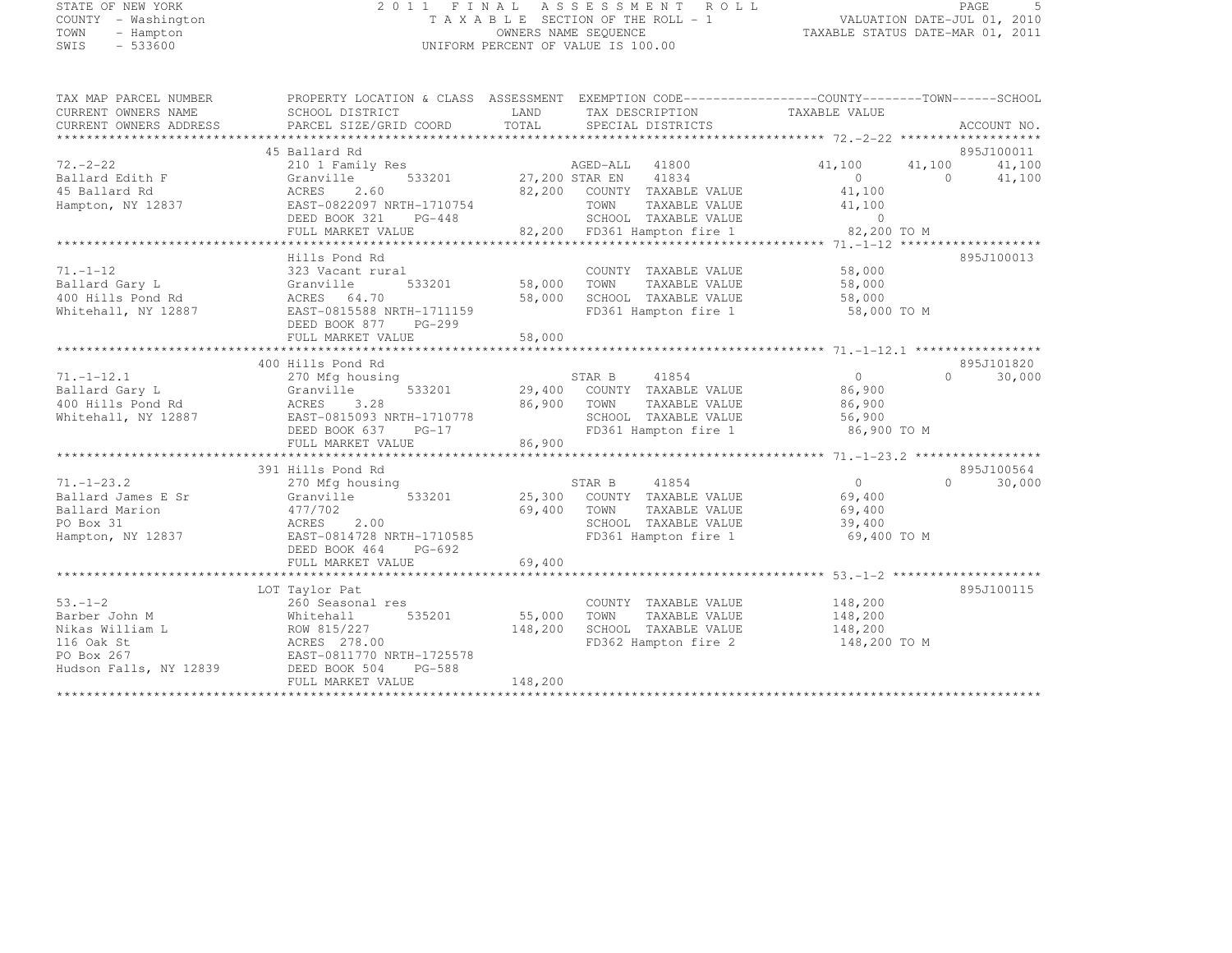# STATE OF NEW YORK 2 0 1 1 F I N A L A S S E S S M E N T R O L L PAGE <sup>5</sup> COUNTY - Washington T A X A B L E SECTION OF THE ROLL - 1 VALUATION DATE-JUL 01, 2010 TOWN - Hampton OWNERS NAME SEQUENCE TAXABLE STATUS DATE-MAR 01, 2011 SWIS - 533600 UNIFORM PERCENT OF VALUE IS 100.00

| TAX MAP PARCEL NUMBER  | PROPERTY LOCATION & CLASS ASSESSMENT EXEMPTION CODE----------------COUNTY-------TOWN-----SCHOOL |                                                            |                              |                                  |          |                    |
|------------------------|-------------------------------------------------------------------------------------------------|------------------------------------------------------------|------------------------------|----------------------------------|----------|--------------------|
| CURRENT OWNERS NAME    | SCHOOL DISTRICT                                                                                 | LAND                                                       | TAX DESCRIPTION              | TAXABLE VALUE                    |          |                    |
| CURRENT OWNERS ADDRESS | PARCEL SIZE/GRID COORD                                                                          | TOTAL                                                      | SPECIAL DISTRICTS            |                                  |          | ACCOUNT NO.        |
|                        |                                                                                                 |                                                            |                              |                                  |          |                    |
|                        | 45 Ballard Rd                                                                                   |                                                            |                              |                                  |          | 895J100011         |
| $72 - 2 - 22$          | 210 1 Family Res AGED-ALL 41800                                                                 |                                                            |                              | 41,100                           | 41,100   | 41,100             |
| Ballard Edith F        | Granville                                                                                       | 533201 27,200 STAR EN 41834                                |                              | $\overline{0}$                   | $\Omega$ | 41,100             |
| 45 Ballard Rd          | 2.60<br>ACRES                                                                                   | 82,200 COUNTY TAXABLE VALUE                                |                              | 41,100                           |          |                    |
| Hampton, NY 12837      | EAST-0822097 NRTH-1710754                                                                       | TOWN                                                       | TAXABLE VALUE                | 41,100                           |          |                    |
|                        | DEED BOOK 321<br>PG-448                                                                         |                                                            |                              |                                  |          |                    |
|                        | FULL MARKET VALUE                                                                               | SCHOOL TAXABLE VALUE<br>82,200 FD361 Hampton fire 1 82,200 |                              | 82,200 TO M                      |          |                    |
|                        |                                                                                                 |                                                            |                              |                                  |          | 895J100013         |
| $71. - 1 - 12$         | Hills Pond Rd<br>323 Vacant rural                                                               |                                                            | COUNTY TAXABLE VALUE         | 58,000                           |          |                    |
| Ballard Gary L         | 533201<br>Granville                                                                             | 58,000 TOWN                                                | TAXABLE VALUE                | 58,000                           |          |                    |
| 400 Hills Pond Rd      |                                                                                                 | 58,000                                                     | SCHOOL TAXABLE VALUE         | 58,000                           |          |                    |
| Whitehall, NY 12887    |                                                                                                 |                                                            | FD361 Hampton fire 1         | 58,000 TO M                      |          |                    |
|                        | ACRES 04.70<br>EAST-0815588 NRTH-1711159<br>ACC 077 PG-299<br>DEED BOOK 877<br>PG-299           |                                                            |                              |                                  |          |                    |
|                        | FULL MARKET VALUE                                                                               | 58,000                                                     |                              |                                  |          |                    |
|                        |                                                                                                 |                                                            |                              |                                  |          |                    |
|                        | 400 Hills Pond Rd                                                                               |                                                            |                              |                                  |          | 895J101820         |
| $71. - 1 - 12.1$       | 270 Mfg housing                                                                                 | STAR B 41854                                               |                              | $\overline{0}$                   |          | 30,000<br>$\Omega$ |
| Ballard Gary L         | Granville                                                                                       | 533201 29,400 COUNTY TAXABLE VALUE                         |                              | 86,900                           |          |                    |
| 400 Hills Pond Rd      |                                                                                                 | 86,900 TOWN                                                | TAXABLE VALUE                | 86,900                           |          |                    |
| Whitehall, NY 12887    | ACRES 5.20<br>EAST-0815093 NRTH-1710778                                                         |                                                            | SCHOOL TAXABLE VALUE         | 56,900                           |          |                    |
|                        | DEED BOOK 637 PG-17                                                                             |                                                            |                              | FD361 Hampton fire 1 86,900 TO M |          |                    |
|                        | FULL MARKET VALUE                                                                               | 86,900                                                     |                              |                                  |          |                    |
|                        |                                                                                                 |                                                            |                              |                                  |          |                    |
|                        | 391 Hills Pond Rd                                                                               |                                                            |                              |                                  |          | 895J100564         |
| $71. - 1 - 23.2$       | 270 Mfg housing                                                                                 |                                                            | STAR B 41854                 | $\overline{0}$                   | $\Omega$ | 30,000             |
| Ballard James E Sr     | Granville 533201 25,300 COUNTY TAXABLE VALUE                                                    |                                                            |                              | 69,400                           |          |                    |
| Ballard Marion         | 477/702                                                                                         | 69,400 TOWN                                                | TAXABLE VALUE                | 69,400                           |          |                    |
| PO Box 31              | ACRES 2.00                                                                                      |                                                            | SCHOOL TAXABLE VALUE         | 39,400                           |          |                    |
| Hampton, NY 12837      | EAST-0814728 NRTH-1710585                                                                       |                                                            | FD361 Hampton fire 1         | 69,400 TO M                      |          |                    |
|                        | DEED BOOK 464<br>PG-692                                                                         |                                                            |                              |                                  |          |                    |
|                        | FULL MARKET VALUE                                                                               | 69,400                                                     |                              |                                  |          |                    |
|                        |                                                                                                 |                                                            |                              |                                  |          |                    |
|                        | LOT Taylor Pat                                                                                  |                                                            |                              |                                  |          | 895J100115         |
| $53 - 1 - 2$           | 260 Seasonal res                                                                                |                                                            | COUNTY TAXABLE VALUE 148,200 |                                  |          |                    |
| Barber John M          | 535201<br>Whitehall                                                                             | 55,000<br>TOWN                                             | TAXABLE VALUE                | 148,200                          |          |                    |
| Nikas William L        | ROW 815/227<br>ACRES 278.00                                                                     | 148,200                                                    | SCHOOL TAXABLE VALUE         | 148,200                          |          |                    |
| 116 Oak St             |                                                                                                 |                                                            | FD362 Hampton fire 2         | 148,200 TO M                     |          |                    |
| PO Box 267             | EAST-0811770 NRTH-1725578                                                                       |                                                            |                              |                                  |          |                    |
| Hudson Falls, NY 12839 | DEED BOOK 504<br>PG-588<br>FULL MARKET VALUE                                                    | 148,200                                                    |                              |                                  |          |                    |
|                        |                                                                                                 |                                                            |                              |                                  |          |                    |
|                        |                                                                                                 |                                                            |                              |                                  |          |                    |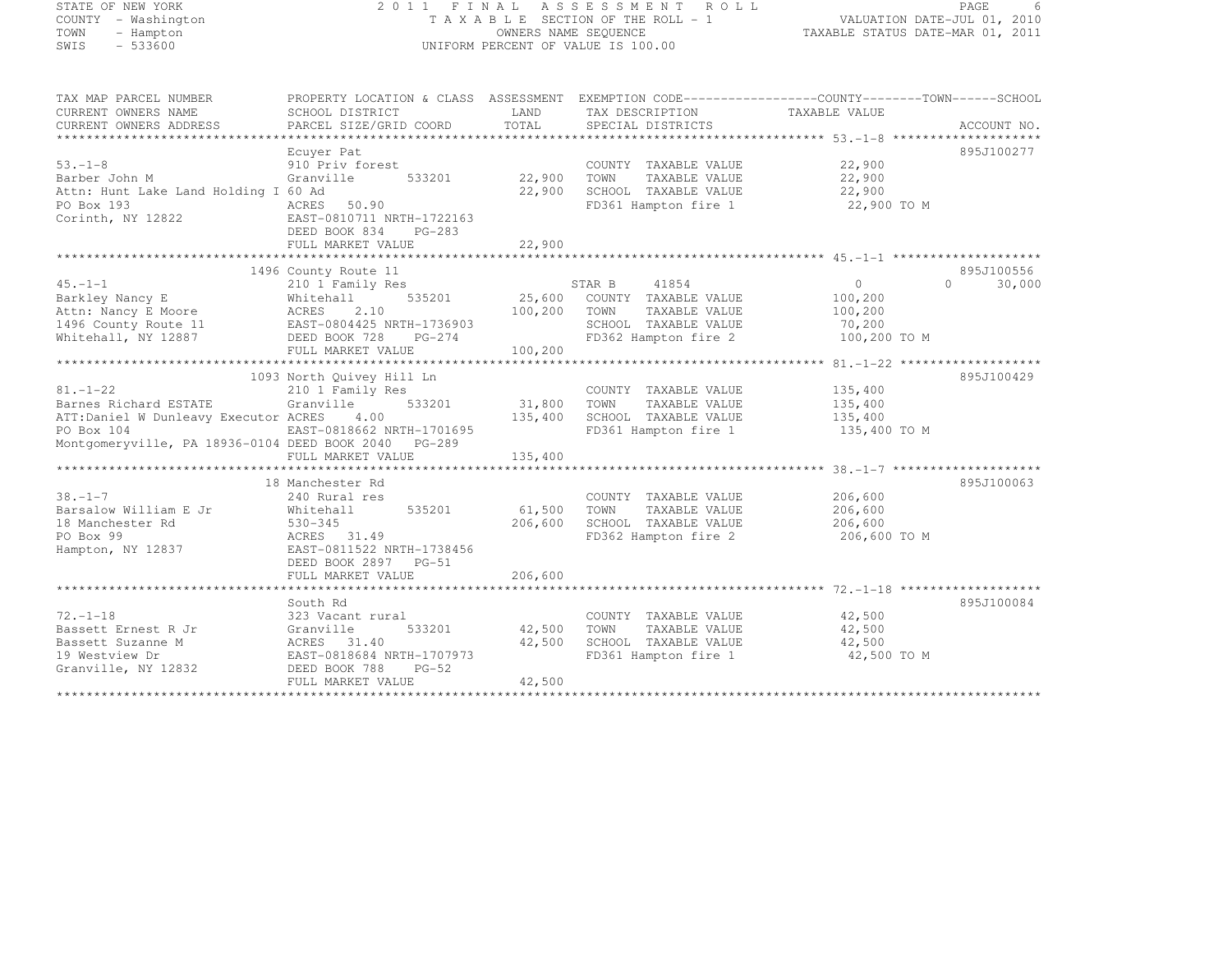# STATE OF NEW YORK 2 0 1 1 F I N A L A S S E S S M E N T R O L L PAGE <sup>6</sup> COUNTY - Washington T A X A B L E SECTION OF THE ROLL - 1 VALUATION DATE-JUL 01, 2010 TOWN - Hampton OWNERS NAME SEQUENCE TAXABLE STATUS DATE-MAR 01, 2011 SWIS - 533600 UNIFORM PERCENT OF VALUE IS 100.00

| TAX MAP PARCEL NUMBER<br>CURRENT OWNERS NAME<br>CURRENT OWNERS ADDRESS                                                                                | PROPERTY LOCATION & CLASS ASSESSMENT EXEMPTION CODE----------------COUNTY-------TOWN-----SCHOOL<br>SCHOOL DISTRICT<br>PARCEL SIZE/GRID COORD     | LAND<br>TOTAL              | TAX DESCRIPTION<br>SPECIAL DISTRICTS                                                                                    | TAXABLE VALUE                                           | ACCOUNT NO.        |
|-------------------------------------------------------------------------------------------------------------------------------------------------------|--------------------------------------------------------------------------------------------------------------------------------------------------|----------------------------|-------------------------------------------------------------------------------------------------------------------------|---------------------------------------------------------|--------------------|
| $53. - 1 - 8$<br>Barber John M<br>Attn: Hunt Lake Land Holding I 60 Ad<br>PO Box 193<br>Corinth, NY 12822                                             | Ecuyer Pat<br>910 Priv forest<br>Granville<br>533201<br>ACRES 50.90<br>EAST-0810711 NRTH-1722163<br>DEED BOOK 834<br>PG-283<br>FULL MARKET VALUE | 22,900<br>22,900<br>22,900 | COUNTY TAXABLE VALUE<br>TOWN<br>TAXABLE VALUE<br>SCHOOL TAXABLE VALUE<br>FD361 Hampton fire 1                           | 22,900<br>22,900<br>22,900<br>22,900 TO M               | 895J100277         |
|                                                                                                                                                       | 1496 County Route 11                                                                                                                             |                            |                                                                                                                         |                                                         | 895J100556         |
| $45. -1 - 1$<br>Barkley Nancy E<br>Attn: Nancy E Moore<br>1496 County Route 11<br>Whitehall, NY 12887                                                 | 210 1 Family Res<br>535201<br>Whitehall<br>2.10<br>ACRES<br>EAST-0804425 NRTH-1736903<br>DEED BOOK 728<br>$PG-274$<br>FULL MARKET VALUE          | 100,200<br>100,200         | STAR B<br>41854<br>25,600 COUNTY TAXABLE VALUE<br>TOWN<br>TAXABLE VALUE<br>SCHOOL TAXABLE VALUE<br>FD362 Hampton fire 2 | $\circ$<br>100,200<br>100,200<br>70,200<br>100,200 TO M | $\Omega$<br>30,000 |
|                                                                                                                                                       |                                                                                                                                                  |                            |                                                                                                                         |                                                         |                    |
| $81. - 1 - 22$<br>Barnes Richard ESTATE<br>ATT:Daniel W Dunleavy Executor ACRES<br>PO Box 104<br>Montgomeryville, PA 18936-0104 DEED BOOK 2040 PG-289 | 1093 North Quivey Hill Ln<br>210 1 Family Res<br>Granville<br>533201<br>4.00<br>EAST-0818662 NRTH-1701695                                        | 31,800<br>135,400          | COUNTY TAXABLE VALUE<br>TOWN<br>TAXABLE VALUE<br>SCHOOL TAXABLE VALUE<br>FD361 Hampton fire 1                           | 135,400<br>135,400<br>135,400<br>135,400 TO M           | 895J100429         |
|                                                                                                                                                       | FULL MARKET VALUE                                                                                                                                | 135,400                    |                                                                                                                         |                                                         |                    |
| $38. - 1 - 7$<br>Barsalow William E Jr<br>18 Manchester Rd<br>PO Box 99                                                                               | 18 Manchester Rd<br>240 Rural res<br>Whitehall<br>535201<br>$530 - 345$<br>ACRES 31.49                                                           | 61,500<br>206,600          | COUNTY TAXABLE VALUE<br>TOWN<br>TAXABLE VALUE<br>SCHOOL TAXABLE VALUE<br>FD362 Hampton fire 2                           | 206,600<br>206,600<br>206,600<br>206,600 TO M           | 895J100063         |
| Hampton, NY 12837                                                                                                                                     | EAST-0811522 NRTH-1738456<br>DEED BOOK 2897 PG-51<br>FULL MARKET VALUE                                                                           | 206,600                    |                                                                                                                         |                                                         |                    |
|                                                                                                                                                       |                                                                                                                                                  |                            |                                                                                                                         |                                                         |                    |
| $72. - 1 - 18$<br>Bassett Ernest R Jr<br>Bassett Suzanne M<br>19 Westview Dr<br>Granville, NY 12832                                                   | South Rd<br>323 Vacant rural<br>533201<br>Granville<br>ACRES 31.40<br>EAST-0818684 NRTH-1707973<br>$PG-52$<br>DEED BOOK 788<br>FULL MARKET VALUE | 42,500<br>42,500<br>42,500 | COUNTY TAXABLE VALUE<br>TAXABLE VALUE<br>TOWN<br>SCHOOL TAXABLE VALUE<br>FD361 Hampton fire 1                           | 42,500<br>42,500<br>42,500<br>42,500 TO M               | 895J100084         |
|                                                                                                                                                       |                                                                                                                                                  |                            |                                                                                                                         |                                                         |                    |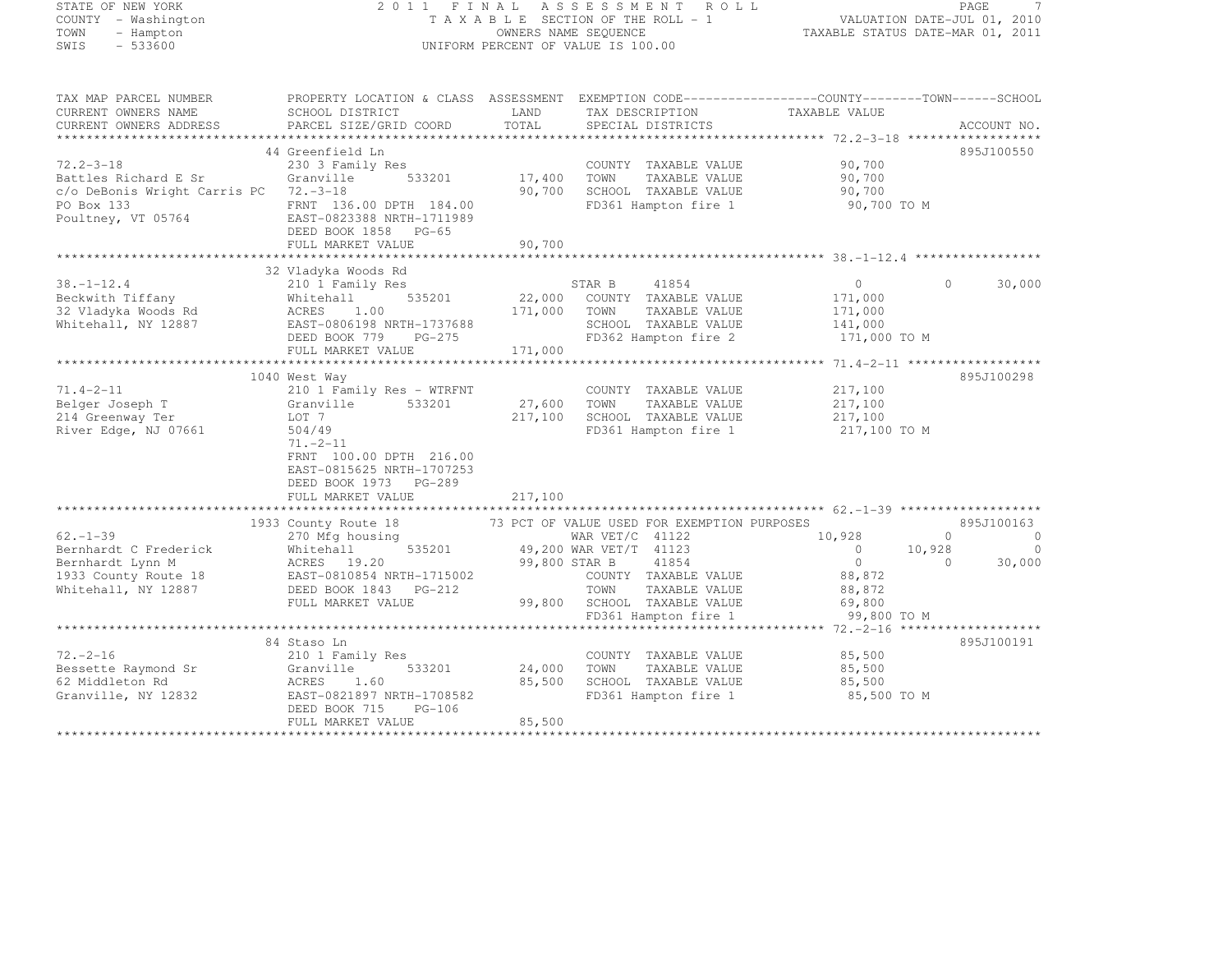## STATE OF NEW YORK 2 0 1 1 F I N A L A S S E S S M E N T R O L L PAGE <sup>7</sup> COUNTY - Washington T A X A B L E SECTION OF THE ROLL - 1 VALUATION DATE-JUL 01, 2010 TOWN - Hampton OWNERS NAME SEQUENCE TAXABLE STATUS DATE-MAR 01, 2011 SWIS - 533600 UNIFORM PERCENT OF VALUE IS 100.00

| TAX MAP PARCEL NUMBER<br>CURRENT OWNERS NAME                                                                | PROPERTY LOCATION & CLASS ASSESSMENT EXEMPTION CODE----------------COUNTY-------TOWN------SCHOOL<br>SCHOOL DISTRICT                                                    | LAND                       | TAX DESCRIPTION                                                                                                                                            | TAXABLE VALUE                                                             |                                                                  |
|-------------------------------------------------------------------------------------------------------------|------------------------------------------------------------------------------------------------------------------------------------------------------------------------|----------------------------|------------------------------------------------------------------------------------------------------------------------------------------------------------|---------------------------------------------------------------------------|------------------------------------------------------------------|
| CURRENT OWNERS ADDRESS                                                                                      | PARCEL SIZE/GRID COORD                                                                                                                                                 | TOTAL                      | SPECIAL DISTRICTS                                                                                                                                          |                                                                           | ACCOUNT NO.                                                      |
| **************************                                                                                  | 44 Greenfield Ln                                                                                                                                                       |                            |                                                                                                                                                            |                                                                           |                                                                  |
| $72.2 - 3 - 18$<br>Battles Richard E Sr<br>c/o DeBonis Wright Carris PC<br>PO Box 133<br>Poultney, VT 05764 | 230 3 Family Res<br>533201<br>Granville<br>$72 - 3 - 18$<br>FRNT 136.00 DPTH 184.00<br>EAST-0823388 NRTH-1711989<br>DEED BOOK 1858 PG-65<br>FULL MARKET VALUE          | 17,400<br>90,700<br>90,700 | COUNTY TAXABLE VALUE<br>TOWN<br>TAXABLE VALUE<br>SCHOOL TAXABLE VALUE<br>FD361 Hampton fire 1                                                              | 90,700<br>90,700<br>90,700<br>90,700 TO M                                 | 895J100550                                                       |
|                                                                                                             | 32 Vladyka Woods Rd                                                                                                                                                    |                            |                                                                                                                                                            |                                                                           |                                                                  |
| $38. - 1 - 12.4$<br>Beckwith Tiffany<br>32 Vladyka Woods Rd<br>Whitehall, NY 12887                          | 210 1 Family Res<br>535201<br>Whitehall<br>ACRES<br>1.00<br>EAST-0806198 NRTH-1737688<br>DEED BOOK 779 PG-275<br>FULL MARKET VALUE                                     | 171,000<br>171,000         | STAR B<br>41854<br>22,000 COUNTY TAXABLE VALUE<br>TOWN<br>TAXABLE VALUE<br>SCHOOL TAXABLE VALUE<br>FD362 Hampton fire 2                                    | $\circ$<br>171,000<br>171,000<br>141,000<br>171,000 TO M                  | 30,000<br>$\Omega$                                               |
|                                                                                                             | 1040 West Way                                                                                                                                                          |                            |                                                                                                                                                            |                                                                           | 895J100298                                                       |
| $71.4 - 2 - 11$<br>Belger Joseph T<br>214 Greenway Ter<br>River Edge, NJ 07661                              | 210 1 Family Res - WTRFNT<br>533201<br>Granville<br>LOT 7<br>504/49<br>$71. - 2 - 11$<br>FRNT 100.00 DPTH 216.00<br>EAST-0815625 NRTH-1707253<br>DEED BOOK 1973 PG-289 | 27,600<br>217,100          | COUNTY TAXABLE VALUE<br>TOWN<br>TAXABLE VALUE<br>SCHOOL TAXABLE VALUE<br>FD361 Hampton fire 1                                                              | 217,100<br>217,100<br>217,100<br>217,100 TO M                             |                                                                  |
|                                                                                                             | FULL MARKET VALUE                                                                                                                                                      | 217,100                    |                                                                                                                                                            |                                                                           |                                                                  |
|                                                                                                             | 1933 County Route 18                                                                                                                                                   |                            | 73 PCT OF VALUE USED FOR EXEMPTION PURPOSES                                                                                                                |                                                                           | 895J100163                                                       |
| $62. - 1 - 39$<br>Bernhardt C Frederick<br>Bernhardt Lynn M<br>1933 County Route 18<br>Whitehall, NY 12887  | 270 Mfg housing<br>535201<br>Whitehall<br>ACRES 19.20<br>EAST-0810854 NRTH-1715002<br>DEED BOOK 1843 PG-212<br>FULL MARKET VALUE                                       | 99,800 STAR B              | WAR VET/C 41122<br>49,200 WAR VET/T 41123<br>41854<br>COUNTY TAXABLE VALUE<br>TOWN<br>TAXABLE VALUE<br>99,800 SCHOOL TAXABLE VALUE<br>FD361 Hampton fire 1 | 10,928<br>$\circ$<br>$\circ$<br>88,872<br>88,872<br>69,800<br>99,800 TO M | $\Omega$<br>$\Omega$<br>10,928<br>$\Omega$<br>$\Omega$<br>30,000 |
|                                                                                                             |                                                                                                                                                                        |                            |                                                                                                                                                            |                                                                           |                                                                  |
| $72. - 2 - 16$<br>Bessette Raymond Sr<br>62 Middleton Rd<br>Granville, NY 12832                             | 84 Staso Ln<br>210 1 Family Res<br>533201<br>Granville<br>1.60<br>ACRES<br>EAST-0821897 NRTH-1708582<br>PG-106<br>DEED BOOK 715<br>FULL MARKET VALUE                   | 24,000<br>85,500<br>85,500 | COUNTY TAXABLE VALUE<br>TOWN<br>TAXABLE VALUE<br>SCHOOL TAXABLE VALUE<br>FD361 Hampton fire 1                                                              | 85,500<br>85,500<br>85,500<br>85,500 TO M                                 | 895J100191                                                       |
|                                                                                                             |                                                                                                                                                                        |                            |                                                                                                                                                            |                                                                           |                                                                  |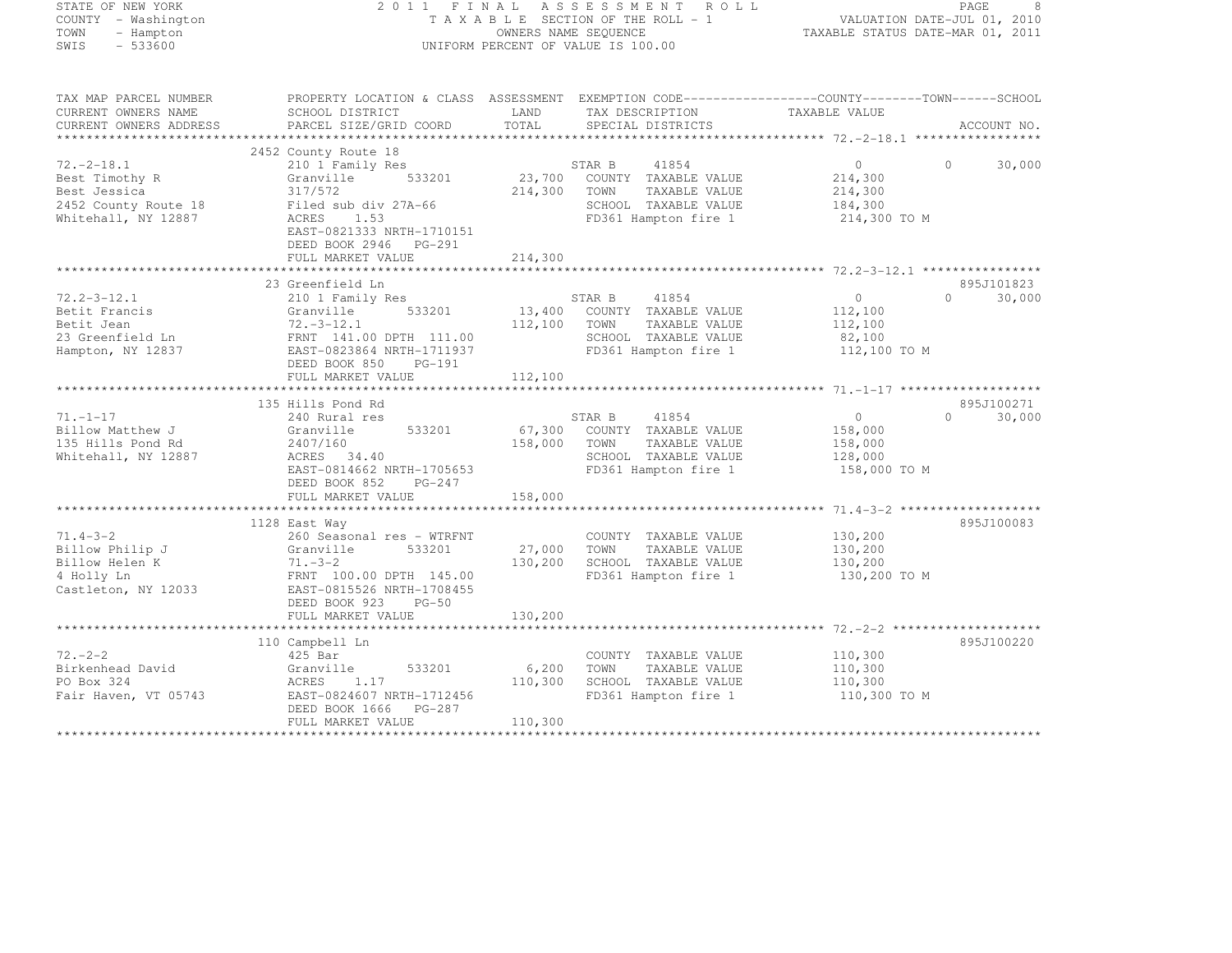| STATE OF NEW YORK                                                                                                                                                                                                                                  |                                          |                      | 2011 FINAL ASSESSMENT ROLL                                                                | PAGE 8<br>VALUATION DATE-JUL 01, 2010<br>TAXABLE STATUS DATE 11- |                             |
|----------------------------------------------------------------------------------------------------------------------------------------------------------------------------------------------------------------------------------------------------|------------------------------------------|----------------------|-------------------------------------------------------------------------------------------|------------------------------------------------------------------|-----------------------------|
| COUNTY - Washington                                                                                                                                                                                                                                |                                          |                      | TAXABLE SECTION OF THE ROLL - 1                                                           |                                                                  |                             |
| TOWN<br>- Hampton                                                                                                                                                                                                                                  |                                          | OWNERS NAME SEQUENCE |                                                                                           | TAXABLE STATUS DATE-MAR 01, 2011                                 |                             |
| $-533600$<br>SWIS                                                                                                                                                                                                                                  |                                          |                      | UNIFORM PERCENT OF VALUE IS 100.00                                                        |                                                                  |                             |
|                                                                                                                                                                                                                                                    |                                          |                      |                                                                                           |                                                                  |                             |
|                                                                                                                                                                                                                                                    |                                          |                      |                                                                                           |                                                                  |                             |
| TAX MAP PARCEL NUMBER THE PROPERTY LOCATION & CLASS ASSESSMENT EXEMPTION CODE----------------COUNTY-------TOWN-----SCHOOL                                                                                                                          |                                          |                      |                                                                                           |                                                                  |                             |
| CURRENT OWNERS NAME                                                                                                                                                                                                                                | SCHOOL DISTRICT                          |                      | LAND TAX DESCRIPTION TAXABLE VALUE COORD TOTAL SPECIAL DISTRICTS                          |                                                                  |                             |
| CURRENT OWNERS ADDRESS                                                                                                                                                                                                                             | PARCEL SIZE/GRID COORD                   |                      |                                                                                           |                                                                  | ACCOUNT NO.                 |
|                                                                                                                                                                                                                                                    |                                          |                      |                                                                                           |                                                                  |                             |
|                                                                                                                                                                                                                                                    | 2452 County Route 18                     |                      |                                                                                           |                                                                  |                             |
|                                                                                                                                                                                                                                                    |                                          | STAR B               |                                                                                           | $\overline{0}$                                                   | $\Omega$<br>30,000          |
|                                                                                                                                                                                                                                                    |                                          |                      |                                                                                           | 214,300<br>214,300                                               |                             |
|                                                                                                                                                                                                                                                    |                                          |                      |                                                                                           | 184,300                                                          |                             |
| $72.-2-18.1$<br>$72.-2-18.1$<br>$72.3700$ COUNTY TAXABLE VALUE<br>$72.452$ County Route 18<br>$72.452$ County Route 18<br>$72.452$ County Route 18<br>$72.452$ County Route 18<br>$72.452$ County Route 18<br>$72.452$ County Route 18<br>$72.452$ |                                          |                      | FD361 Hampton fire 1 214,300 TO M                                                         |                                                                  |                             |
|                                                                                                                                                                                                                                                    | EAST-0821333 NRTH-1710151                |                      |                                                                                           |                                                                  |                             |
|                                                                                                                                                                                                                                                    | DEED BOOK 2946    PG-291                 |                      |                                                                                           |                                                                  |                             |
|                                                                                                                                                                                                                                                    | FULL MARKET VALUE                        | 214,300              |                                                                                           |                                                                  |                             |
|                                                                                                                                                                                                                                                    |                                          |                      |                                                                                           |                                                                  |                             |
|                                                                                                                                                                                                                                                    | 23 Greenfield Ln                         |                      |                                                                                           |                                                                  | 895J101823                  |
| $72.2 - 3 - 12.1$                                                                                                                                                                                                                                  | 210 1 Family Res                         |                      |                                                                                           | $\overline{0}$                                                   | $0 \t 30,000$               |
|                                                                                                                                                                                                                                                    |                                          |                      |                                                                                           | 112,100                                                          |                             |
|                                                                                                                                                                                                                                                    |                                          |                      |                                                                                           | 112,100<br>82,100                                                |                             |
|                                                                                                                                                                                                                                                    |                                          |                      | y Res 533201 533201 533201 533201 533201 533201 533201 533201 13,400 COUNTY TAXABLE VALUE | 112,100 TO M                                                     |                             |
| Betit Frameris<br>Betit Jean (1994)<br>23 Greenfield Ln<br>Hampton, NY 12837 (PART 141.00 DPTH 111.00<br>Hampton, NY 12837 (PART PORT BOOK 850 PC-191                                                                                              | DEED BOOK 850 PG-191                     |                      |                                                                                           |                                                                  |                             |
|                                                                                                                                                                                                                                                    | FULL MARKET VALUE                        | 112,100              |                                                                                           |                                                                  |                             |
|                                                                                                                                                                                                                                                    |                                          |                      |                                                                                           |                                                                  |                             |
|                                                                                                                                                                                                                                                    | 135 Hills Pond Rd                        |                      |                                                                                           |                                                                  | 895J100271                  |
| $71. -1 - 17$                                                                                                                                                                                                                                      | 240 Rural res                            |                      | STAR B 41854                                                                              | $\begin{array}{c} 0 \\ 158,000 \end{array}$                      | $0 \qquad \qquad$<br>30,000 |
| Billow Matthew J                                                                                                                                                                                                                                   |                                          |                      | 67,300 COUNTY TAXABLE VALUE<br>158,000 TOWN TAXABLE VALUE                                 |                                                                  |                             |
| ------- matthew J<br>135 Hills Pond Rd<br>Whitehall, NY 12887                                                                                                                                                                                      | 2407/160<br>ACRES 34.40                  |                      |                                                                                           | 158,000<br>138,000                                               |                             |
|                                                                                                                                                                                                                                                    | EAST-0814662 NRTH-1705653                |                      | SCHOOL TAXABLE VALUE<br>FD361 Hampton fire 1 158,000 TO M                                 |                                                                  |                             |
|                                                                                                                                                                                                                                                    | DEED BOOK 852 PG-247                     |                      |                                                                                           |                                                                  |                             |
|                                                                                                                                                                                                                                                    | FULL MARKET VALUE                        | 158,000              |                                                                                           |                                                                  |                             |
|                                                                                                                                                                                                                                                    |                                          |                      |                                                                                           |                                                                  |                             |
|                                                                                                                                                                                                                                                    | 1128 East Way                            |                      |                                                                                           |                                                                  | 895J100083                  |
|                                                                                                                                                                                                                                                    |                                          |                      | COUNTY TAXABLE VALUE                                                                      | 130,200                                                          |                             |
|                                                                                                                                                                                                                                                    |                                          | 27,000 TOWN          | TAXABLE VALUE                                                                             | 130,200                                                          |                             |
|                                                                                                                                                                                                                                                    |                                          |                      | 130,200 SCHOOL TAXABLE VALUE                                                              | 130, 200                                                         |                             |
|                                                                                                                                                                                                                                                    |                                          |                      | FD361 Hampton fire 1                                                                      | 130,200 TO M                                                     |                             |
|                                                                                                                                                                                                                                                    |                                          |                      |                                                                                           |                                                                  |                             |
|                                                                                                                                                                                                                                                    | DEED BOOK 923 PG-50<br>FULL MARKET VALUE | 130,200              |                                                                                           |                                                                  |                             |
|                                                                                                                                                                                                                                                    |                                          |                      |                                                                                           |                                                                  |                             |
|                                                                                                                                                                                                                                                    | 110 Campbell Ln                          |                      |                                                                                           |                                                                  | 895J100220                  |
| $72 - 2 - 2$                                                                                                                                                                                                                                       | 425 Bar                                  |                      | COUNTY TAXABLE VALUE                                                                      | 110,300                                                          |                             |
|                                                                                                                                                                                                                                                    |                                          | 6,200                | TOWN<br>TAXABLE VALUE                                                                     | 110,300                                                          |                             |
|                                                                                                                                                                                                                                                    |                                          | 110,300              | SCHOOL TAXABLE VALUE                                                                      | 110,300                                                          |                             |
|                                                                                                                                                                                                                                                    |                                          |                      | FD361 Hampton fire 1                                                                      | 110,300 TO M                                                     |                             |

DEED BOOK 1666 PG-287<br>FULL MARKET VALUE FULL MARKET VALUE 110,300 \*\*\*\*\*\*\*\*\*\*\*\*\*\*\*\*\*\*\*\*\*\*\*\*\*\*\*\*\*\*\*\*\*\*\*\*\*\*\*\*\*\*\*\*\*\*\*\*\*\*\*\*\*\*\*\*\*\*\*\*\*\*\*\*\*\*\*\*\*\*\*\*\*\*\*\*\*\*\*\*\*\*\*\*\*\*\*\*\*\*\*\*\*\*\*\*\*\*\*\*\*\*\*\*\*\*\*\*\*\*\*\*\*\*\*\*\*\*\*\*\*\*\*\*\*\*\*\*\*\*\*\*

Fair Haven, VT 05743 EAST-0824607 NRTH-1712456 FD361 Hampton fire 1 110,300 TO M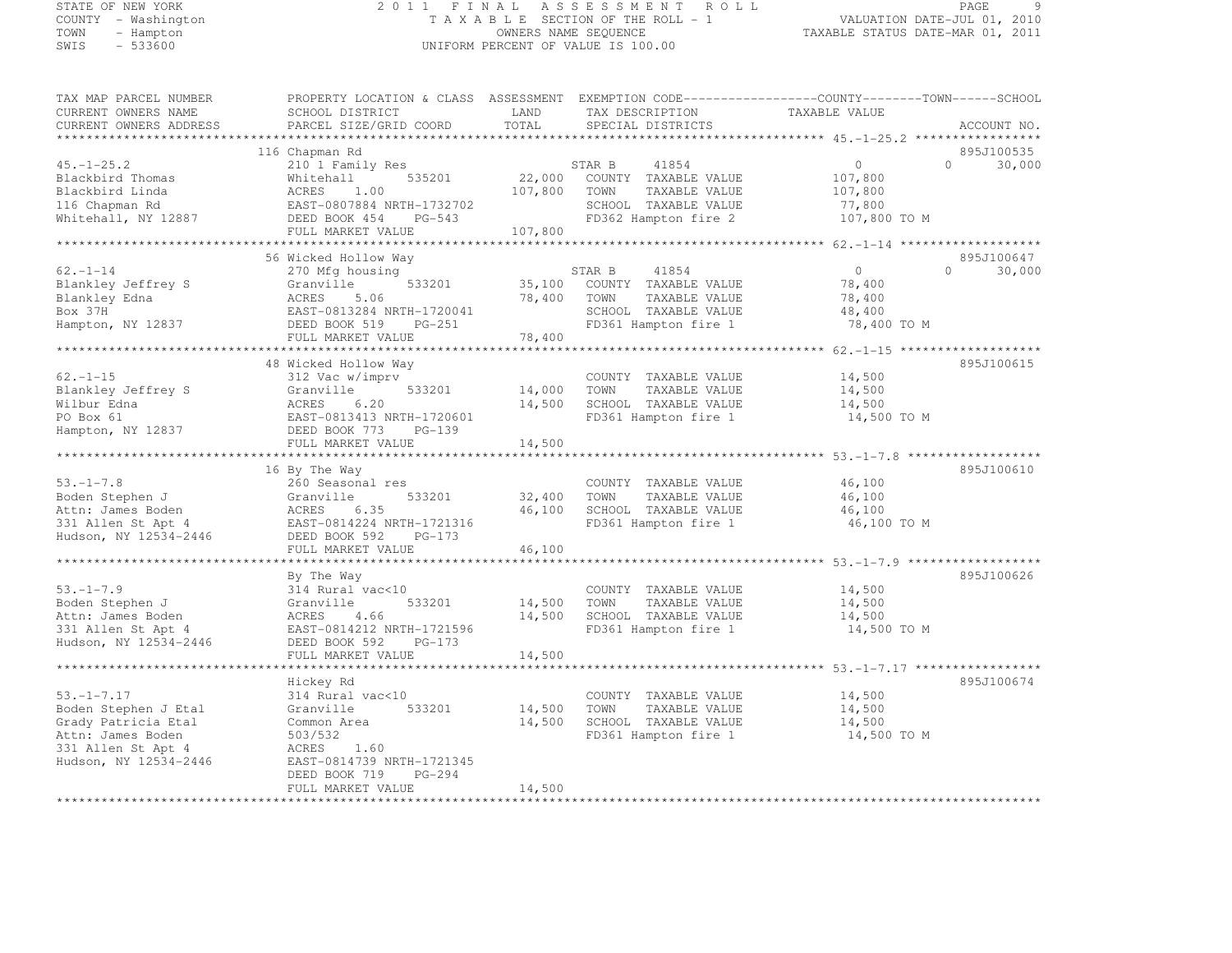# STATE OF NEW YORK 2 0 1 1 F I N A L A S S E S S M E N T R O L L PAGE <sup>9</sup> COUNTY - Washington T A X A B L E SECTION OF THE ROLL - 1 VALUATION DATE-JUL 01, 2010 TOWN - Hampton OWNERS NAME SEQUENCE TAXABLE STATUS DATE-MAR 01, 2011 SWIS - 533600 UNIFORM PERCENT OF VALUE IS 100.00

| TAX MAP PARCEL NUMBER<br>CURRENT OWNERS NAME            | PROPERTY LOCATION & CLASS ASSESSMENT EXEMPTION CODE-----------------COUNTY-------TOWN------SCHOOL<br>SCHOOL DISTRICT | LAND              | TAX DESCRIPTION                                                  | TAXABLE VALUE                 |                     |
|---------------------------------------------------------|----------------------------------------------------------------------------------------------------------------------|-------------------|------------------------------------------------------------------|-------------------------------|---------------------|
| CURRENT OWNERS ADDRESS<br>*************************     | PARCEL SIZE/GRID COORD                                                                                               | TOTAL             | SPECIAL DISTRICTS                                                |                               | ACCOUNT NO.         |
|                                                         | 116 Chapman Rd                                                                                                       |                   |                                                                  |                               | 895J100535          |
| $45. - 1 - 25.2$<br>Blackbird Thomas<br>Blackbird Linda | 210 1 Family Res<br>535201<br>Whitehall<br>ACRES<br>1.00                                                             | 22,000<br>107,800 | 41854<br>STAR B<br>COUNTY TAXABLE VALUE<br>TOWN<br>TAXABLE VALUE | $\circ$<br>107,800<br>107,800 | $\bigcap$<br>30,000 |
| 116 Chapman Rd<br>Whitehall, NY 12887                   | EAST-0807884 NRTH-1732702<br>DEED BOOK 454<br>PG-543                                                                 |                   | SCHOOL TAXABLE VALUE<br>FD362 Hampton fire 2                     | 77,800<br>107,800 TO M        |                     |
|                                                         | FULL MARKET VALUE                                                                                                    | 107,800           |                                                                  |                               |                     |
|                                                         |                                                                                                                      |                   |                                                                  |                               |                     |
|                                                         | 56 Wicked Hollow Way                                                                                                 |                   |                                                                  |                               | 895J100647          |
| $62. - 1 - 14$                                          | 270 Mfg housing                                                                                                      |                   | STAR B<br>41854                                                  | 0                             | $\Omega$<br>30,000  |
| Blankley Jeffrey S                                      | 533201<br>Granville                                                                                                  |                   | 35,100 COUNTY TAXABLE VALUE                                      | 78,400                        |                     |
| Blankley Edna                                           | ACRES 5.06                                                                                                           | 78,400            | TOWN<br>TAXABLE VALUE                                            | 78,400                        |                     |
| Box 37H                                                 | EAST-0813284 NRTH-1720041                                                                                            |                   | SCHOOL TAXABLE VALUE                                             | 48,400                        |                     |
| Hampton, NY 12837                                       | DEED BOOK 519 PG-251                                                                                                 |                   | FD361 Hampton fire 1                                             | 78,400 TO M                   |                     |
|                                                         | FULL MARKET VALUE                                                                                                    | 78,400            |                                                                  |                               |                     |
|                                                         |                                                                                                                      |                   |                                                                  |                               |                     |
|                                                         | 48 Wicked Hollow Way                                                                                                 |                   |                                                                  |                               | 895J100615          |
| $62. - 1 - 15$                                          | 312 Vac w/imprv                                                                                                      |                   | COUNTY TAXABLE VALUE                                             | 14,500                        |                     |
| Blankley Jeffrey S                                      | 533201<br>Granville                                                                                                  | 14,000            | TOWN<br>TAXABLE VALUE                                            | 14,500                        |                     |
| Wilbur Edna                                             | ACRES<br>6.20                                                                                                        | 14,500            | SCHOOL TAXABLE VALUE                                             | 14,500                        |                     |
| PO Box 61                                               | EAST-0813413 NRTH-1720601                                                                                            |                   | FD361 Hampton fire 1                                             | 14,500 TO M                   |                     |
| Hampton, NY 12837                                       | DEED BOOK 773 PG-139                                                                                                 |                   |                                                                  |                               |                     |
|                                                         | FULL MARKET VALUE                                                                                                    | 14,500            |                                                                  |                               |                     |
|                                                         |                                                                                                                      |                   |                                                                  |                               |                     |
|                                                         | 16 By The Way                                                                                                        |                   |                                                                  |                               | 895J100610          |
| $53. - 1 - 7.8$                                         | 260 Seasonal res                                                                                                     |                   | COUNTY TAXABLE VALUE                                             | 46,100                        |                     |
| Boden Stephen J                                         | Granville<br>533201                                                                                                  | 32,400            | TAXABLE VALUE<br>TOWN                                            | 46,100                        |                     |
| Attn: James Boden                                       | ACRES<br>6.35                                                                                                        | 46,100            | SCHOOL TAXABLE VALUE                                             | 46,100                        |                     |
| 331 Allen St Apt 4                                      | EAST-0814224 NRTH-1721316                                                                                            |                   | FD361 Hampton fire 1                                             | 46,100 TO M                   |                     |
| Hudson, NY 12534-2446                                   | DEED BOOK 592 PG-173                                                                                                 |                   |                                                                  |                               |                     |
|                                                         | FULL MARKET VALUE                                                                                                    | 46,100            |                                                                  |                               |                     |
|                                                         |                                                                                                                      |                   | ***********************************53.-1-7.9 ******************* |                               |                     |
|                                                         | By The Way                                                                                                           |                   |                                                                  |                               | 895J100626          |
| $53, -1 - 7.9$                                          | 314 Rural vac<10                                                                                                     |                   | COUNTY TAXABLE VALUE                                             | 14,500                        |                     |
| Boden Stephen J                                         | 533201<br>Granville                                                                                                  | 14,500            | TAXABLE VALUE<br>TOWN                                            | 14,500                        |                     |
| Attn: James Boden                                       | ACRES<br>4.66                                                                                                        | 14,500            | SCHOOL TAXABLE VALUE                                             | 14,500                        |                     |
| 331 Allen St Apt 4                                      | EAST-0814212 NRTH-1721596                                                                                            |                   | FD361 Hampton fire 1                                             | 14,500 TO M                   |                     |
| Hudson, NY 12534-2446                                   | $PG-173$<br>DEED BOOK 592                                                                                            |                   |                                                                  |                               |                     |
|                                                         | FULL MARKET VALUE                                                                                                    | 14,500            |                                                                  |                               |                     |
|                                                         |                                                                                                                      |                   |                                                                  |                               |                     |
|                                                         | Hickey Rd                                                                                                            |                   |                                                                  |                               | 895J100674          |
| $53. - 1 - 7.17$                                        | 314 Rural vac<10                                                                                                     |                   | COUNTY TAXABLE VALUE                                             | 14,500                        |                     |
| Boden Stephen J Etal                                    | Granville<br>533201                                                                                                  | 14,500            | TOWN<br>TAXABLE VALUE                                            | 14,500                        |                     |
| Grady Patricia Etal                                     | Common Area                                                                                                          | 14,500            | SCHOOL TAXABLE VALUE                                             | 14,500                        |                     |
| Attn: James Boden                                       | 503/532                                                                                                              |                   | FD361 Hampton fire 1                                             | 14,500 TO M                   |                     |
| 331 Allen St Apt 4                                      | ACRES<br>1.60                                                                                                        |                   |                                                                  |                               |                     |
| Hudson, NY 12534-2446                                   | EAST-0814739 NRTH-1721345                                                                                            |                   |                                                                  |                               |                     |
|                                                         | DEED BOOK 719<br>PG-294                                                                                              |                   |                                                                  |                               |                     |
|                                                         | FULL MARKET VALUE                                                                                                    | 14,500            |                                                                  |                               |                     |
| *********************                                   |                                                                                                                      |                   |                                                                  |                               |                     |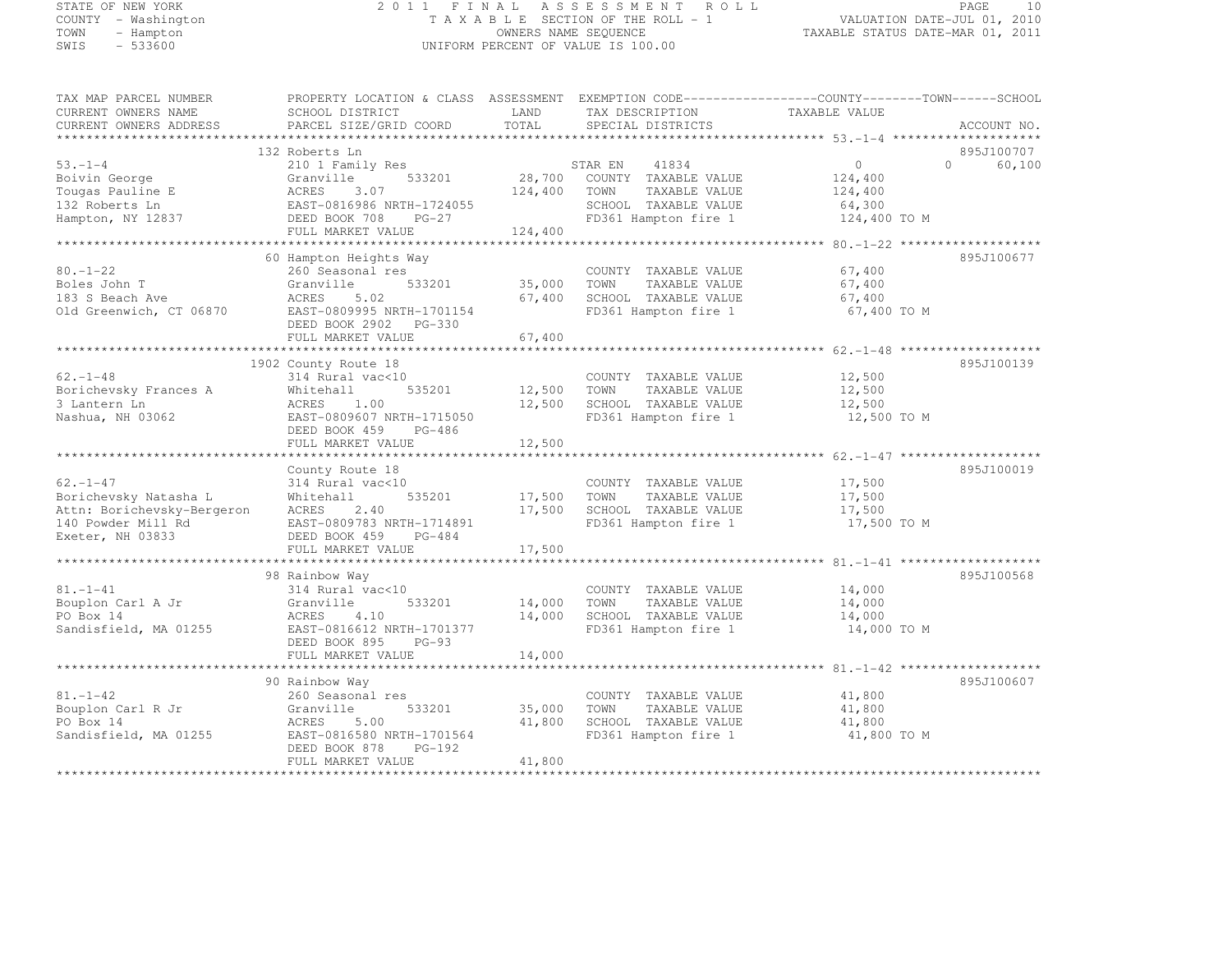#### STATE OF NEW YORK 2 0 1 1 F I N A L A S S E S S M E N T R O L L PAGE <sup>10</sup> COUNTY - Washington T A X A B L E SECTION OF THE ROLL - 1 VALUATION DATE-JUL 01, 2010 TOWN - Hampton OWNERS NAME SEQUENCE TAXABLE STATUS DATE-MAR 01, 2011 SWIS - 533600 UNIFORM PERCENT OF VALUE IS 100.00

| TAX MAP PARCEL NUMBER                            | PROPERTY LOCATION & CLASS ASSESSMENT EXEMPTION CODE-----------------COUNTY-------TOWN------SCHOOL |         |                                          |                                                 |          |             |
|--------------------------------------------------|---------------------------------------------------------------------------------------------------|---------|------------------------------------------|-------------------------------------------------|----------|-------------|
| CURRENT OWNERS NAME                              | SCHOOL DISTRICT                                                                                   | LAND    | TAX DESCRIPTION                          | TAXABLE VALUE                                   |          |             |
| CURRENT OWNERS ADDRESS<br>********************** | PARCEL SIZE/GRID COORD                                                                            | TOTAL   | SPECIAL DISTRICTS                        |                                                 |          | ACCOUNT NO. |
|                                                  |                                                                                                   |         |                                          |                                                 |          |             |
|                                                  | 132 Roberts Ln                                                                                    |         |                                          |                                                 |          | 895J100707  |
| $53 - 1 - 4$                                     | 210 1 Family Res<br>533201                                                                        | 28,700  | STAR EN<br>41834<br>COUNTY TAXABLE VALUE | $\circ$                                         | $\Omega$ | 60,100      |
| Boivin George<br>Tougas Pauline E                | Granville<br>ACRES<br>3.07                                                                        | 124,400 | TOWN                                     | 124,400                                         |          |             |
| 132 Roberts Ln                                   | EAST-0816986 NRTH-1724055                                                                         |         | TAXABLE VALUE<br>SCHOOL TAXABLE VALUE    | 124,400<br>64,300                               |          |             |
| Hampton, NY 12837                                | DEED BOOK 708<br>$PG-27$                                                                          |         | FD361 Hampton fire 1                     | 124,400 TO M                                    |          |             |
|                                                  | FULL MARKET VALUE                                                                                 | 124,400 |                                          |                                                 |          |             |
|                                                  |                                                                                                   |         |                                          |                                                 |          |             |
|                                                  | 60 Hampton Heights Way                                                                            |         |                                          |                                                 |          | 895J100677  |
| $80. - 1 - 22$                                   | 260 Seasonal res                                                                                  |         | COUNTY TAXABLE VALUE                     | 67,400                                          |          |             |
| Boles John T                                     | Granville<br>533201                                                                               | 35,000  | TAXABLE VALUE<br>TOWN                    | 67,400                                          |          |             |
| 183 S Beach Ave                                  | 5.02<br>ACRES                                                                                     | 67,400  | SCHOOL TAXABLE VALUE                     | 67,400                                          |          |             |
| Old Greenwich, CT 06870                          | EAST-0809995 NRTH-1701154                                                                         |         | FD361 Hampton fire 1                     | 67,400 TO M                                     |          |             |
|                                                  | DEED BOOK 2902 PG-330                                                                             |         |                                          |                                                 |          |             |
|                                                  | FULL MARKET VALUE                                                                                 | 67,400  |                                          |                                                 |          |             |
|                                                  |                                                                                                   |         |                                          |                                                 |          |             |
|                                                  | 1902 County Route 18                                                                              |         |                                          |                                                 |          | 895J100139  |
| $62. - 1 - 48$                                   | 314 Rural vac<10                                                                                  |         | COUNTY TAXABLE VALUE                     | 12,500                                          |          |             |
| Borichevsky Frances A                            | Whitehall<br>535201                                                                               | 12,500  | TOWN<br>TAXABLE VALUE                    | 12,500                                          |          |             |
| 3 Lantern Ln                                     | ACRES<br>1.00                                                                                     | 12,500  | SCHOOL TAXABLE VALUE                     | 12,500                                          |          |             |
| Nashua, NH 03062                                 | EAST-0809607 NRTH-1715050                                                                         |         | FD361 Hampton fire 1                     | 12,500 TO M                                     |          |             |
|                                                  | DEED BOOK 459<br>PG-486                                                                           |         |                                          |                                                 |          |             |
|                                                  | FULL MARKET VALUE                                                                                 | 12,500  |                                          |                                                 |          |             |
|                                                  |                                                                                                   |         |                                          |                                                 |          |             |
|                                                  | County Route 18                                                                                   |         |                                          |                                                 |          | 895J100019  |
| $62. - 1 - 47$                                   | 314 Rural vac<10                                                                                  |         | COUNTY TAXABLE VALUE                     | 17,500                                          |          |             |
| Borichevsky Natasha L                            | 535201<br>Whitehall                                                                               | 17,500  | TOWN<br>TAXABLE VALUE                    | 17,500                                          |          |             |
| Attn: Borichevsky-Bergeron                       | ACRES<br>2.40                                                                                     | 17,500  | SCHOOL TAXABLE VALUE                     | 17,500                                          |          |             |
| 140 Powder Mill Rd                               | EAST-0809783 NRTH-1714891                                                                         |         | FD361 Hampton fire 1                     | 17,500 TO M                                     |          |             |
| Exeter, NH 03833                                 | DEED BOOK 459<br>$PG-484$                                                                         |         |                                          |                                                 |          |             |
|                                                  | FULL MARKET VALUE                                                                                 | 17,500  |                                          |                                                 |          |             |
|                                                  |                                                                                                   |         |                                          |                                                 |          |             |
|                                                  | 98 Rainbow Way                                                                                    |         |                                          |                                                 |          | 895J100568  |
| $81. - 1 - 41$                                   | 314 Rural vac<10                                                                                  |         | COUNTY TAXABLE VALUE                     | 14,000                                          |          |             |
| Bouplon Carl A Jr                                | Granville<br>533201                                                                               | 14,000  | TOWN<br>TAXABLE VALUE                    | 14,000                                          |          |             |
| PO Box 14                                        | ACRES<br>4.10                                                                                     | 14,000  | SCHOOL TAXABLE VALUE                     | 14,000                                          |          |             |
| Sandisfield, MA 01255                            | EAST-0816612 NRTH-1701377                                                                         |         | FD361 Hampton fire 1                     | 14,000 TO M                                     |          |             |
|                                                  | DEED BOOK 895<br>$PG-93$                                                                          | 14,000  |                                          |                                                 |          |             |
|                                                  | FULL MARKET VALUE<br>************************                                                     |         |                                          | ********************** 81.-1-42 *************** |          |             |
|                                                  | 90 Rainbow Way                                                                                    |         |                                          |                                                 |          | 895J100607  |
| $81. - 1 - 42$                                   | 260 Seasonal res                                                                                  |         | COUNTY TAXABLE VALUE                     | 41,800                                          |          |             |
| Bouplon Carl R Jr                                | Granville<br>533201                                                                               | 35,000  | TOWN<br>TAXABLE VALUE                    | 41,800                                          |          |             |
| PO Box 14                                        | ACRES<br>5.00                                                                                     | 41,800  | SCHOOL TAXABLE VALUE                     | 41,800                                          |          |             |
| Sandisfield, MA 01255                            | EAST-0816580 NRTH-1701564                                                                         |         | FD361 Hampton fire 1                     | 41,800 TO M                                     |          |             |
|                                                  | DEED BOOK 878<br>PG-192                                                                           |         |                                          |                                                 |          |             |
|                                                  | FULL MARKET VALUE                                                                                 | 41,800  |                                          |                                                 |          |             |
|                                                  |                                                                                                   |         |                                          |                                                 |          |             |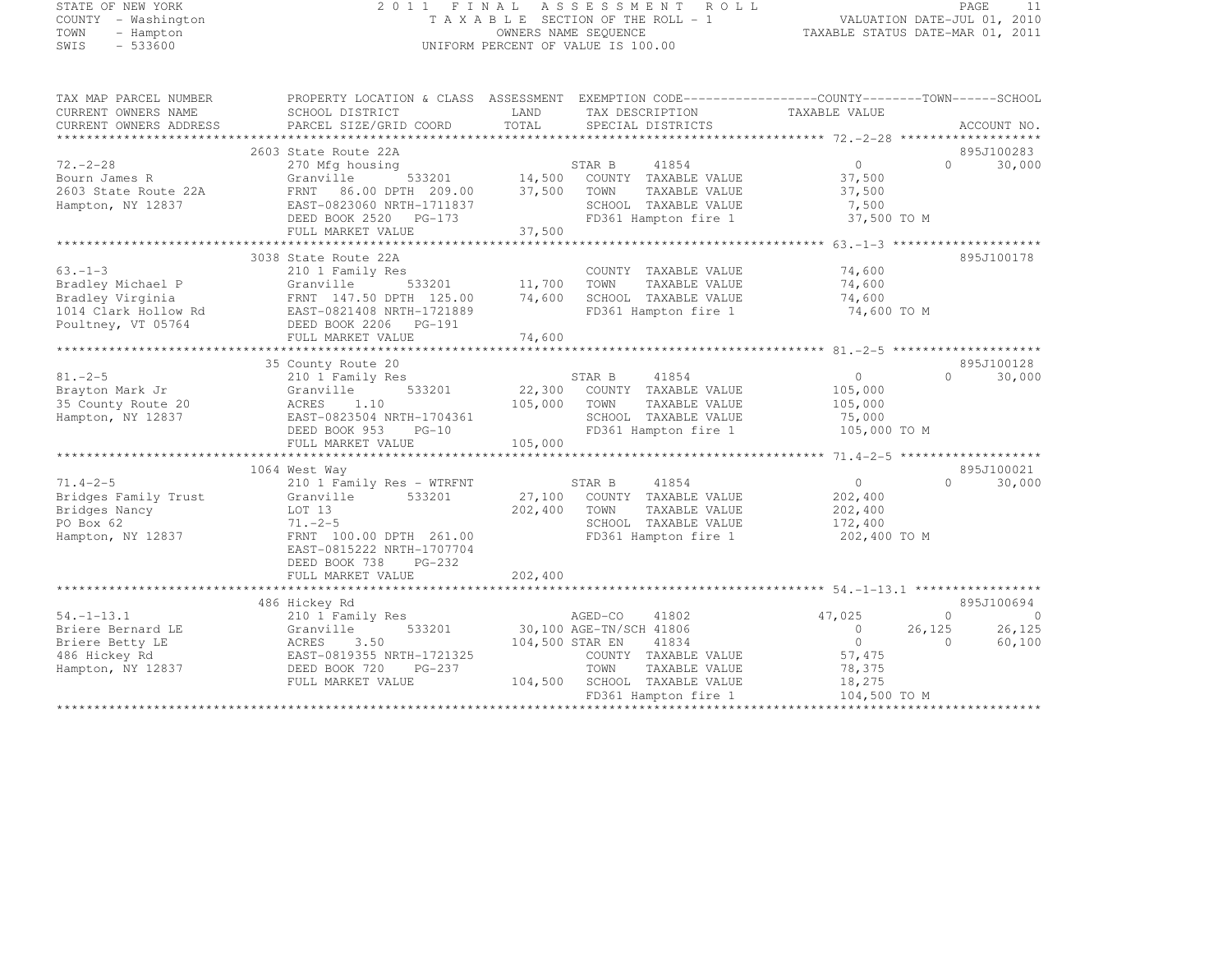# STATE OF NEW YORK 2 0 1 1 F I N A L A S S E S S M E N T R O L L PAGE <sup>11</sup> COUNTY - Washington T A X A B L E SECTION OF THE ROLL - 1 VALUATION DATE-JUL 01, 2010 TOWN - Hampton OWNERS NAME SEQUENCE TAXABLE STATUS DATE-MAR 01, 2011 SWIS - 533600 UNIFORM PERCENT OF VALUE IS 100.00

TAX MAP PARCEL NUMBER PROPERTY LOCATION & CLASS ASSESSMENT EXEMPTION CODE------------------COUNTY--------TOWN------SCHOOL

| CURRENT OWNERS NAME    | SCHOOL DISTRICT                     | LAND            | TAX DESCRIPTION         | TAXABLE VALUE     |                      |
|------------------------|-------------------------------------|-----------------|-------------------------|-------------------|----------------------|
| CURRENT OWNERS ADDRESS | PARCEL SIZE/GRID COORD              | TOTAL           | SPECIAL DISTRICTS       |                   | ACCOUNT NO.          |
|                        |                                     |                 |                         |                   |                      |
|                        | 2603 State Route 22A                |                 |                         |                   | 895J100283           |
| $72. - 2 - 28$         | 270 Mfg housing                     |                 | 41854<br>STAR B         | $\circ$           | $\Omega$<br>30,000   |
| Bourn James R          | Granville<br>533201                 | 14,500          | COUNTY TAXABLE VALUE    | 37,500            |                      |
| 2603 State Route 22A   | 86.00 DPTH 209.00<br>FRNT           | 37,500          | TOWN<br>TAXABLE VALUE   | 37,500            |                      |
| Hampton, NY 12837      | EAST-0823060 NRTH-1711837           |                 | SCHOOL TAXABLE VALUE    | 7,500             |                      |
|                        | DEED BOOK 2520 PG-173               |                 | FD361 Hampton fire 1    | 37,500 TO M       |                      |
|                        | FULL MARKET VALUE                   | 37,500          |                         |                   |                      |
|                        |                                     |                 |                         |                   |                      |
|                        | 3038 State Route 22A                |                 |                         |                   | 895J100178           |
| $63 - 1 - 3$           | 210 1 Family Res                    |                 | COUNTY TAXABLE VALUE    | 74,600            |                      |
| Bradley Michael P      | 533201<br>Granville                 | 11,700          | TOWN<br>TAXABLE VALUE   | 74,600            |                      |
| Bradley Virginia       | FRNT 147.50 DPTH 125.00             | 74,600          | SCHOOL TAXABLE VALUE    | 74,600            |                      |
| 1014 Clark Hollow Rd   | EAST-0821408 NRTH-1721889           |                 | FD361 Hampton fire 1    | 74,600 TO M       |                      |
| Poultney, VT 05764     | DEED BOOK 2206 PG-191               |                 |                         |                   |                      |
|                        | FULL MARKET VALUE                   | 74,600          |                         |                   |                      |
|                        |                                     |                 |                         |                   |                      |
|                        | 35 County Route 20                  |                 |                         |                   | 895J100128           |
| $81. -2 - 5$           | 210 1 Family Res                    |                 | STAR B<br>41854         | $\circ$           | $\Omega$<br>30,000   |
| Brayton Mark Jr        | Granville<br>533201                 | 22,300          | TAXABLE VALUE<br>COUNTY | 105,000           |                      |
| 35 County Route 20     | 1.10<br>ACRES                       | 105,000         | TOWN<br>TAXABLE VALUE   | 105,000           |                      |
| Hampton, NY 12837      | EAST-0823504 NRTH-1704361           |                 | SCHOOL TAXABLE VALUE    | 75,000            |                      |
|                        | DEED BOOK 953<br>$PG-10$            |                 | FD361 Hampton fire 1    | 105,000 TO M      |                      |
|                        | FULL MARKET VALUE                   | 105,000         |                         |                   |                      |
|                        |                                     |                 |                         |                   |                      |
|                        | 1064 West Way                       |                 |                         |                   | 895J100021           |
| $71.4 - 2 - 5$         | 210 1 Family Res - WTRFNT           |                 | 41854<br>STAR B         | $\bigcirc$        | $\Omega$<br>30,000   |
| Bridges Family Trust   | 533201<br>Granville                 | 27,100          | COUNTY TAXABLE VALUE    | 202,400           |                      |
| Bridges Nancy          | LOT 13                              | 202,400         | TOWN<br>TAXABLE VALUE   | 202,400           |                      |
| PO Box 62              | $71. - 2 - 5$                       |                 | SCHOOL TAXABLE VALUE    | 172,400           |                      |
| Hampton, NY 12837      | FRNT 100.00 DPTH 261.00             |                 | FD361 Hampton fire 1    | 202,400 TO M      |                      |
|                        | EAST-0815222 NRTH-1707704           |                 |                         |                   |                      |
|                        | DEED BOOK 738<br>PG-232             |                 |                         |                   |                      |
|                        |                                     | 202,400         |                         |                   |                      |
|                        | FULL MARKET VALUE                   |                 |                         |                   |                      |
|                        |                                     |                 |                         |                   |                      |
|                        | 486 Hickey Rd                       |                 |                         |                   | 895J100694           |
| $54. - 1 - 13.1$       | 210 1 Family Res                    |                 | AGED-CO<br>41802        | 47,025            | $\Omega$<br>$\Omega$ |
| Briere Bernard LE      | Granville<br>533201                 |                 | 30,100 AGE-TN/SCH 41806 | 26,125<br>$\circ$ | 26,125               |
| Briere Betty LE        | ACRES<br>3.50                       | 104,500 STAR EN | 41834                   | $\circ$           | 60,100<br>$\Omega$   |
| 486 Hickey Rd          | EAST-0819355 NRTH-1721325           |                 | COUNTY TAXABLE VALUE    | 57,475            |                      |
| Hampton, NY 12837      | DEED BOOK 720<br>$PG-237$           |                 | TOWN<br>TAXABLE VALUE   | 78,375            |                      |
|                        | FULL MARKET VALUE                   | 104,500         | SCHOOL TAXABLE VALUE    | 18,275            |                      |
|                        |                                     |                 | FD361 Hampton fire 1    | 104,500 TO M      |                      |
|                        | *********************************** |                 |                         |                   |                      |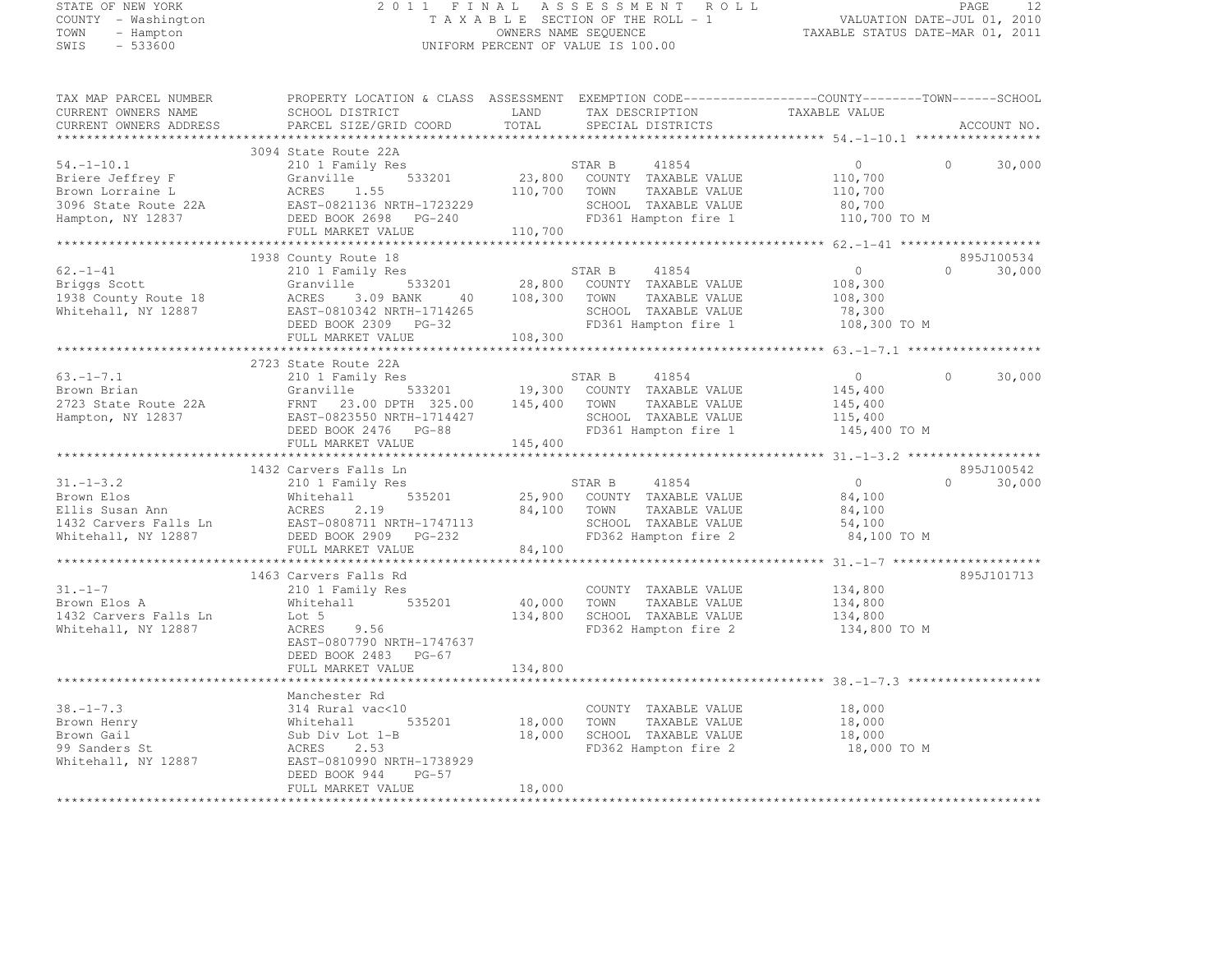#### STATE OF NEW YORK 2 0 1 1 F I N A L A S S E S S M E N T R O L L PAGE <sup>12</sup> COUNTY - Washington T A X A B L E SECTION OF THE ROLL - 1 VALUATION DATE-JUL 01, 2010 TOWN - Hampton OWNERS NAME SEQUENCE TAXABLE STATUS DATE-MAR 01, 2011 SWIS - 533600 UNIFORM PERCENT OF VALUE IS 100.00

| TAX MAP PARCEL NUMBER                                                                                                                                                                                                                                                                                                                                                                                      | PROPERTY LOCATION & CLASS ASSESSMENT EXEMPTION CODE-----------------COUNTY-------TOWN------SCHOOL                                                                            |         |                                                                                                                             |                                            |                    |
|------------------------------------------------------------------------------------------------------------------------------------------------------------------------------------------------------------------------------------------------------------------------------------------------------------------------------------------------------------------------------------------------------------|------------------------------------------------------------------------------------------------------------------------------------------------------------------------------|---------|-----------------------------------------------------------------------------------------------------------------------------|--------------------------------------------|--------------------|
| CURRENT OWNERS NAME                                                                                                                                                                                                                                                                                                                                                                                        | SCHOOL DISTRICT                                                                                                                                                              | LAND    | TAX DESCRIPTION TAXABLE VALUE SPECIAL DISTRICTS                                                                             |                                            |                    |
| CURRENT OWNERS ADDRESS                                                                                                                                                                                                                                                                                                                                                                                     | PARCEL SIZE/GRID COORD                                                                                                                                                       | TOTAL   |                                                                                                                             |                                            | ACCOUNT NO.        |
|                                                                                                                                                                                                                                                                                                                                                                                                            |                                                                                                                                                                              |         |                                                                                                                             |                                            |                    |
|                                                                                                                                                                                                                                                                                                                                                                                                            | 3094 State Route 22A                                                                                                                                                         |         |                                                                                                                             |                                            |                    |
|                                                                                                                                                                                                                                                                                                                                                                                                            |                                                                                                                                                                              |         |                                                                                                                             |                                            | $\Omega$<br>30,000 |
|                                                                                                                                                                                                                                                                                                                                                                                                            |                                                                                                                                                                              |         |                                                                                                                             |                                            |                    |
|                                                                                                                                                                                                                                                                                                                                                                                                            |                                                                                                                                                                              |         |                                                                                                                             |                                            |                    |
|                                                                                                                                                                                                                                                                                                                                                                                                            |                                                                                                                                                                              |         | SCHOOL TAXABLE VALUE 80,700<br>FD361 Hampton fire 1 110,700 TO M                                                            |                                            |                    |
|                                                                                                                                                                                                                                                                                                                                                                                                            |                                                                                                                                                                              |         |                                                                                                                             |                                            |                    |
| 3094 State Route 22A<br>Briere Jeffrey F<br>Brown Lorraine L<br>3096 State Route 22A<br>Brown Lorraine L<br>3096 State Route 22A<br>23,800 COUNTY TAXABLE VALUE<br>23,800 COUNTY TAXABLE VALUE<br>23,800 COUNTY TAXABLE VALUE<br>23,800 COUNTY T                                                                                                                                                           |                                                                                                                                                                              |         |                                                                                                                             |                                            |                    |
|                                                                                                                                                                                                                                                                                                                                                                                                            |                                                                                                                                                                              |         |                                                                                                                             |                                            |                    |
| 1938 County Route 18<br>62.-1-41 210 1 Family Res<br>Briggs Scott Granville 533201 28,800 COUNTY TAXABLE VALUE 108,300<br>1938 County Route 18 ACRES 3.09 BANK 40 108,300 TOWN TAXABLE VALUE 108,300<br>Whitehall, NY 12887 EAST-08103                                                                                                                                                                     |                                                                                                                                                                              |         |                                                                                                                             |                                            | 895J100534         |
|                                                                                                                                                                                                                                                                                                                                                                                                            |                                                                                                                                                                              |         |                                                                                                                             |                                            | $0 \t 30,000$      |
|                                                                                                                                                                                                                                                                                                                                                                                                            |                                                                                                                                                                              |         |                                                                                                                             |                                            |                    |
|                                                                                                                                                                                                                                                                                                                                                                                                            |                                                                                                                                                                              |         |                                                                                                                             |                                            |                    |
|                                                                                                                                                                                                                                                                                                                                                                                                            |                                                                                                                                                                              |         |                                                                                                                             |                                            |                    |
|                                                                                                                                                                                                                                                                                                                                                                                                            |                                                                                                                                                                              |         |                                                                                                                             |                                            |                    |
|                                                                                                                                                                                                                                                                                                                                                                                                            | FULL MARKET VALUE                                                                                                                                                            | 108,300 |                                                                                                                             |                                            |                    |
|                                                                                                                                                                                                                                                                                                                                                                                                            |                                                                                                                                                                              |         |                                                                                                                             |                                            |                    |
|                                                                                                                                                                                                                                                                                                                                                                                                            | 2723 State Route 22A                                                                                                                                                         |         |                                                                                                                             |                                            |                    |
|                                                                                                                                                                                                                                                                                                                                                                                                            |                                                                                                                                                                              |         |                                                                                                                             |                                            |                    |
|                                                                                                                                                                                                                                                                                                                                                                                                            |                                                                                                                                                                              |         |                                                                                                                             |                                            |                    |
|                                                                                                                                                                                                                                                                                                                                                                                                            |                                                                                                                                                                              |         |                                                                                                                             |                                            |                    |
|                                                                                                                                                                                                                                                                                                                                                                                                            |                                                                                                                                                                              |         |                                                                                                                             |                                            |                    |
|                                                                                                                                                                                                                                                                                                                                                                                                            |                                                                                                                                                                              |         |                                                                                                                             |                                            |                    |
|                                                                                                                                                                                                                                                                                                                                                                                                            |                                                                                                                                                                              |         |                                                                                                                             |                                            |                    |
| $\begin{array}{lllllllllllllll} \text{63.-1--7.1} & \text{27.23 State Route ZZA} & \text{5101 Family Res} & \text{STAR B} & 41854 & 0 & 30,000 \\ \text{Brown Brian} & \text{Granville} & 533201 & 19,300 & \text{COUNTY TAXABLE VALUE} & 145,400 \\ \text{2723 State Route 22A} & \text{FRNT} & 23.00 DPTH & 325.00 & 145,400 & \text{TOWN} & \text{TAXABLE VALUE} & 145,400 \\ \text{Hampton, NY 12837}$ |                                                                                                                                                                              |         |                                                                                                                             |                                            |                    |
|                                                                                                                                                                                                                                                                                                                                                                                                            | 1432 Carvers Falls Ln                                                                                                                                                        |         |                                                                                                                             |                                            | 895J100542         |
|                                                                                                                                                                                                                                                                                                                                                                                                            |                                                                                                                                                                              |         |                                                                                                                             | $\begin{array}{c} 0 \\ 84,100 \end{array}$ | $0 \t 30,000$      |
|                                                                                                                                                                                                                                                                                                                                                                                                            |                                                                                                                                                                              |         |                                                                                                                             |                                            |                    |
|                                                                                                                                                                                                                                                                                                                                                                                                            |                                                                                                                                                                              |         |                                                                                                                             |                                            |                    |
|                                                                                                                                                                                                                                                                                                                                                                                                            |                                                                                                                                                                              |         |                                                                                                                             |                                            |                    |
|                                                                                                                                                                                                                                                                                                                                                                                                            |                                                                                                                                                                              |         | TOWN TAXABLE VALUE<br>SCHOOL TAXABLE VALUE 54,100<br>SCHOOL TAXABLE VALUE 54,100<br>84,100 TO M                             |                                            |                    |
| 31.-1-3.2<br>Brown Elos and Ann and the Elisis Carvers Falls Ln ESST-0808711 NRTH-1747113<br>THE SUSAN AND ACRES 2.19<br>THE SUSAN AND ACRES 2.19<br>THE SUSAN BARKET VALUE<br>TO BOOK 2909 PG-232<br>TO BOOK 2909 PG-232<br>TO BOOK 2909 P                                                                                                                                                                |                                                                                                                                                                              |         |                                                                                                                             |                                            |                    |
|                                                                                                                                                                                                                                                                                                                                                                                                            |                                                                                                                                                                              |         |                                                                                                                             |                                            |                    |
|                                                                                                                                                                                                                                                                                                                                                                                                            |                                                                                                                                                                              |         |                                                                                                                             |                                            | 895J101713         |
|                                                                                                                                                                                                                                                                                                                                                                                                            |                                                                                                                                                                              |         |                                                                                                                             |                                            |                    |
|                                                                                                                                                                                                                                                                                                                                                                                                            |                                                                                                                                                                              |         |                                                                                                                             |                                            |                    |
|                                                                                                                                                                                                                                                                                                                                                                                                            |                                                                                                                                                                              |         |                                                                                                                             |                                            |                    |
|                                                                                                                                                                                                                                                                                                                                                                                                            | 210 1 Family Res<br>Whitehall 535201 40,000 TOWN TAXABLE VALUE 134,800<br>Lot 5 134,800 SCHOOL TAXABLE VALUE 134,800<br>ACRES 9.56 134,800 FD362 Hampton fire 2 134,800 TO M |         |                                                                                                                             |                                            |                    |
|                                                                                                                                                                                                                                                                                                                                                                                                            | EAST-0807790 NRTH-1747637                                                                                                                                                    |         |                                                                                                                             |                                            |                    |
|                                                                                                                                                                                                                                                                                                                                                                                                            | DEED BOOK 2483 PG-67                                                                                                                                                         |         |                                                                                                                             |                                            |                    |
|                                                                                                                                                                                                                                                                                                                                                                                                            | FULL MARKET VALUE                                                                                                                                                            | 134,800 |                                                                                                                             |                                            |                    |
|                                                                                                                                                                                                                                                                                                                                                                                                            |                                                                                                                                                                              |         |                                                                                                                             |                                            |                    |
|                                                                                                                                                                                                                                                                                                                                                                                                            | Manchester Rd                                                                                                                                                                |         |                                                                                                                             |                                            |                    |
|                                                                                                                                                                                                                                                                                                                                                                                                            |                                                                                                                                                                              |         |                                                                                                                             |                                            |                    |
|                                                                                                                                                                                                                                                                                                                                                                                                            | 535201 18,000                                                                                                                                                                |         |                                                                                                                             |                                            |                    |
| $\begin{tabular}{llllllll} 38. -1-7.3 & 314 Rural vac<10 \\ Brown Henry & Whitehall & 535201 \\ Brown Gail & Sub Div Lot 1-B \\ 99 Sanders St & ACRES & 2.53 \\ Whitehall, NY 12887 & EAST-0810990 NRTH-1738929 \\ \end{tabular}$                                                                                                                                                                          |                                                                                                                                                                              | 18,000  | COUNTY TAXABLE VALUE 18,000<br>TOWN TAXABLE VALUE 18,000<br>SCHOOL TAXABLE VALUE 18,000<br>FD362 Hampton fire 2 18,000 TO M |                                            |                    |
|                                                                                                                                                                                                                                                                                                                                                                                                            |                                                                                                                                                                              |         |                                                                                                                             |                                            |                    |
|                                                                                                                                                                                                                                                                                                                                                                                                            | EAST-0810990 NRTH-1738929                                                                                                                                                    |         |                                                                                                                             |                                            |                    |
|                                                                                                                                                                                                                                                                                                                                                                                                            | DEED BOOK 944<br>$PG-57$                                                                                                                                                     |         |                                                                                                                             |                                            |                    |
|                                                                                                                                                                                                                                                                                                                                                                                                            | FULL MARKET VALUE                                                                                                                                                            | 18,000  |                                                                                                                             |                                            |                    |
|                                                                                                                                                                                                                                                                                                                                                                                                            |                                                                                                                                                                              |         |                                                                                                                             |                                            |                    |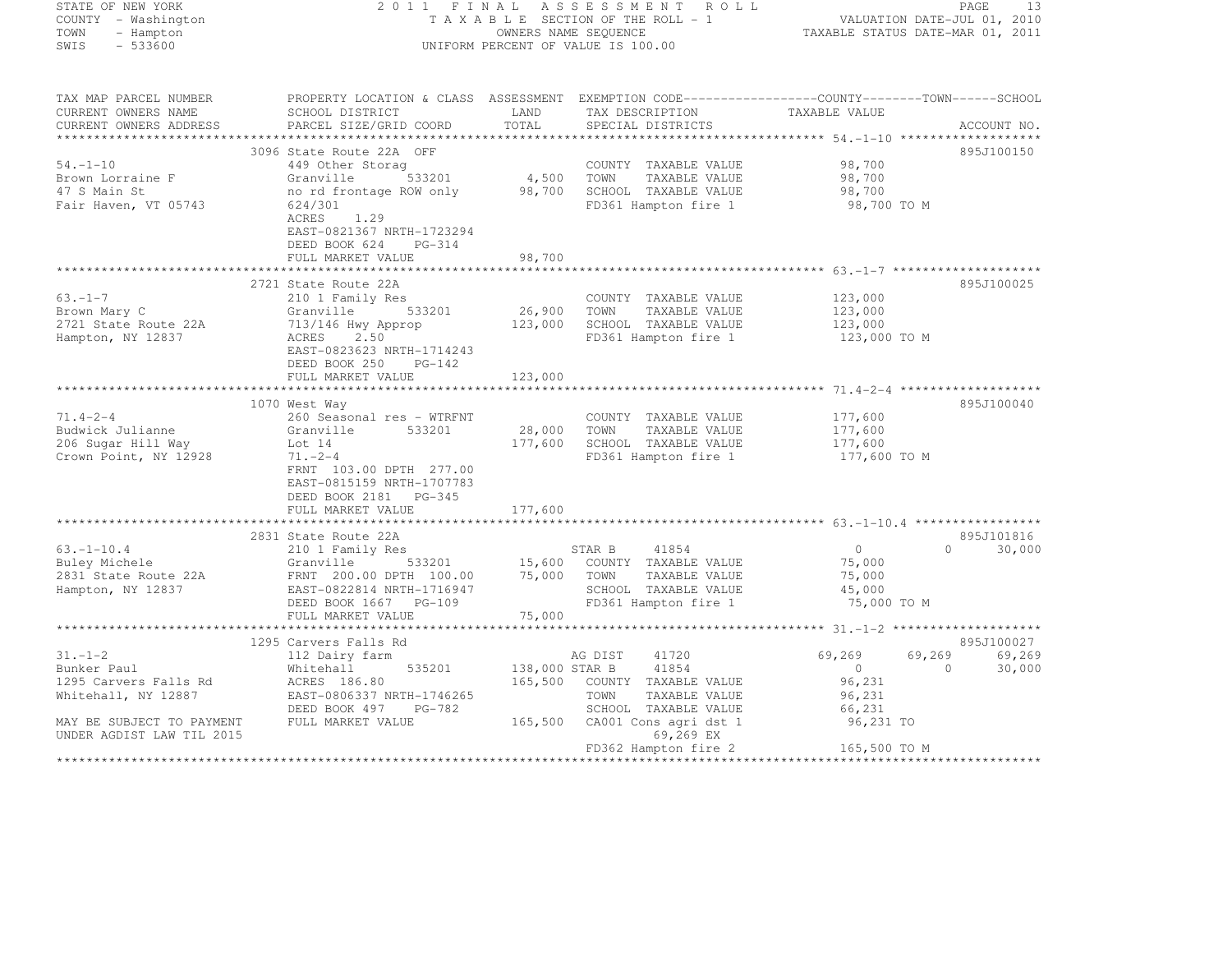STATE OF NEW YORK 2 0 1 1 F I N A L A S S E S S M E N T R O L L PAGE <sup>13</sup> COUNTY - Washington T A X A B L E SECTION OF THE ROLL - 1 VALUATION DATE-JUL 01, 2010 TOWN - Hampton OWNERS NAME SEQUENCE TAXABLE STATUS DATE-MAR 01, 2011  $\begin{array}{lllllll} \text{TOWN} & & - \text{ Hampton} & & & & \text{OWNERS NAME SEQUENCE} \\ \text{SWIS} & & - \text{ } 533600 & & & & \text{UNIFORM PERCENT OF VALUE IS 100.00} \end{array}$ TAX MAP PARCEL NUMBER PROPERTY LOCATION & CLASS ASSESSMENT EXEMPTION CODE------------------COUNTY--------TOWN------SCHOOL CURRENT OWNERS NAME SCHOOL DISTRICT LAND TAX DESCRIPTION TAXABLE VALUE<br>CURRENT OWNERS ADDRESS PARCEL SIZE/GRID COORD TOTAL SPECIAL DISTRICTS ACCOUNT NO. \*\*\*\*\*\*\*\*\*\*\*\*\*\*\*\*\*\*\*\*\*\*\*\*\*\*\*\*\*\*\*\*\*\*\*\*\*\*\*\*\*\*\*\*\*\*\*\*\*\*\*\*\*\*\*\*\*\*\*\*\*\*\*\*\*\*\*\*\*\*\*\*\*\*\*\*\*\*\*\*\*\*\*\*\*\*\*\*\*\*\*\*\*\*\*\*\*\*\*\*\*\*\* 54.-1-10 \*\*\*\*\*\*\*\*\*\*\*\*\*\*\*\*\*\*\*895J100150 3096 State Route 22A OFF 895J100150

54.-1-10 449 Other Storag COUNTY TAXABLE VALUE 98,700

| Granville<br>533201<br>no rd frontage ROW only<br>624/301<br>ACRES<br>1.29<br>EAST-0821367 NRTH-1723294<br>DEED BOOK 624<br>$PG-314$<br>FULL MARKET VALUE                         | 4,500<br>98,700<br>98,700                                                              | TOWN<br>TAXABLE VALUE<br>SCHOOL TAXABLE VALUE<br>FD361 Hampton fire 1                                                                                 | 98,700<br>98,700                                             |                                                                                      |
|-----------------------------------------------------------------------------------------------------------------------------------------------------------------------------------|----------------------------------------------------------------------------------------|-------------------------------------------------------------------------------------------------------------------------------------------------------|--------------------------------------------------------------|--------------------------------------------------------------------------------------|
| 210 1 Family Res<br>Granville<br>533201<br>713/146 Hwy Approp<br>ACRES 2.50<br>EAST-0823623 NRTH-1714243<br>DEED BOOK 250<br>PG-142<br>FULL MARKET VALUE                          | 26,900<br>123,000<br>123,000                                                           | COUNTY TAXABLE VALUE<br>TAXABLE VALUE<br>TOWN<br>SCHOOL TAXABLE VALUE<br>FD361 Hampton fire 1                                                         | 123,000<br>123,000<br>123,000                                | 895J100025                                                                           |
| 260 Seasonal res - WTRFNT<br>Granville<br>533201<br>Lot 14<br>$71. - 2 - 4$<br>FRNT 103.00 DPTH 277.00<br>EAST-0815159 NRTH-1707783<br>DEED BOOK 2181 PG-345<br>FULL MARKET VALUE | 177,600<br>177,600                                                                     | COUNTY TAXABLE VALUE<br>TOWN<br>TAXABLE VALUE<br>SCHOOL TAXABLE VALUE<br>FD361 Hampton fire 1                                                         | 177,600<br>177,600<br>177,600                                | 895J100040                                                                           |
| 210 1 Family Res<br>Granville<br>533201<br>FRNT 200.00 DPTH 100.00<br>EAST-0822814 NRTH-1716947<br>DEED BOOK 1667 PG-109<br>FULL MARKET VALUE                                     | 75,000<br>75,000                                                                       | 41854<br>COUNTY TAXABLE VALUE<br>TOWN<br>TAXABLE VALUE<br>SCHOOL TAXABLE VALUE<br>FD361 Hampton fire 1                                                | $\circ$<br>75,000<br>75,000<br>45,000                        | 895J101816<br>$\Omega$<br>30,000                                                     |
|                                                                                                                                                                                   |                                                                                        |                                                                                                                                                       |                                                              | 895J100027                                                                           |
| 112 Dairy farm<br>Whitehall<br>535201<br>ACRES 186.80<br>EAST-0806337 NRTH-1746265<br>DEED BOOK 497<br>PG-782<br>FULL MARKET VALUE                                                | 165,500<br>165,500                                                                     | 41720<br>41854<br>COUNTY TAXABLE VALUE<br>TOWN<br>TAXABLE VALUE<br>SCHOOL TAXABLE VALUE<br>CA001 Cons agri dst 1<br>69,269 EX<br>FD362 Hampton fire 2 | 69,269<br>$\circ$<br>96,231<br>96,231<br>66,231<br>96,231 TO | 69,269<br>30,000<br>$\Omega$                                                         |
|                                                                                                                                                                                   | 2721 State Route 22A<br>1070 West Way<br>2831 State Route 22A<br>1295 Carvers Falls Rd | 15,600                                                                                                                                                | 28,000<br>STAR B<br>AG DIST<br>138,000 STAR B                | 98,700 TO M<br>123,000 TO M<br>177,600 TO M<br>75,000 TO M<br>69,269<br>165,500 TO M |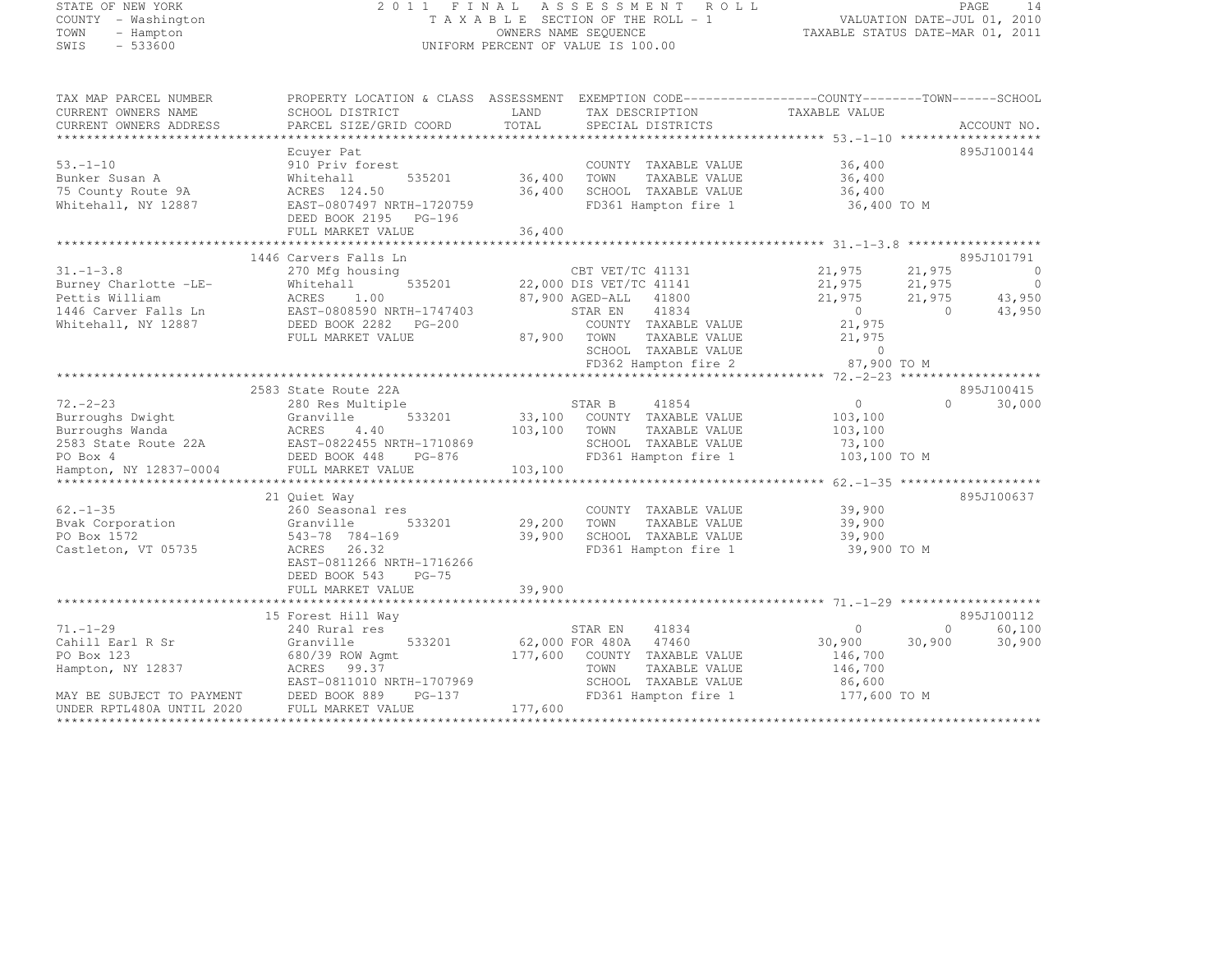|      | STATE OF NEW YORK   |
|------|---------------------|
|      | COUNTY - Washington |
| TOWN | - Hampton           |
| SMTS | $-533600$           |

#### STATE OF NEW YORK 2 0 1 1 F I N A L A S S E S S M E N T R O L L PAGE <sup>14</sup> COUNTY - Washington T A X A B L E SECTION OF THE ROLL - 1 VALUATION DATE-JUL 01, 2010 TOWN - Hampton OWNERS NAME SEQUENCE TAXABLE STATUS DATE-MAR 01, 2011 SWIS - 533600 UNIFORM PERCENT OF VALUE IS 100.00

| TAX MAP PARCEL NUMBER<br>CURRENT OWNERS NAME                                                                                                                                                           | SCHOOL DISTRICT<br>PARCEL SIZE/GRID COORD                                                                                                                                 | LAND<br>TAX DESCRIPTION<br>TOTAL                                                                                                                                                                    | PROPERTY LOCATION & CLASS ASSESSMENT EXEMPTION CODE-----------------COUNTY-------TOWN------SCHOOL<br>TAXABLE VALUE<br>ACCOUNT NO.                                                                |
|--------------------------------------------------------------------------------------------------------------------------------------------------------------------------------------------------------|---------------------------------------------------------------------------------------------------------------------------------------------------------------------------|-----------------------------------------------------------------------------------------------------------------------------------------------------------------------------------------------------|--------------------------------------------------------------------------------------------------------------------------------------------------------------------------------------------------|
| CURRENT OWNERS ADDRESS                                                                                                                                                                                 |                                                                                                                                                                           | SPECIAL DISTRICTS                                                                                                                                                                                   |                                                                                                                                                                                                  |
| $53. - 1 - 10$<br>Bunker Susan A<br>75 County Route 9A<br>Whitehall, NY 12887                                                                                                                          | Ecuver Pat<br>910 Priv forest<br>535201<br>Whitehall<br>ACRES 124.50<br>EAST-0807497 NRTH-1720759<br>DEED BOOK 2195 PG-196<br>FULL MARKET VALUE                           | COUNTY TAXABLE VALUE<br>36,400<br>TOWN<br>TAXABLE VALUE<br>36,400<br>SCHOOL TAXABLE VALUE<br>FD361 Hampton fire 1 36,400 TO M<br>36,400                                                             | 895J100144<br>36,400<br>36,400<br>36,400                                                                                                                                                         |
|                                                                                                                                                                                                        | 1446 Carvers Falls Ln                                                                                                                                                     |                                                                                                                                                                                                     | 895J101791                                                                                                                                                                                       |
| $31. - 1 - 3.8$<br>Burney Charlotte -LE-<br>Pettis William<br>1446 Carver Falls Ln<br>Whitehall, NY 12887                                                                                              | 270 Mfg housing<br>535201<br>Whitehall<br>ACRES<br>1.00<br>EAST-0808590 NRTH-1747403<br>FULL MARKET VALUE                                                                 | CBT VET/TC 41131<br>22,000 DIS VET/TC 41141<br>87,900 AGED-ALL<br>41800<br>41834<br>STAR EN<br>COUNTY TAXABLE VALUE<br>TAXABLE VALUE<br>87,900 TOWN<br>SCHOOL TAXABLE VALUE<br>FD362 Hampton fire 2 | 21,975<br>21,975<br>$\overline{0}$<br>$21,975$ $21,975$<br>$\overline{0}$<br>43,950<br>21,975<br>21,975<br>$\overline{0}$<br>$\bigcirc$<br>43,950<br>21,975<br>21,975<br>$\sim$ 0<br>87,900 TO M |
|                                                                                                                                                                                                        | 2583 State Route 22A                                                                                                                                                      |                                                                                                                                                                                                     | 895J100415                                                                                                                                                                                       |
| $72 - 2 - 23$<br>Burroughs Dwight<br>Burroughs Wanda<br>Burrougns wanda<br>2583 State Route 22A BAST-0822455 NRTH-1710869<br>PO Box 4 DEED BOOK 448 PG-876<br>Hampton, NY 12837-0004 FULL MARKET VALUE | 280 Res Multiple<br>533201<br>Granville<br>ACRES 4.40                                                                                                                     | STAR B<br>41854<br>33,100 COUNTY TAXABLE VALUE<br>103,100 TOWN<br>TAXABLE VALUE<br>SCHOOL TAXABLE VALUE<br>FD361 Hampton fire 1<br>103,100                                                          | $\overline{0}$<br>$\Omega$<br>30,000<br>103,100<br>103,100<br>73,100<br>103,100 TO M                                                                                                             |
|                                                                                                                                                                                                        |                                                                                                                                                                           |                                                                                                                                                                                                     |                                                                                                                                                                                                  |
| $62. - 1 - 35$<br>Bvak Corporation<br>PO Box 1572<br>Castleton, VT 05735                                                                                                                               | 21 Ouiet Way<br>260 Seasonal res<br>Granville<br>533201<br>543-78 784-169<br>ACRES 26.32<br>EAST-0811266 NRTH-1716266<br>$PG-75$<br>DEED BOOK 543                         | COUNTY TAXABLE VALUE<br>TAXABLE VALUE<br>29,200<br>TOWN<br>39,900<br>SCHOOL TAXABLE VALUE<br>FD361 Hampton fire 1                                                                                   | 895J100637<br>39,900<br>39,900<br>39,900<br>39,900 TO M                                                                                                                                          |
|                                                                                                                                                                                                        | FULL MARKET VALUE                                                                                                                                                         | 39,900                                                                                                                                                                                              |                                                                                                                                                                                                  |
| $71. - 1 - 29$<br>Cahill Earl R Sr<br>PO Box 123<br>Hampton, NY 12837<br>MAY BE SUBJECT TO PAYMENT<br>UNDER RPTL480A UNTIL 2020                                                                        | 15 Forest Hill Way<br>240 Rural res<br>Granville<br>533201<br>680/39 ROW Agmt<br>ACRES 99.37<br>EAST-0811010 NRTH-1707969<br>DEED BOOK 889<br>PG-137<br>FULL MARKET VALUE | 41834<br>STAR EN<br>62,000 FOR 480A 47460<br>177,600<br>COUNTY TAXABLE VALUE<br>TOWN<br>TAXABLE VALUE<br>SCHOOL TAXABLE VALUE<br>FD361 Hampton fire 1<br>177,600                                    | 895J100112<br>$\overline{0}$<br>60,100<br>$\circ$<br>30,900<br>30,900<br>30,900<br>146,700<br>146,700<br>86,600<br>177,600 TO M                                                                  |
| *************************                                                                                                                                                                              |                                                                                                                                                                           |                                                                                                                                                                                                     |                                                                                                                                                                                                  |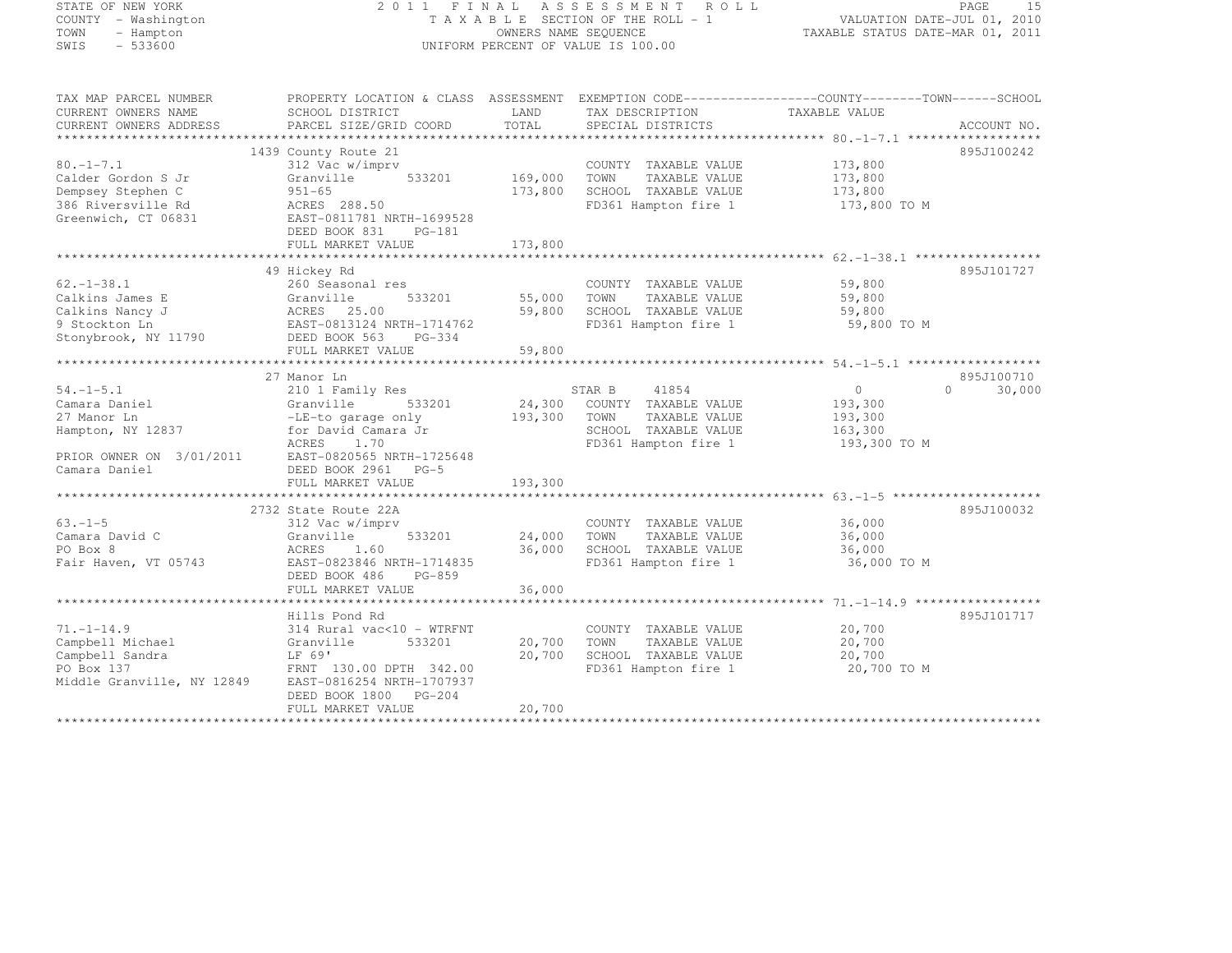#### STATE OF NEW YORK 2 0 1 1 F I N A L A S S E S S M E N T R O L L PAGE <sup>15</sup> COUNTY - Washington T A X A B L E SECTION OF THE ROLL - 1 VALUATION DATE-JUL 01, 2010 TOWN - Hampton OWNERS NAME SEQUENCE TAXABLE STATUS DATE-MAR 01, 2011 SWIS - 533600 UNIFORM PERCENT OF VALUE IS 100.00

| TAX MAP PARCEL NUMBER      | PROPERTY LOCATION & CLASS ASSESSMENT EXEMPTION CODE-----------------COUNTY-------TOWN------SCHOOL |                |                       |                            |             |
|----------------------------|---------------------------------------------------------------------------------------------------|----------------|-----------------------|----------------------------|-------------|
| CURRENT OWNERS NAME        | SCHOOL DISTRICT                                                                                   | LAND           | TAX DESCRIPTION       | TAXABLE VALUE              |             |
| CURRENT OWNERS ADDRESS     | PARCEL SIZE/GRID COORD                                                                            | TOTAL          | SPECIAL DISTRICTS     |                            | ACCOUNT NO. |
|                            |                                                                                                   |                |                       |                            |             |
|                            | 1439 County Route 21                                                                              |                |                       |                            | 895J100242  |
| $80. -1 - 7.1$             | 312 Vac w/imprv                                                                                   |                | COUNTY TAXABLE VALUE  | 173,800                    |             |
| Calder Gordon S Jr         | Granville                                                                                         | 533201 169,000 | TOWN<br>TAXABLE VALUE | 173,800                    |             |
| Dempsey Stephen C          | $951 - 65$                                                                                        | 173,800        | SCHOOL TAXABLE VALUE  | 173,800                    |             |
| 386 Riversville Rd         | ACRES 288.50                                                                                      |                | FD361 Hampton fire 1  | 173,800 TO M               |             |
| Greenwich, CT 06831        | EAST-0811781 NRTH-1699528                                                                         |                |                       |                            |             |
|                            | DEED BOOK 831<br>PG-181                                                                           |                |                       |                            |             |
|                            | FULL MARKET VALUE                                                                                 | 173,800        |                       |                            |             |
|                            |                                                                                                   |                |                       |                            |             |
|                            | 49 Hickey Rd                                                                                      |                |                       |                            | 895J101727  |
| $62. -1 - 38.1$            | 260 Seasonal res                                                                                  |                | COUNTY TAXABLE VALUE  | 59,800                     |             |
| Calkins James E            | 533201<br>Granville                                                                               | 55,000         | TOWN<br>TAXABLE VALUE | 59,800                     |             |
| Calkins Nancy J            | ACRES 25.00                                                                                       | 59,800         | SCHOOL TAXABLE VALUE  | 59,800                     |             |
| 9 Stockton Ln              | EAST-0813124 NRTH-1714762                                                                         |                | FD361 Hampton fire 1  | 59,800 TO M                |             |
| Stonybrook, NY 11790       | DEED BOOK 563<br>PG-334                                                                           |                |                       |                            |             |
|                            | FULL MARKET VALUE                                                                                 | 59,800         |                       |                            |             |
|                            |                                                                                                   |                |                       |                            |             |
|                            | 27 Manor Ln                                                                                       |                |                       |                            | 895J100710  |
| $54. - 1 - 5.1$            | 210 1 Family Res                                                                                  |                | STAR B<br>41854       | $\Omega$<br>$\overline{0}$ | 30,000      |
| Camara Daniel              | Granville<br>533201                                                                               | 24,300         | COUNTY TAXABLE VALUE  | 193,300                    |             |
| 27 Manor Ln                | -LE-to garage only                                                                                | 193,300        | TOWN<br>TAXABLE VALUE | 193,300                    |             |
| Hampton, NY 12837          | for David Camara Jr                                                                               |                | SCHOOL TAXABLE VALUE  | 163,300                    |             |
|                            | 1.70<br>ACRES                                                                                     |                | FD361 Hampton fire 1  | 193,300 TO M               |             |
| PRIOR OWNER ON 3/01/2011   | EAST-0820565 NRTH-1725648                                                                         |                |                       |                            |             |
| Camara Daniel              | DEED BOOK 2961 PG-5                                                                               |                |                       |                            |             |
|                            | FULL MARKET VALUE                                                                                 | 193,300        |                       |                            |             |
|                            |                                                                                                   |                |                       |                            |             |
|                            | 2732 State Route 22A                                                                              |                |                       |                            | 895J100032  |
| $63. - 1 - 5$              | 312 Vac w/imprv                                                                                   |                | COUNTY TAXABLE VALUE  | 36,000                     |             |
| Camara David C             | Granville<br>533201                                                                               | 24,000         | TAXABLE VALUE<br>TOWN | 36,000                     |             |
| PO Box 8                   | ACRES<br>1.60                                                                                     | 36,000         | SCHOOL TAXABLE VALUE  | 36,000                     |             |
| Fair Haven, VT 05743       | EAST-0823846 NRTH-1714835                                                                         |                | FD361 Hampton fire 1  | 36,000 TO M                |             |
|                            | DEED BOOK 486<br>PG-859                                                                           |                |                       |                            |             |
|                            | FULL MARKET VALUE                                                                                 | 36,000         |                       |                            |             |
|                            |                                                                                                   |                |                       |                            |             |
|                            | Hills Pond Rd                                                                                     |                |                       |                            | 895J101717  |
| $71. - 1 - 14.9$           | 314 Rural vac<10 - WTRFNT                                                                         |                | COUNTY TAXABLE VALUE  | 20,700                     |             |
| Campbell Michael           | 533201<br>Granville                                                                               | 20,700         | TOWN<br>TAXABLE VALUE | 20,700                     |             |
| Campbell Sandra            | LF 69'                                                                                            | 20,700         | SCHOOL TAXABLE VALUE  | 20,700                     |             |
| PO Box 137                 | FRNT 130.00 DPTH 342.00                                                                           |                | FD361 Hampton fire 1  | 20,700 TO M                |             |
| Middle Granville, NY 12849 | EAST-0816254 NRTH-1707937                                                                         |                |                       |                            |             |
|                            | DEED BOOK 1800 PG-204                                                                             |                |                       |                            |             |
|                            | FULL MARKET VALUE                                                                                 | 20,700         |                       |                            |             |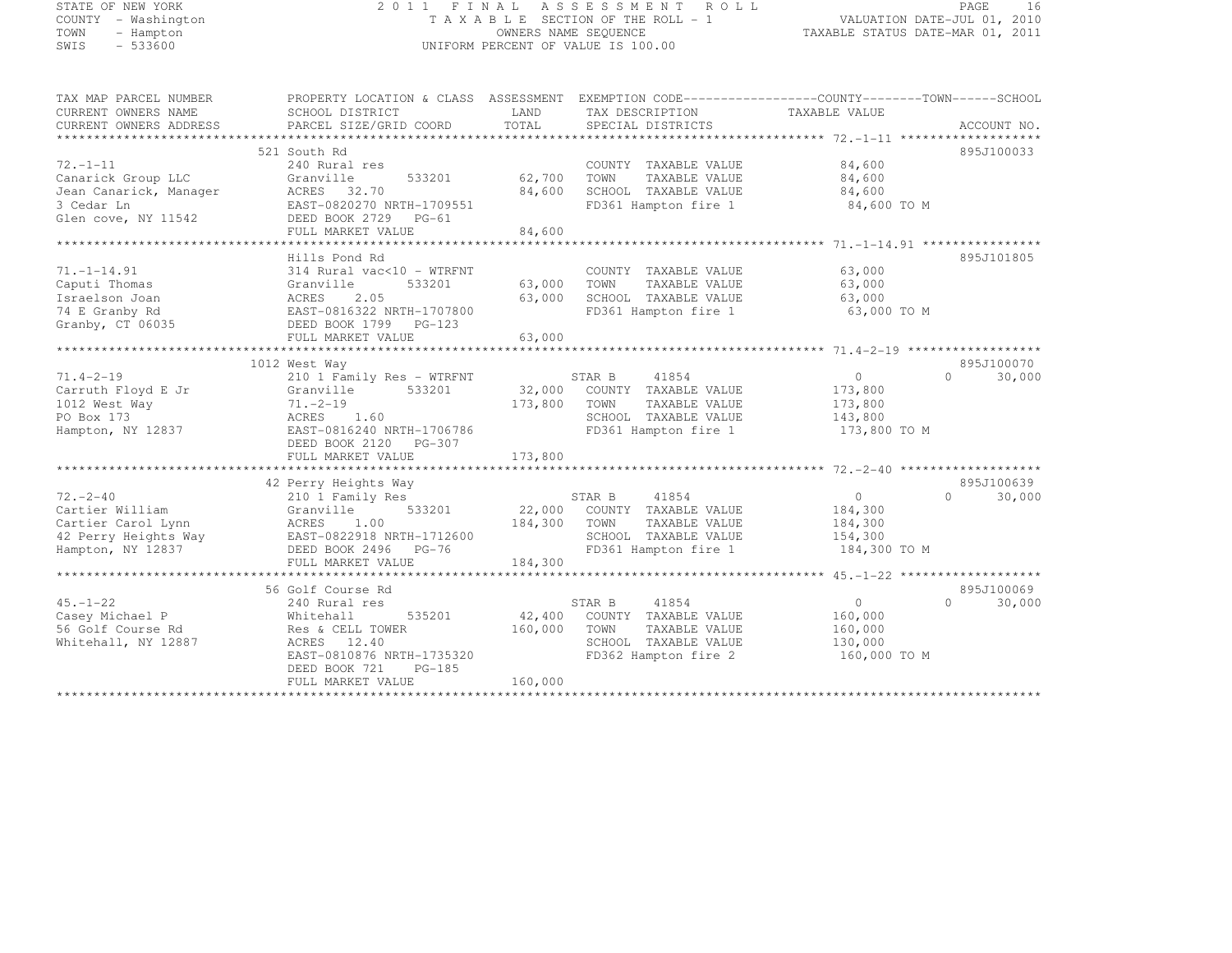## STATE OF NEW YORK 2 0 1 1 F I N A L A S S E S S M E N T R O L L PAGE <sup>16</sup> COUNTY - Washington T A X A B L E SECTION OF THE ROLL - 1 VALUATION DATE-JUL 01, 2010 TOWN - Hampton OWNERS NAME SEQUENCE TAXABLE STATUS DATE-MAR 01, 2011 SWIS - 533600 UNIFORM PERCENT OF VALUE IS 100.00

| TAX MAP PARCEL NUMBER                                           | PROPERTY LOCATION & CLASS ASSESSMENT EXEMPTION CODE-----------------COUNTY-------TOWN------SCHOOL |             |                             |                |                     |
|-----------------------------------------------------------------|---------------------------------------------------------------------------------------------------|-------------|-----------------------------|----------------|---------------------|
| CURRENT OWNERS NAME                                             | SCHOOL DISTRICT                                                                                   | LAND        | TAX DESCRIPTION             | TAXABLE VALUE  |                     |
| CURRENT OWNERS ADDRESS                                          | PARCEL SIZE/GRID COORD                                                                            | TOTAL       | SPECIAL DISTRICTS           |                | ACCOUNT NO.         |
|                                                                 |                                                                                                   |             |                             |                |                     |
|                                                                 | 521 South Rd                                                                                      |             |                             |                | 895J100033          |
| $72. - 1 - 11$                                                  | 240 Rural res                                                                                     |             | COUNTY TAXABLE VALUE        | 84,600         |                     |
| Canarick Group LLC                                              | 533201<br>Granville                                                                               | 62,700      | TAXABLE VALUE<br>TOWN       | 84,600         |                     |
| Jean Canarick, Manager                                          | ACRES 32.70                                                                                       | 84,600      | SCHOOL TAXABLE VALUE        | 84,600         |                     |
| 3 Cedar Ln                                                      | EAST-0820270 NRTH-1709551                                                                         |             | FD361 Hampton fire 1        | 84,600 TO M    |                     |
| Glen cove, NY 11542                                             | DEED BOOK 2729 PG-61                                                                              |             |                             |                |                     |
|                                                                 | FULL MARKET VALUE                                                                                 | 84,600      |                             |                |                     |
|                                                                 |                                                                                                   |             |                             |                |                     |
|                                                                 | Hills Pond Rd                                                                                     |             |                             |                | 895J101805          |
| $71. - 1 - 14.91$                                               | 314 Rural vac<10 - WTRFNT                                                                         |             | COUNTY TAXABLE VALUE        | 63,000         |                     |
| Caputi Thomas                                                   | Granville<br>533201                                                                               | 63,000 TOWN | TAXABLE VALUE               | 63,000         |                     |
| Israelson Joan                                                  | ACRES<br>2.05                                                                                     | 63,000      | SCHOOL TAXABLE VALUE        | 63,000         |                     |
| 74 E Granby Rd<br>74 E Granby Rd<br>Granby, CT 06035            | EAST-0816322 NRTH-1707800                                                                         |             | FD361 Hampton fire 1        | 63,000 TO M    |                     |
|                                                                 | DEED BOOK 1799 PG-123                                                                             |             |                             |                |                     |
|                                                                 | FULL MARKET VALUE                                                                                 | 63,000      |                             |                |                     |
|                                                                 |                                                                                                   |             |                             |                |                     |
|                                                                 | 1012 West Way                                                                                     |             |                             |                | 895J100070          |
| $71.4 - 2 - 19$                                                 | 210 1 Family Res - WTRFNT                                                                         |             | STAR B<br>41854             | $\overline{0}$ | 30,000<br>$\cap$    |
| Carruth Floyd E Jr                                              | Granville 533201                                                                                  |             | 32,000 COUNTY TAXABLE VALUE | 173,800        |                     |
| 1012 West Way                                                   | $71. - 2 - 19$                                                                                    | 173,800     | TOWN<br>TAXABLE VALUE       | 173,800        |                     |
| PO Box 173                                                      | ACRES 1.60                                                                                        |             | SCHOOL TAXABLE VALUE        | 143,800        |                     |
| Hampton, NY 12837                                               | EAST-0816240 NRTH-1706786                                                                         |             | FD361 Hampton fire 1        | 173,800 TO M   |                     |
|                                                                 | DEED BOOK 2120 PG-307                                                                             |             |                             |                |                     |
|                                                                 |                                                                                                   |             |                             |                |                     |
|                                                                 |                                                                                                   |             |                             |                |                     |
|                                                                 | 42 Perry Heights Way                                                                              |             |                             |                | 895J100639          |
| $72. - 2 - 40$                                                  | 210 1 Family Res                                                                                  |             | STAR B<br>41854             | $\overline{0}$ | 30,000<br>$\bigcap$ |
| Cartier William                                                 | 533201<br>Granville                                                                               |             | 22,000 COUNTY TAXABLE VALUE | 184,300        |                     |
|                                                                 | ACRES<br>1.00                                                                                     | 184,300     | TOWN<br>TAXABLE VALUE       | 184,300        |                     |
| Cartier Carol Lynn<br>42 Perry Heights Way<br>Hampton, NY 12837 | EAST-0822918 NRTH-1712600                                                                         |             | SCHOOL TAXABLE VALUE        | 154,300        |                     |
| Hampton, NY 12837                                               | DEED BOOK 2496 PG-76                                                                              |             | FD361 Hampton fire 1        | 184,300 TO M   |                     |
|                                                                 | FULL MARKET VALUE                                                                                 | 184,300     |                             |                |                     |
|                                                                 |                                                                                                   |             |                             |                |                     |
|                                                                 | 56 Golf Course Rd                                                                                 |             |                             |                | 895J100069          |
| $45. - 1 - 22$                                                  | 240 Rural res                                                                                     |             | STAR B<br>41854             | $\overline{0}$ | 30,000<br>$\Omega$  |
| Casey Michael P                                                 | Whitehall<br>535201                                                                               |             | 42,400 COUNTY TAXABLE VALUE | 160,000        |                     |
| 56 Golf Course Rd                                               | Res & CELL TOWER                                                                                  | 160,000     | TOWN<br>TAXABLE VALUE       | 160,000        |                     |
| Whitehall, NY 12887                                             | ACRES 12.40                                                                                       |             | SCHOOL TAXABLE VALUE        | 130,000        |                     |
|                                                                 | EAST-0810876 NRTH-1735320                                                                         |             | FD362 Hampton fire 2        | 160,000 TO M   |                     |
|                                                                 | DEED BOOK 721<br>PG-185                                                                           |             |                             |                |                     |
|                                                                 | FULL MARKET VALUE                                                                                 | 160,000     |                             |                |                     |
|                                                                 |                                                                                                   |             |                             |                |                     |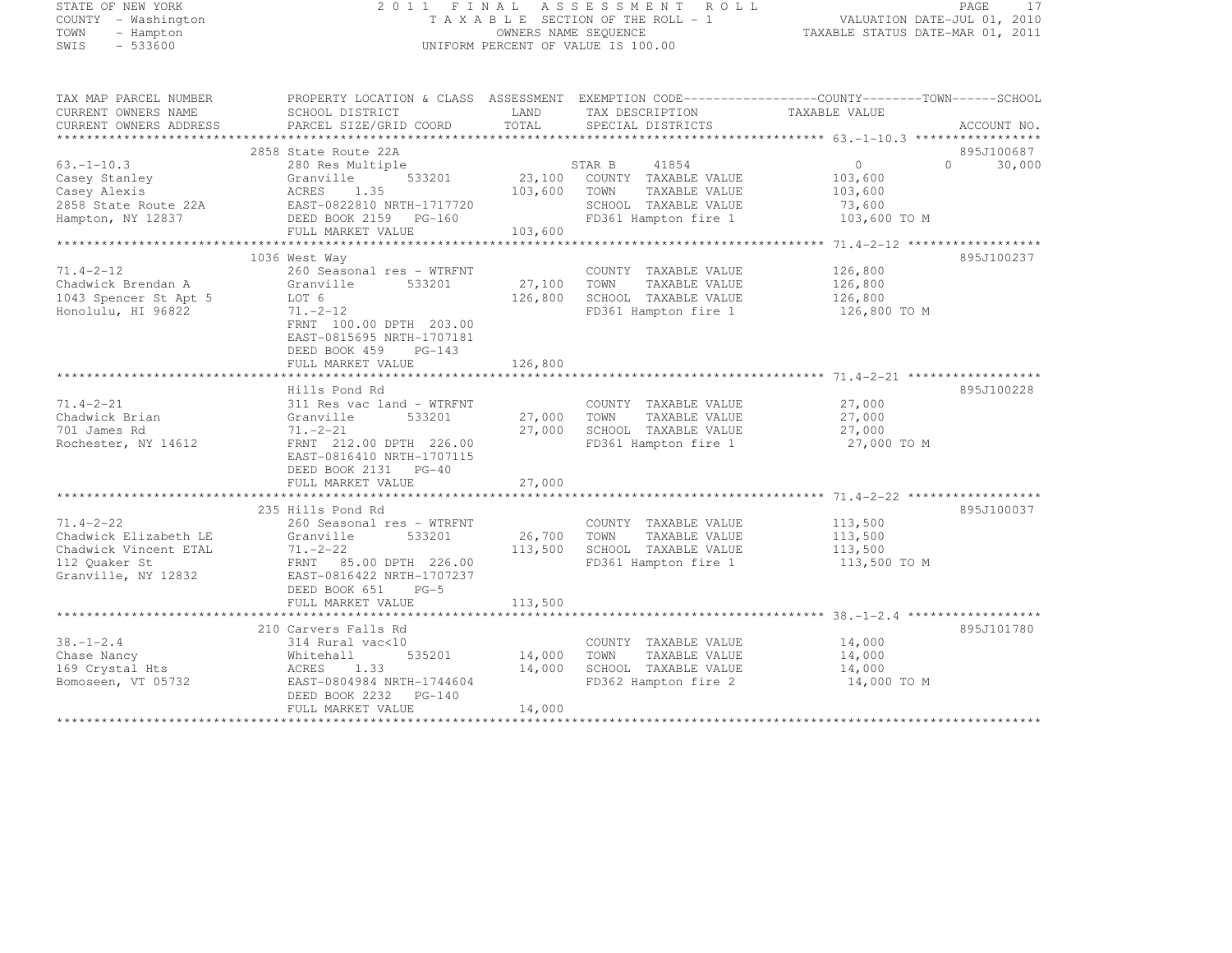| STATE OF NEW YORK |           |                     |  |
|-------------------|-----------|---------------------|--|
|                   |           | COUNTY - Washington |  |
| TOWN              |           | - Hampton           |  |
| <b>STMTS</b>      | $-533600$ |                     |  |

#### STATE OF NEW YORK 2 0 1 1 F I N A L A S S E S S M E N T R O L L PAGE <sup>17</sup> COUNTY - Washington T A X A B L E SECTION OF THE ROLL - 1 VALUATION DATE-JUL 01, 2010 TOWN - Hampton OWNERS NAME SEQUENCE TAXABLE STATUS DATE-MAR 01, 2011 SWIS - 533600 CONTROL CONTROL CONTROL UNIFORM PERCENT OF VALUE IS 100.00

| 2858 State Route 22A<br>895J100687<br>$533201 \qquad 23,100 \qquad \text{COUNTY} \qquad \text{EXAMPLE} \quad \text{VALUE}$<br>$\overline{0}$<br>30,000<br>280 Res Multiple<br>$\Omega$<br>Granville<br>103,600<br>ACRES 1.35 103,600 TOWN<br>EAST-0822810 NRTH-1717720 5CHOOL<br>DEED BOOK 2159 PG-160 FD361 Ha<br>FULL MARKET VALUE 103,600 FD361 Ha<br>TAXABLE VALUE<br>103,600<br>SCHOOL TAXABLE VALUE<br>73,600<br>2858 State Route 22A<br>FD361 Hampton fire 1 103,600 TO M<br>895J100237<br>1036 West Way<br>$71.4 - 2 - 12$<br>260 Seasonal res - WTRFNT<br>COUNTY TAXABLE VALUE<br>126,800<br>Chadwick Brendan A<br>27,100 TOWN<br>TAXABLE VALUE<br>126,800<br>Granville<br>533201<br>Granvi<br>LOT 6<br>126,800<br>126,800<br>SCHOOL TAXABLE VALUE<br>1043 Spencer St Apt 5<br>Honolulu, HI 96822<br>$71. -2 - 12$<br>FD361 Hampton fire 1 126,800 TO M<br>FRNT 100.00 DPTH 203.00<br>EAST-0815695 NRTH-1707181<br>DEED BOOK 459 PG-143<br>126,800<br>FULL MARKET VALUE<br>895J100228<br>Hills Pond Rd<br>$\frac{27,000}{27,000}$<br>$71.4 - 2 - 21$<br>311 Res vac land - WTRFNT<br>COUNTY TAXABLE VALUE<br>533201<br>27,000 TOWN<br>27,000<br>Chadwick Brian<br>Granville<br>TAXABLE VALUE<br>27,000 SCHOOL TAXABLE VALUE 27,000<br>701 James Rd<br>$71. - 2 - 21$<br>Rochester, NY 14612<br>FRNT 212.00 DPTH 226.00<br>FD361 Hampton fire 1<br>27,000 TO M<br>EAST-0816410 NRTH-1707115<br>DEED BOOK 2131 PG-40<br>27,000<br>FULL MARKET VALUE<br>235 Hills Pond Rd<br>895J100037<br>113,500<br>113,500<br>260 Seasonal res - WTRFNT<br>COUNTY TAXABLE VALUE<br>26,700 TOWN<br>Granville<br>533201<br>TAXABLE VALUE<br>113,500 SCHOOL TAXABLE VALUE 113,500<br>$71. - 2 - 22$<br>FRNT 85.00 DPTH 226.00<br>FD361 Hampton fire 1<br>113,500 TO M<br>EAST-0816422 NRTH-1707237<br>DEED BOOK 651 PG-5<br>113,500<br>FULL MARKET VALUE<br>895J101780<br>210 Carvers Falls Rd<br>$14,000$<br>$14,000$<br>314 Rural vac<10<br>COUNTY TAXABLE VALUE<br>14,000 TOWN<br>535201<br>TAXABLE VALUE<br>Whitehall<br>14,000 SCHOOL TAXABLE VALUE 14,000<br>169 Crystal Hts<br>ACRES<br>1.33<br>EAST-0804984 NRTH-1744604<br>FD362 Hampton fire 2<br>14,000 TO M<br>Bomoseen, VT 05732<br>DEED BOOK 2232 PG-140<br>FULL MARKET VALUE<br>14,000 | TAX MAP PARCEL NUMBER<br>CURRENT OWNERS NAME<br>CURRENT OWNERS ADDRESS | PROPERTY LOCATION & CLASS ASSESSMENT EXEMPTION CODE----------------COUNTY-------TOWN-----SCHOOL<br>SCHOOL DISTRICT<br>PARCEL SIZE/GRID COORD | LAND<br>TOTAL | TAX DESCRIPTION<br>SPECIAL DISTRICTS | TAXABLE VALUE | ACCOUNT NO. |
|---------------------------------------------------------------------------------------------------------------------------------------------------------------------------------------------------------------------------------------------------------------------------------------------------------------------------------------------------------------------------------------------------------------------------------------------------------------------------------------------------------------------------------------------------------------------------------------------------------------------------------------------------------------------------------------------------------------------------------------------------------------------------------------------------------------------------------------------------------------------------------------------------------------------------------------------------------------------------------------------------------------------------------------------------------------------------------------------------------------------------------------------------------------------------------------------------------------------------------------------------------------------------------------------------------------------------------------------------------------------------------------------------------------------------------------------------------------------------------------------------------------------------------------------------------------------------------------------------------------------------------------------------------------------------------------------------------------------------------------------------------------------------------------------------------------------------------------------------------------------------------------------------------------------------------------------------------------------------------------------------------------------------------------------------------------------------------------------------------------------------------------------------------------------------------------------------------------------------------------------|------------------------------------------------------------------------|----------------------------------------------------------------------------------------------------------------------------------------------|---------------|--------------------------------------|---------------|-------------|
|                                                                                                                                                                                                                                                                                                                                                                                                                                                                                                                                                                                                                                                                                                                                                                                                                                                                                                                                                                                                                                                                                                                                                                                                                                                                                                                                                                                                                                                                                                                                                                                                                                                                                                                                                                                                                                                                                                                                                                                                                                                                                                                                                                                                                                             |                                                                        |                                                                                                                                              |               |                                      |               |             |
|                                                                                                                                                                                                                                                                                                                                                                                                                                                                                                                                                                                                                                                                                                                                                                                                                                                                                                                                                                                                                                                                                                                                                                                                                                                                                                                                                                                                                                                                                                                                                                                                                                                                                                                                                                                                                                                                                                                                                                                                                                                                                                                                                                                                                                             |                                                                        |                                                                                                                                              |               |                                      |               |             |
|                                                                                                                                                                                                                                                                                                                                                                                                                                                                                                                                                                                                                                                                                                                                                                                                                                                                                                                                                                                                                                                                                                                                                                                                                                                                                                                                                                                                                                                                                                                                                                                                                                                                                                                                                                                                                                                                                                                                                                                                                                                                                                                                                                                                                                             | $63, -1 - 10, 3$                                                       |                                                                                                                                              |               |                                      |               |             |
|                                                                                                                                                                                                                                                                                                                                                                                                                                                                                                                                                                                                                                                                                                                                                                                                                                                                                                                                                                                                                                                                                                                                                                                                                                                                                                                                                                                                                                                                                                                                                                                                                                                                                                                                                                                                                                                                                                                                                                                                                                                                                                                                                                                                                                             | Casey Stanley                                                          |                                                                                                                                              |               |                                      |               |             |
|                                                                                                                                                                                                                                                                                                                                                                                                                                                                                                                                                                                                                                                                                                                                                                                                                                                                                                                                                                                                                                                                                                                                                                                                                                                                                                                                                                                                                                                                                                                                                                                                                                                                                                                                                                                                                                                                                                                                                                                                                                                                                                                                                                                                                                             | Casey Alexis                                                           |                                                                                                                                              |               |                                      |               |             |
|                                                                                                                                                                                                                                                                                                                                                                                                                                                                                                                                                                                                                                                                                                                                                                                                                                                                                                                                                                                                                                                                                                                                                                                                                                                                                                                                                                                                                                                                                                                                                                                                                                                                                                                                                                                                                                                                                                                                                                                                                                                                                                                                                                                                                                             |                                                                        |                                                                                                                                              |               |                                      |               |             |
|                                                                                                                                                                                                                                                                                                                                                                                                                                                                                                                                                                                                                                                                                                                                                                                                                                                                                                                                                                                                                                                                                                                                                                                                                                                                                                                                                                                                                                                                                                                                                                                                                                                                                                                                                                                                                                                                                                                                                                                                                                                                                                                                                                                                                                             | Hampton, NY 12837                                                      |                                                                                                                                              |               |                                      |               |             |
|                                                                                                                                                                                                                                                                                                                                                                                                                                                                                                                                                                                                                                                                                                                                                                                                                                                                                                                                                                                                                                                                                                                                                                                                                                                                                                                                                                                                                                                                                                                                                                                                                                                                                                                                                                                                                                                                                                                                                                                                                                                                                                                                                                                                                                             |                                                                        |                                                                                                                                              |               |                                      |               |             |
|                                                                                                                                                                                                                                                                                                                                                                                                                                                                                                                                                                                                                                                                                                                                                                                                                                                                                                                                                                                                                                                                                                                                                                                                                                                                                                                                                                                                                                                                                                                                                                                                                                                                                                                                                                                                                                                                                                                                                                                                                                                                                                                                                                                                                                             |                                                                        |                                                                                                                                              |               |                                      |               |             |
|                                                                                                                                                                                                                                                                                                                                                                                                                                                                                                                                                                                                                                                                                                                                                                                                                                                                                                                                                                                                                                                                                                                                                                                                                                                                                                                                                                                                                                                                                                                                                                                                                                                                                                                                                                                                                                                                                                                                                                                                                                                                                                                                                                                                                                             |                                                                        |                                                                                                                                              |               |                                      |               |             |
|                                                                                                                                                                                                                                                                                                                                                                                                                                                                                                                                                                                                                                                                                                                                                                                                                                                                                                                                                                                                                                                                                                                                                                                                                                                                                                                                                                                                                                                                                                                                                                                                                                                                                                                                                                                                                                                                                                                                                                                                                                                                                                                                                                                                                                             |                                                                        |                                                                                                                                              |               |                                      |               |             |
|                                                                                                                                                                                                                                                                                                                                                                                                                                                                                                                                                                                                                                                                                                                                                                                                                                                                                                                                                                                                                                                                                                                                                                                                                                                                                                                                                                                                                                                                                                                                                                                                                                                                                                                                                                                                                                                                                                                                                                                                                                                                                                                                                                                                                                             |                                                                        |                                                                                                                                              |               |                                      |               |             |
|                                                                                                                                                                                                                                                                                                                                                                                                                                                                                                                                                                                                                                                                                                                                                                                                                                                                                                                                                                                                                                                                                                                                                                                                                                                                                                                                                                                                                                                                                                                                                                                                                                                                                                                                                                                                                                                                                                                                                                                                                                                                                                                                                                                                                                             |                                                                        |                                                                                                                                              |               |                                      |               |             |
|                                                                                                                                                                                                                                                                                                                                                                                                                                                                                                                                                                                                                                                                                                                                                                                                                                                                                                                                                                                                                                                                                                                                                                                                                                                                                                                                                                                                                                                                                                                                                                                                                                                                                                                                                                                                                                                                                                                                                                                                                                                                                                                                                                                                                                             |                                                                        |                                                                                                                                              |               |                                      |               |             |
|                                                                                                                                                                                                                                                                                                                                                                                                                                                                                                                                                                                                                                                                                                                                                                                                                                                                                                                                                                                                                                                                                                                                                                                                                                                                                                                                                                                                                                                                                                                                                                                                                                                                                                                                                                                                                                                                                                                                                                                                                                                                                                                                                                                                                                             |                                                                        |                                                                                                                                              |               |                                      |               |             |
|                                                                                                                                                                                                                                                                                                                                                                                                                                                                                                                                                                                                                                                                                                                                                                                                                                                                                                                                                                                                                                                                                                                                                                                                                                                                                                                                                                                                                                                                                                                                                                                                                                                                                                                                                                                                                                                                                                                                                                                                                                                                                                                                                                                                                                             |                                                                        |                                                                                                                                              |               |                                      |               |             |
|                                                                                                                                                                                                                                                                                                                                                                                                                                                                                                                                                                                                                                                                                                                                                                                                                                                                                                                                                                                                                                                                                                                                                                                                                                                                                                                                                                                                                                                                                                                                                                                                                                                                                                                                                                                                                                                                                                                                                                                                                                                                                                                                                                                                                                             |                                                                        |                                                                                                                                              |               |                                      |               |             |
|                                                                                                                                                                                                                                                                                                                                                                                                                                                                                                                                                                                                                                                                                                                                                                                                                                                                                                                                                                                                                                                                                                                                                                                                                                                                                                                                                                                                                                                                                                                                                                                                                                                                                                                                                                                                                                                                                                                                                                                                                                                                                                                                                                                                                                             |                                                                        |                                                                                                                                              |               |                                      |               |             |
|                                                                                                                                                                                                                                                                                                                                                                                                                                                                                                                                                                                                                                                                                                                                                                                                                                                                                                                                                                                                                                                                                                                                                                                                                                                                                                                                                                                                                                                                                                                                                                                                                                                                                                                                                                                                                                                                                                                                                                                                                                                                                                                                                                                                                                             |                                                                        |                                                                                                                                              |               |                                      |               |             |
|                                                                                                                                                                                                                                                                                                                                                                                                                                                                                                                                                                                                                                                                                                                                                                                                                                                                                                                                                                                                                                                                                                                                                                                                                                                                                                                                                                                                                                                                                                                                                                                                                                                                                                                                                                                                                                                                                                                                                                                                                                                                                                                                                                                                                                             |                                                                        |                                                                                                                                              |               |                                      |               |             |
|                                                                                                                                                                                                                                                                                                                                                                                                                                                                                                                                                                                                                                                                                                                                                                                                                                                                                                                                                                                                                                                                                                                                                                                                                                                                                                                                                                                                                                                                                                                                                                                                                                                                                                                                                                                                                                                                                                                                                                                                                                                                                                                                                                                                                                             |                                                                        |                                                                                                                                              |               |                                      |               |             |
|                                                                                                                                                                                                                                                                                                                                                                                                                                                                                                                                                                                                                                                                                                                                                                                                                                                                                                                                                                                                                                                                                                                                                                                                                                                                                                                                                                                                                                                                                                                                                                                                                                                                                                                                                                                                                                                                                                                                                                                                                                                                                                                                                                                                                                             |                                                                        |                                                                                                                                              |               |                                      |               |             |
|                                                                                                                                                                                                                                                                                                                                                                                                                                                                                                                                                                                                                                                                                                                                                                                                                                                                                                                                                                                                                                                                                                                                                                                                                                                                                                                                                                                                                                                                                                                                                                                                                                                                                                                                                                                                                                                                                                                                                                                                                                                                                                                                                                                                                                             |                                                                        |                                                                                                                                              |               |                                      |               |             |
|                                                                                                                                                                                                                                                                                                                                                                                                                                                                                                                                                                                                                                                                                                                                                                                                                                                                                                                                                                                                                                                                                                                                                                                                                                                                                                                                                                                                                                                                                                                                                                                                                                                                                                                                                                                                                                                                                                                                                                                                                                                                                                                                                                                                                                             |                                                                        |                                                                                                                                              |               |                                      |               |             |
|                                                                                                                                                                                                                                                                                                                                                                                                                                                                                                                                                                                                                                                                                                                                                                                                                                                                                                                                                                                                                                                                                                                                                                                                                                                                                                                                                                                                                                                                                                                                                                                                                                                                                                                                                                                                                                                                                                                                                                                                                                                                                                                                                                                                                                             |                                                                        |                                                                                                                                              |               |                                      |               |             |
|                                                                                                                                                                                                                                                                                                                                                                                                                                                                                                                                                                                                                                                                                                                                                                                                                                                                                                                                                                                                                                                                                                                                                                                                                                                                                                                                                                                                                                                                                                                                                                                                                                                                                                                                                                                                                                                                                                                                                                                                                                                                                                                                                                                                                                             |                                                                        |                                                                                                                                              |               |                                      |               |             |
|                                                                                                                                                                                                                                                                                                                                                                                                                                                                                                                                                                                                                                                                                                                                                                                                                                                                                                                                                                                                                                                                                                                                                                                                                                                                                                                                                                                                                                                                                                                                                                                                                                                                                                                                                                                                                                                                                                                                                                                                                                                                                                                                                                                                                                             |                                                                        |                                                                                                                                              |               |                                      |               |             |
|                                                                                                                                                                                                                                                                                                                                                                                                                                                                                                                                                                                                                                                                                                                                                                                                                                                                                                                                                                                                                                                                                                                                                                                                                                                                                                                                                                                                                                                                                                                                                                                                                                                                                                                                                                                                                                                                                                                                                                                                                                                                                                                                                                                                                                             |                                                                        |                                                                                                                                              |               |                                      |               |             |
|                                                                                                                                                                                                                                                                                                                                                                                                                                                                                                                                                                                                                                                                                                                                                                                                                                                                                                                                                                                                                                                                                                                                                                                                                                                                                                                                                                                                                                                                                                                                                                                                                                                                                                                                                                                                                                                                                                                                                                                                                                                                                                                                                                                                                                             | $71.4 - 2 - 22$                                                        |                                                                                                                                              |               |                                      |               |             |
|                                                                                                                                                                                                                                                                                                                                                                                                                                                                                                                                                                                                                                                                                                                                                                                                                                                                                                                                                                                                                                                                                                                                                                                                                                                                                                                                                                                                                                                                                                                                                                                                                                                                                                                                                                                                                                                                                                                                                                                                                                                                                                                                                                                                                                             | Chadwick Elizabeth LE                                                  |                                                                                                                                              |               |                                      |               |             |
|                                                                                                                                                                                                                                                                                                                                                                                                                                                                                                                                                                                                                                                                                                                                                                                                                                                                                                                                                                                                                                                                                                                                                                                                                                                                                                                                                                                                                                                                                                                                                                                                                                                                                                                                                                                                                                                                                                                                                                                                                                                                                                                                                                                                                                             | Chadwick Vincent ETAL                                                  |                                                                                                                                              |               |                                      |               |             |
|                                                                                                                                                                                                                                                                                                                                                                                                                                                                                                                                                                                                                                                                                                                                                                                                                                                                                                                                                                                                                                                                                                                                                                                                                                                                                                                                                                                                                                                                                                                                                                                                                                                                                                                                                                                                                                                                                                                                                                                                                                                                                                                                                                                                                                             | 112 Quaker St                                                          |                                                                                                                                              |               |                                      |               |             |
|                                                                                                                                                                                                                                                                                                                                                                                                                                                                                                                                                                                                                                                                                                                                                                                                                                                                                                                                                                                                                                                                                                                                                                                                                                                                                                                                                                                                                                                                                                                                                                                                                                                                                                                                                                                                                                                                                                                                                                                                                                                                                                                                                                                                                                             | Granville, NY 12832                                                    |                                                                                                                                              |               |                                      |               |             |
|                                                                                                                                                                                                                                                                                                                                                                                                                                                                                                                                                                                                                                                                                                                                                                                                                                                                                                                                                                                                                                                                                                                                                                                                                                                                                                                                                                                                                                                                                                                                                                                                                                                                                                                                                                                                                                                                                                                                                                                                                                                                                                                                                                                                                                             |                                                                        |                                                                                                                                              |               |                                      |               |             |
|                                                                                                                                                                                                                                                                                                                                                                                                                                                                                                                                                                                                                                                                                                                                                                                                                                                                                                                                                                                                                                                                                                                                                                                                                                                                                                                                                                                                                                                                                                                                                                                                                                                                                                                                                                                                                                                                                                                                                                                                                                                                                                                                                                                                                                             |                                                                        |                                                                                                                                              |               |                                      |               |             |
|                                                                                                                                                                                                                                                                                                                                                                                                                                                                                                                                                                                                                                                                                                                                                                                                                                                                                                                                                                                                                                                                                                                                                                                                                                                                                                                                                                                                                                                                                                                                                                                                                                                                                                                                                                                                                                                                                                                                                                                                                                                                                                                                                                                                                                             |                                                                        |                                                                                                                                              |               |                                      |               |             |
|                                                                                                                                                                                                                                                                                                                                                                                                                                                                                                                                                                                                                                                                                                                                                                                                                                                                                                                                                                                                                                                                                                                                                                                                                                                                                                                                                                                                                                                                                                                                                                                                                                                                                                                                                                                                                                                                                                                                                                                                                                                                                                                                                                                                                                             |                                                                        |                                                                                                                                              |               |                                      |               |             |
|                                                                                                                                                                                                                                                                                                                                                                                                                                                                                                                                                                                                                                                                                                                                                                                                                                                                                                                                                                                                                                                                                                                                                                                                                                                                                                                                                                                                                                                                                                                                                                                                                                                                                                                                                                                                                                                                                                                                                                                                                                                                                                                                                                                                                                             | $38. - 1 - 2.4$                                                        |                                                                                                                                              |               |                                      |               |             |
|                                                                                                                                                                                                                                                                                                                                                                                                                                                                                                                                                                                                                                                                                                                                                                                                                                                                                                                                                                                                                                                                                                                                                                                                                                                                                                                                                                                                                                                                                                                                                                                                                                                                                                                                                                                                                                                                                                                                                                                                                                                                                                                                                                                                                                             | Chase Nancy                                                            |                                                                                                                                              |               |                                      |               |             |
|                                                                                                                                                                                                                                                                                                                                                                                                                                                                                                                                                                                                                                                                                                                                                                                                                                                                                                                                                                                                                                                                                                                                                                                                                                                                                                                                                                                                                                                                                                                                                                                                                                                                                                                                                                                                                                                                                                                                                                                                                                                                                                                                                                                                                                             |                                                                        |                                                                                                                                              |               |                                      |               |             |
|                                                                                                                                                                                                                                                                                                                                                                                                                                                                                                                                                                                                                                                                                                                                                                                                                                                                                                                                                                                                                                                                                                                                                                                                                                                                                                                                                                                                                                                                                                                                                                                                                                                                                                                                                                                                                                                                                                                                                                                                                                                                                                                                                                                                                                             |                                                                        |                                                                                                                                              |               |                                      |               |             |
|                                                                                                                                                                                                                                                                                                                                                                                                                                                                                                                                                                                                                                                                                                                                                                                                                                                                                                                                                                                                                                                                                                                                                                                                                                                                                                                                                                                                                                                                                                                                                                                                                                                                                                                                                                                                                                                                                                                                                                                                                                                                                                                                                                                                                                             |                                                                        |                                                                                                                                              |               |                                      |               |             |
|                                                                                                                                                                                                                                                                                                                                                                                                                                                                                                                                                                                                                                                                                                                                                                                                                                                                                                                                                                                                                                                                                                                                                                                                                                                                                                                                                                                                                                                                                                                                                                                                                                                                                                                                                                                                                                                                                                                                                                                                                                                                                                                                                                                                                                             |                                                                        |                                                                                                                                              |               |                                      |               |             |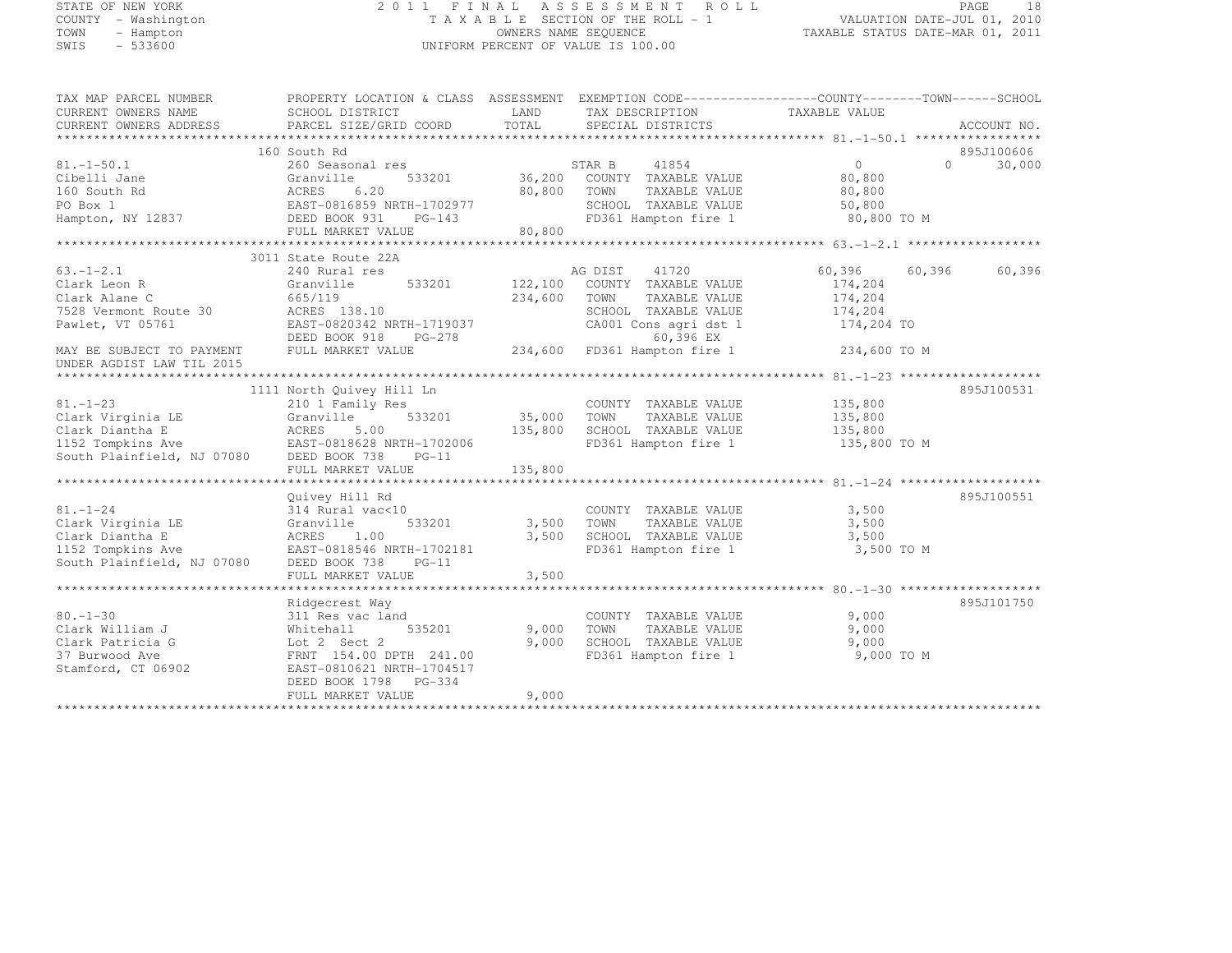# STATE OF NEW YORK 2 0 1 1 F I N A L A S S E S S M E N T R O L L PAGE <sup>18</sup> COUNTY - Washington T A X A B L E SECTION OF THE ROLL - 1 VALUATION DATE-JUL 01, 2010 TOWN - Hampton OWNERS NAME SEQUENCE TAXABLE STATUS DATE-MAR 01, 2011 SWIS - 533600 UNIFORM PERCENT OF VALUE IS 100.00

| TAX MAP PARCEL NUMBER           | PROPERTY LOCATION & CLASS ASSESSMENT EXEMPTION CODE-----------------COUNTY-------TOWN------SCHOOL |                |                                  |                |                     |
|---------------------------------|---------------------------------------------------------------------------------------------------|----------------|----------------------------------|----------------|---------------------|
| CURRENT OWNERS NAME             | SCHOOL DISTRICT                                                                                   | LAND           | TAX DESCRIPTION                  | TAXABLE VALUE  |                     |
| CURRENT OWNERS ADDRESS          | PARCEL SIZE/GRID COORD                                                                            | TOTAL          | SPECIAL DISTRICTS                |                | ACCOUNT NO.         |
|                                 |                                                                                                   |                |                                  |                |                     |
|                                 | 160 South Rd                                                                                      |                |                                  |                | 895J100606          |
| $81, -1 - 50, 1$                | 260 Seasonal res                                                                                  |                | 41854<br>STAR B                  | $\overline{0}$ | $\bigcap$<br>30,000 |
| Cibelli Jane                    | 533201<br>Granville                                                                               |                | 36,200 COUNTY TAXABLE VALUE      | 80,800         |                     |
| 160 South Rd                    |                                                                                                   | 80,800 TOWN    | TAXABLE VALUE                    | 80,800         |                     |
| PO Box 1                        |                                                                                                   |                | SCHOOL TAXABLE VALUE             | 50,800         |                     |
| Hampton, NY 12837 DEED BOOK 931 | $PG-143$                                                                                          |                | FD361 Hampton fire 1 80,800 TO M |                |                     |
|                                 | FULL MARKET VALUE                                                                                 | 80,800         |                                  |                |                     |
|                                 |                                                                                                   |                |                                  |                |                     |
|                                 | 3011 State Route 22A                                                                              |                |                                  |                |                     |
| $63. - 1 - 2.1$                 | 240 Rural res                                                                                     |                | AG DIST<br>41720                 | 60,396         | 60,396<br>60,396    |
| Clark Leon R                    | Granville                                                                                         | 533201 122,100 | COUNTY TAXABLE VALUE             | 174,204        |                     |
| Clark Alane C                   | 665/119                                                                                           | 234,600        | TOWN<br>TAXABLE VALUE            | 174,204        |                     |
| 7528 Vermont Route 30           | ACRES 138.10                                                                                      |                | SCHOOL TAXABLE VALUE             | 174,204        |                     |
| Pawlet, VT 05761                | EAST-0820342 NRTH-1719037                                                                         |                | CA001 Cons agri dst 1            | 174,204 TO     |                     |
|                                 | DEED BOOK 918 PG-278                                                                              |                | 60,396 EX                        |                |                     |
| MAY BE SUBJECT TO PAYMENT       | FULL MARKET VALUE                                                                                 |                | $234,600$ FD361 Hampton fire 1   | 234,600 TO M   |                     |
| UNDER AGDIST LAW TIL 2015       |                                                                                                   |                |                                  |                |                     |
|                                 |                                                                                                   |                |                                  |                |                     |
|                                 | 1111 North Quivey Hill Ln                                                                         |                |                                  |                | 895J100531          |
| $81. - 1 - 23$                  | 210 1 Family Res                                                                                  |                | COUNTY TAXABLE VALUE             | 135,800        |                     |
| Clark Virginia LE               | 533201<br>Granville                                                                               | 35,000         | TOWN<br>TAXABLE VALUE            | 135,800        |                     |
| Clark Diantha E                 | ACRES 5.00                                                                                        | 135,800        | SCHOOL TAXABLE VALUE             | 135,800        |                     |
|                                 |                                                                                                   |                | FD361 Hampton fire 1             | 135,800 TO M   |                     |
| South Plainfield, NJ 07080      | DEED BOOK 738<br>$PG-11$                                                                          |                |                                  |                |                     |
|                                 | FULL MARKET VALUE                                                                                 | 135,800        |                                  |                |                     |
|                                 |                                                                                                   |                |                                  |                |                     |
|                                 | Quivey Hill Rd                                                                                    |                |                                  |                | 895J100551          |
| $81. - 1 - 24$                  | 314 Rural vac<10                                                                                  |                | COUNTY TAXABLE VALUE             | 3,500          |                     |
| Clark Virginia LE               | 533201<br>Granville                                                                               | 3,500          | TOWN<br>TAXABLE VALUE            | 3,500          |                     |
| Clark Diantha E                 | ACRES 1.00                                                                                        | 3,500          | SCHOOL TAXABLE VALUE             | 3,500          |                     |
| 1152 Tompkins Ave               | EAST-0818546 NRTH-1702181                                                                         |                | FD361 Hampton fire 1             | 3,500 TO M     |                     |
| South Plainfield, NJ 07080      | $PG-11$                                                                                           |                |                                  |                |                     |
|                                 | DEED BOOK 738<br>FULL MARKET VALUE                                                                |                |                                  |                |                     |
|                                 |                                                                                                   | 3,500          |                                  |                |                     |
|                                 | Ridgecrest Way                                                                                    |                |                                  |                | 895J101750          |
| $80. - 1 - 30$                  | 311 Res vac land                                                                                  |                | COUNTY TAXABLE VALUE             | 9,000          |                     |
|                                 |                                                                                                   |                |                                  |                |                     |
| Clark William J                 | Whitehall<br>535201                                                                               | 9,000          | TAXABLE VALUE<br>TOWN            | 9,000          |                     |
| Clark Patricia G                | Lot 2 Sect 2                                                                                      | 9,000          | SCHOOL TAXABLE VALUE             | 9,000          |                     |
| 37 Burwood Ave                  | FRNT 154.00 DPTH 241.00                                                                           |                | FD361 Hampton fire 1             | 9,000 TO M     |                     |
| Stamford, CT 06902              | EAST-0810621 NRTH-1704517                                                                         |                |                                  |                |                     |
|                                 | DEED BOOK 1798 PG-334                                                                             |                |                                  |                |                     |
|                                 | FULL MARKET VALUE                                                                                 | 9,000          |                                  |                |                     |
|                                 |                                                                                                   |                |                                  |                |                     |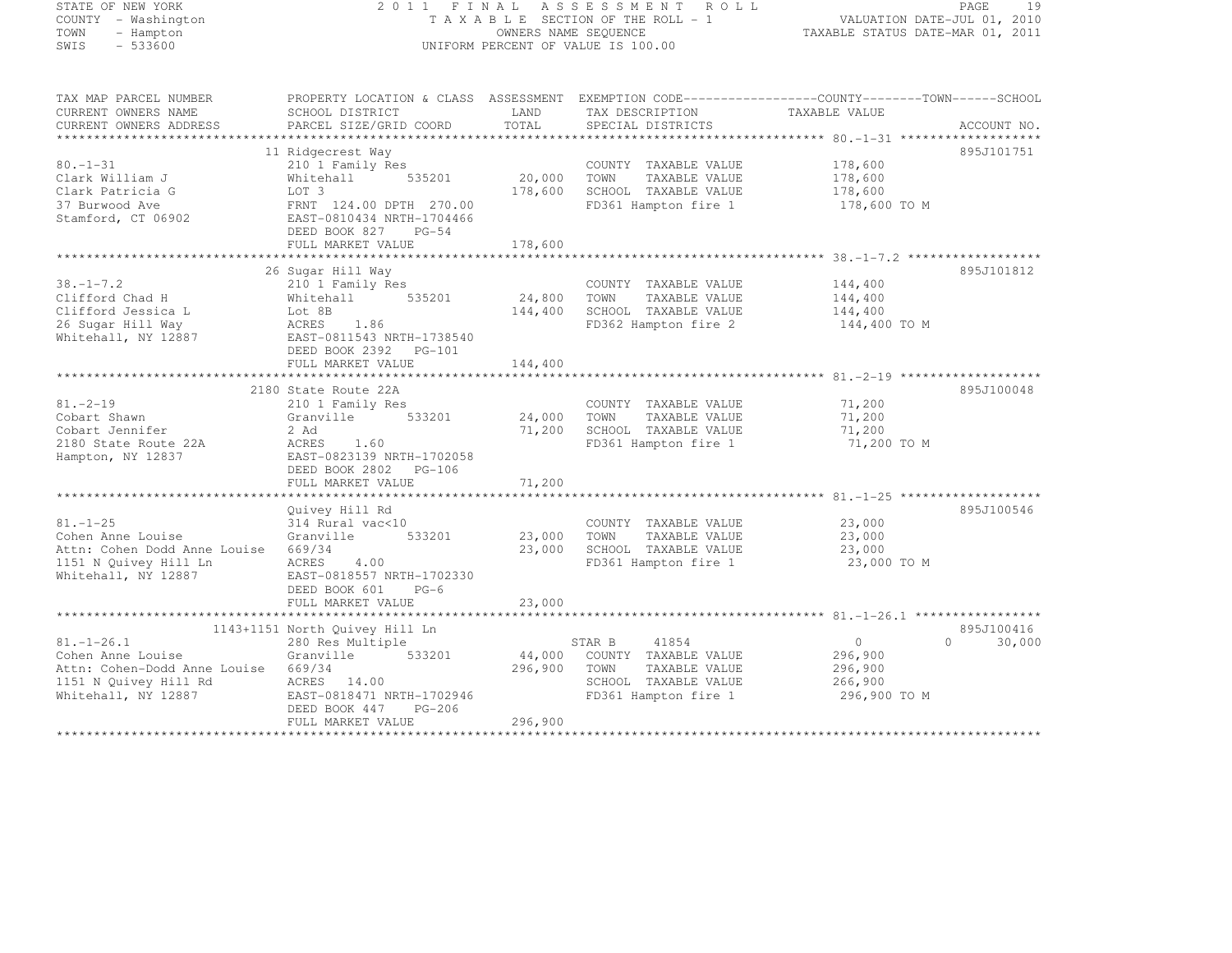|      | STATE OF NEW YORK   |
|------|---------------------|
|      | COUNTY - Washington |
| TOWN | - Hampton           |
| SWIS | $-533600$           |

## STATE OF NEW YORK 2 0 1 1 F I N A L A S S E S S M E N T R O L L PAGE <sup>19</sup> COUNTY - Washington T A X A B L E SECTION OF THE ROLL - 1 VALUATION DATE-JUL 01, 2010 TOWN - Hampton OWNERS NAME SEQUENCE TAXABLE STATUS DATE-MAR 01, 2011 SWIS - 533600 UNIFORM PERCENT OF VALUE IS 100.00

TAX MAP PARCEL NUMBER PROPERTY LOCATION & CLASS ASSESSMENT EXEMPTION CODE--------------------------------TOWN-------SCHOOL

| CURRENT OWNERS NAME<br>CURRENT OWNERS ADDRESS                                                                         | SCHOOL DISTRICT<br>PARCEL SIZE/GRID COORD                                                                                         | LAND<br>TOTAL     | TAX DESCRIPTION<br>SPECIAL DISTRICTS                                                                             | TAXABLE VALUE                                            | ACCOUNT NO.        |
|-----------------------------------------------------------------------------------------------------------------------|-----------------------------------------------------------------------------------------------------------------------------------|-------------------|------------------------------------------------------------------------------------------------------------------|----------------------------------------------------------|--------------------|
| *************************                                                                                             |                                                                                                                                   |                   |                                                                                                                  |                                                          |                    |
|                                                                                                                       | 11 Ridgecrest Way                                                                                                                 |                   |                                                                                                                  |                                                          | 895J101751         |
| $80. - 1 - 31$<br>Clark William J<br>Clark Patricia G                                                                 | 210 1 Family Res<br>Whitehall<br>535201<br>LOT 3                                                                                  | 20,000<br>178,600 | COUNTY TAXABLE VALUE<br>TOWN<br>TAXABLE VALUE<br>SCHOOL TAXABLE VALUE                                            | 178,600<br>178,600<br>178,600                            |                    |
| 37 Burwood Ave<br>Stamford, CT 06902                                                                                  | FRNT 124.00 DPTH 270.00<br>EAST-0810434 NRTH-1704466<br>DEED BOOK 827<br>$PG-54$<br>FULL MARKET VALUE                             | 178,600           | FD361 Hampton fire 1                                                                                             | 178,600 TO M                                             |                    |
|                                                                                                                       |                                                                                                                                   |                   |                                                                                                                  |                                                          |                    |
|                                                                                                                       | 26 Sugar Hill Way                                                                                                                 |                   |                                                                                                                  |                                                          | 895J101812         |
| $38. - 1 - 7.2$<br>Clifford Chad H<br>Clifford Jessica L<br>26 Sugar Hill Way<br>Whitehall, NY 12887                  | 210 1 Family Res<br>535201<br>Whitehall<br>Lot 8B<br>1.86<br>ACRES<br>EAST-0811543 NRTH-1738540<br>DEED BOOK 2392 PG-101          | 24,800<br>144,400 | COUNTY TAXABLE VALUE<br>TOWN<br>TAXABLE VALUE<br>SCHOOL TAXABLE VALUE<br>FD362 Hampton fire 2                    | 144,400<br>144,400<br>144,400<br>144,400 TO M            |                    |
|                                                                                                                       | FULL MARKET VALUE                                                                                                                 | 144,400           |                                                                                                                  |                                                          |                    |
|                                                                                                                       |                                                                                                                                   |                   |                                                                                                                  |                                                          |                    |
|                                                                                                                       | 2180 State Route 22A                                                                                                              |                   |                                                                                                                  |                                                          | 895J100048         |
| $81. - 2 - 19$<br>Cobart Shawn<br>Cobart Jennifer<br>2180 State Route 22A<br>Hampton, NY 12837                        | 210 1 Family Res<br>533201<br>Granville<br>2 Ad<br>ACRES<br>1.60<br>EAST-0823139 NRTH-1702058<br>DEED BOOK 2802 PG-106            | 24,000<br>71,200  | COUNTY TAXABLE VALUE<br>TOWN<br>TAXABLE VALUE<br>SCHOOL TAXABLE VALUE<br>FD361 Hampton fire 1                    | 71,200<br>71,200<br>71,200<br>71,200 TO M                |                    |
|                                                                                                                       | FULL MARKET VALUE                                                                                                                 | 71,200            |                                                                                                                  |                                                          |                    |
|                                                                                                                       | Quivey Hill Rd                                                                                                                    |                   |                                                                                                                  |                                                          | 895J100546         |
| $81. - 1 - 25$<br>Cohen Anne Louise<br>Attn: Cohen Dodd Anne Louise<br>1151 N Quivey Hill Ln<br>Whitehall, NY 12887   | 314 Rural vac<10<br>Granville<br>533201<br>669/34<br><b>ACRES</b><br>4.00<br>EAST-0818557 NRTH-1702330<br>DEED BOOK 601<br>$PG-6$ | 23,000<br>23,000  | COUNTY TAXABLE VALUE<br>TOWN<br>TAXABLE VALUE<br>SCHOOL TAXABLE VALUE<br>FD361 Hampton fire 1                    | 23,000<br>23,000<br>23,000<br>23,000 TO M                |                    |
|                                                                                                                       | FULL MARKET VALUE                                                                                                                 | 23,000            |                                                                                                                  |                                                          |                    |
|                                                                                                                       |                                                                                                                                   |                   |                                                                                                                  |                                                          |                    |
|                                                                                                                       | 1143+1151 North Quivey Hill Ln                                                                                                    |                   |                                                                                                                  |                                                          | 895J100416         |
| $81. - 1 - 26.1$<br>Cohen Anne Louise<br>Attn: Cohen-Dodd Anne Louise<br>1151 N Quivey Hill Rd<br>Whitehall, NY 12887 | 280 Res Multiple<br>Granville<br>533201<br>669/34<br>ACRES<br>14.00<br>EAST-0818471 NRTH-1702946<br>$PG-206$<br>DEED BOOK 447     | 44,000<br>296,900 | 41854<br>STAR B<br>COUNTY TAXABLE VALUE<br>TOWN<br>TAXABLE VALUE<br>SCHOOL TAXABLE VALUE<br>FD361 Hampton fire 1 | $\circ$<br>296,900<br>296,900<br>266,900<br>296,900 TO M | $\Omega$<br>30,000 |
|                                                                                                                       | FULL MARKET VALUE                                                                                                                 | 296,900           |                                                                                                                  |                                                          |                    |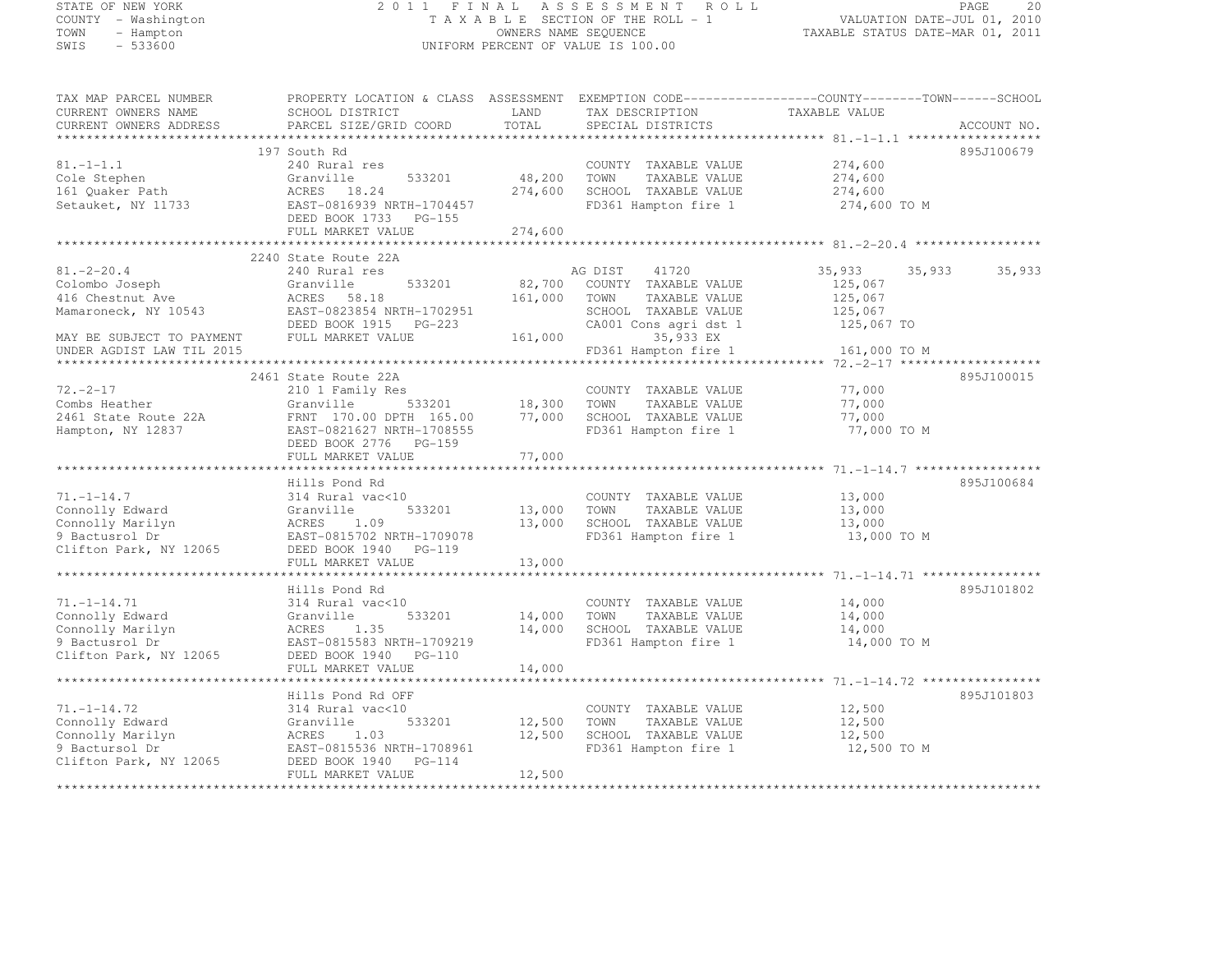# STATE OF NEW YORK 2 0 1 1 F I N A L A S S E S S M E N T R O L L PAGE <sup>20</sup> COUNTY - Washington T A X A B L E SECTION OF THE ROLL - 1 VALUATION DATE-JUL 01, 2010 TOWN - Hampton OWNERS NAME SEQUENCE TAXABLE STATUS DATE-MAR 01, 2011 SWIS - 533600 UNIFORM PERCENT OF VALUE IS 100.00

TAX MAP PARCEL NUMBER PROPERTY LOCATION & CLASS ASSESSMENT EXEMPTION CODE------------------COUNTY--------TOWN------SCHOOL

CURRENT OWNERS NAME SCHOOL DISTRICT LAND TAX DESCRIPTION TAXABLE VALUE<br>CURRENT OWNERS ADDRESS PARCEL SIZE/GRID COORD TOTAL SPECIAL DISTRICTS ACCOUNT NO. \*\*\*\*\*\*\*\*\*\*\*\*\*\*\*\*\*\*\*\*\*\*\*\*\*\*\*\*\*\*\*\*\*\*\*\*\*\*\*\*\*\*\*\*\*\*\*\*\*\*\*\*\*\*\*\*\*\*\*\*\*\*\*\*\*\*\*\*\*\*\*\*\*\*\*\*\*\*\*\*\*\*\*\*\*\*\*\*\*\*\*\*\*\*\*\*\*\*\*\*\*\*\* 81.-1-1.1 \*\*\*\*\*\*\*\*\*\*\*\*\*\*\*\*\*\* 197 South Rd 895J100679 81.-1-1.1 240 Rural res COUNTY TAXABLE VALUE 274,600 Cole Stephen Granville 533201 48,200 TOWN TAXABLE VALUE 274,600 161 Quaker Path ACRES 18.24 274,600 SCHOOL TAXABLE VALUE 274,600 Setauket, NY 11733 EAST-0816939 NRTH-1704457 FD361 Hampton fire 1 274,600 TO M DEED BOOK 1733 PG-155 FULL MARKET VALUE 274,600 \*\*\*\*\*\*\*\*\*\*\*\*\*\*\*\*\*\*\*\*\*\*\*\*\*\*\*\*\*\*\*\*\*\*\*\*\*\*\*\*\*\*\*\*\*\*\*\*\*\*\*\*\*\*\*\*\*\*\*\*\*\*\*\*\*\*\*\*\*\*\*\*\*\*\*\*\*\*\*\*\*\*\*\*\*\*\*\*\*\*\*\*\*\*\*\*\*\*\*\*\*\*\* 81.-2-20.4 \*\*\*\*\*\*\*\*\*\*\*\*\*\*\*\*\* 2240 State Route 22A 81.-2-20.4 240 Rural res AG DIST <sup>41720</sup> 35,933 35,933 35,933 Colombo Joseph Granville 533201 82,700 COUNTY TAXABLE VALUE 125,067 416 Chestnut Ave ACRES 58.18 161,000 TOWN TAXABLE VALUE 125,067 Mamaroneck, NY 10543 EAST-0823854 NRTH-1702951 SCHOOL TAXABLE VALUE 125,067 DEED BOOK 1915 PG-223 CA001 Cons agri dst 1 125,067 TO MAY BE SUBJECT TO PAYMENT FULL MARKET VALUE 161,000 35,933 EX UNDER AGDIST LAW TIL 2015 FD361 Hampton fire 1 161,000 TO M \*\*\*\*\*\*\*\*\*\*\*\*\*\*\*\*\*\*\*\*\*\*\*\*\*\*\*\*\*\*\*\*\*\*\*\*\*\*\*\*\*\*\*\*\*\*\*\*\*\*\*\*\*\*\*\*\*\*\*\*\*\*\*\*\*\*\*\*\*\*\*\*\*\*\*\*\*\*\*\*\*\*\*\*\*\*\*\*\*\*\*\*\*\*\*\*\*\*\*\*\*\*\* 72.-2-17 \*\*\*\*\*\*\*\*\*\*\*\*\*\*\*\*\*\*\* 2461 State Route 22A 895J100015 72.-2-17 210 1 Family Res COUNTY TAXABLE VALUE 77,000 Combs Heather Granville 533201 18,300 TOWN TAXABLE VALUE 77,000 2461 State Route 22A FRNT 170.00 DPTH 165.00 77,000 SCHOOL TAXABLE VALUE 77,000<br>... Hampton, NY 12837 EAST-0821627 NRTH-1708555 FD361 Hampton fire 1 77,000 TO M DEED BOOK 2776 PG-159 FULL MARKET VALUE 77,000 \*\*\*\*\*\*\*\*\*\*\*\*\*\*\*\*\*\*\*\*\*\*\*\*\*\*\*\*\*\*\*\*\*\*\*\*\*\*\*\*\*\*\*\*\*\*\*\*\*\*\*\*\*\*\*\*\*\*\*\*\*\*\*\*\*\*\*\*\*\*\*\*\*\*\*\*\*\*\*\*\*\*\*\*\*\*\*\*\*\*\*\*\*\*\*\*\*\*\*\*\*\*\* 71.-1-14.7 \*\*\*\*\*\*\*\*\*\*\*\*\*\*\*\*\* Hills Pond Rd 895J100684 71.-1-14.7 314 Rural vac<10 COUNTY TAXABLE VALUE 13,000 Connolly Edward Granville 533201 13,000 TOWN TAXABLE VALUE 13,000 Connolly Marilyn ACRES 1.09 13,000 SCHOOL TAXABLE VALUE 13,000 9 Bactusrol Dr EAST-0815702 NRTH-1709078 FD361 Hampton fire 1 13,000 TO M<br>2 Bactusrol Dr 19965 FD361 Hampton fire 1 Clifton Park, NY 12065 DEED BOOK 1940 PG-119 FULL MARKET VALUE 13,000 \*\*\*\*\*\*\*\*\*\*\*\*\*\*\*\*\*\*\*\*\*\*\*\*\*\*\*\*\*\*\*\*\*\*\*\*\*\*\*\*\*\*\*\*\*\*\*\*\*\*\*\*\*\*\*\*\*\*\*\*\*\*\*\*\*\*\*\*\*\*\*\*\*\*\*\*\*\*\*\*\*\*\*\*\*\*\*\*\*\*\*\*\*\*\*\*\*\*\*\*\*\*\* 71.-1-14.71 \*\*\*\*\*\*\*\*\*\*\*\*\*\*\*\* Hills Pond Rd 895J101802 71.-1-14.71 314 Rural vac<10 COUNTY TAXABLE VALUE 14,000 Connolly Edward Granville 533201 14,000 TOWN TAXABLE VALUE 14,000 Connolly Marilyn ACRES 1.35 14,000 SCHOOL TAXABLE VALUE 14,000 9 Bactusrol Dr. ... 2006 EAST-0815583 NRTH-1709219 FD361 Hampton fire 1 14,000 TO M<br>2 Bactusrol Dr. ... 19965 Clifton Park, NY 12065 DEED BOOK 1940 PG-110 FULL MARKET VALUE 14,000 \*\*\*\*\*\*\*\*\*\*\*\*\*\*\*\*\*\*\*\*\*\*\*\*\*\*\*\*\*\*\*\*\*\*\*\*\*\*\*\*\*\*\*\*\*\*\*\*\*\*\*\*\*\*\*\*\*\*\*\*\*\*\*\*\*\*\*\*\*\*\*\*\*\*\*\*\*\*\*\*\*\*\*\*\*\*\*\*\*\*\*\*\*\*\*\*\*\*\*\*\*\*\* 71.-1-14.72 \*\*\*\*\*\*\*\*\*\*\*\*\*\*\*\* Hills Pond Rd OFF 895J101803 71.-1-14.72 314 Rural vac<10 COUNTY TAXABLE VALUE 12,500 Connolly Edward Granville 533201 12,500 TOWN TAXABLE VALUE 12,500 Connolly Marilyn ACRES 1.03 12,500 SCHOOL TAXABLE VALUE 12,500 9 Bactursol Dr EAST-0815536 NRTH-1708961 FD361 Hampton fire 1 12,500 TO M<br>2015 - The East of Castro Control of Castro Control of Castro Control of Castro Control of Castro Control of C Clifton Park, NY 12065 DEED BOOK 1940 PG-114 FULL MARKET VALUE 12,500 \*\*\*\*\*\*\*\*\*\*\*\*\*\*\*\*\*\*\*\*\*\*\*\*\*\*\*\*\*\*\*\*\*\*\*\*\*\*\*\*\*\*\*\*\*\*\*\*\*\*\*\*\*\*\*\*\*\*\*\*\*\*\*\*\*\*\*\*\*\*\*\*\*\*\*\*\*\*\*\*\*\*\*\*\*\*\*\*\*\*\*\*\*\*\*\*\*\*\*\*\*\*\*\*\*\*\*\*\*\*\*\*\*\*\*\*\*\*\*\*\*\*\*\*\*\*\*\*\*\*\*\*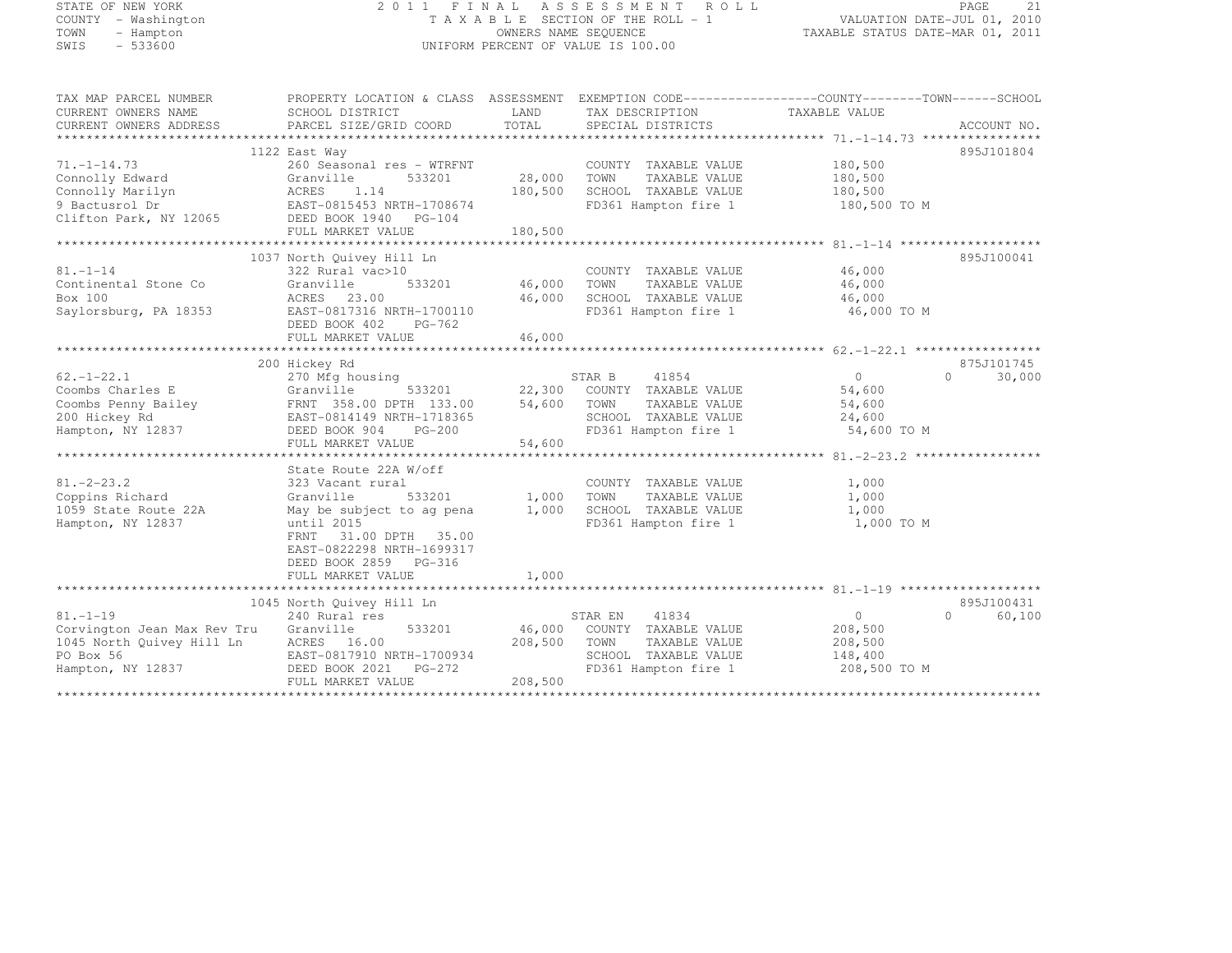# STATE OF NEW YORK 2 0 1 1 F I N A L A S S E S S M E N T R O L L PAGE <sup>21</sup> COUNTY - Washington T A X A B L E SECTION OF THE ROLL - 1 VALUATION DATE-JUL 01, 2010 TOWN - Hampton OWNERS NAME SEQUENCE TAXABLE STATUS DATE-MAR 01, 2011 SWIS - 533600 UNIFORM PERCENT OF VALUE IS 100.00

| 895J101804<br>1122 East Way<br>$71. - 1 - 14.73$<br>260 Seasonal res - WTRFNT<br>COUNTY TAXABLE VALUE<br>180,500<br>Connolly Edward<br>28,000<br>180,500<br>Granville<br>533201<br>TOWN<br>TAXABLE VALUE<br>Connolly Marilyn<br>180,500<br>ACRES<br>1.14<br>SCHOOL TAXABLE VALUE<br>180,500<br>9 Bactusrol Dr<br>EAST-0815453 NRTH-1708674<br>FD361 Hampton fire 1<br>180,500 TO M<br>Clifton Park, NY 12065<br>DEED BOOK 1940 PG-104<br>FULL MARKET VALUE<br>180,500<br>1037 North Quivey Hill Ln<br>895J100041<br>$81. - 1 - 14$<br>46,000<br>322 Rural vac>10<br>COUNTY TAXABLE VALUE<br>Continental Stone Co<br>533201<br>46,000<br>46,000<br>Granville<br>TOWN<br>TAXABLE VALUE<br>Box 100<br>ACRES 23.00<br>46,000<br>SCHOOL TAXABLE VALUE<br>46,000<br>Saylorsburg, PA 18353<br>EAST-0817316 NRTH-1700110<br>FD361 Hampton fire 1<br>46,000 TO M<br>DEED BOOK 402<br>PG-762<br>46,000<br>FULL MARKET VALUE<br>875J101745<br>200 Hickey Rd<br>30,000<br>$62. - 1 - 22.1$<br>270 Mfg housing<br>STAR B<br>41854<br>$\Omega$<br>$\Omega$<br>Coombs Charles E<br>533201<br>22,300<br>54,600<br>Granville<br>COUNTY TAXABLE VALUE<br>FRNT 358.00 DPTH 133.00<br>54,600<br>54,600<br>Coombs Penny Bailey<br>TOWN<br>TAXABLE VALUE<br>SCHOOL TAXABLE VALUE<br>200 Hickey Rd<br>EAST-0814149 NRTH-1718365<br>24,600<br>FD361 Hampton fire 1<br>54,600 TO M<br>Hampton, NY 12837<br>DEED BOOK 904<br>$PG-200$<br>54,600<br>FULL MARKET VALUE<br>State Route 22A W/off<br>$81. -2 - 23.2$<br>COUNTY TAXABLE VALUE<br>1,000<br>323 Vacant rural<br>Coppins Richard<br>1,000<br>Granville<br>533201<br>1,000<br>TOWN<br>TAXABLE VALUE<br>1059 State Route 22A<br>1,000<br>SCHOOL TAXABLE VALUE<br>1,000<br>May be subject to ag pena<br>Hampton, NY 12837<br>until 2015<br>FD361 Hampton fire 1<br>1,000 TO M<br>FRNT<br>31.00 DPTH 35.00<br>EAST-0822298 NRTH-1699317<br>DEED BOOK 2859 PG-316<br>1,000<br>FULL MARKET VALUE<br>1045 North Quivey Hill Ln<br>895J100431<br>60,100<br>$81. - 1 - 19$<br>240 Rural res<br>STAR EN<br>41834<br>$\overline{0}$<br>$\Omega$<br>Corvington Jean Max Rev Tru<br>533201<br>46,000<br>COUNTY TAXABLE VALUE<br>Granville<br>208,500<br>1045 North Quivey Hill Ln<br>ACRES 16.00<br>208,500<br>TOWN<br>TAXABLE VALUE<br>208,500<br>EAST-0817910 NRTH-1700934<br>SCHOOL TAXABLE VALUE<br>PO Box 56<br>148,400<br>Hampton, NY 12837<br>DEED BOOK 2021    PG-272<br>FD361 Hampton fire 1<br>208,500 TO M<br>FULL MARKET VALUE<br>208,500 | TAX MAP PARCEL NUMBER<br>CURRENT OWNERS NAME<br>CURRENT OWNERS ADDRESS | PROPERTY LOCATION & CLASS ASSESSMENT EXEMPTION CODE----------------COUNTY-------TOWN-----SCHOOL<br>SCHOOL DISTRICT<br>PARCEL SIZE/GRID COORD | LAND<br>TOTAL | TAX DESCRIPTION<br>SPECIAL DISTRICTS | TAXABLE VALUE | ACCOUNT NO. |
|------------------------------------------------------------------------------------------------------------------------------------------------------------------------------------------------------------------------------------------------------------------------------------------------------------------------------------------------------------------------------------------------------------------------------------------------------------------------------------------------------------------------------------------------------------------------------------------------------------------------------------------------------------------------------------------------------------------------------------------------------------------------------------------------------------------------------------------------------------------------------------------------------------------------------------------------------------------------------------------------------------------------------------------------------------------------------------------------------------------------------------------------------------------------------------------------------------------------------------------------------------------------------------------------------------------------------------------------------------------------------------------------------------------------------------------------------------------------------------------------------------------------------------------------------------------------------------------------------------------------------------------------------------------------------------------------------------------------------------------------------------------------------------------------------------------------------------------------------------------------------------------------------------------------------------------------------------------------------------------------------------------------------------------------------------------------------------------------------------------------------------------------------------------------------------------------------------------------------------------------------------------------------------------------------------------------------------------------------------------------------------------------------------------------------------------------------------------------|------------------------------------------------------------------------|----------------------------------------------------------------------------------------------------------------------------------------------|---------------|--------------------------------------|---------------|-------------|
|                                                                                                                                                                                                                                                                                                                                                                                                                                                                                                                                                                                                                                                                                                                                                                                                                                                                                                                                                                                                                                                                                                                                                                                                                                                                                                                                                                                                                                                                                                                                                                                                                                                                                                                                                                                                                                                                                                                                                                                                                                                                                                                                                                                                                                                                                                                                                                                                                                                                        |                                                                        |                                                                                                                                              |               |                                      |               |             |
|                                                                                                                                                                                                                                                                                                                                                                                                                                                                                                                                                                                                                                                                                                                                                                                                                                                                                                                                                                                                                                                                                                                                                                                                                                                                                                                                                                                                                                                                                                                                                                                                                                                                                                                                                                                                                                                                                                                                                                                                                                                                                                                                                                                                                                                                                                                                                                                                                                                                        |                                                                        |                                                                                                                                              |               |                                      |               |             |
|                                                                                                                                                                                                                                                                                                                                                                                                                                                                                                                                                                                                                                                                                                                                                                                                                                                                                                                                                                                                                                                                                                                                                                                                                                                                                                                                                                                                                                                                                                                                                                                                                                                                                                                                                                                                                                                                                                                                                                                                                                                                                                                                                                                                                                                                                                                                                                                                                                                                        |                                                                        |                                                                                                                                              |               |                                      |               |             |
|                                                                                                                                                                                                                                                                                                                                                                                                                                                                                                                                                                                                                                                                                                                                                                                                                                                                                                                                                                                                                                                                                                                                                                                                                                                                                                                                                                                                                                                                                                                                                                                                                                                                                                                                                                                                                                                                                                                                                                                                                                                                                                                                                                                                                                                                                                                                                                                                                                                                        |                                                                        |                                                                                                                                              |               |                                      |               |             |
|                                                                                                                                                                                                                                                                                                                                                                                                                                                                                                                                                                                                                                                                                                                                                                                                                                                                                                                                                                                                                                                                                                                                                                                                                                                                                                                                                                                                                                                                                                                                                                                                                                                                                                                                                                                                                                                                                                                                                                                                                                                                                                                                                                                                                                                                                                                                                                                                                                                                        |                                                                        |                                                                                                                                              |               |                                      |               |             |
|                                                                                                                                                                                                                                                                                                                                                                                                                                                                                                                                                                                                                                                                                                                                                                                                                                                                                                                                                                                                                                                                                                                                                                                                                                                                                                                                                                                                                                                                                                                                                                                                                                                                                                                                                                                                                                                                                                                                                                                                                                                                                                                                                                                                                                                                                                                                                                                                                                                                        |                                                                        |                                                                                                                                              |               |                                      |               |             |
|                                                                                                                                                                                                                                                                                                                                                                                                                                                                                                                                                                                                                                                                                                                                                                                                                                                                                                                                                                                                                                                                                                                                                                                                                                                                                                                                                                                                                                                                                                                                                                                                                                                                                                                                                                                                                                                                                                                                                                                                                                                                                                                                                                                                                                                                                                                                                                                                                                                                        |                                                                        |                                                                                                                                              |               |                                      |               |             |
|                                                                                                                                                                                                                                                                                                                                                                                                                                                                                                                                                                                                                                                                                                                                                                                                                                                                                                                                                                                                                                                                                                                                                                                                                                                                                                                                                                                                                                                                                                                                                                                                                                                                                                                                                                                                                                                                                                                                                                                                                                                                                                                                                                                                                                                                                                                                                                                                                                                                        |                                                                        |                                                                                                                                              |               |                                      |               |             |
|                                                                                                                                                                                                                                                                                                                                                                                                                                                                                                                                                                                                                                                                                                                                                                                                                                                                                                                                                                                                                                                                                                                                                                                                                                                                                                                                                                                                                                                                                                                                                                                                                                                                                                                                                                                                                                                                                                                                                                                                                                                                                                                                                                                                                                                                                                                                                                                                                                                                        |                                                                        |                                                                                                                                              |               |                                      |               |             |
|                                                                                                                                                                                                                                                                                                                                                                                                                                                                                                                                                                                                                                                                                                                                                                                                                                                                                                                                                                                                                                                                                                                                                                                                                                                                                                                                                                                                                                                                                                                                                                                                                                                                                                                                                                                                                                                                                                                                                                                                                                                                                                                                                                                                                                                                                                                                                                                                                                                                        |                                                                        |                                                                                                                                              |               |                                      |               |             |
|                                                                                                                                                                                                                                                                                                                                                                                                                                                                                                                                                                                                                                                                                                                                                                                                                                                                                                                                                                                                                                                                                                                                                                                                                                                                                                                                                                                                                                                                                                                                                                                                                                                                                                                                                                                                                                                                                                                                                                                                                                                                                                                                                                                                                                                                                                                                                                                                                                                                        |                                                                        |                                                                                                                                              |               |                                      |               |             |
|                                                                                                                                                                                                                                                                                                                                                                                                                                                                                                                                                                                                                                                                                                                                                                                                                                                                                                                                                                                                                                                                                                                                                                                                                                                                                                                                                                                                                                                                                                                                                                                                                                                                                                                                                                                                                                                                                                                                                                                                                                                                                                                                                                                                                                                                                                                                                                                                                                                                        |                                                                        |                                                                                                                                              |               |                                      |               |             |
|                                                                                                                                                                                                                                                                                                                                                                                                                                                                                                                                                                                                                                                                                                                                                                                                                                                                                                                                                                                                                                                                                                                                                                                                                                                                                                                                                                                                                                                                                                                                                                                                                                                                                                                                                                                                                                                                                                                                                                                                                                                                                                                                                                                                                                                                                                                                                                                                                                                                        |                                                                        |                                                                                                                                              |               |                                      |               |             |
|                                                                                                                                                                                                                                                                                                                                                                                                                                                                                                                                                                                                                                                                                                                                                                                                                                                                                                                                                                                                                                                                                                                                                                                                                                                                                                                                                                                                                                                                                                                                                                                                                                                                                                                                                                                                                                                                                                                                                                                                                                                                                                                                                                                                                                                                                                                                                                                                                                                                        |                                                                        |                                                                                                                                              |               |                                      |               |             |
|                                                                                                                                                                                                                                                                                                                                                                                                                                                                                                                                                                                                                                                                                                                                                                                                                                                                                                                                                                                                                                                                                                                                                                                                                                                                                                                                                                                                                                                                                                                                                                                                                                                                                                                                                                                                                                                                                                                                                                                                                                                                                                                                                                                                                                                                                                                                                                                                                                                                        |                                                                        |                                                                                                                                              |               |                                      |               |             |
|                                                                                                                                                                                                                                                                                                                                                                                                                                                                                                                                                                                                                                                                                                                                                                                                                                                                                                                                                                                                                                                                                                                                                                                                                                                                                                                                                                                                                                                                                                                                                                                                                                                                                                                                                                                                                                                                                                                                                                                                                                                                                                                                                                                                                                                                                                                                                                                                                                                                        |                                                                        |                                                                                                                                              |               |                                      |               |             |
|                                                                                                                                                                                                                                                                                                                                                                                                                                                                                                                                                                                                                                                                                                                                                                                                                                                                                                                                                                                                                                                                                                                                                                                                                                                                                                                                                                                                                                                                                                                                                                                                                                                                                                                                                                                                                                                                                                                                                                                                                                                                                                                                                                                                                                                                                                                                                                                                                                                                        |                                                                        |                                                                                                                                              |               |                                      |               |             |
|                                                                                                                                                                                                                                                                                                                                                                                                                                                                                                                                                                                                                                                                                                                                                                                                                                                                                                                                                                                                                                                                                                                                                                                                                                                                                                                                                                                                                                                                                                                                                                                                                                                                                                                                                                                                                                                                                                                                                                                                                                                                                                                                                                                                                                                                                                                                                                                                                                                                        |                                                                        |                                                                                                                                              |               |                                      |               |             |
|                                                                                                                                                                                                                                                                                                                                                                                                                                                                                                                                                                                                                                                                                                                                                                                                                                                                                                                                                                                                                                                                                                                                                                                                                                                                                                                                                                                                                                                                                                                                                                                                                                                                                                                                                                                                                                                                                                                                                                                                                                                                                                                                                                                                                                                                                                                                                                                                                                                                        |                                                                        |                                                                                                                                              |               |                                      |               |             |
|                                                                                                                                                                                                                                                                                                                                                                                                                                                                                                                                                                                                                                                                                                                                                                                                                                                                                                                                                                                                                                                                                                                                                                                                                                                                                                                                                                                                                                                                                                                                                                                                                                                                                                                                                                                                                                                                                                                                                                                                                                                                                                                                                                                                                                                                                                                                                                                                                                                                        |                                                                        |                                                                                                                                              |               |                                      |               |             |
|                                                                                                                                                                                                                                                                                                                                                                                                                                                                                                                                                                                                                                                                                                                                                                                                                                                                                                                                                                                                                                                                                                                                                                                                                                                                                                                                                                                                                                                                                                                                                                                                                                                                                                                                                                                                                                                                                                                                                                                                                                                                                                                                                                                                                                                                                                                                                                                                                                                                        |                                                                        |                                                                                                                                              |               |                                      |               |             |
|                                                                                                                                                                                                                                                                                                                                                                                                                                                                                                                                                                                                                                                                                                                                                                                                                                                                                                                                                                                                                                                                                                                                                                                                                                                                                                                                                                                                                                                                                                                                                                                                                                                                                                                                                                                                                                                                                                                                                                                                                                                                                                                                                                                                                                                                                                                                                                                                                                                                        |                                                                        |                                                                                                                                              |               |                                      |               |             |
|                                                                                                                                                                                                                                                                                                                                                                                                                                                                                                                                                                                                                                                                                                                                                                                                                                                                                                                                                                                                                                                                                                                                                                                                                                                                                                                                                                                                                                                                                                                                                                                                                                                                                                                                                                                                                                                                                                                                                                                                                                                                                                                                                                                                                                                                                                                                                                                                                                                                        |                                                                        |                                                                                                                                              |               |                                      |               |             |
|                                                                                                                                                                                                                                                                                                                                                                                                                                                                                                                                                                                                                                                                                                                                                                                                                                                                                                                                                                                                                                                                                                                                                                                                                                                                                                                                                                                                                                                                                                                                                                                                                                                                                                                                                                                                                                                                                                                                                                                                                                                                                                                                                                                                                                                                                                                                                                                                                                                                        |                                                                        |                                                                                                                                              |               |                                      |               |             |
|                                                                                                                                                                                                                                                                                                                                                                                                                                                                                                                                                                                                                                                                                                                                                                                                                                                                                                                                                                                                                                                                                                                                                                                                                                                                                                                                                                                                                                                                                                                                                                                                                                                                                                                                                                                                                                                                                                                                                                                                                                                                                                                                                                                                                                                                                                                                                                                                                                                                        |                                                                        |                                                                                                                                              |               |                                      |               |             |
|                                                                                                                                                                                                                                                                                                                                                                                                                                                                                                                                                                                                                                                                                                                                                                                                                                                                                                                                                                                                                                                                                                                                                                                                                                                                                                                                                                                                                                                                                                                                                                                                                                                                                                                                                                                                                                                                                                                                                                                                                                                                                                                                                                                                                                                                                                                                                                                                                                                                        |                                                                        |                                                                                                                                              |               |                                      |               |             |
|                                                                                                                                                                                                                                                                                                                                                                                                                                                                                                                                                                                                                                                                                                                                                                                                                                                                                                                                                                                                                                                                                                                                                                                                                                                                                                                                                                                                                                                                                                                                                                                                                                                                                                                                                                                                                                                                                                                                                                                                                                                                                                                                                                                                                                                                                                                                                                                                                                                                        |                                                                        |                                                                                                                                              |               |                                      |               |             |
|                                                                                                                                                                                                                                                                                                                                                                                                                                                                                                                                                                                                                                                                                                                                                                                                                                                                                                                                                                                                                                                                                                                                                                                                                                                                                                                                                                                                                                                                                                                                                                                                                                                                                                                                                                                                                                                                                                                                                                                                                                                                                                                                                                                                                                                                                                                                                                                                                                                                        |                                                                        |                                                                                                                                              |               |                                      |               |             |
|                                                                                                                                                                                                                                                                                                                                                                                                                                                                                                                                                                                                                                                                                                                                                                                                                                                                                                                                                                                                                                                                                                                                                                                                                                                                                                                                                                                                                                                                                                                                                                                                                                                                                                                                                                                                                                                                                                                                                                                                                                                                                                                                                                                                                                                                                                                                                                                                                                                                        |                                                                        |                                                                                                                                              |               |                                      |               |             |
|                                                                                                                                                                                                                                                                                                                                                                                                                                                                                                                                                                                                                                                                                                                                                                                                                                                                                                                                                                                                                                                                                                                                                                                                                                                                                                                                                                                                                                                                                                                                                                                                                                                                                                                                                                                                                                                                                                                                                                                                                                                                                                                                                                                                                                                                                                                                                                                                                                                                        |                                                                        |                                                                                                                                              |               |                                      |               |             |
|                                                                                                                                                                                                                                                                                                                                                                                                                                                                                                                                                                                                                                                                                                                                                                                                                                                                                                                                                                                                                                                                                                                                                                                                                                                                                                                                                                                                                                                                                                                                                                                                                                                                                                                                                                                                                                                                                                                                                                                                                                                                                                                                                                                                                                                                                                                                                                                                                                                                        |                                                                        |                                                                                                                                              |               |                                      |               |             |
|                                                                                                                                                                                                                                                                                                                                                                                                                                                                                                                                                                                                                                                                                                                                                                                                                                                                                                                                                                                                                                                                                                                                                                                                                                                                                                                                                                                                                                                                                                                                                                                                                                                                                                                                                                                                                                                                                                                                                                                                                                                                                                                                                                                                                                                                                                                                                                                                                                                                        |                                                                        |                                                                                                                                              |               |                                      |               |             |
|                                                                                                                                                                                                                                                                                                                                                                                                                                                                                                                                                                                                                                                                                                                                                                                                                                                                                                                                                                                                                                                                                                                                                                                                                                                                                                                                                                                                                                                                                                                                                                                                                                                                                                                                                                                                                                                                                                                                                                                                                                                                                                                                                                                                                                                                                                                                                                                                                                                                        |                                                                        |                                                                                                                                              |               |                                      |               |             |
|                                                                                                                                                                                                                                                                                                                                                                                                                                                                                                                                                                                                                                                                                                                                                                                                                                                                                                                                                                                                                                                                                                                                                                                                                                                                                                                                                                                                                                                                                                                                                                                                                                                                                                                                                                                                                                                                                                                                                                                                                                                                                                                                                                                                                                                                                                                                                                                                                                                                        |                                                                        |                                                                                                                                              |               |                                      |               |             |
|                                                                                                                                                                                                                                                                                                                                                                                                                                                                                                                                                                                                                                                                                                                                                                                                                                                                                                                                                                                                                                                                                                                                                                                                                                                                                                                                                                                                                                                                                                                                                                                                                                                                                                                                                                                                                                                                                                                                                                                                                                                                                                                                                                                                                                                                                                                                                                                                                                                                        |                                                                        |                                                                                                                                              |               |                                      |               |             |
|                                                                                                                                                                                                                                                                                                                                                                                                                                                                                                                                                                                                                                                                                                                                                                                                                                                                                                                                                                                                                                                                                                                                                                                                                                                                                                                                                                                                                                                                                                                                                                                                                                                                                                                                                                                                                                                                                                                                                                                                                                                                                                                                                                                                                                                                                                                                                                                                                                                                        |                                                                        |                                                                                                                                              |               |                                      |               |             |
|                                                                                                                                                                                                                                                                                                                                                                                                                                                                                                                                                                                                                                                                                                                                                                                                                                                                                                                                                                                                                                                                                                                                                                                                                                                                                                                                                                                                                                                                                                                                                                                                                                                                                                                                                                                                                                                                                                                                                                                                                                                                                                                                                                                                                                                                                                                                                                                                                                                                        |                                                                        |                                                                                                                                              |               |                                      |               |             |
|                                                                                                                                                                                                                                                                                                                                                                                                                                                                                                                                                                                                                                                                                                                                                                                                                                                                                                                                                                                                                                                                                                                                                                                                                                                                                                                                                                                                                                                                                                                                                                                                                                                                                                                                                                                                                                                                                                                                                                                                                                                                                                                                                                                                                                                                                                                                                                                                                                                                        |                                                                        |                                                                                                                                              |               |                                      |               |             |
|                                                                                                                                                                                                                                                                                                                                                                                                                                                                                                                                                                                                                                                                                                                                                                                                                                                                                                                                                                                                                                                                                                                                                                                                                                                                                                                                                                                                                                                                                                                                                                                                                                                                                                                                                                                                                                                                                                                                                                                                                                                                                                                                                                                                                                                                                                                                                                                                                                                                        |                                                                        |                                                                                                                                              |               |                                      |               |             |
|                                                                                                                                                                                                                                                                                                                                                                                                                                                                                                                                                                                                                                                                                                                                                                                                                                                                                                                                                                                                                                                                                                                                                                                                                                                                                                                                                                                                                                                                                                                                                                                                                                                                                                                                                                                                                                                                                                                                                                                                                                                                                                                                                                                                                                                                                                                                                                                                                                                                        |                                                                        |                                                                                                                                              |               |                                      |               |             |
|                                                                                                                                                                                                                                                                                                                                                                                                                                                                                                                                                                                                                                                                                                                                                                                                                                                                                                                                                                                                                                                                                                                                                                                                                                                                                                                                                                                                                                                                                                                                                                                                                                                                                                                                                                                                                                                                                                                                                                                                                                                                                                                                                                                                                                                                                                                                                                                                                                                                        |                                                                        |                                                                                                                                              |               |                                      |               |             |
|                                                                                                                                                                                                                                                                                                                                                                                                                                                                                                                                                                                                                                                                                                                                                                                                                                                                                                                                                                                                                                                                                                                                                                                                                                                                                                                                                                                                                                                                                                                                                                                                                                                                                                                                                                                                                                                                                                                                                                                                                                                                                                                                                                                                                                                                                                                                                                                                                                                                        |                                                                        |                                                                                                                                              |               |                                      |               |             |
|                                                                                                                                                                                                                                                                                                                                                                                                                                                                                                                                                                                                                                                                                                                                                                                                                                                                                                                                                                                                                                                                                                                                                                                                                                                                                                                                                                                                                                                                                                                                                                                                                                                                                                                                                                                                                                                                                                                                                                                                                                                                                                                                                                                                                                                                                                                                                                                                                                                                        |                                                                        |                                                                                                                                              |               |                                      |               |             |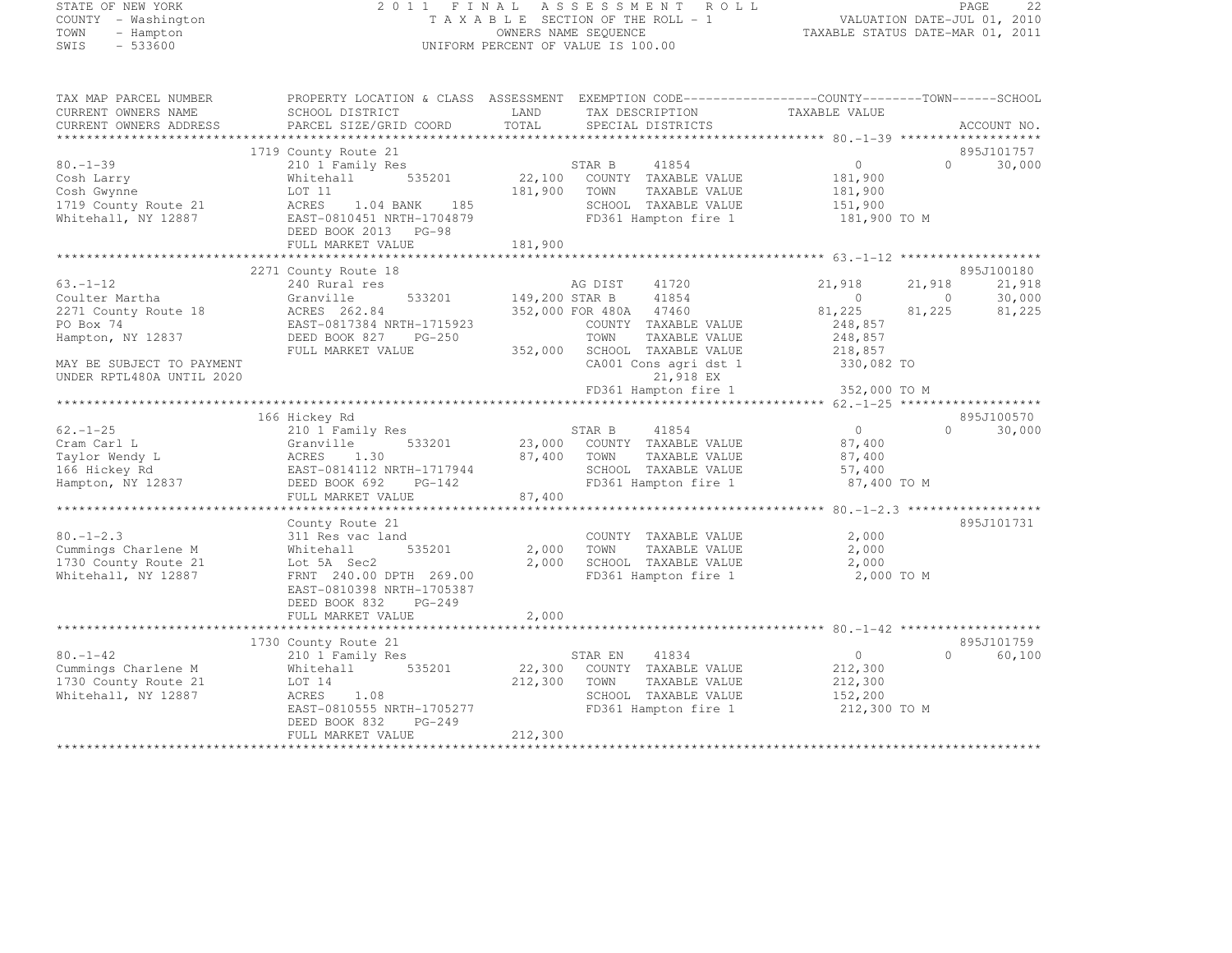# STATE OF NEW YORK 2 0 1 1 F I N A L A S S E S S M E N T R O L L PAGE <sup>22</sup> COUNTY - Washington T A X A B L E SECTION OF THE ROLL - 1 VALUATION DATE-JUL 01, 2010 TOWN - Hampton OWNERS NAME SEQUENCE TAXABLE STATUS DATE-MAR 01, 2011 SWIS - 533600 UNIFORM PERCENT OF VALUE IS 100.00

| TAX MAP PARCEL NUMBER     |                           |                | PROPERTY LOCATION & CLASS ASSESSMENT EXEMPTION CODE---------------COUNTY-------TOWN-----SCHOOL |                   |          |             |
|---------------------------|---------------------------|----------------|------------------------------------------------------------------------------------------------|-------------------|----------|-------------|
| CURRENT OWNERS NAME       | SCHOOL DISTRICT           | LAND           | TAX DESCRIPTION                                                                                | TAXABLE VALUE     |          |             |
| CURRENT OWNERS ADDRESS    | PARCEL SIZE/GRID COORD    | TOTAL          | SPECIAL DISTRICTS                                                                              |                   |          | ACCOUNT NO. |
|                           |                           |                |                                                                                                |                   |          |             |
|                           | 1719 County Route 21      |                |                                                                                                |                   |          | 895J101757  |
| $80. - 1 - 39$            | 210 1 Family Res          |                | 41854<br>STAR B                                                                                | $\circ$           | $\Omega$ | 30,000      |
| Cosh Larry                | 535201<br>Whitehall       | 22,100         | COUNTY TAXABLE VALUE                                                                           | 181,900           |          |             |
| Cosh Gwynne               | LOT 11                    | 181,900        | TOWN<br>TAXABLE VALUE                                                                          | 181,900           |          |             |
| 1719 County Route 21      | ACRES<br>1.04 BANK<br>185 |                | SCHOOL TAXABLE VALUE                                                                           | 151,900           |          |             |
| Whitehall, NY 12887       | EAST-0810451 NRTH-1704879 |                | FD361 Hampton fire 1                                                                           | 181,900 TO M      |          |             |
|                           | DEED BOOK 2013 PG-98      |                |                                                                                                |                   |          |             |
|                           |                           |                |                                                                                                |                   |          |             |
|                           | FULL MARKET VALUE         | 181,900        |                                                                                                |                   |          |             |
|                           |                           |                |                                                                                                |                   |          |             |
|                           | 2271 County Route 18      |                |                                                                                                |                   |          | 895J100180  |
| $63. - 1 - 12$            | 240 Rural res             |                | AG DIST<br>41720                                                                               | 21,918            | 21,918   | 21,918      |
| Coulter Martha            | 533201<br>Granville       | 149,200 STAR B | 41854                                                                                          | $\overline{0}$    | $\circ$  | 30,000      |
| 2271 County Route 18      | ACRES 262.84              |                | 352,000 FOR 480A 47460                                                                         | 81,225            | 81,225   | 81,225      |
| PO Box 74                 | EAST-0817384 NRTH-1715923 |                | COUNTY TAXABLE VALUE                                                                           | 248,857           |          |             |
| Hampton, NY 12837         | DEED BOOK 827<br>PG-250   |                | TOWN<br>TAXABLE VALUE                                                                          | 248,857           |          |             |
|                           | FULL MARKET VALUE         | 352,000        | SCHOOL TAXABLE VALUE                                                                           | 218,857           |          |             |
| MAY BE SUBJECT TO PAYMENT |                           |                | CA001 Cons agri dst 1                                                                          | 330,082 TO        |          |             |
| UNDER RPTL480A UNTIL 2020 |                           |                | 21,918 EX                                                                                      |                   |          |             |
|                           |                           |                | FD361 Hampton fire 1                                                                           | 352,000 TO M      |          |             |
|                           |                           |                |                                                                                                |                   |          |             |
|                           | 166 Hickey Rd             |                |                                                                                                |                   |          | 895J100570  |
| $62. - 1 - 25$            | 210 1 Family Res          |                | STAR B<br>41854                                                                                | $\overline{0}$    | $\Omega$ | 30,000      |
| Cram Carl L               | Granville<br>533201       |                | 23,000 COUNTY TAXABLE VALUE                                                                    | 87,400            |          |             |
| Taylor Wendy L            | ACRES<br>1.30             | 87,400         | TAXABLE VALUE<br>TOWN                                                                          | 87,400            |          |             |
| 166 Hickey Rd             | EAST-0814112 NRTH-1717944 |                | SCHOOL TAXABLE VALUE                                                                           | 57,400            |          |             |
| Hampton, NY 12837         | DEED BOOK 692<br>$PG-142$ |                | FD361 Hampton fire 1                                                                           | 87,400 TO M       |          |             |
|                           | FULL MARKET VALUE         | 87,400         |                                                                                                |                   |          |             |
|                           |                           |                |                                                                                                |                   |          |             |
|                           | County Route 21           |                |                                                                                                |                   |          | 895J101731  |
| $80. - 1 - 2.3$           |                           |                |                                                                                                | 2,000             |          |             |
|                           | 311 Res vac land          |                | COUNTY TAXABLE VALUE                                                                           |                   |          |             |
| Cummings Charlene M       | 535201<br>Whitehall       | 2,000          | TOWN<br>TAXABLE VALUE                                                                          | 2,000             |          |             |
| 1730 County Route 21      | Lot 5A Sec2               | 2,000          | SCHOOL TAXABLE VALUE                                                                           | 2,000             |          |             |
| Whitehall, NY 12887       | FRNT 240.00 DPTH 269.00   |                | FD361 Hampton fire 1                                                                           | 2,000 TO M        |          |             |
|                           | EAST-0810398 NRTH-1705387 |                |                                                                                                |                   |          |             |
|                           | DEED BOOK 832<br>$PG-249$ |                |                                                                                                |                   |          |             |
|                           | FULL MARKET VALUE         | 2,000          |                                                                                                |                   |          |             |
|                           |                           |                |                                                                                                |                   |          |             |
|                           | 1730 County Route 21      |                |                                                                                                |                   |          | 895J101759  |
| $80. - 1 - 42$            | 210 1 Family Res          |                | STAR EN<br>41834                                                                               | $0 \qquad \qquad$ | $\cap$   | 60,100      |
| Cummings Charlene M       | 535201<br>Whitehall       |                | 22,300 COUNTY TAXABLE VALUE                                                                    | 212,300           |          |             |
| 1730 County Route 21      | LOT 14                    | 212,300        | TOWN<br>TAXABLE VALUE                                                                          | 212,300           |          |             |
| Whitehall, NY 12887       | ACRES<br>1.08             |                | SCHOOL TAXABLE VALUE                                                                           | 152,200           |          |             |
|                           | EAST-0810555 NRTH-1705277 |                | FD361 Hampton fire 1                                                                           | 212,300 TO M      |          |             |
|                           | DEED BOOK 832<br>$PG-249$ |                |                                                                                                |                   |          |             |
|                           | FULL MARKET VALUE         | 212,300        |                                                                                                |                   |          |             |
|                           |                           |                |                                                                                                |                   |          |             |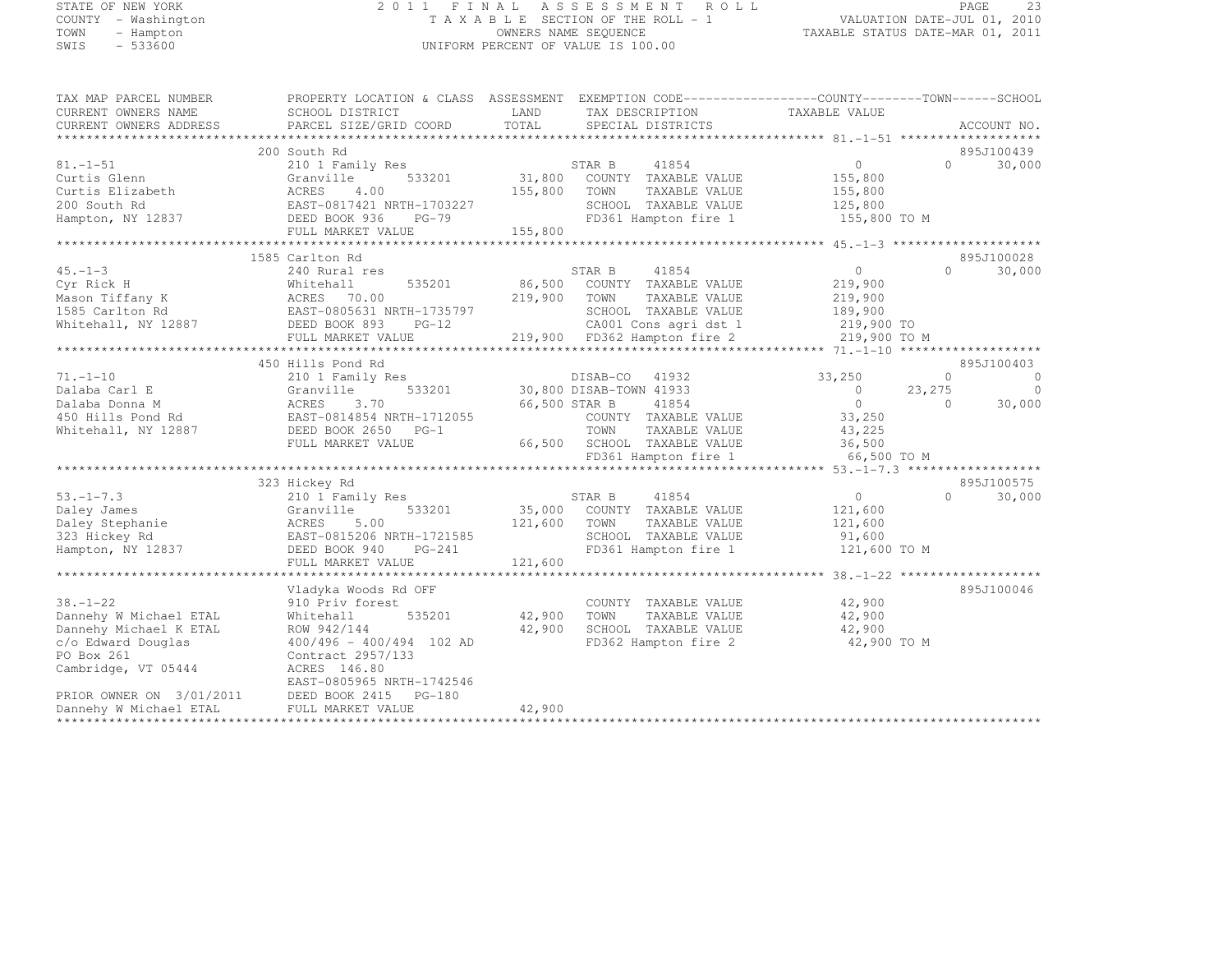## STATE OF NEW YORK 2 0 1 1 F I N A L A S S E S S M E N T R O L L PAGE <sup>23</sup> COUNTY - Washington T A X A B L E SECTION OF THE ROLL - 1 VALUATION DATE-JUL 01, 2010 TOWN - Hampton OWNERS NAME SEQUENCE TAXABLE STATUS DATE-MAR 01, 2011 SWIS - 533600 UNIFORM PERCENT OF VALUE IS 100.00

TAX MAP PARCEL NUMBER PROPERTY LOCATION & CLASS ASSESSMENT EXEMPTION CODE------------------COUNTY--------TOWN------SCHOOL

| CURRENT OWNERS NAME      | SCHOOL DISTRICT                                 | LAND         | TAX DESCRIPTION                                                                                                                                                                                                                                                                                                                      | TAXABLE VALUE  |                             |
|--------------------------|-------------------------------------------------|--------------|--------------------------------------------------------------------------------------------------------------------------------------------------------------------------------------------------------------------------------------------------------------------------------------------------------------------------------------|----------------|-----------------------------|
| CURRENT OWNERS ADDRESS   | PARCEL SIZE/GRID COORD                          | TOTAL        | SPECIAL DISTRICTS                                                                                                                                                                                                                                                                                                                    |                | ACCOUNT NO.                 |
|                          |                                                 |              |                                                                                                                                                                                                                                                                                                                                      |                |                             |
|                          | 200 South Rd                                    |              |                                                                                                                                                                                                                                                                                                                                      |                | 895J100439                  |
| $81. - 1 - 51$           | 210 1 Family Res                                |              | STAR B<br>41854                                                                                                                                                                                                                                                                                                                      | $\overline{0}$ | $\Omega$<br>30,000          |
| Curtis Glenn             | 533201<br>Granville                             |              | 31,800 COUNTY TAXABLE VALUE                                                                                                                                                                                                                                                                                                          | 155,800        |                             |
| Curtis Elizabeth         | 4.00<br>ACRES                                   | 155,800      | TOWN<br>TAXABLE VALUE                                                                                                                                                                                                                                                                                                                | 155,800        |                             |
| 200 South Rd             | EAST-0817421 NRTH-1703227                       |              | SCHOOL TAXABLE VALUE                                                                                                                                                                                                                                                                                                                 | 125,800        |                             |
| Hampton, NY 12837        | EASI-001.<br>DEED BOOK 936<br>AMPERT V<br>PG-79 |              | FD361 Hampton fire 1                                                                                                                                                                                                                                                                                                                 | 155,800 TO M   |                             |
|                          | FULL MARKET VALUE                               | 155,800      |                                                                                                                                                                                                                                                                                                                                      |                |                             |
|                          |                                                 |              |                                                                                                                                                                                                                                                                                                                                      |                |                             |
|                          | 1585 Carlton Rd                                 |              |                                                                                                                                                                                                                                                                                                                                      |                | 895J100028                  |
| $45. -1 - 3$             | 240 Rural res                                   |              | 41854<br>STAR B                                                                                                                                                                                                                                                                                                                      | $\overline{0}$ | $\Omega$<br>30,000          |
| Cyr Rick H               | 535201<br>Whitehall                             |              | 86,500 COUNTY TAXABLE VALUE                                                                                                                                                                                                                                                                                                          | 219,900        |                             |
| Mason Tiffany K          | ACRES 70.00                                     | 219,900 TOWN | TAXABLE VALUE                                                                                                                                                                                                                                                                                                                        | 219,900        |                             |
| 1585 Carlton Rd          | EAST-0805631 NRTH-1735797                       |              | SCHOOL TAXABLE VALUE                                                                                                                                                                                                                                                                                                                 | 189,900        |                             |
| Whitehall, NY 12887      | DEED BOOK 893 PG-12                             |              | CA001 Cons agri dst 1                                                                                                                                                                                                                                                                                                                | 219,900 TO     |                             |
|                          | FULL MARKET VALUE                               |              | 219,900 FD362 Hampton fire 2                                                                                                                                                                                                                                                                                                         | 219,900 TO M   |                             |
|                          |                                                 |              |                                                                                                                                                                                                                                                                                                                                      |                |                             |
|                          | 450 Hills Pond Rd                               |              |                                                                                                                                                                                                                                                                                                                                      |                | 895J100403                  |
| $71. - 1 - 10$           | 210 1 Family Res                                |              | DISAB-CO 41932                                                                                                                                                                                                                                                                                                                       | 33,250         | $\circ$<br>$\overline{0}$   |
| Dalaba Carl E            | 533201<br>Granville                             |              | 30,800 DISAB-TOWN 41933                                                                                                                                                                                                                                                                                                              | $\sim$ 0       | 23, 275<br>$\circ$          |
| Dalaba Donna M           | ACRES<br>3.70                                   |              | 66,500 STAR B<br>41854                                                                                                                                                                                                                                                                                                               | $\overline{0}$ | 30,000<br>$\Omega$          |
|                          | EAST-0814854 NRTH-1712055                       |              | COUNTY TAXABLE VALUE                                                                                                                                                                                                                                                                                                                 | 33,250         |                             |
| 450 Hills Pond Rd        |                                                 |              |                                                                                                                                                                                                                                                                                                                                      | 43,225         |                             |
| Whitehall, NY 12887      | DEED BOOK 2650 PG-1                             |              | TOWN<br>TAXABLE VALUE                                                                                                                                                                                                                                                                                                                |                |                             |
|                          | FULL MARKET VALUE                               |              | 66,500 SCHOOL TAXABLE VALUE                                                                                                                                                                                                                                                                                                          | 36,500         |                             |
|                          |                                                 |              | $ \ldots$ $\ldots$ $\ldots$ $\ldots$ $\ldots$ $\ldots$ $\ldots$ $\ldots$ $\ldots$ $\ldots$ $\ldots$ $\ldots$ $\ldots$ $\ldots$ $\ldots$ $\ldots$ $\ldots$ $\ldots$ $\ldots$ $\ldots$ $\ldots$ $\ldots$ $\ldots$ $\ldots$ $\ldots$ $\ldots$ $\ldots$ $\ldots$ $\ldots$ $\ldots$ $\ldots$ $\ldots$ $\ldots$ $\ldots$ $\ldots$ $\ldots$ | 66,500 TO M    |                             |
|                          |                                                 |              |                                                                                                                                                                                                                                                                                                                                      |                |                             |
|                          | 323 Hickey Rd                                   |              |                                                                                                                                                                                                                                                                                                                                      |                | 895J100575                  |
| $53. - 1 - 7.3$          | 210 1 Family Res                                |              | STAR B<br>41854                                                                                                                                                                                                                                                                                                                      | $\overline{0}$ | $0 \qquad \qquad$<br>30,000 |
| Daley James              | 533201<br>Granville                             |              | 35,000 COUNTY TAXABLE VALUE                                                                                                                                                                                                                                                                                                          | 121,600        |                             |
| Daley Stephanie          | 5.00<br>ACRES                                   | 121,600      | TOWN<br>TAXABLE VALUE                                                                                                                                                                                                                                                                                                                | 121,600        |                             |
| 323 Hickey Rd            | EAST-0815206 NRTH-1721585                       |              | SCHOOL TAXABLE VALUE                                                                                                                                                                                                                                                                                                                 | 91,600         |                             |
| Hampton, NY 12837        | DEED BOOK 940<br>PG-241                         |              | FD361 Hampton fire 1                                                                                                                                                                                                                                                                                                                 | 121,600 TO M   |                             |
|                          | FULL MARKET VALUE                               | 121,600      |                                                                                                                                                                                                                                                                                                                                      |                |                             |
|                          |                                                 |              |                                                                                                                                                                                                                                                                                                                                      |                |                             |
|                          | Vladyka Woods Rd OFF                            |              |                                                                                                                                                                                                                                                                                                                                      |                | 895J100046                  |
| $38. - 1 - 22$           | 910 Priv forest                                 |              | COUNTY TAXABLE VALUE                                                                                                                                                                                                                                                                                                                 | 42,900         |                             |
| Dannehy W Michael ETAL   | Whitehall<br>535201                             | 42,900       | TOWN<br>TAXABLE VALUE                                                                                                                                                                                                                                                                                                                | 42,900         |                             |
| Dannehy Michael K ETAL   | ROW 942/144                                     | 42,900       | SCHOOL TAXABLE VALUE                                                                                                                                                                                                                                                                                                                 | 42,900         |                             |
| c/o Edward Douglas       | $400/496 - 400/494$ 102 AD                      |              | FD362 Hampton fire 2                                                                                                                                                                                                                                                                                                                 | 42,900 TO M    |                             |
| PO Box 261               | Contract 2957/133                               |              |                                                                                                                                                                                                                                                                                                                                      |                |                             |
| Cambridge, VT 05444      | ACRES 146.80                                    |              |                                                                                                                                                                                                                                                                                                                                      |                |                             |
|                          | EAST-0805965 NRTH-1742546                       |              |                                                                                                                                                                                                                                                                                                                                      |                |                             |
| PRIOR OWNER ON 3/01/2011 | DEED BOOK 2415 PG-180                           |              |                                                                                                                                                                                                                                                                                                                                      |                |                             |
| Dannehy W Michael ETAL   | FULL MARKET VALUE                               | 42,900       |                                                                                                                                                                                                                                                                                                                                      |                |                             |
|                          |                                                 |              |                                                                                                                                                                                                                                                                                                                                      |                |                             |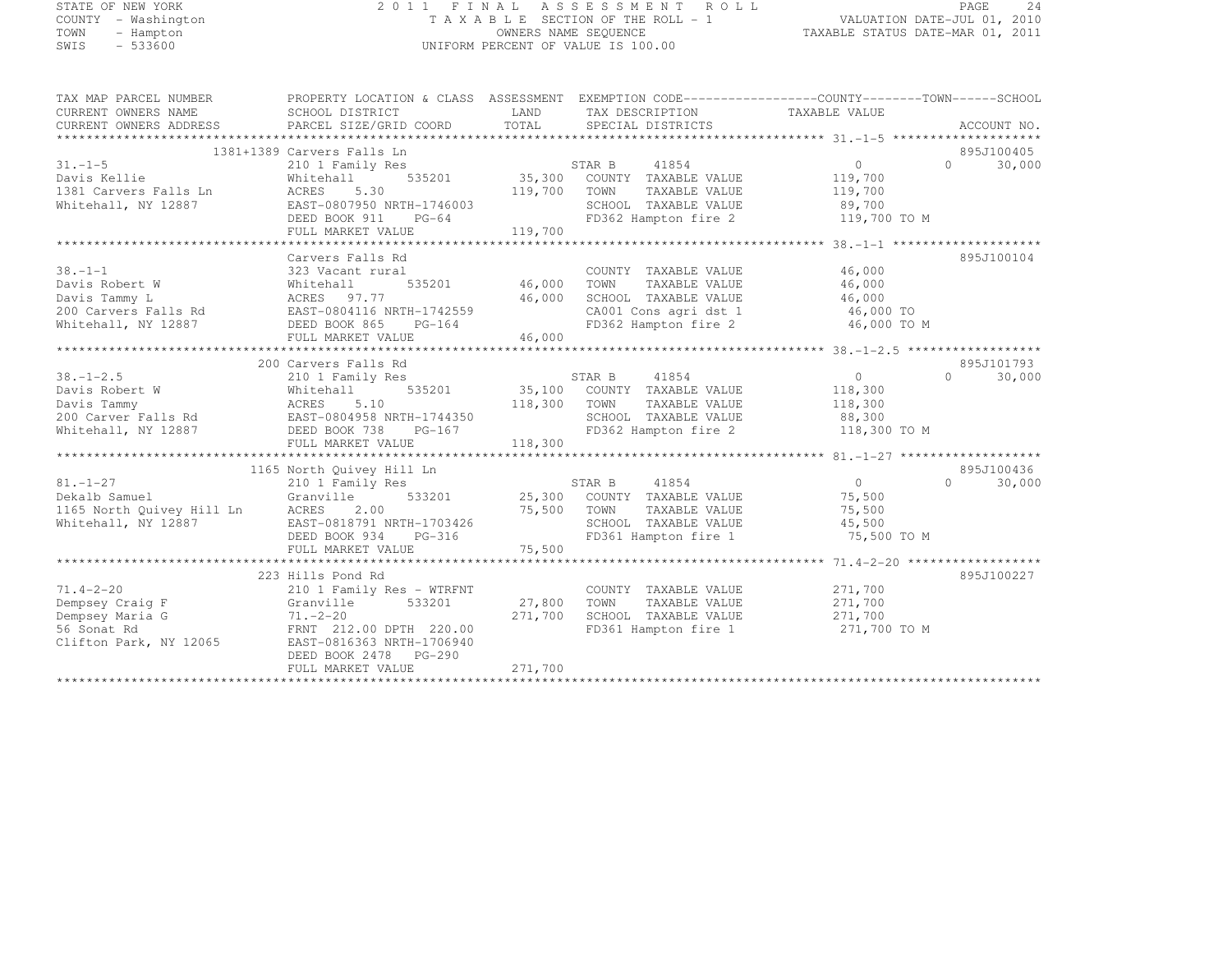#### STATE OF NEW YORK 2 0 1 1 F I N A L A S S E S S M E N T R O L L PAGE <sup>24</sup> COUNTY - Washington T A X A B L E SECTION OF THE ROLL - 1 VALUATION DATE-JUL 01, 2010 TOWN - Hampton OWNERS NAME SEQUENCE TAXABLE STATUS DATE-MAR 01, 2011 SUNTY - Washington<br>
SWIS - 533600 UNIFORM PERCENT OF VALUE IS 100.00<br>
UNIFORM PERCENT OF VALUE IS 100.00

TAX MAP PARCEL NUMBER PROPERTY LOCATION & CLASS ASSESSMENT EXEMPTION CODE------------------COUNTY--------TOWN------SCHOOL

| UAIIUN DAIL-JUL VI, 20I |  |
|-------------------------|--|
| STATHS DATE-MAR 01 2011 |  |

| CURRENT OWNERS NAME       | SCHOOL DISTRICT            | LAND    | TAX DESCRIPTION       | TAXABLE VALUE  |                     |
|---------------------------|----------------------------|---------|-----------------------|----------------|---------------------|
| CURRENT OWNERS ADDRESS    | PARCEL SIZE/GRID COORD     | TOTAL   | SPECIAL DISTRICTS     |                | ACCOUNT NO.         |
|                           |                            |         |                       |                |                     |
|                           | 1381+1389 Carvers Falls Ln |         |                       |                | 895J100405          |
| $31. - 1 - 5$             | 210 1 Family Res           |         | STAR B<br>41854       | $\circ$        | 30,000<br>$\bigcap$ |
| Davis Kellie              | 535201<br>Whitehall        | 35,300  | COUNTY TAXABLE VALUE  | 119,700        |                     |
| 1381 Carvers Falls Ln     | ACRES<br>5.30              | 119,700 | TOWN<br>TAXABLE VALUE | 119,700        |                     |
| Whitehall, NY 12887       | EAST-0807950 NRTH-1746003  |         | SCHOOL TAXABLE VALUE  | 89,700         |                     |
|                           | DEED BOOK 911<br>$PG-64$   |         | FD362 Hampton fire 2  | 119,700 TO M   |                     |
|                           | FULL MARKET VALUE          | 119,700 |                       |                |                     |
|                           |                            |         |                       |                |                     |
|                           | Carvers Falls Rd           |         |                       |                | 895J100104          |
| $38. - 1 - 1$             | 323 Vacant rural           |         | COUNTY TAXABLE VALUE  | 46,000         |                     |
| Davis Robert W            | 535201<br>Whitehall        | 46,000  | TOWN<br>TAXABLE VALUE | 46,000         |                     |
| Davis Tammy L             | ACRES 97.77                | 46,000  | SCHOOL TAXABLE VALUE  | 46,000         |                     |
| 200 Carvers Falls Rd      | EAST-0804116 NRTH-1742559  |         | CA001 Cons agri dst 1 | 46,000 TO      |                     |
| Whitehall, NY 12887       | DEED BOOK 865<br>$PG-164$  |         | FD362 Hampton fire 2  | 46,000 TO M    |                     |
|                           | FULL MARKET VALUE          | 46,000  |                       |                |                     |
|                           |                            |         |                       |                |                     |
|                           | 200 Carvers Falls Rd       |         |                       |                | 895J101793          |
| $38. - 1 - 2.5$           | 210 1 Family Res           |         | STAR B<br>41854       | $\overline{0}$ | 30,000<br>$\cap$    |
| Davis Robert W            | 535201<br>Whitehall        | 35,100  | COUNTY TAXABLE VALUE  | 118,300        |                     |
| Davis Tammy               | ACRES<br>5.10              | 118,300 | TOWN<br>TAXABLE VALUE | 118,300        |                     |
| 200 Carver Falls Rd       | EAST-0804958 NRTH-1744350  |         | SCHOOL TAXABLE VALUE  | 88,300         |                     |
| Whitehall, NY 12887       | DEED BOOK 738<br>PG-167    |         | FD362 Hampton fire 2  | 118,300 TO M   |                     |
|                           | FULL MARKET VALUE          | 118,300 |                       |                |                     |
|                           |                            |         |                       |                |                     |
|                           | 1165 North Quivey Hill Ln  |         |                       |                | 895J100436          |
| $81. - 1 - 27$            | 210 1 Family Res           |         | STAR B<br>41854       | $\circ$        | $\bigcap$<br>30,000 |
| Dekalb Samuel             | Granville<br>533201        | 25,300  | COUNTY TAXABLE VALUE  | 75,500         |                     |
| 1165 North Quivey Hill Ln | ACRES<br>2.00              | 75,500  | TOWN<br>TAXABLE VALUE | 75,500         |                     |
| Whitehall, NY 12887       | EAST-0818791 NRTH-1703426  |         | SCHOOL TAXABLE VALUE  | 45,500         |                     |
|                           | PG-316<br>DEED BOOK 934    |         | FD361 Hampton fire 1  | 75,500 TO M    |                     |
|                           | FULL MARKET VALUE          | 75,500  |                       |                |                     |
|                           |                            |         |                       |                |                     |
|                           | 223 Hills Pond Rd          |         |                       |                | 895J100227          |
| $71.4 - 2 - 20$           | 210 1 Family Res - WTRFNT  |         | COUNTY TAXABLE VALUE  | 271,700        |                     |
| Dempsey Craig F           | 533201<br>Granville        | 27,800  | TOWN<br>TAXABLE VALUE | 271,700        |                     |
| Dempsey Maria G           | $71, -2 - 20$              | 271,700 | SCHOOL TAXABLE VALUE  | 271,700        |                     |
| 56 Sonat Rd               | FRNT 212.00 DPTH 220.00    |         | FD361 Hampton fire 1  | 271,700 TO M   |                     |
| Clifton Park, NY 12065    | EAST-0816363 NRTH-1706940  |         |                       |                |                     |
|                           | DEED BOOK 2478<br>PG-290   |         |                       |                |                     |
|                           | FULL MARKET VALUE          | 271,700 |                       |                |                     |
|                           |                            |         |                       |                |                     |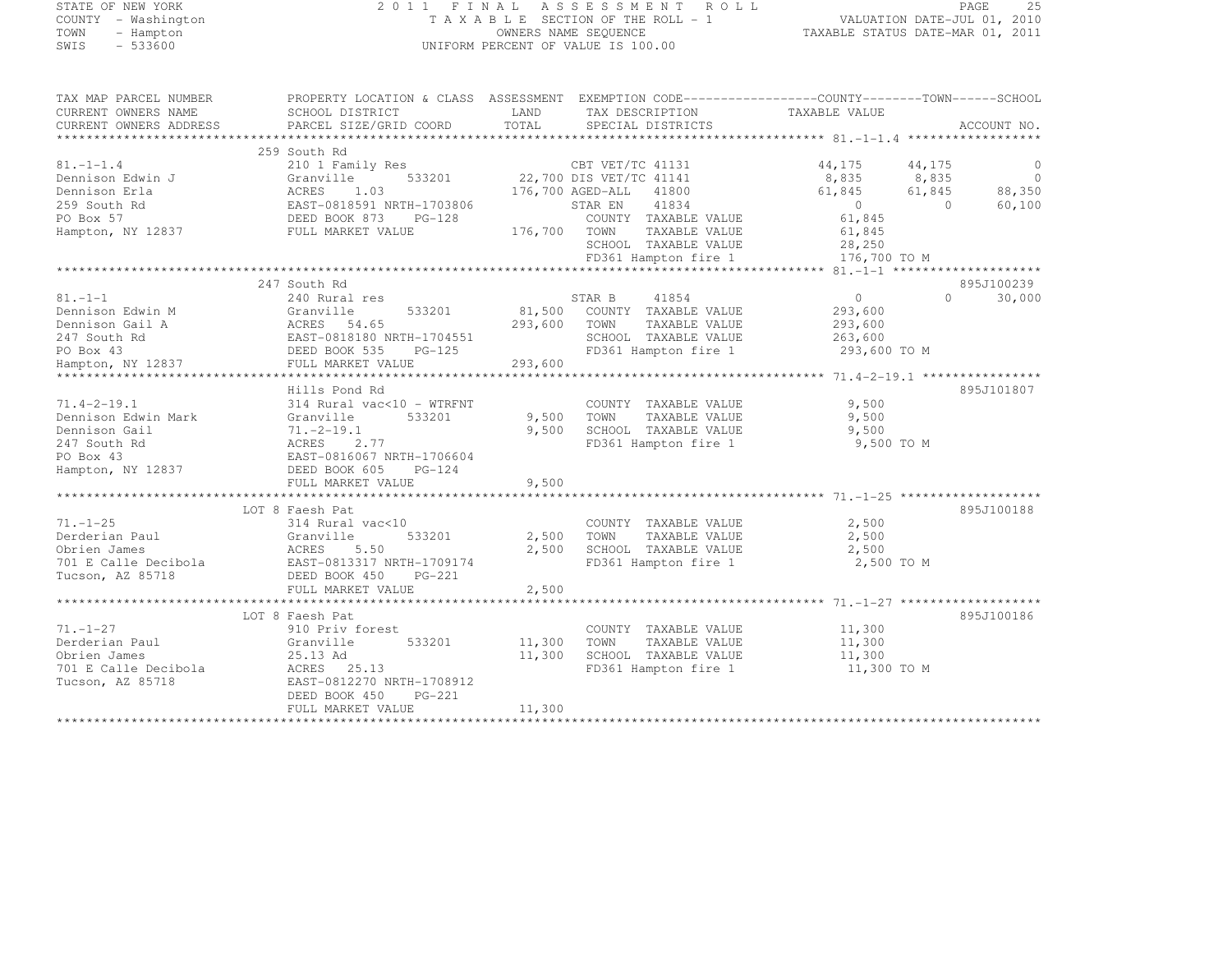| STATE OF NEW YORK |  |                     |  |
|-------------------|--|---------------------|--|
|                   |  | COUNTY - Washington |  |
| TOWN              |  | - Hampton           |  |
| <b>STMTS</b>      |  | $-533600$           |  |

## STATE OF NEW YORK 2 0 1 1 F I N A L A S S E S S M E N T R O L L PAGE <sup>25</sup> COUNTY - Washington T A X A B L E SECTION OF THE ROLL - 1 VALUATION DATE-JUL 01, 2010 TOWN - Hampton OWNERS NAME SEQUENCE TAXABLE STATUS DATE-MAR 01, 2011 SWIS - 533600 UNIFORM PERCENT OF VALUE IS 100.00

| TAX MAP PARCEL NUMBER  |                                                                 | PROPERTY LOCATION & CLASS ASSESSMENT EXEMPTION CODE----------------COUNTY-------TOWN-----SCHOOL |                              |             |
|------------------------|-----------------------------------------------------------------|-------------------------------------------------------------------------------------------------|------------------------------|-------------|
| CURRENT OWNERS NAME    | SCHOOL DISTRICT                                                 | LAND<br>TAX DESCRIPTION                                                                         | TAXABLE VALUE                |             |
| CURRENT OWNERS ADDRESS | PARCEL SIZE/GRID COORD                                          | TOTAL<br>SPECIAL DISTRICTS                                                                      |                              | ACCOUNT NO. |
|                        |                                                                 |                                                                                                 |                              |             |
|                        | 259 South Rd                                                    |                                                                                                 |                              |             |
| $81. - 1 - 1.4$        | 210 1 Family Res                                                | CBT VET/TC 41131<br>22,700 DIS VET/TC 41141                                                     | 44,175<br>44,175             | C           |
| Dennison Edwin J       | 533201<br>Granville                                             |                                                                                                 | 8,835<br>8,835               | $\circ$     |
| Dennison Erla          |                                                                 | 176,700 AGED-ALL<br>41800                                                                       | 61,845<br>61,845             | 88,350      |
| 259 South Rd           | ACRES 1.03<br>EAST-0818591 NRTH-1703806<br>DEED BOOK 873 PG-128 | 41834<br>STAR EN                                                                                | $\overline{0}$<br>$\bigcirc$ | 60,100      |
| PO Box 57              |                                                                 | COUNTY TAXABLE VALUE                                                                            | 61,845                       |             |
| Hampton, NY 12837      | FULL MARKET VALUE                                               | 176,700 TOWN<br>TAXABLE VALUE                                                                   | 61,845                       |             |
|                        |                                                                 | SCHOOL TAXABLE VALUE                                                                            | 28,250                       |             |
|                        |                                                                 | FD361 Hampton fire 1                                                                            | 176,700 TO M                 |             |
|                        |                                                                 |                                                                                                 |                              |             |
|                        | 247 South Rd                                                    |                                                                                                 |                              | 895J100239  |
| $81. - 1 - 1$          | 240 Rural res                                                   | STAR B<br>41854                                                                                 | $\Omega$<br>$\circ$          | 30,000      |
| Dennison Edwin M       | 533201<br>Granville                                             | 81,500<br>COUNTY TAXABLE VALUE                                                                  | 293,600                      |             |
| Dennison Gail A        |                                                                 | 293,600<br>TOWN<br>TAXABLE VALUE                                                                | 293,600                      |             |
| 247 South Rd           |                                                                 | SCHOOL TAXABLE VALUE                                                                            | 263,600                      |             |
| PO Box 43              |                                                                 | FD361 Hampton fire 1                                                                            | 293,600 TO M                 |             |
| Hampton, NY 12837      | FULL MARKET VALUE                                               | 293,600                                                                                         |                              |             |
|                        |                                                                 |                                                                                                 |                              |             |
|                        | Hills Pond Rd                                                   |                                                                                                 |                              | 895J101807  |
| $71.4 - 2 - 19.1$      | 314 Rural vac<10 - WTRFNT                                       | COUNTY TAXABLE VALUE                                                                            | 9,500                        |             |
| Dennison Edwin Mark    | 533201<br>Granville                                             | 9,500<br>TOWN<br>TAXABLE VALUE                                                                  | 9,500                        |             |
| Dennison Gail          | $71, -2 - 19, 1$                                                | 9,500<br>SCHOOL TAXABLE VALUE                                                                   | 9,500                        |             |
| 247 South Rd           | ACRES<br>2.77                                                   | FD361 Hampton fire 1                                                                            | 9,500 TO M                   |             |
| PO Box 43              | EAST-0816067 NRTH-1706604                                       |                                                                                                 |                              |             |
| Hampton, NY 12837      | DEED BOOK 605<br>$PG-124$                                       |                                                                                                 |                              |             |
|                        | FULL MARKET VALUE                                               | 9,500                                                                                           |                              |             |
|                        |                                                                 |                                                                                                 |                              |             |
|                        | LOT 8 Faesh Pat                                                 |                                                                                                 |                              | 895J100188  |
| $71. - 1 - 25$         | 314 Rural vac<10                                                | COUNTY TAXABLE VALUE                                                                            | 2,500                        |             |
| Derderian Paul         | 533201<br>Granville                                             | 2,500<br>TOWN<br>TAXABLE VALUE                                                                  | 2,500                        |             |
| Obrien James           | ACRES<br>5.50                                                   | 2,500<br>SCHOOL TAXABLE VALUE                                                                   | 2,500                        |             |
| 701 E Calle Decibola   | EAST-0813317 NRTH-1709174                                       | FD361 Hampton fire 1                                                                            | 2,500 TO M                   |             |
| Tucson, AZ 85718       | DEED BOOK 450<br>PG-221                                         |                                                                                                 |                              |             |
|                        | FULL MARKET VALUE                                               | 2,500                                                                                           |                              |             |
|                        | ***************************                                     |                                                                                                 |                              |             |
|                        | LOT 8 Faesh Pat                                                 |                                                                                                 |                              | 895J100186  |
| $71. - 1 - 27$         | 910 Priv forest                                                 | COUNTY TAXABLE VALUE                                                                            | 11,300                       |             |
| Derderian Paul         | Granville<br>533201                                             | 11,300<br>TOWN<br>TAXABLE VALUE                                                                 | 11,300                       |             |
| Obrien James           | 25.13 Ad                                                        | 11,300<br>SCHOOL TAXABLE VALUE                                                                  | 11,300                       |             |
|                        |                                                                 |                                                                                                 |                              |             |
| 701 E Calle Decibola   | ACRES 25.13                                                     | FD361 Hampton fire 1                                                                            | 11,300 TO M                  |             |
| Tucson, AZ 85718       | EAST-0812270 NRTH-1708912                                       |                                                                                                 |                              |             |
|                        | DEED BOOK 450<br>$PG-221$                                       |                                                                                                 |                              |             |
|                        | FULL MARKET VALUE                                               | 11,300                                                                                          |                              |             |
|                        |                                                                 |                                                                                                 |                              |             |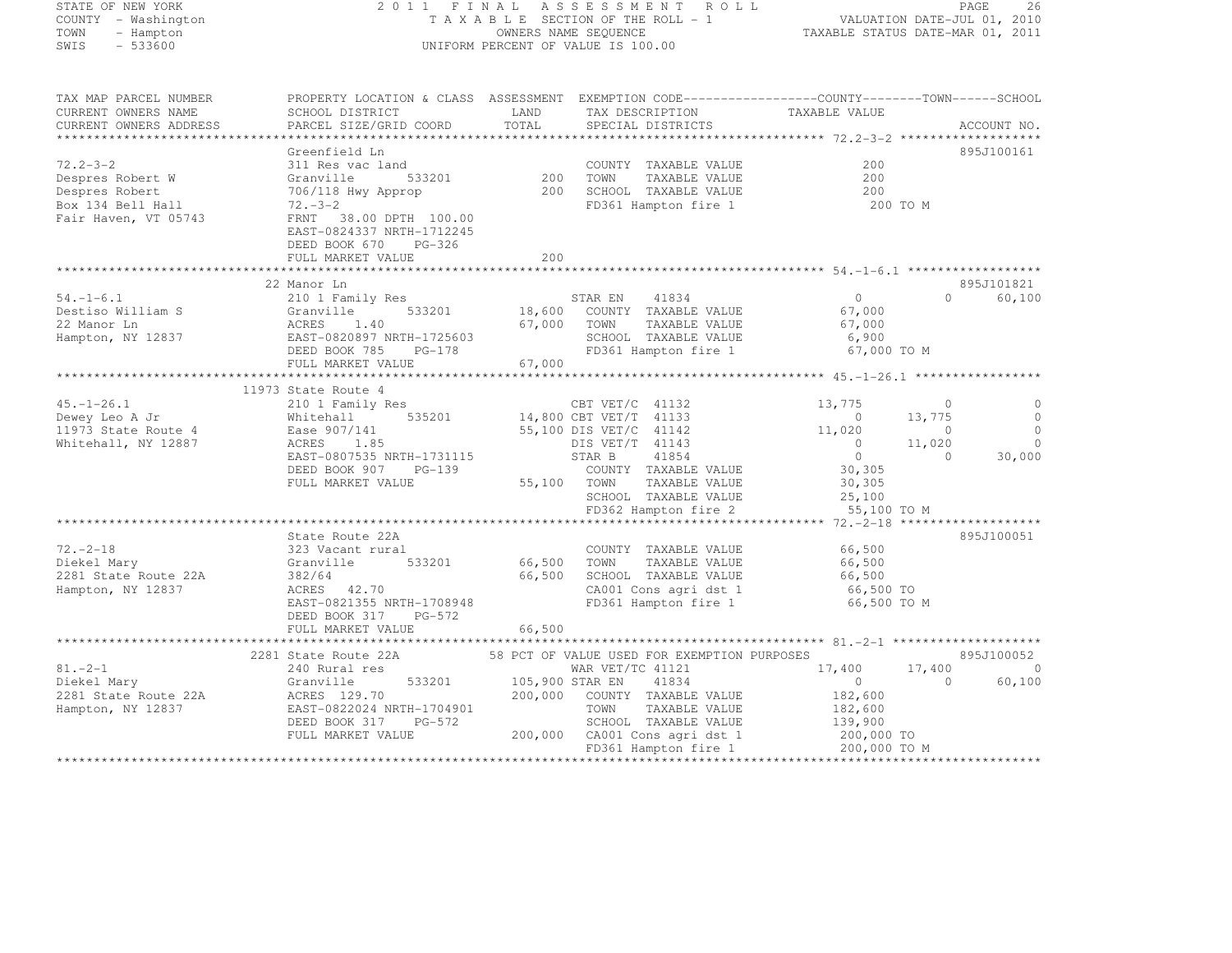| STATE OF NEW YORK |  |                     |  |
|-------------------|--|---------------------|--|
|                   |  | COUNTY - Washington |  |
| TOWN              |  | - Hampton           |  |
| SWIS              |  | $-533600$           |  |

# STATE OF NEW YORK 2 0 1 1 F I N A L A S S E S S M E N T R O L L PAGE <sup>26</sup> COUNTY - Washington T A X A B L E SECTION OF THE ROLL - 1 VALUATION DATE-JUL 01, 2010 TOWN - Hampton OWNERS NAME SEQUENCE TAXABLE STATUS DATE-MAR 01, 2011 SWIS - 533600 UNIFORM PERCENT OF VALUE IS 100.00

TAX MAP PARCEL NUMBER PROPERTY LOCATION & CLASS ASSESSMENT EXEMPTION CODE--------------------------------TOWN-------SCHOOL

| CURRENT OWNERS NAME                         | SCHOOL DISTRICT           | LAND            | TAX DESCRIPTION                             | TAXABLE VALUE              |                    |
|---------------------------------------------|---------------------------|-----------------|---------------------------------------------|----------------------------|--------------------|
| CURRENT OWNERS ADDRESS                      | PARCEL SIZE/GRID COORD    | TOTAL           | SPECIAL DISTRICTS                           |                            | ACCOUNT NO.        |
|                                             |                           |                 |                                             |                            |                    |
|                                             | Greenfield Ln             |                 |                                             |                            | 895J100161         |
| $72.2 - 3 - 2$                              | 311 Res vac land          |                 | COUNTY TAXABLE VALUE                        | 200                        |                    |
| Despres Robert W                            | Granville<br>533201       | 200             | TOWN<br>TAXABLE VALUE                       | 200                        |                    |
| Despres Robert                              | 706/118 Hwy Approp        | 200             | SCHOOL TAXABLE VALUE                        | 200                        |                    |
| Box 134 Bell Hall                           | $72 - 3 - 2$              |                 | FD361 Hampton fire 1                        | 200 TO M                   |                    |
| Fair Haven, VT 05743                        | FRNT 38.00 DPTH 100.00    |                 |                                             |                            |                    |
|                                             | EAST-0824337 NRTH-1712245 |                 |                                             |                            |                    |
|                                             | DEED BOOK 670 PG-326      |                 |                                             |                            |                    |
|                                             | FULL MARKET VALUE         | 200             |                                             |                            |                    |
|                                             |                           |                 |                                             |                            |                    |
|                                             | 22 Manor Ln               |                 |                                             |                            | 895J101821         |
| $54. - 1 - 6.1$                             | 210 1 Family Res          |                 | STAR EN 41834                               | 0                          | $\Omega$<br>60,100 |
| Destiso William S                           | 533201<br>Granville       |                 | 18,600 COUNTY TAXABLE VALUE                 | 67,000                     |                    |
| 22 Manor Ln                                 | ACRES 1.40                | 67,000          | TOWN<br>TAXABLE VALUE                       | 67,000                     |                    |
| Hampton, NY 12837 EAST-0820897 NRTH-1725603 |                           |                 | SCHOOL TAXABLE VALUE                        | 6,900                      |                    |
|                                             | DEED BOOK 785<br>PG-178   |                 | FD361 Hampton fire 1                        | 67,000 TO M                |                    |
|                                             | FULL MARKET VALUE         | 67,000          |                                             |                            |                    |
|                                             |                           |                 |                                             |                            |                    |
|                                             | 11973 State Route 4       |                 |                                             |                            |                    |
| $45. - 1 - 26.1$                            | 210 1 Family Res          |                 | CBT VET/C 41132                             | 13,775<br>$\Omega$         | $\circ$            |
| Dewey Leo A Jr                              | Whitehall                 |                 | 535201 14,800 CBT VET/T 41133               | $\overline{0}$<br>13,775   | $\overline{0}$     |
| 11973 State Route 4                         | Ease 907/141              |                 | 55,100 DIS VET/C 41142                      | 11,020<br>$\circ$          | $\bigcirc$         |
| Whitehall, NY 12887                         | ACRES 1.85                |                 | DIS VET/T 41143                             | $\overline{0}$<br>11,020   | $\overline{0}$     |
|                                             | EAST-0807535 NRTH-1731115 |                 | STAR B<br>41854                             | $\overline{0}$<br>$\Omega$ | 30,000             |
|                                             | DEED BOOK 907<br>$PG-139$ |                 | COUNTY TAXABLE VALUE                        | 30,305                     |                    |
|                                             | FULL MARKET VALUE         |                 | 55,100 TOWN<br>TAXABLE VALUE                | 30,305                     |                    |
|                                             |                           |                 | SCHOOL TAXABLE VALUE                        | 25,100                     |                    |
|                                             |                           |                 | FD362 Hampton fire 2                        | 55,100 TO M                |                    |
|                                             |                           |                 |                                             |                            |                    |
|                                             | State Route 22A           |                 |                                             |                            | 895J100051         |
| $72. - 2 - 18$                              | 323 Vacant rural          |                 | COUNTY TAXABLE VALUE                        | 66,500                     |                    |
| Diekel Mary                                 | 533201<br>Granville       | 66,500          | TOWN<br>TAXABLE VALUE                       | 66,500                     |                    |
| 2281 State Route 22A                        | 382/64                    | 66,500          | SCHOOL TAXABLE VALUE                        | 66,500                     |                    |
| Hampton, NY 12837                           | ACRES 42.70               |                 | CA001 Cons agri dst 1                       | 66,500 TO                  |                    |
|                                             | EAST-0821355 NRTH-1708948 |                 | FD361 Hampton fire 1                        | 66,500 TO M                |                    |
|                                             | DEED BOOK 317<br>PG-572   |                 |                                             |                            |                    |
|                                             | FULL MARKET VALUE         | 66,500          |                                             |                            |                    |
|                                             |                           |                 |                                             |                            |                    |
|                                             | 2281 State Route 22A      |                 | 58 PCT OF VALUE USED FOR EXEMPTION PURPOSES |                            | 895J100052         |
| $81 - 2 - 1$                                | 240 Rural res             |                 | WAR VET/TC 41121                            | 17,400<br>17,400           | $\circ$            |
| Diekel Mary                                 | Granville<br>533201       | 105,900 STAR EN | 41834                                       | $\overline{0}$<br>$\Omega$ | 60,100             |
| 2281 State Route 22A                        | ACRES 129.70              |                 | 200,000 COUNTY TAXABLE VALUE                | 182,600                    |                    |
| Hampton, NY 12837                           | EAST-0822024 NRTH-1704901 |                 | TAXABLE VALUE<br>TOWN                       | 182,600                    |                    |
|                                             | DEED BOOK 317<br>PG-572   |                 | SCHOOL TAXABLE VALUE                        | 139,900                    |                    |
|                                             | FULL MARKET VALUE         |                 | 200,000 CA001 Cons agri dst 1               | 200,000 TO                 |                    |
|                                             |                           |                 | FD361 Hampton fire 1                        | 200,000 TO M               |                    |
|                                             |                           |                 |                                             |                            |                    |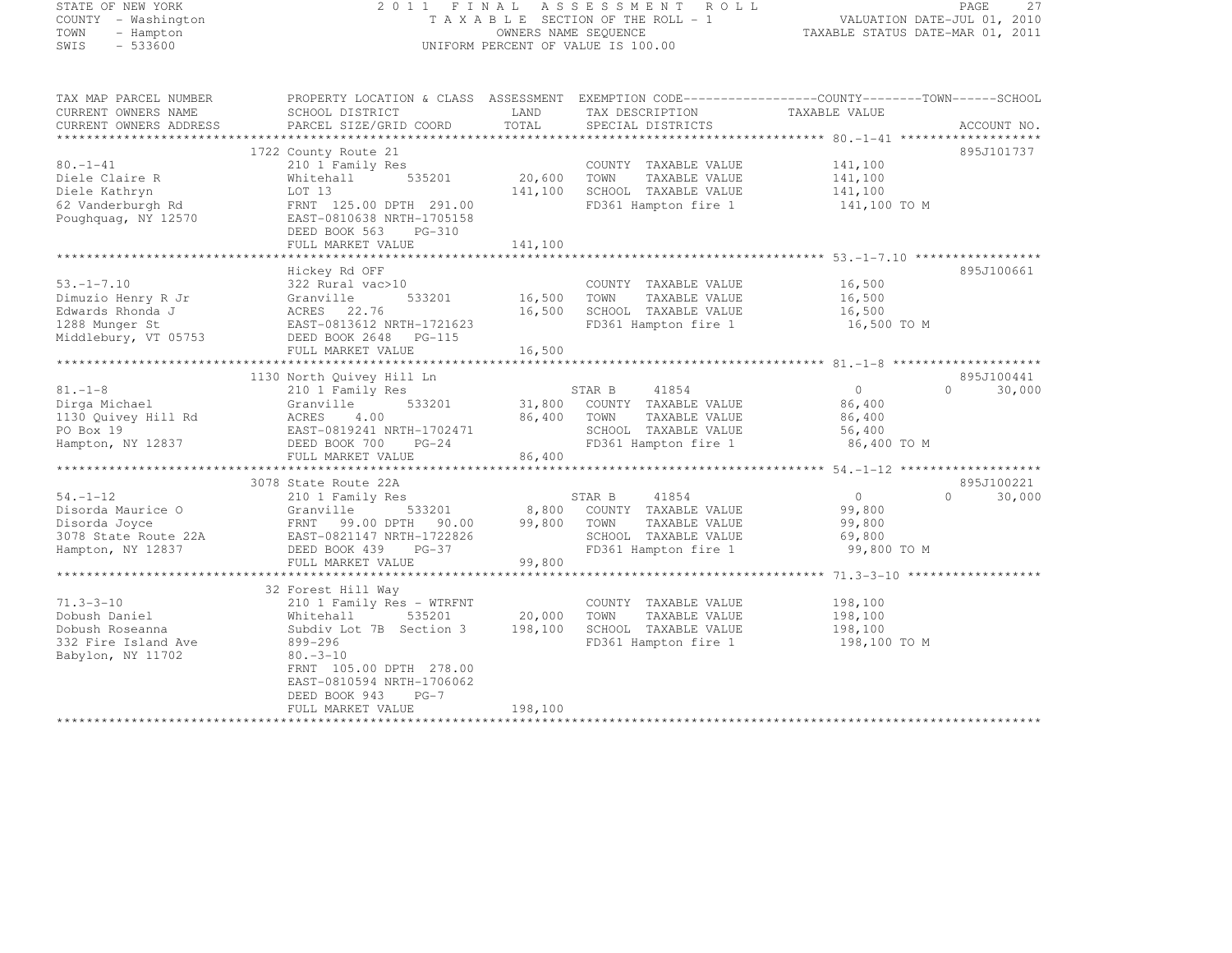## STATE OF NEW YORK 2 0 1 1 F I N A L A S S E S S M E N T R O L L PAGE <sup>27</sup> COUNTY - Washington T A X A B L E SECTION OF THE ROLL - 1 VALUATION DATE-JUL 01, 2010 TOWN - Hampton OWNERS NAME SEQUENCE TAXABLE STATUS DATE-MAR 01, 2011 SWIS - 533600 UNIFORM PERCENT OF VALUE IS 100.00

| TAX MAP PARCEL NUMBER<br>CURRENT OWNERS NAME | PROPERTY LOCATION & CLASS ASSESSMENT EXEMPTION CODE----------------COUNTY-------TOWN-----SCHOOL<br>SCHOOL DISTRICT | LAND    | TAX DESCRIPTION            | TAXABLE VALUE  |                    |
|----------------------------------------------|--------------------------------------------------------------------------------------------------------------------|---------|----------------------------|----------------|--------------------|
| CURRENT OWNERS ADDRESS                       | PARCEL SIZE/GRID COORD                                                                                             | TOTAL   | SPECIAL DISTRICTS          |                | ACCOUNT NO.        |
|                                              | 1722 County Route 21                                                                                               |         |                            |                | 895J101737         |
| $80. - 1 - 41$                               | 210 1 Family Res                                                                                                   |         | COUNTY TAXABLE VALUE       | 141,100        |                    |
| Diele Claire R                               | 535201<br>Whitehall                                                                                                | 20,600  | TOWN<br>TAXABLE VALUE      | 141,100        |                    |
| Diele Kathryn                                | LOT 13                                                                                                             | 141,100 | SCHOOL TAXABLE VALUE       | 141,100        |                    |
| 62 Vanderburgh Rd                            | FRNT 125.00 DPTH 291.00                                                                                            |         | FD361 Hampton fire 1       | 141,100 TO M   |                    |
| Poughquag, NY 12570                          | EAST-0810638 NRTH-1705158                                                                                          |         |                            |                |                    |
|                                              | DEED BOOK 563<br>PG-310                                                                                            |         |                            |                |                    |
|                                              | FULL MARKET VALUE                                                                                                  | 141,100 |                            |                |                    |
|                                              |                                                                                                                    |         |                            |                |                    |
|                                              | Hickey Rd OFF                                                                                                      |         |                            |                | 895J100661         |
| $53. - 1 - 7.10$                             | 322 Rural vac>10                                                                                                   |         | COUNTY TAXABLE VALUE       | 16,500         |                    |
| Dimuzio Henry R Jr                           | 533201<br>Granville                                                                                                | 16,500  | TOWN<br>TAXABLE VALUE      | 16,500         |                    |
| Edwards Rhonda J                             | ACRES 22.76                                                                                                        | 16,500  | SCHOOL TAXABLE VALUE       | 16,500         |                    |
| 1288 Munger St                               | EAST-0813612 NRTH-1721623                                                                                          |         | FD361 Hampton fire 1       | 16,500 TO M    |                    |
| Middlebury, VT 05753                         | DEED BOOK 2648 PG-115                                                                                              |         |                            |                |                    |
|                                              | FULL MARKET VALUE                                                                                                  | 16,500  |                            |                |                    |
|                                              |                                                                                                                    |         |                            |                |                    |
|                                              | 1130 North Quivey Hill Ln                                                                                          |         |                            |                | 895J100441         |
| $81. - 1 - 8$                                | 210 1 Family Res                                                                                                   |         | STAR B<br>41854            | $\circ$        | 30,000<br>$\Omega$ |
| Dirga Michael                                | 533201<br>Granville                                                                                                | 31,800  | COUNTY TAXABLE VALUE       | 86,400         |                    |
| 1130 Quivey Hill Rd                          | ACRES<br>4.00                                                                                                      | 86,400  | TOWN<br>TAXABLE VALUE      | 86,400         |                    |
| PO Box 19                                    | EAST-0819241 NRTH-1702471                                                                                          |         | SCHOOL TAXABLE VALUE       | 56,400         |                    |
| Hampton, NY 12837                            | DEED BOOK 700 PG-24                                                                                                |         | FD361 Hampton fire 1       | 86,400 TO M    |                    |
|                                              | FULL MARKET VALUE                                                                                                  | 86,400  |                            |                |                    |
|                                              |                                                                                                                    |         |                            |                |                    |
|                                              | 3078 State Route 22A                                                                                               |         |                            |                | 895J100221         |
| $54. - 1 - 12$                               | 210 1 Family Res                                                                                                   |         | 41854<br>STAR B            | $\overline{0}$ | $\Omega$<br>30,000 |
| Disorda Maurice O                            | 533201<br>Granville                                                                                                |         | 8,800 COUNTY TAXABLE VALUE | 99,800         |                    |
| Disorda Joyce                                | FRNT 99.00 DPTH 90.00                                                                                              | 99,800  | TOWN<br>TAXABLE VALUE      | 99,800         |                    |
| 3078 State Route 22A                         | EAST-0821147 NRTH-1722826                                                                                          |         | SCHOOL TAXABLE VALUE       | 69,800         |                    |
| Hampton, NY 12837                            | DEED BOOK 439<br>$PG-37$                                                                                           |         | FD361 Hampton fire 1       | 99,800 TO M    |                    |
|                                              | FULL MARKET VALUE                                                                                                  | 99,800  |                            |                |                    |
|                                              | 32 Forest Hill Way                                                                                                 |         |                            |                |                    |
| $71.3 - 3 - 10$                              | 210 1 Family Res - WTRFNT                                                                                          |         | COUNTY TAXABLE VALUE       | 198,100        |                    |
| Dobush Daniel                                | 535201<br>Whitehall                                                                                                | 20,000  | TOWN<br>TAXABLE VALUE      | 198,100        |                    |
| Dobush Roseanna                              | Subdiv Lot 7B Section 3                                                                                            | 198,100 | SCHOOL TAXABLE VALUE       | 198,100        |                    |
| 332 Fire Island Ave                          | 899-296                                                                                                            |         | FD361 Hampton fire 1       | 198,100 TO M   |                    |
| Babylon, NY 11702                            | $80. -3 - 10$                                                                                                      |         |                            |                |                    |
|                                              | FRNT 105.00 DPTH 278.00                                                                                            |         |                            |                |                    |
|                                              | EAST-0810594 NRTH-1706062                                                                                          |         |                            |                |                    |
|                                              | DEED BOOK 943<br>$PG-7$                                                                                            |         |                            |                |                    |
|                                              | FULL MARKET VALUE                                                                                                  | 198,100 |                            |                |                    |
|                                              |                                                                                                                    |         |                            |                |                    |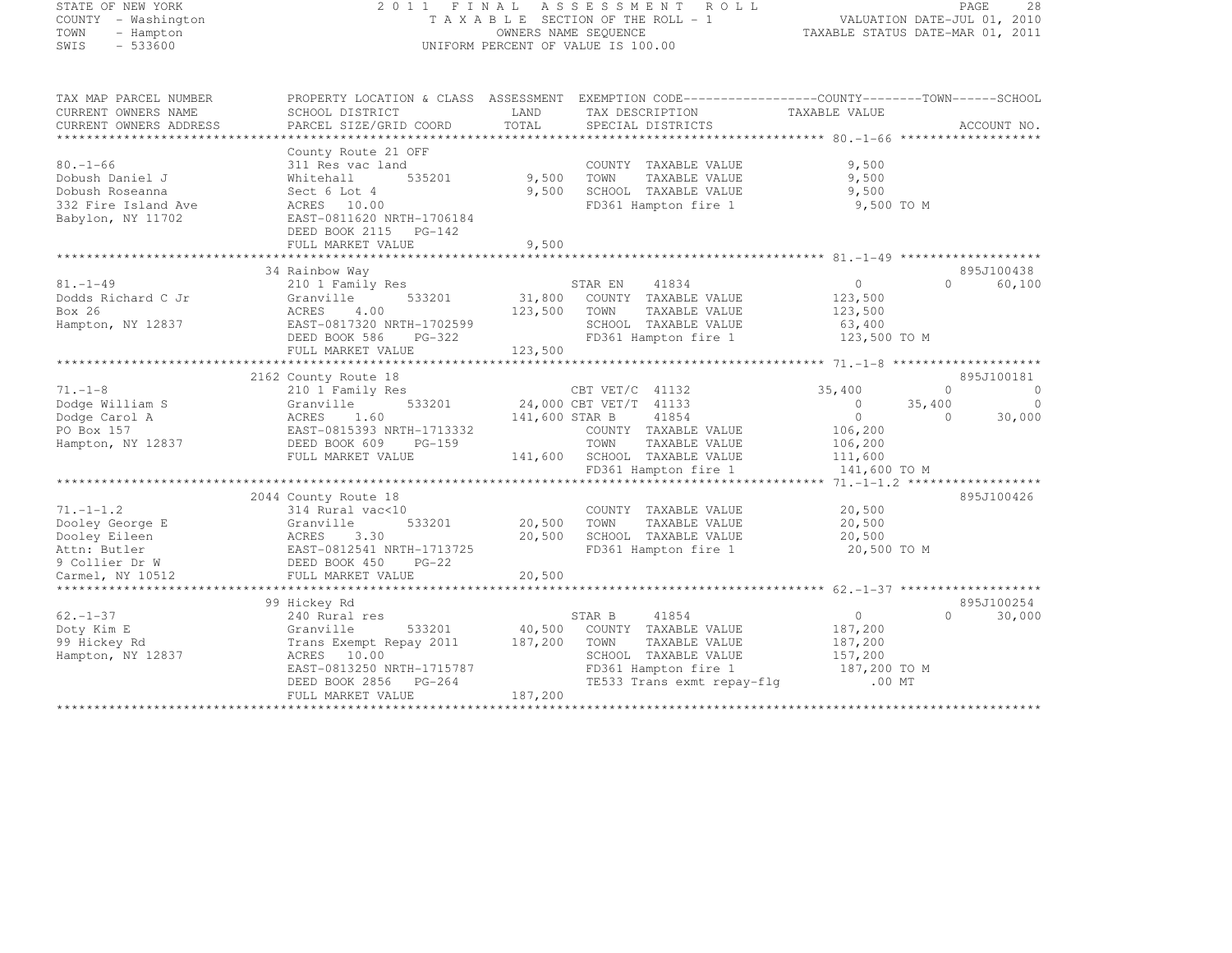## STATE OF NEW YORK 2 0 1 1 F I N A L A S S E S S M E N T R O L L PAGE <sup>28</sup> COUNTY - Washington T A X A B L E SECTION OF THE ROLL - 1 VALUATION DATE-JUL 01, 2010 TOWN - Hampton OWNERS NAME SEQUENCE TAXABLE STATUS DATE-MAR 01, 2011 SWIS - 533600 UNIFORM PERCENT OF VALUE IS 100.00

TAX MAP PARCEL NUMBER PROPERTY LOCATION & CLASS ASSESSMENT EXEMPTION CODE------------------COUNTY--------TOWN------SCHOOL

| CURRENT OWNERS NAME    | SCHOOL DISTRICT            | LAND           | TAX DESCRIPTION            | TAXABLE VALUE |                      |
|------------------------|----------------------------|----------------|----------------------------|---------------|----------------------|
| CURRENT OWNERS ADDRESS | PARCEL SIZE/GRID COORD     | TOTAL          | SPECIAL DISTRICTS          |               | ACCOUNT NO.          |
|                        |                            |                |                            |               |                      |
|                        | County Route 21 OFF        |                |                            |               |                      |
| $80. - 1 - 66$         | 311 Res vac land           |                | COUNTY TAXABLE VALUE       | 9,500         |                      |
| Dobush Daniel J        | 535201<br>Whitehall        | 9,500          | TOWN<br>TAXABLE VALUE      | 9,500         |                      |
| Dobush Roseanna        | Sect 6 Lot 4               | 9,500          | SCHOOL TAXABLE VALUE       | 9,500         |                      |
| 332 Fire Island Ave    | ACRES 10.00                |                | FD361 Hampton fire 1       | 9,500 TO M    |                      |
| Babylon, NY 11702      | EAST-0811620 NRTH-1706184  |                |                            |               |                      |
|                        | DEED BOOK 2115 PG-142      |                |                            |               |                      |
|                        | FULL MARKET VALUE          | 9,500          |                            |               |                      |
|                        |                            |                |                            |               |                      |
|                        | 34 Rainbow Way             |                |                            |               | 895J100438           |
| $81. - 1 - 49$         | 210 1 Family Res           |                | STAR EN<br>41834           | $\circ$       | $\Omega$<br>60,100   |
| Dodds Richard C Jr     | 533201<br>Granville        | 31,800         | COUNTY TAXABLE VALUE       | 123,500       |                      |
| Box 26                 | ACRES<br>4.00              | 123,500        | TOWN<br>TAXABLE VALUE      | 123,500       |                      |
| Hampton, NY 12837      | EAST-0817320 NRTH-1702599  |                | SCHOOL TAXABLE VALUE       | 63,400        |                      |
|                        | DEED BOOK 586<br>PG-322    |                | FD361 Hampton fire 1       | 123,500 TO M  |                      |
|                        | FULL MARKET VALUE          | 123,500        |                            |               |                      |
|                        |                            |                |                            |               |                      |
|                        | 2162 County Route 18       |                |                            |               | 895J100181           |
| $71. - 1 - 8$          | 210 1 Family Res           |                | CBT VET/C 41132            | 35,400        | $\Omega$<br>$\Omega$ |
| Dodge William S        | 533201<br>Granville        |                | 24,000 CBT VET/T 41133     | $\circ$       | $\Omega$<br>35,400   |
| Dodge Carol A          | 1.60<br>ACRES              | 141,600 STAR B | 41854                      | $\circ$       | 30,000<br>$\Omega$   |
| PO Box 157             | EAST-0815393 NRTH-1713332  |                | COUNTY TAXABLE VALUE       | 106,200       |                      |
| Hampton, NY 12837      | DEED BOOK 609<br>$PG-159$  |                | TOWN<br>TAXABLE VALUE      | 106,200       |                      |
|                        | FULL MARKET VALUE          | 141,600        | SCHOOL TAXABLE VALUE       | 111,600       |                      |
|                        |                            |                | FD361 Hampton fire 1       | 141,600 TO M  |                      |
|                        |                            |                |                            |               |                      |
|                        | 2044 County Route 18       |                |                            |               | 895J100426           |
| $71. - 1 - 1.2$        | 314 Rural vac<10           |                | COUNTY TAXABLE VALUE       | 20,500        |                      |
| Dooley George E        | 533201<br>Granville        | 20,500         | TAXABLE VALUE<br>TOWN      | 20,500        |                      |
| Dooley Eileen          | 3.30<br>ACRES              | 20,500         | SCHOOL TAXABLE VALUE       | 20,500        |                      |
| Attn: Butler           | EAST-0812541 NRTH-1713725  |                | FD361 Hampton fire 1       | 20,500 TO M   |                      |
| 9 Collier Dr W         | DEED BOOK 450<br>$PG-22$   |                |                            |               |                      |
| Carmel, NY 10512       | FULL MARKET VALUE          | 20,500         |                            |               |                      |
|                        |                            |                |                            |               |                      |
|                        | 99 Hickey Rd               |                |                            |               | 895J100254           |
| $62. - 1 - 37$         | 240 Rural res              |                | STAR B<br>41854            | $\circ$       | $\Omega$<br>30,000   |
| Doty Kim E             | Granville<br>533201        | 40,500         | COUNTY TAXABLE VALUE       | 187,200       |                      |
| 99 Hickey Rd           | Trans Exempt Repay 2011    | 187,200        | TOWN<br>TAXABLE VALUE      | 187,200       |                      |
| Hampton, NY 12837      | ACRES 10.00                |                | SCHOOL TAXABLE VALUE       | 157,200       |                      |
|                        | EAST-0813250 NRTH-1715787  |                | FD361 Hampton fire 1       | 187,200 TO M  |                      |
|                        | DEED BOOK 2856<br>$PG-264$ |                | TE533 Trans exmt repay-flg | $.00$ MT      |                      |
|                        | FULL MARKET VALUE          | 187,200        |                            |               |                      |
|                        |                            |                |                            |               |                      |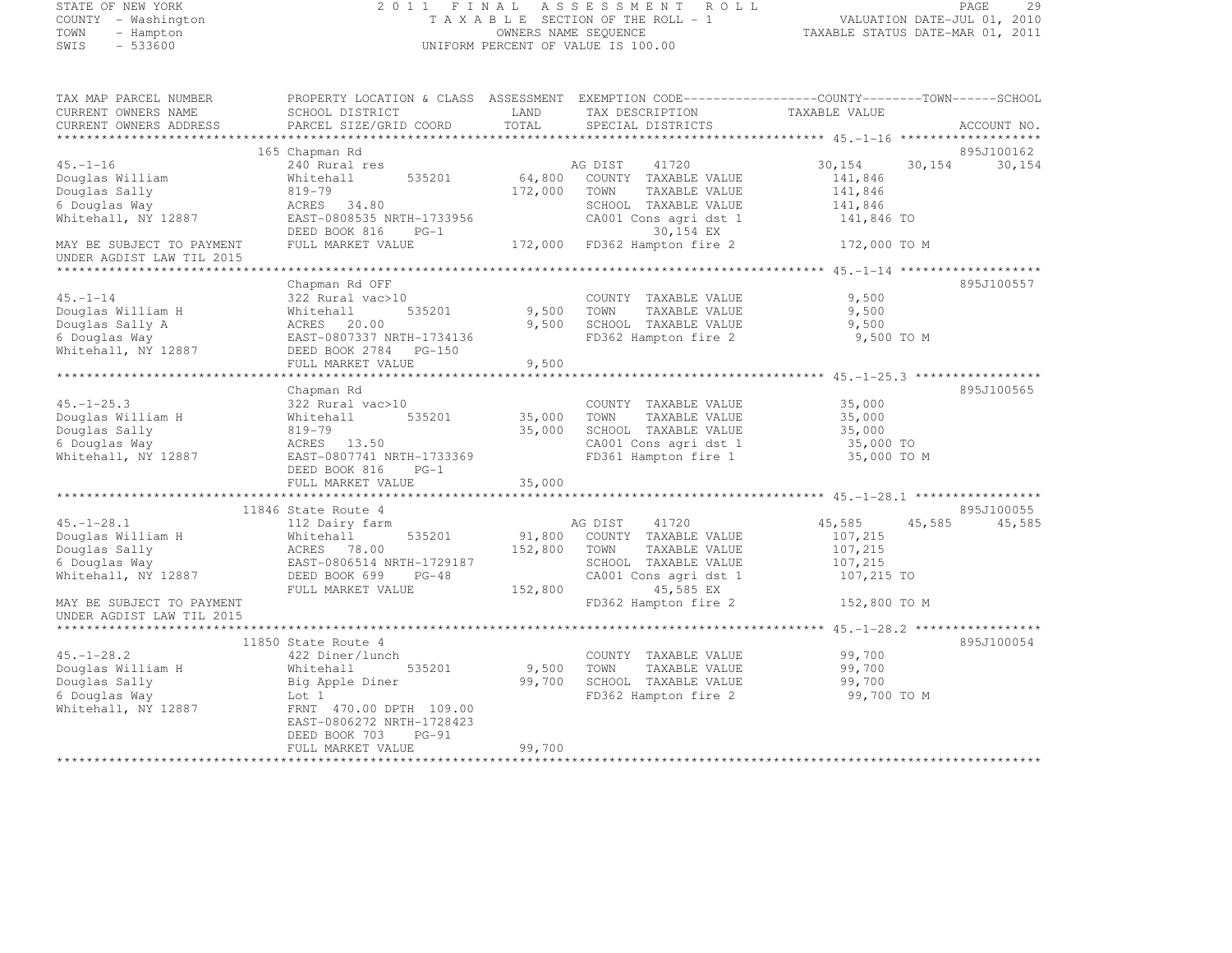#### STATE OF NEW YORK 2 0 1 1 F I N A L A S S E S S M E N T R O L L PAGE <sup>29</sup> COUNTY - Washington T A X A B L E SECTION OF THE ROLL - 1 VALUATION DATE-JUL 01, 2010 COUNTY - Washington TAXABLE SECTION OF THE ROLL - 1<br>
TAXABLE SECTION OF THE ROLL - 1<br>
OWNERS NAME SEQUENCE TAXABLE STATUS DATE-MAR 01, 2011<br>
SWIS - 533600 STATUS DATE SECTION PERCENT OF VALUE IS 100.00 UNIFORM PERCENT OF VALUE IS 100.00

| TAX MAP PARCEL NUMBER                  | PROPERTY LOCATION & CLASS ASSESSMENT EXEMPTION CODE----------------COUNTY-------TOWN-----SCHOOL |                |                                                                    |                     |                  |
|----------------------------------------|-------------------------------------------------------------------------------------------------|----------------|--------------------------------------------------------------------|---------------------|------------------|
| CURRENT OWNERS NAME                    | SCHOOL DISTRICT                                                                                 | LAND<br>TOTAL  | TAX DESCRIPTION                                                    | TAXABLE VALUE       | ACCOUNT NO.      |
| CURRENT OWNERS ADDRESS                 | PARCEL SIZE/GRID COORD                                                                          |                | SPECIAL DISTRICTS                                                  |                     |                  |
|                                        | 165 Chapman Rd                                                                                  |                |                                                                    |                     | 895J100162       |
| $45. - 1 - 16$                         | 240 Rural res                                                                                   |                |                                                                    | 30,154              | 30,154<br>30,154 |
| Douglas William                        | Whitehall<br>535201                                                                             |                | AG DIST 41720<br>64,800 COUNTY TAXABLE VALUE                       | 141,846             |                  |
| Douglas Sally                          | 819-79                                                                                          | 172,000 TOWN   | TAXABLE VALUE                                                      | 141,846             |                  |
| 6 Douglas Way                          | ACRES 34.80                                                                                     |                | SCHOOL TAXABLE VALUE                                               | 141,846             |                  |
| Whitehall, NY 12887                    | EAST-0808535 NRTH-1733956                                                                       |                | CA001 Cons agri dst 1                                              | 141,846 TO          |                  |
|                                        | DEED BOOK 816 PG-1                                                                              |                | 30,154 EX                                                          |                     |                  |
| MAY BE SUBJECT TO PAYMENT              | FULL MARKET VALUE                                                                               |                | 172,000 FD362 Hampton fire 2 172,000 TO M                          |                     |                  |
| UNDER AGDIST LAW TIL 2015              |                                                                                                 |                |                                                                    |                     |                  |
|                                        | Chapman Rd OFF                                                                                  |                |                                                                    |                     | 895J100557       |
| $45. - 1 - 14$                         | 322 Rural vac>10                                                                                |                | COUNTY TAXABLE VALUE                                               | 9,500               |                  |
| Douglas William H                      | 535201<br>Whitehall                                                                             | 9,500 TOWN     | TAXABLE VALUE                                                      | 9,500               |                  |
| Douglas Sally A                        |                                                                                                 |                | 9,500 SCHOOL TAXABLE VALUE                                         | 9,500               |                  |
| 6 Douglas Way                          | ACRES 20.00<br>EAST-0807337 NRTH-1734136                                                        |                | FD362 Hampton fire 2                                               | 9,500 TO M          |                  |
| Whitehall, NY 12887                    | DEED BOOK 2784 PG-150                                                                           |                |                                                                    |                     |                  |
|                                        | FULL MARKET VALUE                                                                               | 9,500          |                                                                    |                     |                  |
|                                        |                                                                                                 |                |                                                                    |                     |                  |
|                                        | Chapman Rd                                                                                      |                |                                                                    |                     | 895J100565       |
| $45. - 1 - 25.3$                       | 322 Rural vac>10                                                                                |                | COUNTY TAXABLE VALUE                                               | 35,000              |                  |
| Douglas William H                      | Whitehall                                                                                       | 535201 35,000  | TOWN<br>TAXABLE VALUE                                              | 35,000              |                  |
| Douglas Sally<br>6 Douglas Way         | 819-79                                                                                          | 35,000         | SCHOOL TAXABLE VALUE                                               | 35,000<br>35,000 TO |                  |
| Whitehall, NY 12887                    | ACRES 13.50<br>EAST-0807741 NRTH-1733369                                                        |                | CA001 Cons agri dst 1<br>FD361 Hampton fire 1                      | 35,000 TO M         |                  |
|                                        | DEED BOOK 816<br>$PG-1$                                                                         |                |                                                                    |                     |                  |
|                                        | FULL MARKET VALUE                                                                               | 35,000         |                                                                    |                     |                  |
|                                        | *********************************                                                               | ************** | ************************************ 45.-1-28.1 ****************** |                     |                  |
|                                        | 11846 State Route 4                                                                             |                |                                                                    |                     | 895J100055       |
| $45. - 1 - 28.1$                       | 112 Dairy farm                                                                                  |                | AG DIST 41720<br>91,800 COUNTY TAXABLE VALUE                       | 45,585<br>45,585    | 45,585           |
| Douglas William H                      |                                                                                                 |                |                                                                    | 107,215             |                  |
|                                        |                                                                                                 | 152,800 TOWN   | TAXABLE VALUE                                                      | 107,215             |                  |
| Angles Sally<br>6 Douglas Way<br>White |                                                                                                 |                | SCHOOL TAXABLE VALUE                                               | 107,215             |                  |
| Whitehall, NY 12887                    | Whitehall<br>ACRES 78.00<br>EAST-0806514 NRTH-1729187<br>TREN BOOK 699 PG-48                    |                | CA001 Cons agri dst 1                                              | 107,215 TO          |                  |
| MAY BE SUBJECT TO PAYMENT              |                                                                                                 | 152,800        | 45,585 EX<br>FD362 Hampton fire 2                                  | 152,800 TO M        |                  |
| UNDER AGDIST LAW TIL 2015              |                                                                                                 |                |                                                                    |                     |                  |
|                                        |                                                                                                 |                |                                                                    |                     |                  |
|                                        | 11850 State Route 4                                                                             |                |                                                                    |                     | 895J100054       |
| $45. - 1 - 28.2$                       | 422 Diner/lunch                                                                                 |                | COUNTY TAXABLE VALUE                                               | 99,700              |                  |
| Douglas William H                      | 535201<br>Whitehall                                                                             | 9,500 TOWN     | TAXABLE VALUE                                                      | 99,700              |                  |
| Douglas Sally                          | Big Apple Diner                                                                                 |                | 99,700 SCHOOL TAXABLE VALUE<br>FD362 Hampton fire 2                | 99,700              |                  |
| 6 Douglas Way                          | Lot 1                                                                                           |                |                                                                    | 99,700 TO M         |                  |
| Whitehall, NY 12887                    | FRNT 470.00 DPTH 109.00                                                                         |                |                                                                    |                     |                  |
|                                        | EAST-0806272 NRTH-1728423                                                                       |                |                                                                    |                     |                  |
|                                        | DEED BOOK 703<br>$PG-91$                                                                        |                |                                                                    |                     |                  |
|                                        | FULL MARKET VALUE                                                                               | 99,700         |                                                                    |                     |                  |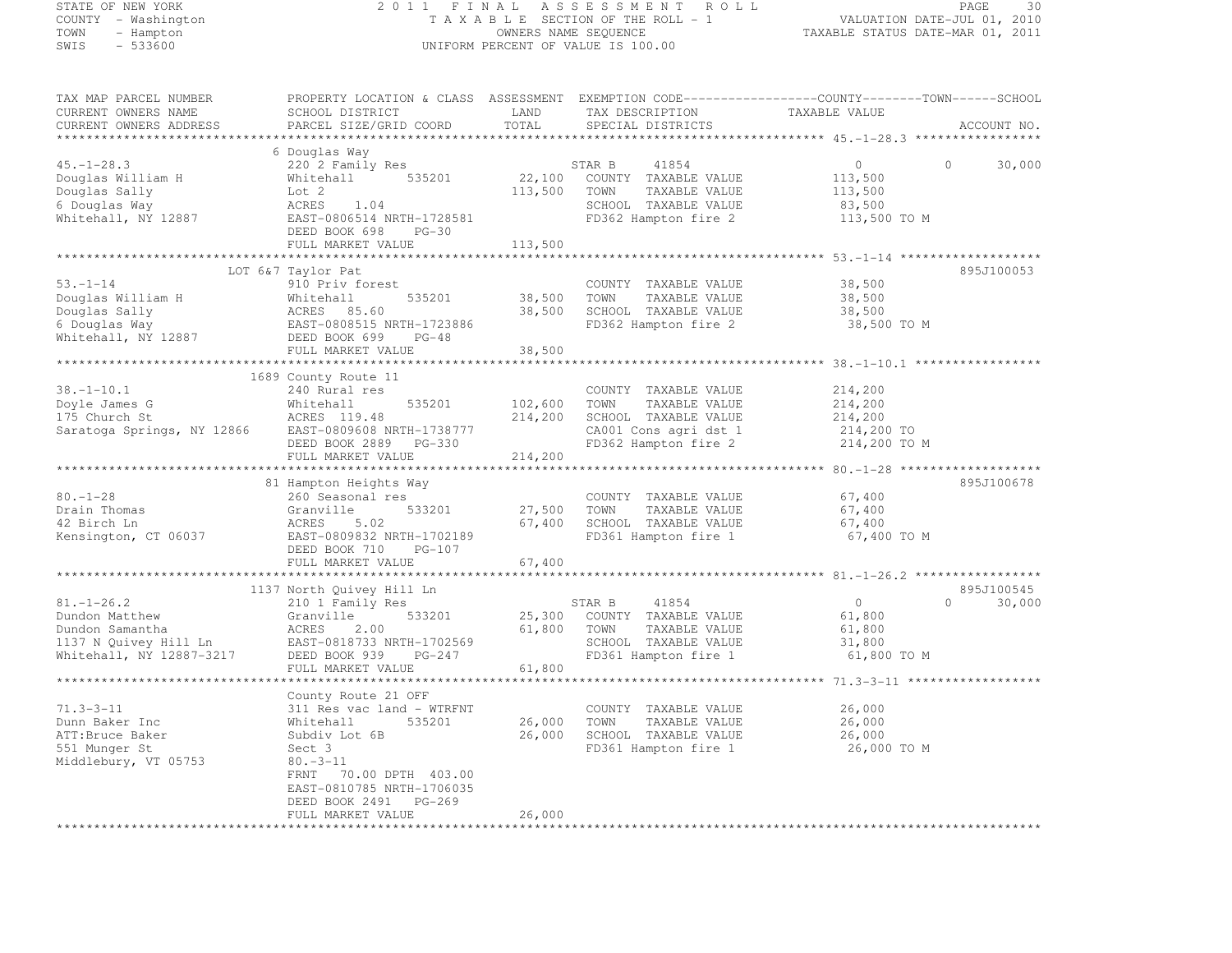# STATE OF NEW YORK 2 0 1 1 F I N A L A S S E S S M E N T R O L L PAGE <sup>30</sup> COUNTY - Washington T A X A B L E SECTION OF THE ROLL - 1 VALUATION DATE-JUL 01, 2010 TOWN - Hampton OWNERS NAME SEQUENCE TAXABLE STATUS DATE-MAR 01, 2011 SWIS - 533600 UNIFORM PERCENT OF VALUE IS 100.00

| TAX MAP PARCEL NUMBER                                                                                                                                                                                                                              |                                                                                                                          |                    |                                                                                                                           | PROPERTY LOCATION & CLASS ASSESSMENT EXEMPTION CODE----------------COUNTY-------TOWN------SCHOOL |               |
|----------------------------------------------------------------------------------------------------------------------------------------------------------------------------------------------------------------------------------------------------|--------------------------------------------------------------------------------------------------------------------------|--------------------|---------------------------------------------------------------------------------------------------------------------------|--------------------------------------------------------------------------------------------------|---------------|
| CURRENT OWNERS NAME                                                                                                                                                                                                                                | SCHOOL DISTRICT                                                                                                          | LAND               | TAX DESCRIPTION<br>SPECIAL DISTRICTS                                                                                      |                                                                                                  |               |
| CURRENT OWNERS ADDRESS                                                                                                                                                                                                                             | PARCEL SIZE/GRID COORD                                                                                                   | TOTAL              | SPECIAL DISTRICTS                                                                                                         |                                                                                                  | ACCOUNT NO.   |
|                                                                                                                                                                                                                                                    |                                                                                                                          |                    |                                                                                                                           |                                                                                                  |               |
|                                                                                                                                                                                                                                                    | 6 Douglas Way                                                                                                            |                    |                                                                                                                           |                                                                                                  |               |
| $45. - 1 - 28.3$                                                                                                                                                                                                                                   | 220 2 Family Res<br>Whitehall 535201<br>Lot 2<br>ACRES 1.04<br>EAST-0806514 NRTH-1728581                                 |                    | STAR B 41854<br>22,100 COUNTY TAXABLE VALUE                                                                               | $\Omega$<br>$\overline{0}$                                                                       | 30,000        |
| Douglas William H                                                                                                                                                                                                                                  |                                                                                                                          |                    |                                                                                                                           | 113,500                                                                                          |               |
| Douglas Sally                                                                                                                                                                                                                                      |                                                                                                                          |                    | 113,500 TOWN TAXABLE VALUE                                                                                                | 113,500                                                                                          |               |
| 6 Douglas Way                                                                                                                                                                                                                                      |                                                                                                                          |                    | SCHOOL TAXABLE VALUE 83,500<br>FD362 Hampton fire 2 113,500 TO M                                                          |                                                                                                  |               |
| Whitehall, NY 12887                                                                                                                                                                                                                                |                                                                                                                          |                    |                                                                                                                           |                                                                                                  |               |
|                                                                                                                                                                                                                                                    | DEED BOOK 698 PG-30                                                                                                      |                    |                                                                                                                           |                                                                                                  |               |
|                                                                                                                                                                                                                                                    | FULL MARKET VALUE                                                                                                        | 113,500            |                                                                                                                           |                                                                                                  |               |
|                                                                                                                                                                                                                                                    |                                                                                                                          |                    |                                                                                                                           |                                                                                                  |               |
|                                                                                                                                                                                                                                                    | LOT 6&7 Taylor Pat                                                                                                       |                    |                                                                                                                           |                                                                                                  | 895J100053    |
|                                                                                                                                                                                                                                                    |                                                                                                                          |                    | COUNTY TAXABLE VALUE 38,500                                                                                               |                                                                                                  |               |
|                                                                                                                                                                                                                                                    |                                                                                                                          |                    |                                                                                                                           | 38,500                                                                                           |               |
|                                                                                                                                                                                                                                                    |                                                                                                                          |                    |                                                                                                                           |                                                                                                  |               |
|                                                                                                                                                                                                                                                    |                                                                                                                          |                    |                                                                                                                           | 38,500<br>38,500 TO M                                                                            |               |
|                                                                                                                                                                                                                                                    |                                                                                                                          |                    |                                                                                                                           |                                                                                                  |               |
| 53.-1-14<br>Douglas William H = 10 Priv forest<br>Douglas Sally = 2<br>Douglas Sally = 2<br>Whitehall NY 12887<br>Whitehall, NY 12887<br>ERST-0808515 NRTH-1723886<br>FD362 Hampton fire 2<br>Whitehall, NY 12887<br>EED BOOK 699 PG-48<br>FD362 H | FULL MARKET VALUE                                                                                                        | 38,500             |                                                                                                                           |                                                                                                  |               |
|                                                                                                                                                                                                                                                    |                                                                                                                          |                    |                                                                                                                           |                                                                                                  |               |
|                                                                                                                                                                                                                                                    | 1689 County Route 11                                                                                                     |                    |                                                                                                                           |                                                                                                  |               |
|                                                                                                                                                                                                                                                    |                                                                                                                          |                    |                                                                                                                           |                                                                                                  |               |
|                                                                                                                                                                                                                                                    |                                                                                                                          |                    |                                                                                                                           |                                                                                                  |               |
|                                                                                                                                                                                                                                                    |                                                                                                                          |                    | COUNTY TAXABLE VALUE<br>TOWN TAXABLE VALUE 214,200<br>SCHOOL TAXABLE VALUE 214,200<br>535201 $102,600$ TOWN TAXABLE VALUE |                                                                                                  |               |
|                                                                                                                                                                                                                                                    |                                                                                                                          |                    | 214,200 SCHOOL TAXABLE VALUE                                                                                              |                                                                                                  |               |
|                                                                                                                                                                                                                                                    |                                                                                                                          |                    |                                                                                                                           |                                                                                                  |               |
| 18.1 10.1<br>Doyle James G Mhitehall 535201 102,000<br>175 Church St ACRES 119.48 214,200<br>Saratoga Springs, NY 12866 EAST-0809608 NRTH-1738777<br>DEED BOOK 2889 PG-330<br>THE MADKET VALUE 214,200                                             |                                                                                                                          |                    | CA001 Cons agri dst 1 214,200 TO<br>FD362 Hampton fire 2 214,200 TO M                                                     |                                                                                                  |               |
|                                                                                                                                                                                                                                                    |                                                                                                                          | 214,200            |                                                                                                                           |                                                                                                  |               |
|                                                                                                                                                                                                                                                    |                                                                                                                          |                    |                                                                                                                           |                                                                                                  |               |
|                                                                                                                                                                                                                                                    |                                                                                                                          |                    |                                                                                                                           |                                                                                                  |               |
|                                                                                                                                                                                                                                                    | 81 Hampton Heights Way                                                                                                   |                    |                                                                                                                           |                                                                                                  | 895J100678    |
| $80. - 1 - 28$                                                                                                                                                                                                                                     | 260 Seasonal res                                                                                                         |                    | COUNTY TAXABLE VALUE                                                                                                      | 67,400                                                                                           |               |
| Drain Thomas                                                                                                                                                                                                                                       |                                                                                                                          | 533201 27,500 TOWN | TAXABLE VALUE                                                                                                             |                                                                                                  |               |
| 42 Birch Ln                                                                                                                                                                                                                                        |                                                                                                                          |                    | 67,400 SCHOOL TAXABLE VALUE                                                                                               | 67,400<br>67,400                                                                                 |               |
| Kensington, CT 06037                                                                                                                                                                                                                               |                                                                                                                          |                    | FD361 Hampton fire 1 67,400 TO M                                                                                          |                                                                                                  |               |
|                                                                                                                                                                                                                                                    | 200 Seasonal res<br>Granville 533201<br>ACRES 5.02<br>EAST-0809832 NRTH-1702189<br>DEED DOCK 710<br>DEED BOOK 710 PG-107 |                    |                                                                                                                           |                                                                                                  |               |
|                                                                                                                                                                                                                                                    | FULL MARKET VALUE                                                                                                        | 67,400             |                                                                                                                           |                                                                                                  |               |
|                                                                                                                                                                                                                                                    |                                                                                                                          |                    |                                                                                                                           |                                                                                                  |               |
|                                                                                                                                                                                                                                                    | 1137 North Quivey Hill Ln                                                                                                |                    |                                                                                                                           |                                                                                                  | 895J100545    |
|                                                                                                                                                                                                                                                    |                                                                                                                          |                    | STAR B 41854                                                                                                              | $\overline{0}$                                                                                   | $0 \t 30,000$ |
|                                                                                                                                                                                                                                                    |                                                                                                                          |                    |                                                                                                                           | 61,800                                                                                           |               |
|                                                                                                                                                                                                                                                    |                                                                                                                          |                    |                                                                                                                           |                                                                                                  |               |
|                                                                                                                                                                                                                                                    |                                                                                                                          |                    |                                                                                                                           | 61,800<br>31,800                                                                                 |               |
|                                                                                                                                                                                                                                                    |                                                                                                                          |                    |                                                                                                                           | 61,800 TO M                                                                                      |               |
|                                                                                                                                                                                                                                                    | FULL MARKET VALUE                                                                                                        | 61,800             | FD361 Hampton fire 1                                                                                                      |                                                                                                  |               |
|                                                                                                                                                                                                                                                    |                                                                                                                          |                    |                                                                                                                           |                                                                                                  |               |
|                                                                                                                                                                                                                                                    | County Route 21 OFF                                                                                                      |                    |                                                                                                                           |                                                                                                  |               |
| $71.3 - 3 - 11$                                                                                                                                                                                                                                    | 311 Res vac land - WTRFNT                                                                                                |                    | COUNTY TAXABLE VALUE 26,000                                                                                               |                                                                                                  |               |
| Dunn Baker Inc                                                                                                                                                                                                                                     | Whitehall                                                                                                                |                    | 26,000 TOWN TAXABLE VALUE                                                                                                 | 26,000                                                                                           |               |
| ATT:Bruce Baker                                                                                                                                                                                                                                    | 535201<br>Subdiv Lot 6B                                                                                                  |                    |                                                                                                                           |                                                                                                  |               |
| 551 Munger St                                                                                                                                                                                                                                      | Sect 3                                                                                                                   |                    |                                                                                                                           |                                                                                                  |               |
| Middlebury, VT 05753                                                                                                                                                                                                                               | $80.-3–11$                                                                                                               |                    | 26,000 SCHOOL TAXABLE VALUE<br>FD361 Hampton fire 1                                                                       | 26,000<br>26,000 TO M                                                                            |               |
|                                                                                                                                                                                                                                                    | FRNT 70.00 DPTH 403.00                                                                                                   |                    |                                                                                                                           |                                                                                                  |               |
|                                                                                                                                                                                                                                                    | EAST-0810785 NRTH-1706035                                                                                                |                    |                                                                                                                           |                                                                                                  |               |
|                                                                                                                                                                                                                                                    |                                                                                                                          |                    |                                                                                                                           |                                                                                                  |               |
|                                                                                                                                                                                                                                                    | DEED BOOK 2491 PG-269<br>FULL MARKET VALUE                                                                               | 26,000             |                                                                                                                           |                                                                                                  |               |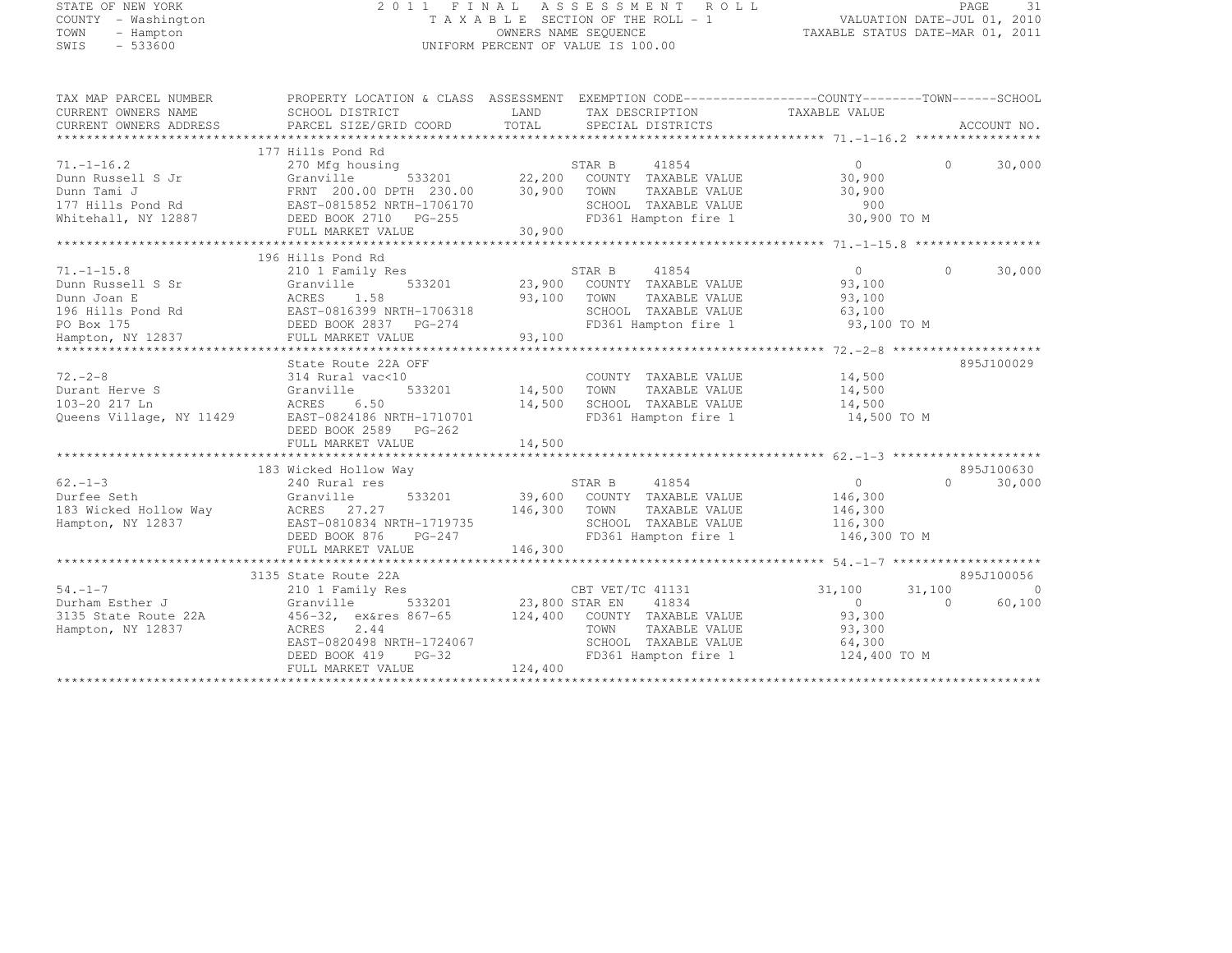STATE OF NEW YORK 2 0 1 1 F I N A L A S S E S S M E N T R O L L PAGE <sup>31</sup> COUNTY - Washington T A X A B L E SECTION OF THE ROLL - 1 VALUATION DATE-JUL 01, 2010 TOWN - Hampton OWNERS NAME SEQUENCE TAXABLE STATUS DATE-MAR 01, 2011 SWIS - 533600 UNIFORM PERCENT OF VALUE IS 100.00

| TAX MAP PARCEL NUMBER    | PROPERTY LOCATION & CLASS ASSESSMENT EXEMPTION CODE----------------COUNTY-------TOWN-----SCHOOL |                            |                                                                                                                                                               |                                                                 |                      |
|--------------------------|-------------------------------------------------------------------------------------------------|----------------------------|---------------------------------------------------------------------------------------------------------------------------------------------------------------|-----------------------------------------------------------------|----------------------|
| CURRENT OWNERS NAME      | SCHOOL DISTRICT                                                                                 | LAND TAX DESCRIPTION       |                                                                                                                                                               | TAXABLE VALUE                                                   |                      |
| CURRENT OWNERS ADDRESS   | PARCEL SIZE/GRID COORD TOTAL                                                                    |                            | SPECIAL DISTRICTS                                                                                                                                             |                                                                 | ACCOUNT NO.          |
|                          |                                                                                                 |                            |                                                                                                                                                               |                                                                 |                      |
|                          | 177 Hills Pond Rd                                                                               |                            |                                                                                                                                                               |                                                                 |                      |
| $71. - 1 - 16.2$         | 270 Mfg housing                                                                                 |                            | $533201 \qquad 22,200 \qquad \text{COMNY} \qquad \text{TAXABLE VALUE}$ $\text{TH} \qquad 230.00 \qquad 30,900 \qquad \text{TOWN} \qquad \text{TAXABLE VALUE}$ | $\bigcirc$                                                      | $\bigcap$<br>30,000  |
| Dunn Russell S Jr        | Granville                                                                                       |                            |                                                                                                                                                               | 30,900                                                          |                      |
| Dunn Tami J              | FRNT 200.00 DPTH 230.00                                                                         |                            |                                                                                                                                                               | 30,900                                                          |                      |
| 177 Hills Pond Rd        | EAST-0815852 NRTH-1706170                                                                       |                            | SCHOOL TAXABLE VALUE                                                                                                                                          | 900                                                             |                      |
| Whitehall, NY 12887      | DEED BOOK 2710 PG-255                                                                           | 30,900                     | FD361 Hampton fire 1                                                                                                                                          | 30,900 TO M                                                     |                      |
|                          | FULL MARKET VALUE                                                                               |                            |                                                                                                                                                               |                                                                 |                      |
|                          |                                                                                                 |                            |                                                                                                                                                               |                                                                 |                      |
|                          | 196 Hills Pond Rd                                                                               |                            |                                                                                                                                                               |                                                                 |                      |
| $71. - 1 - 15.8$         | 210 1 Family Res                                                                                |                            | 41854<br>STAR B                                                                                                                                               | $\overline{0}$                                                  | $\Omega$<br>30,000   |
| Dunn Russell S Sr        | Granville                                                                                       |                            | 533201 23,900 COUNTY TAXABLE VALUE                                                                                                                            | 93,100                                                          |                      |
| Dunn Joan E              | ACRES 1.58                                                                                      |                            | 93,100 TOWN TAXABLE VALUE 29,100<br>1-1706318 SCHOOL TAXABLE VALUE 23,100                                                                                     |                                                                 |                      |
| 196 Hills Pond Rd        |                                                                                                 |                            |                                                                                                                                                               |                                                                 |                      |
| PO Box 175               | ACRES 1.58 93,100<br>EAST-0816399 NRTH-1706318<br>DEED BOOK 2837 PG-274                         |                            |                                                                                                                                                               | SCHOOL TAXABLE VALUE 63,100<br>FD361 Hampton fire 1 93,100 TO M |                      |
| Hampton, NY 12837        | FULL MARKET VALUE 93,100                                                                        |                            |                                                                                                                                                               |                                                                 |                      |
|                          |                                                                                                 |                            |                                                                                                                                                               |                                                                 |                      |
|                          | State Route 22A OFF                                                                             |                            |                                                                                                                                                               |                                                                 | 895J100029           |
| $72 - 2 - 8$             | 314 Rural vac<10                                                                                |                            | COUNTY TAXABLE VALUE                                                                                                                                          | 14,500                                                          |                      |
| Durant Herve S           | 533201<br>Granville                                                                             | 14,500 TOWN                | TAXABLE VALUE                                                                                                                                                 | 14,500                                                          |                      |
| 103-20 217 Ln            | ACRES<br>6.50                                                                                   |                            | 14,500 SCHOOL TAXABLE VALUE                                                                                                                                   | 14,500                                                          |                      |
| Queens Village, NY 11429 | EAST-0824186 NRTH-1710701                                                                       |                            |                                                                                                                                                               | FD361 Hampton fire 1 14,500 TO M                                |                      |
|                          | DEED BOOK 2589 PG-262                                                                           |                            |                                                                                                                                                               |                                                                 |                      |
|                          |                                                                                                 |                            |                                                                                                                                                               |                                                                 |                      |
|                          |                                                                                                 |                            |                                                                                                                                                               |                                                                 |                      |
|                          | 183 Wicked Hollow Way                                                                           |                            |                                                                                                                                                               |                                                                 | 895J100630           |
| $62 - 1 - 3$             | 240 Rural res                                                                                   | STAR B                     | 41854                                                                                                                                                         | $\sim$ 0                                                        | $\Omega$<br>30,000   |
| Durfee Seth              | Granville                                                                                       |                            | 533201 39,600 COUNTY TAXABLE VALUE 146,300                                                                                                                    |                                                                 |                      |
| 183 Wicked Hollow Way    | ACRES 27.27                                                                                     | 146,300 TOWN               | TAXABLE VALUE                                                                                                                                                 | 146,300                                                         |                      |
| Hampton, NY 12837        | EAST-0810834 NRTH-1719735                                                                       |                            | SCHOOL TAXABLE VALUE                                                                                                                                          | $\frac{136}{116}$ , 300                                         |                      |
|                          |                                                                                                 |                            |                                                                                                                                                               |                                                                 |                      |
|                          | DEED BOOK 876<br>$PG-247$                                                                       |                            |                                                                                                                                                               | FD361 Hampton fire 1 146,300 TO M                               |                      |
|                          | FULL MARKET VALUE                                                                               | 146,300                    |                                                                                                                                                               |                                                                 |                      |
|                          |                                                                                                 |                            |                                                                                                                                                               |                                                                 |                      |
|                          | 3135 State Route 22A                                                                            | s<br>533201 23,800 STAR EN |                                                                                                                                                               |                                                                 | 895J100056           |
| $54. -1 - 7$             | 210 1 Family Res                                                                                |                            | CBT VET/TC 41131                                                                                                                                              | 31,100                                                          | 31,100<br>$\bigcirc$ |
| Durham Esther J          | Granville                                                                                       |                            | 41834                                                                                                                                                         | $\overline{0}$                                                  | 60,100<br>$\Omega$   |
| 3135 State Route 22A     | 456-32, ex&res 867-65 124,400 COUNTY TAXABLE VALUE 93,300                                       |                            |                                                                                                                                                               |                                                                 |                      |
| Hampton, NY 12837        | ACRES 2.44                                                                                      |                            | TOWN<br>TAXABLE VALUE                                                                                                                                         | 93,300                                                          |                      |
|                          | EAST-0820498 NRTH-1724067                                                                       |                            | SCHOOL TAXABLE VALUE                                                                                                                                          | 64,300                                                          |                      |
|                          | $PG-32$<br>DEED BOOK 419                                                                        |                            | FD361 Hampton fire 1                                                                                                                                          | 124,400 TO M                                                    |                      |
|                          | FULL MARKET VALUE                                                                               | 124,400                    |                                                                                                                                                               |                                                                 |                      |
|                          |                                                                                                 |                            |                                                                                                                                                               |                                                                 |                      |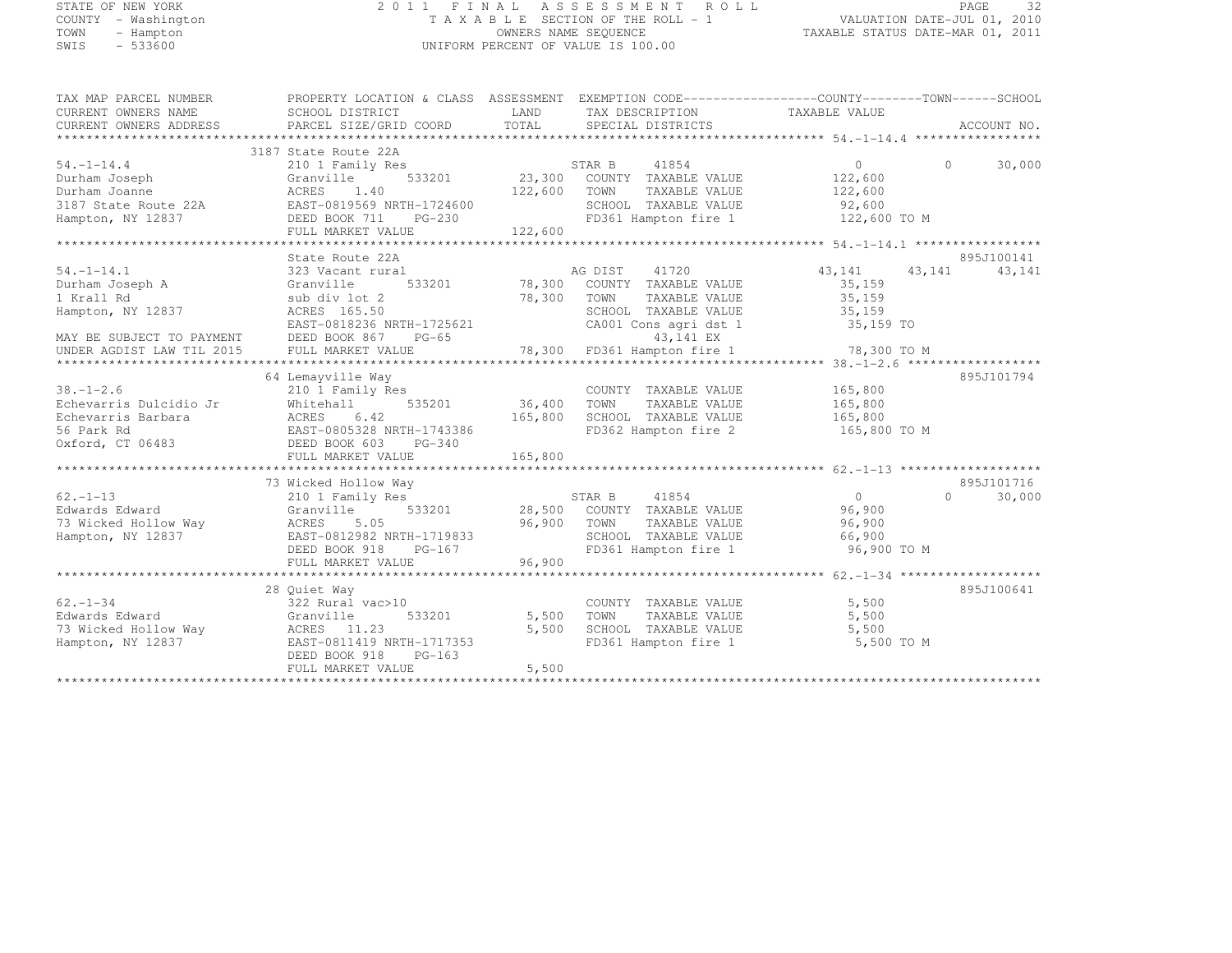# STATE OF NEW YORK 2 0 1 1 F I N A L A S S E S S M E N T R O L L PAGE <sup>32</sup> COUNTY - Washington T A X A B L E SECTION OF THE ROLL - 1 VALUATION DATE-JUL 01, 2010 TOWN - Hampton OWNERS NAME SEQUENCE TAXABLE STATUS DATE-MAR 01, 2011 SWIS - 533600 UNIFORM PERCENT OF VALUE IS 100.00

| TAX MAP PARCEL NUMBER              | PROPERTY LOCATION & CLASS ASSESSMENT EXEMPTION CODE----------------COUNTY-------TOWN------SCHOOL |                      |                                                                                                                           |                |           |             |
|------------------------------------|--------------------------------------------------------------------------------------------------|----------------------|---------------------------------------------------------------------------------------------------------------------------|----------------|-----------|-------------|
| CURRENT OWNERS NAME                | SCHOOL DISTRICT                                                                                  | LAND                 | TAX DESCRIPTION                                                                                                           | TAXABLE VALUE  |           |             |
| CURRENT OWNERS ADDRESS             | PARCEL SIZE/GRID COORD                                                                           | <b>LAND</b><br>TOTAL | SPECIAL DISTRICTS                                                                                                         |                |           | ACCOUNT NO. |
|                                    |                                                                                                  |                      |                                                                                                                           |                |           |             |
|                                    | 3187 State Route 22A                                                                             |                      |                                                                                                                           |                |           |             |
| $54. -1 - 14.4$                    | 210 1 Family Res                                                                                 |                      | $\begin{array}{ccccccccc}\n & & & & & \text{STAR B} & & & 41854 & & & & & 0 \\  & & & & & & & & & & & & & 0\n\end{array}$ |                | $\Omega$  | 30,000      |
| Durham Joseph                      | Granville                                                                                        |                      |                                                                                                                           |                |           |             |
| Durham Joanne                      | ACRES<br>1.40                                                                                    | 122,600 TOWN         | TAXABLE VALUE                                                                                                             | 122,600        |           |             |
| 3187 State Route 22A               | EAST-0819569 NRTH-1724600                                                                        |                      | SCHOOL TAXABLE VALUE 92,600<br>FD361 Hampton fire 1 122,600 TO M                                                          |                |           |             |
| Hampton, NY 12837                  | EASI-0019309 NKTH-1724600<br>DEED BOOK 711 PG-230                                                |                      |                                                                                                                           |                |           |             |
|                                    | FULL MARKET VALUE                                                                                | 122,600              |                                                                                                                           |                |           |             |
|                                    |                                                                                                  |                      |                                                                                                                           |                |           |             |
|                                    | State Route 22A                                                                                  |                      |                                                                                                                           |                |           | 895J100141  |
| $54. - 1 - 14.1$                   | 323 Vacant rural                                                                                 |                      | AG DIST<br>41720                                                                                                          | 43, 141        | 43,141    | 43,141      |
| Durham Joseph A                    | Granville                                                                                        |                      | 533201 78,300 COUNTY TAXABLE VALUE                                                                                        | 35,159         |           |             |
| 1 Krall Rd                         | sub div lot 2                                                                                    | 78,300 TOWN          | TAXABLE VALUE                                                                                                             | 35,159         |           |             |
| Hampton, NY 12837                  | ACRES 165.50                                                                                     |                      | SCHOOL TAXABLE VALUE                                                                                                      | 35,159         |           |             |
|                                    | EAST-0818236 NRTH-1725621<br>EAST-0818236 NRTH-1725621                                           |                      | CA001 Cons agri dst 1 35,159 TO                                                                                           |                |           |             |
| MAY BE SUBJECT TO PAYMENT          | DEED BOOK 867 PG-65                                                                              |                      | 43,141 EX                                                                                                                 |                |           |             |
| UNDER AGDIST LAW TIL 2015          |                                                                                                  |                      |                                                                                                                           |                |           |             |
|                                    |                                                                                                  |                      |                                                                                                                           |                |           |             |
|                                    | 64 Lemayville Way                                                                                |                      |                                                                                                                           |                |           | 895J101794  |
| $38. - 1 - 2.6$                    | 210 1 Family Res                                                                                 |                      | COUNTY TAXABLE VALUE                                                                                                      | 165,800        |           |             |
| Echevarris Dulcidio Jr             | Whitehall                                                                                        | 535201 36,400        | TOWN<br>TAXABLE VALUE                                                                                                     | 165,800        |           |             |
| Echevarris Barbara                 |                                                                                                  | 165,800              | SCHOOL TAXABLE VALUE                                                                                                      | 165,800        |           |             |
| 56 Park Rd                         | ACRES 6.42<br>EAST-0805328 NRTH-1743386                                                          |                      | SCHOOL TAXABLE VALUE<br>FD362 Hampton fire 2                                                                              | 165,800 TO M   |           |             |
| Oxford, CT 06483                   | DEED BOOK 603<br>PG-340                                                                          |                      |                                                                                                                           |                |           |             |
|                                    | FULL MARKET VALUE                                                                                | 165,800              |                                                                                                                           |                |           |             |
|                                    |                                                                                                  |                      |                                                                                                                           |                |           |             |
|                                    | 73 Wicked Hollow Way                                                                             |                      |                                                                                                                           |                |           | 895J101716  |
| $62 - 1 - 13$                      | 210 1 Family Res                                                                                 |                      |                                                                                                                           | $\overline{0}$ | $\bigcap$ | 30,000      |
| Edwards Edward                     | Granville                                                                                        |                      |                                                                                                                           | 96,900         |           |             |
| 73 Wicked Hollow Way 60 ACRES      | 5.05                                                                                             | 96,900 TOWN          | TAXABLE VALUE                                                                                                             | 96,900         |           |             |
| Hampton, NY 12837                  | EAST-0812982 NRTH-1719833                                                                        |                      | SCHOOL TAXABLE VALUE                                                                                                      | 66,900         |           |             |
|                                    | DEED BOOK 918<br>$PG-167$                                                                        |                      | FD361 Hampton fire 1                                                                                                      | 96,900 TO M    |           |             |
|                                    | FULL MARKET VALUE                                                                                | 96,900               |                                                                                                                           |                |           |             |
|                                    |                                                                                                  |                      |                                                                                                                           |                |           |             |
|                                    | 28 Ouiet Way                                                                                     |                      |                                                                                                                           |                |           | 895J100641  |
| $62 - 1 - 34$                      | 322 Rural vac>10                                                                                 |                      | COUNTY TAXABLE VALUE                                                                                                      | 5,500          |           |             |
| Edwards Edward                     | 533201<br>Granville                                                                              | 5,500                | TOWN<br>TAXABLE VALUE                                                                                                     | 5,500          |           |             |
| 73 Wicked Hollow Way $ACRES$ 11.23 |                                                                                                  | 5,500                | SCHOOL TAXABLE VALUE                                                                                                      | 5,500          |           |             |
| Hampton, NY 12837                  | EAST-0811419 NRTH-1717353                                                                        |                      | FD361 Hampton fire 1                                                                                                      | 5,500 TO M     |           |             |
|                                    | DEED BOOK 918<br>$PG-163$                                                                        |                      |                                                                                                                           |                |           |             |
|                                    | FULL MARKET VALUE                                                                                | 5,500                |                                                                                                                           |                |           |             |
|                                    |                                                                                                  |                      |                                                                                                                           |                |           |             |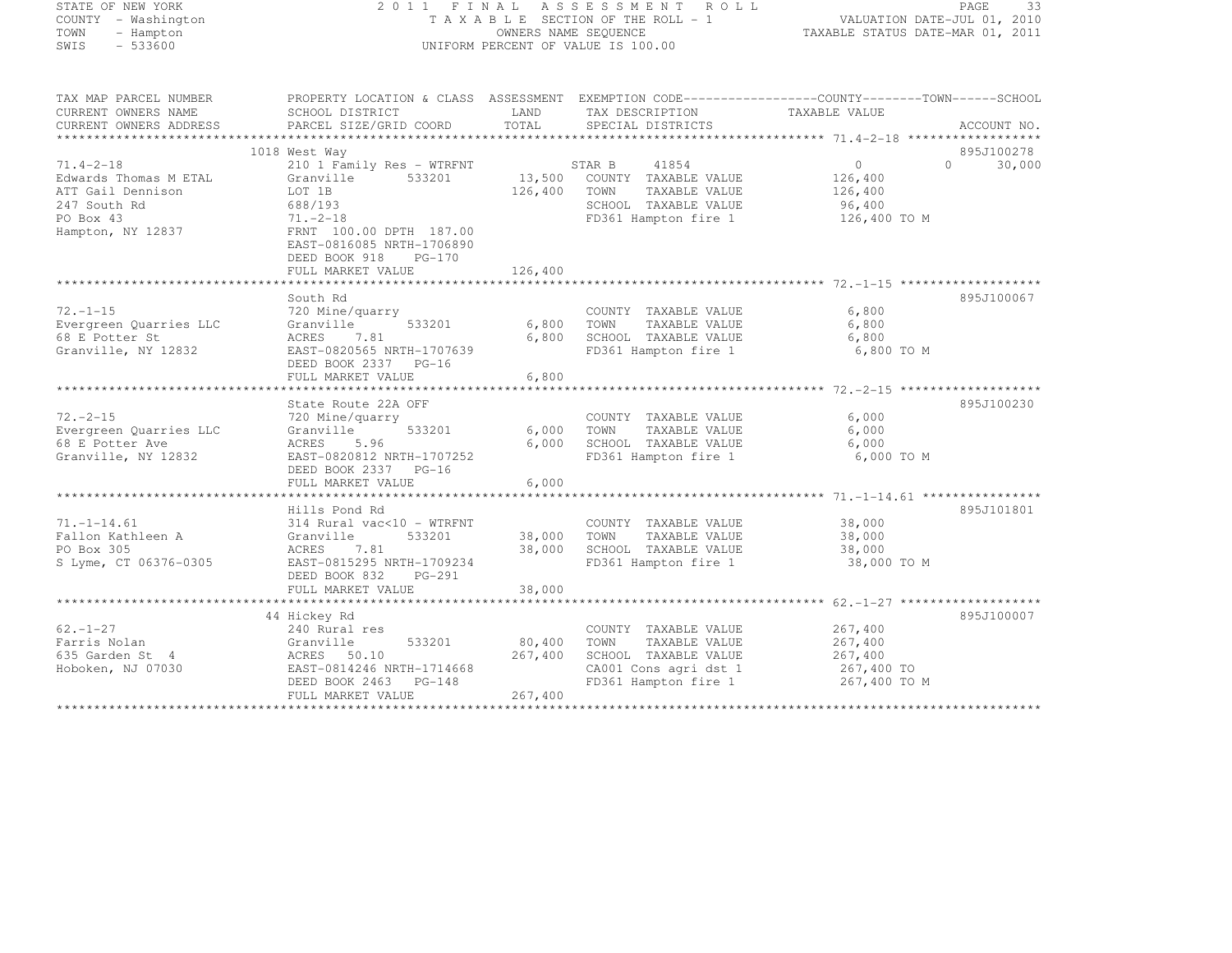| TATE OF NEW YORK |  |                    |  |  |
|------------------|--|--------------------|--|--|
|                  |  | OUNTY - Washington |  |  |
| OWN              |  | - Hampton          |  |  |
| WIS              |  | - 533600           |  |  |

# STATE OF NEW YORK 2 0 1 1 F I N A L A S S E S S M E N T R O L L PAGE <sup>33</sup> COUNTY - Washington T A X A B L E SECTION OF THE ROLL - 1 VALUATION DATE-JUL 01, 2010 TOWN - Hampton OWNERS NAME SEQUENCE TAXABLE STATUS DATE-MAR 01, 2011 SWIS - 533600 UNIFORM PERCENT OF VALUE IS 100.00

| TAX MAP PARCEL NUMBER                    |                                                  |         | PROPERTY LOCATION & CLASS ASSESSMENT EXEMPTION CODE-----------------COUNTY-------TOWN------SCHOOL |               |                         |
|------------------------------------------|--------------------------------------------------|---------|---------------------------------------------------------------------------------------------------|---------------|-------------------------|
| CURRENT OWNERS NAME                      | SCHOOL DISTRICT                                  | LAND    | TAX DESCRIPTION                                                                                   | TAXABLE VALUE |                         |
| CURRENT OWNERS ADDRESS                   | PARCEL SIZE/GRID COORD                           | TOTAL   | SPECIAL DISTRICTS                                                                                 |               | ACCOUNT NO.             |
|                                          |                                                  |         |                                                                                                   |               |                         |
|                                          | 1018 West Way                                    |         | 41854                                                                                             | 0             | 895J100278<br>$\bigcap$ |
| $71.4 - 2 - 18$<br>Edwards Thomas M ETAL | 210 1 Family Res - WTRFNT<br>533201<br>Granville |         | STAR B<br>13,500 COUNTY TAXABLE VALUE                                                             | 126,400       | 30,000                  |
| ATT Gail Dennison                        | LOT 1B                                           | 126,400 | TOWN<br>TAXABLE VALUE                                                                             | 126,400       |                         |
| 247 South Rd                             | 688/193                                          |         | SCHOOL TAXABLE VALUE                                                                              | 96,400        |                         |
| PO Box 43                                | $71. - 2 - 18$                                   |         | FD361 Hampton fire 1                                                                              | 126,400 TO M  |                         |
| Hampton, NY 12837                        | FRNT 100.00 DPTH 187.00                          |         |                                                                                                   |               |                         |
|                                          | EAST-0816085 NRTH-1706890                        |         |                                                                                                   |               |                         |
|                                          | DEED BOOK 918<br>$PG-170$                        |         |                                                                                                   |               |                         |
|                                          | FULL MARKET VALUE                                | 126,400 |                                                                                                   |               |                         |
|                                          |                                                  |         |                                                                                                   |               |                         |
|                                          | South Rd                                         |         |                                                                                                   |               | 895J100067              |
| $72. - 1 - 15$                           | 720 Mine/quarry                                  |         | COUNTY TAXABLE VALUE                                                                              | 6,800         |                         |
| Evergreen Quarries LLC                   | 533201<br>Granville                              | 6,800   | TAXABLE VALUE<br>TOWN                                                                             | 6,800         |                         |
| 68 E Potter St                           | ACRES<br>7.81                                    | 6,800   | SCHOOL TAXABLE VALUE                                                                              | 6,800         |                         |
| Granville, NY 12832                      | EAST-0820565 NRTH-1707639                        |         | FD361 Hampton fire 1                                                                              | 6,800 TO M    |                         |
|                                          | DEED BOOK 2337 PG-16                             |         |                                                                                                   |               |                         |
|                                          | FULL MARKET VALUE                                | 6,800   |                                                                                                   |               |                         |
|                                          |                                                  |         |                                                                                                   |               |                         |
|                                          | State Route 22A OFF                              |         |                                                                                                   |               | 895J100230              |
| $72. - 2 - 15$                           | 720 Mine/quarry                                  |         | COUNTY TAXABLE VALUE                                                                              | 6,000         |                         |
| Evergreen Quarries LLC                   | 533201<br>Granville                              | 6,000   | TAXABLE VALUE<br>TOWN                                                                             | 6,000         |                         |
| 68 E Potter Ave                          | ACRES<br>5.96                                    | 6,000   | SCHOOL TAXABLE VALUE                                                                              | 6,000         |                         |
| Granville, NY 12832                      | EAST-0820812 NRTH-1707252                        |         | FD361 Hampton fire 1                                                                              | 6,000 TO M    |                         |
|                                          | DEED BOOK 2337 PG-16                             |         |                                                                                                   |               |                         |
|                                          | FULL MARKET VALUE                                | 6,000   |                                                                                                   |               |                         |
|                                          |                                                  |         |                                                                                                   |               |                         |
|                                          | Hills Pond Rd                                    |         |                                                                                                   |               | 895J101801              |
| $71. -1 - 14.61$                         | 314 Rural vac<10 - WTRFNT                        |         | COUNTY TAXABLE VALUE                                                                              | 38,000        |                         |
| Fallon Kathleen A                        | Granville<br>533201                              |         | 38,000 TOWN<br>TAXABLE VALUE                                                                      | 38,000        |                         |
| PO Box 305                               | ACRES<br>7.81                                    |         | 38,000 SCHOOL TAXABLE VALUE                                                                       | 38,000        |                         |
| S Lyme, CT 06376-0305                    | EAST-0815295 NRTH-1709234                        |         | FD361 Hampton fire 1                                                                              | 38,000 TO M   |                         |
|                                          | DEED BOOK 832<br>$PG-291$                        |         |                                                                                                   |               |                         |
|                                          | FULL MARKET VALUE                                | 38,000  |                                                                                                   |               |                         |
|                                          | 44 Hickey Rd                                     |         |                                                                                                   |               | 895J100007              |
| $62. - 1 - 27$                           | 240 Rural res                                    |         | COUNTY TAXABLE VALUE                                                                              | 267,400       |                         |
| Farris Nolan                             | 533201<br>Granville                              | 80,400  | TOWN<br>TAXABLE VALUE                                                                             | 267,400       |                         |
| 635 Garden St 4                          | ACRES 50.10                                      | 267,400 | SCHOOL TAXABLE VALUE                                                                              | 267,400       |                         |
| Hoboken, NJ 07030                        | EAST-0814246 NRTH-1714668                        |         | CA001 Cons agri dst 1                                                                             | 267,400 TO    |                         |
|                                          | DEED BOOK 2463 PG-148                            |         | FD361 Hampton fire 1                                                                              | 267,400 TO M  |                         |
|                                          | FULL MARKET VALUE                                | 267,400 |                                                                                                   |               |                         |
|                                          |                                                  |         |                                                                                                   |               |                         |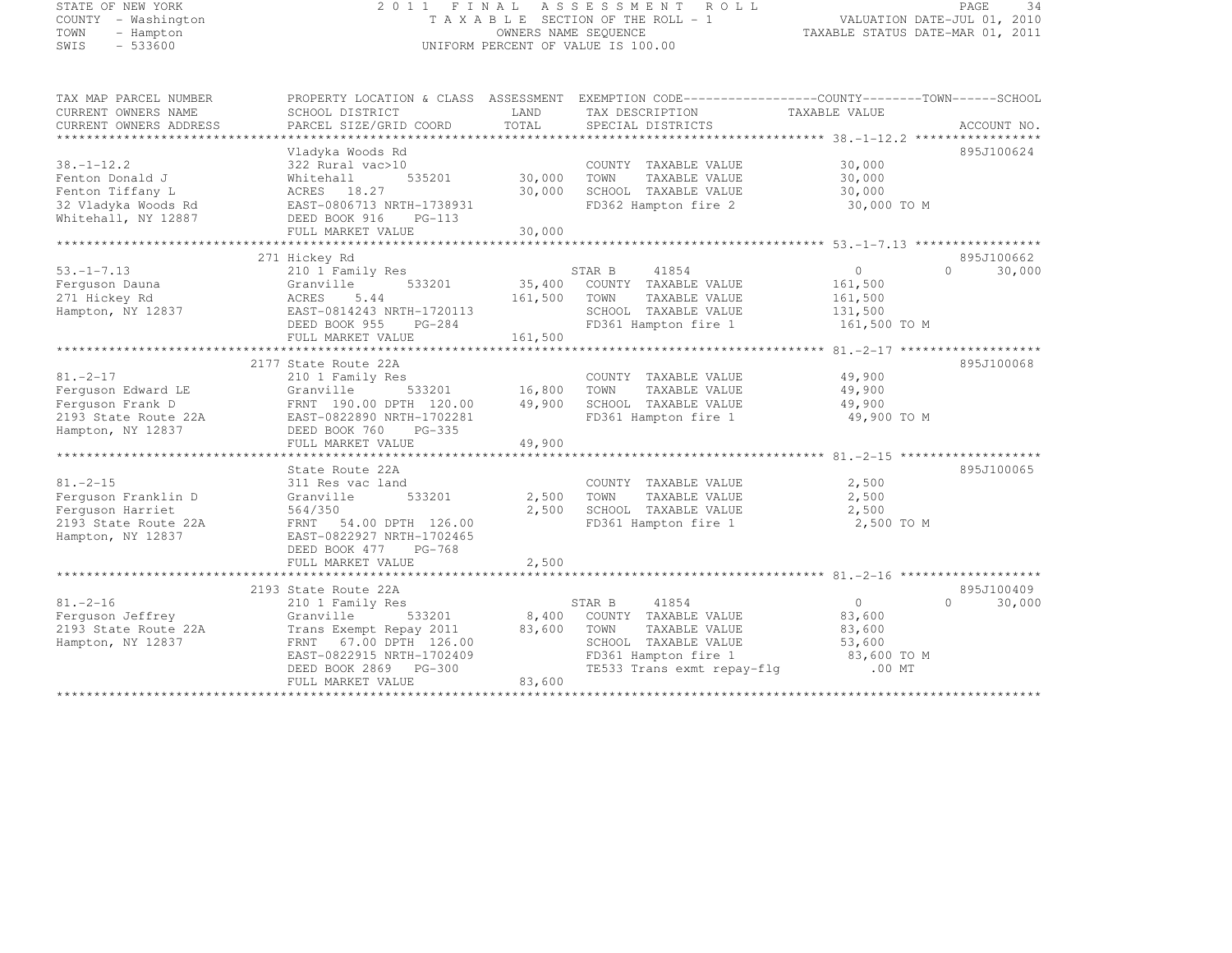## STATE OF NEW YORK 2 0 1 1 F I N A L A S S E S S M E N T R O L L PAGE <sup>34</sup> COUNTY - Washington T A X A B L E SECTION OF THE ROLL - 1 VALUATION DATE-JUL 01, 2010 TOWN - Hampton OWNERS NAME SEQUENCE TAXABLE STATUS DATE-MAR 01, 2011 SWIS - 533600 UNIFORM PERCENT OF VALUE IS 100.00

| TAX MAP PARCEL NUMBER  |                                                                                |              | PROPERTY LOCATION & CLASS ASSESSMENT EXEMPTION CODE-----------------COUNTY-------TOWN------SCHOOL |                    |                    |
|------------------------|--------------------------------------------------------------------------------|--------------|---------------------------------------------------------------------------------------------------|--------------------|--------------------|
| CURRENT OWNERS NAME    | SCHOOL DISTRICT                                                                | LAND         | TAX DESCRIPTION                                                                                   | TAXABLE VALUE      |                    |
| CURRENT OWNERS ADDRESS | PARCEL SIZE/GRID COORD                                                         | TOTAL        | SPECIAL DISTRICTS                                                                                 |                    | ACCOUNT NO.        |
|                        |                                                                                |              |                                                                                                   |                    |                    |
|                        | Vladyka Woods Rd                                                               |              |                                                                                                   |                    | 895J100624         |
| $38. - 1 - 12.2$       | 322 Rural vac>10                                                               |              | COUNTY TAXABLE VALUE                                                                              | $30,000$<br>30.000 |                    |
| Fenton Donald J        | Whitehall                                                                      |              | TOWN<br>TAXABLE VALUE                                                                             | 30,000             |                    |
| Fenton Tiffany L       | ACRES 18.27                                                                    | 30,000       | SCHOOL TAXABLE VALUE                                                                              | 30,000             |                    |
| 32 Vladyka Woods Rd    | EAST-0806713 NRTH-1738931                                                      |              | FD362 Hampton fire 2                                                                              | 30,000 TO M        |                    |
| Whitehall, NY 12887    | DEED BOOK 916<br>$PG-113$                                                      |              |                                                                                                   |                    |                    |
|                        | FULL MARKET VALUE                                                              | 30,000       |                                                                                                   |                    |                    |
|                        |                                                                                |              |                                                                                                   |                    |                    |
|                        | 271 Hickey Rd                                                                  |              |                                                                                                   |                    | 895J100662         |
| $53. -1 - 7.13$        | 210 1 Family Res                                                               |              | STAR B 41854<br>35,400 COUNTY TAXABLE VALUE                                                       | 0                  | $\Omega$<br>30,000 |
| Ferquson Dauna         | Granville<br>533201                                                            |              |                                                                                                   | 161,500            |                    |
| 271 Hickey Rd          | ACRES<br>5.44                                                                  | 161,500 TOWN | TAXABLE VALUE                                                                                     | 161,500            |                    |
| Hampton, NY 12837      | EAST-0814243 NRTH-1720113<br>EAST-0814243 NRTH-1720113<br>DEED BOOK 955 PG-284 |              | SCHOOL TAXABLE VALUE                                                                              | 131,500            |                    |
|                        |                                                                                |              | FD361 Hampton fire 1                                                                              | 161,500 TO M       |                    |
|                        | FULL MARKET VALUE                                                              | 161,500      |                                                                                                   |                    |                    |
|                        |                                                                                |              |                                                                                                   |                    |                    |
|                        | 2177 State Route 22A                                                           |              |                                                                                                   |                    | 895J100068         |
| $81. - 2 - 17$         | 210 1 Family Res                                                               |              | COUNTY TAXABLE VALUE                                                                              | 49,900             |                    |
| Ferquson Edward LE     | 533201 16,800 TOWN<br>Granville                                                |              | TAXABLE VALUE                                                                                     | 49,900             |                    |
| Ferquson Frank D       | FRNT 190.00 DPTH 120.00                                                        | 49,900       | SCHOOL TAXABLE VALUE                                                                              | 49,900             |                    |
| 2193 State Route 22A   | EAST-0822890 NRTH-1702281                                                      |              | FD361 Hampton fire 1 49,900 TO M                                                                  |                    |                    |
| Hampton, NY 12837      | DEED BOOK 760 PG-335                                                           |              |                                                                                                   |                    |                    |
|                        | FULL MARKET VALUE                                                              | 49,900       |                                                                                                   |                    |                    |
|                        |                                                                                |              |                                                                                                   |                    |                    |
|                        | State Route 22A                                                                |              |                                                                                                   |                    | 895J100065         |
| $81. - 2 - 15$         | 311 Res vac land                                                               |              | COUNTY TAXABLE VALUE                                                                              | 2,500              |                    |
| Ferquson Franklin D    | 533201<br>Granville                                                            | 2,500        | TAXABLE VALUE<br>TOWN<br>TOWN      TAXABLE VALUE<br>SCHOOL   TAXABLE VALUE                        | 2,500              |                    |
| Ferquson Harriet       | 564/350                                                                        | 2,500        |                                                                                                   | 2,500              |                    |
| 2193 State Route 22A   | FRNT 54.00 DPTH 126.00                                                         |              | FD361 Hampton fire 1                                                                              | 2,500 TO M         |                    |
| Hampton, NY 12837      | EAST-0822927 NRTH-1702465                                                      |              |                                                                                                   |                    |                    |
|                        | DEED BOOK 477 PG-768                                                           |              |                                                                                                   |                    |                    |
|                        | FULL MARKET VALUE                                                              | 2,500        |                                                                                                   |                    |                    |
|                        |                                                                                |              |                                                                                                   |                    |                    |
|                        | 2193 State Route 22A                                                           |              |                                                                                                   |                    | 895J100409         |
| $81, -2 - 16$          | 210 1 Family Res                                                               |              | STAR B 41854                                                                                      | $\overline{0}$     | 30,000<br>$\Omega$ |
| Ferquson Jeffrey       | 533201<br>Granville                                                            |              | 8,400 COUNTY TAXABLE VALUE                                                                        | 83,600             |                    |
| 2193 State Route 22A   | Trans Exempt Repay 2011 83,600 TOWN                                            |              | TAXABLE VALUE                                                                                     | 83,600             |                    |
| Hampton, NY 12837      | FRNT 67.00 DPTH 126.00                                                         |              | SCHOOL TAXABLE VALUE                                                                              | 53,600             |                    |
|                        | EAST-0822915 NRTH-1702409                                                      |              |                                                                                                   |                    |                    |
|                        | DEED BOOK 2869 PG-300                                                          |              |                                                                                                   |                    |                    |
|                        | FULL MARKET VALUE                                                              | 83,600       |                                                                                                   |                    |                    |
|                        |                                                                                |              |                                                                                                   |                    |                    |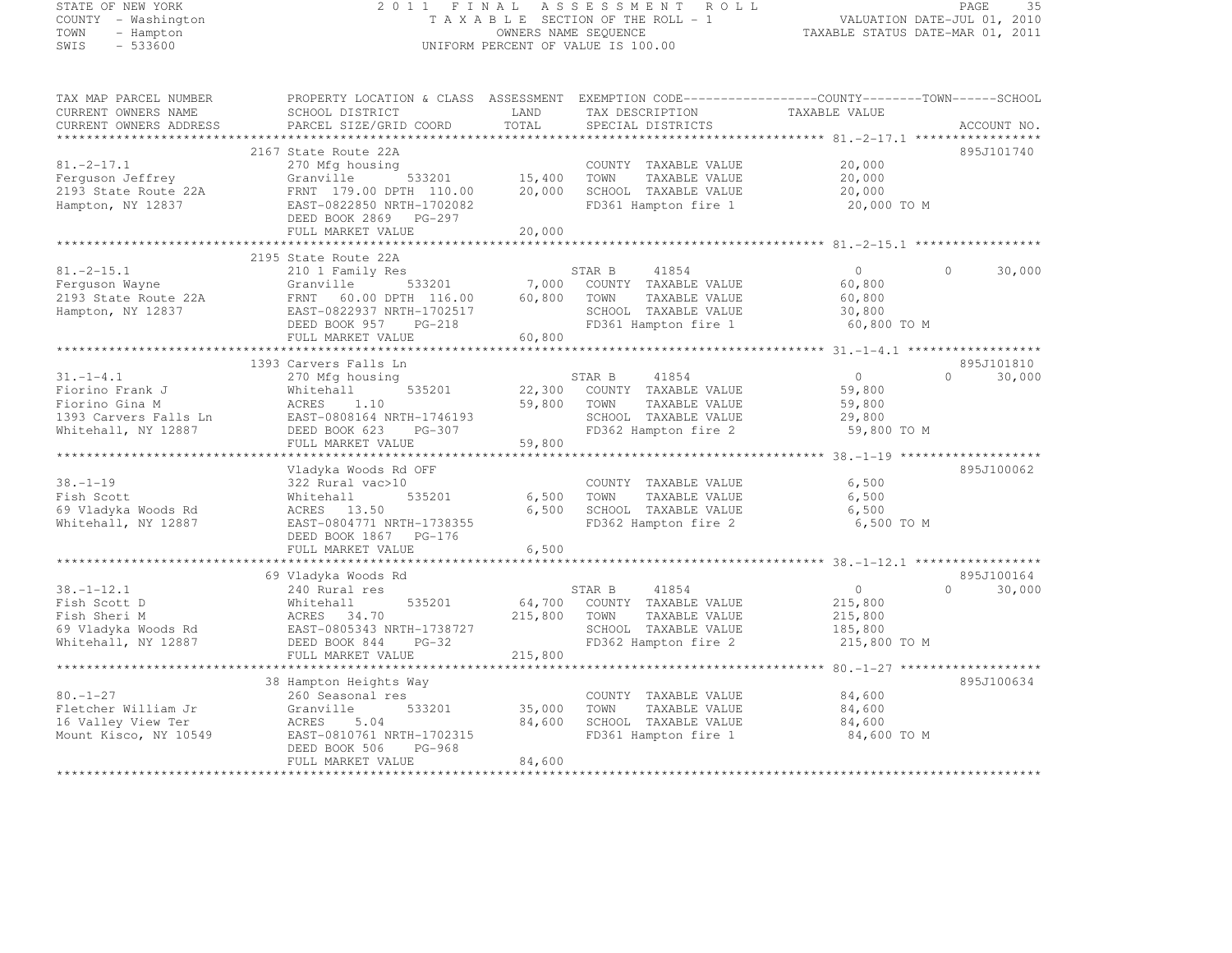#### STATE OF NEW YORK 2 0 1 1 F I N A L A S S E S S M E N T R O L L PAGE <sup>35</sup> COUNTY - Washington T A X A B L E SECTION OF THE ROLL - 1 VALUATION DATE-JUL 01, 2010 TOWN - Hampton OWNERS NAME SEQUENCE TAXABLE STATUS DATE-MAR 01, 2011 SUNTY - Washington<br>
SWIS - 533600 UNIFORM PERCENT OF VALUE IS 100.00

TAX MAP PARCEL NUMBER PROPERTY LOCATION & CLASS ASSESSMENT EXEMPTION CODE------------------COUNTY--------TOWN------SCHOOL

| CURRENT OWNERS NAME    | SCHOOL DISTRICT                                 | LAND                 | TAX DESCRIPTION       | TAXABLE VALUE                                                   |                        |
|------------------------|-------------------------------------------------|----------------------|-----------------------|-----------------------------------------------------------------|------------------------|
| CURRENT OWNERS ADDRESS | PARCEL SIZE/GRID COORD                          | TOTAL                | SPECIAL DISTRICTS     |                                                                 | ACCOUNT NO.            |
| ********************** |                                                 |                      |                       |                                                                 |                        |
|                        | 2167 State Route 22A                            |                      |                       |                                                                 | 895J101740             |
| $81, -2 - 17, 1$       | 270 Mfg housing                                 |                      | COUNTY TAXABLE VALUE  | 20,000                                                          |                        |
| Ferquson Jeffrey       | 533201<br>Granville                             | 15,400               | TOWN<br>TAXABLE VALUE | 20,000                                                          |                        |
| 2193 State Route 22A   | FRNT 179.00 DPTH 110.00                         | 20,000               | SCHOOL TAXABLE VALUE  | 20,000                                                          |                        |
| Hampton, NY 12837      | EAST-0822850 NRTH-1702082                       |                      | FD361 Hampton fire 1  | 20,000 TO M                                                     |                        |
|                        | DEED BOOK 2869 PG-297                           |                      |                       |                                                                 |                        |
|                        | FULL MARKET VALUE<br>************************** | 20,000<br>********** |                       |                                                                 |                        |
|                        |                                                 |                      |                       | ******************************** 81. -2-15. 1 ***************** |                        |
|                        | 2195 State Route 22A                            |                      |                       |                                                                 |                        |
| $81, -2 - 15, 1$       | 210 1 Family Res                                |                      | STAR B<br>41854       | $\circ$                                                         | 30,000<br>$\mathbf{0}$ |
| Ferguson Wayne         | Granville<br>533201                             | 7,000                | COUNTY TAXABLE VALUE  | 60,800                                                          |                        |
| 2193 State Route 22A   | FRNT<br>60.00 DPTH 116.00                       | 60,800               | TOWN<br>TAXABLE VALUE | 60,800                                                          |                        |
| Hampton, NY 12837      | EAST-0822937 NRTH-1702517                       |                      | SCHOOL TAXABLE VALUE  | 30,800                                                          |                        |
|                        | DEED BOOK 957<br>PG-218                         |                      | FD361 Hampton fire 1  | 60,800 TO M                                                     |                        |
|                        | FULL MARKET VALUE<br>**********************     | 60,800<br>********** |                       |                                                                 |                        |
|                        |                                                 |                      |                       | ************** 31. -1-4.1 *******************                   | 895J101810             |
|                        | 1393 Carvers Falls Ln                           |                      |                       |                                                                 |                        |
| $31. - 1 - 4.1$        | 270 Mfg housing                                 |                      | STAR B<br>41854       | $\circ$                                                         | 30,000<br>$\Omega$     |
| Fiorino Frank J        | Whitehall<br>535201                             | 22,300               | COUNTY TAXABLE VALUE  | 59,800                                                          |                        |
| Fiorino Gina M         | ACRES<br>1.10                                   | 59,800               | TOWN<br>TAXABLE VALUE | 59,800                                                          |                        |
| 1393 Carvers Falls Ln  | EAST-0808164 NRTH-1746193                       |                      | SCHOOL TAXABLE VALUE  | 29,800                                                          |                        |
| Whitehall, NY 12887    | DEED BOOK 623<br>PG-307                         |                      | FD362 Hampton fire 2  | 59,800 TO M                                                     |                        |
|                        | FULL MARKET VALUE                               | 59,800               |                       |                                                                 |                        |
|                        | Vladyka Woods Rd OFF                            |                      |                       |                                                                 | 895J100062             |
|                        |                                                 |                      |                       |                                                                 |                        |
| $38. - 1 - 19$         | 322 Rural vac>10                                |                      | COUNTY TAXABLE VALUE  | 6,500                                                           |                        |
| Fish Scott             | 535201<br>Whitehall                             | 6,500                | TOWN<br>TAXABLE VALUE | 6,500                                                           |                        |
| 69 Vladyka Woods Rd    | ACRES 13.50                                     | 6,500                | SCHOOL TAXABLE VALUE  | 6,500                                                           |                        |
| Whitehall, NY 12887    | EAST-0804771 NRTH-1738355                       |                      | FD362 Hampton fire 2  | 6,500 TO M                                                      |                        |
|                        | DEED BOOK 1867<br>PG-176                        |                      |                       |                                                                 |                        |
|                        | FULL MARKET VALUE<br>*************************  | 6,500                |                       |                                                                 |                        |
|                        |                                                 |                      |                       |                                                                 | 895J100164             |
| $38. - 1 - 12.1$       | 69 Vladyka Woods Rd                             |                      | STAR B                | $\circ$                                                         | 30,000<br>$\Omega$     |
|                        | 240 Rural res                                   |                      | 41854                 |                                                                 |                        |
| Fish Scott D           | Whitehall<br>535201                             | 64,700               | COUNTY TAXABLE VALUE  | 215,800                                                         |                        |
| Fish Sheri M           | ACRES 34.70                                     | 215,800              | TOWN<br>TAXABLE VALUE | 215,800                                                         |                        |
| 69 Vladyka Woods Rd    | EAST-0805343 NRTH-1738727                       |                      | SCHOOL TAXABLE VALUE  | 185,800                                                         |                        |
| Whitehall, NY 12887    | DEED BOOK 844<br>$PG-32$                        |                      | FD362 Hampton fire 2  | 215,800 TO M                                                    |                        |
|                        | FULL MARKET VALUE                               | 215,800              |                       |                                                                 |                        |
|                        |                                                 |                      |                       |                                                                 |                        |
|                        | 38 Hampton Heights Way                          |                      |                       |                                                                 | 895J100634             |
| $80. - 1 - 27$         | 260 Seasonal res                                |                      | COUNTY TAXABLE VALUE  | 84,600                                                          |                        |
| Fletcher William Jr    | Granville<br>533201                             | 35,000               | TOWN<br>TAXABLE VALUE | 84,600                                                          |                        |
| 16 Valley View Ter     | ACRES<br>5.04                                   | 84,600               | SCHOOL TAXABLE VALUE  | 84,600                                                          |                        |
| Mount Kisco, NY 10549  | EAST-0810761 NRTH-1702315                       |                      | FD361 Hampton fire 1  | 84,600 TO M                                                     |                        |
|                        | DEED BOOK 506<br>PG-968                         |                      |                       |                                                                 |                        |
| *******************    | FULL MARKET VALUE                               | 84,600               |                       |                                                                 |                        |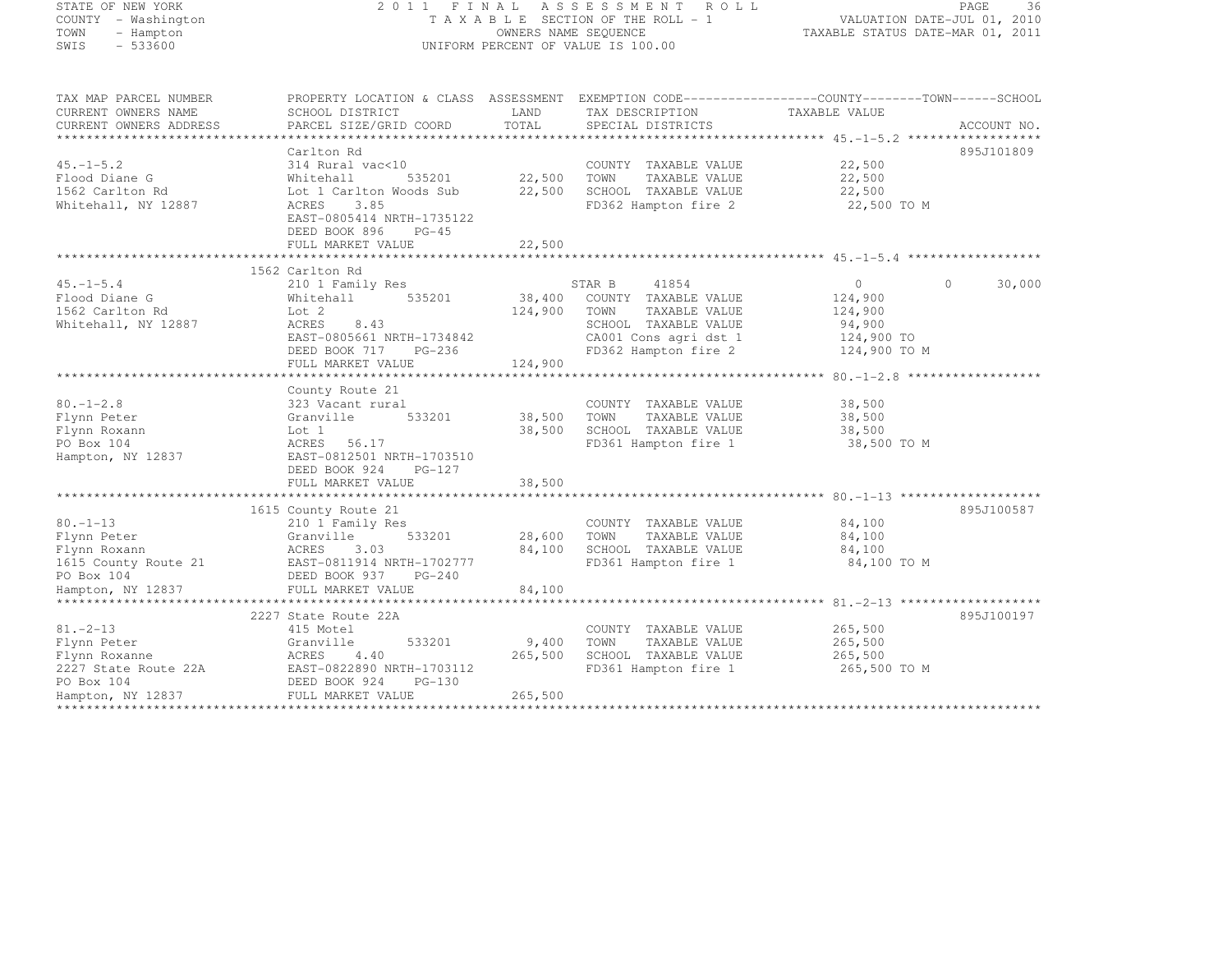STATE OF NEW YORK 2 0 1 1 F I N A L A S S E S S M E N T R O L L PAGE <sup>36</sup> COUNTY - Washington T A X A B L E SECTION OF THE ROLL - 1 VALUATION DATE-JUL 01, 2010 TOWN - Hampton OWNERS NAME SEQUENCE TAXABLE STATUS DATE-MAR 01, 2011 SWIS - 533600 UNIFORM PERCENT OF VALUE IS 100.00

| TAX MAP PARCEL NUMBER<br>CURRENT OWNERS NAME                                                                                                                                                                                                     | SCHOOL DISTRICT                                                     | <b>EXAMPLE SERVICE SERVICE SERVICE SERVICE SERVICE SERVICE SERVICE SERVICE SERVICE SERVICE SERVICE SERVICE SERVICE</b> | TAX DESCRIPTION TAXABLE VALUE<br>SPECIAL DISTRICTS                           | PROPERTY LOCATION & CLASS ASSESSMENT EXEMPTION CODE----------------COUNTY-------TOWN------SCHOOL |             |
|--------------------------------------------------------------------------------------------------------------------------------------------------------------------------------------------------------------------------------------------------|---------------------------------------------------------------------|------------------------------------------------------------------------------------------------------------------------|------------------------------------------------------------------------------|--------------------------------------------------------------------------------------------------|-------------|
| CURRENT OWNERS ADDRESS                                                                                                                                                                                                                           | PARCEL SIZE/GRID COORD                                              | TOTAL                                                                                                                  | SPECIAL DISTRICTS                                                            |                                                                                                  | ACCOUNT NO. |
|                                                                                                                                                                                                                                                  | Carlton Rd                                                          |                                                                                                                        |                                                                              |                                                                                                  | 895J101809  |
| $45. -1 - 5.2$<br>Flood Diane G<br>1562 Carlton Rd                                                                                                                                                                                               | 314 Rural vac<10<br>535201<br>Whitehall<br>Lot 1 Carlton Woods Sub  | 22,500<br>22,500                                                                                                       | COUNTY TAXABLE VALUE 22,500<br>TAXABLE VALUE<br>TOWN<br>SCHOOL TAXABLE VALUE | 22,500<br>22,500                                                                                 |             |
| Whitehall, NY 12887                                                                                                                                                                                                                              | ACRES 3.85<br>EAST-0805414 NRTH-1735122<br>DEED BOOK 896<br>$PG-45$ |                                                                                                                        | FD362 Hampton fire 2                                                         | 22,500 TO M                                                                                      |             |
|                                                                                                                                                                                                                                                  |                                                                     |                                                                                                                        |                                                                              |                                                                                                  |             |
|                                                                                                                                                                                                                                                  | 1562 Carlton Rd                                                     |                                                                                                                        |                                                                              |                                                                                                  |             |
| $45. -1 - 5.4$                                                                                                                                                                                                                                   | 210 1 Family Res                                                    |                                                                                                                        | 41854<br>STAR B                                                              | $\overline{0}$<br>$\Omega$                                                                       | 30,000      |
| Flood Diane G                                                                                                                                                                                                                                    | $W_{11}$ = $L$<br>Lot 2<br>Whitehall                                |                                                                                                                        | 535201 38,400 COUNTY TAXABLE VALUE                                           | 124,900                                                                                          |             |
| 1562 Carlton Rd                                                                                                                                                                                                                                  |                                                                     | 124,900                                                                                                                | TOWN<br>TAXABLE VALUE                                                        | 124,900                                                                                          |             |
| Whitehall, NY 12887                                                                                                                                                                                                                              | ACRES<br>8.43                                                       |                                                                                                                        | SCHOOL TAXABLE VALUE                                                         | 94,900                                                                                           |             |
|                                                                                                                                                                                                                                                  |                                                                     |                                                                                                                        |                                                                              | 124,900 TO                                                                                       |             |
|                                                                                                                                                                                                                                                  | EAST-0805661 NRTH-1734842<br>DEED BOOK 717 PG-236                   |                                                                                                                        | CA001 Cons agri dst 1<br>FD362 Hampton fire 2                                | $124,900$ TO M                                                                                   |             |
|                                                                                                                                                                                                                                                  |                                                                     |                                                                                                                        |                                                                              |                                                                                                  |             |
|                                                                                                                                                                                                                                                  |                                                                     |                                                                                                                        |                                                                              |                                                                                                  |             |
|                                                                                                                                                                                                                                                  | County Route 21                                                     |                                                                                                                        |                                                                              |                                                                                                  |             |
| $80. - 1 - 2.8$                                                                                                                                                                                                                                  | 323 Vacant rural                                                    |                                                                                                                        |                                                                              | 38,500                                                                                           |             |
|                                                                                                                                                                                                                                                  |                                                                     |                                                                                                                        | COUNTY TAXABLE VALUE<br>TAXABLE VALUE                                        | 38,500                                                                                           |             |
| Flynn Peter                                                                                                                                                                                                                                      | Granville                                                           |                                                                                                                        | TOWN IAAADDE<br>SCHOOL TAXABLE VALUE 38,500 TO M                             |                                                                                                  |             |
| Lot 1<br>ACRES<br>Flynn Roxann                                                                                                                                                                                                                   |                                                                     | 38,500                                                                                                                 |                                                                              |                                                                                                  |             |
| PO Box 104<br>Hampton, NY 12837 EAST-0812501 NRTH-1703510                                                                                                                                                                                        | ACRES 56.17                                                         |                                                                                                                        |                                                                              |                                                                                                  |             |
|                                                                                                                                                                                                                                                  |                                                                     |                                                                                                                        |                                                                              |                                                                                                  |             |
|                                                                                                                                                                                                                                                  | DEED BOOK 924 PG-127                                                |                                                                                                                        |                                                                              |                                                                                                  |             |
|                                                                                                                                                                                                                                                  | FULL MARKET VALUE                                                   | 38,500                                                                                                                 |                                                                              |                                                                                                  |             |
|                                                                                                                                                                                                                                                  | 1615 County Route 21                                                |                                                                                                                        |                                                                              |                                                                                                  | 895J100587  |
| $80. - 1 - 13$                                                                                                                                                                                                                                   | 210 1 Family Res                                                    |                                                                                                                        | COUNTY TAXABLE VALUE 84,100                                                  |                                                                                                  |             |
| Flynn Peter                                                                                                                                                                                                                                      | 533201                                                              | 28,600 TOWN                                                                                                            | TAXABLE VALUE                                                                | 84,100                                                                                           |             |
| Flynn Roxann                                                                                                                                                                                                                                     |                                                                     | 84,100                                                                                                                 | SCHOOL TAXABLE VALUE                                                         | 84,100                                                                                           |             |
|                                                                                                                                                                                                                                                  | $Granv111c$<br>$ACRES$ 3.03                                         |                                                                                                                        | FD361 Hampton fire 1                                                         | 84,100 TO M                                                                                      |             |
| 1615 County Route 21 EAST-0811914 NRTH-1702777<br>PO Box 104                                                                                                                                                                                     | DEED BOOK 937 PG-240                                                |                                                                                                                        |                                                                              |                                                                                                  |             |
| Hampton, NY 12837                                                                                                                                                                                                                                | FULL MARKET VALUE                                                   | 84,100                                                                                                                 |                                                                              |                                                                                                  |             |
|                                                                                                                                                                                                                                                  |                                                                     |                                                                                                                        |                                                                              |                                                                                                  |             |
|                                                                                                                                                                                                                                                  | 2227 State Route 22A                                                |                                                                                                                        |                                                                              |                                                                                                  | 895J100197  |
| $81. - 2 - 13$                                                                                                                                                                                                                                   | 415 Motel                                                           |                                                                                                                        | COUNTY TAXABLE VALUE                                                         | 265,500                                                                                          |             |
|                                                                                                                                                                                                                                                  |                                                                     | 9,400                                                                                                                  | TAXABLE VALUE<br>TOWN                                                        | 265,500                                                                                          |             |
| Flynn Peter (1997)<br>Flynn Roxanne (1997)<br>2227 State Route 22A (1997)<br>2227 State Route 22A (1997)<br>2227 State Route 22A (1998)<br>2227 State Route 22A (1998)<br>222890 NRTH-1703112<br>222890 NRTH-1703112<br>222890 NRTH-1703112<br>2 |                                                                     | 265,500                                                                                                                | SCHOOL TAXABLE VALUE 265,500                                                 |                                                                                                  |             |
|                                                                                                                                                                                                                                                  |                                                                     |                                                                                                                        | FD361 Hampton fire 1 265,500 TO M                                            |                                                                                                  |             |
|                                                                                                                                                                                                                                                  |                                                                     |                                                                                                                        |                                                                              |                                                                                                  |             |
| Hampton, NY 12837                                                                                                                                                                                                                                | FULL MARKET VALUE                                                   | 265,500                                                                                                                |                                                                              |                                                                                                  |             |
|                                                                                                                                                                                                                                                  |                                                                     |                                                                                                                        |                                                                              |                                                                                                  |             |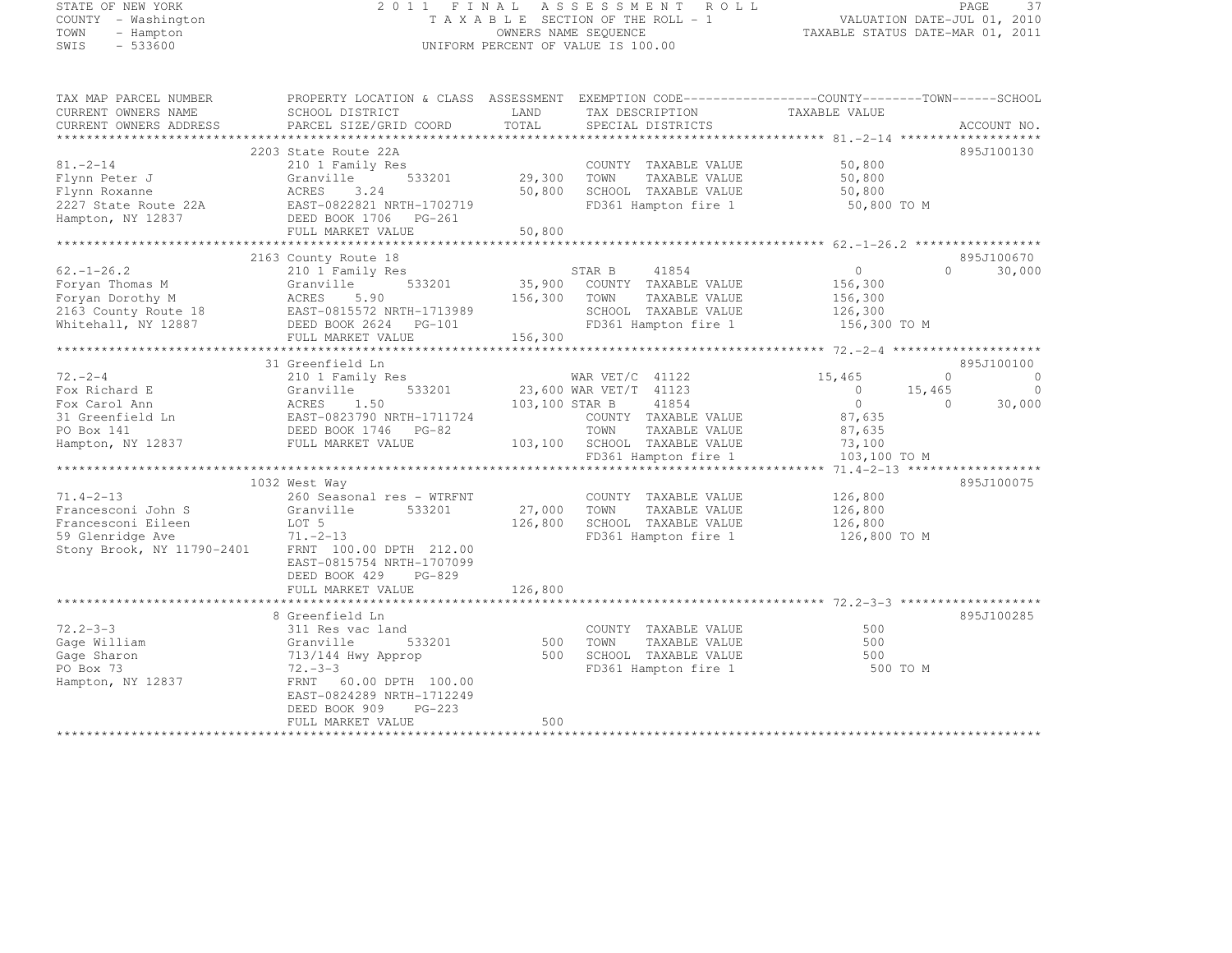# STATE OF NEW YORK 2 0 1 1 F I N A L A S S E S S M E N T R O L L PAGE <sup>37</sup> COUNTY - Washington T A X A B L E SECTION OF THE ROLL - 1 VALUATION DATE-JUL 01, 2010 TOWN - Hampton OWNERS NAME SEQUENCE TAXABLE STATUS DATE-MAR 01, 2011 SWIS - 533600 UNIFORM PERCENT OF VALUE IS 100.00

| TAX MAP PARCEL NUMBER<br>CURRENT OWNERS NAME<br>CURRENT OWNERS ADDRESS                                                                                                                                                  | PROPERTY LOCATION & CLASS ASSESSMENT<br>SCHOOL DISTRICT<br>PARCEL SIZE/GRID COORD                                                                                                                                                                                                                                                           | LAND<br>TOTAL                       | EXEMPTION CODE-----------------COUNTY-------TOWN------SCHOOL<br>TAX DESCRIPTION<br>SPECIAL DISTRICTS                                                                                                                                                         | TAXABLE VALUE                                                                                                                      | ACCOUNT NO.                                                                                  |
|-------------------------------------------------------------------------------------------------------------------------------------------------------------------------------------------------------------------------|---------------------------------------------------------------------------------------------------------------------------------------------------------------------------------------------------------------------------------------------------------------------------------------------------------------------------------------------|-------------------------------------|--------------------------------------------------------------------------------------------------------------------------------------------------------------------------------------------------------------------------------------------------------------|------------------------------------------------------------------------------------------------------------------------------------|----------------------------------------------------------------------------------------------|
| $81 - 2 - 14$<br>Flynn Peter J<br>Flynn Roxanne<br>2227 State Route 22A<br>Hampton, NY 12837                                                                                                                            | 2203 State Route 22A<br>210 1 Family Res<br>533201<br>Granville<br>3.24<br>ACRES<br>EAST-0822821 NRTH-1702719<br>DEED BOOK 1706 PG-261<br>FULL MARKET VALUE                                                                                                                                                                                 | 29,300<br>50,800<br>50,800          | COUNTY TAXABLE VALUE<br>TOWN<br>TAXABLE VALUE<br>SCHOOL TAXABLE VALUE<br>FD361 Hampton fire 1                                                                                                                                                                | 50,800<br>50,800<br>50,800<br>50,800 TO M                                                                                          | 895J100130                                                                                   |
|                                                                                                                                                                                                                         | 2163 County Route 18                                                                                                                                                                                                                                                                                                                        |                                     |                                                                                                                                                                                                                                                              |                                                                                                                                    | 895J100670                                                                                   |
| $62. - 1 - 26.2$<br>Foryan Thomas M<br>Foryan Dorothy M<br>2163 County Route 18<br>Whitehall, NY 12887                                                                                                                  | 210 1 Family Res<br>533201<br>Granville<br>ACRES<br>5.90<br>EAST-0815572 NRTH-1713989<br>DEED BOOK 2624 PG-101<br>FULL MARKET VALUE                                                                                                                                                                                                         | 35,900<br>156,300<br>156,300        | STAR B<br>41854<br>COUNTY TAXABLE VALUE<br>TOWN<br>TAXABLE VALUE<br>SCHOOL TAXABLE VALUE<br>FD361 Hampton fire 1                                                                                                                                             | $\circ$<br>156,300<br>156,300<br>126,300<br>156,300 TO M                                                                           | 30,000<br>$\Omega$                                                                           |
|                                                                                                                                                                                                                         |                                                                                                                                                                                                                                                                                                                                             |                                     |                                                                                                                                                                                                                                                              |                                                                                                                                    |                                                                                              |
| $72. - 2 - 4$<br>Fox Richard E<br>Fox Carol Ann<br>31 Greenfield Ln<br>PO Box 141<br>Hampton, NY 12837<br>$71.4 - 2 - 13$<br>Francesconi John S<br>Francesconi Eileen<br>59 Glenridge Ave<br>Stony Brook, NY 11790-2401 | 31 Greenfield Ln<br>210 1 Family Res<br>Granville<br>533201<br>1.50<br>ACRES<br>EAST-0823790 NRTH-1711724<br>DEED BOOK 1746 PG-82<br>FULL MARKET VALUE<br>1032 West Way<br>260 Seasonal res - WTRFNT<br>Granville<br>533201<br>LOT 5<br>$71. - 2 - 13$<br>FRNT 100.00 DPTH 212.00<br>EAST-0815754 NRTH-1707099<br>DEED BOOK 429<br>$PG-829$ | 103,100 STAR B<br>27,000<br>126,800 | WAR VET/C 41122<br>23,600 WAR VET/T 41123<br>41854<br>COUNTY TAXABLE VALUE<br>TOWN<br>TAXABLE VALUE<br>103,100 SCHOOL TAXABLE VALUE<br>FD361 Hampton fire 1<br>COUNTY TAXABLE VALUE<br>TOWN<br>TAXABLE VALUE<br>SCHOOL TAXABLE VALUE<br>FD361 Hampton fire 1 | 15,465<br>$\overline{0}$<br>$\circ$<br>87,635<br>87,635<br>73,100<br>103,100 TO M<br>126,800<br>126,800<br>126,800<br>126,800 TO M | 895J100100<br>$\Omega$<br>$\Omega$<br>$\Omega$<br>15,465<br>30,000<br>$\Omega$<br>895J100075 |
|                                                                                                                                                                                                                         | FULL MARKET VALUE                                                                                                                                                                                                                                                                                                                           | 126,800                             |                                                                                                                                                                                                                                                              |                                                                                                                                    |                                                                                              |
| $72.2 - 3 - 3$                                                                                                                                                                                                          | 8 Greenfield Ln<br>311 Res vac land                                                                                                                                                                                                                                                                                                         |                                     | COUNTY TAXABLE VALUE                                                                                                                                                                                                                                         | 500                                                                                                                                | 895J100285                                                                                   |
| Gage William<br>Gage Sharon<br>PO Box 73<br>Hampton, NY 12837                                                                                                                                                           | 533201<br>Granville<br>713/144 Hwy Approp<br>$72 - -3 - 3$<br>FRNT 60.00 DPTH 100.00                                                                                                                                                                                                                                                        | 500<br>500                          | TOWN<br>TAXABLE VALUE<br>SCHOOL TAXABLE VALUE<br>FD361 Hampton fire 1                                                                                                                                                                                        | 500<br>500<br>500 TO M                                                                                                             |                                                                                              |
|                                                                                                                                                                                                                         | EAST-0824289 NRTH-1712249<br>DEED BOOK 909<br>$PG-223$<br>FULL MARKET VALUE                                                                                                                                                                                                                                                                 | 500                                 |                                                                                                                                                                                                                                                              |                                                                                                                                    |                                                                                              |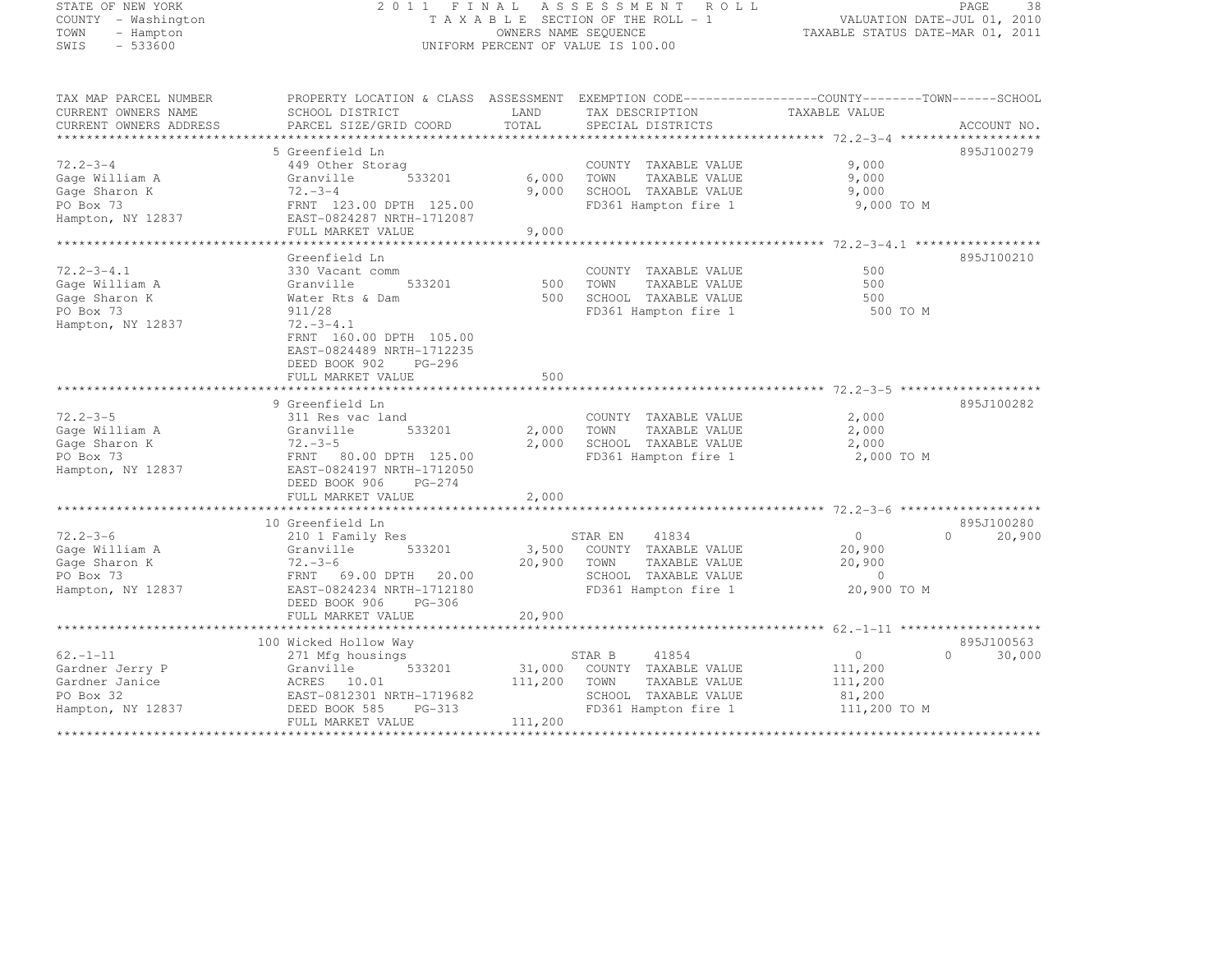|      | ATE OF NEW YORK:  |
|------|-------------------|
|      | UNTY - Washington |
| DМN  | - Hampton         |
| II S | - 533600          |

### STATE OF NEW YORK 2 0 1 1 F I N A L A S S E S S M E N T R O L L PAGE <sup>38</sup> COUNTY - Washington T A X A B L E SECTION OF THE ROLL - 1 VALUATION DATE-JUL 01, 2010 TOWN - Hampton OWNERS NAME SEQUENCE TAXABLE STATUS DATE-MAR 01, 2011 SWIS - 533600 UNIFORM PERCENT OF VALUE IS 100.00

| TAX MAP PARCEL NUMBER           | PROPERTY LOCATION & CLASS ASSESSMENT    |         | EXEMPTION CODE-----------------COUNTY--------TOWN------SCHOOL |                                 |                    |
|---------------------------------|-----------------------------------------|---------|---------------------------------------------------------------|---------------------------------|--------------------|
| CURRENT OWNERS NAME             | SCHOOL DISTRICT                         | LAND    | TAX DESCRIPTION                                               | TAXABLE VALUE                   |                    |
| CURRENT OWNERS ADDRESS          | PARCEL SIZE/GRID COORD                  | TOTAL   | SPECIAL DISTRICTS                                             |                                 | ACCOUNT NO.        |
| ***************************     |                                         |         |                                                               |                                 |                    |
|                                 | 5 Greenfield Ln                         |         |                                                               |                                 | 895J100279         |
| $72.2 - 3 - 4$                  | 449 Other Storag                        |         | COUNTY TAXABLE VALUE                                          | 9,000                           |                    |
| Gage William A                  | Granville<br>533201                     | 6,000   | TOWN<br>TAXABLE VALUE                                         | 9,000                           |                    |
| Gage Sharon K                   | $72. - 3 - 4$                           | 9,000   | SCHOOL TAXABLE VALUE                                          | 9,000                           |                    |
| PO Box 73                       | FRNT 123.00 DPTH 125.00                 |         | FD361 Hampton fire 1                                          | 9,000 TO M                      |                    |
| Hampton, NY 12837               | EAST-0824287 NRTH-1712087               |         |                                                               |                                 |                    |
|                                 | FULL MARKET VALUE                       | 9,000   |                                                               |                                 |                    |
|                                 |                                         |         |                                                               |                                 |                    |
|                                 | Greenfield Ln                           |         |                                                               |                                 | 895J100210         |
| $72.2 - 3 - 4.1$                | 330 Vacant comm                         |         | COUNTY TAXABLE VALUE                                          | 500                             |                    |
| Gage William A                  | Granville<br>533201                     | 500     | TOWN<br>TAXABLE VALUE                                         | 500                             |                    |
| Gage Sharon K                   | Water Rts & Dam                         | 500     | SCHOOL TAXABLE VALUE                                          | 500                             |                    |
| PO Box 73                       | 911/28                                  |         | FD361 Hampton fire 1                                          | 500 TO M                        |                    |
| Hampton, NY 12837               | $72. - 3 - 4.1$                         |         |                                                               |                                 |                    |
|                                 | FRNT 160.00 DPTH 105.00                 |         |                                                               |                                 |                    |
|                                 | EAST-0824489 NRTH-1712235               |         |                                                               |                                 |                    |
|                                 | PG-296<br>DEED BOOK 902                 |         |                                                               |                                 |                    |
|                                 | FULL MARKET VALUE                       | 500     |                                                               |                                 |                    |
|                                 |                                         |         |                                                               |                                 |                    |
|                                 | 9 Greenfield Ln                         |         |                                                               |                                 | 895J100282         |
| $72.2 - 3 - 5$                  | 311 Res vac land                        |         | COUNTY TAXABLE VALUE                                          | 2,000                           |                    |
| Gage William A                  | 533201<br>Granville                     | 2,000   | TOWN<br>TAXABLE VALUE                                         | 2,000                           |                    |
| Gage Sharon K                   | $72. - 3 - 5$                           | 2,000   | SCHOOL TAXABLE VALUE                                          | 2,000                           |                    |
| PO Box 73                       | FRNT<br>80.00 DPTH 125.00               |         | FD361 Hampton fire 1                                          | 2,000 TO M                      |                    |
| Hampton, NY 12837               | EAST-0824197 NRTH-1712050               |         |                                                               |                                 |                    |
|                                 | DEED BOOK 906<br>$PG-274$               |         |                                                               |                                 |                    |
|                                 | FULL MARKET VALUE                       | 2,000   |                                                               |                                 |                    |
|                                 | 10 Greenfield Ln                        |         |                                                               |                                 | 895J100280         |
| $72.2 - 3 - 6$                  |                                         |         |                                                               | $\circ$                         | $\Omega$           |
|                                 | 210 1 Family Res<br>Granville<br>533201 | 3,500   | 41834<br>STAR EN                                              | 20,900                          | 20,900             |
| Gage William A<br>Gage Sharon K | $72. - 3 - 6$                           | 20,900  | COUNTY TAXABLE VALUE<br>TOWN<br>TAXABLE VALUE                 | 20,900                          |                    |
| PO Box 73                       | FRNT<br>20.00                           |         | SCHOOL TAXABLE VALUE                                          | $\circ$                         |                    |
| Hampton, NY 12837               | 69.00 DPTH<br>EAST-0824234 NRTH-1712180 |         | FD361 Hampton fire 1                                          | 20,900 TO M                     |                    |
|                                 | DEED BOOK 906<br>PG-306                 |         |                                                               |                                 |                    |
|                                 | FULL MARKET VALUE                       | 20,900  |                                                               |                                 |                    |
|                                 |                                         |         |                                                               |                                 |                    |
|                                 | 100 Wicked Hollow Way                   |         |                                                               |                                 | 895J100563         |
| $62. - 1 - 11$                  | 271 Mfg housings                        |         | STAR B<br>41854                                               | $\circ$                         | $\Omega$<br>30,000 |
| Gardner Jerry P                 | 533201<br>Granville                     | 31,000  | COUNTY TAXABLE VALUE                                          | 111,200                         |                    |
| Gardner Janice                  | ACRES 10.01                             | 111,200 | TOWN<br>TAXABLE VALUE                                         | 111,200                         |                    |
| PO Box 32                       | EAST-0812301 NRTH-1719682               |         | SCHOOL TAXABLE VALUE                                          | 81,200                          |                    |
| Hampton, NY 12837               | DEED BOOK 585<br>PG-313                 |         | FD361 Hampton fire 1                                          | 111,200 TO M                    |                    |
|                                 | FULL MARKET VALUE                       | 111,200 |                                                               |                                 |                    |
|                                 |                                         |         |                                                               | ******************************* |                    |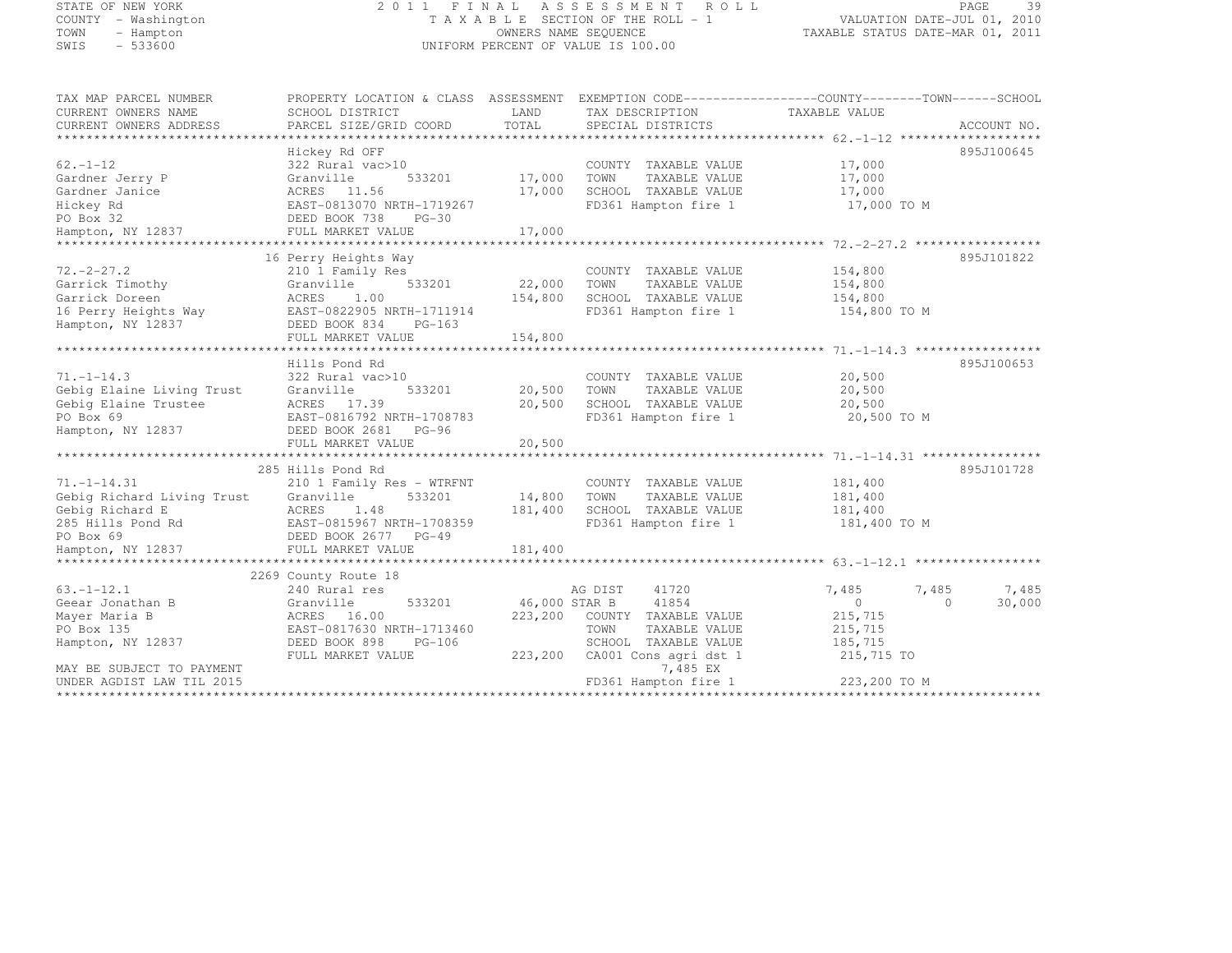# STATE OF NEW YORK 2 0 1 1 F I N A L A S S E S S M E N T R O L L PAGE <sup>39</sup> COUNTY - Washington T A X A B L E SECTION OF THE ROLL - 1 VALUATION DATE-JUL 01, 2010 TOWN - Hampton OWNERS NAME SEQUENCE TAXABLE STATUS DATE-MAR 01, 2011 SWIS - 533600 UNIFORM PERCENT OF VALUE IS 100.00

TAX MAP PARCEL NUMBER PROPERTY LOCATION & CLASS ASSESSMENT EXEMPTION CODE------------------COUNTY--------TOWN------SCHOOL

| CURRENT OWNERS NAME        | SCHOOL DISTRICT           | LAND          | TAX DESCRIPTION       | TAXABLE VALUE |                    |
|----------------------------|---------------------------|---------------|-----------------------|---------------|--------------------|
| CURRENT OWNERS ADDRESS     | PARCEL SIZE/GRID COORD    | TOTAL         | SPECIAL DISTRICTS     |               | ACCOUNT NO.        |
|                            |                           |               |                       |               |                    |
|                            | Hickey Rd OFF             |               |                       |               | 895J100645         |
| $62. - 1 - 12$             | 322 Rural vac>10          |               | COUNTY TAXABLE VALUE  | 17,000        |                    |
| Gardner Jerry P            | Granville<br>533201       | 17,000        | TOWN<br>TAXABLE VALUE | 17,000        |                    |
| Gardner Janice             | ACRES 11.56               | 17,000        | SCHOOL TAXABLE VALUE  | 17,000        |                    |
| Hickey Rd                  | EAST-0813070 NRTH-1719267 |               | FD361 Hampton fire 1  | 17,000 TO M   |                    |
| PO Box 32                  | DEED BOOK 738<br>$PG-30$  |               |                       |               |                    |
| Hampton, NY 12837          | FULL MARKET VALUE         | 17,000        |                       |               |                    |
|                            |                           |               |                       |               |                    |
|                            | 16 Perry Heights Way      |               |                       |               | 895J101822         |
| $72. - 2 - 27.2$           | 210 1 Family Res          |               | COUNTY TAXABLE VALUE  | 154,800       |                    |
| Garrick Timothy            | 533201<br>Granville       | 22,000        | TOWN<br>TAXABLE VALUE | 154,800       |                    |
| Garrick Doreen             | ACRES<br>1.00             | 154,800       | SCHOOL TAXABLE VALUE  | 154,800       |                    |
| 16 Perry Heights Way       | EAST-0822905 NRTH-1711914 |               | FD361 Hampton fire 1  | 154,800 TO M  |                    |
| Hampton, NY 12837          | DEED BOOK 834<br>$PG-163$ |               |                       |               |                    |
|                            | FULL MARKET VALUE         | 154,800       |                       |               |                    |
|                            |                           |               |                       |               |                    |
|                            | Hills Pond Rd             |               |                       |               | 895J100653         |
| $71. - 1 - 14.3$           | 322 Rural vac>10          |               | COUNTY TAXABLE VALUE  | 20,500        |                    |
| Gebig Elaine Living Trust  | Granville<br>533201       | 20,500        | TOWN<br>TAXABLE VALUE | 20,500        |                    |
| Gebig Elaine Trustee       | ACRES 17.39               | 20,500        | SCHOOL TAXABLE VALUE  | 20,500        |                    |
| PO Box 69                  | EAST-0816792 NRTH-1708783 |               | FD361 Hampton fire 1  | 20,500 TO M   |                    |
| Hampton, NY 12837          | DEED BOOK 2681<br>$PG-96$ |               |                       |               |                    |
|                            | FULL MARKET VALUE         | 20,500        |                       |               |                    |
|                            |                           |               |                       |               |                    |
|                            | 285 Hills Pond Rd         |               |                       |               | 895J101728         |
| $71. - 1 - 14.31$          | 210 1 Family Res - WTRFNT |               | COUNTY TAXABLE VALUE  | 181,400       |                    |
| Gebig Richard Living Trust | Granville<br>533201       | 14,800        | TOWN<br>TAXABLE VALUE | 181,400       |                    |
| Gebig Richard E            | ACRES<br>1.48             | 181,400       | SCHOOL TAXABLE VALUE  | 181,400       |                    |
| 285 Hills Pond Rd          | EAST-0815967 NRTH-1708359 |               | FD361 Hampton fire 1  | 181,400 TO M  |                    |
| PO Box 69                  | DEED BOOK 2677<br>$PG-49$ |               |                       |               |                    |
| Hampton, NY 12837          | FULL MARKET VALUE         | 181,400       |                       |               |                    |
|                            |                           |               |                       |               |                    |
|                            | 2269 County Route 18      |               |                       |               |                    |
| $63, -1 - 12, 1$           | 240 Rural res             |               | 41720<br>AG DIST      | 7,485         | 7,485<br>7,485     |
| Geear Jonathan B           | Granville<br>533201       | 46,000 STAR B | 41854                 | $\circ$       | $\Omega$<br>30,000 |
| Mayer Maria B              | 16.00<br>ACRES            | 223,200       | COUNTY TAXABLE VALUE  | 215,715       |                    |
| PO Box 135                 | EAST-0817630 NRTH-1713460 |               | TOWN<br>TAXABLE VALUE | 215,715       |                    |
| Hampton, NY 12837          | DEED BOOK 898<br>$PG-106$ |               | SCHOOL TAXABLE VALUE  | 185,715       |                    |
|                            | FULL MARKET VALUE         | 223,200       | CA001 Cons agri dst 1 | 215,715 TO    |                    |
| MAY BE SUBJECT TO PAYMENT  |                           |               | 7,485 EX              |               |                    |
| UNDER AGDIST LAW TIL 2015  |                           |               | FD361 Hampton fire 1  | 223,200 TO M  |                    |
| **********************     |                           |               |                       |               |                    |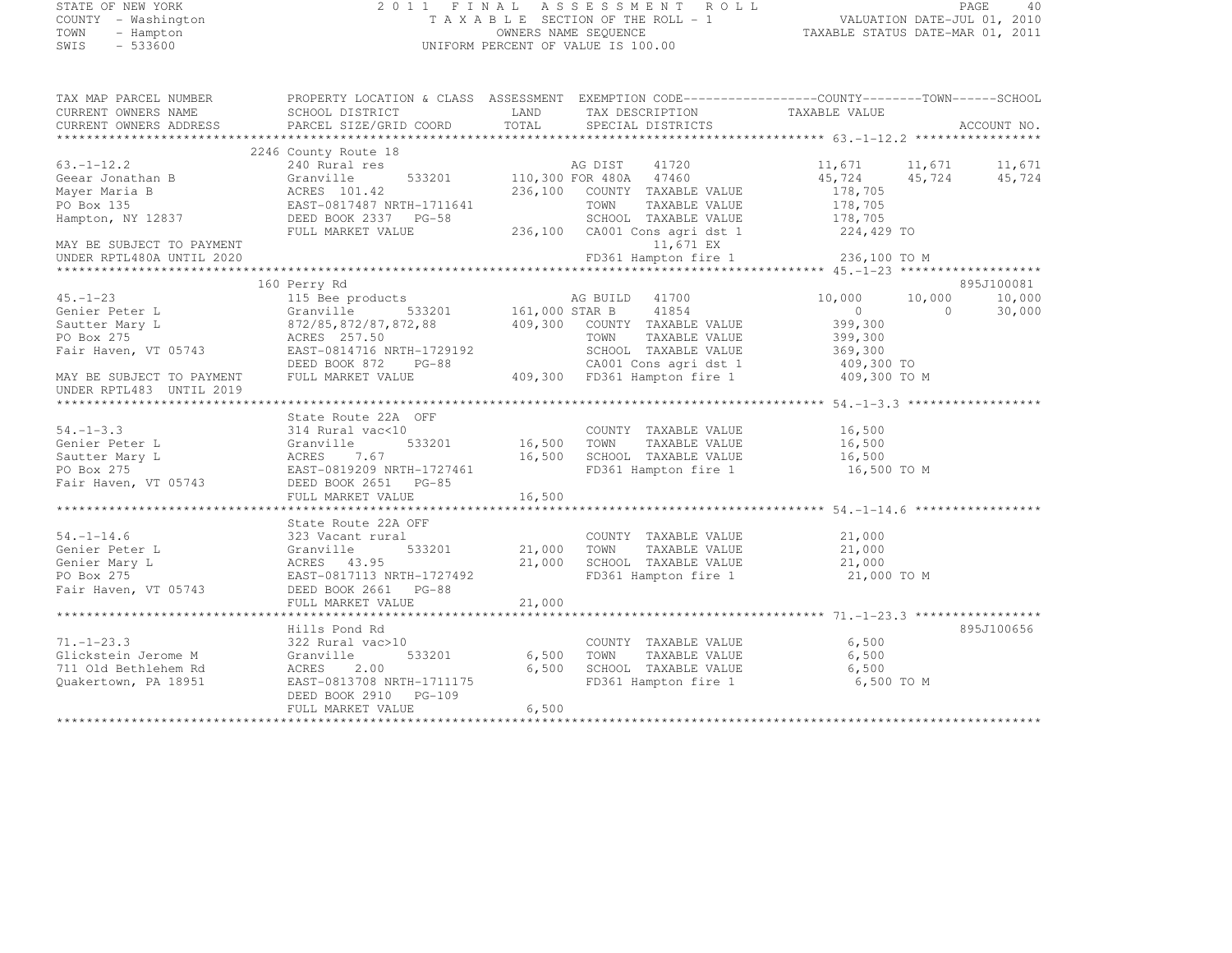# STATE OF NEW YORK 2 0 1 1 F I N A L A S S E S S M E N T R O L L PAGE <sup>40</sup> COUNTY - Washington T A X A B L E SECTION OF THE ROLL - 1 VALUATION DATE-JUL 01, 2010 TOWN - Hampton OWNERS NAME SEQUENCE TAXABLE STATUS DATE-MAR 01, 2011 SWIS - 533600 UNIFORM PERCENT OF VALUE IS 100.00

| TAX MAP PARCEL NUMBER     | PROPERTY LOCATION & CLASS ASSESSMENT EXEMPTION CODE----------------COUNTY-------TOWN-----SCHOOL |                       |                                                                    |                                                   |                          |
|---------------------------|-------------------------------------------------------------------------------------------------|-----------------------|--------------------------------------------------------------------|---------------------------------------------------|--------------------------|
| CURRENT OWNERS NAME       | SCHOOL DISTRICT                                                                                 | LAND                  | TAX DESCRIPTION                                                    | TAXABLE VALUE                                     |                          |
| CURRENT OWNERS ADDRESS    | PARCEL SIZE/GRID COORD                                                                          | TOTAL                 | SPECIAL DISTRICTS                                                  |                                                   | ACCOUNT NO.              |
|                           |                                                                                                 |                       |                                                                    |                                                   |                          |
|                           | 2246 County Route 18                                                                            |                       |                                                                    |                                                   |                          |
| $63. -1 - 12.2$           | 240 Rural res                                                                                   |                       |                                                                    | 11,671 11,671                                     | 11,671                   |
| Geear Jonathan B          | Granville                                                                                       |                       | AG DIST 41720<br>533201 110,300 FOR 480A 47460                     | 45,724 45,724                                     | 45,724                   |
| Mayer Maria B             | ACRES 101.42                                                                                    |                       | 236,100 COUNTY TAXABLE VALUE                                       | 178,705                                           |                          |
| PO Box 135                | EAST-0817487 NRTH-1711641                                                                       |                       | TOWN<br>TAXABLE VALUE                                              | 178,705                                           |                          |
| Hampton, NY 12837         | DEED BOOK 2337 PG-58                                                                            |                       | SCHOOL TAXABLE VALUE                                               | 178,705                                           |                          |
|                           | FULL MARKET VALUE                                                                               |                       | 236,100 CA001 Cons agri dst 1                                      | 224,429 TO                                        |                          |
| MAY BE SUBJECT TO PAYMENT |                                                                                                 |                       | 11,671 EX                                                          |                                                   |                          |
| UNDER RPTL480A UNTIL 2020 |                                                                                                 |                       | FD361 Hampton fire 1 236,100 TO M                                  |                                                   |                          |
|                           |                                                                                                 |                       |                                                                    |                                                   |                          |
|                           | 160 Perry Rd                                                                                    |                       |                                                                    |                                                   | 895J100081               |
| $45. - 1 - 23$            | 115 Bee products                                                                                |                       | AG BUILD 41700                                                     | 10,000<br>10,000                                  | 10,000                   |
| Genier Peter L            | Granville                                                                                       |                       | 41854                                                              | $\overline{0}$                                    | $\overline{0}$<br>30,000 |
| Sautter Mary L            | 872/85, 872/87, 872, 88 409, 300 COUNTY TAXABLE VALUE                                           |                       |                                                                    | 399,300                                           |                          |
| PO Box 275                | ACRES 257.50                                                                                    |                       | TOWN<br>TAXABLE VALUE                                              | 399,300                                           |                          |
| Fair Haven, VT 05743      | EAST-0814716 NRTH-1729192                                                                       |                       | SCHOOL TAXABLE VALUE                                               | 369,300                                           |                          |
|                           |                                                                                                 |                       |                                                                    | 409,300 TO                                        |                          |
| MAY BE SUBJECT TO PAYMENT | DEED BOOK 872 PG-88 CA001 Cons agri dst 1<br>FULL MARKET VALUE 409,300 FD361 Hampton fire 1     |                       |                                                                    | 409,300 TO M                                      |                          |
| UNDER RPTL483 UNTIL 2019  |                                                                                                 |                       |                                                                    |                                                   |                          |
|                           |                                                                                                 |                       |                                                                    |                                                   |                          |
|                           | State Route 22A OFF                                                                             |                       |                                                                    |                                                   |                          |
| $54. - 1 - 3.3$           |                                                                                                 |                       |                                                                    |                                                   |                          |
|                           | 314 Rural vac<10                                                                                | COUNI<br>16,500 TOWN  | COUNTY TAXABLE VALUE                                               | 16,500                                            |                          |
| Genier Peter L            | 533201<br>Granville                                                                             |                       | TAXABLE VALUE                                                      | 16,500                                            |                          |
| Sautter Mary L            | ACRES<br>7.67                                                                                   | 16,500                | SCHOOL TAXABLE VALUE<br>FD361 Hampton fire 1                       | 16,500                                            |                          |
| PO Box 275                | EAST-0819209 NRTH-1727461                                                                       |                       |                                                                    | 16,500 TO M                                       |                          |
| Fair Haven, VT 05743      | DEED BOOK 2651 PG-85                                                                            |                       |                                                                    |                                                   |                          |
|                           | FULL MARKET VALUE                                                                               | 16,500<br>*********** |                                                                    | ******************************** 54.-1-14.6 ***** |                          |
|                           |                                                                                                 |                       |                                                                    |                                                   |                          |
|                           | State Route 22A OFF                                                                             |                       |                                                                    |                                                   |                          |
| $54. - 1 - 14.6$          | 323 Vacant rural                                                                                |                       | COUNTY TAXABLE VALUE 21,000                                        |                                                   |                          |
| Genier Peter L            | 533201<br>Granville                                                                             | 21,000 TOWN           | TAXABLE VALUE<br>TOWN      TAXABLE VALUE<br>SCHOOL   TAXABLE VALUE | 21,000                                            |                          |
| Genier Mary L             | ACRES 43.95                                                                                     | 21,000                |                                                                    | 21,000                                            |                          |
| PO Box 275                | EAST-0817113 NRTH-1727492                                                                       |                       | FD361 Hampton fire 1                                               | 21,000 TO M                                       |                          |
| Fair Haven, VT 05743      | DEED BOOK 2661 PG-88                                                                            |                       |                                                                    |                                                   |                          |
|                           | FULL MARKET VALUE                                                                               | 21,000                |                                                                    |                                                   |                          |
|                           |                                                                                                 |                       |                                                                    |                                                   |                          |
|                           | Hills Pond Rd                                                                                   |                       |                                                                    |                                                   | 895J100656               |
| $71. - 1 - 23.3$          | 322 Rural vac>10                                                                                |                       | COUNTY TAXABLE VALUE                                               | 6,500                                             |                          |
| Glickstein Jerome M       | 533201<br>Granville                                                                             | 6,500                 | TAXABLE VALUE<br>TOWN                                              | 6,500                                             |                          |
| 711 Old Bethlehem Rd      | ACRES<br>2.00                                                                                   | 6,500                 | SCHOOL TAXABLE VALUE                                               | 6,500                                             |                          |
| Quakertown, PA 18951      | EAST-0813708 NRTH-1711175                                                                       |                       | FD361 Hampton fire 1                                               | 6,500 TO M                                        |                          |
|                           | DEED BOOK 2910 PG-109                                                                           |                       |                                                                    |                                                   |                          |
|                           | FULL MARKET VALUE                                                                               | 6,500                 |                                                                    |                                                   |                          |
|                           |                                                                                                 |                       |                                                                    |                                                   |                          |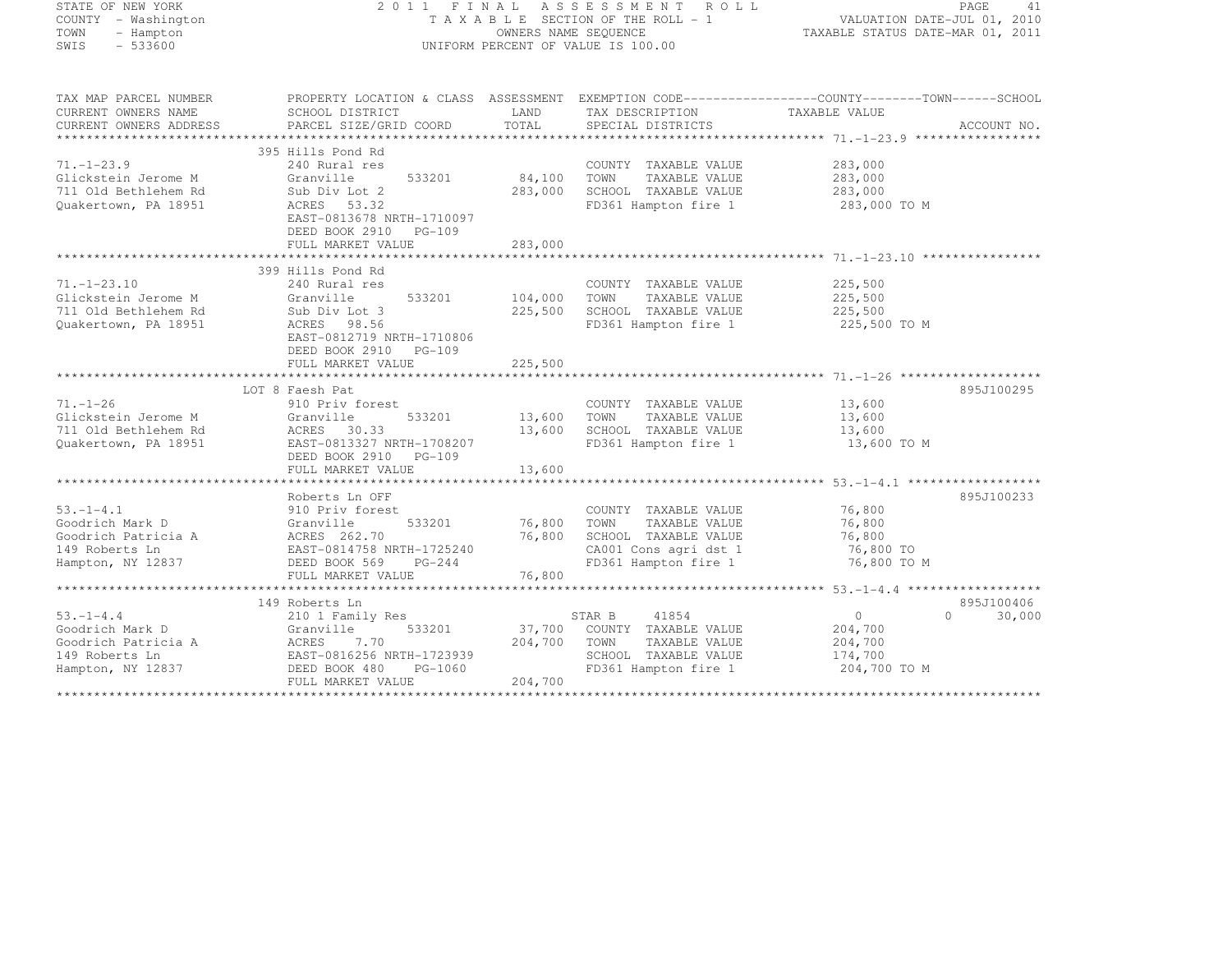| STATE OF NEW YORK<br>COUNTY - Washington<br>TOWN<br>- Hampton<br>SWIS<br>$-533600$ | 2011 FINAL                                            |               | ASSESSMENT ROLL<br>T A X A B L E SECTION OF THE ROLL - 1<br>OWNERS NAME SEQUENCE<br>UNIFORM PERCENT OF VALUE IS 100.00 | PAGE 41<br>VALUATION DATE-JUL 01, 2010<br>TAXABLE STATUS DATE 112 01 |                    |
|------------------------------------------------------------------------------------|-------------------------------------------------------|---------------|------------------------------------------------------------------------------------------------------------------------|----------------------------------------------------------------------|--------------------|
| TAX MAP PARCEL NUMBER                                                              |                                                       |               | PROPERTY LOCATION & CLASS ASSESSMENT EXEMPTION CODE-----------------COUNTY-------TOWN------SCHOOL                      |                                                                      |                    |
| CURRENT OWNERS NAME<br>CURRENT OWNERS ADDRESS                                      | SCHOOL DISTRICT<br>PARCEL SIZE/GRID COORD             | LAND<br>TOTAL | TAX DESCRIPTION<br>SPECIAL DISTRICTS                                                                                   | TAXABLE VALUE                                                        | ACCOUNT NO.        |
|                                                                                    |                                                       |               |                                                                                                                        |                                                                      |                    |
|                                                                                    | 395 Hills Pond Rd                                     |               |                                                                                                                        |                                                                      |                    |
| $71. - 1 - 23.9$                                                                   | 240 Rural res                                         |               | COUNTY TAXABLE VALUE                                                                                                   | 283,000                                                              |                    |
| Glickstein Jerome M                                                                | Granville<br>533201                                   | 84,100        | TOWN<br>TAXABLE VALUE                                                                                                  | 283,000                                                              |                    |
| 711 Old Bethlehem Rd                                                               | Sub Div Lot 2                                         | 283,000       | SCHOOL TAXABLE VALUE                                                                                                   | 283,000                                                              |                    |
| Ouakertown, PA 18951                                                               | ACRES 53.32                                           |               | FD361 Hampton fire 1                                                                                                   | 283,000 TO M                                                         |                    |
|                                                                                    | EAST-0813678 NRTH-1710097                             |               |                                                                                                                        |                                                                      |                    |
|                                                                                    | DEED BOOK 2910 PG-109                                 |               |                                                                                                                        |                                                                      |                    |
|                                                                                    | FULL MARKET VALUE                                     | 283,000       |                                                                                                                        |                                                                      |                    |
|                                                                                    | 399 Hills Pond Rd                                     |               |                                                                                                                        |                                                                      |                    |
| $71. - 1 - 23.10$                                                                  | 240 Rural res                                         |               | COUNTY TAXABLE VALUE                                                                                                   | 225,500                                                              |                    |
| Glickstein Jerome M                                                                | Granville<br>533201                                   | 104,000       | TOWN<br>TAXABLE VALUE                                                                                                  | 225,500                                                              |                    |
| 711 Old Bethlehem Rd                                                               | Sub Div Lot 3                                         | 225,500       | SCHOOL TAXABLE VALUE                                                                                                   | 225,500                                                              |                    |
| Quakertown, PA 18951                                                               | ACRES 98.56                                           |               | FD361 Hampton fire 1                                                                                                   | 225,500 TO M                                                         |                    |
|                                                                                    | EAST-0812719 NRTH-1710806                             |               |                                                                                                                        |                                                                      |                    |
|                                                                                    | DEED BOOK 2910 PG-109                                 |               |                                                                                                                        |                                                                      |                    |
|                                                                                    | FULL MARKET VALUE                                     | 225,500       |                                                                                                                        |                                                                      |                    |
|                                                                                    |                                                       |               |                                                                                                                        |                                                                      |                    |
|                                                                                    | LOT 8 Faesh Pat                                       |               |                                                                                                                        |                                                                      | 895J100295         |
| $71. - 1 - 26$                                                                     | 910 Priv forest                                       |               | COUNTY TAXABLE VALUE                                                                                                   | 13,600                                                               |                    |
| Glickstein Jerome M                                                                | Granville<br>533201                                   | 13,600        | TOWN<br>TAXABLE VALUE                                                                                                  | 13,600                                                               |                    |
| 711 Old Bethlehem Rd                                                               | ACRES 30.33                                           | 13,600        | SCHOOL TAXABLE VALUE                                                                                                   | 13,600                                                               |                    |
| Quakertown, PA 18951                                                               | EAST-0813327 NRTH-1708207<br>DEED BOOK 2910 PG-109    |               | FD361 Hampton fire 1                                                                                                   | 13,600 TO M                                                          |                    |
|                                                                                    | FULL MARKET VALUE                                     | 13,600        |                                                                                                                        |                                                                      |                    |
|                                                                                    |                                                       |               |                                                                                                                        |                                                                      |                    |
|                                                                                    | Roberts Ln OFF                                        |               |                                                                                                                        |                                                                      | 895J100233         |
| $53. - 1 - 4.1$                                                                    | 910 Priv forest                                       |               | COUNTY TAXABLE VALUE                                                                                                   | 76,800                                                               |                    |
| Goodrich Mark D                                                                    | 533201<br>Granville                                   | 76,800        | TOWN<br>TAXABLE VALUE                                                                                                  | 76,800                                                               |                    |
| Goodrich Patricia A                                                                | ACRES 262.70                                          | 76,800        | SCHOOL TAXABLE VALUE                                                                                                   | 76,800                                                               |                    |
| 149 Roberts Ln                                                                     | EAST-0814758 NRTH-1725240                             |               | CA001 Cons agri dst 1                                                                                                  | 76,800 TO                                                            |                    |
| Hampton, NY 12837                                                                  | DEED BOOK 569<br>$PG-244$                             |               | FD361 Hampton fire 1                                                                                                   | 76,800 TO M                                                          |                    |
|                                                                                    | FULL MARKET VALUE                                     | 76,800        |                                                                                                                        |                                                                      |                    |
|                                                                                    |                                                       |               |                                                                                                                        |                                                                      |                    |
|                                                                                    | 149 Roberts Ln                                        |               |                                                                                                                        |                                                                      | 895J100406         |
| $53. -1 - 4.4$                                                                     | 210 1 Family Res                                      |               | 41854<br>STAR B                                                                                                        | $\circ$                                                              | 30,000<br>$\Omega$ |
| Goodrich Mark D                                                                    | Granville<br>533201                                   | 37,700        | COUNTY TAXABLE VALUE                                                                                                   | 204,700                                                              |                    |
| Goodrich Patricia A                                                                | ACRES<br>7.70                                         | 204,700       | TOWN<br>TAXABLE VALUE                                                                                                  | 204,700                                                              |                    |
| 149 Roberts Ln<br>Hampton, NY 12837                                                | EAST-0816256 NRTH-1723939<br>DEED BOOK 480<br>PG-1060 |               | SCHOOL TAXABLE VALUE<br>FD361 Hampton fire 1                                                                           | 174,700<br>204,700 TO M                                              |                    |
|                                                                                    | FULL MARKET VALUE                                     | 204,700       |                                                                                                                        |                                                                      |                    |
|                                                                                    |                                                       |               |                                                                                                                        |                                                                      |                    |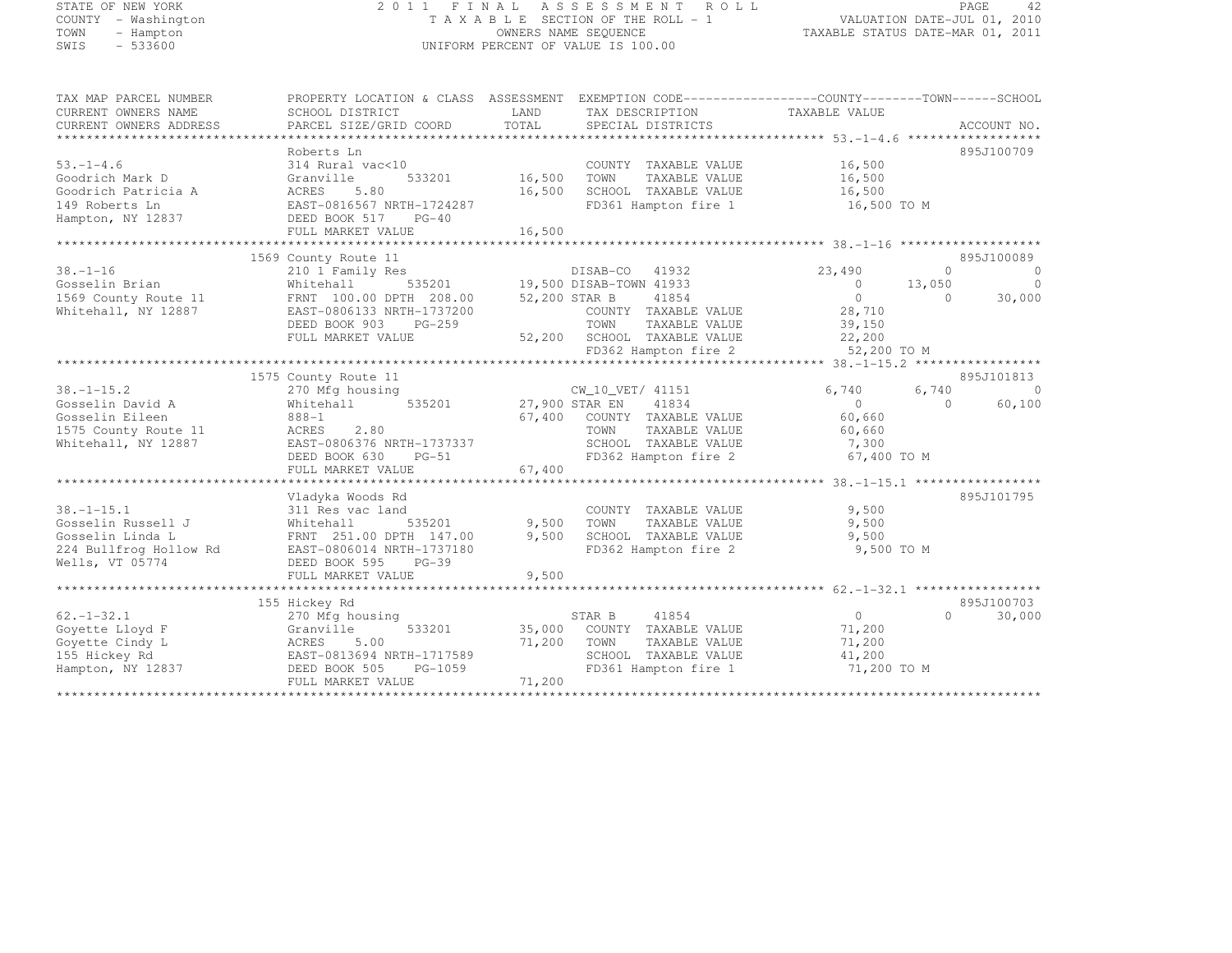#### STATE OF NEW YORK 2 0 1 1 F I N A L A S S E S S M E N T R O L L PAGE <sup>42</sup> COUNTY - Washington T A X A B L E SECTION OF THE ROLL - 1 VALUATION DATE-JUL 01, 2010 TOWN - Hampton OWNERS NAME SEQUENCE TAXABLE STATUS DATE-MAR 01, 2011 SWIS - 533600 UNIFORM PERCENT OF VALUE IS 100.00

| TAX MAP PARCEL NUMBER  |                           | PROPERTY LOCATION & CLASS ASSESSMENT EXEMPTION CODE---------------COUNTY-------TOWN-----SCHOOL |                          |                         |
|------------------------|---------------------------|------------------------------------------------------------------------------------------------|--------------------------|-------------------------|
| CURRENT OWNERS NAME    | SCHOOL DISTRICT           | LAND<br>TAX DESCRIPTION                                                                        | TAXABLE VALUE            |                         |
| CURRENT OWNERS ADDRESS | PARCEL SIZE/GRID COORD    | TOTAL<br>SPECIAL DISTRICTS                                                                     |                          | ACCOUNT NO.             |
|                        |                           |                                                                                                |                          |                         |
|                        | Roberts Ln                |                                                                                                |                          | 895J100709              |
| $53. - 1 - 4.6$        | 314 Rural vac<10          | COUNTY TAXABLE VALUE                                                                           | 16,500                   |                         |
| Goodrich Mark D        | 533201<br>Granville       | 16,500<br>TOWN<br>TAXABLE VALUE                                                                | 16,500                   |                         |
| Goodrich Patricia A    | 5.80<br>ACRES             | 16,500<br>SCHOOL TAXABLE VALUE                                                                 | 16,500                   |                         |
| 149 Roberts Ln         | EAST-0816567 NRTH-1724287 | FD361 Hampton fire 1                                                                           | 16,500 TO M              |                         |
| Hampton, NY 12837      | DEED BOOK 517 PG-40       |                                                                                                |                          |                         |
|                        | FULL MARKET VALUE         | 16,500                                                                                         |                          |                         |
|                        |                           |                                                                                                |                          |                         |
|                        | 1569 County Route 11      |                                                                                                |                          | 895J100089              |
| $38. - 1 - 16$         | 210 1 Family Res          | DISAB-CO<br>41932                                                                              | 23,490                   | $\Omega$<br>$\mathbf 0$ |
| Gosselin Brian         | Whitehall<br>535201       | 19,500 DISAB-TOWN 41933                                                                        | 13,050<br>$\overline{0}$ | $\mathbf 0$             |
| 1569 County Route 11   | FRNT 100.00 DPTH 208.00   | 52,200 STAR B<br>41854                                                                         | $\bigcirc$<br>$\bigcap$  | 30,000                  |
| Whitehall, NY 12887    | EAST-0806133 NRTH-1737200 | COUNTY TAXABLE VALUE                                                                           | 28,710                   |                         |
|                        | DEED BOOK 903<br>$PG-259$ | TOWN<br>TAXABLE VALUE                                                                          | 39,150                   |                         |
|                        | FULL MARKET VALUE         | 52,200 SCHOOL TAXABLE VALUE                                                                    | 22,200                   |                         |
|                        |                           | FD362 Hampton fire 2                                                                           | 52,200 TO M              |                         |
|                        |                           |                                                                                                |                          |                         |
|                        | 1575 County Route 11      |                                                                                                |                          | 895J101813              |
| $38. - 1 - 15.2$       | 270 Mfg housing           | CW_10_VET/ 41151                                                                               | 6,740<br>6,740           | $\Omega$                |
| Gosselin David A       | Whitehall<br>535201       | 27,900 STAR EN<br>41834                                                                        | $\Omega$                 | 60,100<br>$\cap$        |
| Gosselin Eileen        | $888 - 1$                 | 67,400<br>COUNTY TAXABLE VALUE                                                                 | 60,660                   |                         |
| 1575 County Route 11   | ACRES<br>2.80             | TOWN<br>TAXABLE VALUE                                                                          | 60,660                   |                         |
| Whitehall, NY 12887    | EAST-0806376 NRTH-1737337 | SCHOOL TAXABLE VALUE                                                                           | 7,300                    |                         |
|                        | $PG-51$<br>DEED BOOK 630  | FD362 Hampton fire 2                                                                           | 67,400 TO M              |                         |
|                        | FULL MARKET VALUE         | 67,400                                                                                         |                          |                         |
|                        |                           |                                                                                                |                          |                         |
|                        | Vladyka Woods Rd          |                                                                                                |                          | 895J101795              |
| $38. - 1 - 15.1$       | 311 Res vac land          | COUNTY TAXABLE VALUE                                                                           | 9,500                    |                         |
| Gosselin Russell J     | 535201<br>Whitehall       | 9,500<br>TOWN<br>TAXABLE VALUE                                                                 | 9,500                    |                         |
| Gosselin Linda L       | FRNT 251.00 DPTH 147.00   | 9,500<br>SCHOOL TAXABLE VALUE                                                                  | 9,500                    |                         |
| 224 Bullfrog Hollow Rd | EAST-0806014 NRTH-1737180 | FD362 Hampton fire 2                                                                           | 9,500 TO M               |                         |
| Wells, VT 05774        | DEED BOOK 595<br>$PG-39$  |                                                                                                |                          |                         |
|                        | FULL MARKET VALUE         | 9,500                                                                                          |                          |                         |
|                        |                           |                                                                                                |                          |                         |
|                        | 155 Hickey Rd             |                                                                                                |                          | 895J100703              |
| $62, -1 - 32, 1$       | 270 Mfg housing           | 41854<br>STAR B                                                                                | $\circ$                  | 30,000<br>$\cap$        |
| Goyette Lloyd F        | Granville<br>533201       | 35,000<br>COUNTY TAXABLE VALUE                                                                 | 71,200                   |                         |
| Goyette Cindy L        | ACRES<br>5.00             | 71,200<br>TOWN<br>TAXABLE VALUE                                                                | 71,200                   |                         |
| 155 Hickey Rd          | EAST-0813694 NRTH-1717589 | SCHOOL TAXABLE VALUE                                                                           | 41,200                   |                         |
| Hampton, NY 12837      | DEED BOOK 505<br>PG-1059  | FD361 Hampton fire 1                                                                           | 71,200 TO M              |                         |
|                        | FULL MARKET VALUE         | 71,200                                                                                         |                          |                         |
|                        |                           |                                                                                                |                          |                         |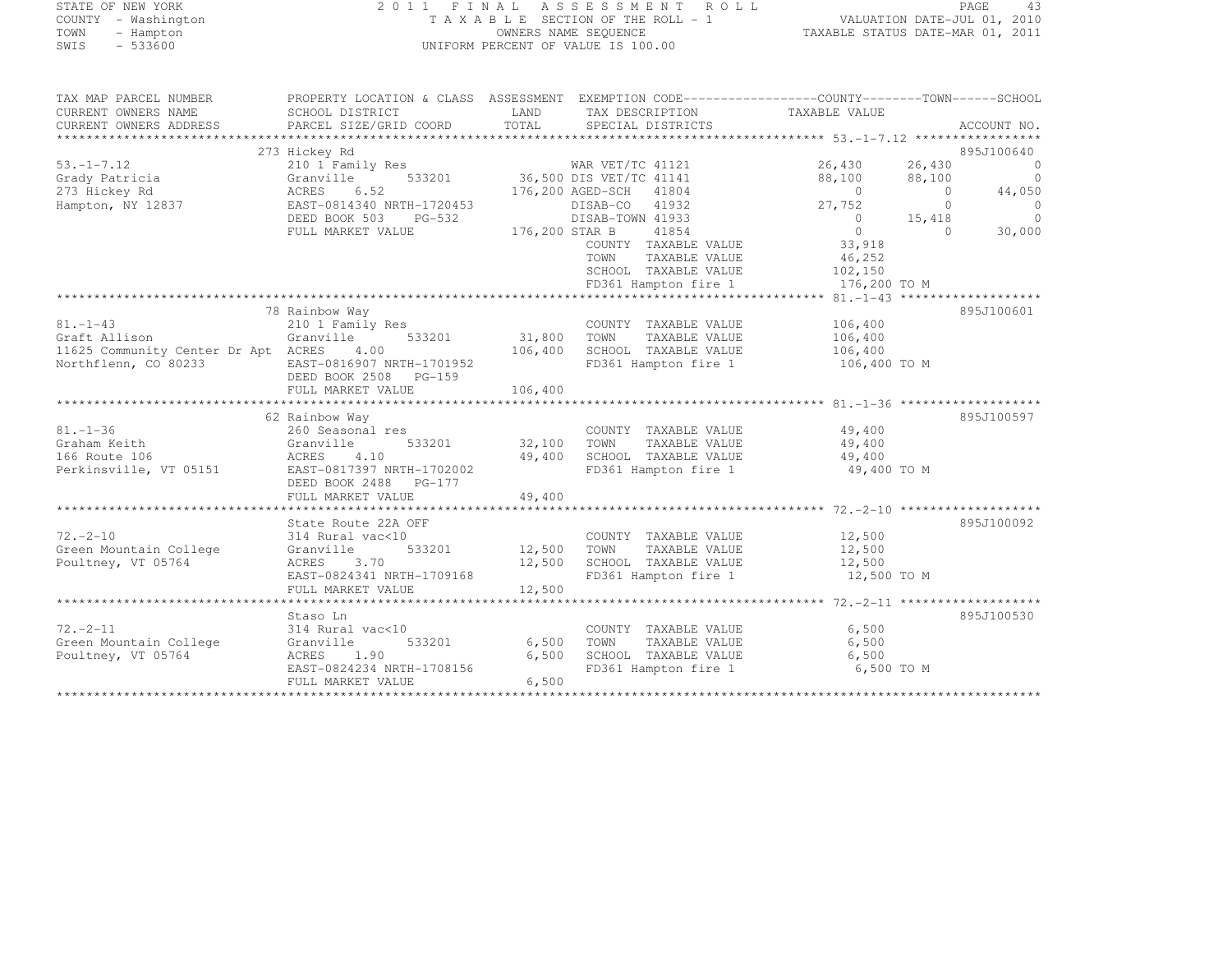| STATE OF NEW YORK |  |                     |  |
|-------------------|--|---------------------|--|
|                   |  | COUNTY - Washington |  |
| TOWN              |  | - Hampton           |  |
| <b>CMTC</b>       |  | $-533600$           |  |

#### STATE OF NEW YORK 2 0 1 1 F I N A L A S S E S S M E N T R O L L PAGE <sup>43</sup> COUNTY - Washington T A X A B L E SECTION OF THE ROLL - 1 VALUATION DATE-JUL 01, 2010 TOWN - Hampton OWNERS NAME SEQUENCE TAXABLE STATUS DATE-MAR 01, 2011 UNIFORM PERCENT OF VALUE IS 100.00

| TAX MAP PARCEL NUMBER<br>CURRENT OWNERS NAME<br>CURRENT OWNERS ADDRESS | PROPERTY LOCATION & CLASS ASSESSMENT EXEMPTION CODE----------------COUNTY-------TOWN-----SCHOOL<br>SCHOOL DISTRICT<br>PARCEL SIZE/GRID COORD | LAND<br>TOTAL        | TAX DESCRIPTION<br>SPECIAL DISTRICTS                   | TAXABLE VALUE    |                  | ACCOUNT NO.               |
|------------------------------------------------------------------------|----------------------------------------------------------------------------------------------------------------------------------------------|----------------------|--------------------------------------------------------|------------------|------------------|---------------------------|
|                                                                        | 273 Hickey Rd                                                                                                                                |                      |                                                        |                  |                  | 895J100640                |
| $53. - 1 - 7.12$                                                       |                                                                                                                                              |                      |                                                        |                  |                  |                           |
| Grady Patricia                                                         | 210 1 Family Res<br>Granville                                                                                                                |                      | Res WAR VET/TC 41121<br>533201 36,500 DIS VET/TC 41141 | 26,430<br>88,100 | 26,430<br>88,100 | $\overline{0}$<br>$\circ$ |
| 273 Hickey Rd                                                          | ACRES<br>6.52                                                                                                                                |                      | 176,200 AGED-SCH 41804                                 | $\overline{0}$   | $\overline{0}$   | 44,050                    |
| Hampton, NY 12837                                                      | EAST-0814340 NRTH-1720453                                                                                                                    |                      | DISAB-CO<br>41932                                      | 27,752           | $\bigcirc$       | $\circ$                   |
|                                                                        | DEED BOOK 503<br>PG-532                                                                                                                      |                      | DISAB-TOWN 41933                                       | $\overline{0}$   | 15,418           | $\circ$                   |
|                                                                        | FULL MARKET VALUE                                                                                                                            | 176,200 STAR B       | 41854                                                  | $\overline{0}$   | $\Omega$         | 30,000                    |
|                                                                        |                                                                                                                                              |                      | COUNTY TAXABLE VALUE                                   | 33,918           |                  |                           |
|                                                                        |                                                                                                                                              |                      | TAXABLE VALUE<br>TOWN                                  | 46,252           |                  |                           |
|                                                                        |                                                                                                                                              |                      | SCHOOL TAXABLE VALUE                                   | 102,150          |                  |                           |
|                                                                        |                                                                                                                                              |                      | FD361 Hampton fire 1                                   | 176,200 TO M     |                  |                           |
|                                                                        |                                                                                                                                              |                      |                                                        |                  |                  |                           |
|                                                                        | 78 Rainbow Way                                                                                                                               |                      |                                                        |                  |                  | 895J100601                |
| $81. - 1 - 43$                                                         | 210 1 Family Res                                                                                                                             |                      | COUNTY TAXABLE VALUE                                   | 106,400          |                  |                           |
| Graft Allison                                                          | Granville<br>533201                                                                                                                          | 31,800               | TOWN<br>TAXABLE VALUE                                  | 106,400          |                  |                           |
| 11625 Community Center Dr Apt ACRES                                    | 4.00                                                                                                                                         | 106,400              | SCHOOL TAXABLE VALUE                                   | 106,400          |                  |                           |
| Northflenn, CO 80233                                                   | EAST-0816907 NRTH-1701952                                                                                                                    |                      | FD361 Hampton fire 1                                   | 106,400 TO M     |                  |                           |
|                                                                        | DEED BOOK 2508 PG-159                                                                                                                        |                      |                                                        |                  |                  |                           |
|                                                                        | FULL MARKET VALUE                                                                                                                            | 106,400              |                                                        |                  |                  |                           |
|                                                                        |                                                                                                                                              |                      |                                                        |                  |                  |                           |
|                                                                        | 62 Rainbow Way                                                                                                                               |                      |                                                        |                  |                  | 895J100597                |
| $81. - 1 - 36$                                                         | 260 Seasonal res                                                                                                                             |                      | COUNTY TAXABLE VALUE                                   | 49,400           |                  |                           |
| Graham Keith                                                           | 533201<br>Granville                                                                                                                          | COUNT<br>32,100 TOWN | TAXABLE VALUE                                          | 49,400           |                  |                           |
| 166 Route 106                                                          | ACRES<br>4.10                                                                                                                                | 49,400               | SCHOOL TAXABLE VALUE                                   | 49,400           |                  |                           |
| Perkinsville, VT 05151                                                 | EAST-0817397 NRTH-1702002                                                                                                                    |                      | FD361 Hampton fire 1                                   | 49,400 TO M      |                  |                           |
|                                                                        | DEED BOOK 2488 PG-177                                                                                                                        |                      |                                                        |                  |                  |                           |
|                                                                        | FULL MARKET VALUE                                                                                                                            | 49,400               |                                                        |                  |                  |                           |
|                                                                        |                                                                                                                                              |                      |                                                        |                  |                  |                           |
|                                                                        | State Route 22A OFF                                                                                                                          |                      |                                                        |                  |                  | 895J100092                |
| $72. - 2 - 10$                                                         | 314 Rural vac<10                                                                                                                             |                      | COUNTY TAXABLE VALUE                                   | 12,500           |                  |                           |
| Green Mountain College                                                 | Granville<br>533201                                                                                                                          | 12,500 TOWN          | TAXABLE VALUE                                          | 12,500           |                  |                           |
| Poultney, VT 05764                                                     | ACRES<br>3.70                                                                                                                                | 12,500               | SCHOOL TAXABLE VALUE                                   | 12,500           |                  |                           |
|                                                                        | EAST-0824341 NRTH-1709168                                                                                                                    |                      | FD361 Hampton fire 1                                   | 12,500 TO M      |                  |                           |
|                                                                        | FULL MARKET VALUE                                                                                                                            | 12,500               |                                                        |                  |                  |                           |
|                                                                        |                                                                                                                                              |                      |                                                        |                  |                  |                           |
|                                                                        | Staso Ln                                                                                                                                     |                      |                                                        |                  |                  | 895J100530                |
| $72. - 2 - 11$                                                         | 314 Rural vac<10                                                                                                                             |                      | COUNTY TAXABLE VALUE                                   | 6,500            |                  |                           |
| Green Mountain College                                                 | Granville<br>533201                                                                                                                          | 6,500                | TOWN<br>TAXABLE VALUE                                  | 6,500            |                  |                           |
| Poultney, VT 05764                                                     | ACRES 1.90                                                                                                                                   | 6,500                | SCHOOL TAXABLE VALUE<br>FD361 Hampton fire 1           | 6,500            |                  |                           |
|                                                                        | EAST-0824234 NRTH-1708156                                                                                                                    |                      |                                                        | 6,500 TO M       |                  |                           |
|                                                                        | FULL MARKET VALUE                                                                                                                            | 6,500                |                                                        |                  |                  |                           |
|                                                                        |                                                                                                                                              |                      |                                                        |                  |                  |                           |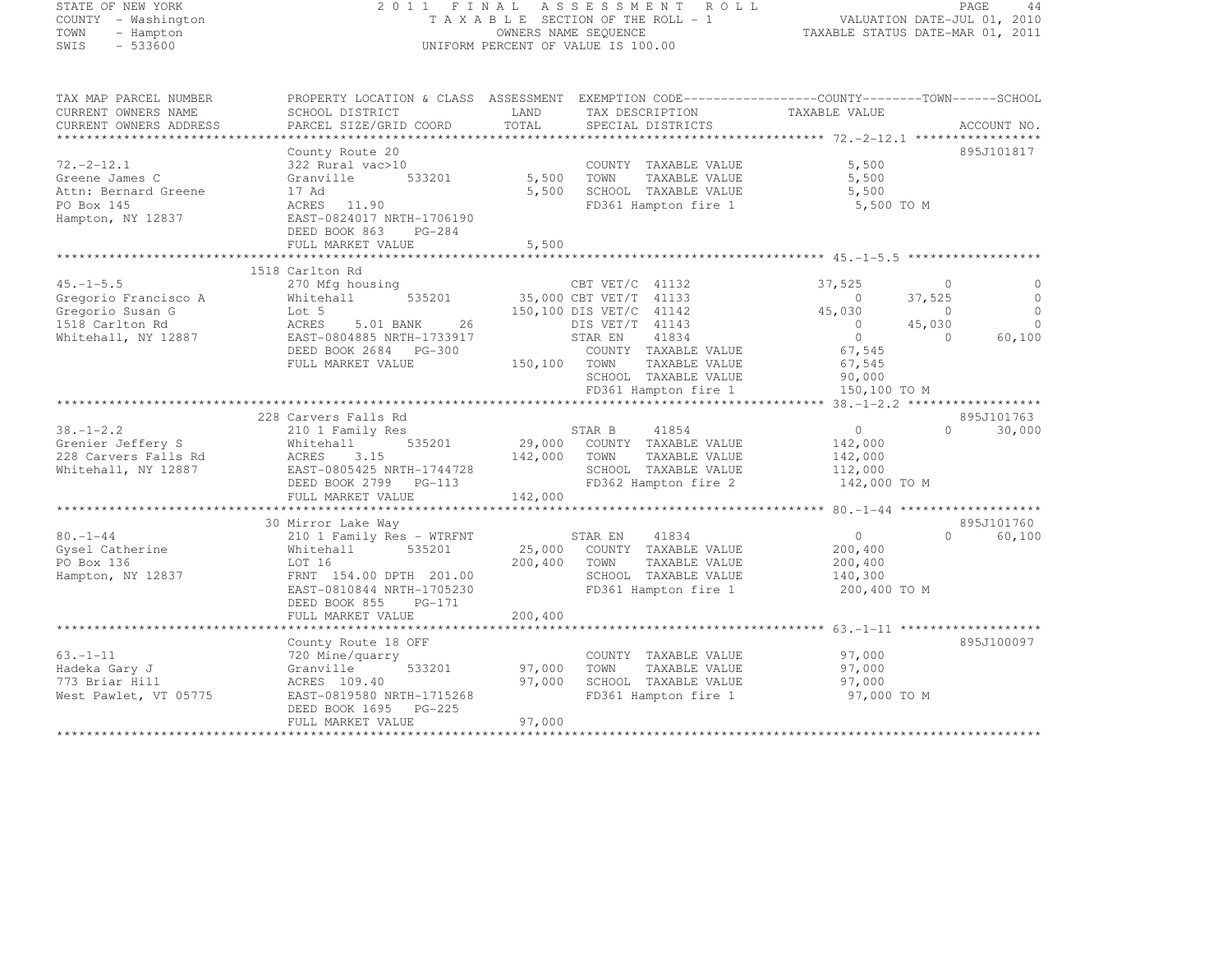| STATE OF NEW YORK<br>COUNTY - Washington<br>TOWN<br>- Hampton<br>$-533600$<br>SWIS | 2011 FINAL                                      |         | A S S E S S M E N T<br>ROLL<br>TAXABLE SECTION OF THE ROLL - 1<br>OWNERS NAME SEQUENCE<br>UNIFORM PERCENT OF VALUE IS 100.00 | TAXABLE STATUS DATE-MAR 01, 2011 | VALUATION DATE-JUL 01, 2010 | PAGE<br>44  |
|------------------------------------------------------------------------------------|-------------------------------------------------|---------|------------------------------------------------------------------------------------------------------------------------------|----------------------------------|-----------------------------|-------------|
| TAX MAP PARCEL NUMBER<br>CURRENT OWNERS NAME                                       | SCHOOL DISTRICT                                 | LAND    | PROPERTY LOCATION & CLASS ASSESSMENT EXEMPTION CODE-----------------COUNTY-------TOWN-----SCHOOL<br>TAX DESCRIPTION          | TAXABLE VALUE                    |                             |             |
| CURRENT OWNERS ADDRESS                                                             | PARCEL SIZE/GRID COORD                          | TOTAL   | SPECIAL DISTRICTS                                                                                                            |                                  |                             | ACCOUNT NO. |
| ***********************                                                            |                                                 |         |                                                                                                                              |                                  |                             |             |
|                                                                                    | County Route 20                                 |         |                                                                                                                              |                                  |                             | 895J101817  |
| $72. -2 - 12.1$                                                                    | 322 Rural vac>10                                |         | COUNTY TAXABLE VALUE                                                                                                         | 5,500                            |                             |             |
| Greene James C                                                                     | 533201<br>Granville                             | 5,500   | TOWN<br>TAXABLE VALUE                                                                                                        | 5,500                            |                             |             |
| Attn: Bernard Greene                                                               | 17 Ad                                           | 5,500   | SCHOOL TAXABLE VALUE                                                                                                         | 5,500                            |                             |             |
| PO Box 145<br>Hampton, NY 12837                                                    | ACRES 11.90<br>EAST-0824017 NRTH-1706190        |         | FD361 Hampton fire 1                                                                                                         | 5,500 TO M                       |                             |             |
|                                                                                    | DEED BOOK 863<br>PG-284                         |         |                                                                                                                              |                                  |                             |             |
|                                                                                    | FULL MARKET VALUE                               | 5,500   |                                                                                                                              |                                  |                             |             |
|                                                                                    |                                                 |         |                                                                                                                              |                                  |                             |             |
|                                                                                    | 1518 Carlton Rd                                 |         |                                                                                                                              |                                  |                             |             |
| $45. -1 - 5.5$                                                                     | 270 Mfg housing                                 |         | CBT VET/C 41132                                                                                                              | 37,525                           | $\overline{0}$              | $\circ$     |
| Gregorio Francisco A                                                               | 535201<br>Whitehall                             |         | 35,000 CBT VET/T 41133                                                                                                       | $\overline{0}$                   | 37,525                      | $\Omega$    |
| Gregorio Susan G                                                                   | Lot 5                                           |         | 150,100 DIS VET/C 41142                                                                                                      | 45,030                           | $\bigcirc$                  | $\Omega$    |
| 1518 Carlton Rd                                                                    | ACRES<br>5.01 BANK<br>26                        |         | DIS VET/T 41143                                                                                                              | $\bigcirc$                       | 45,030                      | $\Omega$    |
| Whitehall, NY 12887                                                                | EAST-0804885 NRTH-1733917                       |         | STAR EN<br>41834                                                                                                             | $\circ$                          | $\Omega$                    | 60,100      |
|                                                                                    | DEED BOOK 2684<br>PG-300<br>FULL MARKET VALUE   | 150,100 | COUNTY TAXABLE VALUE<br>TAXABLE VALUE<br>TOWN                                                                                | 67,545<br>67,545                 |                             |             |
|                                                                                    |                                                 |         | SCHOOL TAXABLE VALUE                                                                                                         | 90,000                           |                             |             |
|                                                                                    |                                                 |         | FD361 Hampton fire 1                                                                                                         | 150,100 TO M                     |                             |             |
|                                                                                    |                                                 |         |                                                                                                                              |                                  |                             |             |
|                                                                                    | 228 Carvers Falls Rd                            |         |                                                                                                                              |                                  |                             | 895J101763  |
| $38. - 1 - 2.2$                                                                    | 210 1 Family Res                                |         | 41854<br>STAR B                                                                                                              | $\circ$                          | $\Omega$                    | 30,000      |
| Grenier Jeffery S                                                                  | 535201<br>Whitehall                             | 29,000  | COUNTY TAXABLE VALUE                                                                                                         | 142,000                          |                             |             |
| 228 Carvers Falls Rd                                                               | ACRES<br>3.15                                   | 142,000 | TOWN<br>TAXABLE VALUE                                                                                                        | 142,000                          |                             |             |
| Whitehall, NY 12887                                                                | EAST-0805425 NRTH-1744728                       |         | SCHOOL TAXABLE VALUE                                                                                                         | 112,000                          |                             |             |
|                                                                                    | DEED BOOK 2799<br>PG-113                        |         | FD362 Hampton fire 2                                                                                                         | 142,000 TO M                     |                             |             |
|                                                                                    | FULL MARKET VALUE                               | 142,000 |                                                                                                                              |                                  |                             |             |
|                                                                                    | 30 Mirror Lake Way                              |         |                                                                                                                              |                                  |                             | 895J101760  |
| $80. - 1 - 44$                                                                     | 210 1 Family Res - WTRFNT                       |         | STAR EN<br>41834                                                                                                             | $\overline{0}$                   | $\Omega$                    | 60,100      |
| Gysel Catherine                                                                    | 535201<br>Whitehall                             | 25,000  | COUNTY TAXABLE VALUE                                                                                                         | 200,400                          |                             |             |
| PO Box 136                                                                         | LOT 16                                          | 200,400 | TOWN<br>TAXABLE VALUE                                                                                                        | 200,400                          |                             |             |
| Hampton, NY 12837                                                                  | FRNT 154.00 DPTH 201.00                         |         | SCHOOL TAXABLE VALUE                                                                                                         | 140,300                          |                             |             |
|                                                                                    | EAST-0810844 NRTH-1705230                       |         | FD361 Hampton fire 1                                                                                                         | 200,400 TO M                     |                             |             |
|                                                                                    | DEED BOOK 855<br>PG-171                         |         |                                                                                                                              |                                  |                             |             |
|                                                                                    | FULL MARKET VALUE                               | 200,400 |                                                                                                                              |                                  |                             |             |
|                                                                                    | *********************                           |         |                                                                                                                              |                                  |                             |             |
|                                                                                    | County Route 18 OFF                             |         |                                                                                                                              |                                  |                             | 895J100097  |
| $63. - 1 - 11$                                                                     | 720 Mine/quarry<br>533201<br>Granville          | 97,000  | COUNTY TAXABLE VALUE<br>TOWN<br>TAXABLE VALUE                                                                                | 97,000<br>97,000                 |                             |             |
| Hadeka Gary J<br>773 Briar Hill                                                    | ACRES 109.40                                    | 97,000  | SCHOOL TAXABLE VALUE                                                                                                         | 97,000                           |                             |             |
| West Pawlet, VT 05775                                                              | EAST-0819580 NRTH-1715268                       |         | FD361 Hampton fire 1                                                                                                         | 97,000 TO M                      |                             |             |
|                                                                                    | DEED BOOK 1695<br>$PG-225$<br>FULL MARKET VALUE | 97,000  |                                                                                                                              |                                  |                             |             |
|                                                                                    | ********************                            | ******  |                                                                                                                              |                                  |                             |             |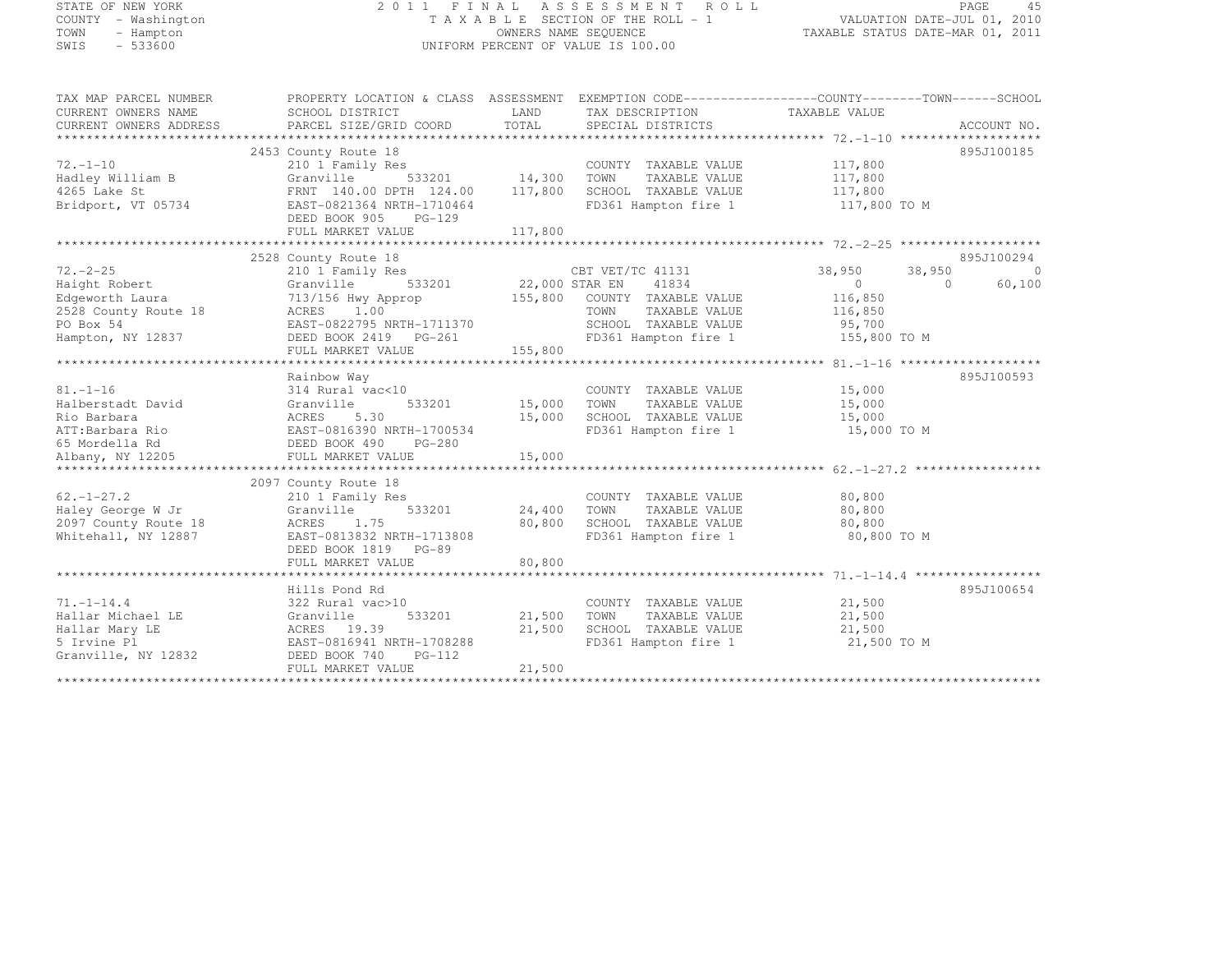# STATE OF NEW YORK 2 0 1 1 F I N A L A S S E S S M E N T R O L L PAGE <sup>45</sup> COUNTY - Washington T A X A B L E SECTION OF THE ROLL - 1 VALUATION DATE-JUL 01, 2010 TOWN - Hampton OWNERS NAME SEQUENCE TAXABLE STATUS DATE-MAR 01, 2011 SWIS - 533600 UNIFORM PERCENT OF VALUE IS 100.00

| TAX MAP PARCEL NUMBER             | PROPERTY LOCATION & CLASS ASSESSMENT EXEMPTION CODE---------------COUNTY-------TOWN-----SCHOOL                                                                                                                                           |        |                                                                                                                              |                      |            |
|-----------------------------------|------------------------------------------------------------------------------------------------------------------------------------------------------------------------------------------------------------------------------------------|--------|------------------------------------------------------------------------------------------------------------------------------|----------------------|------------|
|                                   |                                                                                                                                                                                                                                          |        |                                                                                                                              |                      |            |
|                                   |                                                                                                                                                                                                                                          |        |                                                                                                                              |                      |            |
|                                   |                                                                                                                                                                                                                                          |        |                                                                                                                              |                      |            |
|                                   | 2453 County Route 18                                                                                                                                                                                                                     |        |                                                                                                                              |                      | 895J100185 |
| $72. - 1 - 10$                    |                                                                                                                                                                                                                                          |        | COUNTY TAXABLE VALUE 117,800                                                                                                 |                      |            |
| Hadley William B                  |                                                                                                                                                                                                                                          |        | TAXABLE VALUE 117,800                                                                                                        |                      |            |
|                                   |                                                                                                                                                                                                                                          |        |                                                                                                                              |                      |            |
| 4265 Lake St                      | FRNT 140.00 DPTH 124.00 117,800 SCHOOL TAXABLE VALUE 117,800 117,800<br>EAST-0821364 NRTH-1710464 FD361 Hampton fire 1 117.800                                                                                                           |        |                                                                                                                              |                      |            |
| Bridport, VT 05734                | EAST-0821364 NRTH-1710464                                                                                                                                                                                                                |        | FD361 Hampton fire 1                                                                                                         | 117,800 TO M         |            |
|                                   | DEED BOOK 905 PG-129                                                                                                                                                                                                                     |        |                                                                                                                              |                      |            |
|                                   |                                                                                                                                                                                                                                          |        |                                                                                                                              |                      |            |
|                                   |                                                                                                                                                                                                                                          |        |                                                                                                                              |                      |            |
|                                   | 2528 County Route 18                                                                                                                                                                                                                     |        |                                                                                                                              |                      | 895J100294 |
|                                   |                                                                                                                                                                                                                                          |        |                                                                                                                              |                      | 0          |
|                                   |                                                                                                                                                                                                                                          |        |                                                                                                                              |                      | 60,100     |
|                                   |                                                                                                                                                                                                                                          |        |                                                                                                                              |                      |            |
|                                   | 72.-2-25<br>Haight Robert 210 1 Family Res<br>Edgeworth Laura 713/156 Hwy Approp 155,800 COUNTY TAXABLE VALUE<br>2528 County Route 18 202.000 STAR EN 41834<br>2528 County Route 18 22.000 STAR EN 41834<br>2528 County Route 18 202.000 |        |                                                                                                                              |                      |            |
|                                   |                                                                                                                                                                                                                                          |        |                                                                                                                              |                      |            |
|                                   |                                                                                                                                                                                                                                          |        |                                                                                                                              |                      |            |
|                                   |                                                                                                                                                                                                                                          |        |                                                                                                                              |                      |            |
|                                   |                                                                                                                                                                                                                                          |        |                                                                                                                              |                      |            |
|                                   | Rainbow Way                                                                                                                                                                                                                              |        |                                                                                                                              |                      | 895J100593 |
| $81. - 1 - 16$                    | 314 Rural vac<10                                                                                                                                                                                                                         |        | COUNTY TAXABLE VALUE 15,000                                                                                                  |                      |            |
|                                   | 533201 15,000 TOWN                                                                                                                                                                                                                       |        |                                                                                                                              | TAXABLE VALUE 15,000 |            |
|                                   |                                                                                                                                                                                                                                          |        |                                                                                                                              |                      |            |
|                                   |                                                                                                                                                                                                                                          |        | 15,000 SCHOOL TAXABLE VALUE 15,000<br>FD361 Hampton fire 1 15,000 TO M                                                       |                      |            |
| 65 Mordella Rd CONDEED BOOK 490   | PG-280                                                                                                                                                                                                                                   |        |                                                                                                                              |                      |            |
| Albany, NY 12205                  | FULL MARKET VALUE                                                                                                                                                                                                                        | 15,000 |                                                                                                                              |                      |            |
|                                   |                                                                                                                                                                                                                                          |        |                                                                                                                              |                      |            |
|                                   | 2097 County Route 18                                                                                                                                                                                                                     |        |                                                                                                                              |                      |            |
|                                   |                                                                                                                                                                                                                                          |        | COUNTY TAXABLE VALUE                                                                                                         |                      |            |
|                                   |                                                                                                                                                                                                                                          |        |                                                                                                                              | 80,800<br>80,800     |            |
|                                   |                                                                                                                                                                                                                                          |        |                                                                                                                              |                      |            |
|                                   |                                                                                                                                                                                                                                          |        |                                                                                                                              |                      |            |
|                                   | DEED BOOK 1819 PG-89                                                                                                                                                                                                                     |        | FD361 Hampton fire 1 80,800 TO M                                                                                             |                      |            |
|                                   |                                                                                                                                                                                                                                          |        |                                                                                                                              |                      |            |
|                                   | FULL MARKET VALUE                                                                                                                                                                                                                        | 80,800 |                                                                                                                              |                      |            |
|                                   |                                                                                                                                                                                                                                          |        |                                                                                                                              |                      |            |
|                                   | Hills Pond Rd                                                                                                                                                                                                                            |        |                                                                                                                              |                      | 895J100654 |
| $71. - 1 - 14.4$                  | 322 Rural vac>10                                                                                                                                                                                                                         |        | COUNTY TAXABLE VALUE 21,500                                                                                                  |                      |            |
|                                   |                                                                                                                                                                                                                                          |        | 533201 21,500 TOWN TAXABLE VALUE 21,500<br>21,500 SCHOOL TAXABLE VALUE 21,500<br>TH-1708288 FD361 Hampton fire 1 21,500 TO M |                      |            |
|                                   | ACRES 19.39                                                                                                                                                                                                                              |        |                                                                                                                              |                      |            |
|                                   |                                                                                                                                                                                                                                          |        |                                                                                                                              |                      |            |
| Granville, NY 12832 DEED BOOK 740 | PG-112                                                                                                                                                                                                                                   |        |                                                                                                                              |                      |            |
|                                   | FULL MARKET VALUE                                                                                                                                                                                                                        | 21,500 |                                                                                                                              |                      |            |
|                                   |                                                                                                                                                                                                                                          |        |                                                                                                                              |                      |            |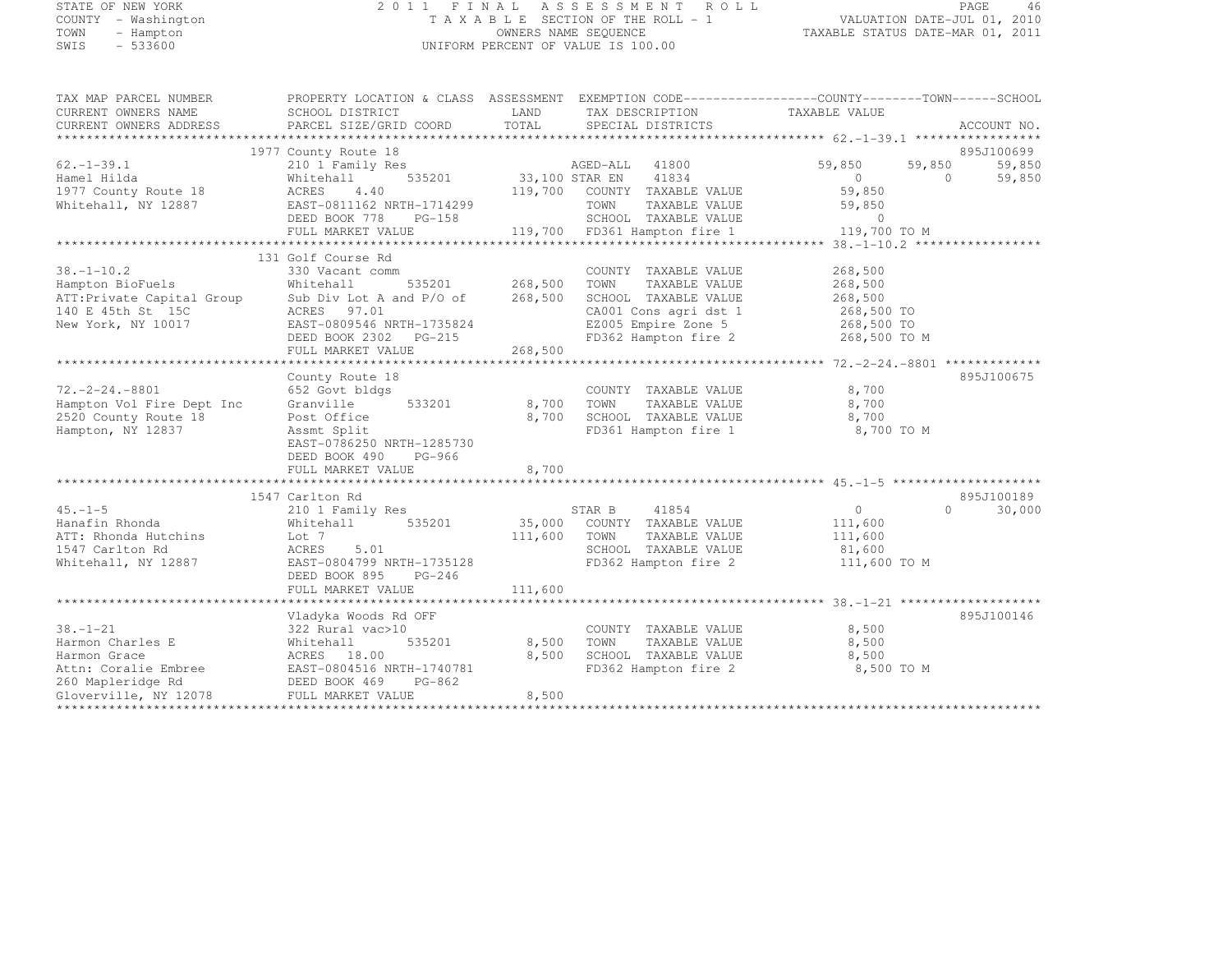# STATE OF NEW YORK 2 0 1 1 F I N A L A S S E S S M E N T R O L L PAGE <sup>46</sup> COUNTY - Washington T A X A B L E SECTION OF THE ROLL - 1 VALUATION DATE-JUL 01, 2010 TOWN - Hampton OWNERS NAME SEQUENCE TAXABLE STATUS DATE-MAR 01, 2011 SWIS - 533600 UNIFORM PERCENT OF VALUE IS 100.00

| TAX MAP PARCEL NUMBER<br>CURRENT OWNERS NAME<br>CURRENT OWNERS ADDRESS                                                                                                                                               | PROPERTY LOCATION & CLASS ASSESSMENT EXEMPTION CODE----------------COUNTY-------TOWN-----SCHOOL<br>SCHOOL DISTRICT<br>PARCEL SIZE/GRID COORD TOTAL SPECIAL DISTRICTS | <b>EXAMPLE SERVICE SERVICE SERVICE SERVICE SERVICE SERVICE SERVICE SERVICE SERVICE SERVICE SERVICE SERVICE SERVICE</b> | TAX DESCRIPTION TAXABLE VALUE<br>SPECIAL DISTRICTS                 |                                                           | ACCOUNT NO.                       |
|----------------------------------------------------------------------------------------------------------------------------------------------------------------------------------------------------------------------|----------------------------------------------------------------------------------------------------------------------------------------------------------------------|------------------------------------------------------------------------------------------------------------------------|--------------------------------------------------------------------|-----------------------------------------------------------|-----------------------------------|
|                                                                                                                                                                                                                      |                                                                                                                                                                      |                                                                                                                        |                                                                    |                                                           |                                   |
|                                                                                                                                                                                                                      | 1977 County Route 18                                                                                                                                                 |                                                                                                                        |                                                                    |                                                           | 895J100699                        |
| $62. - 1 - 39.1$<br>Hamel Hilda                                                                                                                                                                                      |                                                                                                                                                                      |                                                                                                                        |                                                                    | 59,850<br>$\begin{array}{ccc} & & 0 & \hline \end{array}$ | $59,850$<br>0<br>59,850<br>59,850 |
| 1977 County Route 18<br>Whitehall, NY 12887                                                                                                                                                                          | ACRES<br>4.40                                                                                                                                                        |                                                                                                                        | 119,700 COUNTY TAXABLE VALUE                                       | 59,850                                                    |                                   |
| Whitehall, NY 12887<br>MEED BOOK 778 PG-158 TOWN TAXABLE VALUE 59,850<br>FULL MARKET VALUE 119,700 FD361 Hampton fire 1 119,700 TO M FALLE 2119,700 TO M FULL MARKET VALUE 119,700 FD361 Hampton fire 1 119,700 TO M |                                                                                                                                                                      |                                                                                                                        |                                                                    |                                                           |                                   |
|                                                                                                                                                                                                                      |                                                                                                                                                                      |                                                                                                                        |                                                                    |                                                           |                                   |
|                                                                                                                                                                                                                      | 131 Golf Course Rd                                                                                                                                                   |                                                                                                                        |                                                                    |                                                           |                                   |
| $38. - 1 - 10.2$                                                                                                                                                                                                     | 330 Vacant comm                                                                                                                                                      | 535201 268,500                                                                                                         | COUNTY TAXABLE VALUE                                               | 268,500                                                   |                                   |
| Hampton BioFuels Mhitehall                                                                                                                                                                                           |                                                                                                                                                                      |                                                                                                                        | TOWN TAXABLE VALUE                                                 | 268,500                                                   |                                   |
| ATT: Private Capital Group Sub Div Lot A and P/O of 268,500<br>140 E 45th St 15C ACRES 97.01                                                                                                                         |                                                                                                                                                                      |                                                                                                                        | SCHOOL TAXABLE VALUE                                               | 268,500                                                   |                                   |
|                                                                                                                                                                                                                      |                                                                                                                                                                      |                                                                                                                        | CA001 Cons agri dst 1 268,500 TO<br>EZ005 Empire Zone 5 268,500 TO |                                                           |                                   |
| New York, NY 10017 EAST-0809546 NRTH-1735824                                                                                                                                                                         |                                                                                                                                                                      |                                                                                                                        |                                                                    |                                                           |                                   |
|                                                                                                                                                                                                                      |                                                                                                                                                                      |                                                                                                                        | FD362 Hampton fire 2 268,500 TO M                                  |                                                           |                                   |
|                                                                                                                                                                                                                      | FULL MARKET VALUE                                                                                                                                                    | 268,500                                                                                                                |                                                                    |                                                           |                                   |
|                                                                                                                                                                                                                      |                                                                                                                                                                      |                                                                                                                        |                                                                    |                                                           |                                   |
|                                                                                                                                                                                                                      | County Route 18                                                                                                                                                      |                                                                                                                        |                                                                    |                                                           | 895J100675                        |
| $72, -2 - 24, -8801$                                                                                                                                                                                                 | 652 Govt bldgs                                                                                                                                                       |                                                                                                                        | COUNTY TAXABLE VALUE 8,700                                         |                                                           |                                   |
| Hampton Vol Fire Dept Inc                                                                                                                                                                                            | Granville 533201                                                                                                                                                     | 8,700 TOWN                                                                                                             | TOWN TAXABLE VALUE<br>SCHOOL TAXABLE VALUE                         | 8,700                                                     |                                   |
| 2520 County Route 18                                                                                                                                                                                                 | Post Office                                                                                                                                                          | 8,700                                                                                                                  |                                                                    | 8,700                                                     |                                   |
| Hampton, NY 12837                                                                                                                                                                                                    | Assmt Split<br>EAST-0786250 NRTH-1285730<br>DEED BOOK 490<br>PG-966                                                                                                  |                                                                                                                        | FD361 Hampton fire 1 8,700 TO M                                    |                                                           |                                   |
|                                                                                                                                                                                                                      | FULL MARKET VALUE                                                                                                                                                    | 8,700                                                                                                                  |                                                                    |                                                           |                                   |
|                                                                                                                                                                                                                      |                                                                                                                                                                      |                                                                                                                        |                                                                    |                                                           |                                   |
|                                                                                                                                                                                                                      | 1547 Carlton Rd                                                                                                                                                      |                                                                                                                        |                                                                    |                                                           | 895J100189                        |
| $45. -1 - 5$                                                                                                                                                                                                         |                                                                                                                                                                      |                                                                                                                        |                                                                    | $\overline{0}$                                            | $\Omega$<br>30,000                |
| Hanafin Rhonda                                                                                                                                                                                                       | Whitehall                                                                                                                                                            |                                                                                                                        | 535201 35,000 COUNTY TAXABLE VALUE 111,600                         |                                                           |                                   |
|                                                                                                                                                                                                                      | Lot 7                                                                                                                                                                | 111,600 TOWN                                                                                                           |                                                                    |                                                           |                                   |
| ATT: Rhonda Hutchins<br>1547 Carlton Rd<br>1547 Carlton Rd                                                                                                                                                           | ACRES<br>5.01                                                                                                                                                        |                                                                                                                        |                                                                    |                                                           |                                   |
| Whitehall, NY 12887                                                                                                                                                                                                  | EAST-0804799 NRTH-1735128                                                                                                                                            |                                                                                                                        | FD362 Hampton fire 2 111,600 TO M                                  |                                                           |                                   |
|                                                                                                                                                                                                                      | DEED BOOK 895 PG-246                                                                                                                                                 |                                                                                                                        |                                                                    |                                                           |                                   |
|                                                                                                                                                                                                                      |                                                                                                                                                                      |                                                                                                                        |                                                                    |                                                           |                                   |
|                                                                                                                                                                                                                      | FULL MARKET VALUE                                                                                                                                                    | 111,600                                                                                                                |                                                                    |                                                           |                                   |
|                                                                                                                                                                                                                      |                                                                                                                                                                      |                                                                                                                        |                                                                    |                                                           | 895J100146                        |
|                                                                                                                                                                                                                      | Vladyka Woods Rd OFF                                                                                                                                                 |                                                                                                                        |                                                                    | 8,500                                                     |                                   |
| $38. - 1 - 21$                                                                                                                                                                                                       | 322 Rural vac>10                                                                                                                                                     |                                                                                                                        | COUNTY TAXABLE VALUE                                               |                                                           |                                   |
|                                                                                                                                                                                                                      |                                                                                                                                                                      | 535201 8,500 TOWN                                                                                                      | TAXABLE VALUE<br>SCHOOL TAXABLE VALUE                              | 8,500                                                     |                                   |
|                                                                                                                                                                                                                      |                                                                                                                                                                      | 8,500                                                                                                                  |                                                                    | 8,500                                                     |                                   |
|                                                                                                                                                                                                                      |                                                                                                                                                                      |                                                                                                                        | FD362 Hampton fire 2                                               | 8,500 TO M                                                |                                   |
|                                                                                                                                                                                                                      |                                                                                                                                                                      |                                                                                                                        |                                                                    |                                                           |                                   |
| Gloverville, NY 12078                                                                                                                                                                                                | FULL MARKET VALUE                                                                                                                                                    | 8,500                                                                                                                  |                                                                    |                                                           |                                   |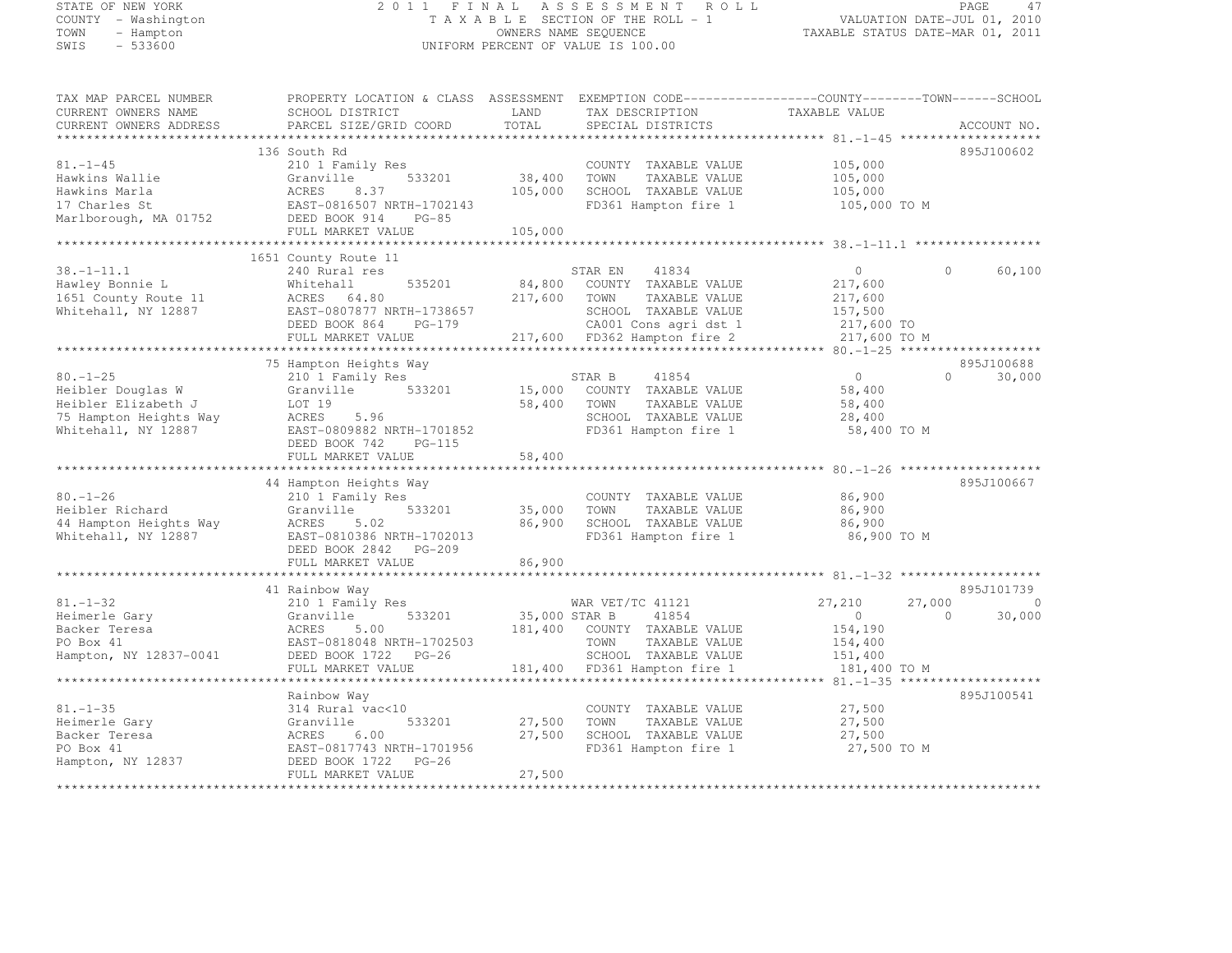# STATE OF NEW YORK 2 0 1 1 F I N A L A S S E S S M E N T R O L L PAGE <sup>47</sup> COUNTY - Washington T A X A B L E SECTION OF THE ROLL - 1 VALUATION DATE-JUL 01, 2010 TOWN - Hampton OWNERS NAME SEQUENCE TAXABLE STATUS DATE-MAR 01, 2011 SWIS - 533600 UNIFORM PERCENT OF VALUE IS 100.00

| TAX MAP PARCEL NUMBER<br>CURRENT OWNERS NAME<br>CURRENT OWNERS ADDRESS | PROPERTY LOCATION & CLASS ASSESSMENT EXEMPTION CODE-----------------COUNTY-------TOWN-----SCHOOL<br>SCHOOL DISTRICT<br>PARCEL SIZE/GRID COORD | LAND<br>TOTAL | TAX DESCRIPTION<br>SPECIAL DISTRICTS | TAXABLE VALUE | ACCOUNT NO.        |
|------------------------------------------------------------------------|-----------------------------------------------------------------------------------------------------------------------------------------------|---------------|--------------------------------------|---------------|--------------------|
|                                                                        |                                                                                                                                               |               |                                      |               |                    |
|                                                                        | 136 South Rd                                                                                                                                  |               |                                      |               | 895J100602         |
| $81. - 1 - 45$                                                         | 210 1 Family Res                                                                                                                              |               | COUNTY TAXABLE VALUE                 | 105,000       |                    |
| Hawkins Wallie                                                         | Granville<br>533201                                                                                                                           | 38,400        | TOWN<br>TAXABLE VALUE                | 105,000       |                    |
| Hawkins Marla                                                          | ACRES<br>8.37                                                                                                                                 | 105,000       | SCHOOL TAXABLE VALUE                 | 105,000       |                    |
| 17 Charles St                                                          | EAST-0816507 NRTH-1702143                                                                                                                     |               | FD361 Hampton fire 1                 | 105,000 TO M  |                    |
| Marlborough, MA 01752                                                  | DEED BOOK 914<br>$PG-85$                                                                                                                      |               |                                      |               |                    |
|                                                                        | FULL MARKET VALUE                                                                                                                             | 105,000       |                                      |               |                    |
|                                                                        |                                                                                                                                               |               |                                      |               |                    |
|                                                                        | 1651 County Route 11                                                                                                                          |               |                                      |               | $\Omega$           |
| $38. - 1 - 11.1$                                                       | 240 Rural res                                                                                                                                 |               | STAR EN<br>41834                     | $\circ$       | 60,100             |
| Hawley Bonnie L                                                        | 535201<br>Whitehall                                                                                                                           | 84,800        | COUNTY TAXABLE VALUE                 | 217,600       |                    |
| 1651 County Route 11                                                   | ACRES 64.80                                                                                                                                   | 217,600       | TAXABLE VALUE<br>TOWN                | 217,600       |                    |
| Whitehall, NY 12887                                                    | EAST-0807877 NRTH-1738657                                                                                                                     |               | SCHOOL TAXABLE VALUE                 | 157,500       |                    |
|                                                                        | DEED BOOK 864<br>PG-179                                                                                                                       |               | CA001 Cons agri dst 1                | 217,600 TO    |                    |
|                                                                        | FULL MARKET VALUE                                                                                                                             |               | 217,600 FD362 Hampton fire 2         | 217,600 TO M  |                    |
|                                                                        | 75 Hampton Heights Way                                                                                                                        |               |                                      |               | 895J100688         |
| $80. - 1 - 25$                                                         | 210 1 Family Res                                                                                                                              |               | STAR B<br>41854                      | $\circ$       | 30,000<br>$\Omega$ |
| Heibler Douglas W                                                      | 533201<br>Granville                                                                                                                           | 15,000        | COUNTY TAXABLE VALUE                 | 58,400        |                    |
| Heibler Elizabeth J                                                    | LOT 19                                                                                                                                        | 58,400        | TOWN<br>TAXABLE VALUE                | 58,400        |                    |
| 75 Hampton Heights Way                                                 | ACRES<br>5.96                                                                                                                                 |               | SCHOOL TAXABLE VALUE                 | 28,400        |                    |
| Whitehall, NY 12887                                                    | EAST-0809882 NRTH-1701852                                                                                                                     |               | FD361 Hampton fire 1                 | 58,400 TO M   |                    |
|                                                                        | DEED BOOK 742<br>$PG-115$                                                                                                                     |               |                                      |               |                    |
|                                                                        | FULL MARKET VALUE                                                                                                                             | 58,400        |                                      |               |                    |
|                                                                        |                                                                                                                                               |               |                                      |               |                    |
|                                                                        | 44 Hampton Heights Way                                                                                                                        |               |                                      |               | 895J100667         |
| $80. - 1 - 26$                                                         | 210 1 Family Res                                                                                                                              |               | COUNTY TAXABLE VALUE                 | 86,900        |                    |
| Heibler Richard                                                        | 533201<br>Granville                                                                                                                           | 35,000        | TOWN<br>TAXABLE VALUE                | 86,900        |                    |
| 44 Hampton Heights Way                                                 | ACRES<br>5.02                                                                                                                                 | 86,900        | SCHOOL TAXABLE VALUE                 | 86,900        |                    |
| Whitehall, NY 12887                                                    | EAST-0810386 NRTH-1702013                                                                                                                     |               | FD361 Hampton fire 1                 | 86,900 TO M   |                    |
|                                                                        | DEED BOOK 2842<br>PG-209                                                                                                                      |               |                                      |               |                    |
|                                                                        | FULL MARKET VALUE                                                                                                                             | 86,900        |                                      |               |                    |
|                                                                        |                                                                                                                                               |               |                                      |               |                    |
|                                                                        | 41 Rainbow Way                                                                                                                                |               |                                      |               | 895J101739         |
| $81. - 1 - 32$                                                         | 210 1 Family Res                                                                                                                              |               | WAR VET/TC 41121                     | 27,210        | 27,000<br>$\Omega$ |
| Heimerle Gary                                                          | 533201<br>Granville                                                                                                                           | 35,000 STAR B | 41854                                | $\circ$       | 30,000<br>$\Omega$ |
| Backer Teresa                                                          | 5.00<br>ACRES                                                                                                                                 | 181,400       | COUNTY TAXABLE VALUE                 | 154,190       |                    |
| PO Box 41                                                              | EAST-0818048 NRTH-1702503                                                                                                                     |               | TOWN<br>TAXABLE VALUE                | 154,400       |                    |
| Hampton, NY 12837-0041                                                 | DEED BOOK 1722<br>$PG-26$                                                                                                                     |               | SCHOOL TAXABLE VALUE                 | 151,400       |                    |
|                                                                        | FULL MARKET VALUE                                                                                                                             | 181,400       | FD361 Hampton fire 1                 | 181,400 TO M  |                    |
|                                                                        | **********************                                                                                                                        |               |                                      |               |                    |
|                                                                        | Rainbow Way                                                                                                                                   |               |                                      |               | 895J100541         |
| $81. - 1 - 35$                                                         | 314 Rural vac<10                                                                                                                              |               | COUNTY TAXABLE VALUE                 | 27,500        |                    |
| Heimerle Gary                                                          | Granville<br>533201                                                                                                                           | 27,500        | TOWN<br>TAXABLE VALUE                | 27,500        |                    |
| Backer Teresa                                                          | ACRES<br>6.00                                                                                                                                 | 27,500        | SCHOOL TAXABLE VALUE                 | 27,500        |                    |
| PO Box 41                                                              | EAST-0817743 NRTH-1701956                                                                                                                     |               | FD361 Hampton fire 1                 | 27,500 TO M   |                    |
| Hampton, NY 12837                                                      | DEED BOOK 1722<br>$PG-26$                                                                                                                     |               |                                      |               |                    |
|                                                                        | FULL MARKET VALUE                                                                                                                             | 27,500        |                                      |               |                    |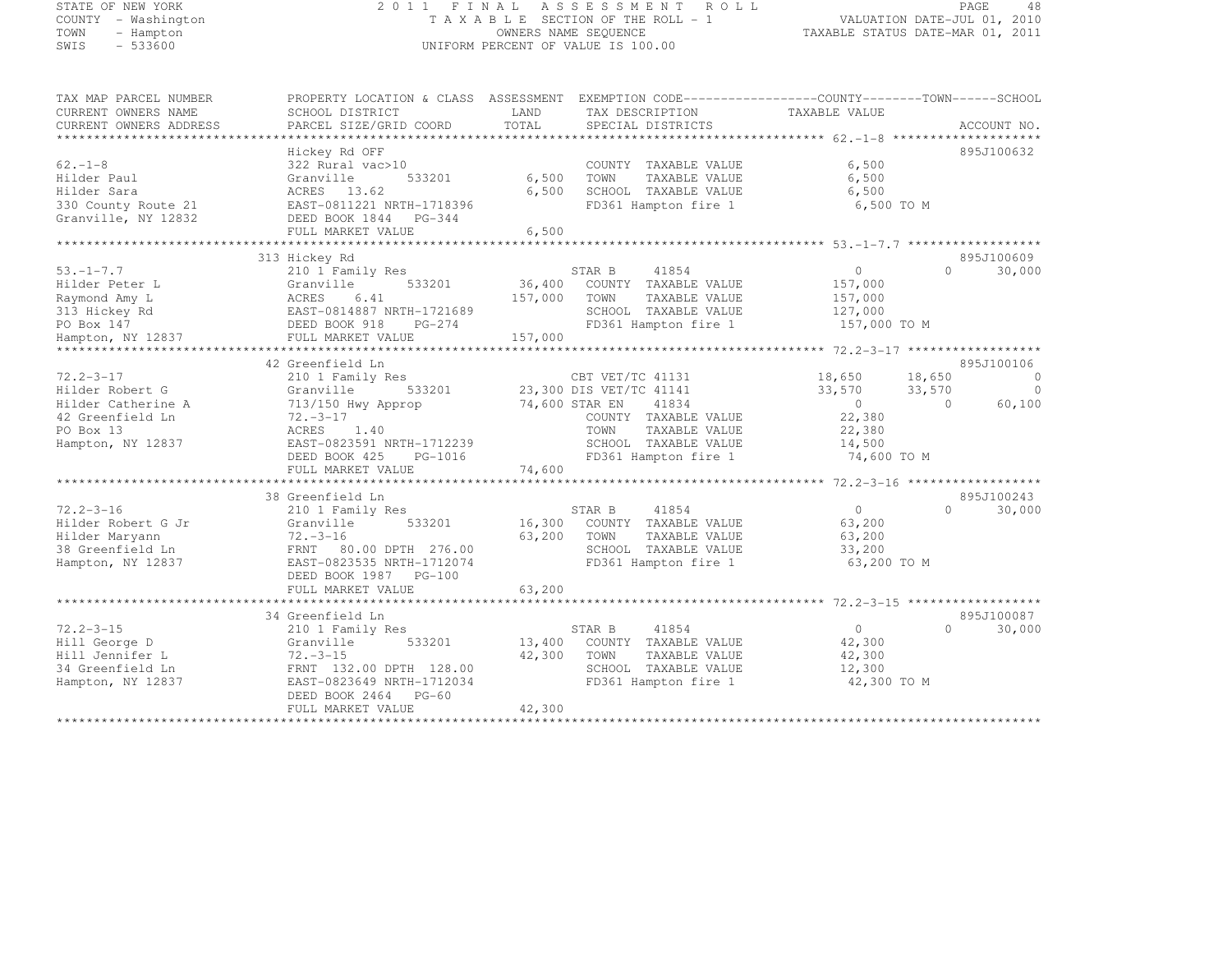#### STATE OF NEW YORK PAGE 48<br>COUNTY – Washington COUNTY – Washington 2010 COUNTY – Washington 2010<br>2011 – TAXABLE SECTION OF THE ROLL - 1 COUNTY - Washington T A X A B L E SECTION OF THE ROLL - 1 VALUATION DATE-JUL 01, 2010 TOWN - Hampton OWNERS NAME SEQUENCE TAXABLE STATUS DATE-MAR 01, 2011 SWIS - 533600 UNIFORM PERCENT OF VALUE IS 100.00

| TAX MAP PARCEL NUMBER<br>PROPERTY LOCATION & CLASS ASSESSMENT EXEMPTION CODE----------------COUNTY-------TOWN------SCHOOL |               |                         |                                          |          |             |
|---------------------------------------------------------------------------------------------------------------------------|---------------|-------------------------|------------------------------------------|----------|-------------|
| CURRENT OWNERS NAME<br>SCHOOL DISTRICT                                                                                    | LAND<br>TOTAL | TAX DESCRIPTION         | TAXABLE VALUE                            |          |             |
| CURRENT OWNERS ADDRESS<br>PARCEL SIZE/GRID COORD                                                                          | **********    | SPECIAL DISTRICTS       |                                          |          | ACCOUNT NO. |
|                                                                                                                           |               |                         |                                          |          |             |
| Hickey Rd OFF                                                                                                             |               |                         |                                          |          | 895J100632  |
| 62.-1-8<br>322 Rural vac>10                                                                                               |               | COUNTY TAXABLE VALUE    | 6,500                                    |          |             |
| 533201<br>Hilder Paul<br>Granville                                                                                        | 6,500         | TOWN<br>TAXABLE VALUE   | 6,500                                    |          |             |
| Hilder Sara<br>ACRES 13.62                                                                                                | 6,500         | SCHOOL TAXABLE VALUE    | 6,500                                    |          |             |
| EAST-0811221 NRTH-1718396<br>330 County Route 21                                                                          |               | FD361 Hampton fire 1    | 6,500 TO M                               |          |             |
| Granville, NY 12832<br>DEED BOOK 1844<br>PG-344                                                                           |               |                         |                                          |          |             |
| FULL MARKET VALUE                                                                                                         | 6,500         |                         |                                          |          |             |
|                                                                                                                           |               |                         |                                          |          |             |
| 313 Hickey Rd                                                                                                             |               |                         |                                          |          | 895J100609  |
| $53. - 1 - 7.7$<br>210 1 Family Res                                                                                       |               | 41854<br>STAR B         | $\circ$                                  | $\Omega$ | 30,000      |
| Hilder Peter L<br>Granville<br>533201                                                                                     | 36,400        | COUNTY TAXABLE VALUE    | 157,000                                  |          |             |
| Raymond Amy L<br>ACRES<br>6.41                                                                                            | 157,000       | TAXABLE VALUE<br>TOWN   | 157,000                                  |          |             |
| 313 Hickey Rd<br>EAST-0814887 NRTH-1721689                                                                                |               | SCHOOL TAXABLE VALUE    | 127,000                                  |          |             |
| PO Box 147<br>DEED BOOK 918<br>PG-274                                                                                     |               | FD361 Hampton fire 1    | 157,000 TO M                             |          |             |
| FULL MARKET VALUE<br>Hampton, NY 12837                                                                                    | 157,000       |                         |                                          |          |             |
| ****************                                                                                                          |               |                         |                                          |          |             |
| 42 Greenfield Ln                                                                                                          |               |                         |                                          |          | 895J100106  |
| 72.2-3-17<br>210 1 Family Res                                                                                             |               | CBT VET/TC 41131        | 18,650                                   | 18,650   | $\circ$     |
| Hilder Robert G<br>Granville<br>533201                                                                                    |               | 23,300 DIS VET/TC 41141 | 33,570                                   | 33,570   | $\bigcirc$  |
| Hilder Catherine A<br>713/150 Hwy Approp                                                                                  |               | 74,600 STAR EN<br>41834 | $\bigcirc$                               | $\Omega$ | 60,100      |
| 42 Greenfield Ln<br>$72. -3 - 17$                                                                                         |               | COUNTY TAXABLE VALUE    | 22,380                                   |          |             |
| PO Box 13<br>ACRES 1.40                                                                                                   |               | TOWN<br>TAXABLE VALUE   | 22,380                                   |          |             |
| EAST-0823591 NRTH-1712239<br>Hampton, NY 12837                                                                            |               | SCHOOL TAXABLE VALUE    | 14,500                                   |          |             |
| DEED BOOK 425<br>PG-1016                                                                                                  |               | FD361 Hampton fire 1    | 74,600 TO M                              |          |             |
| FULL MARKET VALUE                                                                                                         | 74,600        |                         |                                          |          |             |
| *************************                                                                                                 |               | ********************    | ********** 72.2-3-16 ******************* |          |             |
| 38 Greenfield Ln                                                                                                          |               |                         |                                          |          | 895J100243  |
| $72.2 - 3 - 16$<br>210 1 Family Res                                                                                       |               | STAR B<br>41854         | $\circ$                                  | $\Omega$ | 30,000      |
| Hilder Robert G Jr<br>533201<br>Granville                                                                                 | 16,300        | COUNTY TAXABLE VALUE    | 63,200                                   |          |             |
| $72. - 3 - 16$<br>Hilder Maryann                                                                                          | 63,200        | TOWN<br>TAXABLE VALUE   | 63,200                                   |          |             |
| 38 Greenfield Ln<br>FRNT<br>80.00 DPTH 276.00                                                                             |               | SCHOOL TAXABLE VALUE    | 33,200                                   |          |             |
| Hampton, NY 12837<br>EAST-0823535 NRTH-1712074                                                                            |               | FD361 Hampton fire 1    | 63,200 TO M                              |          |             |
| DEED BOOK 1987 PG-100                                                                                                     |               |                         |                                          |          |             |
| FULL MARKET VALUE                                                                                                         | 63,200        |                         |                                          |          |             |
| ********************                                                                                                      |               |                         | ******* 72.2-3-15 *****                  |          |             |
| 34 Greenfield Ln                                                                                                          |               |                         |                                          |          | 895J100087  |
| $72.2 - 3 - 15$<br>210 1 Family Res                                                                                       |               | 41854<br>STAR B         | $\circ$                                  | $\Omega$ | 30,000      |
| Hill George D<br>533201<br>Granville                                                                                      | 13,400        | COUNTY TAXABLE VALUE    | 42,300                                   |          |             |
| Hill Jennifer L<br>$72 - 3 - 15$                                                                                          | 42,300        | TAXABLE VALUE<br>TOWN   | 42,300                                   |          |             |
| 34 Greenfield Ln<br>FRNT 132.00 DPTH 128.00                                                                               |               | SCHOOL TAXABLE VALUE    | 12,300                                   |          |             |
| EAST-0823649 NRTH-1712034<br>Hampton, NY 12837                                                                            |               | FD361 Hampton fire 1    | 42,300 TO M                              |          |             |

FULL MARKET VALUE 42,300 \*\*\*\*\*\*\*\*\*\*\*\*\*\*\*\*\*\*\*\*\*\*\*\*\*\*\*\*\*\*\*\*\*\*\*\*\*\*\*\*\*\*\*\*\*\*\*\*\*\*\*\*\*\*\*\*\*\*\*\*\*\*\*\*\*\*\*\*\*\*\*\*\*\*\*\*\*\*\*\*\*\*\*\*\*\*\*\*\*\*\*\*\*\*\*\*\*\*\*\*\*\*\*\*\*\*\*\*\*\*\*\*\*\*\*\*\*\*\*\*\*\*\*\*\*\*\*\*\*\*\*\*

DEED BOOK 2464 PG-60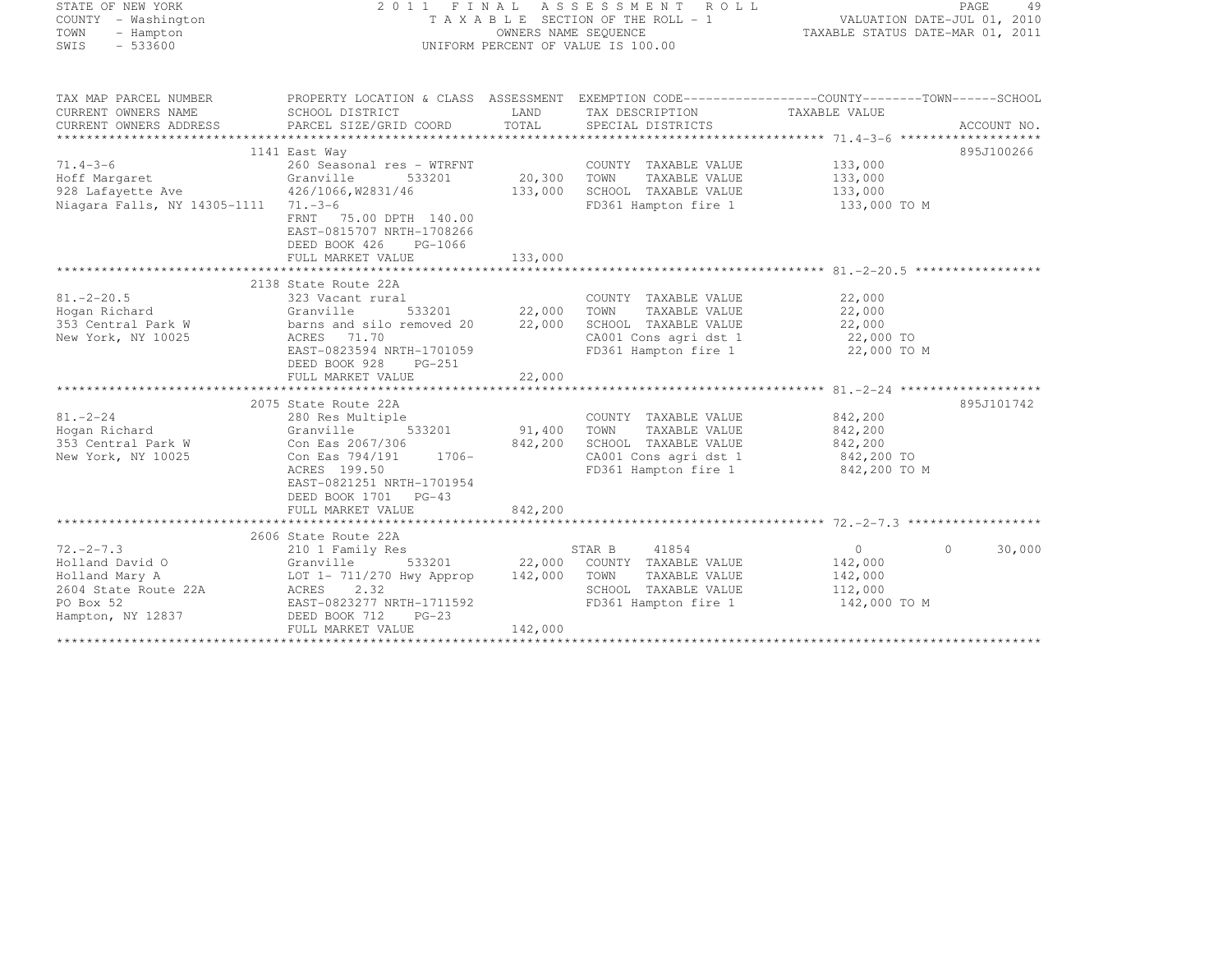|     | ATE OF NEW YORK   |  |
|-----|-------------------|--|
|     | UNTY - Washington |  |
| WN  | - Hampton         |  |
| T S | - 533600          |  |

#### STATE OF NEW YORK 2 0 1 1 F I N A L A S S E S S M E N T R O L L PAGE <sup>49</sup> COUNTY - Washington T A X A B L E SECTION OF THE ROLL - 1 VALUATION DATE-JUL 01, 2010 TOWN - Hampton OWNERS NAME SEQUENCE TAXABLE STATUS DATE-MAR 01, 2011 UNIFORM PERCENT OF VALUE IS 100.00

| TAX MAP PARCEL NUMBER<br>CURRENT OWNERS NAME<br>CURRENT OWNERS ADDRESS                                                                                                                                                         | PROPERTY LOCATION & CLASS ASSESSMENT EXEMPTION CODE----------------COUNTY-------TOWN-----SCHOOL<br>SCHOOL DISTRICT<br>PARCEL SIZE/GRID COORD | LAND<br>TOTAL     | TAX DESCRIPTION TAXABLE VALUE<br>SPECIAL DISTRICTS                                            |                                               | ACCOUNT NO.        |
|--------------------------------------------------------------------------------------------------------------------------------------------------------------------------------------------------------------------------------|----------------------------------------------------------------------------------------------------------------------------------------------|-------------------|-----------------------------------------------------------------------------------------------|-----------------------------------------------|--------------------|
|                                                                                                                                                                                                                                | 1141 East Way                                                                                                                                |                   |                                                                                               |                                               | 895J100266         |
| $71.4 - 3 - 6$<br>Hoff Margaret Granville 53<br>928 Lafayette Ave 426/1066, W2831/46<br>Niagara Falls, NY 14305-1111 71.-3-6                                                                                                   | 260 Seasonal res - WTRFNT<br>533201                                                                                                          | 20,300<br>133,000 | COUNTY TAXABLE VALUE<br>TOWN<br>TAXABLE VALUE<br>SCHOOL TAXABLE VALUE<br>FD361 Hampton fire 1 | 133,000<br>133,000<br>133,000<br>133,000 TO M |                    |
|                                                                                                                                                                                                                                | FRNT 75.00 DPTH 140.00<br>EAST-0815707 NRTH-1708266<br>DEED BOOK 426<br>PG-1066<br>FULL MARKET VALUE                                         | 133,000           |                                                                                               |                                               |                    |
|                                                                                                                                                                                                                                |                                                                                                                                              |                   |                                                                                               |                                               |                    |
|                                                                                                                                                                                                                                | 2138 State Route 22A                                                                                                                         |                   |                                                                                               |                                               |                    |
| $81. - 2 - 20.5$                                                                                                                                                                                                               | 323 Vacant rural                                                                                                                             |                   | COUNTY TAXABLE VALUE                                                                          | 22,000                                        |                    |
| Hogan Richard                                                                                                                                                                                                                  | Granville                                                                                                                                    |                   |                                                                                               | TAXABLE VALUE<br>TAXABLE VALUE 22,000         |                    |
| Hogan Richard<br>353 Central Park W                                                                                                                                                                                            | barns and silo removed 20                                                                                                                    |                   | SCHOOL TAXABLE VALUE 22,000<br>CA001 Cons agri dst 1 22,000 TO                                |                                               |                    |
| New York, NY 10025                                                                                                                                                                                                             | ACRES 71.70                                                                                                                                  |                   |                                                                                               |                                               |                    |
|                                                                                                                                                                                                                                | EAST-0823594 NRTH-1701059<br>DEED BOOK 928<br>PG-251                                                                                         |                   | FD361 Hampton fire 1 22,000 TO M                                                              |                                               |                    |
|                                                                                                                                                                                                                                |                                                                                                                                              |                   |                                                                                               |                                               |                    |
|                                                                                                                                                                                                                                |                                                                                                                                              |                   |                                                                                               |                                               |                    |
|                                                                                                                                                                                                                                | 2075 State Route 22A                                                                                                                         |                   |                                                                                               |                                               | 895J101742         |
| $81. - 2 - 24$<br>Hogan Richard                                                                                                                                                                                                | 280 Res Multiple<br>533201<br>Granville                                                                                                      | 91,400            | COUNTY TAXABLE VALUE 842,200<br>TAXABLE VALUE<br>TOWN                                         |                                               |                    |
| 353 Central Park W                                                                                                                                                                                                             | Con Eas 2067/306                                                                                                                             | 842,200           | SCHOOL TAXABLE VALUE                                                                          | 842,200                                       |                    |
| New York, NY 10025                                                                                                                                                                                                             | Con Eas 794/191 1706-                                                                                                                        |                   | SCHOOL TAXABLE VALUE<br>CA001 Cons agri dst 1                                                 | 842,200<br>842,200 TO                         |                    |
|                                                                                                                                                                                                                                | ACRES 199.50                                                                                                                                 |                   | FD361 Hampton fire 1                                                                          | 842,200 TO M                                  |                    |
|                                                                                                                                                                                                                                | EAST-0821251 NRTH-1701954                                                                                                                    |                   |                                                                                               |                                               |                    |
|                                                                                                                                                                                                                                | DEED BOOK 1701 PG-43                                                                                                                         |                   |                                                                                               |                                               |                    |
|                                                                                                                                                                                                                                | FULL MARKET VALUE                                                                                                                            | 842,200           |                                                                                               |                                               |                    |
|                                                                                                                                                                                                                                |                                                                                                                                              |                   |                                                                                               |                                               |                    |
|                                                                                                                                                                                                                                | 2606 State Route 22A                                                                                                                         |                   |                                                                                               |                                               |                    |
| $72, -2 - 7.3$                                                                                                                                                                                                                 | 210 1 Family Res                                                                                                                             |                   | 41854<br>STAR B                                                                               | 0                                             | 30,000<br>$\Omega$ |
|                                                                                                                                                                                                                                |                                                                                                                                              |                   | 533201 22,000 COUNTY TAXABLE VALUE                                                            | 142,000                                       |                    |
| Arranged Mary A (Channel Mary A (Channel Mary A (Channel Mary Appropred Mary Acts) and Mary Acts and Mary Acts and Acts and Acts and Acts and Acts and Acts and Acts and Acts and Acts and Acts and Acts and Acts and Acts and |                                                                                                                                              | 142,000 TOWN      | TOWN TAXABLE VALUE 142,000<br>SCHOOL TAXABLE VALUE 112,000                                    |                                               |                    |
|                                                                                                                                                                                                                                |                                                                                                                                              |                   |                                                                                               |                                               |                    |
| PO Box 52                                                                                                                                                                                                                      | EAST-0823277 NRTH-1711592                                                                                                                    |                   | FD361 Hampton fire 1 142,000 TO M                                                             |                                               |                    |
| Hampton, NY 12837                                                                                                                                                                                                              | DEED BOOK 712<br>$PG-23$                                                                                                                     |                   |                                                                                               |                                               |                    |
|                                                                                                                                                                                                                                | FULL MARKET VALUE                                                                                                                            | 142,000           |                                                                                               |                                               |                    |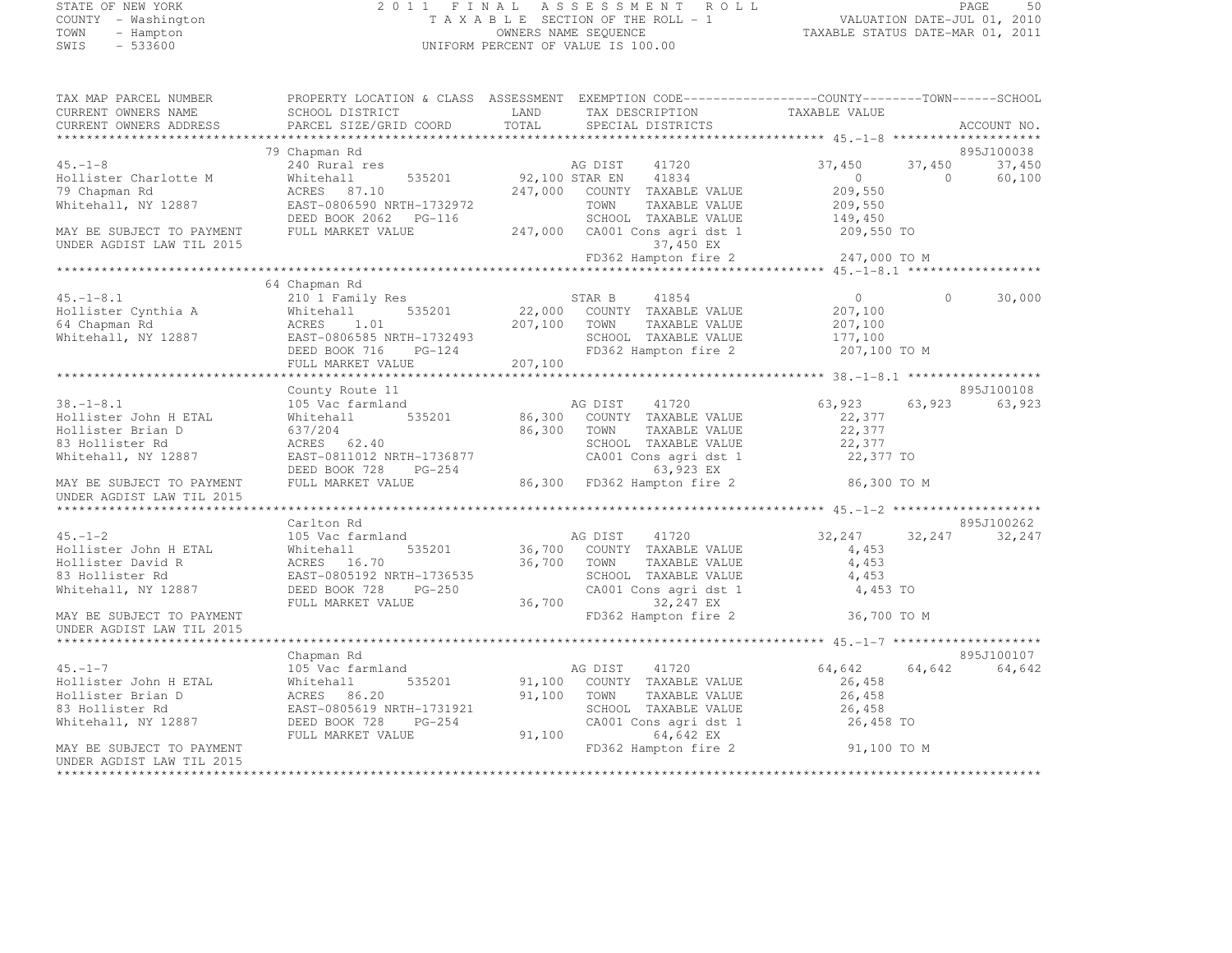#### STATE OF NEW YORK 2 0 1 1 F I N A L A S S E S S M E N T R O L L PAGE <sup>50</sup> COUNTY - Washington T A X A B L E SECTION OF THE ROLL - 1 VALUATION DATE-JUL 01, 2010 TOWN - Hampton OWNERS NAME SEQUENCE TAXABLE STATUS DATE-MAR 01, 2011 SWIS - 533600 UNIFORM PERCENT OF VALUE IS 100.00

| TAX MAP PARCEL NUMBER     |                           | PROPERTY LOCATION & CLASS ASSESSMENT EXEMPTION CODE-----------------COUNTY-------TOWN------SCHOOL |                                      |
|---------------------------|---------------------------|---------------------------------------------------------------------------------------------------|--------------------------------------|
| CURRENT OWNERS NAME       | SCHOOL DISTRICT           | LAND<br>TAX DESCRIPTION                                                                           | TAXABLE VALUE                        |
| CURRENT OWNERS ADDRESS    | PARCEL SIZE/GRID COORD    | TOTAL<br>SPECIAL DISTRICTS                                                                        | ACCOUNT NO.                          |
|                           |                           |                                                                                                   |                                      |
|                           | 79 Chapman Rd             |                                                                                                   | 895J100038                           |
| $45. - 1 - 8$             | 240 Rural res             | AG DIST<br>41720                                                                                  | 37,450<br>37,450<br>37,450           |
| Hollister Charlotte M     | Whitehall                 | 535201 92,100 STAR EN<br>41834                                                                    | $\circ$<br>$\Omega$<br>60,100        |
| 79 Chapman Rd             | ACRES 87.10               | 247,000 COUNTY TAXABLE VALUE                                                                      | 209,550                              |
| Whitehall, NY 12887       | EAST-0806590 NRTH-1732972 | TOWN<br>TAXABLE VALUE                                                                             | 209,550                              |
|                           | DEED BOOK 2062 PG-116     | SCHOOL TAXABLE VALUE                                                                              | 149,450                              |
| MAY BE SUBJECT TO PAYMENT | FULL MARKET VALUE         | 247,000 CA001 Cons agri dst 1                                                                     | 209,550 TO                           |
| UNDER AGDIST LAW TIL 2015 |                           | 37,450 EX                                                                                         |                                      |
|                           |                           | FD362 Hampton fire 2                                                                              | 247,000 TO M                         |
|                           |                           |                                                                                                   |                                      |
|                           | 64 Chapman Rd             |                                                                                                   |                                      |
| $45. - 1 - 8.1$           | 210 1 Family Res          | 41854<br>STAR B                                                                                   | $\Omega$<br>30,000<br>$\overline{0}$ |
| Hollister Cynthia A       | 535201<br>Whitehall       | 22,000 COUNTY TAXABLE VALUE                                                                       | 207,100                              |
| 64 Chapman Rd             | ACRES<br>1.01             | 207,100 TOWN<br>TAXABLE VALUE                                                                     | 207,100                              |
|                           |                           |                                                                                                   |                                      |
| Whitehall, NY 12887       | EAST-0806585 NRTH-1732493 | SCHOOL TAXABLE VALUE<br>KTH-1732493<br>PG-124                                                     | 177,100                              |
|                           | DEED BOOK 716             | FD362 Hampton fire 2                                                                              | 207,100 TO M                         |
|                           | FULL MARKET VALUE         | 207,100                                                                                           |                                      |
|                           |                           |                                                                                                   |                                      |
|                           | County Route 11           |                                                                                                   | 895J100108                           |
| $38. - 1 - 8.1$           | 105 Vac farmland          | AG DIST<br>41720                                                                                  | 63,923<br>63,923<br>63,923           |
| Hollister John H ETAL     | 535201<br>Whitehall       | 86,300<br>COUNTY TAXABLE VALUE                                                                    | 22,377                               |
| Hollister Brian D         | 637/204                   | 86,300<br>TOWN<br>TAXABLE VALUE                                                                   | 22,377                               |
| 83 Hollister Rd           | ACRES 62.40               | SCHOOL TAXABLE VALUE                                                                              | 22,377                               |
| Whitehall, NY 12887       | EAST-0811012 NRTH-1736877 | CA001 Cons agri dst 1                                                                             | 22,377 TO                            |
|                           | DEED BOOK 728 PG-254      | 63,923 EX                                                                                         |                                      |
| MAY BE SUBJECT TO PAYMENT | FULL MARKET VALUE         | 86,300 FD362 Hampton fire 2                                                                       | 86,300 TO M                          |
| UNDER AGDIST LAW TIL 2015 |                           |                                                                                                   |                                      |
|                           |                           |                                                                                                   |                                      |
|                           | Carlton Rd                |                                                                                                   | 895J100262                           |
| $45. - 1 - 2$             | 105 Vac farmland          | AG DIST 41720                                                                                     | 32,247<br>32,247<br>32,247           |
| Hollister John H ETAL     | 535201<br>Whitehall       | 36,700 COUNTY TAXABLE VALUE                                                                       | 4,453                                |
| Hollister David R         | ACRES 16.70               | 36,700 TOWN<br>TAXABLE VALUE                                                                      | 4,453                                |
| 83 Hollister Rd           | EAST-0805192 NRTH-1736535 | SCHOOL TAXABLE VALUE                                                                              | 4,453                                |
| Whitehall, NY 12887       | DEED BOOK 728<br>$PG-250$ | CA001 Cons agri dst 1                                                                             | 4,453 TO                             |
|                           | FULL MARKET VALUE         | 36,700<br>32,247 EX                                                                               |                                      |
| MAY BE SUBJECT TO PAYMENT |                           | FD362 Hampton fire 2                                                                              | 36,700 TO M                          |
| UNDER AGDIST LAW TIL 2015 |                           |                                                                                                   |                                      |
|                           |                           |                                                                                                   |                                      |
|                           | Chapman Rd                |                                                                                                   | 895J100107                           |
| $45. -1 - 7$              | 105 Vac farmland          | AG DIST<br>41720                                                                                  | 64,642<br>64,642<br>64,642           |
| Hollister John H ETAL     | Whitehall<br>535201       | 91,100 COUNTY TAXABLE VALUE                                                                       | 26,458                               |
| Hollister Brian D         | ACRES 86.20               | 91,100<br>TOWN<br>TAXABLE VALUE                                                                   | 26,458                               |
| 83 Hollister Rd           | EAST-0805619 NRTH-1731921 | SCHOOL TAXABLE VALUE                                                                              | 26,458                               |
| Whitehall, NY 12887       | DEED BOOK 728<br>$PG-254$ | CA001 Cons agri dst 1                                                                             | 26,458 TO                            |
|                           | FULL MARKET VALUE         | 91,100<br>64,642 EX                                                                               |                                      |
| MAY BE SUBJECT TO PAYMENT |                           | FD362 Hampton fire 2                                                                              | 91,100 TO M                          |
| UNDER AGDIST LAW TIL 2015 |                           |                                                                                                   |                                      |
|                           |                           |                                                                                                   |                                      |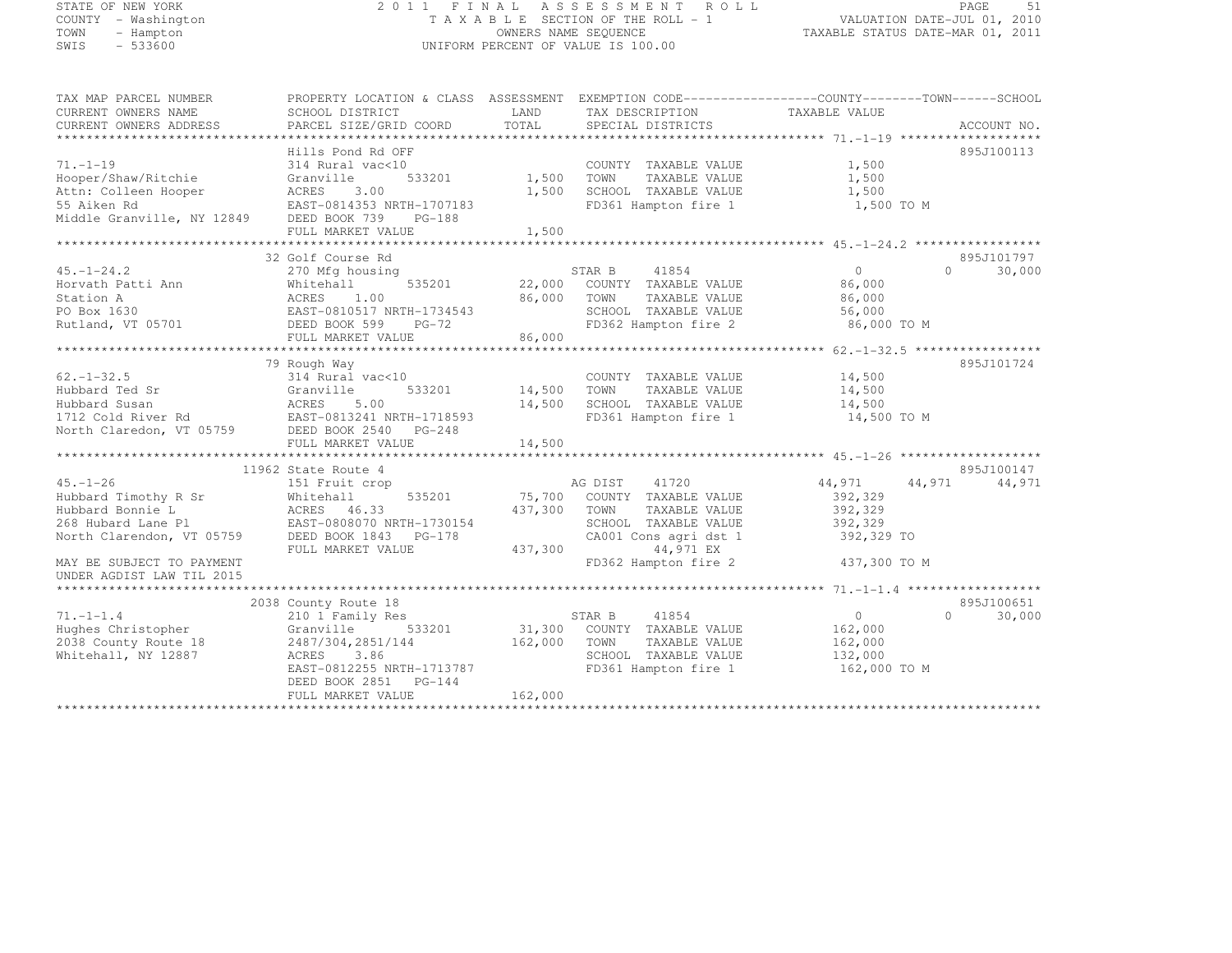# STATE OF NEW YORK 2 0 1 1 F I N A L A S S E S S M E N T R O L L PAGE <sup>51</sup> COUNTY - Washington T A X A B L E SECTION OF THE ROLL - 1 VALUATION DATE-JUL 01, 2010 TOWN - Hampton OWNERS NAME SEQUENCE TAXABLE STATUS DATE-MAR 01, 2011 SWIS - 533600 UNIFORM PERCENT OF VALUE IS 100.00

| TAX MAP PARCEL NUMBER<br>CURRENT OWNERS NAME<br>CURRENT OWNERS ADDRESS | PROPERTY LOCATION & CLASS ASSESSMENT EXEMPTION CODE----------------COUNTY-------TOWN-----SCHOOL<br>SCHOOL DISTRICT<br>PARCEL SIZE/GRID COORD | LAND<br>TOTAL | TAX DESCRIPTION<br>SPECIAL DISTRICTS | TAXABLE VALUE  | ACCOUNT NO.         |
|------------------------------------------------------------------------|----------------------------------------------------------------------------------------------------------------------------------------------|---------------|--------------------------------------|----------------|---------------------|
|                                                                        |                                                                                                                                              |               |                                      |                |                     |
| $71. - 1 - 19$                                                         | Hills Pond Rd OFF<br>314 Rural vac<10                                                                                                        |               | COUNTY TAXABLE VALUE                 | 1,500          | 895J100113          |
| Hooper/Shaw/Ritchie                                                    | 533201<br>Granville                                                                                                                          | 1,500         | TAXABLE VALUE<br>TOWN                | 1,500          |                     |
| Attn: Colleen Hooper                                                   | ACRES<br>3.00                                                                                                                                | 1,500         | SCHOOL TAXABLE VALUE                 | 1,500          |                     |
| 55 Aiken Rd                                                            | EAST-0814353 NRTH-1707183                                                                                                                    |               | FD361 Hampton fire 1                 | 1,500 TO M     |                     |
| Middle Granville, NY 12849 DEED BOOK 739 PG-188                        |                                                                                                                                              |               |                                      |                |                     |
|                                                                        | FULL MARKET VALUE                                                                                                                            | 1,500         |                                      |                |                     |
|                                                                        |                                                                                                                                              |               |                                      |                |                     |
|                                                                        | 32 Golf Course Rd                                                                                                                            |               |                                      |                | 895J101797          |
| $45. - 1 - 24.2$                                                       | 270 Mfg housing                                                                                                                              |               | STAR B<br>41854                      | $\Omega$       | 30,000<br>$\bigcap$ |
| Horvath Patti Ann                                                      | Whitehall<br>535201                                                                                                                          |               | 22,000 COUNTY TAXABLE VALUE          | 86,000         |                     |
| Station A                                                              | ACRES 1.00<br>EAST-0810517 NRTH-1734543                                                                                                      | 86,000        | TOWN<br>TAXABLE VALUE                | 86,000         |                     |
| PO Box 1630                                                            |                                                                                                                                              |               | SCHOOL TAXABLE VALUE                 | 56,000         |                     |
| Rutland, VT 05701                                                      | DEED BOOK 599<br>PG-72                                                                                                                       |               | FD362 Hampton fire 2                 | 86,000 TO M    |                     |
|                                                                        | FULL MARKET VALUE                                                                                                                            | 86,000        |                                      |                |                     |
|                                                                        |                                                                                                                                              |               |                                      |                |                     |
|                                                                        | 79 Rough Way                                                                                                                                 |               |                                      |                | 895J101724          |
| $62. - 1 - 32.5$                                                       | 314 Rural vac<10                                                                                                                             |               | COUNTY TAXABLE VALUE                 | 14,500         |                     |
| Hubbard Ted Sr                                                         | Granville<br>533201                                                                                                                          | 14,500        | TOWN<br>TAXABLE VALUE                | 14,500         |                     |
| Hubbard Susan<br>1712 Cold River Rd<br>EAST-0813241 NRTH-1718593       |                                                                                                                                              | 14,500        | SCHOOL TAXABLE VALUE                 | 14,500         |                     |
|                                                                        |                                                                                                                                              |               | FD361 Hampton fire 1                 | 14,500 TO M    |                     |
| North Claredon, VT 05759 DEED BOOK 2540 PG-248                         |                                                                                                                                              |               |                                      |                |                     |
|                                                                        |                                                                                                                                              |               |                                      |                |                     |
|                                                                        |                                                                                                                                              |               |                                      |                |                     |
|                                                                        | 11962 State Route 4                                                                                                                          |               |                                      |                | 895J100147          |
| $45. - 1 - 26$                                                         | 151 Fruit crop                                                                                                                               |               | AG DIST<br>41720                     | 44,971         | 44,971<br>44,971    |
| Hubbard Timothy R Sr                                                   | 535201<br>Whitehall<br>ACRES 46.33                                                                                                           | 75,700        | COUNTY TAXABLE VALUE                 | 392,329        |                     |
| Hubbard Bonnie L                                                       |                                                                                                                                              | 437,300       | TOWN<br>TAXABLE VALUE                | 392,329        |                     |
| 268 Hubard Lane Pl EAST-0808070 NRTH-1730154                           |                                                                                                                                              |               | SCHOOL TAXABLE VALUE                 | 392,329        |                     |
| North Clarendon, VT 05759 DEED BOOK 1843 PG-178                        | FULL MARKET VALUE                                                                                                                            | 437,300       | CA001 Cons agri dst 1<br>44,971 EX   | 392,329 TO     |                     |
| MAY BE SUBJECT TO PAYMENT                                              |                                                                                                                                              |               | FD362 Hampton fire 2                 | 437,300 TO M   |                     |
| UNDER AGDIST LAW TIL 2015                                              |                                                                                                                                              |               |                                      |                |                     |
|                                                                        |                                                                                                                                              |               |                                      |                |                     |
|                                                                        | 2038 County Route 18                                                                                                                         |               |                                      |                | 895J100651          |
| $71. -1 -1.4$                                                          | 210 1 Family Res                                                                                                                             |               | 41854<br>STAR B                      | $\overline{0}$ | 30,000<br>$\Omega$  |
| Hughes Christopher                                                     | 533201<br>Granville                                                                                                                          |               | 31,300 COUNTY TAXABLE VALUE          | 162,000        |                     |
| 2038 County Route 18                                                   | 2487/304,2851/144                                                                                                                            | 162,000       | TAXABLE VALUE<br>TOWN                | 162,000        |                     |
| Whitehall, NY 12887                                                    | ACRES 3.86                                                                                                                                   |               | SCHOOL TAXABLE VALUE                 | 132,000        |                     |
|                                                                        | EAST-0812255 NRTH-1713787                                                                                                                    |               | FD361 Hampton fire 1                 | 162,000 TO M   |                     |
|                                                                        | DEED BOOK 2851 PG-144                                                                                                                        |               |                                      |                |                     |
|                                                                        | FULL MARKET VALUE                                                                                                                            | 162,000       |                                      |                |                     |
|                                                                        |                                                                                                                                              |               |                                      |                |                     |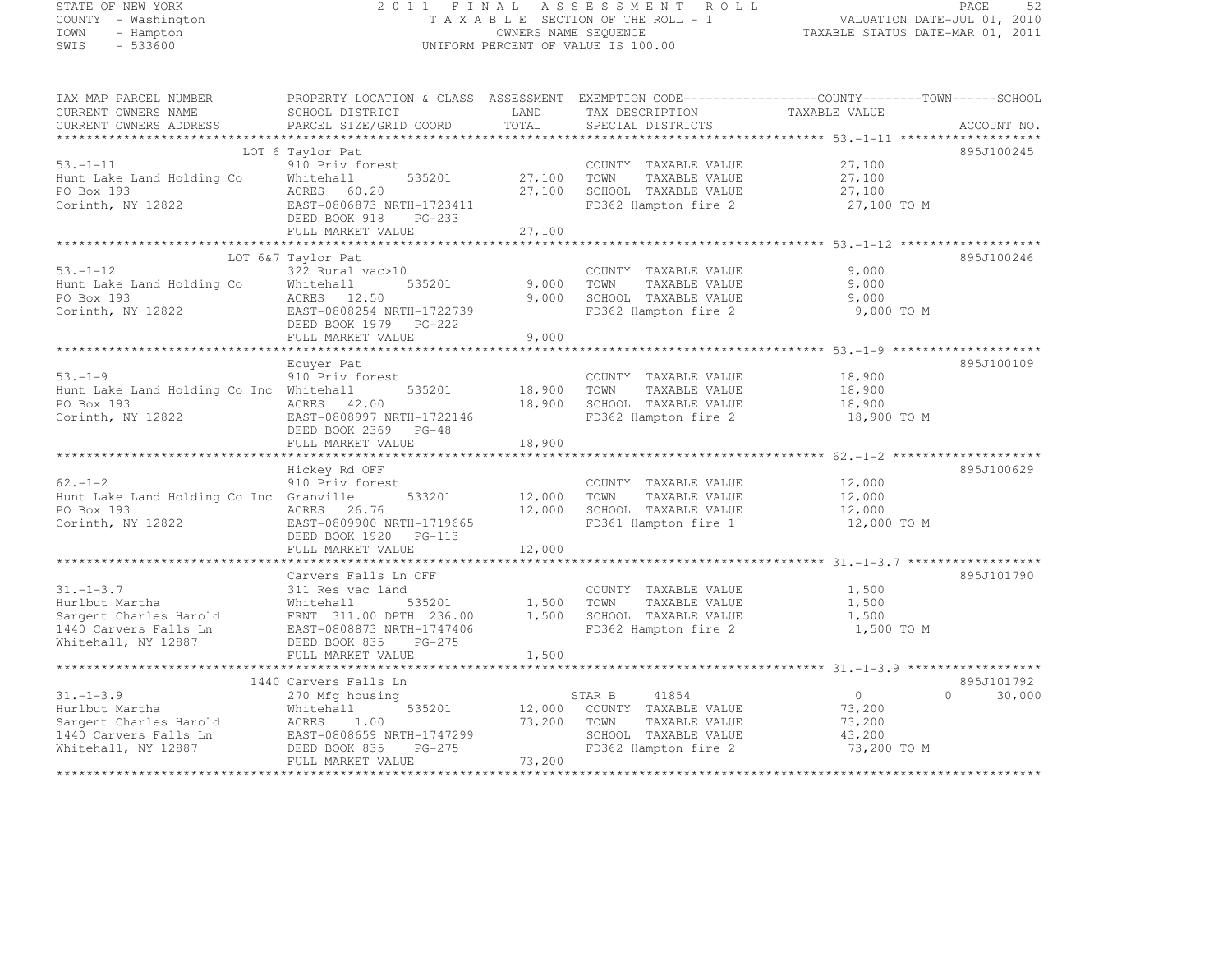# STATE OF NEW YORK 2 0 1 1 F I N A L A S S E S S M E N T R O L L PAGE <sup>52</sup> COUNTY - Washington T A X A B L E SECTION OF THE ROLL - 1 VALUATION DATE-JUL 01, 2010 TOWN - Hampton OWNERS NAME SEQUENCE TAXABLE STATUS DATE-MAR 01, 2011 SWIS - 533600 UNIFORM PERCENT OF VALUE IS 100.00

TAX MAP PARCEL NUMBER PROPERTY LOCATION & CLASS ASSESSMENT EXEMPTION CODE------------------COUNTY--------TOWN------SCHOOL CURRENT OWNERS NAME SCHOOL DISTRICT LAND TAX DESCRIPTION TAXABLE VALUE<br>CURRENT OWNERS ADDRESS PARCEL SIZE/GRID COORD TOTAL SPECIAL DISTRICTS ACCOUNT NO. \*\*\*\*\*\*\*\*\*\*\*\*\*\*\*\*\*\*\*\*\*\*\*\*\*\*\*\*\*\*\*\*\*\*\*\*\*\*\*\*\*\*\*\*\*\*\*\*\*\*\*\*\*\*\*\*\*\*\*\*\*\*\*\*\*\*\*\*\*\*\*\*\*\*\*\*\*\*\*\*\*\*\*\*\*\*\*\*\*\*\*\*\*\*\*\*\*\*\*\*\*\*\* 53.-1-11 \*\*\*\*\*\*\*\*\*\*\*\*\*\*\*\*\*\*\* LOT 6 Taylor Pat 895J100245 53.-1-11 910 Priv forest COUNTY TAXABLE VALUE 27,100 Hunt Lake Land Holding Co Whitehall 535201 27,100 TOWN TAXABLE VALUE 27,100 PO Box 193 ACRES 60.20 27,100 SCHOOL TAXABLE VALUE 27,100 Corinth, NY 12822 EAST-0806873 NRTH-1723411 FD362 Hampton fire 2 27,100 TO M DEED BOOK 918 PG-233 FULL MARKET VALUE 27,100 \*\*\*\*\*\*\*\*\*\*\*\*\*\*\*\*\*\*\*\*\*\*\*\*\*\*\*\*\*\*\*\*\*\*\*\*\*\*\*\*\*\*\*\*\*\*\*\*\*\*\*\*\*\*\*\*\*\*\*\*\*\*\*\*\*\*\*\*\*\*\*\*\*\*\*\*\*\*\*\*\*\*\*\*\*\*\*\*\*\*\*\*\*\*\*\*\*\*\*\*\*\*\* 53.-1-12 \*\*\*\*\*\*\*\*\*\*\*\*\*\*\*\*\*\*\* LOT 6&7 Taylor Pat 895J100246 53.-1-12 322 Rural vac>10 COUNTY TAXABLE VALUE 9,000 Hunt Lake Land Holding Co Whitehall 535201 9,000 TOWN TAXABLE VALUE 9,000 PO Box 193 ACRES 12.50 9,000 SCHOOL TAXABLE VALUE 9,000 Corinth, NY 12822 EAST-0808254 NRTH-1722739 FD362 Hampton fire 2 9,000 TO M DEED BOOK 1979 PG-222 FULL MARKET VALUE 9,000 \*\*\*\*\*\*\*\*\*\*\*\*\*\*\*\*\*\*\*\*\*\*\*\*\*\*\*\*\*\*\*\*\*\*\*\*\*\*\*\*\*\*\*\*\*\*\*\*\*\*\*\*\*\*\*\*\*\*\*\*\*\*\*\*\*\*\*\*\*\*\*\*\*\*\*\*\*\*\*\*\*\*\*\*\*\*\*\*\*\*\*\*\*\*\*\*\*\*\*\*\*\*\* 53.-1-9 \*\*\*\*\*\*\*\*\*\*\*\*\*\*\*\*\*\*\*\*895.T100109 Ecuyer Pat 895J10010953.-1-9 910 Priv forest COUNTY TAXABLE VALUE 18,900 910 Priv forest County COUNTY TAXABLE VALUE Hunt Lake Land Holding Co Inc Whitehall 535201 18,900 TOWN TAXABLE VALUE 18,900 PO Box 193 ACRES 42.00 18,900 SCHOOL TAXABLE VALUE 18,900 Corinth, NY 12822 EAST-0808997 NRTH-1722146 FD362 Hampton fire 2 18,900 TO M DEED BOOK 2369 PG-48 FULL MARKET VALUE 18,900 \*\*\*\*\*\*\*\*\*\*\*\*\*\*\*\*\*\*\*\*\*\*\*\*\*\*\*\*\*\*\*\*\*\*\*\*\*\*\*\*\*\*\*\*\*\*\*\*\*\*\*\*\*\*\*\*\*\*\*\*\*\*\*\*\*\*\*\*\*\*\*\*\*\*\*\*\*\*\*\*\*\*\*\*\*\*\*\*\*\*\*\*\*\*\*\*\*\*\*\*\*\*\* 62.-1-2 \*\*\*\*\*\*\*\*\*\*\*\*\*\*\*\*\*\*\*\* Hickey Rd OFF 895J100629 62.-1-2 910 Priv forest COUNTY TAXABLE VALUE 12,000 Hunt Lake Land Holding Co Inc Granville 533201 12,000 TOWN TAXABLE VALUE 12,000 PO Box 193 ACRES 26.76 12,000 SCHOOL TAXABLE VALUE 12,000 Corinth, NY 12822 EAST-0809900 NRTH-1719665 FD361 Hampton fire 1 12,000 TO M DEED BOOK 1920 PG-113 FULL MARKET VALUE 12,000 \*\*\*\*\*\*\*\*\*\*\*\*\*\*\*\*\*\*\*\*\*\*\*\*\*\*\*\*\*\*\*\*\*\*\*\*\*\*\*\*\*\*\*\*\*\*\*\*\*\*\*\*\*\*\*\*\*\*\*\*\*\*\*\*\*\*\*\*\*\*\*\*\*\*\*\*\*\*\*\*\*\*\*\*\*\*\*\*\*\*\*\*\*\*\*\*\*\*\*\*\*\*\* 31.-1-3.7 \*\*\*\*\*\*\*\*\*\*\*\*\*\*\*\*\*\* Carvers Falls Ln OFF 895J101790 31.-1-3.7 311 Res vac land COUNTY TAXABLE VALUE 1,500 Hurlbut Martha Whitehall 535201 1,500 TOWN TAXABLE VALUE 1,500 Sargent Charles Harold FRNT 311.00 DPTH 236.00 1,500 SCHOOL TAXABLE VALUE 1,500 1440 Carvers Falls Ln EAST-0808873 NRTH-1747406 FD362 Hampton fire 2 1,500 TO M Whitehall, NY 12887 DEED BOOK 835 PG-275 FULL MARKET VALUE 1,500 \*\*\*\*\*\*\*\*\*\*\*\*\*\*\*\*\*\*\*\*\*\*\*\*\*\*\*\*\*\*\*\*\*\*\*\*\*\*\*\*\*\*\*\*\*\*\*\*\*\*\*\*\*\*\*\*\*\*\*\*\*\*\*\*\*\*\*\*\*\*\*\*\*\*\*\*\*\*\*\*\*\*\*\*\*\*\*\*\*\*\*\*\*\*\*\*\*\*\*\*\*\*\* 31.-1-3.9 \*\*\*\*\*\*\*\*\*\*\*\*\*\*\*\*\*\* 1440 Carvers Falls Ln 895J101792 31.-1-3.9 270 Mfg housing STAR B <sup>41854</sup> 0 0 30,000 Hurlbut Martha Whitehall 535201 12,000 COUNTY TAXABLE VALUE 73,200 Sargent Charles Harold ACRES 1.00 73,200 TOWN TAXABLE VALUE 73,200 1440 Carvers Falls Ln EAST-0808659 NRTH-1747299 SCHOOL TAXABLE VALUE 43,200 Whitehall, NY 12887 DEED BOOK 835 PG-275 FD362 Hampton fire 2 73,200 TO M FULL MARKET VALUE 73,200 \*\*\*\*\*\*\*\*\*\*\*\*\*\*\*\*\*\*\*\*\*\*\*\*\*\*\*\*\*\*\*\*\*\*\*\*\*\*\*\*\*\*\*\*\*\*\*\*\*\*\*\*\*\*\*\*\*\*\*\*\*\*\*\*\*\*\*\*\*\*\*\*\*\*\*\*\*\*\*\*\*\*\*\*\*\*\*\*\*\*\*\*\*\*\*\*\*\*\*\*\*\*\*\*\*\*\*\*\*\*\*\*\*\*\*\*\*\*\*\*\*\*\*\*\*\*\*\*\*\*\*\*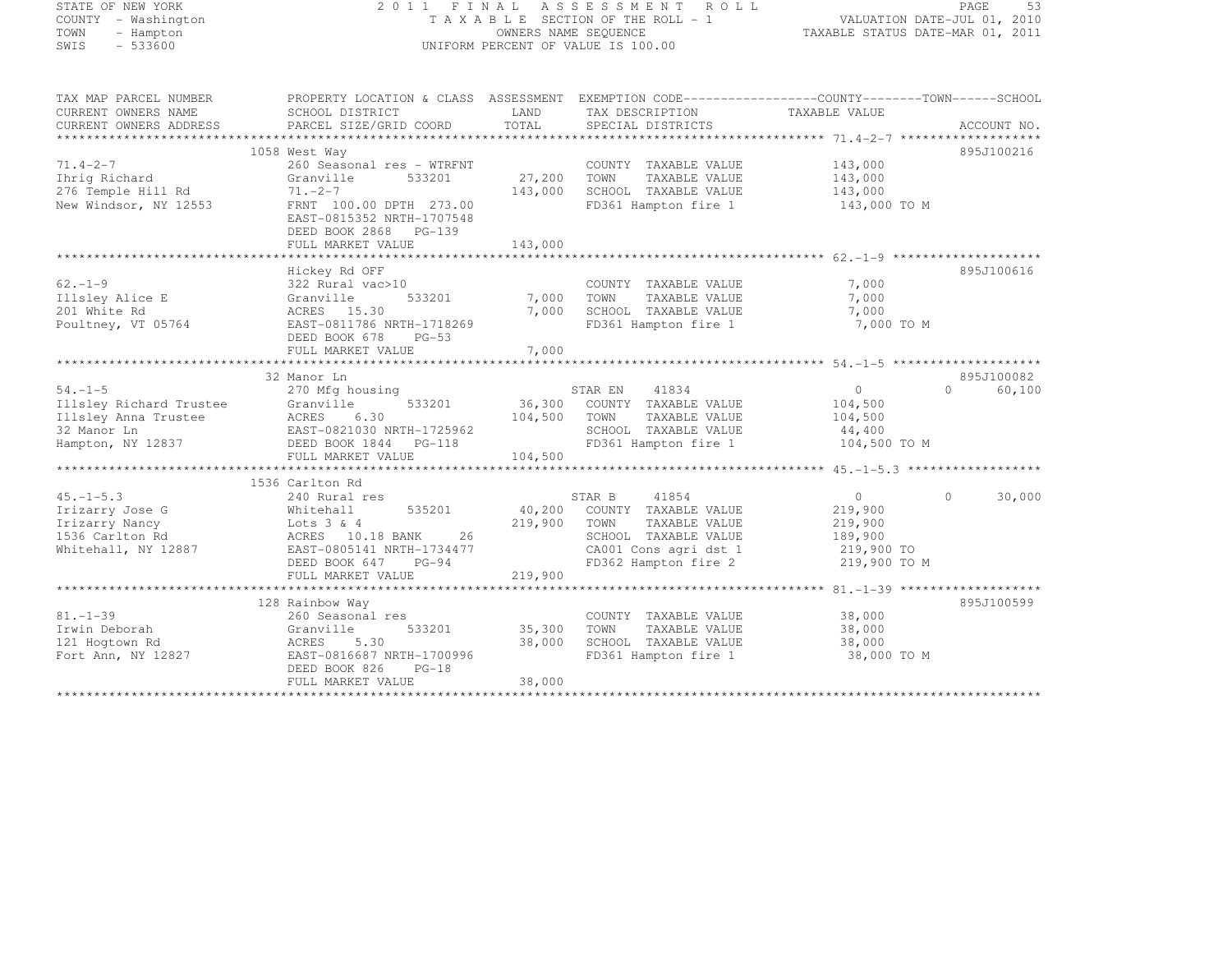#### STATE OF NEW YORK 2 0 1 1 F I N A L A S S E S S M E N T R O L L PAGE <sup>53</sup> COUNTY - Washington T A X A B L E SECTION OF THE ROLL - 1 VALUATION DATE-JUL 01, 2010 TOWN - Hampton OWNERS NAME SEQUENCE TAXABLE STATUS DATE-MAR 01, 2011 SWIS - 533600 UNIFORM PERCENT OF VALUE IS 100.00

| TAX MAP PARCEL NUMBER   | PROPERTY LOCATION & CLASS ASSESSMENT EXEMPTION CODE-----------------COUNTY-------TOWN------SCHOOL                                                                                                                              |               |                                                      |                       |                             |
|-------------------------|--------------------------------------------------------------------------------------------------------------------------------------------------------------------------------------------------------------------------------|---------------|------------------------------------------------------|-----------------------|-----------------------------|
| CURRENT OWNERS NAME     | SCHOOL DISTRICT                                                                                                                                                                                                                | LAND          | TAX DESCRIPTION                                      | TAXABLE VALUE         |                             |
| CURRENT OWNERS ADDRESS  | PARCEL SIZE/GRID COORD                                                                                                                                                                                                         | TOTAL         | SPECIAL DISTRICTS                                    |                       | ACCOUNT NO.                 |
|                         |                                                                                                                                                                                                                                |               |                                                      |                       |                             |
|                         | 1058 West Way                                                                                                                                                                                                                  |               |                                                      |                       | 895J100216                  |
| $71.4 - 2 - 7$          | 260 Seasonal res - WTRFNT                                                                                                                                                                                                      |               | COUNTY TAXABLE VALUE                                 | 143,000<br>143,000    |                             |
| Ihrig Richard           | 533201<br>Granville                                                                                                                                                                                                            | 27,200 TOWN   | TAXABLE VALUE                                        |                       |                             |
| 276 Temple Hill Rd      | $71. -2 - 7$                                                                                                                                                                                                                   | 143,000       | SCHOOL TAXABLE VALUE 143,000                         |                       |                             |
| New Windsor, NY 12553   | FRNT 100.00 DPTH 273.00                                                                                                                                                                                                        |               | FD361 Hampton fire 1 143,000 TO M                    |                       |                             |
|                         | EAST-0815352 NRTH-1707548                                                                                                                                                                                                      |               |                                                      |                       |                             |
|                         | DEED BOOK 2868 PG-139                                                                                                                                                                                                          |               |                                                      |                       |                             |
|                         |                                                                                                                                                                                                                                |               |                                                      |                       |                             |
|                         |                                                                                                                                                                                                                                |               |                                                      |                       |                             |
|                         | Hickey Rd OFF                                                                                                                                                                                                                  |               |                                                      |                       | 895J100616                  |
| $62. - 1 - 9$           | 322 Rural vac>10                                                                                                                                                                                                               |               | COUNTY TAXABLE VALUE                                 | 7,000                 |                             |
| Illsley Alice E         | Granville                                                                                                                                                                                                                      | 533201 7,000  | TAXABLE VALUE<br>TOWN                                | 7,000                 |                             |
| 201 White Rd            |                                                                                                                                                                                                                                | 7,000         |                                                      | 7,000                 |                             |
|                         | ACRES 15.30                                                                                                                                                                                                                    |               | SCHOOL TAXABLE VALUE                                 |                       |                             |
| Poultney, VT 05764      | EAST-0811786 NRTH-1718269                                                                                                                                                                                                      |               | FD361 Hampton fire 1                                 | 7,000 TO M            |                             |
|                         | DEED BOOK 678<br>$PG-53$                                                                                                                                                                                                       |               |                                                      |                       |                             |
|                         | FULL MARKET VALUE                                                                                                                                                                                                              | 7,000         |                                                      |                       |                             |
|                         |                                                                                                                                                                                                                                |               |                                                      |                       |                             |
|                         | 32 Manor Ln                                                                                                                                                                                                                    |               |                                                      |                       | 895J100082                  |
| $54. -1 - 5$            | 270 Mfg housing                                                                                                                                                                                                                |               | STAR EN 41834                                        | $0 \qquad \qquad$     | $0 \qquad \qquad$<br>60,100 |
| Illsley Richard Trustee | 533201<br>Granville                                                                                                                                                                                                            |               | 36,300 COUNTY TAXABLE VALUE                          | 104,500               |                             |
|                         |                                                                                                                                                                                                                                | 104,500 TOWN  |                                                      | TAXABLE VALUE 104,500 |                             |
|                         |                                                                                                                                                                                                                                |               | SCHOOL TAXABLE VALUE<br>FD361 Hampton fire 1         | 44,400                |                             |
|                         | This is a measure of the contract of the contract of the contract of the contract of the contract of the contract of the contract of the contract of the contract of the contract of the contract of the contract of the contr |               |                                                      | 104,500 TO M          |                             |
|                         | FULL MARKET VALUE                                                                                                                                                                                                              | 104,500       |                                                      |                       |                             |
|                         |                                                                                                                                                                                                                                |               |                                                      |                       |                             |
|                         | 1536 Carlton Rd                                                                                                                                                                                                                |               |                                                      |                       |                             |
| $45. -1 - 5.3$          | 240 Rural res                                                                                                                                                                                                                  |               | 41854<br>STAR B 41854<br>40,200 COUNTY TAXABLE VALUE | $\overline{0}$        | 30,000<br>$\Omega$          |
| Irizarry Jose G         | Whitehall 535201                                                                                                                                                                                                               |               |                                                      | 219,900               |                             |
| Irizarry Nancy          | Lots 3 & 4                                                                                                                                                                                                                     | 219,900 TOWN  | TAXABLE VALUE                                        | 219,900               |                             |
| 1536 Carlton Rd         | ACRES 10.18 BANK<br>26                                                                                                                                                                                                         |               | SCHOOL TAXABLE VALUE                                 | 189,900<br>219,900 TO |                             |
| Whitehall, NY 12887     | EAST-0805141 NRTH-1734477                                                                                                                                                                                                      |               | CA001 Cons agri dst 1                                |                       |                             |
|                         | DEED BOOK 647 PG-94                                                                                                                                                                                                            |               | FD362 Hampton fire 2 219,900 TO M                    |                       |                             |
|                         | FULL MARKET VALUE                                                                                                                                                                                                              | 219,900       |                                                      |                       |                             |
|                         |                                                                                                                                                                                                                                |               |                                                      |                       |                             |
|                         | 128 Rainbow Way                                                                                                                                                                                                                |               |                                                      |                       | 895J100599                  |
| $81. - 1 - 39$          | 260 Seasonal res                                                                                                                                                                                                               |               | COUNTY TAXABLE VALUE                                 | 38,000                |                             |
| Irwin Deborah           | Granville                                                                                                                                                                                                                      | 533201 35,300 | TOWN<br>TAXABLE VALUE                                | 38,000                |                             |
| 121 Hogtown Rd          | ACRES<br>5.30                                                                                                                                                                                                                  | 38,000        | SCHOOL TAXABLE VALUE                                 | 38,000                |                             |
| Fort Ann, NY 12827      | EAST-0816687 NRTH-1700996                                                                                                                                                                                                      |               | FD361 Hampton fire 1                                 | 38,000 TO M           |                             |
|                         | DEED BOOK 826<br>$PG-18$                                                                                                                                                                                                       |               |                                                      |                       |                             |
|                         | FULL MARKET VALUE                                                                                                                                                                                                              | 38,000        |                                                      |                       |                             |
|                         |                                                                                                                                                                                                                                |               |                                                      |                       |                             |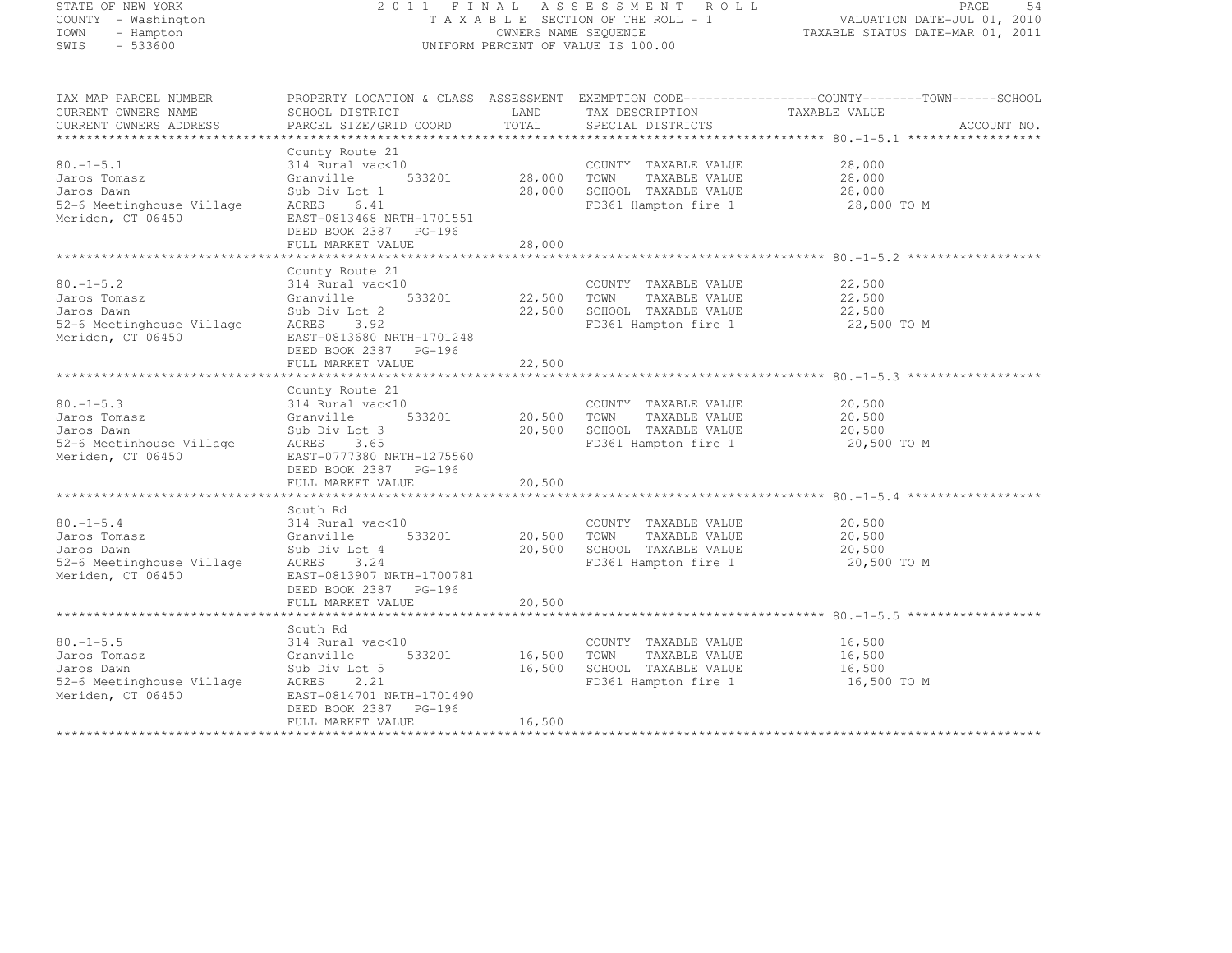# STATE OF NEW YORK 2 0 1 1 F I N A L A S S E S S M E N T R O L L PAGE <sup>54</sup> COUNTY - Washington T A X A B L E SECTION OF THE ROLL - 1 VALUATION DATE-JUL 01, 2010 TOWN - Hampton OWNERS NAME SEQUENCE TAXABLE STATUS DATE-MAR 01, 2011 SWIS - 533600 UNIFORM PERCENT OF VALUE IS 100.00

| TAX MAP PARCEL NUMBER                         |                                                                                                                                                                                                                                                        |        |                                                 | PROPERTY LOCATION & CLASS ASSESSMENT EXEMPTION CODE----------------COUNTY-------TOWN------SCHOOL |  |
|-----------------------------------------------|--------------------------------------------------------------------------------------------------------------------------------------------------------------------------------------------------------------------------------------------------------|--------|-------------------------------------------------|--------------------------------------------------------------------------------------------------|--|
| CURRENT OWNERS NAME                           |                                                                                                                                                                                                                                                        |        |                                                 |                                                                                                  |  |
| CURRENT OWNERS NAME<br>CURRENT OWNERS ADDRESS |                                                                                                                                                                                                                                                        |        | TAX DESCRIPTION TAXABLE VALUE SPECIAL DISTRICTS | ACCOUNT NO.                                                                                      |  |
|                                               |                                                                                                                                                                                                                                                        |        |                                                 |                                                                                                  |  |
|                                               | County Route 21                                                                                                                                                                                                                                        |        |                                                 |                                                                                                  |  |
|                                               |                                                                                                                                                                                                                                                        |        |                                                 |                                                                                                  |  |
|                                               |                                                                                                                                                                                                                                                        |        |                                                 |                                                                                                  |  |
|                                               |                                                                                                                                                                                                                                                        |        |                                                 |                                                                                                  |  |
|                                               |                                                                                                                                                                                                                                                        |        |                                                 |                                                                                                  |  |
|                                               | 30.-1-5.1<br>314 Rural vac<10<br>Jaros Tomasz Granville 533201<br>314 Rural vac<10<br>533201 28,000 TOWN TAXABLE VALUE 28,000<br>316 Banville 533201 28,000 TOWN TAXABLE VALUE 28,000<br>328,000 SCHOOL TAXABLE VALUE 28,000<br>52-6 Meeting           |        |                                                 |                                                                                                  |  |
|                                               |                                                                                                                                                                                                                                                        |        |                                                 |                                                                                                  |  |
|                                               |                                                                                                                                                                                                                                                        |        |                                                 |                                                                                                  |  |
|                                               | FULL MARKET VALUE                                                                                                                                                                                                                                      | 28,000 |                                                 |                                                                                                  |  |
|                                               |                                                                                                                                                                                                                                                        |        |                                                 |                                                                                                  |  |
|                                               | County Route 21                                                                                                                                                                                                                                        |        |                                                 |                                                                                                  |  |
|                                               |                                                                                                                                                                                                                                                        |        |                                                 |                                                                                                  |  |
|                                               |                                                                                                                                                                                                                                                        |        |                                                 |                                                                                                  |  |
|                                               |                                                                                                                                                                                                                                                        |        |                                                 |                                                                                                  |  |
|                                               | 314 Rural vac<10<br>Jaros Tomasz Granville 533201<br>Jaros Dawn Sub Div Lot 2<br>52-6 Meetinghouse Village ACRES 3.92<br>Meriden, CT 06450<br>DEED BOOK 2387 PG-196<br>DEED BOOK 2387 PG-196                                                           |        |                                                 |                                                                                                  |  |
|                                               |                                                                                                                                                                                                                                                        |        |                                                 |                                                                                                  |  |
|                                               |                                                                                                                                                                                                                                                        |        |                                                 |                                                                                                  |  |
|                                               |                                                                                                                                                                                                                                                        |        |                                                 |                                                                                                  |  |
|                                               | FULL MARKET VALUE                                                                                                                                                                                                                                      | 22,500 |                                                 |                                                                                                  |  |
|                                               |                                                                                                                                                                                                                                                        |        |                                                 |                                                                                                  |  |
|                                               | County Route 21                                                                                                                                                                                                                                        |        |                                                 |                                                                                                  |  |
|                                               |                                                                                                                                                                                                                                                        |        |                                                 |                                                                                                  |  |
|                                               | 30.-1-5.3<br>Jaros Tomasz 314 Rural vac<10<br>Jaros Dawn 531201<br>533201<br>533201<br>52-6 Meetinhouse Village ACRES 355<br>Meriden, CT 06450<br>Meriden, CT 06450<br>EAST-077380 NRTH-1275560<br>DERED BOOK 2387 PG-196<br>REED BOOK 2387 PG-196     |        |                                                 |                                                                                                  |  |
|                                               |                                                                                                                                                                                                                                                        |        |                                                 |                                                                                                  |  |
|                                               |                                                                                                                                                                                                                                                        |        |                                                 |                                                                                                  |  |
|                                               |                                                                                                                                                                                                                                                        |        |                                                 |                                                                                                  |  |
|                                               | DEED BOOK 2387 PG-196                                                                                                                                                                                                                                  |        |                                                 |                                                                                                  |  |
|                                               |                                                                                                                                                                                                                                                        |        |                                                 |                                                                                                  |  |
|                                               |                                                                                                                                                                                                                                                        |        |                                                 |                                                                                                  |  |
|                                               | South Rd                                                                                                                                                                                                                                               |        |                                                 |                                                                                                  |  |
|                                               |                                                                                                                                                                                                                                                        |        |                                                 |                                                                                                  |  |
|                                               |                                                                                                                                                                                                                                                        |        |                                                 |                                                                                                  |  |
|                                               |                                                                                                                                                                                                                                                        |        |                                                 |                                                                                                  |  |
|                                               |                                                                                                                                                                                                                                                        |        |                                                 |                                                                                                  |  |
|                                               | 30.-1-5.4<br>314 Rural vac<10<br>314 Rural vac<10<br>314 Rural vac<10<br>533201<br>533201<br>533201<br>20,500 TOWN TAXABLE VALUE<br>700WINT TAXABLE VALUE<br>700WINT TAXABLE VALUE<br>700WINT TAXABLE VALUE<br>700WINT TAXABLE VALUE<br>700WINT TAXABL |        |                                                 |                                                                                                  |  |
|                                               |                                                                                                                                                                                                                                                        |        |                                                 |                                                                                                  |  |
|                                               | DEED BOOK 2387 PG-196                                                                                                                                                                                                                                  |        |                                                 |                                                                                                  |  |
|                                               |                                                                                                                                                                                                                                                        |        |                                                 |                                                                                                  |  |
|                                               |                                                                                                                                                                                                                                                        |        |                                                 |                                                                                                  |  |
|                                               |                                                                                                                                                                                                                                                        |        |                                                 |                                                                                                  |  |
|                                               |                                                                                                                                                                                                                                                        |        |                                                 |                                                                                                  |  |
|                                               |                                                                                                                                                                                                                                                        |        |                                                 |                                                                                                  |  |
|                                               |                                                                                                                                                                                                                                                        |        |                                                 |                                                                                                  |  |
|                                               |                                                                                                                                                                                                                                                        |        |                                                 |                                                                                                  |  |
|                                               |                                                                                                                                                                                                                                                        |        |                                                 |                                                                                                  |  |
|                                               |                                                                                                                                                                                                                                                        |        |                                                 |                                                                                                  |  |
|                                               |                                                                                                                                                                                                                                                        |        |                                                 |                                                                                                  |  |
|                                               | FULL MARKET VALUE                                                                                                                                                                                                                                      | 16,500 |                                                 |                                                                                                  |  |
|                                               |                                                                                                                                                                                                                                                        |        |                                                 |                                                                                                  |  |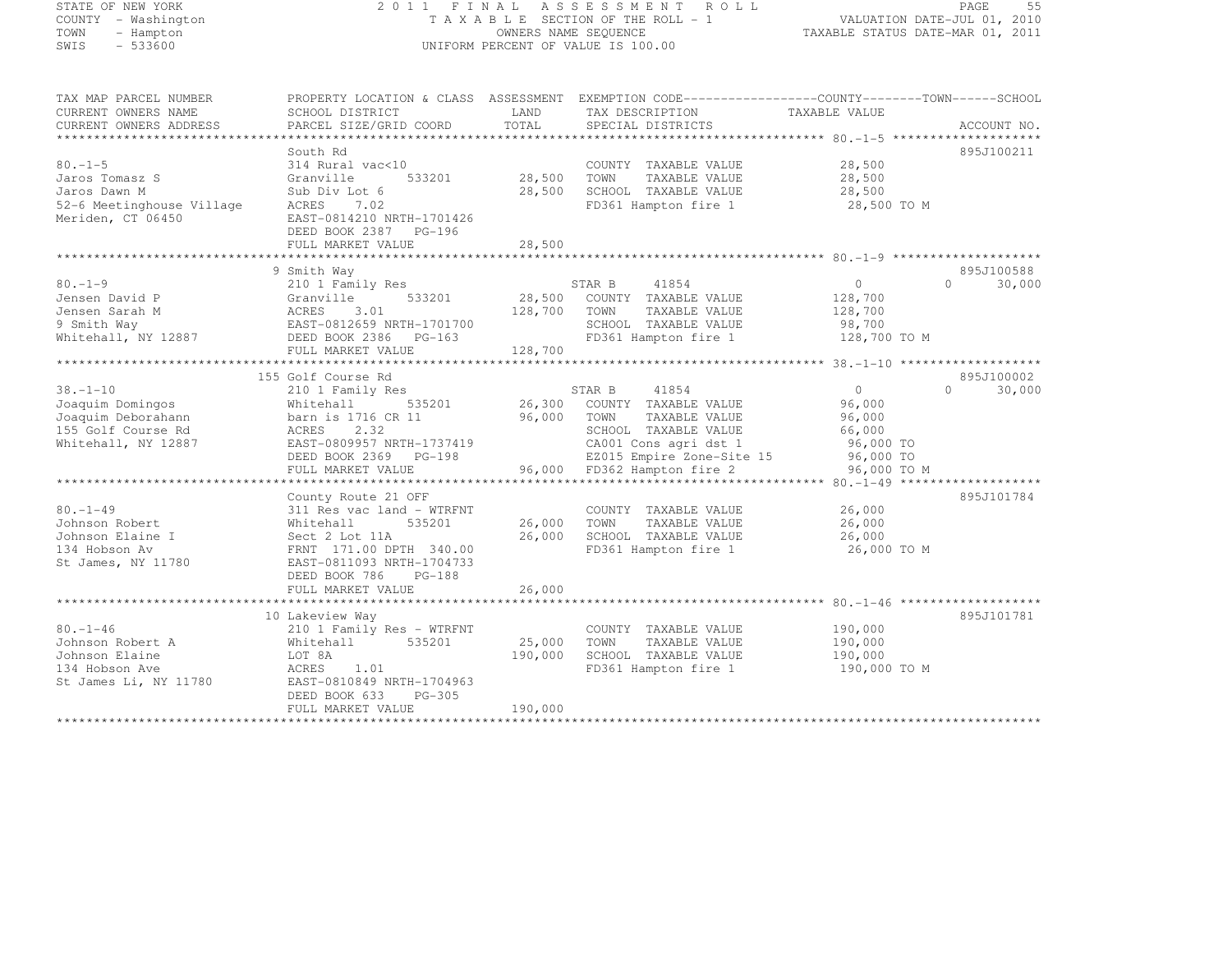# STATE OF NEW YORK 2 0 1 1 F I N A L A S S E S S M E N T R O L L PAGE <sup>55</sup> COUNTY - Washington T A X A B L E SECTION OF THE ROLL - 1 VALUATION DATE-JUL 01, 2010 TOWN - Hampton OWNERS NAME SEQUENCE TAXABLE STATUS DATE-MAR 01, 2011 SWIS - 533600 UNIFORM PERCENT OF VALUE IS 100.00

| TAX MAP PARCEL NUMBER     | PROPERTY LOCATION & CLASS ASSESSMENT |         | EXEMPTION CODE-----------------COUNTY-------TOWN------SCHOOL |                |                     |
|---------------------------|--------------------------------------|---------|--------------------------------------------------------------|----------------|---------------------|
| CURRENT OWNERS NAME       | SCHOOL DISTRICT                      | LAND    | TAX DESCRIPTION                                              | TAXABLE VALUE  |                     |
| CURRENT OWNERS ADDRESS    | PARCEL SIZE/GRID COORD               | TOTAL   | SPECIAL DISTRICTS                                            |                | ACCOUNT NO.         |
|                           |                                      |         |                                                              |                |                     |
|                           | South Rd                             |         |                                                              |                | 895J100211          |
| $80. -1 - 5$              | 314 Rural vac<10                     |         | COUNTY TAXABLE VALUE                                         | 28,500         |                     |
| Jaros Tomasz S            | 533201<br>Granville                  | 28,500  | TOWN<br>TAXABLE VALUE                                        | 28,500         |                     |
| Jaros Dawn M              | Sub Div Lot 6                        | 28,500  | SCHOOL TAXABLE VALUE                                         | 28,500         |                     |
| 52-6 Meetinghouse Village | ACRES<br>7.02                        |         | FD361 Hampton fire 1                                         | 28,500 TO M    |                     |
| Meriden, CT 06450         | EAST-0814210 NRTH-1701426            |         |                                                              |                |                     |
|                           | DEED BOOK 2387 PG-196                |         |                                                              |                |                     |
|                           | FULL MARKET VALUE                    | 28,500  |                                                              |                |                     |
|                           |                                      |         |                                                              |                |                     |
|                           | 9 Smith Way                          |         |                                                              |                | 895J100588          |
| $80. -1 - 9$              | 210 1 Family Res                     |         | STAR B<br>41854                                              | $\overline{0}$ | $\cap$<br>30,000    |
| Jensen David P            | 533201<br>Granville                  | 28,500  | COUNTY TAXABLE VALUE                                         | 128,700        |                     |
| Jensen Sarah M            | ACRES<br>3.01                        | 128,700 | TOWN<br>TAXABLE VALUE                                        | 128,700        |                     |
| 9 Smith Way               | EAST-0812659 NRTH-1701700            |         | SCHOOL TAXABLE VALUE                                         | 98,700         |                     |
| Whitehall, NY 12887       | DEED BOOK 2386 PG-163                |         | FD361 Hampton fire 1                                         | 128,700 TO M   |                     |
|                           | FULL MARKET VALUE                    | 128,700 |                                                              |                |                     |
|                           |                                      |         |                                                              |                |                     |
|                           | 155 Golf Course Rd                   |         |                                                              |                | 895J100002          |
| $38. - 1 - 10$            | 210 1 Family Res                     |         | 41854<br>STAR B                                              | $\overline{0}$ | $\bigcap$<br>30,000 |
| Joaquim Domingos          | 535201<br>Whitehall                  | 26,300  | COUNTY TAXABLE VALUE                                         | 96,000         |                     |
| Joaquim Deborahann        | barn is 1716 CR 11                   | 96,000  | TOWN<br>TAXABLE VALUE                                        | 96,000         |                     |
| 155 Golf Course Rd        | ACRES 2.32                           |         | SCHOOL TAXABLE VALUE                                         | 66,000         |                     |
| Whitehall, NY 12887       | EAST-0809957 NRTH-1737419            |         | CA001 Cons agri dst 1                                        | 96,000 TO      |                     |
|                           | DEED BOOK 2369 PG-198                |         | EZ015 Empire Zone-Site 15 96,000 TO                          |                |                     |
|                           | FULL MARKET VALUE                    |         | 96,000 FD362 Hampton fire 2                                  | 96,000 TO M    |                     |
|                           |                                      |         |                                                              |                |                     |
|                           | County Route 21 OFF                  |         |                                                              |                | 895J101784          |
| $80. - 1 - 49$            | 311 Res vac land - WTRFNT            |         | COUNTY TAXABLE VALUE                                         | 26,000         |                     |
| Johnson Robert            | 535201<br>Whitehall                  | 26,000  | TOWN<br>TAXABLE VALUE                                        | 26,000         |                     |
| Johnson Elaine I          | Sect 2 Lot 11A                       | 26,000  | SCHOOL TAXABLE VALUE                                         | 26,000         |                     |
| 134 Hobson Av             | FRNT 171.00 DPTH 340.00              |         | FD361 Hampton fire 1                                         | 26,000 TO M    |                     |
| St James, NY 11780        | EAST-0811093 NRTH-1704733            |         |                                                              |                |                     |
|                           | PG-188<br>DEED BOOK 786              |         |                                                              |                |                     |
|                           | FULL MARKET VALUE                    | 26,000  |                                                              |                |                     |
|                           |                                      |         |                                                              |                |                     |
|                           | 10 Lakeview Way                      |         |                                                              |                | 895J101781          |
| $80. - 1 - 46$            | 210 1 Family Res - WTRFNT            |         | COUNTY TAXABLE VALUE                                         | 190,000        |                     |
| Johnson Robert A          | 535201<br>Whitehall                  | 25,000  | TOWN<br>TAXABLE VALUE                                        | 190,000        |                     |
| Johnson Elaine            | LOT 8A                               | 190,000 | SCHOOL TAXABLE VALUE                                         | 190,000        |                     |
| 134 Hobson Ave            | 1.01<br>ACRES                        |         | FD361 Hampton fire 1                                         | 190,000 TO M   |                     |
| St James Li, NY 11780     | EAST-0810849 NRTH-1704963            |         |                                                              |                |                     |
|                           | DEED BOOK 633<br>$PG-305$            |         |                                                              |                |                     |
|                           | FULL MARKET VALUE                    | 190,000 |                                                              |                |                     |
|                           |                                      |         |                                                              |                |                     |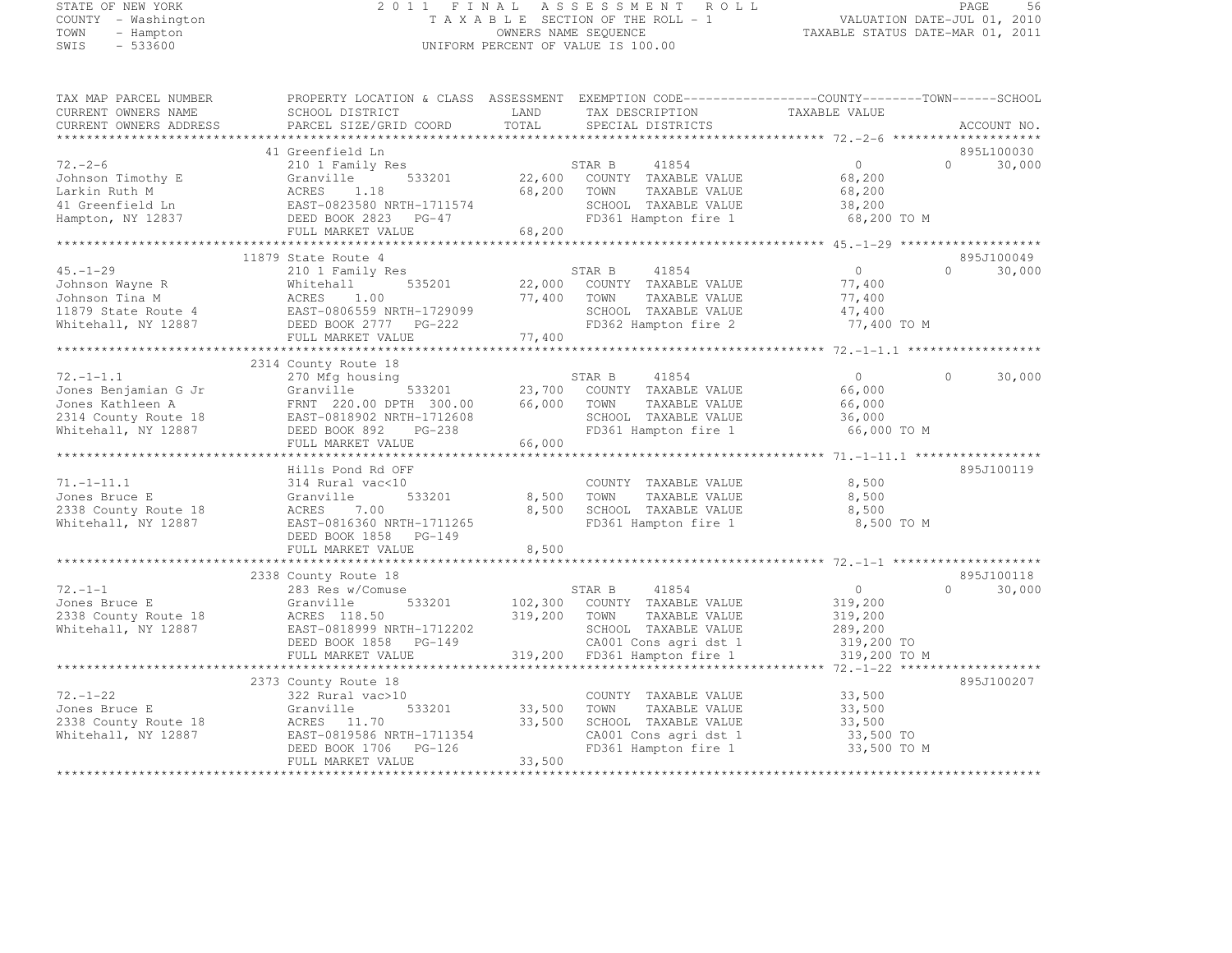# STATE OF NEW YORK 2 0 1 1 F I N A L A S S E S S M E N T R O L L PAGE <sup>56</sup> COUNTY - Washington T A X A B L E SECTION OF THE ROLL - 1 VALUATION DATE-JUL 01, 2010 TOWN - Hampton OWNERS NAME SEQUENCE TAXABLE STATUS DATE-MAR 01, 2011 SWIS - 533600 UNIFORM PERCENT OF VALUE IS 100.00

| TAX MAP PARCEL NUMBER<br>CURRENT OWNERS NAME<br>CURRENT OWNERS ADDRESS | PROPERTY LOCATION & CLASS ASSESSMENT EXEMPTION CODE----------------COUNTY-------TOWN------SCHOOL<br>SCHOOL DISTRICT<br>PARCEL SIZE/GRID COORD | LAND<br>TOTAL | TAX DESCRIPTION<br>SPECIAL DISTRICTS | TAXABLE VALUE            | ACCOUNT NO.        |
|------------------------------------------------------------------------|-----------------------------------------------------------------------------------------------------------------------------------------------|---------------|--------------------------------------|--------------------------|--------------------|
| **************************                                             |                                                                                                                                               |               |                                      |                          | $* * * * * *$      |
|                                                                        | 41 Greenfield Ln                                                                                                                              |               |                                      |                          | 895L100030         |
| $72. - 2 - 6$                                                          | 210 1 Family Res                                                                                                                              |               | STAR B<br>41854                      | $\circ$                  | $\Omega$<br>30,000 |
| Johnson Timothy E                                                      | 533201<br>Granville                                                                                                                           |               | 22,600 COUNTY TAXABLE VALUE          | 68,200                   |                    |
| Larkin Ruth M                                                          | ACRES<br>1.18                                                                                                                                 | 68,200        | TOWN<br>TAXABLE VALUE                | 68,200                   |                    |
| 41 Greenfield Ln                                                       | EAST-0823580 NRTH-1711574                                                                                                                     |               | SCHOOL TAXABLE VALUE                 | 38,200                   |                    |
| Hampton, NY 12837                                                      | DEED BOOK 2823 PG-47                                                                                                                          |               | FD361 Hampton fire 1                 | 68,200 TO M              |                    |
|                                                                        | FULL MARKET VALUE                                                                                                                             | 68,200        |                                      |                          |                    |
|                                                                        |                                                                                                                                               |               |                                      |                          |                    |
|                                                                        | 11879 State Route 4                                                                                                                           |               |                                      |                          | 895J100049         |
| $45. - 1 - 29$                                                         | 210 1 Family Res                                                                                                                              |               | STAR B<br>41854                      | $\circ$                  | 30,000<br>$\cap$   |
| Johnson Wayne R                                                        | 535201<br>Whitehall                                                                                                                           | 22,000        | COUNTY TAXABLE VALUE                 | 77,400                   |                    |
| Johnson Tina M                                                         | ACRES<br>1.00                                                                                                                                 | 77,400        | TOWN<br>TAXABLE VALUE                | 77,400                   |                    |
| 11879 State Route 4                                                    | EAST-0806559 NRTH-1729099                                                                                                                     |               | SCHOOL TAXABLE VALUE                 | 47,400                   |                    |
| Whitehall, NY 12887                                                    | DEED BOOK 2777 PG-222                                                                                                                         |               | FD362 Hampton fire 2                 | 77,400 TO M              |                    |
|                                                                        | FULL MARKET VALUE                                                                                                                             | 77,400        |                                      |                          |                    |
|                                                                        |                                                                                                                                               |               |                                      |                          |                    |
|                                                                        | 2314 County Route 18                                                                                                                          |               |                                      |                          |                    |
| $72. - 1 - 1.1$                                                        | 270 Mfg housing                                                                                                                               |               | STAR B<br>41854                      | $\circ$                  | $\Omega$<br>30,000 |
| Jones Benjamian G Jr                                                   | Granville<br>533201                                                                                                                           | 23,700        | COUNTY TAXABLE VALUE                 | 66,000                   |                    |
|                                                                        | FRNT 220.00 DPTH 300.00                                                                                                                       | 66,000        | TOWN<br>TAXABLE VALUE                | 66,000                   |                    |
|                                                                        | EAST-0818902 NRTH-1712608                                                                                                                     |               | SCHOOL TAXABLE VALUE                 | 36,000                   |                    |
| Jones Kathleen A<br>2314 County Route 18<br>Whitehall, NY 12887        | DEED BOOK 892<br>PG-238                                                                                                                       |               | FD361 Hampton fire 1                 | 66,000 TO M              |                    |
|                                                                        | FULL MARKET VALUE                                                                                                                             | 66,000        |                                      |                          |                    |
|                                                                        |                                                                                                                                               |               |                                      |                          |                    |
|                                                                        | Hills Pond Rd OFF                                                                                                                             |               |                                      |                          | 895J100119         |
| $71. - 1 - 11.1$                                                       | 314 Rural vac<10                                                                                                                              |               | COUNTY TAXABLE VALUE                 | 8,500                    |                    |
| Jones Bruce E                                                          | 533201<br>Granville                                                                                                                           | 8,500         | TOWN<br>TAXABLE VALUE                | 8,500                    |                    |
| 2338 County Route 18                                                   | ACRES<br>7.00                                                                                                                                 | 8,500         | SCHOOL TAXABLE VALUE                 | 8,500                    |                    |
| Whitehall, NY 12887                                                    | EAST-0816360 NRTH-1711265                                                                                                                     |               | FD361 Hampton fire 1                 | 8,500 TO M               |                    |
|                                                                        | DEED BOOK 1858 PG-149                                                                                                                         |               |                                      |                          |                    |
|                                                                        | FULL MARKET VALUE                                                                                                                             | 8,500         |                                      |                          |                    |
|                                                                        |                                                                                                                                               |               |                                      |                          |                    |
|                                                                        | 2338 County Route 18                                                                                                                          |               |                                      |                          | 895J100118         |
| $72. - 1 - 1$                                                          | 283 Res w/Comuse                                                                                                                              |               | 41854<br>STAR B                      | $\overline{0}$           | $\Omega$<br>30,000 |
| Jones Bruce E                                                          | 533201<br>Granville                                                                                                                           |               | 102,300 COUNTY TAXABLE VALUE         | 319,200                  |                    |
| 2338 County Route 18                                                   | ACRES 118.50                                                                                                                                  | 319,200 TOWN  | TAXABLE VALUE                        | 319,200                  |                    |
| Whitehall, NY 12887                                                    | EAST-0818999 NRTH-1712202                                                                                                                     |               | SCHOOL TAXABLE VALUE                 | 289,200                  |                    |
|                                                                        | DEED BOOK 1858 PG-149                                                                                                                         |               | CA001 Cons agri dst 1                | 319,200 TO               |                    |
|                                                                        | FULL MARKET VALUE                                                                                                                             |               | 319,200 FD361 Hampton fire 1         | 319,200 TO M             |                    |
|                                                                        | *********************                                                                                                                         |               |                                      | ******** 72.-1-22 ****** |                    |
|                                                                        | 2373 County Route 18                                                                                                                          |               |                                      |                          | 895J100207         |
| $72. - 1 - 22$                                                         | 322 Rural vac>10                                                                                                                              |               | COUNTY TAXABLE VALUE                 | 33,500                   |                    |
| Jones Bruce E                                                          | 533201<br>Granville                                                                                                                           | 33,500        | TOWN<br>TAXABLE VALUE                | 33,500                   |                    |
| 2338 County Route 18                                                   | ACRES 11.70                                                                                                                                   | 33,500        | SCHOOL TAXABLE VALUE                 | 33,500                   |                    |
| Whitehall, NY 12887                                                    | EAST-0819586 NRTH-1711354                                                                                                                     |               | CA001 Cons agri dst 1                | 33,500 TO                |                    |
|                                                                        | DEED BOOK 1706 PG-126                                                                                                                         |               | FD361 Hampton fire 1                 | 33,500 TO M              |                    |
|                                                                        | FULL MARKET VALUE                                                                                                                             | 33,500        |                                      |                          |                    |
|                                                                        |                                                                                                                                               |               |                                      |                          |                    |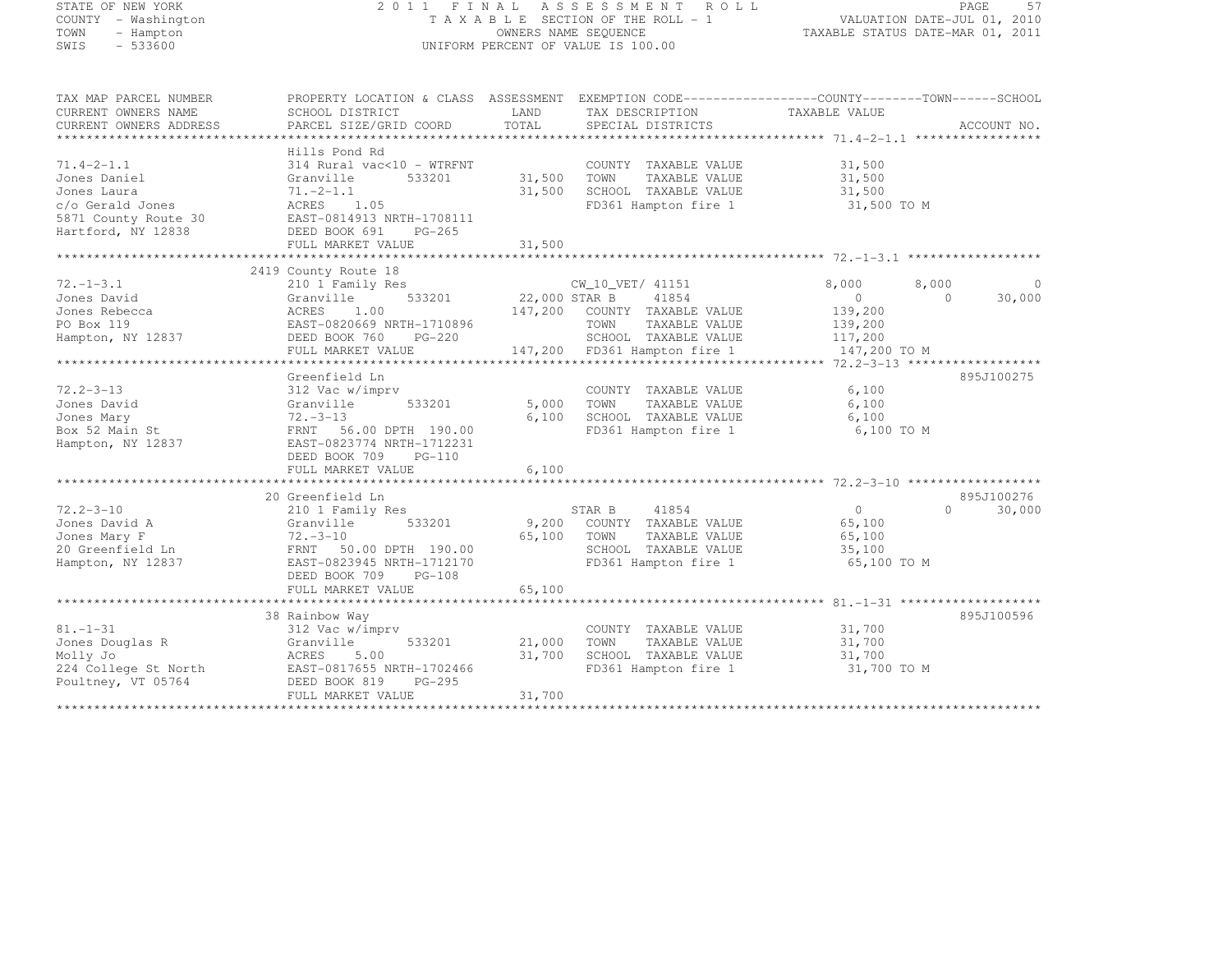| STATE OF NEW YORK<br>COUNTY - Washington<br>TOWN<br>- Hampton                                                     |                                                                                                                                                                 |                          | 2011 FINAL ASSESSMENT ROLL<br>T A X A B L E SECTION OF THE ROLL - 1<br>OWNERS NAME SEQUENCE                                        | VALUATION DATE-JUL 01, 2010<br>TAXABLE STATUS DATE-MAR 01, 2011            | PAGE<br>57                       |
|-------------------------------------------------------------------------------------------------------------------|-----------------------------------------------------------------------------------------------------------------------------------------------------------------|--------------------------|------------------------------------------------------------------------------------------------------------------------------------|----------------------------------------------------------------------------|----------------------------------|
| SWIS<br>$-533600$                                                                                                 |                                                                                                                                                                 |                          | UNIFORM PERCENT OF VALUE IS 100.00                                                                                                 |                                                                            |                                  |
| TAX MAP PARCEL NUMBER<br>CURRENT OWNERS NAME                                                                      | PROPERTY LOCATION & CLASS ASSESSMENT EXEMPTION CODE----------------COUNTY-------TOWN------SCHOOL<br>SCHOOL DISTRICT                                             | LAND                     | TAX DESCRIPTION                                                                                                                    | TAXABLE VALUE                                                              |                                  |
| CURRENT OWNERS ADDRESS                                                                                            | PARCEL SIZE/GRID COORD                                                                                                                                          | TOTAL                    | SPECIAL DISTRICTS                                                                                                                  |                                                                            | ACCOUNT NO.                      |
|                                                                                                                   | Hills Pond Rd                                                                                                                                                   |                          |                                                                                                                                    |                                                                            |                                  |
| $71.4 - 2 - 1.1$<br>Jones Daniel<br>Jones Laura<br>c/o Gerald Jones<br>5871 County Route 30<br>Hartford, NY 12838 | 314 Rural vac<10 - WTRFNT<br>533201<br>Granville<br>$71 - 2 - 1.1$<br>1.05<br>ACRES<br>EAST-0814913 NRTH-1708111<br>DEED BOOK 691<br>$PG-265$                   | 31,500<br>31,500         | COUNTY TAXABLE VALUE<br>TOWN<br>TAXABLE VALUE<br>SCHOOL TAXABLE VALUE<br>FD361 Hampton fire 1                                      | 31,500<br>31,500<br>31,500<br>31,500 TO M                                  |                                  |
|                                                                                                                   | FULL MARKET VALUE                                                                                                                                               | 31,500                   |                                                                                                                                    |                                                                            |                                  |
|                                                                                                                   | ***********************                                                                                                                                         | * * * * * * * * * *      |                                                                                                                                    |                                                                            |                                  |
| $72. - 1 - 3.1$<br>Jones David<br>Jones Rebecca<br>PO Box 119<br>Hampton, NY 12837                                | 2419 County Route 18<br>210 1 Family Res<br>533201<br>Granville<br>ACRES<br>1.00<br>EAST-0820669 NRTH-1710896<br>DEED BOOK 760<br>$PG-220$<br>FULL MARKET VALUE | 22,000 STAR B<br>147,200 | CW 10 VET/ 41151<br>41854<br>COUNTY TAXABLE VALUE<br>TOWN<br>TAXABLE VALUE<br>SCHOOL TAXABLE VALUE<br>147,200 FD361 Hampton fire 1 | 8,000<br>8,000<br>$\circ$<br>139,200<br>139,200<br>117,200<br>147,200 TO M | $\circ$<br>30,000<br>$\Omega$    |
|                                                                                                                   |                                                                                                                                                                 |                          |                                                                                                                                    |                                                                            |                                  |
| $72.2 - 3 - 13$<br>Jones David<br>Jones Mary<br>Box 52 Main St<br>Hampton, NY 12837                               | Greenfield Ln<br>312 Vac w/imprv<br>Granville<br>533201<br>72.-3-13<br>FRNT 56.00 DPTH 190.00<br>EAST-0823774 NRTH-1712231<br>DEED BOOK 709<br>PG-110           | 5,000<br>6,100           | COUNTY TAXABLE VALUE<br>TOWN<br>TAXABLE VALUE<br>SCHOOL TAXABLE VALUE<br>FD361 Hampton fire 1                                      | 6,100<br>6,100<br>6,100<br>6,100 TO M                                      | 895J100275                       |
|                                                                                                                   | FULL MARKET VALUE                                                                                                                                               | 6,100                    |                                                                                                                                    |                                                                            |                                  |
| $72.2 - 3 - 10$<br>Jones David A<br>Jones Mary F<br>20 Greenfield Ln                                              | 20 Greenfield Ln<br>210 1 Family Res<br>533201<br>Granville<br>$72 - 3 - 10$<br>FRNT 50.00 DPTH 190.00                                                          | 9,200<br>65,100          | STAR B<br>41854<br>COUNTY TAXABLE VALUE<br>TOWN<br>TAXABLE VALUE<br>SCHOOL TAXABLE VALUE                                           | 0<br>65,100<br>65,100<br>35,100                                            | 895J100276<br>$\Omega$<br>30,000 |
| Hampton, NY 12837                                                                                                 | EAST-0823945 NRTH-1712170<br>DEED BOOK 709<br>$PG-108$<br>FULL MARKET VALUE                                                                                     | 65,100                   | FD361 Hampton fire 1                                                                                                               | 65,100 TO M                                                                |                                  |
|                                                                                                                   | 38 Rainbow Way                                                                                                                                                  |                          |                                                                                                                                    |                                                                            | 895J100596                       |
| 81.-1-31<br>Jones Douglas R                                                                                       | 312 Vac w/imprv<br>Granville<br>533201                                                                                                                          | 21,000                   | COUNTY TAXABLE VALUE<br>TOWN<br>TAXABLE VALUE                                                                                      | 31,700<br>31,700                                                           |                                  |

\*\*\*\*\*\*\*\*\*\*\*\*\*\*\*\*\*\*\*\*\*\*\*\*\*\*\*\*\*\*\*\*\*\*\*\*\*\*\*\*\*\*\*\*\*\*\*\*\*\*\*\*\*\*\*\*\*\*\*\*\*\*\*\*\*\*\*\*\*\*\*\*\*\*\*\*\*\*\*\*\*\*\*\*\*\*\*\*\*\*\*\*\*\*\*\*\*\*\*\*\*\*\*\*\*\*\*\*\*\*\*\*\*\*\*\*\*\*\*\*\*\*\*\*\*\*\*\*\*\*\*\*

Molly Jo ACRES 5.00 31,700 SCHOOL TAXABLE VALUE 31,700 224 College St North EAST-0817655 NRTH-1702466 FD361 Hampton fire 1 31,700 TO M

FULL MARKET VALUE 31,700

Poultney, VT 05764 DEED BOOK 819 PG-295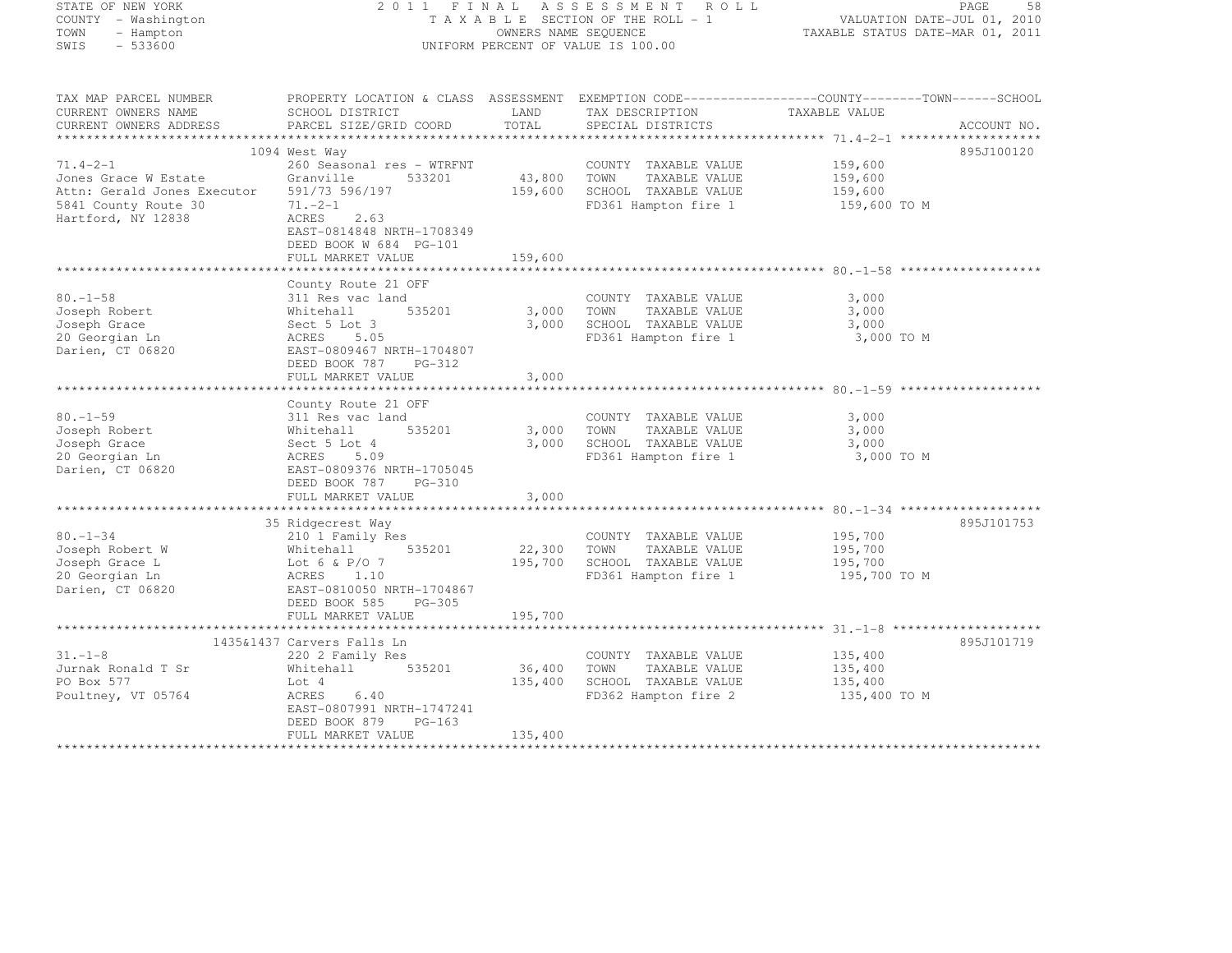| STATE OF NEW YORK                                                  |                                                                                                 |             | 2011 FINAL ASSESSMENT ROLL                                 |                         | PAGE<br>58                                                      |
|--------------------------------------------------------------------|-------------------------------------------------------------------------------------------------|-------------|------------------------------------------------------------|-------------------------|-----------------------------------------------------------------|
| COUNTY - Washington<br>TOWN                                        |                                                                                                 |             | TAXABLE SECTION OF THE ROLL - 1                            |                         | VALUATION DATE-JUL 01, 2010<br>TAXABLE STATUS DATE-MAR 01, 2011 |
| - Hampton<br>SWIS<br>$-533600$                                     |                                                                                                 |             | OWNERS NAME SEQUENCE<br>UNIFORM PERCENT OF VALUE IS 100.00 |                         |                                                                 |
|                                                                    |                                                                                                 |             |                                                            |                         |                                                                 |
| TAX MAP PARCEL NUMBER                                              | PROPERTY LOCATION & CLASS ASSESSMENT EXEMPTION CODE----------------COUNTY-------TOWN-----SCHOOL |             |                                                            |                         |                                                                 |
| CURRENT OWNERS NAME                                                | SCHOOL DISTRICT                                                                                 | LAND        | TAX DESCRIPTION                                            | TAXABLE VALUE           |                                                                 |
| CURRENT OWNERS ADDRESS                                             | PARCEL SIZE/GRID COORD                                                                          | TOTAL       | SPECIAL DISTRICTS                                          |                         | ACCOUNT NO.                                                     |
|                                                                    |                                                                                                 |             |                                                            |                         |                                                                 |
|                                                                    | 1094 West Way                                                                                   |             |                                                            |                         | 895J100120                                                      |
| $71.4 - 2 - 1$                                                     | 260 Seasonal res - WTRFNT                                                                       |             | COUNTY TAXABLE VALUE                                       | 159,600                 |                                                                 |
| Jones Grace W Estate                                               | Granville<br>533201                                                                             | 43,800 TOWN | TAXABLE VALUE                                              | 159,600                 |                                                                 |
| Attn: Gerald Jones Executor 591/73 596/197<br>5841 County Route 30 | $71 - 2 - 1$                                                                                    | 159,600     | SCHOOL TAXABLE VALUE<br>FD361 Hampton fire 1               | 159,600<br>159,600 TO M |                                                                 |
| Hartford, NY 12838                                                 | ACRES<br>2.63                                                                                   |             |                                                            |                         |                                                                 |
|                                                                    | EAST-0814848 NRTH-1708349                                                                       |             |                                                            |                         |                                                                 |
|                                                                    | DEED BOOK W 684 PG-101                                                                          |             |                                                            |                         |                                                                 |
|                                                                    | FULL MARKET VALUE                                                                               | 159,600     |                                                            |                         |                                                                 |
|                                                                    |                                                                                                 |             |                                                            |                         |                                                                 |
|                                                                    | County Route 21 OFF                                                                             |             |                                                            |                         |                                                                 |
| $80. - 1 - 58$                                                     | 311 Res vac land                                                                                |             | COUNTY TAXABLE VALUE                                       | 3,000                   |                                                                 |
| Joseph Robert                                                      | 535201                                                                                          | 3,000       | TOWN<br>TAXABLE VALUE                                      | 3,000                   |                                                                 |
| Joseph Grace                                                       | Whitehall<br>Sect 5 Lot 3<br>ACRES 5.05                                                         | 3,000       | SCHOOL TAXABLE VALUE                                       | 3,000                   |                                                                 |
| 20 Georgian Ln                                                     |                                                                                                 |             | FD361 Hampton fire 1                                       | 3,000 TO M              |                                                                 |
| Darien, CT 06820                                                   | EAST-0809467 NRTH-1704807                                                                       |             |                                                            |                         |                                                                 |
|                                                                    | DEED BOOK 787<br>PG-312                                                                         |             |                                                            |                         |                                                                 |
|                                                                    | FULL MARKET VALUE                                                                               | 3,000       |                                                            |                         |                                                                 |
|                                                                    | County Route 21 OFF                                                                             |             |                                                            |                         |                                                                 |
| $80. - 1 - 59$                                                     | 311 Res vac land                                                                                |             | COUNTY TAXABLE VALUE                                       | 3,000                   |                                                                 |
| Joseph Robert                                                      | 535201                                                                                          | 3,000       | TAXABLE VALUE<br>TOWN                                      | 3,000                   |                                                                 |
| Joseph Grace                                                       | Whitehall<br>Sect 5 Lot 4<br>ACRES 5.09                                                         | 3,000       | SCHOOL TAXABLE VALUE                                       | 3,000                   |                                                                 |
| 20 Georgian Ln                                                     |                                                                                                 |             | FD361 Hampton fire 1                                       | 3,000 TO M              |                                                                 |
| Darien, CT 06820                                                   | EAST-0809376 NRTH-1705045                                                                       |             |                                                            |                         |                                                                 |
|                                                                    | DEED BOOK 787<br>PG-310                                                                         |             |                                                            |                         |                                                                 |
|                                                                    | FULL MARKET VALUE                                                                               | 3,000       |                                                            |                         |                                                                 |
|                                                                    |                                                                                                 |             |                                                            |                         |                                                                 |
|                                                                    | 35 Ridgecrest Way                                                                               |             |                                                            |                         | 895J101753                                                      |
| $80. - 1 - 34$                                                     | 210 1 Family Res                                                                                |             | COUNTY TAXABLE VALUE                                       | 195,700                 |                                                                 |
| Joseph Robert W                                                    | Whitehall<br>535201                                                                             | 22,300      | TOWN<br>TAXABLE VALUE                                      | 195,700                 |                                                                 |
| Joseph Grace L                                                     | Lot 6 & P/O 7                                                                                   | 195,700     | SCHOOL TAXABLE VALUE                                       | 195,700                 |                                                                 |
| 20 Georgian Ln                                                     | ACRES 1.10                                                                                      |             | FD361 Hampton fire 1                                       | 195,700 TO M            |                                                                 |
| Darien, CT 06820                                                   | EAST-0810050 NRTH-1704867                                                                       |             |                                                            |                         |                                                                 |
|                                                                    | DEED BOOK 585<br>PG-305<br>FULL MARKET VALUE                                                    | 195,700     |                                                            |                         |                                                                 |
|                                                                    |                                                                                                 |             |                                                            |                         |                                                                 |
|                                                                    | 1435&1437 Carvers Falls Ln                                                                      |             |                                                            |                         | 895J101719                                                      |
| $31. - 1 - 8$                                                      | 220 2 Family Res                                                                                |             | COUNTY TAXABLE VALUE                                       | 135,400                 |                                                                 |
| Jurnak Ronald T Sr                                                 | Whitehall<br>535201                                                                             | 36,400      | TOWN<br>TAXABLE VALUE                                      | 135,400                 |                                                                 |
| PO Box 577                                                         | Lot 4                                                                                           | 135,400     | SCHOOL TAXABLE VALUE                                       | 135,400                 |                                                                 |
| Poultney, VT 05764                                                 | ACRES<br>6.40                                                                                   |             | FD362 Hampton fire 2                                       | 135,400 TO M            |                                                                 |
|                                                                    | EAST-0807991 NRTH-1747241                                                                       |             |                                                            |                         |                                                                 |
|                                                                    | DEED BOOK 879<br>$PG-163$                                                                       |             |                                                            |                         |                                                                 |
|                                                                    |                                                                                                 |             |                                                            |                         |                                                                 |

\*\*\*\*\*\*\*\*\*\*\*\*\*\*\*\*\*\*\*\*\*\*\*\*\*\*\*\*\*\*\*\*\*\*\*\*\*\*\*\*\*\*\*\*\*\*\*\*\*\*\*\*\*\*\*\*\*\*\*\*\*\*\*\*\*\*\*\*\*\*\*\*\*\*\*\*\*\*\*\*\*\*\*\*\*\*\*\*\*\*\*\*\*\*\*\*\*\*\*\*\*\*\*\*\*\*\*\*\*\*\*\*\*\*\*\*\*\*\*\*\*\*\*\*\*\*\*\*\*\*\*\*

FULL MARKET VALUE 135,400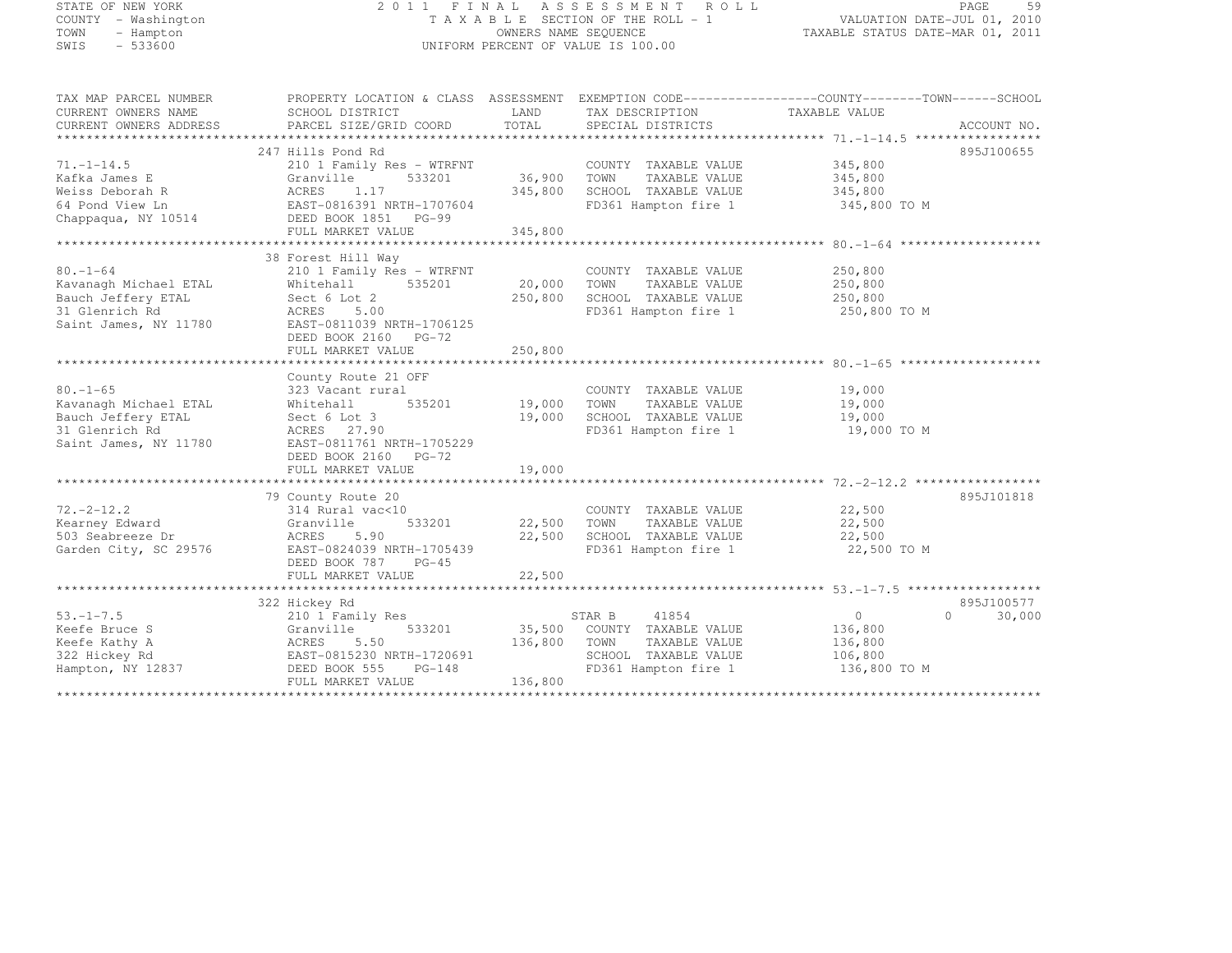| STATE OF NEW YORK<br>COUNTY - Washington<br>TOWN<br>- Hampton<br>$-533600$<br>SWIS                       |                                                                                                                                                                                |                              | 2011 FINAL ASSESSMENT ROLL<br>T A X A B L E SECTION OF THE ROLL - 1<br>OWNERS NAME SEQUENCE<br>UNIFORM PERCENT OF VALUE IS 100.00 | VALUATION DATE-JUL 01, 2010<br>TAXABLE STATUS DATE-MAR 01, 2011 | 59<br>PAGE  |
|----------------------------------------------------------------------------------------------------------|--------------------------------------------------------------------------------------------------------------------------------------------------------------------------------|------------------------------|-----------------------------------------------------------------------------------------------------------------------------------|-----------------------------------------------------------------|-------------|
| TAX MAP PARCEL NUMBER<br>CURRENT OWNERS NAME<br>CURRENT OWNERS ADDRESS                                   | PROPERTY LOCATION & CLASS ASSESSMENT EXEMPTION CODE-----------------COUNTY-------TOWN------SCHOOL<br>SCHOOL DISTRICT<br>PARCEL SIZE/GRID COORD                                 | LAND<br>TOTAL                | TAX DESCRIPTION<br>SPECIAL DISTRICTS                                                                                              | TAXABLE VALUE                                                   | ACCOUNT NO. |
| $71. - 1 - 14.5$<br>Kafka James E<br>Weiss Deborah R<br>64 Pond View Ln<br>Chappaqua, NY 10514           | 247 Hills Pond Rd<br>210 1 Family Res - WTRFNT<br>Granville<br>533201<br>ACRES 1.17<br>EAST-0816391 NRTH-1707604<br>DEED BOOK 1851 PG-99<br>FULL MARKET VALUE                  | 36,900<br>345,800<br>345,800 | COUNTY TAXABLE VALUE<br>TOWN<br>TAXABLE VALUE<br>SCHOOL TAXABLE VALUE<br>FD361 Hampton fire 1                                     | 345,800<br>345,800<br>345,800<br>345,800 TO M                   | 895J100655  |
| $80. - 1 - 64$<br>Kavanagh Michael ETAL<br>Bauch Jeffery ETAL<br>31 Glenrich Rd<br>Saint James, NY 11780 | 38 Forest Hill Way<br>210 1 Family Res - WTRFNT<br>535201<br>Whitehall<br>Sect 6 Lot 2<br>ACRES 5.00<br>EAST-0811039 NRTH-1706125<br>DEED BOOK 2160 PG-72<br>FULL MARKET VALUE | 20,000<br>250,800<br>250,800 | COUNTY TAXABLE VALUE<br>TAXABLE VALUE<br>TOWN<br>SCHOOL TAXABLE VALUE<br>FD361 Hampton fire 1                                     | 250,800<br>250,800<br>250,800<br>250,800 TO M                   |             |
| $80. - 1 - 65$<br>Kavanagh Michael ETAL<br>Bauch Jeffery ETAL<br>31 Glenrich Rd<br>Saint James, NY 11780 | County Route 21 OFF<br>323 Vacant rural<br>Whitehall<br>535201<br>Sect 6 Lot 3<br>ACRES 27.90<br>EAST-0811761 NRTH-1705229<br>DEED BOOK 2160 PG-72<br>FULL MARKET VALUE        | 19,000<br>19,000<br>19,000   | COUNTY TAXABLE VALUE<br>TOWN<br>TAXABLE VALUE<br>SCHOOL TAXABLE VALUE<br>FD361 Hampton fire 1                                     | 19,000<br>19,000<br>19,000<br>19,000 TO M                       |             |
| $72, -2 - 12, 2$<br>Kearney Edward<br>503 Seabreeze Dr<br>22.00000                                       | 79 County Route 20<br>314 Rural vac<10<br>533201<br>Granville<br>ACRES<br>5.90<br>FROE 8884838 HEEH 1785438                                                                    | 22,500<br>22,500             | COUNTY TAXABLE VALUE<br>TOWN<br>TAXABLE VALUE<br>SCHOOL TAXABLE VALUE<br>$\blacksquare$                                           | 22,500<br>22,500<br>22,500<br>$\sim$ $\sim$ $\sim$ $\sim$       | 895J101818  |

Garden City, SC 29576 EAST-0824039 NRTH-1705439 FD361 Hampton fire 1 22,500 TO M

Keefe Bruce S Granville 533201 35,500 COUNTY TAXABLE VALUE 136,800 Keefe Kathy A ACRES 5.50 136,800 TOWN TAXABLE VALUE 136,800 322 Hickey Rd EAST-0815230 NRTH-1720691 SCHOOL TAXABLE VALUE 106,800 Hampton, NY 12837 DEED BOOK 555 PG-148 FD361 Hampton fire 1 136,800 TO M

FULL MARKET VALUE 22,500 \*\*\*\*\*\*\*\*\*\*\*\*\*\*\*\*\*\*\*\*\*\*\*\*\*\*\*\*\*\*\*\*\*\*\*\*\*\*\*\*\*\*\*\*\*\*\*\*\*\*\*\*\*\*\*\*\*\*\*\*\*\*\*\*\*\*\*\*\*\*\*\*\*\*\*\*\*\*\*\*\*\*\*\*\*\*\*\*\*\*\*\*\*\*\*\*\*\*\*\*\*\*\* 53.-1-7.5 \*\*\*\*\*\*\*\*\*\*\*\*\*\*\*\*\*\*

322 Hickey Rd 895J100577 53.-1-7.5 210 1 Family Res STAR B <sup>41854</sup> <sup>0</sup> 0 30,000

\*\*\*\*\*\*\*\*\*\*\*\*\*\*\*\*\*\*\*\*\*\*\*\*\*\*\*\*\*\*\*\*\*\*\*\*\*\*\*\*\*\*\*\*\*\*\*\*\*\*\*\*\*\*\*\*\*\*\*\*\*\*\*\*\*\*\*\*\*\*\*\*\*\*\*\*\*\*\*\*\*\*\*\*\*\*\*\*\*\*\*\*\*\*\*\*\*\*\*\*\*\*\*\*\*\*\*\*\*\*\*\*\*\*\*\*\*\*\*\*\*\*\*\*\*\*\*\*\*\*\*\*

895J100577

DEED BOOK 787 PG-45

FULL MARKET VALUE 136,800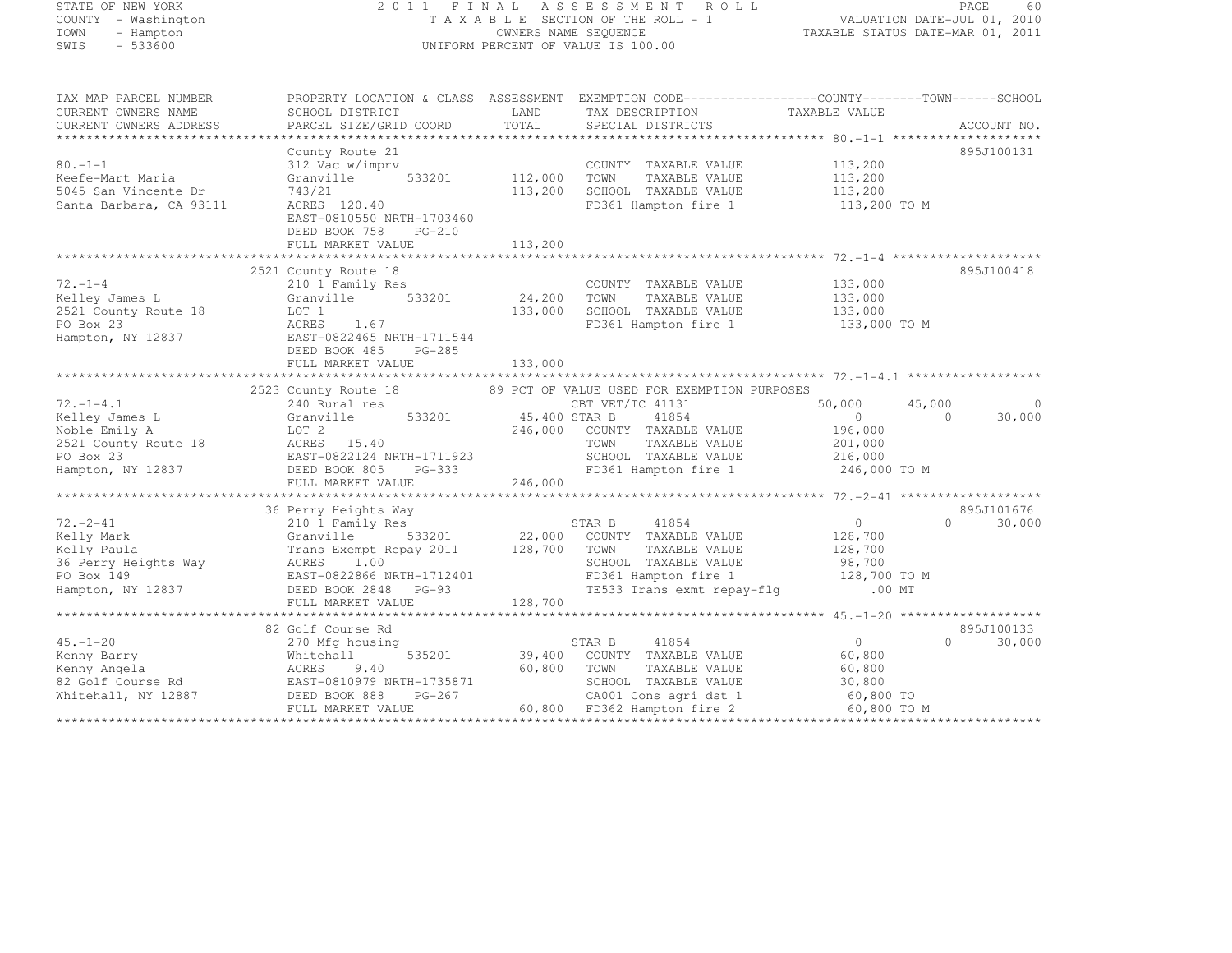| STATE OF NEW YORK<br>COUNTY - Washington<br>TOWN<br>- Hampton<br>$-533600$<br>SWIS | 2011                                                                                                                                                                                                                                               |                     | FINAL ASSESSMENT ROLL<br>T A X A B L E SECTION OF THE ROLL - 1<br>OWNERS NAME SEQUENCE<br>UNIFORM PERCENT OF VALUE IS 100.00 | VALUATION DATE-JUL 01, 2010<br>TAXABLE STATUS DATE-MAR 01, 2011 | PAGE<br>60                  |
|------------------------------------------------------------------------------------|----------------------------------------------------------------------------------------------------------------------------------------------------------------------------------------------------------------------------------------------------|---------------------|------------------------------------------------------------------------------------------------------------------------------|-----------------------------------------------------------------|-----------------------------|
| TAX MAP PARCEL NUMBER                                                              | PROPERTY LOCATION & CLASS ASSESSMENT EXEMPTION CODE----------------COUNTY-------TOWN-----SCHOOL                                                                                                                                                    |                     |                                                                                                                              |                                                                 |                             |
| CURRENT OWNERS NAME<br>CURRENT OWNERS ADDRESS                                      | SCHOOL DISTRICT<br>PARCEL SIZE/GRID COORD                                                                                                                                                                                                          | LAND<br>TOTAL       | TAX DESCRIPTION TAXABLE VALUE<br>SPECIAL DISTRICTS                                                                           |                                                                 | ACCOUNT NO.                 |
|                                                                                    |                                                                                                                                                                                                                                                    |                     |                                                                                                                              |                                                                 |                             |
|                                                                                    | County Route 21                                                                                                                                                                                                                                    |                     |                                                                                                                              |                                                                 | 895J100131                  |
| $80. - 1 - 1$                                                                      | 312 Vac w/imprv                                                                                                                                                                                                                                    |                     | COUNTY TAXABLE VALUE                                                                                                         | 113,200                                                         |                             |
| Keefe-Mart Maria                                                                   | Granville                                                                                                                                                                                                                                          | 533201 112,000 TOWN | TAXABLE VALUE                                                                                                                | 113,200                                                         |                             |
| 5045 San Vincente Dr                                                               | 743/21                                                                                                                                                                                                                                             | 113,200             | SCHOOL TAXABLE VALUE                                                                                                         | 113,200                                                         |                             |
| Santa Barbara, CA 93111                                                            | ACRES 120.40<br>EAST-0810550 NRTH-1703460<br>DEED BOOK 758 PG-210                                                                                                                                                                                  |                     | FD361 Hampton fire 1                                                                                                         | 113,200 TO M                                                    |                             |
|                                                                                    | FULL MARKET VALUE                                                                                                                                                                                                                                  | 113,200             |                                                                                                                              |                                                                 |                             |
|                                                                                    |                                                                                                                                                                                                                                                    |                     |                                                                                                                              |                                                                 | 895J100418                  |
| $72. - 1 - 4$                                                                      | 2521 County Route 18<br>210 1 Family Res                                                                                                                                                                                                           |                     | COUNTY TAXABLE VALUE                                                                                                         | 133,000                                                         |                             |
| /2.-⊥- <del>u</del><br>Kelley James L                                              | Granville 533201                                                                                                                                                                                                                                   | 24,200              | TOWN<br>TAXABLE VALUE                                                                                                        | 133,000                                                         |                             |
|                                                                                    |                                                                                                                                                                                                                                                    | 133,000             | SCHOOL TAXABLE VALUE                                                                                                         |                                                                 |                             |
|                                                                                    |                                                                                                                                                                                                                                                    |                     | FD361 Hampton fire 1                                                                                                         | 133,000<br>133,000 TO M                                         |                             |
|                                                                                    | Nelley James L<br>2521 County Route 18<br>PO Box 23<br>Hampton, NY 12837<br>Hampton, NY 12837<br>CHERED BOOK 485 PG-285<br>CHERED BOOK 485 PG-285                                                                                                  |                     |                                                                                                                              |                                                                 |                             |
|                                                                                    | FULL MARKET VALUE                                                                                                                                                                                                                                  | 133,000             |                                                                                                                              |                                                                 |                             |
|                                                                                    |                                                                                                                                                                                                                                                    |                     |                                                                                                                              |                                                                 |                             |
|                                                                                    | 2523 County Route 18 69 PCT OF VALUE USED FOR EXEMPTION PURPOSES                                                                                                                                                                                   |                     |                                                                                                                              |                                                                 |                             |
| $72. - 1 - 4.1$                                                                    | 240 Rural res                                                                                                                                                                                                                                      |                     | CBT VET/TC 41131                                                                                                             | 50,000                                                          | 45,000<br>$\overline{0}$    |
| Kelley James L                                                                     | Granville 533201 45,400<br>LOT 2 246,000<br>ACRES 15.40<br>EAST-0822124 NRTH-1711923<br>DEED BOOK 805 PG-333                                                                                                                                       | 45,400 STAR B       | 41854                                                                                                                        | $\overline{0}$                                                  | $\overline{0}$<br>30,000    |
| Noble Emily A<br>2521 County Route 18                                              |                                                                                                                                                                                                                                                    |                     | 246,000 COUNTY TAXABLE VALUE                                                                                                 | 196,000                                                         |                             |
|                                                                                    |                                                                                                                                                                                                                                                    |                     | TOWN<br>TAXABLE VALUE<br>SCHOOL TAXABLE VALUE                                                                                | 201,000<br>216,000                                              |                             |
| PO Box 23<br>Hampton, NY 12837                                                     |                                                                                                                                                                                                                                                    |                     | FD361 Hampton fire 1                                                                                                         | 246,000 TO M                                                    |                             |
|                                                                                    | FULL MARKET VALUE                                                                                                                                                                                                                                  | 246,000             |                                                                                                                              |                                                                 |                             |
|                                                                                    |                                                                                                                                                                                                                                                    |                     |                                                                                                                              |                                                                 |                             |
|                                                                                    | 36 Perry Heights Way                                                                                                                                                                                                                               |                     |                                                                                                                              |                                                                 | 895J101676                  |
|                                                                                    |                                                                                                                                                                                                                                                    |                     | STAR B 41854                                                                                                                 | $\overline{0}$                                                  | $\Omega$<br>30,000          |
|                                                                                    |                                                                                                                                                                                                                                                    |                     | 22,000 COUNTY TAXABLE VALUE                                                                                                  | 128,700                                                         |                             |
|                                                                                    |                                                                                                                                                                                                                                                    |                     | TOWN<br>TAXABLE VALUE                                                                                                        | 128,700                                                         |                             |
|                                                                                    |                                                                                                                                                                                                                                                    |                     | SCHOOL TAXABLE VALUE                                                                                                         | 98,700                                                          |                             |
|                                                                                    |                                                                                                                                                                                                                                                    |                     | SCHOOL TAXABLE VALUE<br>FD361 Hampton fire 1                                                                                 | 128,700 TO M                                                    |                             |
|                                                                                    | 12.-2-41<br>Kelly Mark 210 1 Family Res S<br>Kelly Paula Trans Exempt Repay 2011 22,000<br>36 Perry Heights Way ACRES 1.00<br>PO Box 149 EAST-0822866 NRTH-1712401<br>Hampton, NY 12837 EULL MARKET VALUE RESONALLY                                |                     | TE533 Trans exmt repay-flg                                                                                                   | $.00$ MT                                                        |                             |
|                                                                                    |                                                                                                                                                                                                                                                    |                     |                                                                                                                              |                                                                 |                             |
|                                                                                    | 82 Golf Course Rd                                                                                                                                                                                                                                  |                     |                                                                                                                              |                                                                 | 895J100133                  |
|                                                                                    | Weinder Marry (1997)<br>Marry Mittehall S35201<br>Eenny Angela (1998)<br>S2 Golf Course Rd (1997–1980)<br>Mittehall, NY 12887<br>(1997–1998)<br>Mittehall, NY 12887<br>(1997–1998)<br>Mittehall, NY 12887<br>(1997–1998)<br>EED BOOK 888<br>FG-267 |                     | STAR B<br>41854                                                                                                              | $\overline{0}$                                                  | $0 \qquad \qquad$<br>30,000 |
|                                                                                    |                                                                                                                                                                                                                                                    |                     | 39,400 COUNTY TAXABLE VALUE                                                                                                  | 60,800                                                          |                             |
|                                                                                    |                                                                                                                                                                                                                                                    | 60,800              | TOWN<br>TAXABLE VALUE                                                                                                        | 60,800                                                          |                             |
|                                                                                    |                                                                                                                                                                                                                                                    |                     | SCHOOL TAXABLE VALUE                                                                                                         | 30,800                                                          |                             |
|                                                                                    |                                                                                                                                                                                                                                                    |                     | CA001 Cons agri dst 1 60,800 TO<br>CA001 Cons agri dst 1 60,800 TO<br>60,800 TO M                                            |                                                                 |                             |
|                                                                                    |                                                                                                                                                                                                                                                    |                     |                                                                                                                              |                                                                 |                             |
|                                                                                    |                                                                                                                                                                                                                                                    |                     |                                                                                                                              |                                                                 |                             |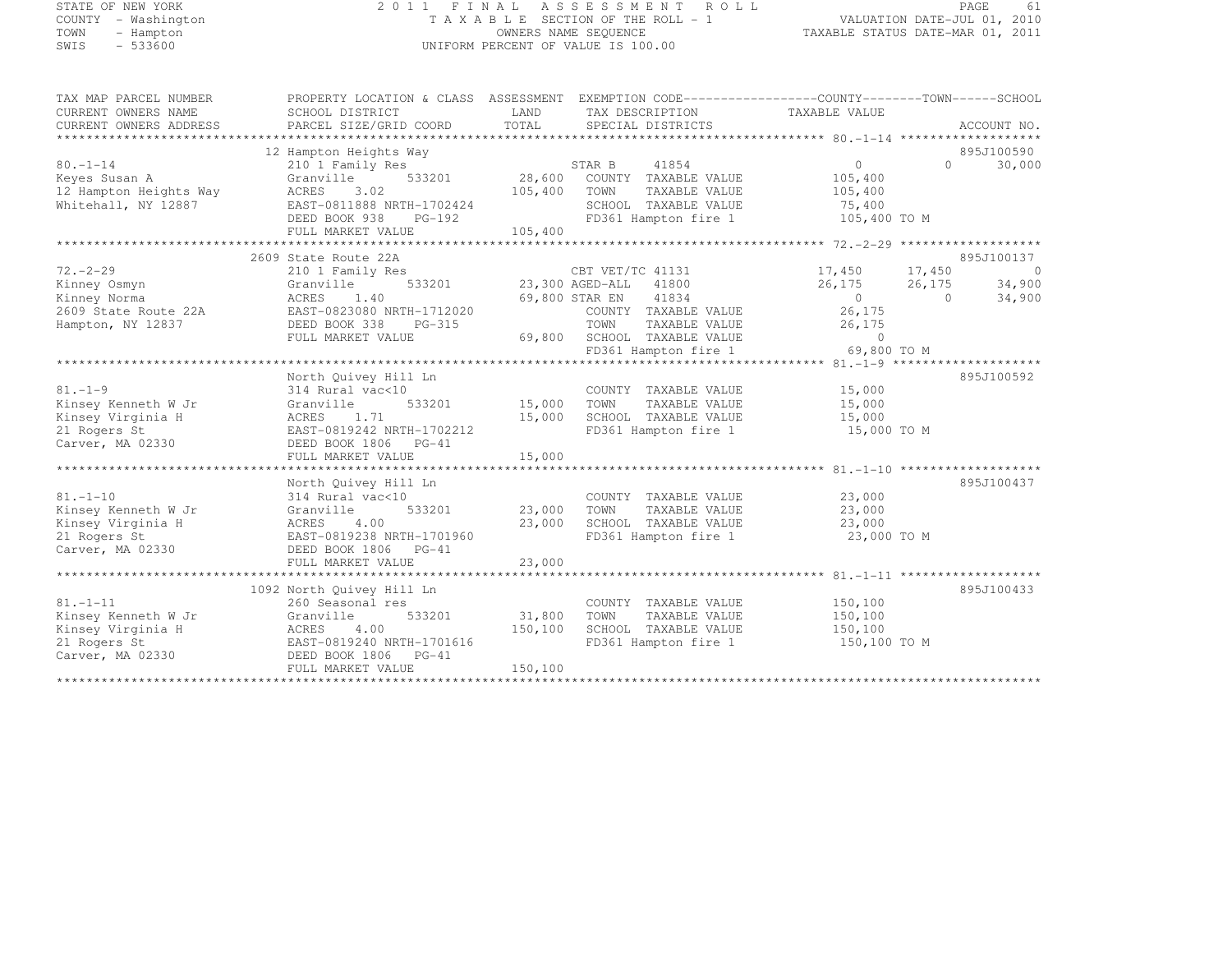#### STATE OF NEW YORK 2 0 1 1 F I N A L A S S E S S M E N T R O L L PAGE <sup>61</sup> COUNTY - Washington T A X A B L E SECTION OF THE ROLL - 1 VALUATION DATE-JUL 01, 2010 TOWN - Hampton OWNERS NAME SEQUENCE TAXABLE STATUS DATE-MAR 01, 2011 SWIS - 533600 UNIFORM PERCENT OF VALUE IS 100.00

| TAX MAP PARCEL NUMBER  | PROPERTY LOCATION & CLASS ASSESSMENT EXEMPTION CODE----------------COUNTY-------TOWN-----SCHOOL |                         |                                                                                           |                               |                |             |
|------------------------|-------------------------------------------------------------------------------------------------|-------------------------|-------------------------------------------------------------------------------------------|-------------------------------|----------------|-------------|
| CURRENT OWNERS NAME    | SCHOOL DISTRICT                                                                                 | LAND                    | TAX DESCRIPTION                                                                           | TAXABLE VALUE                 |                |             |
| CURRENT OWNERS ADDRESS | PARCEL SIZE/GRID COORD                                                                          | TOTAL                   | SPECIAL DISTRICTS                                                                         |                               |                | ACCOUNT NO. |
|                        |                                                                                                 |                         |                                                                                           |                               |                |             |
| $80. - 1 - 14$         | 12 Hampton Heights Way                                                                          |                         |                                                                                           | $\overline{0}$                | $\cap$         | 895J100590  |
| Keyes Susan A          | 210 1 Family Res<br>533201<br>Granville                                                         |                         | STAR B 41854<br>28,600 COUNTY TAXABLE VALUE                                               | 105,400                       |                | 30,000      |
| 12 Hampton Heights Way | ACRES<br>3.02                                                                                   | 105,400                 | TOWN<br>TAXABLE VALUE                                                                     | 105,400                       |                |             |
| Whitehall, NY 12887    | EAST-0811888 NRTH-1702424                                                                       |                         | SCHOOL TAXABLE VALUE                                                                      | 75,400                        |                |             |
|                        | DEED BOOK 938<br>PG-192                                                                         |                         | FD361 Hampton fire 1                                                                      | 105,400 TO M                  |                |             |
|                        | FULL MARKET VALUE                                                                               | 105,400                 |                                                                                           |                               |                |             |
|                        |                                                                                                 |                         |                                                                                           |                               |                |             |
|                        | 2609 State Route 22A                                                                            |                         |                                                                                           |                               |                | 895J100137  |
| $72 - 2 - 29$          | 210 1 Family Res                                                                                |                         | CBT VET/TC 41131 17,450 17,450                                                            |                               |                | $\sim$ 0    |
| Kinney Osmyn           | 533201<br>Granville                                                                             |                         | 23,300 AGED-ALL 41800                                                                     | $26, 175$ $26, 175$ $34, 900$ |                |             |
| Kinney Norma           | ACRES 1.40                                                                                      |                         | 69,800 STAR EN 41834                                                                      | $\sim$ 0                      | $\overline{0}$ | 34,900      |
| 2609 State Route 22A   | EAST-0823080 NRTH-1712020                                                                       |                         | COUNTY TAXABLE VALUE                                                                      | 26,175                        |                |             |
| Hampton, NY 12837      | DEED BOOK 338<br>PG-315                                                                         |                         | TOWN<br>TAXABLE VALUE                                                                     |                               |                |             |
|                        | FULL MARKET VALUE                                                                               |                         | 69,800 SCHOOL TAXABLE VALUE<br>SCHOOL TAXABLE VALUE 0<br>FD361 Hampton fire 1 69,800 TO M | 26, 175                       |                |             |
|                        |                                                                                                 |                         |                                                                                           |                               |                |             |
|                        |                                                                                                 |                         |                                                                                           |                               |                |             |
| $81. - 1 - 9$          | North Quivey Hill Ln                                                                            |                         |                                                                                           |                               |                | 895J100592  |
| Kinsey Kenneth W Jr    | 314 Rural vac<10<br>Granville                                                                   |                         | COUNTY TAXABLE VALUE<br>TOWN<br>TAXABLE VALUE                                             | 15,000<br>15,000              |                |             |
| Kinsey Virginia H      | ACRES 1.71                                                                                      | 533201 15,000<br>15,000 | SCHOOL TAXABLE VALUE                                                                      | 15,000                        |                |             |
| 21 Rogers St           | EAST-0819242 NRTH-1702212                                                                       |                         | FD361 Hampton fire 1                                                                      | 15,000 TO M                   |                |             |
| Carver, MA 02330       | DEED BOOK 1806 PG-41                                                                            |                         |                                                                                           |                               |                |             |
|                        | FULL MARKET VALUE                                                                               | 15,000                  |                                                                                           |                               |                |             |
|                        |                                                                                                 |                         |                                                                                           |                               |                |             |
|                        | North Quivey Hill Ln                                                                            |                         |                                                                                           |                               |                | 895J100437  |
| $81. - 1 - 10$         | 314 Rural vac<10                                                                                |                         | COUNTY TAXABLE VALUE                                                                      | 23,000                        |                |             |
| Kinsey Kenneth W Jr    | 533201<br>Granville                                                                             | 23,000                  | TOWN<br>TAXABLE VALUE                                                                     | 23,000                        |                |             |
| Kinsey Virginia H      | 4.00<br>ACRES                                                                                   | 23,000                  | SCHOOL TAXABLE VALUE                                                                      | 23,000                        |                |             |
| 21 Rogers St           | EAST-0819238 NRTH-1701960                                                                       |                         | FD361 Hampton fire 1                                                                      | 23,000 TO M                   |                |             |
| Carver, MA 02330       | DEED BOOK 1806 PG-41                                                                            |                         |                                                                                           |                               |                |             |
|                        | FULL MARKET VALUE                                                                               | 23,000                  |                                                                                           |                               |                |             |
|                        |                                                                                                 |                         |                                                                                           |                               |                |             |
| $81. - 1 - 11$         | 1092 North Quivey Hill Ln                                                                       |                         |                                                                                           | 150,100                       |                | 895J100433  |
| Kinsey Kenneth W Jr    | 260 Seasonal res<br>533201<br>Granville                                                         | 31,800                  | COUNTY TAXABLE VALUE<br>TOWN<br>TAXABLE VALUE                                             | 150,100                       |                |             |
| Kinsey Virginia H      | ACRES<br>4.00                                                                                   | 150,100                 | SCHOOL TAXABLE VALUE                                                                      | 150,100                       |                |             |
| 21 Rogers St           | EAST-0819240 NRTH-1701616                                                                       |                         | FD361 Hampton fire 1                                                                      | 150,100 TO M                  |                |             |
| Carver, MA 02330       | DEED BOOK 1806 PG-41                                                                            |                         |                                                                                           |                               |                |             |
|                        | FULL MARKET VALUE                                                                               | 150,100                 |                                                                                           |                               |                |             |
|                        |                                                                                                 |                         |                                                                                           |                               |                |             |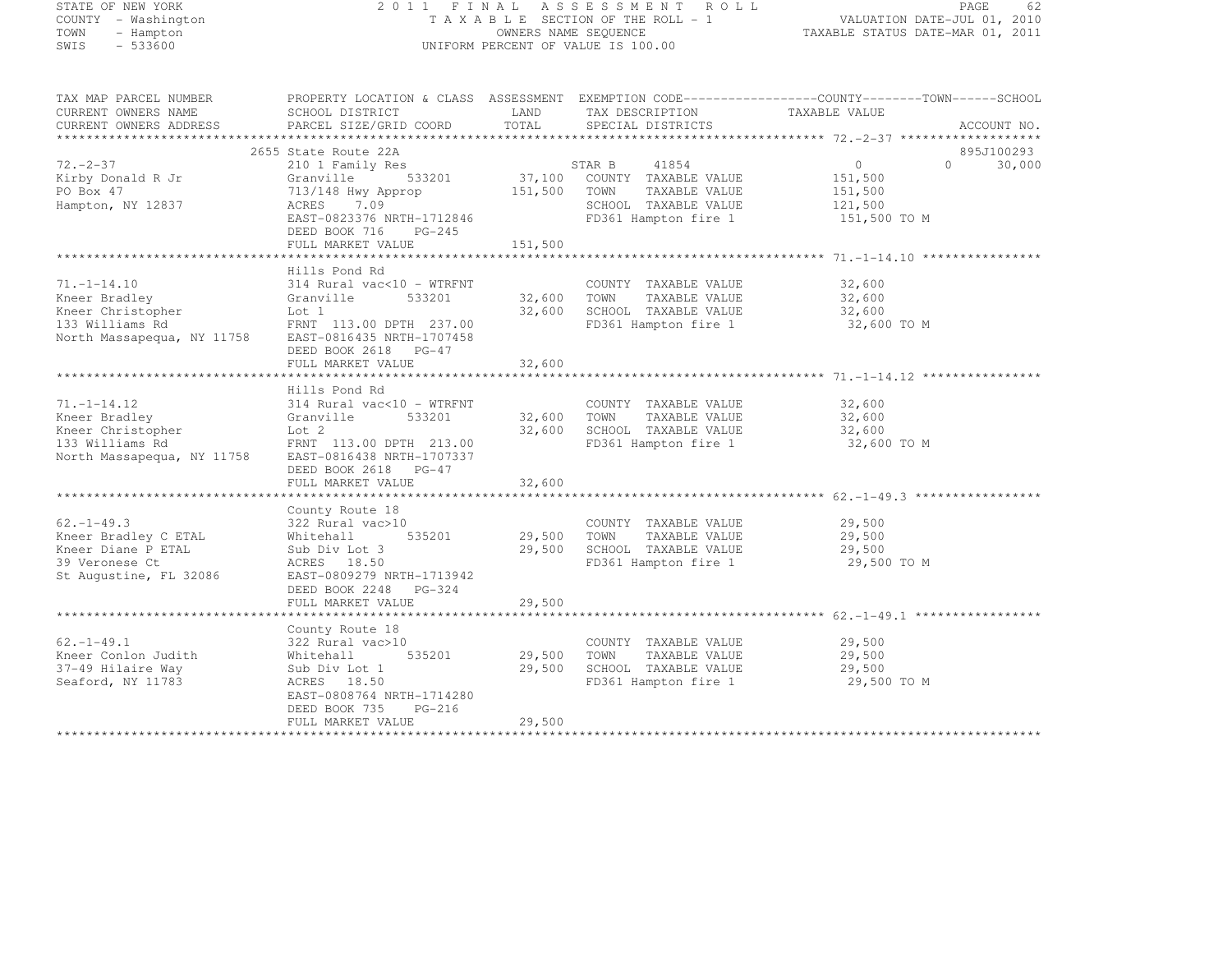# STATE OF NEW YORK 2 0 1 1 F I N A L A S S E S S M E N T R O L L PAGE <sup>62</sup> COUNTY - Washington T A X A B L E SECTION OF THE ROLL - 1 VALUATION DATE-JUL 01, 2010 TOWN - Hampton OWNERS NAME SEQUENCE TAXABLE STATUS DATE-MAR 01, 2011 SWIS - 533600 UNIFORM PERCENT OF VALUE IS 100.00

| TAX MAP PARCEL NUMBER<br>CURRENT OWNERS NAME<br>CURRENT OWNERS ADDRESS                                                                                     | SCHOOL DISTRICT<br>PARCEL SIZE/GRID COORD                                                                                       | LAND<br>TOTAL         | TAX DESCRIPTION TAXABLE VALUE<br>SERCIAL DISTRICTS<br>SPECIAL DISTRICTS                                     | PROPERTY LOCATION & CLASS ASSESSMENT EXEMPTION CODE----------------COUNTY-------TOWN-----SCHOOL<br>ACCOUNT NO. |
|------------------------------------------------------------------------------------------------------------------------------------------------------------|---------------------------------------------------------------------------------------------------------------------------------|-----------------------|-------------------------------------------------------------------------------------------------------------|----------------------------------------------------------------------------------------------------------------|
|                                                                                                                                                            | 2655 State Route 22A                                                                                                            |                       |                                                                                                             | 895J100293                                                                                                     |
| $72. - 2 - 37$<br>Kirby Donald R Jr<br>PO Box 47                                                                                                           | 210 1 Family Res<br>Granville<br>713/148 Hwy Approp                                                                             | 151,500 TOWN          | 37,100 COUNTY TAXABLE VALUE<br>97,100 COUNTY TAXABLE VALUE<br>TAXABLE VALUE                                 | $\overline{0}$<br>$\Omega$<br>30,000<br>151,500<br>151,500                                                     |
| Hampton, NY 12837                                                                                                                                          | 7.09<br>ACRES<br>EAST-0823376 NRTH-1712846<br>DEED BOOK 716<br>PG-245<br>FULL MARKET VALUE                                      | 151,500               | SCHOOL TAXABLE VALUE<br>FD361 Hampton fire 1                                                                | 121,500<br>151,500 TO M                                                                                        |
|                                                                                                                                                            |                                                                                                                                 |                       |                                                                                                             |                                                                                                                |
|                                                                                                                                                            | Hills Pond Rd                                                                                                                   |                       |                                                                                                             |                                                                                                                |
| $71. - 1 - 14.10$<br>Kneer Bradley<br>Kneer Christopher                                                                                                    | 314 Rural vac<10 - WTRFNT<br>533201<br>Granville<br>Lot 1                                                                       |                       | COUNTY TAXABLE VALUE<br>32,600 TOWN<br>TAXABLE VALUE<br>32,600 SCHOOL TAXABLE VALUE                         | 32,600<br>32,600<br>32,600                                                                                     |
| 133 Williams Rd<br>North Massapequa, NY 11758                                                                                                              | FRNT 113.00 DPTH 237.00<br>EAST-0816435 NRTH-1707458<br>DEED BOOK 2618 PG-47                                                    |                       | FD361 Hampton fire 1                                                                                        | 32,600 TO M                                                                                                    |
|                                                                                                                                                            | FULL MARKET VALUE                                                                                                               | 32,600                |                                                                                                             |                                                                                                                |
|                                                                                                                                                            |                                                                                                                                 |                       |                                                                                                             |                                                                                                                |
| $71. - 1 - 14.12$<br>Kneer Bradley<br>Kneer Christopher<br>133 Williams Rd FRNT 113.00 DPTH 213.00<br>North Massapequa, NY 11758 EAST-0816438 NRTH-1707337 | Hills Pond Rd<br>314 Rural vac<10 - WTRFNT<br>Granville<br>533201<br>Lot 2                                                      |                       | COUNTY TAXABLE VALUE<br>32,600 TOWN TAXABLE VALUE<br>32,600 SCHOOL TAXABLE VALUE<br>FD361 Hampton fire 1    | 32,600<br>32,600<br>32,600<br>32,600 TO M                                                                      |
|                                                                                                                                                            | DEED BOOK 2618 PG-47<br>FULL MARKET VALUE                                                                                       | 32,600                |                                                                                                             |                                                                                                                |
|                                                                                                                                                            |                                                                                                                                 |                       |                                                                                                             |                                                                                                                |
|                                                                                                                                                            | County Route 18                                                                                                                 |                       |                                                                                                             |                                                                                                                |
| $62. - 1 - 49.3$<br>Kneer Bradley C ETAL<br>Kneer Diane P ETAL<br>39 Veronese Ct<br>St Augustine, FL 32086                                                 | 322 Rural vac>10<br>535201<br>Whitehall<br>Sub Div Lot 3<br>ACRES 18.50<br>EAST-0809279 NRTH-1713942                            |                       | COUNTY TAXABLE VALUE<br>29,500 TOWN<br>TAXABLE VALUE<br>29,500 SCHOOL TAXABLE VALUE<br>FD361 Hampton fire 1 | 29,500<br>29,500<br>29,500<br>29,500 TO M                                                                      |
|                                                                                                                                                            | DEED BOOK 2248 PG-324<br>FULL MARKET VALUE                                                                                      | 29,500                |                                                                                                             |                                                                                                                |
|                                                                                                                                                            |                                                                                                                                 |                       |                                                                                                             |                                                                                                                |
|                                                                                                                                                            | County Route 18                                                                                                                 |                       |                                                                                                             |                                                                                                                |
| $62. - 1 - 49.1$<br>Kneer Conlon Judith<br>37-49 Hilaire Way<br>Seaford, NY 11783                                                                          | 322 Rural vac>10<br>535201<br>Whitehall<br>Sub Div Lot 1<br>ACRES 18.50<br>EAST-0808764 NRTH-1714280<br>DEED BOOK 735<br>PG-216 | 29,500 TOWN<br>29,500 | COUNTY TAXABLE VALUE<br>TAXABLE VALUE<br>SCHOOL TAXABLE VALUE<br>FD361 Hampton fire 1                       | 29,500<br>29,500<br>29,500<br>29,500 TO M                                                                      |
|                                                                                                                                                            | FULL MARKET VALUE                                                                                                               | 29,500                |                                                                                                             |                                                                                                                |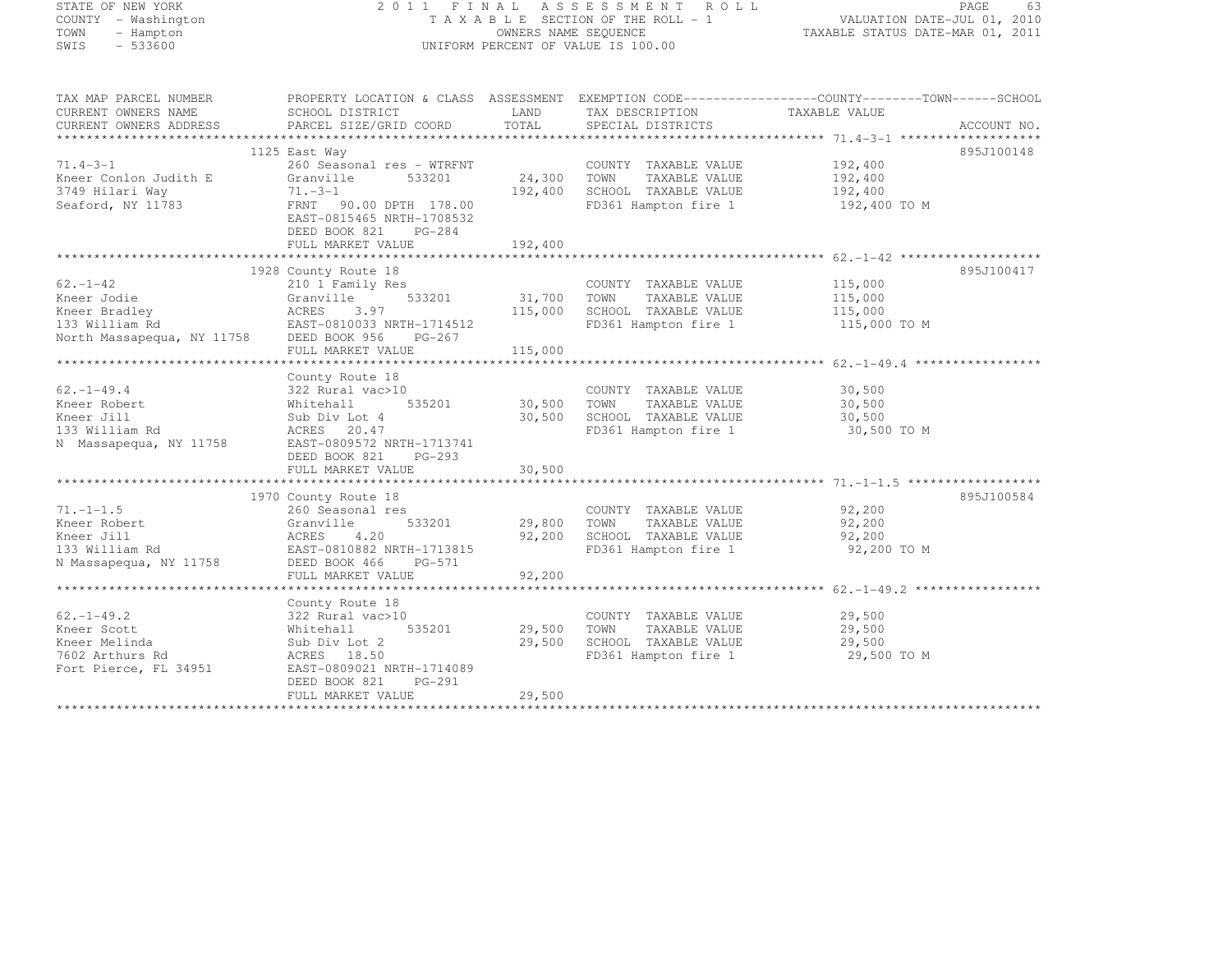# STATE OF NEW YORK 2 0 1 1 F I N A L A S S E S S M E N T R O L L PAGE <sup>63</sup> COUNTY - Washington T A X A B L E SECTION OF THE ROLL - 1 VALUATION DATE-JUL 01, 2010 TOWN - Hampton OWNERS NAME SEQUENCE TAXABLE STATUS DATE-MAR 01, 2011 SWIS - 533600 UNIFORM PERCENT OF VALUE IS 100.00

| TAX MAP PARCEL NUMBER                                                                                                                                                                                                                            | PROPERTY LOCATION & CLASS ASSESSMENT EXEMPTION CODE----------------COUNTY-------TOWN------SCHOOL                                                                                                                         |        |                                                                   |                  |            |
|--------------------------------------------------------------------------------------------------------------------------------------------------------------------------------------------------------------------------------------------------|--------------------------------------------------------------------------------------------------------------------------------------------------------------------------------------------------------------------------|--------|-------------------------------------------------------------------|------------------|------------|
| CURRENT OWNERS NAME                                                                                                                                                                                                                              | SCHOOL DISTRICT                                                                                                                                                                                                          | LAND   | TAX DESCRIPTION TAXABLE VALUE                                     |                  |            |
| CURRENT OWNERS ADDRESS                                                                                                                                                                                                                           |                                                                                                                                                                                                                          |        |                                                                   |                  |            |
|                                                                                                                                                                                                                                                  |                                                                                                                                                                                                                          |        |                                                                   |                  |            |
|                                                                                                                                                                                                                                                  | 1125 East Way                                                                                                                                                                                                            |        |                                                                   |                  | 895J100148 |
| $71.4 - 3 - 1$                                                                                                                                                                                                                                   | 260 Seasonal res – WTRFNT COUNTY TAXABLE VALUE 192,400<br>Granville 533201 24,300 TOWN TAXABLE VALUE 192,400<br>71.-3-1 192,400 SCHOOL TAXABLE VALUE 192,400<br>FRNT 90.00 DPTH 178.00 FD361 Hampton fire 1 192,400 TO M |        |                                                                   |                  |            |
| Kneer Conlon Judith E                                                                                                                                                                                                                            |                                                                                                                                                                                                                          |        |                                                                   |                  |            |
|                                                                                                                                                                                                                                                  |                                                                                                                                                                                                                          |        |                                                                   |                  |            |
| 3749 Hilari Way<br>Seaford, NY 11783                                                                                                                                                                                                             |                                                                                                                                                                                                                          |        |                                                                   |                  |            |
|                                                                                                                                                                                                                                                  | EAST-0815465 NRTH-1708532                                                                                                                                                                                                |        |                                                                   |                  |            |
|                                                                                                                                                                                                                                                  | DEED BOOK 821 PG-284                                                                                                                                                                                                     |        |                                                                   |                  |            |
|                                                                                                                                                                                                                                                  |                                                                                                                                                                                                                          |        |                                                                   |                  |            |
|                                                                                                                                                                                                                                                  |                                                                                                                                                                                                                          |        |                                                                   |                  |            |
|                                                                                                                                                                                                                                                  |                                                                                                                                                                                                                          |        |                                                                   |                  |            |
|                                                                                                                                                                                                                                                  | 1928 County Route 18                                                                                                                                                                                                     |        |                                                                   |                  | 895J100417 |
|                                                                                                                                                                                                                                                  |                                                                                                                                                                                                                          |        |                                                                   |                  |            |
|                                                                                                                                                                                                                                                  |                                                                                                                                                                                                                          |        |                                                                   |                  |            |
|                                                                                                                                                                                                                                                  |                                                                                                                                                                                                                          |        |                                                                   |                  |            |
|                                                                                                                                                                                                                                                  |                                                                                                                                                                                                                          |        | FD361 Hampton fire 1 115,000 TO M                                 |                  |            |
|                                                                                                                                                                                                                                                  |                                                                                                                                                                                                                          |        |                                                                   |                  |            |
|                                                                                                                                                                                                                                                  |                                                                                                                                                                                                                          |        |                                                                   |                  |            |
|                                                                                                                                                                                                                                                  |                                                                                                                                                                                                                          |        |                                                                   |                  |            |
|                                                                                                                                                                                                                                                  | County Route 18                                                                                                                                                                                                          |        |                                                                   |                  |            |
|                                                                                                                                                                                                                                                  |                                                                                                                                                                                                                          |        | COUNTY TAXABLE VALUE                                              |                  |            |
|                                                                                                                                                                                                                                                  |                                                                                                                                                                                                                          |        |                                                                   | 30,500<br>30,500 |            |
| 62.-1-49.4<br>E VALUE<br>Sale and variable value<br>Sale and variable value<br>Sale and variable value<br>Sale and the state of the S35201<br>Sub Div Lot 4<br>30,500 SCHOOL TAXABLE VALUE<br>Sale and S35201<br>Sale 30,500 SCHOOL TAXABLE VALU |                                                                                                                                                                                                                          |        |                                                                   |                  |            |
|                                                                                                                                                                                                                                                  |                                                                                                                                                                                                                          |        | 30,500 SCHOOL TAXABLE VALUE 30,500<br>FD361 Hampton fire 1 30,500 | 30,500 TO M      |            |
| 133 William Rd<br>N Massapequa, NY 11758 EAST-0809572 NRTH-1713741                                                                                                                                                                               |                                                                                                                                                                                                                          |        |                                                                   |                  |            |
|                                                                                                                                                                                                                                                  | DEED BOOK 821<br>PG-293                                                                                                                                                                                                  |        |                                                                   |                  |            |
|                                                                                                                                                                                                                                                  |                                                                                                                                                                                                                          | 30,500 |                                                                   |                  |            |
|                                                                                                                                                                                                                                                  | FULL MARKET VALUE                                                                                                                                                                                                        |        |                                                                   |                  |            |
|                                                                                                                                                                                                                                                  |                                                                                                                                                                                                                          |        |                                                                   |                  |            |
|                                                                                                                                                                                                                                                  | 1970 County Route 18                                                                                                                                                                                                     |        |                                                                   |                  | 895J100584 |
| $71. - 1 - 1.5$                                                                                                                                                                                                                                  | 260 Seasonal res                                                                                                                                                                                                         |        | COUNTY TAXABLE VALUE 92,200                                       |                  |            |
| Kneer Robert                                                                                                                                                                                                                                     |                                                                                                                                                                                                                          |        | 533201 29,800 TOWN TAXABLE VALUE 92,200                           |                  |            |
| Kneer Jill                                                                                                                                                                                                                                       | Granville 533201<br>ACRES 4.20<br>LAST-0810882 NRTH-1713815                                                                                                                                                              |        | 92,200 SCHOOL TAXABLE VALUE<br>FD361 Hampton fire 1               | 92,200           |            |
| 133 William Rd                                                                                                                                                                                                                                   |                                                                                                                                                                                                                          |        |                                                                   | 92,200 TO M      |            |
| N Massapequa, NY 11758 DEED BOOK 466 PG-571                                                                                                                                                                                                      |                                                                                                                                                                                                                          |        |                                                                   |                  |            |
|                                                                                                                                                                                                                                                  |                                                                                                                                                                                                                          |        |                                                                   |                  |            |
|                                                                                                                                                                                                                                                  |                                                                                                                                                                                                                          |        |                                                                   |                  |            |
|                                                                                                                                                                                                                                                  | County Route 18                                                                                                                                                                                                          |        |                                                                   |                  |            |
| $62. - 1 - 49.2$                                                                                                                                                                                                                                 | 322 Rural vac>10                                                                                                                                                                                                         |        | COUNTY TAXABLE VALUE 29,500                                       |                  |            |
| Kneer Scott                                                                                                                                                                                                                                      | 535201 29,500<br>Whitehall                                                                                                                                                                                               |        | TAXABLE VALUE<br>TOWN                                             | 29,500           |            |
| Kneer Melinda                                                                                                                                                                                                                                    | Sub Div Lot 2                                                                                                                                                                                                            | 29,500 | SCHOOL TAXABLE VALUE                                              | 29,500           |            |
| 7602 Arthurs Rd                                                                                                                                                                                                                                  | ACRES 18.50                                                                                                                                                                                                              |        | FD361 Hampton fire 1 29,500 TO M                                  |                  |            |
| Fort Pierce, FL 34951                                                                                                                                                                                                                            | EAST-0809021 NRTH-1714089                                                                                                                                                                                                |        |                                                                   |                  |            |
|                                                                                                                                                                                                                                                  | DEED BOOK 821 PG-291                                                                                                                                                                                                     |        |                                                                   |                  |            |
|                                                                                                                                                                                                                                                  | FULL MARKET VALUE                                                                                                                                                                                                        | 29,500 |                                                                   |                  |            |
|                                                                                                                                                                                                                                                  |                                                                                                                                                                                                                          |        |                                                                   |                  |            |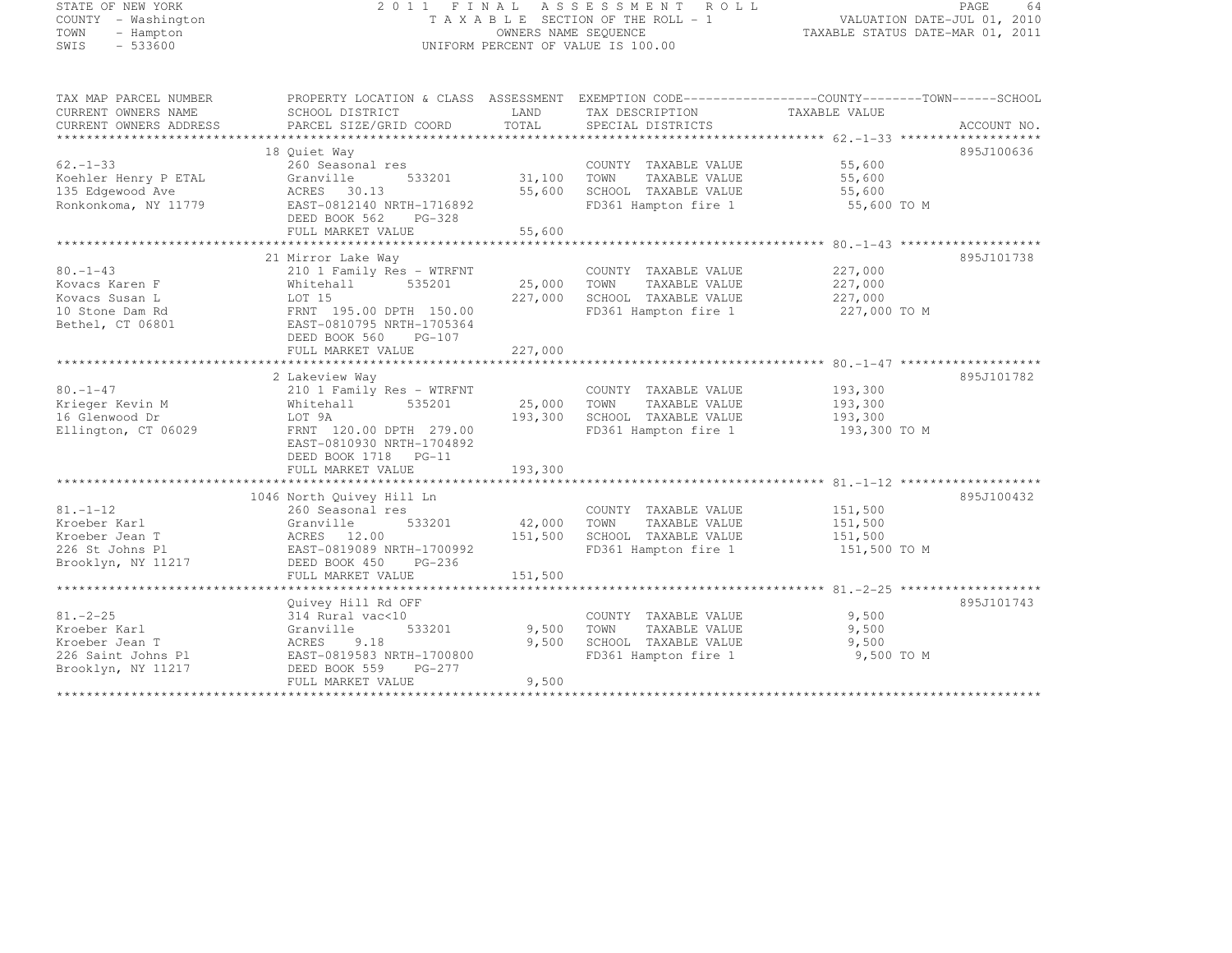# STATE OF NEW YORK 2 0 1 1 F I N A L A S S E S S M E N T R O L L PAGE <sup>64</sup> COUNTY - Washington T A X A B L E SECTION OF THE ROLL - 1 VALUATION DATE-JUL 01, 2010 TOWN - Hampton OWNERS NAME SEQUENCE TAXABLE STATUS DATE-MAR 01, 2011 SWIS - 533600 UNIFORM PERCENT OF VALUE IS 100.00

| TAX MAP PARCEL NUMBER<br>CURRENT OWNERS NAME<br>CURRENT OWNERS ADDRESS                       | PROPERTY LOCATION & CLASS ASSESSMENT EXEMPTION CODE----------------COUNTY-------TOWN-----SCHOOL<br>SCHOOL DISTRICT<br>PARCEL SIZE/GRID COORD                                               | LAND<br>TOTAL                | TAX DESCRIPTION<br>SPECIAL DISTRICTS                                                          | TAXABLE VALUE                                 | ACCOUNT NO. |
|----------------------------------------------------------------------------------------------|--------------------------------------------------------------------------------------------------------------------------------------------------------------------------------------------|------------------------------|-----------------------------------------------------------------------------------------------|-----------------------------------------------|-------------|
| $62 - 1 - 33$<br>Koehler Henry P ETAL<br>135 Edgewood Ave<br>Ronkonkoma, NY 11779            | 18 Quiet Way<br>260 Seasonal res<br>Granville<br>533201<br>ACRES 30.13<br>EAST-0812140 NRTH-1716892<br>DEED BOOK 562<br>PG-328                                                             | 31,100<br>55,600             | COUNTY TAXABLE VALUE<br>TOWN<br>TAXABLE VALUE<br>SCHOOL TAXABLE VALUE<br>FD361 Hampton fire 1 | 55,600<br>55,600<br>55,600<br>55,600 TO M     | 895J100636  |
|                                                                                              | FULL MARKET VALUE                                                                                                                                                                          | 55,600                       |                                                                                               |                                               |             |
| $80. -1 - 43$<br>Kovacs Karen F<br>Kovacs Susan L<br>10 Stone Dam Rd<br>Bethel, CT 06801     | 21 Mirror Lake Way<br>210 1 Family Res - WTRFNT<br>535201<br>Whitehall<br>LOT 15<br>FRNT 195.00 DPTH 150.00<br>EAST-0810795 NRTH-1705364<br>DEED BOOK 560<br>$PG-107$<br>FULL MARKET VALUE | 25,000<br>227,000<br>227,000 | COUNTY TAXABLE VALUE<br>TOWN<br>TAXABLE VALUE<br>SCHOOL TAXABLE VALUE<br>FD361 Hampton fire 1 | 227,000<br>227,000<br>227,000<br>227,000 TO M | 895J101738  |
| $80. - 1 - 47$<br>Krieger Kevin M<br>16 Glenwood Dr<br>Ellington, CT 06029                   | 2 Lakeview Way<br>210 1 Family Res - WTRFNT<br>535201<br>Whitehall<br>LOT 9A<br>FRNT 120.00 DPTH 279.00<br>EAST-0810930 NRTH-1704892<br>DEED BOOK 1718 PG-11<br>FULL MARKET VALUE          | 25,000<br>193,300<br>193,300 | COUNTY TAXABLE VALUE<br>TAXABLE VALUE<br>TOWN<br>SCHOOL TAXABLE VALUE<br>FD361 Hampton fire 1 | 193,300<br>193,300<br>193,300<br>193,300 TO M | 895J101782  |
|                                                                                              |                                                                                                                                                                                            |                              |                                                                                               |                                               |             |
| $81. - 1 - 12$<br>Kroeber Karl<br>Kroeber Jean T<br>226 St Johns Pl<br>Brooklyn, NY 11217    | 1046 North Ouivey Hill Ln<br>260 Seasonal res<br>533201<br>Granville<br>ACRES 12.00<br>EAST-0819089 NRTH-1700992<br>DEED BOOK 450<br>$PG-236$<br>FULL MARKET VALUE                         | 42,000<br>151,500<br>151,500 | COUNTY TAXABLE VALUE<br>TOWN<br>TAXABLE VALUE<br>SCHOOL TAXABLE VALUE<br>FD361 Hampton fire 1 | 151,500<br>151,500<br>151,500<br>151,500 TO M | 895J100432  |
|                                                                                              | ******************************                                                                                                                                                             |                              |                                                                                               |                                               |             |
| $81. - 2 - 25$<br>Kroeber Karl<br>Kroeber Jean T<br>226 Saint Johns Pl<br>Brooklyn, NY 11217 | Quivey Hill Rd OFF<br>314 Rural vac<10<br>533201<br>Granville<br>ACRES<br>9.18<br>EAST-0819583 NRTH-1700800<br>DEED BOOK 559<br>$PG-277$<br>FULL MARKET VALUE                              | 9,500<br>9,500<br>9,500      | COUNTY TAXABLE VALUE<br>TAXABLE VALUE<br>TOWN<br>SCHOOL TAXABLE VALUE<br>FD361 Hampton fire 1 | 9,500<br>9,500<br>9,500<br>9,500 TO M         | 895J101743  |
| *********************                                                                        |                                                                                                                                                                                            |                              |                                                                                               |                                               |             |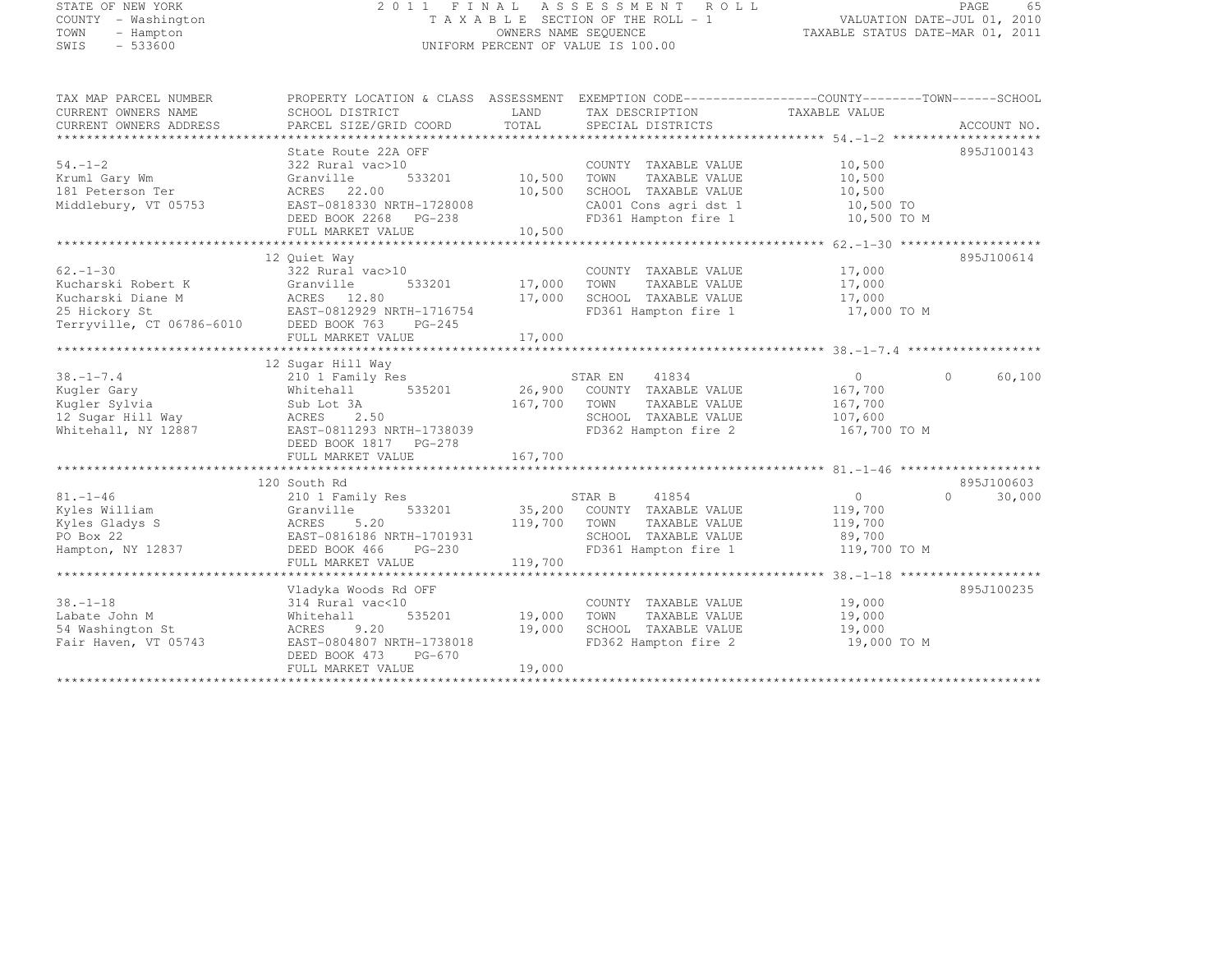# STATE OF NEW YORK 2 0 1 1 F I N A L A S S E S S M E N T R O L L PAGE <sup>65</sup> COUNTY - Washington T A X A B L E SECTION OF THE ROLL - 1 VALUATION DATE-JUL 01, 2010 TOWN - Hampton OWNERS NAME SEQUENCE TAXABLE STATUS DATE-MAR 01, 2011 SWIS - 533600 UNIFORM PERCENT OF VALUE IS 100.00

| TAX MAP PARCEL NUMBER<br>CURRENT OWNERS NAME<br>CURRENT OWNERS ADDRESS                  | PROPERTY LOCATION & CLASS ASSESSMENT EXEMPTION CODE-----------------COUNTY-------TOWN-----SCHOOL<br>SCHOOL DISTRICT<br>PARCEL SIZE/GRID COORD | LAND<br>TOTAL | TAX DESCRIPTION TAXABLE VALUE<br>SPECIAL DISTRICTS |                | ACCOUNT NO.        |
|-----------------------------------------------------------------------------------------|-----------------------------------------------------------------------------------------------------------------------------------------------|---------------|----------------------------------------------------|----------------|--------------------|
|                                                                                         |                                                                                                                                               |               |                                                    |                |                    |
|                                                                                         | State Route 22A OFF                                                                                                                           |               |                                                    |                | 895J100143         |
| $54. - 1 - 2$                                                                           | 322 Rural vac>10                                                                                                                              |               | COUNTY TAXABLE VALUE                               | 10,500         |                    |
| Kruml Gary Wm                                                                           | 533201 10,500<br>Granville                                                                                                                    |               | TOWN<br>TAXABLE VALUE                              | 10,500         |                    |
| 181 Peterson Ter                                                                        | ACRES 22.00                                                                                                                                   | 10,500        | SCHOOL TAXABLE VALUE                               | 10,500         |                    |
| Middlebury, VT 05753                                                                    | EAST-0818330 NRTH-1728008                                                                                                                     |               | CA001 Cons agri dst 1                              | 10,500 TO      |                    |
|                                                                                         | DEED BOOK 2268 PG-238                                                                                                                         |               | FD361 Hampton fire 1 10,500 TO M                   |                |                    |
|                                                                                         | FULL MARKET VALUE                                                                                                                             | 10,500        |                                                    |                |                    |
|                                                                                         |                                                                                                                                               |               |                                                    |                |                    |
|                                                                                         | 12 Ouiet Way                                                                                                                                  |               |                                                    |                | 895J100614         |
| $62 - 1 - 30$                                                                           | 322 Rural vac>10                                                                                                                              |               | COUNTY TAXABLE VALUE                               | 17,000         |                    |
| Kucharski Robert K                                                                      | 533201<br>Granville                                                                                                                           | 17,000        | TOWN<br>TAXABLE VALUE                              | 17,000         |                    |
|                                                                                         |                                                                                                                                               | 17,000        | SCHOOL TAXABLE VALUE                               | 17,000         |                    |
| Xucharski Diane M<br>25 Hickory St<br>Terryville, CT 06786-6010<br>DEED BOOK 763 PG-245 |                                                                                                                                               |               | FD361 Hampton fire 1                               | 17,000 TO M    |                    |
|                                                                                         |                                                                                                                                               |               |                                                    |                |                    |
|                                                                                         |                                                                                                                                               |               |                                                    |                |                    |
|                                                                                         |                                                                                                                                               |               |                                                    |                |                    |
|                                                                                         | 12 Sugar Hill Way                                                                                                                             |               |                                                    |                |                    |
| $38. - 1 - 7.4$                                                                         | 210 1 Family Res                                                                                                                              |               | STAR EN<br>41834                                   | $\overline{0}$ | $\Omega$<br>60,100 |
| Kugler Gary                                                                             | Whitehall 535201                                                                                                                              |               | 26,900 COUNTY TAXABLE VALUE                        | 167,700        |                    |
| Kuqler Sylvia                                                                           | Sub Lot 3A                                                                                                                                    | 167,700       | TOWN<br>TAXABLE VALUE                              | 167,700        |                    |
| 12 Sugar Hill Way                                                                       | 2.50<br>ACRES                                                                                                                                 |               | SCHOOL TAXABLE VALUE 107,600                       |                |                    |
| Whitehall, NY 12887                                                                     | EAST-0811293 NRTH-1738039                                                                                                                     |               | FD362 Hampton fire 2                               | 167,700 TO M   |                    |
|                                                                                         | DEED BOOK 1817    PG-278                                                                                                                      |               |                                                    |                |                    |
|                                                                                         |                                                                                                                                               |               |                                                    |                |                    |
|                                                                                         |                                                                                                                                               |               |                                                    |                |                    |
|                                                                                         | 120 South Rd                                                                                                                                  |               |                                                    |                | 895J100603         |
| $81. - 1 - 46$                                                                          | 210 1 Family Res                                                                                                                              |               | STAR B<br>41854                                    | $\overline{0}$ | $\Omega$<br>30,000 |
| Kyles William                                                                           | Granville                                                                                                                                     |               | 533201 35,200 COUNTY TAXABLE VALUE                 | 119,700        |                    |
| Kyles Gladys S                                                                          | ACRES<br>5.20                                                                                                                                 | 119,700       | TAXABLE VALUE<br>TOWN                              | 119,700        |                    |
| PO Box 22                                                                               | EAST-0816186 NRTH-1701931                                                                                                                     |               | SCHOOL TAXABLE VALUE 89,700                        |                |                    |
| Hampton, NY 12837                                                                       | DEED BOOK 466<br>$PG-230$                                                                                                                     |               | FD361 Hampton fire 1                               | 119,700 TO M   |                    |
|                                                                                         | FULL MARKET VALUE                                                                                                                             | 119,700       |                                                    |                |                    |
|                                                                                         |                                                                                                                                               |               |                                                    |                |                    |
| $38. - 1 - 18$                                                                          | Vladyka Woods Rd OFF<br>314 Rural vac<10                                                                                                      |               | COUNTY TAXABLE VALUE                               | 19,000         | 895J100235         |
| Labate John M                                                                           |                                                                                                                                               | 535201 19,000 | TOWN<br>TAXABLE VALUE                              | 19,000         |                    |
| 54 Washington St                                                                        | Whitehall<br>ACRES 9.20                                                                                                                       | 19,000        | SCHOOL TAXABLE VALUE                               | 19,000         |                    |
| Fair Haven, VT 05743                                                                    | EAST-0804807 NRTH-1738018                                                                                                                     |               | FD362 Hampton fire 2                               | 19,000 TO M    |                    |
|                                                                                         | DEED BOOK 473<br>PG-670                                                                                                                       |               |                                                    |                |                    |
|                                                                                         | FULL MARKET VALUE                                                                                                                             | 19,000        |                                                    |                |                    |
|                                                                                         |                                                                                                                                               |               |                                                    |                |                    |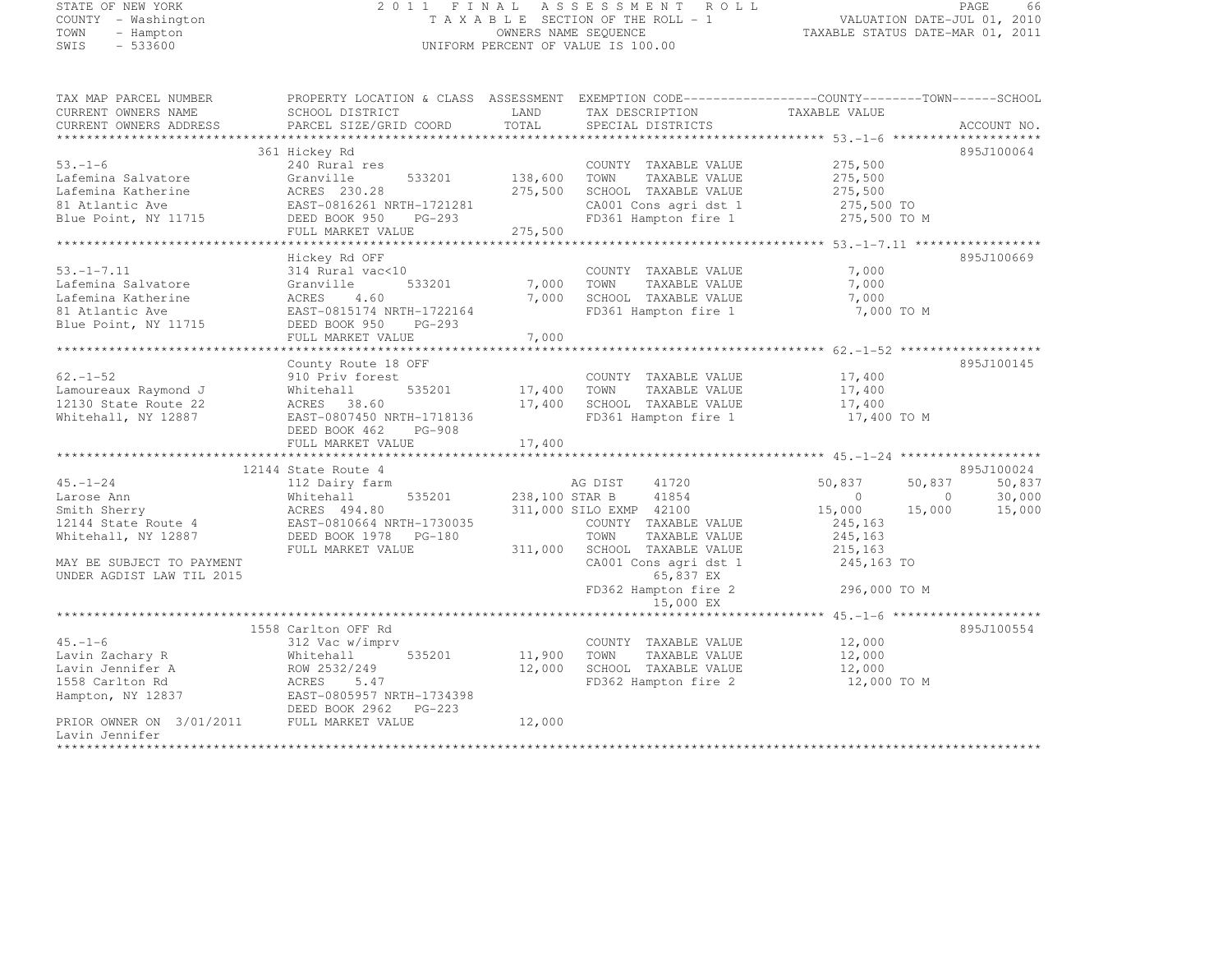# STATE OF NEW YORK 2 0 1 1 F I N A L A S S E S S M E N T R O L L PAGE <sup>66</sup> COUNTY - Washington T A X A B L E SECTION OF THE ROLL - 1 VALUATION DATE-JUL 01, 2010 TOWN - Hampton OWNERS NAME SEQUENCE TAXABLE STATUS DATE-MAR 01, 2011 SWIS - 533600 UNIFORM PERCENT OF VALUE IS 100.00

| TAX MAP PARCEL NUMBER          |                                |                | PROPERTY LOCATION & CLASS ASSESSMENT EXEMPTION CODE----------------COUNTY-------TOWN------SCHOOL |               |                                     |
|--------------------------------|--------------------------------|----------------|--------------------------------------------------------------------------------------------------|---------------|-------------------------------------|
| CURRENT OWNERS NAME            | SCHOOL DISTRICT                | LAND           | TAX DESCRIPTION                                                                                  | TAXABLE VALUE |                                     |
| CURRENT OWNERS ADDRESS         | PARCEL SIZE/GRID COORD         | TOTAL          | SPECIAL DISTRICTS                                                                                |               | ACCOUNT NO.                         |
|                                |                                |                |                                                                                                  |               |                                     |
|                                | 361 Hickey Rd                  |                |                                                                                                  |               | 895J100064                          |
| $53. - 1 - 6$                  | 240 Rural res                  |                | COUNTY TAXABLE VALUE                                                                             | 275,500       |                                     |
| Lafemina Salvatore             | Granville<br>533201            | 138,600        | TOWN<br>TAXABLE VALUE                                                                            | 275,500       |                                     |
| Lafemina Katherine             | ACRES 230.28                   | 275,500        | SCHOOL TAXABLE VALUE                                                                             | 275,500       |                                     |
| 81 Atlantic Ave                | EAST-0816261 NRTH-1721281      |                | CA001 Cons agri dst 1                                                                            | 275,500 TO    |                                     |
| Blue Point, NY 11715           | DEED BOOK 950<br>$PG-293$      |                | FD361 Hampton fire 1                                                                             | 275,500 TO M  |                                     |
|                                | FULL MARKET VALUE              | 275,500        |                                                                                                  |               |                                     |
| ****************************** | *********************          | *********      | ************************************53.-1-7.11 *******************                               |               |                                     |
|                                | Hickey Rd OFF                  |                |                                                                                                  |               | 895J100669                          |
| $53. - 1 - 7.11$               | 314 Rural vac<10               |                | COUNTY TAXABLE VALUE                                                                             | 7,000         |                                     |
| Lafemina Salvatore             | Granville<br>533201            |                | 7,000 TOWN<br>TAXABLE VALUE                                                                      | 7,000         |                                     |
| Lafemina Katherine             | ACRES<br>4.60                  | 7,000          | SCHOOL TAXABLE VALUE                                                                             | 7,000         |                                     |
| 81 Atlantic Ave                | EAST-0815174 NRTH-1722164      |                | FD361 Hampton fire 1                                                                             | 7,000 TO M    |                                     |
|                                |                                |                |                                                                                                  |               |                                     |
| Blue Point, NY 11715           | DEED BOOK 950<br>$PG-293$      |                |                                                                                                  |               |                                     |
|                                | FULL MARKET VALUE              | 7,000          |                                                                                                  |               |                                     |
|                                |                                |                |                                                                                                  |               |                                     |
|                                | County Route 18 OFF            |                |                                                                                                  |               | 895J100145                          |
| $62. - 1 - 52$                 | 910 Priv forest                |                | COUNTY TAXABLE VALUE                                                                             | 17,400        |                                     |
| Lamoureaux Raymond J           | 535201<br>Whitehall            | 17,400         | TOWN<br>TAXABLE VALUE                                                                            | 17,400        |                                     |
| 12130 State Route 22           | ACRES<br>38.60                 | 17,400         | SCHOOL TAXABLE VALUE                                                                             | 17,400        |                                     |
| Whitehall, NY 12887            | EAST-0807450 NRTH-1718136      |                | FD361 Hampton fire 1                                                                             | 17,400 TO M   |                                     |
|                                | DEED BOOK 462<br>PG-908        |                |                                                                                                  |               |                                     |
|                                | FULL MARKET VALUE              | 17,400         |                                                                                                  |               |                                     |
|                                | ****************************** |                |                                                                                                  |               |                                     |
|                                | 12144 State Route 4            |                |                                                                                                  |               | 895J100024                          |
| $45. - 1 - 24$                 | 112 Dairy farm                 |                | 41720<br>AG DIST                                                                                 | 50,837        | 50,837<br>50,837                    |
| Larose Ann                     | 535201<br>Whitehall            | 238,100 STAR B | 41854                                                                                            | $\Omega$      | 30,000<br>$\Omega$                  |
| Smith Sherry                   | ACRES 494.80                   |                | 311,000 SILO EXMP 42100                                                                          | 15,000        | 15,000<br>15,000                    |
| 12144 State Route 4            | EAST-0810664 NRTH-1730035      |                | COUNTY TAXABLE VALUE                                                                             | 245,163       |                                     |
| Whitehall, NY 12887            | DEED BOOK 1978<br>$PG-180$     |                | TOWN<br>TAXABLE VALUE                                                                            | 245,163       |                                     |
|                                | FULL MARKET VALUE              | 311,000        | SCHOOL TAXABLE VALUE                                                                             | 215,163       |                                     |
| MAY BE SUBJECT TO PAYMENT      |                                |                | CA001 Cons agri dst 1                                                                            | 245,163 TO    |                                     |
| UNDER AGDIST LAW TIL 2015      |                                |                | 65,837 EX                                                                                        |               |                                     |
|                                |                                |                | FD362 Hampton fire 2                                                                             | 296,000 TO M  |                                     |
|                                |                                |                | 15,000 EX                                                                                        |               |                                     |
|                                |                                |                |                                                                                                  |               | $45 - 1 - 6$ ********************** |
|                                | 1558 Carlton OFF Rd            |                |                                                                                                  |               | 895J100554                          |
| $45. - 1 - 6$                  | 312 Vac w/imprv                |                | COUNTY TAXABLE VALUE                                                                             | 12,000        |                                     |
| Lavin Zachary R                | Whitehall<br>535201            | 11,900         | TOWN<br>TAXABLE VALUE                                                                            | 12,000        |                                     |
| Lavin Jennifer A               | ROW 2532/249                   | 12,000         | SCHOOL TAXABLE VALUE                                                                             | 12,000        |                                     |
| 1558 Carlton Rd                | ACRES<br>5.47                  |                | FD362 Hampton fire 2                                                                             | 12,000 TO M   |                                     |
| Hampton, NY 12837              | EAST-0805957 NRTH-1734398      |                |                                                                                                  |               |                                     |
|                                | DEED BOOK 2962 PG-223          |                |                                                                                                  |               |                                     |
| PRIOR OWNER ON 3/01/2011       | FULL MARKET VALUE              | 12,000         |                                                                                                  |               |                                     |
| Lavin Jennifer                 |                                |                |                                                                                                  |               |                                     |
| ***************                |                                |                |                                                                                                  |               |                                     |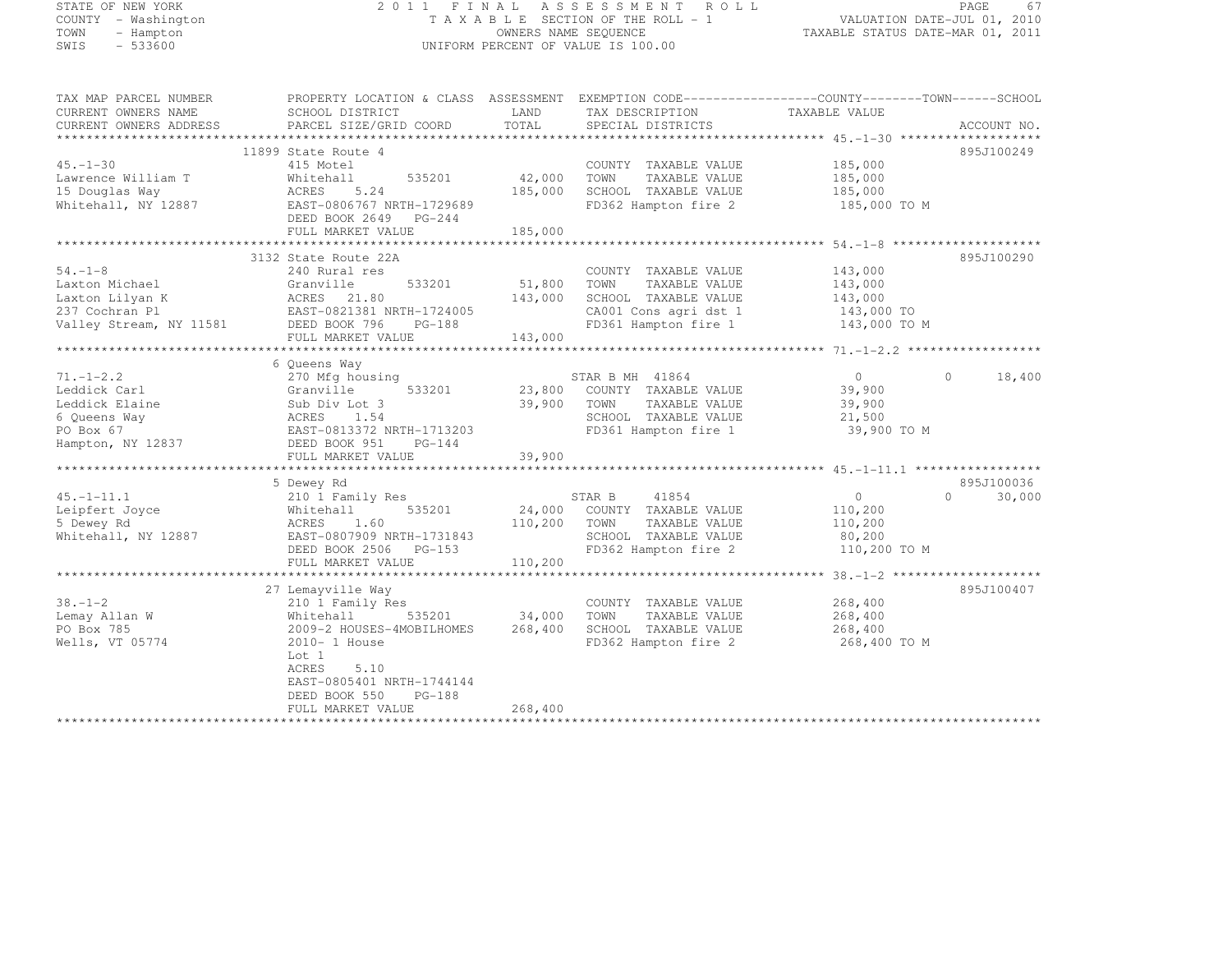# STATE OF NEW YORK 2 0 1 1 F I N A L A S S E S S M E N T R O L L PAGE <sup>67</sup> COUNTY - Washington T A X A B L E SECTION OF THE ROLL - 1 VALUATION DATE-JUL 01, 2010 TOWN - Hampton OWNERS NAME SEQUENCE TAXABLE STATUS DATE-MAR 01, 2011 SWIS - 533600 UNIFORM PERCENT OF VALUE IS 100.00

| TAX MAP PARCEL NUMBER                                                                                                          | PROPERTY LOCATION & CLASS ASSESSMENT |               | EXEMPTION CODE-----------------COUNTY-------TOWN------SCHOOL |                   |                    |
|--------------------------------------------------------------------------------------------------------------------------------|--------------------------------------|---------------|--------------------------------------------------------------|-------------------|--------------------|
| CURRENT OWNERS NAME                                                                                                            | SCHOOL DISTRICT                      | LAND          | TAX DESCRIPTION                                              | TAXABLE VALUE     |                    |
| CURRENT OWNERS ADDRESS                                                                                                         | PARCEL SIZE/GRID COORD               | TOTAL         | SPECIAL DISTRICTS                                            |                   | ACCOUNT NO.        |
|                                                                                                                                | 11899 State Route 4                  |               |                                                              |                   | 895J100249         |
| $45. - 1 - 30$                                                                                                                 | 415 Motel                            |               | COUNTY TAXABLE VALUE                                         | 185,000           |                    |
| Lawrence William T                                                                                                             | 535201<br>Whitehall                  | 42,000        | TOWN<br>TAXABLE VALUE                                        | 185,000           |                    |
| 15 Douglas Way                                                                                                                 | ACRES<br>5.24                        | 185,000       | SCHOOL TAXABLE VALUE                                         | 185,000           |                    |
| Whitehall, NY 12887                                                                                                            | EAST-0806767 NRTH-1729689            |               | FD362 Hampton fire 2                                         | 185,000 TO M      |                    |
|                                                                                                                                | DEED BOOK 2649 PG-244                |               |                                                              |                   |                    |
|                                                                                                                                | FULL MARKET VALUE                    | 185,000       |                                                              |                   |                    |
|                                                                                                                                |                                      |               |                                                              |                   |                    |
|                                                                                                                                | 3132 State Route 22A                 |               |                                                              |                   | 895J100290         |
| $54. -1 - 8$                                                                                                                   | 240 Rural res                        |               | COUNTY TAXABLE VALUE                                         | 143,000           |                    |
| Laxton Michael                                                                                                                 | 533201<br>Granville                  | 51,800        | TAXABLE VALUE<br>TOWN                                        | 143,000           |                    |
| Laxton Lilyan K                                                                                                                | ACRES 21.80                          | 143,000       | SCHOOL TAXABLE VALUE                                         | 143,000           |                    |
| Laxton Lilyan K (ACKES 21.80)<br>237 Cochran Pl (BAST-0821381 NRTH-1724005)<br>Valley Stream, NY 11581 (DEED BOOK 796 (PG-188) |                                      |               | CA001 Cons agri dst 1                                        | 143,000 TO        |                    |
|                                                                                                                                |                                      |               | FD361 Hampton fire 1                                         | 143,000 TO M      |                    |
|                                                                                                                                | FULL MARKET VALUE                    | 143,000       |                                                              |                   |                    |
|                                                                                                                                | 6 Oueens Way                         |               |                                                              |                   |                    |
| $71. - 1 - 2.2$                                                                                                                | 270 Mfg housing                      |               | STAR B MH 41864                                              | $\overline{0}$    | $\Omega$<br>18,400 |
| Leddick Carl                                                                                                                   | 533201<br>Granville                  |               | 23,800 COUNTY TAXABLE VALUE                                  | 39,900            |                    |
| Leddick Elaine                                                                                                                 | Sub Div Lot 3                        | 39,900        | TOWN<br>TAXABLE VALUE                                        | 39,900            |                    |
| 6 Queens Way                                                                                                                   | ACRES 1.54                           |               | SCHOOL TAXABLE VALUE                                         | 21,500            |                    |
| PO Box 67                                                                                                                      | EAST-0813372 NRTH-1713203            |               | FD361 Hampton fire 1                                         | 39,900 TO M       |                    |
| Hampton, NY 12837                                                                                                              | DEED BOOK 951<br>$PG-144$            |               |                                                              |                   |                    |
|                                                                                                                                | FULL MARKET VALUE                    | 39,900        |                                                              |                   |                    |
|                                                                                                                                |                                      |               |                                                              |                   |                    |
|                                                                                                                                | 5 Dewey Rd                           |               |                                                              |                   | 895J100036         |
| $45. - 1 - 11.1$                                                                                                               | 210 1 Family Res                     |               | STAR B<br>41854                                              | $0 \qquad \qquad$ | $\cap$<br>30,000   |
| Leipfert Joyce                                                                                                                 | 535201<br>Whitehall                  |               | 24,000 COUNTY TAXABLE VALUE                                  | 110,200           |                    |
| 5 Dewey Rd                                                                                                                     | ACRES<br>1.60                        | 110,200       | TOWN<br>TAXABLE VALUE                                        | 110,200           |                    |
| Whitehall, NY 12887                                                                                                            | EAST-0807909 NRTH-1731843            |               | SCHOOL TAXABLE VALUE                                         | 80,200            |                    |
|                                                                                                                                | DEED BOOK 2506<br>PG-153             |               | FD362 Hampton fire 2                                         | 110,200 TO M      |                    |
|                                                                                                                                | FULL MARKET VALUE                    | 110,200       |                                                              |                   |                    |
|                                                                                                                                |                                      |               |                                                              |                   |                    |
|                                                                                                                                | 27 Lemayville Way                    |               |                                                              |                   | 895J100407         |
| $38. - 1 - 2$                                                                                                                  | 210 1 Family Res                     |               | COUNTY TAXABLE VALUE                                         | 268,400           |                    |
| Lemay Allan W                                                                                                                  | Whitehall                            | 535201 34,000 | TOWN<br>TAXABLE VALUE                                        | 268,400           |                    |
| PO Box 785                                                                                                                     | 2009-2 HOUSES-4MOBILHOMES            | 268,400       | SCHOOL TAXABLE VALUE                                         | 268,400           |                    |
| Wells, VT 05774                                                                                                                | 2010- 1 House                        |               | FD362 Hampton fire 2                                         | 268,400 TO M      |                    |
|                                                                                                                                | Lot 1                                |               |                                                              |                   |                    |
|                                                                                                                                | ACRES<br>5.10                        |               |                                                              |                   |                    |
|                                                                                                                                | EAST-0805401 NRTH-1744144            |               |                                                              |                   |                    |
|                                                                                                                                | $PG-188$<br>DEED BOOK 550            |               |                                                              |                   |                    |
|                                                                                                                                | FULL MARKET VALUE                    | 268,400       |                                                              |                   |                    |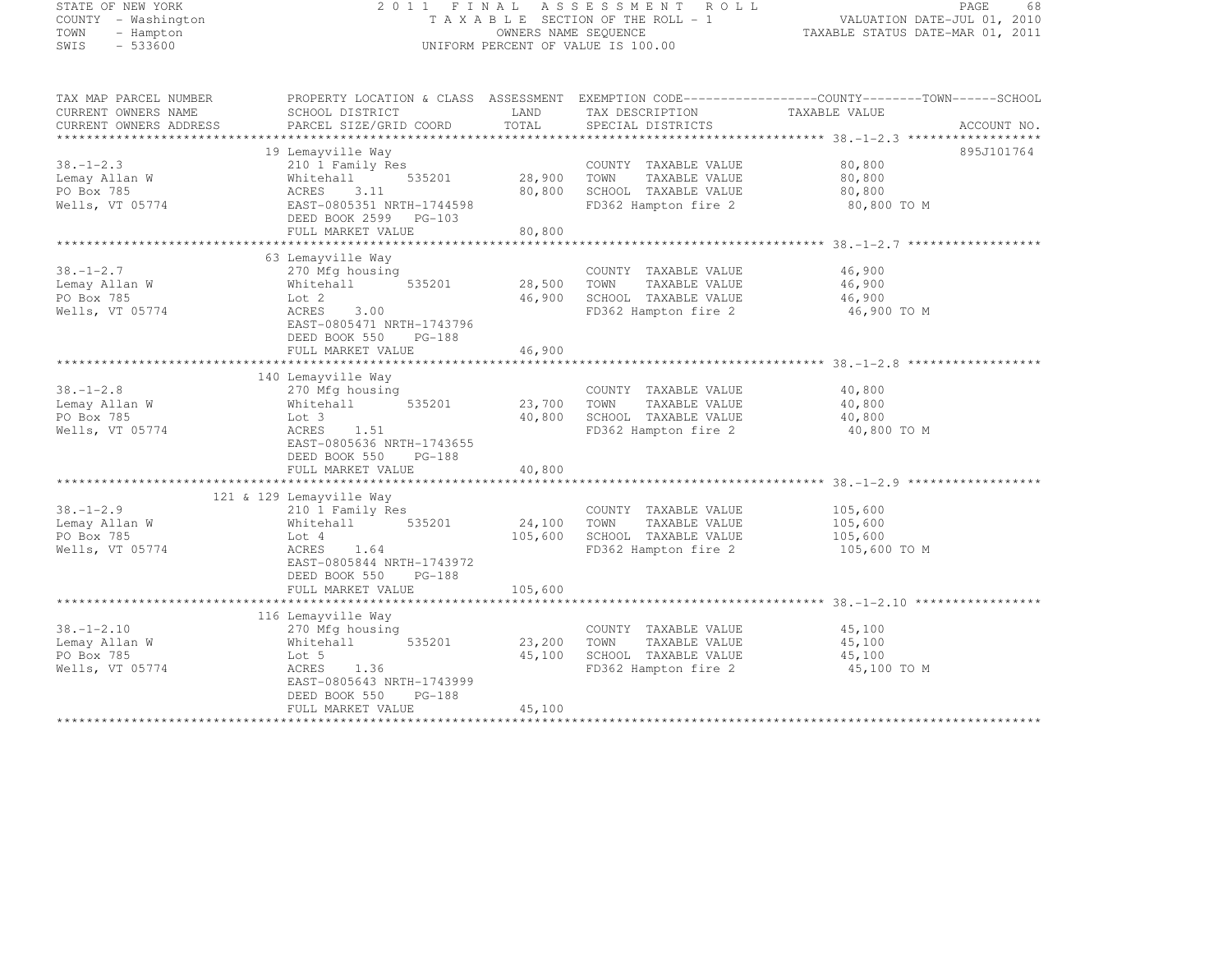| STATE OF NEW YORK<br>COUNTY - Washington<br>TOWN<br>- Hampton          |                                                        |                  | 2011 FINAL ASSESSMENT ROLL<br>T A X A B L E SECTION OF THE ROLL - 1<br>OWNERS NAME SEQUENCE | PAGE<br>68<br>VALUATION DATE-JUL 01, 2010<br>TAXABLE STATUS DATE-MAR 01, 2011                                                    |
|------------------------------------------------------------------------|--------------------------------------------------------|------------------|---------------------------------------------------------------------------------------------|----------------------------------------------------------------------------------------------------------------------------------|
| SWIS<br>$-533600$                                                      |                                                        |                  | UNIFORM PERCENT OF VALUE IS 100.00                                                          |                                                                                                                                  |
| TAX MAP PARCEL NUMBER<br>CURRENT OWNERS NAME<br>CURRENT OWNERS ADDRESS | SCHOOL DISTRICT<br>PARCEL SIZE/GRID COORD              | LAND<br>TOTAL    | TAX DESCRIPTION<br>SPECIAL DISTRICTS                                                        | PROPERTY LOCATION & CLASS ASSESSMENT EXEMPTION CODE----------------COUNTY-------TOWN------SCHOOL<br>TAXABLE VALUE<br>ACCOUNT NO. |
|                                                                        |                                                        |                  |                                                                                             |                                                                                                                                  |
|                                                                        | 19 Lemayville Way                                      |                  |                                                                                             | 895J101764                                                                                                                       |
| $38. - 1 - 2.3$                                                        | 210 1 Family Res                                       |                  | COUNTY TAXABLE VALUE                                                                        | 80,800                                                                                                                           |
| Lemay Allan W<br>PO Box 785                                            | 535201<br>Whitehall<br>3.11<br>ACRES                   | 28,900<br>80,800 | TOWN<br>TAXABLE VALUE<br>SCHOOL TAXABLE VALUE                                               | 80,800<br>80,800                                                                                                                 |
| Wells, VT 05774                                                        | EAST-0805351 NRTH-1744598                              |                  | FD362 Hampton fire 2                                                                        | 80,800 TO M                                                                                                                      |
|                                                                        | DEED BOOK 2599 PG-103                                  |                  |                                                                                             |                                                                                                                                  |
|                                                                        | FULL MARKET VALUE                                      | 80,800           |                                                                                             |                                                                                                                                  |
|                                                                        |                                                        |                  |                                                                                             |                                                                                                                                  |
|                                                                        | 63 Lemayville Way                                      |                  |                                                                                             |                                                                                                                                  |
| $38. - 1 - 2.7$                                                        | 270 Mfg housing<br>535201                              |                  | COUNTY TAXABLE VALUE                                                                        | 46,900                                                                                                                           |
| Lemay Allan W<br>PO Box 785                                            | Whitehall<br>Lot 2                                     | 28,500<br>46,900 | TOWN<br>TAXABLE VALUE<br>SCHOOL TAXABLE VALUE                                               | 46,900<br>46,900                                                                                                                 |
| Wells, VT 05774                                                        | 3.00<br>ACRES                                          |                  | FD362 Hampton fire 2                                                                        | 46,900 TO M                                                                                                                      |
|                                                                        | EAST-0805471 NRTH-1743796<br>DEED BOOK 550<br>$PG-188$ |                  |                                                                                             |                                                                                                                                  |
|                                                                        | FULL MARKET VALUE                                      | 46,900           |                                                                                             |                                                                                                                                  |
|                                                                        |                                                        |                  |                                                                                             |                                                                                                                                  |
| $38. - 1 - 2.8$                                                        | 140 Lemayville Way                                     |                  |                                                                                             |                                                                                                                                  |
| Lemay Allan W                                                          | 270 Mfg housing<br>535201<br>Whitehall                 | 23,700           | COUNTY TAXABLE VALUE<br>TOWN<br>TAXABLE VALUE                                               | 40,800<br>40,800                                                                                                                 |
| PO Box 785                                                             | Lot 3                                                  | 40,800           | SCHOOL TAXABLE VALUE                                                                        | 40,800                                                                                                                           |
| Wells, VT 05774                                                        | ACRES<br>1.51                                          |                  | FD362 Hampton fire 2                                                                        | 40,800 TO M                                                                                                                      |
|                                                                        | EAST-0805636 NRTH-1743655                              |                  |                                                                                             |                                                                                                                                  |
|                                                                        | DEED BOOK 550<br>$PG-188$                              |                  |                                                                                             |                                                                                                                                  |
|                                                                        | FULL MARKET VALUE                                      | 40,800           |                                                                                             |                                                                                                                                  |
|                                                                        | 121 & 129 Lemayville Way                               |                  |                                                                                             |                                                                                                                                  |
| $38. - 1 - 2.9$                                                        | 210 1 Family Res                                       |                  | COUNTY TAXABLE VALUE                                                                        | 105,600                                                                                                                          |
| Lemay Allan W                                                          | Whitehall<br>535201                                    | 24,100           | TOWN<br>TAXABLE VALUE                                                                       | 105,600                                                                                                                          |
| PO Box 785                                                             | Lot 4                                                  | 105,600          | SCHOOL TAXABLE VALUE                                                                        | 105,600                                                                                                                          |
| Wells, VT 05774                                                        | ACRES<br>1.64                                          |                  | FD362 Hampton fire 2                                                                        | 105,600 TO M                                                                                                                     |
|                                                                        | EAST-0805844 NRTH-1743972                              |                  |                                                                                             |                                                                                                                                  |
|                                                                        | DEED BOOK 550<br>PG-188                                |                  |                                                                                             |                                                                                                                                  |
|                                                                        | FULL MARKET VALUE                                      | 105,600          |                                                                                             |                                                                                                                                  |
|                                                                        | 116 Lemayville Way                                     |                  |                                                                                             |                                                                                                                                  |
| $38. - 1 - 2.10$                                                       | 270 Mfg housing                                        |                  | COUNTY TAXABLE VALUE                                                                        | 45,100                                                                                                                           |
| Lemay Allan W                                                          | Whitehall<br>535201                                    | 23,200           | TOWN<br>TAXABLE VALUE                                                                       | 45,100                                                                                                                           |
| PO Box 785                                                             | Lot 5                                                  | 45,100           | SCHOOL TAXABLE VALUE                                                                        | 45,100                                                                                                                           |

PO Box 785 Lot 5 45,100 SCHOOL TAXABLE VALUE 45,100

 EAST-0805643 NRTH-1743999DEED BOOK 550 PG-188

FULL MARKET VALUE 45,100

FD362 Hampton fire 2

\*\*\*\*\*\*\*\*\*\*\*\*\*\*\*\*\*\*\*\*\*\*\*\*\*\*\*\*\*\*\*\*\*\*\*\*\*\*\*\*\*\*\*\*\*\*\*\*\*\*\*\*\*\*\*\*\*\*\*\*\*\*\*\*\*\*\*\*\*\*\*\*\*\*\*\*\*\*\*\*\*\*\*\*\*\*\*\*\*\*\*\*\*\*\*\*\*\*\*\*\*\*\*\*\*\*\*\*\*\*\*\*\*\*\*\*\*\*\*\*\*\*\*\*\*\*\*\*\*\*\*\*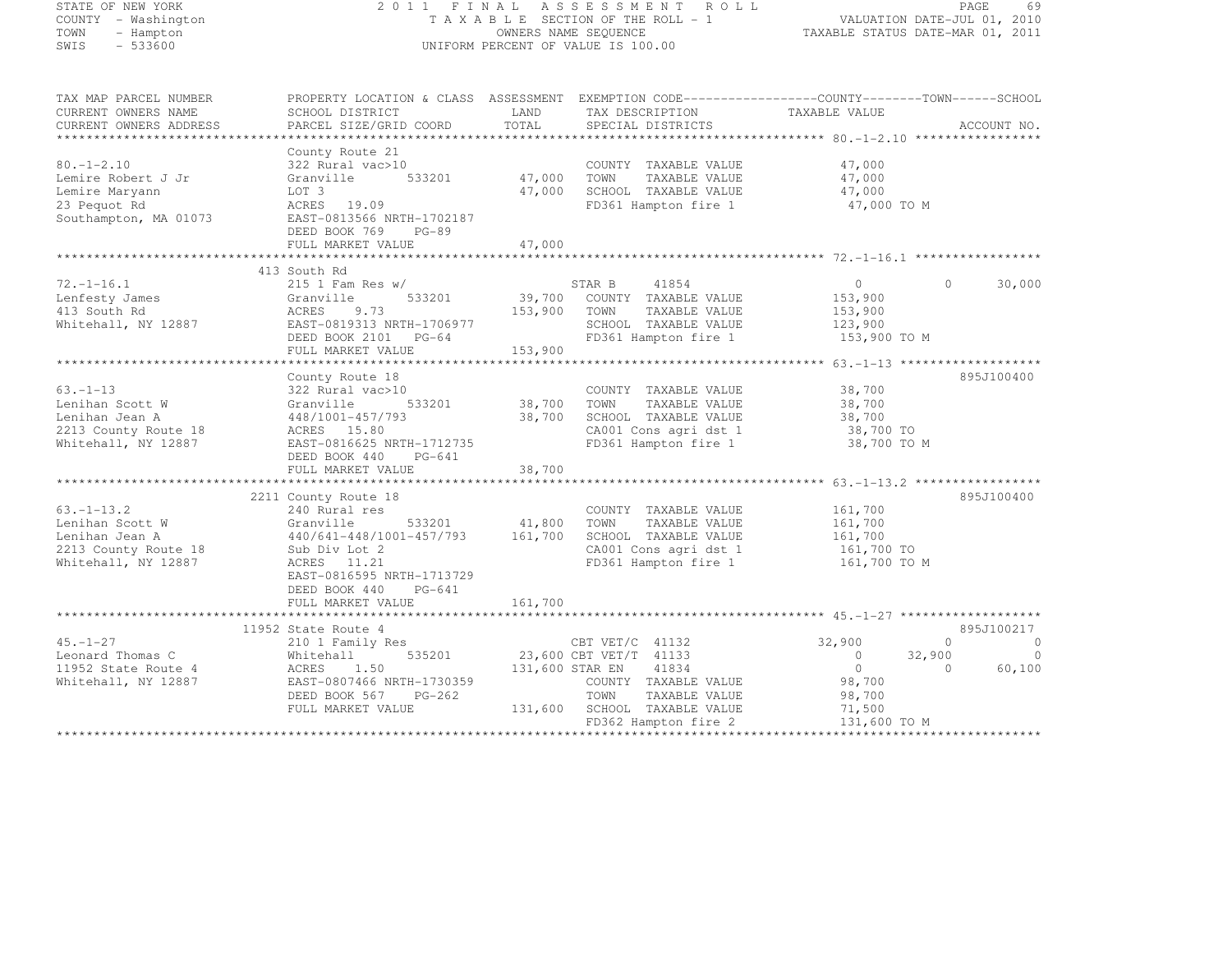| STATE OF NEW YORK<br>COUNTY - Washington<br>TOWN<br>- Hampton<br>SWIS<br>$-533600$                   | 2011 FINAL                                                                                                                                                                       |                              | A S S E S S M E N T<br>ROLL<br>TAXABLE SECTION OF THE ROLL - 1<br>OWNERS NAME SEQUENCE<br>UNIFORM PERCENT OF VALUE IS 100.00                        | FAGE 69<br>VALUATION DATE-JUL 01, 2010<br>TAXABLE STATUS DATE WELL 1                                 | TAXABLE STATUS DATE-MAR 01, 2011                                                         |
|------------------------------------------------------------------------------------------------------|----------------------------------------------------------------------------------------------------------------------------------------------------------------------------------|------------------------------|-----------------------------------------------------------------------------------------------------------------------------------------------------|------------------------------------------------------------------------------------------------------|------------------------------------------------------------------------------------------|
| TAX MAP PARCEL NUMBER<br>CURRENT OWNERS NAME<br>CURRENT OWNERS ADDRESS                               | PROPERTY LOCATION & CLASS ASSESSMENT EXEMPTION CODE----------------COUNTY-------TOWN-----SCHOOL<br>SCHOOL DISTRICT<br>PARCEL SIZE/GRID COORD                                     | LAND<br>TOTAL                | TAX DESCRIPTION<br>SPECIAL DISTRICTS                                                                                                                | TAXABLE VALUE                                                                                        | ACCOUNT NO.                                                                              |
| $80, -1 - 2, 10$<br>Lemire Robert J Jr<br>Lemire Maryann<br>23 Pequot Rd<br>Southampton, MA 01073    | County Route 21<br>322 Rural vac>10<br>Granville<br>533201<br>LOT 3<br>ACRES 19.09<br>EAST-0813566 NRTH-1702187<br>DEED BOOK 769<br>$PG-89$<br>FULL MARKET VALUE                 | 47,000<br>47,000<br>47,000   | COUNTY TAXABLE VALUE<br>TOWN<br>TAXABLE VALUE<br>SCHOOL TAXABLE VALUE<br>FD361 Hampton fire 1                                                       | 47,000<br>47,000<br>47,000<br>47,000 TO M                                                            |                                                                                          |
|                                                                                                      | ***********************                                                                                                                                                          |                              |                                                                                                                                                     |                                                                                                      |                                                                                          |
| $72, -1 - 16, 1$<br>Lenfesty James<br>413 South Rd<br>Whitehall, NY 12887                            | 413 South Rd<br>$215$ 1 Fam Res w/<br>533201<br>Granville<br>ACRES<br>9.73<br>EAST-0819313 NRTH-1706977<br>DEED BOOK 2101 PG-64<br>FULL MARKET VALUE                             | 39,700<br>153,900<br>153,900 | 41854<br>STAR B<br>COUNTY TAXABLE VALUE<br>TOWN<br>TAXABLE VALUE<br>SCHOOL TAXABLE VALUE<br>FD361 Hampton fire 1                                    | $\circ$<br>153,900<br>153,900<br>123,900<br>153,900 TO M                                             | $\cap$<br>30,000                                                                         |
| $63. - 1 - 13$<br>Lenihan Scott W<br>Lenihan Jean A<br>2213 County Route 18<br>Whitehall, NY 12887   | County Route 18<br>322 Rural vac>10<br>533201<br>Granville<br>448/1001-457/793<br>ACRES 15.80<br>EAST-0816625 NRTH-1712735<br>DEED BOOK 440<br>PG-641<br>FULL MARKET VALUE       | 38,700<br>38,700<br>38,700   | COUNTY TAXABLE VALUE<br>TAXABLE VALUE<br>TOWN<br>SCHOOL TAXABLE VALUE<br>CA001 Cons agri dst 1<br>FD361 Hampton fire 1                              | 38,700<br>38,700<br>38,700<br>38,700 TO<br>38,700 TO M                                               | 895J100400                                                                               |
|                                                                                                      |                                                                                                                                                                                  | **********                   |                                                                                                                                                     | ****************** 63.-1-13.2 ******************                                                     |                                                                                          |
| $63. - 1 - 13.2$<br>Lenihan Scott W<br>Lenihan Jean A<br>2213 County Route 18<br>Whitehall, NY 12887 | 2211 County Route 18<br>240 Rural res<br>Granville<br>533201<br>440/641-448/1001-457/793<br>Sub Div Lot 2<br>ACRES 11.21<br>EAST-0816595 NRTH-1713729<br>DEED BOOK 440<br>PG-641 | 41,800<br>161,700            | COUNTY TAXABLE VALUE<br>TOWN<br>TAXABLE VALUE<br>SCHOOL TAXABLE VALUE<br>CA001 Cons agri dst 1<br>FD361 Hampton fire 1                              | 161,700<br>161,700<br>161,700<br>161,700 TO<br>161,700 TO M                                          | 895J100400                                                                               |
|                                                                                                      | FULL MARKET VALUE                                                                                                                                                                | 161,700                      |                                                                                                                                                     |                                                                                                      |                                                                                          |
| $45. - 1 - 27$<br>Leonard Thomas C<br>11952 State Route 4<br>Whitehall, NY 12887                     | 11952 State Route 4<br>210 1 Family Res<br>535201<br>Whitehall<br>1.50<br>ACRES<br>EAST-0807466 NRTH-1730359<br>DEED BOOK 567<br>$PG-262$<br>FULL MARKET VALUE                   | 131,600 STAR EN<br>131,600   | CBT VET/C 41132<br>23,600 CBT VET/T 41133<br>41834<br>COUNTY TAXABLE VALUE<br>TOWN<br>TAXABLE VALUE<br>SCHOOL TAXABLE VALUE<br>FD362 Hampton fire 2 | 32,900<br>$\circ$<br>$\circ$<br>98,700<br>98,700<br>71,500<br>131,600 TO M<br>++++++++++++++++++++++ | 895J100217<br>$\Omega$<br>$\overline{0}$<br>32,900<br>$\circ$<br>$\Omega$<br>60,100<br>. |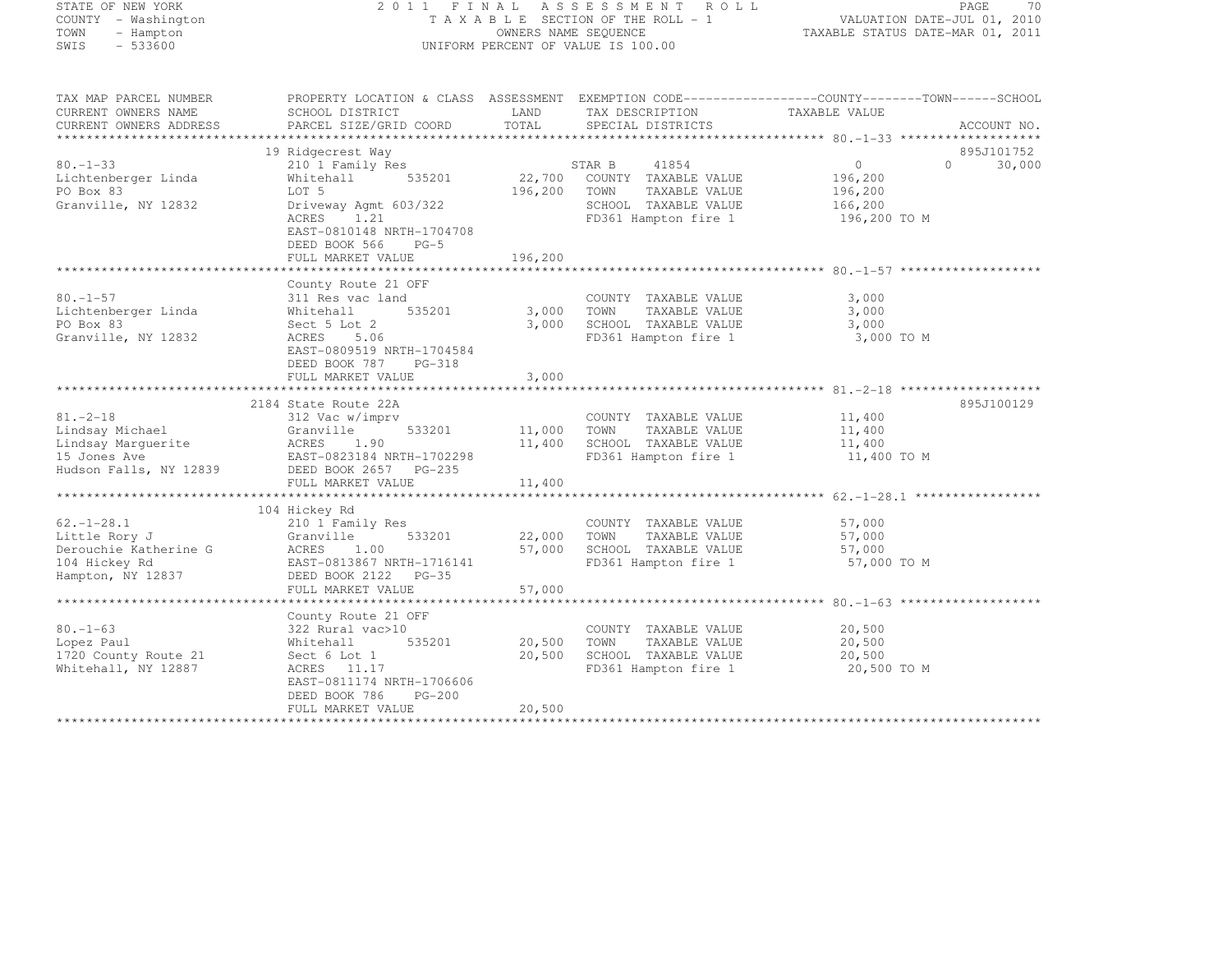# STATE OF NEW YORK 2 0 1 1 F I N A L A S S E S S M E N T R O L L PAGE <sup>70</sup> COUNTY - Washington T A X A B L E SECTION OF THE ROLL - 1 VALUATION DATE-JUL 01, 2010 TOWN - Hampton OWNERS NAME SEQUENCE TAXABLE STATUS DATE-MAR 01, 2011 SWIS - 533600 UNIFORM PERCENT OF VALUE IS 100.00

| TAX MAP PARCEL NUMBER<br>CURRENT OWNERS NAME<br>CURRENT OWNERS ADDRESS                           | PROPERTY LOCATION & CLASS ASSESSMENT EXEMPTION CODE-----------------COUNTY-------TOWN------SCHOOL<br>SCHOOL DISTRICT<br>PARCEL SIZE/GRID COORD                                               | LAND<br>TOTAL                | TAX DESCRIPTION<br>SPECIAL DISTRICTS                                                                             | TAXABLE VALUE                                             | ACCOUNT NO.                      |
|--------------------------------------------------------------------------------------------------|----------------------------------------------------------------------------------------------------------------------------------------------------------------------------------------------|------------------------------|------------------------------------------------------------------------------------------------------------------|-----------------------------------------------------------|----------------------------------|
| $80. - 1 - 33$<br>Lichtenberger Linda<br>PO Box 83<br>Granville, NY 12832                        | 19 Ridgecrest Way<br>210 1 Family Res<br>535201<br>Whitehall<br>LOT 5<br>Driveway Agmt 603/322<br>ACRES<br>1.21<br>EAST-0810148 NRTH-1704708<br>DEED BOOK 566<br>$PG-5$<br>FULL MARKET VALUE | 22,700<br>196,200<br>196,200 | STAR B<br>41854<br>COUNTY TAXABLE VALUE<br>TOWN<br>TAXABLE VALUE<br>SCHOOL TAXABLE VALUE<br>FD361 Hampton fire 1 | $\Omega$<br>196,200<br>196,200<br>166,200<br>196,200 TO M | 895J101752<br>30,000<br>$\Omega$ |
| $80. - 1 - 57$<br>Lichtenberger Linda<br>PO Box 83<br>Granville, NY 12832                        | County Route 21 OFF<br>311 Res vac land<br>Whitehall<br>535201<br>Sect 5 Lot 2<br>ACRES<br>5.06<br>EAST-0809519 NRTH-1704584<br>DEED BOOK 787<br>PG-318<br>FULL MARKET VALUE                 | 3,000<br>3,000<br>3,000      | COUNTY TAXABLE VALUE<br>TOWN<br>TAXABLE VALUE<br>SCHOOL TAXABLE VALUE<br>FD361 Hampton fire 1                    | 3,000<br>3,000<br>3,000<br>3,000 TO M                     |                                  |
| $81 - 2 - 18$<br>Lindsay Michael<br>Lindsay Marquerite<br>15 Jones Ave<br>Hudson Falls, NY 12839 | 2184 State Route 22A<br>312 Vac w/imprv<br>533201<br>Granville<br>ACRES<br>1.90<br>EAST-0823184 NRTH-1702298<br>DEED BOOK 2657 PG-235<br>FULL MARKET VALUE                                   | 11,000<br>11,400<br>11,400   | COUNTY TAXABLE VALUE<br>TOWN<br>TAXABLE VALUE<br>SCHOOL TAXABLE VALUE<br>FD361 Hampton fire 1                    | 11,400<br>11,400<br>11,400<br>11,400 TO M                 | 895J100129                       |
| $62. - 1 - 28.1$<br>Little Rory J<br>Derouchie Katherine G<br>104 Hickey Rd<br>Hampton, NY 12837 | 104 Hickey Rd<br>210 1 Family Res<br>Granville<br>533201<br>ACRES<br>1.00<br>EAST-0813867 NRTH-1716141<br>DEED BOOK 2122 PG-35<br>FULL MARKET VALUE                                          | 22,000<br>57,000<br>57,000   | COUNTY TAXABLE VALUE<br>TAXABLE VALUE<br>TOWN<br>SCHOOL TAXABLE VALUE<br>FD361 Hampton fire 1                    | 57,000<br>57,000<br>57,000<br>57,000 TO M                 |                                  |
| $80. - 1 - 63$<br>Lopez Paul<br>1720 County Route 21<br>Whitehall, NY 12887                      | County Route 21 OFF<br>322 Rural vac>10<br>535201<br>Whitehall<br>Sect 6 Lot 1<br>ACRES 11.17<br>EAST-0811174 NRTH-1706606<br>DEED BOOK 786<br>$PG-200$<br>FULL MARKET VALUE                 | 20,500<br>20,500<br>20,500   | COUNTY TAXABLE VALUE<br>TOWN<br>TAXABLE VALUE<br>SCHOOL TAXABLE VALUE<br>FD361 Hampton fire 1                    | 20,500<br>20,500<br>20,500<br>20,500 TO M                 |                                  |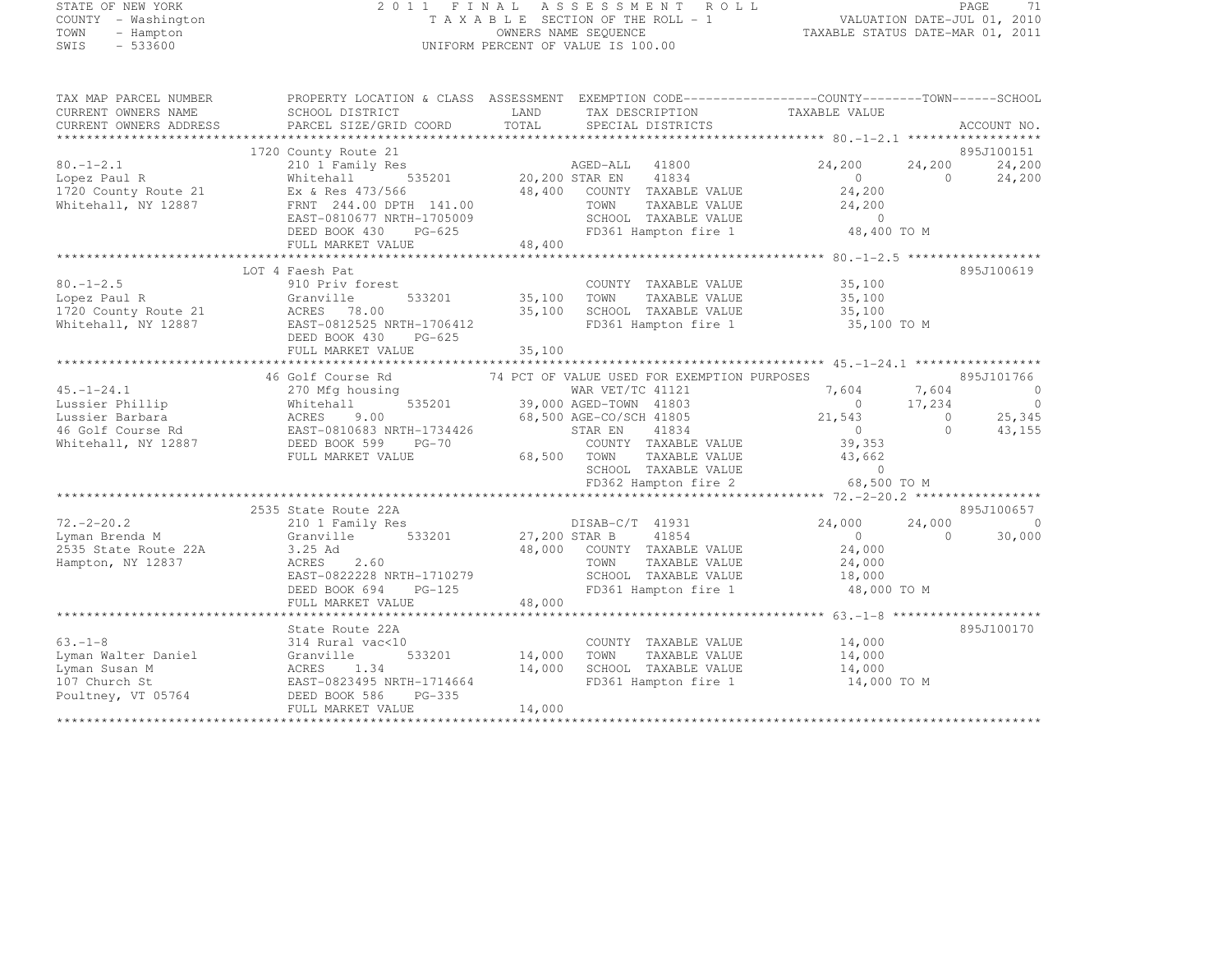# STATE OF NEW YORK 2 0 1 1 F I N A L A S S E S S M E N T R O L L PAGE <sup>71</sup> COUNTY - Washington T A X A B L E SECTION OF THE ROLL - 1 VALUATION DATE-JUL 01, 2010 TOWN - Hampton OWNERS NAME SEQUENCE TAXABLE STATUS DATE-MAR 01, 2011 SWIS - 533600 UNIFORM PERCENT OF VALUE IS 100.00

| TAX MAP PARCEL NUMBER<br>CURRENT OWNERS NAME                                                                          | SCHOOL DISTRICT                                                                                                                                                                                                                             | PROPERTY LOCATION & CLASS ASSESSMENT EXEMPTION CODE----------------COUNTY-------TOWN------SCHOOL<br>LAND<br>TAX DESCRIPTION                                                                                 | TAXABLE VALUE                                                                                                                        |                                                                        |
|-----------------------------------------------------------------------------------------------------------------------|---------------------------------------------------------------------------------------------------------------------------------------------------------------------------------------------------------------------------------------------|-------------------------------------------------------------------------------------------------------------------------------------------------------------------------------------------------------------|--------------------------------------------------------------------------------------------------------------------------------------|------------------------------------------------------------------------|
| CURRENT OWNERS ADDRESS                                                                                                | PARCEL SIZE/GRID COORD                                                                                                                                                                                                                      | TOTAL<br>SPECIAL DISTRICTS                                                                                                                                                                                  |                                                                                                                                      | ACCOUNT NO.                                                            |
|                                                                                                                       |                                                                                                                                                                                                                                             |                                                                                                                                                                                                             |                                                                                                                                      |                                                                        |
| $80. - 1 - 2.1$<br>Lopez Paul R<br>1720 County Route 21 Ex & Res 473/566<br>Whitehall, NY 12887                       | 1720 County Route 21<br>210 1 Family Res<br>Whitehall<br>FRNT 244.00 DPTH 141.00<br>EAST-0810677 NRTH-1705009<br>DEED BOOK 430<br>$PG-625$<br>FULL MARKET VALUE                                                                             | 48,400 COUNTY TAXABLE VALUE<br>TOWN TAXABLE VALUE<br>SCHOOL TAXABLE VALUE<br>TAXABLE VALUE<br>TOWN      TAXABLE VALUE<br>SCHOOL   TAXABLE VALUE<br>48,400<br>FD361 Hampton fire 1 48,400 TO M               | 24,200<br>24,200<br>$\overline{0}$<br>$\overline{0}$<br>24,200<br>24, 200                                                            | 895J100151<br>24,200<br>24,200                                         |
|                                                                                                                       |                                                                                                                                                                                                                                             |                                                                                                                                                                                                             |                                                                                                                                      |                                                                        |
| $80. - 1 - 2.5$<br>Lopez Paul R                       Granville<br>1720 County Route 21                 ACRES   78.00 | LOT 4 Faesh Pat<br>910 Priv forest<br>533201<br>Whitehall, NY 12887 EAST-0812525 NRTH-1706412<br>DEED BOOK 430<br>PG-625<br>FULL MARKET VALUE                                                                                               | COUNTY TAXABLE VALUE 35,100<br>35,100 TOWN<br>35,100 TOWN TAXABLE VALUE<br>35,100 SCHOOL TAXABLE VALUE<br>FD361 Hampton fire 1 35,100 TO M<br>35,100                                                        | 35,100<br>35,100                                                                                                                     | 895J100619                                                             |
|                                                                                                                       |                                                                                                                                                                                                                                             |                                                                                                                                                                                                             |                                                                                                                                      |                                                                        |
|                                                                                                                       | 45.-1-24.1<br>Lussier Phillip Mitchall 535201<br>Lussier Barbara (ACRES 9.00 AGED-10MN 11005<br>46 Golf Course Rd EAST-0810683 NRTH-1734426<br>Whitehall, NY 12887<br>EED BOOK 599 PG-70<br>FULL MARKET VALUE 68,500 TOWN TAXABLE<br>SCHOOL | 46 Golf Course Rd 74 PCT OF VALUE USED FOR EXEMPTION PURPOSES<br>WAR VET/TC 41121<br>535201 39,000 AGED-TOWN 41803<br>COUNTY TAXABLE VALUE<br>TAXABLE VALUE<br>SCHOOL TAXABLE VALUE<br>FD362 Hampton fire 2 | $7,604$ $7,604$<br>0 $17,234$<br>$21,543$ 0<br>$\overline{0}$<br>$\overline{0}$<br>39,353<br>43,662<br>$\overline{0}$<br>68,500 TO M | 895J101766<br>$\sim$ 0<br>$\overline{\phantom{0}}$<br>25,345<br>43,155 |
|                                                                                                                       | 2535 State Route 22A                                                                                                                                                                                                                        |                                                                                                                                                                                                             |                                                                                                                                      | 895J100657                                                             |
| $72. - 2 - 20.2$<br>Lyman Brenda M<br>2535 State Route 22A<br>Hampton, NY 12837                                       | 210 1 Family Res<br>Granville 533201 27,200 STAR B<br>3.25 Ad<br>2.60<br>ACRES<br>EAST-0822228 NRTH-1710279<br>PERD BOOK 694 PG-125<br>DEED BOOK 694 PG-125<br>FULL MARKET VALUE                                                            | DISAB-C/T 41931<br>41854<br>48,000 COUNTY TAXABLE VALUE<br>TOWN<br>TAXABLE VALUE<br>SCHOOL TAXABLE VALUE 18,000<br>FD361 Hampton fire 1 1 48,000 TO M<br>FD361 Hampton fire 1<br>48,000                     | 24,000<br>24,000<br>$\overline{0}$<br>$\bigcap$<br>24,000<br>24,000                                                                  | $\overline{0}$<br>30,000                                               |
|                                                                                                                       |                                                                                                                                                                                                                                             |                                                                                                                                                                                                             |                                                                                                                                      |                                                                        |
| $63. -1 - 8$<br>Lyman Walter Daniel<br>Lyman Susan M<br>107 Church St<br>Poultney, VT 05764                           | State Route 22A<br>314 Rural vac<10<br>Granville<br>ACRES 1.34<br>EAST-0823495 NRTH-1714664<br>DEED BOOK 586<br>PG-335<br>FULL MARKET VALUE                                                                                                 | COUNTY TAXABLE VALUE<br>533201 14,000 TOWN<br>TAXABLE VALUE<br>14,000<br>SCHOOL TAXABLE VALUE<br>FD361 Hampton fire 1<br>14,000                                                                             | 14,000<br>14,000<br>14,000<br>14,000 TO M                                                                                            | 895J100170                                                             |
|                                                                                                                       |                                                                                                                                                                                                                                             |                                                                                                                                                                                                             |                                                                                                                                      |                                                                        |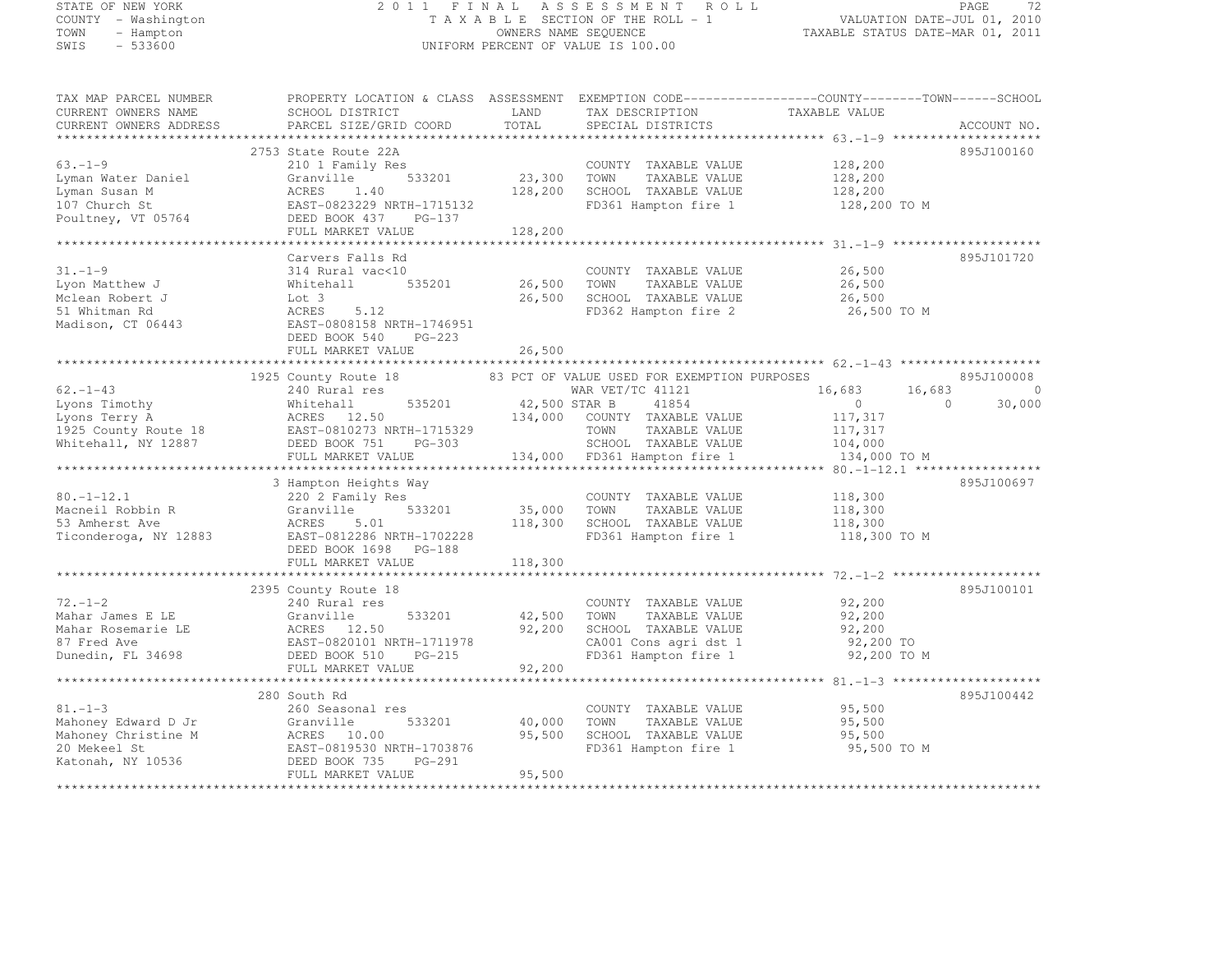#### STATE OF NEW YORK 2 0 1 1 F I N A L A S S E S S M E N T R O L L PAGE <sup>72</sup> COUNTY - Washington T A X A B L E SECTION OF THE ROLL - 1 VALUATION DATE-JUL 01, 2010 TOWN - Hampton OWNERS NAME SEQUENCE TAXABLE STATUS DATE-MAR 01, 2011 SWIS - 533600 UNIFORM PERCENT OF VALUE IS 100.00

| TAX MAP PARCEL NUMBER                                                                                                                                                                                                                                                      | PROPERTY LOCATION & CLASS ASSESSMENT EXEMPTION CODE----------------COUNTY-------TOWN------SCHOOL                                          |                                                                                             |                                                                                                               |                      |             |
|----------------------------------------------------------------------------------------------------------------------------------------------------------------------------------------------------------------------------------------------------------------------------|-------------------------------------------------------------------------------------------------------------------------------------------|---------------------------------------------------------------------------------------------|---------------------------------------------------------------------------------------------------------------|----------------------|-------------|
| CURRENT OWNERS NAME                                                                                                                                                                                                                                                        | <b>EXAMPLE SERVICE SERVICE SERVICE SERVICE SERVICE SERVICE SERVICE SERVICE SERVICE SERVICE SERVICE SERVICE SERVICE</b><br>SCHOOL DISTRICT |                                                                                             | TAX DESCRIPTION TAXABLE VALUE                                                                                 |                      |             |
|                                                                                                                                                                                                                                                                            |                                                                                                                                           |                                                                                             | SPECIAL DISTRICTS                                                                                             |                      | ACCOUNT NO. |
|                                                                                                                                                                                                                                                                            |                                                                                                                                           |                                                                                             |                                                                                                               |                      |             |
|                                                                                                                                                                                                                                                                            | 2753 State Route 22A                                                                                                                      |                                                                                             |                                                                                                               |                      | 895J100160  |
| $63. - 1 - 9$                                                                                                                                                                                                                                                              | 210 1 Family Res                                                                                                                          |                                                                                             | COUNTY TAXABLE VALUE                                                                                          | 128,200              |             |
|                                                                                                                                                                                                                                                                            |                                                                                                                                           |                                                                                             | TAXABLE VALUE                                                                                                 | 128,200<br>128,200   |             |
|                                                                                                                                                                                                                                                                            |                                                                                                                                           |                                                                                             | SCHOOL TAXABLE VALUE                                                                                          |                      |             |
|                                                                                                                                                                                                                                                                            |                                                                                                                                           |                                                                                             | FD361 Hampton fire 1 128,200 TO M                                                                             |                      |             |
| 63.-1-9 210 1 Family Res COUNT<br>Lyman Water Daniel Granville 533201 23,300 TOWN<br>128,200 SCHOO! ACRES 1.40 128,200 SCHOO!<br>127 128,200 SCHOO! EAST-0823229 NRTH-1715132 FD361<br>Poultney, VT 05764 FULL MARKET VALUE 128,200                                        |                                                                                                                                           |                                                                                             |                                                                                                               |                      |             |
|                                                                                                                                                                                                                                                                            |                                                                                                                                           |                                                                                             |                                                                                                               |                      |             |
|                                                                                                                                                                                                                                                                            |                                                                                                                                           |                                                                                             |                                                                                                               |                      |             |
|                                                                                                                                                                                                                                                                            | Carvers Falls Rd                                                                                                                          |                                                                                             |                                                                                                               |                      | 895J101720  |
| $31. - 1 - 9$                                                                                                                                                                                                                                                              |                                                                                                                                           |                                                                                             | COUNTY TAXABLE VALUE                                                                                          | 26,500<br>26,500     |             |
|                                                                                                                                                                                                                                                                            |                                                                                                                                           | 535201 26,500 TOWN                                                                          | TAXABLE VALUE                                                                                                 |                      |             |
|                                                                                                                                                                                                                                                                            |                                                                                                                                           |                                                                                             | 26,500 SCHOOL TAXABLE VALUE 26,500 26,500 FD362 Hampton fire 2 26,500 TO M                                    |                      |             |
| 31.-1-9<br>Lyon Matthew J<br>Molean Robert J<br>Molean Robert J<br>535201<br>Molean Robert J<br>51 Whitehall<br>535201<br>535201<br>535201<br>535201<br>535201<br>535201<br>535201<br>535201<br>535201<br>535201<br>535201<br>535201<br>535201<br>535201<br>535201<br>5352 |                                                                                                                                           |                                                                                             |                                                                                                               |                      |             |
|                                                                                                                                                                                                                                                                            |                                                                                                                                           |                                                                                             |                                                                                                               |                      |             |
|                                                                                                                                                                                                                                                                            | DEED BOOK 540 PG-223                                                                                                                      |                                                                                             |                                                                                                               |                      |             |
|                                                                                                                                                                                                                                                                            | FULL MARKET VALUE                                                                                                                         | 26,500                                                                                      |                                                                                                               |                      |             |
|                                                                                                                                                                                                                                                                            |                                                                                                                                           |                                                                                             |                                                                                                               |                      |             |
|                                                                                                                                                                                                                                                                            | 1925 County Route 18 63 PCT OF VALUE USED FOR EXEMPTION PURPOSES                                                                          |                                                                                             |                                                                                                               |                      | 895J100008  |
|                                                                                                                                                                                                                                                                            |                                                                                                                                           |                                                                                             |                                                                                                               |                      |             |
|                                                                                                                                                                                                                                                                            |                                                                                                                                           |                                                                                             |                                                                                                               |                      |             |
|                                                                                                                                                                                                                                                                            |                                                                                                                                           |                                                                                             |                                                                                                               |                      |             |
|                                                                                                                                                                                                                                                                            |                                                                                                                                           |                                                                                             |                                                                                                               |                      |             |
|                                                                                                                                                                                                                                                                            |                                                                                                                                           |                                                                                             |                                                                                                               |                      |             |
|                                                                                                                                                                                                                                                                            |                                                                                                                                           |                                                                                             |                                                                                                               |                      |             |
|                                                                                                                                                                                                                                                                            |                                                                                                                                           |                                                                                             |                                                                                                               |                      |             |
|                                                                                                                                                                                                                                                                            | 3 Hampton Heights Way                                                                                                                     |                                                                                             |                                                                                                               |                      | 895J100697  |
|                                                                                                                                                                                                                                                                            |                                                                                                                                           |                                                                                             |                                                                                                               |                      |             |
|                                                                                                                                                                                                                                                                            |                                                                                                                                           |                                                                                             |                                                                                                               |                      |             |
|                                                                                                                                                                                                                                                                            |                                                                                                                                           |                                                                                             |                                                                                                               |                      |             |
| 80.-1-12.1<br>Macneil Robbin R (2000 2 Family Res 533201 18,300 TOWN TAXABLE VALUE 118,300<br>53 Amherst Ave (ACRES 5.01 118,300 SCHOOL TAXABLE VALUE 118,300 17<br>Ticonderoga, NY 12883 EAST-0812286 NRTH-1702228 FD361 Hampton fi                                       |                                                                                                                                           |                                                                                             |                                                                                                               |                      |             |
|                                                                                                                                                                                                                                                                            | DEED BOOK 1698 PG-188                                                                                                                     |                                                                                             |                                                                                                               |                      |             |
|                                                                                                                                                                                                                                                                            | FULL MARKET VALUE                                                                                                                         | 118,300                                                                                     |                                                                                                               |                      |             |
|                                                                                                                                                                                                                                                                            |                                                                                                                                           |                                                                                             |                                                                                                               |                      |             |
|                                                                                                                                                                                                                                                                            | 2395 County Route 18                                                                                                                      |                                                                                             |                                                                                                               |                      | 895J100101  |
| $72. - 1 - 2$                                                                                                                                                                                                                                                              | 240 Rural res                                                                                                                             |                                                                                             | COUNTY TAXABLE VALUE 92,200                                                                                   |                      |             |
|                                                                                                                                                                                                                                                                            |                                                                                                                                           |                                                                                             |                                                                                                               |                      |             |
|                                                                                                                                                                                                                                                                            |                                                                                                                                           | $\begin{array}{cc}\n 533201 & 42,500 & \text{TOWN} \\  92.200 & \text{SVD} \\  \end{array}$ |                                                                                                               |                      |             |
|                                                                                                                                                                                                                                                                            |                                                                                                                                           |                                                                                             | 42,500 TOWN TAXABLE VALUE<br>92,200 SCHOOL TAXABLE VALUE 92,200 TO<br>22,200 CARLO CODE arri dst. 1 92,200 TO |                      |             |
|                                                                                                                                                                                                                                                                            |                                                                                                                                           |                                                                                             | CA001 Cons agri dst 1 92,200 TO<br>FD361 Hampton fire 1 92,200 TO M                                           |                      |             |
| 72.-1-2<br>Mahar James E LE Granville 533201 42,500<br>Mahar Rosemarie LE ACRES 12.50 92,200<br>87 Fred Ave EAST-0820101 NRTH-1711978<br>Dunedin, FL 34698 DEED BOOK 510 PG-215<br>FULL MARKET VALUE 92,200                                                                |                                                                                                                                           |                                                                                             |                                                                                                               |                      |             |
|                                                                                                                                                                                                                                                                            |                                                                                                                                           |                                                                                             |                                                                                                               |                      |             |
|                                                                                                                                                                                                                                                                            | 280 South Rd                                                                                                                              |                                                                                             |                                                                                                               |                      | 895J100442  |
| $81. - 1 - 3$                                                                                                                                                                                                                                                              |                                                                                                                                           |                                                                                             | COUNTY TAXABLE VALUE 95,500                                                                                   |                      |             |
|                                                                                                                                                                                                                                                                            |                                                                                                                                           |                                                                                             | TOWN                                                                                                          | TAXABLE VALUE 95,500 |             |
|                                                                                                                                                                                                                                                                            |                                                                                                                                           |                                                                                             |                                                                                                               |                      |             |
|                                                                                                                                                                                                                                                                            |                                                                                                                                           |                                                                                             | SCHOOL TAXABLE VALUE 95,500<br>FD361 Hampton fire 1 95,500 TO M                                               |                      |             |
| 81.-1-3<br>Mahoney Edward D Jr Granville 533201 40,000<br>Mahoney Christine M ACRES 10.00<br>20 Mekeel St EAST-0819530 NRTH-1703876<br>Katonah, NY 10536 DEED BOOK 735 PG-291<br>FUIL MABYT VALUE PS PG-291                                                                |                                                                                                                                           |                                                                                             |                                                                                                               |                      |             |
|                                                                                                                                                                                                                                                                            | FULL MARKET VALUE                                                                                                                         | 95,500                                                                                      |                                                                                                               |                      |             |
|                                                                                                                                                                                                                                                                            |                                                                                                                                           |                                                                                             |                                                                                                               |                      |             |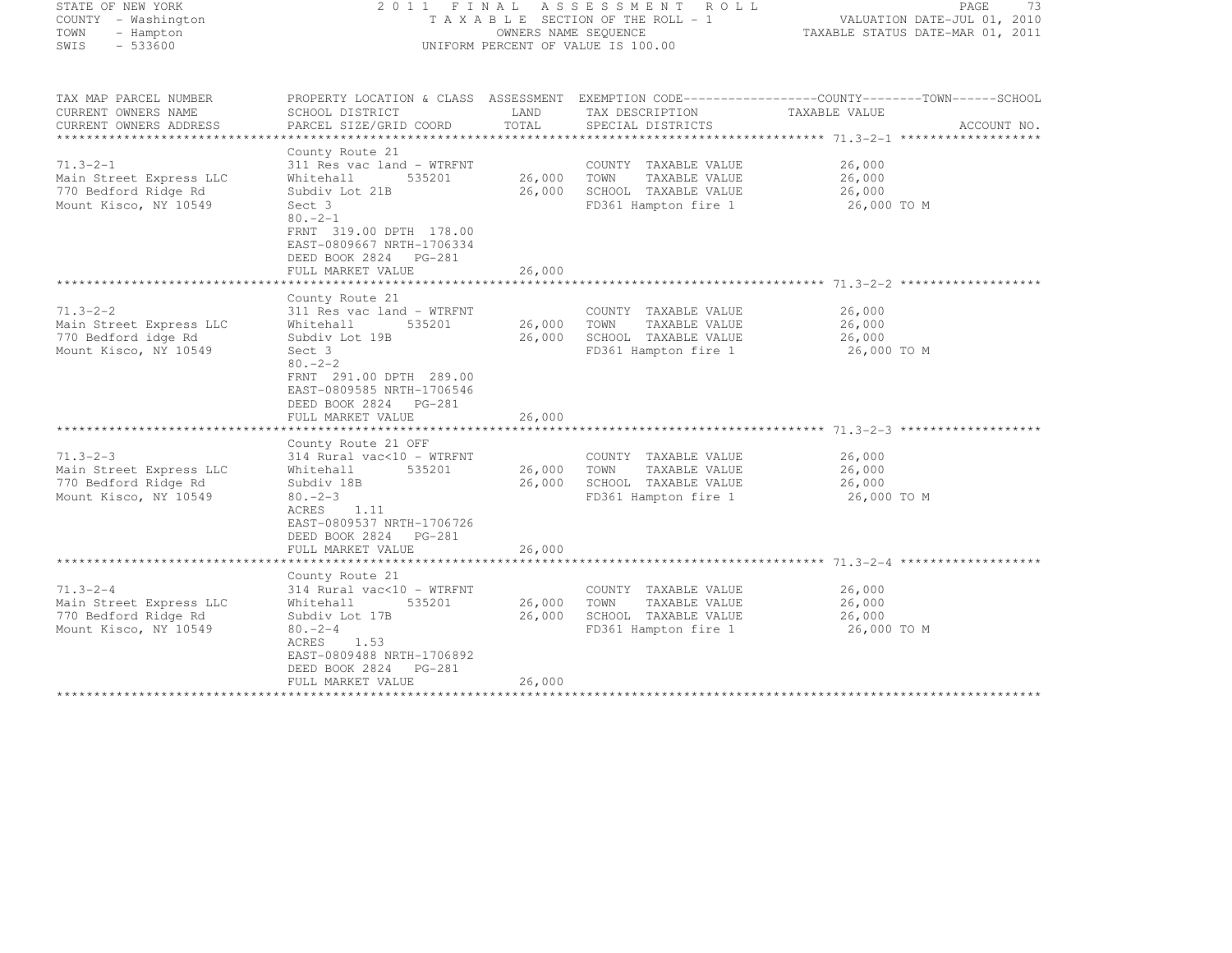| STATE OF NEW YORK<br>COUNTY - Washington<br>TOWN<br>- Hampton<br>$-533600$<br>SWIS | 2011 FINAL ASSESSMENT ROLL<br>T A X A B L E SECTION OF THE ROLL - 1<br>OWNERS NAME SEQUENCE<br>UNIFORM PERCENT OF VALUE IS 100.00 |        |                       | PAGE<br>73<br>VALUATION DATE-JUL 01, 2010<br>TAXABLE STATUS DATE-MAR 01, 2011                                      |  |
|------------------------------------------------------------------------------------|-----------------------------------------------------------------------------------------------------------------------------------|--------|-----------------------|--------------------------------------------------------------------------------------------------------------------|--|
| TAX MAP PARCEL NUMBER<br>CURRENT OWNERS NAME                                       | SCHOOL DISTRICT                                                                                                                   | LAND   | TAX DESCRIPTION       | PROPERTY LOCATION & CLASS ASSESSMENT EXEMPTION CODE-----------------COUNTY-------TOWN------SCHOOL<br>TAXABLE VALUE |  |
| CURRENT OWNERS ADDRESS                                                             | PARCEL SIZE/GRID COORD                                                                                                            | TOTAL  | SPECIAL DISTRICTS     | ACCOUNT NO.                                                                                                        |  |
|                                                                                    |                                                                                                                                   |        |                       |                                                                                                                    |  |
| $71.3 - 2 - 1$                                                                     | County Route 21<br>311 Res vac land - WTRFNT                                                                                      |        | COUNTY TAXABLE VALUE  | 26,000                                                                                                             |  |
| Main Street Express LLC                                                            | 535201<br>Whitehall                                                                                                               | 26,000 | TOWN<br>TAXABLE VALUE | 26,000                                                                                                             |  |
| 770 Bedford Ridge Rd                                                               | Subdiv Lot 21B                                                                                                                    | 26,000 | SCHOOL TAXABLE VALUE  | 26,000                                                                                                             |  |
| Mount Kisco, NY 10549                                                              | Sect 3                                                                                                                            |        | FD361 Hampton fire 1  | 26,000 TO M                                                                                                        |  |
|                                                                                    | $80 - 2 - 1$<br>FRNT 319.00 DPTH 178.00<br>EAST-0809667 NRTH-1706334<br>DEED BOOK 2824 PG-281<br>FULL MARKET VALUE                | 26,000 |                       |                                                                                                                    |  |
|                                                                                    | County Route 21                                                                                                                   |        |                       |                                                                                                                    |  |
| $71.3 - 2 - 2$                                                                     | 311 Res vac land - WTRFNT                                                                                                         |        | COUNTY TAXABLE VALUE  | 26,000                                                                                                             |  |
| Main Street Express LLC                                                            | Whitehall<br>535201                                                                                                               | 26,000 | TOWN<br>TAXABLE VALUE | 26,000                                                                                                             |  |
| 770 Bedford idge Rd                                                                | Subdiv Lot 19B                                                                                                                    | 26,000 | SCHOOL TAXABLE VALUE  | 26,000                                                                                                             |  |
| Mount Kisco, NY 10549                                                              | Sect 3<br>$80. - 2 - 2$<br>FRNT 291.00 DPTH 289.00<br>EAST-0809585 NRTH-1706546<br>DEED BOOK 2824 PG-281<br>FULL MARKET VALUE     | 26,000 | FD361 Hampton fire 1  | 26,000 TO M                                                                                                        |  |
|                                                                                    | County Route 21 OFF                                                                                                               |        |                       |                                                                                                                    |  |
| $71.3 - 2 - 3$                                                                     | 314 Rural vac<10 - WTRFNT                                                                                                         |        | COUNTY TAXABLE VALUE  | 26,000                                                                                                             |  |
| Main Street Express LLC                                                            | 535201<br>Whitehall                                                                                                               | 26,000 | TOWN<br>TAXABLE VALUE | 26,000                                                                                                             |  |
| 770 Bedford Ridge Rd                                                               | Subdiv 18B                                                                                                                        | 26,000 | SCHOOL TAXABLE VALUE  | 26,000                                                                                                             |  |
| Mount Kisco, NY 10549                                                              | $80 - 2 - 3$<br>ACRES<br>1.11<br>EAST-0809537 NRTH-1706726<br>DEED BOOK 2824 PG-281<br>FULL MARKET VALUE                          | 26,000 | FD361 Hampton fire 1  | 26,000 TO M                                                                                                        |  |
|                                                                                    |                                                                                                                                   |        |                       |                                                                                                                    |  |
| $71.3 - 2 - 4$                                                                     | County Route 21<br>314 Rural vac<10 - WTRFNT                                                                                      |        | COUNTY TAXABLE VALUE  | 26,000                                                                                                             |  |
| Main Street Express LLC                                                            | Whitehall<br>535201                                                                                                               | 26,000 | TOWN<br>TAXABLE VALUE | 26,000                                                                                                             |  |
| 770 Bedford Ridge Rd                                                               | Subdiv Lot 17B                                                                                                                    | 26,000 | SCHOOL TAXABLE VALUE  | 26,000                                                                                                             |  |
| Mount Kisco, NY 10549                                                              | $80 - 2 - 4$<br>1.53<br>ACRES<br>EAST-0809488 NRTH-1706892<br>DEED BOOK 2824 PG-281<br>FULL MARKET VALUE                          | 26,000 | FD361 Hampton fire 1  | 26,000 TO M                                                                                                        |  |
|                                                                                    |                                                                                                                                   |        |                       |                                                                                                                    |  |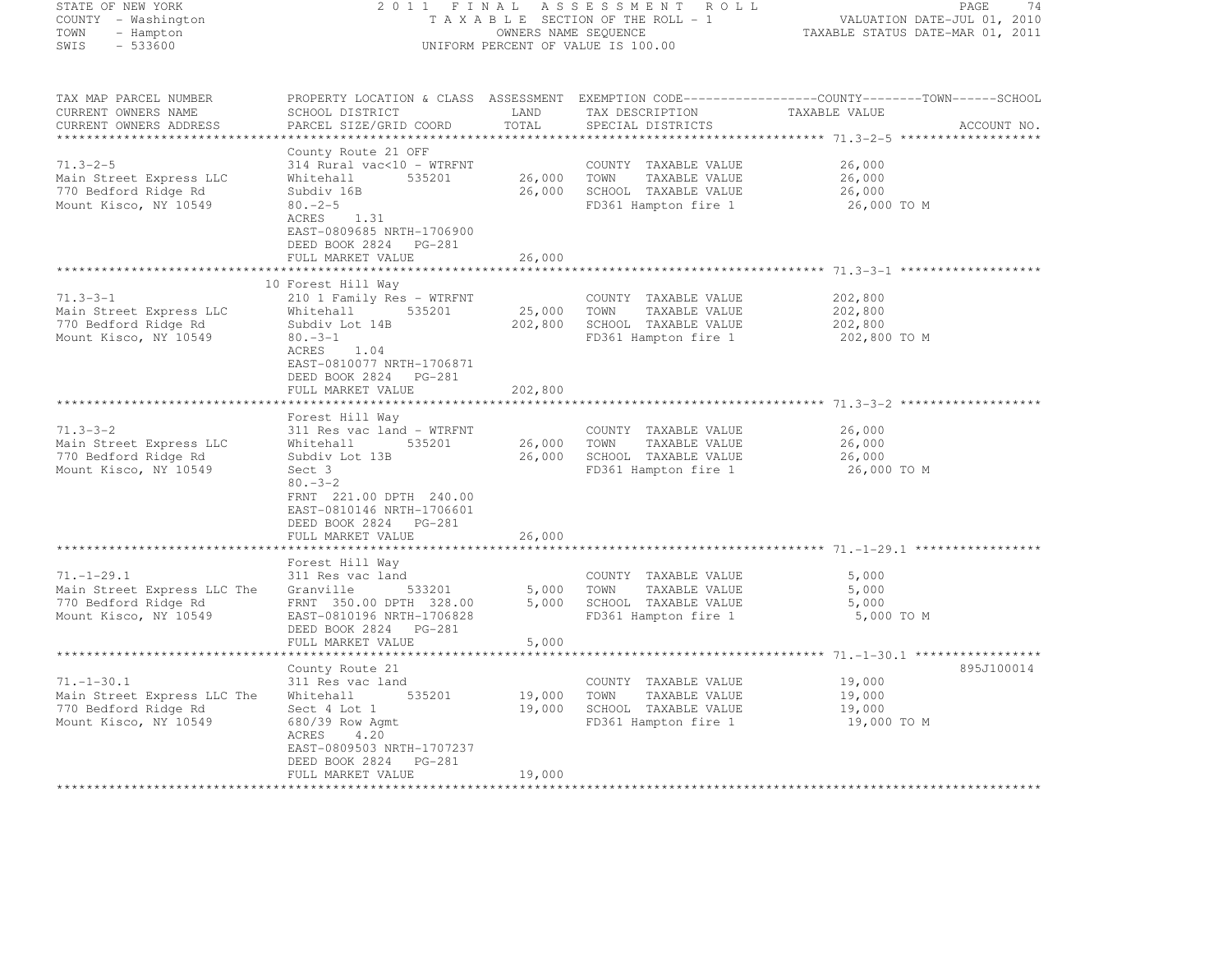| STATE OF NEW YORK<br>COUNTY - Washington<br>TOWN<br>- Hampton<br>$-533600$<br>SWIS               | 2011 FINAL ASSESSMENT ROLL<br>TAXABLE SECTION OF THE ROLL - 1<br>OWNERS NAME SEQUENCE<br>UNIFORM PERCENT OF VALUE IS 100.00                                                                                                                   |                                                   |                                                                                                      | 74<br>PAGE<br>VALUATION DATE-JUL 01, 2010<br>TAXABLE STATUS DATE-MAR 01, 2011                                                   |  |
|--------------------------------------------------------------------------------------------------|-----------------------------------------------------------------------------------------------------------------------------------------------------------------------------------------------------------------------------------------------|---------------------------------------------------|------------------------------------------------------------------------------------------------------|---------------------------------------------------------------------------------------------------------------------------------|--|
| TAX MAP PARCEL NUMBER<br>CURRENT OWNERS NAME<br>CURRENT OWNERS ADDRESS                           | SCHOOL DISTRICT<br>PARCEL SIZE/GRID COORD                                                                                                                                                                                                     | LAND<br>TOTAL                                     | TAX DESCRIPTION<br>SPECIAL DISTRICTS                                                                 | PROPERTY LOCATION & CLASS ASSESSMENT EXEMPTION CODE----------------COUNTY-------TOWN-----SCHOOL<br>TAXABLE VALUE<br>ACCOUNT NO. |  |
| $71.3 - 2 - 5$<br>Main Street Express LLC<br>770 Bedford Ridge Rd<br>Mount Kisco, NY 10549       | County Route 21 OFF<br>314 Rural vac<10 - WTRFNT<br>Whitehall<br>535201<br>Subdiv 16B<br>$80 - 2 - 5$<br>ACRES<br>1.31<br>EAST-0809685 NRTH-1706900<br>DEED BOOK 2824 PG-281                                                                  | 26,000                                            | COUNTY TAXABLE VALUE<br>TOWN<br>TAXABLE VALUE<br>26,000 SCHOOL TAXABLE VALUE<br>FD361 Hampton fire 1 | 26,000<br>26,000<br>26,000<br>26,000 TO M                                                                                       |  |
|                                                                                                  | FULL MARKET VALUE                                                                                                                                                                                                                             | 26,000                                            |                                                                                                      |                                                                                                                                 |  |
| $71.3 - 3 - 1$<br>Main Street Express LLC<br>770 Bedford Ridge Rd<br>Mount Kisco, NY 10549       | 10 Forest Hill Way<br>210 1 Family Res - WTRFNT<br>535201<br>Whitehall<br>Subdiv Lot 14B<br>$80 - 3 - 1$<br>ACRES<br>1.04<br>EAST-0810077 NRTH-1706871<br>DEED BOOK 2824 PG-281                                                               | 25,000<br>202,800                                 | COUNTY TAXABLE VALUE<br>TOWN<br>TAXABLE VALUE<br>SCHOOL TAXABLE VALUE<br>FD361 Hampton fire 1        | 202,800<br>202,800<br>202,800<br>202,800 TO M                                                                                   |  |
|                                                                                                  | FULL MARKET VALUE                                                                                                                                                                                                                             | 202,800                                           |                                                                                                      |                                                                                                                                 |  |
| $71.3 - 3 - 2$<br>Main Street Express LLC<br>770 Bedford Ridge Rd<br>Mount Kisco, NY 10549       | ********************<br>Forest Hill Way<br>311 Res vac land – WTRFNT<br>535201<br>Whitehall<br>Subdiv Lot 13B<br>Sect 3<br>$80 - 3 - 2$<br>FRNT 221.00 DPTH 240.00<br>EAST-0810146 NRTH-1706601<br>DEED BOOK 2824 PG-281<br>FULL MARKET VALUE | *******************<br>26,000<br>26,000<br>26,000 | COUNTY TAXABLE VALUE<br>TOWN<br>TAXABLE VALUE<br>SCHOOL TAXABLE VALUE<br>FD361 Hampton fire 1        | 26,000<br>26,000<br>26,000<br>26,000 TO M                                                                                       |  |
|                                                                                                  |                                                                                                                                                                                                                                               |                                                   |                                                                                                      |                                                                                                                                 |  |
| $71, -1 - 29, 1$<br>Main Street Express LLC The<br>770 Bedford Ridge Rd<br>Mount Kisco, NY 10549 | Forest Hill Way<br>311 Res vac land<br>Granville<br>533201<br>FRNT 350.00 DPTH 328.00<br>EAST-0810196 NRTH-1706828<br>DEED BOOK 2824 PG-281<br>FULL MARKET VALUE                                                                              | 5,000<br>5,000<br>5,000                           | COUNTY TAXABLE VALUE<br>TOWN<br>TAXABLE VALUE<br>SCHOOL TAXABLE VALUE<br>FD361 Hampton fire 1        | 5,000<br>5,000<br>5,000<br>5,000 TO M                                                                                           |  |
|                                                                                                  |                                                                                                                                                                                                                                               |                                                   |                                                                                                      | ****************** 71.-1-30.1 **************                                                                                    |  |
| $71. - 1 - 30.1$<br>Main Street Express LLC The<br>770 Bedford Ridge Rd<br>Mount Kisco, NY 10549 | County Route 21<br>311 Res vac land<br>535201<br>Whitehall<br>Sect 4 Lot 1<br>680/39 Row Agmt<br>4.20<br>ACRES<br>EAST-0809503 NRTH-1707237<br>DEED BOOK 2824 PG-281                                                                          | 19,000<br>19,000                                  | COUNTY TAXABLE VALUE<br>TOWN<br>TAXABLE VALUE<br>SCHOOL TAXABLE VALUE<br>FD361 Hampton fire 1        | 895J100014<br>19,000<br>19,000<br>19,000<br>19,000 TO M                                                                         |  |
|                                                                                                  | FULL MARKET VALUE                                                                                                                                                                                                                             | 19,000<br>****************                        |                                                                                                      |                                                                                                                                 |  |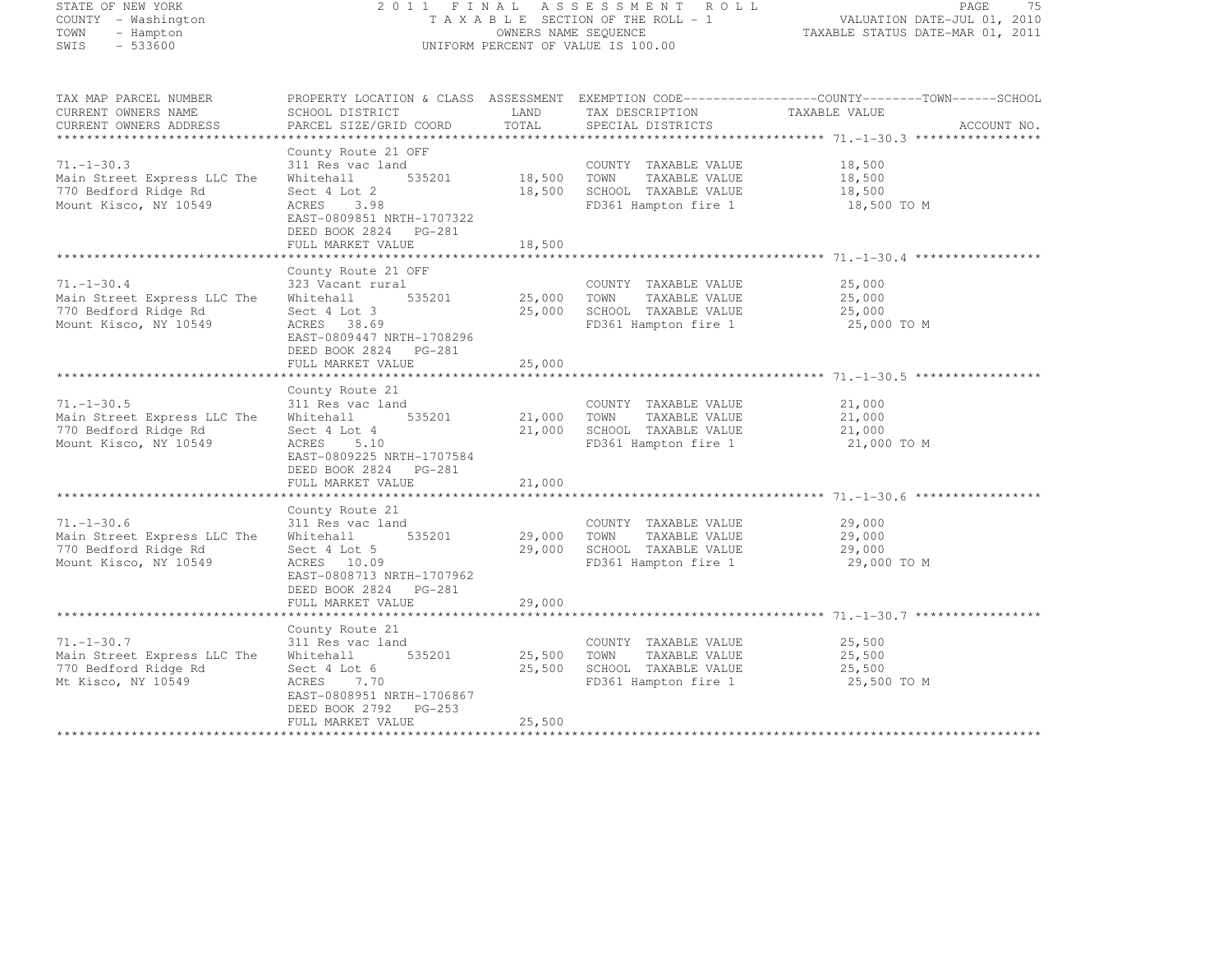STATE OF NEW YORK 2 0 1 1 F I N A L A S S E S S M E N T R O L L PAGE <sup>75</sup> COUNTY - Washington T A X A B L E SECTION OF THE ROLL - 1 VALUATION DATE-JUL 01, 2010 TOWN - Hampton OWNERS NAME SEQUENCE TAXABLE STATUS DATE-MAR 01, 2011 SWIS - 533600 UNIFORM PERCENT OF VALUE IS 100.00 TAX MAP PARCEL NUMBER PROPERTY LOCATION & CLASS ASSESSMENT EXEMPTION CODE------------------COUNTY--------TOWN------SCHOOL CURRENT OWNERS NAME SCHOOL DISTRICT LAND TAX DESCRIPTION TAXABLE VALUE<br>
CURRENT OWNERS ADDRESS PARCEL SIZE/GRID COORD TOTAL SPECIAL DISTRICTS ACCOUNT NO. \*\*\*\*\*\*\*\*\*\*\*\*\*\*\*\*\*\*\*\*\*\*\*\*\*\*\*\*\*\*\*\*\*\*\*\*\*\*\*\*\*\*\*\*\*\*\*\*\*\*\*\*\*\*\*\*\*\*\*\*\*\*\*\*\*\*\*\*\*\*\*\*\*\*\*\*\*\*\*\*\*\*\*\*\*\*\*\*\*\*\*\*\*\*\*\*\*\*\*\*\*\*\* 71.-1-30.3 \*\*\*\*\*\*\*\*\*\*\*\*\*\*\*\*\* County Route 21 OFF 71.-1-30.3 311 Res vac land COUNTY TAXABLE VALUE 18,500 Main Street Express LLC The Whitehall 535201 18,500 TOWN TAXABLE VALUE 18,500<br>The Street Express LLC The Whitehall 535201 18,500 TOWN TAXABLE VALUE 18,500 770 Bedford Ridge Rd Sect 4 Lot 2 18,500 SCHOOL TAXABLE VALUE 18,500 Mount Kisco, NY 10549 ACRES 3.98 FD361 Hampton fire 1 18,500 TO M EAST-0809851 NRTH-1707322 DEED BOOK 2824 PG-281 FULL MARKET VALUE 18,500 \*\*\*\*\*\*\*\*\*\*\*\*\*\*\*\*\*\*\*\*\*\*\*\*\*\*\*\*\*\*\*\*\*\*\*\*\*\*\*\*\*\*\*\*\*\*\*\*\*\*\*\*\*\*\*\*\*\*\*\*\*\*\*\*\*\*\*\*\*\*\*\*\*\*\*\*\*\*\*\*\*\*\*\*\*\*\*\*\*\*\*\*\*\*\*\*\*\*\*\*\*\*\* 71.-1-30.4 \*\*\*\*\*\*\*\*\*\*\*\*\*\*\*\*\*County Route 21 OFF<br>
323 Vacant rural COUNTY TAXABLE VALUE 25,000<br>
25,000 2011 22,000 25,000 25,000 25,000 25,000 25,000 25,000 25,000 25,000 25,000 25,000 25,000 25,000 25,000 Main Street Express LLC The Whitehall 535201 25,000 TOWN TAXABLE VALUE 25,000 770 Bedford Ridge Rd Sect 4 Lot 3 25,000 SCHOOL TAXABLE VALUE 25,000 Mount Kisco, NY 10549 ACRES 38.69 FD361 Hampton fire 1 25,000 TO M EAST-0809447 NRTH-1708296 DEED BOOK 2824 PG-281 FULL MARKET VALUE 25,000 \*\*\*\*\*\*\*\*\*\*\*\*\*\*\*\*\*\*\*\*\*\*\*\*\*\*\*\*\*\*\*\*\*\*\*\*\*\*\*\*\*\*\*\*\*\*\*\*\*\*\*\*\*\*\*\*\*\*\*\*\*\*\*\*\*\*\*\*\*\*\*\*\*\*\*\*\*\*\*\*\*\*\*\*\*\*\*\*\*\*\*\*\*\*\*\*\*\*\*\*\*\*\* 71.-1-30.5 \*\*\*\*\*\*\*\*\*\*\*\*\*\*\*\*\*County Route 21<br>71.-1-30.5 311 Res vac land COUNTY TAXABLE VALUE 21,000<br>72.000 21.000 21.000 21.000 21.000 22.000 22.000 22.000 22.000 Main Street Express LLC The Whitehall 535201 21,000 TOWN TAXABLE VALUE 21,000<br>Taxo and the Main Street Control of the Street Control of the 21,000 TOWN TAXABLE VALUE 770 Bedford Ridge Rd Sect 4 Lot 4 21,000 SCHOOL TAXABLE VALUE 21,000 Mount Kisco, NY 10549 ACRES 5.10 FD361 Hampton fire 1 21,000 TO M EAST-0809225 NRTH-1707584 DEED BOOK 2824 PG-281 FULL MARKET VALUE 21,000 \*\*\*\*\*\*\*\*\*\*\*\*\*\*\*\*\*\*\*\*\*\*\*\*\*\*\*\*\*\*\*\*\*\*\*\*\*\*\*\*\*\*\*\*\*\*\*\*\*\*\*\*\*\*\*\*\*\*\*\*\*\*\*\*\*\*\*\*\*\*\*\*\*\*\*\*\*\*\*\*\*\*\*\*\*\*\*\*\*\*\*\*\*\*\*\*\*\*\*\*\*\*\* 71.-1-30.6 \*\*\*\*\*\*\*\*\*\*\*\*\*\*\*\*\* County Route 21 71.-1-30.6 311 Res vac land COUNTY TAXABLE VALUE 29,000 Main Street Express LLC The Whitehall 535201 29,000 TOWN TAXABLE VALUE 29,000 770 Bedford Ridge Rd Sect 4 Lot 5 29,000 SCHOOL TAXABLE VALUE 29,000<br>2000 SCHOOL TAXABLE VALUE 29,000 SCHOOL TAXABLE VALUE Mount Kisco, NY 10549 ACRES 10.09 FD361 Hampton fire 1 29,000 TO M EAST-0808713 NRTH-1707962 PEED BOOK 2024 PG-201<br>FULL MARKET VALUE 29,000 FULL MARKET VALUE 29,000 \*\*\*\*\*\*\*\*\*\*\*\*\*\*\*\*\*\*\*\*\*\*\*\*\*\*\*\*\*\*\*\*\*\*\*\*\*\*\*\*\*\*\*\*\*\*\*\*\*\*\*\*\*\*\*\*\*\*\*\*\*\*\*\*\*\*\*\*\*\*\*\*\*\*\*\*\*\*\*\*\*\*\*\*\*\*\*\*\*\*\*\*\*\*\*\*\*\*\*\*\*\*\* 71.-1-30.7 \*\*\*\*\*\*\*\*\*\*\*\*\*\*\*\*\*County Route 21<br>71.-1-30.7 311 Res vac land COUNTY TAXABLE VALUE 25,500<br>72.7 311 Res vac land COUNTY TAXABLE VALUE 25,500 Main Street Express LLC The Whitehall 535201 25,500 TOWN TAXABLE VALUE 25,500<br>The Street Express LLC The Whitehall 535201 25,500 TOWN TAXABLE VALUE 25,500 770 Bedford Ridge Rd Sect 4 Lot 6 25,500 SCHOOL TAXABLE VALUE 25,500 Mt Kisco, NY 10549 ACRES 7.70 FD361 Hampton fire 1 25,500 TO M EAST-0808951 NRTH-1706867 DEED BOOK 2792 PG-253 FULL MARKET VALUE 25,500 \*\*\*\*\*\*\*\*\*\*\*\*\*\*\*\*\*\*\*\*\*\*\*\*\*\*\*\*\*\*\*\*\*\*\*\*\*\*\*\*\*\*\*\*\*\*\*\*\*\*\*\*\*\*\*\*\*\*\*\*\*\*\*\*\*\*\*\*\*\*\*\*\*\*\*\*\*\*\*\*\*\*\*\*\*\*\*\*\*\*\*\*\*\*\*\*\*\*\*\*\*\*\*\*\*\*\*\*\*\*\*\*\*\*\*\*\*\*\*\*\*\*\*\*\*\*\*\*\*\*\*\*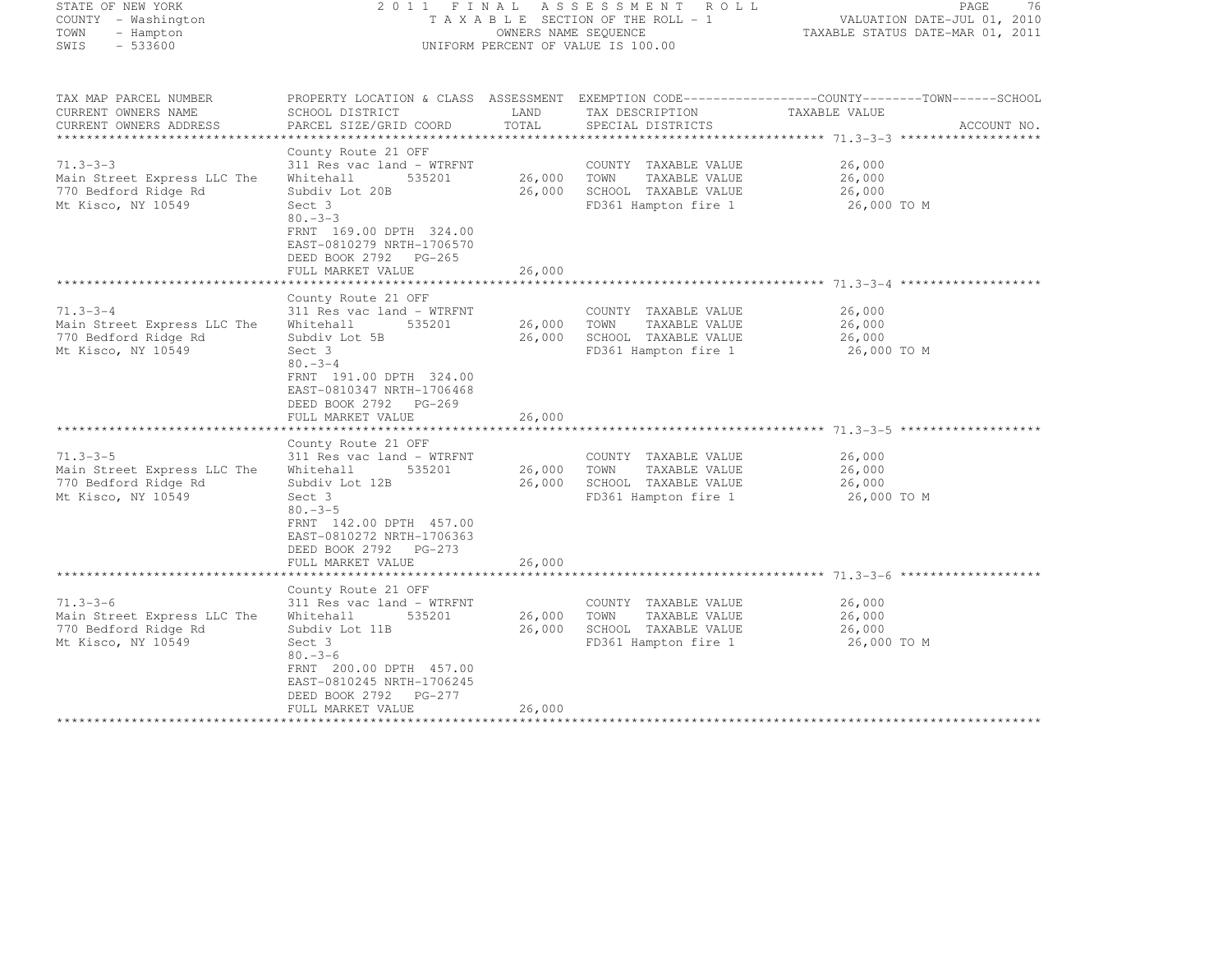| STATE OF NEW YORK<br>COUNTY - Washington<br>- Hampton<br>TOWN<br>$-533600$<br>SWIS | 2011 FINAL<br>TAXABLE SECTION OF THE ROLL - 1<br>UNIFORM PERCENT OF VALUE IS 100.00                                 | 76<br>PAGE<br>VALUATION DATE-JUL 01, 2010<br>TAXABLE STATUS DATE-MAR 01, 2011 |                                              |                       |             |
|------------------------------------------------------------------------------------|---------------------------------------------------------------------------------------------------------------------|-------------------------------------------------------------------------------|----------------------------------------------|-----------------------|-------------|
| TAX MAP PARCEL NUMBER<br>CURRENT OWNERS NAME                                       | PROPERTY LOCATION & CLASS ASSESSMENT EXEMPTION CODE----------------COUNTY-------TOWN------SCHOOL<br>SCHOOL DISTRICT | LAND                                                                          | TAX DESCRIPTION                              | TAXABLE VALUE         |             |
| CURRENT OWNERS ADDRESS<br>***************                                          | PARCEL SIZE/GRID COORD<br>***********************************                                                       | TOTAL                                                                         | SPECIAL DISTRICTS                            |                       | ACCOUNT NO. |
|                                                                                    | County Route 21 OFF                                                                                                 |                                                                               |                                              |                       |             |
| $71.3 - 3 - 3$                                                                     | 311 Res vac land - WTRFNT                                                                                           |                                                                               | COUNTY TAXABLE VALUE                         | 26,000                |             |
| Main Street Express LLC The                                                        | 535201<br>Whitehall                                                                                                 | 26,000                                                                        | TOWN<br>TAXABLE VALUE                        | 26,000                |             |
| 770 Bedford Ridge Rd                                                               | Subdiv Lot 20B                                                                                                      | 26,000                                                                        | SCHOOL TAXABLE VALUE                         | 26,000                |             |
| Mt Kisco, NY 10549                                                                 | Sect 3<br>$80. -3 -3$<br>FRNT 169.00 DPTH 324.00<br>EAST-0810279 NRTH-1706570<br>DEED BOOK 2792 PG-265              |                                                                               | FD361 Hampton fire 1                         | 26,000 TO M           |             |
|                                                                                    | FULL MARKET VALUE                                                                                                   | 26,000                                                                        |                                              |                       |             |
|                                                                                    | County Route 21 OFF                                                                                                 |                                                                               |                                              |                       |             |
| $71.3 - 3 - 4$                                                                     | 311 Res vac land - WTRFNT                                                                                           |                                                                               | COUNTY TAXABLE VALUE                         | 26,000                |             |
| Main Street Express LLC The                                                        | 535201<br>Whitehall                                                                                                 | 26,000                                                                        | TOWN<br>TAXABLE VALUE                        | 26,000                |             |
| 770 Bedford Ridge Rd<br>Mt Kisco, NY 10549                                         | Subdiv Lot 5B<br>Sect 3                                                                                             | 26,000                                                                        | SCHOOL TAXABLE VALUE<br>FD361 Hampton fire 1 | 26,000<br>26,000 TO M |             |
|                                                                                    | $80 - 3 - 4$<br>FRNT 191.00 DPTH 324.00<br>EAST-0810347 NRTH-1706468<br>DEED BOOK 2792 PG-269<br>FULL MARKET VALUE  | 26,000                                                                        |                                              |                       |             |
|                                                                                    | County Route 21 OFF                                                                                                 |                                                                               |                                              |                       |             |
| $71.3 - 3 - 5$                                                                     | 311 Res vac land - WTRFNT                                                                                           |                                                                               | COUNTY TAXABLE VALUE                         | 26,000                |             |
| Main Street Express LLC The                                                        | 535201<br>Whitehall                                                                                                 | 26,000                                                                        | TOWN<br>TAXABLE VALUE                        | 26,000                |             |
| 770 Bedford Ridge Rd                                                               | Subdiv Lot 12B                                                                                                      | 26,000                                                                        | SCHOOL TAXABLE VALUE                         | 26,000                |             |
| Mt Kisco, NY 10549                                                                 | Sect 3<br>$80 - 3 - 5$<br>FRNT 142.00 DPTH 457.00<br>EAST-0810272 NRTH-1706363<br>DEED BOOK 2792 PG-273             |                                                                               | FD361 Hampton fire 1                         | 26,000 TO M           |             |
|                                                                                    | FULL MARKET VALUE                                                                                                   | 26,000                                                                        |                                              |                       |             |
|                                                                                    | County Route 21 OFF                                                                                                 |                                                                               |                                              |                       |             |
| $71.3 - 3 - 6$                                                                     | 311 Res vac land - WTRFNT                                                                                           |                                                                               | COUNTY TAXABLE VALUE                         | 26,000                |             |
| Main Street Express LLC The                                                        | 535201<br>Whitehall                                                                                                 | 26,000                                                                        | TOWN<br>TAXABLE VALUE                        | 26,000                |             |
| 770 Bedford Ridge Rd                                                               | Subdiv Lot 11B                                                                                                      | 26,000                                                                        | SCHOOL TAXABLE VALUE                         | 26,000                |             |
| Mt Kisco, NY 10549                                                                 | Sect 3<br>$80 - 3 - 6$<br>FRNT 200.00 DPTH 457.00<br>EAST-0810245 NRTH-1706245                                      |                                                                               | FD361 Hampton fire 1                         | 26,000 TO M           |             |
|                                                                                    | DEED BOOK 2792 PG-277<br>FULL MARKET VALUE                                                                          | 26,000                                                                        |                                              |                       |             |
| ********************                                                               | ************************                                                                                            | ***************                                                               |                                              |                       |             |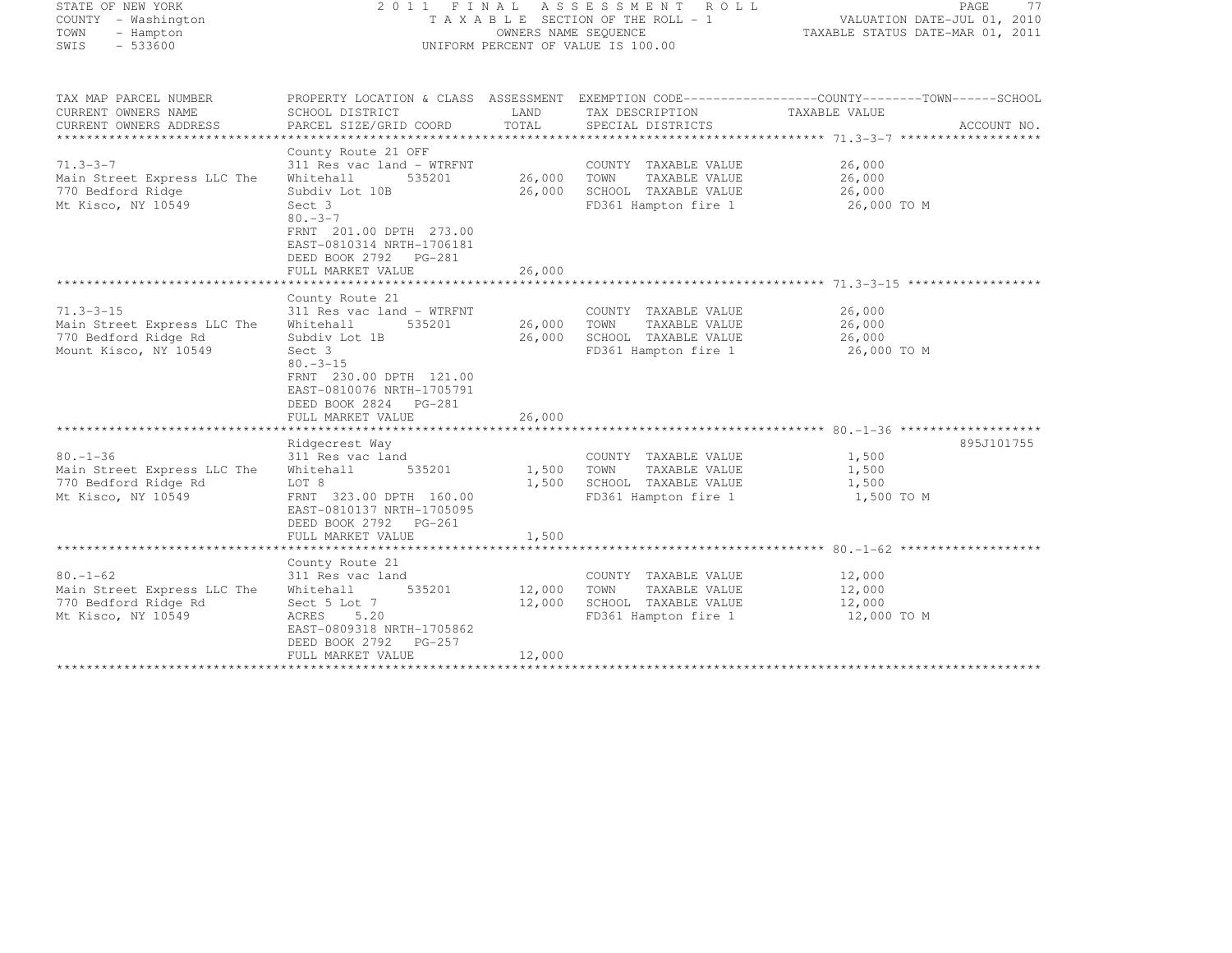| STATE OF NEW YORK<br>COUNTY - Washington<br>TOWN<br>- Hampton<br>$-533600$<br>SWIS              |                                                                                                                                                                                                                                                      | OWNERS NAME SEQUENCE       | 2011 FINAL ASSESSMENT ROLL<br>TAXABLE SECTION OF THE ROLL - 1<br>UNIFORM PERCENT OF VALUE IS 100.00 | PAGE<br>77<br>VALUATION DATE-JUL 01, 2010<br>TAXABLE STATUS DATE-MAR 01, 2011                                                     |
|-------------------------------------------------------------------------------------------------|------------------------------------------------------------------------------------------------------------------------------------------------------------------------------------------------------------------------------------------------------|----------------------------|-----------------------------------------------------------------------------------------------------|-----------------------------------------------------------------------------------------------------------------------------------|
| TAX MAP PARCEL NUMBER<br>CURRENT OWNERS NAME<br>CURRENT OWNERS ADDRESS                          | SCHOOL DISTRICT<br>PARCEL SIZE/GRID COORD                                                                                                                                                                                                            | LAND<br>TOTAL              | TAX DESCRIPTION<br>SPECIAL DISTRICTS                                                                | PROPERTY LOCATION & CLASS ASSESSMENT EXEMPTION CODE-----------------COUNTY-------TOWN------SCHOOL<br>TAXABLE VALUE<br>ACCOUNT NO. |
| $71.3 - 3 - 7$<br>Main Street Express LLC The<br>770 Bedford Ridge<br>Mt Kisco, NY 10549        | County Route 21 OFF<br>311 Res vac land - WTRFNT<br>535201<br>Whitehall<br>Subdiv Lot 10B<br>Sect 3<br>$80 - 3 - 7$<br>FRNT 201.00 DPTH 273.00<br>EAST-0810314 NRTH-1706181<br>DEED BOOK 2792 PG-281<br>FULL MARKET VALUE<br>*********************** | 26,000<br>26,000<br>26,000 | COUNTY TAXABLE VALUE<br>TOWN<br>TAXABLE VALUE<br>SCHOOL TAXABLE VALUE<br>FD361 Hampton fire 1       | 26,000<br>26,000<br>26,000<br>26,000 TO M                                                                                         |
|                                                                                                 | County Route 21                                                                                                                                                                                                                                      |                            |                                                                                                     | ************************************* 71.3-3-15 *******************                                                               |
| $71.3 - 3 - 15$<br>Main Street Express LLC The<br>770 Bedford Ridge Rd<br>Mount Kisco, NY 10549 | 311 Res vac land - WTRFNT<br>Whitehall<br>535201<br>Subdiv Lot 1B<br>Sect 3<br>$80. -3 - 15$<br>FRNT 230.00 DPTH 121.00<br>EAST-0810076 NRTH-1705791<br>DEED BOOK 2824 PG-281                                                                        | 26,000<br>26,000           | COUNTY TAXABLE VALUE<br>TOWN<br>TAXABLE VALUE<br>SCHOOL TAXABLE VALUE<br>FD361 Hampton fire 1       | 26,000<br>26,000<br>26,000<br>26,000 TO M                                                                                         |
|                                                                                                 | FULL MARKET VALUE                                                                                                                                                                                                                                    | 26,000                     |                                                                                                     |                                                                                                                                   |
| $80. - 1 - 36$<br>Main Street Express LLC The<br>770 Bedford Ridge Rd<br>Mt Kisco, NY 10549     | Ridgecrest Way<br>311 Res vac land<br>Whitehall<br>535201<br>LOT 8<br>FRNT 323.00 DPTH 160.00<br>EAST-0810137 NRTH-1705095<br>DEED BOOK 2792 PG-261<br>FULL MARKET VALUE                                                                             | 1,500<br>1,500<br>1,500    | COUNTY TAXABLE VALUE<br>TOWN<br>TAXABLE VALUE<br>SCHOOL TAXABLE VALUE<br>FD361 Hampton fire 1       | 895J101755<br>1,500<br>1,500<br>1,500<br>1,500 TO M                                                                               |
|                                                                                                 |                                                                                                                                                                                                                                                      |                            |                                                                                                     |                                                                                                                                   |
| $80. - 1 - 62$<br>Main Street Express LLC The<br>770 Bedford Ridge Rd<br>Mt Kisco, NY 10549     | County Route 21<br>311 Res vac land<br>535201<br>Whitehall<br>Sect 5 Lot 7<br>ACRES<br>5.20<br>EAST-0809318 NRTH-1705862<br>DEED BOOK 2792<br>PG-257                                                                                                 | 12,000<br>12,000           | COUNTY TAXABLE VALUE<br>TOWN<br>TAXABLE VALUE<br>SCHOOL TAXABLE VALUE<br>FD361 Hampton fire 1       | 12,000<br>12,000<br>12,000<br>12,000 TO M                                                                                         |
|                                                                                                 | FULL MARKET VALUE                                                                                                                                                                                                                                    | 12,000                     |                                                                                                     |                                                                                                                                   |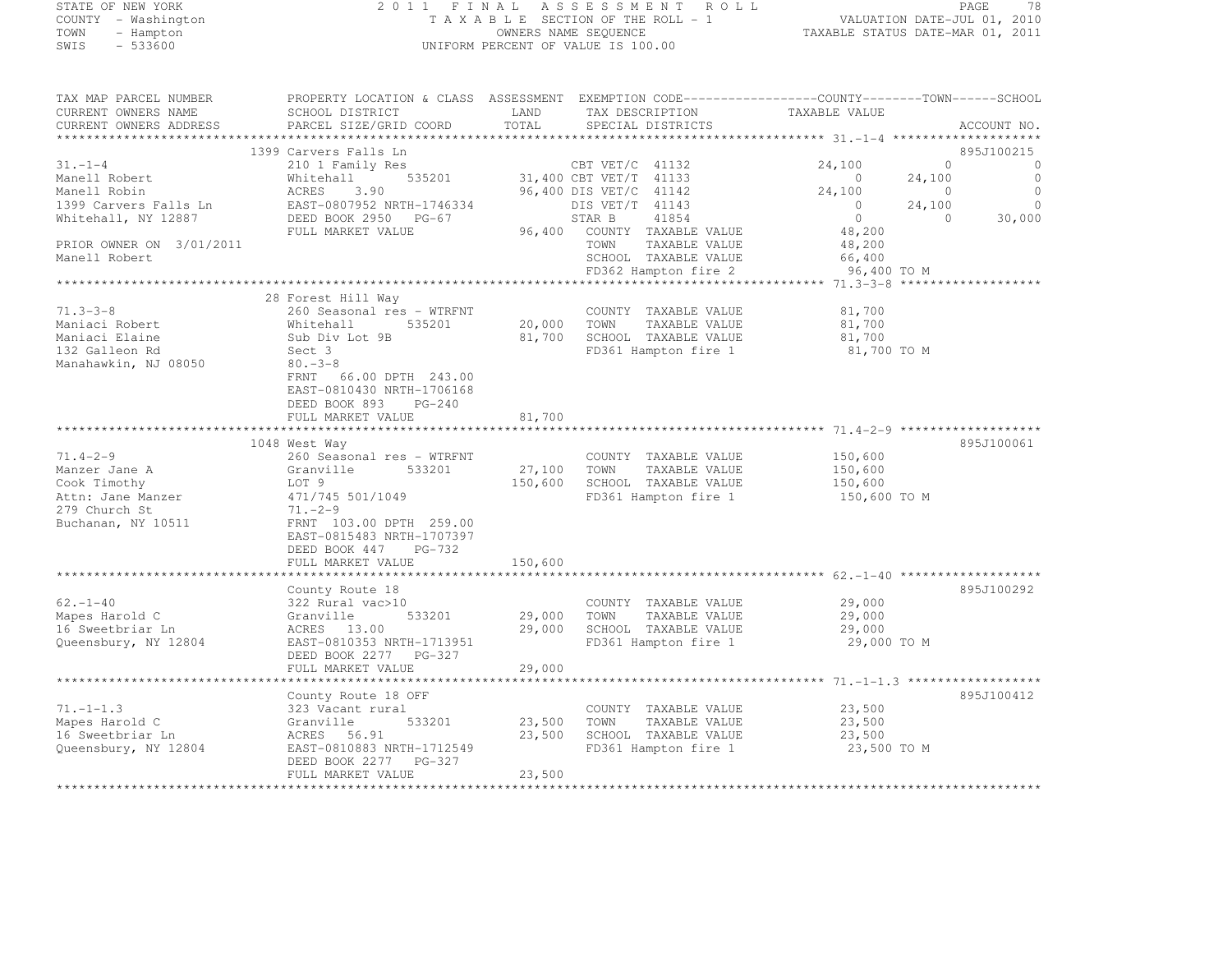# STATE OF NEW YORK 2 0 1 1 F I N A L A S S E S S M E N T R O L L PAGE <sup>78</sup> COUNTY - Washington T A X A B L E SECTION OF THE ROLL - 1 VALUATION DATE-JUL 01, 2010 TOWN - Hampton OWNERS NAME SEQUENCE TAXABLE STATUS DATE-MAR 01, 2011 SWIS - 533600 UNIFORM PERCENT OF VALUE IS 100.00

| TAX MAP PARCEL NUMBER    | PROPERTY LOCATION & CLASS ASSESSMENT EXEMPTION CODE----------------COUNTY-------TOWN-----SCHOOL |             |                             |                |          |                     |
|--------------------------|-------------------------------------------------------------------------------------------------|-------------|-----------------------------|----------------|----------|---------------------|
| CURRENT OWNERS NAME      | SCHOOL DISTRICT                                                                                 | LAND        | TAX DESCRIPTION             | TAXABLE VALUE  |          |                     |
| CURRENT OWNERS ADDRESS   | PARCEL SIZE/GRID COORD                                                                          | TOTAL       | SPECIAL DISTRICTS           |                |          | ACCOUNT NO.         |
|                          |                                                                                                 |             |                             |                |          |                     |
|                          | 1399 Carvers Falls Ln                                                                           |             |                             |                |          | 895J100215          |
| $31 - 1 - 4$             | 210 1 Family Res                                                                                |             | CBT VET/C 41132             | 24,100         | $\Omega$ | $\circ$             |
| Manell Robert            | Whitehall<br>535201                                                                             |             | 31,400 CBT VET/T 41133      | $\overline{0}$ | 24,100   | $\circ$             |
| Manell Robin             | ACRES<br>3.90                                                                                   |             | 96,400 DIS VET/C 41142      | 24,100         | $\sim$ 0 | $\circ$             |
| 1399 Carvers Falls Ln    | EAST-0807952 NRTH-1746334                                                                       |             | DIS VET/T 41143             | $\overline{0}$ | 24,100   | $\circ$             |
| Whitehall, NY 12887      | DEED BOOK 2950 PG-67                                                                            |             | STAR B<br>41854             | $\circ$        | $\Omega$ | 30,000              |
|                          | FULL MARKET VALUE                                                                               |             | 96,400 COUNTY TAXABLE VALUE | 48,200         |          |                     |
| PRIOR OWNER ON 3/01/2011 |                                                                                                 |             | TOWN<br>TAXABLE VALUE       | 48,200         |          |                     |
| Manell Robert            |                                                                                                 |             | SCHOOL TAXABLE VALUE        | 66,400         |          |                     |
|                          |                                                                                                 |             | FD362 Hampton fire 2        | 96,400 TO M    |          |                     |
|                          |                                                                                                 |             |                             |                |          | ******************* |
|                          | 28 Forest Hill Way                                                                              |             |                             |                |          |                     |
| $71.3 - 3 - 8$           | 260 Seasonal res - WTRFNT                                                                       |             | COUNTY TAXABLE VALUE        |                |          |                     |
| Maniaci Robert           | Whitehall<br>535201                                                                             |             |                             | 81,700         |          |                     |
|                          |                                                                                                 | 20,000 TOWN | TAXABLE VALUE               | 81,700         |          |                     |
| Maniaci Elaine           | Sub Div Lot 9B                                                                                  | 81,700      | SCHOOL TAXABLE VALUE        | 81,700         |          |                     |
| 132 Galleon Rd           | Sect 3                                                                                          |             | FD361 Hampton fire 1        | 81,700 TO M    |          |                     |
| Manahawkin, NJ 08050     | $80 - 3 - 8$                                                                                    |             |                             |                |          |                     |
|                          | 66.00 DPTH 243.00<br>FRNT                                                                       |             |                             |                |          |                     |
|                          | EAST-0810430 NRTH-1706168                                                                       |             |                             |                |          |                     |
|                          | DEED BOOK 893<br>$PG-240$                                                                       |             |                             |                |          |                     |
|                          | FULL MARKET VALUE                                                                               | 81,700      |                             |                |          |                     |
|                          |                                                                                                 |             |                             |                |          |                     |
|                          | 1048 West Way                                                                                   |             |                             |                |          | 895J100061          |
| $71.4 - 2 - 9$           | 260 Seasonal res - WTRFNT                                                                       |             | COUNTY TAXABLE VALUE        | 150,600        |          |                     |
| Manzer Jane A            | 533201<br>Granville                                                                             | 27,100      | TOWN<br>TAXABLE VALUE       | 150,600        |          |                     |
| Cook Timothy             | LOT 9                                                                                           | 150,600     | SCHOOL TAXABLE VALUE        | 150,600        |          |                     |
| Attn: Jane Manzer        | 471/745 501/1049                                                                                |             | FD361 Hampton fire 1        | 150,600 TO M   |          |                     |
| 279 Church St            | $71. - 2 - 9$                                                                                   |             |                             |                |          |                     |
| Buchanan, NY 10511       | FRNT 103.00 DPTH 259.00                                                                         |             |                             |                |          |                     |
|                          | EAST-0815483 NRTH-1707397                                                                       |             |                             |                |          |                     |
|                          | DEED BOOK 447<br>PG-732                                                                         |             |                             |                |          |                     |
|                          | FULL MARKET VALUE                                                                               | 150,600     |                             |                |          |                     |
|                          |                                                                                                 |             |                             |                |          |                     |
|                          | County Route 18                                                                                 |             |                             |                |          | 895J100292          |
| $62. - 1 - 40$           | 322 Rural vac>10                                                                                |             | COUNTY TAXABLE VALUE        | 29,000         |          |                     |
| Mapes Harold C           | 533201<br>Granville                                                                             | 29,000      | TOWN<br>TAXABLE VALUE       | 29,000         |          |                     |
| 16 Sweetbriar Ln         | ACRES 13.00                                                                                     | 29,000      | SCHOOL TAXABLE VALUE        | 29,000         |          |                     |
| Queensbury, NY 12804     | EAST-0810353 NRTH-1713951                                                                       |             | FD361 Hampton fire 1        | 29,000 TO M    |          |                     |
|                          | DEED BOOK 2277 PG-327                                                                           |             |                             |                |          |                     |
|                          | FULL MARKET VALUE                                                                               | 29,000      |                             |                |          |                     |
|                          |                                                                                                 |             |                             |                |          |                     |
|                          | County Route 18 OFF                                                                             |             |                             |                |          | 895J100412          |
| $71. - 1 - 1.3$          | 323 Vacant rural                                                                                |             | COUNTY TAXABLE VALUE        | 23,500         |          |                     |
| Mapes Harold C           | 533201<br>Granville                                                                             | 23,500      | TOWN<br>TAXABLE VALUE       | 23,500         |          |                     |
| 16 Sweetbriar Ln         | ACRES 56.91                                                                                     | 23,500      | SCHOOL TAXABLE VALUE        | 23,500         |          |                     |
| Queensbury, NY 12804     | EAST-0810883 NRTH-1712549                                                                       |             | FD361 Hampton fire 1        | 23,500 TO M    |          |                     |
|                          | DEED BOOK 2277 PG-327                                                                           |             |                             |                |          |                     |
|                          | FULL MARKET VALUE                                                                               | 23,500      |                             |                |          |                     |
|                          |                                                                                                 |             |                             |                |          |                     |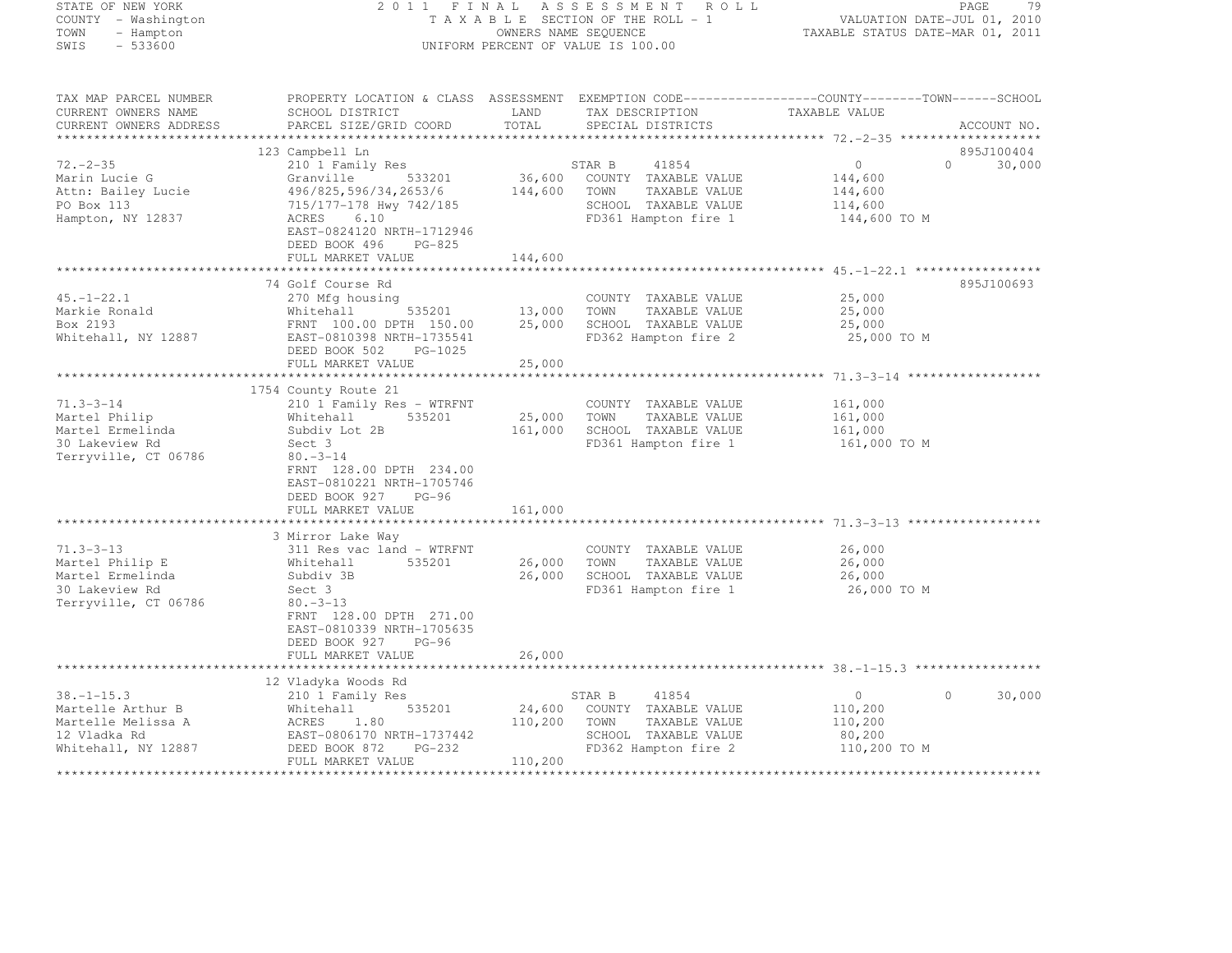# STATE OF NEW YORK 2 0 1 1 F I N A L A S S E S S M E N T R O L L PAGE <sup>79</sup> COUNTY - Washington T A X A B L E SECTION OF THE ROLL - 1 VALUATION DATE-JUL 01, 2010 TOWN - Hampton OWNERS NAME SEQUENCE TAXABLE STATUS DATE-MAR 01, 2011 SWIS - 533600 UNIFORM PERCENT OF VALUE IS 100.00

TAX MAP PARCEL NUMBER PROPERTY LOCATION & CLASS ASSESSMENT EXEMPTION CODE------------------COUNTY--------TOWN------SCHOOL CURRENT OWNERS NAME SCHOOL DISTRICT LAND TAX DESCRIPTION TAXABLE VALUE<br>CURRENT OWNERS ADDRESS PARCEL SIZE/GRID COORD TOTAL SPECIAL DISTRICTS ACCOUNT NO. \*\*\*\*\*\*\*\*\*\*\*\*\*\*\*\*\*\*\*\*\*\*\*\*\*\*\*\*\*\*\*\*\*\*\*\*\*\*\*\*\*\*\*\*\*\*\*\*\*\*\*\*\*\*\*\*\*\*\*\*\*\*\*\*\*\*\*\*\*\*\*\*\*\*\*\*\*\*\*\*\*\*\*\*\*\*\*\*\*\*\*\*\*\*\*\*\*\*\*\*\*\*\* 72.-2-35 \*\*\*\*\*\*\*\*\*\*\*\*\*\*\*\*\*\*\*895J100404 123 Campbell Ln 895J100404 $0$  30,000<br>0 30,000 72.-2-35 210 1 Family Res 14854 0 30,000 Marin Lucie G Granville 533201 36,600 COUNTY TAXABLE VALUE 144,600 Attn: Bailey Lucie 496/825,596/34,2653/6 144,600 TOWN TAXABLE VALUE 144,600 144,600 PO Box 113 715/177-178 Hwy 742/185 SCHOOL TAXABLE VALUE 114,600 Hampton, NY 12837 ACRES 6.10 FD361 Hampton fire 1 144,600 TO M EAST-0824120 NRTH-1712946DEED BOOK 496 PG-825 DEED BOOK 496 PG-825 FULL MARKET VALUE 144,600 \*\*\*\*\*\*\*\*\*\*\*\*\*\*\*\*\*\*\*\*\*\*\*\*\*\*\*\*\*\*\*\*\*\*\*\*\*\*\*\*\*\*\*\*\*\*\*\*\*\*\*\*\*\*\*\*\*\*\*\*\*\*\*\*\*\*\*\*\*\*\*\*\*\*\*\*\*\*\*\*\*\*\*\*\*\*\*\*\*\*\*\*\*\*\*\*\*\*\*\*\*\*\* 45.-1-22.1 \*\*\*\*\*\*\*\*\*\*\*\*\*\*\*\*\*895J100693 74 Golf Course Rd 895J10069345.-1-22.1 270 Mfg housing COUNTY TAXABLE VALUE 25,000 Markie Ronald Whitehall 535201 13,000 TOWN TAXABLE VALUE 25,000 Box 2193 FRNT 100.00 DPTH 150.00 25,000 SCHOOL TAXABLE VALUE 25,000 Whitehall, NY 12887 EAST-0810398 NRTH-1735541 FD362 Hampton fire 2 25,000 TO M DEED BOOK 502 PG-1025 FULL MARKET VALUE 25,000 \*\*\*\*\*\*\*\*\*\*\*\*\*\*\*\*\*\*\*\*\*\*\*\*\*\*\*\*\*\*\*\*\*\*\*\*\*\*\*\*\*\*\*\*\*\*\*\*\*\*\*\*\*\*\*\*\*\*\*\*\*\*\*\*\*\*\*\*\*\*\*\*\*\*\*\*\*\*\*\*\*\*\*\*\*\*\*\*\*\*\*\*\*\*\*\*\*\*\*\*\*\*\* 71.3-3-14 \*\*\*\*\*\*\*\*\*\*\*\*\*\*\*\*\*\*1754 County Route 21<br>210 1 Family Res - WTRFNT COUNTY TAXABLE VALUE 161,000<br>200 161,000 161,000 161,000 161,000 161,000 161,000 161,000 161,000 161,000 161,000 161,000 161,000 161,000 16 Martel Philip Whitehall 535201 25,000 TOWN TAXABLE VALUE 161,000 Martel Ermelinda Subdiv Lot 2B 161,000 SCHOOL TAXABLE VALUE 161,000 30 Lakeview Rd Sect 3 FD361 Hampton fire 1 161,000 TO M Terryville, CT 06786 80.-3-14 FRNT 128.00 DPTH 234.00 EAST-0810221 NRTH-1705746 DEED BOOK 927 PG-96 FULL MARKET VALUE 161,000 \*\*\*\*\*\*\*\*\*\*\*\*\*\*\*\*\*\*\*\*\*\*\*\*\*\*\*\*\*\*\*\*\*\*\*\*\*\*\*\*\*\*\*\*\*\*\*\*\*\*\*\*\*\*\*\*\*\*\*\*\*\*\*\*\*\*\*\*\*\*\*\*\*\*\*\*\*\*\*\*\*\*\*\*\*\*\*\*\*\*\*\*\*\*\*\*\*\*\*\*\*\*\* 71.3-3-13 \*\*\*\*\*\*\*\*\*\*\*\*\*\*\*\*\*\* 3 Mirror Lake Way71.3–3–13 311 Res vac land – WTRFNT COUNTY TAXABLE VALUE 26,000<br>26,000 - William County Taxable Value 26,000 Martel Philip E Whitehall 535201 26,000 TOWN TAXABLE VALUE 26,000 Martel Ermelinda Subdiv 3B 26,000 SCHOOL TAXABLE VALUE 26,000 30 Lakeview Rd Sect 3 FD361 Hampton fire 1 26,000 TO M Terryville, CT 06786 80.-3-13 FRNT 128.00 DPTH 271.00 EAST-0810339 NRTH-1705635DEED BOOK 927 PG-96 DEED BOOK 927 PG-96 FULL MARKET VALUE 26,000 \*\*\*\*\*\*\*\*\*\*\*\*\*\*\*\*\*\*\*\*\*\*\*\*\*\*\*\*\*\*\*\*\*\*\*\*\*\*\*\*\*\*\*\*\*\*\*\*\*\*\*\*\*\*\*\*\*\*\*\*\*\*\*\*\*\*\*\*\*\*\*\*\*\*\*\*\*\*\*\*\*\*\*\*\*\*\*\*\*\*\*\*\*\*\*\*\*\*\*\*\*\*\* 38.-1-15.3 \*\*\*\*\*\*\*\*\*\*\*\*\*\*\*\*\* 12 Vladyka Woods Rd 38.-1-15.3 210 1 Family Res STAR B <sup>41854</sup> <sup>0</sup> 0 30,000 Martelle Arthur B Mhitehall 535201 24,600 COUNTY TAXABLE VALUE 110,200 Martelle Melissa A ACRES 1.80 110,200 TOWN TAXABLE VALUE 110,200 12 Vladka Rd EAST-0806170 NRTH-1737442 SCHOOL TAXABLE VALUE 80,200 Whitehall, NY 12887 DEED BOOK 872 PG-232 FD362 Hampton fire 2 110,200 TO M FULL MARKET VALUE 110,200 \*\*\*\*\*\*\*\*\*\*\*\*\*\*\*\*\*\*\*\*\*\*\*\*\*\*\*\*\*\*\*\*\*\*\*\*\*\*\*\*\*\*\*\*\*\*\*\*\*\*\*\*\*\*\*\*\*\*\*\*\*\*\*\*\*\*\*\*\*\*\*\*\*\*\*\*\*\*\*\*\*\*\*\*\*\*\*\*\*\*\*\*\*\*\*\*\*\*\*\*\*\*\*\*\*\*\*\*\*\*\*\*\*\*\*\*\*\*\*\*\*\*\*\*\*\*\*\*\*\*\*\*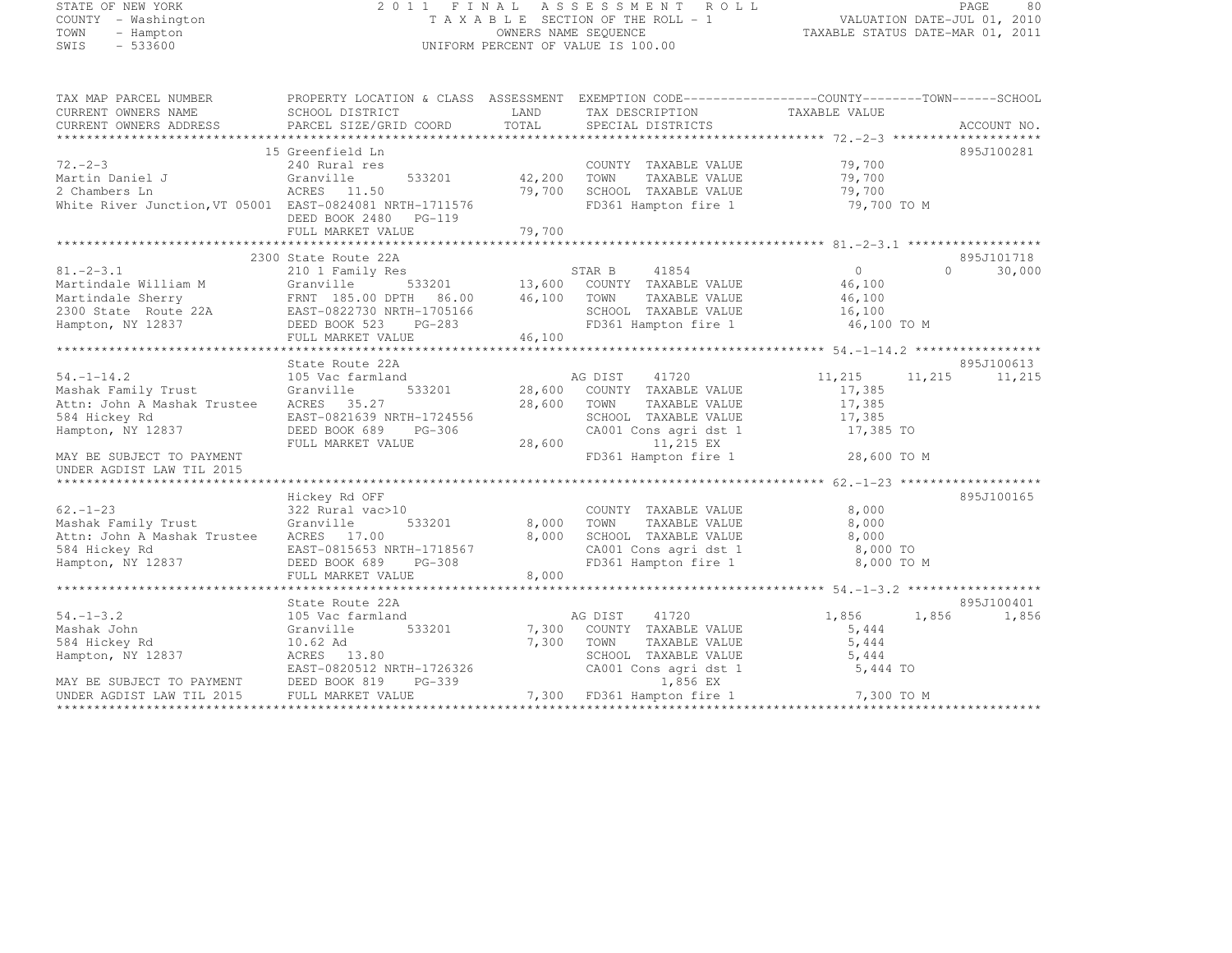#### STATE OF NEW YORK 2 0 1 1 F I N A L A S S E S S M E N T R O L L PAGE <sup>80</sup> COUNTY - Washington T A X A B L E SECTION OF THE ROLL - 1 VALUATION DATE-JUL 01, 2010 TOWN - Hampton OWNERS NAME SEQUENCE TAXABLE STATUS DATE-MAR 01, 2011 SWIS - 533600 UNIFORM PERCENT OF VALUE IS 100.00

| TAX MAP PARCEL NUMBER                                                                               | PROPERTY LOCATION & CLASS ASSESSMENT EXEMPTION CODE-----------------COUNTY-------TOWN------SCHOOL |                   |                                                                                                                                                       |                      |                             |
|-----------------------------------------------------------------------------------------------------|---------------------------------------------------------------------------------------------------|-------------------|-------------------------------------------------------------------------------------------------------------------------------------------------------|----------------------|-----------------------------|
| CURRENT OWNERS NAME                                                                                 | SCHOOL DISTRICT                                                                                   |                   | LAND TAX DESCRIPTION TAXABLE VALUE                                                                                                                    |                      |                             |
| CURRENT OWNERS ADDRESS                                                                              |                                                                                                   |                   |                                                                                                                                                       |                      |                             |
|                                                                                                     |                                                                                                   |                   |                                                                                                                                                       |                      |                             |
|                                                                                                     | 15 Greenfield Ln                                                                                  |                   |                                                                                                                                                       |                      | 895J100281                  |
| $72 - 2 - 3$                                                                                        | 240 Rural res                                                                                     |                   | COUNTY TAXABLE VALUE 79,700                                                                                                                           |                      |                             |
| Martin Daniel J<br>2 Chambers Ln                                                                    | $533201$ $42,200$<br>Granville                                                                    |                   | TOWN                                                                                                                                                  | TAXABLE VALUE 79,700 |                             |
| $\mu$ Channers In $\mu$ ACRES 11.50 (9,700 Mhite River Junction, VT 05001 EAST-0824081 NRTH-1711576 | ACRES 11.50                                                                                       | 79,700            | SCHOOL TAXABLE VALUE 79,700<br>FD361 Hampton fire 1 79,700 TO M                                                                                       |                      |                             |
|                                                                                                     |                                                                                                   |                   |                                                                                                                                                       |                      |                             |
|                                                                                                     | DEED BOOK 2480 PG-119                                                                             |                   |                                                                                                                                                       |                      |                             |
|                                                                                                     |                                                                                                   |                   |                                                                                                                                                       |                      |                             |
|                                                                                                     |                                                                                                   |                   |                                                                                                                                                       |                      | 895J101718                  |
| $81 - 2 - 3.1$                                                                                      | 2300 State Route 22A                                                                              |                   |                                                                                                                                                       |                      | $0 \qquad \qquad$<br>30,000 |
|                                                                                                     | 210 1 Family Res                                                                                  |                   | $\begin{tabular}{ccccc} y Res & & & STR & B & & 41854 & & & 0 \\ & & 533201 & & 13,600 & COUNT & TAXABLE \textit{ VALUE} & & 46,100 \\ \end{tabular}$ |                      |                             |
|                                                                                                     |                                                                                                   |                   |                                                                                                                                                       | 46,100               |                             |
|                                                                                                     |                                                                                                   |                   | TOWN      TAXABLE VALUE<br>SCHOOL   TAXABLE VALUE                                                                                                     | 16,100               |                             |
|                                                                                                     |                                                                                                   |                   | FD361 Hampton fire 1 46,100 TO M                                                                                                                      |                      |                             |
|                                                                                                     |                                                                                                   |                   |                                                                                                                                                       |                      |                             |
|                                                                                                     |                                                                                                   |                   |                                                                                                                                                       |                      |                             |
|                                                                                                     | State Route 22A                                                                                   |                   |                                                                                                                                                       |                      | 895J100613                  |
| $54. - 1 - 14.2$                                                                                    | 105 Vac farmland                                                                                  |                   | AG DIST 41720 11, 215 11, 215                                                                                                                         |                      | 11,215                      |
| Mashak Family Trust Granville                                                                       |                                                                                                   |                   | 533201 28,600 COUNTY TAXABLE VALUE                                                                                                                    | 17,385               |                             |
| Attn: John A Mashak Trustee ACRES 35.27                                                             |                                                                                                   |                   | 28,600 TOWN<br>TAXABLE VALUE                                                                                                                          | 17,385               |                             |
| 584 Hickey Rd                                                                                       | EAST-0821639 NRTH-1724556                                                                         |                   | SCHOOL TAXABLE VALUE 17,385                                                                                                                           |                      |                             |
| Hampton, NY 12837                                                                                   | DEED BOOK 689 PG-306                                                                              |                   | CA001 Cons agri dst 1 17,385 TO                                                                                                                       |                      |                             |
|                                                                                                     | FULL MARKET VALUE                                                                                 |                   | 28,600<br>11,215 EX                                                                                                                                   |                      |                             |
| MAY BE SUBJECT TO PAYMENT                                                                           |                                                                                                   |                   | FD361 Hampton fire 1 28,600 TO M                                                                                                                      |                      |                             |
| UNDER AGDIST LAW TIL 2015                                                                           |                                                                                                   |                   |                                                                                                                                                       |                      |                             |
|                                                                                                     |                                                                                                   |                   |                                                                                                                                                       |                      |                             |
|                                                                                                     | Hickey Rd OFF                                                                                     |                   |                                                                                                                                                       |                      | 895J100165                  |
| $62 - 1 - 23$                                                                                       | 322 Rural vac>10                                                                                  |                   | COUNTY TAXABLE VALUE                                                                                                                                  | 8,000                |                             |
| Mashak Family Trust                                                                                 | Granville                                                                                         | 533201 8,000 TOWN | TAXABLE VALUE                                                                                                                                         | 8,000                |                             |
| Attn: John A Mashak Trustee ACRES 17.00                                                             |                                                                                                   | 8,000             |                                                                                                                                                       |                      |                             |
| 584 Hickey Rd                                                                                       |                                                                                                   |                   | SCHOOL TAXABLE VALUE 8,000<br>CA001 Cons agri dst 1 8,000 TO                                                                                          |                      |                             |
| Hampton, NY 12837 DEED BOOK 689 PG-308                                                              | shak Trustee ACRES 17.00 8,000<br>EAST-0815653 NRTH-1718567 8,000<br>37 DEED BOOK 689 PG-308      |                   | FD361 Hampton fire 1 8,000 TO M                                                                                                                       |                      |                             |
|                                                                                                     | FULL MARKET VALUE                                                                                 | 8,000             |                                                                                                                                                       |                      |                             |
|                                                                                                     |                                                                                                   |                   |                                                                                                                                                       |                      |                             |
|                                                                                                     | State Route 22A                                                                                   |                   |                                                                                                                                                       |                      | 895J100401                  |
| $54. - 1 - 3.2$                                                                                     | 105 Vac farmland                                                                                  |                   | AG DIST<br>41720                                                                                                                                      | 1,856                | 1,856<br>1,856              |
| Mashak John                                                                                         | Granville                                                                                         |                   | 533201 7,300 COUNTY TAXABLE VALUE                                                                                                                     | 5,444                |                             |
| 584 Hickey Rd                                                                                       | 10.62 Ad                                                                                          | 7,300             | TOWN<br>TAXABLE VALUE                                                                                                                                 | 5,444                |                             |
| Hampton, NY 12837                                                                                   | ACRES 13.80                                                                                       |                   | SCHOOL TAXABLE VALUE 5,444                                                                                                                            |                      |                             |
|                                                                                                     | EAST-0820512 NRTH-1726326                                                                         |                   | CA001 Cons agri dst 1                                                                                                                                 | 5,444 TO             |                             |
| MAY BE SUBJECT TO PAYMENT DEED BOOK 819 PG-339                                                      |                                                                                                   |                   | 1,856 EX                                                                                                                                              |                      |                             |
| UNDER AGDIST LAW TIL 2015                                                                           | FULL MARKET VALUE                                                                                 |                   | 7,300 FD361 Hampton fire 1 7,300 TO M                                                                                                                 |                      |                             |
|                                                                                                     |                                                                                                   |                   |                                                                                                                                                       |                      |                             |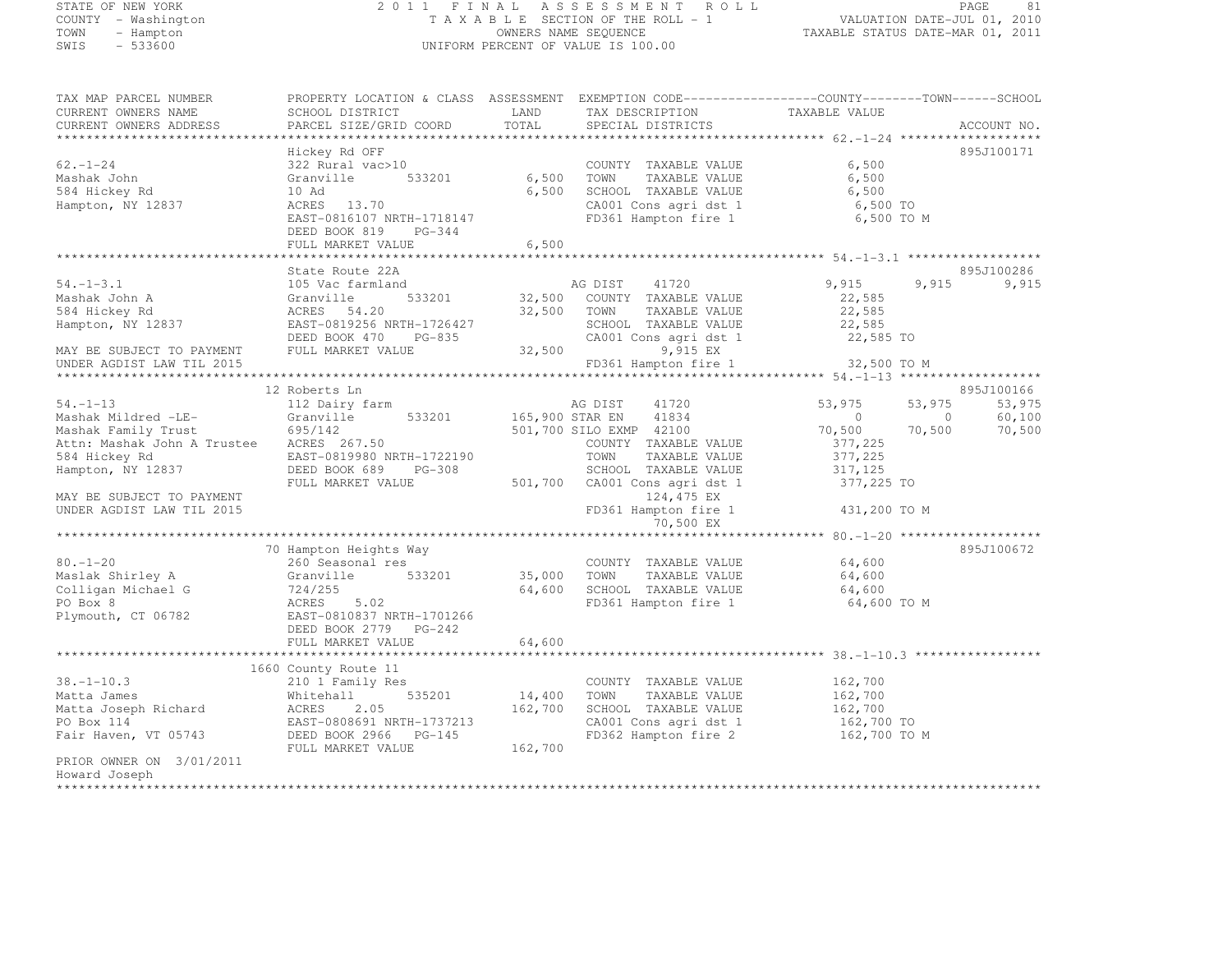## STATE OF NEW YORK 2 0 1 1 F I N A L A S S E S S M E N T R O L L PAGE <sup>81</sup> COUNTY - Washington T A X A B L E SECTION OF THE ROLL - 1 VALUATION DATE-JUL 01, 2010 TOWN - Hampton OWNERS NAME SEQUENCE TAXABLE STATUS DATE-MAR 01, 2011 SWIS - 533600 UNIFORM PERCENT OF VALUE IS 100.00

| TAX MAP PARCEL NUMBER       |                           | PROPERTY LOCATION & CLASS ASSESSMENT EXEMPTION CODE-----------------COUNTY-------TOWN------SCHOOL |                                  |        |
|-----------------------------|---------------------------|---------------------------------------------------------------------------------------------------|----------------------------------|--------|
| CURRENT OWNERS NAME         | SCHOOL DISTRICT           | LAND<br>TAX DESCRIPTION                                                                           | TAXABLE VALUE                    |        |
| CURRENT OWNERS ADDRESS      | PARCEL SIZE/GRID COORD    | TOTAL<br>SPECIAL DISTRICTS                                                                        | ACCOUNT NO.                      |        |
|                             |                           |                                                                                                   |                                  |        |
|                             | Hickey Rd OFF             |                                                                                                   | 895J100171                       |        |
| $62 - 1 - 24$               | 322 Rural vac>10          | COUNTY TAXABLE VALUE                                                                              | 6,500                            |        |
| Mashak John                 | 533201<br>Granville       | 6,500<br>TOWN<br>TAXABLE VALUE                                                                    | 6,500                            |        |
| 584 Hickey Rd               | 10 Ad                     | 6,500<br>SCHOOL TAXABLE VALUE                                                                     | 6,500                            |        |
| Hampton, NY 12837           | ACRES<br>13.70            | CA001 Cons agri dst 1                                                                             | 6,500 TO                         |        |
|                             | EAST-0816107 NRTH-1718147 | FD361 Hampton fire 1                                                                              | 6,500 TO M                       |        |
|                             | DEED BOOK 819<br>PG-344   |                                                                                                   |                                  |        |
|                             | FULL MARKET VALUE         | 6,500                                                                                             |                                  |        |
|                             |                           |                                                                                                   |                                  |        |
|                             | State Route 22A           |                                                                                                   | 895J100286                       |        |
| $54. - 1 - 3.1$             | 105 Vac farmland          | AG DIST<br>41720                                                                                  | 9,915<br>9,915                   | 9,915  |
| Mashak John A               | 533201<br>Granville       | 32,500 COUNTY TAXABLE VALUE                                                                       | 22,585                           |        |
| 584 Hickey Rd               | ACRES 54.20               | 32,500<br>TOWN<br>TAXABLE VALUE                                                                   | 22,585                           |        |
| Hampton, NY 12837           | EAST-0819256 NRTH-1726427 | SCHOOL TAXABLE VALUE                                                                              | 22,585                           |        |
|                             | DEED BOOK 470<br>PG-835   | CA001 Cons agri dst 1                                                                             | 22,585 TO                        |        |
| MAY BE SUBJECT TO PAYMENT   | FULL MARKET VALUE         | 9,915 EX<br>32,500                                                                                |                                  |        |
| UNDER AGDIST LAW TIL 2015   |                           | FD361 Hampton fire 1                                                                              | 32,500 TO M                      |        |
|                             |                           |                                                                                                   |                                  |        |
|                             | 12 Roberts Ln             |                                                                                                   | 895J100166                       |        |
| $54. -1 - 13$               | 112 Dairy farm            | 41720<br>AG DIST                                                                                  | 53,975<br>53,975                 | 53,975 |
| Mashak Mildred -LE-         | Granville<br>533201       | 165,900 STAR EN<br>41834                                                                          | $\overline{0}$<br>$\overline{0}$ | 60,100 |
| Mashak Family Trust         | 695/142                   | 501,700 SILO EXMP 42100                                                                           | 70,500<br>70,500                 | 70,500 |
| Attn: Mashak John A Trustee | ACRES 267.50              |                                                                                                   |                                  |        |
|                             |                           | COUNTY TAXABLE VALUE                                                                              | 377,225                          |        |
| 584 Hickey Rd               | EAST-0819980 NRTH-1722190 | TAXABLE VALUE<br>TOWN                                                                             | 377,225                          |        |
| Hampton, NY 12837           | DEED BOOK 689<br>PG-308   | SCHOOL TAXABLE VALUE                                                                              | 317, 125                         |        |
|                             | FULL MARKET VALUE         | 501,700<br>CA001 Cons agri dst 1                                                                  | 377,225 TO                       |        |
| MAY BE SUBJECT TO PAYMENT   |                           | 124,475 EX                                                                                        |                                  |        |
| UNDER AGDIST LAW TIL 2015   |                           | FD361 Hampton fire 1                                                                              | 431,200 TO M                     |        |
|                             |                           | 70,500 EX                                                                                         |                                  |        |
|                             |                           |                                                                                                   |                                  |        |
|                             | 70 Hampton Heights Way    |                                                                                                   | 895J100672                       |        |
| $80. - 1 - 20$              | 260 Seasonal res          | COUNTY TAXABLE VALUE                                                                              | 64,600                           |        |
| Maslak Shirley A            | 533201<br>Granville       | 35,000<br>TOWN<br>TAXABLE VALUE                                                                   | 64,600                           |        |
| Colligan Michael G          | 724/255                   | 64,600<br>SCHOOL TAXABLE VALUE                                                                    | 64,600                           |        |
| PO Box 8                    | 5.02<br>ACRES             | FD361 Hampton fire 1                                                                              | 64,600 TO M                      |        |
| Plymouth, CT 06782          | EAST-0810837 NRTH-1701266 |                                                                                                   |                                  |        |
|                             | DEED BOOK 2779 PG-242     |                                                                                                   |                                  |        |
|                             | FULL MARKET VALUE         | 64,600                                                                                            |                                  |        |
|                             |                           |                                                                                                   |                                  |        |
|                             | 1660 County Route 11      |                                                                                                   |                                  |        |
| $38. - 1 - 10.3$            | 210 1 Family Res          | COUNTY TAXABLE VALUE                                                                              | 162,700                          |        |
| Matta James                 | 535201<br>Whitehall       | 14,400<br>TOWN<br>TAXABLE VALUE                                                                   | 162,700                          |        |
| Matta Joseph Richard        | ACRES<br>2.05             | 162,700<br>SCHOOL TAXABLE VALUE                                                                   | 162,700                          |        |
| PO Box 114                  | EAST-0808691 NRTH-1737213 | CA001 Cons agri dst 1                                                                             | 162,700 TO                       |        |
| Fair Haven, VT 05743        | DEED BOOK 2966 PG-145     | FD362 Hampton fire 2                                                                              | 162,700 TO M                     |        |
|                             | FULL MARKET VALUE         | 162,700                                                                                           |                                  |        |
| PRIOR OWNER ON 3/01/2011    |                           |                                                                                                   |                                  |        |
| Howard Joseph               |                           |                                                                                                   |                                  |        |
| ****************            |                           |                                                                                                   |                                  |        |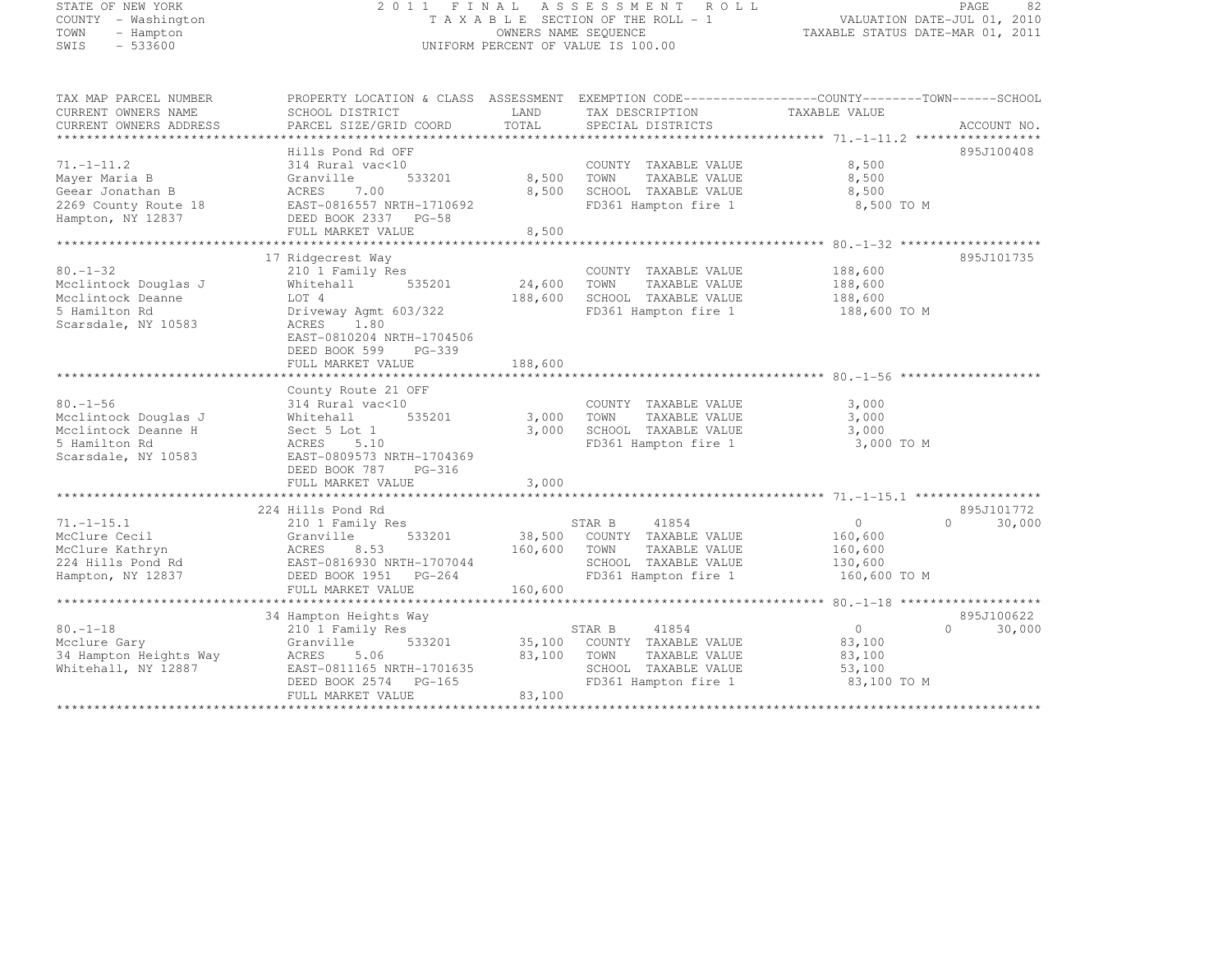#### STATE OF NEW YORK 2 0 1 1 F I N A L A S S E S S M E N T R O L L PAGE <sup>82</sup> COUNTY - Washington T A X A B L E SECTION OF THE ROLL - 1 VALUATION DATE-JUL 01, 2010 TOWN - Hampton OWNERS NAME SEQUENCE TAXABLE STATUS DATE-MAR 01, 2011 SWIS - 533600 UNIFORM PERCENT OF VALUE IS 100.00

| TAX MAP PARCEL NUMBER                       | PROPERTY LOCATION & CLASS ASSESSMENT EXEMPTION CODE----------------COUNTY-------TOWN------SCHOOL |              |                                       |                |                    |
|---------------------------------------------|--------------------------------------------------------------------------------------------------|--------------|---------------------------------------|----------------|--------------------|
| CURRENT OWNERS NAME                         | SCHOOL DISTRICT                                                                                  | LAND         | TAX DESCRIPTION                       | TAXABLE VALUE  |                    |
| CURRENT OWNERS ADDRESS                      | PARCEL SIZE/GRID COORD                                                                           | TOTAL        | SPECIAL DISTRICTS                     |                | ACCOUNT NO.        |
|                                             |                                                                                                  |              |                                       |                |                    |
|                                             | Hills Pond Rd OFF                                                                                |              |                                       |                | 895J100408         |
| $71. - 1 - 11.2$                            | 314 Rural vac<10                                                                                 |              | COUNTY TAXABLE VALUE                  | 8,500          |                    |
| Mayer Maria B                               | 533201<br>Granville                                                                              | 8,500 TOWN   | TAXABLE VALUE                         | 8,500          |                    |
| Geear Jonathan B                            | ACRES<br>7.00                                                                                    | 8,500        | SCHOOL TAXABLE VALUE                  | 8,500          |                    |
|                                             | EAST-0816557 NRTH-1710692                                                                        |              | FD361 Hampton fire 1                  | 8,500 TO M     |                    |
| 2269 County Route 18<br>Hampton, NY 12837   | DEED BOOK 2337 PG-58                                                                             |              |                                       |                |                    |
|                                             | FULL MARKET VALUE                                                                                | 8,500        |                                       |                |                    |
|                                             |                                                                                                  |              |                                       |                |                    |
|                                             | 17 Ridgecrest Way                                                                                |              |                                       |                | 895J101735         |
| $80. - 1 - 32$                              | 210 1 Family Res                                                                                 |              | COUNTY TAXABLE VALUE                  | 188,600        |                    |
| Mcclintock Douglas J                        | 535201<br>Whitehall                                                                              | 24,600       | TOWN<br>TAXABLE VALUE                 | 188,600        |                    |
| Mcclintock Deanne                           | LOT 4                                                                                            | 188,600      | SCHOOL TAXABLE VALUE                  | 188,600        |                    |
| 5 Hamilton Rd                               | Driveway Agmt 603/322                                                                            |              | FD361 Hampton fire 1                  | 188,600 TO M   |                    |
| Scarsdale, NY 10583                         | ACRES<br>1.80                                                                                    |              |                                       |                |                    |
|                                             | EAST-0810204 NRTH-1704506                                                                        |              |                                       |                |                    |
|                                             | PG-339<br>DEED BOOK 599                                                                          |              |                                       |                |                    |
|                                             | FULL MARKET VALUE                                                                                | 188,600      |                                       |                |                    |
|                                             |                                                                                                  |              |                                       |                |                    |
|                                             | County Route 21 OFF                                                                              |              |                                       |                |                    |
| $80. -1 - 56$                               | 314 Rural vac<10                                                                                 | 3,000        | COUNTY TAXABLE VALUE<br>TAXABLE VALUE | 3,000          |                    |
| Mcclintock Douglas J<br>Mcclintock Deanne H | 535201<br>Whitehall                                                                              | 3,000        | TOWN                                  | 3,000          |                    |
|                                             | Sect 5 Lot 1                                                                                     |              | SCHOOL TAXABLE VALUE                  | 3,000          |                    |
| 5 Hamilton Rd                               | ACRES<br>5.10                                                                                    |              | FD361 Hampton fire 1                  | 3,000 TO M     |                    |
| Scarsdale, NY 10583                         | EAST-0809573 NRTH-1704369                                                                        |              |                                       |                |                    |
|                                             | DEED BOOK 787<br>PG-316                                                                          | 3,000        |                                       |                |                    |
|                                             | FULL MARKET VALUE                                                                                |              |                                       |                |                    |
|                                             | 224 Hills Pond Rd                                                                                |              |                                       |                | 895J101772         |
| $71. - 1 - 15.1$                            | 210 1 Family Res                                                                                 |              | STAR B<br>41854                       | 0              | $\Omega$<br>30,000 |
| McClure Cecil                               | 533201<br>Granville                                                                              |              | 38,500 COUNTY TAXABLE VALUE           | 160,600        |                    |
| McClure Kathryn                             | ACRES<br>8.53                                                                                    | 160,600 TOWN | TAXABLE VALUE                         | 160,600        |                    |
| 224 Hills Pond Rd                           | EAST-0816930 NRTH-1707044                                                                        |              | SCHOOL TAXABLE VALUE                  | 130,600        |                    |
| Hampton, NY 12837                           | DEED BOOK 1951 PG-264                                                                            |              | FD361 Hampton fire 1                  | 160,600 TO M   |                    |
|                                             | FULL MARKET VALUE                                                                                | 160,600      |                                       |                |                    |
|                                             |                                                                                                  |              |                                       |                |                    |
|                                             | 34 Hampton Heights Way                                                                           |              |                                       |                | 895J100622         |
| $80. -1 - 18$                               | 210 1 Family Res                                                                                 |              | STAR B<br>41854                       | $\overline{0}$ | $\Omega$<br>30,000 |
| Mcclure Gary                                | Granville<br>533201                                                                              |              | 35,100 COUNTY TAXABLE VALUE           | 83,100         |                    |
| 34 Hampton Heights Way                      | ACRES<br>5.06                                                                                    | 83,100       | TOWN<br>TAXABLE VALUE                 | 83,100         |                    |
| Whitehall, NY 12887                         | EAST-0811165 NRTH-1701635                                                                        |              | SCHOOL TAXABLE VALUE                  | 53,100         |                    |
|                                             | DEED BOOK 2574 PG-165                                                                            |              | FD361 Hampton fire 1                  | 83,100 TO M    |                    |
|                                             | FULL MARKET VALUE                                                                                | 83,100       |                                       |                |                    |
|                                             |                                                                                                  |              |                                       |                |                    |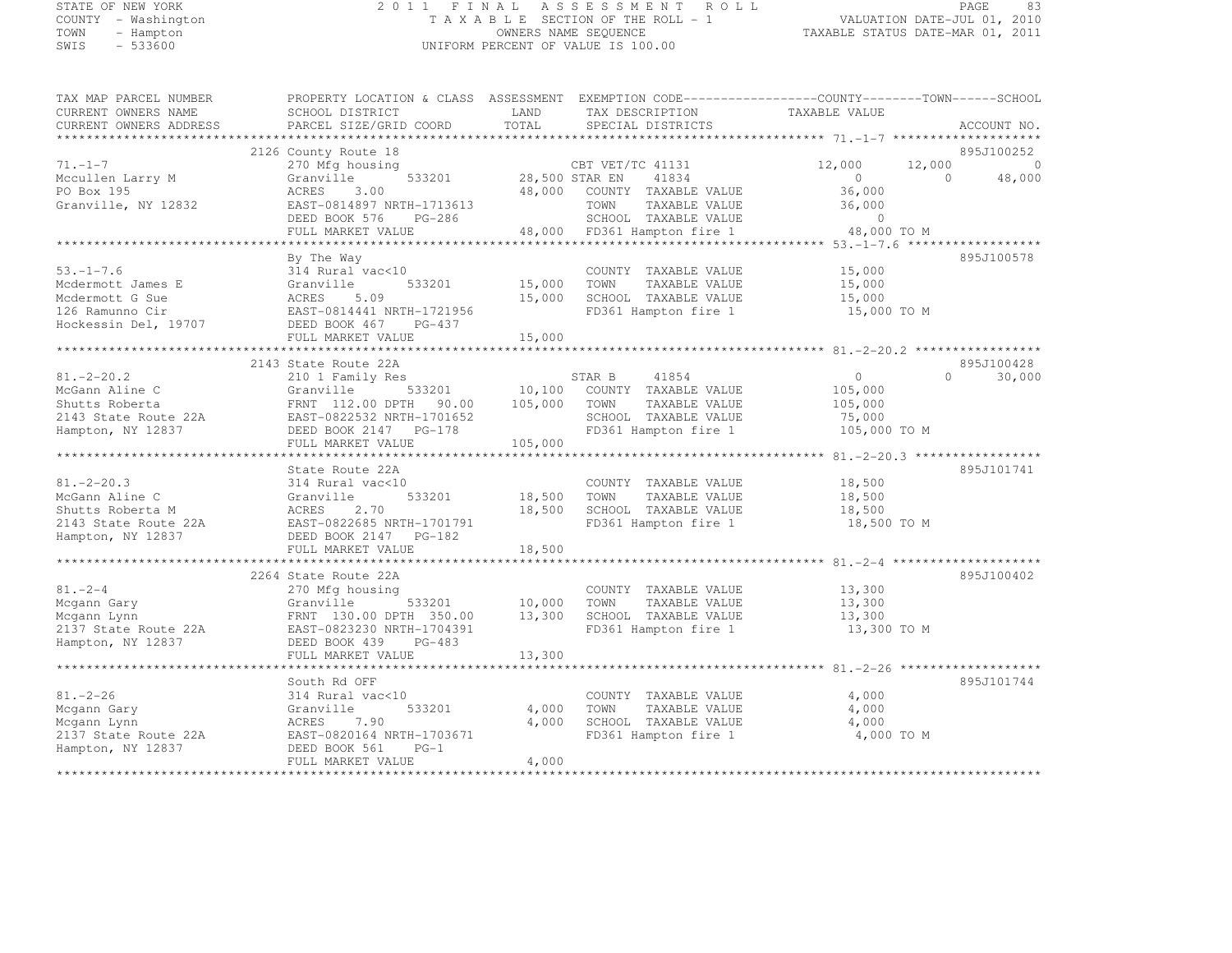#### STATE OF NEW YORK 2 0 1 1 F I N A L A S S E S S M E N T R O L L PAGE <sup>83</sup> COUNTY - Washington T A X A B L E SECTION OF THE ROLL - 1 VALUATION DATE-JUL 01, 2010 TOWN - Hampton OWNERS NAME SEQUENCE TAXABLE STATUS DATE-MAR 01, 2011 SWIS - 533600 UNIFORM PERCENT OF VALUE IS 100.00

| TAX MAP PARCEL NUMBER  | PROPERTY LOCATION & CLASS ASSESSMENT EXEMPTION CODE-----------------COUNTY-------TOWN------SCHOOL |                                   |                                             |                |           |             |
|------------------------|---------------------------------------------------------------------------------------------------|-----------------------------------|---------------------------------------------|----------------|-----------|-------------|
| CURRENT OWNERS NAME    | SCHOOL DISTRICT                                                                                   | LAND                              | TAX DESCRIPTION                             | TAXABLE VALUE  |           |             |
| CURRENT OWNERS ADDRESS | PARCEL SIZE/GRID COORD                                                                            | TOTAL                             | SPECIAL DISTRICTS                           |                |           | ACCOUNT NO. |
|                        |                                                                                                   |                                   |                                             |                |           |             |
|                        | 2126 County Route 18                                                                              |                                   |                                             |                |           | 895J100252  |
| $71. - 1 - 7$          | 270 Mfg housing                                                                                   |                                   | CBT VET/TC 41131                            | 12,000         | 12,000    | $\Omega$    |
| Mccullen Larry M       | Granville                                                                                         | CBT VET/<br>533201 28,500 STAR EN | 41834                                       | $\sim$ 0       | $\bigcap$ | 48,000      |
| PO Box 195             | ACRES<br>3.00                                                                                     | 48,000                            | COUNTY TAXABLE VALUE                        | 36,000         |           |             |
| Granville, NY 12832    | EAST-0814897 NRTH-1713613                                                                         |                                   | TOWN<br>TAXABLE VALUE                       | 36,000         |           |             |
|                        | DEED BOOK 576 PG-286                                                                              |                                   | SCHOOL TAXABLE VALUE                        | $\Omega$       |           |             |
|                        | FULL MARKET VALUE                                                                                 |                                   | 48,000 FD361 Hampton fire 1                 | 48,000 TO M    |           |             |
|                        |                                                                                                   |                                   |                                             |                |           |             |
|                        | By The Way                                                                                        |                                   |                                             |                |           | 895J100578  |
| $53. - 1 - 7.6$        | 314 Rural vac<10                                                                                  |                                   | COUNTY TAXABLE VALUE                        | 15,000         |           |             |
| Mcdermott James E      | Granville<br>533201                                                                               | 15,000                            | TOWN<br>TAXABLE VALUE                       | 15,000         |           |             |
| Mcdermott G Sue        | 5.09<br>ACRES                                                                                     | 15,000                            | SCHOOL TAXABLE VALUE                        | 15,000         |           |             |
| 126 Ramunno Cir        | EAST-0814441 NRTH-1721956                                                                         |                                   | FD361 Hampton fire 1                        | 15,000 TO M    |           |             |
|                        |                                                                                                   |                                   |                                             |                |           |             |
|                        | FULL MARKET VALUE                                                                                 | 15,000                            |                                             |                |           |             |
|                        |                                                                                                   |                                   |                                             |                |           |             |
|                        | 2143 State Route 22A                                                                              |                                   |                                             |                |           | 895J100428  |
| $81, -2 - 20.2$        | 210 1 Family Res                                                                                  |                                   | STAR B 41854<br>10,100 COUNTY TAXABLE VALUE | $\overline{0}$ | $\Omega$  | 30,000      |
| McGann Aline C         | 533201<br>Granville                                                                               |                                   |                                             | 105,000        |           |             |
| Shutts Roberta         | FRNT 112.00 DPTH 90.00 105,000<br>EAST-0822532 NRTH-1701652                                       |                                   | TOWN<br>TAXABLE VALUE                       | 105,000        |           |             |
| 2143 State Route 22A   |                                                                                                   |                                   | SCHOOL TAXABLE VALUE                        | 75,000         |           |             |
| Hampton, NY 12837      | DEED BOOK 2147    PG-178                                                                          |                                   | FD361 Hampton fire 1                        | 105,000 TO M   |           |             |
|                        | FULL MARKET VALUE                                                                                 | 105,000                           |                                             |                |           |             |
|                        |                                                                                                   |                                   |                                             |                |           |             |
|                        | State Route 22A                                                                                   |                                   |                                             |                |           | 895J101741  |
| $81, -2 - 20.3$        | 314 Rural vac<10                                                                                  |                                   | COUNTY TAXABLE VALUE                        | 18,500         |           |             |
| McGann Aline C         | 533201<br>Granville                                                                               | 18,500                            | TOWN<br>TAXABLE VALUE                       | 18,500         |           |             |
| Shutts Roberta M       | ACRES<br>2.70                                                                                     | 18,500                            | SCHOOL TAXABLE VALUE                        | 18,500         |           |             |
| 2143 State Route 22A   | EAST-0822685 NRTH-1701791                                                                         |                                   | FD361 Hampton fire 1                        | 18,500 TO M    |           |             |
| Hampton, NY 12837      | DEED BOOK 2147 PG-182                                                                             |                                   |                                             |                |           |             |
|                        | FULL MARKET VALUE                                                                                 | 18,500                            |                                             |                |           |             |
|                        |                                                                                                   |                                   |                                             |                |           |             |
|                        | 2264 State Route 22A                                                                              |                                   |                                             |                |           | 895J100402  |
| $81. - 2 - 4$          | 270 Mfg housing                                                                                   |                                   | COUNTY TAXABLE VALUE                        | 13,300         |           |             |
| Mcgann Gary            | 533201<br>Granville                                                                               | 10,000                            | TOWN<br>TAXABLE VALUE                       | 13,300         |           |             |
| Mcgann Lynn            | FRNT 130.00 DPTH 350.00                                                                           | 13,300                            | SCHOOL TAXABLE VALUE                        | 13,300         |           |             |
| 2137 State Route 22A   | EAST-0823230 NRTH-1704391                                                                         |                                   | FD361 Hampton fire 1                        | 13,300 TO M    |           |             |
| Hampton, NY 12837      | DEED BOOK 439<br>PG-483                                                                           |                                   |                                             |                |           |             |
|                        | FULL MARKET VALUE                                                                                 | 13,300                            |                                             |                |           |             |
|                        |                                                                                                   | *************                     |                                             |                |           |             |
|                        | South Rd OFF                                                                                      |                                   |                                             |                |           | 895J101744  |
| $81. - 2 - 26$         | 314 Rural vac<10                                                                                  |                                   | COUNTY TAXABLE VALUE                        | 4,000          |           |             |
| Mcgann Gary            | 533201<br>Granville                                                                               | 4,000                             | TOWN<br>TAXABLE VALUE                       | 4,000          |           |             |
| Mcgann Lynn            | ACRES<br>7.90                                                                                     | 4,000                             | SCHOOL TAXABLE VALUE                        | 4,000          |           |             |
| 2137 State Route 22A   | EAST-0820164 NRTH-1703671                                                                         |                                   | FD361 Hampton fire 1                        | 4,000 TO M     |           |             |
| Hampton, NY 12837      | DEED BOOK 561<br>$PG-1$                                                                           |                                   |                                             |                |           |             |
|                        | FULL MARKET VALUE                                                                                 | 4,000                             |                                             |                |           |             |
|                        |                                                                                                   |                                   |                                             |                |           |             |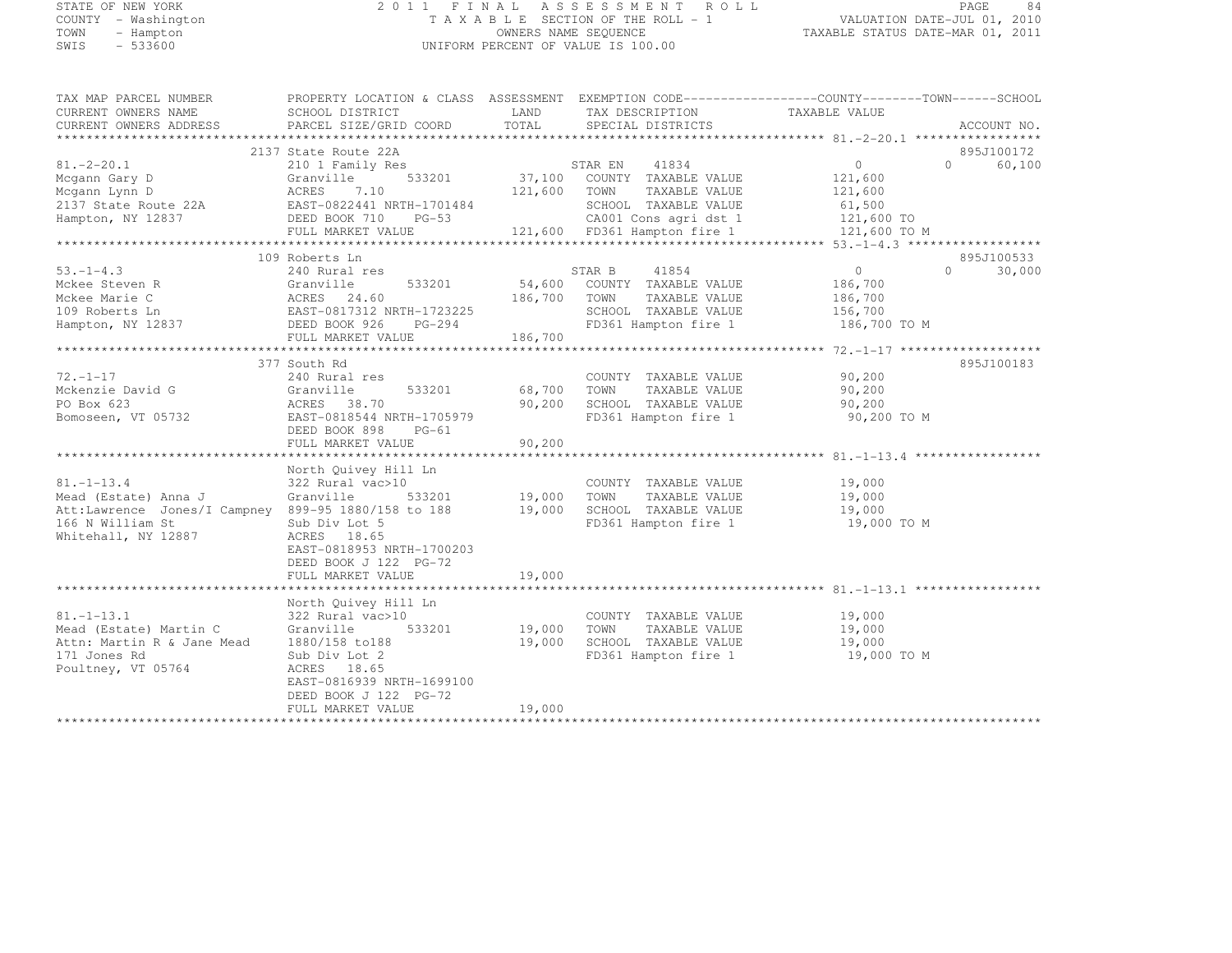#### STATE OF NEW YORK 2 0 1 1 F I N A L A S S E S S M E N T R O L L PAGE <sup>84</sup> COUNTY - Washington T A X A B L E SECTION OF THE ROLL - 1 VALUATION DATE-JUL 01, 2010 TOWN - Hampton OWNERS NAME SEQUENCE TAXABLE STATUS DATE-MAR 01, 2011 SWIS - 533600 UNIFORM PERCENT OF VALUE IS 100.00

| TAX MAP PARCEL NUMBER                                                                                                                                                                                                                | PROPERTY LOCATION & CLASS ASSESSMENT EXEMPTION CODE-----------------COUNTY-------TOWN------SCHOOL |        |                                                                   |                                                   |                          |
|--------------------------------------------------------------------------------------------------------------------------------------------------------------------------------------------------------------------------------------|---------------------------------------------------------------------------------------------------|--------|-------------------------------------------------------------------|---------------------------------------------------|--------------------------|
| CURRENT OWNERS NAME                                                                                                                                                                                                                  | SCHOOL DISTRICT                                                                                   |        | LAND TAX DESCRIPTION                                              | TAXABLE VALUE                                     |                          |
| CURRENT OWNERS ADDRESS                                                                                                                                                                                                               | PARCEL SIZE/GRID COORD                                                                            | TOTAL  | SPECIAL DISTRICTS                                                 |                                                   | ACCOUNT NO.              |
|                                                                                                                                                                                                                                      |                                                                                                   |        |                                                                   |                                                   |                          |
|                                                                                                                                                                                                                                      | 2137 State Route 22A                                                                              |        |                                                                   |                                                   | 895J100172               |
| $81, -2 - 20, 1$                                                                                                                                                                                                                     |                                                                                                   |        |                                                                   |                                                   | 0 60,100                 |
|                                                                                                                                                                                                                                      |                                                                                                   |        |                                                                   |                                                   |                          |
|                                                                                                                                                                                                                                      |                                                                                                   |        |                                                                   |                                                   |                          |
|                                                                                                                                                                                                                                      |                                                                                                   |        |                                                                   |                                                   |                          |
|                                                                                                                                                                                                                                      |                                                                                                   |        |                                                                   |                                                   |                          |
|                                                                                                                                                                                                                                      |                                                                                                   |        |                                                                   |                                                   |                          |
| 81.-2-20.1<br>Mcgann Gary D Granville 533201 37,100 COUNTY TAXABLE VALUE<br>Mcgann Lynn D ACRES 7.10 121,600 TOWN TAXABLE VALUE 121,600<br>2137 State Route 22A EAST-0822441 NRTH-1701484 SCHOOL TAXABLE VALUE 61,500<br>Hampton, NY | 109 Roberts Ln                                                                                    |        |                                                                   |                                                   | 895J100533               |
| 910 Rural res and the STAR B 11854<br>Mokee Steven R Granville 533201 54,600 COUNTY TAXABLE VALUE<br>Mokee Marie C ACRES 24.60 109 Roberts Ln EAST-0817312 NRTH-1723225<br>Hampton, NY 12837 DEED BOOK 926 PG-294 FD361 Hampton fire |                                                                                                   |        |                                                                   |                                                   | $\overline{0}$<br>30,000 |
|                                                                                                                                                                                                                                      |                                                                                                   |        |                                                                   | $\begin{smallmatrix}&&0\186,700\end{smallmatrix}$ |                          |
|                                                                                                                                                                                                                                      |                                                                                                   |        |                                                                   | TAXABLE VALUE 186,700                             |                          |
|                                                                                                                                                                                                                                      |                                                                                                   |        |                                                                   |                                                   |                          |
|                                                                                                                                                                                                                                      |                                                                                                   |        | SCHOOL TAXABLE VALUE 156,700<br>FD361 Hampton fire 1 186,700 TO M |                                                   |                          |
|                                                                                                                                                                                                                                      |                                                                                                   |        |                                                                   |                                                   |                          |
|                                                                                                                                                                                                                                      |                                                                                                   |        |                                                                   |                                                   |                          |
|                                                                                                                                                                                                                                      | 377 South Rd                                                                                      |        |                                                                   |                                                   | 895J100183               |
| $72. - 1 - 17$                                                                                                                                                                                                                       | 240 Rural res                                                                                     |        | COUNTY TAXABLE VALUE                                              | 90,200                                            |                          |
|                                                                                                                                                                                                                                      |                                                                                                   |        | TAXABLE VALUE 90,200                                              |                                                   |                          |
|                                                                                                                                                                                                                                      |                                                                                                   | 90,200 |                                                                   |                                                   |                          |
| Mortal Contract Contract Contract Contract Contract Contract Contract Contract Contract Contract Contract Contract Contract Contract Contract Contract Contract Contract Contract Contract Contract Contract Contract Contract       |                                                                                                   |        | SCHOOL TAXABLE VALUE 90,200<br>FD361 Hampton fire 1 90,200 TO M   |                                                   |                          |
|                                                                                                                                                                                                                                      | DEED BOOK 898<br>PG-61                                                                            |        |                                                                   |                                                   |                          |
|                                                                                                                                                                                                                                      | FULL MARKET VALUE                                                                                 | 90,200 |                                                                   |                                                   |                          |
|                                                                                                                                                                                                                                      |                                                                                                   |        |                                                                   |                                                   |                          |
|                                                                                                                                                                                                                                      | North Quivey Hill Ln                                                                              |        |                                                                   |                                                   |                          |
| 81.-1-13.4 (Estate) Anna J (202 Rural vac>10<br>Mead (Estate) Anna J (322 Rural vac>10 (33201 19,000 TOWN TAXABLE VALUE<br>Att:Lawrence Jones/I Campney 899-95 1880/158 to 188 19,000 SCHOOL TAXABLE VALUE                           |                                                                                                   |        | COUNTY TAXABLE VALUE 19,000                                       |                                                   |                          |
|                                                                                                                                                                                                                                      |                                                                                                   |        |                                                                   | 19,000                                            |                          |
|                                                                                                                                                                                                                                      |                                                                                                   |        |                                                                   | $\frac{13}{19}$ , 000                             |                          |
| 166 N William St                                                                                                                                                                                                                     | Sub Div Lot 5                                                                                     |        | FD361 Hampton fire 1 19,000 TO M                                  |                                                   |                          |
| Whitehall, NY 12887                                                                                                                                                                                                                  | ACRES 18.65                                                                                       |        |                                                                   |                                                   |                          |
|                                                                                                                                                                                                                                      | EAST-0818953 NRTH-1700203                                                                         |        |                                                                   |                                                   |                          |
|                                                                                                                                                                                                                                      | DEED BOOK J 122 PG-72                                                                             |        |                                                                   |                                                   |                          |
|                                                                                                                                                                                                                                      | FULL MARKET VALUE                                                                                 | 19,000 |                                                                   |                                                   |                          |
|                                                                                                                                                                                                                                      |                                                                                                   |        |                                                                   |                                                   |                          |
|                                                                                                                                                                                                                                      | North Quivey Hill Ln                                                                              |        |                                                                   |                                                   |                          |
| $81. - 1 - 13.1$                                                                                                                                                                                                                     | 322 Rural vac>10                                                                                  |        | COUNTY TAXABLE VALUE 19,000                                       |                                                   |                          |
| Mead (Estate) Martin C                                                                                                                                                                                                               | Granville 533201                                                                                  |        | COUNTY TAXABLE VALUE<br>19,000 TOWN TAXABLE VALUE                 | 19,000                                            |                          |
| Attn: Martin R & Jane Mead 1880/158 to188                                                                                                                                                                                            |                                                                                                   |        | 19,000 SCHOOL TAXABLE VALUE 19,000                                |                                                   |                          |
| 171 Jones Rd                                                                                                                                                                                                                         | Sub Div Lot 2                                                                                     |        | FD361 Hampton fire 1                                              | 19,000 TO M                                       |                          |
| Poultney, VT 05764                                                                                                                                                                                                                   | ACRES 18.65                                                                                       |        |                                                                   |                                                   |                          |
|                                                                                                                                                                                                                                      | EAST-0816939 NRTH-1699100                                                                         |        |                                                                   |                                                   |                          |
|                                                                                                                                                                                                                                      | DEED BOOK J 122 PG-72                                                                             |        |                                                                   |                                                   |                          |
|                                                                                                                                                                                                                                      | FULL MARKET VALUE                                                                                 | 19,000 |                                                                   |                                                   |                          |
|                                                                                                                                                                                                                                      |                                                                                                   |        |                                                                   |                                                   |                          |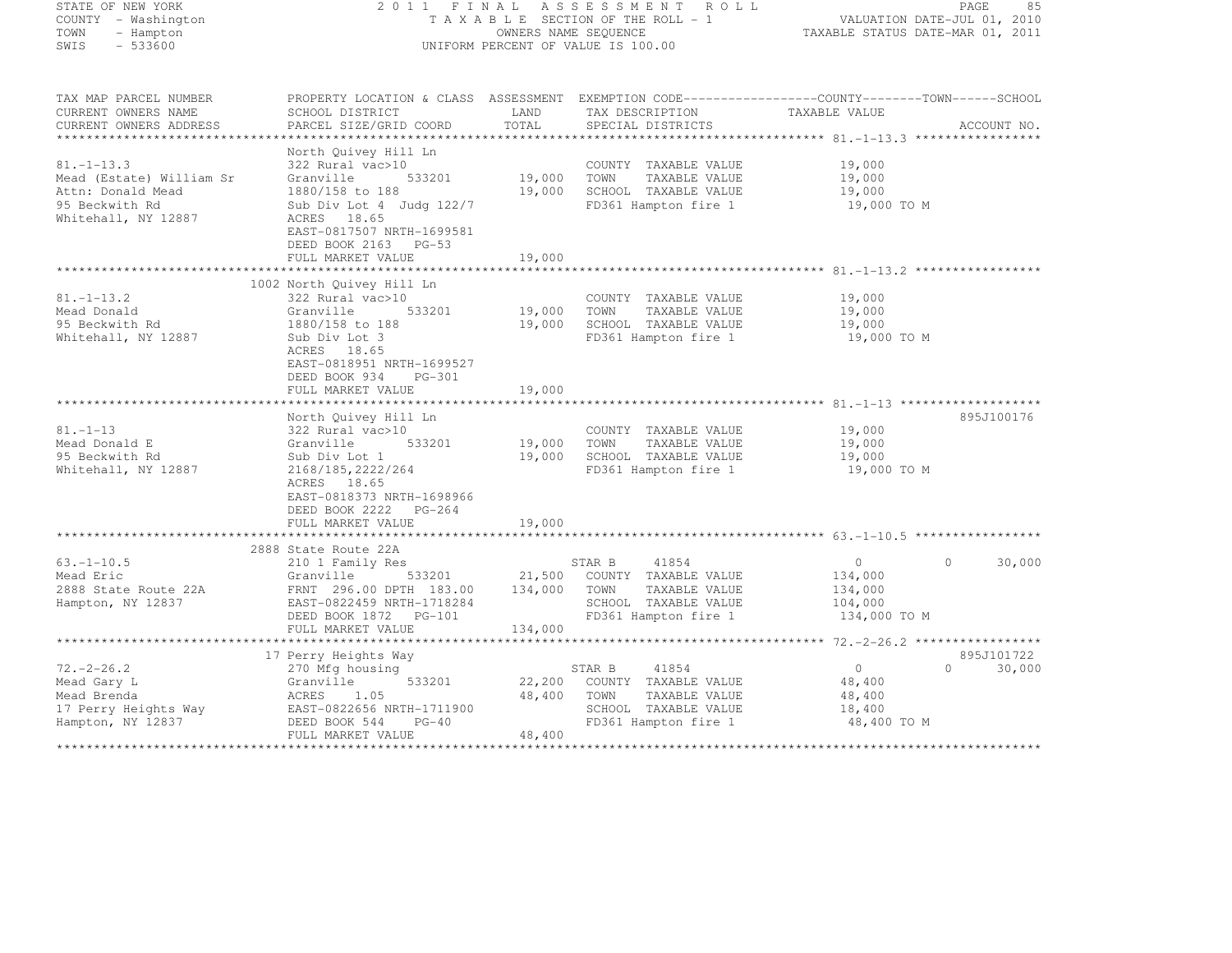| STATE OF NEW YORK<br>COUNTY - Washington<br>- Hampton<br>TOWN<br>SWIS<br>$-533600$                         | 2011 FINAL<br>ASSESSMENT ROLL<br>TAXABLE SECTION OF THE ROLL - 1<br>OWNERS NAME SEQUENCE<br>UNIFORM PERCENT OF VALUE IS 100.00                                                     |                              |                |                                                                                                | PAGE<br>85<br>VALUATION DATE-JUL 01, 2010<br>TAXABLE STATUS DATE-MAR 01, 2011 |                             |  |
|------------------------------------------------------------------------------------------------------------|------------------------------------------------------------------------------------------------------------------------------------------------------------------------------------|------------------------------|----------------|------------------------------------------------------------------------------------------------|-------------------------------------------------------------------------------|-----------------------------|--|
| TAX MAP PARCEL NUMBER<br>CURRENT OWNERS NAME<br>CURRENT OWNERS ADDRESS                                     | PROPERTY LOCATION & CLASS ASSESSMENT EXEMPTION CODE----------------COUNTY-------TOWN------SCHOOL<br>SCHOOL DISTRICT<br>PARCEL SIZE/GRID COORD                                      | LAND<br>TOTAL                |                | TAX DESCRIPTION<br>SPECIAL DISTRICTS                                                           | TAXABLE VALUE                                                                 | ACCOUNT NO.                 |  |
| $81. - 1 - 13.3$<br>Mead (Estate) William Sr<br>Attn: Donald Mead<br>95 Beckwith Rd<br>Whitehall, NY 12887 | North Quivey Hill Ln<br>322 Rural vac>10<br>Granville<br>533201<br>1880/158 to 188<br>Sub Div Lot 4 Judg 122/7<br>ACRES 18.65<br>EAST-0817507 NRTH-1699581<br>DEED BOOK 2163 PG-53 | 19,000 TOWN<br>19,000        |                | COUNTY TAXABLE VALUE<br>TAXABLE VALUE<br>SCHOOL TAXABLE VALUE<br>FD361 Hampton fire 1          | 19,000<br>19,000<br>19,000<br>19,000 TO M                                     |                             |  |
|                                                                                                            | FULL MARKET VALUE                                                                                                                                                                  | 19,000                       |                |                                                                                                |                                                                               |                             |  |
| $81, -1 - 13, 2$<br>Mead Donald<br>95 Beckwith Rd<br>Whitehall, NY 12887                                   | 1002 North Quivey Hill Ln<br>322 Rural vac>10<br>533201<br>Granville<br>1880/158 to 188<br>Sub Div Lot 3<br>ACRES 18.65<br>EAST-0818951 NRTH-1699527<br>DEED BOOK 934<br>PG-301    | 19,000<br>19,000             | TOWN           | COUNTY TAXABLE VALUE<br>TAXABLE VALUE<br>SCHOOL TAXABLE VALUE<br>FD361 Hampton fire 1          | 19,000<br>19,000<br>19,000<br>19,000 TO M                                     |                             |  |
|                                                                                                            | FULL MARKET VALUE                                                                                                                                                                  | 19,000                       |                |                                                                                                |                                                                               |                             |  |
| $81. - 1 - 13$<br>Mead Donald E<br>95 Beckwith Rd<br>Whitehall, NY 12887                                   | North Quivey Hill Ln<br>322 Rural vac>10<br>Granville<br>533201<br>Sub Div Lot 1<br>2168/185, 2222/264<br>ACRES 18.65<br>EAST-0818373 NRTH-1698966<br>DEED BOOK 2222 PG-264        | 19,000<br>19,000             | TOWN           | COUNTY TAXABLE VALUE<br>TAXABLE VALUE<br>SCHOOL TAXABLE VALUE<br>FD361 Hampton fire 1          | 19,000<br>19,000<br>19,000<br>19,000 TO M                                     | 895J100176                  |  |
|                                                                                                            | FULL MARKET VALUE                                                                                                                                                                  | 19,000                       |                |                                                                                                |                                                                               |                             |  |
|                                                                                                            | 2888 State Route 22A                                                                                                                                                               |                              |                |                                                                                                |                                                                               |                             |  |
| $63, -1 - 10, 5$<br>Mead Eric<br>2888 State Route 22A<br>Hampton, NY 12837                                 | 210 1 Family Res<br>533201<br>Granville<br>FRNT 296.00 DPTH 183.00<br>EAST-0822459 NRTH-1718284<br>DEED BOOK 1872    PG-101<br>FULL MARKET VALUE                                   | 21,500<br>134,000<br>134,000 | STAR B<br>TOWN | 41854<br>COUNTY TAXABLE VALUE<br>TAXABLE VALUE<br>SCHOOL TAXABLE VALUE<br>FD361 Hampton fire 1 | $\overline{0}$<br>134,000<br>134,000<br>104,000<br>134,000 TO M               | $\Omega$<br>30,000          |  |
|                                                                                                            | **********************                                                                                                                                                             |                              |                |                                                                                                | ***************** 72.-2-26.2 ******************                               | 895J101722                  |  |
| $72. -2 - 26.2$<br>Mead Gary L<br>Mead Brenda<br>17 Perry Heights Way<br>Hampton, NY 12837                 | 17 Perry Heights Way<br>270 Mfg housing<br>533201<br>Granville<br>ACRES<br>1.05<br>EAST-0822656 N<br>DEED BOOK 544<br>EAST-0822656 NRTH-1711900<br>$PG-40$                         | 22,200<br>48,400             | STAR B<br>TOWN | 41854<br>COUNTY TAXABLE VALUE<br>TAXABLE VALUE<br>SCHOOL TAXABLE VALUE<br>FD361 Hampton fire 1 | $\overline{0}$<br>48,400<br>48,400<br>18,400<br>48,400 TO M                   | $0 \qquad \qquad$<br>30,000 |  |
|                                                                                                            | FULL MARKET VALUE                                                                                                                                                                  | 48,400                       |                |                                                                                                |                                                                               |                             |  |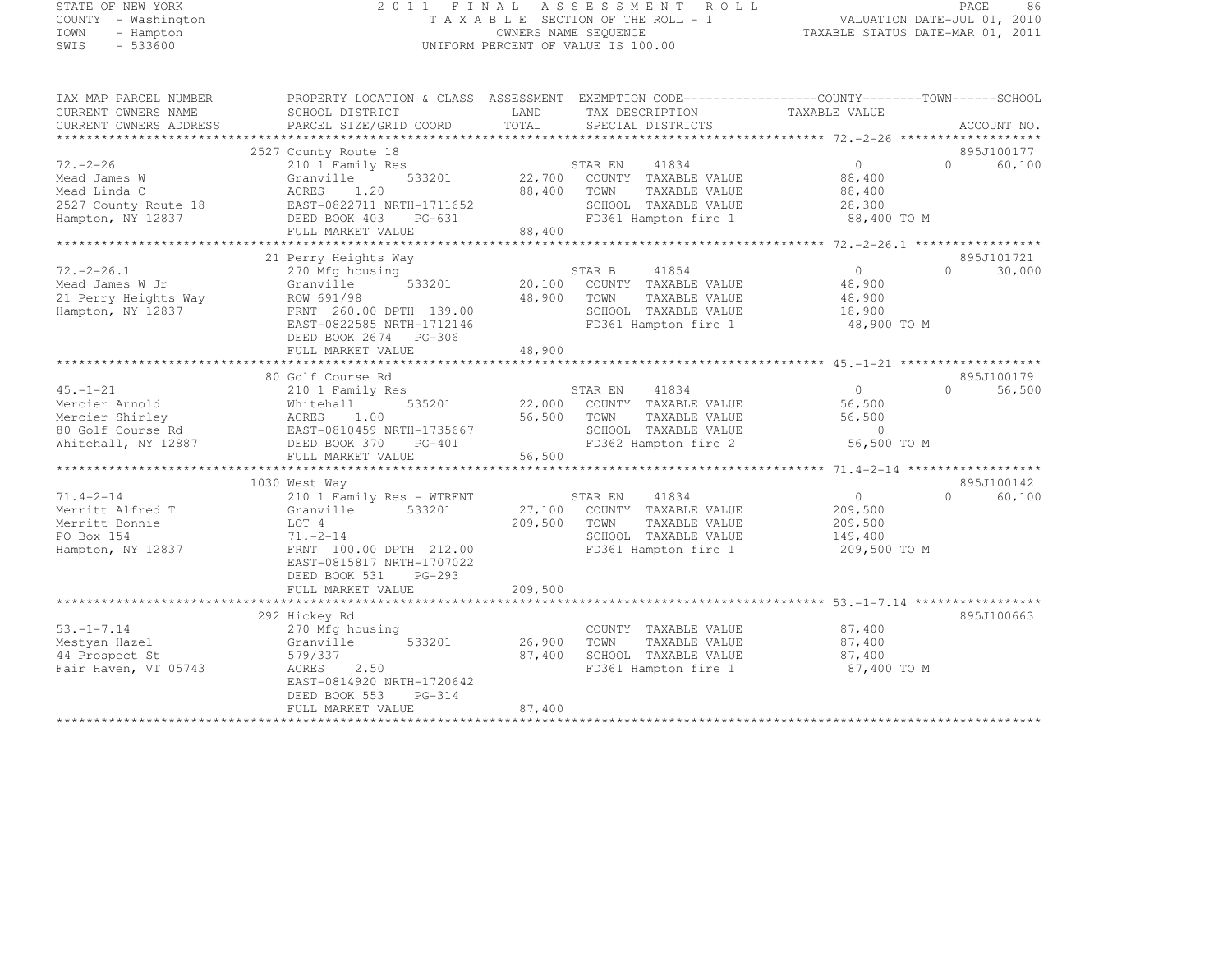#### STATE OF NEW YORK 2 0 1 1 F I N A L A S S E S S M E N T R O L L PAGE <sup>86</sup> COUNTY - Washington T A X A B L E SECTION OF THE ROLL - 1 VALUATION DATE-JUL 01, 2010 TOWN - Hampton OWNERS NAME SEQUENCE TAXABLE STATUS DATE-MAR 01, 2011 UNIFORM PERCENT OF VALUE IS 100.00

| TAX MAP PARCEL NUMBER<br>CURRENT OWNERS NAME<br>CURRENT OWNERS ADDRESS | SCHOOL DISTRICT<br>PARCEL SIZE/GRID COORD   | PROPERTY LOCATION & CLASS ASSESSMENT EXEMPTION CODE----------------COUNTY-------TOWN-----SCHOOL<br>LAND<br>TAX DESCRIPTION<br>TOTAL<br>SPECIAL DISTRICTS | TAXABLE VALUE<br>ACCOUNT NO.             |
|------------------------------------------------------------------------|---------------------------------------------|----------------------------------------------------------------------------------------------------------------------------------------------------------|------------------------------------------|
|                                                                        |                                             |                                                                                                                                                          |                                          |
|                                                                        | 2527 County Route 18                        |                                                                                                                                                          | 895J100177                               |
| $72. - 2 - 26$                                                         | 210 1 Family Res                            | 41834<br>STAR EN                                                                                                                                         | $0 \qquad \qquad$<br>$\bigcap$<br>60,100 |
| Mead James W                                                           | 533201<br>Granville                         | 22,700 COUNTY TAXABLE VALUE                                                                                                                              | 88,400                                   |
| Mead Linda C                                                           | ACRES<br>1,20                               | 88,400<br>TOWN<br>TAXABLE VALUE                                                                                                                          | 88,400                                   |
| 2527 County Route 18                                                   | EAST-0822711 NRTH-1711652                   | SCHOOL TAXABLE VALUE                                                                                                                                     | 28,300                                   |
| Hampton, NY 12837                                                      | DEED BOOK 403<br>PG-631                     | FD361 Hampton fire 1 88,400 TO M                                                                                                                         |                                          |
|                                                                        | FULL MARKET VALUE                           | $rac{1}{2}$ $rac{1}{2}$ $rac{400}{2}$<br>88,400                                                                                                          |                                          |
|                                                                        |                                             |                                                                                                                                                          |                                          |
|                                                                        | 21 Perry Heights Way                        |                                                                                                                                                          | 895J101721                               |
| $72. -2 - 26.1$                                                        | 270 Mfg housing                             | STAR B<br>41854                                                                                                                                          | 0<br>30,000<br>$\cap$                    |
| Mead James W Jr                                                        | 533201<br>Granville                         | 20,100<br>COUNTY TAXABLE VALUE                                                                                                                           | 48,900                                   |
| 21 Perry Heights Way                                                   | ROW 691/98                                  | 48,900<br>TOWN<br>TAXABLE VALUE                                                                                                                          | 48,900                                   |
| Hampton, NY 12837                                                      | FRNT 260.00 DPTH 139.00                     | SCHOOL TAXABLE VALUE                                                                                                                                     | 18,900                                   |
|                                                                        | EAST-0822585 NRTH-1712146                   | FD361 Hampton fire 1                                                                                                                                     | 48,900 TO M                              |
|                                                                        | DEED BOOK 2674 PG-306                       |                                                                                                                                                          |                                          |
|                                                                        | FULL MARKET VALUE                           | 48,900                                                                                                                                                   |                                          |
|                                                                        |                                             |                                                                                                                                                          |                                          |
|                                                                        | 80 Golf Course Rd                           |                                                                                                                                                          | 895J100179                               |
| $45 - 1 - 21$                                                          | 210 1 Family Res                            | 41834<br>STAR EN                                                                                                                                         | $\Omega$<br>56,500<br>$\Omega$           |
| Mercier Arnold                                                         | Whitehall                                   | 535201 22,000 COUNTY TAXABLE VALUE                                                                                                                       | 56,500                                   |
| Mercier Shirley                                                        | ACRES<br>1.00                               | 56,500<br>TOWN<br>TAXABLE VALUE                                                                                                                          | 56,500                                   |
|                                                                        | 80 Golf Course Rd EAST-0810459 NRTH-1735667 | SCHOOL TAXABLE VALUE                                                                                                                                     | $\overline{0}$                           |
| Whitehall, NY 12887                                                    | DEED BOOK 370 PG-401                        | FD362 Hampton fire 2                                                                                                                                     | 56,500 TO M                              |
|                                                                        | FULL MARKET VALUE                           | 56,500                                                                                                                                                   |                                          |
|                                                                        |                                             |                                                                                                                                                          |                                          |
|                                                                        | 1030 West Way                               |                                                                                                                                                          | 895J100142                               |
| $71.4 - 2 - 14$                                                        | 210 1 Family Res - WTRFNT                   |                                                                                                                                                          | $0 \qquad \qquad$<br>$\bigcap$<br>60,100 |
| Merritt Alfred T                                                       | Granville 533201                            | STAR EN 41834<br>27,100 COUNTY TAXABLE VALUE                                                                                                             | 209,500                                  |
| Merritt Bonnie                                                         | LOT 4                                       | 209,500<br>TOWN<br>TAXABLE VALUE                                                                                                                         | 209,500                                  |
| PO Box 154                                                             | $71. - 2 - 14$                              | SCHOOL TAXABLE VALUE                                                                                                                                     | 149,400                                  |
| Hampton, NY 12837                                                      | FRNT 100.00 DPTH 212.00                     | FD361 Hampton fire 1                                                                                                                                     | 209,500 TO M                             |
|                                                                        | EAST-0815817 NRTH-1707022                   |                                                                                                                                                          |                                          |
|                                                                        | DEED BOOK 531<br>PG-293                     |                                                                                                                                                          |                                          |
|                                                                        | FULL MARKET VALUE                           | 209,500                                                                                                                                                  |                                          |
|                                                                        |                                             |                                                                                                                                                          |                                          |
|                                                                        | 292 Hickey Rd                               |                                                                                                                                                          | 895J100663                               |
| $53. -1 - 7.14$                                                        | 270 Mfg housing                             | COUNTY TAXABLE VALUE                                                                                                                                     | 87,400                                   |
| Mestyan Hazel                                                          | 533201<br>Granville                         | 26,900<br>TOWN<br>TAXABLE VALUE                                                                                                                          | 87,400                                   |
| 44 Prospect St                                                         | 579/337                                     | SCHOOL TAXABLE VALUE<br>87,400                                                                                                                           | 87,400                                   |
| Fair Haven, VT 05743                                                   | ACRES<br>2.50                               | FD361 Hampton fire 1                                                                                                                                     | 87,400 TO M                              |
|                                                                        | EAST-0814920 NRTH-1720642                   |                                                                                                                                                          |                                          |
|                                                                        | DEED BOOK 553<br>PG-314                     |                                                                                                                                                          |                                          |
|                                                                        | FULL MARKET VALUE                           | 87,400                                                                                                                                                   |                                          |
|                                                                        |                                             |                                                                                                                                                          |                                          |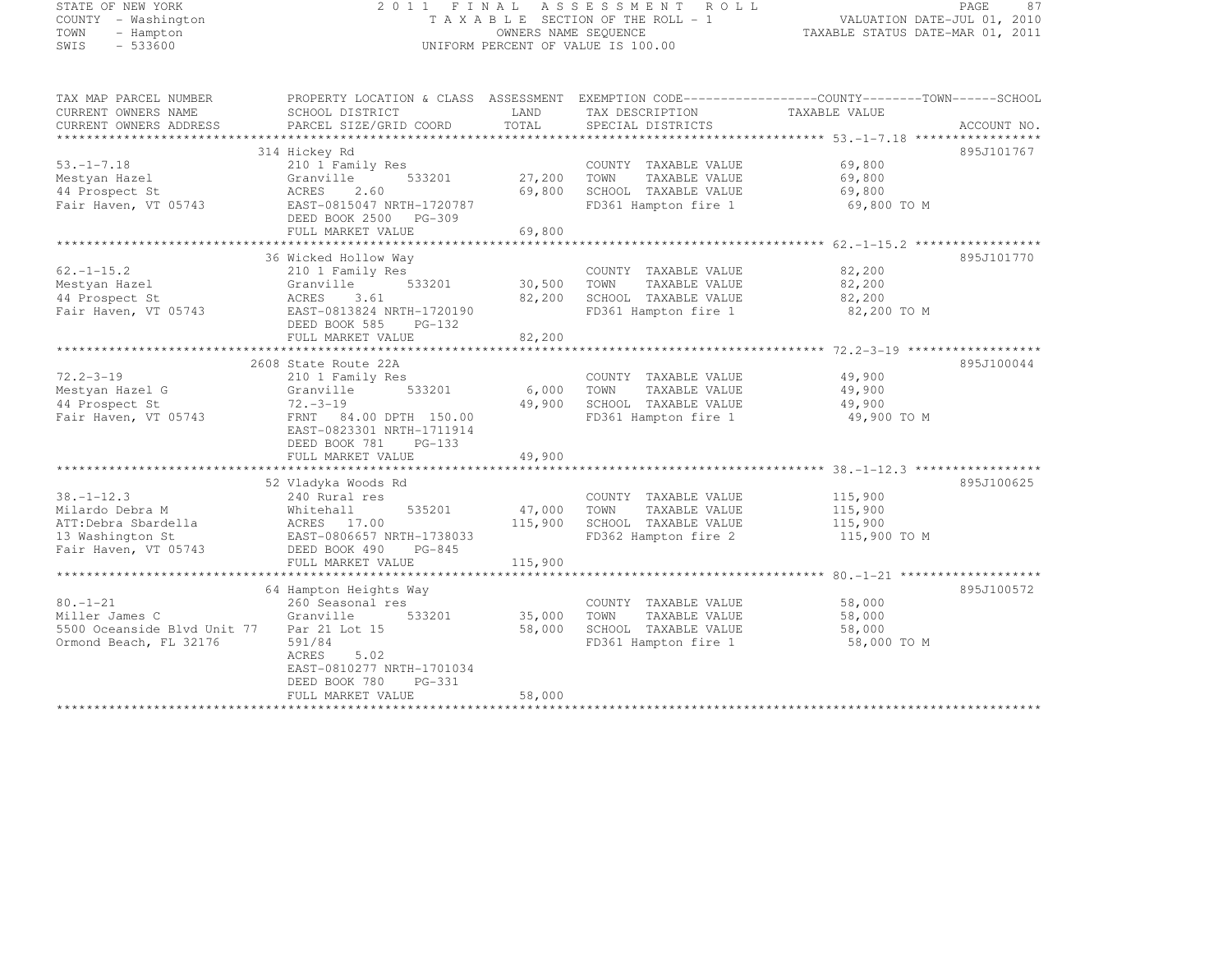## STATE OF NEW YORK 2 0 1 1 F I N A L A S S E S S M E N T R O L L PAGE <sup>87</sup> COUNTY - Washington T A X A B L E SECTION OF THE ROLL - 1 VALUATION DATE-JUL 01, 2010 TOWN - Hampton OWNERS NAME SEQUENCE TAXABLE STATUS DATE-MAR 01, 2011 SWIS - 533600 UNIFORM PERCENT OF VALUE IS 100.00

| TAX MAP PARCEL NUMBER<br>CURRENT OWNERS NAME<br>CURRENT OWNERS ADDRESS | PROPERTY LOCATION & CLASS ASSESSMENT<br>SCHOOL DISTRICT<br>PARCEL SIZE/GRID COORD | LAND<br>TOTAL | TAX DESCRIPTION<br>SPECIAL DISTRICTS | EXEMPTION CODE-----------------COUNTY-------TOWN------SCHOOL<br>TAXABLE VALUE | ACCOUNT NO. |
|------------------------------------------------------------------------|-----------------------------------------------------------------------------------|---------------|--------------------------------------|-------------------------------------------------------------------------------|-------------|
|                                                                        |                                                                                   |               |                                      |                                                                               |             |
|                                                                        | 314 Hickey Rd                                                                     |               |                                      |                                                                               | 895J101767  |
| $53. - 1 - 7.18$                                                       | 210 1 Family Res                                                                  |               | COUNTY TAXABLE VALUE                 | 69,800                                                                        |             |
| Mestyan Hazel                                                          | 533201<br>Granville                                                               | 27,200        | TAXABLE VALUE<br>TOWN                | 69,800                                                                        |             |
| 44 Prospect St                                                         | 2.60<br>ACRES                                                                     | 69,800        | SCHOOL TAXABLE VALUE                 | 69,800                                                                        |             |
| Fair Haven, VT 05743                                                   | EAST-0815047 NRTH-1720787                                                         |               | FD361 Hampton fire 1                 | 69,800 TO M                                                                   |             |
|                                                                        | DEED BOOK 2500 PG-309                                                             |               |                                      |                                                                               |             |
|                                                                        | FULL MARKET VALUE                                                                 | 69,800        |                                      |                                                                               |             |
|                                                                        |                                                                                   |               |                                      |                                                                               |             |
|                                                                        | 36 Wicked Hollow Way                                                              |               |                                      |                                                                               | 895J101770  |
| $62. -1 - 15.2$                                                        | 210 1 Family Res                                                                  |               | COUNTY TAXABLE VALUE                 | 82,200                                                                        |             |
| Mestyan Hazel                                                          | 533201<br>Granville                                                               | 30,500        | TOWN<br>TAXABLE VALUE                | 82,200                                                                        |             |
| 44 Prospect St                                                         | ACRES<br>3.61                                                                     | 82,200        | SCHOOL TAXABLE VALUE                 | 82,200                                                                        |             |
| Fair Haven, VT 05743                                                   | EAST-0813824 NRTH-1720190                                                         |               | FD361 Hampton fire 1                 | 82,200 TO M                                                                   |             |
|                                                                        | DEED BOOK 585<br>$PG-132$                                                         |               |                                      |                                                                               |             |
|                                                                        | FULL MARKET VALUE                                                                 | 82,200        |                                      |                                                                               |             |
|                                                                        |                                                                                   |               |                                      |                                                                               |             |
|                                                                        | 2608 State Route 22A                                                              |               |                                      |                                                                               | 895J100044  |
| $72.2 - 3 - 19$                                                        |                                                                                   |               |                                      |                                                                               |             |
|                                                                        | 210 1 Family Res                                                                  |               | COUNTY TAXABLE VALUE                 | 49,900                                                                        |             |
| Mestyan Hazel G                                                        | 533201<br>Granville                                                               | 6,000         | TOWN<br>TAXABLE VALUE                | 49,900                                                                        |             |
| 44 Prospect St                                                         | $72. - 3 - 19$                                                                    | 49,900        | SCHOOL TAXABLE VALUE                 | 49,900                                                                        |             |
| Fair Haven, VT 05743                                                   | FRNT 84.00 DPTH 150.00                                                            |               | FD361 Hampton fire 1                 | 49,900 TO M                                                                   |             |
|                                                                        | EAST-0823301 NRTH-1711914                                                         |               |                                      |                                                                               |             |
|                                                                        | DEED BOOK 781<br>$PG-133$                                                         |               |                                      |                                                                               |             |
|                                                                        | FULL MARKET VALUE                                                                 | 49,900        |                                      |                                                                               |             |
|                                                                        |                                                                                   |               |                                      |                                                                               |             |
|                                                                        | 52 Vladyka Woods Rd                                                               |               |                                      |                                                                               | 895J100625  |
| $38. - 1 - 12.3$                                                       | 240 Rural res                                                                     |               | COUNTY TAXABLE VALUE                 | 115,900                                                                       |             |
| Milardo Debra M                                                        | 535201<br>Whitehall                                                               | 47,000        | TOWN<br>TAXABLE VALUE                | 115,900                                                                       |             |
| ATT:Debra Sbardella                                                    | ACRES 17.00                                                                       | 115,900       | SCHOOL TAXABLE VALUE                 | 115,900                                                                       |             |
| 13 Washington St                                                       | EAST-0806657 NRTH-1738033                                                         |               | FD362 Hampton fire 2                 | 115,900 TO M                                                                  |             |
| Fair Haven, VT 05743                                                   | DEED BOOK 490<br>PG-845                                                           |               |                                      |                                                                               |             |
|                                                                        | FULL MARKET VALUE                                                                 | 115,900       |                                      |                                                                               |             |
|                                                                        |                                                                                   |               |                                      |                                                                               |             |
|                                                                        | 64 Hampton Heights Way                                                            |               |                                      |                                                                               | 895J100572  |
| $80. - 1 - 21$                                                         | 260 Seasonal res                                                                  |               | COUNTY TAXABLE VALUE                 | 58,000                                                                        |             |
| Miller James C                                                         | Granville<br>533201                                                               | 35,000        | TOWN<br>TAXABLE VALUE                | 58,000                                                                        |             |
| 5500 Oceanside Blvd Unit 77                                            | Par 21 Lot 15                                                                     | 58,000        | SCHOOL TAXABLE VALUE                 | 58,000                                                                        |             |
| Ormond Beach, FL 32176                                                 | 591/84                                                                            |               | FD361 Hampton fire 1                 | 58,000 TO M                                                                   |             |
|                                                                        | ACRES<br>5.02                                                                     |               |                                      |                                                                               |             |
|                                                                        | EAST-0810277 NRTH-1701034                                                         |               |                                      |                                                                               |             |
|                                                                        | $PG-331$<br>DEED BOOK 780                                                         |               |                                      |                                                                               |             |
|                                                                        | FULL MARKET VALUE                                                                 | 58,000        |                                      |                                                                               |             |
|                                                                        | ********************                                                              |               |                                      |                                                                               |             |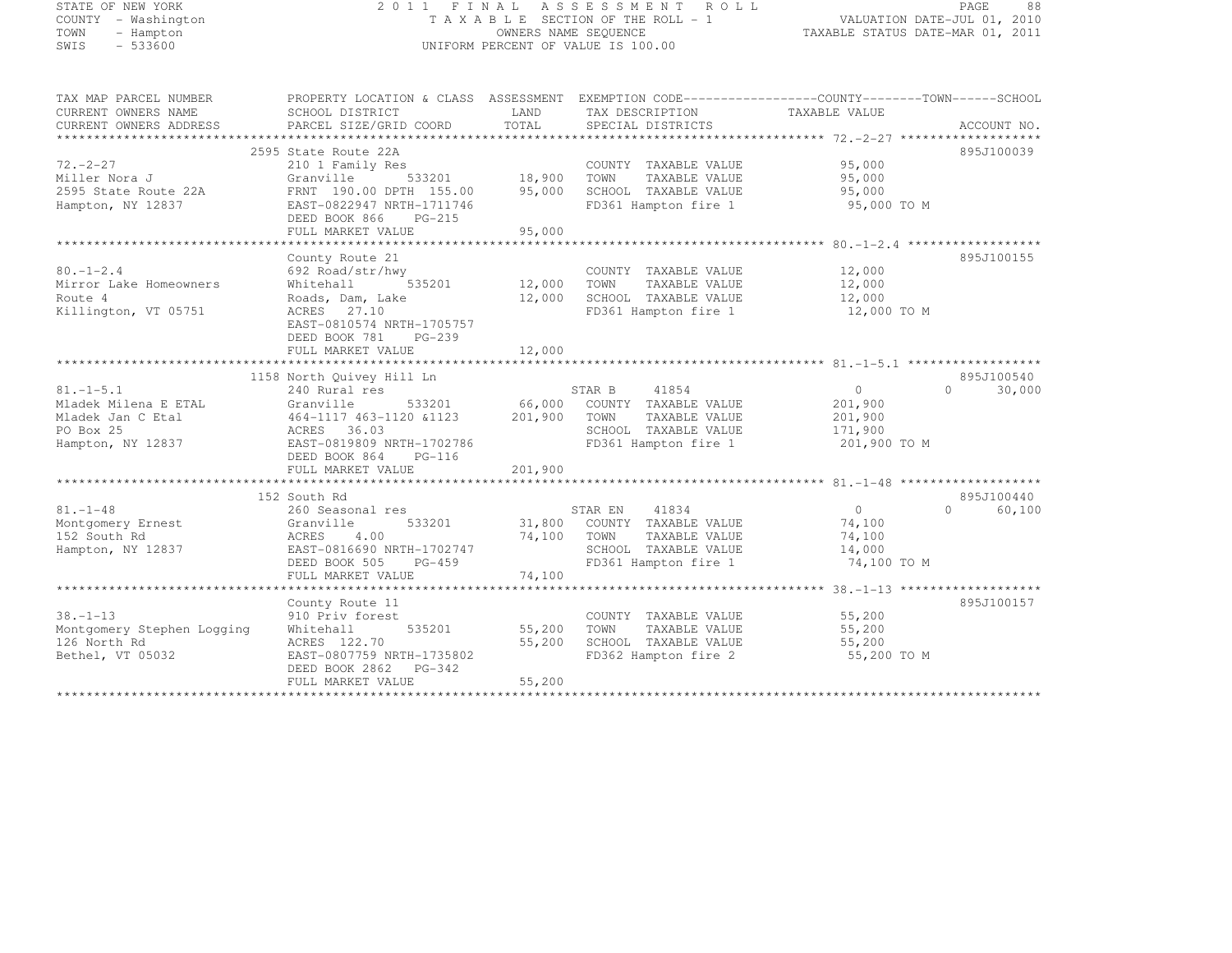#### STATE OF NEW YORK 2 0 1 1 F I N A L A S S E S S M E N T R O L L PAGE <sup>88</sup> COUNTY - Washington T A X A B L E SECTION OF THE ROLL - 1 VALUATION DATE-JUL 01, 2010 TOWN - Hampton OWNERS NAME SEQUENCE TAXABLE STATUS DATE-MAR 01, 2011 SWIS - 533600 UNIFORM PERCENT OF VALUE IS 100.00

| TAX MAP PARCEL NUMBER      | PROPERTY LOCATION & CLASS ASSESSMENT EXEMPTION CODE-----------------COUNTY-------TOWN------SCHOOL |             |                                           |                   |                    |
|----------------------------|---------------------------------------------------------------------------------------------------|-------------|-------------------------------------------|-------------------|--------------------|
| CURRENT OWNERS NAME        | SCHOOL DISTRICT                                                                                   | <b>LAND</b> | TAX DESCRIPTION                           | TAXABLE VALUE     |                    |
| CURRENT OWNERS ADDRESS     | PARCEL SIZE/GRID COORD TOTAL                                                                      |             | SPECIAL DISTRICTS                         |                   | ACCOUNT NO.        |
|                            |                                                                                                   |             |                                           |                   |                    |
|                            | 2595 State Route 22A                                                                              |             |                                           |                   | 895J100039         |
| $72. -2 - 27$              | 210 1 Family Res<br>Granville 533201 18,900                                                       |             | COUNTY TAXABLE VALUE                      | 95,000<br>95,000  |                    |
| Miller Nora J              |                                                                                                   |             | TOWN<br>TAXABLE VALUE                     |                   |                    |
| 2595 State Route 22A       | FRNT 190.00 DPTH 155.00 95,000                                                                    |             | SCHOOL TAXABLE VALUE 95,000               |                   |                    |
| Hampton, NY 12837          | EAST-0822947 NRTH-1711746                                                                         |             | FD361 Hampton fire 1                      | 95,000 TO M       |                    |
|                            | DEED BOOK 866 PG-215                                                                              |             |                                           |                   |                    |
|                            | FULL MARKET VALUE                                                                                 | 95,000      |                                           |                   |                    |
|                            |                                                                                                   |             |                                           |                   |                    |
|                            | County Route 21                                                                                   |             |                                           |                   | 895J100155         |
| $80. - 1 - 2.4$            | 692 Road/str/hwy                                                                                  |             | COUNTY TAXABLE VALUE                      | 12,000            |                    |
| Mirror Lake Homeowners     | r/hwy<br>535201 12,000 TOWN<br>Whitehall                                                          |             | TAXABLE VALUE                             | 12,000            |                    |
| Route 4                    | Roads, Dam, Lake                                                                                  |             | 12,000 SCHOOL TAXABLE VALUE 12,000        |                   |                    |
|                            |                                                                                                   |             |                                           |                   |                    |
| Killington, VT 05751       | ACRES 27.10                                                                                       |             | FD361 Hampton fire 1 12,000 TO M          |                   |                    |
|                            | EAST-0810574 NRTH-1705757                                                                         |             |                                           |                   |                    |
|                            | DEED BOOK 781<br>PG-239                                                                           |             |                                           |                   |                    |
|                            | FULL MARKET VALUE                                                                                 | 12,000      |                                           |                   |                    |
|                            |                                                                                                   |             |                                           |                   |                    |
|                            | 1158 North Quivey Hill Ln                                                                         |             |                                           |                   | 895J100540         |
| $81. - 1 - 5.1$            | 240 Rural res                                                                                     |             | STAR B 41854                              | $0 \qquad \qquad$ | 30,000<br>$\Omega$ |
| Mladek Milena E ETAL       | Granville                                                                                         |             | 533201 66,000 COUNTY TAXABLE VALUE        | 201,900           |                    |
| Mladek Jan C Etal          | 464-1117 463-1120 &1123 201,900 TOWN                                                              |             | TAXABLE VALUE                             | 201,900           |                    |
| PO Box 25                  | ACRES 36.03<br>EAST-0819809 NRTH-1702786                                                          |             | SCHOOL TAXABLE VALUE                      | 171,900           |                    |
| Hampton, NY 12837          |                                                                                                   |             | FD361 Hampton fire 1                      | 201,900 TO M      |                    |
|                            | DEED BOOK 864<br>$PG-116$                                                                         |             |                                           |                   |                    |
|                            | FULL MARKET VALUE                                                                                 | 201,900     |                                           |                   |                    |
|                            |                                                                                                   |             |                                           |                   |                    |
|                            | 152 South Rd                                                                                      |             |                                           |                   | 895J100440         |
| $81. - 1 - 48$             | 260 Seasonal res                                                                                  |             | STAR EN 41834                             | $\overline{0}$    | $\Omega$<br>60,100 |
| Montgomery Ernest          | Granville                                                                                         |             | 533201 31,800 COUNTY TAXABLE VALUE 74,100 |                   |                    |
| 152 South Rd               | ACRES<br>4.00                                                                                     | 74,100 TOWN | TAXABLE VALUE                             | 74,100            |                    |
| Hampton, NY 12837          | EAST-0816690 NRTH-1702747                                                                         |             | SCHOOL TAXABLE VALUE                      | 14,000            |                    |
|                            | DEED BOOK 505<br>PG-459                                                                           |             | FD361 Hampton fire 1 74,100 TO M          |                   |                    |
|                            | FULL MARKET VALUE                                                                                 | 74,100      |                                           |                   |                    |
|                            |                                                                                                   |             |                                           |                   |                    |
|                            | County Route 11                                                                                   |             |                                           |                   | 895J100157         |
| $38. - 1 - 13$             | 910 Priv forest                                                                                   |             | COUNTY TAXABLE VALUE                      | 55,200            |                    |
| Montgomery Stephen Logging | Whitehall<br>535201 55,200                                                                        |             | TOWN<br>TAXABLE VALUE                     | 55,200            |                    |
| 126 North Rd               | ACRES 122.70                                                                                      | 55,200      | SCHOOL TAXABLE VALUE                      | 55,200            |                    |
| Bethel, VT 05032           | EAST-0807759 NRTH-1735802                                                                         |             | FD362 Hampton fire 2                      | 55,200 TO M       |                    |
|                            | DEED BOOK 2862 PG-342                                                                             |             |                                           |                   |                    |
|                            | FULL MARKET VALUE                                                                                 | 55,200      |                                           |                   |                    |
|                            |                                                                                                   |             |                                           |                   |                    |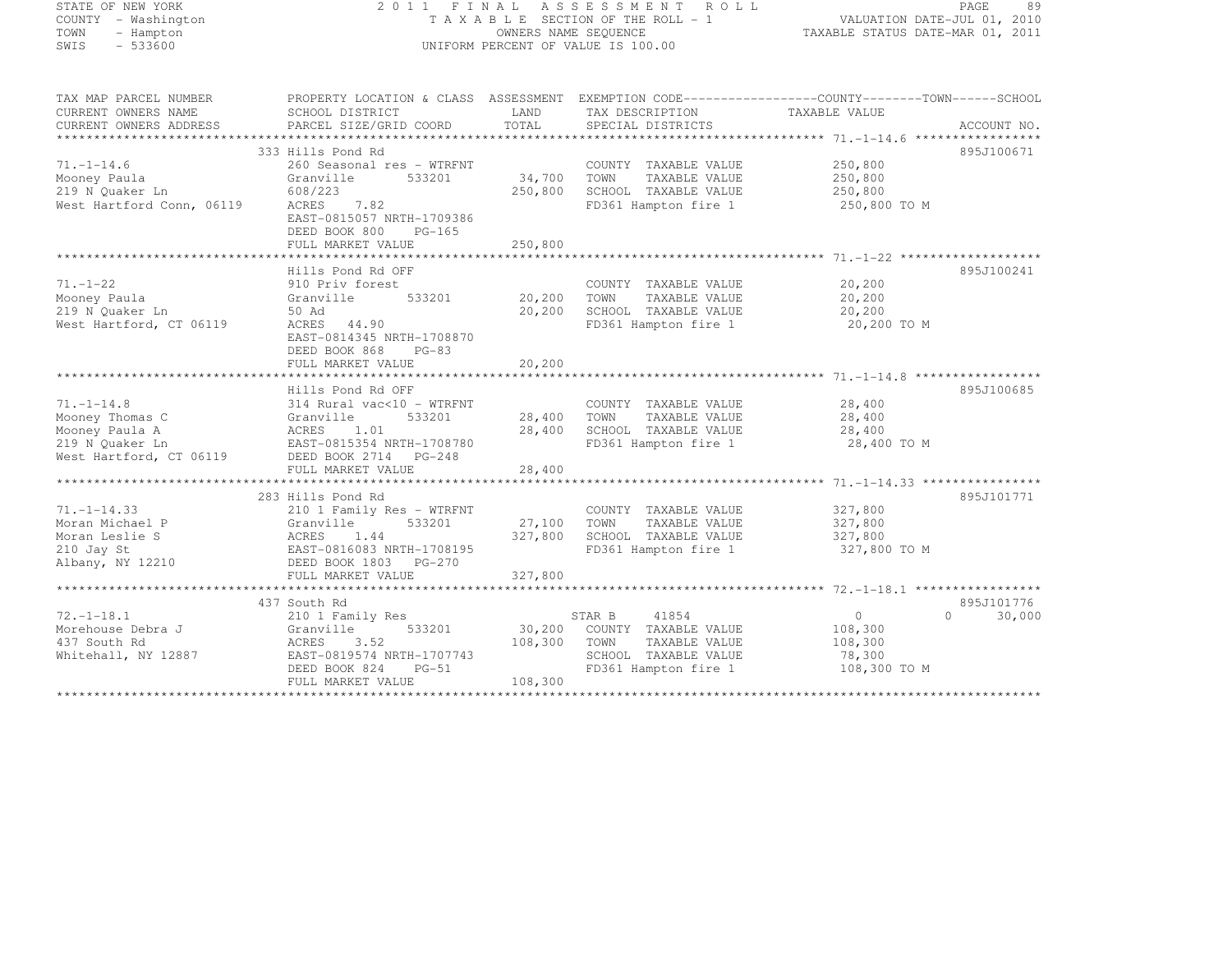| STATE OF NEW YORK |           |                     |  |
|-------------------|-----------|---------------------|--|
|                   |           | COUNTY - Washington |  |
| TOWN              |           | - Hampton           |  |
| SWIS              | $-533600$ |                     |  |

#### STATE OF NEW YORK 2 0 1 1 F I N A L A S S E S S M E N T R O L L PAGE <sup>89</sup> COUNTY - Washington T A X A B L E SECTION OF THE ROLL - 1 VALUATION DATE-JUL 01, 2010 TOWN - Hampton OWNERS NAME SEQUENCE TAXABLE STATUS DATE-MAR 01, 2011 SWIS - 533600 UNIFORM PERCENT OF VALUE IS 100.00

| TAX MAP PARCEL NUMBER<br>CURRENT OWNERS NAME<br>CURRENT OWNERS ADDRESS | PROPERTY LOCATION & CLASS ASSESSMENT EXEMPTION CODE----------------COUNTY-------TOWN-----SCHOOL<br>SCHOOL DISTRICT<br>PARCEL SIZE/GRID COORD | LAND<br>TOTAL      | TAX DESCRIPTION TAXABLE VALUE<br>SPECIAL DISTRICTS |                                   | ACCOUNT NO.        |
|------------------------------------------------------------------------|----------------------------------------------------------------------------------------------------------------------------------------------|--------------------|----------------------------------------------------|-----------------------------------|--------------------|
|                                                                        |                                                                                                                                              |                    |                                                    |                                   |                    |
| $71. - 1 - 14.6$<br>Mooney Paula                                       | 333 Hills Pond Rd<br>260 Seasonal res - WTRFNT<br>Granville<br>533201                                                                        | 34,700             | COUNTY TAXABLE VALUE<br>TOWN<br>TAXABLE VALUE      | 250,800<br>250,800<br>250,800     | 895J100671         |
| 219 N Ouaker Ln<br>West Hartford Conn, 06119                           | 608/223<br>7.82<br>ACRES<br>EAST-0815057 NRTH-1709386<br>DEED BOOK 800<br>PG-165<br>FULL MARKET VALUE                                        | 250,800<br>250,800 | SCHOOL TAXABLE VALUE                               | FD361 Hampton fire 1 250,800 TO M |                    |
|                                                                        |                                                                                                                                              |                    |                                                    |                                   |                    |
|                                                                        | Hills Pond Rd OFF                                                                                                                            |                    |                                                    |                                   | 895J100241         |
| $71. - 1 - 22$<br>Mooney Paula                                         | 910 Priv forest<br>533201<br>Granville                                                                                                       | 20,200             | COUNTY TAXABLE VALUE<br>TOWN<br>TAXABLE VALUE      | 20, 200<br>20,200                 |                    |
| 219 N Ouaker Ln                                                        | 50 Ad                                                                                                                                        | 20,200             | SCHOOL TAXABLE VALUE                               | 20,200                            |                    |
| West Hartford, CT 06119                                                | ACRES 44.90<br>EAST-0814345 NRTH-1708870<br>DEED BOOK 868<br>$PG-83$                                                                         |                    | FD361 Hampton fire 1                               | 20,200 TO M                       |                    |
|                                                                        | FULL MARKET VALUE                                                                                                                            | 20,200             |                                                    |                                   |                    |
|                                                                        |                                                                                                                                              |                    |                                                    |                                   |                    |
|                                                                        | Hills Pond Rd OFF                                                                                                                            |                    |                                                    |                                   | 895J100685         |
| $71. - 1 - 14.8$                                                       | 314 Rural vac<10 - WTRFNT                                                                                                                    |                    | COUNTY TAXABLE VALUE                               | 28,400                            |                    |
| Mooney Thomas C                                                        | 533201<br>Granville                                                                                                                          | 28,400             | TOWN<br>TAXABLE VALUE                              | 28,400                            |                    |
| Mooney Paula A                                                         | ACRES 1.01                                                                                                                                   | 28,400             | SCHOOL TAXABLE VALUE                               | 28,400                            |                    |
| 219 N Ouaker Ln<br>West Hartford, CT 06119 DEED BOOK 2714 PG-248       | EAST-0815354 NRTH-1708780                                                                                                                    |                    | FD361 Hampton fire 1                               | 28,400 TO M                       |                    |
|                                                                        | FULL MARKET VALUE                                                                                                                            | 28,400             |                                                    |                                   |                    |
|                                                                        |                                                                                                                                              |                    |                                                    |                                   |                    |
|                                                                        | 283 Hills Pond Rd                                                                                                                            |                    |                                                    |                                   | 895J101771         |
| $71. - 1 - 14.33$<br>Granville                                         | 210 1 Family Res - WTRFNT                                                                                                                    | 533201 27,100      | COUNTY TAXABLE VALUE                               | 327,800                           |                    |
| Moran Michael P                                                        |                                                                                                                                              |                    | TOWN<br>TAXABLE VALUE                              | 327,800                           |                    |
| ACRES<br>EAST-0<br>Moran Leslie S                                      | 1.44                                                                                                                                         | 327,800            | SCHOOL TAXABLE VALUE                               | 327,800                           |                    |
| 210 Jay St<br>Albany, NY 12210                                         | EAST-0816083 NRTH-1708195                                                                                                                    |                    | FD361 Hampton fire 1                               | 327,800 TO M                      |                    |
|                                                                        | DEED BOOK 1803 PG-270                                                                                                                        |                    |                                                    |                                   |                    |
|                                                                        |                                                                                                                                              |                    |                                                    |                                   |                    |
|                                                                        | 437 South Rd                                                                                                                                 |                    |                                                    |                                   | 895J101776         |
| $72. - 1 - 18.1$                                                       |                                                                                                                                              |                    | STAR B<br>41854                                    | 0                                 | $\Omega$<br>30,000 |
| Morehouse Debra J                                                      | 210 1 Family Res<br>533201                                                                                                                   |                    |                                                    |                                   |                    |
|                                                                        | Granville                                                                                                                                    |                    | 30,200 COUNTY TAXABLE VALUE                        | 108,300                           |                    |
| 437 South Rd                                                           | ACRES<br>3.52<br>EAST-0819574 NRTH-1707743                                                                                                   | 108,300            | TOWN<br>TAXABLE VALUE<br>SCHOOL TAXABLE VALUE      | 108,300                           |                    |
| Whitehall, NY 12887                                                    |                                                                                                                                              |                    |                                                    | 78,300                            |                    |
|                                                                        | DEED BOOK 824<br>$PG-51$                                                                                                                     |                    | FD361 Hampton fire 1                               | 108,300 TO M                      |                    |
|                                                                        | FULL MARKET VALUE                                                                                                                            | 108,300            |                                                    |                                   |                    |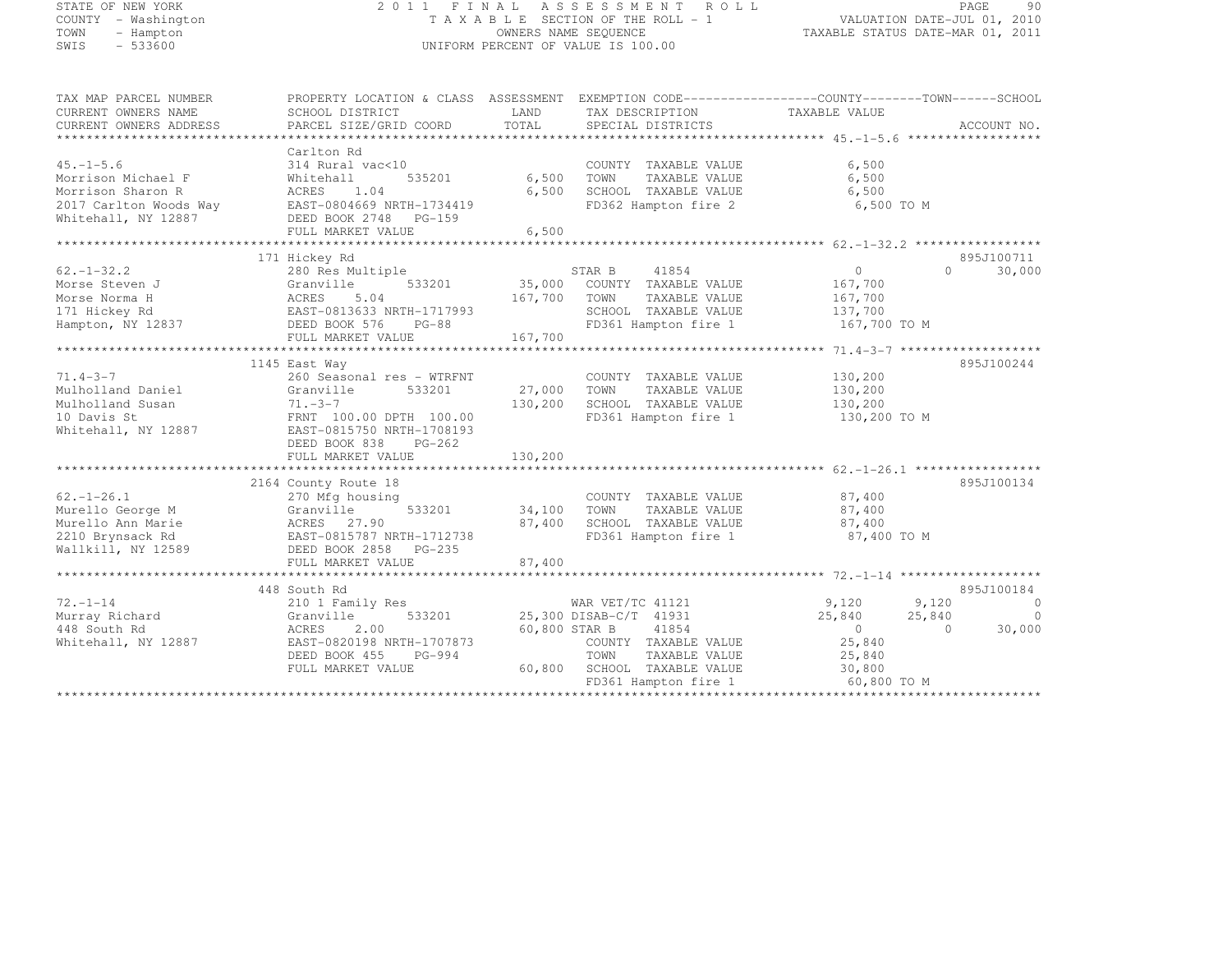| STATE OF NEW YORK                                             |                                                                                                 |               | 2011 FINAL ASSESSMENT ROLL                                                                    |                                              |          | PAGE<br>90                  |
|---------------------------------------------------------------|-------------------------------------------------------------------------------------------------|---------------|-----------------------------------------------------------------------------------------------|----------------------------------------------|----------|-----------------------------|
| COUNTY - Washington<br>TOWN<br>- Hampton<br>SWIS<br>$-533600$ |                                                                                                 |               | TAXABLE SECTION OF THE ROLL - 1<br>OWNERS NAME SEQUENCE<br>UNIFORM PERCENT OF VALUE IS 100.00 | TAXABLE STATUS DATE-MAR 01, 2011             |          | VALUATION DATE-JUL 01, 2010 |
|                                                               |                                                                                                 |               |                                                                                               |                                              |          |                             |
| TAX MAP PARCEL NUMBER                                         | PROPERTY LOCATION & CLASS ASSESSMENT EXEMPTION CODE----------------COUNTY-------TOWN-----SCHOOL |               |                                                                                               |                                              |          |                             |
| CURRENT OWNERS NAME                                           | SCHOOL DISTRICT                                                                                 | LAND          | TAX DESCRIPTION                                                                               | TAXABLE VALUE                                |          |                             |
| CURRENT OWNERS ADDRESS                                        | PARCEL SIZE/GRID COORD                                                                          | TOTAL         | SPECIAL DISTRICTS                                                                             |                                              |          | ACCOUNT NO.                 |
|                                                               | Carlton Rd                                                                                      |               |                                                                                               |                                              |          |                             |
| $45. - 1 - 5.6$                                               | 314 Rural vac<10                                                                                |               | COUNTY TAXABLE VALUE                                                                          | 6,500                                        |          |                             |
| Morrison Michael F                                            | 535201<br>Whitehall                                                                             | 6,500         | TOWN<br>TAXABLE VALUE                                                                         | 6,500                                        |          |                             |
| Morrison Sharon R                                             | ACRES<br>1.04                                                                                   | 6,500         | SCHOOL TAXABLE VALUE                                                                          | 6,500                                        |          |                             |
| 2017 Carlton Woods Way                                        | EAST-0804669 NRTH-1734419                                                                       |               | FD362 Hampton fire 2                                                                          | 6,500 TO M                                   |          |                             |
| Whitehall, NY 12887                                           | DEED BOOK 2748 PG-159                                                                           |               |                                                                                               |                                              |          |                             |
|                                                               | FULL MARKET VALUE                                                                               | 6,500         |                                                                                               |                                              |          |                             |
|                                                               |                                                                                                 |               |                                                                                               |                                              |          |                             |
|                                                               | 171 Hickey Rd                                                                                   |               |                                                                                               |                                              |          | 895J100711                  |
| $62 - 1 - 32.2$                                               | 280 Res Multiple                                                                                |               | STAR B<br>41854                                                                               | $\circ$                                      | $\circ$  | 30,000                      |
| Morse Steven J                                                | Granville<br>533201                                                                             | 35,000        | COUNTY TAXABLE VALUE                                                                          | 167,700                                      |          |                             |
| Morse Norma H                                                 | ACRES<br>5.04                                                                                   | 167,700       | TOWN<br>TAXABLE VALUE                                                                         | 167,700                                      |          |                             |
| 171 Hickey Rd<br>Hampton, NY 12837                            | EAST-0813633 NRTH-1717993<br>DEED BOOK 576<br>PG-88                                             |               | SCHOOL TAXABLE VALUE<br>FD361 Hampton fire 1                                                  | 137,700<br>167,700 TO M                      |          |                             |
|                                                               | FULL MARKET VALUE                                                                               | 167,700       |                                                                                               |                                              |          |                             |
|                                                               | *****************************                                                                   |               | **********************                                                                        | ************** 71.4-3-7 ******************** |          |                             |
|                                                               | 1145 East Way                                                                                   |               |                                                                                               |                                              |          | 895J100244                  |
| $71.4 - 3 - 7$                                                | 260 Seasonal res - WTRFNT                                                                       |               | COUNTY TAXABLE VALUE                                                                          | 130,200                                      |          |                             |
| Mulholland Daniel                                             | Granville<br>533201                                                                             | 27,000        | TOWN<br>TAXABLE VALUE                                                                         | 130,200                                      |          |                             |
| Mulholland Susan                                              | $71. - 3 - 7$                                                                                   | 130,200       | SCHOOL TAXABLE VALUE                                                                          | 130,200                                      |          |                             |
| 10 Davis St                                                   | FRNT 100.00 DPTH 100.00                                                                         |               | FD361 Hampton fire 1                                                                          | 130,200 TO M                                 |          |                             |
| Whitehall, NY 12887                                           | EAST-0815750 NRTH-1708193                                                                       |               |                                                                                               |                                              |          |                             |
|                                                               | DEED BOOK 838<br>PG-262                                                                         |               |                                                                                               |                                              |          |                             |
|                                                               | FULL MARKET VALUE                                                                               | 130,200       |                                                                                               |                                              |          |                             |
|                                                               |                                                                                                 |               |                                                                                               |                                              |          |                             |
|                                                               | 2164 County Route 18                                                                            |               |                                                                                               |                                              |          | 895J100134                  |
| $62, -1 - 26, 1$                                              | 270 Mfg housing                                                                                 |               | COUNTY TAXABLE VALUE                                                                          | 87,400                                       |          |                             |
| Murello George M                                              | 533201<br>Granville                                                                             | 34,100        | TOWN<br>TAXABLE VALUE                                                                         | 87,400                                       |          |                             |
| Murello Ann Marie                                             | ACRES 27.90                                                                                     | 87,400        | SCHOOL TAXABLE VALUE                                                                          | 87,400                                       |          |                             |
| 2210 Brynsack Rd                                              | EAST-0815787 NRTH-1712738                                                                       |               | FD361 Hampton fire 1                                                                          | 87,400 TO M                                  |          |                             |
| Wallkill, NY 12589                                            | DEED BOOK 2858 PG-235                                                                           |               |                                                                                               |                                              |          |                             |
|                                                               | FULL MARKET VALUE                                                                               | 87,400        |                                                                                               |                                              |          |                             |
|                                                               |                                                                                                 |               |                                                                                               |                                              |          | 895J100184                  |
| $72. - 1 - 14$                                                | 448 South Rd                                                                                    |               | WAR VET/TC 41121                                                                              | 9,120                                        | 9,120    | $\circ$                     |
| Murray Richard                                                | 210 1 Family Res<br>533201<br>Granville                                                         |               | 25,300 DISAB-C/T 41931                                                                        | 25,840                                       | 25,840   | $\overline{0}$              |
| 448 South Rd                                                  | ACRES<br>2.00                                                                                   | 60,800 STAR B | 41854                                                                                         | $\overline{0}$                               | $\Omega$ | 30,000                      |
| Whitehall, NY 12887                                           | EAST-0820198 NRTH-1707873                                                                       |               | COUNTY TAXABLE VALUE                                                                          | 25,840                                       |          |                             |
|                                                               | DEED BOOK 455<br>PG-994                                                                         |               | TOWN<br>TAXABLE VALUE                                                                         | 25,840                                       |          |                             |
|                                                               | FULL MARKET VALUE                                                                               | 60,800        | SCHOOL TAXABLE VALUE                                                                          | 30,800                                       |          |                             |
|                                                               |                                                                                                 |               |                                                                                               |                                              |          |                             |

FD361 Hampton fire 1 60,800 TO M \*\*\*\*\*\*\*\*\*\*\*\*\*\*\*\*\*\*\*\*\*\*\*\*\*\*\*\*\*\*\*\*\*\*\*\*\*\*\*\*\*\*\*\*\*\*\*\*\*\*\*\*\*\*\*\*\*\*\*\*\*\*\*\*\*\*\*\*\*\*\*\*\*\*\*\*\*\*\*\*\*\*\*\*\*\*\*\*\*\*\*\*\*\*\*\*\*\*\*\*\*\*\*\*\*\*\*\*\*\*\*\*\*\*\*\*\*\*\*\*\*\*\*\*\*\*\*\*\*\*\*\*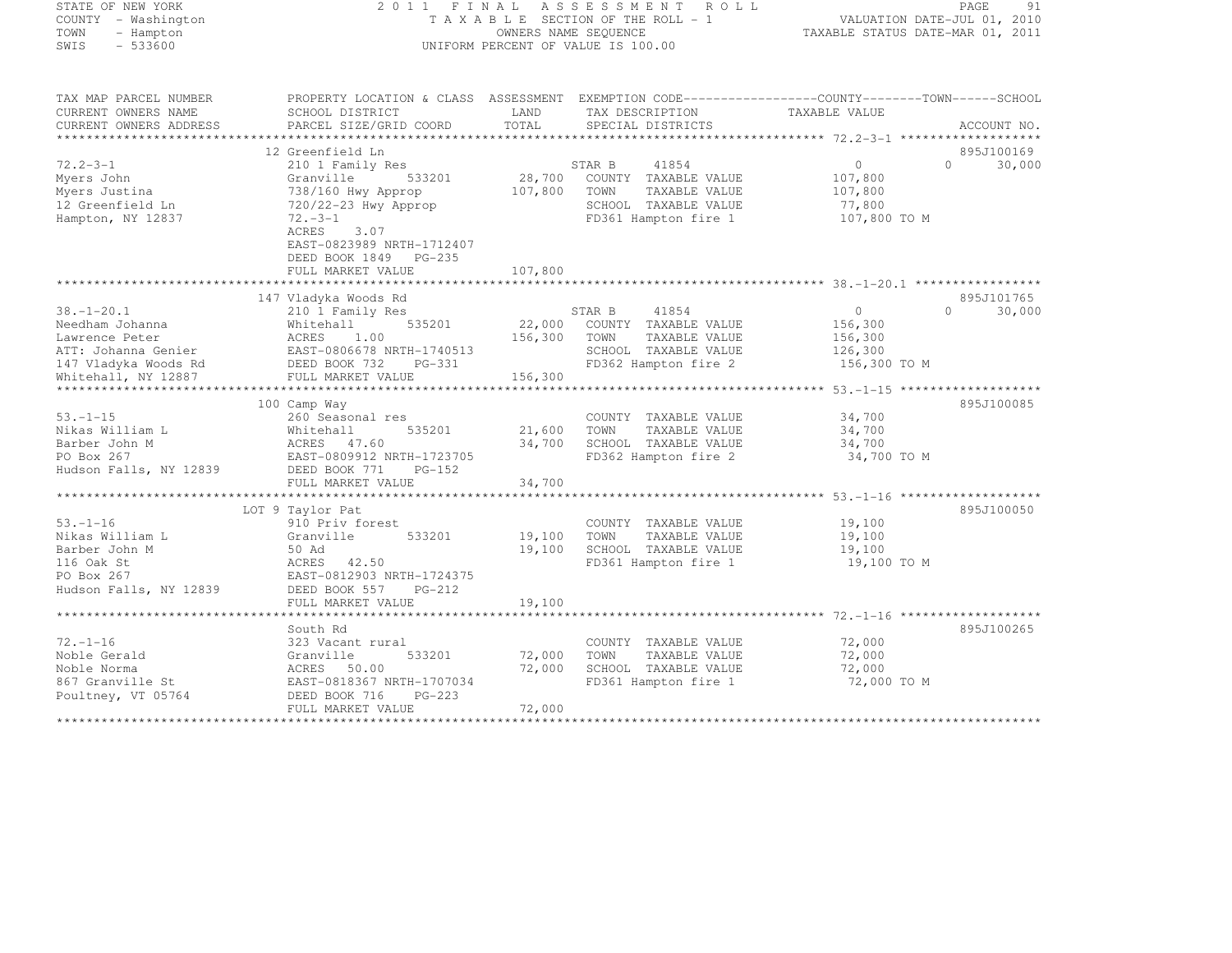# STATE OF NEW YORK 2 0 1 1 F I N A L A S S E S S M E N T R O L L PAGE <sup>91</sup> COUNTY - Washington T A X A B L E SECTION OF THE ROLL - 1 VALUATION DATE-JUL 01, 2010 TOWN - Hampton OWNERS NAME SEQUENCE TAXABLE STATUS DATE-MAR 01, 2011 SWIS - 533600 UNIFORM PERCENT OF VALUE IS 100.00

| TAX MAP PARCEL NUMBER<br>CURRENT OWNERS NAME<br>CURRENT OWNERS ADDRESS                                                                             | PROPERTY LOCATION & CLASS ASSESSMENT<br>SCHOOL DISTRICT<br>PARCEL SIZE/GRID COORD                                                                                                                                     | LAND<br>TOTAL                | TAX DESCRIPTION<br>SPECIAL DISTRICTS                                                                                    | TAXABLE VALUE                                             | ACCOUNT NO.                      |
|----------------------------------------------------------------------------------------------------------------------------------------------------|-----------------------------------------------------------------------------------------------------------------------------------------------------------------------------------------------------------------------|------------------------------|-------------------------------------------------------------------------------------------------------------------------|-----------------------------------------------------------|----------------------------------|
| $72.2 - 3 - 1$<br>Myers John<br>Myers Justina<br>12 Greenfield Ln<br>Hampton, NY 12837                                                             | 12 Greenfield Ln<br>210 1 Family Res<br>533201<br>Granville<br>738/160 Hwy Approp<br>720/22-23 Hwy Approp<br>$72 - 3 - 1$<br>ACRES<br>3.07<br>EAST-0823989 NRTH-1712407<br>DEED BOOK 1849 PG-235<br>FULL MARKET VALUE | 107,800<br>107,800           | STAR B<br>41854<br>28,700 COUNTY TAXABLE VALUE<br>TOWN<br>TAXABLE VALUE<br>SCHOOL TAXABLE VALUE<br>FD361 Hampton fire 1 | $\circ$<br>107,800<br>107,800<br>77,800<br>107,800 TO M   | 895J100169<br>$\Omega$<br>30,000 |
| $38. - 1 - 20.1$<br>Needham Johanna<br>Lawrence Peter<br>ATT: Johanna Genier<br>147 Vladyka Woods Rd<br>Whitehall, NY 12887<br>******************* | 147 Vladyka Woods Rd<br>210 1 Family Res<br>535201<br>Whitehall<br>1.00<br>ACRES<br>EAST-0806678 NRTH-1740513<br>DEED BOOK 732<br>PG-331<br>FULL MARKET VALUE                                                         | 22,000<br>156,300<br>156,300 | 41854<br>STAR B<br>COUNTY TAXABLE VALUE<br>TOWN<br>TAXABLE VALUE<br>SCHOOL TAXABLE VALUE<br>FD362 Hampton fire 2        | $\Omega$<br>156,300<br>156,300<br>126,300<br>156,300 TO M | 895J101765<br>30,000<br>$\Omega$ |
| $53. -1 - 15$<br>Nikas William L<br>Barber John M<br>PO Box 267<br>Hudson Falls, NY 12839                                                          | 100 Camp Way<br>260 Seasonal res<br>Whitehall<br>535201<br>ACRES 47.60<br>EAST-0809912 NRTH-1723705<br>DEED BOOK 771<br>$PG-152$<br>FULL MARKET VALUE                                                                 | 21,600<br>34,700<br>34,700   | COUNTY TAXABLE VALUE<br>TOWN<br>TAXABLE VALUE<br>SCHOOL TAXABLE VALUE<br>FD362 Hampton fire 2                           | 34,700<br>34,700<br>34,700<br>34,700 TO M                 | 895J100085                       |
| $53. - 1 - 16$<br>Nikas William L<br>Barber John M<br>116 Oak St<br>PO Box 267<br>Hudson Falls, NY 12839                                           | LOT 9 Taylor Pat<br>910 Priv forest<br>Granville<br>533201<br>50 Ad<br>ACRES 42.50<br>EAST-0812903 NRTH-1724375<br>DEED BOOK 557<br>$PG-212$<br>FULL MARKET VALUE                                                     | 19,100<br>19,100<br>19,100   | COUNTY TAXABLE VALUE<br>TOWN<br>TAXABLE VALUE<br>SCHOOL TAXABLE VALUE<br>FD361 Hampton fire 1                           | 19,100<br>19,100<br>19,100<br>19,100 TO M                 | 895J100050                       |
| $72. - 1 - 16$<br>Noble Gerald<br>Noble Norma<br>867 Granville St<br>Poultney, VT 05764                                                            | South Rd<br>323 Vacant rural<br>Granville<br>533201<br>ACRES 50.00<br>EAST-0818367 NRTH-1707034<br>PG-223<br>DEED BOOK 716<br>FULL MARKET VALUE                                                                       | 72,000<br>72,000<br>72,000   | COUNTY TAXABLE VALUE<br>TOWN<br>TAXABLE VALUE<br>SCHOOL TAXABLE VALUE<br>FD361 Hampton fire 1                           | 72,000<br>72,000<br>72,000<br>72,000 TO M                 | 895J100265                       |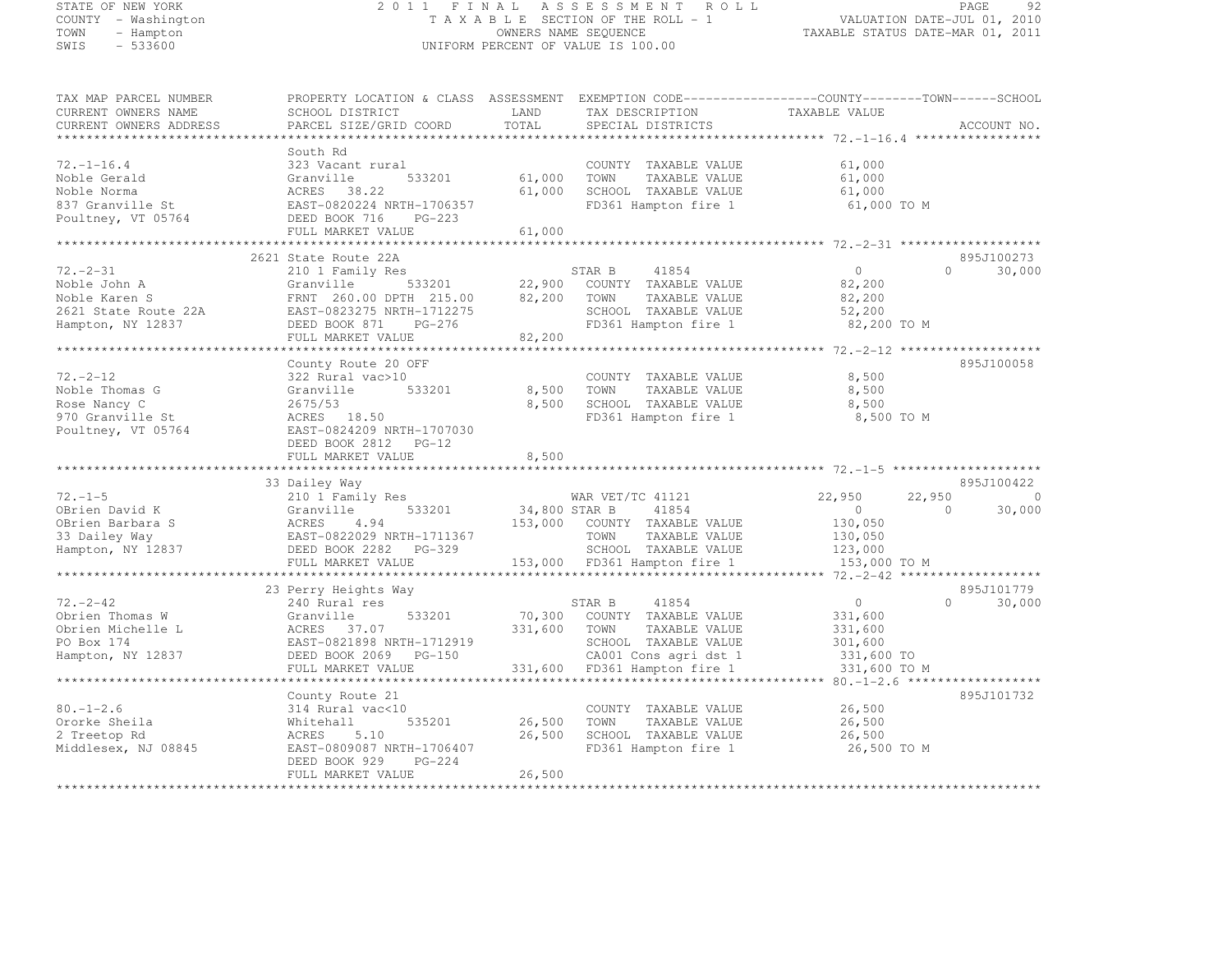STATE OF NEW YORK 2 0 1 1 F I N A L A S S E S S M E N T R O L L PAGE <sup>92</sup> COUNTY - Washington T A X A B L E SECTION OF THE ROLL - 1 VALUATION DATE-JUL 01, 2010 TOWN - Hampton OWNERS NAME SEQUENCE TAXABLE STATUS DATE-MAR 01, 2011 SWIS - 533600 UNIFORM PERCENT OF VALUE IS 100.00 TAX MAP PARCEL NUMBER PROPERTY LOCATION & CLASS ASSESSMENT EXEMPTION CODE------------------COUNTY--------TOWN------SCHOOL CURRENT OWNERS NAME SCHOOL DISTRICT LAND TAX DESCRIPTION TAXABLE VALUE CURRENT OWNERS ADDRESS PARCEL SIZE/GRID COORD TOTAL SPECIAL DISTRICTS ACCOUNT NO. \*\*\*\*\*\*\*\*\*\*\*\*\*\*\*\*\*\*\*\*\*\*\*\*\*\*\*\*\*\*\*\*\*\*\*\*\*\*\*\*\*\*\*\*\*\*\*\*\*\*\*\*\*\*\*\*\*\*\*\*\*\*\*\*\*\*\*\*\*\*\*\*\*\*\*\*\*\*\*\*\*\*\*\*\*\*\*\*\*\*\*\*\*\*\*\*\*\*\*\*\*\*\* 72.-1-16.4 \*\*\*\*\*\*\*\*\*\*\*\*\*\*\*\*\* South Rd 72.-1-16.4 323 Vacant rural COUNTY TAXABLE VALUE 61,000 Noble Gerald Granville 533201 61,000 TOWN TAXABLE VALUE 61,000<br>http://www.faxable.com/www.faxable.com/www.faxable.com/www.faxable.com/www.faxable.com/www.faxable.com/www.fax Noble Norma ACRES 38.22 61,000 SCHOOL TAXABLE VALUE 61,000 837 Granville St EAST-0820224 NRTH-1706357 FD361 Hampton fire 1 61,000 TO M Poultney, VT 05764 DEED BOOK 716 PG-223 FULL MARKET VALUE 61,000 \*\*\*\*\*\*\*\*\*\*\*\*\*\*\*\*\*\*\*\*\*\*\*\*\*\*\*\*\*\*\*\*\*\*\*\*\*\*\*\*\*\*\*\*\*\*\*\*\*\*\*\*\*\*\*\*\*\*\*\*\*\*\*\*\*\*\*\*\*\*\*\*\*\*\*\*\*\*\*\*\*\*\*\*\*\*\*\*\*\*\*\*\*\*\*\*\*\*\*\*\*\*\* 72.-2-31 \*\*\*\*\*\*\*\*\*\*\*\*\*\*\*\*\*\*\* 2621 State Route 22A 895J100273 72.-2-31 210 1 Family Res STAR B <sup>41854</sup> <sup>0</sup> 0 30,000 Noble John A Granville 533201 22,900 COUNTY TAXABLE VALUE 82,200 Noble Karen S FRNT 260.00 DPTH 215.00 82,200 TOWN TAXABLE VALUE 82,200 2621 State Route 22A EAST-0823275 NRTH-1712275 SCHOOL TAXABLE VALUE 52,200 Hampton, NY 12837 DEED BOOK 871 PG-276 FD361 Hampton fire 1 82,200 TO M FULL MARKET VALUE 82,200 \*\*\*\*\*\*\*\*\*\*\*\*\*\*\*\*\*\*\*\*\*\*\*\*\*\*\*\*\*\*\*\*\*\*\*\*\*\*\*\*\*\*\*\*\*\*\*\*\*\*\*\*\*\*\*\*\*\*\*\*\*\*\*\*\*\*\*\*\*\*\*\*\*\*\*\*\*\*\*\*\*\*\*\*\*\*\*\*\*\*\*\*\*\*\*\*\*\*\*\*\*\*\* 72.-2-12 \*\*\*\*\*\*\*\*\*\*\*\*\*\*\*\*\*\*\* County Route 20 OFF 895J100058 72.-2-12 322 Rural vac>10 COUNTY TAXABLE VALUE 8,500 Noble Thomas G Granville 533201 8,500 TOWN TAXABLE VALUE 8,500 Rose Nancy C 2675/53 2675/53 8,500 SCHOOL TAXABLE VALUE 8,500 8,500 970 Granville St Acres 18.50 FD361 Hampton fire 1 8,500 TO M<br>PD361 Hampton fire 1 8,500 TO M Poultney, VT 05764 EAST-0824209 NRTH-1707030 DEED BOOK 2812 PG-12 FULL MARKET VALUE 8,500 \*\*\*\*\*\*\*\*\*\*\*\*\*\*\*\*\*\*\*\*\*\*\*\*\*\*\*\*\*\*\*\*\*\*\*\*\*\*\*\*\*\*\*\*\*\*\*\*\*\*\*\*\*\*\*\*\*\*\*\*\*\*\*\*\*\*\*\*\*\*\*\*\*\*\*\*\*\*\*\*\*\*\*\*\*\*\*\*\*\*\*\*\*\*\*\*\*\*\*\*\*\*\* 72.-1-5 \*\*\*\*\*\*\*\*\*\*\*\*\*\*\*\*\*\*\*\* 33 Dailey Way 895J100422 72.-1-5 210 1 Family Res WAR VET/TC 41121 22,950 22,950 <sup>0</sup> OBrien David K Granville 533201 34,800 STAR B 41854 0 0 30,000<br>Derien David K (1990) OBrien Barbara S ACRES 4.94 153,000 COUNTY TAXABLE VALUE 130,050 33 Dailey Way EAST-0822029 NRTH-1711367 TOWN TAXABLE VALUE 130,050 Hampton, NY 12837 DEED BOOK 2282 PG-329 SCHOOL TAXABLE VALUE 123,000 FULL MARKET VALUE 153,000 FD361 Hampton fire 1 153,000 TO M \*\*\*\*\*\*\*\*\*\*\*\*\*\*\*\*\*\*\*\*\*\*\*\*\*\*\*\*\*\*\*\*\*\*\*\*\*\*\*\*\*\*\*\*\*\*\*\*\*\*\*\*\*\*\*\*\*\*\*\*\*\*\*\*\*\*\*\*\*\*\*\*\*\*\*\*\*\*\*\*\*\*\*\*\*\*\*\*\*\*\*\*\*\*\*\*\*\*\*\*\*\*\* 72.-2-42 \*\*\*\*\*\*\*\*\*\*\*\*\*\*\*\*\*\*\* 23 Perry Heights Way 895J101779 72.-2-42 240 Rural res STAR B <sup>41854</sup> <sup>0</sup> 0 30,000 Obrien Thomas W Granville 533201 70,300 COUNTY TAXABLE VALUE 331,600 Obrien Michelle L ACRES 37.07 331,600 TOWN TAXABLE VALUE 331,600 PO Box 174 FORD 301,600 EAST-0821898 NRTH-1712919 SCHOOL TAXABLE VALUE 301,600 Hampton, NY 12837 DEED BOOK 2069 PG-150 CA001 Cons agri dst 1 331,600 TO FULL MARKET VALUE 331,600 FD361 Hampton fire 1 331,600 TO M \*\*\*\*\*\*\*\*\*\*\*\*\*\*\*\*\*\*\*\*\*\*\*\*\*\*\*\*\*\*\*\*\*\*\*\*\*\*\*\*\*\*\*\*\*\*\*\*\*\*\*\*\*\*\*\*\*\*\*\*\*\*\*\*\*\*\*\*\*\*\*\*\*\*\*\*\*\*\*\*\*\*\*\*\*\*\*\*\*\*\*\*\*\*\*\*\*\*\*\*\*\*\* 80.-1-2.6 \*\*\*\*\*\*\*\*\*\*\*\*\*\*\*\*\*\* County Route 21 895J10173280.-1-2.6 314 Rural vac<10 COUNTY TAXABLE VALUE 26,500

Ororke Sheila Whitehall 535201 26,500 TOWN TAXABLE VALUE 26,500 2 Treetop Rd ACRES 5.10 26,500 SCHOOL TAXABLE VALUE 26,500 Middlesex, NJ 08845 EAST-0809087 NRTH-1706407 FD361 Hampton fire 1 26,500 TO M

FULL MARKET VALUE 26,500 \*\*\*\*\*\*\*\*\*\*\*\*\*\*\*\*\*\*\*\*\*\*\*\*\*\*\*\*\*\*\*\*\*\*\*\*\*\*\*\*\*\*\*\*\*\*\*\*\*\*\*\*\*\*\*\*\*\*\*\*\*\*\*\*\*\*\*\*\*\*\*\*\*\*\*\*\*\*\*\*\*\*\*\*\*\*\*\*\*\*\*\*\*\*\*\*\*\*\*\*\*\*\*\*\*\*\*\*\*\*\*\*\*\*\*\*\*\*\*\*\*\*\*\*\*\*\*\*\*\*\*\*

DEED BOOK 929 PG-224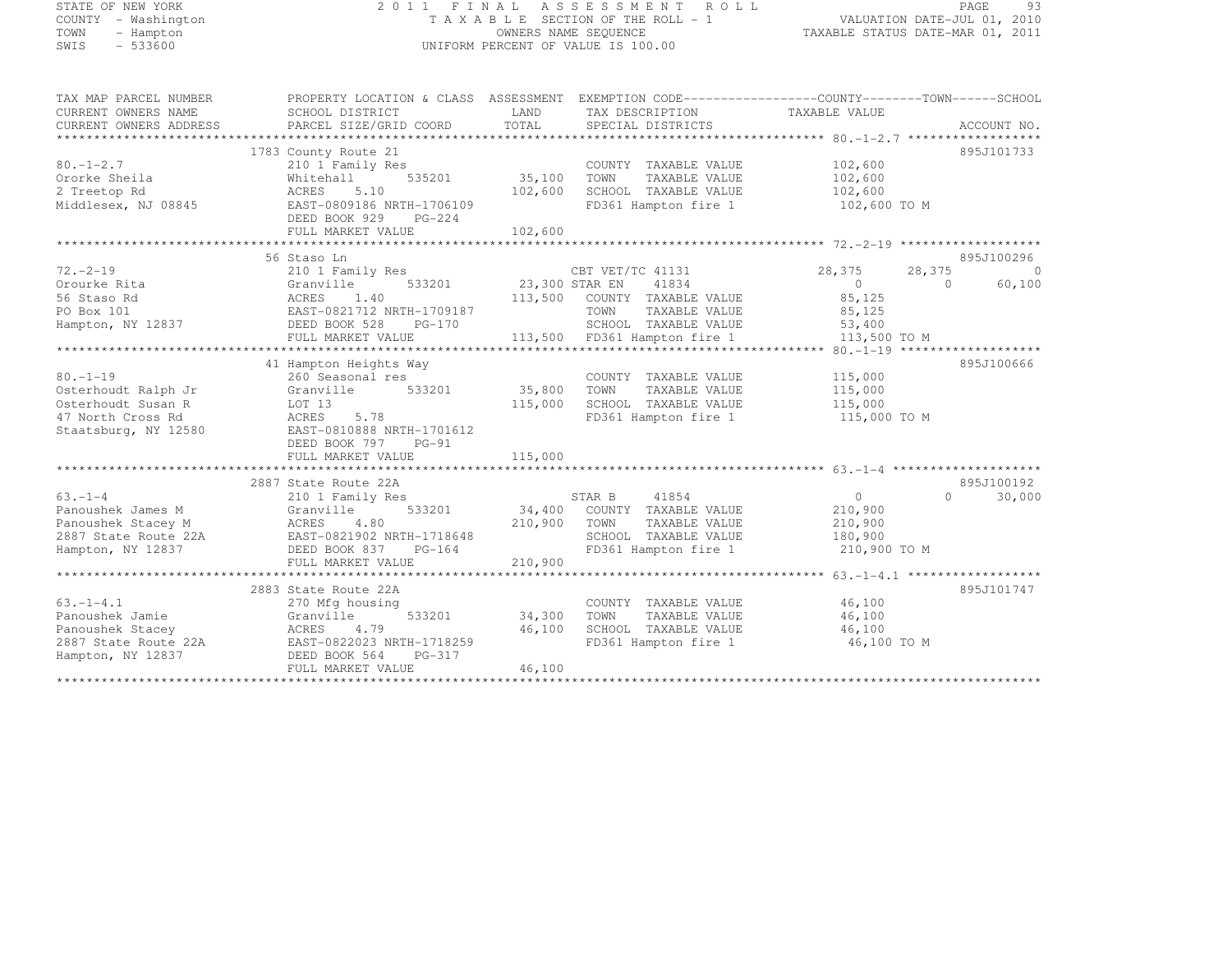# STATE OF NEW YORK 2 0 1 1 F I N A L A S S E S S M E N T R O L L PAGE <sup>93</sup> COUNTY - Washington T A X A B L E SECTION OF THE ROLL - 1 VALUATION DATE-JUL 01, 2010 TOWN - Hampton OWNERS NAME SEQUENCE TAXABLE STATUS DATE-MAR 01, 2011 SWIS - 533600 UNIFORM PERCENT OF VALUE IS 100.00

| TAX MAP PARCEL NUMBER<br>CURRENT OWNERS NAME<br>CURRENT OWNERS ADDRESS | PROPERTY LOCATION & CLASS ASSESSMENT<br>SCHOOL DISTRICT<br>PARCEL SIZE/GRID COORD                                 | LAND<br>TOTAL | EXEMPTION CODE-----------------COUNTY-------TOWN------SCHOOL<br>TAX DESCRIPTION TAXABLE VALUE<br>SPECIAL DISTRICTS |                      | ACCOUNT NO.         |
|------------------------------------------------------------------------|-------------------------------------------------------------------------------------------------------------------|---------------|--------------------------------------------------------------------------------------------------------------------|----------------------|---------------------|
|                                                                        |                                                                                                                   |               |                                                                                                                    |                      |                     |
|                                                                        | 1783 County Route 21                                                                                              |               |                                                                                                                    |                      | 895J101733          |
| $80. - 1 - 2.7$                                                        | 210 1 Family Res                                                                                                  |               | COUNTY TAXABLE VALUE                                                                                               | 102,600              |                     |
| Ororke Sheila                                                          | 535201<br>Whitehall                                                                                               | 35,100        | TOWN<br>TAXABLE VALUE                                                                                              | 102,600              |                     |
| 2 Treetop Rd                                                           | ACRES<br>5.10                                                                                                     | 102,600       | SCHOOL TAXABLE VALUE                                                                                               | 102,600              |                     |
| Middlesex, NJ 08845                                                    | EAST-0809186 NRTH-1706109                                                                                         |               | FD361 Hampton fire 1                                                                                               | 102,600 TO M         |                     |
|                                                                        | DEED BOOK 929<br>$PG-224$                                                                                         |               |                                                                                                                    |                      |                     |
|                                                                        | FULL MARKET VALUE                                                                                                 | 102,600       |                                                                                                                    |                      |                     |
|                                                                        |                                                                                                                   |               |                                                                                                                    |                      |                     |
|                                                                        |                                                                                                                   |               |                                                                                                                    |                      |                     |
|                                                                        | 56 Staso Ln                                                                                                       |               |                                                                                                                    |                      | 895J100296          |
| $72. - 2 - 19$                                                         | 210 1 Family Res                                                                                                  |               | CBT VET/TC 41131                                                                                                   | 28,375<br>28,375     | $\bigcirc$          |
| Orourke Rita                                                           | 533201 23,300 STAR EN<br>Granville                                                                                |               | 41834                                                                                                              | $\Omega$<br>$\Omega$ | 60,100              |
| 56 Staso Rd                                                            | ACRES<br>1.40                                                                                                     |               | 113,500 COUNTY TAXABLE VALUE                                                                                       | 85,125               |                     |
| PO Box 101                                                             | EAST-0821712 NRTH-1709187<br>$\begin{array}{cc}\n\text{EAST}-\text{U821712} \\ \text{DEED BOK } 528\n\end{array}$ |               | TOWN<br>TAXABLE VALUE                                                                                              | 85,125               |                     |
| Hampton, NY 12837                                                      | PG-170                                                                                                            |               | SCHOOL TAXABLE VALUE                                                                                               | 53,400               |                     |
|                                                                        | FULL MARKET VALUE                                                                                                 |               | 113,500 FD361 Hampton fire 1                                                                                       | 113,500 TO M         |                     |
|                                                                        |                                                                                                                   |               |                                                                                                                    |                      |                     |
|                                                                        | 41 Hampton Heights Way                                                                                            |               |                                                                                                                    |                      | 895J100666          |
|                                                                        |                                                                                                                   |               |                                                                                                                    |                      |                     |
| $80. - 1 - 19$                                                         | 260 Seasonal res                                                                                                  |               | COUNTY TAXABLE VALUE                                                                                               | 115,000              |                     |
| Osterhoudt Ralph Jr                                                    | Granville<br>533201                                                                                               | 35,800        | TAXABLE VALUE<br>TOWN                                                                                              | 115,000              |                     |
| Osterhoudt Susan R                                                     | LOT 13                                                                                                            | 115,000       | SCHOOL TAXABLE VALUE                                                                                               | 115,000              |                     |
| 47 North Cross Rd                                                      | 5.78<br>ACRES                                                                                                     |               | FD361 Hampton fire 1                                                                                               | 115,000 TO M         |                     |
| Staatsburg, NY 12580                                                   | EAST-0810888 NRTH-1701612                                                                                         |               |                                                                                                                    |                      |                     |
|                                                                        | DEED BOOK 797<br>$PG-91$                                                                                          |               |                                                                                                                    |                      |                     |
|                                                                        | FULL MARKET VALUE                                                                                                 | 115,000       |                                                                                                                    |                      |                     |
|                                                                        |                                                                                                                   |               |                                                                                                                    |                      |                     |
|                                                                        | 2887 State Route 22A                                                                                              |               |                                                                                                                    |                      | 895J100192          |
| $63 - 1 - 4$                                                           | 210 1 Family Res                                                                                                  |               | STAR B<br>41854                                                                                                    | $\circ$              | $\bigcap$<br>30,000 |
| Panoushek James M                                                      | 533201<br>Granville                                                                                               | 34,400        | COUNTY TAXABLE VALUE                                                                                               | 210,900              |                     |
| Panoushek Stacey M                                                     | ACRES<br>4.80                                                                                                     | 210,900       | TAXABLE VALUE<br>TOWN                                                                                              | 210,900              |                     |
|                                                                        | EAST-0821902 NRTH-1718648                                                                                         |               |                                                                                                                    |                      |                     |
| 2887 State Route 22A                                                   |                                                                                                                   |               | SCHOOL TAXABLE VALUE                                                                                               | 180,900              |                     |
| Hampton, NY 12837                                                      | DEED BOOK 837<br>PG-164                                                                                           |               | FD361 Hampton fire 1                                                                                               | 210,900 TO M         |                     |
|                                                                        | FULL MARKET VALUE                                                                                                 | 210,900       |                                                                                                                    |                      |                     |
|                                                                        |                                                                                                                   |               |                                                                                                                    |                      |                     |
|                                                                        | 2883 State Route 22A                                                                                              |               |                                                                                                                    |                      | 895J101747          |
| $63. -1 - 4.1$                                                         | 270 Mfg housing                                                                                                   |               | COUNTY TAXABLE VALUE                                                                                               | 46,100               |                     |
| Panoushek Jamie                                                        | 533201<br>Granville                                                                                               | 34,300        | TOWN<br>TAXABLE VALUE                                                                                              | 46,100               |                     |
| Panoushek Stacey                                                       | ACRES<br>4.79                                                                                                     | 46,100        | SCHOOL TAXABLE VALUE                                                                                               | 46,100               |                     |
| 2887 State Route 22A                                                   | EAST-0822023 NRTH-1718259                                                                                         |               | FD361 Hampton fire 1                                                                                               | 46,100 TO M          |                     |
| Hampton, NY 12837                                                      | DEED BOOK 564<br>PG-317                                                                                           |               |                                                                                                                    |                      |                     |
|                                                                        |                                                                                                                   | 46,100        |                                                                                                                    |                      |                     |
|                                                                        | FULL MARKET VALUE                                                                                                 |               |                                                                                                                    |                      |                     |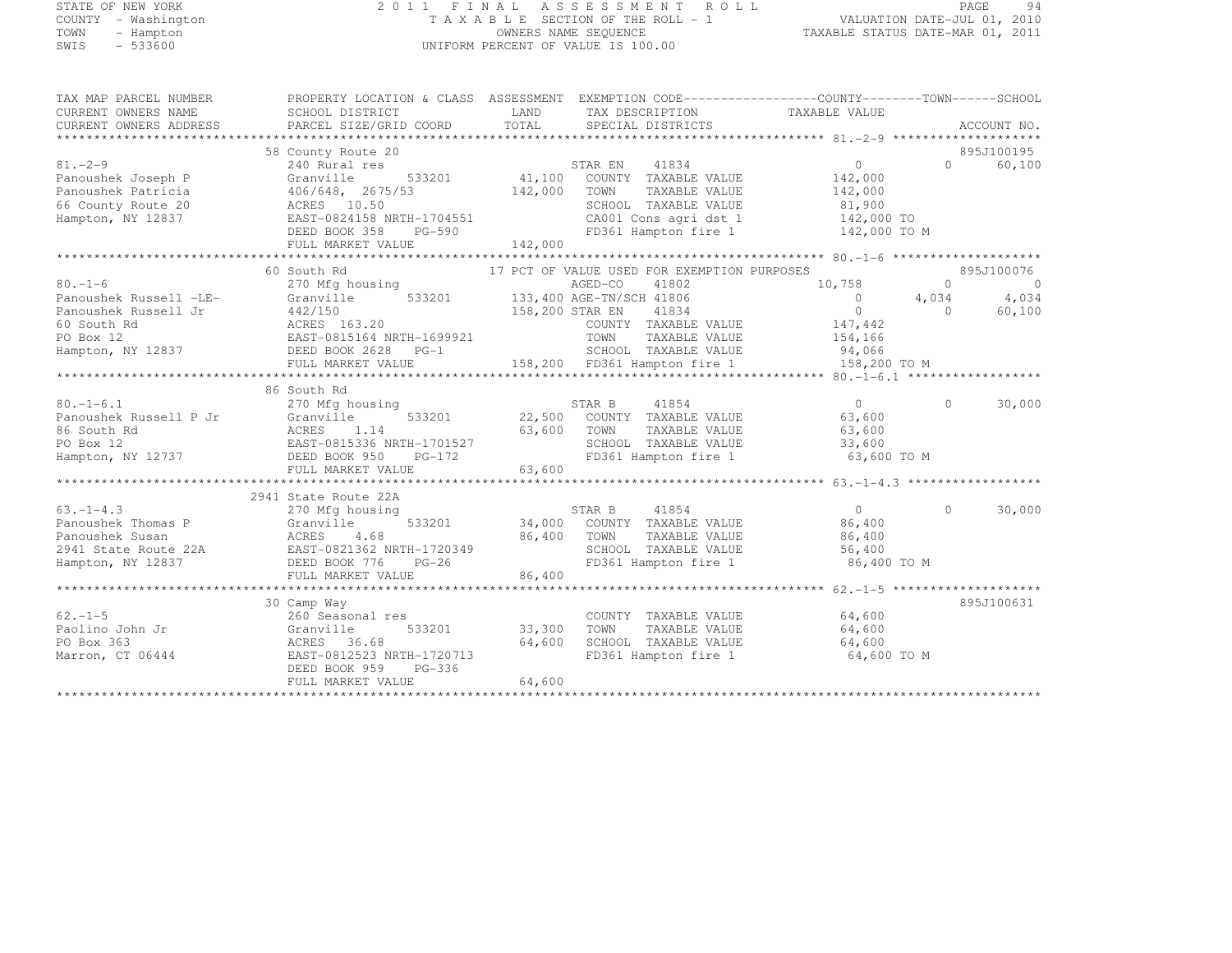## STATE OF NEW YORK 2 0 1 1 F I N A L A S S E S S M E N T R O L L PAGE <sup>94</sup> COUNTY - Washington T A X A B L E SECTION OF THE ROLL - 1 VALUATION DATE-JUL 01, 2010 TOWN - Hampton OWNERS NAME SEQUENCE TAXABLE STATUS DATE-MAR 01, 2011 SWIS - 533600 UNIFORM PERCENT OF VALUE IS 100.00

| TAX MAP PARCEL NUMBER<br>CURRENT OWNERS NAME<br>CURRENT OWNERS ADDRESS                               | PROPERTY LOCATION & CLASS ASSESSMENT EXEMPTION CODE----------------COUNTY-------TOWN-----SCHOOL<br>SCHOOL DISTRICT<br>PARCEL SIZE/GRID COORD | LAND<br>TOTAL | TAX DESCRIPTION TAXABLE VALUE<br>SPECIAL DISTRICTS                                                                                                                                    |                                                          |                   | ACCOUNT NO.          |
|------------------------------------------------------------------------------------------------------|----------------------------------------------------------------------------------------------------------------------------------------------|---------------|---------------------------------------------------------------------------------------------------------------------------------------------------------------------------------------|----------------------------------------------------------|-------------------|----------------------|
| $81. - 2 - 9$<br>Panoushek Joseph P<br>Panoushek Patricia<br>66 County Route 20<br>Hampton, NY 12837 | 58 County Route 20<br>240 Rural res<br>Granville<br>406/648, 2675/53<br>ACRES 10.50<br>EAST-0824158 NRTH-1704551<br>DEED BOOK 358 PG-590     |               | STAR EN 41834<br>533201 41,100 COUNTY TAXABLE VALUE<br>53 142,000 TOWN TAXABLE VALUE<br>SCHOOL TAXABLE VALUE<br>CA001 Cons agri dst 1 142,000 TO<br>FD361 Hampton fire 1 142,000 TO M | $\bigcirc$<br>142,000<br>142,000<br>81,900<br>142,000 TO | $0 \qquad \qquad$ | 895J100195<br>60,100 |
|                                                                                                      | 60 South Rd                                                                                                                                  |               | 17 PCT OF VALUE USED FOR EXEMPTION PURPOSES                                                                                                                                           |                                                          |                   | 895J100076           |
| $80. - 1 - 6$                                                                                        | 270 Mfg housing                                                                                                                              |               | 41802                                                                                                                                                                                 | 10,758                                                   | $\Omega$          | $\overline{0}$       |
| Panoushek Russell -LE-                                                                               |                                                                                                                                              |               |                                                                                                                                                                                       | $\overline{0}$                                           | 4,034             | 4,034                |
| Panoushek Russell Jr                                                                                 | 442/150                                                                                                                                      |               | 41834                                                                                                                                                                                 | $\overline{0}$                                           | $\bigcap$         | 60,100               |
| 60 South Rd                                                                                          | 442/150 158,200 STAR EN<br>ACRES 163.20 158,200 STAR EN<br>EAST-0815164 NRTH-1699921 TOWN                                                    |               | COUNTY TAXABLE VALUE                                                                                                                                                                  |                                                          |                   |                      |
| PO Box 12                                                                                            |                                                                                                                                              |               | TAXABLE VALUE                                                                                                                                                                         | 147,442<br>154,166                                       |                   |                      |
| Hampton, NY 12837 DEED BOOK 2628 PG-1                                                                |                                                                                                                                              |               | SCHOOL TAXABLE VALUE 94,066                                                                                                                                                           |                                                          |                   |                      |
|                                                                                                      |                                                                                                                                              |               |                                                                                                                                                                                       |                                                          |                   |                      |
|                                                                                                      |                                                                                                                                              |               |                                                                                                                                                                                       |                                                          |                   |                      |
|                                                                                                      | 86 South Rd                                                                                                                                  |               |                                                                                                                                                                                       |                                                          |                   |                      |
| $80. - 1 - 6.1$                                                                                      | 270 Mfg housing                                                                                                                              |               | STAR B 41854                                                                                                                                                                          | $\bigcirc$                                               | $\Omega$          | 30,000               |
| Panoushek Russell P Jr                                                                               | Granville                                                                                                                                    |               | 533201 22,500 COUNTY TAXABLE VALUE                                                                                                                                                    | 63,600                                                   |                   |                      |
| 86 South Rd                                                                                          |                                                                                                                                              |               | TAXABLE VALUE                                                                                                                                                                         | $63,600$<br>$33,600$                                     |                   |                      |
| PO Box 12                                                                                            | ACRES 1.14 63,600 TOWN<br>EAST-0815336 NRTH-1701527 63,600 SCHOOL<br>737 DEED BOOK 950 PG-172 FD361 Hz                                       |               | SCHOOL TAXABLE VALUE                                                                                                                                                                  |                                                          |                   |                      |
| Hampton, NY 12737 DEED BOOK 950                                                                      |                                                                                                                                              |               | FD361 Hampton fire 1 63,600 TO M                                                                                                                                                      |                                                          |                   |                      |
|                                                                                                      | FULL MARKET VALUE                                                                                                                            | 63,600        |                                                                                                                                                                                       |                                                          |                   |                      |
|                                                                                                      |                                                                                                                                              |               |                                                                                                                                                                                       |                                                          |                   |                      |
|                                                                                                      | 2941 State Route 22A                                                                                                                         |               |                                                                                                                                                                                       |                                                          |                   |                      |
| $63. -1 - 4.3$<br>Panoushek Thomas P Granville                                                       | 270 Mfg housing                                                                                                                              |               | $\begin{array}{ccccccccc} & & & & & \text{STAR B} & & & 41854 & & & & 0 \\ & & & & & & 34,000 & & \text{COUNTY} & & \text{TAXABLE VALUE} & & & & 86,400 \end{array}$                  | $\overline{0}$                                           | $\Omega$          | 30,000               |
|                                                                                                      |                                                                                                                                              |               |                                                                                                                                                                                       |                                                          |                   |                      |
|                                                                                                      |                                                                                                                                              | 86,400 TOWN   | SCHOOL TAXABLE VALUE                                                                                                                                                                  | TAXABLE VALUE 86,400<br>56,400                           |                   |                      |
| Hampton, NY 12837                                                                                    | DEED BOOK 776<br>$PG-26$                                                                                                                     |               | FD361 Hampton fire 1 86,400 TO M                                                                                                                                                      |                                                          |                   |                      |
|                                                                                                      | FULL MARKET VALUE                                                                                                                            | 86,400        |                                                                                                                                                                                       |                                                          |                   |                      |
|                                                                                                      |                                                                                                                                              |               |                                                                                                                                                                                       |                                                          |                   |                      |
|                                                                                                      | 30 Camp Way                                                                                                                                  |               |                                                                                                                                                                                       |                                                          |                   | 895J100631           |
| $62. -1 - 5$                                                                                         | 260 Seasonal res                                                                                                                             |               | COUNTY TAXABLE VALUE                                                                                                                                                                  | 64,600                                                   |                   |                      |
| Paolino John Jr                                                                                      | 533201<br>Granville                                                                                                                          | 33,300        | TOWN<br>TAXABLE VALUE                                                                                                                                                                 | 64,600                                                   |                   |                      |
| PO Box 363                                                                                           | ACRES 36.68                                                                                                                                  | 64,600        | SCHOOL TAXABLE VALUE 64,600                                                                                                                                                           |                                                          |                   |                      |
| Marron, CT 06444                                                                                     | EAST-0812523 NRTH-1720713                                                                                                                    |               | FD361 Hampton fire 1                                                                                                                                                                  | 64,600 TO M                                              |                   |                      |
|                                                                                                      | DEED BOOK 959<br>PG-336                                                                                                                      |               |                                                                                                                                                                                       |                                                          |                   |                      |
|                                                                                                      | FULL MARKET VALUE                                                                                                                            | 64,600        |                                                                                                                                                                                       |                                                          |                   |                      |
|                                                                                                      |                                                                                                                                              |               |                                                                                                                                                                                       |                                                          |                   |                      |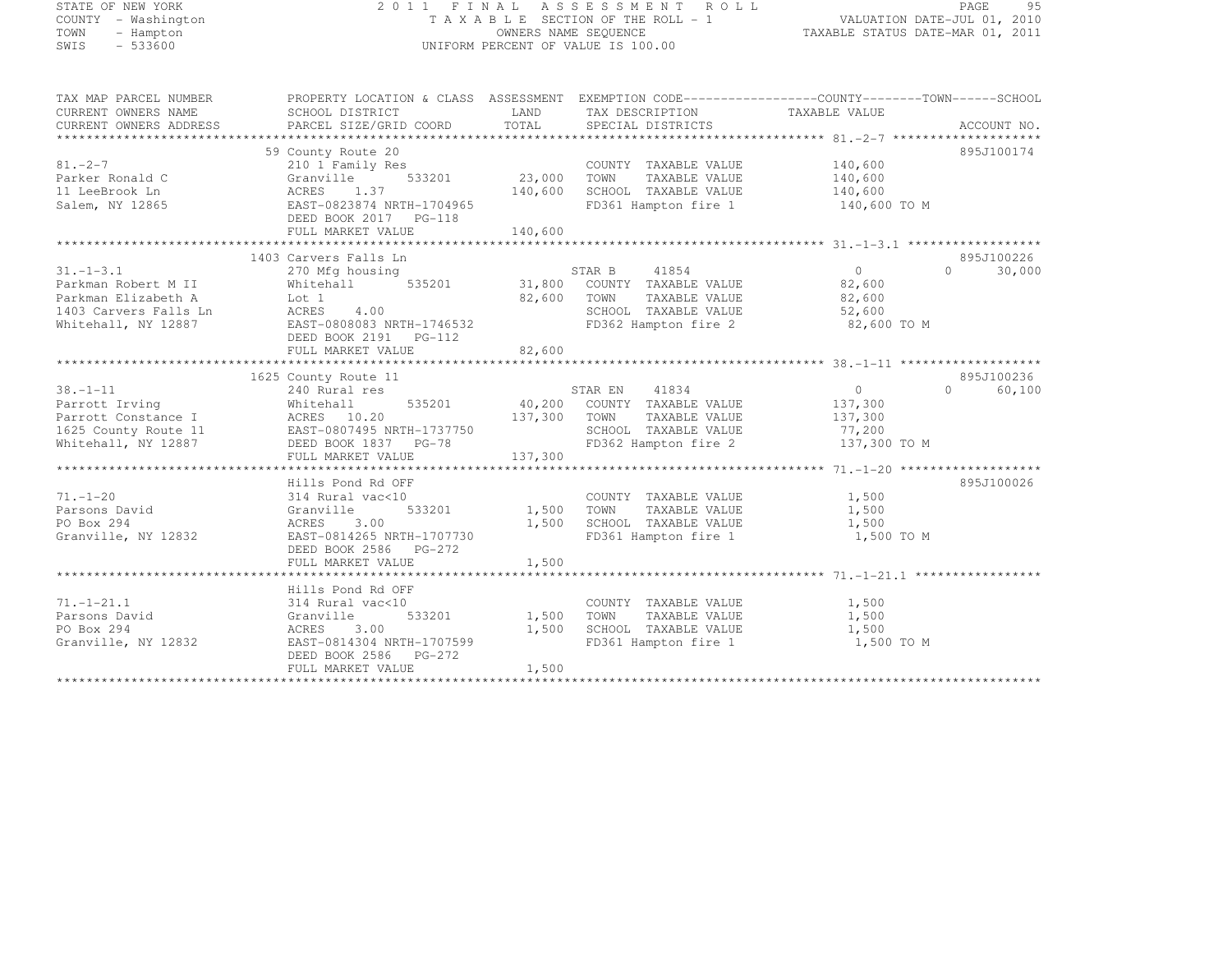| STATE OF NEW YORK |           |                     |  |
|-------------------|-----------|---------------------|--|
|                   |           | COUNTY - Washington |  |
| TOWN              |           | - Hampton           |  |
| SMTS              | $-533600$ |                     |  |

#### STATE OF NEW YORK 2 0 1 1 F I N A L A S S E S S M E N T R O L L PAGE <sup>95</sup> COUNTY - Washington T A X A B L E SECTION OF THE ROLL - 1 VALUATION DATE-JUL 01, 2010 TOWN - Hampton OWNERS NAME SEQUENCE TAXABLE STATUS DATE-MAR 01, 2011 SWIS - 533600 UNIFORM PERCENT OF VALUE IS 100.00

| TAX MAP PARCEL NUMBER                                                                      | PROPERTY LOCATION & CLASS ASSESSMENT EXEMPTION CODE----------------COUNTY-------TOWN-----SCHOOL |              |                                              |                    |                      |
|--------------------------------------------------------------------------------------------|-------------------------------------------------------------------------------------------------|--------------|----------------------------------------------|--------------------|----------------------|
| CURRENT OWNERS NAME                                                                        | SCHOOL DISTRICT                                                                                 |              | LAND TAX DESCRIPTION                         | TAXABLE VALUE      |                      |
| CURRENT OWNERS ADDRESS                                                                     | PARCEL SIZE/GRID COORD                                                                          | TOTAL        | SPECIAL DISTRICTS                            |                    | ACCOUNT NO.          |
|                                                                                            |                                                                                                 |              |                                              |                    |                      |
|                                                                                            | 59 County Route 20                                                                              |              |                                              |                    | 895J100174           |
| $81. -2 - 7$                                                                               | 210 1 Family Res                                                                                |              | COUNTY TAXABLE VALUE                         | 140,600            |                      |
| Parker Ronald C                                                                            | 533201<br>Granville                                                                             | 23,000       | TAXABLE VALUE<br>TOWN                        | 140,600<br>140,600 |                      |
| 11 LeeBrook Ln                                                                             | ACRES 1.37                                                                                      | 140,600      | SCHOOL TAXABLE VALUE                         |                    |                      |
| Salem, NY 12865                                                                            | EAST-0823874 NRTH-1704965                                                                       |              | FD361 Hampton fire 1 140,600 TO M            |                    |                      |
|                                                                                            | DEED BOOK 2017    PG-118                                                                        |              |                                              |                    |                      |
|                                                                                            | FULL MARKET VALUE                                                                               | 140,600      |                                              |                    |                      |
|                                                                                            |                                                                                                 |              |                                              |                    |                      |
|                                                                                            | 1403 Carvers Falls Ln                                                                           |              |                                              |                    | 895J100226           |
| $31. - 1 - 3.1$                                                                            | 270 Mfg housing                                                                                 | STAR B       | 41854                                        | $\overline{0}$     | $\bigcirc$<br>30,000 |
| Parkman Robert M II                                                                        | Whitehall                                                                                       |              | 535201 31,800 COUNTY TAXABLE VALUE 82,600    |                    |                      |
| Parkman Elizabeth A                                                                        | Lot 1                                                                                           |              | 82,600 TOWN<br>TAXABLE VALUE                 | 82,600             |                      |
|                                                                                            | 4.00<br>ACRES                                                                                   |              | SCHOOL TAXABLE VALUE                         | 52,600             |                      |
|                                                                                            | EAST-0808083 NRTH-1746532                                                                       |              | FD362 Hampton fire 2                         | 82,600 TO M        |                      |
|                                                                                            | DEED BOOK 2191    PG-112                                                                        |              |                                              |                    |                      |
|                                                                                            |                                                                                                 |              |                                              |                    |                      |
|                                                                                            |                                                                                                 |              |                                              |                    |                      |
|                                                                                            | 1625 County Route 11                                                                            |              |                                              |                    | 895J100236           |
| $38. - 1 - 11$                                                                             | 240 Rural res                                                                                   |              | STAR EN 41834                                | $\overline{0}$     | $\Omega$<br>60,100   |
| Parrott Irving                                                                             | Whitehall                                                                                       |              | 535201 40,200 COUNTY TAXABLE VALUE           | 137,300            |                      |
| Parrott Constance I                                                                        | ACRES 10.20                                                                                     | 137,300      | TOWN<br>TAXABLE VALUE                        | 137,300            |                      |
|                                                                                            |                                                                                                 |              |                                              | 77,200             |                      |
| 1625 County Route 11 EAST-0807495 NRTH-1737750<br>Whitehall, NY 12887 DEED BOOK 1837 PG-78 |                                                                                                 | 750          | SCHOOL TAXABLE VALUE<br>FD362 Hampton fire 2 | 137,300 TO M       |                      |
|                                                                                            | FULL MARKET VALUE                                                                               | 137,300      |                                              |                    |                      |
|                                                                                            |                                                                                                 |              |                                              |                    |                      |
|                                                                                            | Hills Pond Rd OFF                                                                               |              |                                              |                    | 895J100026           |
| $71. - 1 - 20$                                                                             | 314 Rural vac<10                                                                                |              | COUNTY TAXABLE VALUE                         | 1,500              |                      |
| Parsons David                                                                              | 533201<br>Granville                                                                             | 1,500        | TOWN<br>TAXABLE VALUE                        | 1,500              |                      |
| PO Box 294                                                                                 | ACRES<br>3.00                                                                                   | 1,500        | SCHOOL TAXABLE VALUE                         | 1,500              |                      |
| Granville, NY 12832                                                                        | EAST-0814265 NRTH-1707730                                                                       |              | FD361 Hampton fire 1                         | 1,500 TO M         |                      |
|                                                                                            | DEED BOOK 2586 PG-272                                                                           |              |                                              |                    |                      |
|                                                                                            | FULL MARKET VALUE                                                                               | 1,500        |                                              |                    |                      |
|                                                                                            |                                                                                                 |              |                                              |                    |                      |
|                                                                                            | Hills Pond Rd OFF                                                                               |              |                                              |                    |                      |
| $71. - 1 - 21.1$                                                                           | 314 Rural vac<10                                                                                |              | COUNTY TAXABLE VALUE                         | 1,500              |                      |
| Parsons David                                                                              | Granville                                                                                       | 533201 1,500 | TOWN<br>TAXABLE VALUE                        | 1,500              |                      |
| PO Box 294                                                                                 | ACRES 3.00                                                                                      | 1,500        | SCHOOL TAXABLE VALUE                         | 1,500              |                      |
| Granville, NY 12832                                                                        | EAST-0814304 NRTH-1707599                                                                       |              | FD361 Hampton fire 1                         | 1,500 TO M         |                      |
|                                                                                            | DEED BOOK 2586 PG-272                                                                           |              |                                              |                    |                      |
|                                                                                            | FULL MARKET VALUE                                                                               | 1,500        |                                              |                    |                      |
|                                                                                            |                                                                                                 |              |                                              |                    |                      |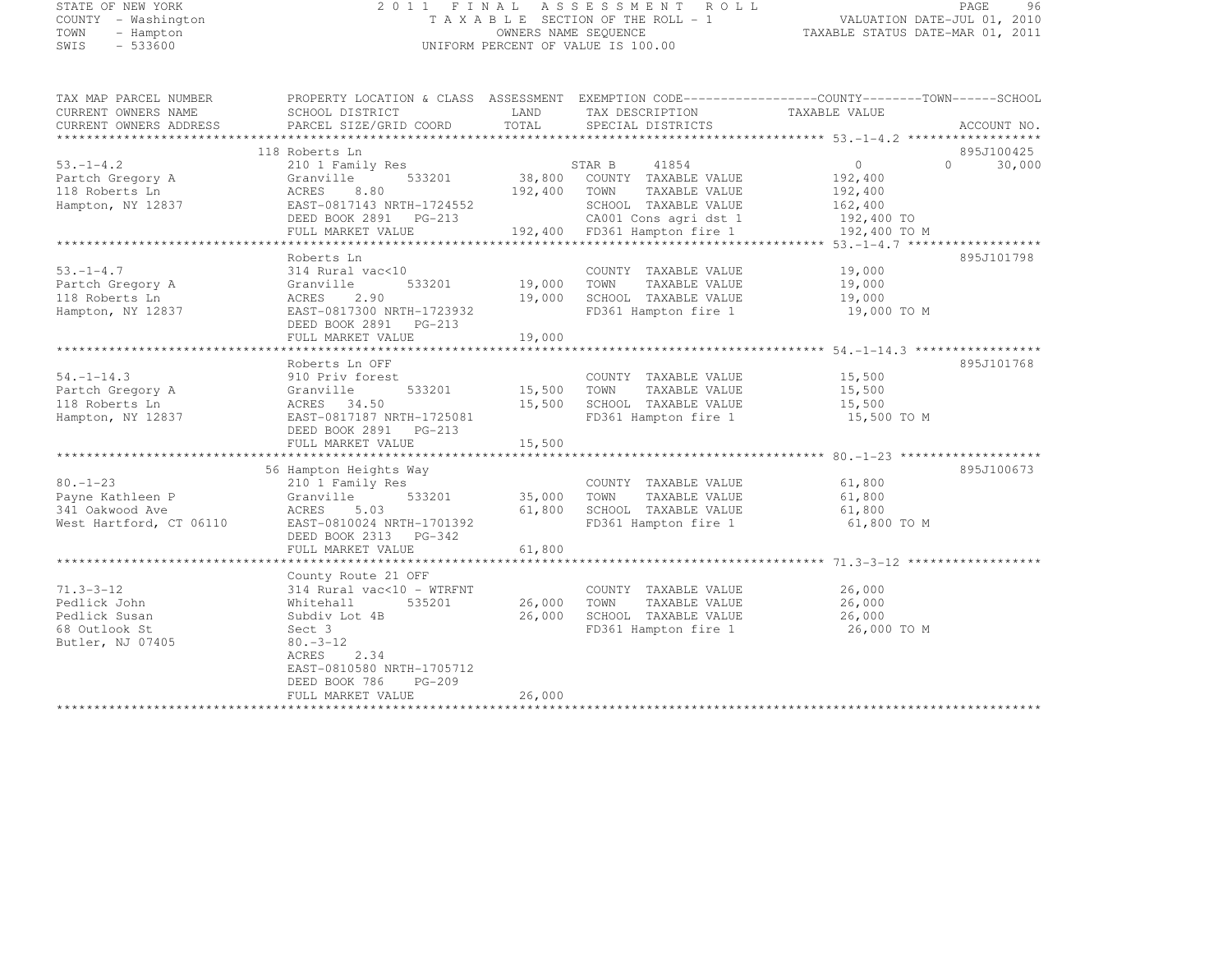## STATE OF NEW YORK 2 0 1 1 F I N A L A S S E S S M E N T R O L L PAGE <sup>96</sup> COUNTY - Washington T A X A B L E SECTION OF THE ROLL - 1 VALUATION DATE-JUL 01, 2010 TOWN - Hampton OWNERS NAME SEQUENCE TAXABLE STATUS DATE-MAR 01, 2011 SWIS - 533600 UNIFORM PERCENT OF VALUE IS 100.00

| TAX MAP PARCEL NUMBER<br>CURRENT OWNERS NAME<br>CURRENT OWNERS ADDRESS | PROPERTY LOCATION & CLASS ASSESSMENT EXEMPTION CODE----------------COUNTY-------TOWN------SCHOOL<br>SCHOOL DISTRICT<br>PARCEL SIZE/GRID COORD | TOTAL         | LAND TAX DESCRIPTION<br>SPECIAL DISTRICTS         | TAXABLE VALUE  | ACCOUNT NO.      |
|------------------------------------------------------------------------|-----------------------------------------------------------------------------------------------------------------------------------------------|---------------|---------------------------------------------------|----------------|------------------|
|                                                                        |                                                                                                                                               |               |                                                   |                |                  |
|                                                                        | 118 Roberts Ln                                                                                                                                |               |                                                   |                | 895J100425       |
| $53. - 1 - 4.2$                                                        | 210 1 Family Res                                                                                                                              |               | STAR B 41854<br>201 38,800 COUNTY TAXABLE VALUE   | $\overline{0}$ | 30,000<br>$\cap$ |
| Partch Gregory A                                                       | 533201<br>Granville                                                                                                                           |               |                                                   | 192,400        |                  |
| 118 Roberts Ln                                                         | ACRES<br>8.80                                                                                                                                 | 192,400 TOWN  | TAXABLE VALUE                                     | 192,400        |                  |
| Hampton, NY 12837                                                      | EAST-0817143 NRTH-1724552                                                                                                                     |               | SCHOOL TAXABLE VALUE                              | 162,400        |                  |
|                                                                        | DEED BOOK 2891 PG-213                                                                                                                         |               | CA001 Cons agri dst 1                             | 192,400 TO     |                  |
|                                                                        | FULL MARKET VALUE                                                                                                                             |               | 192,400 FD361 Hampton fire 1                      | 192,400 TO M   |                  |
|                                                                        |                                                                                                                                               |               |                                                   |                | 895J101798       |
| $53. - 1 - 4.7$                                                        | Roberts Ln<br>314 Rural vac<10                                                                                                                |               | COUNTY TAXABLE VALUE                              | 19,000         |                  |
| Partch Gregory A                                                       | 533201<br>Granville                                                                                                                           | 19,000        | TOWN<br>TAXABLE VALUE                             | 19,000         |                  |
| 118 Roberts Ln                                                         | ACRES<br>2.90                                                                                                                                 | 19,000        | SCHOOL TAXABLE VALUE                              | 19,000         |                  |
| Hampton, NY 12837                                                      | EAST-0817300 NRTH-1723932                                                                                                                     |               | FD361 Hampton fire 1                              | 19,000 TO M    |                  |
|                                                                        | DEED BOOK 2891 PG-213                                                                                                                         |               |                                                   |                |                  |
|                                                                        | FULL MARKET VALUE                                                                                                                             | 19,000        |                                                   |                |                  |
|                                                                        |                                                                                                                                               |               |                                                   |                |                  |
|                                                                        | Roberts Ln OFF                                                                                                                                |               |                                                   |                | 895J101768       |
| $54. - 1 - 14.3$                                                       | 910 Priv forest                                                                                                                               |               | COUNTY TAXABLE VALUE                              | 15,500         |                  |
| Partch Gregory A                                                       | Granville                                                                                                                                     | 533201 15,500 | TOWN<br>TAXABLE VALUE                             | 15,500         |                  |
| 118 Roberts Ln                                                         | ACRES 34.50                                                                                                                                   | 15,500        | SCHOOL TAXABLE VALUE                              | 15,500         |                  |
| Hampton, NY 12837                                                      | EAST-0817187 NRTH-1725081                                                                                                                     |               | FD361 Hampton fire 1                              | 15,500 TO M    |                  |
|                                                                        | DEED BOOK 2891 PG-213                                                                                                                         |               |                                                   |                |                  |
|                                                                        |                                                                                                                                               |               |                                                   |                |                  |
|                                                                        |                                                                                                                                               |               |                                                   |                |                  |
|                                                                        | 56 Hampton Heights Way                                                                                                                        |               |                                                   |                | 895J100673       |
| $80. - 1 - 23$                                                         | 210 1 Family Res                                                                                                                              |               | COUNTY TAXABLE VALUE                              | 61,800         |                  |
| Payne Kathleen P                                                       | 533201<br>Granville                                                                                                                           | 35,000        | TOWN<br>TAXABLE VALUE                             | 61,800         |                  |
| 341 Oakwood Ave                                                        | ACRES<br>5.03                                                                                                                                 | 61,800        | SCHOOL TAXABLE VALUE                              | 61,800         |                  |
| West Hartford, CT 06110                                                | EAST-0810024 NRTH-1701392<br>DEED BOOK 2313 PG-342                                                                                            |               | FD361 Hampton fire 1                              | 61,800 TO M    |                  |
|                                                                        | FULL MARKET VALUE                                                                                                                             | 61,800        |                                                   |                |                  |
|                                                                        |                                                                                                                                               |               |                                                   |                |                  |
|                                                                        | County Route 21 OFF                                                                                                                           |               |                                                   |                |                  |
| $71.3 - 3 - 12$                                                        | 314 Rural vac<10 - WTRFNT                                                                                                                     |               | COUNTY TAXABLE VALUE                              | 26,000         |                  |
| Pedlick John                                                           | 535201<br>Whitehall                                                                                                                           |               | 26,000 TOWN<br>TAXABLE VALUE                      | 26,000         |                  |
| Pedlick Susan                                                          | Subdiv Lot 4B                                                                                                                                 | 26,000        | TOWN      TAXABLE VALUE<br>SCHOOL   TAXABLE VALUE | 26,000         |                  |
| 68 Outlook St                                                          | Sect 3                                                                                                                                        |               | FD361 Hampton fire 1                              | 26,000 TO M    |                  |
| Butler, NJ 07405                                                       | $80 - 3 - 12$                                                                                                                                 |               |                                                   |                |                  |
|                                                                        | 2.34<br>ACRES                                                                                                                                 |               |                                                   |                |                  |
|                                                                        | EAST-0810580 NRTH-1705712                                                                                                                     |               |                                                   |                |                  |
|                                                                        | DEED BOOK 786<br>$PG-209$                                                                                                                     |               |                                                   |                |                  |
|                                                                        | FULL MARKET VALUE                                                                                                                             | 26,000        |                                                   |                |                  |
|                                                                        |                                                                                                                                               |               |                                                   |                |                  |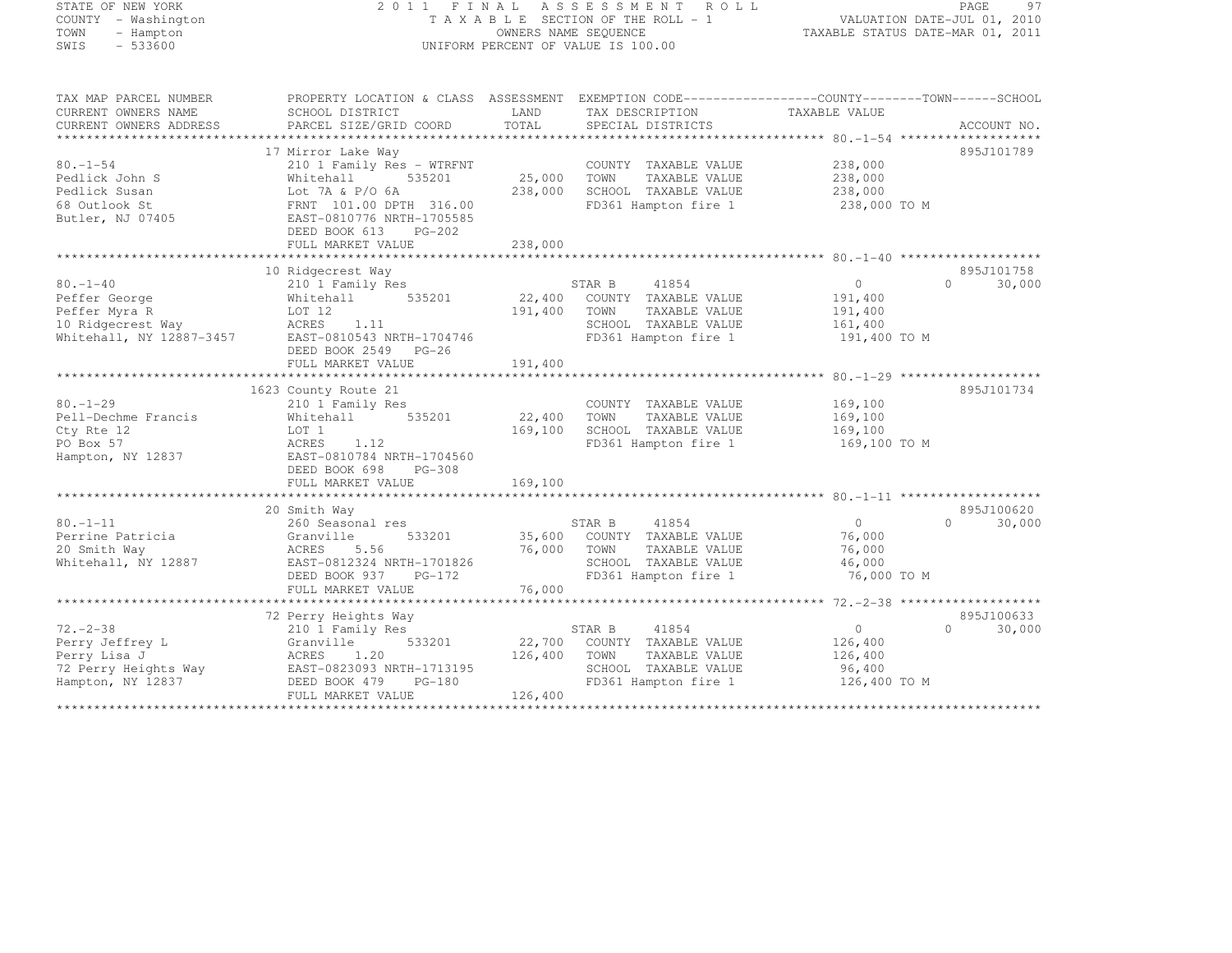## STATE OF NEW YORK 2 0 1 1 F I N A L A S S E S S M E N T R O L L PAGE <sup>97</sup> COUNTY - Washington T A X A B L E SECTION OF THE ROLL - 1 VALUATION DATE-JUL 01, 2010 TOWN - Hampton OWNERS NAME SEQUENCE TAXABLE STATUS DATE-MAR 01, 2011 SWIS - 533600 UNIFORM PERCENT OF VALUE IS 100.00

| TAX MAP PARCEL NUMBER    | PROPERTY LOCATION & CLASS ASSESSMENT |             |                             |                   |                    |
|--------------------------|--------------------------------------|-------------|-----------------------------|-------------------|--------------------|
| CURRENT OWNERS NAME      | SCHOOL DISTRICT                      | LAND        | TAX DESCRIPTION             | TAXABLE VALUE     |                    |
| CURRENT OWNERS ADDRESS   | PARCEL SIZE/GRID COORD               | TOTAL       | SPECIAL DISTRICTS           |                   | ACCOUNT NO.        |
|                          |                                      |             |                             |                   |                    |
|                          | 17 Mirror Lake Way                   |             |                             |                   | 895J101789         |
| $80. - 1 - 54$           | 210 1 Family Res - WTRFNT            |             | COUNTY TAXABLE VALUE        | 238,000           |                    |
| Pedlick John S           | Whitehall<br>535201                  | 25,000      | TOWN<br>TAXABLE VALUE       | 238,000           |                    |
| Pedlick Susan            | Lot 7A & P/O 6A                      | 238,000     | SCHOOL TAXABLE VALUE        | 238,000           |                    |
| 68 Outlook St            | FRNT 101.00 DPTH 316.00              |             | FD361 Hampton fire 1        | 238,000 TO M      |                    |
| Butler, NJ 07405         | EAST-0810776 NRTH-1705585            |             |                             |                   |                    |
|                          | DEED BOOK 613 PG-202                 |             |                             |                   |                    |
|                          | FULL MARKET VALUE                    | 238,000     |                             |                   |                    |
|                          |                                      |             |                             |                   |                    |
|                          | 10 Ridgecrest Way                    |             |                             |                   | 895J101758         |
| $80. - 1 - 40$           | 210 1 Family Res                     |             | STAR B 41854                | $\overline{0}$    | $\Omega$<br>30,000 |
| Peffer George            | 535201<br>Whitehall                  |             | 22,400 COUNTY TAXABLE VALUE | 191,400           |                    |
| Peffer Myra R            | LOT 12                               | 191,400     | TOWN<br>TAXABLE VALUE       | 191,400           |                    |
| 10 Ridgecrest Way        | ACRES 1.11                           |             | SCHOOL TAXABLE VALUE        | 161,400           |                    |
| Whitehall, NY 12887-3457 | EAST-0810543 NRTH-1704746            |             | FD361 Hampton fire 1        | 191,400 TO M      |                    |
|                          | DEED BOOK 2549 PG-26                 |             |                             |                   |                    |
|                          |                                      |             |                             |                   |                    |
|                          |                                      |             |                             |                   |                    |
|                          | 1623 County Route 21                 |             |                             |                   | 895J101734         |
| $80 - 1 - 29$            |                                      |             |                             |                   |                    |
|                          | 210 1 Family Res<br>535201           |             | COUNTY TAXABLE VALUE        | 169,100           |                    |
| Pell-Dechme Francis      | Whitehall                            | 22,400      | TOWN<br>TAXABLE VALUE       | 169,100           |                    |
| Cty Rte 12               | LOT 1                                | 169,100     | SCHOOL TAXABLE VALUE        | 169,100           |                    |
| PO Box 57                | ACRES<br>1.12                        |             | FD361 Hampton fire 1        | 169,100 TO M      |                    |
| Hampton, NY 12837        | EAST-0810784 NRTH-1704560            |             |                             |                   |                    |
|                          | DEED BOOK 698 PG-308                 |             |                             |                   |                    |
|                          | FULL MARKET VALUE                    | 169,100     |                             |                   |                    |
|                          |                                      |             |                             |                   |                    |
|                          | 20 Smith Way                         |             |                             |                   | 895J100620         |
| $80. - 1 - 11$           | 260 Seasonal res                     |             | STAR B<br>41854             | $\overline{0}$    | $\Omega$<br>30,000 |
| Perrine Patricia         | Granville<br>533201                  |             | 35,600 COUNTY TAXABLE VALUE | 76,000            |                    |
| 20 Smith Way             | ACRES<br>5.56                        | 76,000 TOWN | TAXABLE VALUE               | 76,000            |                    |
| Whitehall, NY 12887      | EAST-0812324 NRTH-1701826            |             | SCHOOL TAXABLE VALUE        | 46,000            |                    |
|                          | DEED BOOK 937 PG-172                 |             | FD361 Hampton fire 1        | 76,000 TO M       |                    |
|                          | FULL MARKET VALUE                    | 76,000      |                             |                   |                    |
|                          |                                      |             |                             |                   |                    |
|                          | 72 Perry Heights Way                 |             |                             |                   | 895J100633         |
| $72. - 2 - 38$           | 210 1 Family Res                     |             | STAR B<br>41854             | $0 \qquad \qquad$ | 30,000<br>$\Omega$ |
| Perry Jeffrey L          | 533201<br>Granville                  |             | 22,700 COUNTY TAXABLE VALUE | 126,400           |                    |
| Perry Lisa J             | ACRES<br>1.20                        | 126,400     | TOWN<br>TAXABLE VALUE       | 126,400           |                    |
| 72 Perry Heights Way     | EAST-0823093 NRTH-1713195            |             | SCHOOL TAXABLE VALUE        | 96,400            |                    |
| Hampton, NY 12837        | DEED BOOK 479<br>PG-180              |             | FD361 Hampton fire 1        | 126,400 TO M      |                    |
|                          | FULL MARKET VALUE                    | 126,400     |                             |                   |                    |
|                          |                                      |             |                             |                   |                    |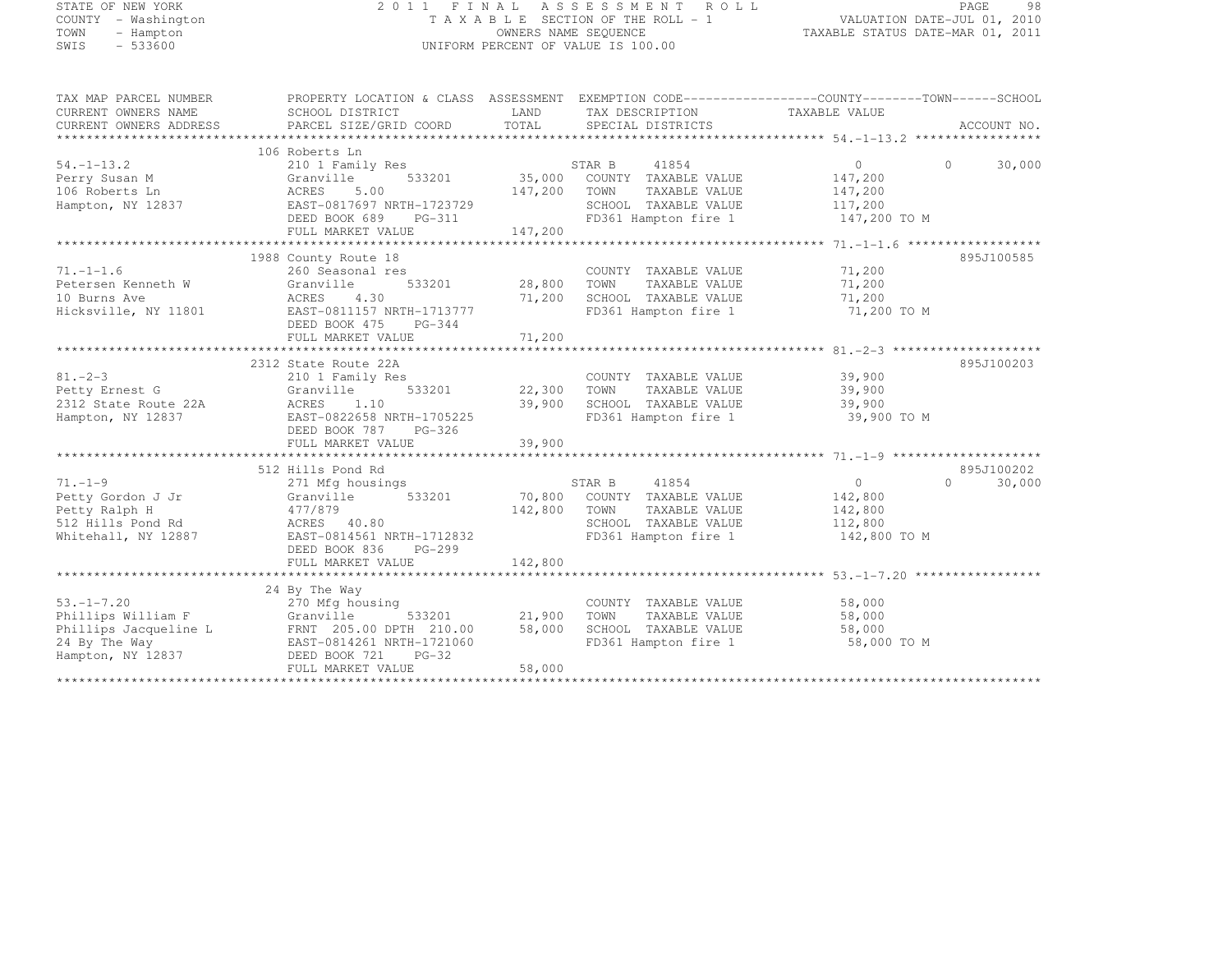# STATE OF NEW YORK 2 0 1 1 F I N A L A S S E S S M E N T R O L L PAGE <sup>98</sup> COUNTY - Washington T A X A B L E SECTION OF THE ROLL - 1 VALUATION DATE-JUL 01, 2010 TOWN - Hampton OWNERS NAME SEQUENCE TAXABLE STATUS DATE-MAR 01, 2011 SWIS - 533600 UNIFORM PERCENT OF VALUE IS 100.00

| TAX MAP PARCEL NUMBER  | PROPERTY LOCATION & CLASS ASSESSMENT EXEMPTION CODE----------------COUNTY-------TOWN-----SCHOOL |                       |                                    |                |                    |
|------------------------|-------------------------------------------------------------------------------------------------|-----------------------|------------------------------------|----------------|--------------------|
| CURRENT OWNERS NAME    | SCHOOL DISTRICT                                                                                 |                       | LAND TAX DESCRIPTION               | TAXABLE VALUE  |                    |
| CURRENT OWNERS ADDRESS | PARCEL SIZE/GRID COORD                                                                          |                       | TOTAL SPECIAL DISTRICTS            |                | ACCOUNT NO.        |
|                        |                                                                                                 |                       |                                    |                |                    |
|                        | 106 Roberts Ln                                                                                  |                       |                                    |                |                    |
| $54. - 1 - 13.2$       | 210 1 Family Res                                                                                |                       | STAR B<br>41854                    | $\overline{0}$ | $\Omega$<br>30,000 |
| Perry Susan M          | 533201<br>Granville                                                                             |                       | 35,000 COUNTY TAXABLE VALUE        | 147,200        |                    |
| 106 Roberts Ln         | ACRES<br>5.00                                                                                   | 147,200               | TOWN<br>TAXABLE VALUE              | 147,200        |                    |
| Hampton, NY 12837      | EAST-0817697 NRTH-1723729                                                                       |                       | SCHOOL TAXABLE VALUE               | 117,200        |                    |
|                        | DEED BOOK 689<br>PG-311                                                                         |                       | FD361 Hampton fire 1               | 147,200 TO M   |                    |
|                        | FULL MARKET VALUE                                                                               | 147,200               |                                    |                |                    |
|                        |                                                                                                 |                       |                                    |                |                    |
|                        | 1988 County Route 18                                                                            |                       |                                    |                | 895J100585         |
| $71. - 1 - 1.6$        | 260 Seasonal res                                                                                |                       | COUNTY TAXABLE VALUE               | 71,200         |                    |
| Petersen Kenneth W     | Granville                                                                                       | 533201 28,800 TOWN    | TAXABLE VALUE                      | 71,200         |                    |
| 10 Burns Ave           | ACRES<br>4.30                                                                                   | 71,200                | SCHOOL TAXABLE VALUE               | 71,200         |                    |
| Hicksville, NY 11801   | EAST-0811157 NRTH-1713777                                                                       |                       | FD361 Hampton fire 1               | 71,200 TO M    |                    |
|                        | DEED BOOK 475 PG-344                                                                            |                       |                                    |                |                    |
|                        |                                                                                                 |                       |                                    |                |                    |
|                        |                                                                                                 |                       |                                    |                |                    |
|                        | 2312 State Route 22A                                                                            |                       |                                    |                | 895J100203         |
| $81 - 2 - 3$           | 210 1 Family Res                                                                                | COUNTY<br>22,300 TOWN | COUNTY TAXABLE VALUE               | 39,900         |                    |
| Petty Ernest G         | 533201<br>Granville                                                                             |                       | TAXABLE VALUE                      | 39,900         |                    |
| 2312 State Route 22A   | ACRES<br>1.10                                                                                   | 39,900                | SCHOOL TAXABLE VALUE               | 39,900         |                    |
| Hampton, NY 12837      | EAST-0822658 NRTH-1705225                                                                       |                       | FD361 Hampton fire 1               | 39,900 TO M    |                    |
|                        | DEED BOOK 787 PG-326                                                                            |                       |                                    |                |                    |
|                        |                                                                                                 |                       |                                    |                |                    |
|                        |                                                                                                 |                       |                                    |                |                    |
|                        | 512 Hills Pond Rd                                                                               |                       |                                    |                | 895J100202         |
| $71. - 1 - 9$          | 271 Mfg housings                                                                                |                       | 41854<br>STAR B                    | $\overline{0}$ | 30,000<br>$\Omega$ |
| Petty Gordon J Jr      | Granville                                                                                       |                       | 533201 70,800 COUNTY TAXABLE VALUE | 142,800        |                    |
| Petty Ralph H          | 477/879                                                                                         | 142,800               | TOWN<br>TAXABLE VALUE              | 142,800        |                    |
| 512 Hills Pond Rd      | ACRES 40.80                                                                                     |                       | SCHOOL TAXABLE VALUE               | 112,800        |                    |
| Whitehall, NY 12887    | EAST-0814561 NRTH-1712832                                                                       |                       | FD361 Hampton fire 1 142,800 TO M  |                |                    |
|                        | DEED BOOK 836<br>PG-299                                                                         |                       |                                    |                |                    |
|                        | FULL MARKET VALUE                                                                               | 142,800               |                                    |                |                    |
|                        |                                                                                                 |                       |                                    |                |                    |
|                        | 24 By The Way                                                                                   |                       |                                    |                |                    |
| $53, -1 - 7, 20$       | 270 Mfg housing                                                                                 |                       | COUNTY TAXABLE VALUE               | 58,000         |                    |
| Phillips William F     | Granville                                                                                       | 533201 21,900         | TOWN<br>TAXABLE VALUE              | 58,000         |                    |
|                        | Phillips Jacqueline L FRNT 205.00 DPTH 210.00                                                   | 58,000                | SCHOOL TAXABLE VALUE               | 58,000         |                    |
| 24 By The Way          | EAST-0814261 NRTH-1721060                                                                       |                       | FD361 Hampton fire 1               | 58,000 TO M    |                    |
| Hampton, NY 12837      | DEED BOOK 721<br>$PG-32$                                                                        |                       |                                    |                |                    |
|                        | FULL MARKET VALUE                                                                               | 58,000                |                                    |                |                    |
|                        |                                                                                                 |                       |                                    |                |                    |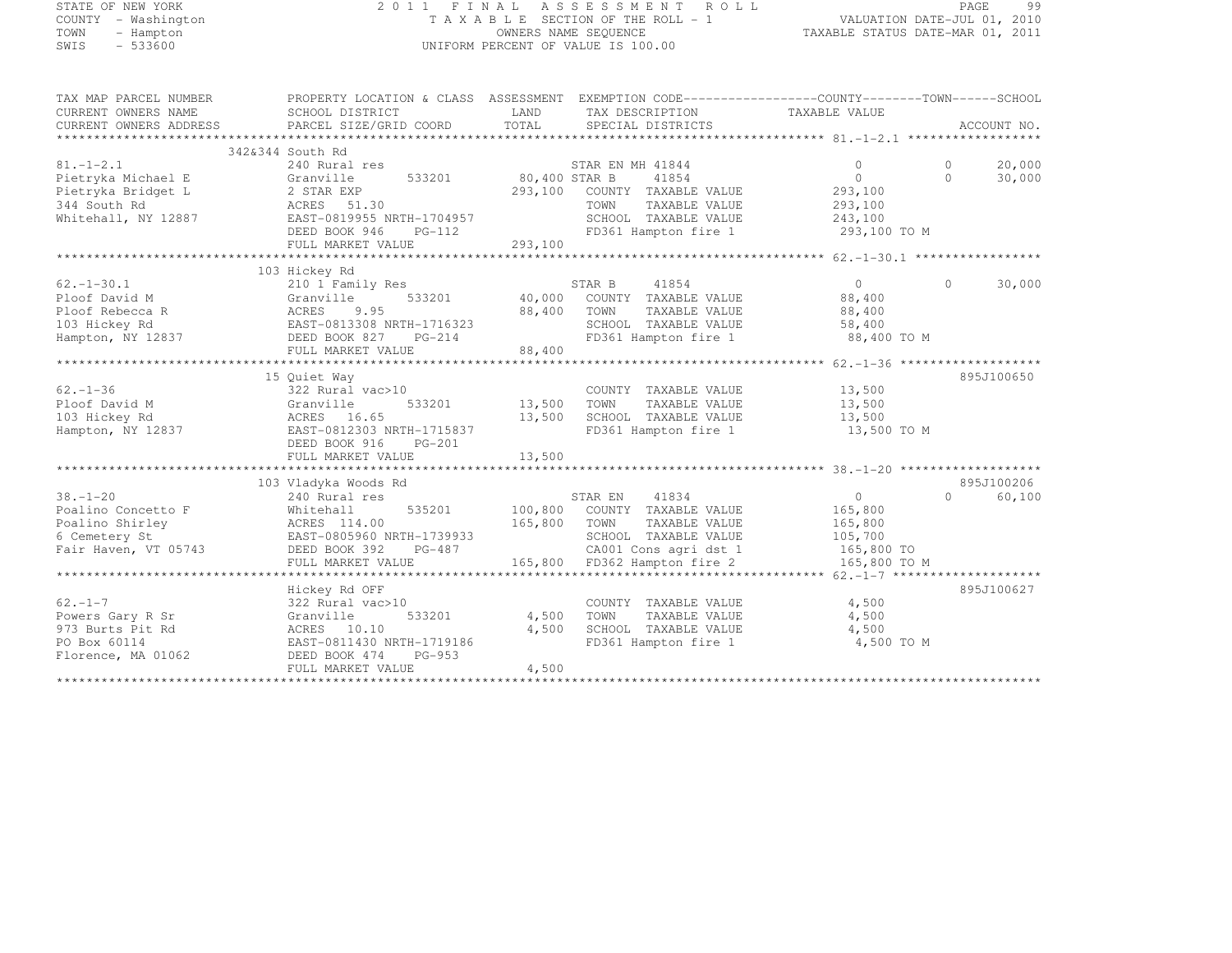# STATE OF NEW YORK 2 0 1 1 F I N A L A S S E S S M E N T R O L L PAGE <sup>99</sup> COUNTY - Washington T A X A B L E SECTION OF THE ROLL - 1 VALUATION DATE-JUL 01, 2010 TOWN - Hampton OWNERS NAME SEQUENCE TAXABLE STATUS DATE-MAR 01, 2011 SWIS - 533600 UNIFORM PERCENT OF VALUE IS 100.00

| TAX MAP PARCEL NUMBER  | PROPERTY LOCATION & CLASS ASSESSMENT EXEMPTION CODE----------------COUNTY-------TOWN-----SCHOOL |               |                                  |                |           |             |
|------------------------|-------------------------------------------------------------------------------------------------|---------------|----------------------------------|----------------|-----------|-------------|
| CURRENT OWNERS NAME    | SCHOOL DISTRICT                                                                                 | LAND          | TAX DESCRIPTION                  | TAXABLE VALUE  |           |             |
| CURRENT OWNERS ADDRESS | PARCEL SIZE/GRID COORD                                                                          | TOTAL         | SPECIAL DISTRICTS                |                |           | ACCOUNT NO. |
|                        |                                                                                                 |               |                                  |                |           |             |
|                        | 342&344 South Rd                                                                                |               |                                  |                |           |             |
| $81. - 1 - 2.1$        | 240 Rural res                                                                                   |               | STAR EN MH 41844                 | $\Omega$       | $\Omega$  | 20,000      |
| Pietryka Michael E     | 533201<br>Granville                                                                             | 80,400 STAR B | 41854                            | $\Omega$       | $\Omega$  | 30,000      |
| Pietryka Bridget L     | 2 STAR EXP                                                                                      | 293,100       | COUNTY TAXABLE VALUE             | 293,100        |           |             |
| 344 South Rd           | ACRES 51.30                                                                                     |               | TOWN<br>TAXABLE VALUE            | 293,100        |           |             |
| Whitehall, NY 12887    | EAST-0819955 NRTH-1704957                                                                       |               | SCHOOL TAXABLE VALUE             | 243,100        |           |             |
|                        | DEED BOOK 946<br>$PG-112$                                                                       |               | FD361 Hampton fire 1             | 293,100 TO M   |           |             |
|                        | FULL MARKET VALUE                                                                               | 293,100       |                                  |                |           |             |
|                        |                                                                                                 |               |                                  |                |           |             |
|                        | 103 Hickey Rd                                                                                   |               |                                  |                |           |             |
| $62. - 1 - 30.1$       | 210 1 Family Res                                                                                |               | STAR B<br>41854                  | $\overline{0}$ | $\Omega$  | 30,000      |
| Ploof David M          | 533201<br>Granville                                                                             |               | 40,000 COUNTY TAXABLE VALUE      | 88,400         |           |             |
| Ploof Rebecca R        | ACRES<br>9.95                                                                                   | 88,400        | TAXABLE VALUE<br>TOWN            | 88,400         |           |             |
| 103 Hickey Rd          | EAST-0813308 NRTH-1716323                                                                       |               | SCHOOL TAXABLE VALUE             | 58,400         |           |             |
| Hampton, NY 12837      | DEED BOOK 827<br>$PG-214$                                                                       |               | FD361 Hampton fire 1 88,400 TO M |                |           |             |
|                        | FULL MARKET VALUE                                                                               | 88,400        |                                  |                |           |             |
|                        |                                                                                                 |               |                                  |                |           |             |
|                        | 15 Quiet Way                                                                                    |               |                                  |                |           | 895J100650  |
| $62 - 1 - 36$          | 322 Rural vac>10                                                                                |               | COUNTY TAXABLE VALUE             | 13,500         |           |             |
| Ploof David M          | 533201<br>Granville                                                                             | 13,500        | TOWN<br>TAXABLE VALUE            | 13,500         |           |             |
| 103 Hickey Rd          | ACRES 16.65                                                                                     | 13,500        | SCHOOL TAXABLE VALUE             | 13,500         |           |             |
| Hampton, NY 12837      | EAST-0812303 NRTH-1715837                                                                       |               | FD361 Hampton fire 1             | 13,500 TO M    |           |             |
|                        | DEED BOOK 916<br>$PG-201$                                                                       |               |                                  |                |           |             |
|                        | FULL MARKET VALUE                                                                               | 13,500        |                                  |                |           |             |
|                        |                                                                                                 |               |                                  |                |           |             |
|                        | 103 Vladyka Woods Rd                                                                            |               |                                  |                |           | 895J100206  |
| $38. - 1 - 20$         | 240 Rural res                                                                                   |               | STAR EN<br>41834                 | $\overline{0}$ | $\bigcap$ | 60,100      |
| Poalino Concetto F     | 535201<br>Whitehall                                                                             | 100,800       | COUNTY TAXABLE VALUE             | 165,800        |           |             |
| Poalino Shirley        | ACRES 114.00                                                                                    | 165,800       | TOWN<br>TAXABLE VALUE            | 165,800        |           |             |
| 6 Cemetery St          | EAST-0805960 NRTH-1739933                                                                       |               | SCHOOL TAXABLE VALUE             | 105,700        |           |             |
| Fair Haven, VT 05743   | DEED BOOK 392<br>PG-487                                                                         |               | CA001 Cons agri dst 1            | 165,800 TO     |           |             |
|                        | FULL MARKET VALUE                                                                               |               | 165,800 FD362 Hampton fire 2     | 165,800 TO M   |           |             |
|                        |                                                                                                 |               |                                  |                |           |             |
|                        | Hickey Rd OFF                                                                                   |               |                                  |                |           | 895J100627  |
| $62 - 1 - 7$           | 322 Rural vac>10                                                                                |               | COUNTY TAXABLE VALUE             | 4,500          |           |             |
| Powers Gary R Sr       | 533201<br>Granville                                                                             | 4,500         | TOWN<br>TAXABLE VALUE            | 4,500          |           |             |
| 973 Burts Pit Rd       | ACRES 10.10                                                                                     | 4,500         | SCHOOL TAXABLE VALUE             | 4,500          |           |             |
| PO Box 60114           | EAST-0811430 NRTH-1719186                                                                       |               | FD361 Hampton fire 1             | 4,500 TO M     |           |             |
| Florence, MA 01062     | DEED BOOK 474<br>PG-953                                                                         |               |                                  |                |           |             |
|                        | FULL MARKET VALUE                                                                               | 4,500         |                                  |                |           |             |
|                        |                                                                                                 |               |                                  |                |           |             |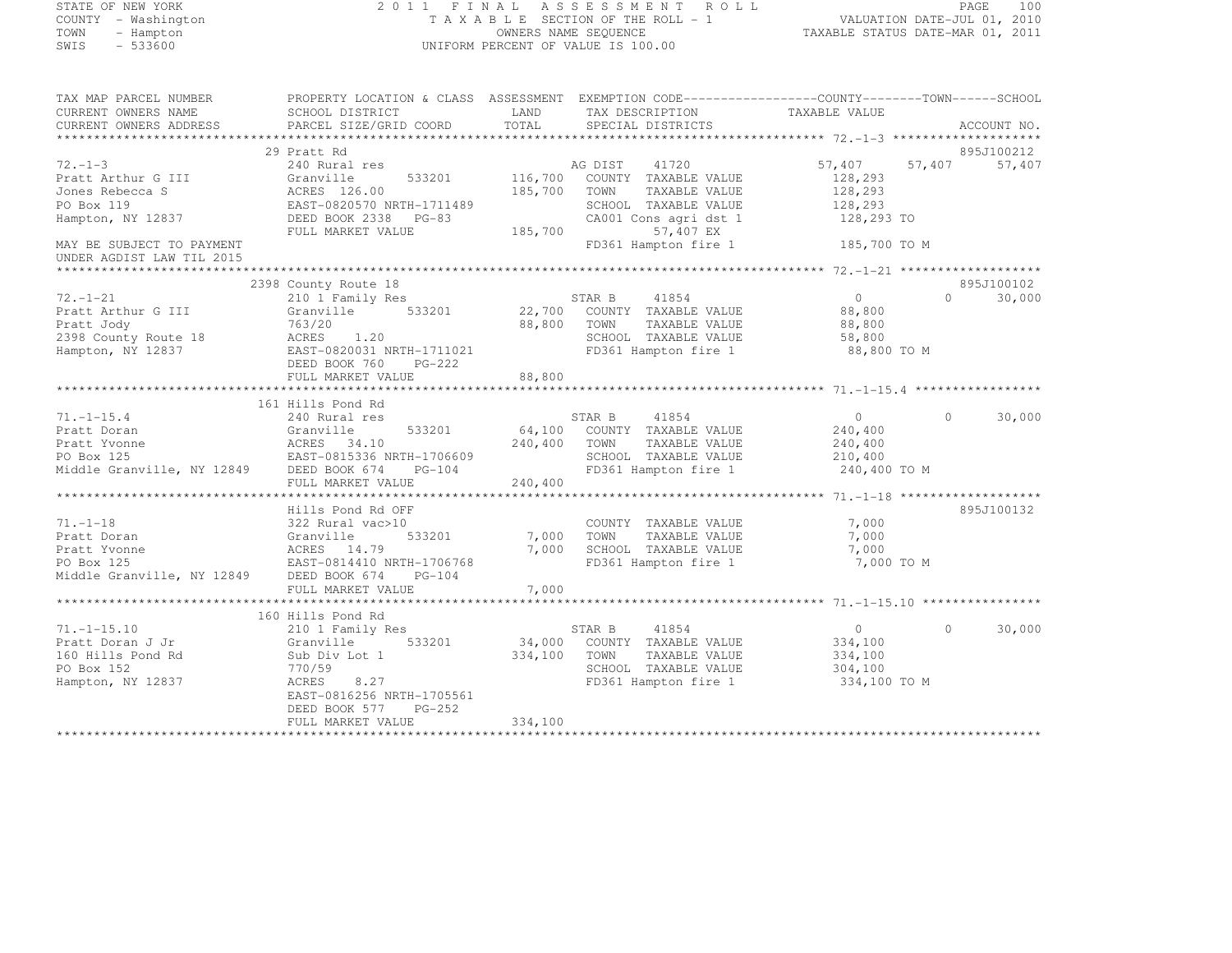# STATE OF NEW YORK 2 0 1 1 F I N A L A S S E S S M E N T R O L L PAGE <sup>100</sup> COUNTY - Washington T A X A B L E SECTION OF THE ROLL - 1 VALUATION DATE-JUL 01, 2010 TOWN - Hampton OWNERS NAME SEQUENCE TAXABLE STATUS DATE-MAR 01, 2011 SWIS - 533600 UNIFORM PERCENT OF VALUE IS 100.00

| TAX MAP PARCEL NUMBER<br>CURRENT OWNERS NAME<br>CURRENT OWNERS ADDRESS | PROPERTY LOCATION & CLASS ASSESSMENT<br>SCHOOL DISTRICT<br>PARCEL SIZE/GRID COORD | LAND<br>TOTAL | EXEMPTION CODE-----------------COUNTY-------TOWN------SCHOOL<br>TAX DESCRIPTION<br>SPECIAL DISTRICTS | TAXABLE VALUE     | ACCOUNT NO.                    |
|------------------------------------------------------------------------|-----------------------------------------------------------------------------------|---------------|------------------------------------------------------------------------------------------------------|-------------------|--------------------------------|
|                                                                        |                                                                                   |               |                                                                                                      |                   |                                |
| $72. - 1 - 3$                                                          | 29 Pratt Rd<br>240 Rural res                                                      |               | AG DIST 41720                                                                                        | 57,407            | 895J100212<br>57,407<br>57,407 |
| Pratt Arthur G III                                                     | 533201<br>Granville                                                               | 116,700       | COUNTY TAXABLE VALUE                                                                                 | 128,293           |                                |
| Jones Rebecca S                                                        | ACRES 126.00                                                                      | 185,700       | TOWN<br>TAXABLE VALUE                                                                                | 128,293           |                                |
| PO Box 119                                                             | EAST-0820570 NRTH-1711489                                                         |               | SCHOOL TAXABLE VALUE                                                                                 | 128,293           |                                |
| Hampton, NY 12837                                                      | DEED BOOK 2338 PG-83                                                              |               | CA001 Cons agri dst 1                                                                                | 128,293 TO        |                                |
|                                                                        | FULL MARKET VALUE                                                                 | 185,700       | 57,407 EX                                                                                            |                   |                                |
| MAY BE SUBJECT TO PAYMENT<br>UNDER AGDIST LAW TIL 2015                 |                                                                                   |               | FD361 Hampton fire 1                                                                                 | 185,700 TO M      |                                |
|                                                                        |                                                                                   |               |                                                                                                      |                   |                                |
|                                                                        | 2398 County Route 18                                                              |               |                                                                                                      |                   | 895J100102                     |
| $72. - 1 - 21$                                                         | 210 1 Family Res                                                                  |               | STAR B<br>41854                                                                                      | $0 \qquad \qquad$ | $\Omega$<br>30,000             |
| Pratt Arthur G III                                                     | Granville<br>533201                                                               |               | 22,700 COUNTY TAXABLE VALUE                                                                          | 88,800            |                                |
| Pratt Jody                                                             | 763/20                                                                            | 88,800        | TOWN<br>TAXABLE VALUE                                                                                | 88,800            |                                |
| 2398 County Route 18                                                   | ACRES 1.20                                                                        |               | SCHOOL TAXABLE VALUE                                                                                 | 58,800            |                                |
| Hampton, NY 12837                                                      | EAST-0820031 NRTH-1711021                                                         |               | FD361 Hampton fire 1                                                                                 | 88,800 TO M       |                                |
|                                                                        | DEED BOOK 760<br>PG-222                                                           |               |                                                                                                      |                   |                                |
|                                                                        | FULL MARKET VALUE                                                                 | 88,800        |                                                                                                      |                   |                                |
|                                                                        |                                                                                   |               |                                                                                                      |                   |                                |
|                                                                        | 161 Hills Pond Rd                                                                 |               |                                                                                                      |                   |                                |
| $71. - 1 - 15.4$                                                       | 240 Rural res                                                                     |               | STAR B<br>41854                                                                                      | $\overline{0}$    | $\Omega$<br>30,000             |
| Pratt Doran                                                            | Granville<br>533201                                                               | 64,100        | COUNTY TAXABLE VALUE                                                                                 | 240,400           |                                |
| Pratt Yvonne                                                           | ACRES 54.10<br>EAST-0815336 NRTH-1706609                                          | 240,400       | TAXABLE VALUE<br>TOWN                                                                                | 240,400           |                                |
| PO Box 125                                                             |                                                                                   |               | SCHOOL TAXABLE VALUE                                                                                 | 210,400           |                                |
| Middle Granville, NY 12849 DEED BOOK 674                               | $PG-104$                                                                          |               | FD361 Hampton fire 1                                                                                 | 240,400 TO M      |                                |
|                                                                        | FULL MARKET VALUE                                                                 | 240,400       |                                                                                                      |                   |                                |
|                                                                        |                                                                                   |               |                                                                                                      |                   |                                |
| $71. - 1 - 18$                                                         | Hills Pond Rd OFF                                                                 |               |                                                                                                      |                   | 895J100132                     |
| Pratt Doran                                                            | 322 Rural vac>10<br>Granville<br>533201                                           | 7,000 TOWN    | COUNTY TAXABLE VALUE<br>TAXABLE VALUE                                                                | 7,000<br>7,000    |                                |
| Pratt Yvonne                                                           | ACRES 14.79                                                                       | 7,000         | SCHOOL TAXABLE VALUE                                                                                 | 7,000             |                                |
| PO Box 125                                                             | EAST-0814410 NRTH-1706768                                                         |               | FD361 Hampton fire 1                                                                                 | 7,000 TO M        |                                |
| Middle Granville, NY 12849 DEED BOOK 674                               | $PG-104$                                                                          |               |                                                                                                      |                   |                                |
|                                                                        | FULL MARKET VALUE                                                                 | 7,000         |                                                                                                      |                   |                                |
|                                                                        |                                                                                   |               |                                                                                                      |                   |                                |
|                                                                        | 160 Hills Pond Rd                                                                 |               |                                                                                                      |                   |                                |
| $71. - 1 - 15.10$                                                      | 210 1 Family Res                                                                  |               | STAR B<br>41854                                                                                      | $\overline{0}$    | 30,000<br>$\Omega$             |
| Pratt Doran J Jr                                                       | 533201<br>Granville                                                               |               | 34,000 COUNTY TAXABLE VALUE                                                                          | 334,100           |                                |
| 160 Hills Pond Rd                                                      | Sub Div Lot 1                                                                     | 334,100       | TOWN<br>TAXABLE VALUE                                                                                | 334,100           |                                |
| PO Box 152                                                             | 770/59                                                                            |               | SCHOOL TAXABLE VALUE                                                                                 | 304,100           |                                |
| Hampton, NY 12837                                                      | 8.27<br>ACRES                                                                     |               | FD361 Hampton fire 1                                                                                 | 334,100 TO M      |                                |
|                                                                        | EAST-0816256 NRTH-1705561                                                         |               |                                                                                                      |                   |                                |
|                                                                        | DEED BOOK 577 PG-252                                                              |               |                                                                                                      |                   |                                |
|                                                                        | FULL MARKET VALUE                                                                 | 334,100       |                                                                                                      |                   |                                |
|                                                                        |                                                                                   |               |                                                                                                      |                   |                                |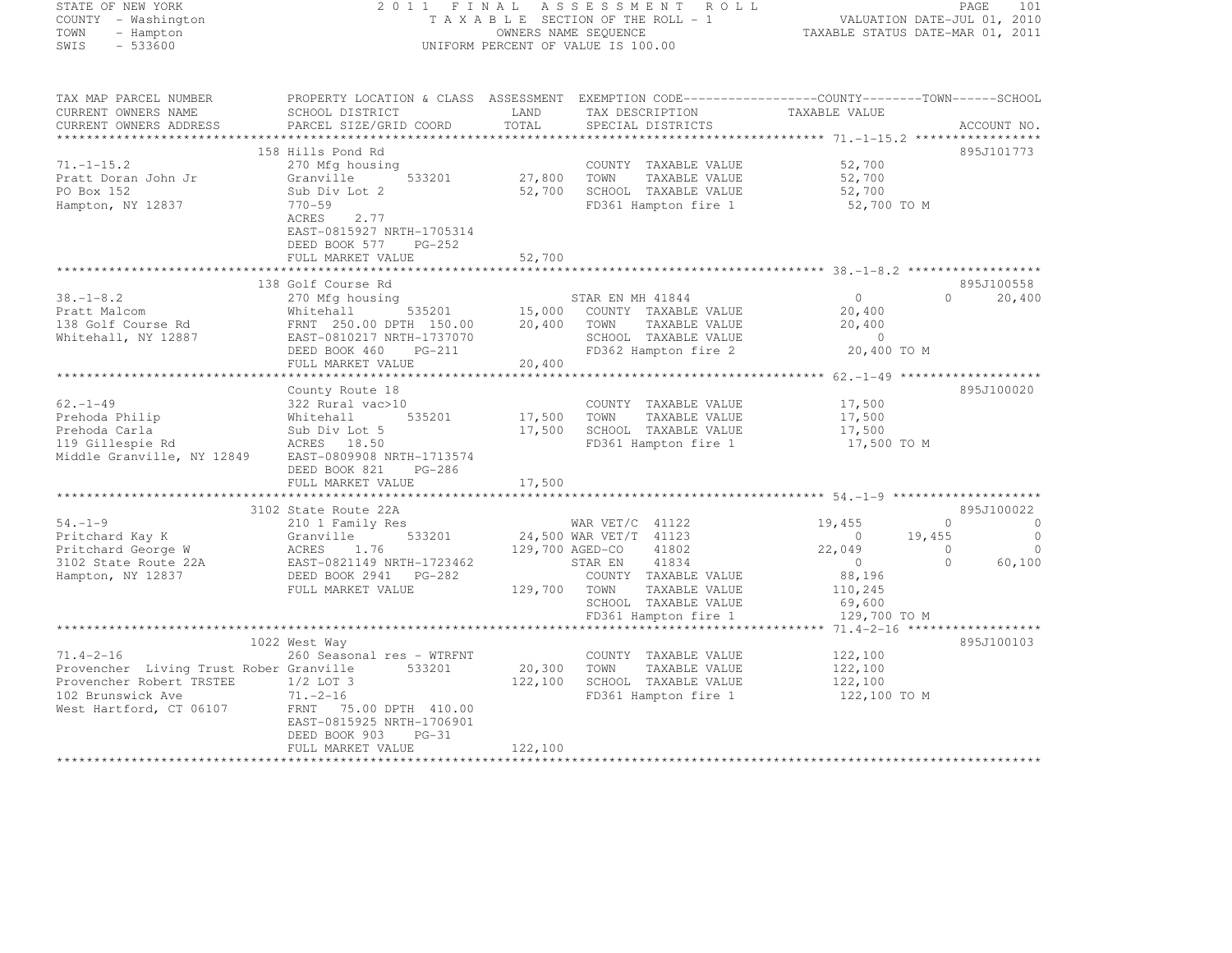| STATE OF NEW YORK                                        |                                                                                                                                                                                                                                    |               | 2011 FINAL ASSESSMENT ROLL                                                                                                                    |                          | PAGE<br>101                                        |
|----------------------------------------------------------|------------------------------------------------------------------------------------------------------------------------------------------------------------------------------------------------------------------------------------|---------------|-----------------------------------------------------------------------------------------------------------------------------------------------|--------------------------|----------------------------------------------------|
| COUNTY - Washington                                      |                                                                                                                                                                                                                                    |               | TAXABLE SESSMENI KOLL<br>TAXABLE SECTION OF THE ROLL - 1 VALUATION DATE-JUL 01, 2010<br>OWNERS NAME SEQUENCE TAXABLE STATUS DATE-MAR 01, 2011 |                          |                                                    |
| TOWN<br>- Hampton<br>SWIS<br>$-533600$                   |                                                                                                                                                                                                                                    |               | UNIFORM PERCENT OF VALUE IS 100.00                                                                                                            |                          |                                                    |
|                                                          |                                                                                                                                                                                                                                    |               |                                                                                                                                               |                          |                                                    |
| TAX MAP PARCEL NUMBER                                    | PROPERTY LOCATION & CLASS ASSESSMENT EXEMPTION CODE-----------------COUNTY-------TOWN------SCHOOL                                                                                                                                  |               |                                                                                                                                               |                          |                                                    |
| CURRENT OWNERS NAME<br>CURRENT OWNERS ADDRESS            | SCHOOL DISTRICT<br>PARCEL SIZE/GRID COORD                                                                                                                                                                                          | LAND<br>TOTAL | TAX DESCRIPTION<br>SPECIAL DISTRICTS                                                                                                          | TAXABLE VALUE            | ACCOUNT NO.                                        |
|                                                          |                                                                                                                                                                                                                                    |               |                                                                                                                                               |                          |                                                    |
|                                                          | 158 Hills Pond Rd                                                                                                                                                                                                                  |               |                                                                                                                                               |                          | 895J101773                                         |
| $71. - 1 - 15.2$                                         | 270 Mfg housing                                                                                                                                                                                                                    |               | COUNTY TAXABLE VALUE                                                                                                                          | 52,700                   |                                                    |
| Pratt Doran John Jr                                      | Granville<br>533201                                                                                                                                                                                                                | 27,800 TOWN   | TAXABLE VALUE                                                                                                                                 | 52,700                   |                                                    |
| PO Box 152                                               | Sub Div Lot 2                                                                                                                                                                                                                      | 52,700        | SCHOOL TAXABLE VALUE                                                                                                                          | 52,700                   |                                                    |
| Hampton, NY 12837                                        | $770 - 59$<br>2.77<br>ACRES                                                                                                                                                                                                        |               | FD361 Hampton fire 1                                                                                                                          | 52,700 TO M              |                                                    |
|                                                          | EAST-0815927 NRTH-1705314                                                                                                                                                                                                          |               |                                                                                                                                               |                          |                                                    |
|                                                          | DEED BOOK 577<br>PG-252                                                                                                                                                                                                            |               |                                                                                                                                               |                          |                                                    |
|                                                          | FULL MARKET VALUE                                                                                                                                                                                                                  | 52,700        |                                                                                                                                               |                          |                                                    |
|                                                          |                                                                                                                                                                                                                                    |               |                                                                                                                                               |                          |                                                    |
|                                                          | 138 Golf Course Rd                                                                                                                                                                                                                 |               |                                                                                                                                               |                          | 895J100558<br>$\circ$                              |
|                                                          |                                                                                                                                                                                                                                    |               | STAR EN MH 41844<br>535201 15,000 COUNTY TAXABLE VALUE                                                                                        | $\overline{0}$<br>20,400 | 20,400                                             |
|                                                          |                                                                                                                                                                                                                                    |               | TOWN<br>TAXABLE VALUE                                                                                                                         | 20,400                   |                                                    |
|                                                          |                                                                                                                                                                                                                                    |               | SCHOOL TAXABLE VALUE                                                                                                                          | $\overline{0}$           |                                                    |
|                                                          | 19.1-8.2<br>Pratt Malcom<br>138 Golf Course Rd 138 Golf Course Rd 138 Golf Course Rd 138 Golf Course Rd 138 Golf Course Rd 138 Golf Course Rd 138 Golf Course Rd 138 Golf Course Rd 138 Golf Course Rd 138 Golf Course Rd 138 Golf |               | FD362 Hampton fire 2                                                                                                                          | 20,400 TO M              |                                                    |
|                                                          | FULL MARKET VALUE                                                                                                                                                                                                                  | 20,400        |                                                                                                                                               |                          |                                                    |
|                                                          | County Route 18                                                                                                                                                                                                                    |               |                                                                                                                                               |                          | 895J100020                                         |
| $62 - 1 - 49$                                            | 322 Rural vac>10                                                                                                                                                                                                                   |               | COUNTY TAXABLE VALUE                                                                                                                          | 17,500                   |                                                    |
|                                                          |                                                                                                                                                                                                                                    | 17,500        | TAXABLE VALUE<br>TOWN                                                                                                                         | 17,500                   |                                                    |
|                                                          |                                                                                                                                                                                                                                    | 17,500        | SCHOOL TAXABLE VALUE                                                                                                                          | 17,500                   |                                                    |
|                                                          |                                                                                                                                                                                                                                    |               | FD361 Hampton fire 1                                                                                                                          | 17,500 TO M              |                                                    |
|                                                          |                                                                                                                                                                                                                                    |               |                                                                                                                                               |                          |                                                    |
|                                                          | DEED BOOK 821<br>PG-286<br>FULL MARKET VALUE                                                                                                                                                                                       | 17,500        |                                                                                                                                               |                          |                                                    |
|                                                          |                                                                                                                                                                                                                                    |               |                                                                                                                                               |                          |                                                    |
|                                                          | 3102 State Route 22A                                                                                                                                                                                                               |               |                                                                                                                                               |                          | 895J100022                                         |
| $54. -1 - 9$                                             | 210 1 Family Res                                                                                                                                                                                                                   |               | WAR VET/C 41122                                                                                                                               | 19,455                   | $\sim$ 0<br>$\circ$                                |
| Pritchard Kay K<br>rritcnard Kay K<br>Pritchard George W |                                                                                                                                                                                                                                    |               | 24,500 WAR VET/T 41123                                                                                                                        | $\overline{0}$<br>19,455 | $\overline{0}$                                     |
| 3102 State Route 22A                                     | Granville 533201<br>ACRES 1.76<br>EAST-0821149 NRTH-1723462<br>DEED BOOK 2941 PG-282                                                                                                                                               |               | 129,700 AGED-CO<br>41802<br>41834<br>STAR EN                                                                                                  | 22,049                   | $\overline{0}$<br>$\bigcirc$<br>$\Omega$<br>60,100 |
| Hampton, NY 12837                                        |                                                                                                                                                                                                                                    |               | COUNTY TAXABLE VALUE                                                                                                                          | $0$<br>88,196            |                                                    |
|                                                          | FULL MARKET VALUE                                                                                                                                                                                                                  |               | 129,700 TOWN<br>TAXABLE VALUE                                                                                                                 | 110,245                  |                                                    |
|                                                          |                                                                                                                                                                                                                                    |               | SCHOOL TAXABLE VALUE                                                                                                                          | 69,600                   |                                                    |
|                                                          |                                                                                                                                                                                                                                    |               | FD361 Hampton fire 1                                                                                                                          | 129,700 TO M             |                                                    |
|                                                          |                                                                                                                                                                                                                                    |               |                                                                                                                                               |                          |                                                    |
| $71.4 - 2 - 16$                                          | 1022 West Way<br>260 Seasonal res - WTRFNT                                                                                                                                                                                         |               | COUNTY TAXABLE VALUE                                                                                                                          | 122,100                  | 895J100103                                         |
| Provencher Living Trust Rober Granville                  | 533201                                                                                                                                                                                                                             | 20,300        | TOWN<br>TAXABLE VALUE                                                                                                                         | 122,100                  |                                                    |
| Provencher Robert TRSTEE 1/2 LOT 3                       |                                                                                                                                                                                                                                    | 122,100       | SCHOOL TAXABLE VALUE                                                                                                                          | 122,100                  |                                                    |
| 102 Brunswick Ave                                        | $71. -2 - 16$                                                                                                                                                                                                                      |               | FD361 Hampton fire 1                                                                                                                          | 122,100 TO M             |                                                    |
| West Hartford, CT 06107                                  | FRNT 75.00 DPTH 410.00                                                                                                                                                                                                             |               |                                                                                                                                               |                          |                                                    |
|                                                          | EAST-0815925 NRTH-1706901                                                                                                                                                                                                          |               |                                                                                                                                               |                          |                                                    |
|                                                          | DEED BOOK 903<br>$PG-31$<br>DIII MADIADO IZAILU                                                                                                                                                                                    | 100.100       |                                                                                                                                               |                          |                                                    |

FULL MARKET VALUE 122,100 \*\*\*\*\*\*\*\*\*\*\*\*\*\*\*\*\*\*\*\*\*\*\*\*\*\*\*\*\*\*\*\*\*\*\*\*\*\*\*\*\*\*\*\*\*\*\*\*\*\*\*\*\*\*\*\*\*\*\*\*\*\*\*\*\*\*\*\*\*\*\*\*\*\*\*\*\*\*\*\*\*\*\*\*\*\*\*\*\*\*\*\*\*\*\*\*\*\*\*\*\*\*\*\*\*\*\*\*\*\*\*\*\*\*\*\*\*\*\*\*\*\*\*\*\*\*\*\*\*\*\*\*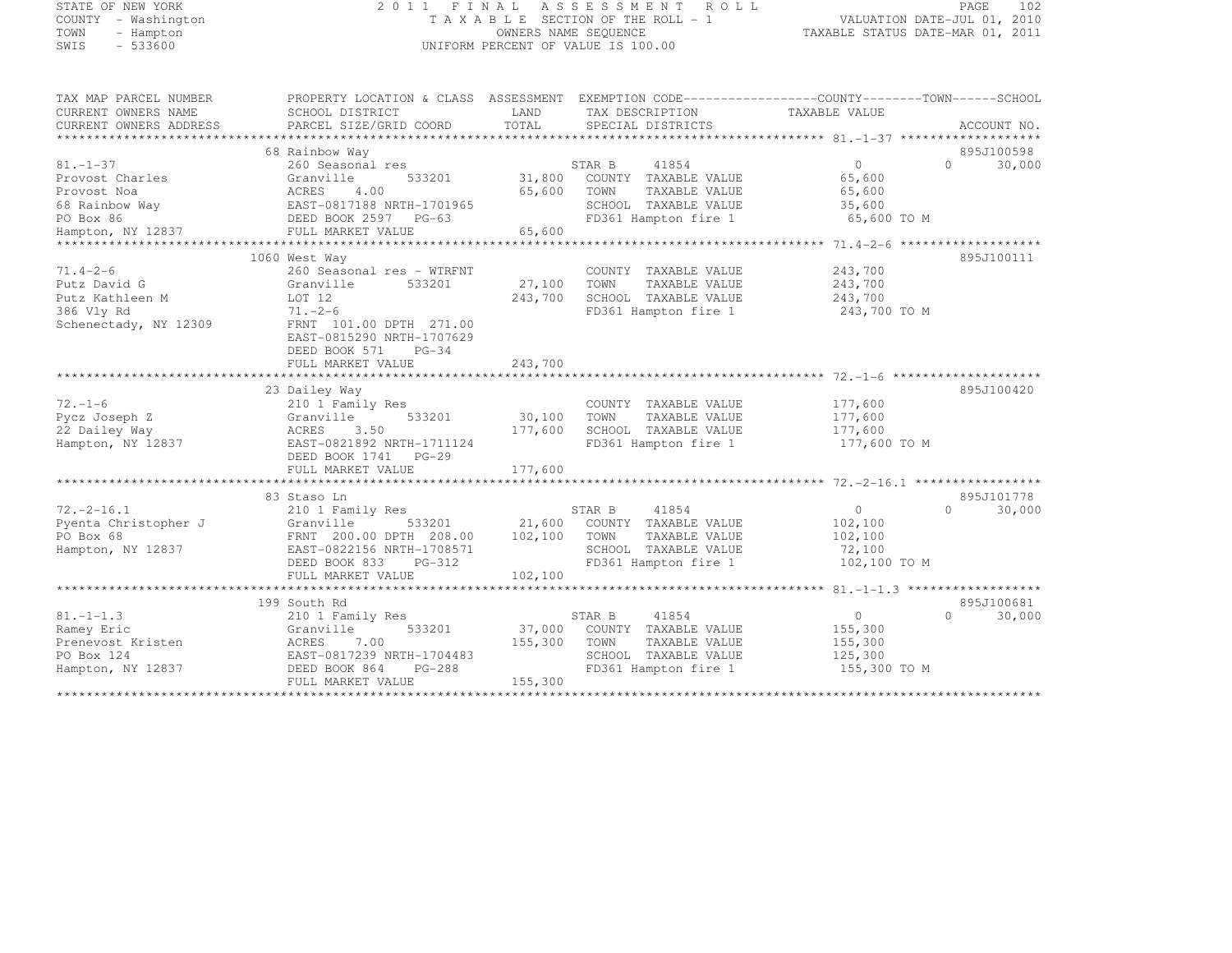# STATE OF NEW YORK 2 0 1 1 F I N A L A S S E S S M E N T R O L L PAGE <sup>102</sup> COUNTY - Washington T A X A B L E SECTION OF THE ROLL - 1 VALUATION DATE-JUL 01, 2010 TOWN - Hampton OWNERS NAME SEQUENCE TAXABLE STATUS DATE-MAR 01, 2011 SWIS - 533600 UNIFORM PERCENT OF VALUE IS 100.00

| TAX MAP PARCEL NUMBER  | PROPERTY LOCATION & CLASS ASSESSMENT EXEMPTION CODE-----------------COUNTY-------TOWN------SCHOOL |         |                                    |                |                     |
|------------------------|---------------------------------------------------------------------------------------------------|---------|------------------------------------|----------------|---------------------|
| CURRENT OWNERS NAME    | SCHOOL DISTRICT                                                                                   | LAND    | TAX DESCRIPTION                    | TAXABLE VALUE  |                     |
| CURRENT OWNERS ADDRESS | PARCEL SIZE/GRID COORD                                                                            | TOTAL   | SPECIAL DISTRICTS                  |                | ACCOUNT NO.         |
|                        |                                                                                                   |         |                                    |                |                     |
|                        | 68 Rainbow Way                                                                                    |         |                                    |                | 895J100598          |
| $81. - 1 - 37$         | 260 Seasonal res                                                                                  |         | STAR B<br>41854                    | $\Omega$       | 30,000<br>$\Omega$  |
| Provost Charles        | 533201<br>Granville                                                                               |         | 31,800 COUNTY TAXABLE VALUE        | 65,600         |                     |
| Provost Noa            | ACRES<br>4.00                                                                                     | 65,600  | TOWN<br>TAXABLE VALUE              | 65,600         |                     |
| 68 Rainbow Way         | EAST-0817188 NRTH-1701965                                                                         |         | SCHOOL TAXABLE VALUE               | 35,600         |                     |
| PO Box 86              | DEED BOOK 2597 PG-63                                                                              |         | FD361 Hampton fire 1               | 65,600 TO M    |                     |
| Hampton, NY 12837      | FULL MARKET VALUE                                                                                 | 65,600  |                                    |                |                     |
| **************         |                                                                                                   |         |                                    |                |                     |
|                        | 1060 West Way                                                                                     |         |                                    |                | 895J100111          |
| $71.4 - 2 - 6$         | 260 Seasonal res - WTRFNT                                                                         |         | COUNTY TAXABLE VALUE               | 243,700        |                     |
| Putz David G           | Granville<br>533201                                                                               | 27,100  | TOWN<br>TAXABLE VALUE              | 243,700        |                     |
| Putz Kathleen M        | LOT 12                                                                                            | 243,700 | SCHOOL TAXABLE VALUE               | 243,700        |                     |
| 386 Vly Rd             | $71. -2 - 6$                                                                                      |         | FD361 Hampton fire 1               | 243,700 TO M   |                     |
| Schenectady, NY 12309  | FRNT 101.00 DPTH 271.00                                                                           |         |                                    |                |                     |
|                        | EAST-0815290 NRTH-1707629                                                                         |         |                                    |                |                     |
|                        | DEED BOOK 571<br>$PG-34$                                                                          |         |                                    |                |                     |
|                        | FULL MARKET VALUE                                                                                 | 243,700 |                                    |                |                     |
|                        |                                                                                                   |         |                                    |                |                     |
|                        | 23 Dailey Way                                                                                     |         |                                    |                | 895J100420          |
| $72. - 1 - 6$          | 210 1 Family Res                                                                                  |         | COUNTY TAXABLE VALUE               | 177,600        |                     |
| Pycz Joseph Z          | 533201<br>Granville                                                                               | 30,100  | TOWN<br>TAXABLE VALUE              | 177,600        |                     |
| 22 Dailey Way          | ACRES 3.50                                                                                        | 177,600 | SCHOOL TAXABLE VALUE               | 177,600        |                     |
| Hampton, NY 12837      | EAST-0821892 NRTH-1711124                                                                         |         | FD361 Hampton fire 1               | 177,600 TO M   |                     |
|                        | DEED BOOK 1741 PG-29                                                                              |         |                                    |                |                     |
|                        | FULL MARKET VALUE                                                                                 | 177,600 |                                    |                |                     |
|                        |                                                                                                   |         |                                    |                |                     |
|                        |                                                                                                   |         |                                    |                | 895J101778          |
| $72, -2 - 16, 1$       | 83 Staso Ln<br>210 1 Family Res                                                                   |         | 41854<br>STAR B                    | $\overline{0}$ | $\bigcap$<br>30,000 |
| Pyenta Christopher J   |                                                                                                   |         | 533201 21,600 COUNTY TAXABLE VALUE |                |                     |
|                        | Granville                                                                                         |         |                                    | 102,100        |                     |
| PO Box 68              | FRNT 200.00 DPTH 208.00                                                                           | 102,100 | TOWN<br>TAXABLE VALUE              | 102,100        |                     |
| Hampton, NY 12837      | EAST-0822156 NRTH-1708571                                                                         |         | SCHOOL TAXABLE VALUE               | 72,100         |                     |
|                        | DEED BOOK 833<br>PG-312                                                                           |         | FD361 Hampton fire 1               | 102,100 TO M   |                     |
|                        | FULL MARKET VALUE                                                                                 | 102,100 |                                    |                |                     |
|                        |                                                                                                   |         |                                    |                |                     |
|                        | 199 South Rd                                                                                      |         |                                    |                | 895J100681          |
| $81. - 1 - 1.3$        | 210 1 Family Res                                                                                  |         | 41854<br>STAR B                    | 0              | $\cap$<br>30,000    |
| Ramey Eric             | Granville<br>533201                                                                               | 37,000  | COUNTY TAXABLE VALUE               | 155,300        |                     |
| Prenevost Kristen      | ACRES<br>7.00                                                                                     | 155,300 | TOWN<br>TAXABLE VALUE              | 155,300        |                     |
| PO Box 124             | EAST-0817239 NRTH-1704483                                                                         |         | SCHOOL TAXABLE VALUE               | 125,300        |                     |
| Hampton, NY 12837      | DEED BOOK 864<br>PG-288                                                                           |         | FD361 Hampton fire 1               | 155,300 TO M   |                     |
|                        | FULL MARKET VALUE                                                                                 | 155,300 |                                    |                |                     |
|                        |                                                                                                   |         |                                    |                |                     |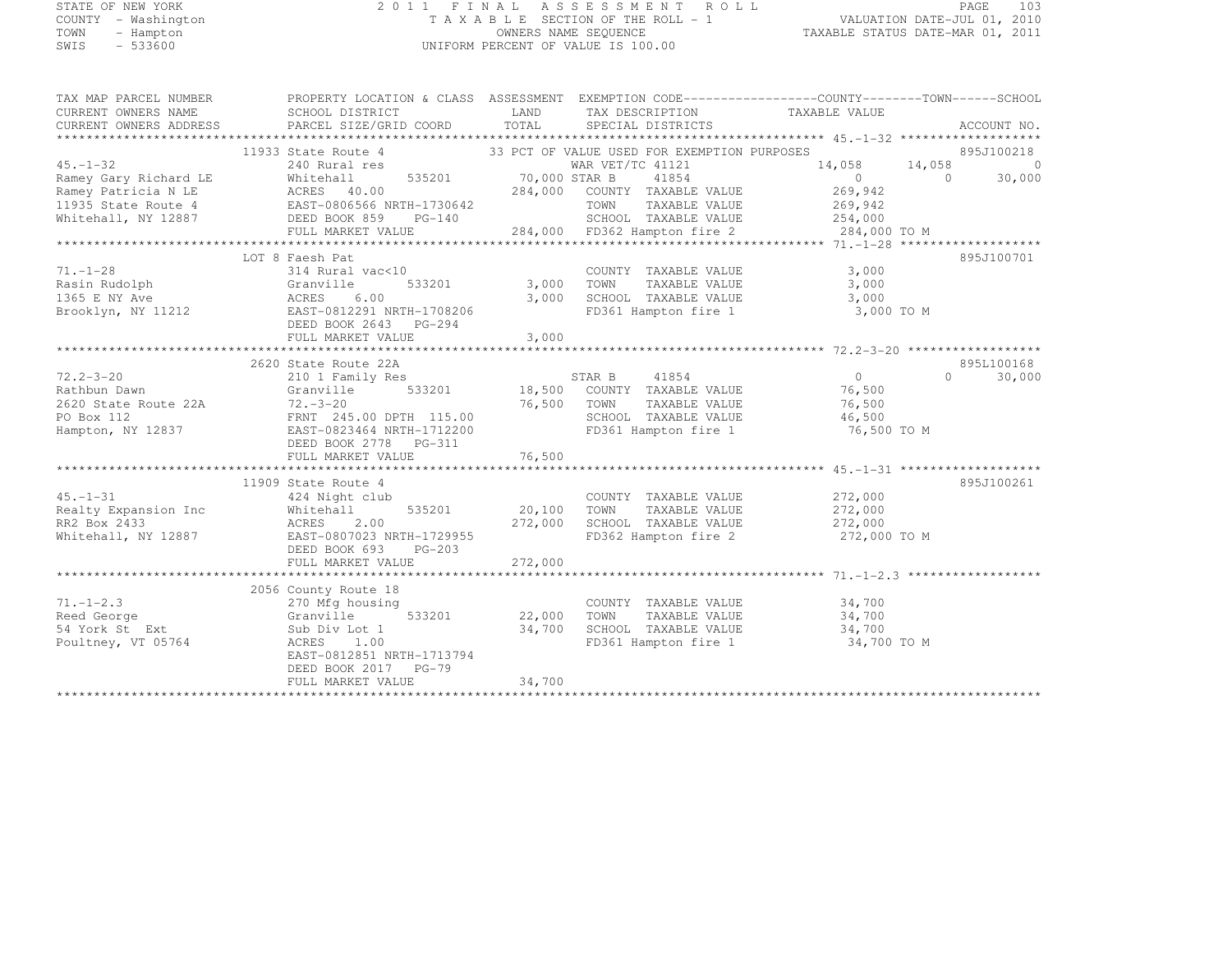# STATE OF NEW YORK 2 0 1 1 F I N A L A S S E S S M E N T R O L L PAGE <sup>103</sup> COUNTY - Washington T A X A B L E SECTION OF THE ROLL - 1 VALUATION DATE-JUL 01, 2010 TOWN - Hampton OWNERS NAME SEQUENCE TAXABLE STATUS DATE-MAR 01, 2011 SWIS - 533600 UNIFORM PERCENT OF VALUE IS 100.00

| TAX MAP PARCEL NUMBER                                                  | PROPERTY LOCATION & CLASS ASSESSMENT EXEMPTION CODE----------------COUNTY-------TOWN-----SCHOOL                                                                                                                                                   |         |                                                                                                                                                             |                                 |                                   |
|------------------------------------------------------------------------|---------------------------------------------------------------------------------------------------------------------------------------------------------------------------------------------------------------------------------------------------|---------|-------------------------------------------------------------------------------------------------------------------------------------------------------------|---------------------------------|-----------------------------------|
| CURRENT OWNERS NAME                                                    | SCHOOL DISTRICT                                                                                                                                                                                                                                   |         | LAND TAX DESCRIPTION TAXABLE VALUE                                                                                                                          |                                 |                                   |
| CURRENT OWNERS ADDRESS                                                 | PARCEL SIZE/GRID COORD TOTAL                                                                                                                                                                                                                      |         | SPECIAL DISTRICTS                                                                                                                                           |                                 | ACCOUNT NO.                       |
|                                                                        |                                                                                                                                                                                                                                                   |         |                                                                                                                                                             |                                 |                                   |
|                                                                        | 11933 State Route 4 33 PCT OF VALUE USED FOR EXEMPTION PURPOSES<br>240 Rural res 6 MAR VET/TC 41121<br>Whitehall 535201 70,000 STAR B 41854                                                                                                       |         |                                                                                                                                                             |                                 | 895J100218                        |
| $45. -1 - 32$                                                          |                                                                                                                                                                                                                                                   |         |                                                                                                                                                             |                                 | $14,058$ $14,058$ 0<br>0 0 30,000 |
|                                                                        |                                                                                                                                                                                                                                                   |         |                                                                                                                                                             | $\begin{matrix}0&0\end{matrix}$ | 30,000                            |
|                                                                        |                                                                                                                                                                                                                                                   |         |                                                                                                                                                             |                                 |                                   |
|                                                                        |                                                                                                                                                                                                                                                   |         |                                                                                                                                                             |                                 |                                   |
|                                                                        | 45.-1-32<br>Ramey Gary Richard LE MAR WAR WAR WAR WEI/IC 41121<br>Ramey Gary Richard LE MCRES 40.00<br>Ramey Patricia N LE ACRES 40.00<br>269,942<br>Ramey Patricia N LE ACRES 40.00<br>269,942<br>EAST-0806566 NRTH-1730642<br>DEED BOOK 859     |         |                                                                                                                                                             |                                 |                                   |
|                                                                        | 1935 State Route 4<br>TOWN TAXABLE VALUE 269,942<br>Whitehall, NY 12887 DEED BOOK 859 PG-140 284,000 FD362 Hampton fire 2 284,000 TO M<br>FULL MARKET VALUE 284,000 FD362 Hampton fire 2 284,000 TO M<br>*****************************            |         |                                                                                                                                                             |                                 |                                   |
|                                                                        |                                                                                                                                                                                                                                                   |         |                                                                                                                                                             |                                 |                                   |
|                                                                        | LOT 8 Faesh Pat                                                                                                                                                                                                                                   |         |                                                                                                                                                             |                                 | 895J100701                        |
| $71. - 1 - 28$                                                         | 314 Rural vac<10                                                                                                                                                                                                                                  |         | 0 COUNTY TAXABLE VALUE<br>533201 3,000 TOWN TAXABLE VALUE                                                                                                   | 3,000                           |                                   |
|                                                                        |                                                                                                                                                                                                                                                   |         |                                                                                                                                                             | 3,000                           |                                   |
|                                                                        | 6.00                                                                                                                                                                                                                                              |         | 3,000 SCHOOL TAXABLE VALUE 3,000                                                                                                                            |                                 |                                   |
|                                                                        | Brooklyn, NY 11212 EAST-0812291 NRTH-1708206                                                                                                                                                                                                      |         | FD361 Hampton fire 1 3,000 TO M                                                                                                                             |                                 |                                   |
|                                                                        | DEED BOOK 2643 PG-294                                                                                                                                                                                                                             |         |                                                                                                                                                             |                                 |                                   |
|                                                                        | FULL MARKET VALUE                                                                                                                                                                                                                                 | 3,000   |                                                                                                                                                             |                                 |                                   |
|                                                                        |                                                                                                                                                                                                                                                   |         |                                                                                                                                                             |                                 |                                   |
|                                                                        | 2620 State Route 22A<br>2620 State Route 22A<br>2620 State Route 22A<br>2620 State Route 22A<br>2620 State Route 22A<br>2620 State Route 22A<br>2620 State Route 22A<br>2620 State Route 22A<br>26.500 TOWN TAXABLE VALUE<br>26,500<br>2620 State |         |                                                                                                                                                             |                                 | 895L100168                        |
|                                                                        |                                                                                                                                                                                                                                                   |         |                                                                                                                                                             |                                 | $\Omega$<br>30,000                |
|                                                                        |                                                                                                                                                                                                                                                   |         |                                                                                                                                                             |                                 |                                   |
|                                                                        |                                                                                                                                                                                                                                                   |         |                                                                                                                                                             |                                 |                                   |
|                                                                        |                                                                                                                                                                                                                                                   |         |                                                                                                                                                             |                                 |                                   |
|                                                                        |                                                                                                                                                                                                                                                   |         |                                                                                                                                                             | 76,500 TO M                     |                                   |
|                                                                        | DEED BOOK 2778 PG-311                                                                                                                                                                                                                             |         |                                                                                                                                                             |                                 |                                   |
|                                                                        |                                                                                                                                                                                                                                                   |         |                                                                                                                                                             |                                 |                                   |
|                                                                        |                                                                                                                                                                                                                                                   |         |                                                                                                                                                             |                                 |                                   |
|                                                                        | 11909 State Route 4                                                                                                                                                                                                                               |         |                                                                                                                                                             |                                 | 895J100261                        |
|                                                                        |                                                                                                                                                                                                                                                   |         | $\begin{array}{cccccc} \text{COUNTY} & \text{TAXABLE VALUE} & \text{272,000} \\ 535201 & 20,100 & \text{TOWN} & \text{TAXABLE VALUE} & 272,000 \end{array}$ |                                 |                                   |
|                                                                        |                                                                                                                                                                                                                                                   |         |                                                                                                                                                             |                                 |                                   |
|                                                                        |                                                                                                                                                                                                                                                   |         |                                                                                                                                                             |                                 |                                   |
|                                                                        | 45.-1-31<br>Realty Expansion Inc 424 Night club<br>RR2 Box 2433<br>Whitehall, NY 12887<br>REAST-0807023 NRTH-1729955<br>REAST-0807023 NRTH-1729955                                                                                                |         | 272,000 SCHOOL TAXABLE VALUE 272,000<br>729955 FD362 Hampton fire 2 272,000<br>FD362 Hampton fire 2 272,000 TO M                                            |                                 |                                   |
|                                                                        |                                                                                                                                                                                                                                                   |         |                                                                                                                                                             |                                 |                                   |
|                                                                        | FULL MARKET VALUE                                                                                                                                                                                                                                 | 272,000 |                                                                                                                                                             |                                 |                                   |
|                                                                        |                                                                                                                                                                                                                                                   |         |                                                                                                                                                             |                                 |                                   |
|                                                                        | te 18<br>using 533201 22,000 TOWN<br>2056 County Route 18                                                                                                                                                                                         |         |                                                                                                                                                             |                                 |                                   |
| $71. - 1 - 2.3$<br>$r_1 - r_2 \ldots$<br>Reed George<br>54 York St Ext | 270 Mfg housing                                                                                                                                                                                                                                   |         | COUNTY TAXABLE VALUE 34,700<br>TOWN TAXABLE VALUE 34,700                                                                                                    |                                 |                                   |
|                                                                        | Granville                                                                                                                                                                                                                                         |         |                                                                                                                                                             |                                 |                                   |
|                                                                        | Sub Div Lot 1                                                                                                                                                                                                                                     |         | 34,700 SCHOOL TAXABLE VALUE 34,700                                                                                                                          |                                 |                                   |
| Poultney, VT 05764                                                     | ACRES 1.00                                                                                                                                                                                                                                        |         | FD361 Hampton fire 1 34,700 TO M                                                                                                                            |                                 |                                   |
|                                                                        | EAST-0812851 NRTH-1713794<br>DEED BOOK 2017 PG-79                                                                                                                                                                                                 |         |                                                                                                                                                             |                                 |                                   |
|                                                                        | FULL MARKET VALUE                                                                                                                                                                                                                                 | 34,700  |                                                                                                                                                             |                                 |                                   |
|                                                                        |                                                                                                                                                                                                                                                   |         |                                                                                                                                                             |                                 |                                   |
|                                                                        |                                                                                                                                                                                                                                                   |         |                                                                                                                                                             |                                 |                                   |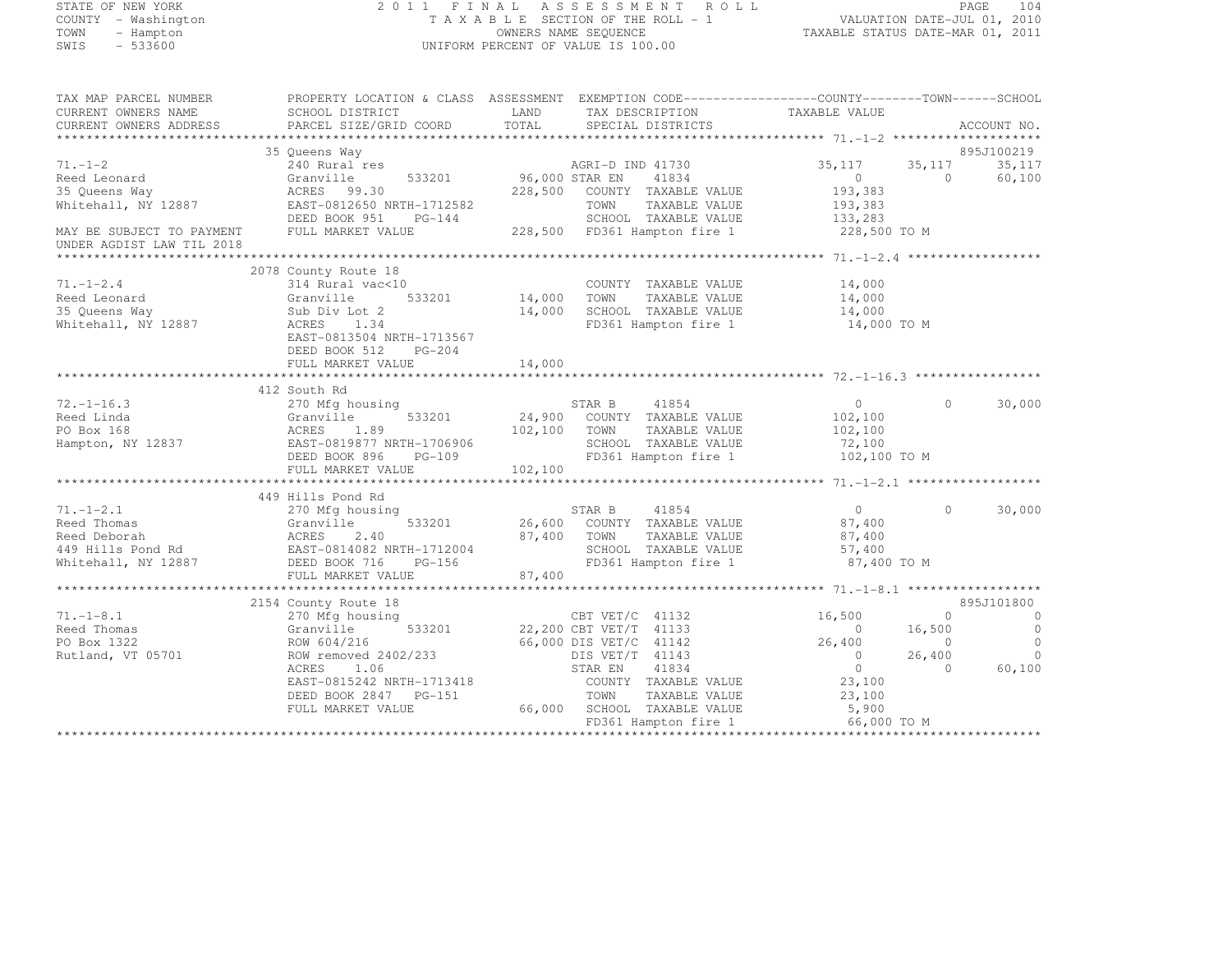# STATE OF NEW YORK 2 0 1 1 F I N A L A S S E S S M E N T R O L L PAGE <sup>104</sup> COUNTY - Washington T A X A B L E SECTION OF THE ROLL - 1 VALUATION DATE-JUL 01, 2010 TOWN - Hampton OWNERS NAME SEQUENCE TAXABLE STATUS DATE-MAR 01, 2011 SWIS - 533600 UNIFORM PERCENT OF VALUE IS 100.00

| TAX MAP PARCEL NUMBER                       | PROPERTY LOCATION & CLASS ASSESSMENT EXEMPTION CODE----------------COUNTY-------TOWN------SCHOOL |                       |                                                     |                   |            |                |
|---------------------------------------------|--------------------------------------------------------------------------------------------------|-----------------------|-----------------------------------------------------|-------------------|------------|----------------|
| CURRENT OWNERS NAME                         | SCHOOL DISTRICT                                                                                  | LAND                  | TAX DESCRIPTION                                     | TAXABLE VALUE     |            |                |
|                                             |                                                                                                  |                       |                                                     |                   |            | ACCOUNT NO.    |
|                                             |                                                                                                  |                       |                                                     |                   |            |                |
|                                             | 35 Queens Way                                                                                    |                       |                                                     |                   |            | 895J100219     |
| $71. - 1 - 2$                               | es<br>533201 533201 96,000 STAR EN<br>240 Rural res                                              |                       | AGRI-D IND 41730                                    | 35,117            | 35, 117    | 35,117         |
| Reed Leonard                                | Granville                                                                                        |                       | 41834                                               | $\overline{0}$    | $\Omega$   | 60,100         |
| 35 Queens Way                               | ACRES 99.30                                                                                      |                       | 228,500 COUNTY TAXABLE VALUE                        | 193,383           |            |                |
| Whitehall, NY 12887                         | EAST-0812650 NRTH-1712582                                                                        |                       | TOWN<br>TAXABLE VALUE                               | 193,383           |            |                |
|                                             | DEED BOOK 951                                                                                    | $n-1/12582$<br>PG-144 | SCHOOL TAXABLE VALUE                                | 133,283           |            |                |
| MAY BE SUBJECT TO PAYMENT FULL MARKET VALUE |                                                                                                  |                       | 228,500 FD361 Hampton fire 1                        | 228,500 TO M      |            |                |
| UNDER AGDIST LAW TIL 2018                   |                                                                                                  |                       |                                                     |                   |            |                |
|                                             |                                                                                                  |                       |                                                     |                   |            |                |
|                                             | 2078 County Route 18                                                                             |                       |                                                     |                   |            |                |
| $71. - 1 - 2.4$                             | 314 Rural vac<10                                                                                 |                       | COUNTY TAXABLE VALUE 14,000                         |                   |            |                |
| Reed Leonard                                | Granville                                                                                        |                       | TAXABLE VALUE                                       | 14,000            |            |                |
| 35 Queens Way                               | Sub Div Lot 2                                                                                    |                       |                                                     | 14,000            |            |                |
| Whitehall, NY 12887                         | ACRES 1.34                                                                                       |                       | 14,000 SCHOOL TAXABLE VALUE<br>FD361 Hampton fire 1 | 14,000 TO M       |            |                |
|                                             | EAST-0813504 NRTH-1713567                                                                        |                       |                                                     |                   |            |                |
|                                             | DEED BOOK 512<br>$PG-204$                                                                        |                       |                                                     |                   |            |                |
|                                             | FULL MARKET VALUE                                                                                | 14,000                |                                                     |                   |            |                |
|                                             |                                                                                                  |                       |                                                     |                   |            |                |
|                                             |                                                                                                  |                       |                                                     |                   |            |                |
|                                             | 412 South Rd                                                                                     |                       |                                                     |                   |            |                |
| $72. - 1 - 16.3$                            | 270 Mfg housing                                                                                  |                       | STAR B 41854<br>24,900 COUNTY TAXABLE VALUE         | $\overline{0}$    | $\Omega$   | 30,000         |
| Reed Linda                                  | 533201<br>Granville                                                                              |                       |                                                     | 102,100           |            |                |
| PO Box 168                                  | ACRES 1.89<br>EAST-0819877 NRTH-1706906                                                          | 102,100 TOWN          | TAXABLE VALUE                                       | 102,100           |            |                |
| Hampton, NY 12837                           |                                                                                                  | H-1706906<br>PG-109   | SCHOOL TAXABLE VALUE                                | 72,100            |            |                |
|                                             | DEED BOOK 896                                                                                    |                       | FD361 Hampton fire 1                                | 102,100 TO M      |            |                |
|                                             | FULL MARKET VALUE                                                                                | 102,100               |                                                     |                   |            |                |
|                                             |                                                                                                  |                       |                                                     |                   |            |                |
|                                             | 449 Hills Pond Rd                                                                                |                       |                                                     |                   |            |                |
| $71. - 1 - 2.1$                             | 270 Mfg housing                                                                                  |                       | STAR B 41854                                        | $\overline{0}$    | $\Omega$   | 30,000         |
|                                             |                                                                                                  |                       | 26,600 COUNTY TAXABLE VALUE                         | 87,400<br>87.400  |            |                |
|                                             |                                                                                                  |                       | 87,400 TOWN<br>TAXABLE VALUE                        | 87,400            |            |                |
|                                             |                                                                                                  |                       | SCHOOL TAXABLE VALUE                                | 57,400            |            |                |
|                                             |                                                                                                  |                       | FD361 Hampton fire 1                                | 87,400 TO M       |            |                |
|                                             | FULL MARKET VALUE                                                                                | 87,400                |                                                     |                   |            |                |
|                                             |                                                                                                  |                       |                                                     |                   |            |                |
|                                             | 2154 County Route 18                                                                             |                       | CBT VET/C 41132                                     |                   |            | 895J101800     |
| $71. - 1 - 8.1$                             | 270 Mfg housing                                                                                  |                       |                                                     | 16,500            | $\Omega$   | $\overline{0}$ |
| Reed Thomas                                 | Granville                                                                                        |                       | 533201 22,200 CBT VET/T 41133                       | $\sim$ 0          | 16,500     | $\overline{0}$ |
| PO Box 1322                                 | ROW 604/216                                                                                      |                       | 66,000 DIS VET/C 41142                              | 26,400            | $\sim$ 0   | $\Omega$       |
| Rutland, VT 05701                           | ROW removed 2402/233                                                                             |                       | DIS VET/T 41143                                     | $\overline{0}$    | 26,400     | $\bigcirc$     |
|                                             | ACRES<br>1.06                                                                                    |                       | STAR EN<br>41834                                    | $\bigcirc$        | $\bigcirc$ | 60,100         |
|                                             | EAST-0815242 NRTH-1713418                                                                        |                       | COUNTY TAXABLE VALUE                                | 23,100            |            |                |
|                                             | DEED BOOK 2847 PG-151                                                                            |                       |                                                     |                   |            |                |
|                                             | FULL MARKET VALUE                                                                                |                       | TOWN TAXABLE VALUE<br>66,000 SCHOOL TAXABLE VALUE   | $23,100$<br>5,900 |            |                |
|                                             |                                                                                                  |                       | FD361 Hampton fire 1 66,000 TO M                    |                   |            |                |
|                                             |                                                                                                  |                       |                                                     |                   |            |                |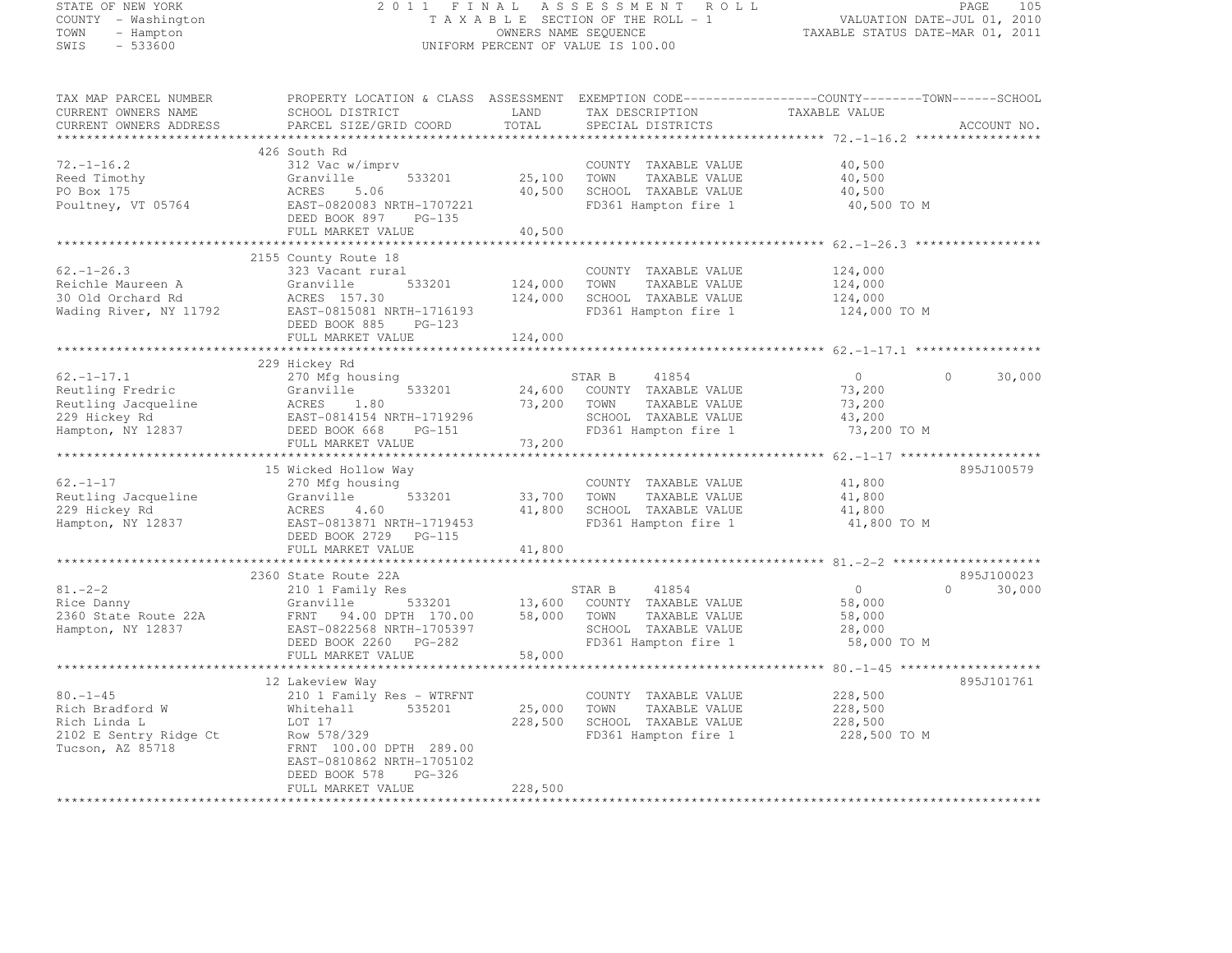STATE OF NEW YORK 2 0 1 1 F I N A L A S S E S S M E N T R O L L PAGE <sup>105</sup> COUNTY - Washington T A X A B L E SECTION OF THE ROLL - 1 VALUATION DATE-JUL 01, 2010 TOWN - Hampton OWNERS NAME SEQUENCE TAXABLE STATUS DATE-MAR 01, 2011 SWIS - 533600 UNIFORM PERCENT OF VALUE IS 100.00 TAX MAP PARCEL NUMBER PROPERTY LOCATION & CLASS ASSESSMENT EXEMPTION CODE------------------COUNTY--------TOWN------SCHOOL CURRENT OWNERS NAME SCHOOL DISTRICT LAND TAX DESCRIPTION TAXABLE VALUE<br>CURRENT OWNERS ADDRESS PARCEL SIZE/GRID COORD TOTAL SPECIAL DISTRICTS ACCOUNT NO. \*\*\*\*\*\*\*\*\*\*\*\*\*\*\*\*\*\*\*\*\*\*\*\*\*\*\*\*\*\*\*\*\*\*\*\*\*\*\*\*\*\*\*\*\*\*\*\*\*\*\*\*\*\*\*\*\*\*\*\*\*\*\*\*\*\*\*\*\*\*\*\*\*\*\*\*\*\*\*\*\*\*\*\*\*\*\*\*\*\*\*\*\*\*\*\*\*\*\*\*\*\*\* 72.-1-16.2 \*\*\*\*\*\*\*\*\*\*\*\*\*\*\*\*\*426 South Rd<br>
312 Vac w/imprv COUNTY TAXABLE VALUE 40,500<br>
25.188 TOUR COUNTY TAXABLE VALUE Reed Timothy Granville 533201 25,100 TOWN TAXABLE VALUE 40,500 PO Box 175 ACRES 5.06 40,500 SCHOOL TAXABLE VALUE 40,500 40,500 Poultney, VT 05764 EAST-0820083 NRTH-1707221 FD361 Hampton fire 1 40,500 TO M DEED BOOK 897 PG-135 FULL MARKET VALUE 40,500 \*\*\*\*\*\*\*\*\*\*\*\*\*\*\*\*\*\*\*\*\*\*\*\*\*\*\*\*\*\*\*\*\*\*\*\*\*\*\*\*\*\*\*\*\*\*\*\*\*\*\*\*\*\*\*\*\*\*\*\*\*\*\*\*\*\*\*\*\*\*\*\*\*\*\*\*\*\*\*\*\*\*\*\*\*\*\*\*\*\*\*\*\*\*\*\*\*\*\*\*\*\*\* 62.-1-26.3 \*\*\*\*\*\*\*\*\*\*\*\*\*\*\*\*\*2155 County Route 18<br>
223 Vacant rural COUNTY TAXABLE VALUE 124,000<br>
22.1-26.3 323 Vacant rural COUNTY TAXABLE VALUE 124,000 Reichle Maureen A Granville 533201 124,000 TOWN TAXABLE VALUE 124,000 30 Old Orchard Rd ACRES 157.30 124,000 SCHOOL TAXABLE VALUE 124,000 Wading River, NY 11792 EAST-0815081 NRTH-1716193 FD361 Hampton fire 1 124,000 TO M DEED BOOK 885 PG-123 FULL MARKET VALUE 124,000 \*\*\*\*\*\*\*\*\*\*\*\*\*\*\*\*\*\*\*\*\*\*\*\*\*\*\*\*\*\*\*\*\*\*\*\*\*\*\*\*\*\*\*\*\*\*\*\*\*\*\*\*\*\*\*\*\*\*\*\*\*\*\*\*\*\*\*\*\*\*\*\*\*\*\*\*\*\*\*\*\*\*\*\*\*\*\*\*\*\*\*\*\*\*\*\*\*\*\*\*\*\*\* 62.-1-17.1 \*\*\*\*\*\*\*\*\*\*\*\*\*\*\*\*\*229 Hickey Rd<br>
270 Mfg housing STAR B 41854 0 0 30,000<br>
270 Mfg housing States of California STAR B 41854 0 30,000 Reutling Fredric Granville 533201 24,600 COUNTY TAXABLE VALUE 73,200 Reutling Jacqueline ACRES 1.80 73,200 TOWN TAXABLE VALUE 73,200 229 Hickey Rd EAST-0814154 NRTH-1719296 SCHOOL TAXABLE VALUE 43,200 Hampton, NY 12837 DEED BOOK 668 PG-151 FD361 Hampton fire 1 73,200 TO M FULL MARKET VALUE 73,200 \*\*\*\*\*\*\*\*\*\*\*\*\*\*\*\*\*\*\*\*\*\*\*\*\*\*\*\*\*\*\*\*\*\*\*\*\*\*\*\*\*\*\*\*\*\*\*\*\*\*\*\*\*\*\*\*\*\*\*\*\*\*\*\*\*\*\*\*\*\*\*\*\*\*\*\*\*\*\*\*\*\*\*\*\*\*\*\*\*\*\*\*\*\*\*\*\*\*\*\*\*\*\* 62.-1-17 \*\*\*\*\*\*\*\*\*\*\*\*\*\*\*\*\*\*\*15 Wicked Hollow Way 895J100579<br>270 Mfg housing County COUNTY TAXABLE VALUE 41,800 41,800<br>200 Mig 10000 41,800 41,800 41,800 41,800 41,800 41,800 41,800 41,800 41,800 41,800 41,800 41,800 41,800 41,8 Reutling Jacqueline Granville 533201 33,700 TOWN TAXABLE VALUE 41,800 229 Hickey Rd ACRES 4.60 41,800 SCHOOL TAXABLE VALUE 41,800 Hampton, NY 12837 EAST-0813871 NRTH-1719453 FD361 Hampton fire 1 41,800 TO M DEED BOOK 2729 PG-115 FULL MARKET VALUE 41,800 \*\*\*\*\*\*\*\*\*\*\*\*\*\*\*\*\*\*\*\*\*\*\*\*\*\*\*\*\*\*\*\*\*\*\*\*\*\*\*\*\*\*\*\*\*\*\*\*\*\*\*\*\*\*\*\*\*\*\*\*\*\*\*\*\*\*\*\*\*\*\*\*\*\*\*\*\*\*\*\*\*\*\*\*\*\*\*\*\*\*\*\*\*\*\*\*\*\*\*\*\*\*\* 81.-2-2 \*\*\*\*\*\*\*\*\*\*\*\*\*\*\*\*\*\*\*\*2360 State Route 22A 895J100023<br>210 1 Family Res 30,000 STAR B 41854 0 30,000 30,000<br>21 -2-2 210 1 Family Res STAR B 41854 0 30,000 30,000 Rice Danny Granville 533201 13,600 COUNTY TAXABLE VALUE 58,000 2360 State Route 22A FRNT 94.00 DPTH 170.00 58,000 TOWN TAXABLE VALUE 58,000 Hampton, NY 12837 EAST-0822568 NRTH-1705397 SCHOOL TAXABLE VALUE 28,000 DEED BOOK 2260 PG-282 FD361 Hampton fire 1 58,000 TO M FULL MARKET VALUE 58,000 \*\*\*\*\*\*\*\*\*\*\*\*\*\*\*\*\*\*\*\*\*\*\*\*\*\*\*\*\*\*\*\*\*\*\*\*\*\*\*\*\*\*\*\*\*\*\*\*\*\*\*\*\*\*\*\*\*\*\*\*\*\*\*\*\*\*\*\*\*\*\*\*\*\*\*\*\*\*\*\*\*\*\*\*\*\*\*\*\*\*\*\*\*\*\*\*\*\*\*\*\*\*\* 80.-1-45 \*\*\*\*\*\*\*\*\*\*\*\*\*\*\*\*\*\*\*895J101761 12 Lakeview Way 895J10176180.-1-45 210 1 Family Res - WTRFNT COUNTY TAXABLE VALUE 228,500

Rich Bradford W Whitehall 535201 25,000 TOWN TAXABLE VALUE 228,500 Rich Linda L LOT 17 228,500 SCHOOL TAXABLE VALUE 228,500 2102 E Sentry Ridge Ct Row 578/329 FOR ROW FD361 Hampton fire 1 228,500 TO M Tucson, AZ 85718 FRNT 100.00 DPTH 289.00<br>EAST-0810862 NRTH-1705102<br>DEED BOOK 578 PG-326

 FULL MARKET VALUE 228,500 \*\*\*\*\*\*\*\*\*\*\*\*\*\*\*\*\*\*\*\*\*\*\*\*\*\*\*\*\*\*\*\*\*\*\*\*\*\*\*\*\*\*\*\*\*\*\*\*\*\*\*\*\*\*\*\*\*\*\*\*\*\*\*\*\*\*\*\*\*\*\*\*\*\*\*\*\*\*\*\*\*\*\*\*\*\*\*\*\*\*\*\*\*\*\*\*\*\*\*\*\*\*\*\*\*\*\*\*\*\*\*\*\*\*\*\*\*\*\*\*\*\*\*\*\*\*\*\*\*\*\*\*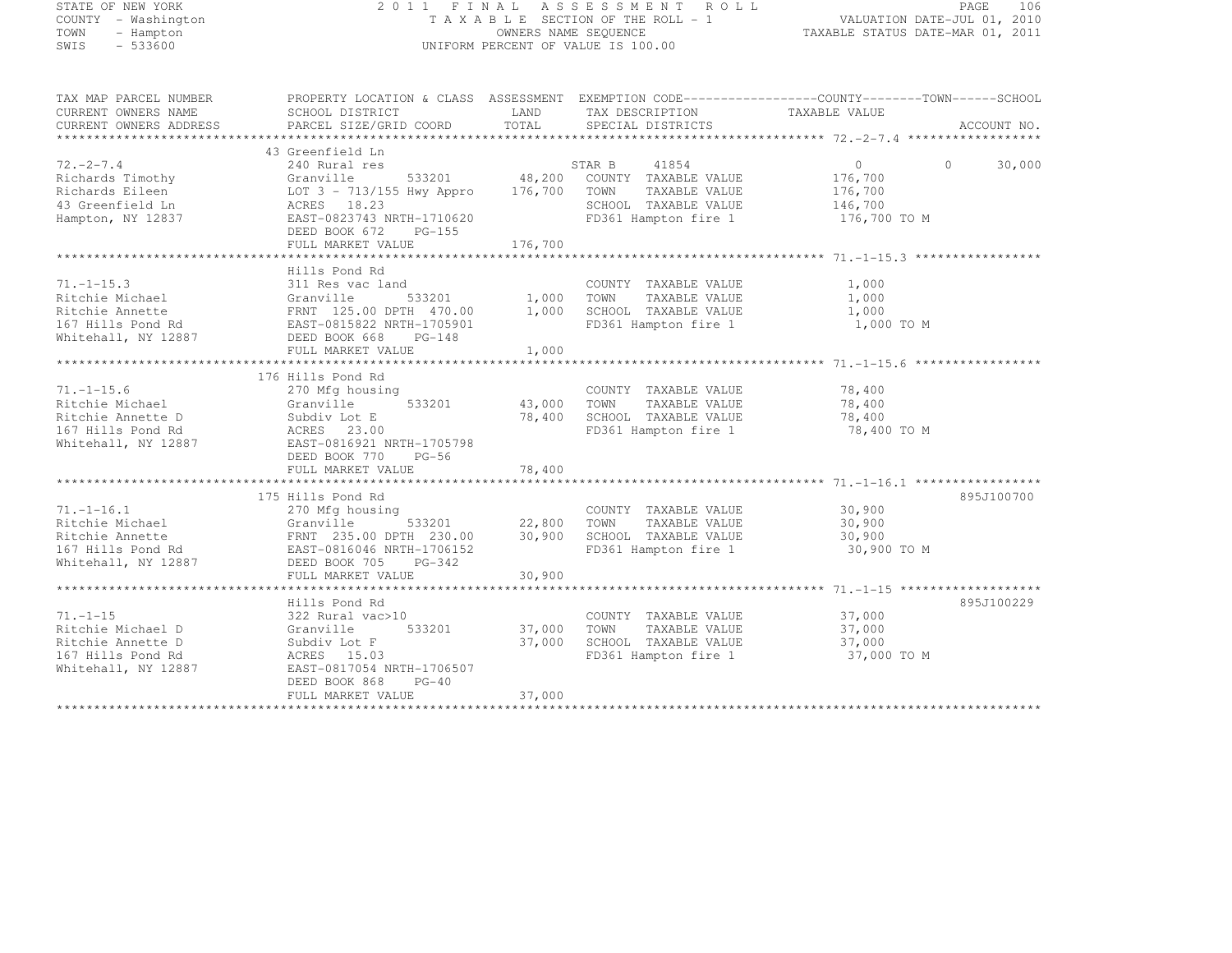# STATE OF NEW YORK 2 0 1 1 F I N A L A S S E S S M E N T R O L L PAGE <sup>106</sup> COUNTY - Washington T A X A B L E SECTION OF THE ROLL - 1 VALUATION DATE-JUL 01, 2010 TOWN - Hampton OWNERS NAME SEQUENCE TAXABLE STATUS DATE-MAR 01, 2011 SWIS - 533600 UNIFORM PERCENT OF VALUE IS 100.00

| TAX MAP PARCEL NUMBER<br>CURRENT OWNERS NAME<br>CURRENT OWNERS ADDRESS                                                      | PROPERTY LOCATION & CLASS ASSESSMENT EXEMPTION CODE----------------COUNTY-------TOWN-----SCHOOL<br>SCHOOL DISTRICT<br>PARCEL SIZE/GRID COORD                           | LAND<br>TOTAL                       | TAX DESCRIPTION<br>SPECIAL DISTRICTS                                                                         | TAXABLE VALUE                                                   | ACCOUNT NO.        |
|-----------------------------------------------------------------------------------------------------------------------------|------------------------------------------------------------------------------------------------------------------------------------------------------------------------|-------------------------------------|--------------------------------------------------------------------------------------------------------------|-----------------------------------------------------------------|--------------------|
|                                                                                                                             |                                                                                                                                                                        |                                     |                                                                                                              |                                                                 |                    |
| $72, -2 - 7, 4$<br>Richards Timothy<br>Richards Eileen<br>43 Greenfield Ln<br>Hampton, NY 12837                             | 43 Greenfield Ln<br>240 Rural res<br>533201<br>Granville<br>LOT 3 - 713/155 Hwy Appro<br>ACRES 18.23<br>EAST-0823743 NRTH-1710620<br>DEED BOOK 672 PG-155              | 176,700 TOWN                        | STAR B 41854<br>48,200 COUNTY TAXABLE VALUE<br>TAXABLE VALUE<br>SCHOOL TAXABLE VALUE<br>FD361 Hampton fire 1 | $\overline{0}$<br>176,700<br>176,700<br>146,700<br>176,700 TO M | $\Omega$<br>30,000 |
|                                                                                                                             | FULL MARKET VALUE                                                                                                                                                      | 176,700                             |                                                                                                              |                                                                 |                    |
|                                                                                                                             |                                                                                                                                                                        |                                     |                                                                                                              |                                                                 |                    |
| $71, -1 - 15.3$<br>Ritchie Michael<br>Ritchie Annette<br>167 Hills Pond Rd EAST-0815822 NRTH-1705901<br>Whitehall, NY 12887 | Hills Pond Rd<br>311 Res vac land<br>Granville 533201<br>FRNT 125.00 DPTH 470.00<br>DEED BOOK 668<br>PG-148<br>FULL MARKET VALUE                                       | 533201 1,000 TOWN<br>1,000<br>1,000 | COUNTY TAXABLE VALUE<br>TAXABLE VALUE<br>SCHOOL TAXABLE VALUE<br>FD361 Hampton fire 1                        | 1,000<br>1,000<br>1,000<br>1,000 TO M                           |                    |
|                                                                                                                             |                                                                                                                                                                        |                                     |                                                                                                              |                                                                 |                    |
| $71. - 1 - 15.6$<br>Ritchie Michael<br>Ritchie Annette D<br>167 Hills Pond Rd<br>Whitehall, NY 12887                        | 176 Hills Pond Rd<br>270 Mfg housing<br>533201<br>Granville<br>Subdiv Lot E<br>ACRES 23.00<br>EAST-0816921 NRTH-1705798<br>DEED BOOK 770<br>PG-56<br>FULL MARKET VALUE | 43,000 TOWN<br>78,400               | COUNTY TAXABLE VALUE<br>TAXABLE VALUE<br>78,400 SCHOOL TAXABLE VALUE<br>FD361 Hampton fire 1                 | 78,400<br>78,400<br>78,400<br>78,400 TO M                       |                    |
|                                                                                                                             | 175 Hills Pond Rd                                                                                                                                                      |                                     |                                                                                                              |                                                                 | 895J100700         |
| $71. - 1 - 16.1$<br>Ritchie Michael<br>Whitehall, NY 12887                                                                  | 270 Mfg housing<br>Granville<br>DEED BOOK 705 PG-342                                                                                                                   | 533201 22,800<br>30,900             | COUNTY TAXABLE VALUE<br>TOWN<br>TAXABLE VALUE<br>SCHOOL TAXABLE VALUE<br>FD361 Hampton fire 1                | 30,900<br>30,900<br>30,900<br>30,900 TO M                       |                    |
|                                                                                                                             | FULL MARKET VALUE                                                                                                                                                      | 30,900                              |                                                                                                              |                                                                 |                    |
| $71. - 1 - 15$<br>Ritchie Michael D<br>Ritchie Annette D<br>167 Hills Pond Rd<br>Whitehall, NY 12887                        | Hills Pond Rd<br>322 Rural vac>10<br>533201<br>Granville<br>Subdiv Lot F<br>ACRES 15.03<br>EAST-0817054 NRTH-1706507<br>DEED BOOK 868<br>$PG-40$                       | 37,000<br>37,000                    | COUNTY TAXABLE VALUE<br>TOWN<br>TAXABLE VALUE<br>SCHOOL TAXABLE VALUE<br>FD361 Hampton fire 1                | 37,000<br>37,000<br>37,000<br>37,000 TO M                       | 895J100229         |
|                                                                                                                             | FULL MARKET VALUE                                                                                                                                                      | 37,000                              |                                                                                                              |                                                                 |                    |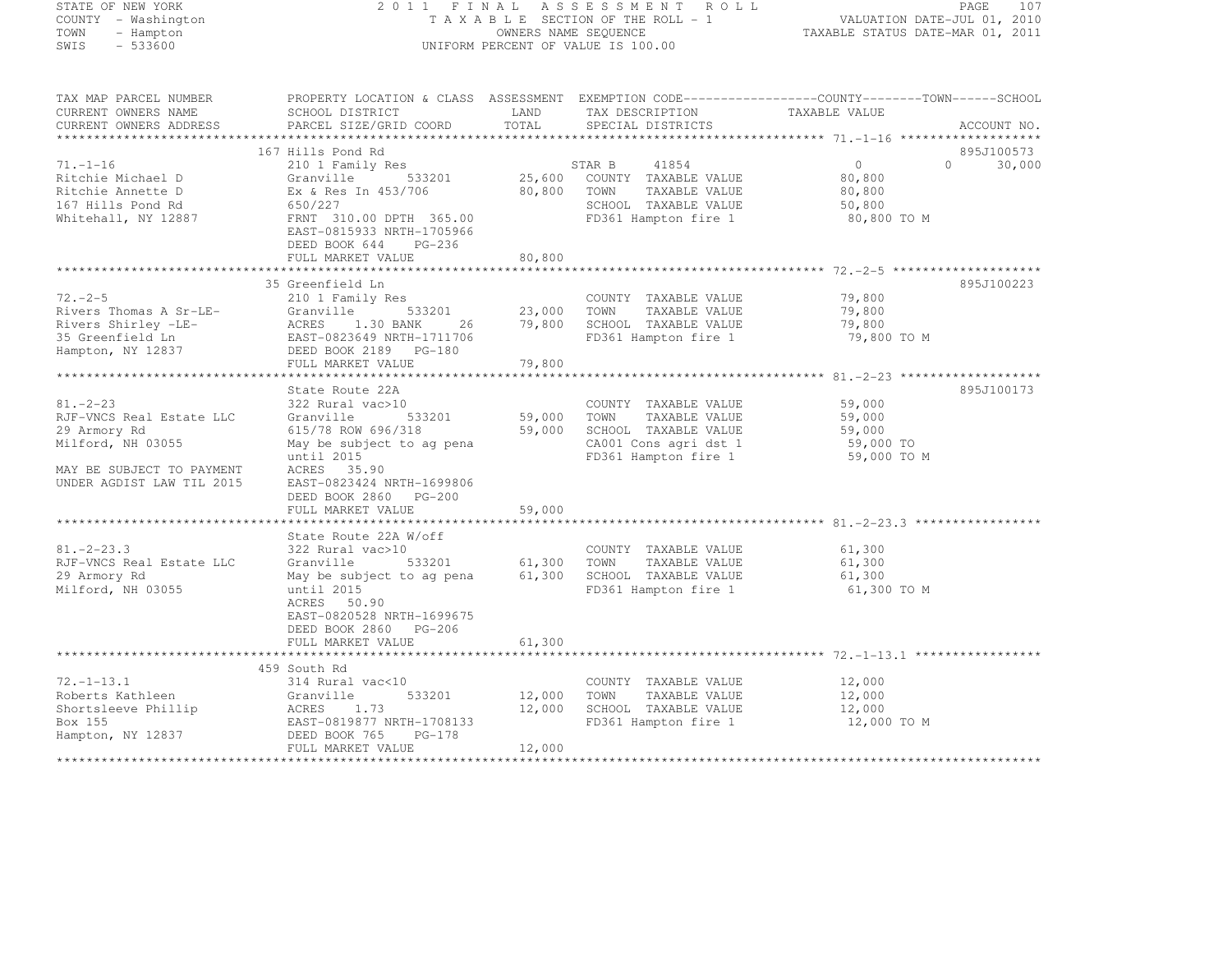#### STATE OF NEW YORK 2 0 1 1 F I N A L A S S E S S M E N T R O L L PAGE <sup>107</sup> COUNTY - Washington T A X A B L E SECTION OF THE ROLL - 1 VALUATION DATE-JUL 01, 2010 TOWN - Hampton OWNERS NAME SEQUENCE TAXABLE STATUS DATE-MAR 01, 2011 SWIS - 533600 UNIFORM PERCENT OF VALUE IS 100.00

| TAX MAP PARCEL NUMBER<br>CURRENT OWNERS NAME<br>CURRENT OWNERS ADDRESS                                                                    | PROPERTY LOCATION & CLASS ASSESSMENT EXEMPTION CODE----------------COUNTY-------TOWN------SCHOOL<br>SCHOOL DISTRICT<br>PARCEL SIZE/GRID COORD                                                                | LAND<br>TOTAL                     | TAX DESCRIPTION<br>SPECIAL DISTRICTS                                                                                  | TAXABLE VALUE                                               | ACCOUNT NO.                      |
|-------------------------------------------------------------------------------------------------------------------------------------------|--------------------------------------------------------------------------------------------------------------------------------------------------------------------------------------------------------------|-----------------------------------|-----------------------------------------------------------------------------------------------------------------------|-------------------------------------------------------------|----------------------------------|
|                                                                                                                                           |                                                                                                                                                                                                              |                                   |                                                                                                                       |                                                             |                                  |
| $71. - 1 - 16$<br>Ritchie Michael D<br>Ritchie Annette D<br>167 Hills Pond Rd<br>Whitehall, NY 12887                                      | 167 Hills Pond Rd<br>210 1 Family Res<br>Granville<br>533201<br>Ex & Res In 453/706<br>650/227<br>FRNT 310.00 DPTH 365.00<br>EAST-0815933 NRTH-1705966<br>DEED BOOK 644<br>PG-236<br>FULL MARKET VALUE       | 80,800 TOWN<br>80,800             | STAR B 41854<br>25,600 COUNTY TAXABLE VALUE<br>TAXABLE VALUE<br>SCHOOL TAXABLE VALUE<br>FD361 Hampton fire 1          | $\overline{0}$<br>80,800<br>80,800<br>50,800<br>80,800 TO M | 895J100573<br>$\Omega$<br>30,000 |
|                                                                                                                                           | 35 Greenfield Ln                                                                                                                                                                                             |                                   |                                                                                                                       |                                                             | 895J100223                       |
| $72. - 2 - 5$<br>Rivers Thomas A Sr-LE-<br>Hampton, NY 12837                                                                              | 210 1 Family Res<br>Granville<br>533201<br>DEED BOOK 2189 PG-180<br>FULL MARKET VALUE                                                                                                                        | 23,000 TOWN<br>79,800             | COUNTY TAXABLE VALUE<br>TAXABLE VALUE<br>26 79,800 SCHOOL TAXABLE VALUE<br>FD361 Hampton fire 1                       | 79,800<br>79,800<br>79,800<br>79,800 TO M                   |                                  |
|                                                                                                                                           | State Route 22A                                                                                                                                                                                              |                                   |                                                                                                                       |                                                             | 895J100173                       |
| $81. - 2 - 23$<br>RJF-VNCS Real Estate LLC<br>29 Armory Rd<br>Milford, NH 03055<br>MAY BE SUBJECT TO PAYMENT<br>UNDER AGDIST LAW TIL 2015 | 322 Rural vac>10<br>Granville<br>615/78 ROW 696/318<br>May be subject to ag pena<br>until 2015<br>ACRES 35.90<br>EAST-0823424 NRTH-1699806<br>DEED BOOK 2860 PG-200<br>FULL MARKET VALUE                     | 533201 59,000 TOWN<br>59,000      | COUNTY TAXABLE VALUE<br>TAXABLE VALUE<br>59,000 SCHOOL TAXABLE VALUE<br>CA001 Cons agri dst 1<br>FD361 Hampton fire 1 | 59,000<br>59,000<br>59,000<br>59,000 TO<br>59,000 TO M      |                                  |
|                                                                                                                                           |                                                                                                                                                                                                              |                                   |                                                                                                                       |                                                             |                                  |
| $81. - 2 - 23.3$<br>RJF-VNCS Real Estate LLC<br>29 Armory Rd<br>Milford, NH 03055                                                         | State Route 22A W/off<br>322 Rural vac>10<br>533201<br>Granville<br>May be subject to ag pena 61,300 SCHOOL TAXABLE VALUE<br>until 2015<br>ACRES 50.90<br>EAST-0820528 NRTH-1699675<br>DEED BOOK 2860 PG-206 | 61,300 TOWN                       | COUNTY TAXABLE VALUE<br>TAXABLE VALUE<br>FD361 Hampton fire 1                                                         | 61,300<br>61,300<br>61,300<br>61,300 TO M                   |                                  |
|                                                                                                                                           | FULL MARKET VALUE                                                                                                                                                                                            | 61,300                            |                                                                                                                       |                                                             |                                  |
|                                                                                                                                           |                                                                                                                                                                                                              |                                   |                                                                                                                       |                                                             |                                  |
| $72. - 1 - 13.1$<br>Roberts Kathleen<br>Shortsleeve Phillip<br>Box 155<br>Hampton, NY 12837                                               | 459 South Rd<br>314 Rural vac<10<br>Granville<br>ACRES 1.73<br>EAST-0819877 NRTH-1708133<br>DEED BOOK 765<br>PG-178<br>FULL MARKET VALUE                                                                     | 533201 12,000<br>12,000<br>12,000 | COUNTY TAXABLE VALUE<br>TOWN<br>TAXABLE VALUE<br>SCHOOL TAXABLE VALUE<br>FD361 Hampton fire 1                         | 12,000<br>12,000<br>12,000<br>12,000 TO M                   |                                  |
|                                                                                                                                           |                                                                                                                                                                                                              |                                   |                                                                                                                       |                                                             |                                  |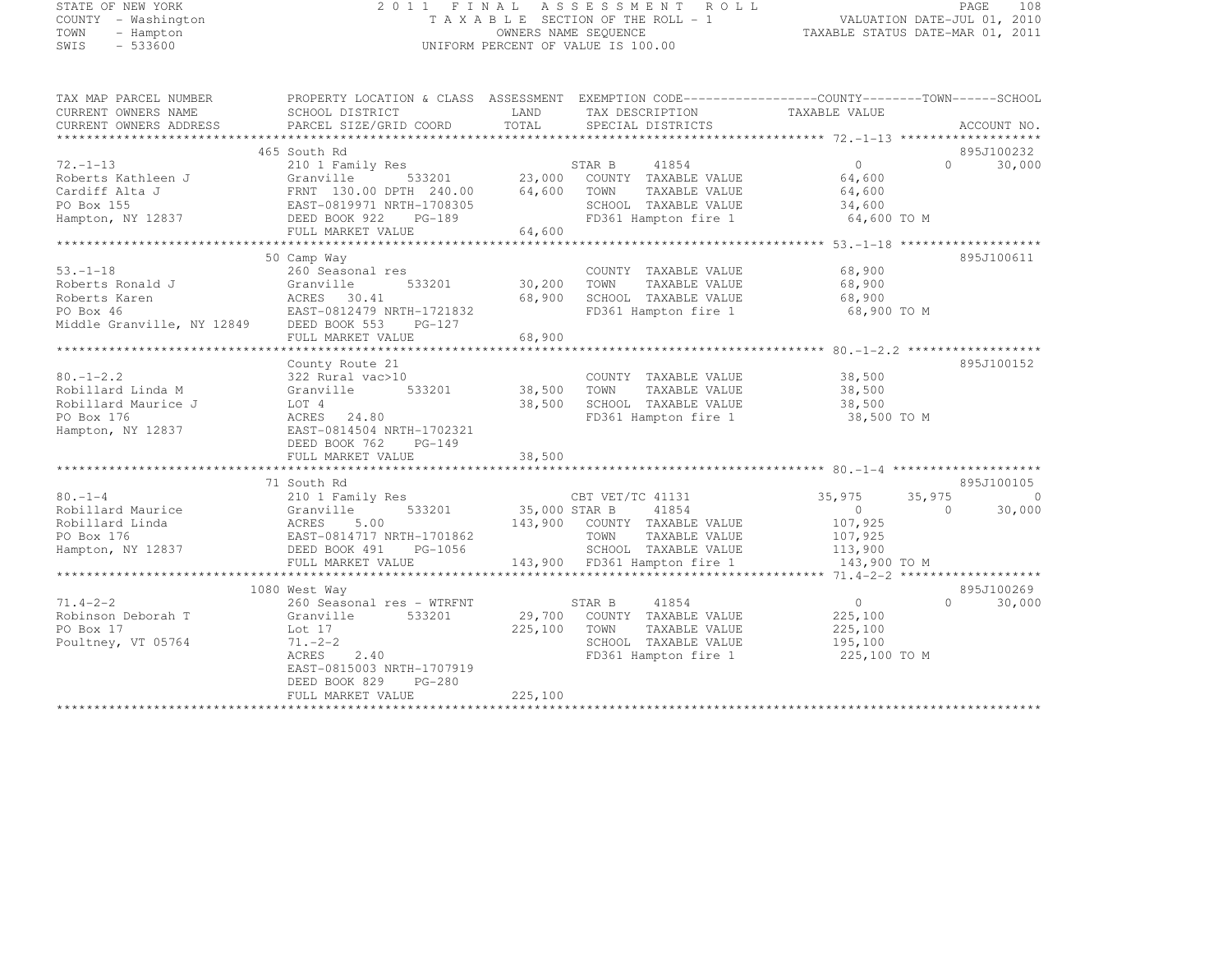## STATE OF NEW YORK 2 0 1 1 F I N A L A S S E S S M E N T R O L L PAGE <sup>108</sup> COUNTY - Washington T A X A B L E SECTION OF THE ROLL - 1 VALUATION DATE-JUL 01, 2010 TOWN - Hampton OWNERS NAME SEQUENCE TAXABLE STATUS DATE-MAR 01, 2011 SWIS - 533600 UNIFORM PERCENT OF VALUE IS 100.00

| LAND<br>TAXABLE VALUE<br>CURRENT OWNERS NAME<br>SCHOOL DISTRICT<br>TAX DESCRIPTION<br>TOTAL<br>CURRENT OWNERS ADDRESS<br>PARCEL SIZE/GRID COORD<br>SPECIAL DISTRICTS<br>ACCOUNT NO.<br>465 South Rd<br>895J100232<br>3<br>533201 23,000 COUNTY TAXABLE VALUE<br>$\overline{0}$<br>$\Omega$ and $\Omega$<br>30,000<br>$72. - 1 - 13$<br>210 1 Family Res<br>Roberts Kathleen J<br>64,600<br>Granville<br>FRNT 130.00 DPTH 240.00 64,600 TOWN<br>Cardiff Alta J<br>TAXABLE VALUE<br>64,600<br>FRNT 130.00 DE111 -<br>EAST-0819971 NRTH-1708305<br>Andre 222 - PG-189<br>SCHOOL TAXABLE VALUE<br>PO Box 155<br>34,600<br>Hampton, NY 12837 DEED BOOK 922<br>FD361 Hampton fire 1 64,600 TO M<br>64,600<br>FULL MARKET VALUE<br>50 Camp Way<br>895J100611<br>68,900<br>$53. - 1 - 18$<br>260 Seasonal res<br>COUNTY TAXABLE VALUE<br>533201 30,200<br>Roberts Ronald J<br>Granville<br>TOWN<br>TAXABLE VALUE<br>68,900<br>68,900<br>Roberts Karen<br>PO Box 46<br>Middle Granville, NY 12849<br>DEED BOOK 553 PG-127<br>SCHOOL TAXABLE VALUE<br>68,900<br>FD361 Hampton fire 1<br>68,900 TO M<br>FULL MARKET VALUE<br>68,900<br>895J100152<br>County Route 21<br>COUNTY TAXABLE VALUE 38,500<br>$80. - 1 - 2.2$<br>322 Rural vac>10<br>533201 38,500 TOWN<br>Robillard Linda M<br>TAXABLE VALUE<br>38,500<br>Granville<br>38,500 SCHOOL TAXABLE VALUE<br>Robillard Maurice J<br>LOT 4<br>38,500<br>FD361 Hampton fire 1<br>ACRES 24.80<br>38,500 TO M<br>PO Box 176<br>Hampton, NY 12837<br>EAST-0814504 NRTH-1702321<br>DEED BOOK 762 PG-149 |
|-------------------------------------------------------------------------------------------------------------------------------------------------------------------------------------------------------------------------------------------------------------------------------------------------------------------------------------------------------------------------------------------------------------------------------------------------------------------------------------------------------------------------------------------------------------------------------------------------------------------------------------------------------------------------------------------------------------------------------------------------------------------------------------------------------------------------------------------------------------------------------------------------------------------------------------------------------------------------------------------------------------------------------------------------------------------------------------------------------------------------------------------------------------------------------------------------------------------------------------------------------------------------------------------------------------------------------------------------------------------------------------------------------------------------------------------------------------------------------------------------------------------------------------------|
|                                                                                                                                                                                                                                                                                                                                                                                                                                                                                                                                                                                                                                                                                                                                                                                                                                                                                                                                                                                                                                                                                                                                                                                                                                                                                                                                                                                                                                                                                                                                           |
|                                                                                                                                                                                                                                                                                                                                                                                                                                                                                                                                                                                                                                                                                                                                                                                                                                                                                                                                                                                                                                                                                                                                                                                                                                                                                                                                                                                                                                                                                                                                           |
|                                                                                                                                                                                                                                                                                                                                                                                                                                                                                                                                                                                                                                                                                                                                                                                                                                                                                                                                                                                                                                                                                                                                                                                                                                                                                                                                                                                                                                                                                                                                           |
|                                                                                                                                                                                                                                                                                                                                                                                                                                                                                                                                                                                                                                                                                                                                                                                                                                                                                                                                                                                                                                                                                                                                                                                                                                                                                                                                                                                                                                                                                                                                           |
|                                                                                                                                                                                                                                                                                                                                                                                                                                                                                                                                                                                                                                                                                                                                                                                                                                                                                                                                                                                                                                                                                                                                                                                                                                                                                                                                                                                                                                                                                                                                           |
|                                                                                                                                                                                                                                                                                                                                                                                                                                                                                                                                                                                                                                                                                                                                                                                                                                                                                                                                                                                                                                                                                                                                                                                                                                                                                                                                                                                                                                                                                                                                           |
|                                                                                                                                                                                                                                                                                                                                                                                                                                                                                                                                                                                                                                                                                                                                                                                                                                                                                                                                                                                                                                                                                                                                                                                                                                                                                                                                                                                                                                                                                                                                           |
|                                                                                                                                                                                                                                                                                                                                                                                                                                                                                                                                                                                                                                                                                                                                                                                                                                                                                                                                                                                                                                                                                                                                                                                                                                                                                                                                                                                                                                                                                                                                           |
|                                                                                                                                                                                                                                                                                                                                                                                                                                                                                                                                                                                                                                                                                                                                                                                                                                                                                                                                                                                                                                                                                                                                                                                                                                                                                                                                                                                                                                                                                                                                           |
|                                                                                                                                                                                                                                                                                                                                                                                                                                                                                                                                                                                                                                                                                                                                                                                                                                                                                                                                                                                                                                                                                                                                                                                                                                                                                                                                                                                                                                                                                                                                           |
|                                                                                                                                                                                                                                                                                                                                                                                                                                                                                                                                                                                                                                                                                                                                                                                                                                                                                                                                                                                                                                                                                                                                                                                                                                                                                                                                                                                                                                                                                                                                           |
|                                                                                                                                                                                                                                                                                                                                                                                                                                                                                                                                                                                                                                                                                                                                                                                                                                                                                                                                                                                                                                                                                                                                                                                                                                                                                                                                                                                                                                                                                                                                           |
|                                                                                                                                                                                                                                                                                                                                                                                                                                                                                                                                                                                                                                                                                                                                                                                                                                                                                                                                                                                                                                                                                                                                                                                                                                                                                                                                                                                                                                                                                                                                           |
|                                                                                                                                                                                                                                                                                                                                                                                                                                                                                                                                                                                                                                                                                                                                                                                                                                                                                                                                                                                                                                                                                                                                                                                                                                                                                                                                                                                                                                                                                                                                           |
|                                                                                                                                                                                                                                                                                                                                                                                                                                                                                                                                                                                                                                                                                                                                                                                                                                                                                                                                                                                                                                                                                                                                                                                                                                                                                                                                                                                                                                                                                                                                           |
|                                                                                                                                                                                                                                                                                                                                                                                                                                                                                                                                                                                                                                                                                                                                                                                                                                                                                                                                                                                                                                                                                                                                                                                                                                                                                                                                                                                                                                                                                                                                           |
|                                                                                                                                                                                                                                                                                                                                                                                                                                                                                                                                                                                                                                                                                                                                                                                                                                                                                                                                                                                                                                                                                                                                                                                                                                                                                                                                                                                                                                                                                                                                           |
|                                                                                                                                                                                                                                                                                                                                                                                                                                                                                                                                                                                                                                                                                                                                                                                                                                                                                                                                                                                                                                                                                                                                                                                                                                                                                                                                                                                                                                                                                                                                           |
|                                                                                                                                                                                                                                                                                                                                                                                                                                                                                                                                                                                                                                                                                                                                                                                                                                                                                                                                                                                                                                                                                                                                                                                                                                                                                                                                                                                                                                                                                                                                           |
|                                                                                                                                                                                                                                                                                                                                                                                                                                                                                                                                                                                                                                                                                                                                                                                                                                                                                                                                                                                                                                                                                                                                                                                                                                                                                                                                                                                                                                                                                                                                           |
|                                                                                                                                                                                                                                                                                                                                                                                                                                                                                                                                                                                                                                                                                                                                                                                                                                                                                                                                                                                                                                                                                                                                                                                                                                                                                                                                                                                                                                                                                                                                           |
|                                                                                                                                                                                                                                                                                                                                                                                                                                                                                                                                                                                                                                                                                                                                                                                                                                                                                                                                                                                                                                                                                                                                                                                                                                                                                                                                                                                                                                                                                                                                           |
|                                                                                                                                                                                                                                                                                                                                                                                                                                                                                                                                                                                                                                                                                                                                                                                                                                                                                                                                                                                                                                                                                                                                                                                                                                                                                                                                                                                                                                                                                                                                           |
|                                                                                                                                                                                                                                                                                                                                                                                                                                                                                                                                                                                                                                                                                                                                                                                                                                                                                                                                                                                                                                                                                                                                                                                                                                                                                                                                                                                                                                                                                                                                           |
|                                                                                                                                                                                                                                                                                                                                                                                                                                                                                                                                                                                                                                                                                                                                                                                                                                                                                                                                                                                                                                                                                                                                                                                                                                                                                                                                                                                                                                                                                                                                           |
|                                                                                                                                                                                                                                                                                                                                                                                                                                                                                                                                                                                                                                                                                                                                                                                                                                                                                                                                                                                                                                                                                                                                                                                                                                                                                                                                                                                                                                                                                                                                           |
|                                                                                                                                                                                                                                                                                                                                                                                                                                                                                                                                                                                                                                                                                                                                                                                                                                                                                                                                                                                                                                                                                                                                                                                                                                                                                                                                                                                                                                                                                                                                           |
| 895J100105<br>71 South Rd                                                                                                                                                                                                                                                                                                                                                                                                                                                                                                                                                                                                                                                                                                                                                                                                                                                                                                                                                                                                                                                                                                                                                                                                                                                                                                                                                                                                                                                                                                                 |
| $80 - 1 - 4$<br>CBT VET/TC 41131<br>35,975<br>35,975<br>$\bigcirc$<br>210 1 Family Res                                                                                                                                                                                                                                                                                                                                                                                                                                                                                                                                                                                                                                                                                                                                                                                                                                                                                                                                                                                                                                                                                                                                                                                                                                                                                                                                                                                                                                                    |
| $533201$ 35,000 STAR B 41854<br>Robillard Maurice<br>$\sim$ 0<br>30,000<br>Granville<br>$\Omega$                                                                                                                                                                                                                                                                                                                                                                                                                                                                                                                                                                                                                                                                                                                                                                                                                                                                                                                                                                                                                                                                                                                                                                                                                                                                                                                                                                                                                                          |
| 143,900 COUNTY TAXABLE VALUE<br>107,925                                                                                                                                                                                                                                                                                                                                                                                                                                                                                                                                                                                                                                                                                                                                                                                                                                                                                                                                                                                                                                                                                                                                                                                                                                                                                                                                                                                                                                                                                                   |
| Robillard Linda<br>PO Box 176<br>Hampton, NY 12837<br>Hampton, NY 12837<br>CEED BOOK 491<br>DEED BOOK 491<br>PG-1056<br>TOWN<br>TAXABLE VALUE<br>107,925                                                                                                                                                                                                                                                                                                                                                                                                                                                                                                                                                                                                                                                                                                                                                                                                                                                                                                                                                                                                                                                                                                                                                                                                                                                                                                                                                                                  |
| 113,900<br>SCHOOL TAXABLE VALUE                                                                                                                                                                                                                                                                                                                                                                                                                                                                                                                                                                                                                                                                                                                                                                                                                                                                                                                                                                                                                                                                                                                                                                                                                                                                                                                                                                                                                                                                                                           |
| 143,900 FD361 Hampton fire 1<br>FULL MARKET VALUE<br>143,900 TO M                                                                                                                                                                                                                                                                                                                                                                                                                                                                                                                                                                                                                                                                                                                                                                                                                                                                                                                                                                                                                                                                                                                                                                                                                                                                                                                                                                                                                                                                         |
|                                                                                                                                                                                                                                                                                                                                                                                                                                                                                                                                                                                                                                                                                                                                                                                                                                                                                                                                                                                                                                                                                                                                                                                                                                                                                                                                                                                                                                                                                                                                           |
| 895J100269<br>1080 West Way                                                                                                                                                                                                                                                                                                                                                                                                                                                                                                                                                                                                                                                                                                                                                                                                                                                                                                                                                                                                                                                                                                                                                                                                                                                                                                                                                                                                                                                                                                               |
| $71.4 - 2 - 2$<br>260 Seasonal res - WTRFNT<br>$\overline{0}$<br>$\Omega$<br>30,000<br>41854<br>STAR B                                                                                                                                                                                                                                                                                                                                                                                                                                                                                                                                                                                                                                                                                                                                                                                                                                                                                                                                                                                                                                                                                                                                                                                                                                                                                                                                                                                                                                    |
| 29,700 COUNTY TAXABLE VALUE<br>225,100<br>Robinson Deborah T<br>Granville<br>533201                                                                                                                                                                                                                                                                                                                                                                                                                                                                                                                                                                                                                                                                                                                                                                                                                                                                                                                                                                                                                                                                                                                                                                                                                                                                                                                                                                                                                                                       |
| 225,100<br>PO Box 17<br>TOWN<br>225,100<br>Lot 17<br>TAXABLE VALUE                                                                                                                                                                                                                                                                                                                                                                                                                                                                                                                                                                                                                                                                                                                                                                                                                                                                                                                                                                                                                                                                                                                                                                                                                                                                                                                                                                                                                                                                        |
| $71. - 2 - 2$<br>SCHOOL TAXABLE VALUE<br>195,100<br>Poultney, VT 05764                                                                                                                                                                                                                                                                                                                                                                                                                                                                                                                                                                                                                                                                                                                                                                                                                                                                                                                                                                                                                                                                                                                                                                                                                                                                                                                                                                                                                                                                    |
| FD361 Hampton fire 1<br>ACRES<br>2.40<br>225,100 TO M                                                                                                                                                                                                                                                                                                                                                                                                                                                                                                                                                                                                                                                                                                                                                                                                                                                                                                                                                                                                                                                                                                                                                                                                                                                                                                                                                                                                                                                                                     |
| EAST-0815003 NRTH-1707919                                                                                                                                                                                                                                                                                                                                                                                                                                                                                                                                                                                                                                                                                                                                                                                                                                                                                                                                                                                                                                                                                                                                                                                                                                                                                                                                                                                                                                                                                                                 |
| DEED BOOK 829<br>PG-280                                                                                                                                                                                                                                                                                                                                                                                                                                                                                                                                                                                                                                                                                                                                                                                                                                                                                                                                                                                                                                                                                                                                                                                                                                                                                                                                                                                                                                                                                                                   |
| 225,100<br>FULL MARKET VALUE                                                                                                                                                                                                                                                                                                                                                                                                                                                                                                                                                                                                                                                                                                                                                                                                                                                                                                                                                                                                                                                                                                                                                                                                                                                                                                                                                                                                                                                                                                              |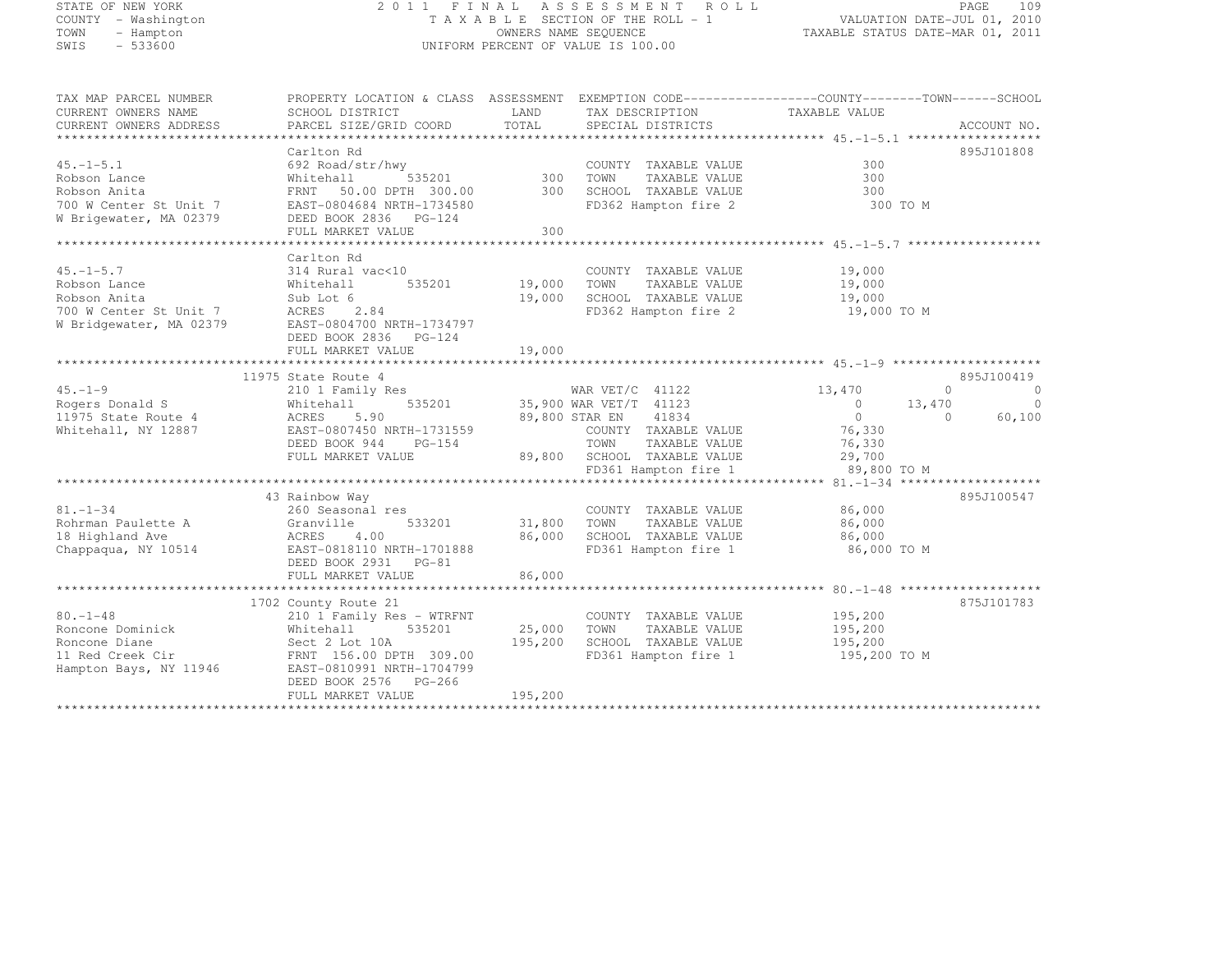| STATE OF NEW YORK                             |                                                                                                                                                                                   |                | 2011 FINAL ASSESSMENT ROLL                              |                                                                 | PAGE<br>109                |
|-----------------------------------------------|-----------------------------------------------------------------------------------------------------------------------------------------------------------------------------------|----------------|---------------------------------------------------------|-----------------------------------------------------------------|----------------------------|
| COUNTY - Washington<br>TOWN<br>- Hampton      |                                                                                                                                                                                   |                | TAXABLE SECTION OF THE ROLL - 1<br>OWNERS NAME SEQUENCE | VALUATION DATE-JUL 01, 2010<br>TAXABLE STATUS DATE-MAR 01, 2011 |                            |
| $-533600$<br>SWIS                             |                                                                                                                                                                                   |                | UNIFORM PERCENT OF VALUE IS 100.00                      |                                                                 |                            |
| TAX MAP PARCEL NUMBER                         | PROPERTY LOCATION & CLASS ASSESSMENT EXEMPTION CODE----------------COUNTY-------TOWN------SCHOOL                                                                                  |                |                                                         |                                                                 |                            |
| CURRENT OWNERS NAME<br>CURRENT OWNERS ADDRESS | SCHOOL DISTRICT<br>PARCEL SIZE/GRID COORD                                                                                                                                         | LAND<br>TOTAL  | TAX DESCRIPTION<br>SPECIAL DISTRICTS                    | TAXABLE VALUE                                                   | ACCOUNT NO.                |
|                                               |                                                                                                                                                                                   |                |                                                         |                                                                 |                            |
|                                               | Carlton Rd                                                                                                                                                                        |                |                                                         |                                                                 | 895J101808                 |
|                                               |                                                                                                                                                                                   |                | COUNTY TAXABLE VALUE                                    | 300                                                             |                            |
|                                               |                                                                                                                                                                                   | 300            | TOWN<br>TAXABLE VALUE                                   | 300                                                             |                            |
|                                               |                                                                                                                                                                                   | 300            | SCHOOL TAXABLE VALUE                                    | 300                                                             |                            |
|                                               |                                                                                                                                                                                   |                | FD362 Hampton fire 2                                    | 300 TO M                                                        |                            |
|                                               | 15.-1-5.1<br>800800 Lance<br>800800 Anita<br>800800 Anita<br>700 W Center St Unit 7<br>700 W Center St Unit 7<br>800804084 NRTH-1734580<br>80080 2836 PG-124<br>80080 2836 PG-124 | 300            |                                                         |                                                                 |                            |
|                                               |                                                                                                                                                                                   |                |                                                         |                                                                 |                            |
|                                               | Carlton Rd                                                                                                                                                                        |                |                                                         |                                                                 |                            |
| $45. - 1 - 5.7$                               | 314 Rural vac<10                                                                                                                                                                  |                | COUNTY TAXABLE VALUE                                    | 19,000                                                          |                            |
| Robson Lance                                  | Whitehall<br>Whitehall<br>Sub Lot 6<br>535201                                                                                                                                     | 19,000         | TAXABLE VALUE<br>TOWN                                   | 19,000                                                          |                            |
| Robson Anita                                  |                                                                                                                                                                                   | 19,000         | SCHOOL TAXABLE VALUE                                    | 19,000                                                          |                            |
|                                               | NODSON ANLLA<br>700 W Center St Unit 7 MORES 2.84<br>W Bridgewater, MA 02379       EAST-0804700 NRTH-1734797                                                                      |                | FD362 Hampton fire 2                                    | 19,000 TO M                                                     |                            |
|                                               |                                                                                                                                                                                   |                |                                                         |                                                                 |                            |
|                                               | DEED BOOK 2836    PG-124                                                                                                                                                          |                |                                                         |                                                                 |                            |
|                                               | FULL MARKET VALUE                                                                                                                                                                 | 19,000         |                                                         |                                                                 |                            |
|                                               | 11975 State Route 4                                                                                                                                                               |                |                                                         |                                                                 | 895J100419                 |
| $45. - 1 - 9$                                 | 210 1 Family Res                                                                                                                                                                  |                | WAR VET/C 41122                                         | 13,470                                                          | $\overline{0}$<br>$\Omega$ |
| Rogers Donald S                               | 535201<br>Whitehall                                                                                                                                                               |                | 35,900 WAR VET/T 41123                                  | $\overline{0}$<br>13,470                                        | $\overline{0}$             |
| 11975 State Route 4                           | nnigen<br>ACRES<br>5.90                                                                                                                                                           | 89,800 STAR EN | 41834                                                   | $\overline{0}$                                                  | 60,100<br>$\circ$          |
| Whitehall, NY 12887                           | EAST-0807450 NRTH-1731559                                                                                                                                                         |                | COUNTY TAXABLE VALUE                                    | 76,330                                                          |                            |
|                                               | DEED BOOK 944<br>PG-154                                                                                                                                                           |                | TOWN<br>TAXABLE VALUE                                   | 76,330                                                          |                            |
|                                               | FULL MARKET VALUE                                                                                                                                                                 |                | 89,800 SCHOOL TAXABLE VALUE                             | 29,700                                                          |                            |
|                                               |                                                                                                                                                                                   |                | FD361 Hampton fire 1                                    | 89,800 TO M                                                     |                            |
|                                               |                                                                                                                                                                                   |                |                                                         |                                                                 |                            |
| $81. - 1 - 34$                                | 43 Rainbow Way<br>260 Seasonal res                                                                                                                                                |                | COUNTY TAXABLE VALUE                                    | 86,000                                                          | 895J100547                 |
| Rohrman Paulette A                            | 533201                                                                                                                                                                            | 31,800         | TOWN<br>TAXABLE VALUE                                   | 86,000                                                          |                            |
| 18 Highland Ave                               | Granville<br>Granville<br>ACRES 4.00                                                                                                                                              | 86,000         | SCHOOL TAXABLE VALUE                                    | 86,000                                                          |                            |
| Chappaqua, NY 10514                           | EAST-0818110 NRTH-1701888                                                                                                                                                         |                | FD361 Hampton fire 1                                    | 86,000 TO M                                                     |                            |
|                                               | DEED BOOK 2931 PG-81                                                                                                                                                              |                |                                                         |                                                                 |                            |
|                                               | FULL MARKET VALUE                                                                                                                                                                 | 86,000         |                                                         |                                                                 |                            |
|                                               |                                                                                                                                                                                   |                |                                                         |                                                                 |                            |
|                                               | 1702 County Route 21                                                                                                                                                              |                |                                                         |                                                                 | 875J101783                 |
| $80. - 1 - 48$                                | 210 1 Family Res - WTRFNT                                                                                                                                                         |                | COUNTY TAXABLE VALUE                                    | 195,200                                                         |                            |
| Roncone Dominick                              | Whitehall 535201<br>Sect 2 Lot 10A<br>FRNT 156.00 DPTH 309.00<br>EAST-0810991 NRTH-1704799                                                                                        | 25,000         | TOWN<br>TAXABLE VALUE                                   | 195,200                                                         |                            |
| Roncone Diane<br>11 Red Creek Cir             |                                                                                                                                                                                   | 195,200        | SCHOOL TAXABLE VALUE<br>FD361 Hampton fire 1            | 195,200<br>195,200 TO M                                         |                            |
| Hampton Bays, NY 11946                        |                                                                                                                                                                                   |                |                                                         |                                                                 |                            |
|                                               | DEED BOOK 2576 PG-266                                                                                                                                                             |                |                                                         |                                                                 |                            |
|                                               | FULL MARKET VALUE                                                                                                                                                                 | 195,200        |                                                         |                                                                 |                            |
|                                               |                                                                                                                                                                                   |                |                                                         |                                                                 |                            |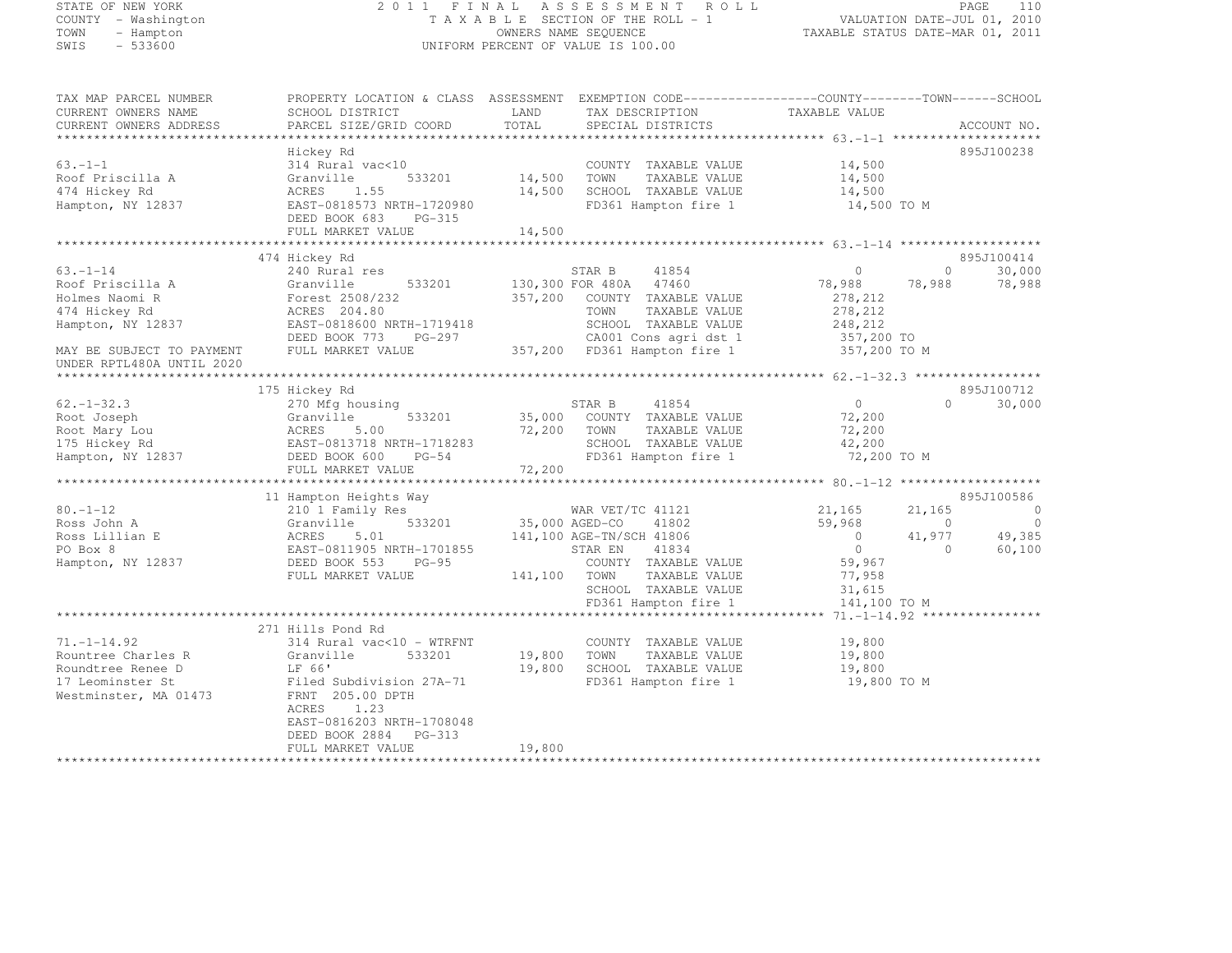# STATE OF NEW YORK 2 0 1 1 F I N A L A S S E S S M E N T R O L L PAGE <sup>110</sup> COUNTY - Washington T A X A B L E SECTION OF THE ROLL - 1 VALUATION DATE-JUL 01, 2010 TOWN - Hampton OWNERS NAME SEQUENCE TAXABLE STATUS DATE-MAR 01, 2011 SWIS - 533600 UNIFORM PERCENT OF VALUE IS 100.00

TAX MAP PARCEL NUMBER PROPERTY LOCATION & CLASS ASSESSMENT EXEMPTION CODE------------------COUNTY--------TOWN------SCHOOL

| CURRENT OWNERS NAME       | SCHOOL DISTRICT                                       | LAND    | TAX DESCRIPTION                              | TAXABLE VALUE                                 |                                        |
|---------------------------|-------------------------------------------------------|---------|----------------------------------------------|-----------------------------------------------|----------------------------------------|
| CURRENT OWNERS ADDRESS    | PARCEL SIZE/GRID COORD                                | TOTAL   | SPECIAL DISTRICTS                            |                                               | ACCOUNT NO.                            |
| ***************           |                                                       |         |                                              |                                               |                                        |
|                           | Hickey Rd                                             |         |                                              |                                               | 895J100238                             |
| $63 - 1 - 1$              | 314 Rural vac<10                                      |         | COUNTY TAXABLE VALUE                         | 14,500                                        |                                        |
| Roof Priscilla A          | Granville<br>533201                                   | 14,500  | TOWN<br>TAXABLE VALUE                        | 14,500                                        |                                        |
| 474 Hickey Rd             | 1.55<br>ACRES                                         | 14,500  | SCHOOL TAXABLE VALUE                         | 14,500                                        |                                        |
| Hampton, NY 12837         | EAST-0818573 NRTH-1720980                             |         | FD361 Hampton fire 1                         | 14,500 TO M                                   |                                        |
|                           | DEED BOOK 683<br>$PG-315$                             |         |                                              |                                               |                                        |
|                           | FULL MARKET VALUE                                     | 14,500  |                                              |                                               |                                        |
|                           |                                                       |         |                                              |                                               |                                        |
|                           | 474 Hickey Rd                                         |         |                                              | $\Omega$                                      | 895J100414<br>$\Omega$                 |
| $63. - 1 - 14$            | 240 Rural res                                         |         | STAR B<br>41854                              |                                               | 30,000                                 |
| Roof Priscilla A          | 533201<br>Granville                                   |         | 130,300 FOR 480A<br>47460                    | 78,988                                        | 78,988<br>78,988                       |
| Holmes Naomi R            | Forest 2508/232                                       | 357,200 | COUNTY TAXABLE VALUE                         | 278,212                                       |                                        |
| 474 Hickey Rd             | ACRES 204.80                                          |         | TOWN<br>TAXABLE VALUE                        | 278, 212                                      |                                        |
| Hampton, NY 12837         | EAST-0818600 NRTH-1719418                             |         | SCHOOL TAXABLE VALUE                         | 248,212                                       |                                        |
|                           | DEED BOOK 773<br>PG-297                               |         | CA001 Cons agri dst 1                        | 357,200 TO                                    |                                        |
| MAY BE SUBJECT TO PAYMENT | FULL MARKET VALUE                                     |         | 357,200 FD361 Hampton fire 1                 | 357,200 TO M                                  |                                        |
| UNDER RPTL480A UNTIL 2020 |                                                       |         |                                              |                                               |                                        |
|                           |                                                       |         |                                              | ************** 62. -1-32.3 ****************** |                                        |
|                           | 175 Hickey Rd                                         |         |                                              |                                               | 895J100712<br>$\cap$                   |
| $62 - 1 - 32.3$           | 270 Mfg housing                                       |         | STAR B<br>41854                              | $\Omega$                                      | 30,000                                 |
| Root Joseph               | 533201<br>Granville                                   | 35,000  | COUNTY TAXABLE VALUE                         | 72,200                                        |                                        |
| Root Mary Lou             | 5.00<br>ACRES                                         | 72,200  | TOWN<br>TAXABLE VALUE                        | 72,200                                        |                                        |
| 175 Hickey Rd             | EAST-0813718 NRTH-1718283                             |         | SCHOOL TAXABLE VALUE                         | 42,200                                        |                                        |
| Hampton, NY 12837         | DEED BOOK 600<br>$PG-54$                              |         | FD361 Hampton fire 1                         | 72,200 TO M                                   |                                        |
|                           | FULL MARKET VALUE                                     | 72,200  |                                              |                                               |                                        |
|                           |                                                       |         |                                              |                                               | 895J100586                             |
|                           | 11 Hampton Heights Way                                |         |                                              |                                               | $\overline{0}$                         |
| $80. - 1 - 12$            | 210 1 Family Res                                      |         | WAR VET/TC 41121                             | 21,165                                        | 21,165<br>$\Omega$<br>$\Omega$         |
| Ross John A               | Granville<br>533201                                   |         | 35,000 AGED-CO<br>41802                      | 59,968<br>$\circ$                             |                                        |
| Ross Lillian E            | ACRES<br>5.01                                         |         | 141,100 AGE-TN/SCH 41806<br>41834<br>STAR EN | $\circ$                                       | 41,977<br>49,385<br>60,100<br>$\Omega$ |
| PO Box 8                  | EAST-0811905 NRTH-1701855<br>DEED BOOK 553<br>$PG-95$ |         | COUNTY TAXABLE VALUE                         | 59,967                                        |                                        |
| Hampton, NY 12837         | FULL MARKET VALUE                                     | 141,100 | TAXABLE VALUE<br>TOWN                        | 77,958                                        |                                        |
|                           |                                                       |         |                                              |                                               |                                        |
|                           |                                                       |         | SCHOOL TAXABLE VALUE<br>FD361 Hampton fire 1 | 31,615<br>141,100 TO M                        |                                        |
|                           |                                                       |         |                                              |                                               |                                        |
|                           | 271 Hills Pond Rd                                     |         |                                              |                                               |                                        |
| $71. - 1 - 14.92$         | 314 Rural vac<10 - WTRFNT                             |         | COUNTY TAXABLE VALUE                         | 19,800                                        |                                        |
| Rountree Charles R        | 533201<br>Granville                                   | 19,800  | TOWN<br>TAXABLE VALUE                        | 19,800                                        |                                        |
| Roundtree Renee D         | LF 66'                                                | 19,800  | SCHOOL TAXABLE VALUE                         | 19,800                                        |                                        |
| 17 Leominster St          | Filed Subdivision 27A-71                              |         | FD361 Hampton fire 1                         | 19,800 TO M                                   |                                        |
| Westminster, MA 01473     | FRNT 205.00 DPTH                                      |         |                                              |                                               |                                        |
|                           | ACRES<br>1.23                                         |         |                                              |                                               |                                        |
|                           | EAST-0816203 NRTH-1708048                             |         |                                              |                                               |                                        |
|                           | DEED BOOK 2884<br>$PG-313$                            |         |                                              |                                               |                                        |
|                           | FULL MARKET VALUE                                     | 19,800  |                                              |                                               |                                        |
|                           |                                                       |         |                                              |                                               |                                        |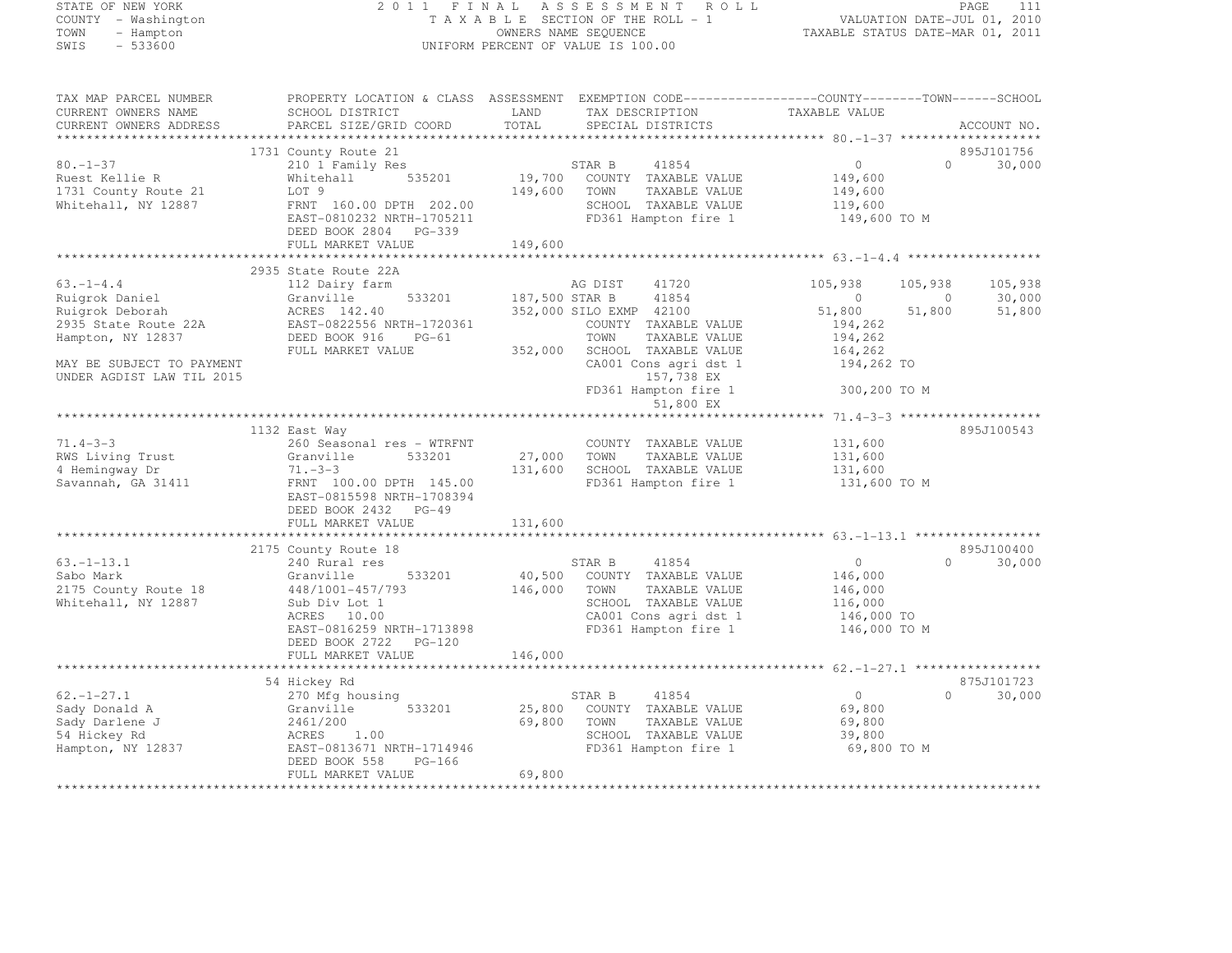# STATE OF NEW YORK 2 0 1 1 F I N A L A S S E S S M E N T R O L L PAGE <sup>111</sup> COUNTY - Washington T A X A B L E SECTION OF THE ROLL - 1 VALUATION DATE-JUL 01, 2010 TOWN - Hampton OWNERS NAME SEQUENCE TAXABLE STATUS DATE-MAR 01, 2011 SWIS - 533600 UNIFORM PERCENT OF VALUE IS 100.00

| ACCOUNT NO.<br>895J101756<br>1731 County Route 21<br>$\circ$<br>$80. - 1 - 37$<br>$\bigcap$<br>30,000<br>210 1 Family Res<br>STAR B<br>41854<br>19,700<br>535201<br>Ruest Kellie R<br>Whitehall<br>COUNTY TAXABLE VALUE<br>149,600<br>149,600<br>1731 County Route 21<br>LOT 9<br>TOWN<br>TAXABLE VALUE<br>149,600<br>Whitehall, NY 12887<br>FRNT 160.00 DPTH 202.00<br>SCHOOL TAXABLE VALUE<br>119,600<br>EAST-0810232 NRTH-1705211<br>FD361 Hampton fire 1<br>149,600 TO M<br>DEED BOOK 2804 PG-339<br>149,600<br>FULL MARKET VALUE<br>2935 State Route 22A<br>$63. -1 - 4.4$<br>AG DIST<br>41720<br>112 Dairy farm<br>105,938<br>105,938<br>105,938<br>533201<br>41854<br>Ruigrok Daniel<br>187,500 STAR B<br>$\Omega$<br>30,000<br>Granville<br>$\Omega$<br>Ruigrok Deborah<br>ACRES 142.40<br>352,000 SILO EXMP 42100<br>51,800<br>51,800<br>51,800<br>2935 State Route 22A<br>EAST-0822556 NRTH-1720361<br>COUNTY TAXABLE VALUE<br>194,262<br>Hampton, NY 12837<br>DEED BOOK 916<br>PG-61<br>TOWN<br>TAXABLE VALUE<br>194,262<br>FULL MARKET VALUE<br>352,000<br>SCHOOL TAXABLE VALUE<br>164,262<br>MAY BE SUBJECT TO PAYMENT<br>CA001 Cons agri dst 1<br>194,262 TO<br>UNDER AGDIST LAW TIL 2015<br>157,738 EX<br>FD361 Hampton fire 1<br>300,200 TO M<br>51,800 EX<br>895J100543<br>1132 East Way<br>$71.4 - 3 - 3$<br>260 Seasonal res - WTRFNT<br>131,600<br>COUNTY TAXABLE VALUE<br>RWS Living Trust<br>Granville<br>27,000<br>533201<br>TOWN<br>TAXABLE VALUE<br>131,600<br>4 Hemingway Dr<br>$71. - 3 - 3$<br>131,600<br>SCHOOL TAXABLE VALUE<br>131,600<br>Savannah, GA 31411<br>FRNT 100.00 DPTH 145.00<br>FD361 Hampton fire 1<br>131,600 TO M<br>EAST-0815598 NRTH-1708394<br>DEED BOOK 2432 PG-49<br>131,600<br>FULL MARKET VALUE<br>895J100400<br>2175 County Route 18<br>41854<br>30,000<br>$63. - 1 - 13.1$<br>240 Rural res<br>STAR B<br>$\circ$<br>$\Omega$<br>40,500<br>Sabo Mark<br>533201<br>COUNTY TAXABLE VALUE<br>146,000<br>Granville<br>146,000<br>2175 County Route 18<br>448/1001-457/793<br>TAXABLE VALUE<br>146,000<br>TOWN<br>Whitehall, NY 12887<br>SCHOOL TAXABLE VALUE<br>Sub Div Lot 1<br>116,000<br>ACRES 10.00<br>CA001 Cons agri dst 1<br>146,000 TO<br>EAST-0816259 NRTH-1713898<br>FD361 Hampton fire 1<br>146,000 TO M<br>DEED BOOK 2722 PG-120<br>146,000<br>FULL MARKET VALUE<br>875J101723<br>54 Hickey Rd<br>$62, -1 - 27.1$<br>STAR B<br>41854<br>$\overline{0}$<br>$\Omega$<br>30,000<br>270 Mfg housing<br>Sady Donald A<br>533201<br>25,800<br>69,800<br>Granville<br>COUNTY TAXABLE VALUE<br>Sady Darlene J<br>2461/200<br>69,800<br>TOWN<br>TAXABLE VALUE<br>69,800<br>54 Hickey Rd<br>ACRES<br>1.00<br>SCHOOL TAXABLE VALUE<br>39,800<br>Hampton, NY 12837<br>EAST-0813671 NRTH-1714946<br>FD361 Hampton fire 1<br>69,800 TO M<br>DEED BOOK 558<br>PG-166<br>FULL MARKET VALUE<br>69,800 | TAX MAP PARCEL NUMBER<br>CURRENT OWNERS NAME | PROPERTY LOCATION & CLASS ASSESSMENT EXEMPTION CODE----------------COUNTY-------TOWN------SCHOOL<br>SCHOOL DISTRICT | LAND  | TAX DESCRIPTION   | TAXABLE VALUE |  |
|---------------------------------------------------------------------------------------------------------------------------------------------------------------------------------------------------------------------------------------------------------------------------------------------------------------------------------------------------------------------------------------------------------------------------------------------------------------------------------------------------------------------------------------------------------------------------------------------------------------------------------------------------------------------------------------------------------------------------------------------------------------------------------------------------------------------------------------------------------------------------------------------------------------------------------------------------------------------------------------------------------------------------------------------------------------------------------------------------------------------------------------------------------------------------------------------------------------------------------------------------------------------------------------------------------------------------------------------------------------------------------------------------------------------------------------------------------------------------------------------------------------------------------------------------------------------------------------------------------------------------------------------------------------------------------------------------------------------------------------------------------------------------------------------------------------------------------------------------------------------------------------------------------------------------------------------------------------------------------------------------------------------------------------------------------------------------------------------------------------------------------------------------------------------------------------------------------------------------------------------------------------------------------------------------------------------------------------------------------------------------------------------------------------------------------------------------------------------------------------------------------------------------------------------------------------------------------------------------------------------------------------------------------------------------------------------------------------------------------------------------------------------------------------------------------------------------------------------------|----------------------------------------------|---------------------------------------------------------------------------------------------------------------------|-------|-------------------|---------------|--|
|                                                                                                                                                                                                                                                                                                                                                                                                                                                                                                                                                                                                                                                                                                                                                                                                                                                                                                                                                                                                                                                                                                                                                                                                                                                                                                                                                                                                                                                                                                                                                                                                                                                                                                                                                                                                                                                                                                                                                                                                                                                                                                                                                                                                                                                                                                                                                                                                                                                                                                                                                                                                                                                                                                                                                                                                                                                   | CURRENT OWNERS ADDRESS                       | PARCEL SIZE/GRID COORD                                                                                              | TOTAL | SPECIAL DISTRICTS |               |  |
|                                                                                                                                                                                                                                                                                                                                                                                                                                                                                                                                                                                                                                                                                                                                                                                                                                                                                                                                                                                                                                                                                                                                                                                                                                                                                                                                                                                                                                                                                                                                                                                                                                                                                                                                                                                                                                                                                                                                                                                                                                                                                                                                                                                                                                                                                                                                                                                                                                                                                                                                                                                                                                                                                                                                                                                                                                                   |                                              |                                                                                                                     |       |                   |               |  |
|                                                                                                                                                                                                                                                                                                                                                                                                                                                                                                                                                                                                                                                                                                                                                                                                                                                                                                                                                                                                                                                                                                                                                                                                                                                                                                                                                                                                                                                                                                                                                                                                                                                                                                                                                                                                                                                                                                                                                                                                                                                                                                                                                                                                                                                                                                                                                                                                                                                                                                                                                                                                                                                                                                                                                                                                                                                   |                                              |                                                                                                                     |       |                   |               |  |
|                                                                                                                                                                                                                                                                                                                                                                                                                                                                                                                                                                                                                                                                                                                                                                                                                                                                                                                                                                                                                                                                                                                                                                                                                                                                                                                                                                                                                                                                                                                                                                                                                                                                                                                                                                                                                                                                                                                                                                                                                                                                                                                                                                                                                                                                                                                                                                                                                                                                                                                                                                                                                                                                                                                                                                                                                                                   |                                              |                                                                                                                     |       |                   |               |  |
|                                                                                                                                                                                                                                                                                                                                                                                                                                                                                                                                                                                                                                                                                                                                                                                                                                                                                                                                                                                                                                                                                                                                                                                                                                                                                                                                                                                                                                                                                                                                                                                                                                                                                                                                                                                                                                                                                                                                                                                                                                                                                                                                                                                                                                                                                                                                                                                                                                                                                                                                                                                                                                                                                                                                                                                                                                                   |                                              |                                                                                                                     |       |                   |               |  |
|                                                                                                                                                                                                                                                                                                                                                                                                                                                                                                                                                                                                                                                                                                                                                                                                                                                                                                                                                                                                                                                                                                                                                                                                                                                                                                                                                                                                                                                                                                                                                                                                                                                                                                                                                                                                                                                                                                                                                                                                                                                                                                                                                                                                                                                                                                                                                                                                                                                                                                                                                                                                                                                                                                                                                                                                                                                   |                                              |                                                                                                                     |       |                   |               |  |
|                                                                                                                                                                                                                                                                                                                                                                                                                                                                                                                                                                                                                                                                                                                                                                                                                                                                                                                                                                                                                                                                                                                                                                                                                                                                                                                                                                                                                                                                                                                                                                                                                                                                                                                                                                                                                                                                                                                                                                                                                                                                                                                                                                                                                                                                                                                                                                                                                                                                                                                                                                                                                                                                                                                                                                                                                                                   |                                              |                                                                                                                     |       |                   |               |  |
|                                                                                                                                                                                                                                                                                                                                                                                                                                                                                                                                                                                                                                                                                                                                                                                                                                                                                                                                                                                                                                                                                                                                                                                                                                                                                                                                                                                                                                                                                                                                                                                                                                                                                                                                                                                                                                                                                                                                                                                                                                                                                                                                                                                                                                                                                                                                                                                                                                                                                                                                                                                                                                                                                                                                                                                                                                                   |                                              |                                                                                                                     |       |                   |               |  |
|                                                                                                                                                                                                                                                                                                                                                                                                                                                                                                                                                                                                                                                                                                                                                                                                                                                                                                                                                                                                                                                                                                                                                                                                                                                                                                                                                                                                                                                                                                                                                                                                                                                                                                                                                                                                                                                                                                                                                                                                                                                                                                                                                                                                                                                                                                                                                                                                                                                                                                                                                                                                                                                                                                                                                                                                                                                   |                                              |                                                                                                                     |       |                   |               |  |
|                                                                                                                                                                                                                                                                                                                                                                                                                                                                                                                                                                                                                                                                                                                                                                                                                                                                                                                                                                                                                                                                                                                                                                                                                                                                                                                                                                                                                                                                                                                                                                                                                                                                                                                                                                                                                                                                                                                                                                                                                                                                                                                                                                                                                                                                                                                                                                                                                                                                                                                                                                                                                                                                                                                                                                                                                                                   |                                              |                                                                                                                     |       |                   |               |  |
|                                                                                                                                                                                                                                                                                                                                                                                                                                                                                                                                                                                                                                                                                                                                                                                                                                                                                                                                                                                                                                                                                                                                                                                                                                                                                                                                                                                                                                                                                                                                                                                                                                                                                                                                                                                                                                                                                                                                                                                                                                                                                                                                                                                                                                                                                                                                                                                                                                                                                                                                                                                                                                                                                                                                                                                                                                                   |                                              |                                                                                                                     |       |                   |               |  |
|                                                                                                                                                                                                                                                                                                                                                                                                                                                                                                                                                                                                                                                                                                                                                                                                                                                                                                                                                                                                                                                                                                                                                                                                                                                                                                                                                                                                                                                                                                                                                                                                                                                                                                                                                                                                                                                                                                                                                                                                                                                                                                                                                                                                                                                                                                                                                                                                                                                                                                                                                                                                                                                                                                                                                                                                                                                   |                                              |                                                                                                                     |       |                   |               |  |
|                                                                                                                                                                                                                                                                                                                                                                                                                                                                                                                                                                                                                                                                                                                                                                                                                                                                                                                                                                                                                                                                                                                                                                                                                                                                                                                                                                                                                                                                                                                                                                                                                                                                                                                                                                                                                                                                                                                                                                                                                                                                                                                                                                                                                                                                                                                                                                                                                                                                                                                                                                                                                                                                                                                                                                                                                                                   |                                              |                                                                                                                     |       |                   |               |  |
|                                                                                                                                                                                                                                                                                                                                                                                                                                                                                                                                                                                                                                                                                                                                                                                                                                                                                                                                                                                                                                                                                                                                                                                                                                                                                                                                                                                                                                                                                                                                                                                                                                                                                                                                                                                                                                                                                                                                                                                                                                                                                                                                                                                                                                                                                                                                                                                                                                                                                                                                                                                                                                                                                                                                                                                                                                                   |                                              |                                                                                                                     |       |                   |               |  |
|                                                                                                                                                                                                                                                                                                                                                                                                                                                                                                                                                                                                                                                                                                                                                                                                                                                                                                                                                                                                                                                                                                                                                                                                                                                                                                                                                                                                                                                                                                                                                                                                                                                                                                                                                                                                                                                                                                                                                                                                                                                                                                                                                                                                                                                                                                                                                                                                                                                                                                                                                                                                                                                                                                                                                                                                                                                   |                                              |                                                                                                                     |       |                   |               |  |
|                                                                                                                                                                                                                                                                                                                                                                                                                                                                                                                                                                                                                                                                                                                                                                                                                                                                                                                                                                                                                                                                                                                                                                                                                                                                                                                                                                                                                                                                                                                                                                                                                                                                                                                                                                                                                                                                                                                                                                                                                                                                                                                                                                                                                                                                                                                                                                                                                                                                                                                                                                                                                                                                                                                                                                                                                                                   |                                              |                                                                                                                     |       |                   |               |  |
|                                                                                                                                                                                                                                                                                                                                                                                                                                                                                                                                                                                                                                                                                                                                                                                                                                                                                                                                                                                                                                                                                                                                                                                                                                                                                                                                                                                                                                                                                                                                                                                                                                                                                                                                                                                                                                                                                                                                                                                                                                                                                                                                                                                                                                                                                                                                                                                                                                                                                                                                                                                                                                                                                                                                                                                                                                                   |                                              |                                                                                                                     |       |                   |               |  |
|                                                                                                                                                                                                                                                                                                                                                                                                                                                                                                                                                                                                                                                                                                                                                                                                                                                                                                                                                                                                                                                                                                                                                                                                                                                                                                                                                                                                                                                                                                                                                                                                                                                                                                                                                                                                                                                                                                                                                                                                                                                                                                                                                                                                                                                                                                                                                                                                                                                                                                                                                                                                                                                                                                                                                                                                                                                   |                                              |                                                                                                                     |       |                   |               |  |
|                                                                                                                                                                                                                                                                                                                                                                                                                                                                                                                                                                                                                                                                                                                                                                                                                                                                                                                                                                                                                                                                                                                                                                                                                                                                                                                                                                                                                                                                                                                                                                                                                                                                                                                                                                                                                                                                                                                                                                                                                                                                                                                                                                                                                                                                                                                                                                                                                                                                                                                                                                                                                                                                                                                                                                                                                                                   |                                              |                                                                                                                     |       |                   |               |  |
|                                                                                                                                                                                                                                                                                                                                                                                                                                                                                                                                                                                                                                                                                                                                                                                                                                                                                                                                                                                                                                                                                                                                                                                                                                                                                                                                                                                                                                                                                                                                                                                                                                                                                                                                                                                                                                                                                                                                                                                                                                                                                                                                                                                                                                                                                                                                                                                                                                                                                                                                                                                                                                                                                                                                                                                                                                                   |                                              |                                                                                                                     |       |                   |               |  |
|                                                                                                                                                                                                                                                                                                                                                                                                                                                                                                                                                                                                                                                                                                                                                                                                                                                                                                                                                                                                                                                                                                                                                                                                                                                                                                                                                                                                                                                                                                                                                                                                                                                                                                                                                                                                                                                                                                                                                                                                                                                                                                                                                                                                                                                                                                                                                                                                                                                                                                                                                                                                                                                                                                                                                                                                                                                   |                                              |                                                                                                                     |       |                   |               |  |
|                                                                                                                                                                                                                                                                                                                                                                                                                                                                                                                                                                                                                                                                                                                                                                                                                                                                                                                                                                                                                                                                                                                                                                                                                                                                                                                                                                                                                                                                                                                                                                                                                                                                                                                                                                                                                                                                                                                                                                                                                                                                                                                                                                                                                                                                                                                                                                                                                                                                                                                                                                                                                                                                                                                                                                                                                                                   |                                              |                                                                                                                     |       |                   |               |  |
|                                                                                                                                                                                                                                                                                                                                                                                                                                                                                                                                                                                                                                                                                                                                                                                                                                                                                                                                                                                                                                                                                                                                                                                                                                                                                                                                                                                                                                                                                                                                                                                                                                                                                                                                                                                                                                                                                                                                                                                                                                                                                                                                                                                                                                                                                                                                                                                                                                                                                                                                                                                                                                                                                                                                                                                                                                                   |                                              |                                                                                                                     |       |                   |               |  |
|                                                                                                                                                                                                                                                                                                                                                                                                                                                                                                                                                                                                                                                                                                                                                                                                                                                                                                                                                                                                                                                                                                                                                                                                                                                                                                                                                                                                                                                                                                                                                                                                                                                                                                                                                                                                                                                                                                                                                                                                                                                                                                                                                                                                                                                                                                                                                                                                                                                                                                                                                                                                                                                                                                                                                                                                                                                   |                                              |                                                                                                                     |       |                   |               |  |
|                                                                                                                                                                                                                                                                                                                                                                                                                                                                                                                                                                                                                                                                                                                                                                                                                                                                                                                                                                                                                                                                                                                                                                                                                                                                                                                                                                                                                                                                                                                                                                                                                                                                                                                                                                                                                                                                                                                                                                                                                                                                                                                                                                                                                                                                                                                                                                                                                                                                                                                                                                                                                                                                                                                                                                                                                                                   |                                              |                                                                                                                     |       |                   |               |  |
|                                                                                                                                                                                                                                                                                                                                                                                                                                                                                                                                                                                                                                                                                                                                                                                                                                                                                                                                                                                                                                                                                                                                                                                                                                                                                                                                                                                                                                                                                                                                                                                                                                                                                                                                                                                                                                                                                                                                                                                                                                                                                                                                                                                                                                                                                                                                                                                                                                                                                                                                                                                                                                                                                                                                                                                                                                                   |                                              |                                                                                                                     |       |                   |               |  |
|                                                                                                                                                                                                                                                                                                                                                                                                                                                                                                                                                                                                                                                                                                                                                                                                                                                                                                                                                                                                                                                                                                                                                                                                                                                                                                                                                                                                                                                                                                                                                                                                                                                                                                                                                                                                                                                                                                                                                                                                                                                                                                                                                                                                                                                                                                                                                                                                                                                                                                                                                                                                                                                                                                                                                                                                                                                   |                                              |                                                                                                                     |       |                   |               |  |
|                                                                                                                                                                                                                                                                                                                                                                                                                                                                                                                                                                                                                                                                                                                                                                                                                                                                                                                                                                                                                                                                                                                                                                                                                                                                                                                                                                                                                                                                                                                                                                                                                                                                                                                                                                                                                                                                                                                                                                                                                                                                                                                                                                                                                                                                                                                                                                                                                                                                                                                                                                                                                                                                                                                                                                                                                                                   |                                              |                                                                                                                     |       |                   |               |  |
|                                                                                                                                                                                                                                                                                                                                                                                                                                                                                                                                                                                                                                                                                                                                                                                                                                                                                                                                                                                                                                                                                                                                                                                                                                                                                                                                                                                                                                                                                                                                                                                                                                                                                                                                                                                                                                                                                                                                                                                                                                                                                                                                                                                                                                                                                                                                                                                                                                                                                                                                                                                                                                                                                                                                                                                                                                                   |                                              |                                                                                                                     |       |                   |               |  |
|                                                                                                                                                                                                                                                                                                                                                                                                                                                                                                                                                                                                                                                                                                                                                                                                                                                                                                                                                                                                                                                                                                                                                                                                                                                                                                                                                                                                                                                                                                                                                                                                                                                                                                                                                                                                                                                                                                                                                                                                                                                                                                                                                                                                                                                                                                                                                                                                                                                                                                                                                                                                                                                                                                                                                                                                                                                   |                                              |                                                                                                                     |       |                   |               |  |
|                                                                                                                                                                                                                                                                                                                                                                                                                                                                                                                                                                                                                                                                                                                                                                                                                                                                                                                                                                                                                                                                                                                                                                                                                                                                                                                                                                                                                                                                                                                                                                                                                                                                                                                                                                                                                                                                                                                                                                                                                                                                                                                                                                                                                                                                                                                                                                                                                                                                                                                                                                                                                                                                                                                                                                                                                                                   |                                              |                                                                                                                     |       |                   |               |  |
|                                                                                                                                                                                                                                                                                                                                                                                                                                                                                                                                                                                                                                                                                                                                                                                                                                                                                                                                                                                                                                                                                                                                                                                                                                                                                                                                                                                                                                                                                                                                                                                                                                                                                                                                                                                                                                                                                                                                                                                                                                                                                                                                                                                                                                                                                                                                                                                                                                                                                                                                                                                                                                                                                                                                                                                                                                                   |                                              |                                                                                                                     |       |                   |               |  |
|                                                                                                                                                                                                                                                                                                                                                                                                                                                                                                                                                                                                                                                                                                                                                                                                                                                                                                                                                                                                                                                                                                                                                                                                                                                                                                                                                                                                                                                                                                                                                                                                                                                                                                                                                                                                                                                                                                                                                                                                                                                                                                                                                                                                                                                                                                                                                                                                                                                                                                                                                                                                                                                                                                                                                                                                                                                   |                                              |                                                                                                                     |       |                   |               |  |
|                                                                                                                                                                                                                                                                                                                                                                                                                                                                                                                                                                                                                                                                                                                                                                                                                                                                                                                                                                                                                                                                                                                                                                                                                                                                                                                                                                                                                                                                                                                                                                                                                                                                                                                                                                                                                                                                                                                                                                                                                                                                                                                                                                                                                                                                                                                                                                                                                                                                                                                                                                                                                                                                                                                                                                                                                                                   |                                              |                                                                                                                     |       |                   |               |  |
|                                                                                                                                                                                                                                                                                                                                                                                                                                                                                                                                                                                                                                                                                                                                                                                                                                                                                                                                                                                                                                                                                                                                                                                                                                                                                                                                                                                                                                                                                                                                                                                                                                                                                                                                                                                                                                                                                                                                                                                                                                                                                                                                                                                                                                                                                                                                                                                                                                                                                                                                                                                                                                                                                                                                                                                                                                                   |                                              |                                                                                                                     |       |                   |               |  |
|                                                                                                                                                                                                                                                                                                                                                                                                                                                                                                                                                                                                                                                                                                                                                                                                                                                                                                                                                                                                                                                                                                                                                                                                                                                                                                                                                                                                                                                                                                                                                                                                                                                                                                                                                                                                                                                                                                                                                                                                                                                                                                                                                                                                                                                                                                                                                                                                                                                                                                                                                                                                                                                                                                                                                                                                                                                   |                                              |                                                                                                                     |       |                   |               |  |
|                                                                                                                                                                                                                                                                                                                                                                                                                                                                                                                                                                                                                                                                                                                                                                                                                                                                                                                                                                                                                                                                                                                                                                                                                                                                                                                                                                                                                                                                                                                                                                                                                                                                                                                                                                                                                                                                                                                                                                                                                                                                                                                                                                                                                                                                                                                                                                                                                                                                                                                                                                                                                                                                                                                                                                                                                                                   |                                              |                                                                                                                     |       |                   |               |  |
|                                                                                                                                                                                                                                                                                                                                                                                                                                                                                                                                                                                                                                                                                                                                                                                                                                                                                                                                                                                                                                                                                                                                                                                                                                                                                                                                                                                                                                                                                                                                                                                                                                                                                                                                                                                                                                                                                                                                                                                                                                                                                                                                                                                                                                                                                                                                                                                                                                                                                                                                                                                                                                                                                                                                                                                                                                                   |                                              |                                                                                                                     |       |                   |               |  |
|                                                                                                                                                                                                                                                                                                                                                                                                                                                                                                                                                                                                                                                                                                                                                                                                                                                                                                                                                                                                                                                                                                                                                                                                                                                                                                                                                                                                                                                                                                                                                                                                                                                                                                                                                                                                                                                                                                                                                                                                                                                                                                                                                                                                                                                                                                                                                                                                                                                                                                                                                                                                                                                                                                                                                                                                                                                   |                                              |                                                                                                                     |       |                   |               |  |
|                                                                                                                                                                                                                                                                                                                                                                                                                                                                                                                                                                                                                                                                                                                                                                                                                                                                                                                                                                                                                                                                                                                                                                                                                                                                                                                                                                                                                                                                                                                                                                                                                                                                                                                                                                                                                                                                                                                                                                                                                                                                                                                                                                                                                                                                                                                                                                                                                                                                                                                                                                                                                                                                                                                                                                                                                                                   |                                              |                                                                                                                     |       |                   |               |  |
|                                                                                                                                                                                                                                                                                                                                                                                                                                                                                                                                                                                                                                                                                                                                                                                                                                                                                                                                                                                                                                                                                                                                                                                                                                                                                                                                                                                                                                                                                                                                                                                                                                                                                                                                                                                                                                                                                                                                                                                                                                                                                                                                                                                                                                                                                                                                                                                                                                                                                                                                                                                                                                                                                                                                                                                                                                                   |                                              |                                                                                                                     |       |                   |               |  |
|                                                                                                                                                                                                                                                                                                                                                                                                                                                                                                                                                                                                                                                                                                                                                                                                                                                                                                                                                                                                                                                                                                                                                                                                                                                                                                                                                                                                                                                                                                                                                                                                                                                                                                                                                                                                                                                                                                                                                                                                                                                                                                                                                                                                                                                                                                                                                                                                                                                                                                                                                                                                                                                                                                                                                                                                                                                   |                                              |                                                                                                                     |       |                   |               |  |
|                                                                                                                                                                                                                                                                                                                                                                                                                                                                                                                                                                                                                                                                                                                                                                                                                                                                                                                                                                                                                                                                                                                                                                                                                                                                                                                                                                                                                                                                                                                                                                                                                                                                                                                                                                                                                                                                                                                                                                                                                                                                                                                                                                                                                                                                                                                                                                                                                                                                                                                                                                                                                                                                                                                                                                                                                                                   |                                              |                                                                                                                     |       |                   |               |  |
|                                                                                                                                                                                                                                                                                                                                                                                                                                                                                                                                                                                                                                                                                                                                                                                                                                                                                                                                                                                                                                                                                                                                                                                                                                                                                                                                                                                                                                                                                                                                                                                                                                                                                                                                                                                                                                                                                                                                                                                                                                                                                                                                                                                                                                                                                                                                                                                                                                                                                                                                                                                                                                                                                                                                                                                                                                                   |                                              |                                                                                                                     |       |                   |               |  |
|                                                                                                                                                                                                                                                                                                                                                                                                                                                                                                                                                                                                                                                                                                                                                                                                                                                                                                                                                                                                                                                                                                                                                                                                                                                                                                                                                                                                                                                                                                                                                                                                                                                                                                                                                                                                                                                                                                                                                                                                                                                                                                                                                                                                                                                                                                                                                                                                                                                                                                                                                                                                                                                                                                                                                                                                                                                   |                                              |                                                                                                                     |       |                   |               |  |
|                                                                                                                                                                                                                                                                                                                                                                                                                                                                                                                                                                                                                                                                                                                                                                                                                                                                                                                                                                                                                                                                                                                                                                                                                                                                                                                                                                                                                                                                                                                                                                                                                                                                                                                                                                                                                                                                                                                                                                                                                                                                                                                                                                                                                                                                                                                                                                                                                                                                                                                                                                                                                                                                                                                                                                                                                                                   |                                              |                                                                                                                     |       |                   |               |  |
|                                                                                                                                                                                                                                                                                                                                                                                                                                                                                                                                                                                                                                                                                                                                                                                                                                                                                                                                                                                                                                                                                                                                                                                                                                                                                                                                                                                                                                                                                                                                                                                                                                                                                                                                                                                                                                                                                                                                                                                                                                                                                                                                                                                                                                                                                                                                                                                                                                                                                                                                                                                                                                                                                                                                                                                                                                                   |                                              |                                                                                                                     |       |                   |               |  |
|                                                                                                                                                                                                                                                                                                                                                                                                                                                                                                                                                                                                                                                                                                                                                                                                                                                                                                                                                                                                                                                                                                                                                                                                                                                                                                                                                                                                                                                                                                                                                                                                                                                                                                                                                                                                                                                                                                                                                                                                                                                                                                                                                                                                                                                                                                                                                                                                                                                                                                                                                                                                                                                                                                                                                                                                                                                   |                                              |                                                                                                                     |       |                   |               |  |
|                                                                                                                                                                                                                                                                                                                                                                                                                                                                                                                                                                                                                                                                                                                                                                                                                                                                                                                                                                                                                                                                                                                                                                                                                                                                                                                                                                                                                                                                                                                                                                                                                                                                                                                                                                                                                                                                                                                                                                                                                                                                                                                                                                                                                                                                                                                                                                                                                                                                                                                                                                                                                                                                                                                                                                                                                                                   |                                              |                                                                                                                     |       |                   |               |  |
|                                                                                                                                                                                                                                                                                                                                                                                                                                                                                                                                                                                                                                                                                                                                                                                                                                                                                                                                                                                                                                                                                                                                                                                                                                                                                                                                                                                                                                                                                                                                                                                                                                                                                                                                                                                                                                                                                                                                                                                                                                                                                                                                                                                                                                                                                                                                                                                                                                                                                                                                                                                                                                                                                                                                                                                                                                                   |                                              |                                                                                                                     |       |                   |               |  |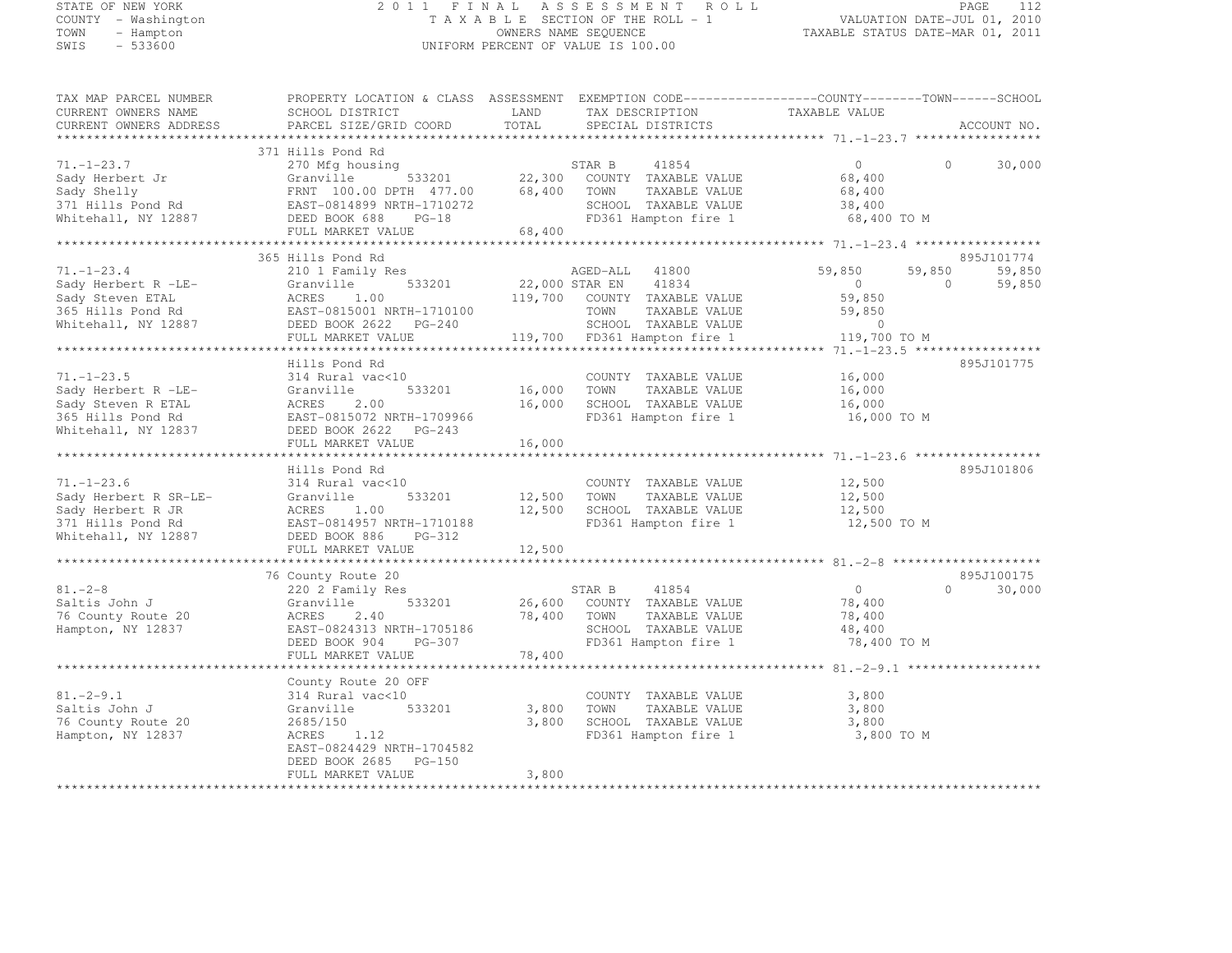#### STATE OF NEW YORK 2 0 1 1 F I N A L A S S E S S M E N T R O L L PAGE <sup>112</sup> COUNTY - Washington T A X A B L E SECTION OF THE ROLL - 1 VALUATION DATE-JUL 01, 2010 TOWN - Hampton OWNERS NAME SEQUENCE TAXABLE STATUS DATE-MAR 01, 2011 SWIS - 533600 UNIFORM PERCENT OF VALUE IS 100.00

| TAX MAP PARCEL NUMBER                                                                                                                                                                                                          | PROPERTY LOCATION & CLASS ASSESSMENT EXEMPTION CODE----------------COUNTY-------TOWN------SCHOOL |             |                                                                           |                |          |                      |
|--------------------------------------------------------------------------------------------------------------------------------------------------------------------------------------------------------------------------------|--------------------------------------------------------------------------------------------------|-------------|---------------------------------------------------------------------------|----------------|----------|----------------------|
| CURRENT OWNERS NAME                                                                                                                                                                                                            | SCHOOL DISTRICT                                                                                  | LAND        | TAX DESCRIPTION                                                           | TAXABLE VALUE  |          |                      |
| CURRENT OWNERS ADDRESS                                                                                                                                                                                                         | PARCEL SIZE/GRID COORD                                                                           | TOTAL       | SPECIAL DISTRICTS                                                         |                |          | ACCOUNT NO.          |
|                                                                                                                                                                                                                                |                                                                                                  |             |                                                                           |                |          |                      |
|                                                                                                                                                                                                                                | 371 Hills Pond Rd                                                                                |             |                                                                           |                |          |                      |
| $71. - 1 - 23.7$                                                                                                                                                                                                               | 270 Mfg housing                                                                                  |             | STAR B<br>41854                                                           | $\bigcirc$     | $\Omega$ | 30,000               |
| Sady Herbert Jr                                                                                                                                                                                                                | Granville                                                                                        |             | 533201 22,300 COUNTY TAXABLE VALUE<br>TH 477.00 68,400 TOWN TAXABLE VALUE | 68,400         |          |                      |
|                                                                                                                                                                                                                                | FRNT 100.00 DPTH 477.00                                                                          | 68,400      | TOWN<br>TAXABLE VALUE                                                     | 68,400         |          |                      |
|                                                                                                                                                                                                                                | EAST-0814899 NRTH-1710272                                                                        |             | SCHOOL TAXABLE VALUE                                                      | 38,400         |          |                      |
| saqy Sneily<br>371 Hills Pond Rd<br>Whitehall, NY 12887                                                                                                                                                                        | DEED BOOK 688<br>$PG-18$                                                                         |             | FD361 Hampton fire 1                                                      | 68,400 TO M    |          |                      |
|                                                                                                                                                                                                                                | FULL MARKET VALUE                                                                                | 68,400      |                                                                           |                |          |                      |
|                                                                                                                                                                                                                                |                                                                                                  |             |                                                                           |                |          |                      |
| $71. - 1 - 23.4$                                                                                                                                                                                                               | 365 Hills Pond Rd                                                                                |             |                                                                           | 59,850         | 59,850   | 895J101774<br>59,850 |
|                                                                                                                                                                                                                                | 210 1 Family Res<br>533201                                                                       |             | AGED-ALL<br>41800<br>41834                                                | $\overline{0}$ | $\Omega$ |                      |
| Sady Herbert R -LE-                                                                                                                                                                                                            | Granville<br>ACRES 1.00                                                                          |             | $22,000$ STAR EN                                                          | 59,850         |          | 59,850               |
|                                                                                                                                                                                                                                | EAST-0815001 NRTH-1710100                                                                        |             | 119,700 COUNTY TAXABLE VALUE<br>TOWN                                      | 59,850         |          |                      |
|                                                                                                                                                                                                                                |                                                                                                  |             | TAXABLE VALUE<br>SCHOOL TAXABLE VALUE                                     | $\sim$ 0       |          |                      |
|                                                                                                                                                                                                                                | DEED BOOK 2622 PG-240<br>FULL MARKET VALUE                                                       |             |                                                                           | 119,700 TO M   |          |                      |
| UNITED THE STATE OF THE STATE OF THE STATE OF THE STATE OF THE STATE OF THE STATE OF THE STATE OF THE STATE OF THE STATE OF THE STATE OF THE STATE OF THE STATE OF THE STATE OF THE STATE OF THE STATE OF THE STATE OF THE STA |                                                                                                  |             |                                                                           |                |          |                      |
|                                                                                                                                                                                                                                | Hills Pond Rd                                                                                    |             |                                                                           |                |          | 895J101775           |
| $71, -1 - 23, 5$                                                                                                                                                                                                               | 314 Rural vac<10                                                                                 |             | COUNTY TAXABLE VALUE                                                      | 16,000         |          |                      |
| Sady Herbert R -LE-                                                                                                                                                                                                            | 533201<br>Granville                                                                              | 16,000 TOWN | TAXABLE VALUE                                                             | 16,000         |          |                      |
| Sady Steven R ETAL                                                                                                                                                                                                             | ACRES<br>2.00                                                                                    |             | 16,000 SCHOOL TAXABLE VALUE                                               | 16,000         |          |                      |
| 365 Hills Pond Rd                                                                                                                                                                                                              | EAST-0815072 NRTH-1709966                                                                        |             | FD361 Hampton fire 1                                                      | 16,000 TO M    |          |                      |
| Whitehall, NY 12837                                                                                                                                                                                                            | DEED BOOK 2622 PG-243                                                                            |             |                                                                           |                |          |                      |
|                                                                                                                                                                                                                                | FULL MARKET VALUE                                                                                | 16,000      |                                                                           |                |          |                      |
|                                                                                                                                                                                                                                |                                                                                                  |             |                                                                           |                |          |                      |
|                                                                                                                                                                                                                                | Hills Pond Rd                                                                                    |             |                                                                           |                |          | 895J101806           |
| $71. - 1 - 23.6$                                                                                                                                                                                                               | 314 Rural vac<10                                                                                 |             | COUNTY TAXABLE VALUE                                                      | 12,500         |          |                      |
| Sady Herbert R SR-LE-                                                                                                                                                                                                          | Granville<br>533201                                                                              | 12,500 TOWN | TAXABLE VALUE                                                             | 12,500         |          |                      |
| Sady Herbert R JR                                                                                                                                                                                                              | ACRES 1.00                                                                                       | 12,500      | SCHOOL TAXABLE VALUE                                                      | 12,500         |          |                      |
| 371 Hills Pond Rd                                                                                                                                                                                                              | EAST-0814957 NRTH-1710188                                                                        |             | FD361 Hampton fire 1                                                      | 12,500 TO M    |          |                      |
| Whitehall, NY 12887                                                                                                                                                                                                            | DEED BOOK 886 PG-312                                                                             |             |                                                                           |                |          |                      |
|                                                                                                                                                                                                                                | FULL MARKET VALUE                                                                                | 12,500      |                                                                           |                |          |                      |
|                                                                                                                                                                                                                                |                                                                                                  |             |                                                                           |                |          |                      |
|                                                                                                                                                                                                                                | 76 County Route 20                                                                               |             |                                                                           |                |          | 895J100175           |
| $81 - 2 - 8$                                                                                                                                                                                                                   | 220 2 Family Res                                                                                 |             | STAR B<br>41854                                                           | $\overline{0}$ | $\Omega$ | 30,000               |
| Saltis John J                                                                                                                                                                                                                  | Granville<br>533201                                                                              |             | 26,600 COUNTY TAXABLE VALUE                                               | 78,400         |          |                      |
| 76 County Route 20                                                                                                                                                                                                             | ACRES<br>2.40                                                                                    |             | 78,400 TOWN<br>TAXABLE VALUE                                              | 78,400         |          |                      |
| Hampton, NY 12837                                                                                                                                                                                                              | EAST-0824313 NRTH-1705186                                                                        |             | SCHOOL TAXABLE VALUE                                                      | 48,400         |          |                      |
|                                                                                                                                                                                                                                | DEED BOOK 904<br>PG-307                                                                          |             | FD361 Hampton fire 1                                                      | 78,400 TO M    |          |                      |
|                                                                                                                                                                                                                                | FULL MARKET VALUE                                                                                | 78,400      |                                                                           |                |          |                      |
|                                                                                                                                                                                                                                |                                                                                                  |             |                                                                           |                |          |                      |
|                                                                                                                                                                                                                                | County Route 20 OFF                                                                              |             |                                                                           |                |          |                      |
| $81. -2 - 9.1$                                                                                                                                                                                                                 | 314 Rural vac<10                                                                                 |             | COUNTY TAXABLE VALUE                                                      | 3,800          |          |                      |
| Saltis John J                                                                                                                                                                                                                  | 533201<br>Granville                                                                              | 3,800       | TOWN<br>TAXABLE VALUE                                                     | 3,800          |          |                      |
| 76 County Route 20                                                                                                                                                                                                             | 2685/150                                                                                         | 3,800       | SCHOOL TAXABLE VALUE                                                      | 3,800          |          |                      |
| Hampton, NY 12837                                                                                                                                                                                                              | 1.12<br>ACRES                                                                                    |             | FD361 Hampton fire 1                                                      | 3,800 TO M     |          |                      |
|                                                                                                                                                                                                                                | EAST-0824429 NRTH-1704582                                                                        |             |                                                                           |                |          |                      |
|                                                                                                                                                                                                                                | DEED BOOK 2685 PG-150                                                                            |             |                                                                           |                |          |                      |
| ************************                                                                                                                                                                                                       | FULL MARKET VALUE                                                                                | 3,800       |                                                                           |                |          |                      |
|                                                                                                                                                                                                                                |                                                                                                  |             |                                                                           |                |          |                      |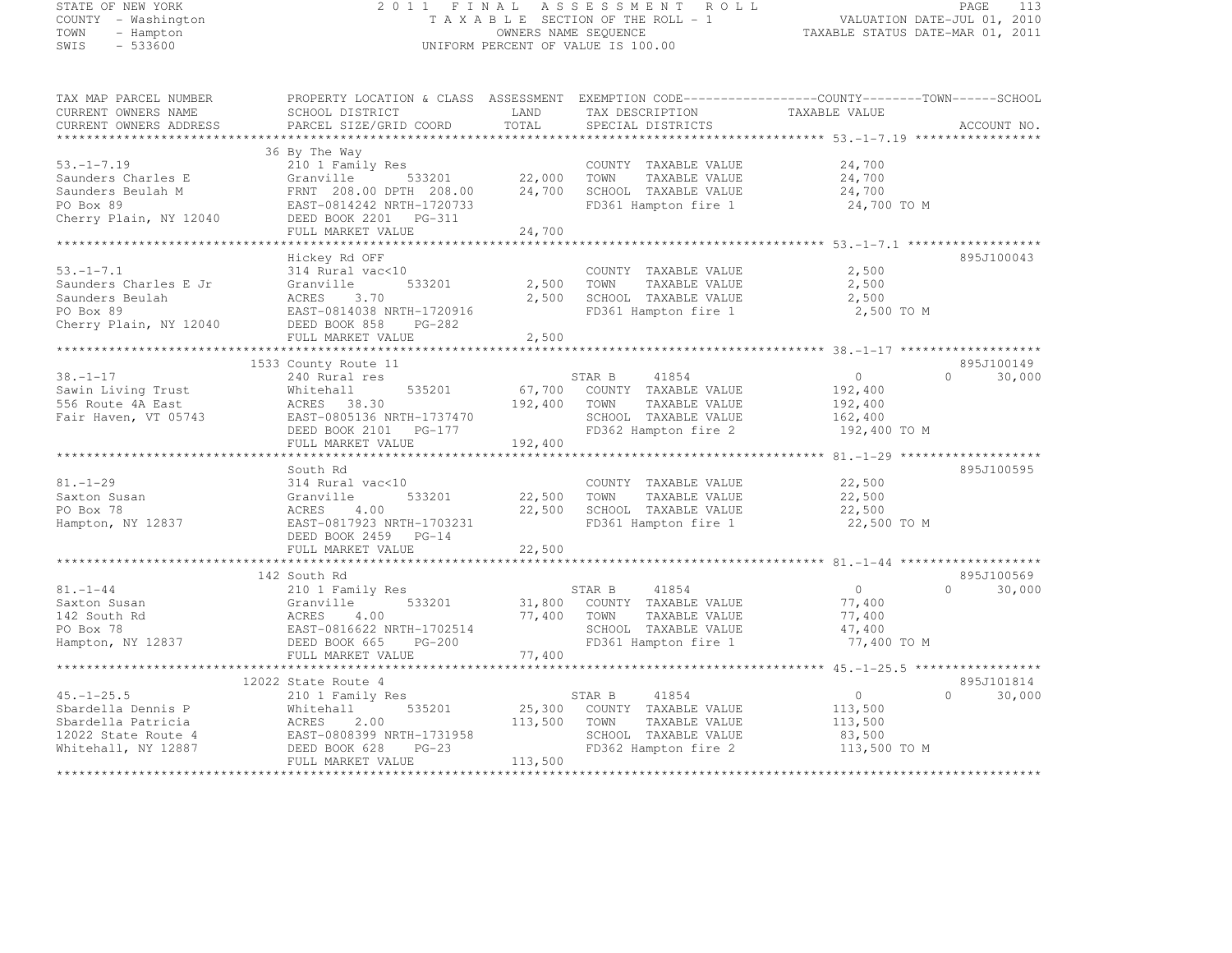#### STATE OF NEW YORK 2 0 1 1 F I N A L A S S E S S M E N T R O L L PAGE <sup>113</sup> COUNTY - Washington T A X A B L E SECTION OF THE ROLL - 1 VALUATION DATE-JUL 01, 2010 TOWN - Hampton OWNERS NAME SEQUENCE TAXABLE STATUS DATE-MAR 01, 2011 SWIS - 533600 UNIFORM PERCENT OF VALUE IS 100.00

| TAX MAP PARCEL NUMBER  | PROPERTY LOCATION & CLASS ASSESSMENT EXEMPTION CODE----------------COUNTY-------TOWN------SCHOOL |         |                                              |                        |                    |
|------------------------|--------------------------------------------------------------------------------------------------|---------|----------------------------------------------|------------------------|--------------------|
| CURRENT OWNERS NAME    | SCHOOL DISTRICT                                                                                  | LAND    | TAX DESCRIPTION                              | TAXABLE VALUE          |                    |
| CURRENT OWNERS ADDRESS | PARCEL SIZE/GRID COORD                                                                           | TOTAL   | SPECIAL DISTRICTS                            |                        | ACCOUNT NO.        |
|                        |                                                                                                  |         |                                              |                        |                    |
|                        | 36 By The Way                                                                                    |         |                                              |                        |                    |
| $53. -1 - 7.19$        | 210 1 Family Res                                                                                 |         | COUNTY TAXABLE VALUE                         | 24,700                 |                    |
| Saunders Charles E     | Granville<br>533201                                                                              | 22,000  | TOWN<br>TAXABLE VALUE                        | 24,700                 |                    |
| Saunders Beulah M      | FRNT 208.00 DPTH 208.00                                                                          | 24,700  | SCHOOL TAXABLE VALUE                         | 24,700                 |                    |
| PO Box 89              | EAST-0814242 NRTH-1720733                                                                        |         | FD361 Hampton fire 1                         | 24,700 TO M            |                    |
| Cherry Plain, NY 12040 | DEED BOOK 2201    PG-311                                                                         |         |                                              |                        |                    |
|                        | FULL MARKET VALUE                                                                                | 24,700  |                                              |                        |                    |
|                        |                                                                                                  |         |                                              |                        |                    |
|                        | Hickey Rd OFF                                                                                    |         |                                              |                        | 895J100043         |
| $53. - 1 - 7.1$        | 314 Rural vac<10                                                                                 |         | COUNTY TAXABLE VALUE                         | 2,500                  |                    |
| Saunders Charles E Jr  | 533201<br>Granville                                                                              | 2,500   | TAXABLE VALUE<br>TOWN                        | 2,500                  |                    |
| Saunders Beulah        | ACRES<br>3.70                                                                                    | 2,500   | SCHOOL TAXABLE VALUE                         | 2,500                  |                    |
| PO Box 89              | EAST-0814038 NRTH-1720916                                                                        |         | FD361 Hampton fire 1                         | 2,500 TO M             |                    |
| Cherry Plain, NY 12040 | DEED BOOK 858<br>$PG-282$                                                                        |         |                                              |                        |                    |
|                        | FULL MARKET VALUE                                                                                | 2,500   |                                              |                        |                    |
|                        |                                                                                                  |         |                                              |                        |                    |
|                        | 1533 County Route 11                                                                             |         |                                              |                        | 895J100149         |
| $38. - 1 - 17$         | 240 Rural res                                                                                    |         | STAR B<br>41854                              | $\Omega$               | 30,000<br>$\cap$   |
| Sawin Living Trust     | 535201<br>Whitehall                                                                              | 67,700  | COUNTY TAXABLE VALUE                         | 192,400                |                    |
| 556 Route 4A East      | ACRES 38.30                                                                                      | 192,400 | TOWN<br>TAXABLE VALUE                        | 192,400                |                    |
| Fair Haven, VT 05743   | EAST-0805136 NRTH-1737470                                                                        |         | SCHOOL TAXABLE VALUE                         | 162,400                |                    |
|                        | DEED BOOK 2101    PG-177                                                                         |         | FD362 Hampton fire 2                         | 192,400 TO M           |                    |
|                        | FULL MARKET VALUE                                                                                | 192,400 |                                              |                        |                    |
|                        |                                                                                                  |         |                                              |                        |                    |
|                        | South Rd                                                                                         |         |                                              |                        | 895J100595         |
| $81. - 1 - 29$         | 314 Rural vac<10                                                                                 |         | COUNTY TAXABLE VALUE                         | 22,500                 |                    |
| Saxton Susan           | 533201<br>Granville                                                                              | 22,500  | TOWN<br>TAXABLE VALUE                        | 22,500                 |                    |
| PO Box 78              | ACRES<br>4.00                                                                                    | 22,500  | SCHOOL TAXABLE VALUE                         | 22,500                 |                    |
| Hampton, NY 12837      | EAST-0817923 NRTH-1703231                                                                        |         | FD361 Hampton fire 1                         | 22,500 TO M            |                    |
|                        | DEED BOOK 2459 PG-14                                                                             |         |                                              |                        |                    |
|                        | FULL MARKET VALUE                                                                                | 22,500  |                                              |                        |                    |
|                        |                                                                                                  |         |                                              |                        |                    |
|                        | 142 South Rd                                                                                     |         |                                              |                        | 895J100569         |
| $81. - 1 - 44$         | 210 1 Family Res                                                                                 |         | STAR B<br>41854                              | $\overline{0}$         | 30,000<br>$\Omega$ |
| Saxton Susan           | 533201<br>Granville                                                                              | 31,800  | COUNTY TAXABLE VALUE                         | 77,400                 |                    |
| 142 South Rd           | 4.00<br>ACRES                                                                                    | 77,400  | TOWN<br>TAXABLE VALUE                        | 77,400                 |                    |
| PO Box 78              | EAST-0816622 NRTH-1702514                                                                        |         | SCHOOL TAXABLE VALUE                         | 47,400                 |                    |
| Hampton, NY 12837      | DEED BOOK 665<br><b>PG-200</b>                                                                   |         | FD361 Hampton fire 1                         | 77,400 TO M            |                    |
|                        | FULL MARKET VALUE                                                                                | 77,400  |                                              |                        |                    |
|                        |                                                                                                  |         |                                              |                        |                    |
|                        |                                                                                                  |         |                                              |                        | 895J101814         |
| $45. - 1 - 25.5$       | 12022 State Route 4                                                                              |         | 41854                                        | $\circ$                | $\Omega$           |
|                        | 210 1 Family Res                                                                                 |         | STAR B                                       |                        | 30,000             |
| Sbardella Dennis P     | 535201<br>Whitehall                                                                              | 25,300  | COUNTY TAXABLE VALUE                         | 113,500                |                    |
| Sbardella Patricia     | ACRES<br>2.00                                                                                    | 113,500 | TAXABLE VALUE<br>TOWN                        | 113,500                |                    |
| 12022 State Route 4    | EAST-0808399 NRTH-1731958<br>DEED BOOK 628<br>$PG-23$                                            |         | SCHOOL TAXABLE VALUE<br>FD362 Hampton fire 2 | 83,500<br>113,500 TO M |                    |
| Whitehall, NY 12887    | FULL MARKET VALUE                                                                                |         |                                              |                        |                    |
|                        |                                                                                                  | 113,500 |                                              |                        |                    |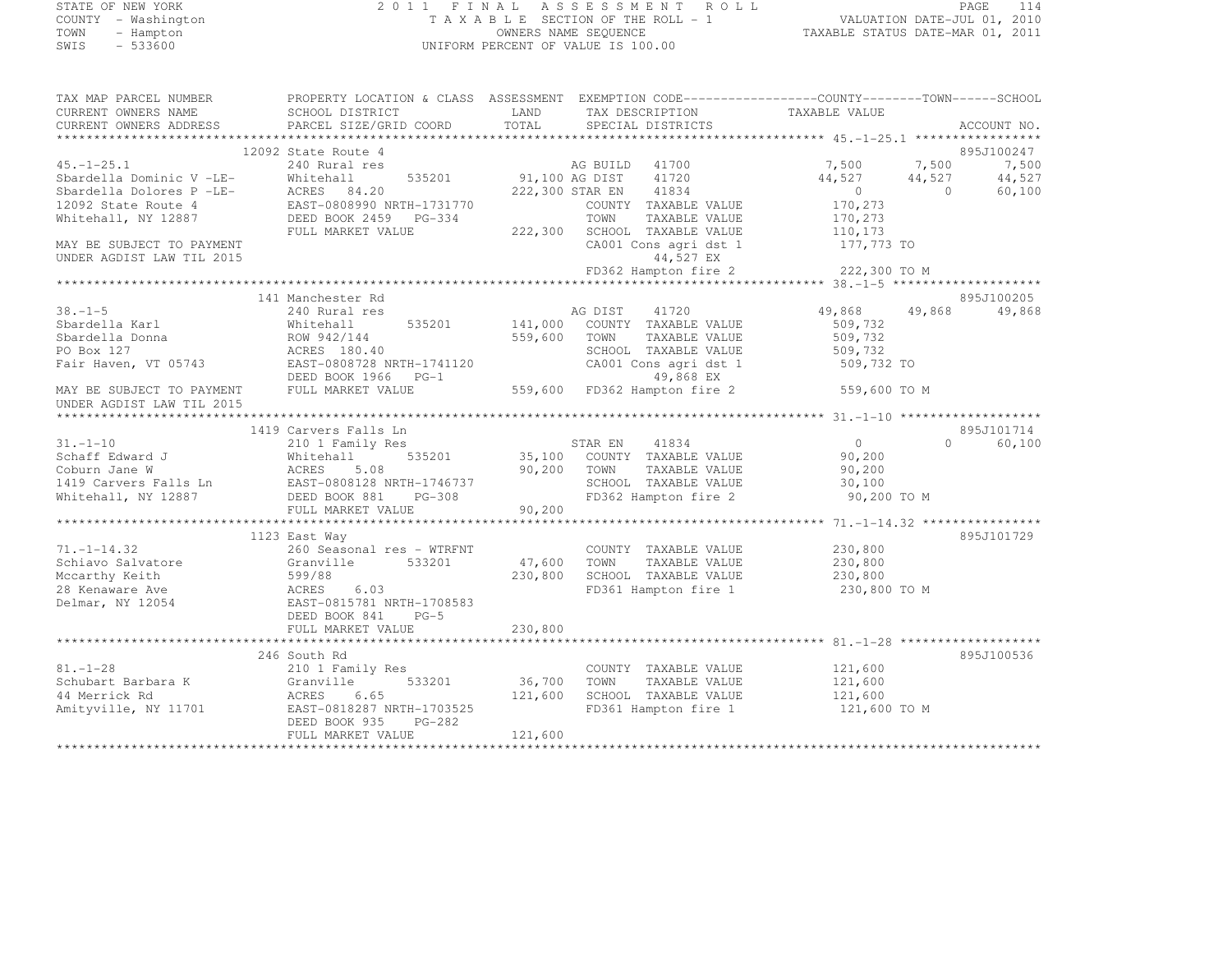# STATE OF NEW YORK 2 0 1 1 F I N A L A S S E S S M E N T R O L L PAGE <sup>114</sup> COUNTY - Washington T A X A B L E SECTION OF THE ROLL - 1 VALUATION DATE-JUL 01, 2010 TOWN - Hampton OWNERS NAME SEQUENCE TAXABLE STATUS DATE-MAR 01, 2011 SWIS - 533600 UNIFORM PERCENT OF VALUE IS 100.00

| TAX MAP PARCEL NUMBER<br>CURRENT OWNERS NAME         | PROPERTY LOCATION & CLASS ASSESSMENT EXEMPTION CODE----------------COUNTY-------TOWN------SCHOOL<br>SCHOOL DISTRICT | LAND    | TAX DESCRIPTION              | TAXABLE VALUE  |          |             |
|------------------------------------------------------|---------------------------------------------------------------------------------------------------------------------|---------|------------------------------|----------------|----------|-------------|
| CURRENT OWNERS ADDRESS                               | PARCEL SIZE/GRID COORD                                                                                              | TOTAL   | SPECIAL DISTRICTS            |                |          | ACCOUNT NO. |
|                                                      | 12092 State Route 4                                                                                                 |         |                              |                |          | 895J100247  |
| $45. - 1 - 25.1$                                     | 240 Rural res                                                                                                       |         | AG BUILD 41700               | 7,500          | 7,500    | 7,500       |
|                                                      | 535201<br>Whitehall                                                                                                 |         | 91,100 AG DIST<br>41720      | 44,527         | 44,527   | 44,527      |
| Sbardella Dominic V -LE-<br>Sbardella Dolores P -LE- | ACRES<br>84.20                                                                                                      |         | 222,300 STAR EN<br>41834     | $\overline{0}$ | $\Omega$ | 60,100      |
| 12092 State Route 4                                  | EAST-0808990 NRTH-1731770                                                                                           |         | COUNTY TAXABLE VALUE         | 170,273        |          |             |
| Whitehall, NY 12887                                  | DEED BOOK 2459 PG-334                                                                                               |         | TOWN<br>TAXABLE VALUE        | 170,273        |          |             |
|                                                      | FULL MARKET VALUE                                                                                                   | 222,300 | SCHOOL TAXABLE VALUE         | 110,173        |          |             |
| MAY BE SUBJECT TO PAYMENT                            |                                                                                                                     |         | CA001 Cons agri dst 1        | 177,773 TO     |          |             |
| UNDER AGDIST LAW TIL 2015                            |                                                                                                                     |         | 44,527 EX                    |                |          |             |
|                                                      |                                                                                                                     |         | FD362 Hampton fire 2         | 222,300 TO M   |          |             |
|                                                      |                                                                                                                     |         |                              |                |          |             |
|                                                      | 141 Manchester Rd                                                                                                   |         |                              |                |          | 895J100205  |
| $38. - 1 - 5$                                        | 240 Rural res                                                                                                       |         | 41720<br>AG DIST             | 49,868         | 49,868   | 49,868      |
| Sbardella Karl                                       | 535201<br>Whitehall                                                                                                 | 141,000 | COUNTY TAXABLE VALUE         | 509,732        |          |             |
| Sbardella Donna                                      | ROW 942/144                                                                                                         | 559,600 | TOWN<br>TAXABLE VALUE        | 509,732        |          |             |
| PO Box 127                                           | ACRES 180.40                                                                                                        |         | SCHOOL TAXABLE VALUE         | 509,732        |          |             |
| Fair Haven, VT 05743                                 | EAST-0808728 NRTH-1741120                                                                                           |         | CA001 Cons agri dst 1        | 509,732 TO     |          |             |
|                                                      | DEED BOOK 1966<br>$PG-1$                                                                                            |         | 49,868 EX                    |                |          |             |
| MAY BE SUBJECT TO PAYMENT                            | FULL MARKET VALUE                                                                                                   |         | 559,600 FD362 Hampton fire 2 | 559,600 TO M   |          |             |
| UNDER AGDIST LAW TIL 2015                            |                                                                                                                     |         |                              |                |          |             |
|                                                      |                                                                                                                     |         |                              |                |          |             |
|                                                      | 1419 Carvers Falls Ln                                                                                               |         |                              |                |          | 895J101714  |
| $31. - 1 - 10$                                       | 210 1 Family Res                                                                                                    |         | STAR EN<br>41834             | $\overline{0}$ | $\Omega$ | 60,100      |
| Schaff Edward J                                      | 535201<br>Whitehall                                                                                                 | 35,100  | COUNTY TAXABLE VALUE         | 90,200         |          |             |
| Coburn Jane W                                        | ACRES<br>5.08                                                                                                       | 90,200  | TOWN<br>TAXABLE VALUE        | 90,200         |          |             |
| 1419 Carvers Falls Ln                                | EAST-0808128 NRTH-1746737                                                                                           |         | SCHOOL TAXABLE VALUE         | 30,100         |          |             |
| Whitehall, NY 12887                                  | DEED BOOK 881<br>PG-308                                                                                             |         | FD362 Hampton fire 2         | 90,200 TO M    |          |             |
|                                                      | FULL MARKET VALUE                                                                                                   | 90,200  |                              |                |          |             |
|                                                      | 1123 East Way                                                                                                       |         |                              |                |          | 895J101729  |
| $71, -1 - 14.32$                                     | 260 Seasonal res - WTRFNT                                                                                           |         | COUNTY TAXABLE VALUE         | 230,800        |          |             |
| Schiavo Salvatore                                    | Granville<br>533201                                                                                                 | 47,600  | TOWN<br>TAXABLE VALUE        | 230,800        |          |             |
| Mccarthy Keith                                       | 599/88                                                                                                              | 230,800 | SCHOOL TAXABLE VALUE         | 230,800        |          |             |
| 28 Kenaware Ave                                      | ACRES<br>6.03                                                                                                       |         | FD361 Hampton fire 1         | 230,800 TO M   |          |             |
| Delmar, NY 12054                                     | EAST-0815781 NRTH-1708583                                                                                           |         |                              |                |          |             |
|                                                      | DEED BOOK 841<br>$PG-5$                                                                                             |         |                              |                |          |             |
|                                                      | FULL MARKET VALUE                                                                                                   | 230,800 |                              |                |          |             |
|                                                      |                                                                                                                     |         |                              |                |          |             |
|                                                      | 246 South Rd                                                                                                        |         |                              |                |          | 895J100536  |
| $81. - 1 - 28$                                       | 210 1 Family Res                                                                                                    |         | COUNTY TAXABLE VALUE         | 121,600        |          |             |
| Schubart Barbara K                                   | Granville<br>533201                                                                                                 | 36,700  | TOWN<br>TAXABLE VALUE        | 121,600        |          |             |
| 44 Merrick Rd                                        | ACRES<br>6.65                                                                                                       | 121,600 | SCHOOL TAXABLE VALUE         | 121,600        |          |             |
| Amityville, NY 11701                                 | EAST-0818287 NRTH-1703525                                                                                           |         | FD361 Hampton fire 1         | 121,600 TO M   |          |             |
|                                                      | DEED BOOK 935<br>$PG-282$                                                                                           |         |                              |                |          |             |
|                                                      | FULL MARKET VALUE                                                                                                   | 121,600 |                              |                |          |             |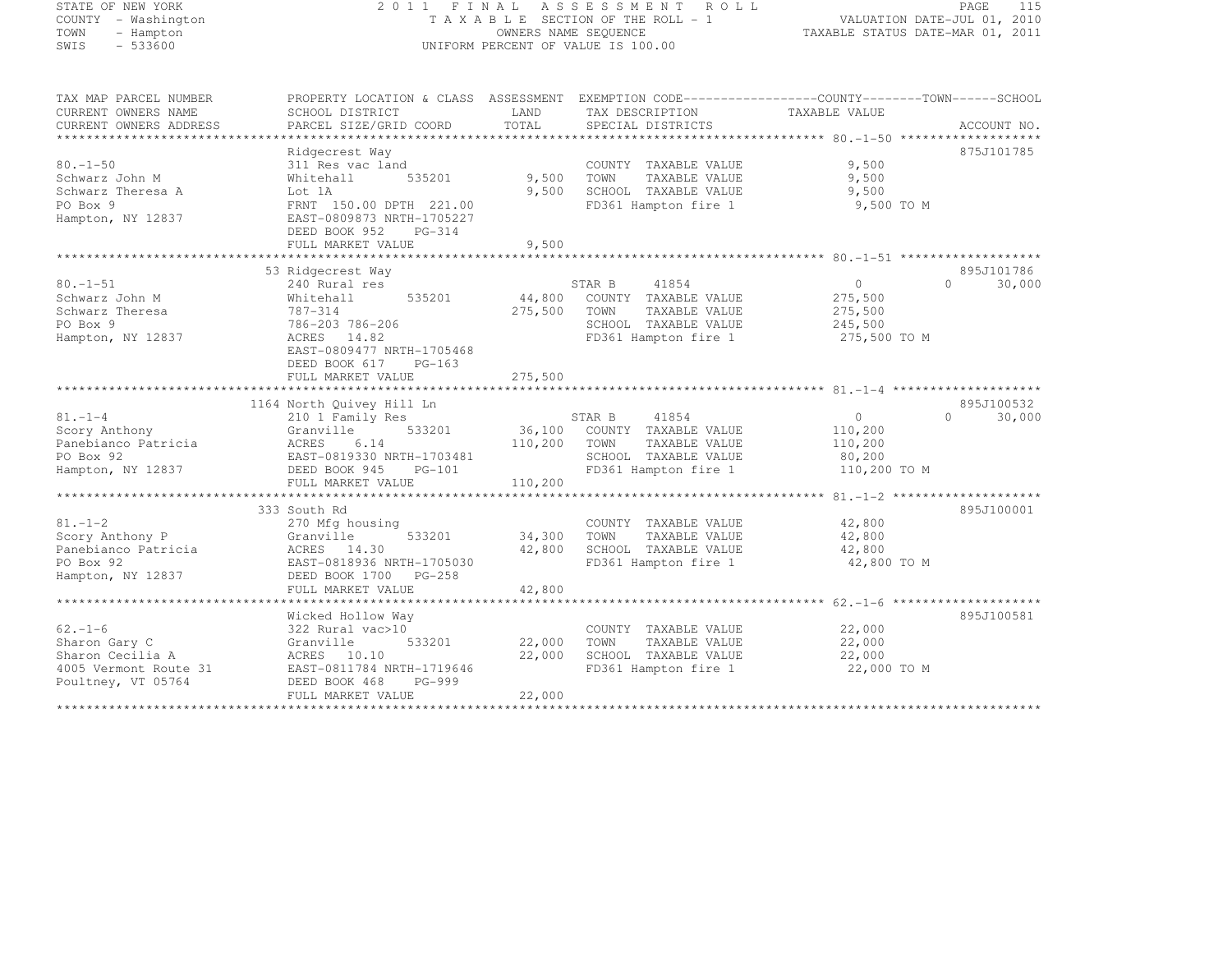# STATE OF NEW YORK 2 0 1 1 F I N A L A S S E S S M E N T R O L L PAGE <sup>115</sup> COUNTY - Washington T A X A B L E SECTION OF THE ROLL - 1 VALUATION DATE-JUL 01, 2010 TOWN - Hampton OWNERS NAME SEQUENCE TAXABLE STATUS DATE-MAR 01, 2011 SWIS - 533600 UNIFORM PERCENT OF VALUE IS 100.00

| TAX MAP PARCEL NUMBER  | PROPERTY LOCATION & CLASS ASSESSMENT EXEMPTION CODE----------------COUNTY-------TOWN------SCHOOL |             |                             |                |                    |
|------------------------|--------------------------------------------------------------------------------------------------|-------------|-----------------------------|----------------|--------------------|
| CURRENT OWNERS NAME    | SCHOOL DISTRICT                                                                                  | LAND        | TAX DESCRIPTION             | TAXABLE VALUE  |                    |
| CURRENT OWNERS ADDRESS | PARCEL SIZE/GRID COORD                                                                           | TOTAL       | SPECIAL DISTRICTS           |                | ACCOUNT NO.        |
|                        |                                                                                                  |             |                             |                |                    |
|                        | Ridgecrest Way                                                                                   |             |                             |                | 875J101785         |
| $80. - 1 - 50$         | 311 Res vac land                                                                                 |             | COUNTY TAXABLE VALUE        | 9,500          |                    |
| Schwarz John M         | 535201<br>Whitehall                                                                              | 9,500       | TOWN<br>TAXABLE VALUE       | 9,500          |                    |
| Schwarz Theresa A      | Lot 1A                                                                                           | 9,500       | SCHOOL TAXABLE VALUE        | 9,500          |                    |
| PO Box 9               | FRNT 150.00 DPTH 221.00                                                                          |             | FD361 Hampton fire 1        | 9,500 TO M     |                    |
| Hampton, NY 12837      | EAST-0809873 NRTH-1705227                                                                        |             |                             |                |                    |
|                        | DEED BOOK 952<br>$PG-314$                                                                        |             |                             |                |                    |
|                        | FULL MARKET VALUE                                                                                | 9,500       |                             |                |                    |
|                        |                                                                                                  |             |                             |                |                    |
|                        | 53 Ridgecrest Way                                                                                |             |                             |                | 895J101786         |
| $80. - 1 - 51$         | 240 Rural res                                                                                    |             | 41854<br>STAR B             | 0              | 30,000<br>$\Omega$ |
| Schwarz John M         | Whitehall<br>535201                                                                              | 44,800      | COUNTY TAXABLE VALUE        | 275,500        |                    |
| Schwarz Theresa        | 787-314                                                                                          | 275,500     | TOWN<br>TAXABLE VALUE       | 275,500        |                    |
| PO Box 9               | 786-203 786-206                                                                                  |             | SCHOOL TAXABLE VALUE        | 245,500        |                    |
|                        |                                                                                                  |             |                             |                |                    |
| Hampton, NY 12837      | ACRES 14.82                                                                                      |             | FD361 Hampton fire 1        | 275,500 TO M   |                    |
|                        | EAST-0809477 NRTH-1705468                                                                        |             |                             |                |                    |
|                        | DEED BOOK 617<br>$PG-163$                                                                        |             |                             |                |                    |
|                        | FULL MARKET VALUE                                                                                | 275,500     |                             |                |                    |
|                        |                                                                                                  |             |                             |                |                    |
|                        | 1164 North Quivey Hill Ln                                                                        |             |                             |                | 895J100532         |
| $81. - 1 - 4$          | 210 1 Family Res                                                                                 |             | STAR B<br>41854             | $\overline{0}$ | 30,000<br>$\cap$   |
| Scory Anthony          | Granville<br>533201                                                                              |             | 36,100 COUNTY TAXABLE VALUE | 110,200        |                    |
| Panebianco Patricia    | ACRES<br>6.14                                                                                    | 110,200     | TOWN<br>TAXABLE VALUE       | 110,200        |                    |
| PO Box 92              | EAST-0819330 NRTH-1703481                                                                        |             | SCHOOL TAXABLE VALUE        | 80,200         |                    |
| Hampton, NY 12837      | DEED BOOK 945 PG-101                                                                             |             | FD361 Hampton fire 1        | 110,200 TO M   |                    |
|                        | FULL MARKET VALUE                                                                                | 110,200     |                             |                |                    |
|                        |                                                                                                  |             |                             |                |                    |
|                        | 333 South Rd                                                                                     |             |                             |                | 895J100001         |
| $81. - 1 - 2$          | 270 Mfg housing                                                                                  |             | COUNTY TAXABLE VALUE        | 42,800         |                    |
| Scory Anthony P        | 533201<br>Granville                                                                              | 34,300 TOWN | TAXABLE VALUE               | 42,800         |                    |
| Panebianco Patricia    | ACRES 14.30                                                                                      | 42,800      | SCHOOL TAXABLE VALUE        | 42,800         |                    |
| PO Box 92              | EAST-0818936 NRTH-1705030                                                                        |             | FD361 Hampton fire 1        | 42,800 TO M    |                    |
| Hampton, NY 12837      | DEED BOOK 1700 PG-258                                                                            |             |                             |                |                    |
|                        | FULL MARKET VALUE                                                                                | 42,800      |                             |                |                    |
|                        |                                                                                                  |             |                             |                |                    |
|                        | Wicked Hollow Way                                                                                |             |                             |                | 895J100581         |
| $62. -1 - 6$           | 322 Rural vac>10                                                                                 |             | COUNTY TAXABLE VALUE        | 22,000         |                    |
| Sharon Gary C          | Granville<br>533201                                                                              | 22,000      | TOWN<br>TAXABLE VALUE       | 22,000         |                    |
| Sharon Cecilia A       | ACRES 10.10                                                                                      | 22,000      | SCHOOL TAXABLE VALUE        | 22,000         |                    |
| 4005 Vermont Route 31  | EAST-0811784 NRTH-1719646                                                                        |             | FD361 Hampton fire 1        | 22,000 TO M    |                    |
| Poultney, VT 05764     | DEED BOOK 468<br>PG-999                                                                          |             |                             |                |                    |
|                        | FULL MARKET VALUE                                                                                | 22,000      |                             |                |                    |
|                        |                                                                                                  |             |                             |                |                    |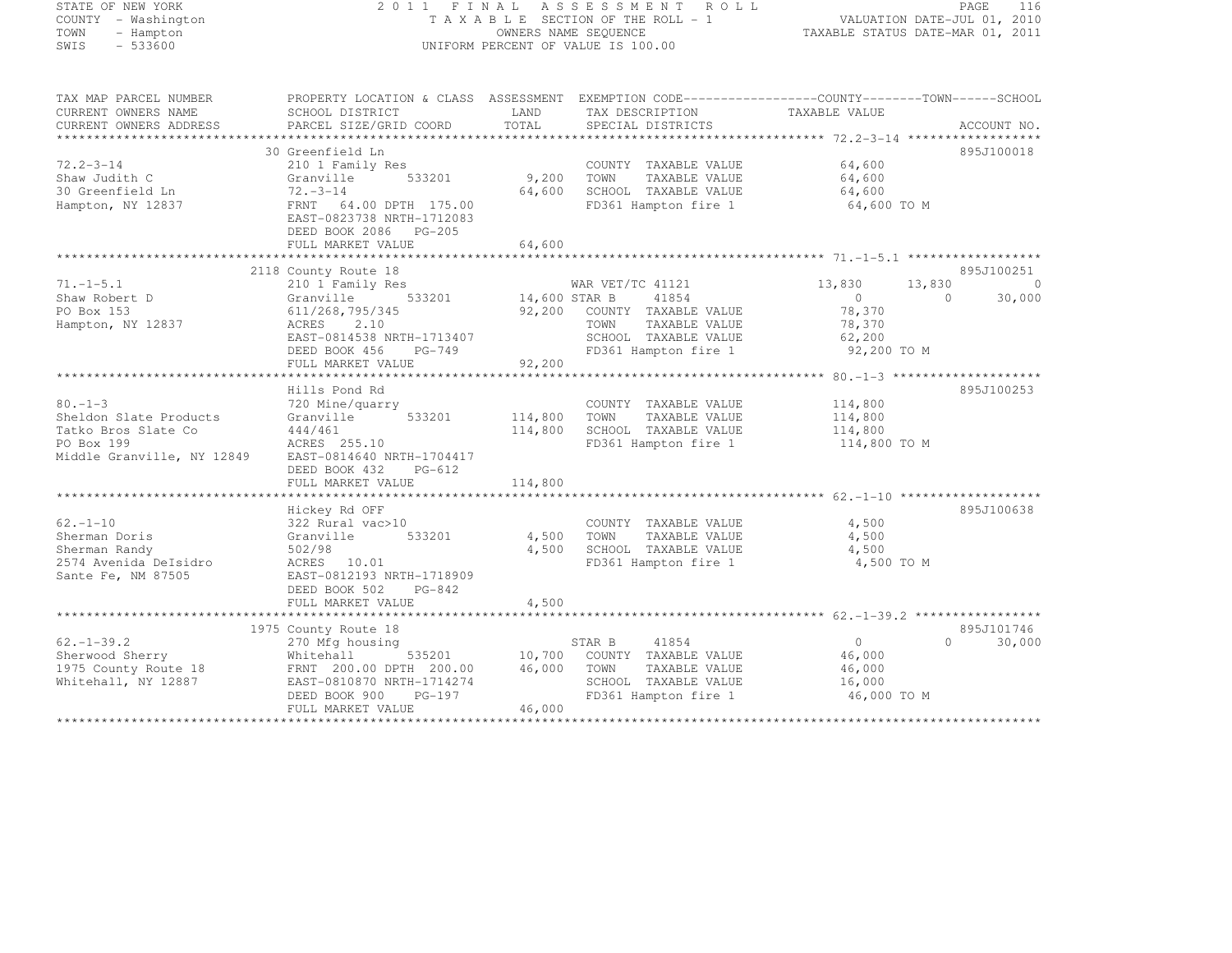#### STATE OF NEW YORK 2 0 1 1 F I N A L A S S E S S M E N T R O L L PAGE <sup>116</sup> COUNTY - Washington T A X A B L E SECTION OF THE ROLL - 1 VALUATION DATE-JUL 01, 2010 TOWN - Hampton OWNERS NAME SEQUENCE TAXABLE STATUS DATE-MAR 01, 2011 SWIS - 533600 UNIFORM PERCENT OF VALUE IS 100.00

| 30 Greenfield Ln<br>895J100018<br>$72.2 - 3 - 14$<br>64,600<br>210 1 Family Res<br>COUNTY TAXABLE VALUE<br>9,200<br>64,600<br>Shaw Judith C<br>Granville<br>533201<br>TOWN<br>TAXABLE VALUE<br>$72 - 3 - 14$<br>64,600<br>30 Greenfield Ln<br>SCHOOL TAXABLE VALUE<br>64,600<br>FRNT 64.00 DPTH 175.00<br>FD361 Hampton fire 1<br>Hampton, NY 12837<br>64,600 TO M<br>EAST-0823738 NRTH-1712083<br>DEED BOOK 2086    PG-205<br>64,600<br>FULL MARKET VALUE<br>895J100251<br>2118 County Route 18<br>WAR VET/TC 41121<br>$71. - 1 - 5.1$<br>210 1 Family Res<br>13,830<br>13,830<br>$\circ$<br>533201 14,600 STAR B<br>41854<br>$\overline{0}$<br>30,000<br>Shaw Robert D<br>Granville<br>$\Omega$<br>PO Box 153<br>92,200 COUNTY TAXABLE VALUE<br>78,370<br>611/268,795/345<br>Hampton, NY 12837<br>ACRES<br>2.10<br>TOWN<br>TAXABLE VALUE<br>78,370<br>EAST-0814538 NRTH-1713407<br>SCHOOL TAXABLE VALUE<br>62,200<br>FD361 Hampton fire 1<br>92,200 TO M<br>DEED BOOK 456<br>PG-749<br>92,200<br>FULL MARKET VALUE<br>895J100253<br>Hills Pond Rd<br>$80. - 1 - 3$<br>114,800<br>720 Mine/quarry<br>COUNTY TAXABLE VALUE<br>Sheldon Slate Products<br>533201<br>114,800<br>Granville<br>TOWN<br>TAXABLE VALUE<br>114,800<br>114,800<br>SCHOOL TAXABLE VALUE<br>Tatko Bros Slate Co<br>444/461<br>114,800<br>PO Box 199<br>FD361 Hampton fire 1<br>ACRES 255.10<br>114,800 TO M<br>Middle Granville, NY 12849<br>EAST-0814640 NRTH-1704417<br>DEED BOOK 432<br>PG-612<br>114,800<br>FULL MARKET VALUE<br>Hickey Rd OFF<br>895J100638<br>$62. - 1 - 10$<br>322 Rural vac>10<br>4,500<br>COUNTY TAXABLE VALUE<br>Sherman Doris<br>533201<br>4,500<br>TAXABLE VALUE<br>4,500<br>Granville<br>TOWN<br>4,500<br>SCHOOL TAXABLE VALUE<br>4,500<br>Sherman Randy<br>502/98<br>2574 Avenida DeIsidro<br>FD361 Hampton fire 1<br>ACRES 10.01<br>4,500 TO M<br>Sante Fe, NM 87505<br>EAST-0812193 NRTH-1718909<br>DEED BOOK 502<br>PG-842<br>4,500<br>FULL MARKET VALUE<br>895J101746<br>1975 County Route 18<br>$62. - 1 - 39.2$<br>$\Omega$<br>30,000<br>270 Mfg housing<br>STAR B<br>41854<br>$\overline{0}$<br>Sherwood Sherry<br>535201<br>10,700<br>Whitehall<br>COUNTY TAXABLE VALUE<br>46,000<br>46,000<br>1975 County Route 18<br>FRNT 200.00 DPTH 200.00<br>TOWN<br>TAXABLE VALUE<br>46,000<br>EAST-0810870 NRTH-1714274<br>SCHOOL TAXABLE VALUE<br>Whitehall, NY 12887<br>16,000<br>FD361 Hampton fire 1<br>46,000 TO M<br>PG-197<br>DEED BOOK 900<br>FULL MARKET VALUE<br>46,000 | TAX MAP PARCEL NUMBER<br>CURRENT OWNERS NAME<br>CURRENT OWNERS ADDRESS | SCHOOL DISTRICT<br>PARCEL SIZE/GRID COORD | LAND<br>TOTAL | TAX DESCRIPTION<br>SPECIAL DISTRICTS | PROPERTY LOCATION & CLASS ASSESSMENT EXEMPTION CODE----------------COUNTY-------TOWN-----SCHOOL<br>TAXABLE VALUE | ACCOUNT NO. |
|-------------------------------------------------------------------------------------------------------------------------------------------------------------------------------------------------------------------------------------------------------------------------------------------------------------------------------------------------------------------------------------------------------------------------------------------------------------------------------------------------------------------------------------------------------------------------------------------------------------------------------------------------------------------------------------------------------------------------------------------------------------------------------------------------------------------------------------------------------------------------------------------------------------------------------------------------------------------------------------------------------------------------------------------------------------------------------------------------------------------------------------------------------------------------------------------------------------------------------------------------------------------------------------------------------------------------------------------------------------------------------------------------------------------------------------------------------------------------------------------------------------------------------------------------------------------------------------------------------------------------------------------------------------------------------------------------------------------------------------------------------------------------------------------------------------------------------------------------------------------------------------------------------------------------------------------------------------------------------------------------------------------------------------------------------------------------------------------------------------------------------------------------------------------------------------------------------------------------------------------------------------------------------------------------------------------------------------------------------------------------------------------------------------------------------------------------------------------------------------|------------------------------------------------------------------------|-------------------------------------------|---------------|--------------------------------------|------------------------------------------------------------------------------------------------------------------|-------------|
|                                                                                                                                                                                                                                                                                                                                                                                                                                                                                                                                                                                                                                                                                                                                                                                                                                                                                                                                                                                                                                                                                                                                                                                                                                                                                                                                                                                                                                                                                                                                                                                                                                                                                                                                                                                                                                                                                                                                                                                                                                                                                                                                                                                                                                                                                                                                                                                                                                                                                     |                                                                        |                                           |               |                                      |                                                                                                                  |             |
|                                                                                                                                                                                                                                                                                                                                                                                                                                                                                                                                                                                                                                                                                                                                                                                                                                                                                                                                                                                                                                                                                                                                                                                                                                                                                                                                                                                                                                                                                                                                                                                                                                                                                                                                                                                                                                                                                                                                                                                                                                                                                                                                                                                                                                                                                                                                                                                                                                                                                     |                                                                        |                                           |               |                                      |                                                                                                                  |             |
|                                                                                                                                                                                                                                                                                                                                                                                                                                                                                                                                                                                                                                                                                                                                                                                                                                                                                                                                                                                                                                                                                                                                                                                                                                                                                                                                                                                                                                                                                                                                                                                                                                                                                                                                                                                                                                                                                                                                                                                                                                                                                                                                                                                                                                                                                                                                                                                                                                                                                     |                                                                        |                                           |               |                                      |                                                                                                                  |             |
|                                                                                                                                                                                                                                                                                                                                                                                                                                                                                                                                                                                                                                                                                                                                                                                                                                                                                                                                                                                                                                                                                                                                                                                                                                                                                                                                                                                                                                                                                                                                                                                                                                                                                                                                                                                                                                                                                                                                                                                                                                                                                                                                                                                                                                                                                                                                                                                                                                                                                     |                                                                        |                                           |               |                                      |                                                                                                                  |             |
|                                                                                                                                                                                                                                                                                                                                                                                                                                                                                                                                                                                                                                                                                                                                                                                                                                                                                                                                                                                                                                                                                                                                                                                                                                                                                                                                                                                                                                                                                                                                                                                                                                                                                                                                                                                                                                                                                                                                                                                                                                                                                                                                                                                                                                                                                                                                                                                                                                                                                     |                                                                        |                                           |               |                                      |                                                                                                                  |             |
|                                                                                                                                                                                                                                                                                                                                                                                                                                                                                                                                                                                                                                                                                                                                                                                                                                                                                                                                                                                                                                                                                                                                                                                                                                                                                                                                                                                                                                                                                                                                                                                                                                                                                                                                                                                                                                                                                                                                                                                                                                                                                                                                                                                                                                                                                                                                                                                                                                                                                     |                                                                        |                                           |               |                                      |                                                                                                                  |             |
|                                                                                                                                                                                                                                                                                                                                                                                                                                                                                                                                                                                                                                                                                                                                                                                                                                                                                                                                                                                                                                                                                                                                                                                                                                                                                                                                                                                                                                                                                                                                                                                                                                                                                                                                                                                                                                                                                                                                                                                                                                                                                                                                                                                                                                                                                                                                                                                                                                                                                     |                                                                        |                                           |               |                                      |                                                                                                                  |             |
|                                                                                                                                                                                                                                                                                                                                                                                                                                                                                                                                                                                                                                                                                                                                                                                                                                                                                                                                                                                                                                                                                                                                                                                                                                                                                                                                                                                                                                                                                                                                                                                                                                                                                                                                                                                                                                                                                                                                                                                                                                                                                                                                                                                                                                                                                                                                                                                                                                                                                     |                                                                        |                                           |               |                                      |                                                                                                                  |             |
|                                                                                                                                                                                                                                                                                                                                                                                                                                                                                                                                                                                                                                                                                                                                                                                                                                                                                                                                                                                                                                                                                                                                                                                                                                                                                                                                                                                                                                                                                                                                                                                                                                                                                                                                                                                                                                                                                                                                                                                                                                                                                                                                                                                                                                                                                                                                                                                                                                                                                     |                                                                        |                                           |               |                                      |                                                                                                                  |             |
|                                                                                                                                                                                                                                                                                                                                                                                                                                                                                                                                                                                                                                                                                                                                                                                                                                                                                                                                                                                                                                                                                                                                                                                                                                                                                                                                                                                                                                                                                                                                                                                                                                                                                                                                                                                                                                                                                                                                                                                                                                                                                                                                                                                                                                                                                                                                                                                                                                                                                     |                                                                        |                                           |               |                                      |                                                                                                                  |             |
|                                                                                                                                                                                                                                                                                                                                                                                                                                                                                                                                                                                                                                                                                                                                                                                                                                                                                                                                                                                                                                                                                                                                                                                                                                                                                                                                                                                                                                                                                                                                                                                                                                                                                                                                                                                                                                                                                                                                                                                                                                                                                                                                                                                                                                                                                                                                                                                                                                                                                     |                                                                        |                                           |               |                                      |                                                                                                                  |             |
|                                                                                                                                                                                                                                                                                                                                                                                                                                                                                                                                                                                                                                                                                                                                                                                                                                                                                                                                                                                                                                                                                                                                                                                                                                                                                                                                                                                                                                                                                                                                                                                                                                                                                                                                                                                                                                                                                                                                                                                                                                                                                                                                                                                                                                                                                                                                                                                                                                                                                     |                                                                        |                                           |               |                                      |                                                                                                                  |             |
|                                                                                                                                                                                                                                                                                                                                                                                                                                                                                                                                                                                                                                                                                                                                                                                                                                                                                                                                                                                                                                                                                                                                                                                                                                                                                                                                                                                                                                                                                                                                                                                                                                                                                                                                                                                                                                                                                                                                                                                                                                                                                                                                                                                                                                                                                                                                                                                                                                                                                     |                                                                        |                                           |               |                                      |                                                                                                                  |             |
|                                                                                                                                                                                                                                                                                                                                                                                                                                                                                                                                                                                                                                                                                                                                                                                                                                                                                                                                                                                                                                                                                                                                                                                                                                                                                                                                                                                                                                                                                                                                                                                                                                                                                                                                                                                                                                                                                                                                                                                                                                                                                                                                                                                                                                                                                                                                                                                                                                                                                     |                                                                        |                                           |               |                                      |                                                                                                                  |             |
|                                                                                                                                                                                                                                                                                                                                                                                                                                                                                                                                                                                                                                                                                                                                                                                                                                                                                                                                                                                                                                                                                                                                                                                                                                                                                                                                                                                                                                                                                                                                                                                                                                                                                                                                                                                                                                                                                                                                                                                                                                                                                                                                                                                                                                                                                                                                                                                                                                                                                     |                                                                        |                                           |               |                                      |                                                                                                                  |             |
|                                                                                                                                                                                                                                                                                                                                                                                                                                                                                                                                                                                                                                                                                                                                                                                                                                                                                                                                                                                                                                                                                                                                                                                                                                                                                                                                                                                                                                                                                                                                                                                                                                                                                                                                                                                                                                                                                                                                                                                                                                                                                                                                                                                                                                                                                                                                                                                                                                                                                     |                                                                        |                                           |               |                                      |                                                                                                                  |             |
|                                                                                                                                                                                                                                                                                                                                                                                                                                                                                                                                                                                                                                                                                                                                                                                                                                                                                                                                                                                                                                                                                                                                                                                                                                                                                                                                                                                                                                                                                                                                                                                                                                                                                                                                                                                                                                                                                                                                                                                                                                                                                                                                                                                                                                                                                                                                                                                                                                                                                     |                                                                        |                                           |               |                                      |                                                                                                                  |             |
|                                                                                                                                                                                                                                                                                                                                                                                                                                                                                                                                                                                                                                                                                                                                                                                                                                                                                                                                                                                                                                                                                                                                                                                                                                                                                                                                                                                                                                                                                                                                                                                                                                                                                                                                                                                                                                                                                                                                                                                                                                                                                                                                                                                                                                                                                                                                                                                                                                                                                     |                                                                        |                                           |               |                                      |                                                                                                                  |             |
|                                                                                                                                                                                                                                                                                                                                                                                                                                                                                                                                                                                                                                                                                                                                                                                                                                                                                                                                                                                                                                                                                                                                                                                                                                                                                                                                                                                                                                                                                                                                                                                                                                                                                                                                                                                                                                                                                                                                                                                                                                                                                                                                                                                                                                                                                                                                                                                                                                                                                     |                                                                        |                                           |               |                                      |                                                                                                                  |             |
|                                                                                                                                                                                                                                                                                                                                                                                                                                                                                                                                                                                                                                                                                                                                                                                                                                                                                                                                                                                                                                                                                                                                                                                                                                                                                                                                                                                                                                                                                                                                                                                                                                                                                                                                                                                                                                                                                                                                                                                                                                                                                                                                                                                                                                                                                                                                                                                                                                                                                     |                                                                        |                                           |               |                                      |                                                                                                                  |             |
|                                                                                                                                                                                                                                                                                                                                                                                                                                                                                                                                                                                                                                                                                                                                                                                                                                                                                                                                                                                                                                                                                                                                                                                                                                                                                                                                                                                                                                                                                                                                                                                                                                                                                                                                                                                                                                                                                                                                                                                                                                                                                                                                                                                                                                                                                                                                                                                                                                                                                     |                                                                        |                                           |               |                                      |                                                                                                                  |             |
|                                                                                                                                                                                                                                                                                                                                                                                                                                                                                                                                                                                                                                                                                                                                                                                                                                                                                                                                                                                                                                                                                                                                                                                                                                                                                                                                                                                                                                                                                                                                                                                                                                                                                                                                                                                                                                                                                                                                                                                                                                                                                                                                                                                                                                                                                                                                                                                                                                                                                     |                                                                        |                                           |               |                                      |                                                                                                                  |             |
|                                                                                                                                                                                                                                                                                                                                                                                                                                                                                                                                                                                                                                                                                                                                                                                                                                                                                                                                                                                                                                                                                                                                                                                                                                                                                                                                                                                                                                                                                                                                                                                                                                                                                                                                                                                                                                                                                                                                                                                                                                                                                                                                                                                                                                                                                                                                                                                                                                                                                     |                                                                        |                                           |               |                                      |                                                                                                                  |             |
|                                                                                                                                                                                                                                                                                                                                                                                                                                                                                                                                                                                                                                                                                                                                                                                                                                                                                                                                                                                                                                                                                                                                                                                                                                                                                                                                                                                                                                                                                                                                                                                                                                                                                                                                                                                                                                                                                                                                                                                                                                                                                                                                                                                                                                                                                                                                                                                                                                                                                     |                                                                        |                                           |               |                                      |                                                                                                                  |             |
|                                                                                                                                                                                                                                                                                                                                                                                                                                                                                                                                                                                                                                                                                                                                                                                                                                                                                                                                                                                                                                                                                                                                                                                                                                                                                                                                                                                                                                                                                                                                                                                                                                                                                                                                                                                                                                                                                                                                                                                                                                                                                                                                                                                                                                                                                                                                                                                                                                                                                     |                                                                        |                                           |               |                                      |                                                                                                                  |             |
|                                                                                                                                                                                                                                                                                                                                                                                                                                                                                                                                                                                                                                                                                                                                                                                                                                                                                                                                                                                                                                                                                                                                                                                                                                                                                                                                                                                                                                                                                                                                                                                                                                                                                                                                                                                                                                                                                                                                                                                                                                                                                                                                                                                                                                                                                                                                                                                                                                                                                     |                                                                        |                                           |               |                                      |                                                                                                                  |             |
|                                                                                                                                                                                                                                                                                                                                                                                                                                                                                                                                                                                                                                                                                                                                                                                                                                                                                                                                                                                                                                                                                                                                                                                                                                                                                                                                                                                                                                                                                                                                                                                                                                                                                                                                                                                                                                                                                                                                                                                                                                                                                                                                                                                                                                                                                                                                                                                                                                                                                     |                                                                        |                                           |               |                                      |                                                                                                                  |             |
|                                                                                                                                                                                                                                                                                                                                                                                                                                                                                                                                                                                                                                                                                                                                                                                                                                                                                                                                                                                                                                                                                                                                                                                                                                                                                                                                                                                                                                                                                                                                                                                                                                                                                                                                                                                                                                                                                                                                                                                                                                                                                                                                                                                                                                                                                                                                                                                                                                                                                     |                                                                        |                                           |               |                                      |                                                                                                                  |             |
|                                                                                                                                                                                                                                                                                                                                                                                                                                                                                                                                                                                                                                                                                                                                                                                                                                                                                                                                                                                                                                                                                                                                                                                                                                                                                                                                                                                                                                                                                                                                                                                                                                                                                                                                                                                                                                                                                                                                                                                                                                                                                                                                                                                                                                                                                                                                                                                                                                                                                     |                                                                        |                                           |               |                                      |                                                                                                                  |             |
|                                                                                                                                                                                                                                                                                                                                                                                                                                                                                                                                                                                                                                                                                                                                                                                                                                                                                                                                                                                                                                                                                                                                                                                                                                                                                                                                                                                                                                                                                                                                                                                                                                                                                                                                                                                                                                                                                                                                                                                                                                                                                                                                                                                                                                                                                                                                                                                                                                                                                     |                                                                        |                                           |               |                                      |                                                                                                                  |             |
|                                                                                                                                                                                                                                                                                                                                                                                                                                                                                                                                                                                                                                                                                                                                                                                                                                                                                                                                                                                                                                                                                                                                                                                                                                                                                                                                                                                                                                                                                                                                                                                                                                                                                                                                                                                                                                                                                                                                                                                                                                                                                                                                                                                                                                                                                                                                                                                                                                                                                     |                                                                        |                                           |               |                                      |                                                                                                                  |             |
|                                                                                                                                                                                                                                                                                                                                                                                                                                                                                                                                                                                                                                                                                                                                                                                                                                                                                                                                                                                                                                                                                                                                                                                                                                                                                                                                                                                                                                                                                                                                                                                                                                                                                                                                                                                                                                                                                                                                                                                                                                                                                                                                                                                                                                                                                                                                                                                                                                                                                     |                                                                        |                                           |               |                                      |                                                                                                                  |             |
|                                                                                                                                                                                                                                                                                                                                                                                                                                                                                                                                                                                                                                                                                                                                                                                                                                                                                                                                                                                                                                                                                                                                                                                                                                                                                                                                                                                                                                                                                                                                                                                                                                                                                                                                                                                                                                                                                                                                                                                                                                                                                                                                                                                                                                                                                                                                                                                                                                                                                     |                                                                        |                                           |               |                                      |                                                                                                                  |             |
|                                                                                                                                                                                                                                                                                                                                                                                                                                                                                                                                                                                                                                                                                                                                                                                                                                                                                                                                                                                                                                                                                                                                                                                                                                                                                                                                                                                                                                                                                                                                                                                                                                                                                                                                                                                                                                                                                                                                                                                                                                                                                                                                                                                                                                                                                                                                                                                                                                                                                     |                                                                        |                                           |               |                                      |                                                                                                                  |             |
|                                                                                                                                                                                                                                                                                                                                                                                                                                                                                                                                                                                                                                                                                                                                                                                                                                                                                                                                                                                                                                                                                                                                                                                                                                                                                                                                                                                                                                                                                                                                                                                                                                                                                                                                                                                                                                                                                                                                                                                                                                                                                                                                                                                                                                                                                                                                                                                                                                                                                     |                                                                        |                                           |               |                                      |                                                                                                                  |             |
|                                                                                                                                                                                                                                                                                                                                                                                                                                                                                                                                                                                                                                                                                                                                                                                                                                                                                                                                                                                                                                                                                                                                                                                                                                                                                                                                                                                                                                                                                                                                                                                                                                                                                                                                                                                                                                                                                                                                                                                                                                                                                                                                                                                                                                                                                                                                                                                                                                                                                     |                                                                        |                                           |               |                                      |                                                                                                                  |             |
|                                                                                                                                                                                                                                                                                                                                                                                                                                                                                                                                                                                                                                                                                                                                                                                                                                                                                                                                                                                                                                                                                                                                                                                                                                                                                                                                                                                                                                                                                                                                                                                                                                                                                                                                                                                                                                                                                                                                                                                                                                                                                                                                                                                                                                                                                                                                                                                                                                                                                     |                                                                        |                                           |               |                                      |                                                                                                                  |             |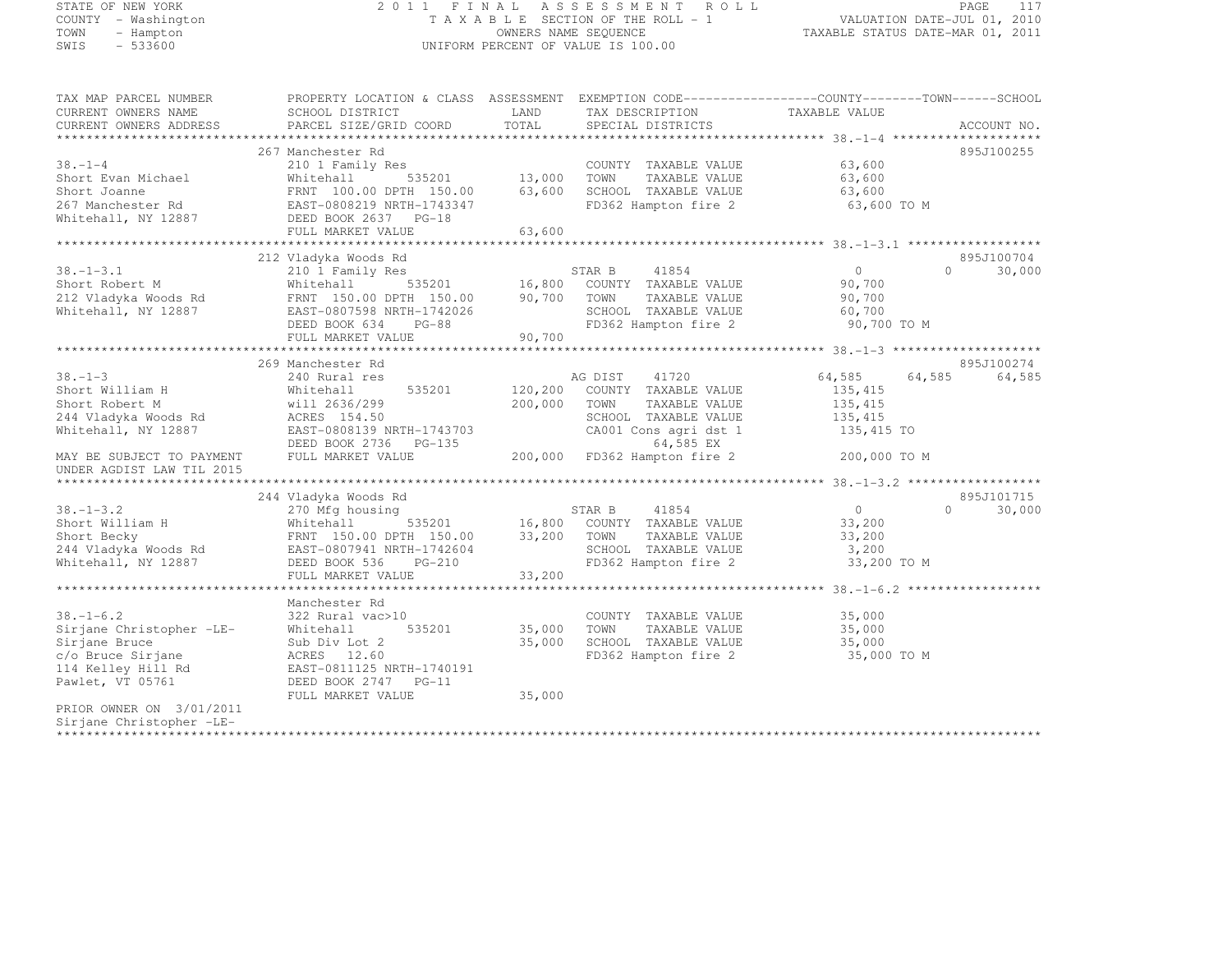# STATE OF NEW YORK 2 0 1 1 F I N A L A S S E S S M E N T R O L L PAGE <sup>117</sup> COUNTY - Washington T A X A B L E SECTION OF THE ROLL - 1 VALUATION DATE-JUL 01, 2010 TOWN - Hampton OWNERS NAME SEQUENCE TAXABLE STATUS DATE-MAR 01, 2011 SWIS - 533600 UNIFORM PERCENT OF VALUE IS 100.00

| TAX MAP PARCEL NUMBER<br>CURRENT OWNERS NAME<br>CURRENT OWNERS ADDRESS | PROPERTY LOCATION & CLASS ASSESSMENT EXEMPTION CODE-----------------COUNTY-------TOWN------SCHOOL<br>SCHOOL DISTRICT<br>PARCEL SIZE/GRID COORD | LAND<br>TOTAL | TAX DESCRIPTION<br>SPECIAL DISTRICTS          | TAXABLE VALUE         | ACCOUNT NO.        |
|------------------------------------------------------------------------|------------------------------------------------------------------------------------------------------------------------------------------------|---------------|-----------------------------------------------|-----------------------|--------------------|
|                                                                        |                                                                                                                                                |               |                                               |                       |                    |
| $38. - 1 - 4$<br>Short Evan Michael                                    | 267 Manchester Rd<br>210 1 Family Res<br>Whitehall                                                                                             | 535201 13,000 | COUNTY TAXABLE VALUE<br>TOWN<br>TAXABLE VALUE | 63,600<br>63,600      | 895J100255         |
| Short Joanne<br>267 Manchester Rd<br>Whitehall, NY 12887               | FRNT 100.00 DPTH 150.00<br>EAST-0808219 NRTH-1743347<br>DEED BOOK 2637 PG-18                                                                   | 63,600        | SCHOOL TAXABLE VALUE<br>FD362 Hampton fire 2  | 63,600<br>63,600 TO M |                    |
|                                                                        | FULL MARKET VALUE                                                                                                                              | 63,600        |                                               |                       |                    |
|                                                                        |                                                                                                                                                |               |                                               |                       |                    |
|                                                                        | 212 Vladyka Woods Rd                                                                                                                           |               |                                               |                       | 895J100704         |
| $38. - 1 - 3.1$                                                        | 210 1 Family Res                                                                                                                               |               | STAR B<br>41854                               | $\overline{0}$        | $\Omega$<br>30,000 |
| Short Robert M                                                         | Whitehall                                                                                                                                      |               | 535201 16,800 COUNTY TAXABLE VALUE            | 90,700                |                    |
| 212 Vladyka Woods Rd                                                   | FRNT 150.00 DPTH 150.00 90,700                                                                                                                 |               | TOWN<br>TAXABLE VALUE                         | 90,700                |                    |
| Whitehall, NY 12887                                                    | EAST-0807598 NRTH-1742026                                                                                                                      |               | SCHOOL TAXABLE VALUE                          | 60,700                |                    |
|                                                                        | DEED BOOK 634<br>PG-88                                                                                                                         |               | FD362 Hampton fire 2                          | 90,700 TO M           |                    |
|                                                                        | FULL MARKET VALUE                                                                                                                              | 90,700        |                                               |                       |                    |
|                                                                        |                                                                                                                                                |               |                                               |                       |                    |
|                                                                        | 269 Manchester Rd                                                                                                                              |               |                                               |                       | 895J100274         |
| $38. - 1 - 3$                                                          | 240 Rural res                                                                                                                                  |               | AG DIST<br>41720                              | 64,585<br>64,585      | 64,585             |
| Short William H                                                        | 535201<br>Whitehall                                                                                                                            | 120,200       | COUNTY TAXABLE VALUE                          | 135, 415              |                    |
| Short Robert M                                                         | will 2636/299                                                                                                                                  | 200,000       | TOWN<br>TAXABLE VALUE                         | 135,415               |                    |
| 244 Vladyka Woods Rd                                                   | ACRES 154.50                                                                                                                                   |               | SCHOOL TAXABLE VALUE                          | 135,415               |                    |
| Whitehall, NY 12887                                                    | EAST-0808139 NRTH-1743703<br>DEED BOOK 2736<br>$PG-135$                                                                                        |               | CA001 Cons agri dst 1<br>64,585 EX            | 135,415 TO            |                    |
| MAY BE SUBJECT TO PAYMENT                                              | FULL MARKET VALUE                                                                                                                              | 200,000       | FD362 Hampton fire 2                          | 200,000 TO M          |                    |
| UNDER AGDIST LAW TIL 2015                                              |                                                                                                                                                |               |                                               |                       |                    |
|                                                                        |                                                                                                                                                |               |                                               |                       |                    |
|                                                                        | 244 Vladyka Woods Rd                                                                                                                           |               |                                               |                       | 895J101715         |
| $38. - 1 - 3.2$                                                        | 270 Mfg housing                                                                                                                                |               | 41854<br>STAR B                               | $\overline{0}$        | $\Omega$<br>30,000 |
| Short William H                                                        | Whitehall                                                                                                                                      |               |                                               | 33,200                |                    |
| Short Becky                                                            | FRNT 150.00 DPTH 150.00                                                                                                                        |               | TAXABLE VALUE                                 | 33,200                |                    |
| 244 Vladyka Woods Rd                                                   | EAST-0807941 NRTH-1742604                                                                                                                      |               | SCHOOL TAXABLE VALUE                          | 3,200                 |                    |
| Whitehall, NY 12887                                                    | DEED BOOK 536 PG-210                                                                                                                           |               | FD362 Hampton fire 2                          | 33,200 TO M           |                    |
|                                                                        | FULL MARKET VALUE                                                                                                                              | 33,200        |                                               |                       |                    |
|                                                                        |                                                                                                                                                |               |                                               |                       |                    |
|                                                                        | Manchester Rd                                                                                                                                  |               |                                               |                       |                    |
| $38. - 1 - 6.2$                                                        | 322 Rural vac>10                                                                                                                               |               | COUNTY TAXABLE VALUE                          | 35,000                |                    |
| Sirjane Christopher -LE-                                               | 535201<br>Whitehall                                                                                                                            | 35,000        | TOWN<br>TAXABLE VALUE                         | 35,000                |                    |
| Sirjane Bruce                                                          | Sub Div Lot 2                                                                                                                                  | 35,000        | SCHOOL TAXABLE VALUE                          | 35,000                |                    |
| c/o Bruce Sirjane                                                      | ACRES 12.60                                                                                                                                    |               | FD362 Hampton fire 2                          | 35,000 TO M           |                    |
| 114 Kelley Hill Rd                                                     | EAST-0811125 NRTH-1740191                                                                                                                      |               |                                               |                       |                    |
| Pawlet, VT 05761                                                       | DEED BOOK 2747 PG-11                                                                                                                           |               |                                               |                       |                    |
|                                                                        | FULL MARKET VALUE                                                                                                                              | 35,000        |                                               |                       |                    |
| PRIOR OWNER ON 3/01/2011                                               |                                                                                                                                                |               |                                               |                       |                    |
| Sirjane Christopher -LE-                                               |                                                                                                                                                |               |                                               |                       |                    |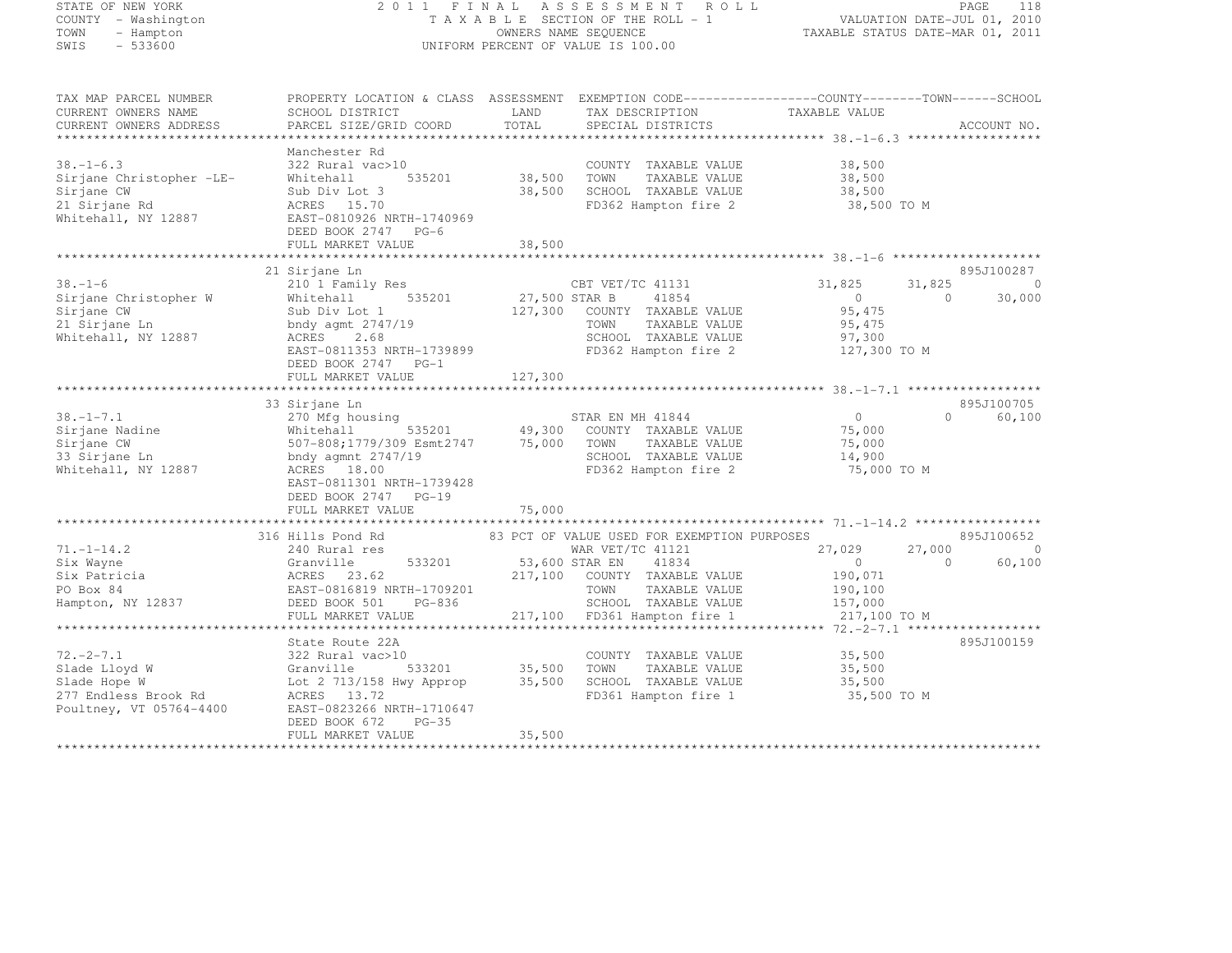STATE OF NEW YORK 2 0 1 1 F I N A L A S S E S S M E N T R O L L PAGE <sup>118</sup> COUNTY - Washington T A X A B L E SECTION OF THE ROLL - 1 VALUATION DATE-JUL 01, 2010 TOWN - Hampton OWNERS NAME SEQUENCE TAXABLE STATUS DATE-MAR 01, 2011 SWIS - 533600 UNIFORM PERCENT OF VALUE IS 100.00 TAX MAP PARCEL NUMBER PROPERTY LOCATION & CLASS ASSESSMENT EXEMPTION CODE------------------COUNTY--------TOWN------SCHOOL CURRENT OWNERS NAME SCHOOL DISTRICT LAND TAX DESCRIPTION TAXABLE VALUE<br>CURRENT OWNERS ADDRESS PARCEL SIZE/GRID COORD TOTAL SPECIAL DISTRICTS ACCOUNT NO. \*\*\*\*\*\*\*\*\*\*\*\*\*\*\*\*\*\*\*\*\*\*\*\*\*\*\*\*\*\*\*\*\*\*\*\*\*\*\*\*\*\*\*\*\*\*\*\*\*\*\*\*\*\*\*\*\*\*\*\*\*\*\*\*\*\*\*\*\*\*\*\*\*\*\*\*\*\*\*\*\*\*\*\*\*\*\*\*\*\*\*\*\*\*\*\*\*\*\*\*\*\*\* 38.-1-6.3 \*\*\*\*\*\*\*\*\*\*\*\*\*\*\*\*\*\* Manchester Rd 38.-1-6.3 322 Rural vac>10 COUNTY TAXABLE VALUE 38,500 Sirjane Christopher -LE- Whitehall 535201 38,500 TOWN TAXABLE VALUE 38,500 Sirjane CW Sub Div Lot 3 38,500 SCHOOL TAXABLE VALUE 38,500 SCHOOL TAXABLE VALUE 21 Sirjane Rd ACRES 15.70 FD362 Hampton fire 2 38,500 TO M Whitehall, NY 12887 EAST-0810926 NRTH-1740969 DEED BOOK 2747 PG-6 FULL MARKET VALUE 38,500 \*\*\*\*\*\*\*\*\*\*\*\*\*\*\*\*\*\*\*\*\*\*\*\*\*\*\*\*\*\*\*\*\*\*\*\*\*\*\*\*\*\*\*\*\*\*\*\*\*\*\*\*\*\*\*\*\*\*\*\*\*\*\*\*\*\*\*\*\*\*\*\*\*\*\*\*\*\*\*\*\*\*\*\*\*\*\*\*\*\*\*\*\*\*\*\*\*\*\*\*\*\*\* 38.-1-6 \*\*\*\*\*\*\*\*\*\*\*\*\*\*\*\*\*\*\*\* 21 Sirjane Ln 895J100287<br>21 Sirjane Ln 895J100287<br>21 District Annual Strategy Res Campion Campion Campion 21,825 31,825 31,825 000 Sirjane Christopher W Whitehall 535201 27,500 STAR B 41854 0 0 30,000 30,000 Sub Div Lot 1 127,300 COUNTY TAXABLE VALUE 95,475 (State of the Sub Div Lot 1 127,300 COUNTY TAXABLE VALUE 21 Sirjane Ln bndy agmt 2747/19 TOWN TAXABLE VALUE 95,475 Whitehall, NY 12887 ACRES 2.68 SCHOOL TAXABLE VALUE 97,300 EAST-0811353 NRTH-1739899 FD362 Hampton fire 2 127,300 TO M DEED BOOK 2747 PG-1 FULL MARKET VALUE 127,300 \*\*\*\*\*\*\*\*\*\*\*\*\*\*\*\*\*\*\*\*\*\*\*\*\*\*\*\*\*\*\*\*\*\*\*\*\*\*\*\*\*\*\*\*\*\*\*\*\*\*\*\*\*\*\*\*\*\*\*\*\*\*\*\*\*\*\*\*\*\*\*\*\*\*\*\*\*\*\*\*\*\*\*\*\*\*\*\*\*\*\*\*\*\*\*\*\*\*\*\*\*\*\* 38.-1-7.1 \*\*\*\*\*\*\*\*\*\*\*\*\*\*\*\*\*\*33 Sirjane Ln 895J100705<br>33 Sirjane Ln 895J100705 (STAR EN MH 41844 0 895J100705 0 60,100<br>32 Martin 200 Second Control 200 Second Control 200 Second Control 200 Second Control 200 Second Control 200 S Sirjane Nadine Whitehall 535201 49,300 COUNTY TAXABLE VALUE 75,000 Sirjane CW 507-808;1779/309 Esmt2747 75,000 TOWN TAXABLE VALUE 75,000 33 Sirjane Ln bndy agmnt 2747/19 SCHOOL TAXABLE VALUE 14,900 Whitehall, NY 12887 ACRES 18.00 FD362 Hampton fire 2 75,000 TO M EAST-0811301 NRTH-1739428 DEED BOOK 2747 PG-19 FULL MARKET VALUE 75,000 \*\*\*\*\*\*\*\*\*\*\*\*\*\*\*\*\*\*\*\*\*\*\*\*\*\*\*\*\*\*\*\*\*\*\*\*\*\*\*\*\*\*\*\*\*\*\*\*\*\*\*\*\*\*\*\*\*\*\*\*\*\*\*\*\*\*\*\*\*\*\*\*\*\*\*\*\*\*\*\*\*\*\*\*\*\*\*\*\*\*\*\*\*\*\*\*\*\*\*\*\*\*\* 71.-1-14.2 \*\*\*\*\*\*\*\*\*\*\*\*\*\*\*\*\*316 Hills Pond Rd 83 PCT OF VALUE USED FOR EXEMPTION PURPOSES 31 222 895J100652 71.-1-14.2 240 Rural res WAR VET/TC 41121 27,029 27,000 <sup>0</sup> Six Wayne Granville 533201 53,600 STAR EN 41834 0 0 60,100<br>Six Wayne 9 0 60,100 Six Patricia ACRES 23.62 217,100 COUNTY TAXABLE VALUE 190,071 PO Box 84 EAST-0816819 NRTH-1709201 TOWN TAXABLE VALUE 190,100 Hampton, NY 12837 DEED BOOK 501 PG-836 SCHOOL TAXABLE VALUE 157,000 FULL MARKET VALUE 217,100 FD361 Hampton fire 1 217,100 TO M \*\*\*\*\*\*\*\*\*\*\*\*\*\*\*\*\*\*\*\*\*\*\*\*\*\*\*\*\*\*\*\*\*\*\*\*\*\*\*\*\*\*\*\*\*\*\*\*\*\*\*\*\*\*\*\*\*\*\*\*\*\*\*\*\*\*\*\*\*\*\*\*\*\*\*\*\*\*\*\*\*\*\*\*\*\*\*\*\*\*\*\*\*\*\*\*\*\*\*\*\*\*\* 72.-2-7.1 \*\*\*\*\*\*\*\*\*\*\*\*\*\*\*\*\*\*895.T100159 State Route 22A 895J10015972.-2-7.1 322 Rural vac>10 COUNTY TAXABLE VALUE 35,500 Slade Lloyd W Granville 533201 35,500 TOWN TAXABLE VALUE 35,500 Slade Hope W Lot 2 713/158 Hwy Approp 35,500 SCHOOL TAXABLE VALUE 35,500<br>Slade Hope W Lot 2 713/158 Hwy Approp 35,500 SCHOOL TAXABLE VALUE 277 Endless Brook Rd ACRES 13.72 FD361 Hampton fire 1 35,500 TO M Poultney, VT 05764-4400 EAST-0823266 NRTH-1710647 DEED BOOK 672 PG-35 FULL MARKET VALUE 35,500 \*\*\*\*\*\*\*\*\*\*\*\*\*\*\*\*\*\*\*\*\*\*\*\*\*\*\*\*\*\*\*\*\*\*\*\*\*\*\*\*\*\*\*\*\*\*\*\*\*\*\*\*\*\*\*\*\*\*\*\*\*\*\*\*\*\*\*\*\*\*\*\*\*\*\*\*\*\*\*\*\*\*\*\*\*\*\*\*\*\*\*\*\*\*\*\*\*\*\*\*\*\*\*\*\*\*\*\*\*\*\*\*\*\*\*\*\*\*\*\*\*\*\*\*\*\*\*\*\*\*\*\*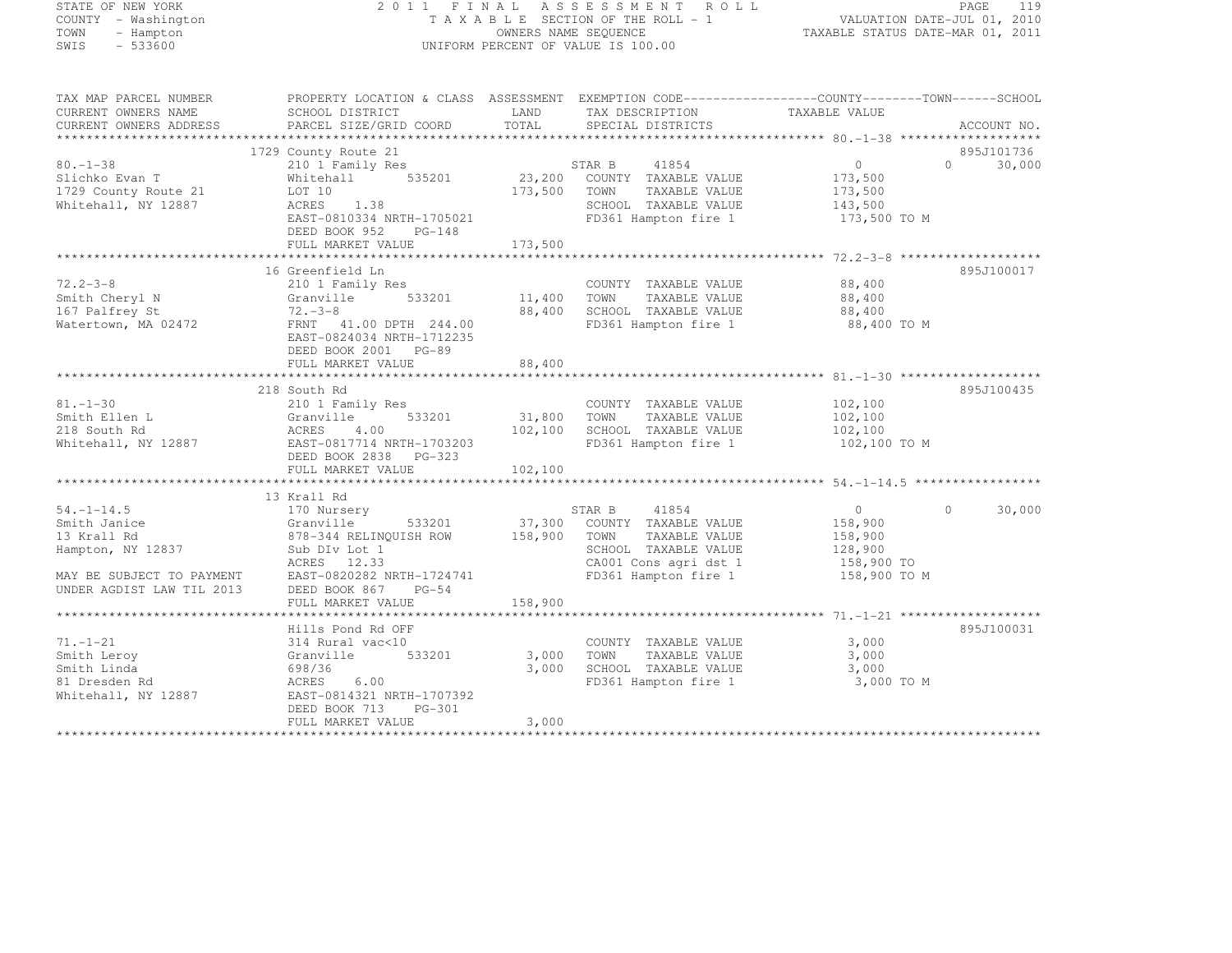# STATE OF NEW YORK 2 0 1 1 F I N A L A S S E S S M E N T R O L L PAGE <sup>119</sup> COUNTY - Washington T A X A B L E SECTION OF THE ROLL - 1 VALUATION DATE-JUL 01, 2010 TOWN - Hampton OWNERS NAME SEQUENCE TAXABLE STATUS DATE-MAR 01, 2011 SWIS - 533600 UNIFORM PERCENT OF VALUE IS 100.00

| TAX MAP PARCEL NUMBER<br>CURRENT OWNERS NAME<br>CURRENT OWNERS ADDRESS | PROPERTY LOCATION & CLASS ASSESSMENT EXEMPTION CODE----------------COUNTY-------TOWN-----SCHOOL<br>SCHOOL DISTRICT<br>PARCEL SIZE/GRID COORD | LAND<br>TOTAL | TAX DESCRIPTION<br>SPECIAL DISTRICTS | TAXABLE VALUE     | ACCOUNT NO.        |
|------------------------------------------------------------------------|----------------------------------------------------------------------------------------------------------------------------------------------|---------------|--------------------------------------|-------------------|--------------------|
|                                                                        |                                                                                                                                              |               |                                      |                   |                    |
|                                                                        | 1729 County Route 21                                                                                                                         |               |                                      |                   | 895J101736         |
| $80. - 1 - 38$                                                         | 210 1 Family Res                                                                                                                             |               | 41854<br>STAR B                      | $0 \qquad \qquad$ | 30,000<br>$\Omega$ |
| Slichko Evan T                                                         | 535201<br>Whitehall                                                                                                                          |               | 23,200 COUNTY TAXABLE VALUE          | 173,500           |                    |
| 1729 County Route 21                                                   | LOT 10                                                                                                                                       | 173,500       | TOWN<br>TAXABLE VALUE                | 173,500           |                    |
| Whitehall, NY 12887                                                    | ACRES 1.38                                                                                                                                   |               | SCHOOL TAXABLE VALUE                 | 143,500           |                    |
|                                                                        | EAST-0810334 NRTH-1705021                                                                                                                    |               | FD361 Hampton fire 1                 | 173,500 TO M      |                    |
|                                                                        | DEED BOOK 952<br>$PG-148$                                                                                                                    |               |                                      |                   |                    |
|                                                                        | FULL MARKET VALUE                                                                                                                            | 173,500       |                                      |                   |                    |
|                                                                        |                                                                                                                                              |               |                                      |                   |                    |
|                                                                        | 16 Greenfield Ln                                                                                                                             |               |                                      |                   | 895J100017         |
| $72.2 - 3 - 8$                                                         | 210 1 Family Res                                                                                                                             |               | COUNTY TAXABLE VALUE                 | 88,400            |                    |
| Smith Cheryl N                                                         | 533201<br>Granville                                                                                                                          | 11,400        | TOWN TAXABLE VALUE                   | 88,400            |                    |
| 167 Palfrey St                                                         | $72 - 3 - 8$                                                                                                                                 | 88,400        | SCHOOL TAXABLE VALUE                 | 88,400            |                    |
| Watertown, MA 02472                                                    | FRNT 41.00 DPTH 244.00                                                                                                                       |               | FD361 Hampton fire 1                 | 88,400 TO M       |                    |
|                                                                        | EAST-0824034 NRTH-1712235                                                                                                                    |               |                                      |                   |                    |
|                                                                        | DEED BOOK 2001 PG-89                                                                                                                         |               |                                      |                   |                    |
|                                                                        | FULL MARKET VALUE                                                                                                                            | 88,400        |                                      |                   |                    |
|                                                                        |                                                                                                                                              |               |                                      |                   |                    |
|                                                                        | 218 South Rd                                                                                                                                 |               |                                      |                   | 895J100435         |
| $81. - 1 - 30$                                                         | 210 1 Family Res                                                                                                                             |               | COUNTY TAXABLE VALUE                 | 102,100           |                    |
| Smith Ellen L                                                          | 533201<br>Granville                                                                                                                          |               | 31,800 TOWN TAXABLE VALUE            | 102,100           |                    |
| 218 South Rd                                                           | ACRES<br>4.00                                                                                                                                | 102,100       | SCHOOL TAXABLE VALUE                 | 102,100           |                    |
| Whitehall, NY 12887                                                    | EAST-0817714 NRTH-1703203                                                                                                                    |               | FD361 Hampton fire 1                 | 102,100 TO M      |                    |
|                                                                        | DEED BOOK 2838 PG-323                                                                                                                        |               |                                      |                   |                    |
|                                                                        | FULL MARKET VALUE                                                                                                                            | 102,100       |                                      |                   |                    |
|                                                                        |                                                                                                                                              |               |                                      |                   |                    |
|                                                                        | 13 Krall Rd                                                                                                                                  |               |                                      |                   |                    |
| $54, -1 - 14.5$                                                        | 170 Nursery                                                                                                                                  |               | STAR B<br>41854                      | $\overline{0}$    | 30,000<br>$\Omega$ |
| Smith Janice                                                           | Granville<br>533201                                                                                                                          |               | 37,300 COUNTY TAXABLE VALUE          | 158,900           |                    |
| 13 Krall Rd                                                            | 878-344 RELINQUISH ROW                                                                                                                       | 158,900       | TOWN<br>TAXABLE VALUE                | 158,900           |                    |
| Hampton, NY 12837                                                      | Sub DIv Lot 1                                                                                                                                |               | SCHOOL TAXABLE VALUE                 | 128,900           |                    |
|                                                                        | ACRES 12.33                                                                                                                                  |               | CA001 Cons agri dst 1                | 158,900 TO        |                    |
| MAY BE SUBJECT TO PAYMENT                                              | EAST-0820282 NRTH-1724741                                                                                                                    |               | FD361 Hampton fire 1                 | 158,900 TO M      |                    |
| UNDER AGDIST LAW TIL 2013                                              | DEED BOOK 867 PG-54                                                                                                                          |               |                                      |                   |                    |
|                                                                        | FULL MARKET VALUE                                                                                                                            | 158,900       |                                      |                   |                    |
|                                                                        |                                                                                                                                              |               |                                      |                   |                    |
|                                                                        | Hills Pond Rd OFF                                                                                                                            |               |                                      |                   | 895J100031         |
| $71. - 1 - 21$                                                         | 314 Rural vac<10                                                                                                                             |               | COUNTY TAXABLE VALUE                 | 3,000             |                    |
| Smith Leroy                                                            | Granville<br>533201                                                                                                                          | 3,000         | TOWN<br>TAXABLE VALUE                | 3,000             |                    |
| Smith Linda                                                            | 698/36                                                                                                                                       | 3,000         | SCHOOL TAXABLE VALUE                 | 3,000             |                    |
| 81 Dresden Rd                                                          | ACRES<br>6.00                                                                                                                                |               | FD361 Hampton fire 1                 | 3,000 TO M        |                    |
| Whitehall, NY 12887                                                    | EAST-0814321 NRTH-1707392                                                                                                                    |               |                                      |                   |                    |
|                                                                        | DEED BOOK 713 PG-301                                                                                                                         |               |                                      |                   |                    |
|                                                                        | FULL MARKET VALUE                                                                                                                            | 3,000         |                                      |                   |                    |
|                                                                        |                                                                                                                                              |               |                                      |                   |                    |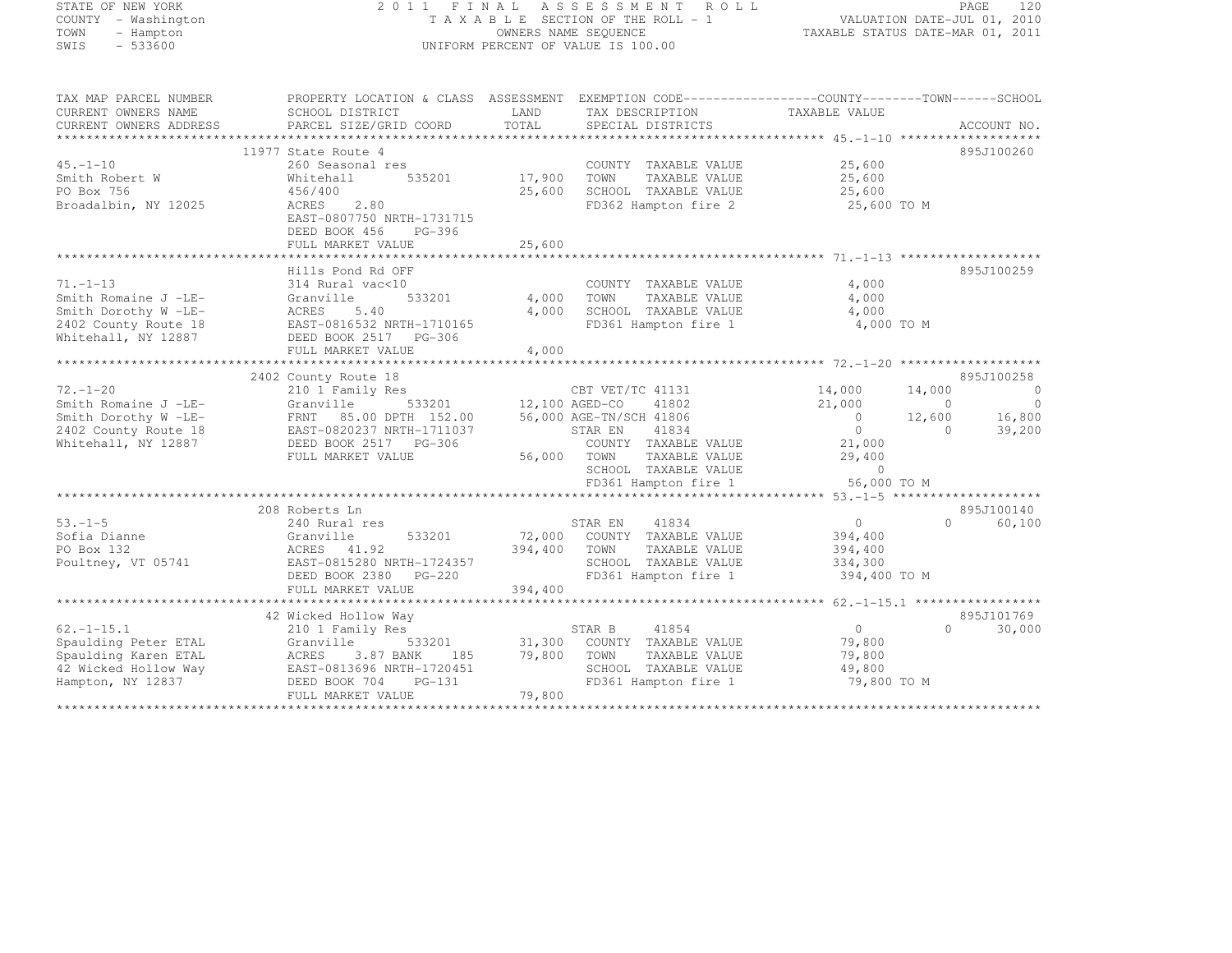#### STATE OF NEW YORK 2 0 1 1 F I N A L A S S E S S M E N T R O L L PAGE <sup>120</sup> COUNTY - Washington T A X A B L E SECTION OF THE ROLL - 1 VALUATION DATE-JUL 01, 2010 TOWN - Hampton OWNERS NAME SEQUENCE TAXABLE STATUS DATE-MAR 01, 2011 SWIS - 533600 UNIFORM PERCENT OF VALUE IS 100.00

| TAX MAP PARCEL NUMBER  | PROPERTY LOCATION & CLASS ASSESSMENT EXEMPTION CODE-----------------COUNTY-------TOWN------SCHOOL |               |                                              |                |                                  |
|------------------------|---------------------------------------------------------------------------------------------------|---------------|----------------------------------------------|----------------|----------------------------------|
| CURRENT OWNERS NAME    | SCHOOL DISTRICT                                                                                   | LAND          | TAX DESCRIPTION                              | TAXABLE VALUE  |                                  |
| CURRENT OWNERS ADDRESS | PARCEL SIZE/GRID COORD                                                                            | TOTAL         | SPECIAL DISTRICTS                            |                | ACCOUNT NO.                      |
|                        |                                                                                                   |               |                                              |                |                                  |
|                        | 11977 State Route 4                                                                               |               |                                              |                | 895J100260                       |
| $45. - 1 - 10$         | 260 Seasonal res                                                                                  |               | COUNTY TAXABLE VALUE                         | 25,600         |                                  |
| Smith Robert W         | Whitehall                                                                                         | 535201 17,900 | TOWN<br>TAXABLE VALUE                        | 25,600         |                                  |
| PO Box 756             | 456/400                                                                                           | 25,600        | SCHOOL TAXABLE VALUE                         | 25,600         |                                  |
| Broadalbin, NY 12025   | ACRES<br>2.80                                                                                     |               | FD362 Hampton fire 2                         | 25,600 TO M    |                                  |
|                        | EAST-0807750 NRTH-1731715                                                                         |               |                                              |                |                                  |
|                        | DEED BOOK 456<br>PG-396                                                                           |               |                                              |                |                                  |
|                        |                                                                                                   |               |                                              |                |                                  |
|                        |                                                                                                   |               |                                              |                |                                  |
|                        | Hills Pond Rd OFF                                                                                 |               |                                              |                | 895J100259                       |
| $71. - 1 - 13$         | 314 Rural vac<10                                                                                  |               | COUNTY TAXABLE VALUE                         | 4,000          |                                  |
| Smith Romaine J -LE-   | Granville<br>533201                                                                               | 4,000         | TOWN<br>TAXABLE VALUE                        | 4,000          |                                  |
| Smith Dorothy W -LE-   | ACRES<br>5.40                                                                                     | 4,000         | SCHOOL TAXABLE VALUE                         | 4,000          |                                  |
| 2402 County Route 18   | EAST-0816532 NRTH-1710165                                                                         |               | FD361 Hampton fire 1                         | 4,000 TO M     |                                  |
| Whitehall, NY 12887    | DEED BOOK 2517 PG-306                                                                             |               |                                              |                |                                  |
|                        | FULL MARKET VALUE                                                                                 | 4,000         |                                              |                |                                  |
|                        |                                                                                                   |               |                                              |                |                                  |
|                        | 2402 County Route 18                                                                              |               |                                              |                | 895J100258                       |
| $72, -1 - 20$          |                                                                                                   |               | CBT VET/TC 41131                             | 14,000         | 14,000<br>$\overline{0}$         |
| Smith Romaine J -LE-   | 210 1 Family Res<br>Granville<br>533201                                                           |               | 12,100 AGED-CO<br>41802                      | 21,000         | $\overline{0}$<br>$\overline{0}$ |
| Smith Dorothy W -LE-   | FRNT 85.00 DPTH 152.00                                                                            |               | 56,000 AGE-TN/SCH 41806                      | $\overline{0}$ | 16,800<br>12,600                 |
|                        |                                                                                                   |               |                                              | $\overline{0}$ | $\overline{0}$                   |
| 2402 County Route 18   | EAST-0820237 NRTH-1711037                                                                         |               | STAR EN<br>41834                             |                | 39,200                           |
| Whitehall, NY 12887    | DEED BOOK 2517 PG-306                                                                             |               | COUNTY TAXABLE VALUE                         | 21,000         |                                  |
|                        | FULL MARKET VALUE                                                                                 | 56,000 TOWN   | TAXABLE VALUE                                | 29,400         |                                  |
|                        |                                                                                                   |               | SCHOOL TAXABLE VALUE<br>FD361 Hampton fire 1 | $\bigcirc$     |                                  |
|                        |                                                                                                   |               |                                              | 56,000 TO M    |                                  |
|                        |                                                                                                   |               |                                              |                |                                  |
|                        | 208 Roberts Ln                                                                                    |               |                                              |                | 895J100140                       |
| $53. - 1 - 5$          | 240 Rural res                                                                                     |               | STAR EN<br>41834                             | $\overline{0}$ | $\Omega$<br>60,100               |
| Sofia Dianne           | Granville<br>533201                                                                               |               | 72,000 COUNTY TAXABLE VALUE                  | 394,400        |                                  |
| PO Box 132             | ACRES 41.92                                                                                       | 394,400       | TAXABLE VALUE<br>TOWN                        | 394,400        |                                  |
| Poultney, VT 05741     | EAST-0815280 NRTH-1724357                                                                         |               | SCHOOL TAXABLE VALUE                         | 334,300        |                                  |
|                        | DEED BOOK 2380 PG-220                                                                             |               | FD361 Hampton fire 1                         | 394,400 TO M   |                                  |
|                        | FULL MARKET VALUE                                                                                 | 394,400       |                                              |                |                                  |
|                        |                                                                                                   |               |                                              |                |                                  |
|                        | 42 Wicked Hollow Way                                                                              |               |                                              |                | 895J101769                       |
| $62, -1 - 15, 1$       | 210 1 Family Res                                                                                  |               | 41854<br>STAR B                              | 0              | 30,000<br>$\Omega$               |
| Spaulding Peter ETAL   | 533201<br>Granville                                                                               | 31,300        | COUNTY TAXABLE VALUE                         | 79,800         |                                  |
| Spaulding Karen ETAL   | ACRES<br>3.87 BANK<br>185                                                                         | 79,800        | TOWN<br>TAXABLE VALUE                        | 79,800         |                                  |
| 42 Wicked Hollow Way   | EAST-0813696 NRTH-1720451                                                                         |               | SCHOOL TAXABLE VALUE                         | 49,800         |                                  |
| Hampton, NY 12837      | DEED BOOK 704<br>PG-131                                                                           |               | FD361 Hampton fire 1                         | 79,800 TO M    |                                  |
|                        | FULL MARKET VALUE                                                                                 | 79,800        |                                              |                |                                  |
|                        |                                                                                                   |               |                                              |                |                                  |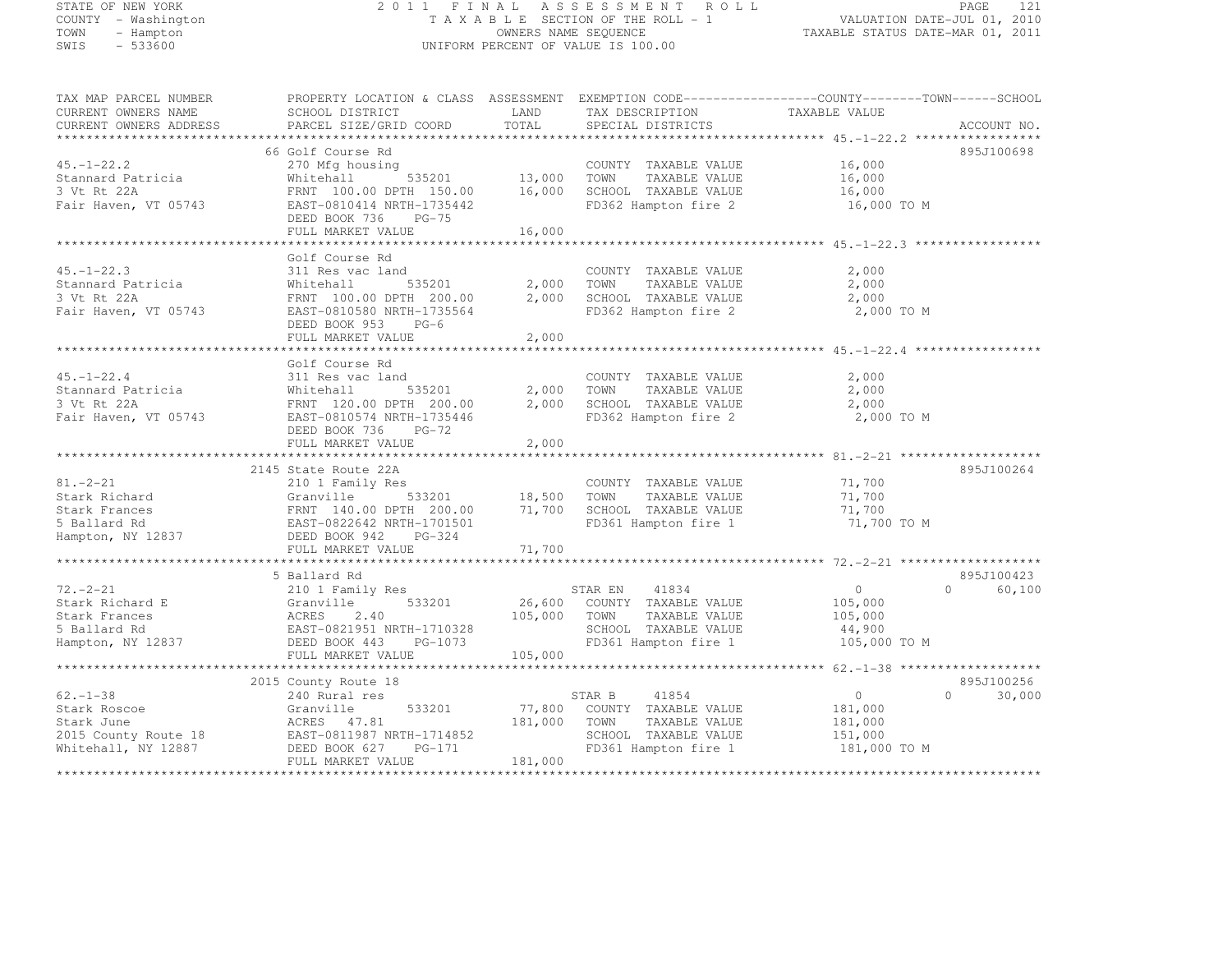#### STATE OF NEW YORK 2 0 1 1 F I N A L A S S E S S M E N T R O L L PAGE <sup>121</sup> COUNTY - Washington T A X A B L E SECTION OF THE ROLL - 1 VALUATION DATE-JUL 01, 2010 TOWN - Hampton OWNERS NAME SEQUENCE TAXABLE STATUS DATE-MAR 01, 2011 SWIS - 533600 UNIFORM PERCENT OF VALUE IS 100.00

| TAX MAP PARCEL NUMBER             | PROPERTY LOCATION & CLASS ASSESSMENT EXEMPTION CODE----------------COUNTY-------TOWN------SCHOOL |         |                             |                |                     |
|-----------------------------------|--------------------------------------------------------------------------------------------------|---------|-----------------------------|----------------|---------------------|
| CURRENT OWNERS NAME               | SCHOOL DISTRICT                                                                                  | LAND    | TAX DESCRIPTION             | TAXABLE VALUE  |                     |
| CURRENT OWNERS ADDRESS            | PARCEL SIZE/GRID COORD                                                                           | TOTAL   | SPECIAL DISTRICTS           |                | ACCOUNT NO.         |
|                                   |                                                                                                  |         |                             |                |                     |
|                                   | 66 Golf Course Rd                                                                                |         |                             |                | 895J100698          |
| $45. - 1 - 22.2$                  | 270 Mfg housing                                                                                  |         | COUNTY TAXABLE VALUE        | 16,000         |                     |
| Stannard Patricia                 | 535201<br>Whitehall                                                                              | 13,000  | TOWN<br>TAXABLE VALUE       | 16,000         |                     |
| 3 Vt Rt 22A                       | FRNT 100.00 DPTH 150.00                                                                          | 16,000  | SCHOOL TAXABLE VALUE        | 16,000         |                     |
| Fair Haven, VT 05743              | EAST-0810414 NRTH-1735442                                                                        |         | FD362 Hampton fire 2        | 16,000 TO M    |                     |
|                                   | DEED BOOK 736<br>$PG-75$                                                                         |         |                             |                |                     |
|                                   | FULL MARKET VALUE                                                                                | 16,000  |                             |                |                     |
|                                   |                                                                                                  |         |                             |                |                     |
|                                   | Golf Course Rd                                                                                   |         |                             |                |                     |
| $45. - 1 - 22.3$                  | 311 Res vac land                                                                                 |         | COUNTY TAXABLE VALUE        | 2,000          |                     |
| Stannard Patricia                 | Whitehall<br>535201                                                                              | 2,000   | TAXABLE VALUE<br>TOWN       | 2,000          |                     |
| 3 Vt Rt 22A                       | FRNT 100.00 DPTH 200.00                                                                          | 2,000   | SCHOOL TAXABLE VALUE        | 2,000          |                     |
| Fair Haven, VT 05743              | EAST-0810580 NRTH-1735564                                                                        |         | FD362 Hampton fire 2        | 2,000 TO M     |                     |
|                                   | DEED BOOK 953<br>$PG-6$                                                                          |         |                             |                |                     |
|                                   | FULL MARKET VALUE                                                                                | 2,000   |                             |                |                     |
|                                   |                                                                                                  |         |                             |                |                     |
|                                   | Golf Course Rd                                                                                   |         |                             |                |                     |
| $45. - 1 - 22.4$                  | 311 Res vac land                                                                                 |         | COUNTY TAXABLE VALUE        | 2,000          |                     |
| Stannard Patricia                 | Whitehall<br>535201                                                                              | 2,000   | TOWN<br>TAXABLE VALUE       | 2,000          |                     |
| 3 Vt Rt 22A                       | FRNT 120.00 DPTH 200.00                                                                          | 2,000   | SCHOOL TAXABLE VALUE        | 2,000          |                     |
| Fair Haven, VT 05743              | EAST-0810574 NRTH-1735446                                                                        |         | FD362 Hampton fire 2        | 2,000 TO M     |                     |
|                                   | DEED BOOK 736<br>$PG-72$                                                                         |         |                             |                |                     |
|                                   | FULL MARKET VALUE                                                                                | 2,000   |                             |                |                     |
|                                   |                                                                                                  |         |                             |                |                     |
|                                   | 2145 State Route 22A                                                                             |         |                             |                | 895J100264          |
| $81 - 2 - 21$                     | 210 1 Family Res                                                                                 |         | COUNTY TAXABLE VALUE        | 71,700         |                     |
| Stark Richard                     | 533201 18,500<br>Granville                                                                       |         | TOWN<br>TAXABLE VALUE       | 71,700         |                     |
| Stark Frances                     |                                                                                                  | 71,700  | SCHOOL TAXABLE VALUE        | 71,700         |                     |
| 5 Ballard Rd<br>Hampton, NY 12837 | FRNT 140.00 DPTH 200.00<br>EAST-0822642 NRTH-1701501<br>DEED BOOK 942 PG-324                     |         | FD361 Hampton fire 1        | 71,700 TO M    |                     |
|                                   | DEED BOOK 942 PG-324                                                                             |         |                             |                |                     |
|                                   | FULL MARKET VALUE                                                                                | 71,700  |                             |                |                     |
|                                   |                                                                                                  |         |                             |                |                     |
|                                   | 5 Ballard Rd                                                                                     |         |                             |                | 895J100423          |
| $72. - 2 - 21$                    | 210 1 Family Res                                                                                 |         | 41834<br>STAR EN            | $\overline{0}$ | $\bigcap$<br>60,100 |
| Stark Richard E                   | 533201<br>Granville                                                                              |         | 26,600 COUNTY TAXABLE VALUE | 105,000        |                     |
| Stark Frances                     | ACRES<br>2.40                                                                                    | 105,000 | TOWN<br>TAXABLE VALUE       | 105,000        |                     |
| 5 Ballard Rd                      | EAST-0821951 NRTH-1710328                                                                        |         | SCHOOL TAXABLE VALUE        | 44,900         |                     |
| Hampton, NY 12837                 | PG-1073<br>DEED BOOK 443                                                                         |         | FD361 Hampton fire 1        | 105,000 TO M   |                     |
|                                   | FULL MARKET VALUE                                                                                | 105,000 |                             |                |                     |
|                                   |                                                                                                  |         |                             |                |                     |
|                                   | 2015 County Route 18                                                                             |         |                             |                | 895J100256          |
| $62 - 1 - 38$                     | 240 Rural res                                                                                    |         | 41854<br>STAR B             | $\overline{0}$ | 30,000<br>$\circ$   |
| Stark Roscoe                      | 533201<br>Granville                                                                              | 77,800  | COUNTY TAXABLE VALUE        | 181,000        |                     |
| Stark June                        | ACRES 47.81                                                                                      | 181,000 | TOWN<br>TAXABLE VALUE       | 181,000        |                     |
| 2015 County Route 18              | EAST-0811987 NRTH-1714852                                                                        |         | SCHOOL TAXABLE VALUE        | 151,000        |                     |
| Whitehall, NY 12887               | DEED BOOK 627<br>PG-171                                                                          |         | FD361 Hampton fire 1        | 181,000 TO M   |                     |
|                                   | FULL MARKET VALUE                                                                                | 181,000 |                             |                |                     |
|                                   |                                                                                                  |         |                             |                |                     |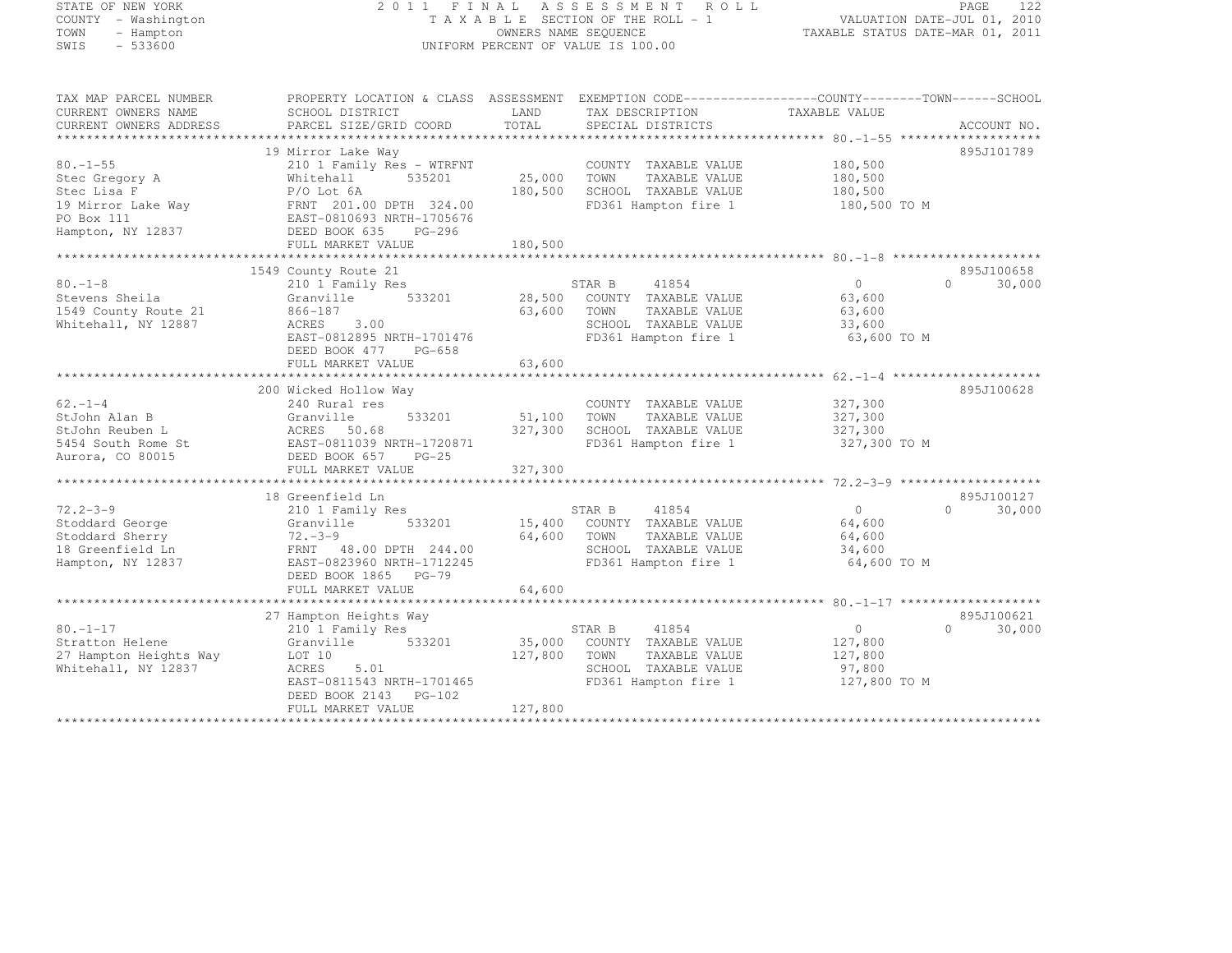# STATE OF NEW YORK 2 0 1 1 F I N A L A S S E S S M E N T R O L L PAGE <sup>122</sup> COUNTY - Washington T A X A B L E SECTION OF THE ROLL - 1 VALUATION DATE-JUL 01, 2010 TOWN - Hampton OWNERS NAME SEQUENCE TAXABLE STATUS DATE-MAR 01, 2011 SWIS - 533600 UNIFORM PERCENT OF VALUE IS 100.00

| TAX MAP PARCEL NUMBER             | PROPERTY LOCATION & CLASS ASSESSMENT EXEMPTION CODE-----------------COUNTY-------TOWN------SCHOOL                  |                    |                                    |                                              |                    |
|-----------------------------------|--------------------------------------------------------------------------------------------------------------------|--------------------|------------------------------------|----------------------------------------------|--------------------|
| CURRENT OWNERS NAME               | SCHOOL DISTRICT                                                                                                    | LAND               | TAX DESCRIPTION                    | TAXABLE VALUE                                |                    |
| CURRENT OWNERS ADDRESS            | PARCEL SIZE/GRID COORD                                                                                             | TOTAL              | SPECIAL DISTRICTS                  |                                              | ACCOUNT NO.        |
|                                   |                                                                                                                    |                    |                                    |                                              |                    |
|                                   | 19 Mirror Lake Way                                                                                                 |                    |                                    |                                              | 895J101789         |
| $80. -1 - 55$                     | 210 1 Family Res - WTRFNT                                                                                          |                    | COUNTY TAXABLE VALUE               | 180,500                                      |                    |
| Stec Gregory A                    | Whitehall<br>535201                                                                                                | 25,000             | TOWN<br>TAXABLE VALUE              | 180,500                                      |                    |
|                                   | $P/O$ Lot $6A$                                                                                                     | 180,500            | SCHOOL TAXABLE VALUE               | 180,500<br>FD361 Hampton fire 1 180,500 TO M |                    |
| Stec Lisa F<br>19 Mirror Lake Way | FRNT 201.00 DPTH 324.00<br>EAST-0810693 NRTH-1705676                                                               |                    |                                    |                                              |                    |
| Hampton, NY 12837                 | DEED BOOK 635 PG-296                                                                                               |                    |                                    |                                              |                    |
|                                   | FULL MARKET VALUE                                                                                                  | 180,500            |                                    |                                              |                    |
|                                   |                                                                                                                    |                    |                                    |                                              |                    |
|                                   | 1549 County Route 21                                                                                               |                    |                                    |                                              | 895J100658         |
| $80. -1 - 8$                      | County Route 21<br>210 1 Family Res                                                                                |                    | STAR B<br>41854                    | $\overline{0}$                               | $\Omega$<br>30,000 |
| Stevens Sheila                    | Granville 533201 28,500 COUNTY TAXABLE VALUE                                                                       |                    |                                    | 63,600                                       |                    |
| 1549 County Route 21              | 866-187                                                                                                            | 63,600 TOWN        | TAXABLE VALUE                      | 63,600                                       |                    |
| Whitehall, NY 12887               | 3.00<br>ACRES                                                                                                      |                    | SCHOOL TAXABLE VALUE               | 33,600                                       |                    |
|                                   | EAST-0812895 NRTH-1701476                                                                                          |                    | FD361 Hampton fire 1               | 63,600 TO M                                  |                    |
|                                   | DEED BOOK 477 PG-658                                                                                               |                    |                                    |                                              |                    |
|                                   | FULL MARKET VALUE                                                                                                  | 63,600             |                                    |                                              |                    |
|                                   |                                                                                                                    |                    |                                    |                                              |                    |
|                                   | 200 Wicked Hollow Way                                                                                              |                    |                                    |                                              | 895J100628         |
| $62. - 1 - 4$                     | 240 Rural res                                                                                                      |                    | COUNTY TAXABLE VALUE               | 327,300<br>327,300                           |                    |
| StJohn Alan B                     | Granville                                                                                                          | 533201 51,100 TOWN | TAXABLE VALUE                      |                                              |                    |
|                                   | 327,300                                                                                                            |                    | SCHOOL TAXABLE VALUE               | 327,300                                      |                    |
|                                   | StJohn Reuben L<br>5454 South Rome St<br>26.5454 South Rome St<br>26.5457 EAST-0811039 NRTH-1720871<br>26.57 EG-25 |                    | FD361 Hampton fire 1               | 327,300 TO M                                 |                    |
|                                   |                                                                                                                    |                    |                                    |                                              |                    |
|                                   | FULL MARKET VALUE                                                                                                  | 327,300            |                                    |                                              |                    |
|                                   | 18 Greenfield Ln                                                                                                   |                    |                                    |                                              | 895J100127         |
| $72.2 - 3 - 9$                    | 210 1 Family Res                                                                                                   |                    | STAR B<br>41854                    | $\overline{0}$                               | $\Omega$<br>30,000 |
| Stoddard George                   | Granville                                                                                                          |                    | 533201 15,400 COUNTY TAXABLE VALUE | 64,600                                       |                    |
| Stoddard Sherry                   | $72 - 3 - 9$                                                                                                       | 64,600             | TOWN<br>TAXABLE VALUE              | 64,600                                       |                    |
| 18 Greenfield Ln                  | FRNT 48.00 DPTH 244.00                                                                                             |                    | SCHOOL TAXABLE VALUE               | 34,600                                       |                    |
| Hampton, NY 12837                 | EAST-0823960 NRTH-1712245                                                                                          |                    | FD361 Hampton fire 1               | 64,600 TO M                                  |                    |
|                                   | DEED BOOK 1865 PG-79                                                                                               |                    |                                    |                                              |                    |
|                                   | FULL MARKET VALUE                                                                                                  | 64,600             |                                    |                                              |                    |
|                                   |                                                                                                                    |                    |                                    |                                              |                    |
|                                   | 27 Hampton Heights Way                                                                                             |                    |                                    |                                              | 895J100621         |
| $80. - 1 - 17$                    | 210 1 Family Res                                                                                                   |                    | STAR B<br>41854                    | $\overline{0}$                               | $\Omega$<br>30,000 |
| Stratton Helene                   | Granville 533201                                                                                                   | 35,000             | COUNTY TAXABLE VALUE               | 127,800                                      |                    |
| 27 Hampton Heights Way            | LOT 10                                                                                                             | 127,800            | TOWN<br>TAXABLE VALUE              | 127,800                                      |                    |
| Whitehall, NY 12837               | 5.01<br>ACRES                                                                                                      |                    | SCHOOL TAXABLE VALUE               | 97,800                                       |                    |
|                                   | EAST-0811543 NRTH-1701465                                                                                          |                    |                                    | FD361 Hampton fire 1 127,800 TO M            |                    |
|                                   | DEED BOOK 2143 PG-102                                                                                              |                    |                                    |                                              |                    |
|                                   | FULL MARKET VALUE                                                                                                  | 127,800            |                                    |                                              |                    |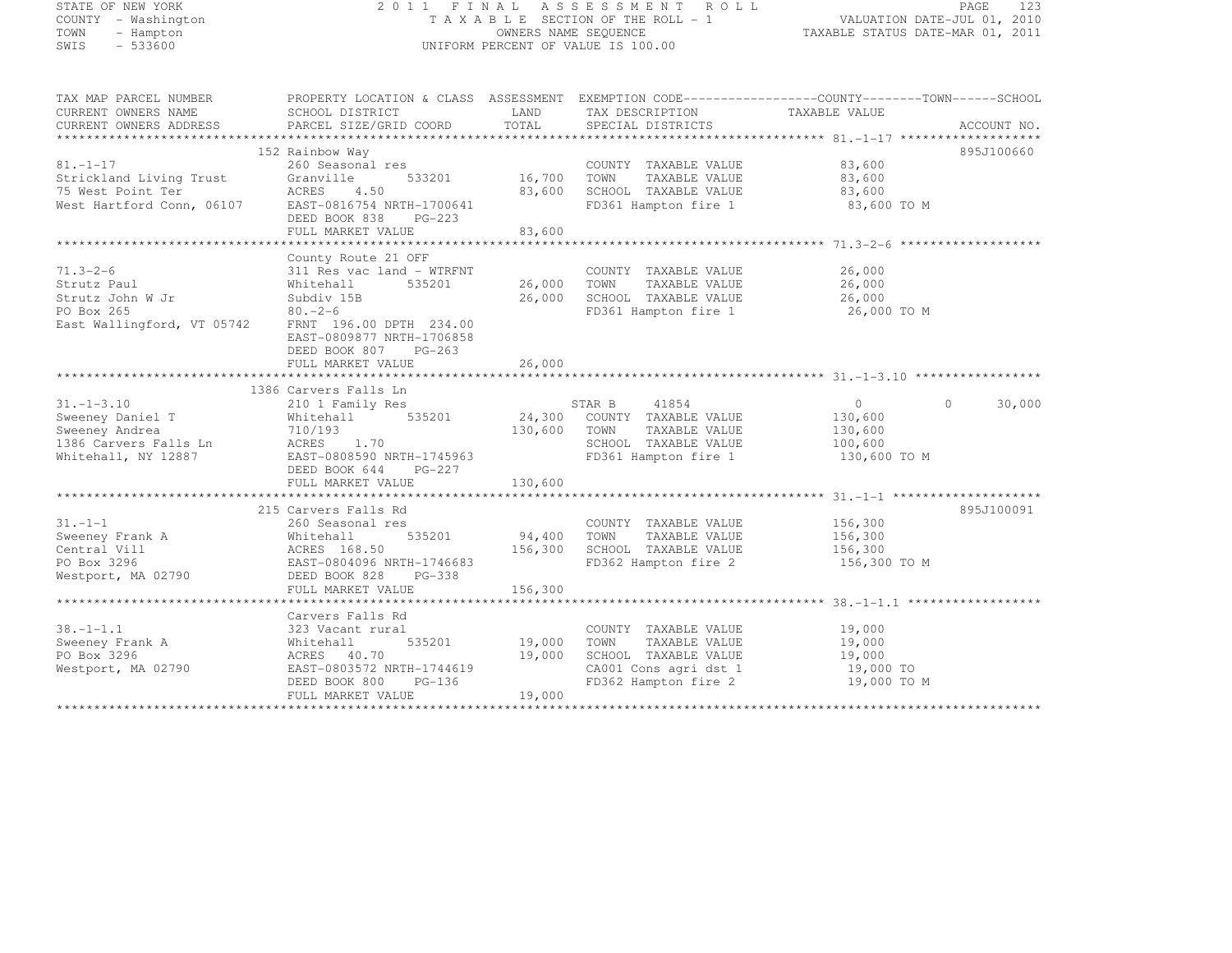| STATE OF NEW YORK<br>COUNTY - Washington           | 2011 FINAL ASSESSMENT ROLL<br>T A X A B L E SECTION OF THE ROLL TA X A B L E SECTION OF THE ROLL - 1<br>OWNERS NAME SEQUENCE TA XABLE STATUS DATE-MAR 01, 2010                                                                                                         |                                   |                                                                                                                            | PAGE<br>123                                                                                                                                                         |            |
|----------------------------------------------------|------------------------------------------------------------------------------------------------------------------------------------------------------------------------------------------------------------------------------------------------------------------------|-----------------------------------|----------------------------------------------------------------------------------------------------------------------------|---------------------------------------------------------------------------------------------------------------------------------------------------------------------|------------|
| TOWN<br>- Hampton<br>SWIS<br>$-533600$             |                                                                                                                                                                                                                                                                        |                                   | UNIFORM PERCENT OF VALUE IS 100.00                                                                                         |                                                                                                                                                                     |            |
| CURRENT OWNERS NAME                                | SCHOOL DISTRICT                                                                                                                                                                                                                                                        | LAND                              | TAX DESCRIPTION                                                                                                            | TAX MAP PARCEL NUMBER<br>CURRING ONLY A SUBSEX AND RESERTY LOCATION & CLASS ASSESSMENT EXEMPTION CODE---------------COUNTY--------TOWN------SCHOOL<br>TAXABLE VALUE |            |
|                                                    |                                                                                                                                                                                                                                                                        |                                   |                                                                                                                            |                                                                                                                                                                     |            |
|                                                    | 152 Rainbow Way                                                                                                                                                                                                                                                        |                                   |                                                                                                                            |                                                                                                                                                                     | 895J100660 |
|                                                    | 260 Seasonal res<br>81.-1-17 200 Seasonal 100<br>Strickland Living Trust Granville 533201 16,700<br>75 West Point Ter ACRES 4.50 83,600<br>75 West Hartford Conn, 06107 EAST-0816754 NRTH-1700641<br>23,600<br>23,600<br>23,600<br>533201 16,700 TOWN                  |                                   | COUNTY TAXABLE VALUE<br>TAXABLE VALUE<br>83,600 SCHOOL TAXABLE VALUE<br>FD361 Hampton fire 1                               | 83,600<br>83,600<br>83,600<br>83,600 TO M                                                                                                                           |            |
|                                                    |                                                                                                                                                                                                                                                                        |                                   |                                                                                                                            |                                                                                                                                                                     |            |
|                                                    |                                                                                                                                                                                                                                                                        |                                   |                                                                                                                            |                                                                                                                                                                     |            |
|                                                    | County Route 21 OFF<br>Strutz Paul (1997)<br>Strutz John W Jr (1997)<br>Strutz John W Jr (1998)<br>PO Box 265<br>East Wallingford, VT 05742<br>FRANT 196.00 DPTH 234.00<br>FANT 196.00 DPTH 234.00<br>EAST-0809877 NRTH-1706858                                        |                                   | COUNTY TAXABLE VALUE<br>26,000 TOWN<br>TAXABLE VALUE<br>26,000 SCHOOL TAXABLE VALUE<br>FD361 Hampton fire 1                | 26,000<br>26,000<br>26,000<br>26,000 TO M                                                                                                                           |            |
|                                                    | DEED BOOK 807 PG-263<br>FULL MARKET VALUE                                                                                                                                                                                                                              | 26,000                            |                                                                                                                            |                                                                                                                                                                     |            |
|                                                    |                                                                                                                                                                                                                                                                        |                                   |                                                                                                                            |                                                                                                                                                                     |            |
| $31.-1-3.10$<br>Sweeney Daniel T<br>Sweeney Andrea | 1386 Carvers Falls Ln<br>210 1 Family Res<br>Whitehall<br>710/193<br>DEED BOOK 644 PG-227<br>FULL MARKET VALUE                                                                                                                                                         | 130,600<br>130,600                | STAR B 41854<br>535201 24,300 COUNTY TAXABLE VALUE<br>TOWN TAXABLE VALUE<br>SCHOOL TAXABLE VALUE<br>FD361 Hampton fire 1   | $\overline{0}$<br>$\Omega$<br>130,600<br>130,600<br>100,600<br>130,600 TO M                                                                                         | 30,000     |
|                                                    |                                                                                                                                                                                                                                                                        |                                   |                                                                                                                            |                                                                                                                                                                     |            |
|                                                    | 215 Carvers Falls Rd<br>31.-1-1<br>Sweeney Frank A<br>Central Vill (260 Seasonal res<br>Central Vill (260 Seasonal res<br>Central Vill (2790 EAST-0804096 NRTH-1746683<br>Westport, MA 02790 DEED BOOK 828 PG-338<br>THE MARKET VALUE<br>THE MARKET VALUE<br>THE MARKE |                                   | COUNTY TAXABLE VALUE<br>94,400 TOWN TAXABLE VALUE<br>156,300 SCHOOL TAXABLE VALUE<br>FD362 Hampton fire 2                  | 156,300<br>156,300<br>156,300<br>156,300 TO M                                                                                                                       | 895J100091 |
|                                                    |                                                                                                                                                                                                                                                                        | 156,300                           |                                                                                                                            |                                                                                                                                                                     |            |
|                                                    |                                                                                                                                                                                                                                                                        |                                   |                                                                                                                            |                                                                                                                                                                     |            |
|                                                    | Carvers Falls Rd<br>Sweeney Frank A<br>PO Box 3296<br>Westport, MA 02790<br>Westport, MA 02790<br>PO Box 3296<br>Westport, MA 02790<br>PO BOX 8003572 NRTH-1744619<br>DEED BOOK 800<br>PG-136<br>FULL MARKET VALUE                                                     | 535201 19,000<br>19,000<br>19,000 | COUNTY TAXABLE VALUE 19,000<br>TOWN TAXABLE VALUE<br>SCHOOL TAXABLE VALUE<br>CA001 Cons agri dst 1<br>FD362 Hampton fire 2 | 19,000<br>19,000<br>19,000 TO<br>19,000 TO M                                                                                                                        |            |
|                                                    |                                                                                                                                                                                                                                                                        |                                   |                                                                                                                            |                                                                                                                                                                     |            |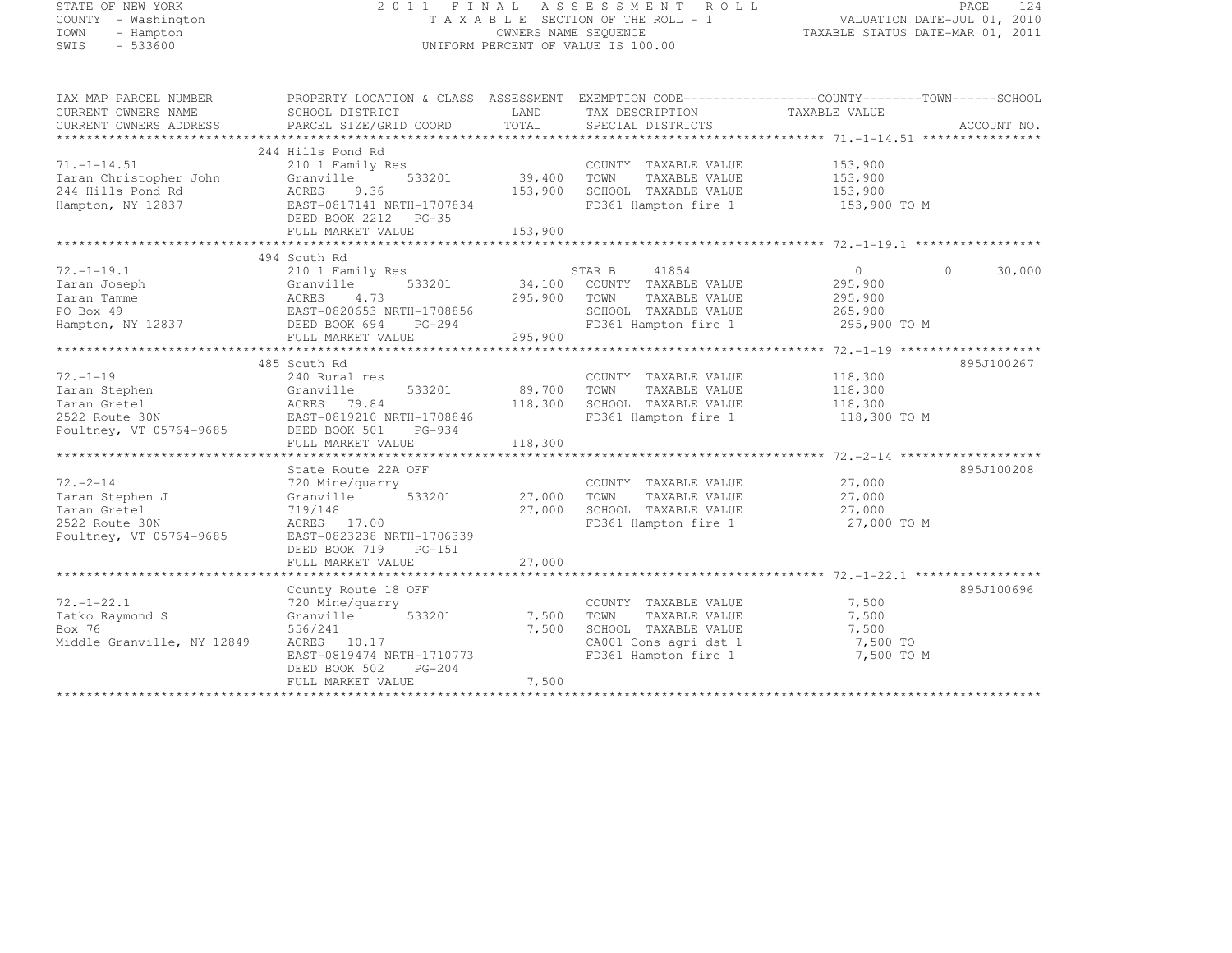| STATE OF NEW YORK<br>COUNTY - Washington      |                                                                                                  |                      | 2011 FINAL ASSESSMENT ROLL<br>TAXABLE SECTION OF THE ROLL - 1 | VALUATION DATE-JUL 01, 2010      | PAGE     | 124         |
|-----------------------------------------------|--------------------------------------------------------------------------------------------------|----------------------|---------------------------------------------------------------|----------------------------------|----------|-------------|
| TOWN<br>- Hampton<br>SWIS<br>$-533600$        |                                                                                                  | OWNERS NAME SEQUENCE | UNIFORM PERCENT OF VALUE IS 100.00                            | TAXABLE STATUS DATE-MAR 01, 2011 |          |             |
|                                               |                                                                                                  |                      |                                                               |                                  |          |             |
| TAX MAP PARCEL NUMBER                         | PROPERTY LOCATION & CLASS ASSESSMENT EXEMPTION CODE----------------COUNTY-------TOWN------SCHOOL |                      |                                                               |                                  |          |             |
| CURRENT OWNERS NAME<br>CURRENT OWNERS ADDRESS | SCHOOL DISTRICT<br>PARCEL SIZE/GRID COORD                                                        | LAND<br>TOTAL        | TAX DESCRIPTION TAXABLE VALUE<br>SPECIAL DISTRICTS            |                                  |          | ACCOUNT NO. |
|                                               |                                                                                                  |                      |                                                               |                                  |          |             |
|                                               | 244 Hills Pond Rd                                                                                |                      |                                                               |                                  |          |             |
| $71. - 1 - 14.51$                             | 210 1 Family Res                                                                                 |                      | COUNTY TAXABLE VALUE                                          | 153,900                          |          |             |
| Taran Christopher John                        | 533201<br>Granville                                                                              | 39,400 TOWN          | TAXABLE VALUE                                                 | 153,900                          |          |             |
| 244 Hills Pond Rd                             | ACRES 9.36                                                                                       | 153,900              | SCHOOL TAXABLE VALUE                                          | 153,900                          |          |             |
| Hampton, NY 12837                             | EAST-0817141 NRTH-1707834<br>DEED BOOK 2212 PG-35                                                |                      | FD361 Hampton fire 1                                          | 153,900 TO M                     |          |             |
|                                               | FULL MARKET VALUE                                                                                | 153,900              |                                                               |                                  |          |             |
|                                               |                                                                                                  |                      |                                                               |                                  |          |             |
|                                               | 494 South Rd                                                                                     |                      |                                                               |                                  |          |             |
| 72.–1–19.1                                    | 210 1 Family Res                                                                                 |                      | STAR B<br>41854                                               | $\overline{0}$                   | $\Omega$ | 30,000      |
|                                               | 533201                                                                                           |                      | 34,100 COUNTY TAXABLE VALUE                                   | 295,900                          |          |             |
|                                               |                                                                                                  | 295,900              | TAXABLE VALUE<br>TOWN                                         | 295,900                          |          |             |
|                                               |                                                                                                  |                      | SCHOOL TAXABLE VALUE                                          | 265,900                          |          |             |
|                                               | FULL MARKET VALUE                                                                                | 295,900              | FD361 Hampton fire 1                                          | 295,900 TO M                     |          |             |
|                                               |                                                                                                  |                      |                                                               |                                  |          |             |
|                                               | 485 South Rd                                                                                     |                      |                                                               |                                  |          | 895J100267  |
| $72. - 1 - 19$                                | 240 Rural res                                                                                    |                      | COUNTY TAXABLE VALUE                                          | 118,300                          |          |             |
|                                               |                                                                                                  | 89,700               | TOWN<br>TAXABLE VALUE                                         | 118,300                          |          |             |
|                                               |                                                                                                  | 118,300              | SCHOOL TAXABLE VALUE                                          | 118,300                          |          |             |
|                                               |                                                                                                  |                      | FD361 Hampton fire 1                                          | 118,300 TO M                     |          |             |
|                                               |                                                                                                  |                      |                                                               |                                  |          |             |
|                                               | FULL MARKET VALUE                                                                                | 118,300              |                                                               |                                  |          |             |
|                                               | State Route 22A OFF                                                                              |                      |                                                               |                                  |          | 895J100208  |
| 72.-2-14                                      | 720 Mine/quarry                                                                                  |                      | COUNTY TAXABLE VALUE                                          | 27,000                           |          |             |
| Taran Stephen J                               | 533201<br>Granville                                                                              | 27,000               | TOWN<br>TAXABLE VALUE                                         | 27,000                           |          |             |
| Taran Gretel                                  | 719/148                                                                                          | 27,000               | SCHOOL TAXABLE VALUE                                          | 27,000                           |          |             |
| 2522 Route 30N                                | ACRES 17.00                                                                                      |                      | FD361 Hampton fire 1                                          | 27,000 TO M                      |          |             |
| Poultney, VT 05764-9685                       | EAST-0823238 NRTH-1706339                                                                        |                      |                                                               |                                  |          |             |
|                                               | DEED BOOK 719<br>$PG-151$                                                                        |                      |                                                               |                                  |          |             |
|                                               | FULL MARKET VALUE                                                                                | 27,000               |                                                               |                                  |          |             |
|                                               |                                                                                                  |                      |                                                               |                                  |          |             |
| $72. - 1 - 22.1$                              | County Route 18 OFF<br>720 Mine/quarry                                                           |                      | COUNTY TAXABLE VALUE                                          | 7,500                            |          | 895J100696  |
| Tatko Raymond S                               | 533201<br>Granville                                                                              | 7,500                | TOWN<br>TAXABLE VALUE                                         | 7,500                            |          |             |
| Box 76                                        | 556/241                                                                                          | 7,500                | SCHOOL TAXABLE VALUE                                          | 7,500                            |          |             |
| Middle Granville, NY 12849                    | ACRES 10.17                                                                                      |                      | CA001 Cons agri dst 1                                         | 7,500 TO                         |          |             |
|                                               | EAST-0819474 NRTH-1710773                                                                        |                      | FD361 Hampton fire 1                                          | 7,500 TO M                       |          |             |
|                                               | DEED BOOK 502<br>PG-204                                                                          |                      |                                                               |                                  |          |             |
|                                               |                                                                                                  | $   -$               |                                                               |                                  |          |             |

FULL MARKET VALUE 7,500 \*\*\*\*\*\*\*\*\*\*\*\*\*\*\*\*\*\*\*\*\*\*\*\*\*\*\*\*\*\*\*\*\*\*\*\*\*\*\*\*\*\*\*\*\*\*\*\*\*\*\*\*\*\*\*\*\*\*\*\*\*\*\*\*\*\*\*\*\*\*\*\*\*\*\*\*\*\*\*\*\*\*\*\*\*\*\*\*\*\*\*\*\*\*\*\*\*\*\*\*\*\*\*\*\*\*\*\*\*\*\*\*\*\*\*\*\*\*\*\*\*\*\*\*\*\*\*\*\*\*\*\*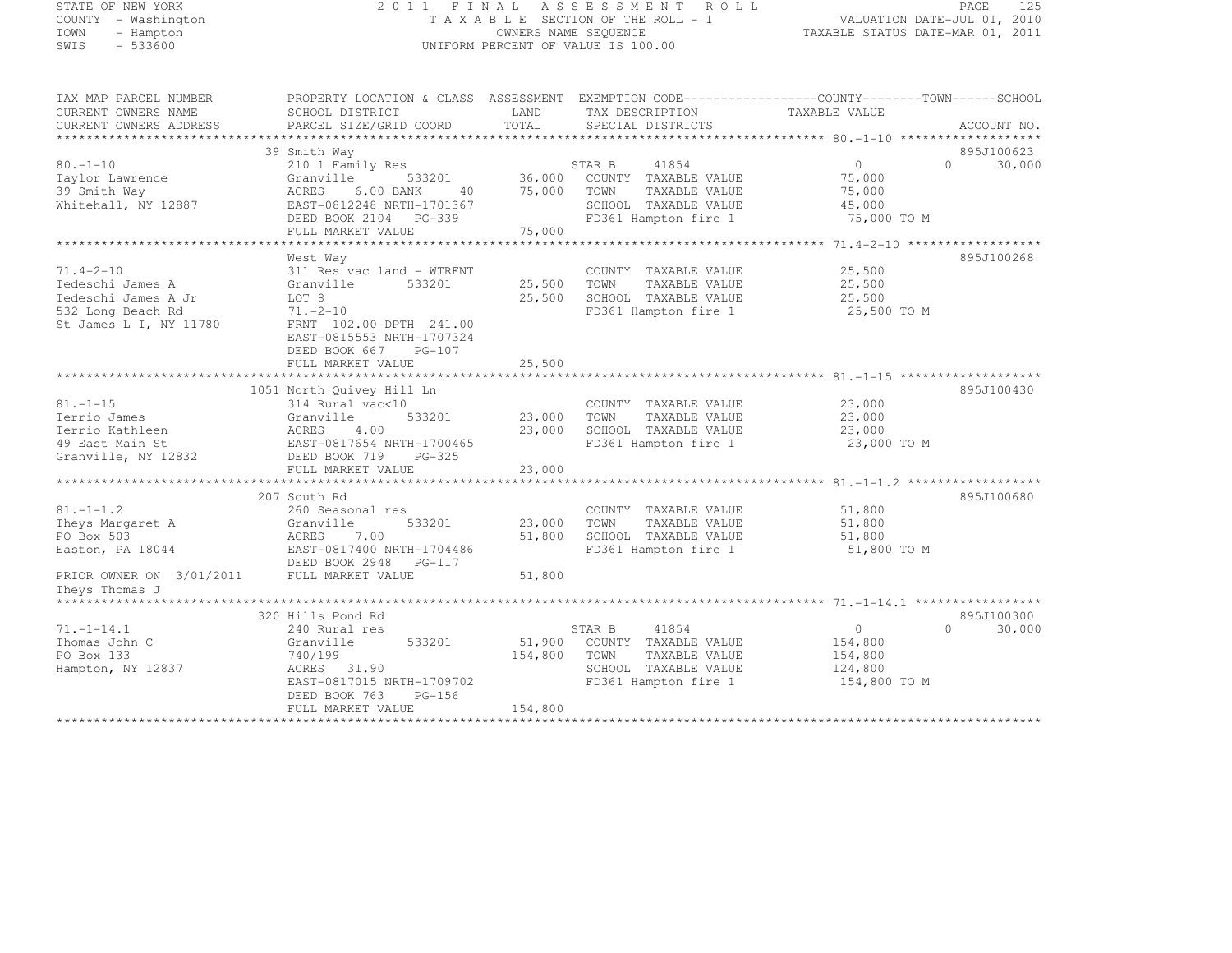# STATE OF NEW YORK 2 0 1 1 F I N A L A S S E S S M E N T R O L L PAGE <sup>125</sup> COUNTY - Washington T A X A B L E SECTION OF THE ROLL - 1 VALUATION DATE-JUL 01, 2010 TOWN - Hampton OWNERS NAME SEQUENCE TAXABLE STATUS DATE-MAR 01, 2011 SWIS - 533600 UNIFORM PERCENT OF VALUE IS 100.00

| TAX MAP PARCEL NUMBER<br>CURRENT OWNERS NAME<br>CURRENT OWNERS ADDRESS | PROPERTY LOCATION & CLASS ASSESSMENT<br>SCHOOL DISTRICT<br>PARCEL SIZE/GRID COORD | LAND<br>TOTAL | EXEMPTION CODE-----------------COUNTY-------TOWN------SCHOOL<br>TAX DESCRIPTION<br>SPECIAL DISTRICTS | TAXABLE VALUE | ACCOUNT NO.        |
|------------------------------------------------------------------------|-----------------------------------------------------------------------------------|---------------|------------------------------------------------------------------------------------------------------|---------------|--------------------|
|                                                                        |                                                                                   |               |                                                                                                      |               |                    |
|                                                                        | 39 Smith Way                                                                      |               |                                                                                                      |               | 895J100623         |
| $80. - 1 - 10$                                                         | 210 1 Family Res                                                                  |               | STAR B<br>41854                                                                                      | $\Omega$      | $\cap$<br>30,000   |
| Taylor Lawrence                                                        | Granville<br>533201                                                               | 36,000        | COUNTY TAXABLE VALUE                                                                                 | 75,000        |                    |
| 39 Smith Way                                                           | 6.00 BANK<br>ACRES<br>40                                                          | 75,000        | TOWN<br>TAXABLE VALUE                                                                                | 75,000        |                    |
| Whitehall, NY 12887                                                    | EAST-0812248 NRTH-1701367                                                         |               | SCHOOL TAXABLE VALUE                                                                                 | 45,000        |                    |
|                                                                        | DEED BOOK 2104 PG-339                                                             |               | FD361 Hampton fire 1                                                                                 | 75,000 TO M   |                    |
|                                                                        | FULL MARKET VALUE                                                                 | 75,000        |                                                                                                      |               |                    |
|                                                                        |                                                                                   |               |                                                                                                      |               |                    |
|                                                                        | West Way                                                                          |               |                                                                                                      |               | 895J100268         |
| $71.4 - 2 - 10$                                                        | 311 Res vac land - WTRFNT                                                         |               | COUNTY TAXABLE VALUE                                                                                 | 25,500        |                    |
| Tedeschi James A                                                       | Granville<br>533201                                                               | 25,500        | TOWN<br>TAXABLE VALUE                                                                                | 25,500        |                    |
| Tedeschi James A Jr                                                    | LOT 8                                                                             | 25,500        | SCHOOL TAXABLE VALUE                                                                                 | 25,500        |                    |
| 532 Long Beach Rd                                                      | $71. - 2 - 10$                                                                    |               | FD361 Hampton fire 1                                                                                 | 25,500 TO M   |                    |
| St James L I, NY 11780                                                 | FRNT 102.00 DPTH 241.00                                                           |               |                                                                                                      |               |                    |
|                                                                        | EAST-0815553 NRTH-1707324                                                         |               |                                                                                                      |               |                    |
|                                                                        | DEED BOOK 667<br>PG-107                                                           |               |                                                                                                      |               |                    |
|                                                                        | FULL MARKET VALUE                                                                 | 25,500        |                                                                                                      |               |                    |
|                                                                        |                                                                                   |               |                                                                                                      |               |                    |
|                                                                        | 1051 North Quivey Hill Ln                                                         |               |                                                                                                      |               | 895J100430         |
| $81. - 1 - 15$                                                         | 314 Rural vac<10                                                                  |               | COUNTY TAXABLE VALUE                                                                                 | 23,000        |                    |
| Terrio James                                                           | 533201<br>Granville                                                               | 23,000        | TOWN<br>TAXABLE VALUE                                                                                | 23,000        |                    |
| Terrio Kathleen                                                        | ACRES<br>4.00                                                                     | 23,000        | SCHOOL TAXABLE VALUE                                                                                 | 23,000        |                    |
| 49 East Main St                                                        | EAST-0817654 NRTH-1700465                                                         |               | FD361 Hampton fire 1                                                                                 | 23,000 TO M   |                    |
| Granville, NY 12832                                                    | DEED BOOK 719<br>$PG-325$                                                         |               |                                                                                                      |               |                    |
|                                                                        | FULL MARKET VALUE                                                                 | 23,000        |                                                                                                      |               |                    |
|                                                                        |                                                                                   |               |                                                                                                      |               |                    |
|                                                                        | 207 South Rd                                                                      |               |                                                                                                      |               | 895J100680         |
| $81. - 1 - 1.2$                                                        | 260 Seasonal res                                                                  |               | COUNTY TAXABLE VALUE                                                                                 | 51,800        |                    |
| Theys Margaret A                                                       | Granville<br>533201                                                               | 23,000        | TOWN<br>TAXABLE VALUE                                                                                | 51,800        |                    |
| PO Box 503                                                             | ACRES<br>7.00                                                                     | 51,800        | SCHOOL TAXABLE VALUE                                                                                 | 51,800        |                    |
| Easton, PA 18044                                                       | EAST-0817400 NRTH-1704486                                                         |               | FD361 Hampton fire 1                                                                                 | 51,800 TO M   |                    |
|                                                                        | DEED BOOK 2948 PG-117                                                             |               |                                                                                                      |               |                    |
| PRIOR OWNER ON 3/01/2011                                               | FULL MARKET VALUE                                                                 | 51,800        |                                                                                                      |               |                    |
| Theys Thomas J                                                         |                                                                                   |               |                                                                                                      |               |                    |
| ********************                                                   |                                                                                   |               |                                                                                                      |               |                    |
|                                                                        | 320 Hills Pond Rd                                                                 |               |                                                                                                      |               | 895J100300         |
| $71. - 1 - 14.1$                                                       | 240 Rural res                                                                     |               | STAR B<br>41854                                                                                      | $\circ$       | $\Omega$<br>30,000 |
| Thomas John C                                                          | 533201<br>Granville                                                               | 51,900        | COUNTY TAXABLE VALUE                                                                                 | 154,800       |                    |
| PO Box 133                                                             | 740/199                                                                           | 154,800       | TAXABLE VALUE<br>TOWN                                                                                | 154,800       |                    |
| Hampton, NY 12837                                                      | ACRES 31.90                                                                       |               | SCHOOL TAXABLE VALUE                                                                                 | 124,800       |                    |
|                                                                        | EAST-0817015 NRTH-1709702                                                         |               | FD361 Hampton fire 1                                                                                 | 154,800 TO M  |                    |
|                                                                        | DEED BOOK 763<br>$PG-156$                                                         |               |                                                                                                      |               |                    |
|                                                                        | FULL MARKET VALUE                                                                 | 154,800       |                                                                                                      |               |                    |
|                                                                        |                                                                                   |               |                                                                                                      |               |                    |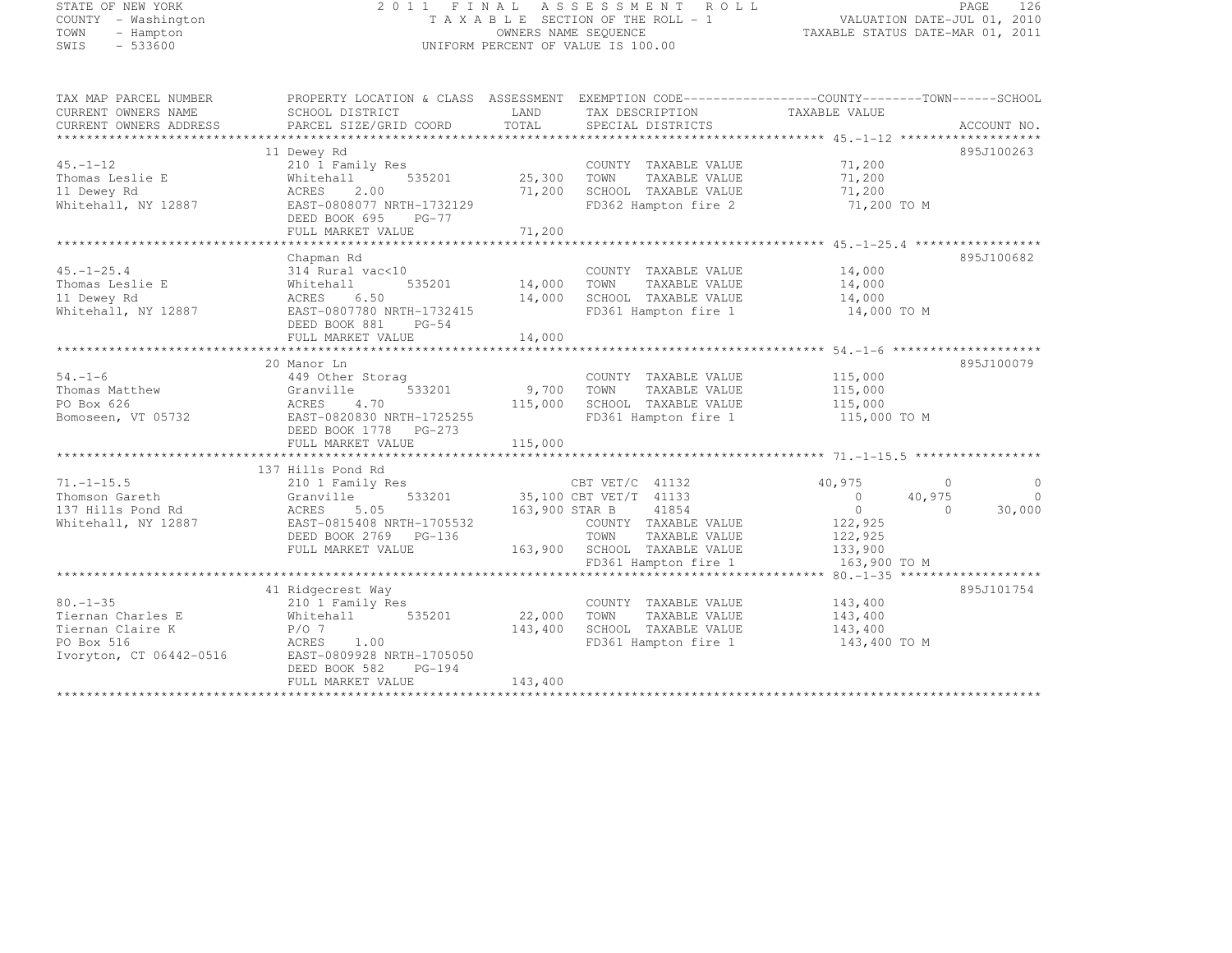# STATE OF NEW YORK 2 0 1 1 F I N A L A S S E S S M E N T R O L L PAGE <sup>126</sup> COUNTY - Washington T A X A B L E SECTION OF THE ROLL - 1 VALUATION DATE-JUL 01, 2010 TOWN - Hampton OWNERS NAME SEQUENCE TAXABLE STATUS DATE-MAR 01, 2011 SWIS - 533600 UNIFORM PERCENT OF VALUE IS 100.00

| TAX MAP PARCEL NUMBER     | PROPERTY LOCATION & CLASS ASSESSMENT EXEMPTION CODE----------------COUNTY-------TOWN-----SCHOOL |                       |                                    |                          |                                  |
|---------------------------|-------------------------------------------------------------------------------------------------|-----------------------|------------------------------------|--------------------------|----------------------------------|
| CURRENT OWNERS NAME       | SCHOOL DISTRICT                                                                                 | LAND                  | TAX DESCRIPTION                    | TAXABLE VALUE            |                                  |
| CURRENT OWNERS ADDRESS    | PARCEL SIZE/GRID COORD                                                                          | TOTAL                 | SPECIAL DISTRICTS                  |                          | ACCOUNT NO.                      |
|                           |                                                                                                 |                       |                                    |                          |                                  |
|                           | 11 Dewey Rd                                                                                     |                       |                                    |                          | 895J100263                       |
| $45. - 1 - 12$            | 210 1 Family Res                                                                                |                       | COUNTY TAXABLE VALUE               | 71,200                   |                                  |
| Thomas Leslie E           | Whitehall                                                                                       | 25,300 TOWN           | TAXABLE VALUE                      | 71,200                   |                                  |
| 11 Dewey Rd               | ACRES<br>2.00                                                                                   |                       | 71,200 SCHOOL TAXABLE VALUE        | 71,200                   |                                  |
| Whitehall, NY 12887       | EAST-0808077 NRTH-1732129                                                                       |                       | FD362 Hampton fire 2               | 71,200 TO M              |                                  |
|                           | DEED BOOK 695 PG-77                                                                             |                       |                                    |                          |                                  |
|                           |                                                                                                 |                       |                                    |                          |                                  |
|                           |                                                                                                 |                       |                                    |                          |                                  |
|                           | Chapman Rd                                                                                      |                       |                                    |                          | 895J100682                       |
| $45. - 1 - 25.4$          | 314 Rural vac<10                                                                                |                       | COUNTY TAXABLE VALUE               | 14,000                   |                                  |
| Thomas Leslie E           | 535201<br>Whitehall                                                                             | COUNTY<br>14,000 TOWN | TAXABLE VALUE                      | 14,000                   |                                  |
| 11 Dewey Rd               | 6.50<br>ACRES                                                                                   |                       | 14,000 SCHOOL TAXABLE VALUE 14,000 |                          |                                  |
| Whitehall, NY 12887       | EAST-0807780 NRTH-1732415                                                                       |                       | FD361 Hampton fire 1               | 14,000 TO M              |                                  |
|                           | DEED BOOK 881 PG-54                                                                             |                       |                                    |                          |                                  |
|                           | FULL MARKET VALUE                                                                               | 14,000                |                                    |                          |                                  |
|                           |                                                                                                 |                       |                                    |                          |                                  |
|                           | 20 Manor Ln                                                                                     |                       |                                    |                          | 895J100079                       |
| $54. - 1 - 6$             | 449 Other Storag                                                                                |                       | COUNTY TAXABLE VALUE               | 115,000                  |                                  |
| 54.-1-V<br>Thomas Matthew | 533201<br>Granville                                                                             | 9,700 TOWN            | TAXABLE VALUE                      |                          |                                  |
| PO Box 626                | ACRES<br>4.70                                                                                   | 115,000               | SCHOOL TAXABLE VALUE               | 115,000<br>115,000       |                                  |
| Bomoseen, VT 05732        | EAST-0820830 NRTH-1725255                                                                       |                       | FD361 Hampton fire 1 115,000 TO M  |                          |                                  |
|                           | DEED BOOK 1778 PG-273                                                                           |                       |                                    |                          |                                  |
|                           | FULL MARKET VALUE                                                                               | 115,000               |                                    |                          |                                  |
|                           |                                                                                                 |                       |                                    |                          |                                  |
|                           | 137 Hills Pond Rd                                                                               |                       |                                    |                          |                                  |
| $71. - 1 - 15.5$          | 210 1 Family Res                                                                                |                       | CBT VET/C $41132$                  | 40,975                   | $\overline{0}$<br>$\overline{0}$ |
| Thomson Gareth            | 533201<br>Granville                                                                             |                       | 35,100 CBT VET/T 41133             | $\overline{0}$<br>40,975 | $\overline{0}$                   |
| 137 Hills Pond Rd         | ACRES 5.05                                                                                      |                       | 163,900 STAR B 41854               | $\overline{0}$           | $\Omega$<br>30,000               |
| Whitehall, NY 12887       | EAST-0815408 NRTH-1705532                                                                       |                       | COUNTY TAXABLE VALUE               | 122,925                  |                                  |
|                           | DEED BOOK 2769 PG-136                                                                           |                       | TOWN<br>TAXABLE VALUE              |                          |                                  |
|                           |                                                                                                 |                       |                                    | 122,925<br>133,900       |                                  |
|                           | FULL MARKET VALUE                                                                               |                       | 163,900 SCHOOL TAXABLE VALUE       |                          |                                  |
|                           |                                                                                                 |                       | FD361 Hampton fire 1               | 163,900 TO M             |                                  |
|                           |                                                                                                 |                       |                                    |                          |                                  |
|                           | 41 Ridgecrest Way                                                                               |                       |                                    |                          | 895J101754                       |
| $80. - 1 - 35$            | 210 1 Family Res                                                                                |                       | COUNTY TAXABLE VALUE               | 143,400                  |                                  |
| Tiernan Charles E         | Whitehall 535201                                                                                | 22,000 TOWN           | TAXABLE VALUE                      | 143,400                  |                                  |
| Tiernan Claire K          | $P/O$ 7                                                                                         | 143,400               | SCHOOL TAXABLE VALUE               | 143,400                  |                                  |
| PO Box 516                | ACRES<br>1.00                                                                                   |                       | FD361 Hampton fire 1 143,400 TO M  |                          |                                  |
| Ivoryton, CT 06442-0516   | EAST-0809928 NRTH-1705050                                                                       |                       |                                    |                          |                                  |
|                           | DEED BOOK 582<br>$PG-194$                                                                       |                       |                                    |                          |                                  |
|                           | FULL MARKET VALUE                                                                               | 143,400               |                                    |                          |                                  |
|                           |                                                                                                 |                       |                                    |                          |                                  |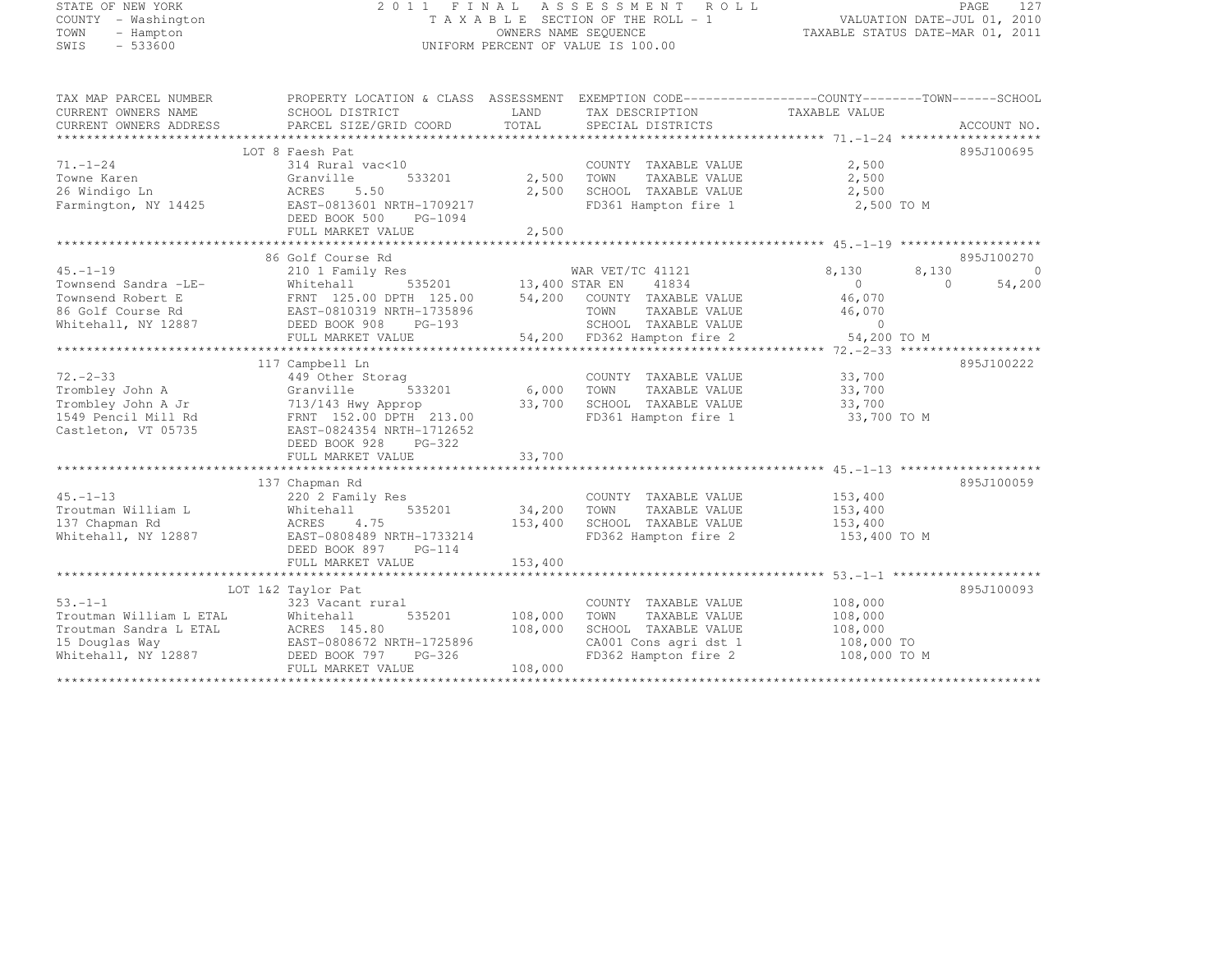#### STATE OF NEW YORK 2 0 1 1 F I N A L A S S E S S M E N T R O L L PAGE <sup>127</sup> COUNTY - Washington T A X A B L E SECTION OF THE ROLL - 1 VALUATION DATE-JUL 01, 2010 TOWN - Hampton OWNERS NAME SEQUENCE TAXABLE STATUS DATE-MAR 01, 2011 SWIS - 533600 UNIFORM PERCENT OF VALUE IS 100.00

| TAX MAP PARCEL NUMBER                     | PROPERTY LOCATION & CLASS ASSESSMENT          |                | EXEMPTION CODE-----------------COUNTY--------TOWN------SCHOOL |                       |        |                |
|-------------------------------------------|-----------------------------------------------|----------------|---------------------------------------------------------------|-----------------------|--------|----------------|
| CURRENT OWNERS NAME                       | SCHOOL DISTRICT                               | LAND           | TAX DESCRIPTION                                               | TAXABLE VALUE         |        |                |
| CURRENT OWNERS ADDRESS                    | PARCEL SIZE/GRID COORD                        | TOTAL          | SPECIAL DISTRICTS                                             |                       |        | ACCOUNT NO.    |
|                                           |                                               |                |                                                               |                       |        |                |
|                                           | LOT 8 Faesh Pat                               |                |                                                               |                       |        | 895J100695     |
| $71. - 1 - 24$                            | 314 Rural vac<10                              |                | COUNTY TAXABLE VALUE                                          | 2,500                 |        |                |
| Towne Karen                               | Granville<br>533201                           | 2,500          | TOWN<br>TAXABLE VALUE                                         | 2,500                 |        |                |
| 26 Windigo Ln                             | 5.50<br>ACRES                                 | 2,500          | SCHOOL TAXABLE VALUE                                          | 2,500                 |        |                |
| Farmington, NY 14425                      | EAST-0813601 NRTH-1709217                     |                | FD361 Hampton fire 1                                          | 2,500 TO M            |        |                |
|                                           | DEED BOOK 500<br>PG-1094                      |                |                                                               |                       |        |                |
|                                           | FULL MARKET VALUE                             | 2,500          |                                                               |                       |        |                |
|                                           |                                               |                |                                                               |                       |        |                |
|                                           | 86 Golf Course Rd                             |                |                                                               |                       |        | 895J100270     |
| $45. - 1 - 19$                            | 210 1 Family Res                              |                | WAR VET/TC 41121                                              | 8,130                 | 8,130  | $\overline{0}$ |
| Townsend Sandra -LE-                      | 535201<br>Whitehall                           | 13,400 STAR EN | 41834                                                         | $\Omega$              | $\cap$ | 54,200         |
| Townsend Robert E                         | FRNT 125.00 DPTH 125.00                       |                | 54,200 COUNTY TAXABLE VALUE                                   | 46,070                |        |                |
| 86 Golf Course Rd                         | EAST-0810319 NRTH-1735896                     |                | TOWN<br>TAXABLE VALUE                                         | 46,070                |        |                |
| Whitehall, NY 12887                       | DEED BOOK 908<br>$PG-193$                     |                | SCHOOL TAXABLE VALUE                                          | $\Omega$              |        |                |
|                                           | FULL MARKET VALUE                             |                | 54,200 FD362 Hampton fire 2                                   | 54,200 TO M           |        |                |
|                                           |                                               |                |                                                               |                       |        |                |
|                                           | 117 Campbell Ln                               |                |                                                               |                       |        | 895J100222     |
| $72 - 2 - 33$                             | 449 Other Storag                              |                | COUNTY TAXABLE VALUE                                          | 33,700                |        |                |
| Trombley John A                           | Granville<br>533201                           | 6,000          | TOWN<br>TAXABLE VALUE                                         | 33,700                |        |                |
| Trombley John A Jr<br>1549 Pencil Mill Rd | 713/143 Hwy Approp<br>FRNT 152.00 DPTH 213.00 | 33,700         | SCHOOL TAXABLE VALUE<br>FD361 Hampton fire 1                  | 33,700<br>33,700 TO M |        |                |
| Castleton, VT 05735                       | EAST-0824354 NRTH-1712652                     |                |                                                               |                       |        |                |
|                                           | DEED BOOK 928<br>$PG-322$                     |                |                                                               |                       |        |                |
|                                           | FULL MARKET VALUE                             | 33,700         |                                                               |                       |        |                |
|                                           |                                               |                |                                                               |                       |        |                |
|                                           | 137 Chapman Rd                                |                |                                                               |                       |        | 895J100059     |
| $45. - 1 - 13$                            | 220 2 Family Res                              |                | COUNTY TAXABLE VALUE                                          | 153,400               |        |                |
| Troutman William L                        | Whitehall<br>535201                           | 34,200         | TOWN<br>TAXABLE VALUE                                         | 153,400               |        |                |
| 137 Chapman Rd                            | ACRES<br>4.75                                 | 153,400        | SCHOOL TAXABLE VALUE                                          | 153,400               |        |                |
| Whitehall, NY 12887                       | EAST-0808489 NRTH-1733214                     |                | FD362 Hampton fire 2                                          | 153,400 TO M          |        |                |
|                                           | DEED BOOK 897<br>$PG-114$                     |                |                                                               |                       |        |                |
|                                           | FULL MARKET VALUE                             | 153,400        |                                                               |                       |        |                |
|                                           |                                               |                |                                                               |                       |        |                |
|                                           | LOT 1&2 Taylor Pat                            |                |                                                               |                       |        | 895J100093     |
| $53. - 1 - 1$                             | 323 Vacant rural                              |                | COUNTY TAXABLE VALUE                                          | 108,000               |        |                |
| Troutman William L ETAL                   | 535201<br>Whitehall                           | 108,000        | TOWN<br>TAXABLE VALUE                                         | 108,000               |        |                |
| Troutman Sandra L ETAL                    | ACRES 145.80                                  | 108,000        | SCHOOL TAXABLE VALUE                                          | 108,000               |        |                |
| 15 Douglas Way                            | EAST-0808672 NRTH-1725896                     |                | CA001 Cons agri dst 1                                         | 108,000 TO            |        |                |
| Whitehall, NY 12887                       | DEED BOOK 797<br>PG-326                       |                | FD362 Hampton fire 2                                          | 108,000 TO M          |        |                |
|                                           | FULL MARKET VALUE                             | 108,000        |                                                               |                       |        |                |
|                                           |                                               |                |                                                               |                       |        |                |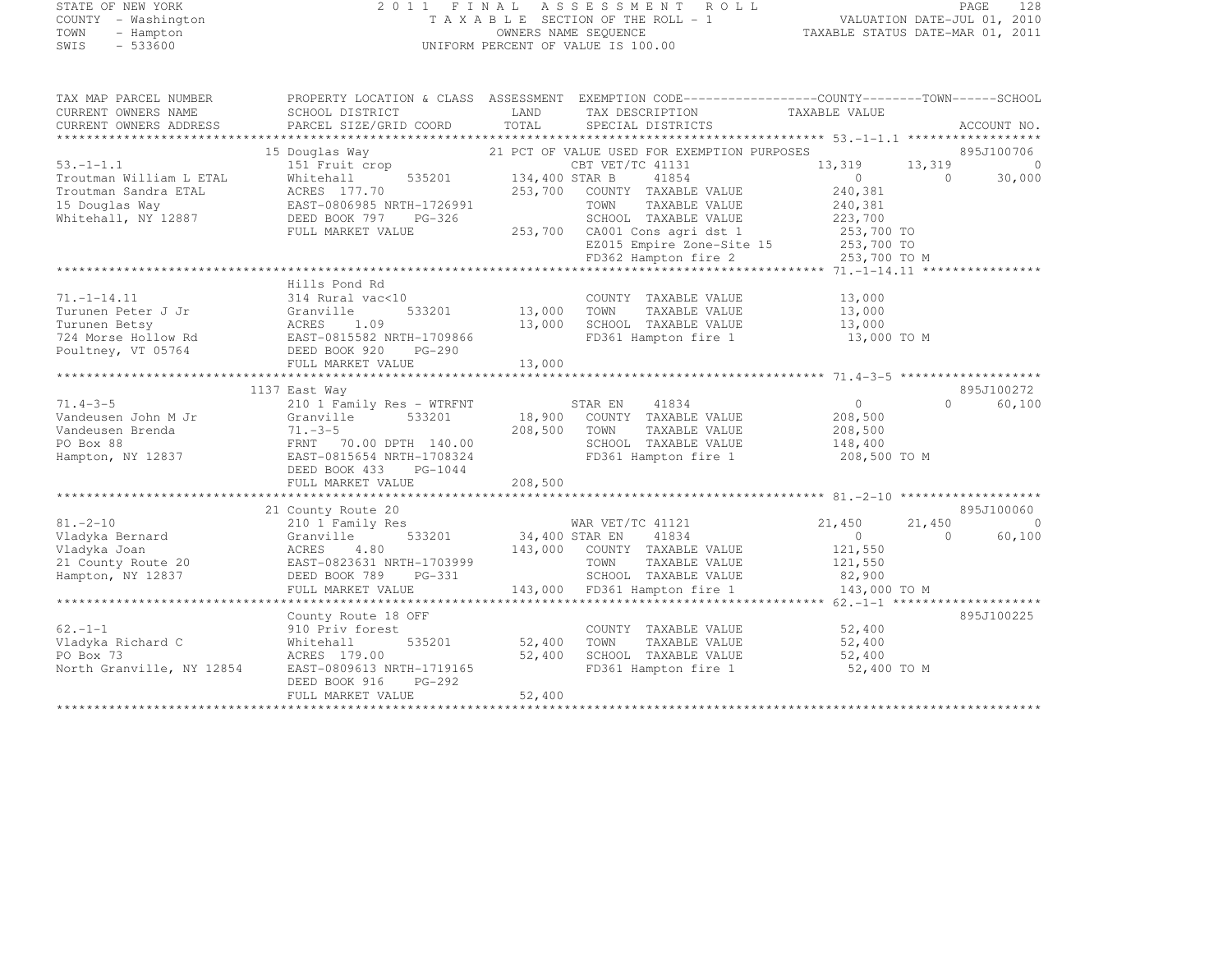# STATE OF NEW YORK 2 0 1 1 F I N A L A S S E S S M E N T R O L L PAGE <sup>128</sup> COUNTY - Washington T A X A B L E SECTION OF THE ROLL - 1 VALUATION DATE-JUL 01, 2010 TOWN - Hampton OWNERS NAME SEQUENCE TAXABLE STATUS DATE-MAR 01, 2011 SWIS - 533600 UNIFORM PERCENT OF VALUE IS 100.00

| TAX MAP PARCEL NUMBER<br>CURRENT OWNERS NAME<br>CURRENT OWNERS ADDRESS | PROPERTY LOCATION & CLASS ASSESSMENT EXEMPTION CODE-----------------COUNTY-------TOWN------SCHOOL<br>SCHOOL DISTRICT<br>PARCEL SIZE/GRID COORD                                                                                                                                                                                                                                                                                   | LAND<br>TOTAL         | TAX DESCRIPTION<br>SPECIAL DISTRICTS                                             | TAXABLE VALUE  | ACCOUNT NO.              |
|------------------------------------------------------------------------|----------------------------------------------------------------------------------------------------------------------------------------------------------------------------------------------------------------------------------------------------------------------------------------------------------------------------------------------------------------------------------------------------------------------------------|-----------------------|----------------------------------------------------------------------------------|----------------|--------------------------|
|                                                                        |                                                                                                                                                                                                                                                                                                                                                                                                                                  |                       |                                                                                  |                |                          |
|                                                                        | 15 Douglas Way                                                                                                                                                                                                                                                                                                                                                                                                                   |                       | 21 PCT OF VALUE USED FOR EXEMPTION PURPOSES                                      |                | 895J100706               |
| $53. - 1 - 1.1$                                                        | 151 Fruit crop                                                                                                                                                                                                                                                                                                                                                                                                                   |                       | CBT VET/TC 41131                                                                 | 13,319         | 13,319<br>$\bigcirc$     |
| Troutman William L ETAL                                                | Whitehall                                                                                                                                                                                                                                                                                                                                                                                                                        | 535201 134,400 STAR B | 41854                                                                            | $\overline{0}$ | $\overline{a}$<br>30,000 |
| Troutman Sandra ETAL                                                   | ACRES 177.70                                                                                                                                                                                                                                                                                                                                                                                                                     | 253,700               | COUNTY TAXABLE VALUE                                                             | 240,381        |                          |
| 15 Douglas Way                                                         | EAST-0806985 NRTH-1726991                                                                                                                                                                                                                                                                                                                                                                                                        |                       | TOWN<br>TAXABLE VALUE                                                            | 240,381        |                          |
| Whitehall, NY 12887                                                    | DEED BOOK 797<br>PG-326                                                                                                                                                                                                                                                                                                                                                                                                          |                       | SCHOOL TAXABLE VALUE                                                             | 223,700        |                          |
|                                                                        | FULL MARKET VALUE                                                                                                                                                                                                                                                                                                                                                                                                                |                       |                                                                                  |                |                          |
|                                                                        |                                                                                                                                                                                                                                                                                                                                                                                                                                  |                       | 253,700 CA001 Cons agri dst 1 253,700 TO<br>EZ015 Empire Zone-Site 15 253,700 TO |                |                          |
|                                                                        |                                                                                                                                                                                                                                                                                                                                                                                                                                  |                       |                                                                                  |                |                          |
|                                                                        |                                                                                                                                                                                                                                                                                                                                                                                                                                  |                       |                                                                                  |                |                          |
|                                                                        | Hills Pond Rd                                                                                                                                                                                                                                                                                                                                                                                                                    |                       |                                                                                  |                |                          |
|                                                                        |                                                                                                                                                                                                                                                                                                                                                                                                                                  |                       |                                                                                  |                |                          |
| $71. - 1 - 14.11$                                                      | 314 Rural vac<10                                                                                                                                                                                                                                                                                                                                                                                                                 |                       | COUNTY TAXABLE VALUE                                                             | 13,000         |                          |
| Turunen Peter J Jr                                                     | 533201                                                                                                                                                                                                                                                                                                                                                                                                                           | 13,000 TOWN           | TAXABLE VALUE                                                                    | 13,000         |                          |
| Turunen Betsy                                                          |                                                                                                                                                                                                                                                                                                                                                                                                                                  |                       | 13,000 SCHOOL TAXABLE VALUE                                                      | 13,000         |                          |
| 724 Morse Hollow Rd                                                    | EAST-0815582 NRTH-1709866                                                                                                                                                                                                                                                                                                                                                                                                        |                       | FD361 Hampton fire 1                                                             | 13,000 TO M    |                          |
| Poultney, VT 05764                                                     | PG-290                                                                                                                                                                                                                                                                                                                                                                                                                           |                       |                                                                                  |                |                          |
|                                                                        | FULL MARKET VALUE                                                                                                                                                                                                                                                                                                                                                                                                                | 13,000                |                                                                                  |                |                          |
|                                                                        | $\begin{tabular}{ll} \multicolumn{2}{c}{\begin{tabular}{l} \bf $5F$ \\ \bf $F$ \\ \bf $F$ \\ \bf $F$ \\ \bf $F$ \\ \bf $F$ \\ \bf $F$ \\ \bf $F$ \\ \bf $F$ \\ \bf $F$ \\ \bf $F$ \\ \bf $F$ \\ \bf $F$ \\ \bf $F$ \\ \bf $F$ \\ \bf $F$ \\ \bf $F$ \\ \bf $F$ \\ \bf $F$ \\ \bf $F$ \\ \bf $F$ \\ \bf $F$ \\ \bf $F$ \\ \bf $F$ \\ \bf $F$ \\ \bf $F$ \\ \bf $F$ \\ \bf $F$ \\ \bf $F$ \\ \bf $F$ \\ \bf $F$ \\ \bf $F$ \\ \bf$ |                       |                                                                                  |                |                          |
|                                                                        | 1137 East Way                                                                                                                                                                                                                                                                                                                                                                                                                    |                       |                                                                                  |                | 895J100272               |
| $71.4 - 3 - 5$                                                         | 210 1 Family Res - WTRFNT                                                                                                                                                                                                                                                                                                                                                                                                        |                       | 41834<br>STAR EN                                                                 | $\overline{0}$ | $\Omega$<br>60,100       |
| Vandeusen John M Jr                                                    | Granville                                                                                                                                                                                                                                                                                                                                                                                                                        |                       | 533201 18,900 COUNTY TAXABLE VALUE                                               | 208,500        |                          |
| Vandeusen Brenda                                                       | $71. - 3 - 5$                                                                                                                                                                                                                                                                                                                                                                                                                    | 208,500 TOWN          | TAXABLE VALUE                                                                    | 208,500        |                          |
| PO Box 88                                                              | FRNT 70.00 DPTH 140.00                                                                                                                                                                                                                                                                                                                                                                                                           |                       | SCHOOL TAXABLE VALUE                                                             | 148,400        |                          |
| Hampton, NY 12837                                                      | EAST-0815654 NRTH-1708324                                                                                                                                                                                                                                                                                                                                                                                                        |                       | FD361 Hampton fire 1 208,500 TO M                                                |                |                          |
|                                                                        | DEED BOOK 433 PG-1044                                                                                                                                                                                                                                                                                                                                                                                                            |                       |                                                                                  |                |                          |
|                                                                        | FULL MARKET VALUE                                                                                                                                                                                                                                                                                                                                                                                                                | 208,500               |                                                                                  |                |                          |
|                                                                        |                                                                                                                                                                                                                                                                                                                                                                                                                                  |                       |                                                                                  |                |                          |
|                                                                        | 21 County Route 20                                                                                                                                                                                                                                                                                                                                                                                                               |                       |                                                                                  |                | 895J100060               |
| $81. - 2 - 10$                                                         | 210 1 Family Res                                                                                                                                                                                                                                                                                                                                                                                                                 |                       | WAR VET/TC 41121                                                                 | 21,450         | 21,450<br>$\Omega$       |
| Vladyka Bernard                                                        | 533201<br>Granville                                                                                                                                                                                                                                                                                                                                                                                                              | 34,400 STAR EN        | 41834                                                                            | $\overline{0}$ | 60,100<br>$\Omega$       |
| Vladyka Joan                                                           | ACRES<br>4.80                                                                                                                                                                                                                                                                                                                                                                                                                    |                       | 143,000 COUNTY TAXABLE VALUE                                                     | 121,550        |                          |
|                                                                        |                                                                                                                                                                                                                                                                                                                                                                                                                                  |                       |                                                                                  |                |                          |
| 21 County Route 20                                                     | EAST-0823631 NRTH-1703999                                                                                                                                                                                                                                                                                                                                                                                                        |                       | TOWN<br>TAXABLE VALUE                                                            | 121,550        |                          |
| Hampton, NY 12837                                                      | DEED BOOK 789<br>PG-331                                                                                                                                                                                                                                                                                                                                                                                                          |                       | S-331 SCHOOL TAXABLE VALUE<br>143,000 FD361 Hampton fire 1                       | 82,900         |                          |
|                                                                        | FULL MARKET VALUE                                                                                                                                                                                                                                                                                                                                                                                                                |                       |                                                                                  | 143,000 TO M   |                          |
|                                                                        |                                                                                                                                                                                                                                                                                                                                                                                                                                  |                       |                                                                                  |                |                          |
|                                                                        | County Route 18 OFF                                                                                                                                                                                                                                                                                                                                                                                                              |                       |                                                                                  |                | 895J100225               |
| $62 - 1 - 1$                                                           | 910 Priv forest                                                                                                                                                                                                                                                                                                                                                                                                                  |                       | COUNTY TAXABLE VALUE                                                             | 52,400         |                          |
| Vladyka Richard C                                                      | 535201<br>Whitehall                                                                                                                                                                                                                                                                                                                                                                                                              | 52,400 TOWN           | TAXABLE VALUE                                                                    | 52,400         |                          |
| PO Box 73                                                              | ACRES 179.00                                                                                                                                                                                                                                                                                                                                                                                                                     | 52,400                | SCHOOL TAXABLE VALUE 52,400                                                      |                |                          |
| North Granville, NY 12854                                              | EAST-0809613 NRTH-1719165                                                                                                                                                                                                                                                                                                                                                                                                        |                       | FD361 Hampton fire 1                                                             | 52,400 TO M    |                          |
|                                                                        | PG-292<br>DEED BOOK 916                                                                                                                                                                                                                                                                                                                                                                                                          |                       |                                                                                  |                |                          |
|                                                                        | FULL MARKET VALUE                                                                                                                                                                                                                                                                                                                                                                                                                | 52,400                |                                                                                  |                |                          |
| *********************                                                  |                                                                                                                                                                                                                                                                                                                                                                                                                                  |                       |                                                                                  |                |                          |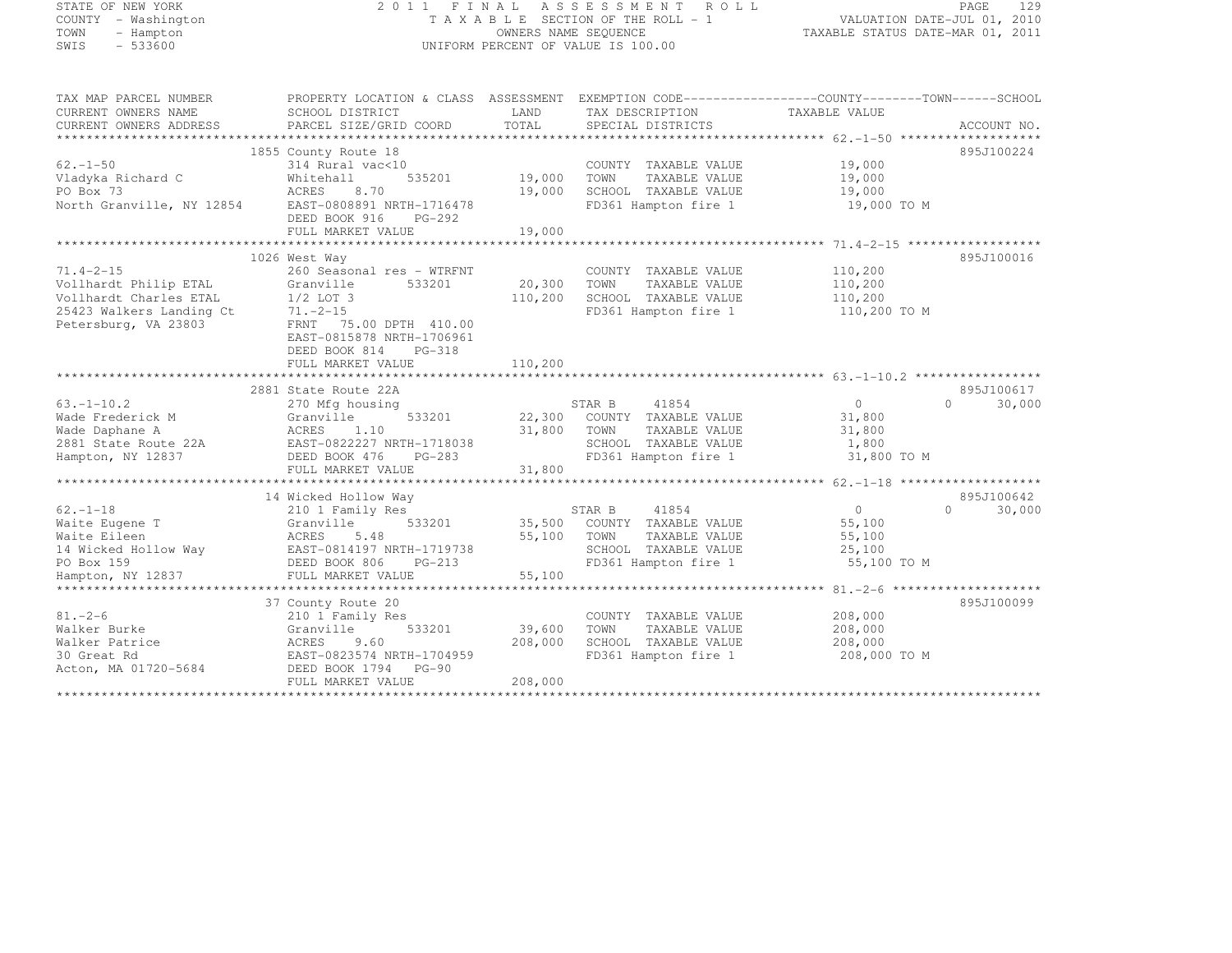# STATE OF NEW YORK 2 0 1 1 F I N A L A S S E S S M E N T R O L L PAGE <sup>129</sup> COUNTY - Washington T A X A B L E SECTION OF THE ROLL - 1 VALUATION DATE-JUL 01, 2010 TOWN - Hampton OWNERS NAME SEQUENCE TAXABLE STATUS DATE-MAR 01, 2011 SWIS - 533600 UNIFORM PERCENT OF VALUE IS 100.00

| TAX MAP PARCEL NUMBER<br>CURRENT OWNERS NAME<br>CURRENT OWNERS ADDRESS                                          | PROPERTY LOCATION & CLASS ASSESSMENT EXEMPTION CODE----------------COUNTY-------TOWN-----SCHOOL<br>SCHOOL DISTRICT<br>PARCEL SIZE/GRID COORD | LAND<br>TOTAL | TAX DESCRIPTION TAXABLE VALUE<br>SPECIAL DISTRICTS |                | ACCOUNT NO.         |
|-----------------------------------------------------------------------------------------------------------------|----------------------------------------------------------------------------------------------------------------------------------------------|---------------|----------------------------------------------------|----------------|---------------------|
|                                                                                                                 |                                                                                                                                              |               |                                                    |                |                     |
| $62. - 1 - 50$                                                                                                  | 1855 County Route 18<br>314 Rural vac<10                                                                                                     |               | COUNTY TAXABLE VALUE                               | 19,000         | 895J100224          |
| Vladyka Richard C                                                                                               | 535201<br>Whitehall                                                                                                                          | 19,000        | TOWN<br>TAXABLE VALUE                              | 19,000         |                     |
|                                                                                                                 |                                                                                                                                              |               |                                                    |                |                     |
| PO Box 73                                                                                                       | ACRES<br>8.70                                                                                                                                | 19,000        | SCHOOL TAXABLE VALUE                               | 19,000         |                     |
| North Granville, NY 12854                                                                                       | EAST-0808891 NRTH-1716478<br>DEED BOOK 916<br>PG-292                                                                                         |               | FD361 Hampton fire 1                               | 19,000 TO M    |                     |
|                                                                                                                 | FULL MARKET VALUE                                                                                                                            | 19,000        |                                                    |                |                     |
|                                                                                                                 |                                                                                                                                              |               |                                                    |                |                     |
|                                                                                                                 | 1026 West Way                                                                                                                                |               |                                                    |                | 895J100016          |
| $71.4 - 2 - 15$                                                                                                 | 260 Seasonal res - WTRFNT                                                                                                                    |               | COUNTY TAXABLE VALUE                               | 110,200        |                     |
| Vollhardt Philip ETAL                                                                                           | Granville<br>533201                                                                                                                          | 20,300        | TOWN<br>TAXABLE VALUE                              | 110,200        |                     |
| Vollhardt Charles ETAL                                                                                          | $1/2$ LOT 3                                                                                                                                  | 110,200       | SCHOOL TAXABLE VALUE                               | 110,200        |                     |
| 25423 Walkers Landing Ct                                                                                        | $71. -2 - 15$                                                                                                                                |               | FD361 Hampton fire 1                               | 110,200 TO M   |                     |
| Petersburg, VA 23803                                                                                            | FRNT 75.00 DPTH 410.00<br>EAST-0815878 NRTH-1706961<br>DEED BOOK 814<br>PG-318                                                               |               |                                                    |                |                     |
|                                                                                                                 | FULL MARKET VALUE                                                                                                                            | 110,200       |                                                    |                |                     |
|                                                                                                                 |                                                                                                                                              |               |                                                    |                |                     |
|                                                                                                                 | 2881 State Route 22A                                                                                                                         |               |                                                    |                | 895J100617          |
| $63, -1 - 10, 2$                                                                                                | 270 Mfg housing                                                                                                                              |               | STAR B<br>41854                                    | 0<br>$\Omega$  | 30,000              |
| Wade Frederick M                                                                                                | 533201<br>Granville                                                                                                                          |               | 22,300 COUNTY TAXABLE VALUE                        | 31,800         |                     |
| Wade Daphane A                                                                                                  | ACRES 1.10                                                                                                                                   | 31,800        | TOWN<br>TAXABLE VALUE                              | 31,800         |                     |
| Wade Daphane A                     ACRES     1.10<br>2881 State Route 22A             EAST-0822227 NRTH-1718038 |                                                                                                                                              |               | SCHOOL TAXABLE VALUE                               | 1,800          |                     |
| Hampton, NY 12837                                                                                               | DEED BOOK 476<br>$PG-283$                                                                                                                    |               | FD361 Hampton fire 1                               | 31,800 TO M    |                     |
|                                                                                                                 | FULL MARKET VALUE                                                                                                                            | 31,800        |                                                    |                |                     |
|                                                                                                                 |                                                                                                                                              |               |                                                    |                |                     |
|                                                                                                                 | 14 Wicked Hollow Way                                                                                                                         |               |                                                    |                | 895J100642          |
| $62. - 1 - 18$                                                                                                  | 210 1 Family Res                                                                                                                             |               | STAR B<br>41854                                    | $\overline{0}$ | $\bigcap$<br>30,000 |
| Waite Eugene T                                                                                                  | Granville<br>533201                                                                                                                          |               | 35,500 COUNTY TAXABLE VALUE                        | 55,100         |                     |
| Waite Eileen                                                                                                    | 5.48<br>ACRES                                                                                                                                | 55,100        | TOWN<br>TAXABLE VALUE                              | 55,100         |                     |
| 14 Wicked Hollow Way                                                                                            | ACRES 5.48<br>EAST-0814197 NRTH-1719738                                                                                                      |               | SCHOOL TAXABLE VALUE                               | 25,100         |                     |
| PO Box 159                                                                                                      | DEED BOOK 806<br>$PG-213$                                                                                                                    |               | FD361 Hampton fire 1                               | 55,100 TO M    |                     |
| Hampton, NY 12837                                                                                               | FULL MARKET VALUE                                                                                                                            | 55,100        |                                                    |                |                     |
|                                                                                                                 |                                                                                                                                              |               |                                                    |                |                     |
|                                                                                                                 | 37 County Route 20                                                                                                                           |               |                                                    |                | 895J100099          |
|                                                                                                                 |                                                                                                                                              |               |                                                    |                |                     |
| $81. - 2 - 6$                                                                                                   | 210 1 Family Res                                                                                                                             |               | COUNTY TAXABLE VALUE                               | 208,000        |                     |
| Walker Burke                                                                                                    | Granville<br>533201                                                                                                                          | 39,600        | TAXABLE VALUE<br>TOWN                              | 208,000        |                     |
| Walker Patrice                                                                                                  | ACRES<br>9.60                                                                                                                                | 208,000       | SCHOOL TAXABLE VALUE                               | 208,000        |                     |
| 30 Great Rd                                                                                                     | EAST-0823574 NRTH-1704959                                                                                                                    |               | FD361 Hampton fire 1                               | 208,000 TO M   |                     |
| Acton, MA 01720-5684                                                                                            | DEED BOOK 1794 PG-90                                                                                                                         |               |                                                    |                |                     |
|                                                                                                                 | FULL MARKET VALUE                                                                                                                            | 208,000       |                                                    |                |                     |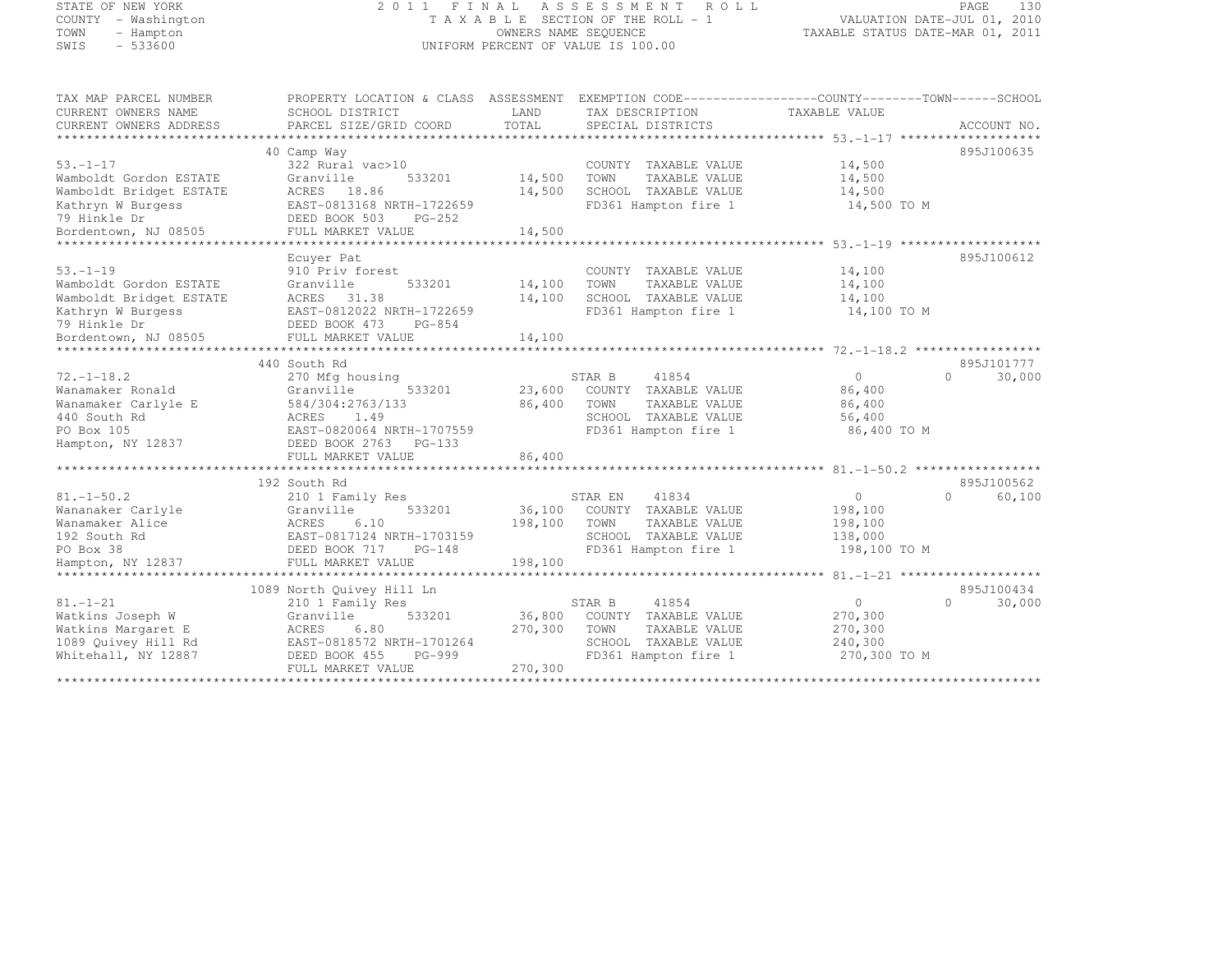#### STATE OF NEW YORK 2 0 1 1 F I N A L A S S E S S M E N T R O L L PAGE <sup>130</sup> COUNTY - Washington T A X A B L E SECTION OF THE ROLL - 1 VALUATION DATE-JUL 01, 2010 TOWN - Hampton OWNERS NAME SEQUENCE TAXABLE STATUS DATE-MAR 01, 2011 SWIS - 533600 UNIFORM PERCENT OF VALUE IS 100.00

| TAX MAP PARCEL NUMBER   | PROPERTY LOCATION & CLASS ASSESSMENT EXEMPTION CODE----------------COUNTY-------TOWN-----SCHOOL |         |                       |               |                    |
|-------------------------|-------------------------------------------------------------------------------------------------|---------|-----------------------|---------------|--------------------|
| CURRENT OWNERS NAME     | SCHOOL DISTRICT                                                                                 | LAND    | TAX DESCRIPTION       | TAXABLE VALUE |                    |
| CURRENT OWNERS ADDRESS  | PARCEL SIZE/GRID COORD                                                                          | TOTAL   | SPECIAL DISTRICTS     |               | ACCOUNT NO.        |
|                         |                                                                                                 |         |                       |               |                    |
|                         | 40 Camp Way                                                                                     |         |                       |               | 895J100635         |
| $53. - 1 - 17$          | 322 Rural vac>10                                                                                |         | COUNTY TAXABLE VALUE  | 14,500        |                    |
| Wamboldt Gordon ESTATE  | 533201<br>Granville                                                                             | 14,500  | TOWN<br>TAXABLE VALUE | 14,500        |                    |
| Wamboldt Bridget ESTATE | ACRES 18.86                                                                                     | 14,500  | SCHOOL TAXABLE VALUE  | 14,500        |                    |
| Kathryn W Burgess       | EAST-0813168 NRTH-1722659                                                                       |         | FD361 Hampton fire 1  | 14,500 TO M   |                    |
| 79 Hinkle Dr            | DEED BOOK 503<br>PG-252                                                                         |         |                       |               |                    |
| Bordentown, NJ 08505    | FULL MARKET VALUE                                                                               | 14,500  |                       |               |                    |
|                         |                                                                                                 |         |                       |               |                    |
|                         | Ecuver Pat                                                                                      |         |                       |               | 895J100612         |
| $53. - 1 - 19$          | 910 Priv forest                                                                                 |         | COUNTY TAXABLE VALUE  | 14,100        |                    |
| Wamboldt Gordon ESTATE  | 533201<br>Granville                                                                             | 14,100  | TOWN<br>TAXABLE VALUE | 14,100        |                    |
| Wamboldt Bridget ESTATE | ACRES 31.38                                                                                     | 14,100  | SCHOOL TAXABLE VALUE  | 14,100        |                    |
| Kathryn W Burgess       | EAST-0812022 NRTH-1722659                                                                       |         | FD361 Hampton fire 1  | 14,100 TO M   |                    |
| 79 Hinkle Dr            | DEED BOOK 473<br>PG-854                                                                         |         |                       |               |                    |
| Bordentown, NJ 08505    | FULL MARKET VALUE                                                                               | 14,100  |                       |               |                    |
|                         |                                                                                                 |         |                       |               |                    |
|                         | 440 South Rd                                                                                    |         |                       |               | 895J101777         |
| $72. - 1 - 18.2$        | 270 Mfg housing                                                                                 |         | 41854<br>STAR B       | $\circ$       | $\Omega$<br>30,000 |
| Wanamaker Ronald        | Granville<br>533201                                                                             | 23,600  | COUNTY TAXABLE VALUE  | 86,400        |                    |
| Wanamaker Carlyle E     | 584/304:2763/133                                                                                | 86,400  | TOWN<br>TAXABLE VALUE | 86,400        |                    |
| 440 South Rd            | 1.49<br>ACRES                                                                                   |         | SCHOOL TAXABLE VALUE  | 56,400        |                    |
| PO Box 105              | EAST-0820064 NRTH-1707559                                                                       |         | FD361 Hampton fire 1  | 86,400 TO M   |                    |
| Hampton, NY 12837       | DEED BOOK 2763 PG-133                                                                           |         |                       |               |                    |
|                         | FULL MARKET VALUE                                                                               | 86,400  |                       |               |                    |
|                         |                                                                                                 |         |                       |               |                    |
|                         | 192 South Rd                                                                                    |         |                       |               | 895J100562         |
| $81. - 1 - 50.2$        | 210 1 Family Res                                                                                |         | STAR EN<br>41834      | $\circ$       | $\cap$<br>60,100   |
| Wananaker Carlyle       | 533201<br>Granville                                                                             | 36,100  | COUNTY TAXABLE VALUE  | 198,100       |                    |
| Wanamaker Alice         | ACRES<br>6.10                                                                                   | 198,100 | TOWN<br>TAXABLE VALUE | 198,100       |                    |
| 192 South Rd            | EAST-0817124 NRTH-1703159                                                                       |         | SCHOOL TAXABLE VALUE  | 138,000       |                    |
| PO Box 38               | DEED BOOK 717 PG-148                                                                            |         | FD361 Hampton fire 1  | 198,100 TO M  |                    |
| Hampton, NY 12837       | FULL MARKET VALUE                                                                               | 198,100 |                       |               |                    |
|                         |                                                                                                 |         |                       |               |                    |
|                         | 1089 North Quivey Hill Ln                                                                       |         |                       |               | 895J100434         |
| $81. - 1 - 21$          | 210 1 Family Res                                                                                |         | 41854<br>STAR B       | $\circ$       | $\cap$<br>30,000   |
| Watkins Joseph W        | Granville<br>533201                                                                             | 36,800  | COUNTY TAXABLE VALUE  | 270,300       |                    |
| Watkins Margaret E      | 6.80<br>ACRES                                                                                   | 270,300 | TOWN<br>TAXABLE VALUE | 270,300       |                    |
| 1089 Quivey Hill Rd     | EAST-0818572 NRTH-1701264                                                                       |         | SCHOOL TAXABLE VALUE  | 240,300       |                    |
| Whitehall, NY 12887     | DEED BOOK 455<br>PG-999                                                                         |         | FD361 Hampton fire 1  | 270,300 TO M  |                    |
|                         | FULL MARKET VALUE                                                                               | 270,300 |                       |               |                    |
|                         |                                                                                                 |         |                       |               |                    |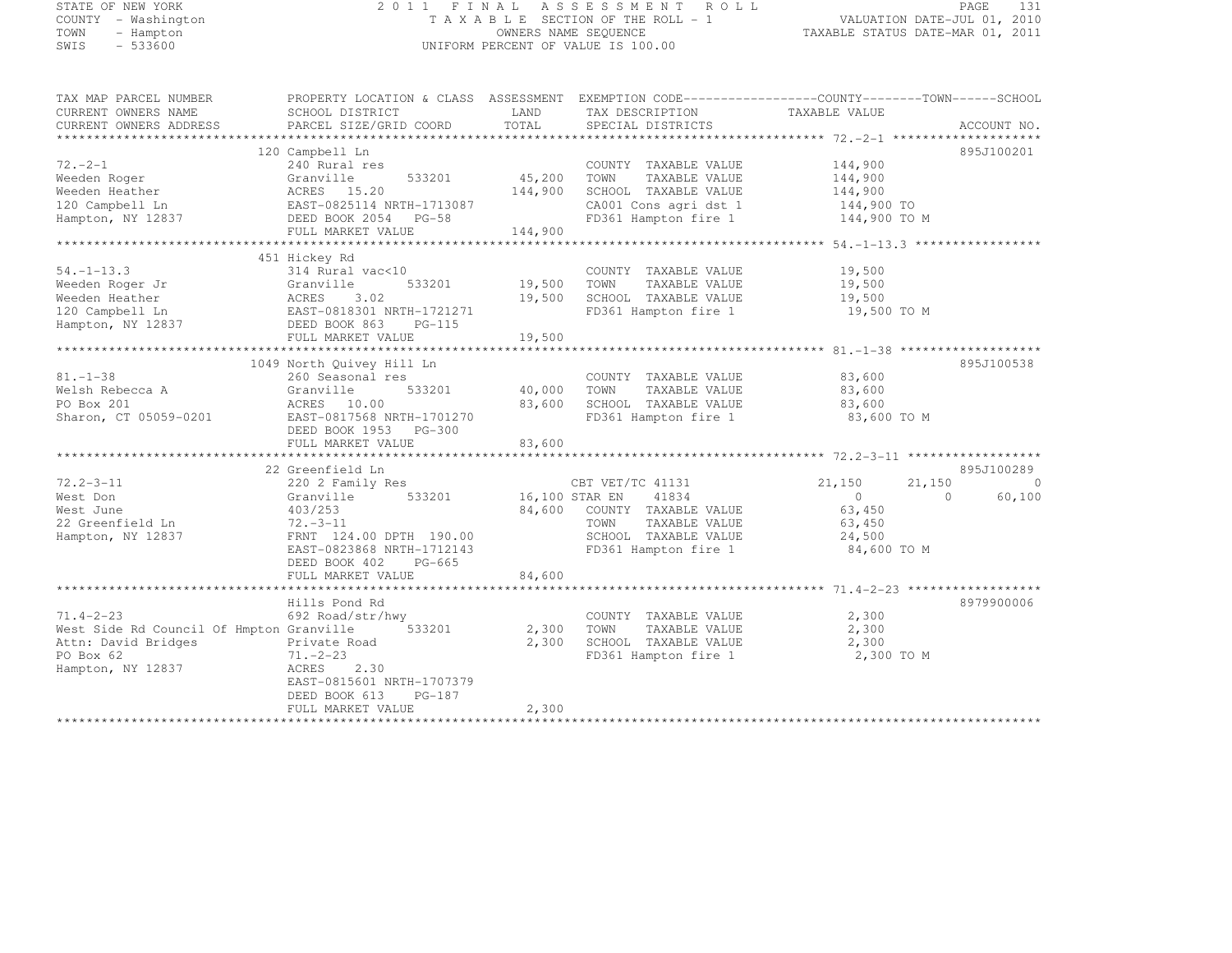#### STATE OF NEW YORK 2 0 1 1 F I N A L A S S E S S M E N T R O L L PAGE <sup>131</sup> COUNTY - Washington T A X A B L E SECTION OF THE ROLL - 1 VALUATION DATE-JUL 01, 2010 TOWN - Hampton OWNERS NAME SEQUENCE TAXABLE STATUS DATE-MAR 01, 2011 STATE OF NEW YORK <br>
COUNTY – Washington <br>
TAXABLE SECTION OF THE ROLL –<br>
TOWN – Hampton – OWNERS NAME SEQUENCE<br>
SWIS – 533600 UNIFORM PERCENT OF VALUE IS 100.00

TAX MAP PARCEL NUMBER PROPERTY LOCATION & CLASS ASSESSMENT EXEMPTION CODE------------------COUNTY--------TOWN------SCHOOL

| CURRENT OWNERS NAME                      | SCHOOL DISTRICT                       | LAND           | TAX DESCRIPTION       | TAXABLE VALUE        |             |
|------------------------------------------|---------------------------------------|----------------|-----------------------|----------------------|-------------|
| CURRENT OWNERS ADDRESS                   | PARCEL SIZE/GRID COORD                | TOTAL          | SPECIAL DISTRICTS     |                      | ACCOUNT NO. |
|                                          |                                       |                |                       |                      |             |
|                                          | 120 Campbell Ln                       |                |                       |                      | 895J100201  |
| $72. -2 - 1$                             | 240 Rural res                         |                | COUNTY TAXABLE VALUE  | 144,900              |             |
| Weeden Roger                             | 533201<br>Granville                   | 45,200         | TOWN<br>TAXABLE VALUE | 144,900              |             |
| Weeden Heather                           | ACRES 15.20                           | 144,900        | SCHOOL TAXABLE VALUE  | 144,900              |             |
| 120 Campbell Ln                          | EAST-0825114 NRTH-1713087             |                | CA001 Cons agri dst 1 | 144,900 TO           |             |
| Hampton, NY 12837                        | DEED BOOK 2054 PG-58                  |                | FD361 Hampton fire 1  | 144,900 TO M         |             |
|                                          | FULL MARKET VALUE                     | 144,900        |                       |                      |             |
|                                          |                                       |                |                       |                      |             |
|                                          | 451 Hickey Rd                         |                |                       |                      |             |
| $54. - 1 - 13.3$                         | 314 Rural vac<10                      |                | COUNTY TAXABLE VALUE  | 19,500               |             |
| Weeden Roger Jr                          | Granville<br>533201                   | 19,500         | TOWN<br>TAXABLE VALUE | 19,500               |             |
| Weeden Heather                           | 3.02<br>ACRES                         | 19,500         | SCHOOL TAXABLE VALUE  | 19,500               |             |
|                                          |                                       |                |                       |                      |             |
| 120 Campbell Ln                          | EAST-0818301 NRTH-1721271<br>$PG-115$ |                | FD361 Hampton fire 1  | 19,500 TO M          |             |
| Hampton, NY 12837                        | DEED BOOK 863                         |                |                       |                      |             |
|                                          | FULL MARKET VALUE                     | 19,500         |                       |                      |             |
|                                          |                                       |                |                       |                      |             |
|                                          | 1049 North Ouivey Hill Ln             |                |                       |                      | 895J100538  |
| $81. - 1 - 38$                           | 260 Seasonal res                      |                | COUNTY TAXABLE VALUE  | 83,600               |             |
| Welsh Rebecca A                          | Granville<br>533201                   | 40,000         | TOWN<br>TAXABLE VALUE | 83,600               |             |
| PO Box 201                               | ACRES 10.00                           | 83,600         | SCHOOL TAXABLE VALUE  | 83,600               |             |
| Sharon, CT 05059-0201                    | EAST-0817568 NRTH-1701270             |                | FD361 Hampton fire 1  | 83,600 TO M          |             |
|                                          | DEED BOOK 1953 PG-300                 |                |                       |                      |             |
|                                          | FULL MARKET VALUE                     | 83,600         |                       |                      |             |
|                                          |                                       |                |                       |                      |             |
|                                          | 22 Greenfield Ln                      |                |                       |                      | 895J100289  |
| $72.2 - 3 - 11$                          | 220 2 Family Res                      |                | CBT VET/TC 41131      | 21,150<br>21,150     | $\Omega$    |
| West Don                                 | 533201<br>Granville                   | 16,100 STAR EN | 41834                 | $\Omega$<br>$\Omega$ | 60,100      |
| West June                                | 403/253                               | 84,600         | COUNTY TAXABLE VALUE  | 63,450               |             |
| 22 Greenfield Ln                         | $72 - -3 - 11$                        |                | TOWN<br>TAXABLE VALUE | 63,450               |             |
| Hampton, NY 12837                        | FRNT 124.00 DPTH 190.00               |                | SCHOOL TAXABLE VALUE  | 24,500               |             |
|                                          | EAST-0823868 NRTH-1712143             |                | FD361 Hampton fire 1  | 84,600 TO M          |             |
|                                          | DEED BOOK 402<br>$PG-665$             |                |                       |                      |             |
|                                          | FULL MARKET VALUE                     | 84,600         |                       |                      |             |
|                                          |                                       |                |                       |                      |             |
|                                          | Hills Pond Rd                         |                |                       |                      | 8979900006  |
| $71.4 - 2 - 23$                          | 692 Road/str/hwy                      |                | COUNTY TAXABLE VALUE  | 2,300                |             |
| West Side Rd Council Of Hmpton Granville | 533201                                | 2,300          | TOWN<br>TAXABLE VALUE | 2,300                |             |
| Attn: David Bridges                      | Private Road                          | 2,300          | SCHOOL TAXABLE VALUE  | 2,300                |             |
| PO Box 62                                | $71. - 2 - 23$                        |                | FD361 Hampton fire 1  | 2,300 TO M           |             |
| Hampton, NY 12837                        | ACRES<br>2.30                         |                |                       |                      |             |
|                                          | EAST-0815601 NRTH-1707379             |                |                       |                      |             |
|                                          | $PG-187$                              |                |                       |                      |             |
|                                          | DEED BOOK 613                         |                |                       |                      |             |
|                                          | FULL MARKET VALUE                     | 2,300          |                       |                      |             |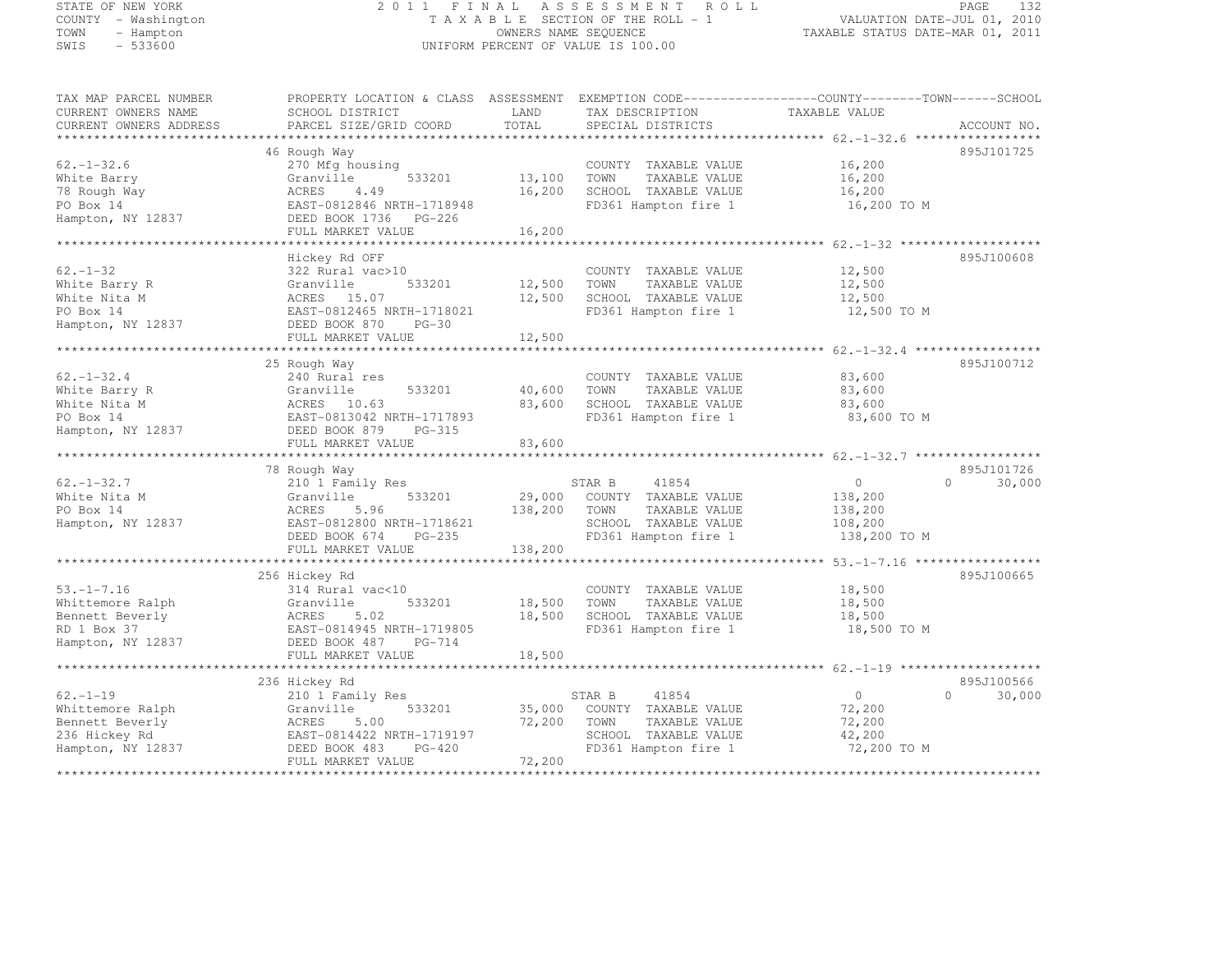# STATE OF NEW YORK 2 0 1 1 F I N A L A S S E S S M E N T R O L L PAGE <sup>132</sup> COUNTY - Washington T A X A B L E SECTION OF THE ROLL - 1 VALUATION DATE-JUL 01, 2010 TOWN - Hampton OWNERS NAME SEQUENCE TAXABLE STATUS DATE-MAR 01, 2011 SWIS - 533600 UNIFORM PERCENT OF VALUE IS 100.00

TAX MAP PARCEL NUMBER PROPERTY LOCATION & CLASS ASSESSMENT EXEMPTION CODE------------------COUNTY--------TOWN------SCHOOL

| CURRENT OWNERS NAME    | SCHOOL DISTRICT               | LAND       | TAX DESCRIPTION                                                 | TAXABLE VALUE                       |                    |
|------------------------|-------------------------------|------------|-----------------------------------------------------------------|-------------------------------------|--------------------|
| CURRENT OWNERS ADDRESS | PARCEL SIZE/GRID COORD        | TOTAL      | SPECIAL DISTRICTS                                               |                                     | ACCOUNT NO.        |
|                        |                               |            |                                                                 | ***************** 62.-1-32.6        |                    |
|                        | 46 Rough Way                  |            |                                                                 |                                     | 895J101725         |
| $62, -1 - 32.6$        | 270 Mfg housing               |            | COUNTY TAXABLE VALUE                                            | 16,200                              |                    |
| White Barry            | 533201<br>Granville           | 13,100     | TOWN<br>TAXABLE VALUE                                           | 16,200                              |                    |
| 78 Rough Way           | ACRES<br>4.49                 | 16,200     | SCHOOL TAXABLE VALUE                                            | 16,200                              |                    |
| PO Box 14              | EAST-0812846 NRTH-1718948     |            | FD361 Hampton fire 1                                            | 16,200 TO M                         |                    |
| Hampton, NY 12837      | DEED BOOK 1736<br>$PG-226$    |            |                                                                 |                                     |                    |
|                        | FULL MARKET VALUE             | 16,200     |                                                                 |                                     |                    |
|                        |                               |            |                                                                 |                                     |                    |
|                        | Hickey Rd OFF                 |            |                                                                 |                                     | 895J100608         |
| $62 - 1 - 32$          | 322 Rural vac>10              |            | COUNTY TAXABLE VALUE                                            | 12,500                              |                    |
| White Barry R          | Granville<br>533201           | 12,500     | TOWN<br>TAXABLE VALUE                                           | 12,500                              |                    |
| White Nita M           | 15.07<br>ACRES                | 12,500     | SCHOOL TAXABLE VALUE                                            | 12,500                              |                    |
| PO Box 14              | EAST-0812465 NRTH-1718021     |            | FD361 Hampton fire 1                                            | 12,500 TO M                         |                    |
| Hampton, NY 12837      | DEED BOOK 870<br>$PG-30$      |            |                                                                 |                                     |                    |
|                        | FULL MARKET VALUE             | 12,500     |                                                                 |                                     |                    |
|                        |                               | ********** | ********************************** 62.-1-32.4 ***************** |                                     |                    |
|                        | 25 Rough Way                  |            |                                                                 |                                     | 895J100712         |
| $62. - 1 - 32.4$       | 240 Rural res                 |            | COUNTY TAXABLE VALUE                                            | 83,600                              |                    |
| White Barry R          | 533201<br>Granville           | 40,600     | TOWN<br>TAXABLE VALUE                                           | 83,600                              |                    |
| White Nita M           | ACRES 10.63                   | 83,600     | SCHOOL TAXABLE VALUE                                            | 83,600                              |                    |
| PO Box 14              | EAST-0813042 NRTH-1717893     |            | FD361 Hampton fire 1                                            | 83,600 TO M                         |                    |
| Hampton, NY 12837      | DEED BOOK 879<br>$PG-315$     |            |                                                                 |                                     |                    |
|                        | FULL MARKET VALUE             | 83,600     |                                                                 |                                     |                    |
|                        |                               | ********   |                                                                 | *********** 62.-1-32.7 ************ |                    |
|                        | 78 Rough Way                  |            |                                                                 |                                     | 895J101726         |
| $62. - 1 - 32.7$       | 210 1 Family Res              |            | 41854<br>STAR B                                                 | $\circ$                             | 30,000<br>$\Omega$ |
| White Nita M           | 533201<br>Granville           | 29,000     | COUNTY TAXABLE VALUE                                            | 138,200                             |                    |
| PO Box 14              | ACRES<br>5.96                 | 138,200    | TOWN<br>TAXABLE VALUE                                           | 138,200                             |                    |
| Hampton, NY 12837      | EAST-0812800 NRTH-1718621     |            | SCHOOL TAXABLE VALUE                                            | 108,200                             |                    |
|                        | DEED BOOK 674<br>$PG-235$     |            | FD361 Hampton fire 1                                            | 138,200 TO M                        |                    |
|                        | FULL MARKET VALUE             | 138,200    |                                                                 |                                     |                    |
|                        |                               |            |                                                                 |                                     |                    |
|                        | 256 Hickey Rd                 |            |                                                                 |                                     | 895J100665         |
| $53, -1 - 7, 16$       | 314 Rural vac<10              |            | COUNTY TAXABLE VALUE                                            | 18,500                              |                    |
| Whittemore Ralph       | 533201<br>Granville           | 18,500     | TOWN<br>TAXABLE VALUE                                           | 18,500                              |                    |
| Bennett Beverly        | 5.02<br>ACRES                 | 18,500     | SCHOOL TAXABLE VALUE                                            | 18,500                              |                    |
| RD 1 Box 37            | EAST-0814945 NRTH-1719805     |            | FD361 Hampton fire 1                                            | 18,500 TO M                         |                    |
| Hampton, NY 12837      | DEED BOOK 487<br>$PG-714$     |            |                                                                 |                                     |                    |
|                        | FULL MARKET VALUE             | 18,500     |                                                                 |                                     |                    |
|                        | ***************************** |            |                                                                 |                                     |                    |
|                        | 236 Hickey Rd                 |            |                                                                 |                                     | 895J100566         |
| $62. - 1 - 19$         | 210 1 Family Res              |            | 41854<br>STAR B                                                 | $\circ$                             | $\Omega$<br>30,000 |
| Whittemore Ralph       | Granville<br>533201           | 35,000     | COUNTY TAXABLE VALUE                                            | 72,200                              |                    |
| Bennett Beverly        | ACRES<br>5.00                 | 72,200     | TOWN<br>TAXABLE VALUE                                           | 72,200                              |                    |
| 236 Hickey Rd          | EAST-0814422 NRTH-1719197     |            | SCHOOL TAXABLE VALUE                                            | 42,200                              |                    |
| Hampton, NY 12837      | DEED BOOK 483<br>$PG-420$     |            | FD361 Hampton fire 1                                            | 72,200 TO M                         |                    |
|                        | FULL MARKET VALUE             | 72,200     |                                                                 |                                     |                    |
|                        | **************************    |            |                                                                 |                                     |                    |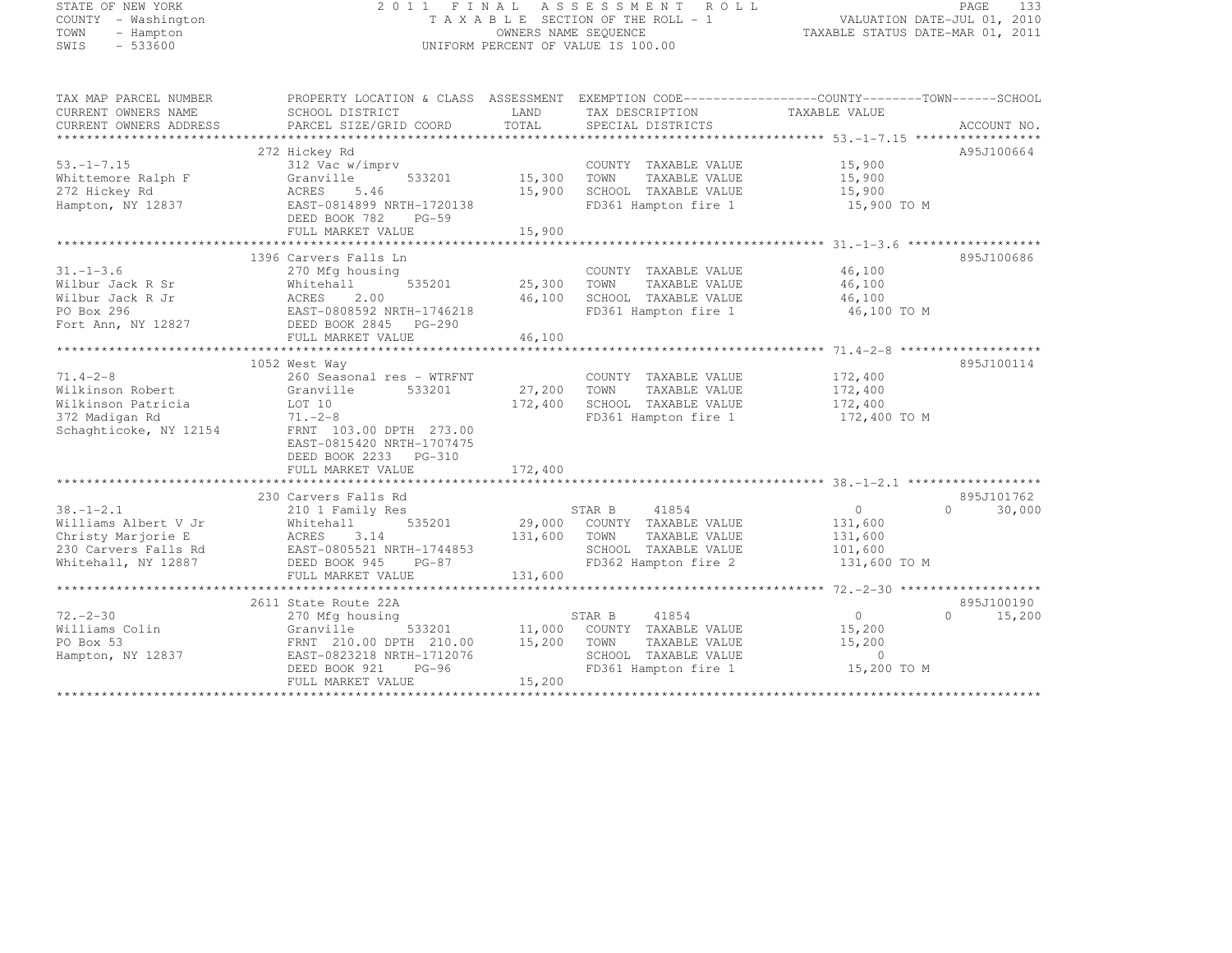| STATE OF NEW YORK |           |                     |  |
|-------------------|-----------|---------------------|--|
|                   |           | COUNTY - Washington |  |
| TOWN              |           | - Hampton           |  |
| SMTS              | $-533600$ |                     |  |

#### STATE OF NEW YORK 2 0 1 1 F I N A L A S S E S S M E N T R O L L PAGE <sup>133</sup> COUNTY - Washington T A X A B L E SECTION OF THE ROLL - 1 VALUATION DATE-JUL 01, 2010 TOWN - Hampton OWNERS NAME SEQUENCE TAXABLE STATUS DATE-MAR 01, 2011 SWIS - 533600 CONTROL CONTROL CONTROL UNIFORM PERCENT OF VALUE IS 100.00

| TAX MAP PARCEL NUMBER  | PROPERTY LOCATION & CLASS ASSESSMENT EXEMPTION CODE-----------------COUNTY-------TOWN------SCHOOL |             |                             |                |                     |
|------------------------|---------------------------------------------------------------------------------------------------|-------------|-----------------------------|----------------|---------------------|
| CURRENT OWNERS NAME    | SCHOOL DISTRICT                                                                                   | LAND        | TAX DESCRIPTION             | TAXABLE VALUE  |                     |
| CURRENT OWNERS ADDRESS | PARCEL SIZE/GRID COORD                                                                            | TOTAL       | SPECIAL DISTRICTS           |                | ACCOUNT NO.         |
|                        |                                                                                                   |             |                             |                |                     |
|                        | 272 Hickey Rd                                                                                     |             |                             |                | A95J100664          |
| $53. - 1 - 7.15$       | 312 Vac w/imprv                                                                                   |             | COUNTY TAXABLE VALUE        | 15,900         |                     |
| Whittemore Ralph F     | 533201<br>Granville                                                                               | 15,300      | TAXABLE VALUE<br>TOWN       | 15,900         |                     |
| 272 Hickey Rd          | ACRES<br>5.46                                                                                     | 15,900      | SCHOOL TAXABLE VALUE        | 15,900         |                     |
| Hampton, NY 12837      | EAST-0814899 NRTH-1720138                                                                         |             | FD361 Hampton fire 1        | 15,900 TO M    |                     |
|                        | DEED BOOK 782<br>$PG-59$                                                                          |             |                             |                |                     |
|                        | FULL MARKET VALUE                                                                                 | 15,900      |                             |                |                     |
|                        |                                                                                                   |             |                             |                |                     |
|                        | 1396 Carvers Falls Ln                                                                             |             |                             |                | 895J100686          |
| $31. - 1 - 3.6$        | 270 Mfg housing                                                                                   |             | COUNTY TAXABLE VALUE        | 46,100         |                     |
| Wilbur Jack R Sr       | 535201<br>Whitehall                                                                               | 25,300 TOWN | TAXABLE VALUE               | 46,100         |                     |
| Wilbur Jack R Jr       | ACRES<br>2.00                                                                                     | 46,100      | SCHOOL TAXABLE VALUE        | 46,100         |                     |
| PO Box 296             | EAST-0808592 NRTH-1746218                                                                         |             | FD361 Hampton fire 1        | 46,100 TO M    |                     |
| Fort Ann, NY 12827     | DEED BOOK 2845 PG-290                                                                             |             |                             |                |                     |
|                        | FULL MARKET VALUE                                                                                 | 46,100      |                             |                |                     |
|                        |                                                                                                   |             |                             |                |                     |
|                        | 1052 West Way                                                                                     |             |                             |                | 895J100114          |
| $71.4 - 2 - 8$         | 260 Seasonal res - WTRFNT                                                                         |             | COUNTY TAXABLE VALUE        | 172,400        |                     |
| Wilkinson Robert       | Granville<br>533201                                                                               | 27,200      | TAXABLE VALUE<br>TOWN       | 172,400        |                     |
| Wilkinson Patricia     | LOT 10                                                                                            | 172,400     | SCHOOL TAXABLE VALUE        | 172,400        |                     |
| 372 Madigan Rd         | $71. - 2 - 8$                                                                                     |             | FD361 Hampton fire 1        | 172,400 TO M   |                     |
| Schaghticoke, NY 12154 | FRNT 103.00 DPTH 273.00                                                                           |             |                             |                |                     |
|                        | EAST-0815420 NRTH-1707475                                                                         |             |                             |                |                     |
|                        | DEED BOOK 2233 PG-310                                                                             |             |                             |                |                     |
|                        | FULL MARKET VALUE                                                                                 | 172,400     |                             |                |                     |
|                        |                                                                                                   |             |                             |                |                     |
|                        | 230 Carvers Falls Rd                                                                              |             |                             |                | 895J101762          |
| $38. - 1 - 2.1$        | 210 1 Family Res                                                                                  |             | 41854<br>STAR B             | $\circ$        | $\bigcap$<br>30,000 |
| Williams Albert V Jr   | 535201<br>Whitehall                                                                               | 29,000      | COUNTY TAXABLE VALUE        | 131,600        |                     |
| Christy Marjorie E     | ACRES<br>3.14                                                                                     | 131,600     | TOWN<br>TAXABLE VALUE       | 131,600        |                     |
| 230 Carvers Falls Rd   | AURES J.I.<br>EAST-0805521 NRTH-1744853                                                           |             | SCHOOL TAXABLE VALUE        | 101,600        |                     |
| Whitehall, NY 12887    | DEED BOOK 945<br>$PG-87$                                                                          |             | FD362 Hampton fire 2        | 131,600 TO M   |                     |
|                        | FULL MARKET VALUE                                                                                 | 131,600     |                             |                |                     |
|                        |                                                                                                   |             |                             |                |                     |
|                        | 2611 State Route 22A                                                                              |             |                             |                | 895J100190          |
| $72 - 2 - 30$          | 270 Mfg housing                                                                                   |             | STAR B<br>41854             | $\overline{0}$ | $\cap$<br>15,200    |
| Williams Colin         | Granville<br>533201                                                                               |             | 11,000 COUNTY TAXABLE VALUE | 15,200         |                     |
| PO Box 53              | FRNT 210.00 DPTH 210.00                                                                           | 15,200      | TOWN<br>TAXABLE VALUE       | 15,200         |                     |
| Hampton, NY 12837      | EAST-0823218 NRTH-1712076                                                                         |             | SCHOOL TAXABLE VALUE        | $\Omega$       |                     |
|                        | DEED BOOK 921<br>$PG-96$                                                                          |             | FD361 Hampton fire 1        | 15,200 TO M    |                     |
|                        | FULL MARKET VALUE                                                                                 | 15,200      |                             |                |                     |
|                        |                                                                                                   |             |                             |                |                     |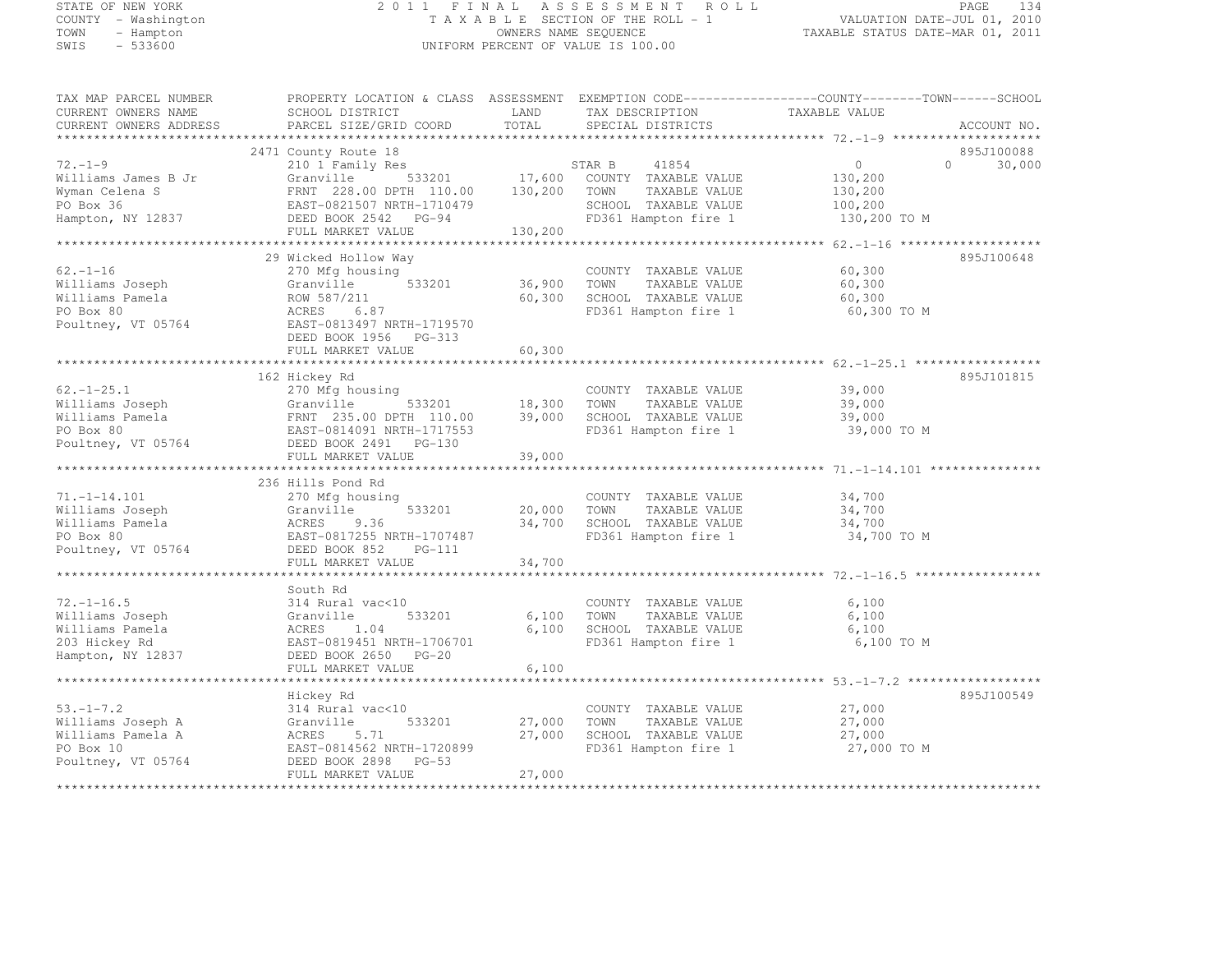# STATE OF NEW YORK 2 0 1 1 F I N A L A S S E S S M E N T R O L L PAGE <sup>134</sup> COUNTY - Washington T A X A B L E SECTION OF THE ROLL - 1 VALUATION DATE-JUL 01, 2010 TOWN - Hampton OWNERS NAME SEQUENCE TAXABLE STATUS DATE-MAR 01, 2011 SWIS - 533600 UNIFORM PERCENT OF VALUE IS 100.00

| TAX MAP PARCEL NUMBER                         | PROPERTY LOCATION & CLASS ASSESSMENT EXEMPTION CODE----------------COUNTY-------TOWN-----SCHOOL |                |                                      |               |          |             |
|-----------------------------------------------|-------------------------------------------------------------------------------------------------|----------------|--------------------------------------|---------------|----------|-------------|
| CURRENT OWNERS NAME<br>CURRENT OWNERS ADDRESS | SCHOOL DISTRICT<br>PARCEL SIZE/GRID COORD                                                       | LAND<br>TOTAL  | TAX DESCRIPTION<br>SPECIAL DISTRICTS | TAXABLE VALUE |          | ACCOUNT NO. |
|                                               |                                                                                                 |                |                                      |               |          |             |
|                                               | 2471 County Route 18                                                                            |                |                                      |               |          | 895J100088  |
| $72. - 1 - 9$                                 | 210 1 Family Res                                                                                |                | STAR B<br>41854                      | $\circ$       | $\Omega$ | 30,000      |
| Williams James B Jr                           | Granville                                                                                       | 533201 17,600  | COUNTY TAXABLE VALUE                 | 130,200       |          |             |
| Wyman Celena S                                | FRNT 228.00 DPTH 110.00                                                                         | 130,200        | TOWN<br>TAXABLE VALUE                | 130,200       |          |             |
| PO Box 36                                     | EAST-0821507 NRTH-1710479                                                                       |                | SCHOOL TAXABLE VALUE                 | 100,200       |          |             |
| Hampton, NY 12837                             | DEED BOOK 2542 PG-94                                                                            |                | FD361 Hampton fire 1                 | 130,200 TO M  |          |             |
|                                               | FULL MARKET VALUE                                                                               | 130,200        |                                      |               |          |             |
|                                               |                                                                                                 |                |                                      |               |          |             |
|                                               | 29 Wicked Hollow Way                                                                            |                |                                      |               |          | 895J100648  |
| $62. - 1 - 16$                                | 270 Mfg housing                                                                                 |                | COUNTY TAXABLE VALUE                 | 60,300        |          |             |
| Williams Joseph                               | 533201<br>Granville                                                                             | 36,900         | TOWN<br>TAXABLE VALUE                | 60,300        |          |             |
| Williams Pamela                               | ROW 587/211                                                                                     | 60,300         | SCHOOL TAXABLE VALUE                 | 60,300        |          |             |
| PO Box 80                                     | 6.87<br>ACRES                                                                                   |                | FD361 Hampton fire 1                 | 60,300 TO M   |          |             |
| Poultney, VT 05764                            | EAST-0813497 NRTH-1719570                                                                       |                |                                      |               |          |             |
|                                               | DEED BOOK 1956 PG-313                                                                           |                |                                      |               |          |             |
|                                               | FULL MARKET VALUE                                                                               | 60,300         |                                      |               |          |             |
|                                               |                                                                                                 | ************** |                                      |               |          |             |
|                                               | 162 Hickey Rd                                                                                   |                |                                      |               |          | 895J101815  |
| $62. - 1 - 25.1$                              | 270 Mfg housing                                                                                 |                | COUNTY TAXABLE VALUE                 | 39,000        |          |             |
| Williams Joseph                               | Granville                                                                                       | 533201 18,300  | TOWN<br>TAXABLE VALUE                | 39,000        |          |             |
| Williams Pamela                               | FRNT 235.00 DPTH 110.00                                                                         | 39,000         | SCHOOL TAXABLE VALUE                 | 39,000        |          |             |
| PO Box 80                                     | EAST-0814091 NRTH-1717553                                                                       |                | FD361 Hampton fire 1                 | 39,000 TO M   |          |             |
| Poultney, VT 05764                            | DEED BOOK 2491 PG-130                                                                           |                |                                      |               |          |             |
|                                               | FULL MARKET VALUE                                                                               | 39,000         |                                      |               |          |             |
|                                               |                                                                                                 |                |                                      |               |          |             |
|                                               | 236 Hills Pond Rd                                                                               |                |                                      |               |          |             |
| $71. - 1 - 14.101$                            | 270 Mfg housing                                                                                 |                | COUNTY TAXABLE VALUE                 | 34,700        |          |             |
| Williams Joseph                               | 533201<br>Granville                                                                             | 20,000         | TAXABLE VALUE<br>TOWN                | 34,700        |          |             |
| Williams Pamela                               | ACRES<br>9.36                                                                                   | 34,700         | SCHOOL TAXABLE VALUE                 | 34,700        |          |             |
| PO Box 80                                     | EAST-0817255 NRTH-1707487                                                                       |                | FD361 Hampton fire 1                 | 34,700 TO M   |          |             |
| Poultney, VT 05764                            | DEED BOOK 852<br>PG-111                                                                         |                |                                      |               |          |             |
|                                               | FULL MARKET VALUE                                                                               | 34,700         |                                      |               |          |             |
|                                               |                                                                                                 |                |                                      |               |          |             |
|                                               | South Rd                                                                                        |                |                                      |               |          |             |
| $72. - 1 - 16.5$                              | 314 Rural vac<10                                                                                |                | COUNTY TAXABLE VALUE                 | 6,100         |          |             |
| Williams Joseph                               | 533201<br>Granville                                                                             | 6,100          | TOWN<br>TAXABLE VALUE                | 6,100         |          |             |
| Williams Pamela                               | ACRES<br>1.04                                                                                   | 6,100          | SCHOOL TAXABLE VALUE                 | 6,100         |          |             |
| 203 Hickey Rd                                 | EAST-0819451 NRTH-1706701                                                                       |                | FD361 Hampton fire 1                 | 6,100 TO M    |          |             |
| Hampton, NY 12837                             | DEED BOOK 2650 PG-20                                                                            |                |                                      |               |          |             |
|                                               | FULL MARKET VALUE                                                                               | 6,100          |                                      |               |          |             |
|                                               | Hickey Rd                                                                                       |                |                                      |               |          | 895J100549  |
| $53. - 1 - 7.2$                               | 314 Rural vac<10                                                                                |                | COUNTY TAXABLE VALUE                 | 27,000        |          |             |
| Williams Joseph A                             | Granville<br>533201                                                                             | 27,000         | TOWN<br>TAXABLE VALUE                | 27,000        |          |             |
| Williams Pamela A                             | ACRES<br>5.71                                                                                   | 27,000         | SCHOOL TAXABLE VALUE                 | 27,000        |          |             |
| PO Box 10                                     | EAST-0814562 NRTH-1720899                                                                       |                | FD361 Hampton fire 1                 | 27,000 TO M   |          |             |
| Poultney, VT 05764                            | DEED BOOK 2898 PG-53                                                                            |                |                                      |               |          |             |
|                                               | FULL MARKET VALUE                                                                               | 27,000         |                                      |               |          |             |
|                                               |                                                                                                 |                |                                      |               |          |             |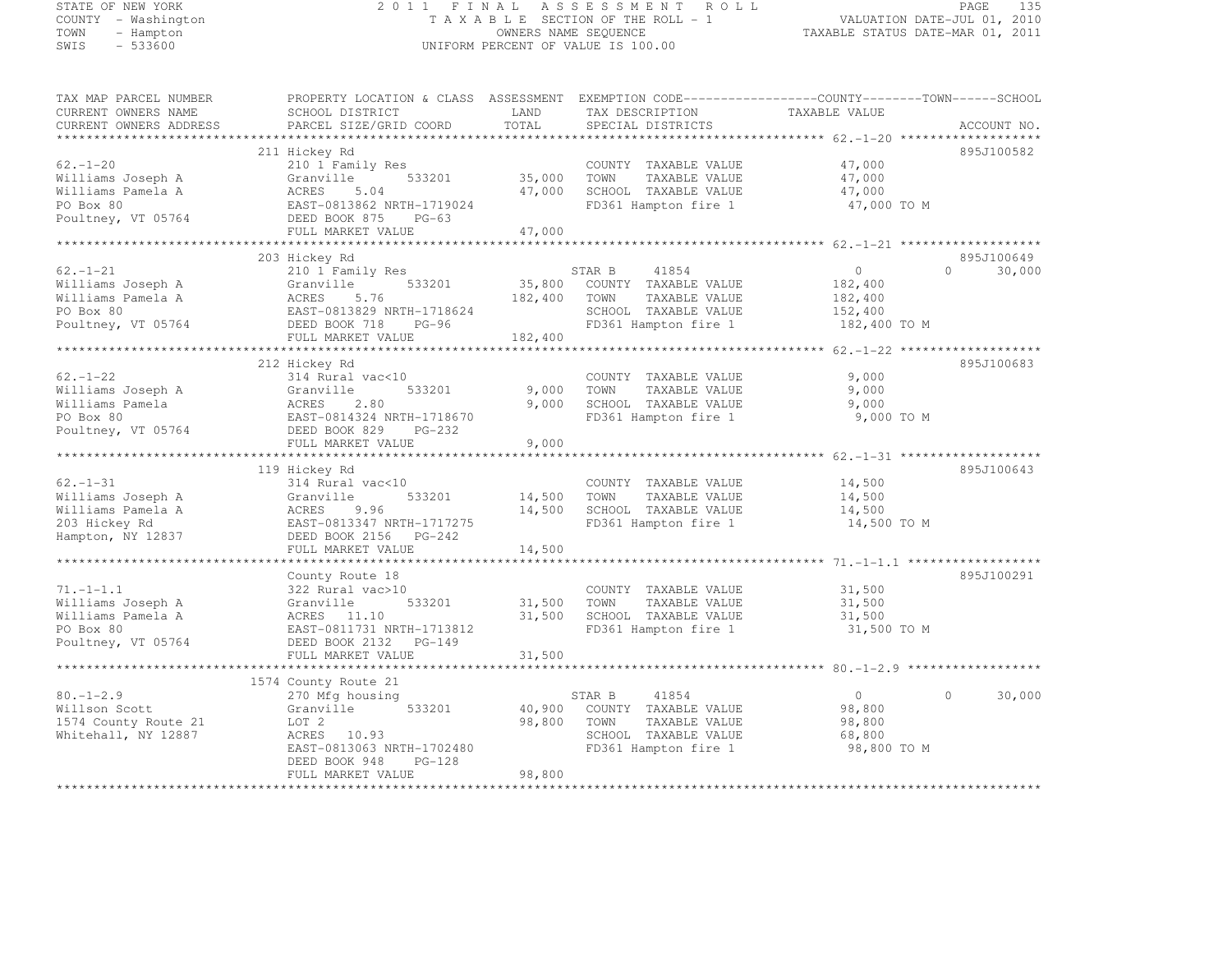# STATE OF NEW YORK 2 0 1 1 F I N A L A S S E S S M E N T R O L L PAGE <sup>135</sup> COUNTY - Washington T A X A B L E SECTION OF THE ROLL - 1 VALUATION DATE-JUL 01, 2010 TOWN - Hampton OWNERS NAME SEQUENCE TAXABLE STATUS DATE-MAR 01, 2011 SWIS - 533600 UNIFORM PERCENT OF VALUE IS 100.00

TAX MAP PARCEL NUMBER PROPERTY LOCATION & CLASS ASSESSMENT EXEMPTION CODE------------------COUNTY--------TOWN------SCHOOL

| CURRENT OWNERS NAME<br>CURRENT OWNERS ADDRESS | SCHOOL DISTRICT<br>PARCEL SIZE/GRID COORD | LAND<br>TOTAL | TAX DESCRIPTION<br>SPECIAL DISTRICTS | TAXABLE VALUE                                    | ACCOUNT NO.        |
|-----------------------------------------------|-------------------------------------------|---------------|--------------------------------------|--------------------------------------------------|--------------------|
|                                               |                                           |               |                                      |                                                  |                    |
|                                               | 211 Hickey Rd                             |               |                                      |                                                  | 895J100582         |
| $62 - 1 - 20$                                 | 210 1 Family Res                          |               | COUNTY TAXABLE VALUE                 | 47,000                                           |                    |
| Williams Joseph A                             | 533201<br>Granville                       | 35,000        | TOWN<br>TAXABLE VALUE                | 47,000                                           |                    |
| Williams Pamela A                             | ACRES<br>5.04                             | 47,000        | SCHOOL TAXABLE VALUE                 | 47,000                                           |                    |
| PO Box 80                                     | EAST-0813862 NRTH-1719024                 |               | FD361 Hampton fire 1                 | 47,000 TO M                                      |                    |
| Poultney, VT 05764                            | DEED BOOK 875<br>$PG-63$                  |               |                                      |                                                  |                    |
|                                               | FULL MARKET VALUE                         | 47,000        |                                      |                                                  |                    |
|                                               |                                           | ************  |                                      | *********************** 62.-1-21 *************** |                    |
|                                               | 203 Hickey Rd                             |               |                                      |                                                  | 895J100649         |
| $62. - 1 - 21$                                | 210 1 Family Res                          |               | STAR B<br>41854                      | $\overline{0}$                                   | 30,000<br>$\Omega$ |
| Williams Joseph A                             | 533201<br>Granville                       | 35,800        | COUNTY TAXABLE VALUE                 | 182,400                                          |                    |
| Williams Pamela A                             | ACRES<br>5.76                             | 182,400       | TAXABLE VALUE<br>TOWN                | 182,400                                          |                    |
| PO Box 80                                     | EAST-0813829 NRTH-1718624                 |               | SCHOOL TAXABLE VALUE                 | 152,400                                          |                    |
| Poultney, VT 05764                            | DEED BOOK 718 PG-96                       |               | FD361 Hampton fire 1                 | 182,400 TO M                                     |                    |
|                                               | FULL MARKET VALUE                         | 182,400       |                                      |                                                  |                    |
|                                               |                                           |               |                                      |                                                  |                    |
|                                               | 212 Hickey Rd                             |               |                                      |                                                  | 895J100683         |
| $62. - 1 - 22$                                | 314 Rural vac<10                          |               | COUNTY TAXABLE VALUE                 | 9,000                                            |                    |
| Williams Joseph A                             | Granville<br>533201                       | 9,000         | TOWN<br>TAXABLE VALUE                | 9,000                                            |                    |
| Williams Pamela                               | ACRES<br>2.80                             | 9,000         | SCHOOL TAXABLE VALUE                 | 9,000                                            |                    |
| PO Box 80                                     | EAST-0814324 NRTH-1718670                 |               | FD361 Hampton fire 1                 | 9,000 TO M                                       |                    |
| Poultney, VT 05764                            | DEED BOOK 829<br>PG-232                   |               |                                      |                                                  |                    |
|                                               | FULL MARKET VALUE                         | 9,000         |                                      |                                                  |                    |
|                                               |                                           |               |                                      |                                                  |                    |
|                                               | 119 Hickey Rd                             |               |                                      |                                                  | 895J100643         |
| $62. - 1 - 31$                                | 314 Rural vac<10                          |               | COUNTY TAXABLE VALUE                 | 14,500                                           |                    |
| Williams Joseph A                             | 533201<br>Granville                       | 14,500        | TOWN<br>TAXABLE VALUE                | 14,500                                           |                    |
| Williams Pamela A                             | ACRES<br>9.96                             | 14,500        | SCHOOL TAXABLE VALUE                 | 14,500                                           |                    |
| 203 Hickey Rd                                 | EAST-0813347 NRTH-1717275                 |               | FD361 Hampton fire 1                 | 14,500 TO M                                      |                    |
| Hampton, NY 12837                             | DEED BOOK 2156 PG-242                     |               |                                      |                                                  |                    |
|                                               | FULL MARKET VALUE                         | 14,500        |                                      |                                                  |                    |
|                                               |                                           |               |                                      |                                                  |                    |
|                                               | County Route 18                           |               |                                      |                                                  | 895J100291         |
| $71. - 1 - 1.1$                               | 322 Rural vac>10                          |               | COUNTY TAXABLE VALUE                 | 31,500                                           |                    |
| Williams Joseph A                             | Granville<br>533201                       | 31,500        | TOWN<br>TAXABLE VALUE                | 31,500                                           |                    |
| Williams Pamela A                             | ACRES 11.10                               | 31,500        | SCHOOL TAXABLE VALUE                 | 31,500                                           |                    |
| PO Box 80                                     | EAST-0811731 NRTH-1713812                 |               | FD361 Hampton fire 1                 | 31,500 TO M                                      |                    |
| Poultney, VT 05764                            | DEED BOOK 2132 PG-149                     |               |                                      |                                                  |                    |
|                                               | FULL MARKET VALUE                         | 31,500        |                                      |                                                  |                    |
|                                               |                                           |               |                                      |                                                  |                    |
|                                               | 1574 County Route 21                      |               |                                      |                                                  |                    |
| $80. - 1 - 2.9$                               | 270 Mfg housing                           |               | STAR B<br>41854                      | $\overline{0}$                                   | $\Omega$<br>30,000 |
| Willson Scott                                 | 533201<br>Granville                       | 40,900        | COUNTY TAXABLE VALUE                 | 98,800                                           |                    |
| 1574 County Route 21                          | LOT 2                                     | 98,800        | TOWN<br>TAXABLE VALUE                | 98,800                                           |                    |
| Whitehall, NY 12887                           | ACRES<br>10.93                            |               | SCHOOL TAXABLE VALUE                 | 68,800                                           |                    |
|                                               | EAST-0813063 NRTH-1702480                 |               | FD361 Hampton fire 1                 | 98,800 TO M                                      |                    |
|                                               | $PG-128$<br>DEED BOOK 948                 |               |                                      |                                                  |                    |
|                                               | FULL MARKET VALUE                         | 98,800        |                                      |                                                  |                    |
| *************************                     |                                           |               |                                      |                                                  |                    |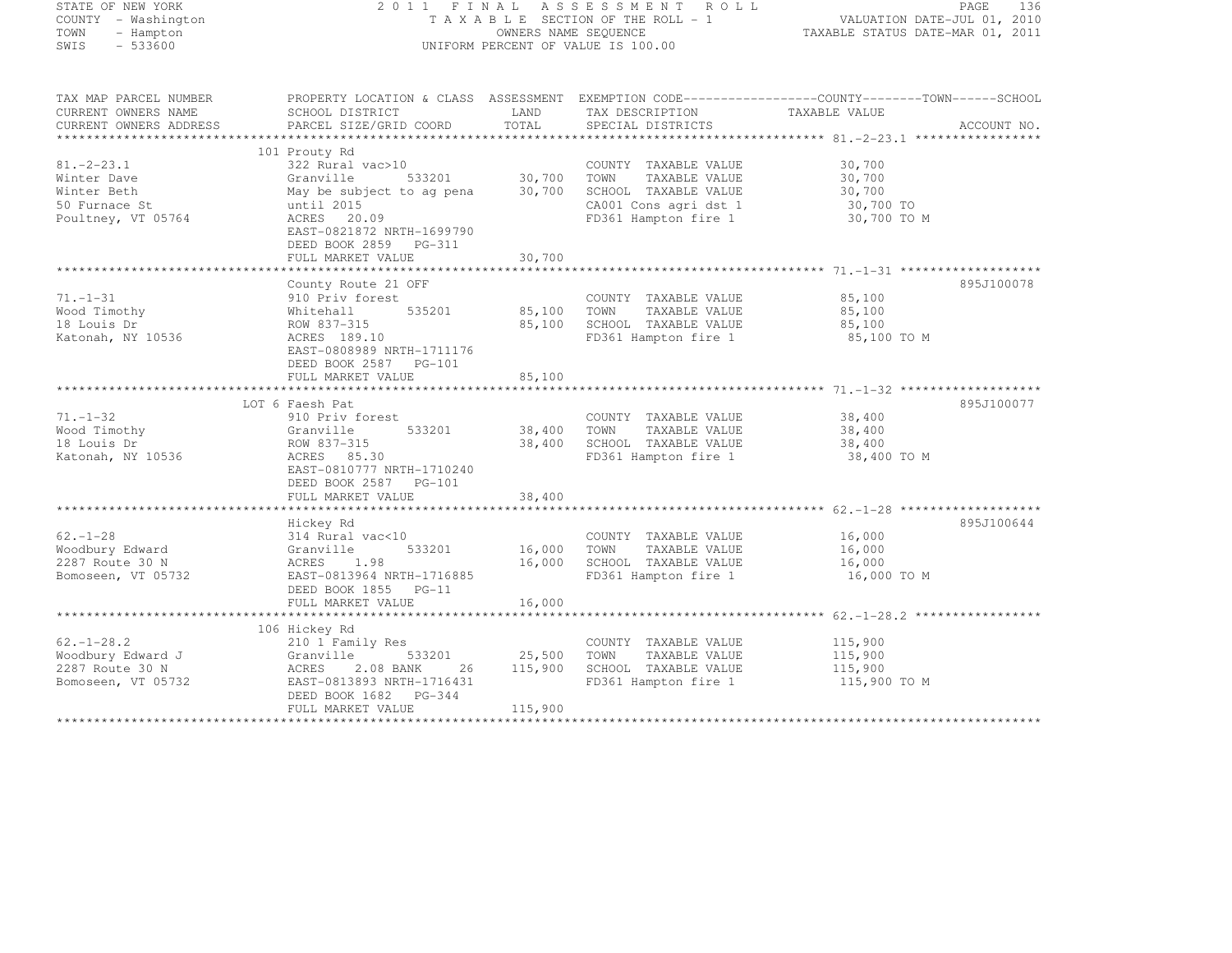STATE OF NEW YORK 2 0 1 1 F I N A L A S S E S S M E N T R O L L PAGE <sup>136</sup> COUNTY - Washington T A X A B L E SECTION OF THE ROLL - 1 VALUATION DATE-JUL 01, 2010 TOWN - Hampton OWNERS NAME SEQUENCE TAXABLE STATUS DATE-MAR 01, 2011 SIALE OF NEW JOAN<br>
COUNTY – Washington<br>
TAXABLE SECTION OF THE ROLL –<br>
TAXABLE SECTION OF THE ROLL –<br>
OWNERS NAME SEQUENCE<br>
SWIS – 533600 TAX MAP PARCEL NUMBER PROPERTY LOCATION & CLASS ASSESSMENT EXEMPTION CODE------------------COUNTY--------TOWN------SCHOOL CURRENT OWNERS NAME SCHOOL DISTRICT LAND TAX DESCRIPTION TAXABLE VALUE<br>
PARCEL SIZE/GRID COORD TOTAL SPECIAL DISTRICTS ACCOUNT NO.<br>
PARCEL SIZE/GRID COORD TOTAL SPECIAL DISTRICTS AND RESERVE ACCOUNT NO. \*\*\*\*\*\*\*\*\*\*\*\*\*\*\*\*\*\*\*\*\*\*\*\*\*\*\*\*\*\*\*\*\*\*\*\*\*\*\*\*\*\*\*\*\*\*\*\*\*\*\*\*\*\*\*\*\*\*\*\*\*\*\*\*\*\*\*\*\*\*\*\*\*\*\*\*\*\*\*\*\*\*\*\*\*\*\*\*\*\*\*\*\*\*\*\*\*\*\*\*\*\*\* 81.-2-23.1 \*\*\*\*\*\*\*\*\*\*\*\*\*\*\*\*\* 101 Prouty Rd 81.-2-23.1 322 Rural vac>10 COUNTY TAXABLE VALUE 30,700 Winter Dave Granville 533201 30,700 TOWN TAXABLE VALUE 30,700 Winter Beth May be subject to ag pena 30,700 SCHOOL TAXABLE VALUE 30,700 50 Furnace St until 2015 CA001 Cons agri dst 1 30,700 TO Poultney, VT 05764 ACRES 20.09 FD361 Hampton fire 1 30,700 TO M EAST-0821872 NRTH-1699790

| Poultney, VT 05764               | ACRES 20.09<br>EAST-0821872 NRTH-1699790<br>DEED BOOK 2859 PG-311<br>FULL MARKET VALUE | 30,700  | FD361 Hampton fire 1                          | 30,700 TO M      |            |
|----------------------------------|----------------------------------------------------------------------------------------|---------|-----------------------------------------------|------------------|------------|
|                                  |                                                                                        |         |                                               |                  |            |
|                                  | County Route 21 OFF                                                                    |         |                                               |                  | 895J100078 |
| $71. - 1 - 31$                   | 910 Priv forest                                                                        |         | COUNTY TAXABLE VALUE                          | 85,100           |            |
| Wood Timothy                     | 535201<br>Whitehall                                                                    | 85,100  | TOWN<br>TAXABLE VALUE                         | 85,100           |            |
| 18 Louis Dr                      | ROW 837-315                                                                            | 85,100  | SCHOOL TAXABLE VALUE                          | 85,100           |            |
| Katonah, NY 10536                | ACRES 189.10<br>EAST-0808989 NRTH-1711176<br>DEED BOOK 2587 PG-101                     |         | FD361 Hampton fire 1                          | 85,100 TO M      |            |
|                                  | FULL MARKET VALUE                                                                      | 85,100  |                                               |                  |            |
|                                  |                                                                                        |         |                                               |                  |            |
|                                  | LOT 6 Faesh Pat                                                                        |         |                                               |                  | 895J100077 |
| $71. - 1 - 32$                   | 910 Priv forest                                                                        |         | COUNTY TAXABLE VALUE                          | 38,400           |            |
| Wood Timothy                     | 533201<br>Granville                                                                    | 38,400  | TOWN<br>TAXABLE VALUE                         | 38,400           |            |
| 18 Louis Dr                      | ROW 837-315                                                                            | 38,400  | SCHOOL TAXABLE VALUE                          | 38,400           |            |
| Katonah, NY 10536                | ACRES 85.30<br>EAST-0810777 NRTH-1710240<br>DEED BOOK 2587 PG-101<br>FULL MARKET VALUE | 38,400  | FD361 Hampton fire 1                          | 38,400 TO M      |            |
|                                  |                                                                                        |         |                                               |                  |            |
|                                  | Hickey Rd                                                                              |         |                                               |                  | 895J100644 |
| $62 - 1 - 28$<br>Woodbury Edward | 314 Rural vac<10<br>533201                                                             | 16,000  | COUNTY TAXABLE VALUE<br>TOWN<br>TAXABLE VALUE | 16,000           |            |
| 2287 Route 30 N                  | Granville<br>ACRES 1.98                                                                | 16,000  | SCHOOL TAXABLE VALUE                          | 16,000<br>16,000 |            |
| Bomoseen, VT 05732               | EAST-0813964 NRTH-1716885                                                              |         | FD361 Hampton fire 1                          | 16,000 TO M      |            |
|                                  | DEED BOOK 1855 PG-11                                                                   |         |                                               |                  |            |
|                                  | FULL MARKET VALUE                                                                      | 16,000  |                                               |                  |            |
|                                  |                                                                                        |         |                                               |                  |            |
|                                  | 106 Hickey Rd                                                                          |         |                                               |                  |            |
| $62, -1 - 28.2$                  | 210 1 Family Res                                                                       |         | COUNTY TAXABLE VALUE                          | 115,900          |            |
| Woodbury Edward J                | 533201<br>Granville                                                                    | 25,500  | TOWN<br>TAXABLE VALUE                         | 115,900          |            |
| 2287 Route 30 N                  | 2.08 BANK<br>ACRES<br>26                                                               | 115,900 | SCHOOL TAXABLE VALUE                          | 115,900          |            |
| Bomoseen, VT 05732               | EAST-0813893 NRTH-1716431                                                              |         | FD361 Hampton fire 1                          | 115,900 TO M     |            |
|                                  | DEED BOOK 1682 PG-344<br>FULL MARKET VALUE                                             | 115,900 |                                               |                  |            |
|                                  |                                                                                        |         |                                               |                  |            |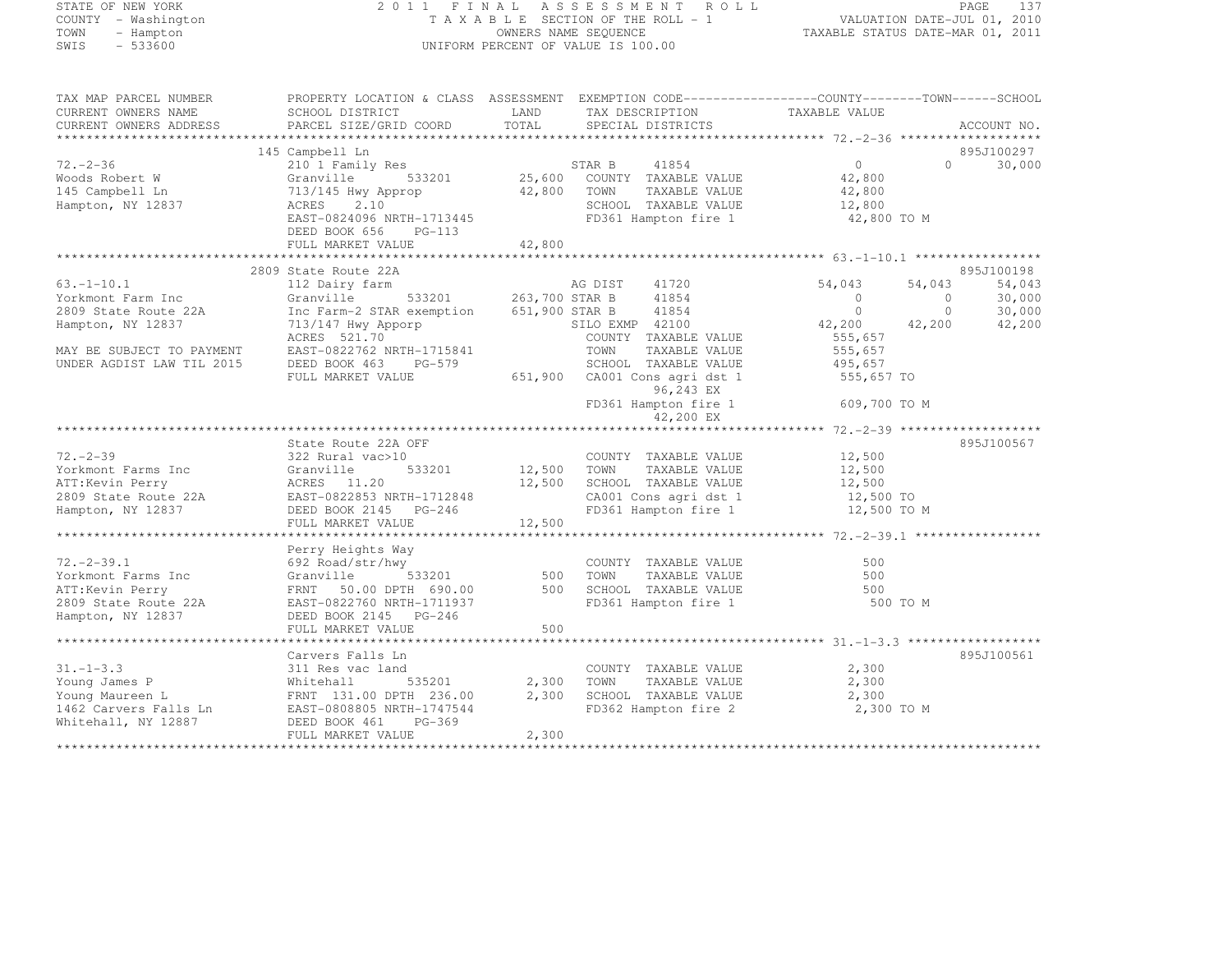#### STATE OF NEW YORK 2 0 1 1 F I N A L A S S E S S M E N T R O L L PAGE <sup>137</sup> COUNTY - Washington T A X A B L E SECTION OF THE ROLL - 1 VALUATION DATE-JUL 01, 2010 TOWN - Hampton OWNERS NAME SEQUENCE TAXABLE STATUS DATE-MAR 01, 2011 SWIS - 533600 UNIFORM PERCENT OF VALUE IS 100.00

| TAX MAP PARCEL NUMBER                                                                                                                                                                                                                   | PROPERTY LOCATION & CLASS ASSESSMENT EXEMPTION CODE-----------------COUNTY-------TOWN------SCHOOL                                                                                                                                                                                                                                                                                                                                                                                                                             |        |                                                           |                                                                                                                            |               |
|-----------------------------------------------------------------------------------------------------------------------------------------------------------------------------------------------------------------------------------------|-------------------------------------------------------------------------------------------------------------------------------------------------------------------------------------------------------------------------------------------------------------------------------------------------------------------------------------------------------------------------------------------------------------------------------------------------------------------------------------------------------------------------------|--------|-----------------------------------------------------------|----------------------------------------------------------------------------------------------------------------------------|---------------|
| CURRENT OWNERS NAME                                                                                                                                                                                                                     | SCHOOL DISTRICT                     LAND        TAX DESCRIPTION                  TAXABLE VALUE                                                                                                                                                                                                                                                                                                                                                                                                                                | TOTAL  |                                                           |                                                                                                                            | ACCOUNT NO.   |
| CURRENT OWNERS ADDRESS                                                                                                                                                                                                                  | PARCEL SIZE/GRID COORD                                                                                                                                                                                                                                                                                                                                                                                                                                                                                                        |        | SPECIAL DISTRICTS                                         |                                                                                                                            |               |
|                                                                                                                                                                                                                                         | 145 Campbell Ln                                                                                                                                                                                                                                                                                                                                                                                                                                                                                                               |        |                                                           |                                                                                                                            | 895J100297    |
| $72. -2 - 36$                                                                                                                                                                                                                           | Campbell Ln<br>210 1 Family Res<br>210 1 25,600 COUNTY TAXABLE VALUE<br>713/145 Hwy Approp 42,800 TOWN TAXABLE VALUE<br>ACRES 2.10 27,800 SCHOOL TAXABLE VALUE 42,800<br>EAST-0824096 NRTH-1713445<br>FD361 Hampton fire 1 42,800 TO M<br>FD                                                                                                                                                                                                                                                                                  |        |                                                           |                                                                                                                            | $0 \t 30,000$ |
|                                                                                                                                                                                                                                         |                                                                                                                                                                                                                                                                                                                                                                                                                                                                                                                               |        |                                                           |                                                                                                                            |               |
| Woods Robert W<br>145 Campbell Ln                                                                                                                                                                                                       |                                                                                                                                                                                                                                                                                                                                                                                                                                                                                                                               |        |                                                           |                                                                                                                            |               |
| Hampton, NY 12837                                                                                                                                                                                                                       |                                                                                                                                                                                                                                                                                                                                                                                                                                                                                                                               |        |                                                           |                                                                                                                            |               |
|                                                                                                                                                                                                                                         |                                                                                                                                                                                                                                                                                                                                                                                                                                                                                                                               |        |                                                           |                                                                                                                            |               |
|                                                                                                                                                                                                                                         | DEED BOOK 656 PG-113                                                                                                                                                                                                                                                                                                                                                                                                                                                                                                          |        |                                                           |                                                                                                                            |               |
|                                                                                                                                                                                                                                         | FULL MARKET VALUE                                                                                                                                                                                                                                                                                                                                                                                                                                                                                                             | 42,800 |                                                           |                                                                                                                            |               |
|                                                                                                                                                                                                                                         |                                                                                                                                                                                                                                                                                                                                                                                                                                                                                                                               |        |                                                           |                                                                                                                            |               |
|                                                                                                                                                                                                                                         | 2809 State Route 22A                                                                                                                                                                                                                                                                                                                                                                                                                                                                                                          |        |                                                           |                                                                                                                            | 895J100198    |
| $63, -1 - 10, 1$                                                                                                                                                                                                                        | 112 Dairy farm MG DIST 41720<br>Granville 533201 263,700 STAR B 41854                                                                                                                                                                                                                                                                                                                                                                                                                                                         |        |                                                           | $\begin{array}{cccc} 54,043 & 54,043 & 54,043 \\ 0 & 0 & 30,000 \\ 0 & 0 & 30,000 \\ 42,200 & 42,200 & 42,200 \end{array}$ |               |
| Yorkmont Farm Inc                                                                                                                                                                                                                       |                                                                                                                                                                                                                                                                                                                                                                                                                                                                                                                               |        |                                                           |                                                                                                                            |               |
| 2809 State Route 22A                                                                                                                                                                                                                    |                                                                                                                                                                                                                                                                                                                                                                                                                                                                                                                               |        |                                                           |                                                                                                                            |               |
| Hampton, NY 12837                                                                                                                                                                                                                       | Inc Farm-2 STAR exemption $651,900$ STAR B $41854$<br>713/147 Hwy Apporp 51,900 STAR B 41854<br>ACRES 521.70 COUNTY TAXABLE VALUE                                                                                                                                                                                                                                                                                                                                                                                             |        |                                                           |                                                                                                                            |               |
|                                                                                                                                                                                                                                         |                                                                                                                                                                                                                                                                                                                                                                                                                                                                                                                               |        |                                                           | 555,657<br>555,657                                                                                                         |               |
| MAY BE SUBJECT TO PAYMENT                                                                                                                                                                                                               | $\begin{tabular}{lllllllllll} $\begin{array}{l} & $\cdots$ & $\cdots$ & $\cdots$ & $\cdots$ \\ \multicolumn{3}{l}{\small{2.5\textwidth}}\end{array}$ & $\begin{array}{l} & $\cdots$ & $\cdots$ & $\cdots$ \\ \multicolumn{3}{l}{\small{2.5\textwidth}}\end{array}$ & $\begin{array}{l} & $\cdots$ & $\cdots$ & $\cdots$ \\ \multicolumn{3}{l}{\small{2.5\textwidth}}\end{array}$ & $\begin{array}{l} & $\cdots$ & $\cdots$ & $\cdots$ \\ \multicolumn{3}{l}{\small{2.5\textwidth}}\end{array}$ & $\begin{array}{l} & $\cdots$ |        |                                                           |                                                                                                                            |               |
| UNDER AGDIST LAW TIL 2015                                                                                                                                                                                                               |                                                                                                                                                                                                                                                                                                                                                                                                                                                                                                                               |        |                                                           |                                                                                                                            |               |
|                                                                                                                                                                                                                                         |                                                                                                                                                                                                                                                                                                                                                                                                                                                                                                                               |        |                                                           |                                                                                                                            |               |
|                                                                                                                                                                                                                                         | DEED BOOK 463 PG-579 SCHOOL TAXABLE VALUE 495,657<br>FULL MARKET VALUE 651,900 CA001 Cons agri dst 1 555,657 TO<br>FULL MARKET VALUE 651,900 CA001 Cons agri dst 1 555,657 TO<br>PG-243 EX<br>FD361 Hampton fire 1 609,700 TO M                                                                                                                                                                                                                                                                                               |        |                                                           |                                                                                                                            |               |
|                                                                                                                                                                                                                                         |                                                                                                                                                                                                                                                                                                                                                                                                                                                                                                                               |        | 42,200 EX                                                 |                                                                                                                            |               |
|                                                                                                                                                                                                                                         |                                                                                                                                                                                                                                                                                                                                                                                                                                                                                                                               |        |                                                           |                                                                                                                            |               |
|                                                                                                                                                                                                                                         | State Route 22A OFF                                                                                                                                                                                                                                                                                                                                                                                                                                                                                                           |        |                                                           |                                                                                                                            | 895J100567    |
|                                                                                                                                                                                                                                         |                                                                                                                                                                                                                                                                                                                                                                                                                                                                                                                               |        |                                                           |                                                                                                                            |               |
|                                                                                                                                                                                                                                         |                                                                                                                                                                                                                                                                                                                                                                                                                                                                                                                               |        |                                                           |                                                                                                                            |               |
|                                                                                                                                                                                                                                         |                                                                                                                                                                                                                                                                                                                                                                                                                                                                                                                               |        |                                                           |                                                                                                                            |               |
|                                                                                                                                                                                                                                         |                                                                                                                                                                                                                                                                                                                                                                                                                                                                                                                               |        |                                                           |                                                                                                                            |               |
| 72.-2-39<br>Yorkmont Farms Inc 322 Rural vac>10<br>ATT:Kevin Perry ACRES 11.20<br>2809 State Route 22A EAST-0822853 NRTH-1712848<br>Hampton, NY 12837 DEED BOOK 2145 PG-246 TONG TAXABLE VALUE 12,500 TOMN TAXABLE VALUE<br>Hampton, NY |                                                                                                                                                                                                                                                                                                                                                                                                                                                                                                                               |        |                                                           |                                                                                                                            |               |
|                                                                                                                                                                                                                                         |                                                                                                                                                                                                                                                                                                                                                                                                                                                                                                                               |        |                                                           |                                                                                                                            |               |
|                                                                                                                                                                                                                                         |                                                                                                                                                                                                                                                                                                                                                                                                                                                                                                                               |        |                                                           |                                                                                                                            |               |
|                                                                                                                                                                                                                                         | Perry Heights Way                                                                                                                                                                                                                                                                                                                                                                                                                                                                                                             |        |                                                           |                                                                                                                            |               |
| $72. -2 - 39.1$                                                                                                                                                                                                                         | $\frac{1}{2}$ $\frac{1}{2}$ $\frac{533201}{20}$ $\frac{500}{20}$<br>692 Road/str/hwy                                                                                                                                                                                                                                                                                                                                                                                                                                          |        | COUNTY TAXABLE VALUE                                      | 500                                                                                                                        |               |
|                                                                                                                                                                                                                                         |                                                                                                                                                                                                                                                                                                                                                                                                                                                                                                                               |        | TOWN                                                      | TAXABLE VALUE 500                                                                                                          |               |
|                                                                                                                                                                                                                                         |                                                                                                                                                                                                                                                                                                                                                                                                                                                                                                                               |        | 500 SCHOOL TAXABLE VALUE<br>FD361 Hampton fire 1 500 TO M | 500                                                                                                                        |               |
| Vorkmont Farms Inc (1922 Noad/Str/NWY<br>193201 500<br>ATT:Kevin Perry FRNT 50.00 DPTH 690.00 500<br>2809 State Route 22A EAST-0822760 NRTH-1711937<br>Hampton, NY 12837 DEED BOOK 2145 PG-246                                          |                                                                                                                                                                                                                                                                                                                                                                                                                                                                                                                               |        |                                                           |                                                                                                                            |               |
|                                                                                                                                                                                                                                         | FULL MARKET VALUE                                                                                                                                                                                                                                                                                                                                                                                                                                                                                                             | 500    |                                                           |                                                                                                                            |               |
|                                                                                                                                                                                                                                         |                                                                                                                                                                                                                                                                                                                                                                                                                                                                                                                               |        |                                                           |                                                                                                                            |               |
|                                                                                                                                                                                                                                         | Carvers Falls Ln                                                                                                                                                                                                                                                                                                                                                                                                                                                                                                              |        |                                                           |                                                                                                                            | 895J100561    |
| $31. - 1 - 3.3$                                                                                                                                                                                                                         | 311 Res vac land                                                                                                                                                                                                                                                                                                                                                                                                                                                                                                              |        | COUNTY TAXABLE VALUE 2,300                                |                                                                                                                            |               |
|                                                                                                                                                                                                                                         |                                                                                                                                                                                                                                                                                                                                                                                                                                                                                                                               |        | TAXABLE VALUE 2,300                                       |                                                                                                                            |               |
|                                                                                                                                                                                                                                         |                                                                                                                                                                                                                                                                                                                                                                                                                                                                                                                               |        | 2,300 SCHOOL TAXABLE VALUE                                | 2,300                                                                                                                      |               |
|                                                                                                                                                                                                                                         |                                                                                                                                                                                                                                                                                                                                                                                                                                                                                                                               |        | FD362 Hampton fire 2 2,300 TO M                           |                                                                                                                            |               |
| 31.-1-3.3 311 Res vac land COUNT!<br>Young James P Mhitehall 535201 2,300 TOWN<br>Young Maureen L FRNT 131.00 DPTH 236.00 2,300 SCHOOI<br>1462 Carvers Falls Ln EAST-0808805 NRTH-1747544 FD362<br>Whitehall, NY 12887 DEED MOOK 461 P  |                                                                                                                                                                                                                                                                                                                                                                                                                                                                                                                               |        |                                                           |                                                                                                                            |               |
|                                                                                                                                                                                                                                         | FULL MARKET VALUE                                                                                                                                                                                                                                                                                                                                                                                                                                                                                                             | 2,300  |                                                           |                                                                                                                            |               |
|                                                                                                                                                                                                                                         |                                                                                                                                                                                                                                                                                                                                                                                                                                                                                                                               |        |                                                           |                                                                                                                            |               |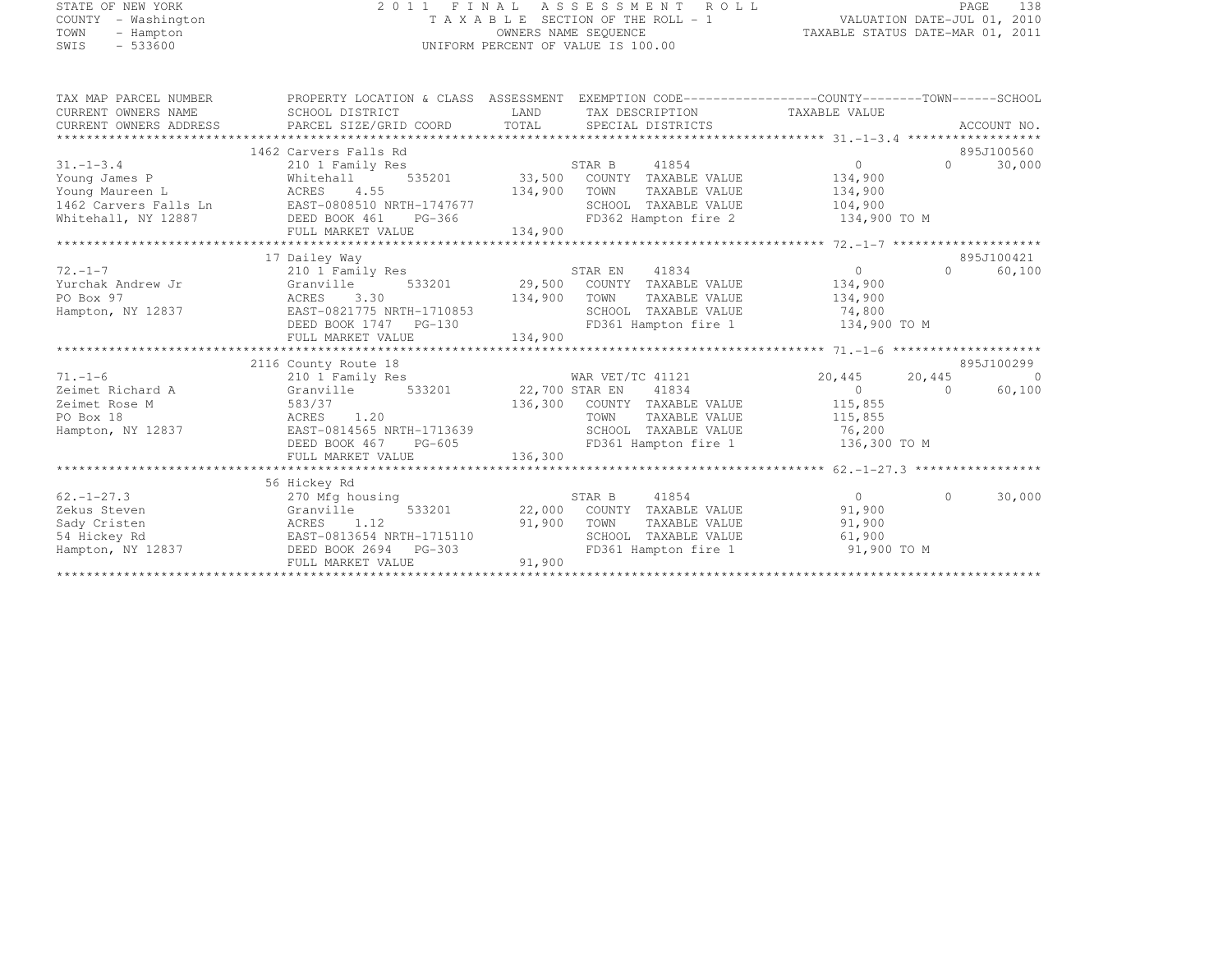# STATE OF NEW YORK 2 0 1 1 F I N A L A S S E S S M E N T R O L L PAGE <sup>138</sup> COUNTY - Washington T A X A B L E SECTION OF THE ROLL - 1 VALUATION DATE-JUL 01, 2010 TOWN - Hampton OWNERS NAME SEQUENCE TAXABLE STATUS DATE-MAR 01, 2011 SWIS - 533600 UNIFORM PERCENT OF VALUE IS 100.00

| TAX MAP PARCEL NUMBER  | PROPERTY LOCATION & CLASS ASSESSMENT EXEMPTION CODE----------------COUNTY-------TOWN-----SCHOOL |                |                             |                |          |             |
|------------------------|-------------------------------------------------------------------------------------------------|----------------|-----------------------------|----------------|----------|-------------|
| CURRENT OWNERS NAME    | SCHOOL DISTRICT                                                                                 | LAND           | TAX DESCRIPTION             | TAXABLE VALUE  |          |             |
| CURRENT OWNERS ADDRESS | PARCEL SIZE/GRID COORD                                                                          | TOTAL          | SPECIAL DISTRICTS           |                |          | ACCOUNT NO. |
|                        |                                                                                                 |                |                             |                |          |             |
|                        | 1462 Carvers Falls Rd                                                                           |                |                             |                |          | 895J100560  |
| $31. - 1 - 3.4$        | 210 1 Family Res                                                                                |                | STAR B<br>41854             | $\Omega$       | $\Omega$ | 30,000      |
| Young James P          | 535201<br>Whitehall                                                                             |                | 33,500 COUNTY TAXABLE VALUE | 134,900        |          |             |
| Young Maureen L        | 4.55<br>ACRES                                                                                   | 134,900        | TOWN<br>TAXABLE VALUE       | 134,900        |          |             |
| 1462 Carvers Falls Ln  | EAST-0808510 NRTH-1747677                                                                       |                | SCHOOL TAXABLE VALUE        | 104,900        |          |             |
| Whitehall, NY 12887    | DEED BOOK 461<br>PG-366                                                                         |                | FD362 Hampton fire 2        | 134,900 TO M   |          |             |
|                        | FULL MARKET VALUE                                                                               | 134,900        |                             |                |          |             |
|                        |                                                                                                 |                |                             |                |          |             |
|                        | 17 Dailey Way                                                                                   |                |                             |                |          | 895J100421  |
| $72. - 1 - 7$          | 210 1 Family Res                                                                                |                | STAR EN<br>41834            | $\overline{0}$ | $\Omega$ | 60,100      |
| Yurchak Andrew Jr      | 533201<br>Granville                                                                             | 29,500         | COUNTY TAXABLE VALUE        | 134,900        |          |             |
| PO Box 97              | ACRES<br>3.30                                                                                   | 134,900        | TOWN<br>TAXABLE VALUE       | 134,900        |          |             |
| Hampton, NY 12837      | EAST-0821775 NRTH-1710853                                                                       |                | SCHOOL TAXABLE VALUE        | 74,800         |          |             |
|                        | DEED BOOK 1747 PG-130                                                                           |                | FD361 Hampton fire 1        | 134,900 TO M   |          |             |
|                        | FULL MARKET VALUE                                                                               | 134,900        |                             |                |          |             |
|                        |                                                                                                 |                |                             |                |          |             |
|                        | 2116 County Route 18                                                                            |                |                             |                |          | 895J100299  |
| $71. - 1 - 6$          | 210 1 Family Res                                                                                |                | WAR VET/TC 41121            | 20,445         | 20,445   | $\Omega$    |
| Zeimet Richard A       | Granville<br>533201                                                                             | 22,700 STAR EN | 41834                       | $\bigcap$      | $\Omega$ | 60,100      |
| Zeimet Rose M          | 583/37                                                                                          | 136,300        | COUNTY TAXABLE VALUE        | 115,855        |          |             |
| PO Box 18              | 1.20<br>ACRES                                                                                   |                | TOWN<br>TAXABLE VALUE       | 115,855        |          |             |
| Hampton, NY 12837      | EAST-0814565 NRTH-1713639                                                                       |                | SCHOOL TAXABLE VALUE        | 76,200         |          |             |
|                        | DEED BOOK 467<br>$PG-605$                                                                       |                | FD361 Hampton fire 1        | 136,300 TO M   |          |             |
|                        | FULL MARKET VALUE                                                                               | 136,300        |                             |                |          |             |
|                        |                                                                                                 |                |                             |                |          |             |
|                        | 56 Hickey Rd                                                                                    |                |                             |                |          |             |
| $62. - 1 - 27.3$       | 270 Mfg housing                                                                                 |                | STAR B<br>41854             | $\Omega$       | $\Omega$ | 30,000      |
| Zekus Steven           | Granville<br>533201                                                                             | 22,000         | COUNTY TAXABLE VALUE        | 91,900         |          |             |
| Sady Cristen           | ACRES<br>1.12                                                                                   | 91,900         | TOWN<br>TAXABLE VALUE       | 91,900         |          |             |
| 54 Hickey Rd           | EAST-0813654 NRTH-1715110                                                                       |                | SCHOOL TAXABLE VALUE        | 61,900         |          |             |
| Hampton, NY 12837      | DEED BOOK 2694<br>PG-303                                                                        |                | FD361 Hampton fire 1        | 91,900 TO M    |          |             |
|                        | FULL MARKET VALUE                                                                               | 91,900         |                             |                |          |             |
|                        |                                                                                                 |                |                             |                |          |             |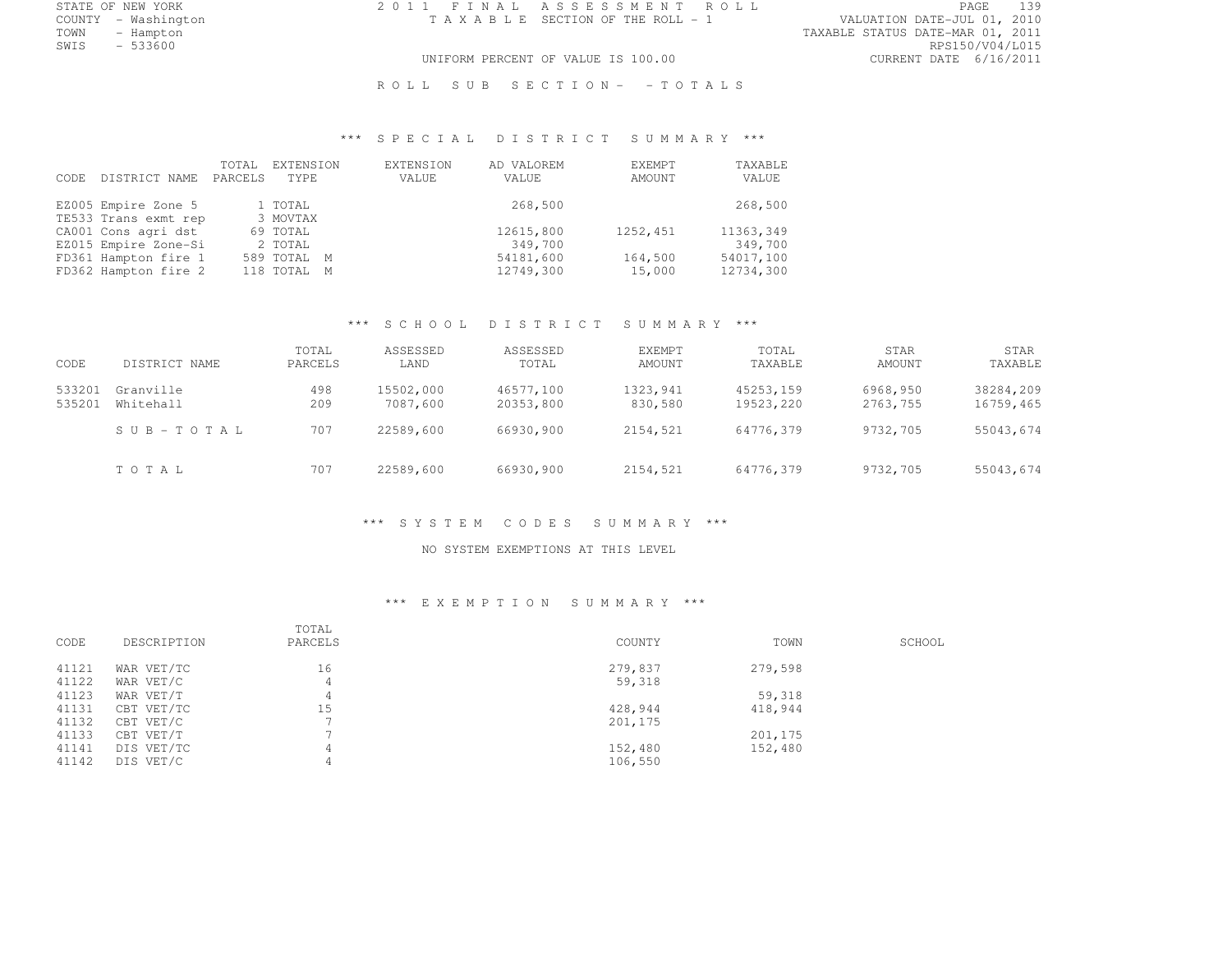STATE OF NEW YORK 2 0 1 1 F I N A L A S S E S S M E N T R O L L PAGE <sup>139</sup>

COUNTY - Washington T A X A B L E SECTION OF THE ROLL - 1 VALUATION DATE-JUL 01, 2010 TOWN - Hampton - The State of the State of the State of the Taxable Status Date-Mar 01, 2011<br>Town - Hampton - The State of the State of the State of the State of the State of the State of the State of th SWIS - 533600 RPS150/V04/L015 UNIFORM PERCENT OF VALUE IS 100.00 CURRENT DATE 6/16/2011

ROLL SUB SECTION- - TOTALS

# \*\*\* S P E C I A L D I S T R I C T S U M M A R Y \*\*\*

| DISTRICT NAME<br>CODE. | TOTAL<br>PARCELS | EXTENSION<br>TYPE | EXTENSION<br>VALUE | AD VALOREM<br>VALUE | EXEMPT<br>AMOUNT | TAXABLE<br>VALUE |
|------------------------|------------------|-------------------|--------------------|---------------------|------------------|------------------|
| EZ005 Empire Zone 5    |                  | 1 TOTAL           |                    | 268,500             |                  | 268,500          |
| TE533 Trans exmt rep   |                  | 3 MOVTAX          |                    |                     |                  |                  |
| CA001 Cons agri dst    |                  | 69 TOTAL          |                    | 12615,800           | 1252,451         | 11363,349        |
| EZ015 Empire Zone-Si   |                  | 2 TOTAL           |                    | 349,700             |                  | 349,700          |
| FD361 Hampton fire 1   |                  | 589 TOTAL M       |                    | 54181,600           | 164,500          | 54017,100        |
| FD362 Hampton fire 2   |                  | 118 TOTAL M       |                    | 12749,300           | 15,000           | 12734,300        |

# \*\*\* S C H O O L D I S T R I C T S U M M A R Y \*\*\*

| CODE             | DISTRICT NAME          | TOTAL<br>PARCELS | ASSESSED<br>LAND      | ASSESSED<br>TOTAL      | <b>EXEMPT</b><br>AMOUNT | TOTAL<br>TAXABLE       | STAR<br>AMOUNT       | STAR<br>TAXABLE        |
|------------------|------------------------|------------------|-----------------------|------------------------|-------------------------|------------------------|----------------------|------------------------|
| 533201<br>535201 | Granville<br>Whitehall | 498<br>209       | 15502,000<br>7087,600 | 46577,100<br>20353,800 | 1323,941<br>830,580     | 45253,159<br>19523,220 | 6968,950<br>2763,755 | 38284,209<br>16759,465 |
|                  | SUB-TOTAL              | 707              | 22589,600             | 66930,900              | 2154,521                | 64776.379              | 9732,705             | 55043,674              |
|                  | TOTAL                  | 707              | 22589,600             | 66930,900              | 2154,521                | 64776,379              | 9732,705             | 55043,674              |

#### \*\*\* S Y S T E M C O D E S S U M M A R Y \*\*\*

#### NO SYSTEM EXEMPTIONS AT THIS LEVEL

#### \*\*\* E X E M P T I O N S U M M A R Y \*\*\*

| CODE  | DESCRIPTION | TOTAL<br>PARCELS | COUNTY  | TOWN    | SCHOOL |
|-------|-------------|------------------|---------|---------|--------|
| 41121 | WAR VET/TC  | 16               | 279,837 | 279,598 |        |
| 41122 | WAR VET/C   |                  | 59,318  |         |        |
| 41123 | WAR VET/T   |                  |         | 59,318  |        |
| 41131 | CBT VET/TC  | 15               | 428,944 | 418,944 |        |
| 41132 | CBT VET/C   |                  | 201,175 |         |        |
| 41133 | CBT VET/T   |                  |         | 201,175 |        |
| 41141 | DIS VET/TC  |                  | 152,480 | 152,480 |        |
| 41142 | DIS VET/C   |                  | 106,550 |         |        |
|       |             |                  |         |         |        |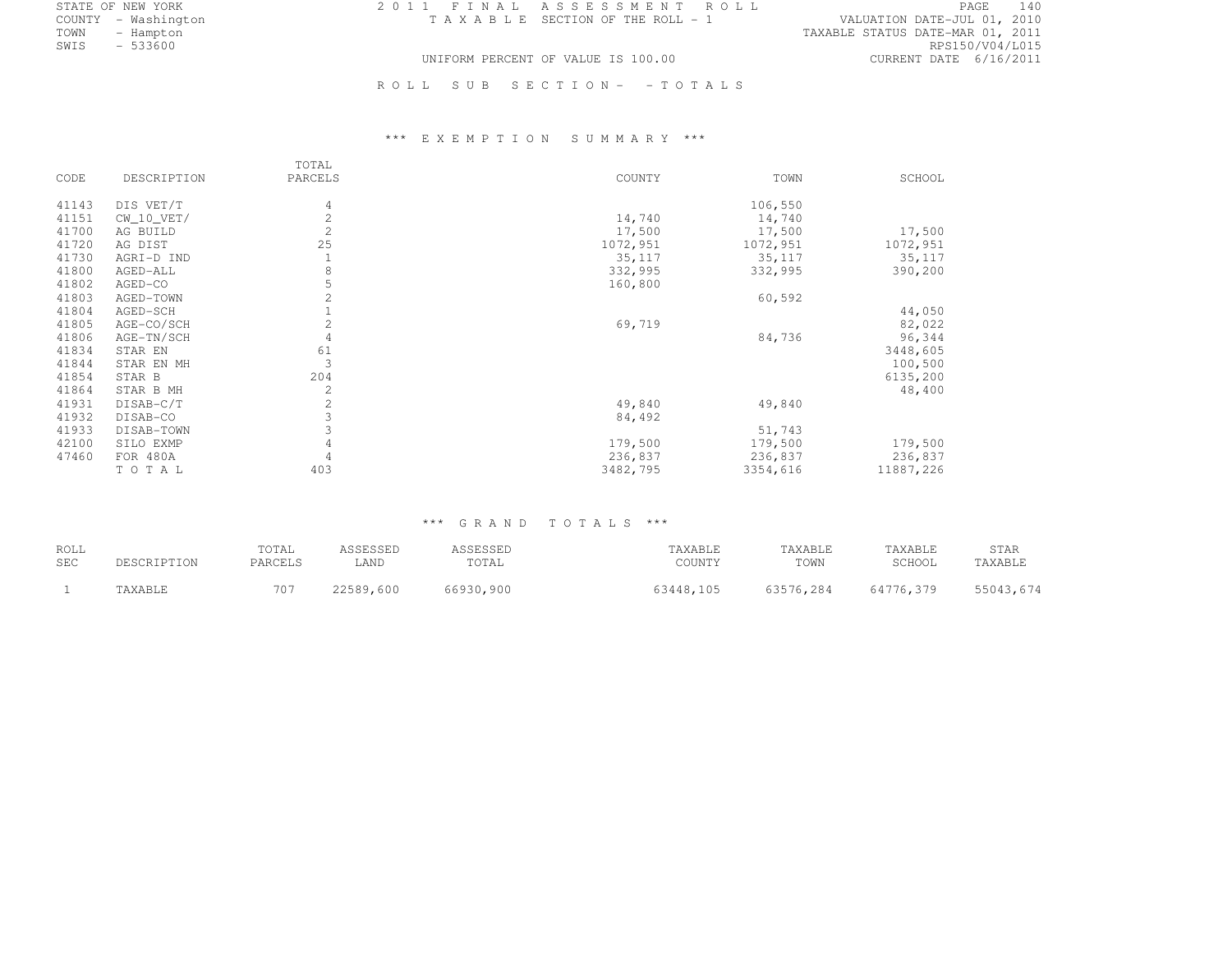STATE OF NEW YORK 2 0 1 1 F I N A L A S S E S S M E N T R O L L PAGE <sup>140</sup>

COUNTY - Washington T A X A B L E SECTION OF THE ROLL - 1 VALUATION DATE-JUL 01, 2010 TOWN - Hampton - The State of the State of the State of the Taxable Status Date-Mar 01, 2011<br>Town - Hampton - The State of the State of the State of the State of the State of the State of the State of th SWIS - 533600 RPS150/V04/L015 UNIFORM PERCENT OF VALUE IS 100.00 CURRENT DATE 6/16/2011

R O L L S U B S E C T I O N - - T O T A L S

# \*\*\* E X E M P T I O N S U M M A R Y \*\*\*

|       |              | TOTAL          |          |          |           |
|-------|--------------|----------------|----------|----------|-----------|
| CODE  | DESCRIPTION  | PARCELS        | COUNTY   | TOWN     | SCHOOL    |
| 41143 | DIS VET/T    | 4              |          | 106,550  |           |
| 41151 | $CW_10_VET/$ | 2              | 14,740   | 14,740   |           |
| 41700 | AG BUILD     | $\overline{2}$ | 17,500   | 17,500   | 17,500    |
| 41720 | AG DIST      | 25             | 1072,951 | 1072,951 | 1072,951  |
| 41730 | AGRI-D IND   |                | 35,117   | 35,117   | 35,117    |
| 41800 | AGED-ALL     | 8              | 332,995  | 332,995  | 390,200   |
| 41802 | AGED-CO      | 5              | 160,800  |          |           |
| 41803 | AGED-TOWN    | $\overline{2}$ |          | 60,592   |           |
| 41804 | AGED-SCH     |                |          |          | 44,050    |
| 41805 | AGE-CO/SCH   | $\overline{2}$ | 69,719   |          | 82,022    |
| 41806 | AGE-TN/SCH   | 4              |          | 84,736   | 96,344    |
| 41834 | STAR EN      | 61             |          |          | 3448,605  |
| 41844 | STAR EN MH   | 3              |          |          | 100,500   |
| 41854 | STAR B       | 204            |          |          | 6135,200  |
| 41864 | STAR B MH    | 2              |          |          | 48,400    |
| 41931 | DISAB-C/T    | $\overline{2}$ | 49,840   | 49,840   |           |
| 41932 | DISAB-CO     | $\mathfrak{Z}$ | 84,492   |          |           |
| 41933 | DISAB-TOWN   | 3              |          | 51,743   |           |
| 42100 | SILO EXMP    | 4              | 179,500  | 179,500  | 179,500   |
| 47460 | FOR 480A     | 4              | 236,837  | 236,837  | 236,837   |
|       | TOTAL        | 403            | 3482,795 | 3354,616 | 11887,226 |

#### \*\*\* G R A N D T O T A L S \*\*\*

| ROLL       |             | TOTAL   | ASSESSED  | ASSESSED  | TAXABLE   | TAXABLE   | TAXABLE   | <b>STAR</b> |
|------------|-------------|---------|-----------|-----------|-----------|-----------|-----------|-------------|
| <b>SEC</b> | DESCRIPTION | PARCELS | LAND      | TOTAL     | COUNTY    | TOWN      | SCHOOL    | TAXABLE     |
|            | TAXABLE     |         | 22589,600 | 66930,900 | 63448.105 | 63576.284 | 64776.379 | 55043,674   |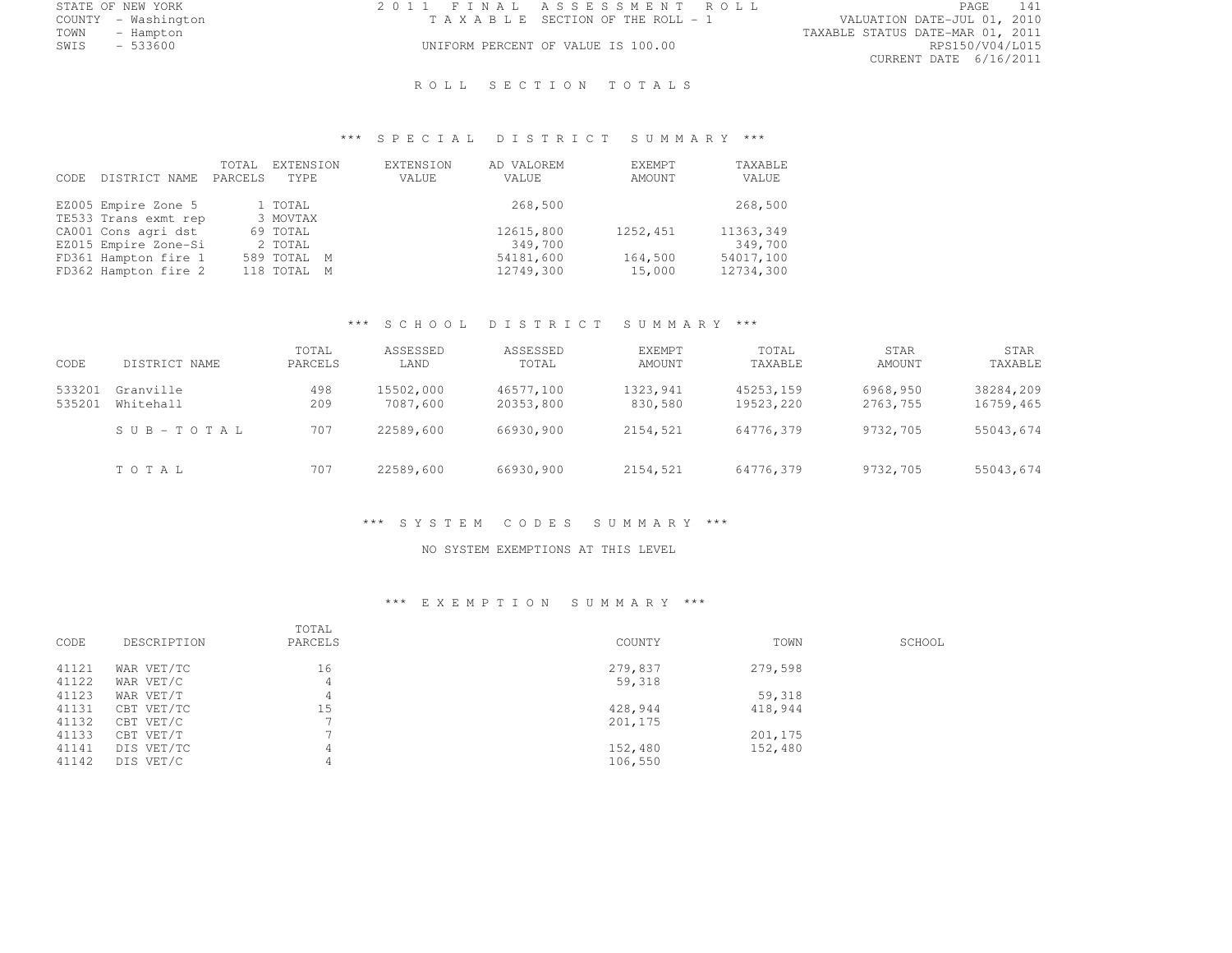COUNTY - Washington T A X A B L E SECTION OF THE ROLL - 1<br>TOWN - Hampton

STATE OF NEW YORK 2 0 1 1 F I N A L A S S E S S M E N T R O L L PAGE <sup>141</sup>

TOWN - Hampton TAXABLE STATUS DATE-MAR 01, 2011 CURRENT DATE 6/16/2011

# UNIFORM PERCENT OF VALUE IS 100.00

### ROLL SECTION TOTALS

# \*\*\* S P E C I A L D I S T R I C T S U M M A R Y \*\*\*

| DISTRICT NAME<br>CODE. | TOTAL<br>PARCELS | EXTENSION<br>TYPE. | EXTENSION<br>VALUE | AD VALOREM<br>VALUE | EXEMPT<br>AMOUNT | TAXABLE<br>VALUE |
|------------------------|------------------|--------------------|--------------------|---------------------|------------------|------------------|
| EZ005 Empire Zone 5    |                  | 1 TOTAL            |                    | 268,500             |                  | 268,500          |
| TE533 Trans exmt rep   |                  | 3 MOVTAX           |                    |                     |                  |                  |
| CA001 Cons agri dst    |                  | 69 TOTAL           |                    | 12615,800           | 1252,451         | 11363,349        |
| EZ015 Empire Zone-Si   |                  | 2 TOTAL            |                    | 349,700             |                  | 349,700          |
| FD361 Hampton fire 1   |                  | 589 TOTAL M        |                    | 54181,600           | 164,500          | 54017,100        |
| FD362 Hampton fire 2   |                  | 118 TOTAL M        |                    | 12749,300           | 15,000           | 12734,300        |

# \*\*\* S C H O O L D I S T R I C T S U M M A R Y \*\*\*

| CODE             | DISTRICT NAME          | TOTAL<br>PARCELS | ASSESSED<br>LAND      | ASSESSED<br>TOTAL      | EXEMPT<br>AMOUNT    | TOTAL<br>TAXABLE       | <b>STAR</b><br>AMOUNT | STAR<br>TAXABLE        |
|------------------|------------------------|------------------|-----------------------|------------------------|---------------------|------------------------|-----------------------|------------------------|
| 533201<br>535201 | Granville<br>Whitehall | 498<br>209       | 15502,000<br>7087,600 | 46577,100<br>20353,800 | 1323,941<br>830,580 | 45253.159<br>19523.220 | 6968,950<br>2763,755  | 38284,209<br>16759,465 |
|                  | SUB-TOTAL              | 707              | 22589,600             | 66930,900              | 2154,521            | 64776.379              | 9732,705              | 55043,674              |
|                  | TOTAL                  | 707              | 22589,600             | 66930,900              | 2154,521            | 64776,379              | 9732,705              | 55043,674              |

#### \*\*\* S Y S T E M C O D E S S U M M A R Y \*\*\*

#### NO SYSTEM EXEMPTIONS AT THIS LEVEL

#### \*\*\* E X E M P T I O N S U M M A R Y \*\*\*

| CODE  | DESCRIPTION | TOTAL<br>PARCELS | COUNTY  | TOWN    | SCHOOL |
|-------|-------------|------------------|---------|---------|--------|
| 41121 | WAR VET/TC  | 16               | 279,837 | 279,598 |        |
| 41122 | WAR VET/C   |                  | 59,318  |         |        |
| 41123 | WAR VET/T   |                  |         | 59,318  |        |
| 41131 | CBT VET/TC  | 15               | 428,944 | 418,944 |        |
| 41132 | CBT VET/C   |                  | 201,175 |         |        |
| 41133 | CBT VET/T   |                  |         | 201,175 |        |
| 41141 | DIS VET/TC  |                  | 152,480 | 152,480 |        |
| 41142 | DIS VET/C   |                  | 106,550 |         |        |
|       |             |                  |         |         |        |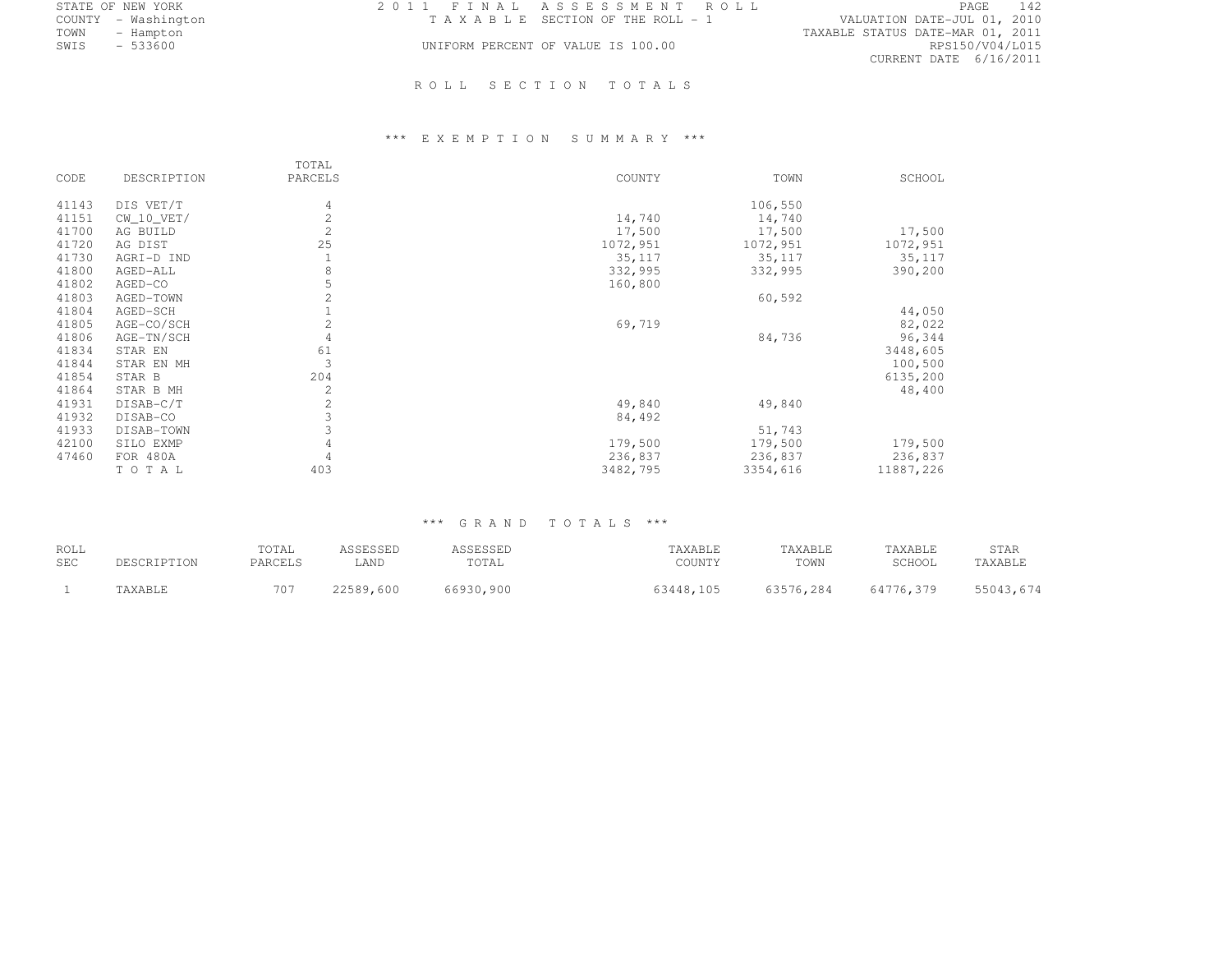| STATE OF NEW YORK   | 2011 FINAL ASSESSMENT ROLL         |                                 | 142<br>PAGE                      |
|---------------------|------------------------------------|---------------------------------|----------------------------------|
| COUNTY - Washington |                                    | TAXABLE SECTION OF THE ROLL - 1 | VALUATION DATE-JUL 01, 2010      |
| TOWN<br>- Hampton   |                                    |                                 | TAXABLE STATUS DATE-MAR 01, 2011 |
| SWIS<br>- 533600    | UNIFORM PERCENT OF VALUE IS 100.00 |                                 | RPS150/V04/L015                  |
|                     |                                    |                                 | CURRENT DATE 6/16/2011           |

# ROLL SECTION TOTALS

# \*\*\* E X E M P T I O N S U M M A R Y \*\*\*

| CODE  | DESCRIPTION  | TOTAL<br>PARCELS | COUNTY   | TOWN     | SCHOOL    |
|-------|--------------|------------------|----------|----------|-----------|
| 41143 | DIS VET/T    | 4                |          | 106,550  |           |
| 41151 | $CW_10_VET/$ | 2                | 14,740   | 14,740   |           |
| 41700 | AG BUILD     | 2                | 17,500   | 17,500   | 17,500    |
| 41720 | AG DIST      | 25               | 1072,951 | 1072,951 | 1072,951  |
| 41730 | AGRI-D IND   |                  | 35,117   | 35,117   | 35,117    |
| 41800 | AGED-ALL     | $\,8\,$          | 332,995  | 332,995  | 390,200   |
| 41802 | AGED-CO      | 5                | 160,800  |          |           |
| 41803 | AGED-TOWN    | 2                |          | 60,592   |           |
| 41804 | AGED-SCH     |                  |          |          | 44,050    |
| 41805 | AGE-CO/SCH   | $\overline{c}$   | 69,719   |          | 82,022    |
| 41806 | AGE-TN/SCH   | 4                |          | 84,736   | 96,344    |
| 41834 | STAR EN      | 61               |          |          | 3448,605  |
| 41844 | STAR EN MH   | 3                |          |          | 100,500   |
| 41854 | STAR B       | 204              |          |          | 6135,200  |
| 41864 | STAR B MH    | 2                |          |          | 48,400    |
| 41931 | DISAB-C/T    | $\sqrt{2}$       | 49,840   | 49,840   |           |
| 41932 | DISAB-CO     | 3                | 84,492   |          |           |
| 41933 | DISAB-TOWN   | 3                |          | 51,743   |           |
| 42100 | SILO EXMP    | 4                | 179,500  | 179,500  | 179,500   |
| 47460 | FOR 480A     |                  | 236,837  | 236,837  | 236,837   |
|       | TOTAL        | 403              | 3482,795 | 3354,616 | 11887,226 |

# \*\*\* G R A N D T O T A L S \*\*\*

| ROLL       | DESCRIPTION | TOTAL   | ASSESSED  | ASSESSED  | TAXABLE   | TAXABLE   | TAXABLE   | STAR      |
|------------|-------------|---------|-----------|-----------|-----------|-----------|-----------|-----------|
| <b>SEC</b> |             | PARCELS | LAND      | TOTAL     | COUNTY    | TOWN      | SCHOOL    | TAXABLE   |
|            | TAXABLE     |         | 22589,600 | 66930,900 | 63448,105 | 63576.284 | 64776.379 | 55043,674 |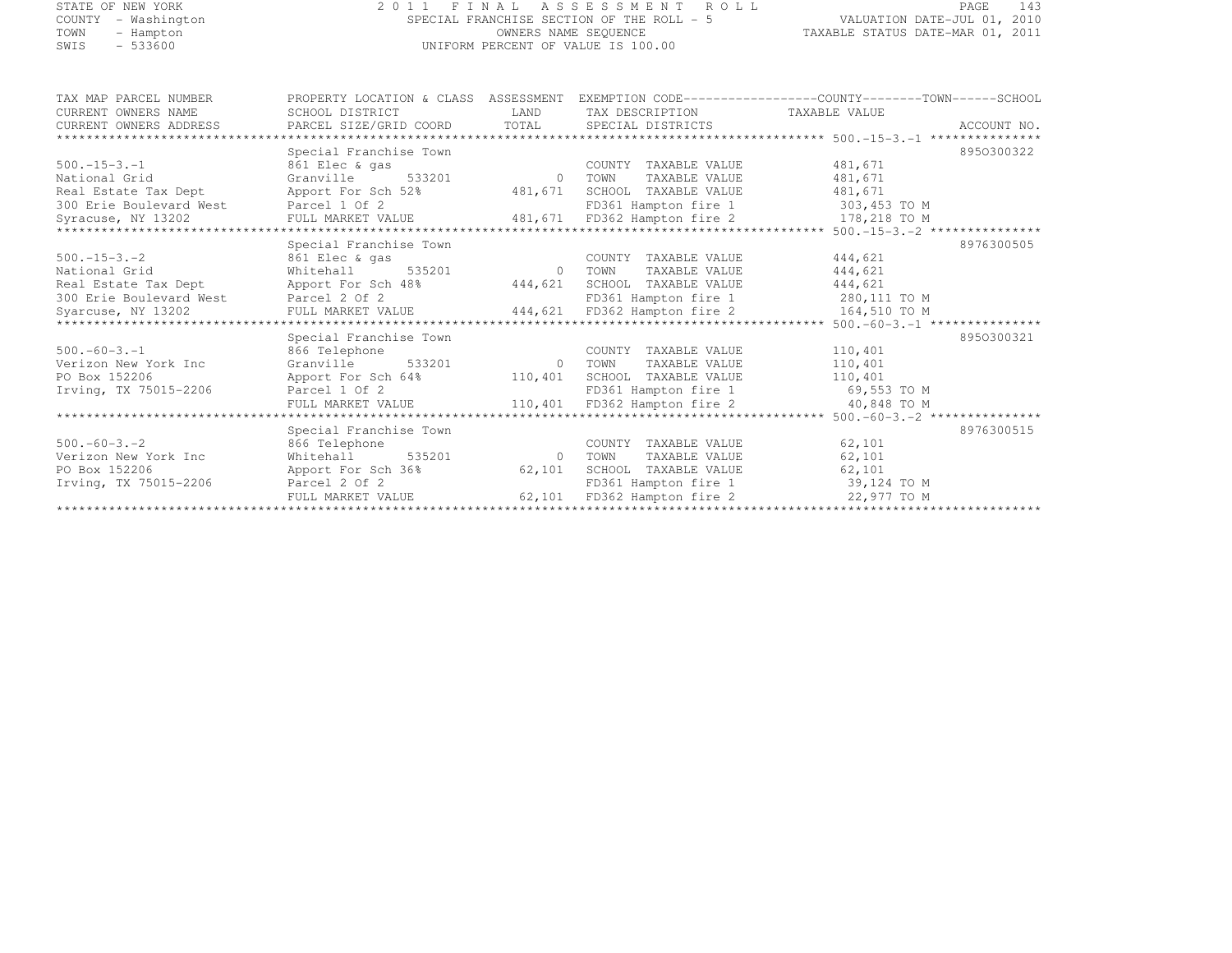### STATE OF NEW YORK 2 0 1 1 F I N A L A S S E S S M E N T R O L L PAGE <sup>143</sup> COUNTY - Washington SPECIAL FRANCHISE SECTION OF THE ROLL - 5 VALUATION DATE-JUL 01, 2010 TOWN - Hampton OWNERS NAME SEQUENCE TAXABLE STATUS DATE-MAR 01, 2011 SWIS - 533600 UNIFORM PERCENT OF VALUE IS 100.00

| TAX MAP PARCEL NUMBER   | PROPERTY LOCATION & CLASS ASSESSMENT EXEMPTION CODE----------------COUNTY-------TOWN------SCHOOL |                            |                              |                                         |             |
|-------------------------|--------------------------------------------------------------------------------------------------|----------------------------|------------------------------|-----------------------------------------|-------------|
| CURRENT OWNERS NAME     | SCHOOL DISTRICT                                                                                  |                            | LAND TAX DESCRIPTION         | TAXABLE VALUE                           |             |
| CURRENT OWNERS ADDRESS  | PARCEL SIZE/GRID COORD TOTAL SPECIAL DISTRICTS                                                   |                            |                              |                                         | ACCOUNT NO. |
|                         |                                                                                                  |                            |                              |                                         |             |
|                         | Special Franchise Town                                                                           |                            |                              |                                         | 8950300322  |
| $500 - 15 - 3 - 1$      | 861 Elec & gas                                                                                   |                            | COUNTY TAXABLE VALUE         | 481,671                                 |             |
| National Grid           | Granville 533201                                                                                 | $\Omega$                   | TAXABLE VALUE<br>TOWN        | 481,671                                 |             |
| Real Estate Tax Dept    | Apport For Sch 52%                                                                               |                            | 481,671 SCHOOL TAXABLE VALUE | 481,671                                 |             |
| 300 Erie Boulevard West | Parcel 1 Of 2                                                                                    |                            | FD361 Hampton fire 1         | 303,453 TO M                            |             |
| Syracuse, NY 13202      | FULL MARKET VALUE 481,671 FD362 Hampton fire 2 178,218 TO M                                      |                            |                              |                                         |             |
|                         |                                                                                                  |                            |                              |                                         |             |
|                         | Special Franchise Town                                                                           |                            |                              |                                         | 8976300505  |
| $500 - 15 - 3 - 2$      | 861 Elec & gas                                                                                   |                            | COUNTY TAXABLE VALUE         | 444,621                                 |             |
| National Grid           | Whitehall 535201                                                                                 | 0 TOWN                     | TAXABLE VALUE                | 444,621                                 |             |
| Real Estate Tax Dept    | Apport For Sch 48% 444,621 SCHOOL TAXABLE VALUE                                                  |                            |                              | 444,621                                 |             |
| 300 Erie Boulevard West | Parcel 2 Of 2                                                                                    |                            |                              | FD361 Hampton fire 1 280,111 TO M       |             |
| Syarcuse, NY 13202      | FULL MARKET VALUE 444,621 FD362 Hampton fire 2 164,510 TO M                                      |                            |                              |                                         |             |
|                         |                                                                                                  |                            |                              |                                         |             |
|                         | Special Franchise Town                                                                           |                            |                              |                                         | 8950300321  |
| $500. -60 - 3. -1$      | 866 Telephone                                                                                    |                            | COUNTY TAXABLE VALUE         | 110,401                                 |             |
| Verizon New York Inc    | Granville 533201                                                                                 | $\sim$ 0                   | TOWN<br>TAXABLE VALUE        | 110,401                                 |             |
| PO Box 152206           | Apport For Sch 64% 110,401 SCHOOL TAXABLE VALUE                                                  |                            |                              | 110,401                                 |             |
| Irving, TX 75015-2206   | Parcel 1 Of 2                                                                                    |                            |                              | FD361 Hampton fire 1 69,553 TO M        |             |
|                         | FULL MARKET VALUE                                                                                |                            | 110,401 FD362 Hampton fire 2 | 40,848 TO M                             |             |
|                         |                                                                                                  |                            |                              |                                         |             |
|                         | Special Franchise Town                                                                           |                            |                              |                                         | 8976300515  |
| $500 - 60 - 3 - 2$      | 866 Telephone                                                                                    |                            | COUNTY TAXABLE VALUE         | 62,101                                  |             |
| Verizon New York Inc    | 535201<br>Whitehall                                                                              | <b>CONSERVANCE OF TOWN</b> | TAXABLE VALUE                | 62,101                                  |             |
| PO Box 152206           | Apport For Sch 36%                                                                               |                            | 62,101 SCHOOL TAXABLE VALUE  | 62,101                                  |             |
| Irving, TX 75015-2206   | Parcel 2 Of 2                                                                                    |                            | FD361 Hampton fire 1         | 39,124 TO M                             |             |
|                         | FULL MARKET VALUE                                                                                |                            |                              | 62,101 FD362 Hampton fire 2 22,977 TO M |             |
|                         |                                                                                                  |                            |                              |                                         |             |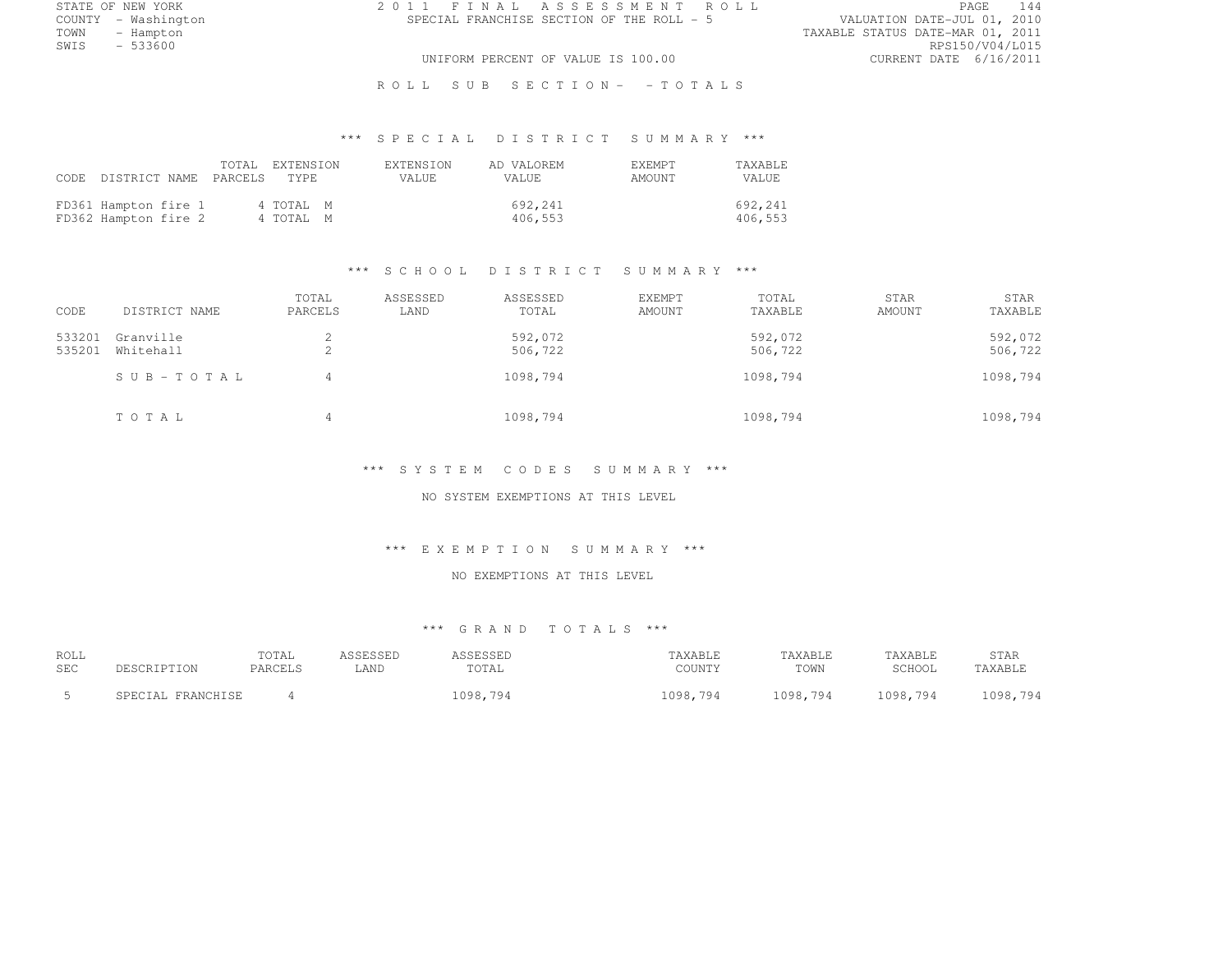STATE OF NEW YORK 2 0 1 1 F I N A L A S S E S S M E N T R O L L PAGE <sup>144</sup> COUNTY - Washington SPECIAL FRANCHISE SECTION OF THE ROLL - 5<br>TOWN - Hampton TOWN - Hampton TAXABLE STATUS DATE-MAR 01, 2011 SWIS - 533600 RPS150/V04/L015 UNIFORM PERCENT OF VALUE IS 100.00 CURRENT DATE 6/16/2011

R O L L S U B S E C T I O N - - T O T A L S

# \*\*\* S P E C I A L D I S T R I C T S U M M A R Y \*\*\*

|                                              | CODE DISTRICT NAME PARCELS TYPE | TOTAL EXTENSION        | <b>EXTENSION</b><br>VALUE. | AD VALOREM<br>VALUE |                    | <b>F.XFMPT</b><br>AMOUNT | TAXABLE<br>VALUE   |
|----------------------------------------------|---------------------------------|------------------------|----------------------------|---------------------|--------------------|--------------------------|--------------------|
| FD361 Hampton fire 1<br>FD362 Hampton fire 2 |                                 | 4 TOTAL M<br>4 TOTAL M |                            |                     | 692,241<br>406,553 |                          | 692,241<br>406,553 |

#### \*\*\* S C H O O L D I S T R I C T S U M M A R Y \*\*\*

| CODE             | DISTRICT NAME          | TOTAL<br>PARCELS | ASSESSED<br>LAND | ASSESSED<br>TOTAL  | EXEMPT<br>AMOUNT | TOTAL<br>TAXABLE   | STAR<br>AMOUNT | STAR<br>TAXABLE    |
|------------------|------------------------|------------------|------------------|--------------------|------------------|--------------------|----------------|--------------------|
| 533201<br>535201 | Granville<br>Whitehall | ∠                |                  | 592,072<br>506,722 |                  | 592,072<br>506,722 |                | 592,072<br>506,722 |
|                  | SUB-TOTAL              | 4                |                  | 1098,794           |                  | 1098,794           |                | 1098,794           |
|                  | TOTAL                  | 4                |                  | 1098,794           |                  | 1098,794           |                | 1098,794           |

#### \*\*\* S Y S T E M C O D E S S U M M A R Y \*\*\*

NO SYSTEM EXEMPTIONS AT THIS LEVEL

#### \*\*\* E X E M P T I O N S U M M A R Y \*\*\*

#### NO EXEMPTIONS AT THIS LEVEL

#### \*\*\* G R A N D T O T A L S \*\*\*

| ROLL       |                   | TOTAL   | ASSESSED | \SSESSED | TAXABLE  | TAXABLE  | TAXABLE  | STAR     |
|------------|-------------------|---------|----------|----------|----------|----------|----------|----------|
| <b>SEC</b> | DESCRIPTION       | PARCELS | LAND     | TOTAL    | COUNTY   | TOWN     | SCHOOL   | TAXABLE  |
|            | SPECIAL FRANCHISE |         |          | 1098,794 | 1098,794 | 1098,794 | 1098,794 | 1098,794 |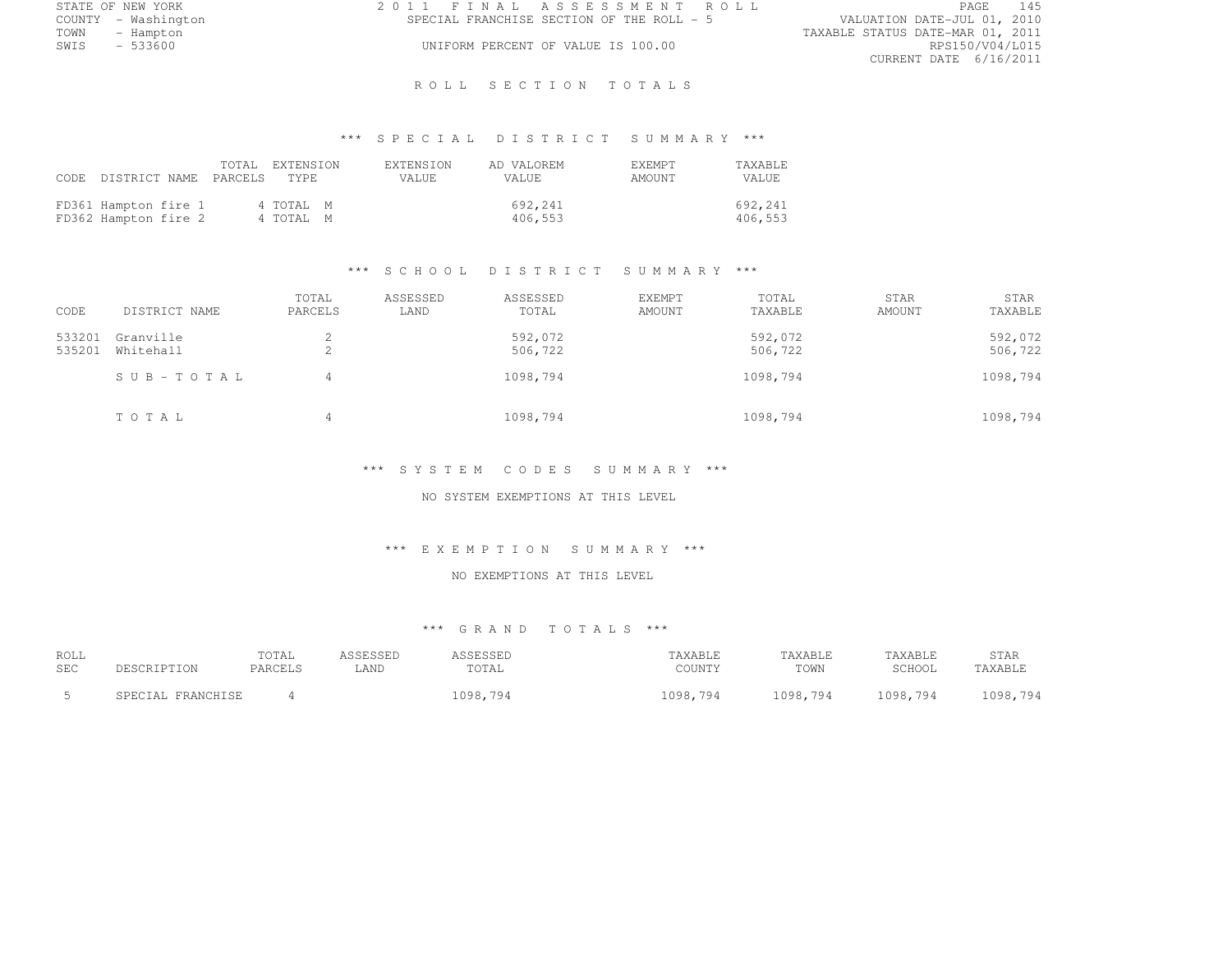|      | STATE OF NEW YORK   | 2011 FINAL ASSESSMENT ROLL |                                           |                                  |                        | PAGE | 145 |
|------|---------------------|----------------------------|-------------------------------------------|----------------------------------|------------------------|------|-----|
|      | COUNTY - Washington |                            | SPECIAL FRANCHISE SECTION OF THE ROLL - 5 | VALUATION DATE-JUL 01, 2010      |                        |      |     |
| TOWN | - Hampton           |                            |                                           | TAXABLE STATUS DATE-MAR 01, 2011 |                        |      |     |
| SWIS | - 533600            |                            | UNIFORM PERCENT OF VALUE IS 100.00        |                                  | RPS150/V04/L015        |      |     |
|      |                     |                            |                                           |                                  | CURRENT DATE 6/16/2011 |      |     |

### R O L L S E C T I O N T O T A L S

# \*\*\* S P E C I A L D I S T R I C T S U M M A R Y \*\*\*

|                                              | CODE DISTRICT NAME PARCELS TYPE | TOTAL EXTENSION        | <b>EXTENSION</b><br>VALUE. | AD VALOREM<br>VALUE. | <b>F.XFMPT</b><br>AMOUNT | TAXABLE<br>VALUE   |
|----------------------------------------------|---------------------------------|------------------------|----------------------------|----------------------|--------------------------|--------------------|
| FD361 Hampton fire 1<br>FD362 Hampton fire 2 |                                 | 4 TOTAL M<br>4 TOTAL M |                            | 692,241<br>406,553   |                          | 692,241<br>406,553 |

### \*\*\* S C H O O L D I S T R I C T S U M M A R Y \*\*\*

| CODE             | DISTRICT NAME          | TOTAL<br>PARCELS | ASSESSED<br>LAND | ASSESSED<br>TOTAL  | <b>EXEMPT</b><br>AMOUNT | TOTAL<br>TAXABLE   | STAR<br>AMOUNT | STAR<br>TAXABLE    |
|------------------|------------------------|------------------|------------------|--------------------|-------------------------|--------------------|----------------|--------------------|
| 533201<br>535201 | Granville<br>Whitehall | ∠<br>▵           |                  | 592,072<br>506,722 |                         | 592,072<br>506,722 |                | 592,072<br>506,722 |
|                  | $SUB - TO T AL$        | 4                |                  | 1098,794           |                         | 1098,794           |                | 1098,794           |
|                  | TOTAL                  | 4                |                  | 1098,794           |                         | 1098,794           |                | 1098,794           |

#### \*\*\* S Y S T E M C O D E S S U M M A R Y \*\*\*

### NO SYSTEM EXEMPTIONS AT THIS LEVEL

#### \*\*\* E X E M P T I O N S U M M A R Y \*\*\*

### NO EXEMPTIONS AT THIS LEVEL

| ROLL       |                   | TOTAL   | ASSESSED | <i><b>\SSESSED</b></i> | TAXABLE  | TAXABLE  | TAXABLE  | STAR     |
|------------|-------------------|---------|----------|------------------------|----------|----------|----------|----------|
| <b>SEC</b> | DESCRIPTION       | PARCELS | LAND     | TOTAL                  | COUNTY   | TOWN     | SCHOOL   | TAXABLE  |
|            | SPECIAL FRANCHISE |         |          | 1098,794               | 1098,794 | 1098,794 | 1098,794 | 1098,794 |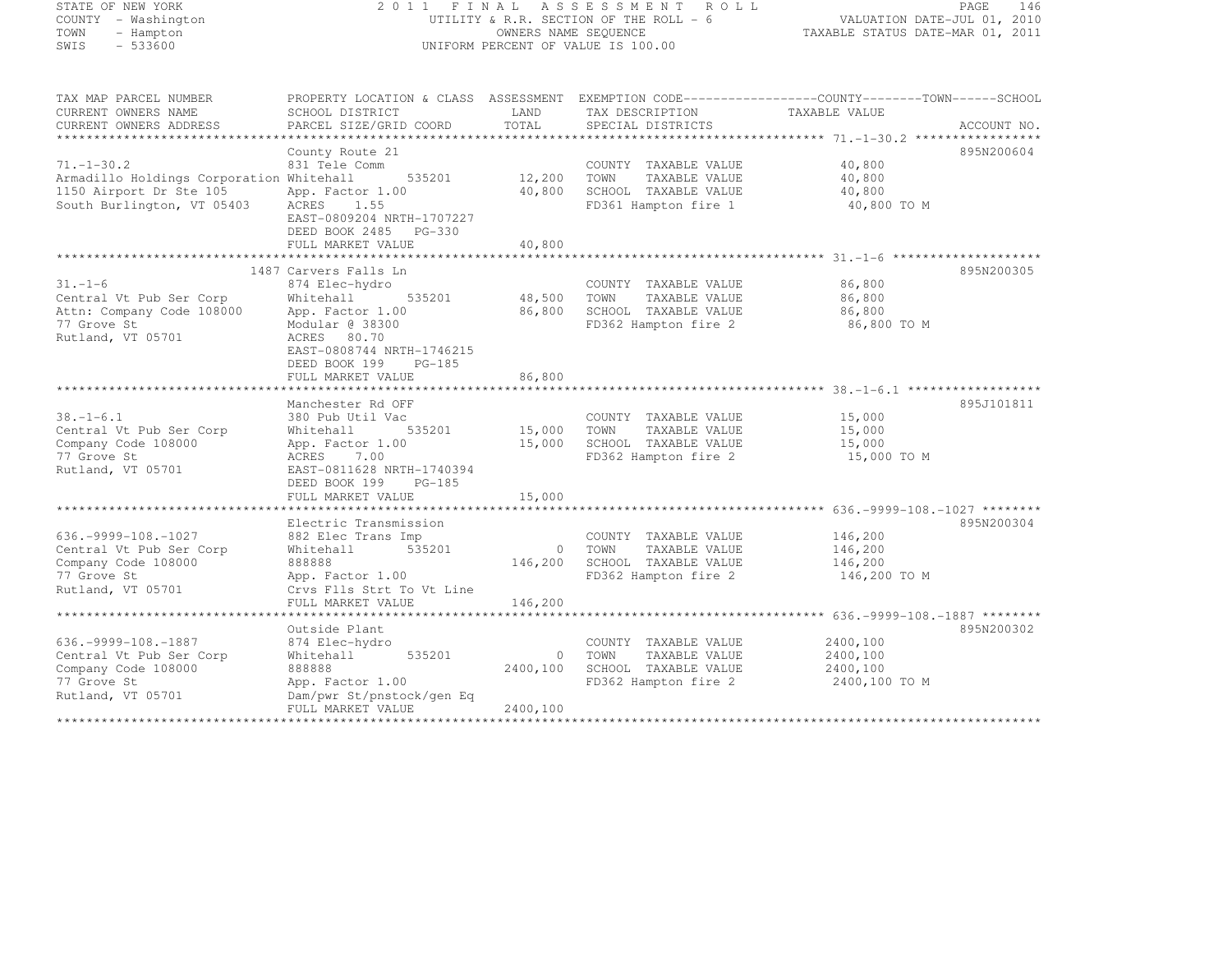| STATE OF NEW YORK |           |              |  |
|-------------------|-----------|--------------|--|
| COUNTY            |           | - Washington |  |
| TOWN              |           | - Hampton    |  |
| <b>CMTC</b>       | $-533600$ |              |  |

### STATE OF NEW YORK 2 0 1 1 F I N A L A S S E S S M E N T R O L L PAGE <sup>146</sup> COUNTY - Washington UTILITY & R.R. SECTION OF THE ROLL - 6 VALUATION DATE-JUL 01, 2010 TOWN - Hampton OWNERS NAME SEQUENCE TAXABLE STATUS DATE-MAR 01, 2011 SWIS - 533600 UNIFORM PERCENT OF VALUE IS 100.00

| TAX MAP PARCEL NUMBER                                 | PROPERTY LOCATION & CLASS ASSESSMENT EXEMPTION CODE----------------COUNTY-------TOWN------SCHOOL |          |                                              |                       |             |
|-------------------------------------------------------|--------------------------------------------------------------------------------------------------|----------|----------------------------------------------|-----------------------|-------------|
| CURRENT OWNERS NAME                                   | SCHOOL DISTRICT                                                                                  | LAND     | TAX DESCRIPTION                              | TAXABLE VALUE         |             |
| CURRENT OWNERS ADDRESS                                | PARCEL SIZE/GRID COORD                                                                           | TOTAL    | SPECIAL DISTRICTS                            |                       | ACCOUNT NO. |
|                                                       |                                                                                                  |          |                                              |                       |             |
|                                                       | County Route 21                                                                                  |          |                                              |                       | 895N200604  |
| $71. - 1 - 30.2$                                      | 831 Tele Comm                                                                                    | 12,200   | COUNTY TAXABLE VALUE                         | 40,800                |             |
| Armadillo Holdings Corporation Whitehall              | 535201                                                                                           |          | TOWN<br>TAXABLE VALUE                        | 40,800                |             |
| 1150 Airport Dr Ste 105<br>South Burlington, VT 05403 | App. Factor 1.00<br>ACRES<br>1.55                                                                | 40,800   | SCHOOL TAXABLE VALUE<br>FD361 Hampton fire 1 | 40,800<br>40,800 TO M |             |
|                                                       | EAST-0809204 NRTH-1707227                                                                        |          |                                              |                       |             |
|                                                       | DEED BOOK 2485 PG-330                                                                            |          |                                              |                       |             |
|                                                       | FULL MARKET VALUE                                                                                | 40,800   |                                              |                       |             |
|                                                       |                                                                                                  |          |                                              |                       |             |
|                                                       | 1487 Carvers Falls Ln                                                                            |          |                                              |                       | 895N200305  |
| $31. - 1 - 6$                                         | 874 Elec-hydro                                                                                   |          | COUNTY TAXABLE VALUE                         | 86,800                |             |
| Central Vt Pub Ser Corp                               | 535201<br>Whitehall                                                                              | 48,500   | TOWN<br>TAXABLE VALUE                        | 86,800                |             |
| Attn: Company Code 108000                             | App. Factor 1.00                                                                                 | 86,800   | SCHOOL TAXABLE VALUE                         | 86,800                |             |
| 77 Grove St                                           | Modular @ 38300                                                                                  |          | FD362 Hampton fire 2                         | 86,800 TO M           |             |
| Rutland, VT 05701                                     | ACRES 80.70                                                                                      |          |                                              |                       |             |
|                                                       | EAST-0808744 NRTH-1746215                                                                        |          |                                              |                       |             |
|                                                       | DEED BOOK 199<br>$PG-185$                                                                        |          |                                              |                       |             |
|                                                       | FULL MARKET VALUE                                                                                | 86,800   |                                              |                       |             |
|                                                       |                                                                                                  |          |                                              |                       |             |
|                                                       | Manchester Rd OFF                                                                                |          |                                              |                       | 895J101811  |
| $38. - 1 - 6.1$                                       | 380 Pub Util Vac                                                                                 |          | COUNTY TAXABLE VALUE                         | 15,000                |             |
| Central Vt Pub Ser Corp                               | 535201<br>Whitehall                                                                              | 15,000   | TOWN<br>TAXABLE VALUE                        | 15,000                |             |
| Company Code 108000                                   | App. Factor 1.00                                                                                 | 15,000   | SCHOOL TAXABLE VALUE                         | 15,000                |             |
| 77 Grove St                                           | 7.00<br>ACRES                                                                                    |          | FD362 Hampton fire 2                         | 15,000 TO M           |             |
| Rutland, VT 05701                                     | EAST-0811628 NRTH-1740394                                                                        |          |                                              |                       |             |
|                                                       | DEED BOOK 199<br>$PG-185$                                                                        | 15,000   |                                              |                       |             |
|                                                       | FULL MARKET VALUE                                                                                |          |                                              |                       |             |
|                                                       | Electric Transmission                                                                            |          |                                              |                       | 895N200304  |
| $636. -9999 - 108. - 1027$                            | 882 Elec Trans Imp                                                                               |          | COUNTY TAXABLE VALUE                         | 146,200               |             |
| Central Vt Pub Ser Corp                               | 535201<br>Whitehall                                                                              | $\circ$  | TOWN<br>TAXABLE VALUE                        | 146,200               |             |
| Company Code 108000                                   | 888888                                                                                           | 146,200  | SCHOOL TAXABLE VALUE                         | 146,200               |             |
| 77 Grove St                                           | App. Factor 1.00                                                                                 |          | FD362 Hampton fire 2                         | 146,200 TO M          |             |
| Rutland, VT 05701                                     | Crvs Flls Strt To Vt Line                                                                        |          |                                              |                       |             |
|                                                       | FULL MARKET VALUE                                                                                | 146,200  |                                              |                       |             |
|                                                       |                                                                                                  |          |                                              |                       |             |
|                                                       | Outside Plant                                                                                    |          |                                              |                       | 895N200302  |
| $636. -9999 - 108. - 1887$                            | 874 Elec-hydro                                                                                   |          | COUNTY TAXABLE VALUE                         | 2400,100              |             |
| Central Vt Pub Ser Corp                               | 535201<br>Whitehall                                                                              | $\circ$  | TOWN<br>TAXABLE VALUE                        | 2400,100              |             |
| Company Code 108000                                   | 888888                                                                                           | 2400,100 | SCHOOL TAXABLE VALUE                         | 2400,100              |             |
| 77 Grove St                                           | App. Factor 1.00                                                                                 |          | FD362 Hampton fire 2                         | 2400,100 TO M         |             |
| Rutland, VT 05701                                     | Dam/pwr St/pnstock/gen Eq                                                                        |          |                                              |                       |             |
|                                                       | FULL MARKET VALUE                                                                                | 2400,100 |                                              |                       |             |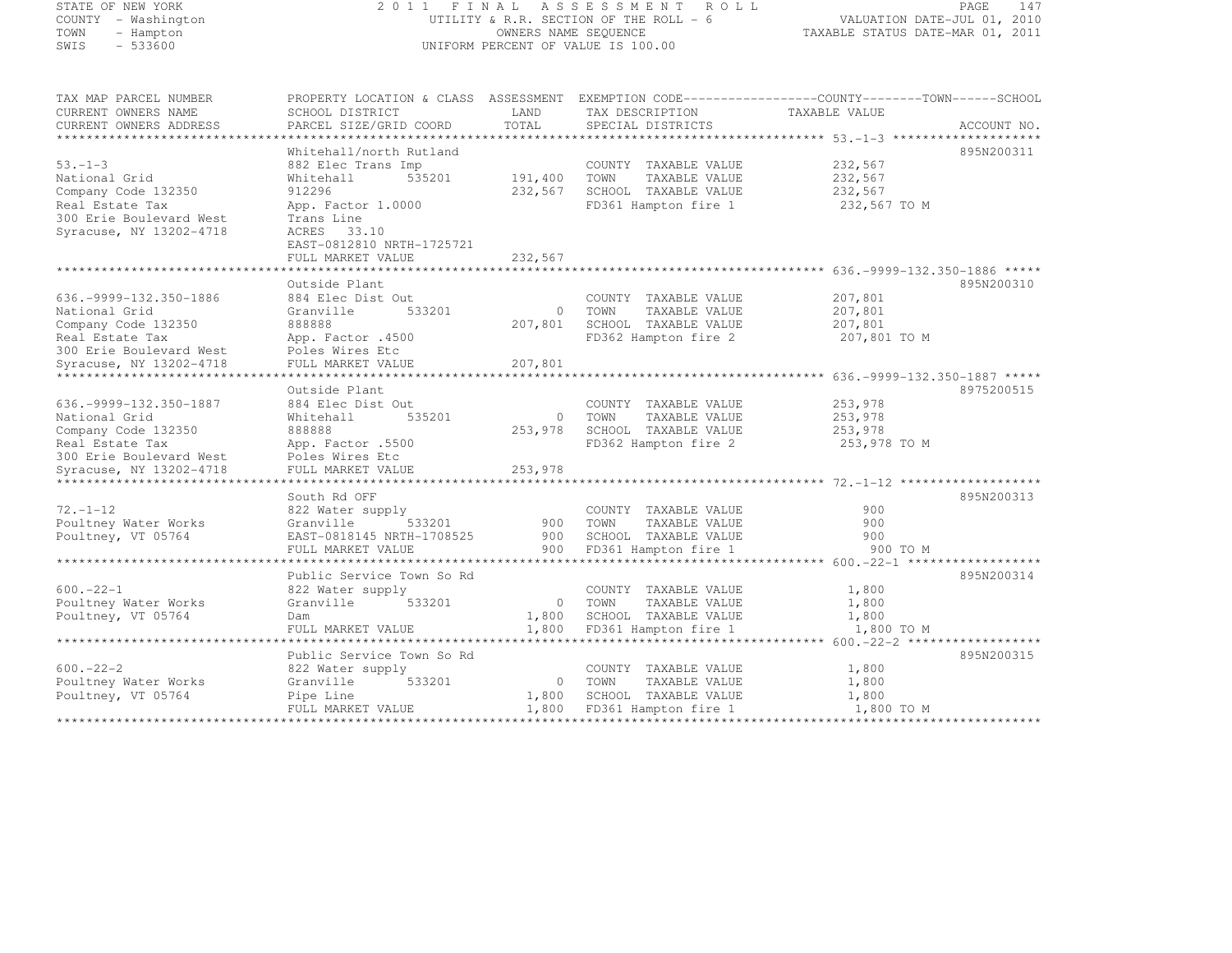### STATE OF NEW YORK 2 0 1 1 F I N A L A S S E S S M E N T R O L L PAGE <sup>147</sup> COUNTY - Washington UTILITY & R.R. SECTION OF THE ROLL - 6 VALUATION DATE-JUL 01, 2010 TOWN - Hampton OWNERS NAME SEQUENCE TAXABLE STATUS DATE-MAR 01, 2011 SWIS - 533600 UNIFORM PERCENT OF VALUE IS 100.00

| TAX MAP PARCEL NUMBER<br>CURRENT OWNERS NAME<br>CURRENT OWNERS ADDRESS | PROPERTY LOCATION & CLASS ASSESSMENT EXEMPTION CODE----------------COUNTY-------TOWN-----SCHOOL<br>SCHOOL DISTRICT<br>PARCEL SIZE/GRID COORD | LAND<br>TOTAL  | TAX DESCRIPTION<br>SPECIAL DISTRICTS | TAXABLE VALUE | ACCOUNT NO. |
|------------------------------------------------------------------------|----------------------------------------------------------------------------------------------------------------------------------------------|----------------|--------------------------------------|---------------|-------------|
| ******************************                                         | ********************                                                                                                                         |                |                                      |               |             |
|                                                                        | Whitehall/north Rutland                                                                                                                      |                |                                      |               | 895N200311  |
| $53. - 1 - 3$                                                          | 882 Elec Trans Imp                                                                                                                           |                | COUNTY TAXABLE VALUE                 | 232,567       |             |
| National Grid                                                          | 535201<br>Whitehall                                                                                                                          | 191,400        | TOWN<br>TAXABLE VALUE                | 232,567       |             |
| Company Code 132350                                                    | 912296                                                                                                                                       | 232,567        | SCHOOL TAXABLE VALUE                 | 232,567       |             |
| Real Estate Tax                                                        | App. Factor 1.0000                                                                                                                           |                | FD361 Hampton fire 1                 | 232,567 TO M  |             |
| 300 Erie Boulevard West                                                | Trans Line                                                                                                                                   |                |                                      |               |             |
| Syracuse, NY 13202-4718                                                | ACRES 33.10                                                                                                                                  |                |                                      |               |             |
|                                                                        | EAST-0812810 NRTH-1725721                                                                                                                    |                |                                      |               |             |
|                                                                        | FULL MARKET VALUE                                                                                                                            | 232,567        |                                      |               |             |
|                                                                        |                                                                                                                                              |                |                                      |               |             |
|                                                                        | Outside Plant                                                                                                                                |                |                                      |               | 895N200310  |
| 636. - 9999 - 132. 350 - 1886                                          | 884 Elec Dist Out                                                                                                                            |                | COUNTY TAXABLE VALUE                 | 207,801       |             |
| National Grid                                                          | Granville<br>533201                                                                                                                          | $\circ$        | TOWN<br>TAXABLE VALUE                | 207,801       |             |
| Company Code 132350                                                    | 888888                                                                                                                                       | 207,801        | SCHOOL TAXABLE VALUE                 | 207,801       |             |
| Real Estate Tax                                                        | App. Factor .4500                                                                                                                            |                | FD362 Hampton fire 2                 | 207,801 TO M  |             |
| 300 Erie Boulevard West                                                | Poles Wires Etc                                                                                                                              |                |                                      |               |             |
| Syracuse, NY 13202-4718                                                | FULL MARKET VALUE                                                                                                                            | 207,801        |                                      |               |             |
|                                                                        |                                                                                                                                              |                |                                      |               |             |
|                                                                        | Outside Plant                                                                                                                                |                |                                      |               | 8975200515  |
| 636. - 9999 - 132. 350 - 1887                                          | 884 Elec Dist Out                                                                                                                            |                | COUNTY TAXABLE VALUE                 | 253,978       |             |
| National Grid                                                          | Whitehall<br>535201                                                                                                                          |                | 0 TOWN<br>TAXABLE VALUE              | 253,978       |             |
| Company Code 132350                                                    | 888888                                                                                                                                       | 253,978        | SCHOOL TAXABLE VALUE                 | 253,978       |             |
| Real Estate Tax                                                        | App. Factor .5500                                                                                                                            |                | FD362 Hampton fire 2                 | 253,978 TO M  |             |
| 300 Erie Boulevard West                                                | Poles Wires Etc                                                                                                                              |                |                                      |               |             |
| Syracuse, NY 13202-4718                                                | FULL MARKET VALUE                                                                                                                            | 253,978        |                                      |               |             |
|                                                                        |                                                                                                                                              |                |                                      |               |             |
|                                                                        | South Rd OFF                                                                                                                                 |                |                                      |               | 895N200313  |
| $72. - 1 - 12$                                                         | 822 Water supply                                                                                                                             |                | COUNTY TAXABLE VALUE                 | 900           |             |
| Poultney Water Works                                                   | Granville<br>533201                                                                                                                          | 900            | TOWN<br>TAXABLE VALUE                | 900           |             |
| Poultney, VT 05764                                                     | EAST-0818145 NRTH-1708525                                                                                                                    | 900            | SCHOOL TAXABLE VALUE                 | 900           |             |
|                                                                        | FULL MARKET VALUE                                                                                                                            | 900            | FD361 Hampton fire 1                 | 900 TO M      |             |
|                                                                        |                                                                                                                                              |                |                                      |               |             |
|                                                                        | Public Service Town So Rd                                                                                                                    |                |                                      |               | 895N200314  |
| $600 - 22 - 1$                                                         | 822 Water supply                                                                                                                             |                | COUNTY TAXABLE VALUE                 | 1,800         |             |
| Poultney Water Works                                                   | Granville<br>533201                                                                                                                          |                | 0 TOWN<br>TAXABLE VALUE              | 1,800         |             |
| Poultney, VT 05764                                                     | Dam                                                                                                                                          | 1,800          | SCHOOL TAXABLE VALUE                 | 1,800         |             |
|                                                                        | FULL MARKET VALUE                                                                                                                            | 1,800          | FD361 Hampton fire 1                 | 1,800 TO M    |             |
|                                                                        |                                                                                                                                              |                |                                      |               |             |
|                                                                        | Public Service Town So Rd                                                                                                                    |                |                                      |               | 895N200315  |
| $600 - 22 - 2$                                                         | 822 Water supply                                                                                                                             |                | COUNTY TAXABLE VALUE                 | 1,800         |             |
| Poultney Water Works                                                   | 533201<br>Granville                                                                                                                          | $\overline{0}$ | TOWN<br>TAXABLE VALUE                | 1,800         |             |
| Poultney, VT 05764                                                     | Pipe Line                                                                                                                                    | 1,800          | SCHOOL TAXABLE VALUE                 | 1,800         |             |
|                                                                        | FULL MARKET VALUE                                                                                                                            | 1,800          | FD361 Hampton fire 1                 | 1,800 TO M    |             |
|                                                                        |                                                                                                                                              |                |                                      |               |             |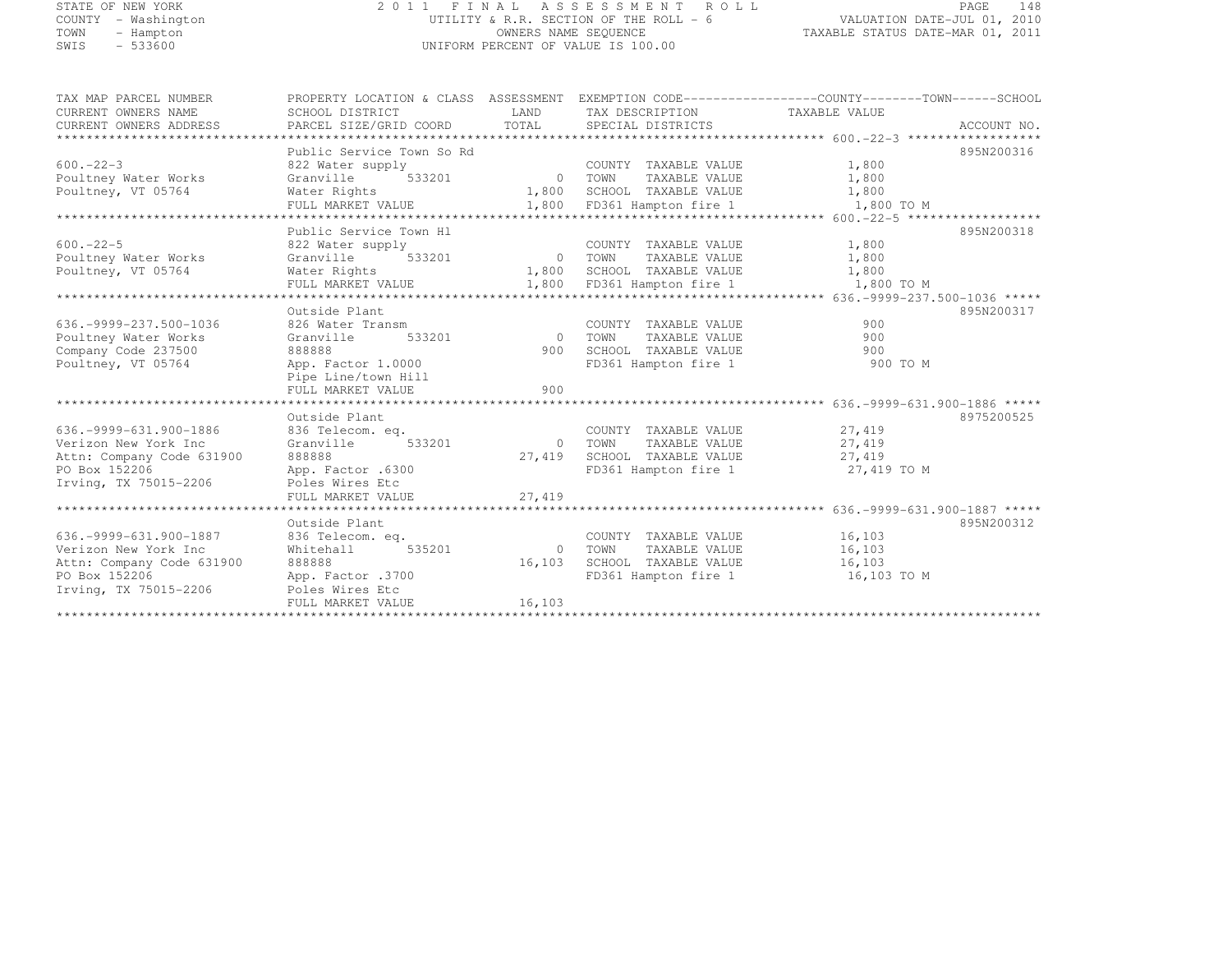### STATE OF NEW YORK 2 0 1 1 F I N A L A S S E S S M E N T R O L L PAGE <sup>148</sup> COUNTY - Washington UTILITY & R.R. SECTION OF THE ROLL - 6 VALUATION DATE-JUL 01, 2010 TOWN - Hampton OWNERS NAME SEQUENCE TAXABLE STATUS DATE-MAR 01, 2011 SWIS - 533600 UNIFORM PERCENT OF VALUE IS 100.00

| TAX MAP PARCEL NUMBER         | PROPERTY LOCATION & CLASS ASSESSMENT EXEMPTION CODE---------------COUNTY-------TOWN------SCHOOL |         |                                                               |                     |            |
|-------------------------------|-------------------------------------------------------------------------------------------------|---------|---------------------------------------------------------------|---------------------|------------|
| CURRENT OWNERS NAME           | SCHOOL DISTRICT                                                                                 |         | LAND TAX DESCRIPTION TAXABLE VALUE                            |                     |            |
| CURRENT OWNERS ADDRESS        |                                                                                                 |         |                                                               |                     |            |
|                               |                                                                                                 |         |                                                               |                     |            |
|                               | Public Service Town So Rd                                                                       |         |                                                               |                     | 895N200316 |
| $600 - 22 - 3$                | 822 Water supply                                                                                |         |                                                               | 1,800               |            |
| Poultney Water Works          | Granville 533201                                                                                |         | COUNTY TAXABLE VALUE<br>0 TOWN TAXABLE VALUE<br>TAXABLE VALUE | 1,800               |            |
| Poultney, VT 05764            |                                                                                                 |         |                                                               |                     |            |
|                               |                                                                                                 |         |                                                               |                     |            |
|                               |                                                                                                 |         |                                                               |                     |            |
|                               | Public Service Town Hl                                                                          |         |                                                               |                     | 895N200318 |
| $600 - 22 - 5$                | 822 Water supply                                                                                |         | COUNTY TAXABLE VALUE 1,800                                    |                     |            |
| Poultney Water Works          | $-1$ <sup>---1</sup> 533201 0 TOWN<br>Granville                                                 |         |                                                               | TAXABLE VALUE 1,800 |            |
| Poultney, VT 05764            | Water Rights 1,800 SCHOOL TAXABLE VALUE 1,800                                                   |         |                                                               |                     |            |
|                               | FULL MARKET VALUE 1,800 FD361 Hampton fire 1 1,800 TO M                                         |         |                                                               |                     |            |
|                               |                                                                                                 |         |                                                               |                     |            |
|                               | Outside Plant                                                                                   |         |                                                               |                     | 895N200317 |
| 636. - 9999 - 237. 500 - 1036 | 826 Water Transm                                                                                |         | COUNTY TAXABLE VALUE                                          | 900                 |            |
| Poultney Water Works          | 533201<br>Granville                                                                             |         | TAXABLE VALUE<br>0 TOWN                                       | 900                 |            |
| Company Code 237500           | 888888                                                                                          |         | 900 SCHOOL TAXABLE VALUE                                      | 900                 |            |
| Poultney, VT 05764            | App. Factor 1.0000                                                                              |         | FD361 Hampton fire 1 900 TO M                                 |                     |            |
|                               | Pipe Line/town Hill                                                                             |         |                                                               |                     |            |
|                               |                                                                                                 |         |                                                               |                     |            |
|                               |                                                                                                 |         |                                                               |                     |            |
|                               | Outside Plant                                                                                   |         |                                                               |                     | 8975200525 |
| 636. - 9999 - 631. 900 - 1886 | 836 Telecom. eq.                                                                                |         | COUNTY TAXABLE VALUE 27,419                                   |                     |            |
| Verizon New York Inc          | 533201<br>Granville                                                                             |         | 0 TOWN<br>TAXABLE VALUE                                       | 27,419              |            |
| Attn: Company Code 631900     | 888888                                                                                          |         | 27,419 SCHOOL TAXABLE VALUE 27,419                            |                     |            |
| PO Box 152206                 | App. Factor .6300                                                                               |         | FD361 Hampton fire 1                                          | 27,419 TO M         |            |
| Irving, TX 75015-2206         | Poles Wires Etc                                                                                 |         |                                                               |                     |            |
|                               | FULL MARKET VALUE                                                                               | 27,419  |                                                               |                     |            |
|                               |                                                                                                 |         |                                                               |                     |            |
|                               | Outside Plant                                                                                   |         |                                                               |                     | 895N200312 |
| 636. - 9999 - 631. 900 - 1887 | 836 Telecom. eq.                                                                                |         | COUNTY TAXABLE VALUE 16,103                                   |                     |            |
| Verizon New York Inc          | 535201<br>Whitehall                                                                             | 0 TOWN  | TAXABLE VALUE                                                 | 16, 103             |            |
| Attn: Company Code 631900     | 888888                                                                                          |         | 16,103 SCHOOL TAXABLE VALUE 16,103                            |                     |            |
| PO Box 152206                 | App. Factor .3700                                                                               |         | FD361 Hampton fire 1 16,103 TO M                              |                     |            |
| Irving, TX 75015-2206         | Poles Wires Etc                                                                                 |         |                                                               |                     |            |
|                               | FULL MARKET VALUE                                                                               | 16, 103 |                                                               |                     |            |
|                               |                                                                                                 |         |                                                               |                     |            |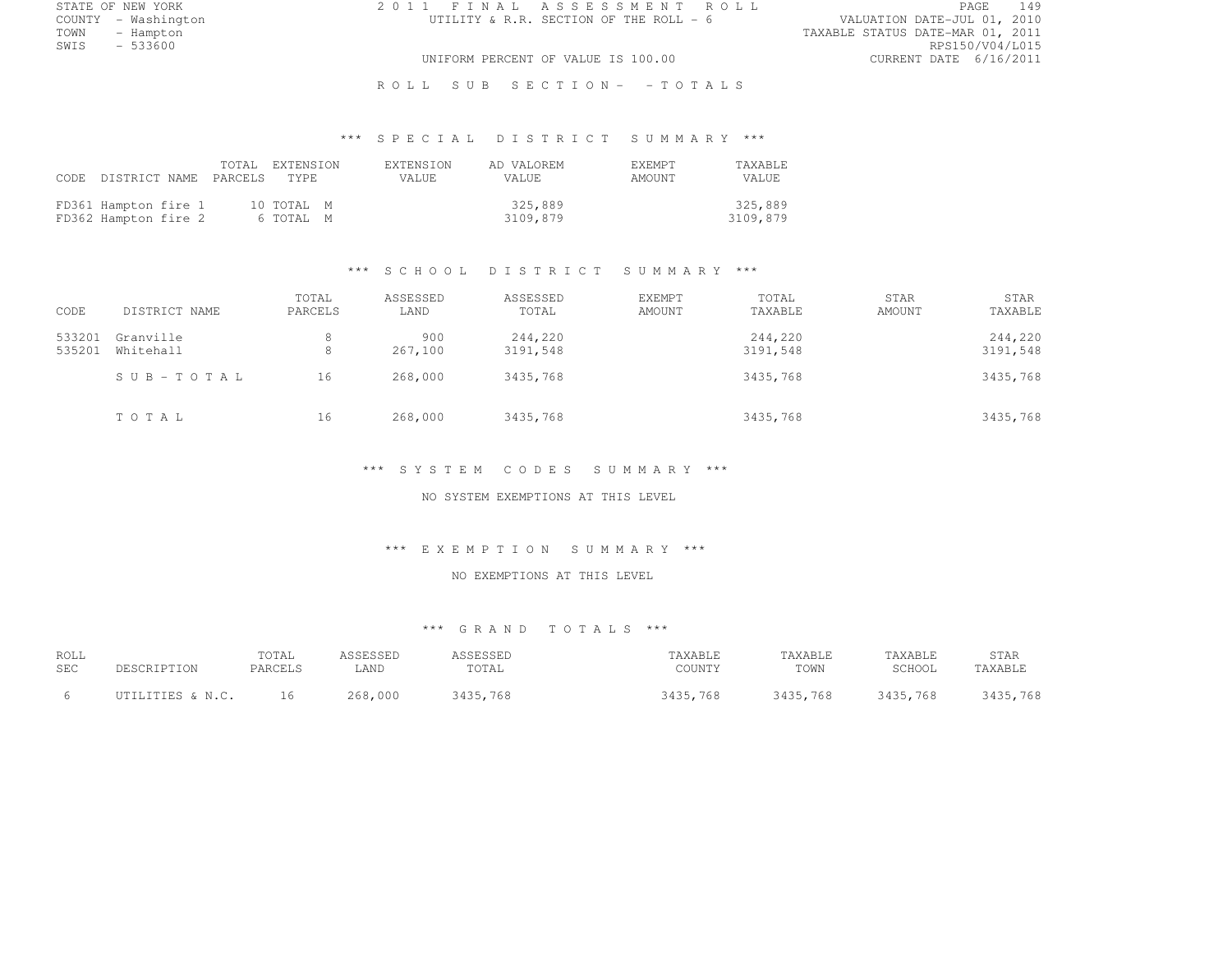STATE OF NEW YORK 2 0 1 1 F I N A L A S S E S S M E N T R O L L PAGE <sup>149</sup>

COUNTY - Washington UTILITY & R.R. SECTION OF THE ROLL - 6 VALUATION DATE-JUL 01, 2010 TOWN - Hampton - The State of the State of the State of the Taxable Status Date-Mar 01, 2011<br>Town - Hampton - The State of the State of the State of the State of the State of the State of the State of th SWIS - 533600 RPS150/V04/L015 UNIFORM PERCENT OF VALUE IS 100.00 CURRENT DATE 6/16/2011

R O L L S U B S E C T I O N - - T O T A L S

# \*\*\* S P E C I A L D I S T R I C T S U M M A R Y \*\*\*

|                                              | CODE DISTRICT NAME PARCELS TYPE | TOTAL EXTENSION         | <b>EXTENSION</b><br>VALUE. | AD VALOREM<br>VALUE. | <b>F.XEMPT</b><br>AMOUNT | TAXABLE<br>VALUE    |
|----------------------------------------------|---------------------------------|-------------------------|----------------------------|----------------------|--------------------------|---------------------|
| FD361 Hampton fire 1<br>FD362 Hampton fire 2 |                                 | 10 TOTAL M<br>6 TOTAL M |                            | 325,889<br>3109,879  |                          | 325,889<br>3109,879 |

#### \*\*\* S C H O O L D I S T R I C T S U M M A R Y \*\*\*

| CODE             | DISTRICT NAME          | TOTAL<br>PARCELS | ASSESSED<br>LAND | ASSESSED<br>TOTAL   | EXEMPT<br>AMOUNT | TOTAL<br>TAXABLE    | STAR<br>AMOUNT | STAR<br>TAXABLE     |
|------------------|------------------------|------------------|------------------|---------------------|------------------|---------------------|----------------|---------------------|
| 533201<br>535201 | Granville<br>Whitehall | 8<br>8           | 900<br>267,100   | 244,220<br>3191,548 |                  | 244,220<br>3191,548 |                | 244,220<br>3191,548 |
|                  | SUB-TOTAL              | 16               | 268,000          | 3435,768            |                  | 3435,768            |                | 3435,768            |
|                  | TOTAL                  | 16               | 268,000          | 3435,768            |                  | 3435,768            |                | 3435,768            |

#### \*\*\* S Y S T E M C O D E S S U M M A R Y \*\*\*

NO SYSTEM EXEMPTIONS AT THIS LEVEL

#### \*\*\* E X E M P T I O N S U M M A R Y \*\*\*

#### NO EXEMPTIONS AT THIS LEVEL

| ROLL<br>SEC | DESCRIPTION      | TOTAL<br>PARCELS | ASSESSED<br>LAND | ASSESSED<br>TOTAL | TAXABLE<br>COUNTY | TAXABLE<br>TOWN | TAXABLE<br>SCHOOL | STAR<br>TAXABLE |
|-------------|------------------|------------------|------------------|-------------------|-------------------|-----------------|-------------------|-----------------|
|             | UTILITIES & N.C. | 16               | 268,000          | 3435,768          | 3435,768          | 3435,768        | 3435,768          | 3435,768        |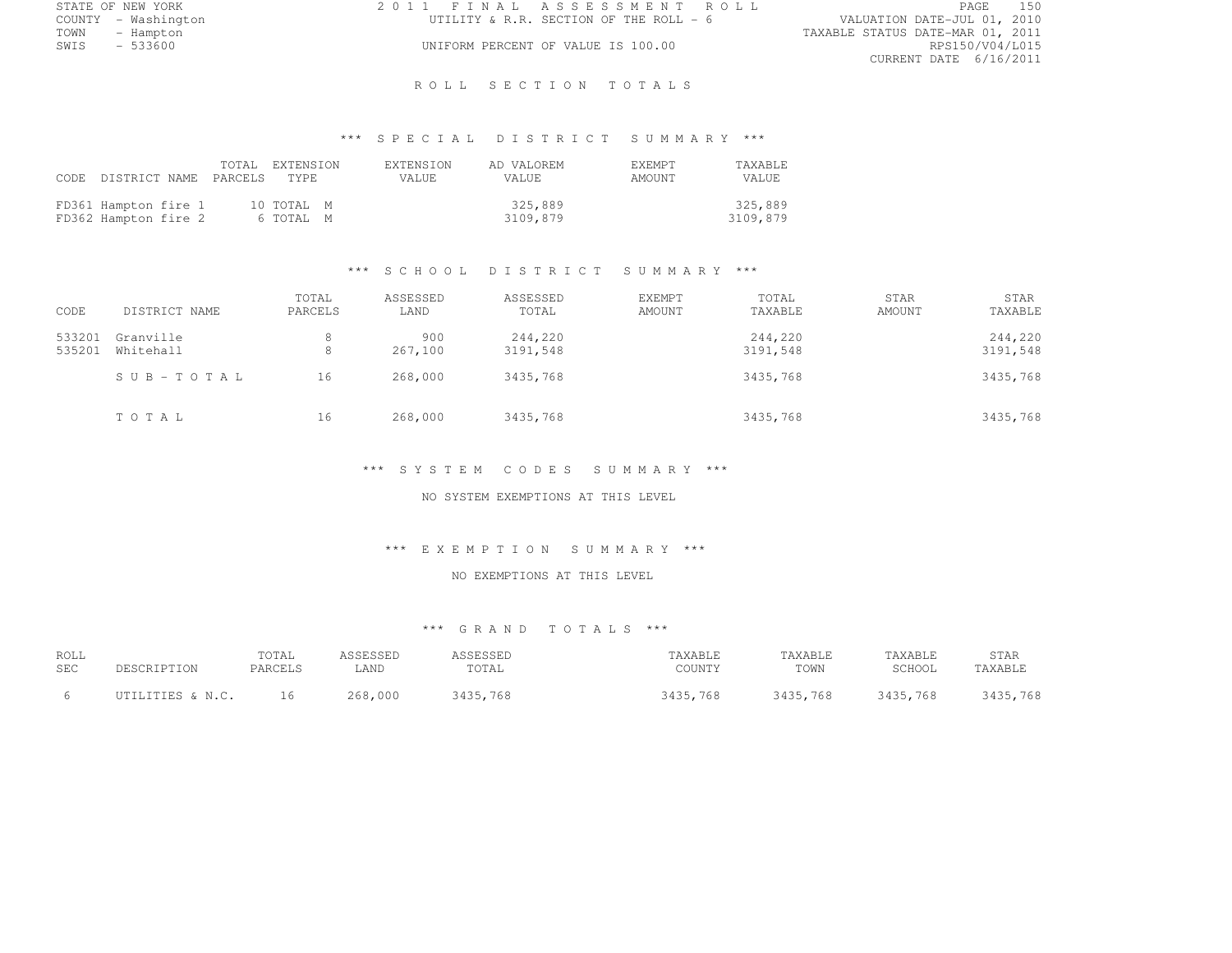|      | STATE OF NEW YORK   | 2011 FINAL ASSESSMENT ROLL             | 150<br>PAGE                      |
|------|---------------------|----------------------------------------|----------------------------------|
|      | COUNTY - Washington | UTILITY & R.R. SECTION OF THE ROLL - 6 | VALUATION DATE-JUL 01, 2010      |
| TOWN | - Hampton           |                                        | TAXABLE STATUS DATE-MAR 01, 2011 |
| SWIS | - 533600            | UNIFORM PERCENT OF VALUE IS 100.00     | RPS150/V04/L015                  |
|      |                     |                                        | CURRENT DATE 6/16/2011           |

### ROLL SECTION TOTALS

# \*\*\* S P E C I A L D I S T R I C T S U M M A R Y \*\*\*

|                                              | CODE DISTRICT NAME PARCELS TYPE | TOTAL EXTENSION         | <b>EXTENSION</b><br>VALUE. | AD VALOREM<br>VALUE. | <b>EXEMPT</b><br>AMOUNT | TAXABLE<br>VALUE    |
|----------------------------------------------|---------------------------------|-------------------------|----------------------------|----------------------|-------------------------|---------------------|
| FD361 Hampton fire 1<br>FD362 Hampton fire 2 |                                 | 10 TOTAL M<br>6 TOTAL M |                            | 325,889<br>3109,879  |                         | 325,889<br>3109,879 |

### \*\*\* S C H O O L D I S T R I C T S U M M A R Y \*\*\*

| CODE             | DISTRICT NAME          | TOTAL<br>PARCELS | ASSESSED<br>LAND | ASSESSED<br>TOTAL   | EXEMPT<br>AMOUNT | TOTAL<br>TAXABLE    | STAR<br>AMOUNT | STAR<br>TAXABLE     |
|------------------|------------------------|------------------|------------------|---------------------|------------------|---------------------|----------------|---------------------|
| 533201<br>535201 | Granville<br>Whitehall | 8<br>8           | 900<br>267,100   | 244,220<br>3191,548 |                  | 244,220<br>3191,548 |                | 244,220<br>3191,548 |
|                  | SUB-TOTAL              | 16               | 268,000          | 3435,768            |                  | 3435,768            |                | 3435,768            |
|                  | TOTAL                  | 16               | 268,000          | 3435,768            |                  | 3435,768            |                | 3435,768            |

#### \*\*\* S Y S T E M C O D E S S U M M A R Y \*\*\*

NO SYSTEM EXEMPTIONS AT THIS LEVEL

#### \*\*\* E X E M P T I O N S U M M A R Y \*\*\*

### NO EXEMPTIONS AT THIS LEVEL

| ROLL       |                  | TOTAL   | ASSESSED | ASSESSED | TAXABLE  | TAXABLE  | TAXABLE  | STAR     |
|------------|------------------|---------|----------|----------|----------|----------|----------|----------|
| <b>SEC</b> | DESCRIPTION      | PARCELS | LAND     | TOTAL    | COUNTY   | TOWN     | SCHOOL   | TAXABLE  |
|            | UTILITIES & N.C. | 16      | 268,000  | 3435,768 | 3435,768 | 3435,768 | 3435,768 | 3435,768 |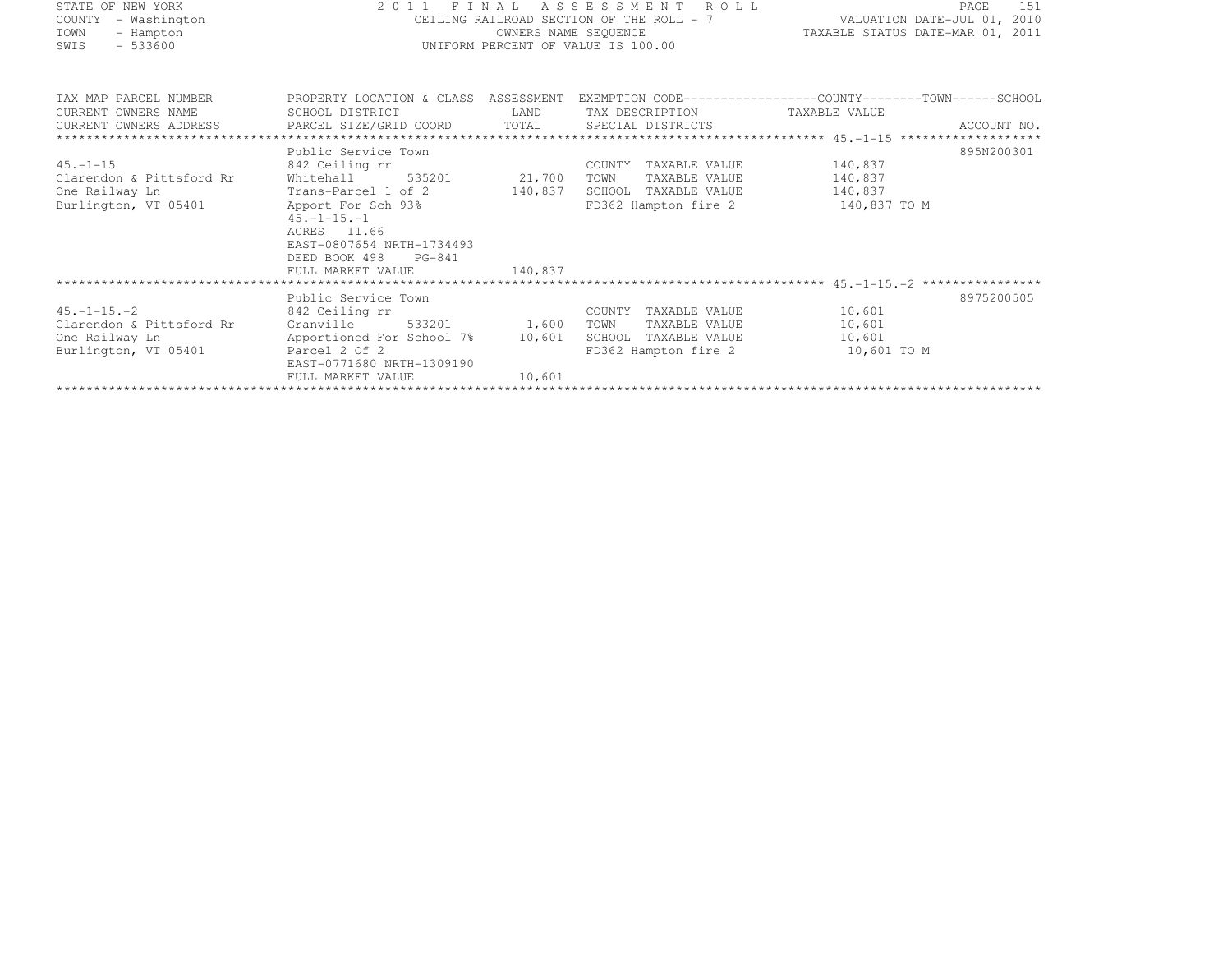| STATE OF NEW YORK        |                                                                                       |         | 2011 FINAL ASSESSMENT ROLL               | PAGE<br>151                                                   |
|--------------------------|---------------------------------------------------------------------------------------|---------|------------------------------------------|---------------------------------------------------------------|
| COUNTY<br>- Washington   |                                                                                       |         | CEILING RAILROAD SECTION OF THE ROLL - 7 | VALUATION DATE-JUL 01, 2010                                   |
| TOWN<br>- Hampton        |                                                                                       |         | OWNERS NAME SEQUENCE                     | TAXABLE STATUS DATE-MAR 01, 2011                              |
| $-533600$<br>SWIS        |                                                                                       |         | UNIFORM PERCENT OF VALUE IS 100.00       |                                                               |
| TAX MAP PARCEL NUMBER    | PROPERTY LOCATION & CLASS ASSESSMENT                                                  |         |                                          | EXEMPTION CODE-----------------COUNTY--------TOWN------SCHOOL |
| CURRENT OWNERS NAME      | SCHOOL DISTRICT                                                                       | LAND    | TAX DESCRIPTION                          | TAXABLE VALUE                                                 |
| CURRENT OWNERS ADDRESS   | PARCEL SIZE/GRID COORD                                                                | TOTAL   | SPECIAL DISTRICTS                        | ACCOUNT NO.                                                   |
|                          |                                                                                       |         |                                          |                                                               |
|                          | Public Service Town                                                                   |         |                                          | 895N200301                                                    |
| $45. - 1 - 15$           | 842 Ceiling rr                                                                        |         | COUNTY<br>TAXABLE VALUE                  | 140,837                                                       |
| Clarendon & Pittsford Rr | Whitehall<br>535201                                                                   | 21,700  | TOWN<br>TAXABLE VALUE                    | 140,837                                                       |
| One Railway Ln           | Trans-Parcel 1 of 2                                                                   | 140,837 | SCHOOL<br>TAXABLE VALUE                  | 140,837                                                       |
| Burlington, VT 05401     | Apport For Sch 93%<br>$45. - 1 - 15. - 1$<br>ACRES 11.66<br>EAST-0807654 NRTH-1734493 |         | FD362 Hampton fire 2                     | 140,837 TO M                                                  |
|                          | DEED BOOK 498<br>$PG-841$<br>FULL MARKET VALUE                                        | 140,837 |                                          |                                                               |
|                          |                                                                                       |         |                                          |                                                               |
|                          | Public Service Town                                                                   |         |                                          | 8975200505                                                    |
| $45. -1 - 15. -2$        | 842 Ceiling rr                                                                        |         | TAXABLE VALUE<br>COUNTY                  | 10,601                                                        |
| Clarendon & Pittsford Rr | Granville<br>533201                                                                   | 1,600   | TAXABLE VALUE<br>TOWN                    | 10,601                                                        |
| One Railway Ln           | Apportioned For School 7%                                                             | 10,601  | SCHOOL<br>TAXABLE VALUE                  | 10,601                                                        |
| Burlington, VT 05401     | Parcel 2 Of 2<br>EAST-0771680 NRTH-1309190                                            |         | FD362 Hampton fire 2                     | 10,601 TO M                                                   |

FULL MARKET VALUE 10,601 \*\*\*\*\*\*\*\*\*\*\*\*\*\*\*\*\*\*\*\*\*\*\*\*\*\*\*\*\*\*\*\*\*\*\*\*\*\*\*\*\*\*\*\*\*\*\*\*\*\*\*\*\*\*\*\*\*\*\*\*\*\*\*\*\*\*\*\*\*\*\*\*\*\*\*\*\*\*\*\*\*\*\*\*\*\*\*\*\*\*\*\*\*\*\*\*\*\*\*\*\*\*\*\*\*\*\*\*\*\*\*\*\*\*\*\*\*\*\*\*\*\*\*\*\*\*\*\*\*\*\*\*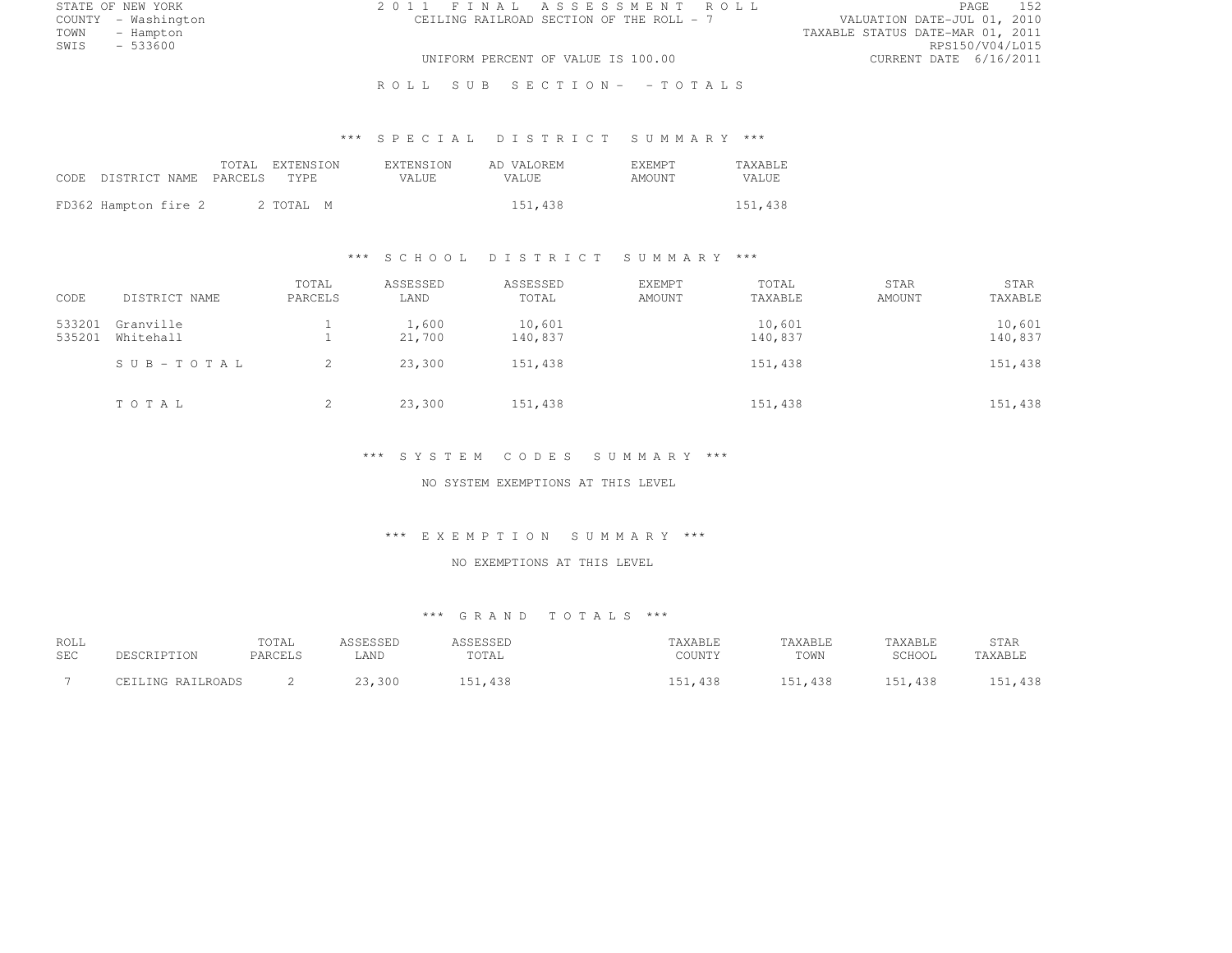| STATE OF NEW YORK   | 2011 FINAL ASSESSMENT ROLL               | PAGE                             |
|---------------------|------------------------------------------|----------------------------------|
| COUNTY - Washington | CEILING RAILROAD SECTION OF THE ROLL - 7 | VALUATION DATE-JUL 01, 2010      |
| TOWN<br>- Hampton   |                                          | TAXABLE STATUS DATE-MAR 01, 2011 |
| $-533600$<br>SWIS   |                                          | RPS150/V04/L015                  |
|                     | UNIFORM PERCENT OF VALUE IS 100.00       | CURRENT DATE 6/16/2011           |
|                     |                                          |                                  |

R O L L S U B S E C T I O N - - T O T A L S

# \*\*\* S P E C I A L D I S T R I C T S U M M A R Y \*\*\*

| CODE DISTRICT NAME PARCELS TYPE |  | TOTAL EXTENSION | <b>EXTENSION</b><br>VALUE. | AD VALOREM<br>VALUE. | <b>F.XF.MPT</b><br>AMOUNT | <b>TAXABLE</b><br>VALUE |
|---------------------------------|--|-----------------|----------------------------|----------------------|---------------------------|-------------------------|
| FD362 Hampton fire 2            |  | 2 TOTAL M       |                            | 151,438              |                           | 151,438                 |

### \*\*\* S C H O O L D I S T R I C T S U M M A R Y \*\*\*

| CODE             | DISTRICT NAME          | TOTAL<br>PARCELS | ASSESSED<br>LAND | ASSESSED<br>TOTAL | EXEMPT<br><b>AMOUNT</b> | TOTAL<br>TAXABLE  | <b>STAR</b><br>AMOUNT | STAR<br>TAXABLE   |
|------------------|------------------------|------------------|------------------|-------------------|-------------------------|-------------------|-----------------------|-------------------|
|                  |                        |                  |                  |                   |                         |                   |                       |                   |
| 533201<br>535201 | Granville<br>Whitehall |                  | 1,600<br>21,700  | 10,601<br>140,837 |                         | 10,601<br>140,837 |                       | 10,601<br>140,837 |
|                  |                        |                  |                  |                   |                         |                   |                       |                   |
|                  | SUB-TOTAL              | 2                | 23,300           | 151,438           |                         | 151,438           |                       | 151,438           |
|                  |                        |                  |                  |                   |                         |                   |                       |                   |
|                  | TOTAL                  | 2                | 23,300           | 151,438           |                         | 151,438           |                       | 151,438           |
|                  |                        |                  |                  |                   |                         |                   |                       |                   |

### \*\*\* S Y S T E M C O D E S S U M M A R Y \*\*\*

NO SYSTEM EXEMPTIONS AT THIS LEVEL

#### \*\*\* E X E M P T I O N S U M M A R Y \*\*\*

### NO EXEMPTIONS AT THIS LEVEL

| ROLL<br><b>SEC</b> | DESCRIPTION       | TOTAL<br>PARCELS | ASSESSED<br>LAND | ASSESSED<br>TOTAL | TAXABLE<br>COUNTY | TAXABLE<br>TOWN | TAXABLE<br>SCHOOL | STAR<br>TAXABLE |
|--------------------|-------------------|------------------|------------------|-------------------|-------------------|-----------------|-------------------|-----------------|
|                    | CEILING RAILROADS |                  | 23,300           | 151,438           | 151.438           | 151,438         | 151,438           | 151,438         |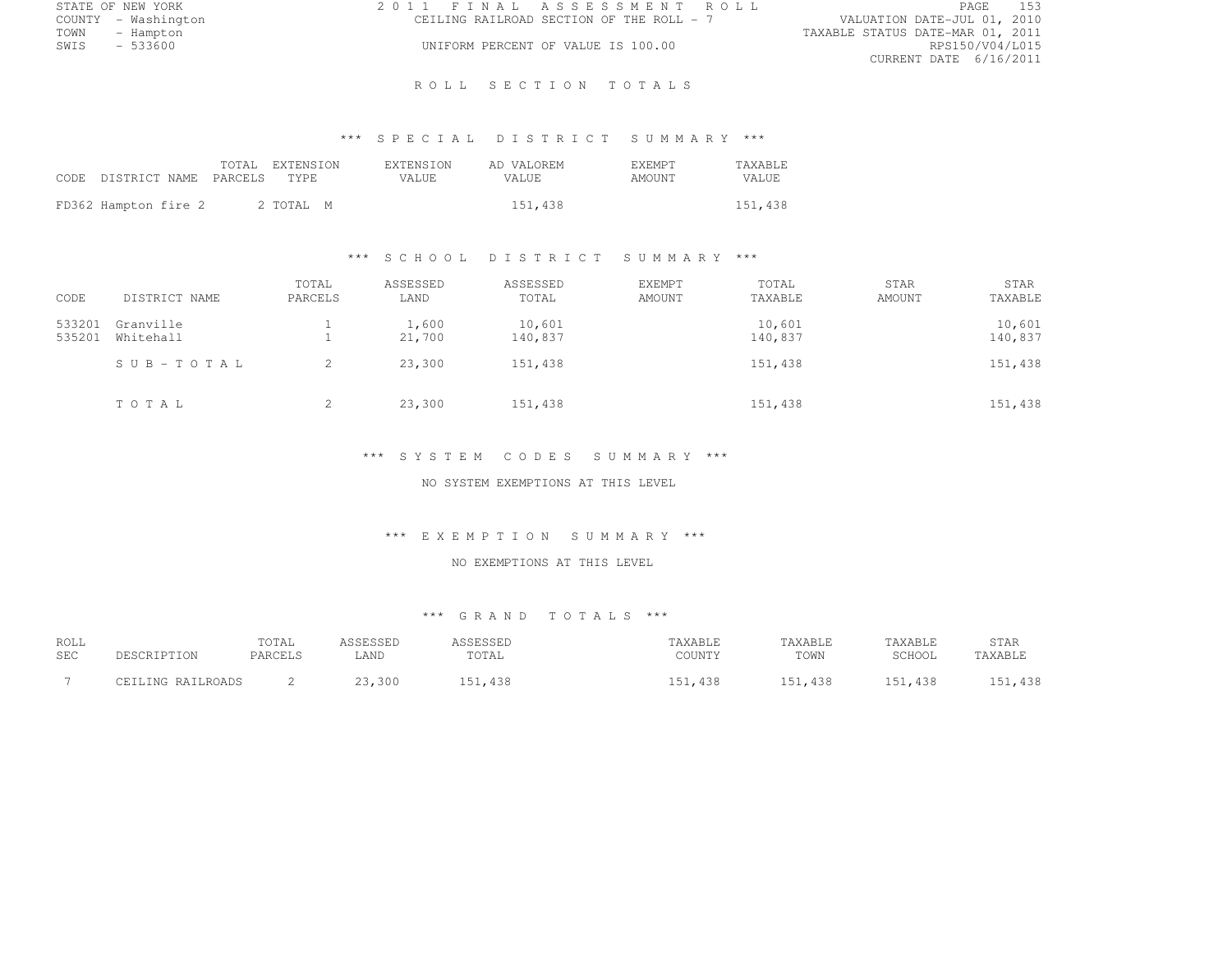|      | STATE OF NEW YORK   | 2011 FINAL ASSESSMENT ROLL |                                          |                                  | PAGE                   | 153 |
|------|---------------------|----------------------------|------------------------------------------|----------------------------------|------------------------|-----|
|      | COUNTY - Washington |                            | CEILING RAILROAD SECTION OF THE ROLL - 7 | VALUATION DATE-JUL 01, 2010      |                        |     |
| TOWN | - Hampton           |                            |                                          | TAXABLE STATUS DATE-MAR 01, 2011 |                        |     |
| SWIS | - 533600            |                            | UNIFORM PERCENT OF VALUE IS 100.00       |                                  | RPS150/V04/L015        |     |
|      |                     |                            |                                          |                                  | CURRENT DATE 6/16/2011 |     |

### ROLL SECTION TOTALS

# \*\*\* S P E C I A L D I S T R I C T S U M M A R Y \*\*\*

| CODE DISTRICT NAME PARCELS TYPE |  | TOTAL EXTENSION | <b>EXTENSION</b><br>VALUE. | AD VALOREM<br>VALUE. | <b>F.XEMPT</b><br>AMOUNT | <b>TAXABLE</b><br>VALUE. |
|---------------------------------|--|-----------------|----------------------------|----------------------|--------------------------|--------------------------|
| FD362 Hampton fire 2            |  | 2 TOTAL M       |                            | 151,438              |                          | 151,438                  |

#### \*\*\* S C H O O L D I S T R I C T S U M M A R Y \*\*\*

| CODE             | DISTRICT NAME          | TOTAL<br>PARCELS | ASSESSED<br>LAND | ASSESSED<br>TOTAL | EXEMPT<br>AMOUNT | TOTAL<br>TAXABLE  | <b>STAR</b><br>AMOUNT | STAR<br>TAXABLE   |
|------------------|------------------------|------------------|------------------|-------------------|------------------|-------------------|-----------------------|-------------------|
| 533201<br>535201 | Granville<br>Whitehall |                  | 1,600<br>21,700  | 10,601<br>140,837 |                  | 10,601<br>140,837 |                       | 10,601<br>140,837 |
|                  | SUB-TOTAL              |                  | 23,300           | 151,438           |                  | 151,438           |                       | 151,438           |
|                  | TOTAL                  | 2                | 23,300           | 151,438           |                  | 151,438           |                       | 151,438           |

### \*\*\* S Y S T E M C O D E S S U M M A R Y \*\*\*

NO SYSTEM EXEMPTIONS AT THIS LEVEL

#### \*\*\* E X E M P T I O N S U M M A R Y \*\*\*

### NO EXEMPTIONS AT THIS LEVEL

| ROLL       |                   | TOTAL   | ASSESSED | ASSESSED | TAXABLE | TAXABLE     | TAXABLE        | STAR    |
|------------|-------------------|---------|----------|----------|---------|-------------|----------------|---------|
| <b>SEC</b> | DESCRIPTION       | PARCELS | LAND     | TOTAL    | COUNTY  | TOWN        | SCHOOL         | TAXABLE |
|            | CEILING RAILROADS |         | 23,300   | 151,438  | , 438   | 151<br>.438 | 151<br>151,438 | 151,438 |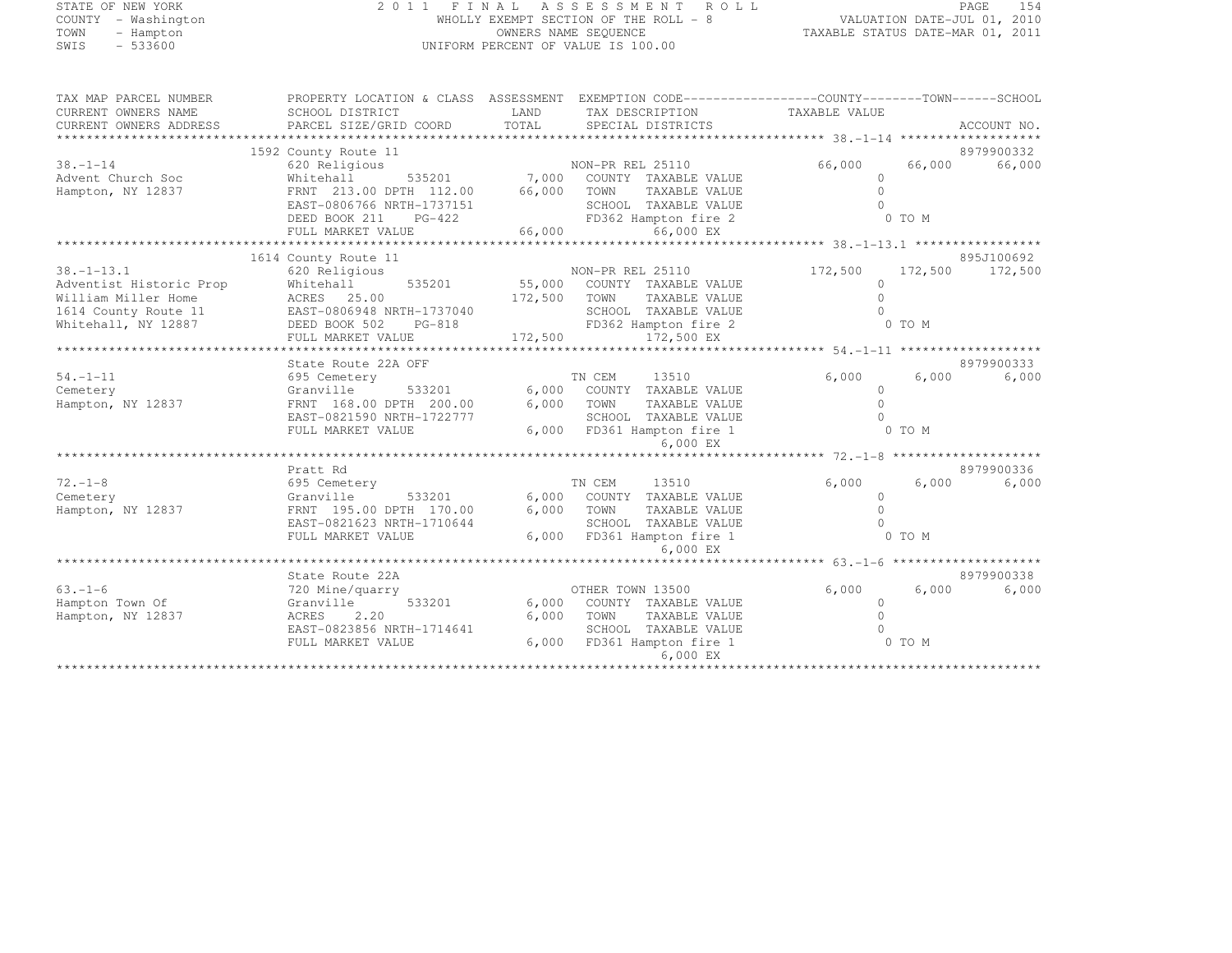### STATE OF NEW YORK 2 0 1 1 F I N A L A S S E S S M E N T R O L L PAGE <sup>154</sup> COUNTY - Washington WHOLLY EXEMPT SECTION OF THE ROLL - 8 VALUATION DATE-JUL 01, 2010 TOWN - Hampton OWNERS NAME SEQUENCE TAXABLE STATUS DATE-MAR 01, 2011 SWIS - 533600 UNIFORM PERCENT OF VALUE IS 100.00

| TAX MAP PARCEL NUMBER   | PROPERTY LOCATION & CLASS ASSESSMENT  |         | EXEMPTION CODE-----------------COUNTY-------TOWN------SCHOOL |               |         |             |
|-------------------------|---------------------------------------|---------|--------------------------------------------------------------|---------------|---------|-------------|
| CURRENT OWNERS NAME     | SCHOOL DISTRICT                       | LAND    | TAX DESCRIPTION                                              | TAXABLE VALUE |         |             |
| CURRENT OWNERS ADDRESS  | PARCEL SIZE/GRID COORD                | TOTAL   | SPECIAL DISTRICTS                                            |               |         | ACCOUNT NO. |
|                         |                                       |         |                                                              |               |         |             |
|                         | 1592 County Route 11                  |         |                                                              |               |         | 8979900332  |
| $38 - 1 - 14$           | 620 Religious                         |         | NON-PR REL 25110                                             | 66,000        | 66,000  | 66,000      |
| Advent Church Soc       | 535201<br>Whitehall                   | 7,000   | COUNTY TAXABLE VALUE                                         | $\Omega$      |         |             |
| Hampton, NY 12837       | FRNT 213.00 DPTH 112.00               | 66,000  | TOWN<br>TAXABLE VALUE                                        | $\Omega$      |         |             |
|                         | EAST-0806766 NRTH-1737151             |         | SCHOOL TAXABLE VALUE                                         | $\Omega$      |         |             |
|                         | DEED BOOK 211<br>$PG-422$             |         | FD362 Hampton fire 2                                         |               | 0 TO M  |             |
|                         | FULL MARKET VALUE                     | 66,000  | 66,000 EX                                                    |               |         |             |
|                         |                                       |         |                                                              |               |         |             |
|                         | 1614 County Route 11                  |         |                                                              |               |         | 895J100692  |
| $38. - 1 - 13.1$        | 620 Religious                         |         | NON-PR REL 25110                                             | 172,500       | 172,500 | 172,500     |
| Adventist Historic Prop | Whitehall<br>535201                   | 55,000  | COUNTY TAXABLE VALUE                                         | 0             |         |             |
| William Miller Home     | ACRES 25.00                           | 172,500 | TAXABLE VALUE<br>TOWN                                        | $\cap$        |         |             |
| 1614 County Route 11    | EAST-0806948 NRTH-1737040             |         | SCHOOL TAXABLE VALUE                                         |               |         |             |
| Whitehall, NY 12887     | DEED BOOK 502<br>PG-818               |         | FD362 Hampton fire 2                                         |               | 0 TO M  |             |
|                         | FULL MARKET VALUE                     | 172,500 | 172,500 EX                                                   |               |         |             |
|                         |                                       |         |                                                              |               |         |             |
|                         | State Route 22A OFF                   |         |                                                              |               |         | 8979900333  |
| $54. - 1 - 11$          | 695 Cemetery                          |         | TN CEM<br>13510                                              | 6,000         | 6,000   | 6,000       |
| Cemetery                | 533201<br>Granville                   | 6,000   | COUNTY TAXABLE VALUE                                         | $\Omega$      |         |             |
| Hampton, NY 12837       | FRNT 168.00 DPTH 200.00               | 6,000   | TOWN<br>TAXABLE VALUE                                        | $\cap$        |         |             |
|                         | EAST-0821590 NRTH-1722777             |         | SCHOOL TAXABLE VALUE                                         | <sup>n</sup>  |         |             |
|                         | FULL MARKET VALUE                     |         | 6,000 FD361 Hampton fire 1                                   |               | 0 TO M  |             |
|                         |                                       |         | 6,000 EX                                                     |               |         |             |
|                         |                                       |         |                                                              |               |         |             |
|                         | Pratt Rd                              |         |                                                              |               |         | 8979900336  |
| $72. - 1 - 8$           | 695 Cemetery                          |         | TN CEM<br>13510                                              | 6,000         | 6,000   | 6,000       |
| Cemetery                | Granville<br>533201                   | 6,000   | COUNTY TAXABLE VALUE                                         | $\Omega$      |         |             |
| Hampton, NY 12837       | FRNT 195.00 DPTH 170.00               | 6,000   | TOWN<br>TAXABLE VALUE                                        | $\cap$        |         |             |
|                         | EAST-0821623 NRTH-1710644             |         | SCHOOL TAXABLE VALUE                                         |               |         |             |
|                         | FULL MARKET VALUE                     | 6,000   | FD361 Hampton fire 1                                         |               | 0 TO M  |             |
|                         |                                       |         | 6,000 EX                                                     |               |         |             |
|                         |                                       |         |                                                              |               |         |             |
|                         | State Route 22A                       |         |                                                              |               |         | 8979900338  |
| $63. - 1 - 6$           | 720 Mine/quarry                       |         | OTHER TOWN 13500                                             | 6,000         | 6,000   | 6,000       |
| Hampton Town Of         | 533201<br>Granville                   | 6,000   | COUNTY TAXABLE VALUE                                         | $\Omega$      |         |             |
| Hampton, NY 12837       | ACRES<br>2.20                         | 6,000   | TOWN<br>TAXABLE VALUE                                        |               |         |             |
|                         | EAST-0823856 NRTH-1714641             |         | SCHOOL TAXABLE VALUE                                         |               |         |             |
|                         | FULL MARKET VALUE                     | 6,000   | FD361 Hampton fire 1                                         |               | 0 TO M  |             |
|                         |                                       |         | 6,000 EX                                                     |               |         |             |
|                         | ************************************* |         | **********************                                       |               |         |             |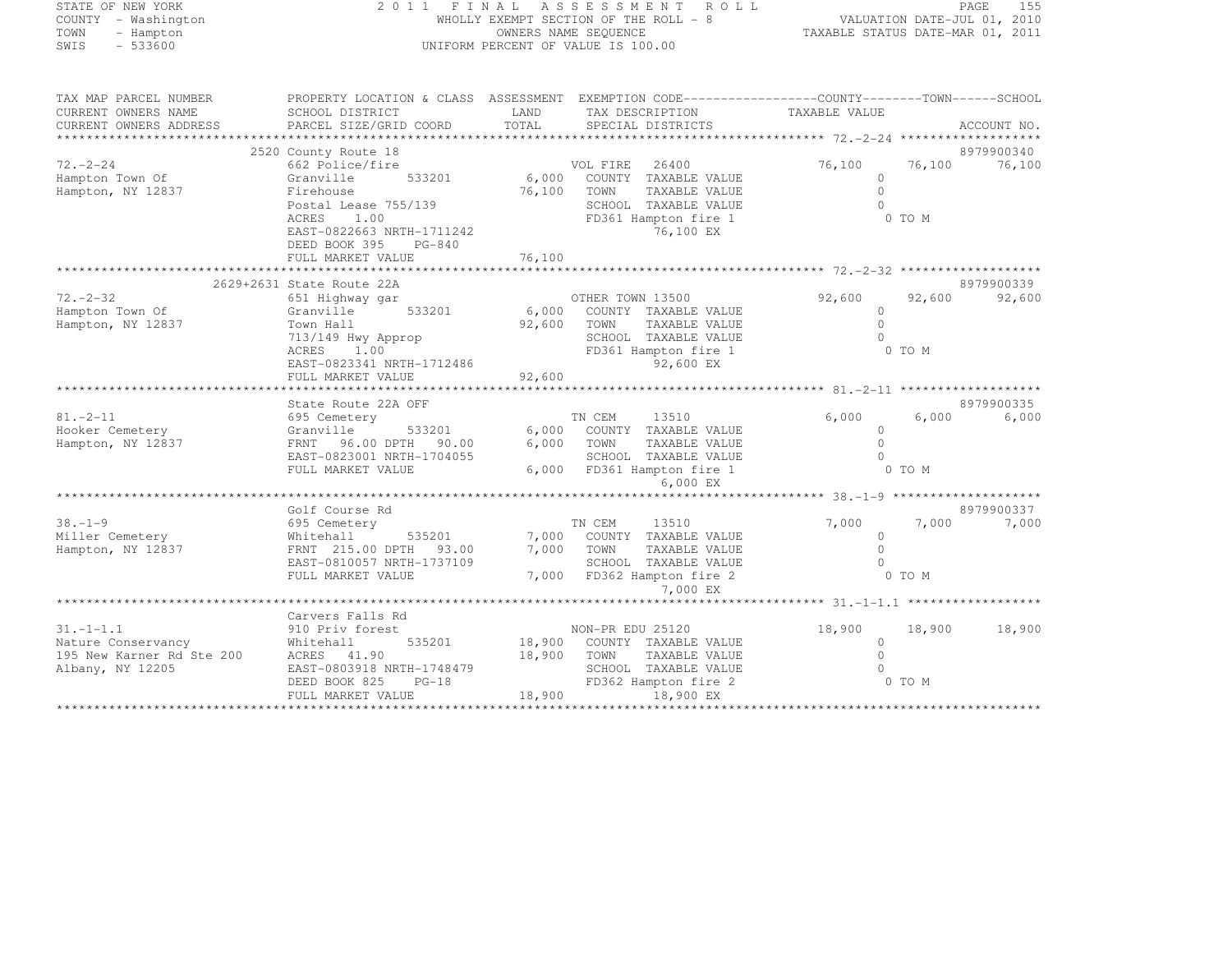### STATE OF NEW YORK 2 0 1 1 F I N A L A S S E S S M E N T R O L L PAGE <sup>155</sup> COUNTY - Washington WHOLLY EXEMPT SECTION OF THE ROLL - 8 VALUATION DATE-JUL 01, 2010 TOWN - Hampton OWNERS NAME SEQUENCE TAXABLE STATUS DATE-MAR 01, 2011 SWIS - 533600 UNIFORM PERCENT OF VALUE IS 100.00

| 2520 County Route 18<br>8979900340<br>$72 - 2 - 24$<br>76,100<br>76,100<br>662 Police/fire<br>VOL FIRE<br>26400<br>76,100<br>6,000 COUNTY TAXABLE VALUE<br>Hampton Town Of<br>533201<br>$\Omega$<br>Granville<br>Hampton, NY 12837<br>76,100<br>TAXABLE VALUE<br>$\Omega$<br>Firehouse<br>TOWN<br>Postal Lease 755/139<br>SCHOOL TAXABLE VALUE<br>$\cap$<br>FD361 Hampton fire 1<br>ACRES<br>1.00<br>0 TO M<br>EAST-0822663 NRTH-1711242<br>76,100 EX<br>DEED BOOK 395<br>$PG-840$<br>76,100<br>FULL MARKET VALUE<br>2629+2631 State Route 22A<br>8979900339<br>$72. - 2 - 32$<br>92,600<br>92,600<br>OTHER TOWN 13500<br>92,600<br>651 Highway gar<br>Hampton Town Of<br>6,000<br>Granville<br>533201<br>COUNTY TAXABLE VALUE<br>$\Omega$<br>92,600<br>$\Omega$<br>Hampton, NY 12837<br>Town Hall<br>TOWN<br>TAXABLE VALUE<br>$\cap$ |
|---------------------------------------------------------------------------------------------------------------------------------------------------------------------------------------------------------------------------------------------------------------------------------------------------------------------------------------------------------------------------------------------------------------------------------------------------------------------------------------------------------------------------------------------------------------------------------------------------------------------------------------------------------------------------------------------------------------------------------------------------------------------------------------------------------------------------------------|
|                                                                                                                                                                                                                                                                                                                                                                                                                                                                                                                                                                                                                                                                                                                                                                                                                                       |
|                                                                                                                                                                                                                                                                                                                                                                                                                                                                                                                                                                                                                                                                                                                                                                                                                                       |
|                                                                                                                                                                                                                                                                                                                                                                                                                                                                                                                                                                                                                                                                                                                                                                                                                                       |
|                                                                                                                                                                                                                                                                                                                                                                                                                                                                                                                                                                                                                                                                                                                                                                                                                                       |
|                                                                                                                                                                                                                                                                                                                                                                                                                                                                                                                                                                                                                                                                                                                                                                                                                                       |
|                                                                                                                                                                                                                                                                                                                                                                                                                                                                                                                                                                                                                                                                                                                                                                                                                                       |
|                                                                                                                                                                                                                                                                                                                                                                                                                                                                                                                                                                                                                                                                                                                                                                                                                                       |
|                                                                                                                                                                                                                                                                                                                                                                                                                                                                                                                                                                                                                                                                                                                                                                                                                                       |
|                                                                                                                                                                                                                                                                                                                                                                                                                                                                                                                                                                                                                                                                                                                                                                                                                                       |
| 713/149 Hwy Approp<br>SCHOOL TAXABLE VALUE                                                                                                                                                                                                                                                                                                                                                                                                                                                                                                                                                                                                                                                                                                                                                                                            |
| FD361 Hampton fire 1<br>0 TO M<br>ACRES<br>1.00                                                                                                                                                                                                                                                                                                                                                                                                                                                                                                                                                                                                                                                                                                                                                                                       |
| EAST-0823341 NRTH-1712486<br>92,600 EX                                                                                                                                                                                                                                                                                                                                                                                                                                                                                                                                                                                                                                                                                                                                                                                                |
| 92,600<br>FULL MARKET VALUE                                                                                                                                                                                                                                                                                                                                                                                                                                                                                                                                                                                                                                                                                                                                                                                                           |
|                                                                                                                                                                                                                                                                                                                                                                                                                                                                                                                                                                                                                                                                                                                                                                                                                                       |
| 8979900335<br>State Route 22A OFF<br>$81. - 2 - 11$<br>TN CEM<br>13510<br>6,000<br>6,000<br>6,000<br>695 Cemetery                                                                                                                                                                                                                                                                                                                                                                                                                                                                                                                                                                                                                                                                                                                     |
| Hooker Cemetery<br>6,000<br>533201<br>COUNTY TAXABLE VALUE<br>Granville<br>$\circ$                                                                                                                                                                                                                                                                                                                                                                                                                                                                                                                                                                                                                                                                                                                                                    |
| $\Omega$<br>Hampton, NY 12837<br>FRNT 96.00 DPTH 90.00<br>6,000<br>TOWN<br>TAXABLE VALUE                                                                                                                                                                                                                                                                                                                                                                                                                                                                                                                                                                                                                                                                                                                                              |
| EAST-0823001 NRTH-1704055<br>SCHOOL TAXABLE VALUE                                                                                                                                                                                                                                                                                                                                                                                                                                                                                                                                                                                                                                                                                                                                                                                     |
| 6,000 FD361 Hampton fire 1<br>0 TO M<br>FULL MARKET VALUE                                                                                                                                                                                                                                                                                                                                                                                                                                                                                                                                                                                                                                                                                                                                                                             |
| 6,000 EX                                                                                                                                                                                                                                                                                                                                                                                                                                                                                                                                                                                                                                                                                                                                                                                                                              |
|                                                                                                                                                                                                                                                                                                                                                                                                                                                                                                                                                                                                                                                                                                                                                                                                                                       |
| 8979900337<br>Golf Course Rd                                                                                                                                                                                                                                                                                                                                                                                                                                                                                                                                                                                                                                                                                                                                                                                                          |
| $38. - 1 - 9$<br>TN CEM<br>13510<br>7,000<br>7,000<br>7,000<br>695 Cemetery                                                                                                                                                                                                                                                                                                                                                                                                                                                                                                                                                                                                                                                                                                                                                           |
| Miller Cemetery<br>7,000 COUNTY TAXABLE VALUE<br>Whitehall<br>535201<br>$\circ$                                                                                                                                                                                                                                                                                                                                                                                                                                                                                                                                                                                                                                                                                                                                                       |
| 7,000<br>TAXABLE VALUE<br>$\Omega$<br>Hampton, NY 12837<br>FRNT 215.00 DPTH 93.00<br>TOWN                                                                                                                                                                                                                                                                                                                                                                                                                                                                                                                                                                                                                                                                                                                                             |
| EAST-0810057 NRTH-1737109<br>SCHOOL TAXABLE VALUE<br>$\Omega$                                                                                                                                                                                                                                                                                                                                                                                                                                                                                                                                                                                                                                                                                                                                                                         |
| 0 TO M<br>FULL MARKET VALUE<br>7,000 FD362 Hampton fire 2                                                                                                                                                                                                                                                                                                                                                                                                                                                                                                                                                                                                                                                                                                                                                                             |
| 7,000 EX                                                                                                                                                                                                                                                                                                                                                                                                                                                                                                                                                                                                                                                                                                                                                                                                                              |
| Carvers Falls Rd                                                                                                                                                                                                                                                                                                                                                                                                                                                                                                                                                                                                                                                                                                                                                                                                                      |
| $31. - 1 - 1.1$<br>18,900<br>910 Priv forest<br>NON-PR EDU 25120<br>18,900<br>18,900                                                                                                                                                                                                                                                                                                                                                                                                                                                                                                                                                                                                                                                                                                                                                  |
| Nature Conservancy<br>18,900<br>Whitehall<br>535201<br>COUNTY TAXABLE VALUE<br>$\Omega$                                                                                                                                                                                                                                                                                                                                                                                                                                                                                                                                                                                                                                                                                                                                               |
| 195 New Karner Rd Ste 200<br>18,900<br>$\Omega$<br>ACRES 41.90<br>TOWN<br>TAXABLE VALUE                                                                                                                                                                                                                                                                                                                                                                                                                                                                                                                                                                                                                                                                                                                                               |
| SCHOOL TAXABLE VALUE<br>Albany, NY 12205<br>EAST-0803918 NRTH-1748479                                                                                                                                                                                                                                                                                                                                                                                                                                                                                                                                                                                                                                                                                                                                                                 |
| 0 TO M<br>DEED BOOK 825<br>$PG-18$<br>FD362 Hampton fire 2                                                                                                                                                                                                                                                                                                                                                                                                                                                                                                                                                                                                                                                                                                                                                                            |
| 18,900<br>FULL MARKET VALUE<br>18,900 EX                                                                                                                                                                                                                                                                                                                                                                                                                                                                                                                                                                                                                                                                                                                                                                                              |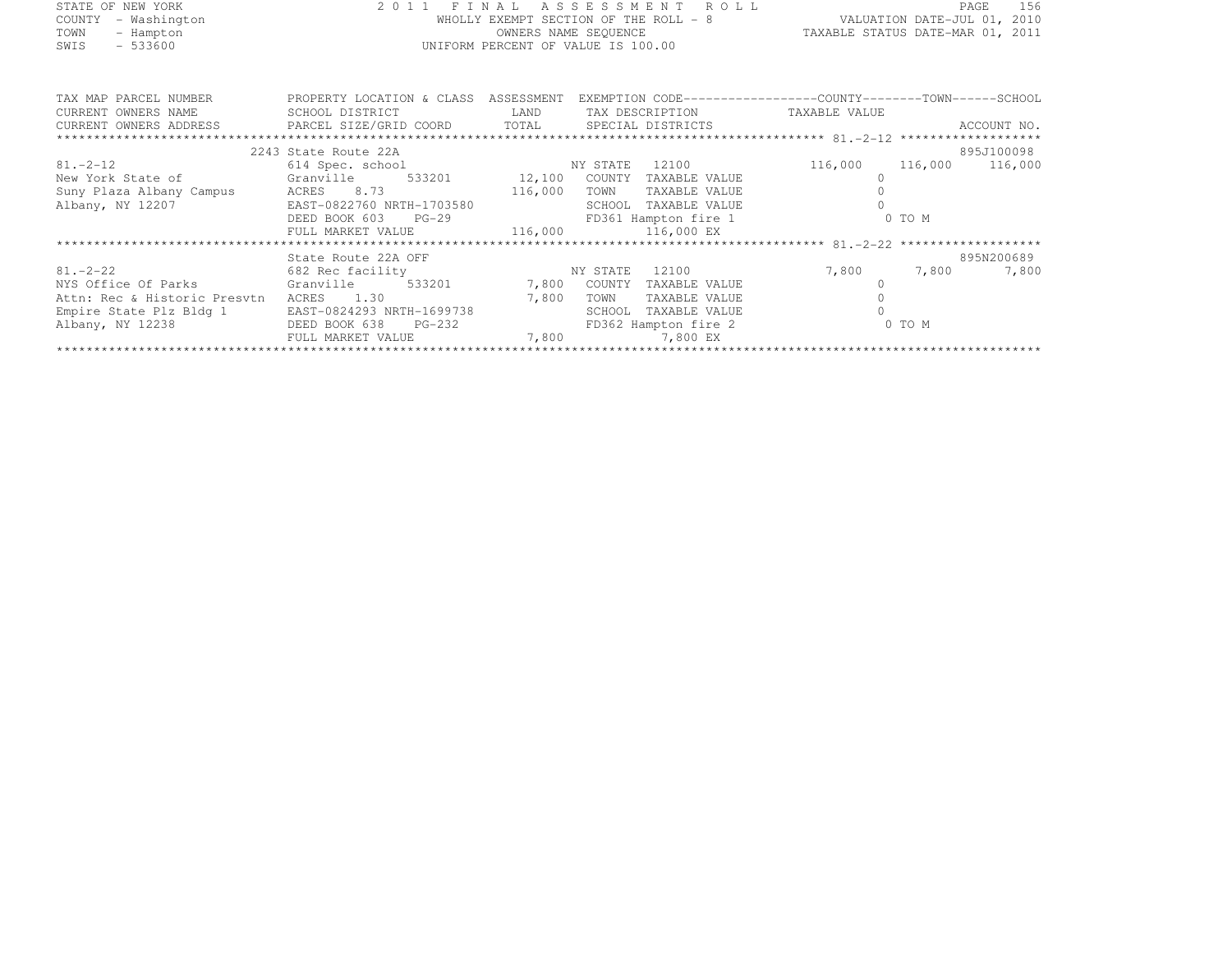| STATE OF NEW YORK   | 2011 FINAL ASSESSMENT ROLL            | 156<br>PAGE                      |
|---------------------|---------------------------------------|----------------------------------|
| COUNTY - Washington | WHOLLY EXEMPT SECTION OF THE ROLL - 8 | VALUATION DATE-JUL 01, 2010      |
| TOWN<br>- Hampton   | OWNERS NAME SEOUENCE                  | TAXABLE STATUS DATE-MAR 01, 2011 |
| $-533600$<br>SWIS   | UNIFORM PERCENT OF VALUE IS 100.00    |                                  |
|                     |                                       |                                  |
|                     |                                       |                                  |

| TAX MAP PARCEL NUMBER<br>CURRENT OWNERS NAME                          | PROPERTY LOCATION & CLASS<br>SCHOOL DISTRICT | ASSESSMENT<br>LAND | TAX DESCRIPTION         | EXEMPTION CODE-----------------COUNTY--------TOWN------SCHOOL<br>TAXABLE VALUE |        |             |  |  |
|-----------------------------------------------------------------------|----------------------------------------------|--------------------|-------------------------|--------------------------------------------------------------------------------|--------|-------------|--|--|
| CURRENT OWNERS ADDRESS FARCEL SIZE/GRID COORD TOTAL SPECIAL DISTRICTS |                                              |                    |                         |                                                                                |        | ACCOUNT NO. |  |  |
|                                                                       |                                              |                    |                         |                                                                                |        |             |  |  |
|                                                                       | 2243 State Route 22A                         |                    |                         |                                                                                |        | 895J100098  |  |  |
| $81. -2 - 12$                                                         | 614 Spec. school NY STATE                    |                    | 12100                   | 116,000 116,000                                                                |        | 116,000     |  |  |
| New York State of Granville 533201 12,100                             |                                              |                    | COUNTY<br>TAXABLE VALUE |                                                                                |        |             |  |  |
| Suny Plaza Albany Campus ACRES 8.73                                   | 116,000                                      |                    | TOWN<br>TAXABLE VALUE   |                                                                                |        |             |  |  |
| Albany, NY 12207                                                      | EAST-0822760 NRTH-1703580                    |                    | SCHOOL<br>TAXABLE VALUE |                                                                                |        |             |  |  |
|                                                                       | DEED BOOK 603<br>$PG-29$                     |                    | FD361 Hampton fire 1    |                                                                                | 0 TO M |             |  |  |
|                                                                       | FULL MARKET VALUE                            |                    | 116,000 116,000 EX      |                                                                                |        |             |  |  |
|                                                                       |                                              |                    |                         |                                                                                |        |             |  |  |
|                                                                       | State Route 22A OFF                          |                    |                         |                                                                                |        | 895N200689  |  |  |
| 81. – 2–22                                                            | 682 Rec facility                             | NY STATE           | 12100                   | 7,800                                                                          | 7,800  | 7,800       |  |  |
| NYS Office Of Parks                                                   | Granville                                    | 533201 7,800       | COUNTY<br>TAXABLE VALUE |                                                                                |        |             |  |  |
| Attn: Rec & Historic Presytn                                          | 1.30<br>ACRES                                | 7,800              | TOWN<br>TAXABLE VALUE   |                                                                                |        |             |  |  |
| Empire State Plz Bldg 1                                               | EAST-0824293 NRTH-1699738                    |                    | SCHOOL<br>TAXABLE VALUE |                                                                                |        |             |  |  |
| Albany, NY 12238                                                      | DEED BOOK 638<br>PG-232                      |                    | FD362 Hampton fire 2    |                                                                                | 0 TO M |             |  |  |
|                                                                       | FULL MARKET VALUE                            | 7,800              | 7,800 EX                |                                                                                |        |             |  |  |
|                                                                       |                                              |                    |                         |                                                                                |        |             |  |  |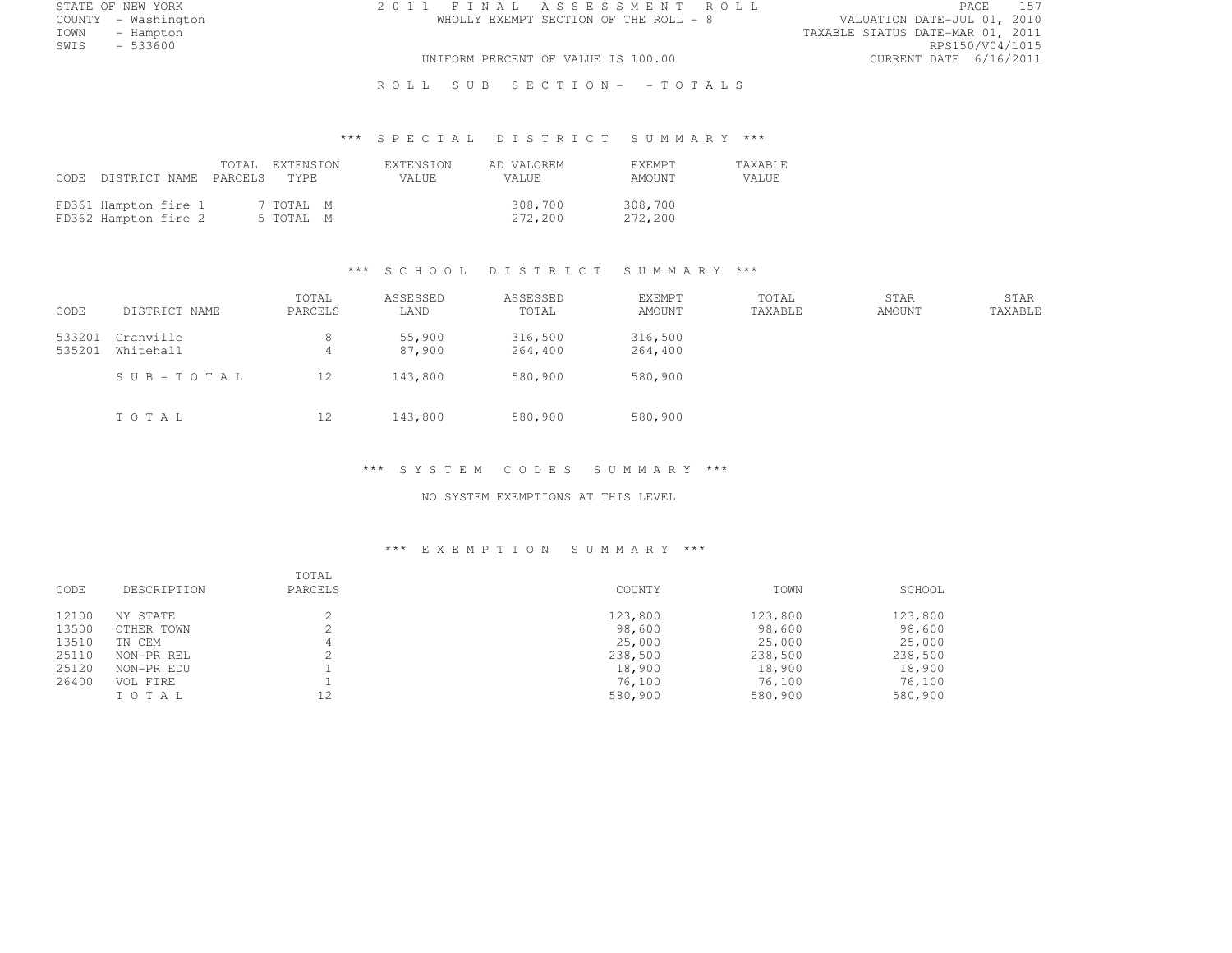STATE OF NEW YORK 2 0 1 1 F I N A L A S S E S S M E N T R O L L PAGE <sup>157</sup>

COUNTY - Washington WHOLLY EXEMPT SECTION OF THE ROLL - 8 VALUATION DATE-JUL 01, 2010 TOWN - Hampton - The State of the State of the State of the Taxable Status Date-Mar 01, 2011<br>Town - Hampton - The State of the State of the State of the State of the State of the State of the State of th SWIS - 533600 RPS150/V04/L015 UNIFORM PERCENT OF VALUE IS 100.00 CURRENT DATE 6/16/2011

R O L L S U B S E C T I O N - - T O T A L S

# \*\*\* S P E C I A L D I S T R I C T S U M M A R Y \*\*\*

|                                              | CODE DISTRICT NAME PARCELS TYPE | TOTAL EXTENSION        | <b>EXTENSION</b><br>VALUE. | AD VALOREM<br>VALUE. | <b>F.XFMPT</b><br>AMOUNT | <b>TAXABLE</b><br>VALUE |
|----------------------------------------------|---------------------------------|------------------------|----------------------------|----------------------|--------------------------|-------------------------|
| FD361 Hampton fire 1<br>FD362 Hampton fire 2 |                                 | 7 TOTAL M<br>5 TOTAL M |                            | 308,700<br>272,200   | 308,700<br>272,200       |                         |

#### \*\*\* S C H O O L D I S T R I C T S U M M A R Y \*\*\*

| CODE             | DISTRICT NAME          | TOTAL<br>PARCELS | ASSESSED<br>LAND | ASSESSED<br>TOTAL  | EXEMPT<br><b>AMOUNT</b> | TOTAL<br>TAXABLE | <b>STAR</b><br><b>AMOUNT</b> | STAR<br>TAXABLE |
|------------------|------------------------|------------------|------------------|--------------------|-------------------------|------------------|------------------------------|-----------------|
| 533201<br>535201 | Granville<br>Whitehall | 8<br>4           | 55,900<br>87,900 | 316,500<br>264,400 | 316,500<br>264,400      |                  |                              |                 |
|                  | SUB-TOTAL              | 12               | 143,800          | 580,900            | 580,900                 |                  |                              |                 |
|                  | TOTAL                  | 12               | 143,800          | 580,900            | 580,900                 |                  |                              |                 |

#### \*\*\* S Y S T E M C O D E S S U M M A R Y \*\*\*

### NO SYSTEM EXEMPTIONS AT THIS LEVEL

| CODE  | DESCRIPTION | TOTAL<br>PARCELS | COUNTY  | TOWN    | SCHOOL  |
|-------|-------------|------------------|---------|---------|---------|
| 12100 | NY STATE    |                  | 123,800 | 123,800 | 123,800 |
| 13500 | OTHER TOWN  |                  | 98,600  | 98,600  | 98,600  |
| 13510 | TN CEM      | 4                | 25,000  | 25,000  | 25,000  |
| 25110 | NON-PR REL  |                  | 238,500 | 238,500 | 238,500 |
| 25120 | NON-PR EDU  |                  | 18,900  | 18,900  | 18,900  |
| 26400 | VOL FIRE    |                  | 76,100  | 76,100  | 76,100  |
|       | TOTAL       | 12               | 580,900 | 580,900 | 580,900 |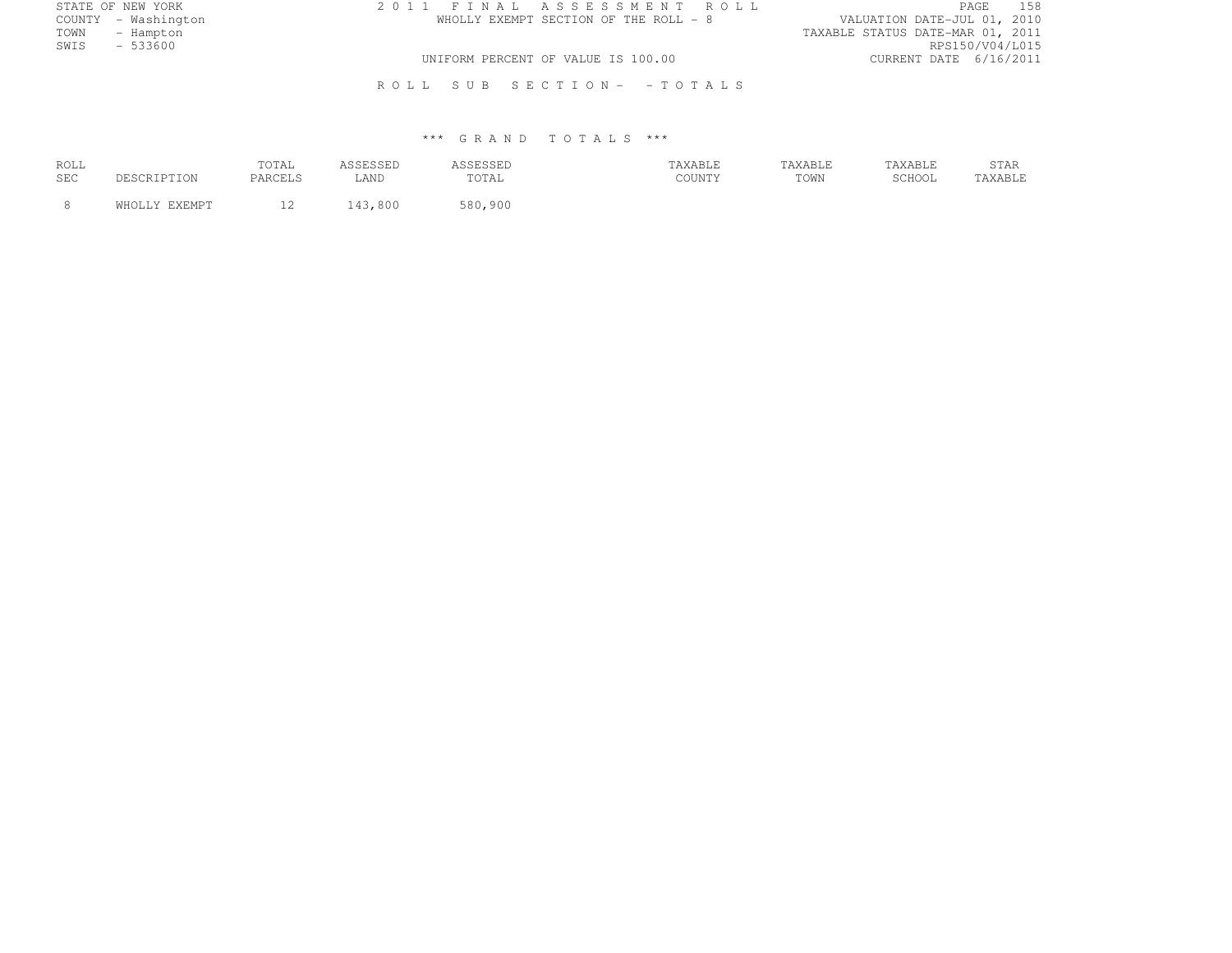| STATE OF NEW YORK   | 2011 FINAL ASSESSMENT ROLL            | 158<br>PAGE                      |
|---------------------|---------------------------------------|----------------------------------|
| COUNTY - Washington | WHOLLY EXEMPT SECTION OF THE ROLL - 8 | VALUATION DATE-JUL 01, 2010      |
| TOWN<br>- Hampton   |                                       | TAXABLE STATUS DATE-MAR 01, 2011 |
| SWIS<br>$-533600$   |                                       | RPS150/V04/L015                  |
|                     | UNIFORM PERCENT OF VALUE IS 100.00    | CURRENT DATE 6/16/2011           |
|                     | ROLL SUB SECTION- - TOTALS            |                                  |

| ROLL<br>SEC | 0.207709701   | TOTAL<br>PARCELS | LAND | <b><i>ASSESSEL</i></b><br>TOTAL | TAXABLE<br>$C$ $C$ $T$ $N$ $T$ $V$<br>JUUN 1. 1 | TAXABLE<br>TOWN | TAXABLE<br>SCHOOL | STAR<br>TAXABLE |
|-------------|---------------|------------------|------|---------------------------------|-------------------------------------------------|-----------------|-------------------|-----------------|
|             | WHOLLY EXEMPT | $\sim$<br>ᅩᄼ     | ,800 | 580,900                         |                                                 |                 |                   |                 |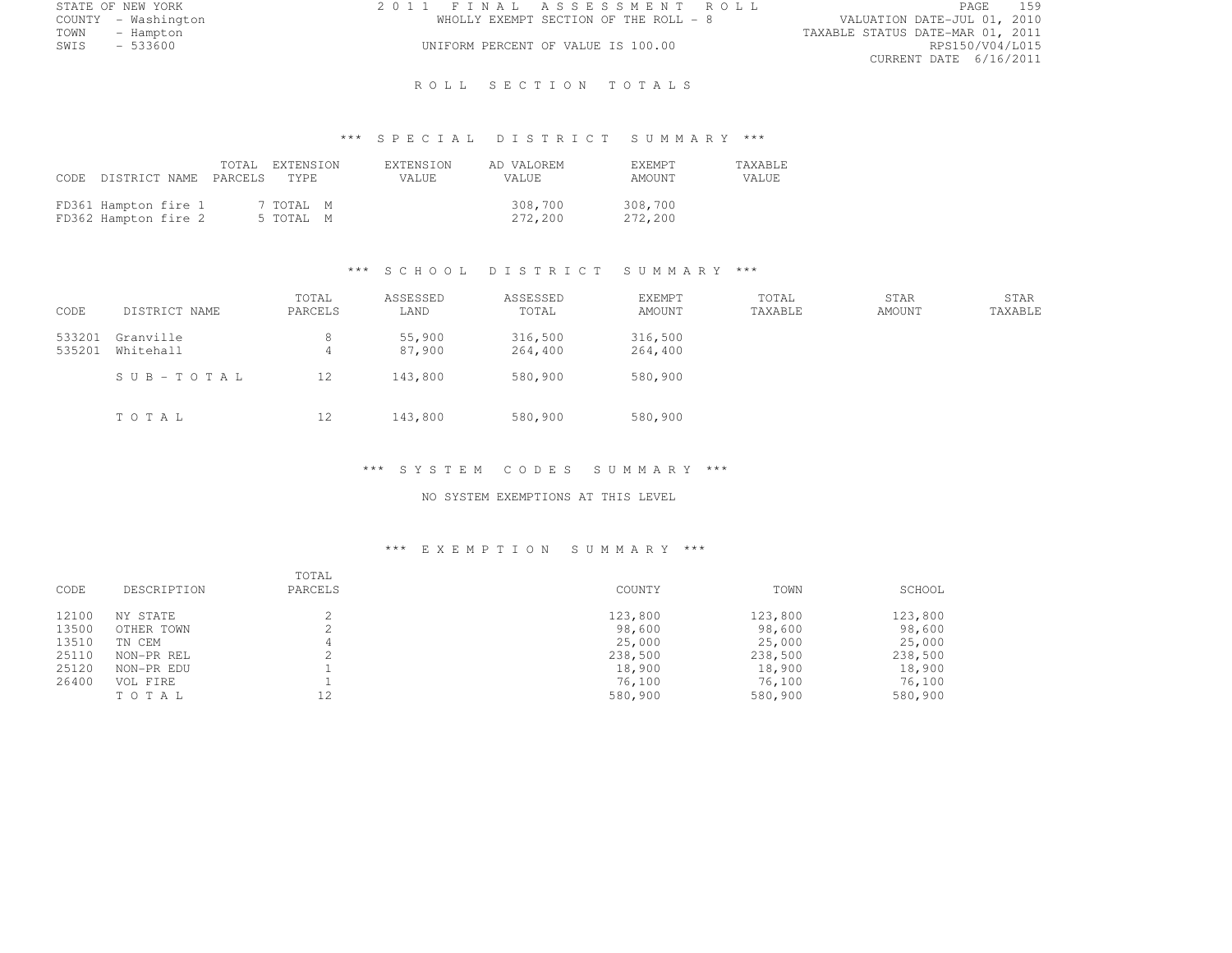| STATE OF NEW YORK   | 2011 FINAL ASSESSMENT ROLL            | 159<br>PAGE                      |
|---------------------|---------------------------------------|----------------------------------|
| COUNTY - Washington | WHOLLY EXEMPT SECTION OF THE ROLL - 8 | VALUATION DATE-JUL 01, 2010      |
| TOWN<br>- Hampton   |                                       | TAXABLE STATUS DATE-MAR 01, 2011 |
| $-533600$<br>SWIS   | UNIFORM PERCENT OF VALUE IS 100.00    | RPS150/V04/L015                  |
|                     |                                       | CURRENT DATE 6/16/2011           |

ROLL SECTION TOTALS

# \*\*\* S P E C I A L D I S T R I C T S U M M A R Y \*\*\*

| CODE DISTRICT NAME PARCELS TYPE              |  | TOTAL EXTENSION        | EXTENSION<br><b>VALUE</b> | AD VALOREM<br>VALUE | <b>F.XF.MPT</b><br>AMOUNT | TAXABLE<br>VALUE |
|----------------------------------------------|--|------------------------|---------------------------|---------------------|---------------------------|------------------|
| FD361 Hampton fire 1<br>FD362 Hampton fire 2 |  | 7 TOTAL M<br>5 TOTAL M |                           | 308,700<br>272,200  | 308,700<br>272,200        |                  |

### \*\*\* S C H O O L D I S T R I C T S U M M A R Y \*\*\*

| CODE             | DISTRICT NAME          | TOTAL<br>PARCELS | ASSESSED<br>LAND | ASSESSED<br>TOTAL  | EXEMPT<br>AMOUNT   | TOTAL<br>TAXABLE | <b>STAR</b><br>AMOUNT | STAR<br>TAXABLE |
|------------------|------------------------|------------------|------------------|--------------------|--------------------|------------------|-----------------------|-----------------|
| 533201<br>535201 | Granville<br>Whitehall | 4                | 55,900<br>87,900 | 316,500<br>264,400 | 316,500<br>264,400 |                  |                       |                 |
|                  | SUB-TOTAL              | 12               | 143,800          | 580,900            | 580,900            |                  |                       |                 |
|                  | TOTAL                  | 12               | 143,800          | 580,900            | 580,900            |                  |                       |                 |

#### \*\*\* S Y S T E M C O D E S S U M M A R Y \*\*\*

### NO SYSTEM EXEMPTIONS AT THIS LEVEL

| CODE  | DESCRIPTION | TOTAL<br>PARCELS | COUNTY  | TOWN    | SCHOOL  |
|-------|-------------|------------------|---------|---------|---------|
| 12100 | NY STATE    |                  | 123,800 | 123,800 | 123,800 |
| 13500 | OTHER TOWN  |                  | 98,600  | 98,600  | 98,600  |
| 13510 | TN CEM      |                  | 25,000  | 25,000  | 25,000  |
| 25110 | NON-PR REL  |                  | 238,500 | 238,500 | 238,500 |
| 25120 | NON-PR EDU  |                  | 18,900  | 18,900  | 18,900  |
| 26400 | VOL FIRE    |                  | 76,100  | 76,100  | 76,100  |
|       | TOTAL       | 12               | 580,900 | 580,900 | 580,900 |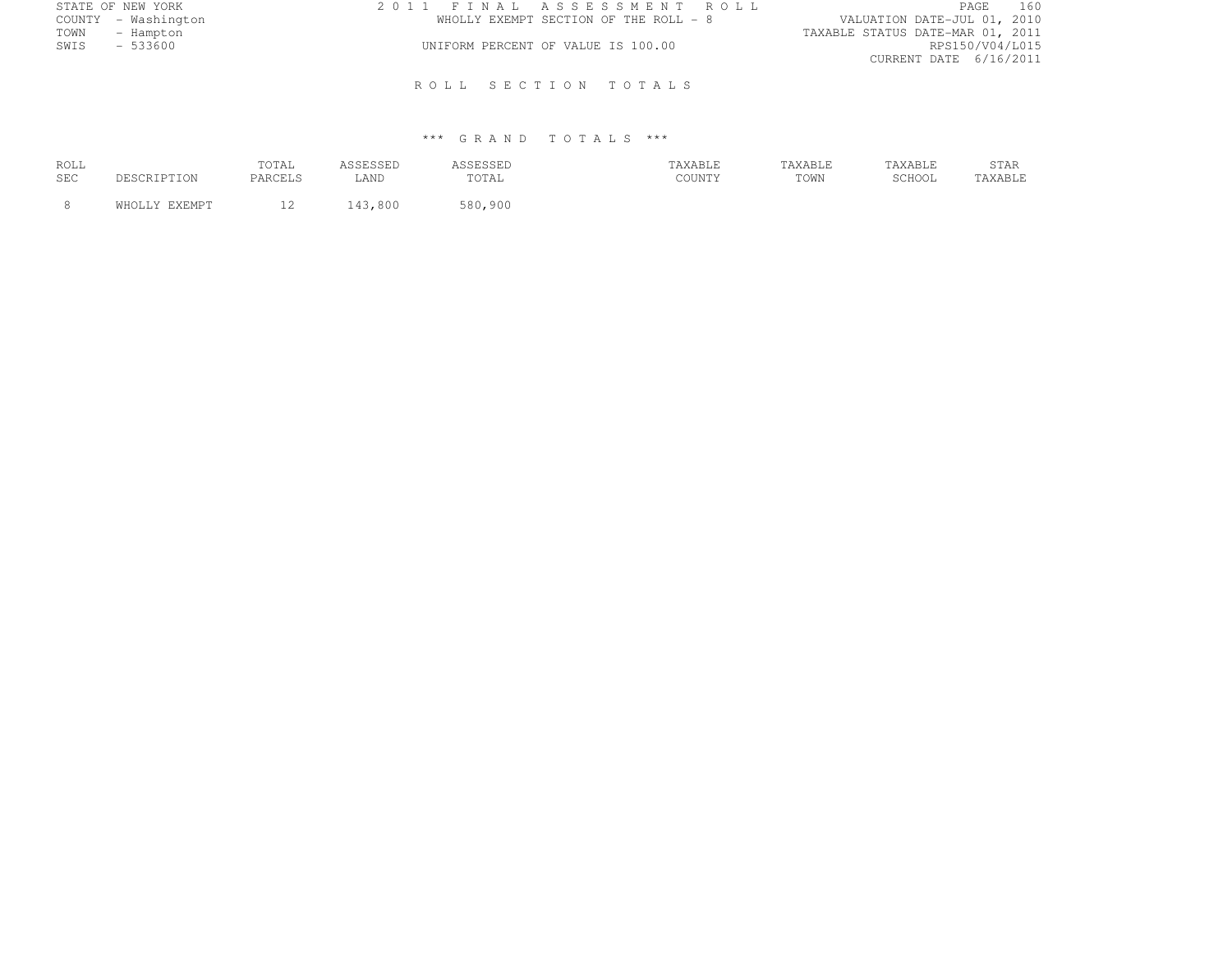| STATE OF NEW YORK   |           | 2011 FINAL ASSESSMENT ROLL |                                    |                                       |                                  | PAGE | 160 |
|---------------------|-----------|----------------------------|------------------------------------|---------------------------------------|----------------------------------|------|-----|
| COUNTY - Washington |           |                            |                                    | WHOLLY EXEMPT SECTION OF THE ROLL - 8 | VALUATION DATE-JUL 01, 2010      |      |     |
| TOWN                | - Hampton |                            |                                    |                                       | TAXABLE STATUS DATE-MAR 01, 2011 |      |     |
| SWIS                | $-533600$ |                            | UNIFORM PERCENT OF VALUE IS 100.00 |                                       | RPS150/V04/L015                  |      |     |
|                     |           |                            |                                    |                                       | CURRENT DATE 6/16/2011           |      |     |
|                     |           |                            |                                    |                                       |                                  |      |     |
|                     |           |                            |                                    | ROLL SECTION TOTALS                   |                                  |      |     |
|                     |           |                            |                                    |                                       |                                  |      |     |

| ROLL<br>SEC |               | TOTAL<br>PARCELS | LAND | SSESSED<br>TOTAL | TAXABLE<br>COUNTY | TAXABLE<br>TOWN | TAXABLE<br>$CCTI$ $\bigcap$ $T$<br>JUITUL | STAR<br>TAXABLE |
|-------------|---------------|------------------|------|------------------|-------------------|-----------------|-------------------------------------------|-----------------|
|             | WHOLLY EXEMPT | $\sim$<br>∸∸     | ,800 | 580,900          |                   |                 |                                           |                 |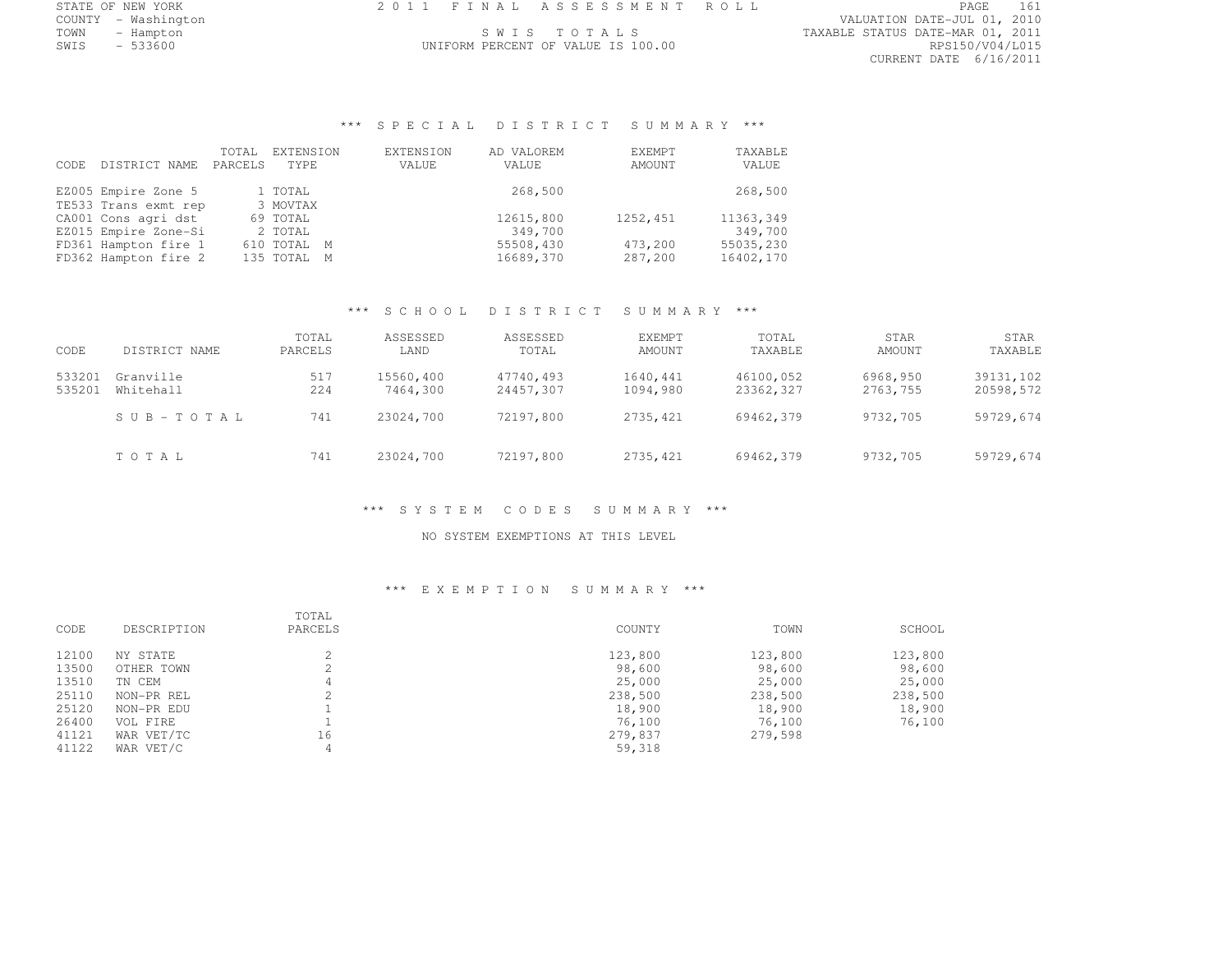| STATE OF NEW YORK                              |  | 2011 FINAL ASSESSMENT ROLL |  |  |
|------------------------------------------------|--|----------------------------|--|--|
| .<br>$\sim$ $\sim$ $\sim$ $\sim$ $\sim$ $\sim$ |  |                            |  |  |

TOWN - Hampton S W I S T O T A L S TAXABLE STATUS DATE-MAR 01, 2011 UNIFORM PERCENT OF VALUE IS 100.00

COUNTY - Washington VALUATION DATE-JUL 01, 2010 CURRENT DATE 6/16/2011

# \*\*\* S P E C I A L D I S T R I C T S U M M A R Y \*\*\*

| CODE. | DISTRICT NAME        | TOTAL<br>PARCELS | EXTENSION<br>TYPF. | EXTENSION<br>VALUE | AD VALOREM<br>VALUE | EXEMPT<br>AMOUNT | TAXABLE<br>VALUE |
|-------|----------------------|------------------|--------------------|--------------------|---------------------|------------------|------------------|
|       | EZ005 Empire Zone 5  |                  | 1 TOTAL            |                    | 268,500             |                  | 268,500          |
|       | TE533 Trans exmt rep |                  | 3 MOVTAX           |                    |                     |                  |                  |
|       | CA001 Cons agri dst  |                  | 69 TOTAL           |                    | 12615,800           | 1252,451         | 11363,349        |
|       | EZ015 Empire Zone-Si |                  | 2 TOTAL            |                    | 349,700             |                  | 349,700          |
|       | FD361 Hampton fire 1 |                  | 610 TOTAL M        |                    | 55508,430           | 473,200          | 55035,230        |
|       | FD362 Hampton fire 2 |                  | 135 TOTAL M        |                    | 16689,370           | 287,200          | 16402,170        |
|       |                      |                  |                    |                    |                     |                  |                  |

#### \*\*\* S C H O O L D I S T R I C T S U M M A R Y \*\*\*

| CODE             | DISTRICT NAME          | TOTAL<br>PARCELS | ASSESSED<br>LAND      | ASSESSED<br>TOTAL      | EXEMPT<br>AMOUNT     | TOTAL<br>TAXABLE       | STAR<br>AMOUNT       | STAR<br>TAXABLE        |
|------------------|------------------------|------------------|-----------------------|------------------------|----------------------|------------------------|----------------------|------------------------|
| 533201<br>535201 | Granville<br>Whitehall | 517<br>224       | 15560,400<br>7464,300 | 47740,493<br>24457,307 | 1640,441<br>1094,980 | 46100,052<br>23362,327 | 6968,950<br>2763,755 | 39131,102<br>20598,572 |
|                  | SUB-TOTAL              | 741              | 23024,700             | 72197,800              | 2735,421             | 69462.379              | 9732,705             | 59729,674              |
|                  | TOTAL                  | 741              | 23024,700             | 72197,800              | 2735,421             | 69462,379              | 9732,705             | 59729,674              |

\*\*\* S Y S T E M C O D E S S U M M A R Y \*\*\*

NO SYSTEM EXEMPTIONS AT THIS LEVEL

| CODE  | DESCRIPTION | TOTAL<br>PARCELS | COUNTY  | TOWN    | SCHOOL  |
|-------|-------------|------------------|---------|---------|---------|
| 12100 | NY STATE    |                  | 123,800 | 123,800 | 123,800 |
| 13500 | OTHER TOWN  | ∠                | 98,600  | 98,600  | 98,600  |
| 13510 | TN CEM      | 4                | 25,000  | 25,000  | 25,000  |
| 25110 | NON-PR REL  |                  | 238,500 | 238,500 | 238,500 |
| 25120 | NON-PR EDU  |                  | 18,900  | 18,900  | 18,900  |
| 26400 | VOL FIRE    |                  | 76,100  | 76,100  | 76,100  |
| 41121 | WAR VET/TC  | 16               | 279,837 | 279,598 |         |
| 41122 | WAR VET/C   | 4                | 59,318  |         |         |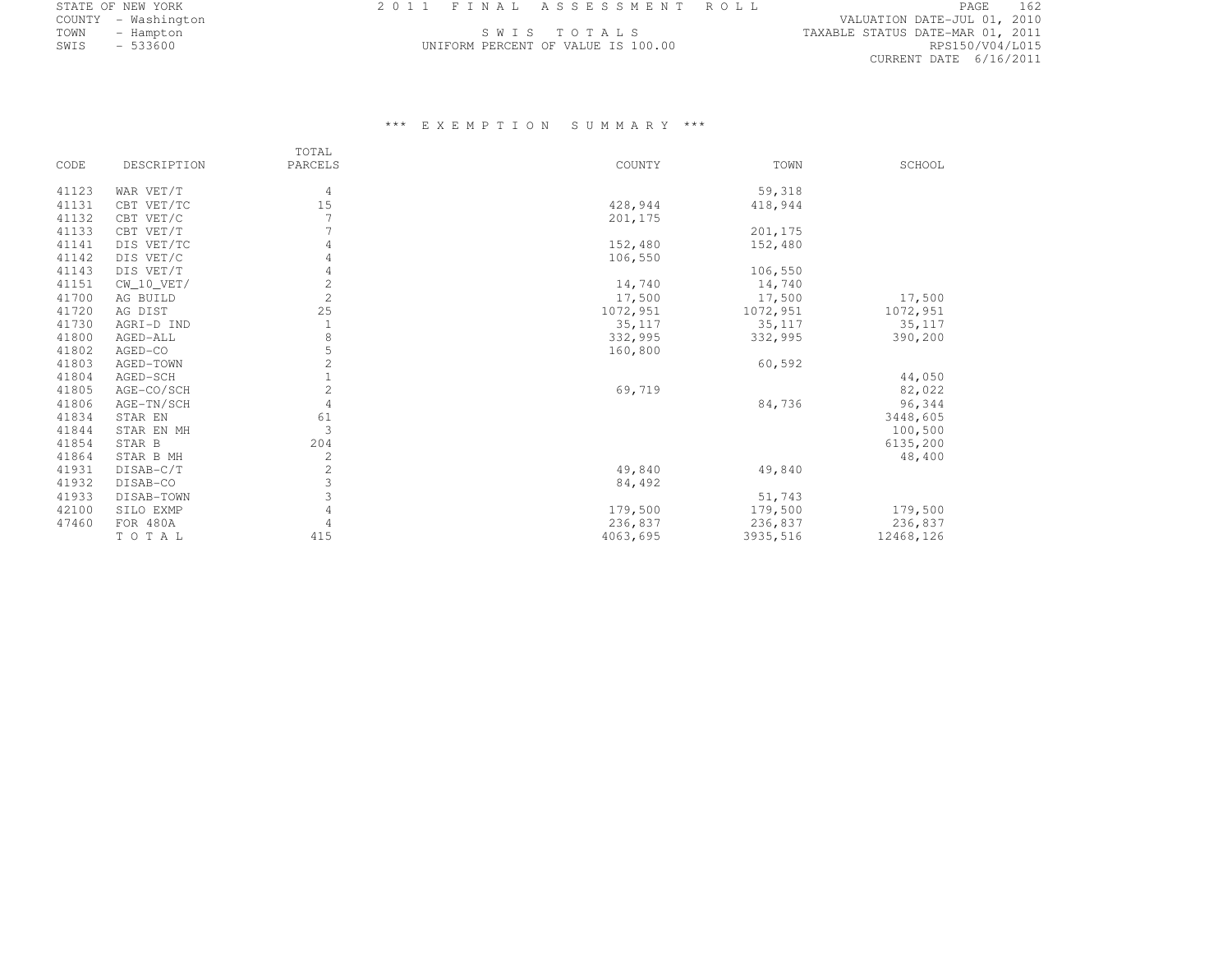|      | STATE OF NEW YORK   |  | 2011 FINAL ASSESSMENT ROLL         |                                  | PAGE                        | 162 |
|------|---------------------|--|------------------------------------|----------------------------------|-----------------------------|-----|
|      | COUNTY - Washington |  |                                    |                                  | VALUATION DATE-JUL 01, 2010 |     |
| TOWN | - Hampton           |  | SWIS TOTALS                        | TAXABLE STATUS DATE-MAR 01, 2011 |                             |     |
| SWIS | $-533600$           |  | UNIFORM PERCENT OF VALUE IS 100.00 |                                  | RPS150/V04/L015             |     |

|       |                | TOTAL          |          |          |           |
|-------|----------------|----------------|----------|----------|-----------|
| CODE  | DESCRIPTION    | PARCELS        | COUNTY   | TOWN     | SCHOOL    |
| 41123 | WAR VET/T      | 4              |          | 59,318   |           |
| 41131 | CBT VET/TC     | 15             | 428,944  | 418,944  |           |
| 41132 | CBT VET/C      |                | 201,175  |          |           |
| 41133 | CBT VET/T      |                |          | 201,175  |           |
| 41141 | DIS VET/TC     | 4              | 152,480  | 152,480  |           |
| 41142 | DIS VET/C      | 4              | 106,550  |          |           |
| 41143 | DIS VET/T      | 4              |          | 106,550  |           |
| 41151 | $CW$ 10 $VET/$ | $\overline{2}$ | 14,740   | 14,740   |           |
| 41700 | AG BUILD       | $\overline{2}$ | 17,500   | 17,500   | 17,500    |
| 41720 | AG DIST        | 25             | 1072,951 | 1072,951 | 1072,951  |
| 41730 | AGRI-D IND     |                | 35,117   | 35,117   | 35,117    |
| 41800 | AGED-ALL       | 8              | 332,995  | 332,995  | 390,200   |
| 41802 | AGED-CO        | 5              | 160,800  |          |           |
| 41803 | AGED-TOWN      | $\overline{c}$ |          | 60,592   |           |
| 41804 | AGED-SCH       | $\mathbf{1}$   |          |          | 44,050    |
| 41805 | AGE-CO/SCH     | $\overline{2}$ | 69,719   |          | 82,022    |
| 41806 | AGE-TN/SCH     | $\overline{4}$ |          | 84,736   | 96,344    |
| 41834 | STAR EN        | 61             |          |          | 3448,605  |
| 41844 | STAR EN MH     | 3              |          |          | 100,500   |
| 41854 | STAR B         | 204            |          |          | 6135,200  |
| 41864 | STAR B MH      | 2              |          |          | 48,400    |
| 41931 | DISAB-C/T      | $\overline{c}$ | 49,840   | 49,840   |           |
| 41932 | DISAB-CO       | $\mathsf 3$    | 84,492   |          |           |
| 41933 | DISAB-TOWN     | $\overline{3}$ |          | 51,743   |           |
| 42100 | SILO EXMP      | $\overline{4}$ | 179,500  | 179,500  | 179,500   |
| 47460 | FOR 480A       | 4              | 236,837  | 236,837  | 236,837   |
|       | TOTAL          | 415            | 4063,695 | 3935,516 | 12468,126 |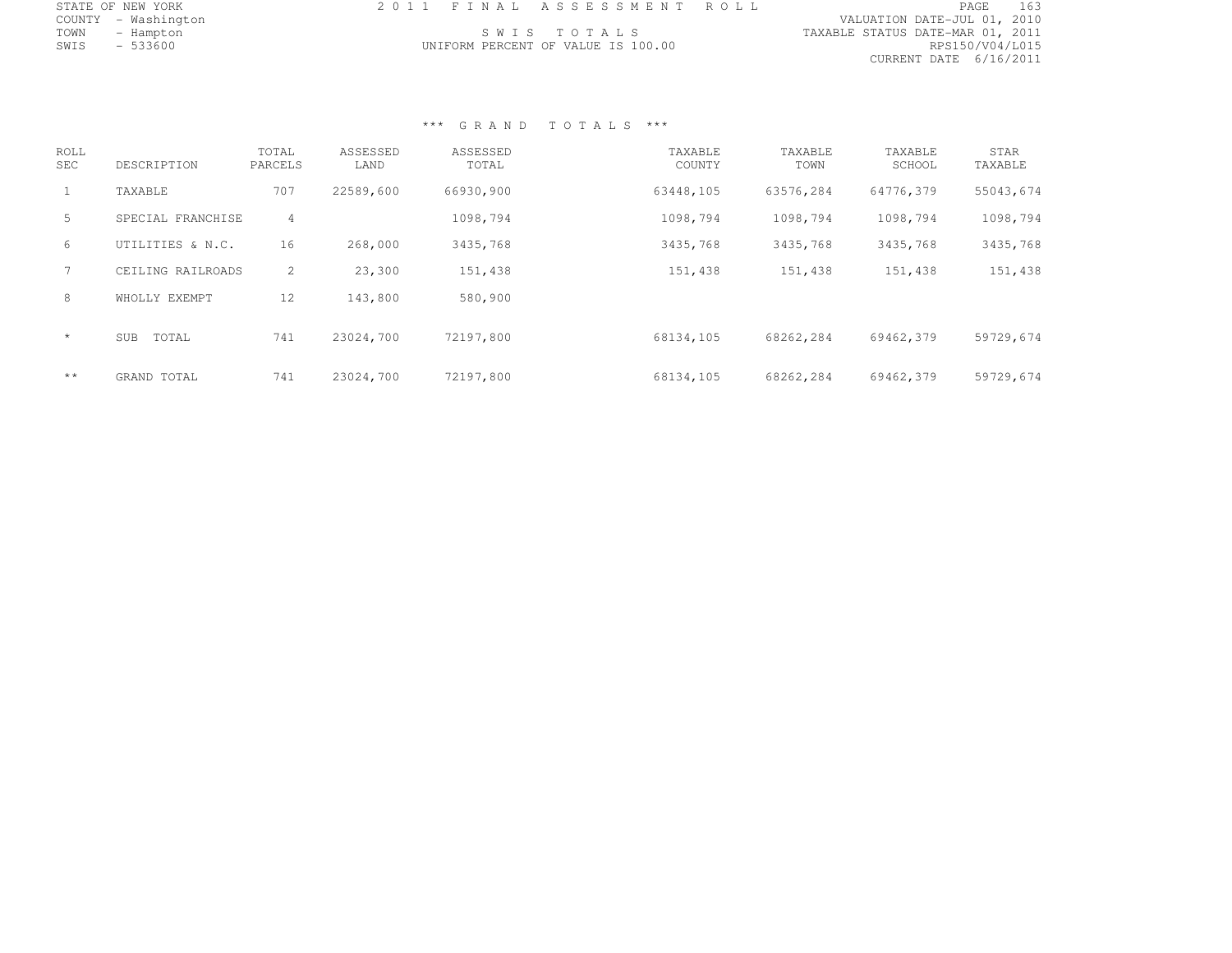|      | STATE OF NEW YORK   | 2011 FINAL ASSESSMENT ROLL         |                                  | PAGE            | 163 |
|------|---------------------|------------------------------------|----------------------------------|-----------------|-----|
|      | COUNTY - Washington |                                    | VALUATION DATE-JUL 01, 2010      |                 |     |
| TOWN | - Hampton           | SWIS TOTALS                        | TAXABLE STATUS DATE-MAR 01, 2011 |                 |     |
| SWIS | $-533600$           | UNIFORM PERCENT OF VALUE IS 100.00 |                                  | RPS150/V04/L015 |     |
|      |                     |                                    | CURRENT DATE 6/16/2011           |                 |     |

| ROLL<br>SEC  | DESCRIPTION         | TOTAL<br>PARCELS | ASSESSED<br>LAND | ASSESSED<br>TOTAL | TAXABLE<br>COUNTY | TAXABLE<br>TOWN | TAXABLE<br>SCHOOL | <b>STAR</b><br>TAXABLE |
|--------------|---------------------|------------------|------------------|-------------------|-------------------|-----------------|-------------------|------------------------|
|              | TAXABLE             | 707              | 22589,600        | 66930,900         | 63448,105         | 63576,284       | 64776,379         | 55043,674              |
| 5.           | SPECIAL FRANCHISE   | 4                |                  | 1098,794          | 1098,794          | 1098,794        | 1098,794          | 1098,794               |
| 6            | UTILITIES & N.C.    | 16               | 268,000          | 3435,768          | 3435,768          | 3435,768        | 3435,768          | 3435,768               |
|              | CEILING RAILROADS   | $\overline{2}$   | 23,300           | 151,438           | 151,438           | 151,438         | 151,438           | 151,438                |
| 8            | WHOLLY EXEMPT       | 12               | 143,800          | 580,900           |                   |                 |                   |                        |
| $\star$      | TOTAL<br><b>SUB</b> | 741              | 23024,700        | 72197,800         | 68134,105         | 68262,284       | 69462,379         | 59729,674              |
| $\star\star$ | GRAND TOTAL         | 741              | 23024,700        | 72197,800         | 68134,105         | 68262,284       | 69462,379         | 59729,674              |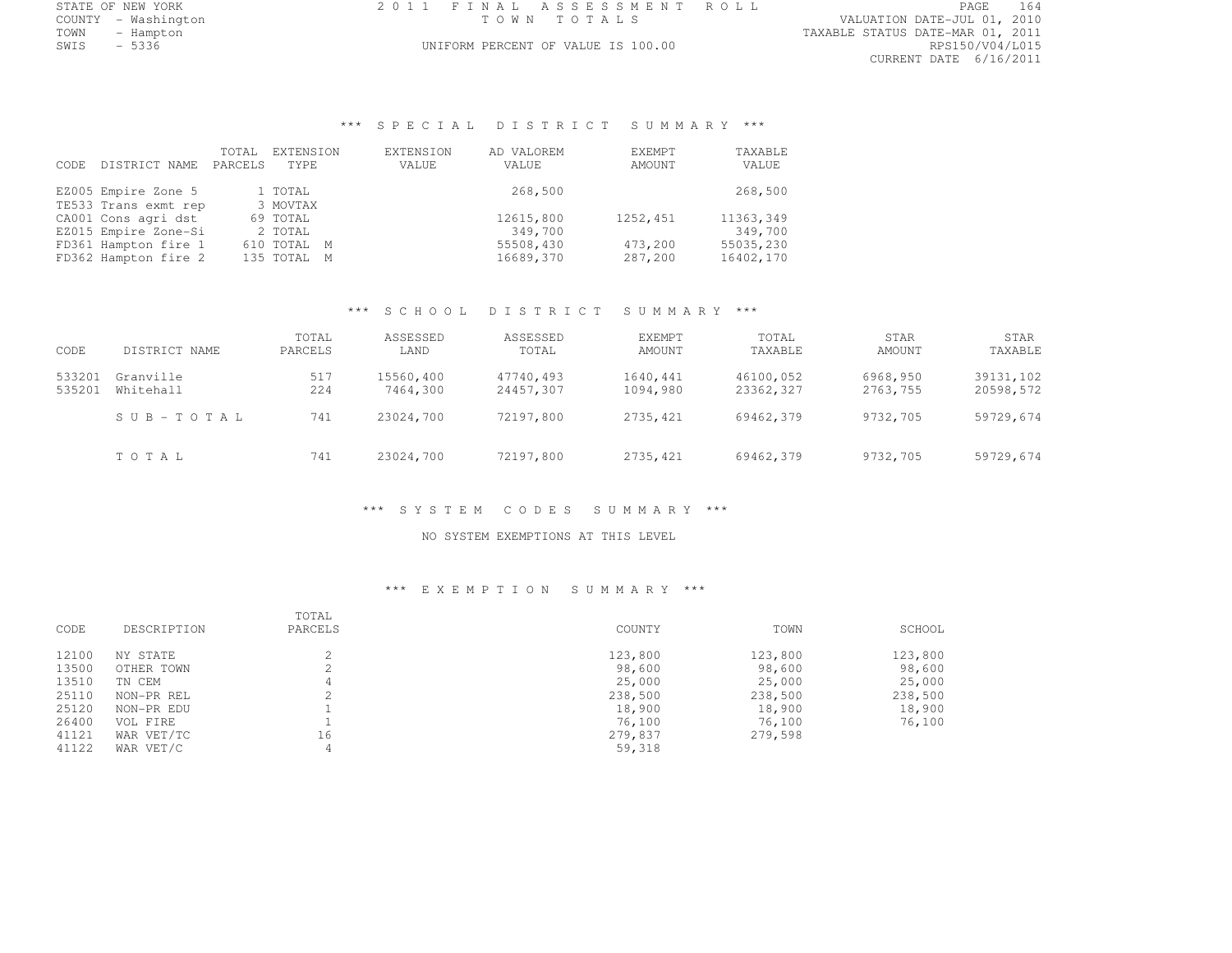|      | STATE OF NEW YORK   | 2011 FINAL ASSESSMENT ROLL         | PAGE                             | 164 |
|------|---------------------|------------------------------------|----------------------------------|-----|
|      | COUNTY - Washington | TOWN TOTALS                        | VALUATION DATE-JUL 01, 2010      |     |
| TOWN | – Hampton           |                                    | TAXABLE STATUS DATE-MAR 01, 2011 |     |
| SWIS | - 5336              | UNIFORM PERCENT OF VALUE IS 100.00 | RPS150/V04/L015                  |     |
|      |                     |                                    | $-1000$                          |     |

COUNTY - WASHINGTON TO THE PARTY OF THE PARTY OF THE PARTY OF THE PARTY OF THE PARTY OF THE PARTY OF THE PARTY OF TH<br>COUNTY OF THE PARTY OF THE PARTY OF THE PARTY OF THE PARTY OF THE PARTY OF THE PARTY OF THE PARTY OF THE CURRENT DATE 6/16/2011

# \*\*\* S P E C I A L D I S T R I C T S U M M A R Y \*\*\*

| CODE. | DISTRICT NAME        | TOTAL<br>PARCELS | EXTENSION<br>TYPE. | <b>EXTENSION</b><br>VALUE | AD VALOREM<br>VALUE | EXEMPT<br>AMOUNT | TAXABLE<br>VALUE |
|-------|----------------------|------------------|--------------------|---------------------------|---------------------|------------------|------------------|
|       | EZ005 Empire Zone 5  |                  | 1 TOTAL            |                           | 268,500             |                  | 268,500          |
|       | TE533 Trans exmt rep |                  | 3 MOVTAX           |                           |                     |                  |                  |
|       | CA001 Cons agri dst  |                  | 69 TOTAL           |                           | 12615,800           | 1252,451         | 11363,349        |
|       | EZ015 Empire Zone-Si |                  | 2 TOTAL            |                           | 349,700             |                  | 349,700          |
|       | FD361 Hampton fire 1 |                  | 610 TOTAL M        |                           | 55508,430           | 473,200          | 55035,230        |
|       | FD362 Hampton fire 2 |                  | 135 TOTAL M        |                           | 16689,370           | 287,200          | 16402,170        |
|       |                      |                  |                    |                           |                     |                  |                  |

### \*\*\* S C H O O L D I S T R I C T S U M M A R Y \*\*\*

| CODE             | DISTRICT NAME          | TOTAL<br>PARCELS | ASSESSED<br>LAND      | ASSESSED<br>TOTAL      | <b>EXEMPT</b><br>AMOUNT | TOTAL<br>TAXABLE       | STAR<br>AMOUNT       | STAR<br>TAXABLE        |
|------------------|------------------------|------------------|-----------------------|------------------------|-------------------------|------------------------|----------------------|------------------------|
| 533201<br>535201 | Granville<br>Whitehall | 517<br>224       | 15560,400<br>7464,300 | 47740,493<br>24457,307 | 1640,441<br>1094,980    | 46100,052<br>23362,327 | 6968,950<br>2763,755 | 39131,102<br>20598,572 |
|                  | $S \cup B - TO T A L$  | 741              | 23024,700             | 72197,800              | 2735,421                | 69462.379              | 9732,705             | 59729,674              |
|                  | TOTAL                  | 741              | 23024,700             | 72197,800              | 2735,421                | 69462,379              | 9732,705             | 59729,674              |

\*\*\* S Y S T E M C O D E S S U M M A R Y \*\*\*

NO SYSTEM EXEMPTIONS AT THIS LEVEL

| CODE  | DESCRIPTION | TOTAL<br>PARCELS | COUNTY  | TOWN    | SCHOOL  |
|-------|-------------|------------------|---------|---------|---------|
| 12100 | NY STATE    |                  | 123,800 | 123,800 | 123,800 |
| 13500 | OTHER TOWN  | ∠                | 98,600  | 98,600  | 98,600  |
| 13510 | TN CEM      | 4                | 25,000  | 25,000  | 25,000  |
| 25110 | NON-PR REL  |                  | 238,500 | 238,500 | 238,500 |
| 25120 | NON-PR EDU  |                  | 18,900  | 18,900  | 18,900  |
| 26400 | VOL FIRE    |                  | 76,100  | 76,100  | 76,100  |
| 41121 | WAR VET/TC  | 16               | 279,837 | 279,598 |         |
| 41122 | WAR VET/C   | 4                | 59,318  |         |         |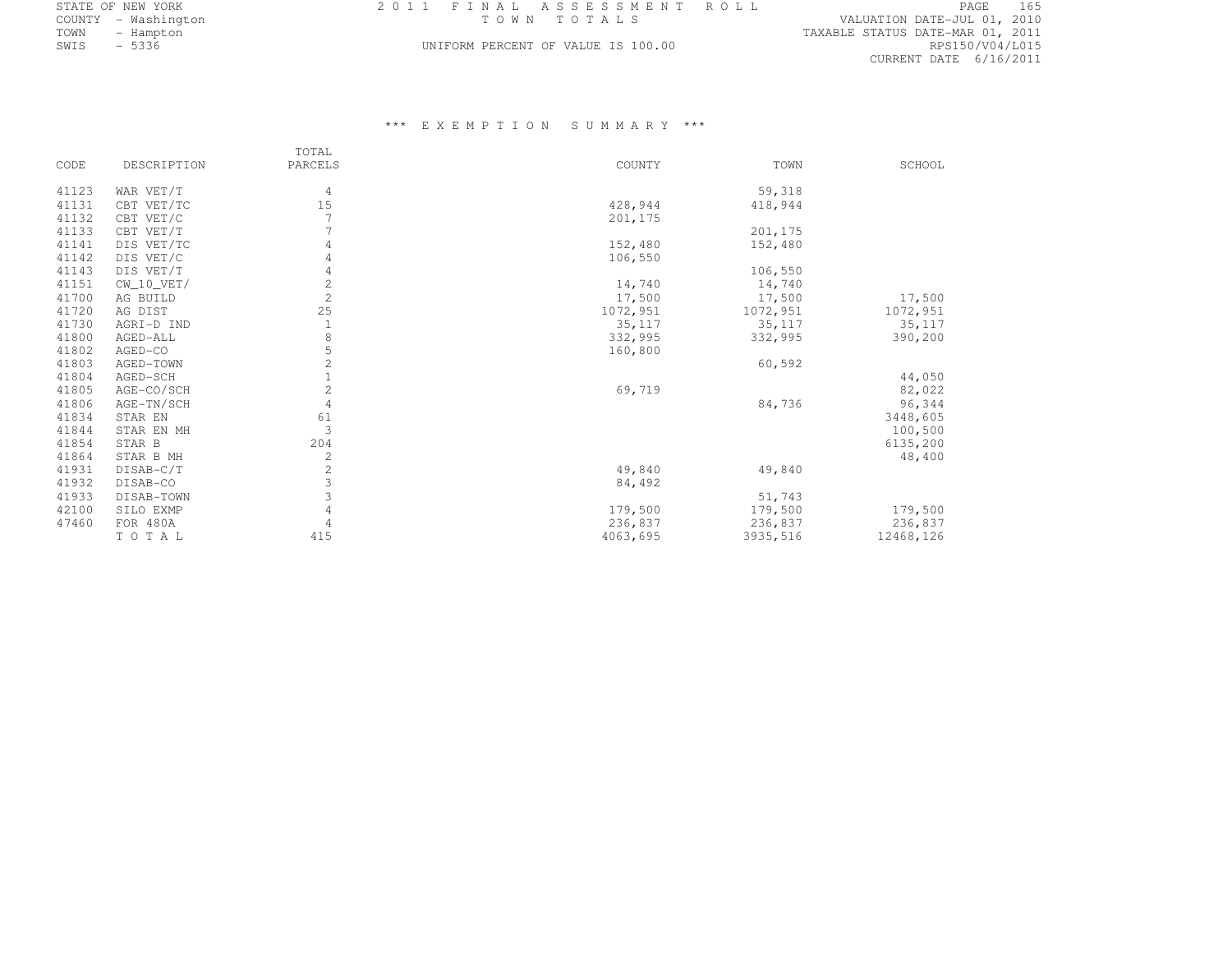| STATE OF NEW YORK                        | 2011 FINAL ASSESSMENT ROLL         | 165<br>PAGE                      |
|------------------------------------------|------------------------------------|----------------------------------|
| COUNTY - Washington                      | TOWN TOTALS                        | VALUATION DATE-JUL 01, 2010      |
| TOWN<br>- Hampton                        |                                    | TAXABLE STATUS DATE-MAR 01, 2011 |
| 5336<br>SWIS<br>$\overline{\phantom{0}}$ | UNIFORM PERCENT OF VALUE IS 100.00 | RPS150/V04/L015                  |

### UNIFORM PERCENT OF VALUE IS 100.00

TAXABLE STATUS DATE-MAR 01, 2011<br>RPS150/V04/L015 CURRENT DATE 6/16/2011

|       |                | TOTAL          |          |          |           |
|-------|----------------|----------------|----------|----------|-----------|
| CODE  | DESCRIPTION    | PARCELS        | COUNTY   | TOWN     | SCHOOL    |
| 41123 | WAR VET/T      | 4              |          | 59,318   |           |
| 41131 | CBT VET/TC     | 15             | 428,944  | 418,944  |           |
| 41132 | CBT VET/C      |                | 201,175  |          |           |
| 41133 | CBT VET/T      |                |          | 201,175  |           |
| 41141 | DIS VET/TC     | 4              | 152,480  | 152,480  |           |
| 41142 | DIS VET/C      | 4              | 106,550  |          |           |
| 41143 | DIS VET/T      |                |          | 106,550  |           |
| 41151 | $CW$ 10 $VET/$ | $\overline{2}$ | 14,740   | 14,740   |           |
| 41700 | AG BUILD       | 2              | 17,500   | 17,500   | 17,500    |
| 41720 | AG DIST        | 25             | 1072,951 | 1072,951 | 1072,951  |
| 41730 | AGRI-D IND     |                | 35, 117  | 35,117   | 35,117    |
| 41800 | AGED-ALL       | 8              | 332,995  | 332,995  | 390,200   |
| 41802 | AGED-CO        | 5              | 160,800  |          |           |
| 41803 | AGED-TOWN      | $\mathbf 2$    |          | 60,592   |           |
| 41804 | AGED-SCH       | $\mathbf{1}$   |          |          | 44,050    |
| 41805 | AGE-CO/SCH     | $\overline{2}$ | 69,719   |          | 82,022    |
| 41806 | AGE-TN/SCH     | 4              |          | 84,736   | 96,344    |
| 41834 | STAR EN        | 61             |          |          | 3448,605  |
| 41844 | STAR EN MH     | 3              |          |          | 100,500   |
| 41854 | STAR B         | 204            |          |          | 6135,200  |
| 41864 | STAR B MH      | $\overline{c}$ |          |          | 48,400    |
| 41931 | DISAB-C/T      | $\sqrt{2}$     | 49,840   | 49,840   |           |
| 41932 | DISAB-CO       | $\mathfrak{Z}$ | 84,492   |          |           |
| 41933 | DISAB-TOWN     | 3              |          | 51,743   |           |
| 42100 | SILO EXMP      | 4              | 179,500  | 179,500  | 179,500   |
| 47460 | FOR 480A       | 4              | 236,837  | 236,837  | 236,837   |
|       | TOTAL          | 415            | 4063,695 | 3935,516 | 12468,126 |